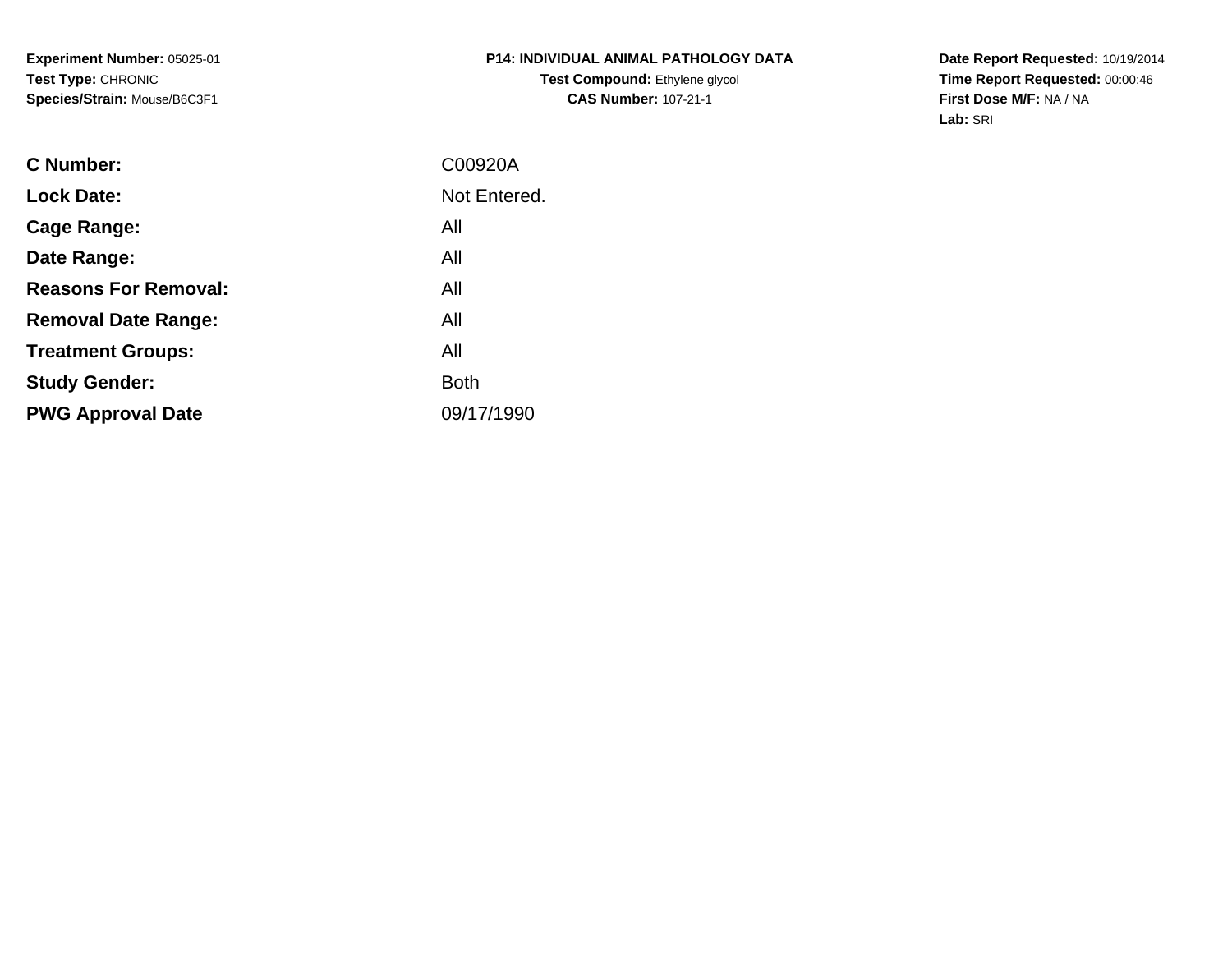**Experiment Number:** 05025-01**Test Type:** CHRONIC**Species/Strain:** Mouse/B6C3F1

**Date Report Requested:** 10/19/2014 **Time Report Requested:** 00:00:46**First Dose M/F:** NA / NA**Lab:** SRI

| <b>C</b> Number:            | C00920A      |
|-----------------------------|--------------|
| <b>Lock Date:</b>           | Not Entered. |
| Cage Range:                 | All          |
| Date Range:                 | All          |
| <b>Reasons For Removal:</b> | All          |
| <b>Removal Date Range:</b>  | All          |
| <b>Treatment Groups:</b>    | All          |
| <b>Study Gender:</b>        | <b>Both</b>  |
| <b>PWG Approval Date</b>    | 09/17/1990   |
|                             |              |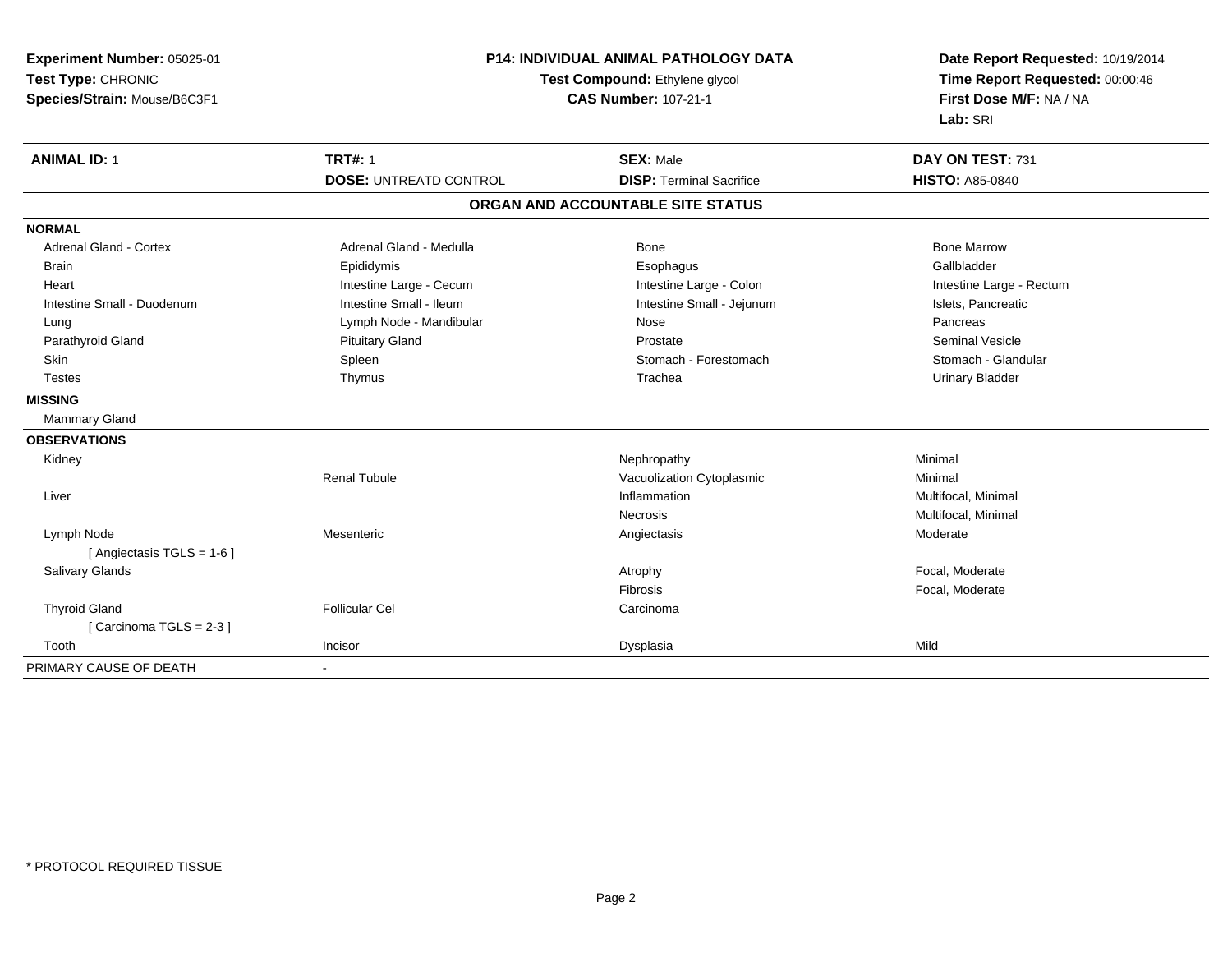| Experiment Number: 05025-01<br>Test Type: CHRONIC<br>Species/Strain: Mouse/B6C3F1 | P14: INDIVIDUAL ANIMAL PATHOLOGY DATA<br>Test Compound: Ethylene glycol<br><b>CAS Number: 107-21-1</b> |                                   | Date Report Requested: 10/19/2014<br>Time Report Requested: 00:00:46<br>First Dose M/F: NA / NA<br>Lab: SRI |  |
|-----------------------------------------------------------------------------------|--------------------------------------------------------------------------------------------------------|-----------------------------------|-------------------------------------------------------------------------------------------------------------|--|
| <b>ANIMAL ID: 1</b>                                                               | <b>TRT#: 1</b>                                                                                         | <b>SEX: Male</b>                  | DAY ON TEST: 731                                                                                            |  |
|                                                                                   | <b>DOSE: UNTREATD CONTROL</b>                                                                          | <b>DISP: Terminal Sacrifice</b>   | <b>HISTO: A85-0840</b>                                                                                      |  |
|                                                                                   |                                                                                                        | ORGAN AND ACCOUNTABLE SITE STATUS |                                                                                                             |  |
| <b>NORMAL</b>                                                                     |                                                                                                        |                                   |                                                                                                             |  |
| <b>Adrenal Gland - Cortex</b>                                                     | Adrenal Gland - Medulla                                                                                | Bone                              | <b>Bone Marrow</b>                                                                                          |  |
| <b>Brain</b>                                                                      | Epididymis                                                                                             | Esophagus                         | Gallbladder                                                                                                 |  |
| Heart                                                                             | Intestine Large - Cecum                                                                                | Intestine Large - Colon           | Intestine Large - Rectum                                                                                    |  |
| Intestine Small - Duodenum                                                        | Intestine Small - Ileum                                                                                | Intestine Small - Jejunum         | Islets, Pancreatic                                                                                          |  |
| Lung                                                                              | Lymph Node - Mandibular                                                                                | Nose                              | Pancreas                                                                                                    |  |
| Parathyroid Gland                                                                 | <b>Pituitary Gland</b>                                                                                 | Prostate                          | Seminal Vesicle                                                                                             |  |
| Skin                                                                              | Spleen                                                                                                 | Stomach - Forestomach             | Stomach - Glandular                                                                                         |  |
| <b>Testes</b>                                                                     | Thymus                                                                                                 | Trachea                           | <b>Urinary Bladder</b>                                                                                      |  |
| <b>MISSING</b>                                                                    |                                                                                                        |                                   |                                                                                                             |  |
| <b>Mammary Gland</b>                                                              |                                                                                                        |                                   |                                                                                                             |  |
| <b>OBSERVATIONS</b>                                                               |                                                                                                        |                                   |                                                                                                             |  |
| Kidney                                                                            |                                                                                                        | Nephropathy                       | Minimal                                                                                                     |  |
|                                                                                   | <b>Renal Tubule</b>                                                                                    | Vacuolization Cytoplasmic         | Minimal                                                                                                     |  |
| Liver                                                                             |                                                                                                        | Inflammation                      | Multifocal, Minimal                                                                                         |  |
|                                                                                   |                                                                                                        | <b>Necrosis</b>                   | Multifocal, Minimal                                                                                         |  |
| Lymph Node                                                                        | Mesenteric                                                                                             | Angiectasis                       | Moderate                                                                                                    |  |
| [ Angiectasis TGLS = 1-6 ]                                                        |                                                                                                        |                                   |                                                                                                             |  |
| <b>Salivary Glands</b>                                                            |                                                                                                        | Atrophy                           | Focal, Moderate                                                                                             |  |
|                                                                                   |                                                                                                        | Fibrosis                          | Focal, Moderate                                                                                             |  |
| <b>Thyroid Gland</b>                                                              | <b>Follicular Cel</b>                                                                                  | Carcinoma                         |                                                                                                             |  |
| [Carcinoma TGLS = 2-3]                                                            |                                                                                                        |                                   |                                                                                                             |  |
| Tooth                                                                             | Incisor                                                                                                | Dysplasia                         | Mild                                                                                                        |  |
| PRIMARY CAUSE OF DEATH                                                            | $\sim$                                                                                                 |                                   |                                                                                                             |  |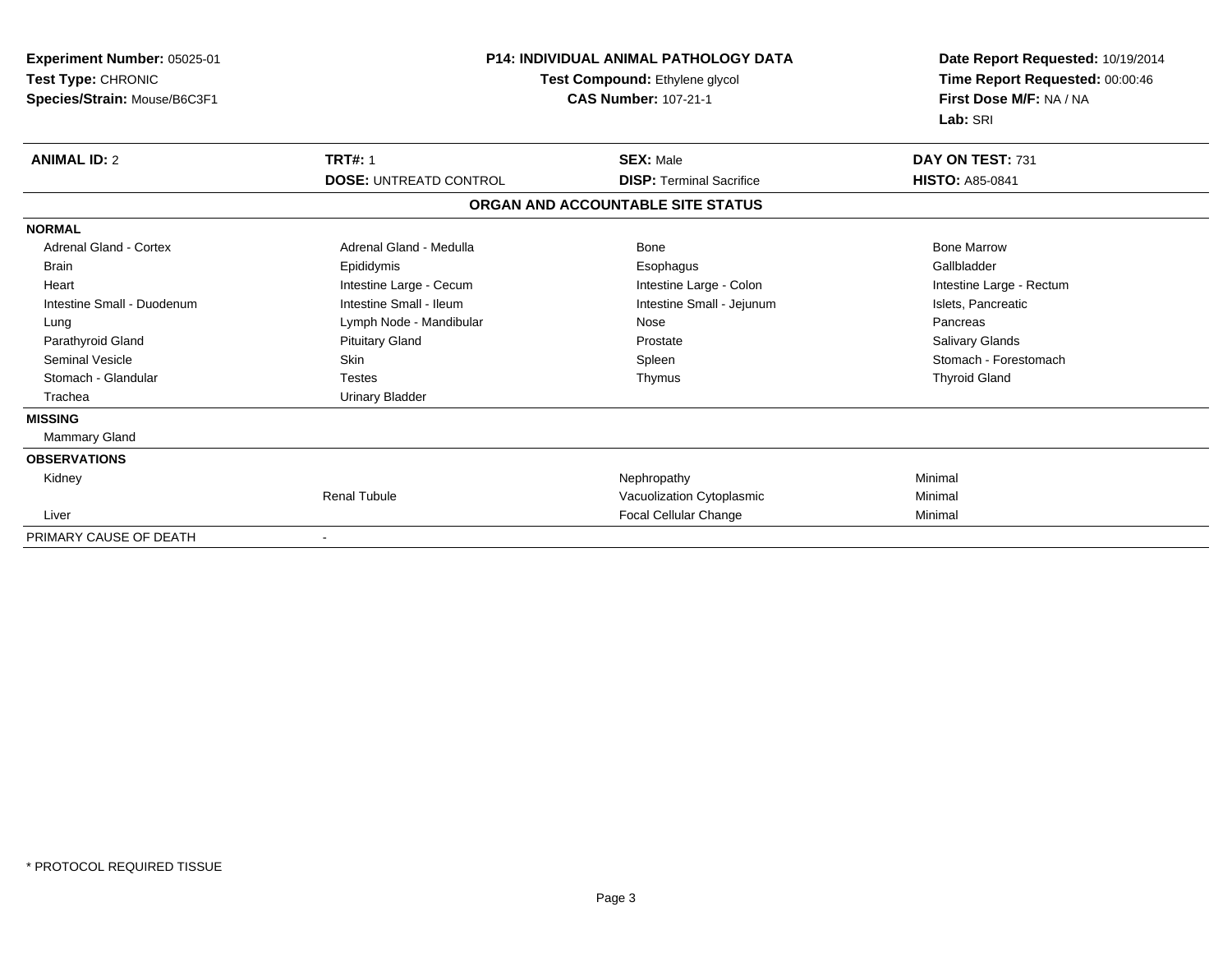| <b>Experiment Number: 05025-01</b><br>Test Type: CHRONIC<br>Species/Strain: Mouse/B6C3F1 | <b>P14: INDIVIDUAL ANIMAL PATHOLOGY DATA</b><br>Test Compound: Ethylene glycol<br><b>CAS Number: 107-21-1</b> |                                   | Date Report Requested: 10/19/2014<br>Time Report Requested: 00:00:46<br>First Dose M/F: NA / NA<br>Lab: SRI |  |
|------------------------------------------------------------------------------------------|---------------------------------------------------------------------------------------------------------------|-----------------------------------|-------------------------------------------------------------------------------------------------------------|--|
| <b>ANIMAL ID: 2</b>                                                                      | <b>TRT#: 1</b>                                                                                                | <b>SEX: Male</b>                  | DAY ON TEST: 731                                                                                            |  |
|                                                                                          | <b>DOSE: UNTREATD CONTROL</b>                                                                                 | <b>DISP:</b> Terminal Sacrifice   | <b>HISTO: A85-0841</b>                                                                                      |  |
|                                                                                          |                                                                                                               | ORGAN AND ACCOUNTABLE SITE STATUS |                                                                                                             |  |
| <b>NORMAL</b>                                                                            |                                                                                                               |                                   |                                                                                                             |  |
| <b>Adrenal Gland - Cortex</b>                                                            | Adrenal Gland - Medulla                                                                                       | Bone                              | <b>Bone Marrow</b>                                                                                          |  |
| <b>Brain</b>                                                                             | Epididymis                                                                                                    | Esophagus                         | Gallbladder                                                                                                 |  |
| Heart                                                                                    | Intestine Large - Cecum                                                                                       | Intestine Large - Colon           | Intestine Large - Rectum                                                                                    |  |
| Intestine Small - Duodenum                                                               | Intestine Small - Ileum                                                                                       | Intestine Small - Jejunum         | Islets, Pancreatic                                                                                          |  |
| Lung                                                                                     | Lymph Node - Mandibular                                                                                       | Nose                              | Pancreas                                                                                                    |  |
| Parathyroid Gland                                                                        | <b>Pituitary Gland</b>                                                                                        | Prostate                          | <b>Salivary Glands</b>                                                                                      |  |
| <b>Seminal Vesicle</b>                                                                   | Skin                                                                                                          | Spleen                            | Stomach - Forestomach                                                                                       |  |
| Stomach - Glandular                                                                      | <b>Testes</b>                                                                                                 | Thymus                            | <b>Thyroid Gland</b>                                                                                        |  |
| Trachea                                                                                  | <b>Urinary Bladder</b>                                                                                        |                                   |                                                                                                             |  |
| <b>MISSING</b>                                                                           |                                                                                                               |                                   |                                                                                                             |  |
| Mammary Gland                                                                            |                                                                                                               |                                   |                                                                                                             |  |
| <b>OBSERVATIONS</b>                                                                      |                                                                                                               |                                   |                                                                                                             |  |
| Kidney                                                                                   |                                                                                                               | Nephropathy                       | Minimal                                                                                                     |  |
|                                                                                          | <b>Renal Tubule</b>                                                                                           | Vacuolization Cytoplasmic         | Minimal                                                                                                     |  |
| Liver                                                                                    |                                                                                                               | <b>Focal Cellular Change</b>      | Minimal                                                                                                     |  |
| PRIMARY CAUSE OF DEATH                                                                   |                                                                                                               |                                   |                                                                                                             |  |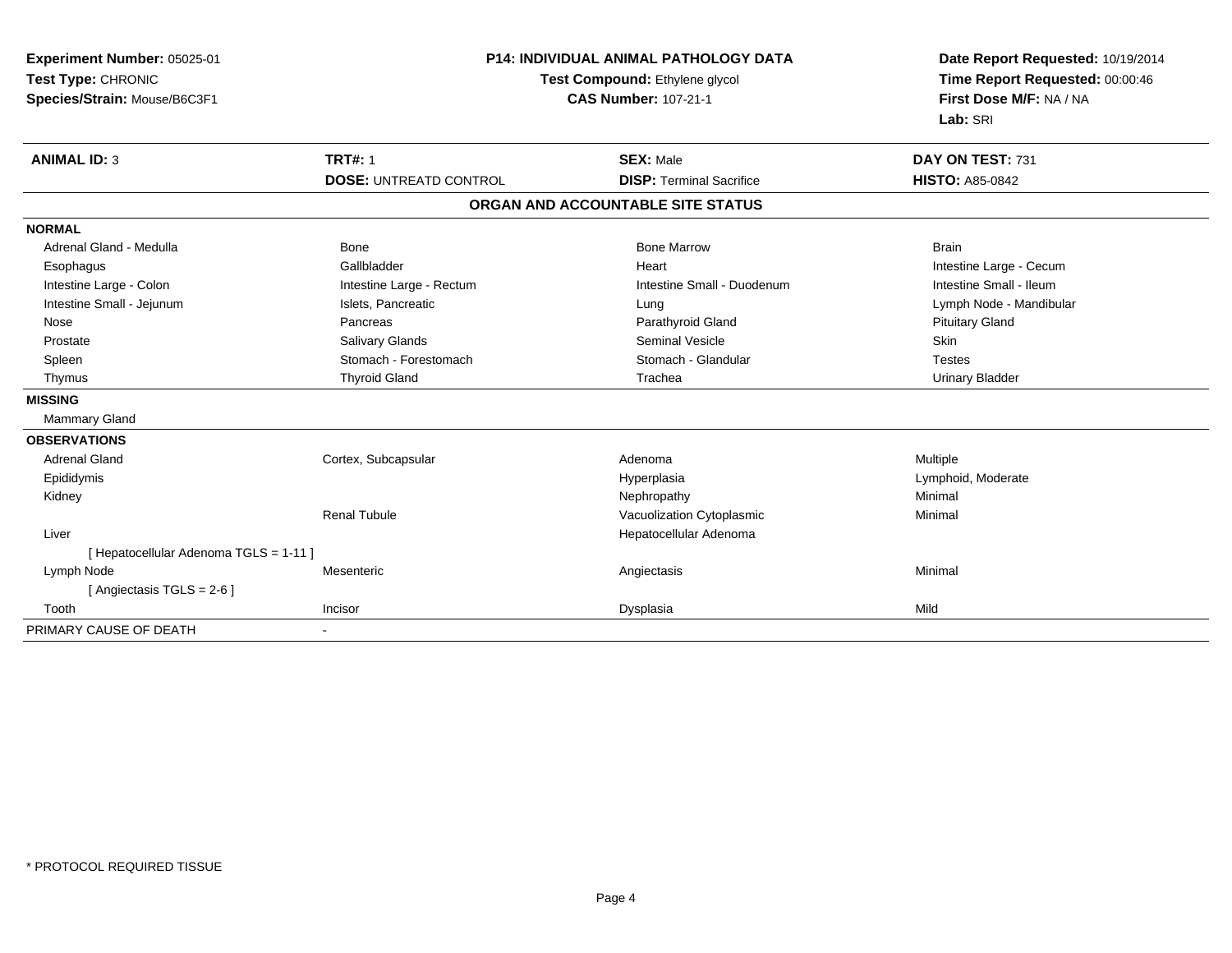| Experiment Number: 05025-01<br>Test Type: CHRONIC<br>Species/Strain: Mouse/B6C3F1 | <b>P14: INDIVIDUAL ANIMAL PATHOLOGY DATA</b><br>Test Compound: Ethylene glycol<br><b>CAS Number: 107-21-1</b> |                                   | Date Report Requested: 10/19/2014<br>Time Report Requested: 00:00:46<br>First Dose M/F: NA / NA<br>Lab: SRI |  |
|-----------------------------------------------------------------------------------|---------------------------------------------------------------------------------------------------------------|-----------------------------------|-------------------------------------------------------------------------------------------------------------|--|
| <b>ANIMAL ID: 3</b>                                                               | <b>TRT#: 1</b>                                                                                                | <b>SEX: Male</b>                  | DAY ON TEST: 731                                                                                            |  |
|                                                                                   | <b>DOSE: UNTREATD CONTROL</b>                                                                                 | <b>DISP: Terminal Sacrifice</b>   | <b>HISTO: A85-0842</b>                                                                                      |  |
|                                                                                   |                                                                                                               | ORGAN AND ACCOUNTABLE SITE STATUS |                                                                                                             |  |
| <b>NORMAL</b>                                                                     |                                                                                                               |                                   |                                                                                                             |  |
| Adrenal Gland - Medulla                                                           | <b>Bone</b>                                                                                                   | <b>Bone Marrow</b>                | <b>Brain</b>                                                                                                |  |
| Esophagus                                                                         | Gallbladder                                                                                                   | Heart                             | Intestine Large - Cecum                                                                                     |  |
| Intestine Large - Colon                                                           | Intestine Large - Rectum                                                                                      | Intestine Small - Duodenum        | Intestine Small - Ileum                                                                                     |  |
| Intestine Small - Jejunum                                                         | Islets, Pancreatic                                                                                            | Lung                              | Lymph Node - Mandibular                                                                                     |  |
| Nose                                                                              | Pancreas                                                                                                      | Parathyroid Gland                 | <b>Pituitary Gland</b>                                                                                      |  |
| Prostate                                                                          | Salivary Glands                                                                                               | <b>Seminal Vesicle</b>            | Skin                                                                                                        |  |
| Spleen                                                                            | Stomach - Forestomach                                                                                         | Stomach - Glandular               | <b>Testes</b>                                                                                               |  |
| Thymus                                                                            | <b>Thyroid Gland</b>                                                                                          | Trachea                           | <b>Urinary Bladder</b>                                                                                      |  |
| <b>MISSING</b>                                                                    |                                                                                                               |                                   |                                                                                                             |  |
| Mammary Gland                                                                     |                                                                                                               |                                   |                                                                                                             |  |
| <b>OBSERVATIONS</b>                                                               |                                                                                                               |                                   |                                                                                                             |  |
| <b>Adrenal Gland</b>                                                              | Cortex, Subcapsular                                                                                           | Adenoma                           | Multiple                                                                                                    |  |
| Epididymis                                                                        |                                                                                                               | Hyperplasia                       | Lymphoid, Moderate                                                                                          |  |
| Kidney                                                                            |                                                                                                               | Nephropathy                       | Minimal                                                                                                     |  |
|                                                                                   | <b>Renal Tubule</b>                                                                                           | Vacuolization Cytoplasmic         | Minimal                                                                                                     |  |
| Liver                                                                             |                                                                                                               | Hepatocellular Adenoma            |                                                                                                             |  |
| [ Hepatocellular Adenoma TGLS = 1-11 ]                                            |                                                                                                               |                                   |                                                                                                             |  |
| Lymph Node                                                                        | Mesenteric                                                                                                    | Angiectasis                       | Minimal                                                                                                     |  |
| [Angiectasis TGLS = 2-6]                                                          |                                                                                                               |                                   |                                                                                                             |  |
| Tooth                                                                             | Incisor                                                                                                       | Dysplasia                         | Mild                                                                                                        |  |
| PRIMARY CAUSE OF DEATH                                                            | $\blacksquare$                                                                                                |                                   |                                                                                                             |  |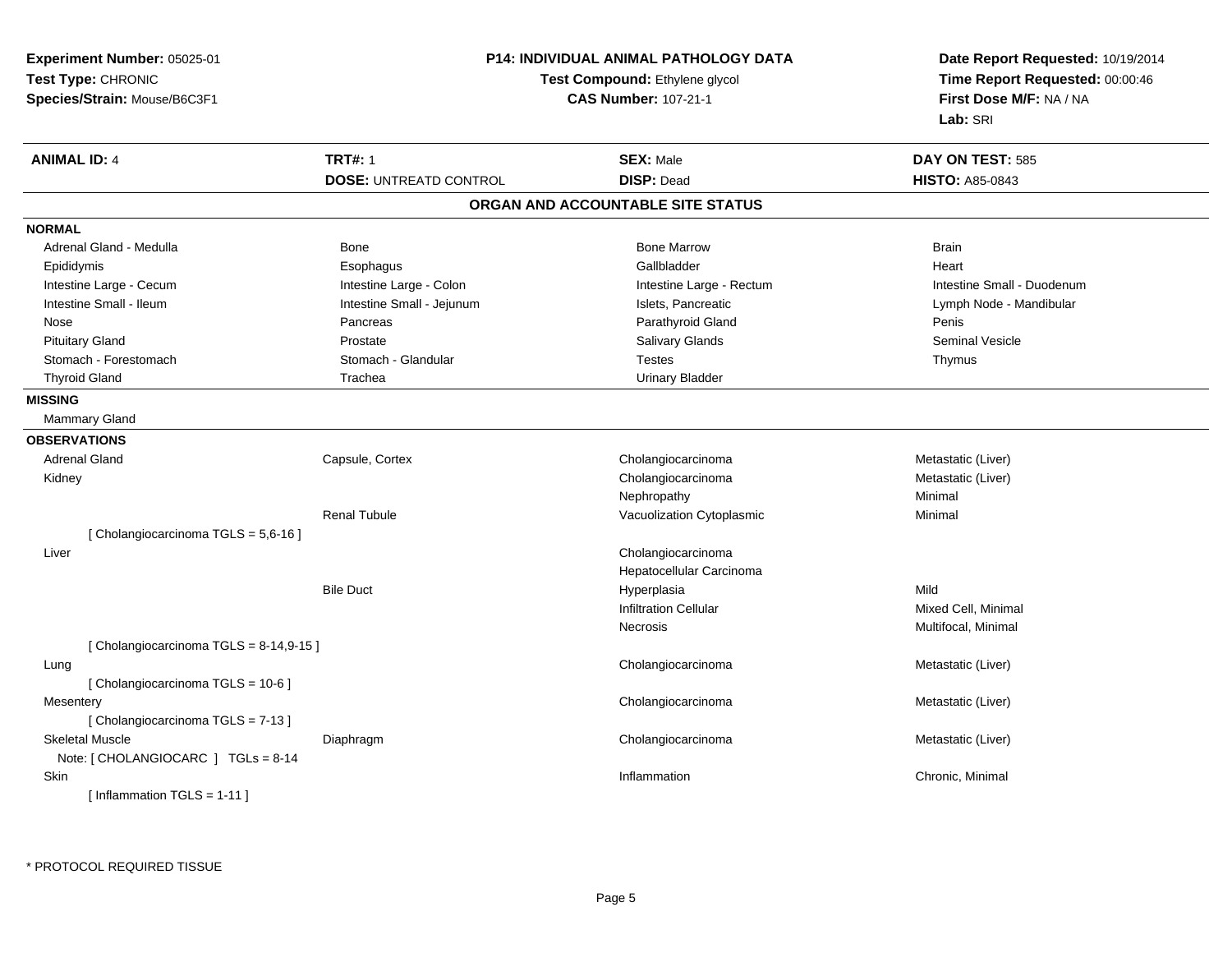| Experiment Number: 05025-01           | <b>P14: INDIVIDUAL ANIMAL PATHOLOGY DATA</b> |                                   | Date Report Requested: 10/19/2014 |  |
|---------------------------------------|----------------------------------------------|-----------------------------------|-----------------------------------|--|
| Test Type: CHRONIC                    | Test Compound: Ethylene glycol               |                                   | Time Report Requested: 00:00:46   |  |
| Species/Strain: Mouse/B6C3F1          |                                              | <b>CAS Number: 107-21-1</b>       | First Dose M/F: NA / NA           |  |
|                                       |                                              |                                   | Lab: SRI                          |  |
| <b>ANIMAL ID: 4</b>                   | <b>TRT#: 1</b>                               | <b>SEX: Male</b>                  | DAY ON TEST: 585                  |  |
|                                       | <b>DOSE: UNTREATD CONTROL</b>                | <b>DISP: Dead</b>                 | <b>HISTO: A85-0843</b>            |  |
|                                       |                                              | ORGAN AND ACCOUNTABLE SITE STATUS |                                   |  |
| <b>NORMAL</b>                         |                                              |                                   |                                   |  |
| Adrenal Gland - Medulla               | Bone                                         | <b>Bone Marrow</b>                | <b>Brain</b>                      |  |
| Epididymis                            | Esophagus                                    | Gallbladder                       | Heart                             |  |
| Intestine Large - Cecum               | Intestine Large - Colon                      | Intestine Large - Rectum          | Intestine Small - Duodenum        |  |
| Intestine Small - Ileum               | Intestine Small - Jejunum                    | Islets, Pancreatic                | Lymph Node - Mandibular           |  |
| Nose                                  | Pancreas                                     | Parathyroid Gland                 | Penis                             |  |
| <b>Pituitary Gland</b>                | Prostate                                     | Salivary Glands                   | <b>Seminal Vesicle</b>            |  |
| Stomach - Forestomach                 | Stomach - Glandular                          | Testes                            | Thymus                            |  |
| <b>Thyroid Gland</b>                  | Trachea                                      | <b>Urinary Bladder</b>            |                                   |  |
| <b>MISSING</b>                        |                                              |                                   |                                   |  |
| <b>Mammary Gland</b>                  |                                              |                                   |                                   |  |
| <b>OBSERVATIONS</b>                   |                                              |                                   |                                   |  |
| <b>Adrenal Gland</b>                  | Capsule, Cortex                              | Cholangiocarcinoma                | Metastatic (Liver)                |  |
| Kidney                                |                                              | Cholangiocarcinoma                | Metastatic (Liver)                |  |
|                                       |                                              | Nephropathy                       | Minimal                           |  |
|                                       | <b>Renal Tubule</b>                          | Vacuolization Cytoplasmic         | Minimal                           |  |
| [Cholangiocarcinoma TGLS = 5,6-16]    |                                              |                                   |                                   |  |
| Liver                                 |                                              | Cholangiocarcinoma                |                                   |  |
|                                       |                                              | Hepatocellular Carcinoma          |                                   |  |
|                                       | <b>Bile Duct</b>                             | Hyperplasia                       | Mild                              |  |
|                                       |                                              | <b>Infiltration Cellular</b>      | Mixed Cell, Minimal               |  |
|                                       |                                              | Necrosis                          | Multifocal, Minimal               |  |
| [Cholangiocarcinoma TGLS = 8-14,9-15] |                                              |                                   |                                   |  |
| Lung                                  |                                              | Cholangiocarcinoma                | Metastatic (Liver)                |  |
| [ Cholangiocarcinoma TGLS = 10-6 ]    |                                              |                                   |                                   |  |
| Mesentery                             |                                              | Cholangiocarcinoma                | Metastatic (Liver)                |  |
| [Cholangiocarcinoma TGLS = 7-13]      |                                              |                                   |                                   |  |
| <b>Skeletal Muscle</b>                | Diaphragm                                    | Cholangiocarcinoma                | Metastatic (Liver)                |  |
| Note: [ CHOLANGIOCARC ] TGLs = 8-14   |                                              |                                   |                                   |  |
| Skin                                  |                                              | Inflammation                      | Chronic, Minimal                  |  |
| [Inflammation TGLS = $1-11$ ]         |                                              |                                   |                                   |  |
|                                       |                                              |                                   |                                   |  |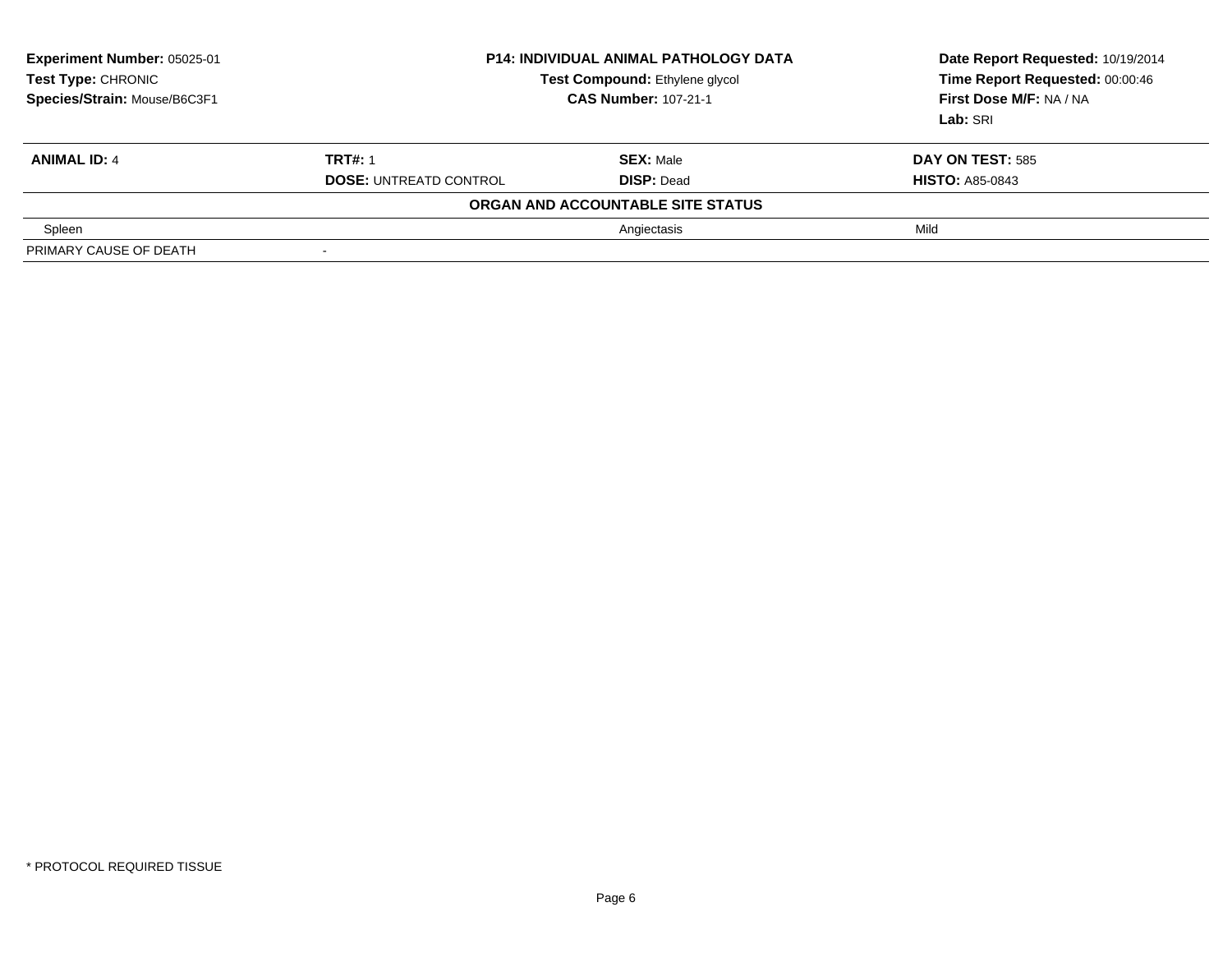| <b>Experiment Number: 05025-01</b><br>Test Type: CHRONIC<br>Species/Strain: Mouse/B6C3F1 | <b>P14: INDIVIDUAL ANIMAL PATHOLOGY DATA</b><br>Test Compound: Ethylene glycol<br><b>CAS Number: 107-21-1</b> |                                   | Date Report Requested: 10/19/2014<br>Time Report Requested: 00:00:46<br>First Dose M/F: NA / NA<br>Lab: SRI |
|------------------------------------------------------------------------------------------|---------------------------------------------------------------------------------------------------------------|-----------------------------------|-------------------------------------------------------------------------------------------------------------|
| <b>ANIMAL ID: 4</b>                                                                      | <b>TRT#: 1</b>                                                                                                | <b>SEX: Male</b>                  | <b>DAY ON TEST: 585</b>                                                                                     |
|                                                                                          | <b>DOSE: UNTREATD CONTROL</b>                                                                                 | <b>DISP: Dead</b>                 | <b>HISTO: A85-0843</b>                                                                                      |
|                                                                                          |                                                                                                               | ORGAN AND ACCOUNTABLE SITE STATUS |                                                                                                             |
| Spleen                                                                                   |                                                                                                               | Angiectasis                       | Mild                                                                                                        |
| PRIMARY CAUSE OF DEATH                                                                   | $\overline{\phantom{a}}$                                                                                      |                                   |                                                                                                             |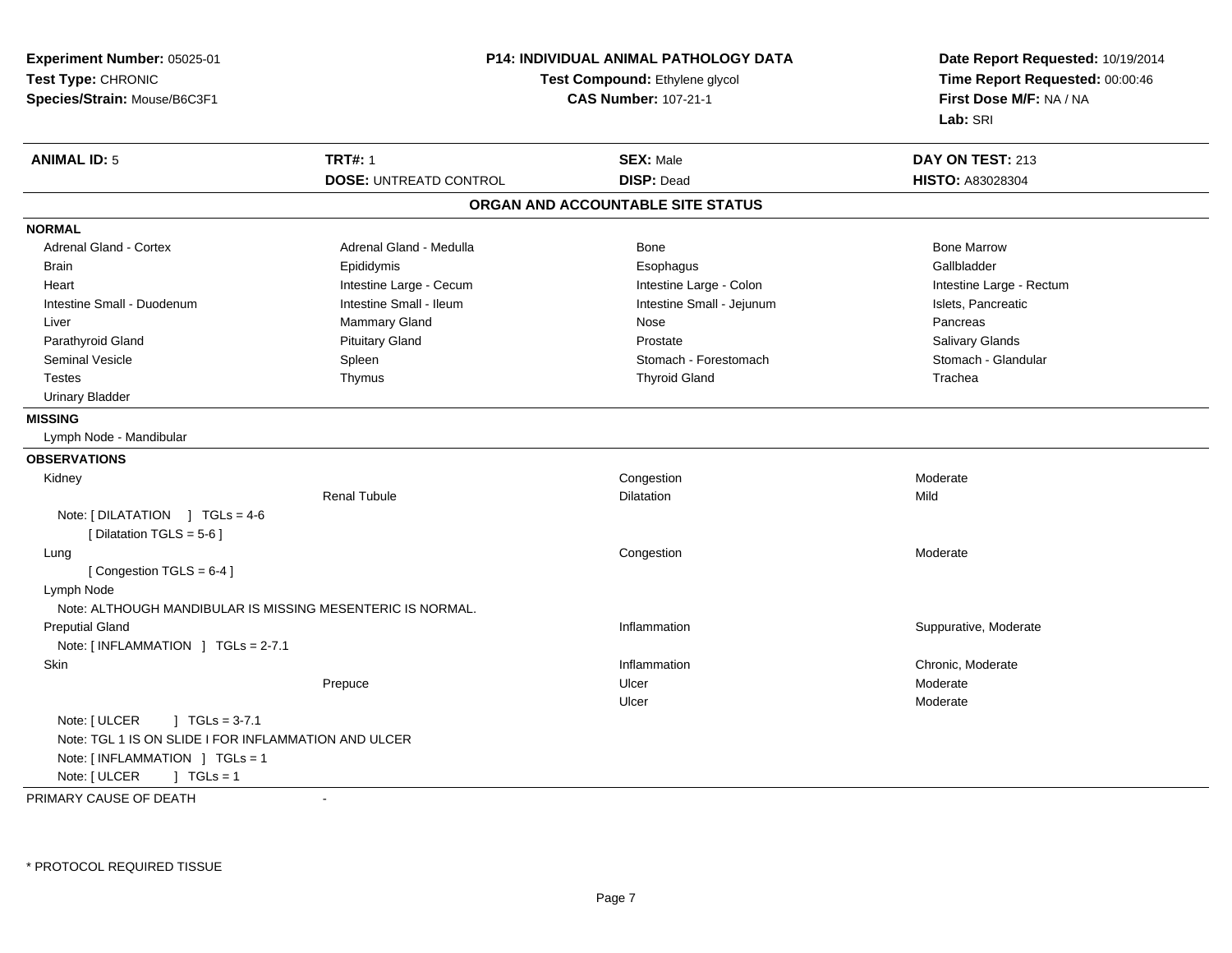| Experiment Number: 05025-01                                                            |                               | <b>P14: INDIVIDUAL ANIMAL PATHOLOGY DATA</b> | Date Report Requested: 10/19/2014                          |  |
|----------------------------------------------------------------------------------------|-------------------------------|----------------------------------------------|------------------------------------------------------------|--|
| Test Type: CHRONIC                                                                     |                               | Test Compound: Ethylene glycol               |                                                            |  |
| Species/Strain: Mouse/B6C3F1                                                           |                               | <b>CAS Number: 107-21-1</b>                  | Time Report Requested: 00:00:46<br>First Dose M/F: NA / NA |  |
|                                                                                        |                               |                                              | Lab: SRI                                                   |  |
| <b>ANIMAL ID: 5</b>                                                                    | <b>TRT#: 1</b>                | <b>SEX: Male</b>                             | DAY ON TEST: 213                                           |  |
|                                                                                        | <b>DOSE: UNTREATD CONTROL</b> | <b>DISP: Dead</b>                            | HISTO: A83028304                                           |  |
|                                                                                        |                               | ORGAN AND ACCOUNTABLE SITE STATUS            |                                                            |  |
| <b>NORMAL</b>                                                                          |                               |                                              |                                                            |  |
| Adrenal Gland - Cortex                                                                 | Adrenal Gland - Medulla       | Bone                                         | <b>Bone Marrow</b>                                         |  |
| <b>Brain</b>                                                                           | Epididymis                    | Esophagus                                    | Gallbladder                                                |  |
| Heart                                                                                  | Intestine Large - Cecum       | Intestine Large - Colon                      | Intestine Large - Rectum                                   |  |
| Intestine Small - Duodenum                                                             | Intestine Small - Ileum       | Intestine Small - Jejunum                    | Islets, Pancreatic                                         |  |
| Liver                                                                                  | Mammary Gland                 | Nose                                         | Pancreas                                                   |  |
| Parathyroid Gland                                                                      | <b>Pituitary Gland</b>        | Prostate                                     | Salivary Glands                                            |  |
| Seminal Vesicle                                                                        | Spleen                        | Stomach - Forestomach                        | Stomach - Glandular                                        |  |
| <b>Testes</b>                                                                          | Thymus                        | <b>Thyroid Gland</b>                         | Trachea                                                    |  |
| <b>Urinary Bladder</b>                                                                 |                               |                                              |                                                            |  |
| <b>MISSING</b>                                                                         |                               |                                              |                                                            |  |
| Lymph Node - Mandibular                                                                |                               |                                              |                                                            |  |
| <b>OBSERVATIONS</b>                                                                    |                               |                                              |                                                            |  |
| Kidney                                                                                 |                               | Congestion                                   | Moderate                                                   |  |
|                                                                                        | <b>Renal Tubule</b>           | <b>Dilatation</b>                            | Mild                                                       |  |
| Note: $[DILATATION] TGLs = 4-6$<br>[Dilatation TGLS = 5-6]                             |                               |                                              |                                                            |  |
| Lung                                                                                   |                               | Congestion                                   | Moderate                                                   |  |
| [Congestion TGLS = $6-4$ ]                                                             |                               |                                              |                                                            |  |
| Lymph Node                                                                             |                               |                                              |                                                            |  |
| Note: ALTHOUGH MANDIBULAR IS MISSING MESENTERIC IS NORMAL.                             |                               |                                              |                                                            |  |
| <b>Preputial Gland</b>                                                                 |                               | Inflammation                                 | Suppurative, Moderate                                      |  |
| Note: [INFLAMMATION ] TGLs = 2-7.1                                                     |                               |                                              |                                                            |  |
| Skin                                                                                   |                               | Inflammation                                 | Chronic, Moderate                                          |  |
|                                                                                        | Prepuce                       | Ulcer                                        | Moderate                                                   |  |
|                                                                                        |                               | Ulcer                                        | Moderate                                                   |  |
| Note: [ ULCER<br>$\vert$ TGLs = 3-7.1                                                  |                               |                                              |                                                            |  |
| Note: TGL 1 IS ON SLIDE I FOR INFLAMMATION AND ULCER<br>Note: [INFLAMMATION ] TGLs = 1 |                               |                                              |                                                            |  |
| Note: [ ULCER<br>$1 TGLs = 1$                                                          |                               |                                              |                                                            |  |
|                                                                                        |                               |                                              |                                                            |  |

PRIMARY CAUSE OF DEATH-

\* PROTOCOL REQUIRED TISSUE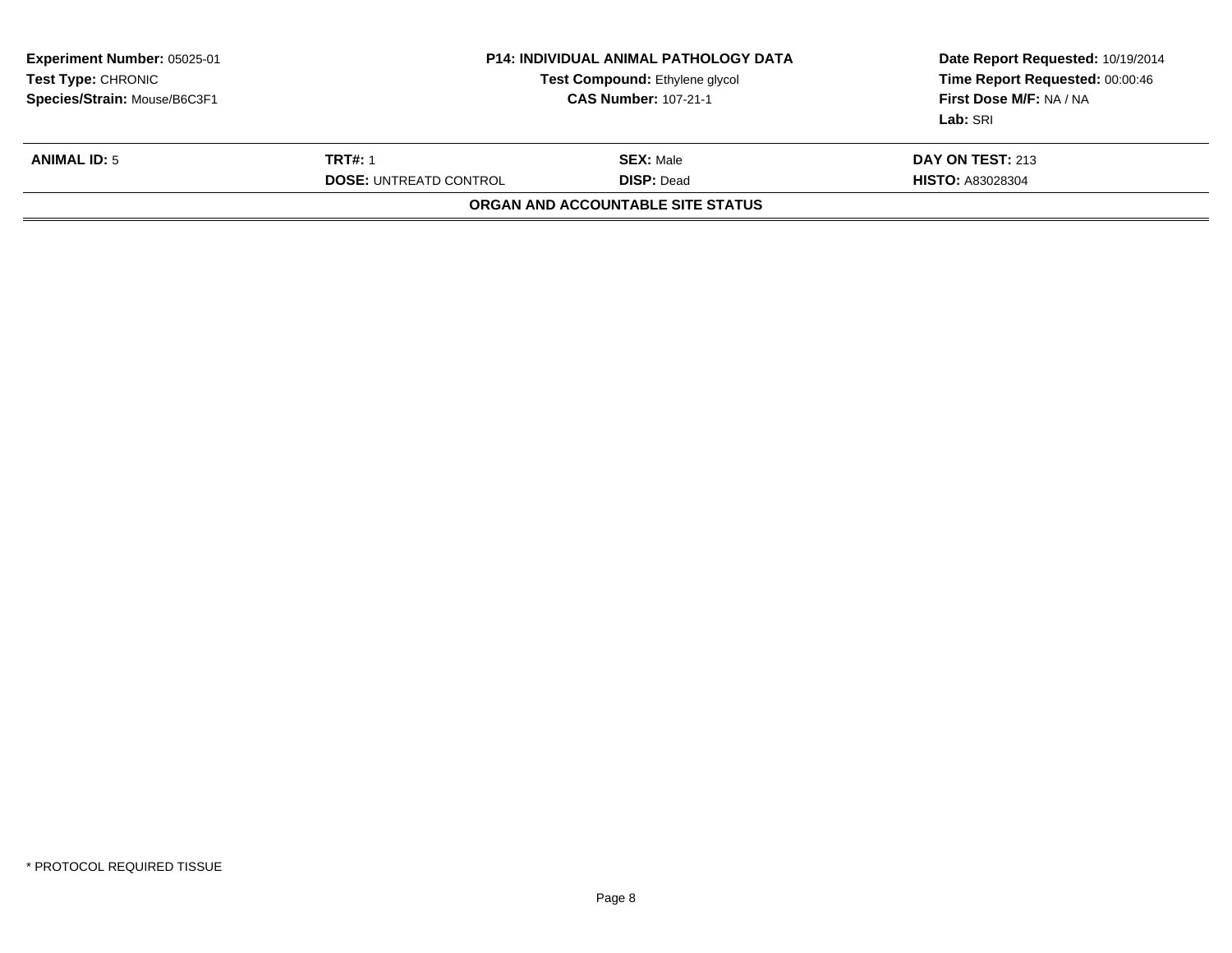| <b>Experiment Number: 05025-01</b><br>Test Type: CHRONIC<br>Species/Strain: Mouse/B6C3F1 | <b>P14: INDIVIDUAL ANIMAL PATHOLOGY DATA</b><br>Test Compound: Ethylene glycol<br><b>CAS Number: 107-21-1</b> |                                       | Date Report Requested: 10/19/2014<br>Time Report Requested: 00:00:46<br>First Dose M/F: NA / NA<br>Lab: SRI |
|------------------------------------------------------------------------------------------|---------------------------------------------------------------------------------------------------------------|---------------------------------------|-------------------------------------------------------------------------------------------------------------|
| <b>ANIMAL ID: 5</b>                                                                      | <b>TRT#: 1</b><br><b>DOSE: UNTREATD CONTROL</b>                                                               | <b>SEX:</b> Male<br><b>DISP: Dead</b> | <b>DAY ON TEST: 213</b><br><b>HISTO: A83028304</b>                                                          |
|                                                                                          |                                                                                                               | ORGAN AND ACCOUNTABLE SITE STATUS     |                                                                                                             |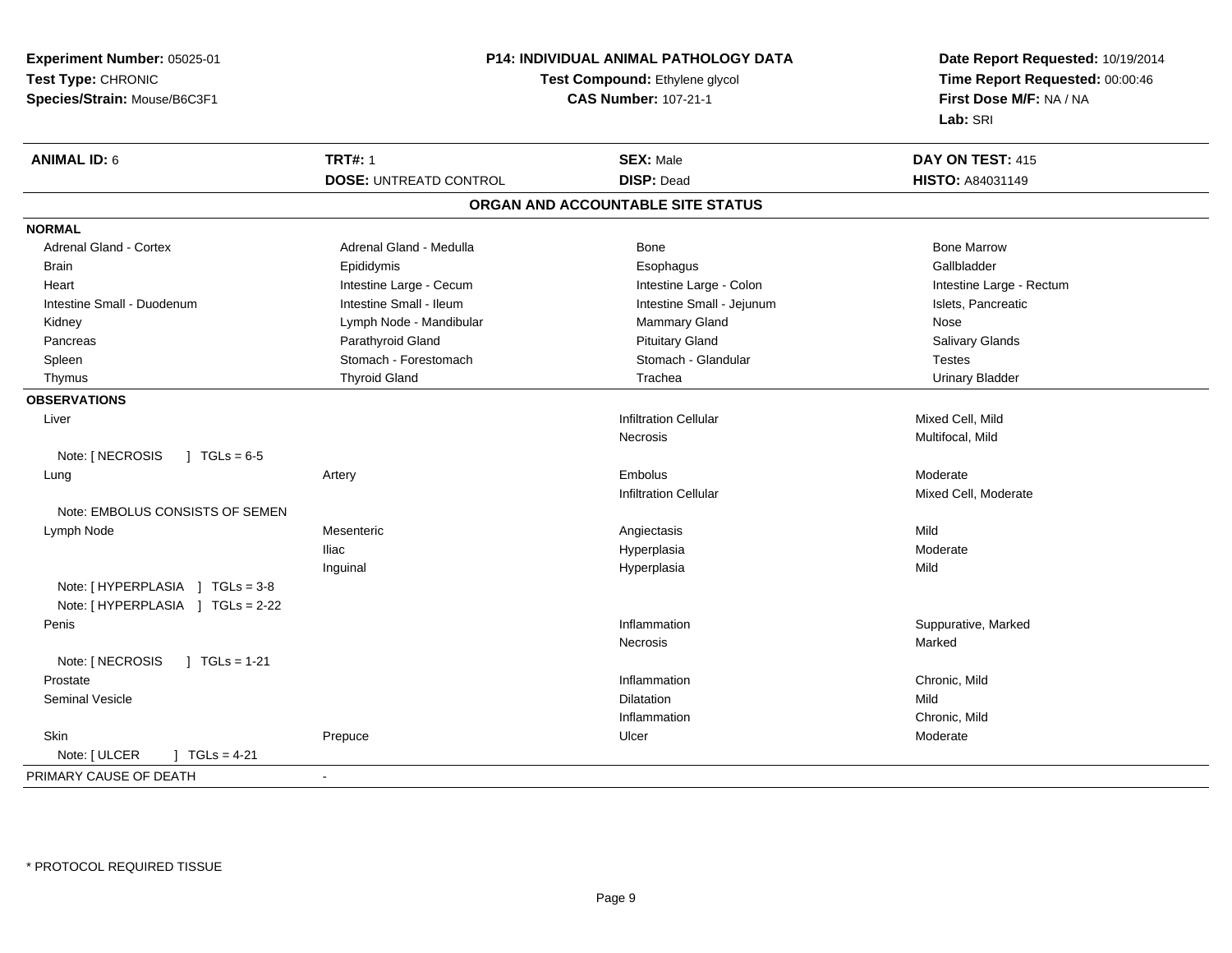| Experiment Number: 05025-01                | P14: INDIVIDUAL ANIMAL PATHOLOGY DATA<br>Test Compound: Ethylene glycol<br><b>CAS Number: 107-21-1</b> |                                   | Date Report Requested: 10/19/2014<br>Time Report Requested: 00:00:46 |  |
|--------------------------------------------|--------------------------------------------------------------------------------------------------------|-----------------------------------|----------------------------------------------------------------------|--|
| Test Type: CHRONIC                         |                                                                                                        |                                   |                                                                      |  |
| Species/Strain: Mouse/B6C3F1               |                                                                                                        |                                   | First Dose M/F: NA / NA                                              |  |
|                                            |                                                                                                        |                                   | Lab: SRI                                                             |  |
| <b>ANIMAL ID: 6</b>                        | <b>TRT#: 1</b>                                                                                         | <b>SEX: Male</b>                  | DAY ON TEST: 415                                                     |  |
|                                            | <b>DOSE: UNTREATD CONTROL</b>                                                                          | <b>DISP: Dead</b>                 | HISTO: A84031149                                                     |  |
|                                            |                                                                                                        | ORGAN AND ACCOUNTABLE SITE STATUS |                                                                      |  |
| <b>NORMAL</b>                              |                                                                                                        |                                   |                                                                      |  |
| <b>Adrenal Gland - Cortex</b>              | Adrenal Gland - Medulla                                                                                | Bone                              | <b>Bone Marrow</b>                                                   |  |
| <b>Brain</b>                               | Epididymis                                                                                             | Esophagus                         | Gallbladder                                                          |  |
| Heart                                      | Intestine Large - Cecum                                                                                | Intestine Large - Colon           | Intestine Large - Rectum                                             |  |
| Intestine Small - Duodenum                 | Intestine Small - Ileum                                                                                | Intestine Small - Jejunum         | Islets, Pancreatic                                                   |  |
| Kidney                                     | Lymph Node - Mandibular                                                                                | Mammary Gland                     | Nose                                                                 |  |
| Pancreas                                   | Parathyroid Gland                                                                                      | <b>Pituitary Gland</b>            | Salivary Glands                                                      |  |
| Spleen                                     | Stomach - Forestomach                                                                                  | Stomach - Glandular               | <b>Testes</b>                                                        |  |
| Thymus                                     | <b>Thyroid Gland</b>                                                                                   | Trachea                           | <b>Urinary Bladder</b>                                               |  |
| <b>OBSERVATIONS</b>                        |                                                                                                        |                                   |                                                                      |  |
| Liver                                      |                                                                                                        | <b>Infiltration Cellular</b>      | Mixed Cell, Mild                                                     |  |
|                                            |                                                                                                        | <b>Necrosis</b>                   | Multifocal, Mild                                                     |  |
| Note: [ NECROSIS<br>$1 \text{ TGLs} = 6.5$ |                                                                                                        |                                   |                                                                      |  |
| Lung                                       | Artery                                                                                                 | <b>Embolus</b>                    | Moderate                                                             |  |
|                                            |                                                                                                        | <b>Infiltration Cellular</b>      | Mixed Cell, Moderate                                                 |  |
| Note: EMBOLUS CONSISTS OF SEMEN            |                                                                                                        |                                   |                                                                      |  |
| Lymph Node                                 | Mesenteric                                                                                             | Angiectasis                       | Mild                                                                 |  |
|                                            | <b>Iliac</b>                                                                                           | Hyperplasia                       | Moderate                                                             |  |
|                                            | Inguinal                                                                                               | Hyperplasia                       | Mild                                                                 |  |
| Note: [HYPERPLASIA ] TGLs = 3-8            |                                                                                                        |                                   |                                                                      |  |
| Note: [HYPERPLASIA ] TGLs = 2-22           |                                                                                                        |                                   |                                                                      |  |
| Penis                                      |                                                                                                        | Inflammation                      | Suppurative, Marked                                                  |  |
|                                            |                                                                                                        | <b>Necrosis</b>                   | Marked                                                               |  |
| Note: [ NECROSIS<br>$\sqrt{1}$ TGLs = 1-21 |                                                                                                        |                                   |                                                                      |  |
| Prostate                                   |                                                                                                        | Inflammation                      | Chronic, Mild                                                        |  |
| <b>Seminal Vesicle</b>                     |                                                                                                        | <b>Dilatation</b>                 | Mild                                                                 |  |
|                                            |                                                                                                        | Inflammation                      | Chronic, Mild                                                        |  |
| Skin                                       | Prepuce                                                                                                | Ulcer                             | Moderate                                                             |  |
| Note: [ ULCER<br>$J TGLs = 4-21$           |                                                                                                        |                                   |                                                                      |  |
| PRIMARY CAUSE OF DEATH                     | $\blacksquare$                                                                                         |                                   |                                                                      |  |
|                                            |                                                                                                        |                                   |                                                                      |  |

\* PROTOCOL REQUIRED TISSUE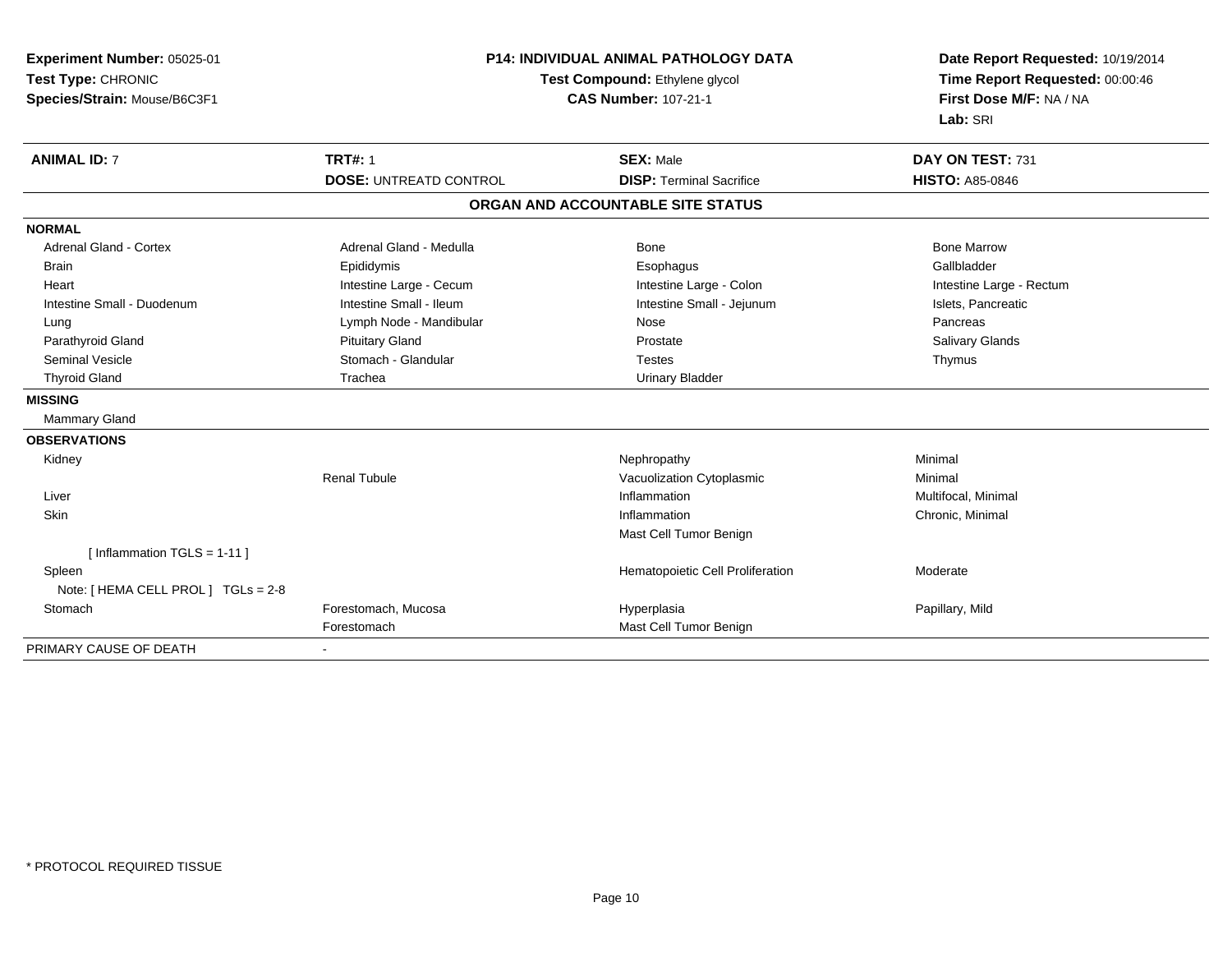| Experiment Number: 05025-01<br>Test Type: CHRONIC<br>Species/Strain: Mouse/B6C3F1 | <b>P14: INDIVIDUAL ANIMAL PATHOLOGY DATA</b><br>Test Compound: Ethylene glycol<br><b>CAS Number: 107-21-1</b> |                                   | Date Report Requested: 10/19/2014<br>Time Report Requested: 00:00:46<br>First Dose M/F: NA / NA<br>Lab: SRI |  |
|-----------------------------------------------------------------------------------|---------------------------------------------------------------------------------------------------------------|-----------------------------------|-------------------------------------------------------------------------------------------------------------|--|
| <b>ANIMAL ID: 7</b>                                                               | <b>TRT#: 1</b>                                                                                                | <b>SEX: Male</b>                  | DAY ON TEST: 731                                                                                            |  |
|                                                                                   | <b>DOSE: UNTREATD CONTROL</b>                                                                                 | <b>DISP: Terminal Sacrifice</b>   | <b>HISTO: A85-0846</b>                                                                                      |  |
|                                                                                   |                                                                                                               | ORGAN AND ACCOUNTABLE SITE STATUS |                                                                                                             |  |
| <b>NORMAL</b>                                                                     |                                                                                                               |                                   |                                                                                                             |  |
| Adrenal Gland - Cortex                                                            | Adrenal Gland - Medulla                                                                                       | Bone                              | <b>Bone Marrow</b>                                                                                          |  |
| <b>Brain</b>                                                                      | Epididymis                                                                                                    | Esophagus                         | Gallbladder                                                                                                 |  |
| Heart                                                                             | Intestine Large - Cecum                                                                                       | Intestine Large - Colon           | Intestine Large - Rectum                                                                                    |  |
| Intestine Small - Duodenum                                                        | Intestine Small - Ileum                                                                                       | Intestine Small - Jejunum         | Islets, Pancreatic                                                                                          |  |
| Lung                                                                              | Lymph Node - Mandibular                                                                                       | Nose                              | Pancreas                                                                                                    |  |
| Parathyroid Gland                                                                 | <b>Pituitary Gland</b>                                                                                        | Prostate                          | Salivary Glands                                                                                             |  |
| <b>Seminal Vesicle</b>                                                            | Stomach - Glandular                                                                                           | <b>Testes</b>                     | Thymus                                                                                                      |  |
| <b>Thyroid Gland</b>                                                              | Trachea                                                                                                       | <b>Urinary Bladder</b>            |                                                                                                             |  |
| <b>MISSING</b>                                                                    |                                                                                                               |                                   |                                                                                                             |  |
| Mammary Gland                                                                     |                                                                                                               |                                   |                                                                                                             |  |
| <b>OBSERVATIONS</b>                                                               |                                                                                                               |                                   |                                                                                                             |  |
| Kidney                                                                            |                                                                                                               | Nephropathy                       | Minimal                                                                                                     |  |
|                                                                                   | <b>Renal Tubule</b>                                                                                           | Vacuolization Cytoplasmic         | Minimal                                                                                                     |  |
| Liver                                                                             |                                                                                                               | Inflammation                      | Multifocal, Minimal                                                                                         |  |
| Skin                                                                              |                                                                                                               | Inflammation                      | Chronic, Minimal                                                                                            |  |
|                                                                                   |                                                                                                               | Mast Cell Tumor Benign            |                                                                                                             |  |
| [Inflammation TGLS = $1-11$ ]                                                     |                                                                                                               |                                   |                                                                                                             |  |
| Spleen                                                                            |                                                                                                               | Hematopoietic Cell Proliferation  | Moderate                                                                                                    |  |
| Note: [ HEMA CELL PROL ] TGLs = 2-8                                               |                                                                                                               |                                   |                                                                                                             |  |
| Stomach                                                                           | Forestomach, Mucosa                                                                                           | Hyperplasia                       | Papillary, Mild                                                                                             |  |
|                                                                                   | Forestomach                                                                                                   | Mast Cell Tumor Benign            |                                                                                                             |  |
| PRIMARY CAUSE OF DEATH                                                            |                                                                                                               |                                   |                                                                                                             |  |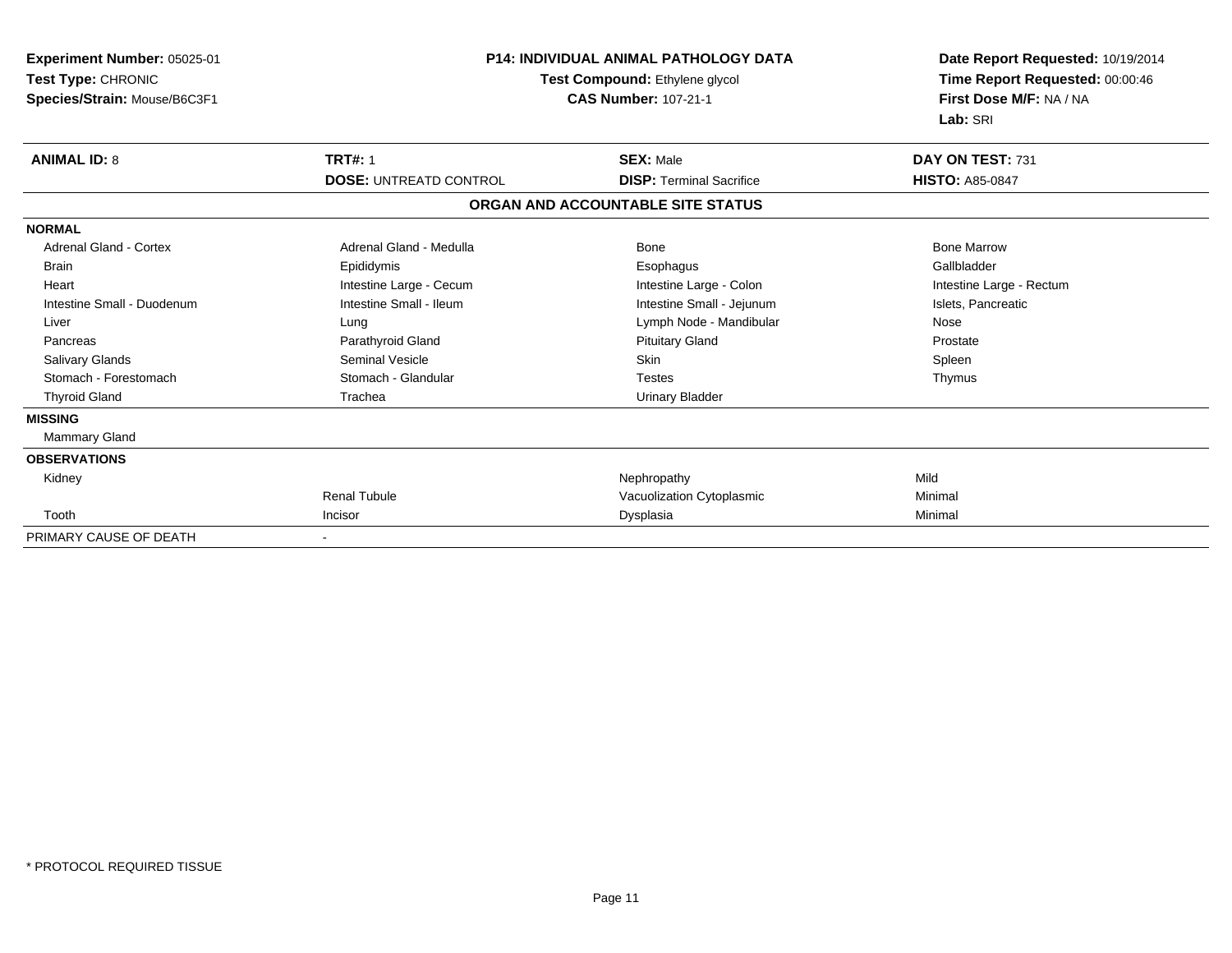| Experiment Number: 05025-01<br>Test Type: CHRONIC<br>Species/Strain: Mouse/B6C3F1 | <b>P14: INDIVIDUAL ANIMAL PATHOLOGY DATA</b><br>Test Compound: Ethylene glycol<br><b>CAS Number: 107-21-1</b> |                                   | Date Report Requested: 10/19/2014<br>Time Report Requested: 00:00:46<br>First Dose M/F: NA / NA<br>Lab: SRI |  |
|-----------------------------------------------------------------------------------|---------------------------------------------------------------------------------------------------------------|-----------------------------------|-------------------------------------------------------------------------------------------------------------|--|
| <b>ANIMAL ID: 8</b>                                                               | <b>TRT#: 1</b>                                                                                                | <b>SEX: Male</b>                  | DAY ON TEST: 731                                                                                            |  |
|                                                                                   | <b>DOSE: UNTREATD CONTROL</b>                                                                                 | <b>DISP: Terminal Sacrifice</b>   | <b>HISTO: A85-0847</b>                                                                                      |  |
|                                                                                   |                                                                                                               | ORGAN AND ACCOUNTABLE SITE STATUS |                                                                                                             |  |
| <b>NORMAL</b>                                                                     |                                                                                                               |                                   |                                                                                                             |  |
| <b>Adrenal Gland - Cortex</b>                                                     | Adrenal Gland - Medulla                                                                                       | Bone                              | <b>Bone Marrow</b>                                                                                          |  |
| <b>Brain</b>                                                                      | Epididymis                                                                                                    | Esophagus                         | Gallbladder                                                                                                 |  |
| Heart                                                                             | Intestine Large - Cecum                                                                                       | Intestine Large - Colon           | Intestine Large - Rectum                                                                                    |  |
| Intestine Small - Duodenum                                                        | Intestine Small - Ileum                                                                                       | Intestine Small - Jejunum         | Islets, Pancreatic                                                                                          |  |
| Liver                                                                             | Lung                                                                                                          | Lymph Node - Mandibular           | Nose                                                                                                        |  |
| Pancreas                                                                          | Parathyroid Gland                                                                                             | <b>Pituitary Gland</b>            | Prostate                                                                                                    |  |
| Salivary Glands                                                                   | <b>Seminal Vesicle</b>                                                                                        | Skin                              | Spleen                                                                                                      |  |
| Stomach - Forestomach                                                             | Stomach - Glandular                                                                                           | <b>Testes</b>                     | Thymus                                                                                                      |  |
| <b>Thyroid Gland</b>                                                              | Trachea                                                                                                       | <b>Urinary Bladder</b>            |                                                                                                             |  |
| <b>MISSING</b>                                                                    |                                                                                                               |                                   |                                                                                                             |  |
| <b>Mammary Gland</b>                                                              |                                                                                                               |                                   |                                                                                                             |  |
| <b>OBSERVATIONS</b>                                                               |                                                                                                               |                                   |                                                                                                             |  |
| Kidney                                                                            |                                                                                                               | Nephropathy                       | Mild                                                                                                        |  |
|                                                                                   | <b>Renal Tubule</b>                                                                                           | Vacuolization Cytoplasmic         | Minimal                                                                                                     |  |
| Tooth                                                                             | Incisor                                                                                                       | Dysplasia                         | Minimal                                                                                                     |  |
| PRIMARY CAUSE OF DEATH                                                            |                                                                                                               |                                   |                                                                                                             |  |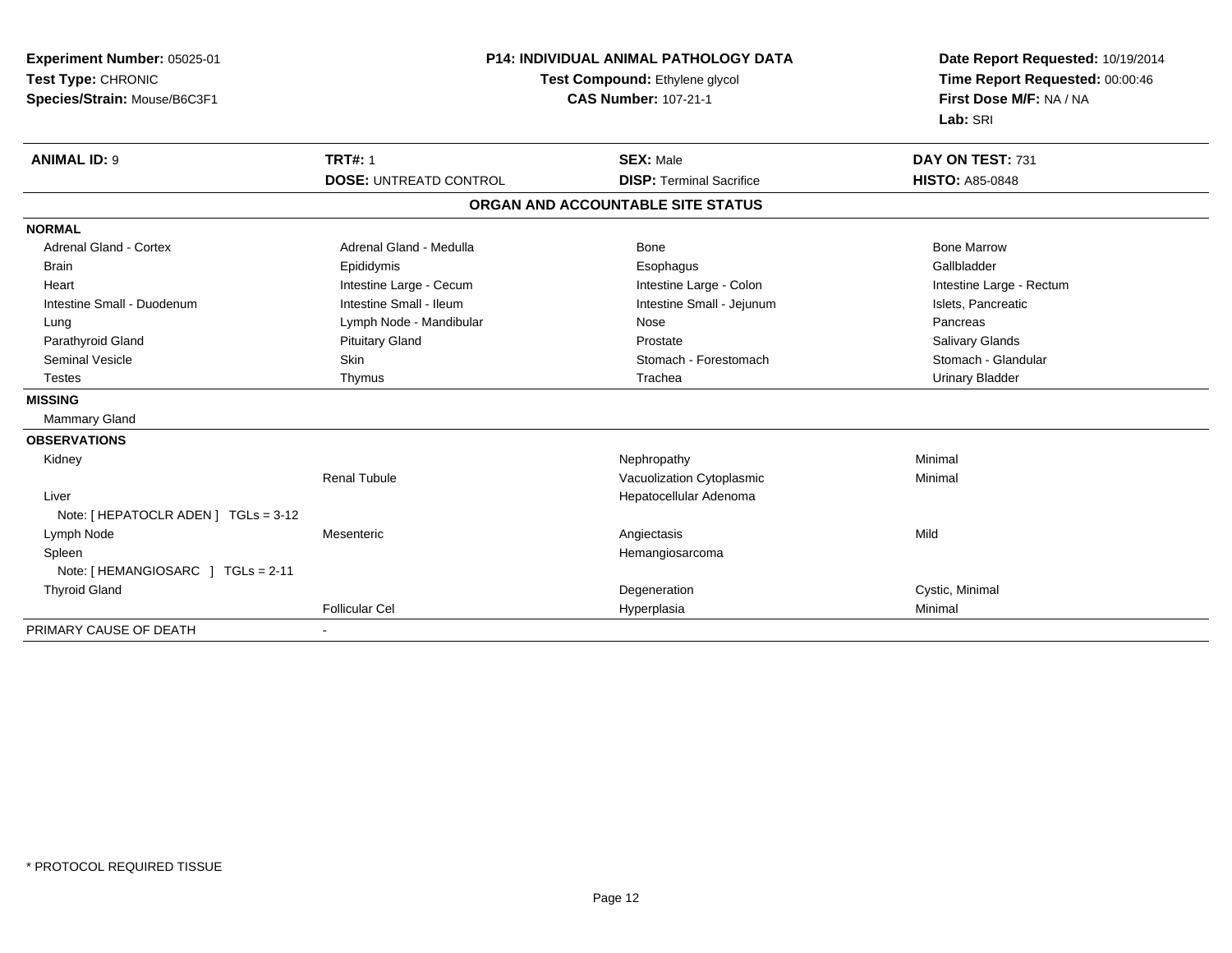| Experiment Number: 05025-01<br>Test Type: CHRONIC<br>Species/Strain: Mouse/B6C3F1 | <b>P14: INDIVIDUAL ANIMAL PATHOLOGY DATA</b><br>Test Compound: Ethylene glycol<br><b>CAS Number: 107-21-1</b> |                                                     | Date Report Requested: 10/19/2014<br>Time Report Requested: 00:00:46<br>First Dose M/F: NA / NA<br>Lab: SRI |  |
|-----------------------------------------------------------------------------------|---------------------------------------------------------------------------------------------------------------|-----------------------------------------------------|-------------------------------------------------------------------------------------------------------------|--|
| <b>ANIMAL ID: 9</b>                                                               | <b>TRT#: 1</b><br><b>DOSE: UNTREATD CONTROL</b>                                                               | <b>SEX: Male</b><br><b>DISP: Terminal Sacrifice</b> | DAY ON TEST: 731<br><b>HISTO: A85-0848</b>                                                                  |  |
|                                                                                   |                                                                                                               | ORGAN AND ACCOUNTABLE SITE STATUS                   |                                                                                                             |  |
| <b>NORMAL</b>                                                                     |                                                                                                               |                                                     |                                                                                                             |  |
| <b>Adrenal Gland - Cortex</b>                                                     | Adrenal Gland - Medulla                                                                                       | <b>Bone</b>                                         | <b>Bone Marrow</b>                                                                                          |  |
| <b>Brain</b>                                                                      | Epididymis                                                                                                    | Esophagus                                           | Gallbladder                                                                                                 |  |
| Heart                                                                             | Intestine Large - Cecum                                                                                       | Intestine Large - Colon                             | Intestine Large - Rectum                                                                                    |  |
| Intestine Small - Duodenum                                                        | Intestine Small - Ileum                                                                                       | Intestine Small - Jejunum                           | Islets, Pancreatic                                                                                          |  |
| Lung                                                                              | Lymph Node - Mandibular                                                                                       | Nose                                                | Pancreas                                                                                                    |  |
| Parathyroid Gland                                                                 | <b>Pituitary Gland</b>                                                                                        | Prostate                                            | Salivary Glands                                                                                             |  |
| <b>Seminal Vesicle</b>                                                            | Skin                                                                                                          | Stomach - Forestomach                               | Stomach - Glandular                                                                                         |  |
| <b>Testes</b>                                                                     | Thymus                                                                                                        | Trachea                                             | <b>Urinary Bladder</b>                                                                                      |  |
| <b>MISSING</b>                                                                    |                                                                                                               |                                                     |                                                                                                             |  |
| Mammary Gland                                                                     |                                                                                                               |                                                     |                                                                                                             |  |
| <b>OBSERVATIONS</b>                                                               |                                                                                                               |                                                     |                                                                                                             |  |
| Kidney                                                                            |                                                                                                               | Nephropathy                                         | Minimal                                                                                                     |  |
|                                                                                   | Renal Tubule                                                                                                  | Vacuolization Cytoplasmic                           | Minimal                                                                                                     |  |
| Liver                                                                             |                                                                                                               | Hepatocellular Adenoma                              |                                                                                                             |  |
| Note: [ HEPATOCLR ADEN ] TGLs = 3-12                                              |                                                                                                               |                                                     |                                                                                                             |  |
| Lymph Node                                                                        | Mesenteric                                                                                                    | Angiectasis                                         | Mild                                                                                                        |  |
| Spleen                                                                            |                                                                                                               | Hemangiosarcoma                                     |                                                                                                             |  |
| Note: [HEMANGIOSARC ] TGLs = 2-11                                                 |                                                                                                               |                                                     |                                                                                                             |  |
| <b>Thyroid Gland</b>                                                              |                                                                                                               | Degeneration                                        | Cystic, Minimal                                                                                             |  |
|                                                                                   | <b>Follicular Cel</b>                                                                                         | Hyperplasia                                         | Minimal                                                                                                     |  |
| PRIMARY CAUSE OF DEATH                                                            |                                                                                                               |                                                     |                                                                                                             |  |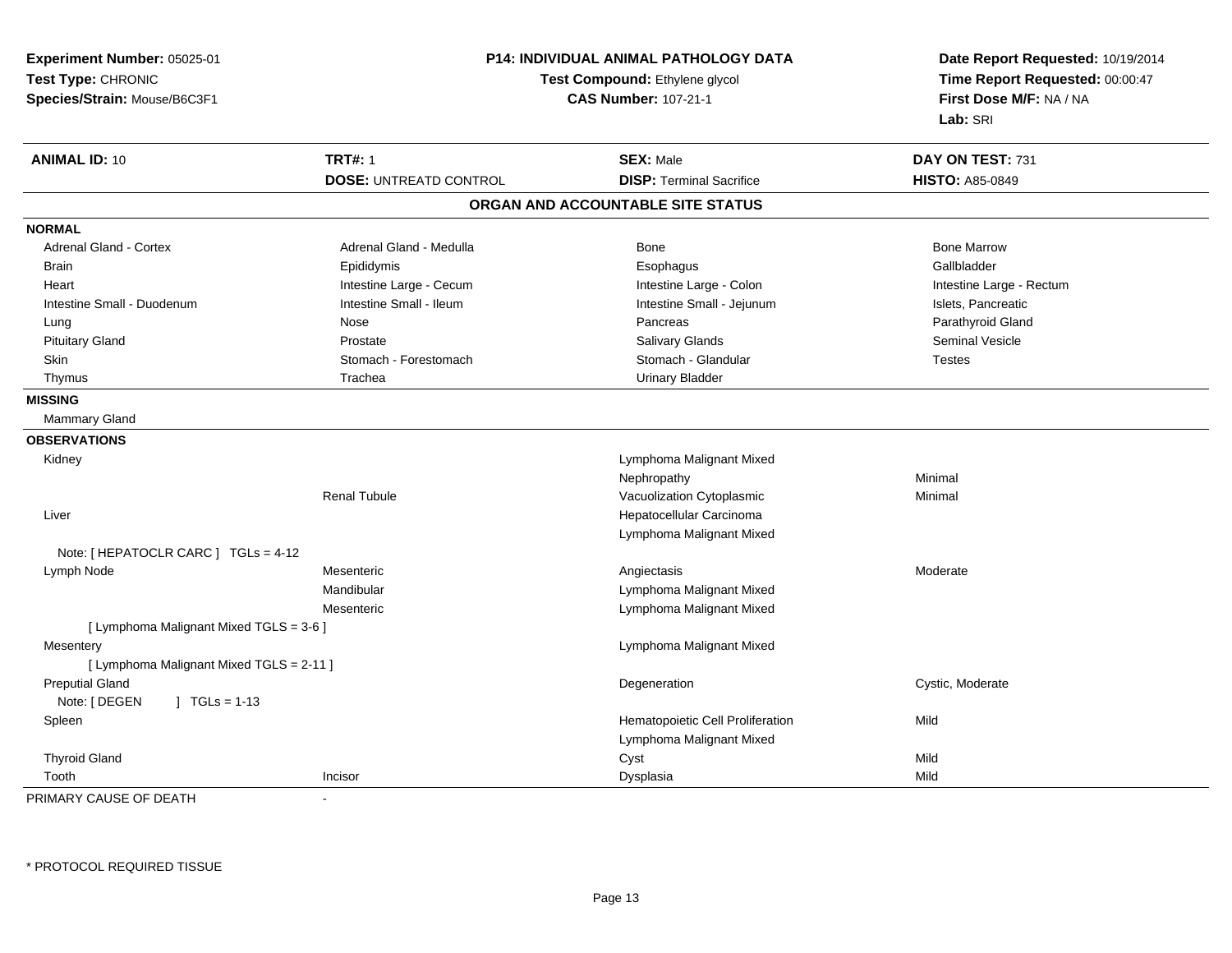| Experiment Number: 05025-01<br>Test Type: CHRONIC<br>Species/Strain: Mouse/B6C3F1 |                               | P14: INDIVIDUAL ANIMAL PATHOLOGY DATA<br>Test Compound: Ethylene glycol<br><b>CAS Number: 107-21-1</b> |                          |
|-----------------------------------------------------------------------------------|-------------------------------|--------------------------------------------------------------------------------------------------------|--------------------------|
| <b>ANIMAL ID: 10</b>                                                              | <b>TRT#: 1</b>                | <b>SEX: Male</b>                                                                                       | DAY ON TEST: 731         |
|                                                                                   | <b>DOSE: UNTREATD CONTROL</b> | <b>DISP: Terminal Sacrifice</b>                                                                        | <b>HISTO: A85-0849</b>   |
|                                                                                   |                               | ORGAN AND ACCOUNTABLE SITE STATUS                                                                      |                          |
| <b>NORMAL</b>                                                                     |                               |                                                                                                        |                          |
| Adrenal Gland - Cortex                                                            | Adrenal Gland - Medulla       | <b>Bone</b>                                                                                            | <b>Bone Marrow</b>       |
| <b>Brain</b>                                                                      | Epididymis                    | Esophagus                                                                                              | Gallbladder              |
| Heart                                                                             | Intestine Large - Cecum       | Intestine Large - Colon                                                                                | Intestine Large - Rectum |
| Intestine Small - Duodenum                                                        | Intestine Small - Ileum       | Intestine Small - Jejunum                                                                              | Islets, Pancreatic       |
| Lung                                                                              | Nose                          | Pancreas                                                                                               | Parathyroid Gland        |
| <b>Pituitary Gland</b>                                                            | Prostate                      | <b>Salivary Glands</b>                                                                                 | <b>Seminal Vesicle</b>   |
| Skin                                                                              | Stomach - Forestomach         | Stomach - Glandular                                                                                    | <b>Testes</b>            |
| Thymus                                                                            | Trachea                       | <b>Urinary Bladder</b>                                                                                 |                          |
| <b>MISSING</b>                                                                    |                               |                                                                                                        |                          |
| Mammary Gland                                                                     |                               |                                                                                                        |                          |
| <b>OBSERVATIONS</b>                                                               |                               |                                                                                                        |                          |
| Kidney                                                                            |                               | Lymphoma Malignant Mixed                                                                               |                          |
|                                                                                   |                               | Nephropathy                                                                                            | Minimal                  |
|                                                                                   | <b>Renal Tubule</b>           | Vacuolization Cytoplasmic                                                                              | Minimal                  |
| Liver                                                                             |                               | Hepatocellular Carcinoma                                                                               |                          |
|                                                                                   |                               | Lymphoma Malignant Mixed                                                                               |                          |
| Note: [ HEPATOCLR CARC ] TGLs = 4-12                                              |                               |                                                                                                        |                          |
| Lymph Node                                                                        | Mesenteric                    | Angiectasis                                                                                            | Moderate                 |
|                                                                                   | Mandibular                    | Lymphoma Malignant Mixed                                                                               |                          |
|                                                                                   | Mesenteric                    | Lymphoma Malignant Mixed                                                                               |                          |
| [ Lymphoma Malignant Mixed TGLS = 3-6 ]                                           |                               |                                                                                                        |                          |
| Mesentery                                                                         |                               | Lymphoma Malignant Mixed                                                                               |                          |
| [ Lymphoma Malignant Mixed TGLS = 2-11 ]                                          |                               |                                                                                                        |                          |
| <b>Preputial Gland</b>                                                            |                               | Degeneration                                                                                           | Cystic, Moderate         |
| Note: [ DEGEN<br>$J \cdot TGLS = 1-13$                                            |                               |                                                                                                        |                          |
| Spleen                                                                            |                               | Hematopoietic Cell Proliferation                                                                       | Mild                     |
|                                                                                   |                               | Lymphoma Malignant Mixed                                                                               |                          |
| <b>Thyroid Gland</b>                                                              |                               | Cyst                                                                                                   | Mild                     |
| Tooth                                                                             | Incisor                       | Dysplasia                                                                                              | Mild                     |

PRIMARY CAUSE OF DEATH-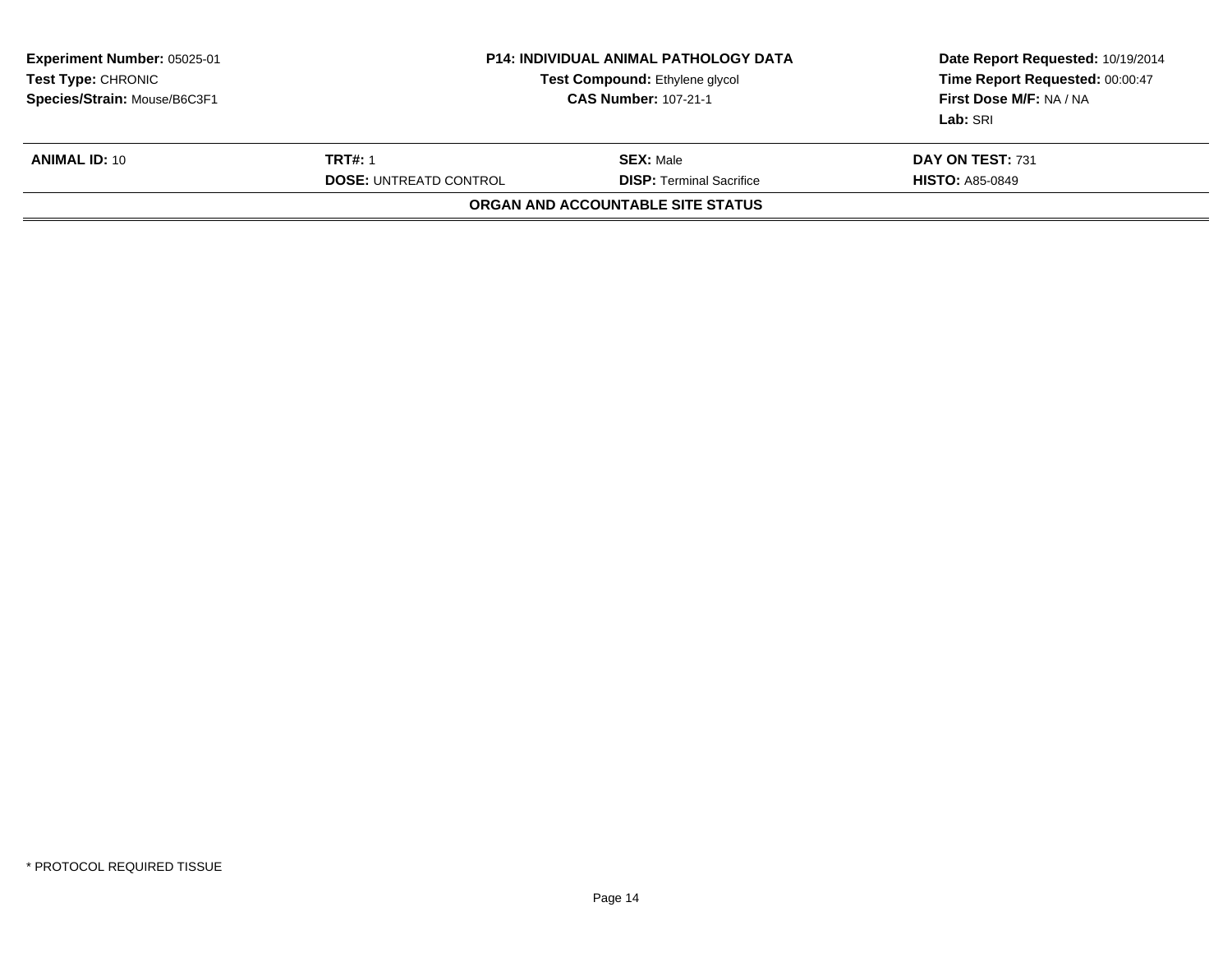| Species/Strain: Mouse/B6C3F1 | <b>P14: INDIVIDUAL ANIMAL PATHOLOGY DATA</b><br><b>Test Compound: Ethylene glycol</b><br><b>CAS Number: 107-21-1</b> |                                            | Time Report Requested: 00:00:47<br>First Dose M/F: NA / NA<br>Lab: SRI |
|------------------------------|----------------------------------------------------------------------------------------------------------------------|--------------------------------------------|------------------------------------------------------------------------|
| <b>ANIMAL ID: 10</b>         | <b>TRT#: 1</b><br><b>DOSE: UNTREATD CONTROL</b><br>ORGAN AND ACCOUNTABLE SITE STATUS                                 | DAY ON TEST: 731<br><b>HISTO: A85-0849</b> |                                                                        |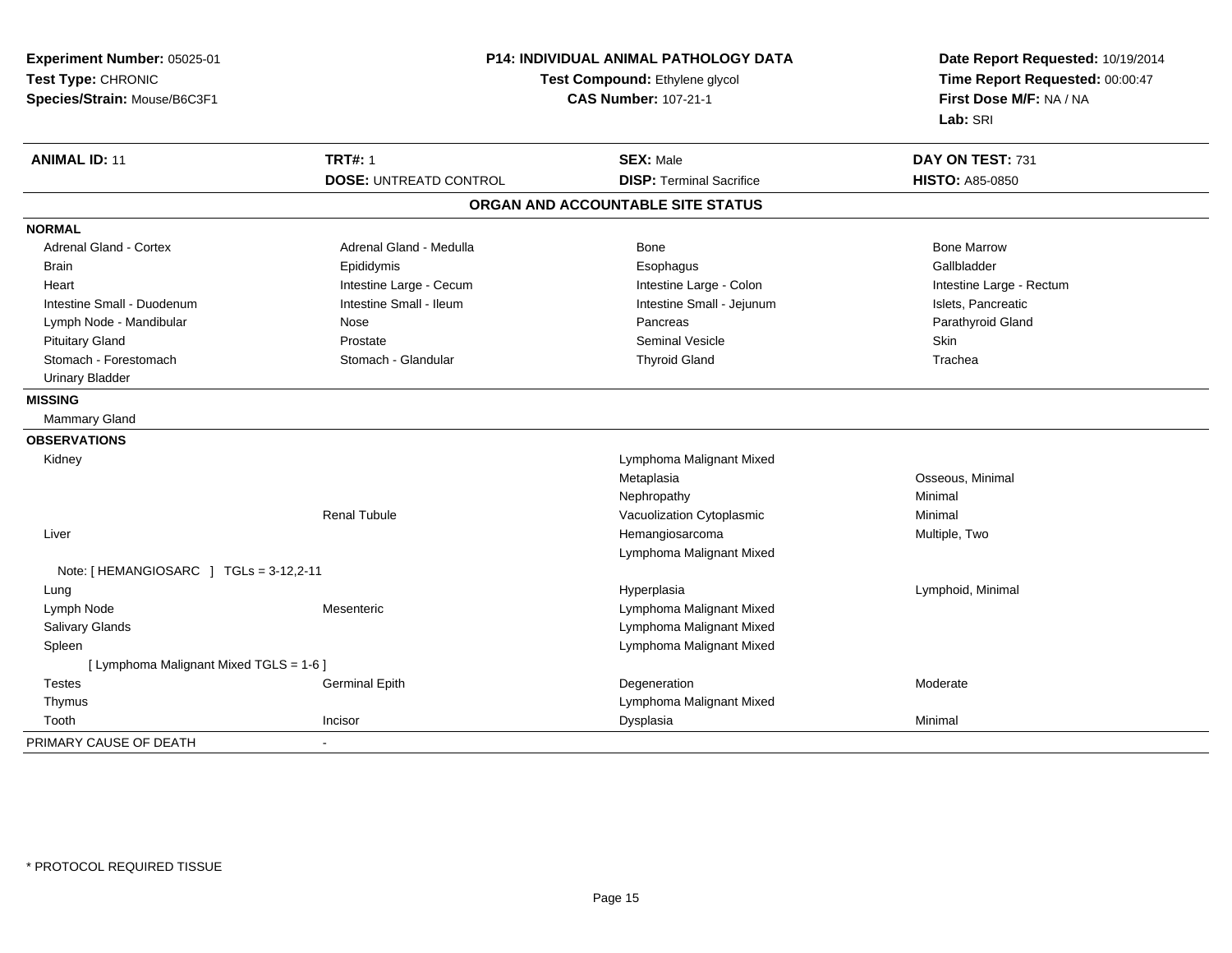| Experiment Number: 05025-01<br>Test Type: CHRONIC<br>Species/Strain: Mouse/B6C3F1 |                               | <b>P14: INDIVIDUAL ANIMAL PATHOLOGY DATA</b><br>Test Compound: Ethylene glycol<br><b>CAS Number: 107-21-1</b> |                          |
|-----------------------------------------------------------------------------------|-------------------------------|---------------------------------------------------------------------------------------------------------------|--------------------------|
| <b>ANIMAL ID: 11</b>                                                              | <b>TRT#: 1</b>                | <b>SEX: Male</b>                                                                                              | DAY ON TEST: 731         |
|                                                                                   | <b>DOSE: UNTREATD CONTROL</b> | <b>DISP: Terminal Sacrifice</b>                                                                               | <b>HISTO: A85-0850</b>   |
|                                                                                   |                               | ORGAN AND ACCOUNTABLE SITE STATUS                                                                             |                          |
| <b>NORMAL</b>                                                                     |                               |                                                                                                               |                          |
| <b>Adrenal Gland - Cortex</b>                                                     | Adrenal Gland - Medulla       | Bone                                                                                                          | <b>Bone Marrow</b>       |
| <b>Brain</b>                                                                      | Epididymis                    | Esophagus                                                                                                     | Gallbladder              |
| Heart                                                                             | Intestine Large - Cecum       | Intestine Large - Colon                                                                                       | Intestine Large - Rectum |
| Intestine Small - Duodenum                                                        | Intestine Small - Ileum       | Intestine Small - Jejunum                                                                                     | Islets, Pancreatic       |
| Lymph Node - Mandibular                                                           | Nose                          | Pancreas                                                                                                      | Parathyroid Gland        |
| <b>Pituitary Gland</b>                                                            | Prostate                      | Seminal Vesicle                                                                                               | Skin                     |
| Stomach - Forestomach                                                             | Stomach - Glandular           | <b>Thyroid Gland</b>                                                                                          | Trachea                  |
| <b>Urinary Bladder</b>                                                            |                               |                                                                                                               |                          |
| <b>MISSING</b>                                                                    |                               |                                                                                                               |                          |
| Mammary Gland                                                                     |                               |                                                                                                               |                          |
| <b>OBSERVATIONS</b>                                                               |                               |                                                                                                               |                          |
| Kidney                                                                            |                               | Lymphoma Malignant Mixed                                                                                      |                          |
|                                                                                   |                               | Metaplasia                                                                                                    | Osseous, Minimal         |
|                                                                                   |                               | Nephropathy                                                                                                   | Minimal                  |
|                                                                                   | <b>Renal Tubule</b>           | Vacuolization Cytoplasmic                                                                                     | Minimal                  |
| Liver                                                                             |                               | Hemangiosarcoma                                                                                               | Multiple, Two            |
|                                                                                   |                               | Lymphoma Malignant Mixed                                                                                      |                          |
| Note: [HEMANGIOSARC ] TGLs = 3-12,2-11                                            |                               |                                                                                                               |                          |
| Lung                                                                              |                               | Hyperplasia                                                                                                   | Lymphoid, Minimal        |
| Lymph Node                                                                        | Mesenteric                    | Lymphoma Malignant Mixed                                                                                      |                          |
| Salivary Glands                                                                   |                               | Lymphoma Malignant Mixed                                                                                      |                          |
| Spleen                                                                            |                               | Lymphoma Malignant Mixed                                                                                      |                          |
| [ Lymphoma Malignant Mixed TGLS = 1-6 ]                                           |                               |                                                                                                               |                          |
| <b>Testes</b>                                                                     | <b>Germinal Epith</b>         | Degeneration                                                                                                  | Moderate                 |
| Thymus                                                                            |                               | Lymphoma Malignant Mixed                                                                                      |                          |
| Tooth                                                                             | Incisor                       | Dysplasia                                                                                                     | Minimal                  |
| PRIMARY CAUSE OF DEATH                                                            |                               |                                                                                                               |                          |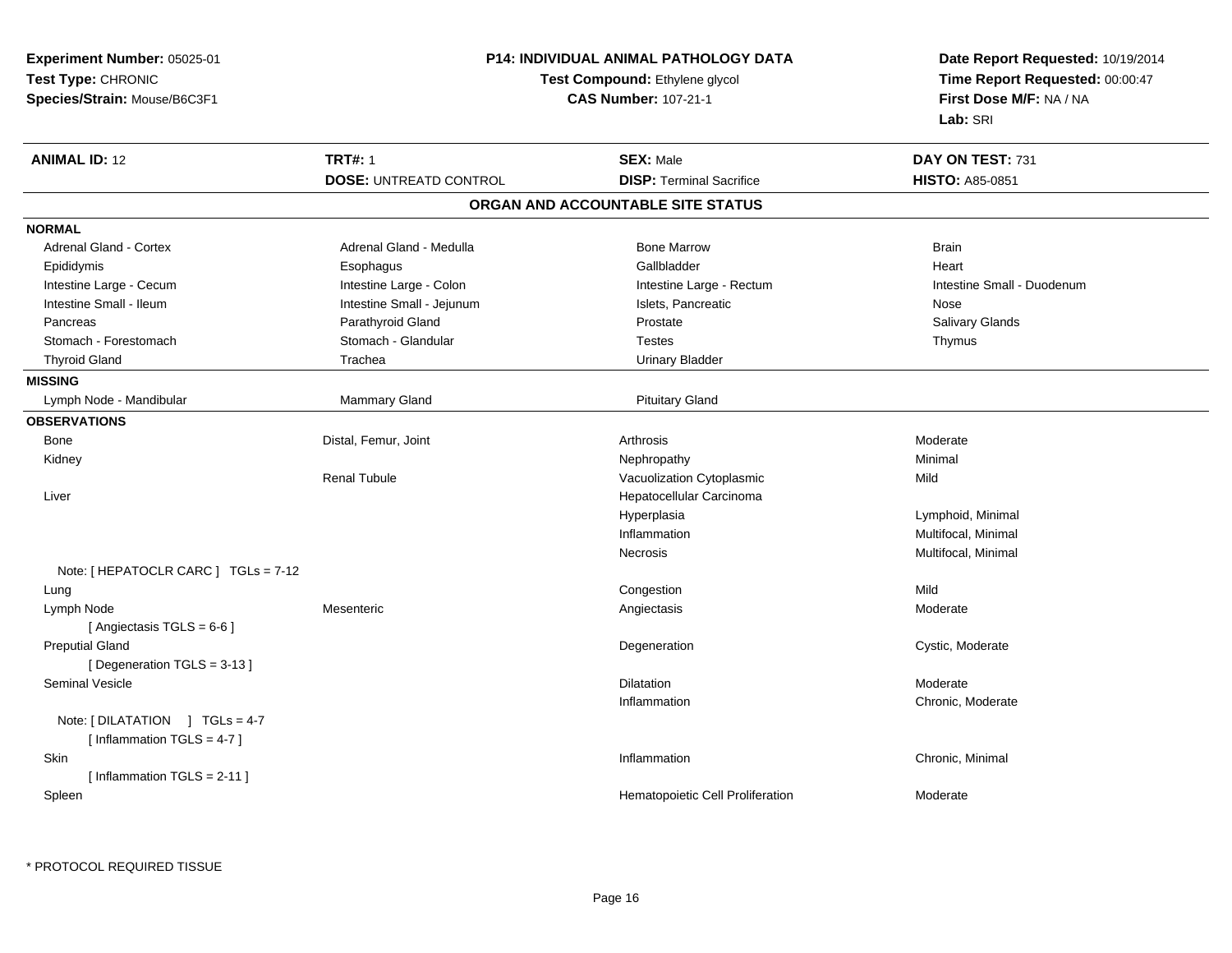| <b>ANIMAL ID: 12</b><br><b>TRT#: 1</b><br><b>SEX: Male</b><br>DAY ON TEST: 731<br><b>DOSE: UNTREATD CONTROL</b><br><b>DISP: Terminal Sacrifice</b><br><b>HISTO: A85-0851</b><br>ORGAN AND ACCOUNTABLE SITE STATUS<br><b>NORMAL</b><br>Adrenal Gland - Cortex<br>Adrenal Gland - Medulla<br><b>Bone Marrow</b><br><b>Brain</b><br>Gallbladder<br>Epididymis<br>Esophagus<br>Heart<br>Intestine Large - Cecum<br>Intestine Large - Rectum<br>Intestine Large - Colon<br>Intestine Small - Duodenum<br>Intestine Small - Ileum<br>Intestine Small - Jejunum<br>Islets, Pancreatic<br>Nose<br>Parathyroid Gland<br>Prostate<br>Salivary Glands<br>Pancreas<br>Stomach - Glandular<br>Stomach - Forestomach<br><b>Testes</b><br>Thymus<br><b>Thyroid Gland</b><br>Trachea<br><b>Urinary Bladder</b><br><b>MISSING</b><br>Lymph Node - Mandibular<br><b>Mammary Gland</b><br><b>Pituitary Gland</b><br><b>OBSERVATIONS</b><br>Bone<br>Distal, Femur, Joint<br>Arthrosis<br>Moderate<br>Kidney<br>Nephropathy<br>Minimal<br><b>Renal Tubule</b><br>Vacuolization Cytoplasmic<br>Mild<br>Hepatocellular Carcinoma<br>Liver<br>Hyperplasia<br>Lymphoid, Minimal<br>Multifocal, Minimal<br>Inflammation<br>Multifocal, Minimal<br>Necrosis<br>Note: [ HEPATOCLR CARC ] $TGLs = 7-12$<br>Congestion<br>Mild<br>Lung<br>Lymph Node<br>Mesenteric<br>Angiectasis<br>Moderate<br>[Angiectasis TGLS = 6-6]<br><b>Preputial Gland</b><br>Degeneration<br>Cystic, Moderate<br>[Degeneration TGLS = 3-13]<br>Seminal Vesicle<br><b>Dilatation</b><br>Moderate<br>Inflammation<br>Chronic, Moderate<br>Note: [DILATATION ] TGLs = 4-7<br>[Inflammation TGLS = 4-7]<br>Skin<br>Chronic, Minimal<br>Inflammation<br>[Inflammation TGLS = 2-11] | Experiment Number: 05025-01<br>Test Type: CHRONIC<br>Species/Strain: Mouse/B6C3F1 | <b>P14: INDIVIDUAL ANIMAL PATHOLOGY DATA</b><br>Test Compound: Ethylene glycol<br><b>CAS Number: 107-21-1</b> | Date Report Requested: 10/19/2014<br>Time Report Requested: 00:00:47<br>First Dose M/F: NA / NA<br>Lab: SRI |
|---------------------------------------------------------------------------------------------------------------------------------------------------------------------------------------------------------------------------------------------------------------------------------------------------------------------------------------------------------------------------------------------------------------------------------------------------------------------------------------------------------------------------------------------------------------------------------------------------------------------------------------------------------------------------------------------------------------------------------------------------------------------------------------------------------------------------------------------------------------------------------------------------------------------------------------------------------------------------------------------------------------------------------------------------------------------------------------------------------------------------------------------------------------------------------------------------------------------------------------------------------------------------------------------------------------------------------------------------------------------------------------------------------------------------------------------------------------------------------------------------------------------------------------------------------------------------------------------------------------------------------------------------------------------------------------------------------------------------|-----------------------------------------------------------------------------------|---------------------------------------------------------------------------------------------------------------|-------------------------------------------------------------------------------------------------------------|
|                                                                                                                                                                                                                                                                                                                                                                                                                                                                                                                                                                                                                                                                                                                                                                                                                                                                                                                                                                                                                                                                                                                                                                                                                                                                                                                                                                                                                                                                                                                                                                                                                                                                                                                           |                                                                                   |                                                                                                               |                                                                                                             |
|                                                                                                                                                                                                                                                                                                                                                                                                                                                                                                                                                                                                                                                                                                                                                                                                                                                                                                                                                                                                                                                                                                                                                                                                                                                                                                                                                                                                                                                                                                                                                                                                                                                                                                                           |                                                                                   |                                                                                                               |                                                                                                             |
|                                                                                                                                                                                                                                                                                                                                                                                                                                                                                                                                                                                                                                                                                                                                                                                                                                                                                                                                                                                                                                                                                                                                                                                                                                                                                                                                                                                                                                                                                                                                                                                                                                                                                                                           |                                                                                   |                                                                                                               |                                                                                                             |
|                                                                                                                                                                                                                                                                                                                                                                                                                                                                                                                                                                                                                                                                                                                                                                                                                                                                                                                                                                                                                                                                                                                                                                                                                                                                                                                                                                                                                                                                                                                                                                                                                                                                                                                           |                                                                                   |                                                                                                               |                                                                                                             |
|                                                                                                                                                                                                                                                                                                                                                                                                                                                                                                                                                                                                                                                                                                                                                                                                                                                                                                                                                                                                                                                                                                                                                                                                                                                                                                                                                                                                                                                                                                                                                                                                                                                                                                                           |                                                                                   |                                                                                                               |                                                                                                             |
|                                                                                                                                                                                                                                                                                                                                                                                                                                                                                                                                                                                                                                                                                                                                                                                                                                                                                                                                                                                                                                                                                                                                                                                                                                                                                                                                                                                                                                                                                                                                                                                                                                                                                                                           |                                                                                   |                                                                                                               |                                                                                                             |
|                                                                                                                                                                                                                                                                                                                                                                                                                                                                                                                                                                                                                                                                                                                                                                                                                                                                                                                                                                                                                                                                                                                                                                                                                                                                                                                                                                                                                                                                                                                                                                                                                                                                                                                           |                                                                                   |                                                                                                               |                                                                                                             |
|                                                                                                                                                                                                                                                                                                                                                                                                                                                                                                                                                                                                                                                                                                                                                                                                                                                                                                                                                                                                                                                                                                                                                                                                                                                                                                                                                                                                                                                                                                                                                                                                                                                                                                                           |                                                                                   |                                                                                                               |                                                                                                             |
|                                                                                                                                                                                                                                                                                                                                                                                                                                                                                                                                                                                                                                                                                                                                                                                                                                                                                                                                                                                                                                                                                                                                                                                                                                                                                                                                                                                                                                                                                                                                                                                                                                                                                                                           |                                                                                   |                                                                                                               |                                                                                                             |
|                                                                                                                                                                                                                                                                                                                                                                                                                                                                                                                                                                                                                                                                                                                                                                                                                                                                                                                                                                                                                                                                                                                                                                                                                                                                                                                                                                                                                                                                                                                                                                                                                                                                                                                           |                                                                                   |                                                                                                               |                                                                                                             |
|                                                                                                                                                                                                                                                                                                                                                                                                                                                                                                                                                                                                                                                                                                                                                                                                                                                                                                                                                                                                                                                                                                                                                                                                                                                                                                                                                                                                                                                                                                                                                                                                                                                                                                                           |                                                                                   |                                                                                                               |                                                                                                             |
|                                                                                                                                                                                                                                                                                                                                                                                                                                                                                                                                                                                                                                                                                                                                                                                                                                                                                                                                                                                                                                                                                                                                                                                                                                                                                                                                                                                                                                                                                                                                                                                                                                                                                                                           |                                                                                   |                                                                                                               |                                                                                                             |
|                                                                                                                                                                                                                                                                                                                                                                                                                                                                                                                                                                                                                                                                                                                                                                                                                                                                                                                                                                                                                                                                                                                                                                                                                                                                                                                                                                                                                                                                                                                                                                                                                                                                                                                           |                                                                                   |                                                                                                               |                                                                                                             |
|                                                                                                                                                                                                                                                                                                                                                                                                                                                                                                                                                                                                                                                                                                                                                                                                                                                                                                                                                                                                                                                                                                                                                                                                                                                                                                                                                                                                                                                                                                                                                                                                                                                                                                                           |                                                                                   |                                                                                                               |                                                                                                             |
|                                                                                                                                                                                                                                                                                                                                                                                                                                                                                                                                                                                                                                                                                                                                                                                                                                                                                                                                                                                                                                                                                                                                                                                                                                                                                                                                                                                                                                                                                                                                                                                                                                                                                                                           |                                                                                   |                                                                                                               |                                                                                                             |
|                                                                                                                                                                                                                                                                                                                                                                                                                                                                                                                                                                                                                                                                                                                                                                                                                                                                                                                                                                                                                                                                                                                                                                                                                                                                                                                                                                                                                                                                                                                                                                                                                                                                                                                           |                                                                                   |                                                                                                               |                                                                                                             |
|                                                                                                                                                                                                                                                                                                                                                                                                                                                                                                                                                                                                                                                                                                                                                                                                                                                                                                                                                                                                                                                                                                                                                                                                                                                                                                                                                                                                                                                                                                                                                                                                                                                                                                                           |                                                                                   |                                                                                                               |                                                                                                             |
|                                                                                                                                                                                                                                                                                                                                                                                                                                                                                                                                                                                                                                                                                                                                                                                                                                                                                                                                                                                                                                                                                                                                                                                                                                                                                                                                                                                                                                                                                                                                                                                                                                                                                                                           |                                                                                   |                                                                                                               |                                                                                                             |
|                                                                                                                                                                                                                                                                                                                                                                                                                                                                                                                                                                                                                                                                                                                                                                                                                                                                                                                                                                                                                                                                                                                                                                                                                                                                                                                                                                                                                                                                                                                                                                                                                                                                                                                           |                                                                                   |                                                                                                               |                                                                                                             |
|                                                                                                                                                                                                                                                                                                                                                                                                                                                                                                                                                                                                                                                                                                                                                                                                                                                                                                                                                                                                                                                                                                                                                                                                                                                                                                                                                                                                                                                                                                                                                                                                                                                                                                                           |                                                                                   |                                                                                                               |                                                                                                             |
|                                                                                                                                                                                                                                                                                                                                                                                                                                                                                                                                                                                                                                                                                                                                                                                                                                                                                                                                                                                                                                                                                                                                                                                                                                                                                                                                                                                                                                                                                                                                                                                                                                                                                                                           |                                                                                   |                                                                                                               |                                                                                                             |
|                                                                                                                                                                                                                                                                                                                                                                                                                                                                                                                                                                                                                                                                                                                                                                                                                                                                                                                                                                                                                                                                                                                                                                                                                                                                                                                                                                                                                                                                                                                                                                                                                                                                                                                           |                                                                                   |                                                                                                               |                                                                                                             |
|                                                                                                                                                                                                                                                                                                                                                                                                                                                                                                                                                                                                                                                                                                                                                                                                                                                                                                                                                                                                                                                                                                                                                                                                                                                                                                                                                                                                                                                                                                                                                                                                                                                                                                                           |                                                                                   |                                                                                                               |                                                                                                             |
|                                                                                                                                                                                                                                                                                                                                                                                                                                                                                                                                                                                                                                                                                                                                                                                                                                                                                                                                                                                                                                                                                                                                                                                                                                                                                                                                                                                                                                                                                                                                                                                                                                                                                                                           |                                                                                   |                                                                                                               |                                                                                                             |
|                                                                                                                                                                                                                                                                                                                                                                                                                                                                                                                                                                                                                                                                                                                                                                                                                                                                                                                                                                                                                                                                                                                                                                                                                                                                                                                                                                                                                                                                                                                                                                                                                                                                                                                           |                                                                                   |                                                                                                               |                                                                                                             |
|                                                                                                                                                                                                                                                                                                                                                                                                                                                                                                                                                                                                                                                                                                                                                                                                                                                                                                                                                                                                                                                                                                                                                                                                                                                                                                                                                                                                                                                                                                                                                                                                                                                                                                                           |                                                                                   |                                                                                                               |                                                                                                             |
|                                                                                                                                                                                                                                                                                                                                                                                                                                                                                                                                                                                                                                                                                                                                                                                                                                                                                                                                                                                                                                                                                                                                                                                                                                                                                                                                                                                                                                                                                                                                                                                                                                                                                                                           |                                                                                   |                                                                                                               |                                                                                                             |
|                                                                                                                                                                                                                                                                                                                                                                                                                                                                                                                                                                                                                                                                                                                                                                                                                                                                                                                                                                                                                                                                                                                                                                                                                                                                                                                                                                                                                                                                                                                                                                                                                                                                                                                           |                                                                                   |                                                                                                               |                                                                                                             |
|                                                                                                                                                                                                                                                                                                                                                                                                                                                                                                                                                                                                                                                                                                                                                                                                                                                                                                                                                                                                                                                                                                                                                                                                                                                                                                                                                                                                                                                                                                                                                                                                                                                                                                                           |                                                                                   |                                                                                                               |                                                                                                             |
|                                                                                                                                                                                                                                                                                                                                                                                                                                                                                                                                                                                                                                                                                                                                                                                                                                                                                                                                                                                                                                                                                                                                                                                                                                                                                                                                                                                                                                                                                                                                                                                                                                                                                                                           |                                                                                   |                                                                                                               |                                                                                                             |
|                                                                                                                                                                                                                                                                                                                                                                                                                                                                                                                                                                                                                                                                                                                                                                                                                                                                                                                                                                                                                                                                                                                                                                                                                                                                                                                                                                                                                                                                                                                                                                                                                                                                                                                           |                                                                                   |                                                                                                               |                                                                                                             |
|                                                                                                                                                                                                                                                                                                                                                                                                                                                                                                                                                                                                                                                                                                                                                                                                                                                                                                                                                                                                                                                                                                                                                                                                                                                                                                                                                                                                                                                                                                                                                                                                                                                                                                                           |                                                                                   |                                                                                                               |                                                                                                             |
|                                                                                                                                                                                                                                                                                                                                                                                                                                                                                                                                                                                                                                                                                                                                                                                                                                                                                                                                                                                                                                                                                                                                                                                                                                                                                                                                                                                                                                                                                                                                                                                                                                                                                                                           | Spleen                                                                            | Hematopoietic Cell Proliferation                                                                              | Moderate                                                                                                    |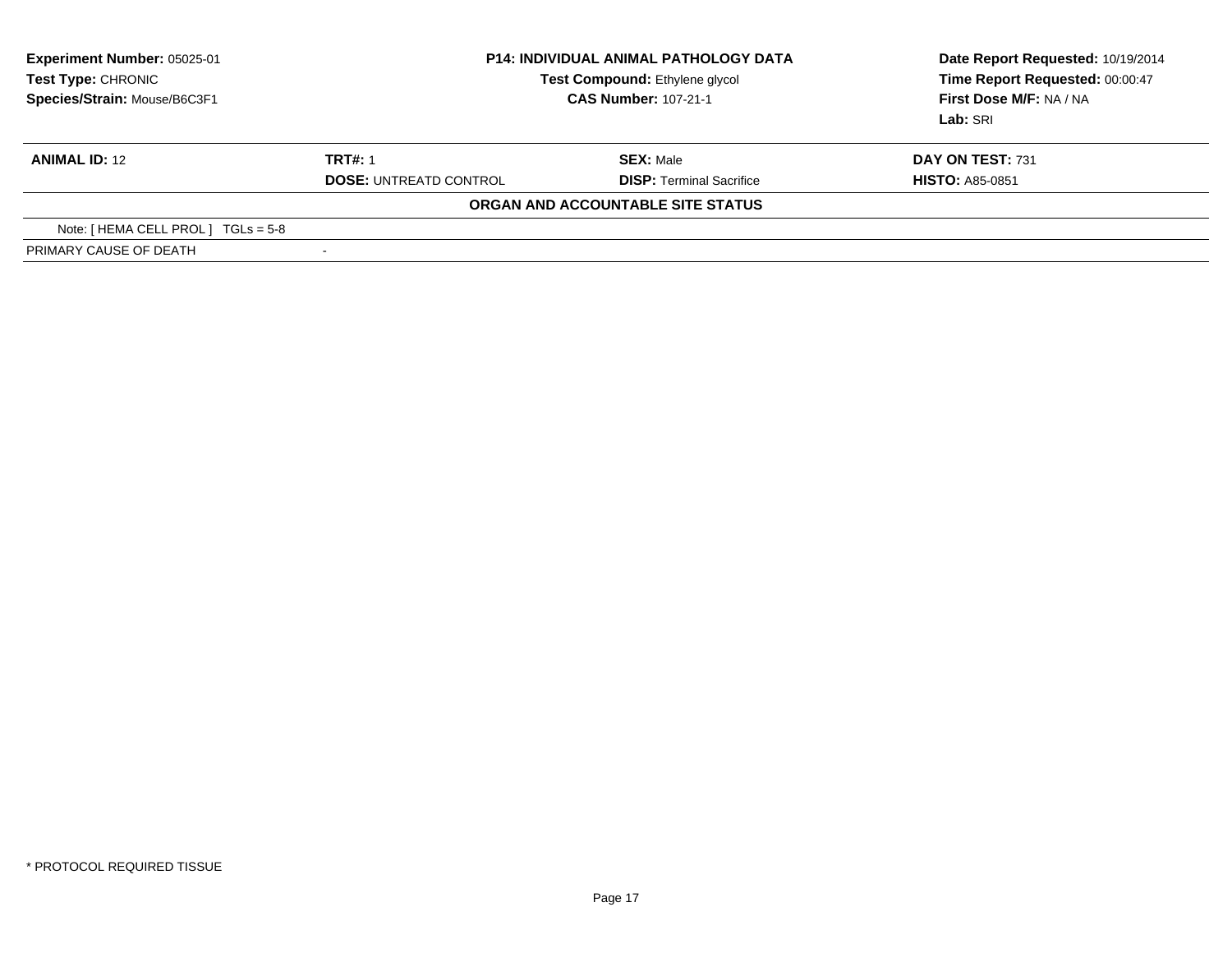| <b>Experiment Number: 05025-01</b><br>Test Type: CHRONIC<br>Species/Strain: Mouse/B6C3F1 | <b>P14: INDIVIDUAL ANIMAL PATHOLOGY DATA</b><br><b>Test Compound: Ethylene glycol</b><br><b>CAS Number: 107-21-1</b> |                                   | Date Report Requested: 10/19/2014<br>Time Report Requested: 00:00:47<br>First Dose M/F: NA / NA<br>Lab: SRI |
|------------------------------------------------------------------------------------------|----------------------------------------------------------------------------------------------------------------------|-----------------------------------|-------------------------------------------------------------------------------------------------------------|
| <b>ANIMAL ID: 12</b>                                                                     | <b>TRT#: 1</b>                                                                                                       | <b>SEX: Male</b>                  | DAY ON TEST: 731                                                                                            |
|                                                                                          | <b>DOSE: UNTREATD CONTROL</b>                                                                                        | <b>DISP: Terminal Sacrifice</b>   | <b>HISTO: A85-0851</b>                                                                                      |
|                                                                                          |                                                                                                                      | ORGAN AND ACCOUNTABLE SITE STATUS |                                                                                                             |
| Note: [ HEMA CELL PROL ]<br>$TGLs = 5-8$                                                 |                                                                                                                      |                                   |                                                                                                             |
| PRIMARY CAUSE OF DEATH                                                                   | $\overline{\phantom{0}}$                                                                                             |                                   |                                                                                                             |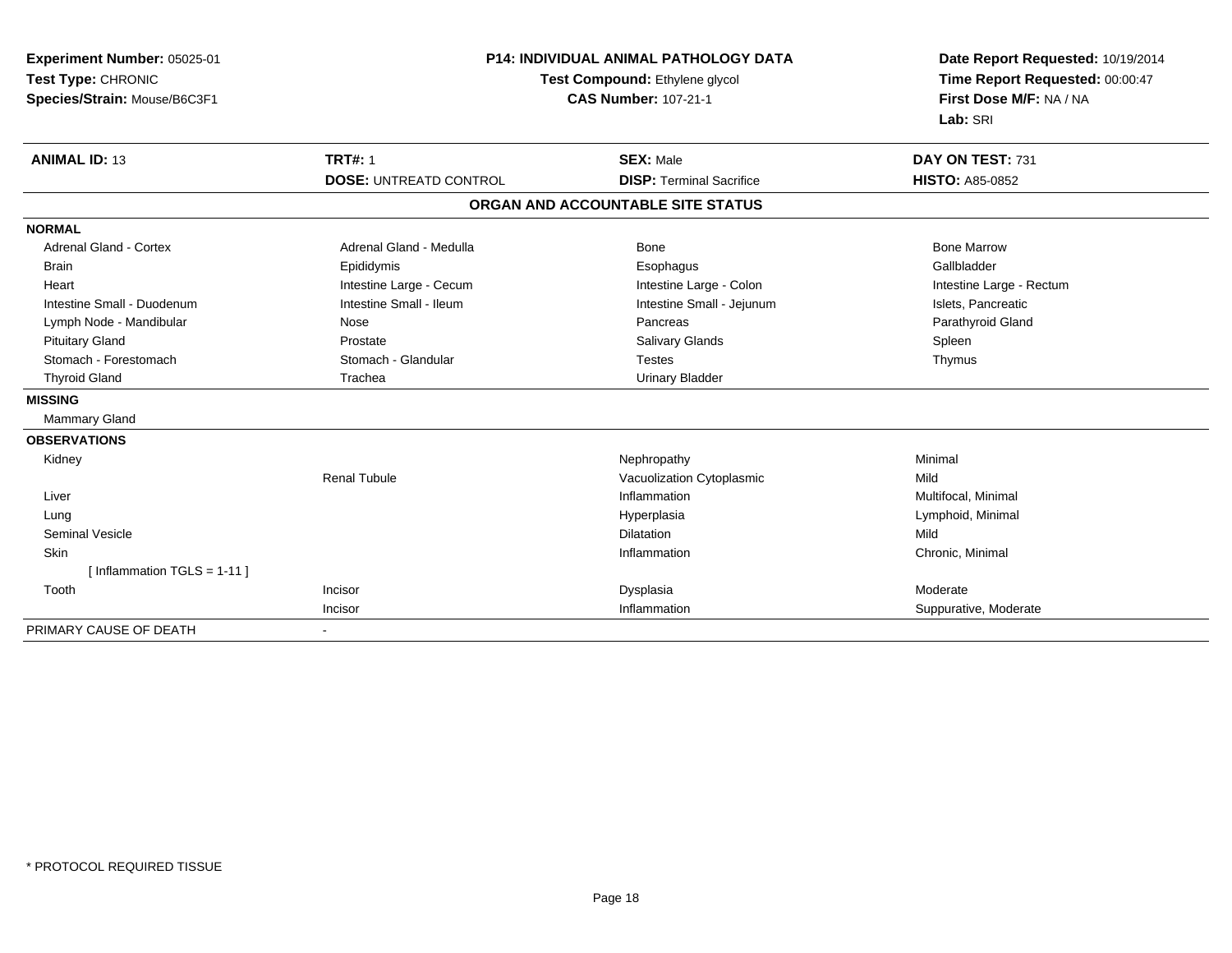| Experiment Number: 05025-01<br>Test Type: CHRONIC<br>Species/Strain: Mouse/B6C3F1 | <b>P14: INDIVIDUAL ANIMAL PATHOLOGY DATA</b><br>Test Compound: Ethylene glycol<br><b>CAS Number: 107-21-1</b> |                                   | Date Report Requested: 10/19/2014<br>Time Report Requested: 00:00:47<br>First Dose M/F: NA / NA<br>Lab: SRI |
|-----------------------------------------------------------------------------------|---------------------------------------------------------------------------------------------------------------|-----------------------------------|-------------------------------------------------------------------------------------------------------------|
| <b>ANIMAL ID: 13</b>                                                              | <b>TRT#: 1</b>                                                                                                | <b>SEX: Male</b>                  | DAY ON TEST: 731                                                                                            |
|                                                                                   | <b>DOSE: UNTREATD CONTROL</b>                                                                                 | <b>DISP: Terminal Sacrifice</b>   | <b>HISTO: A85-0852</b>                                                                                      |
|                                                                                   |                                                                                                               | ORGAN AND ACCOUNTABLE SITE STATUS |                                                                                                             |
| <b>NORMAL</b>                                                                     |                                                                                                               |                                   |                                                                                                             |
| <b>Adrenal Gland - Cortex</b>                                                     | Adrenal Gland - Medulla                                                                                       | Bone                              | <b>Bone Marrow</b>                                                                                          |
| <b>Brain</b>                                                                      | Epididymis                                                                                                    | Esophagus                         | Gallbladder                                                                                                 |
| Heart                                                                             | Intestine Large - Cecum                                                                                       | Intestine Large - Colon           | Intestine Large - Rectum                                                                                    |
| Intestine Small - Duodenum                                                        | Intestine Small - Ileum                                                                                       | Intestine Small - Jejunum         | Islets, Pancreatic                                                                                          |
| Lymph Node - Mandibular                                                           | Nose                                                                                                          | Pancreas                          | Parathyroid Gland                                                                                           |
| <b>Pituitary Gland</b>                                                            | Prostate                                                                                                      | <b>Salivary Glands</b>            | Spleen                                                                                                      |
| Stomach - Forestomach                                                             | Stomach - Glandular                                                                                           | <b>Testes</b>                     | Thymus                                                                                                      |
| <b>Thyroid Gland</b>                                                              | Trachea                                                                                                       | <b>Urinary Bladder</b>            |                                                                                                             |
| <b>MISSING</b>                                                                    |                                                                                                               |                                   |                                                                                                             |
| Mammary Gland                                                                     |                                                                                                               |                                   |                                                                                                             |
| <b>OBSERVATIONS</b>                                                               |                                                                                                               |                                   |                                                                                                             |
| Kidney                                                                            |                                                                                                               | Nephropathy                       | Minimal                                                                                                     |
|                                                                                   | <b>Renal Tubule</b>                                                                                           | Vacuolization Cytoplasmic         | Mild                                                                                                        |
| Liver                                                                             |                                                                                                               | Inflammation                      | Multifocal, Minimal                                                                                         |
| Lung                                                                              |                                                                                                               | Hyperplasia                       | Lymphoid, Minimal                                                                                           |
| <b>Seminal Vesicle</b>                                                            |                                                                                                               | <b>Dilatation</b>                 | Mild                                                                                                        |
| Skin                                                                              |                                                                                                               | Inflammation                      | Chronic, Minimal                                                                                            |
| [Inflammation TGLS = $1-11$ ]                                                     |                                                                                                               |                                   |                                                                                                             |
| Tooth                                                                             | Incisor                                                                                                       | Dysplasia                         | Moderate                                                                                                    |
|                                                                                   | Incisor                                                                                                       | Inflammation                      | Suppurative, Moderate                                                                                       |
| PRIMARY CAUSE OF DEATH                                                            |                                                                                                               |                                   |                                                                                                             |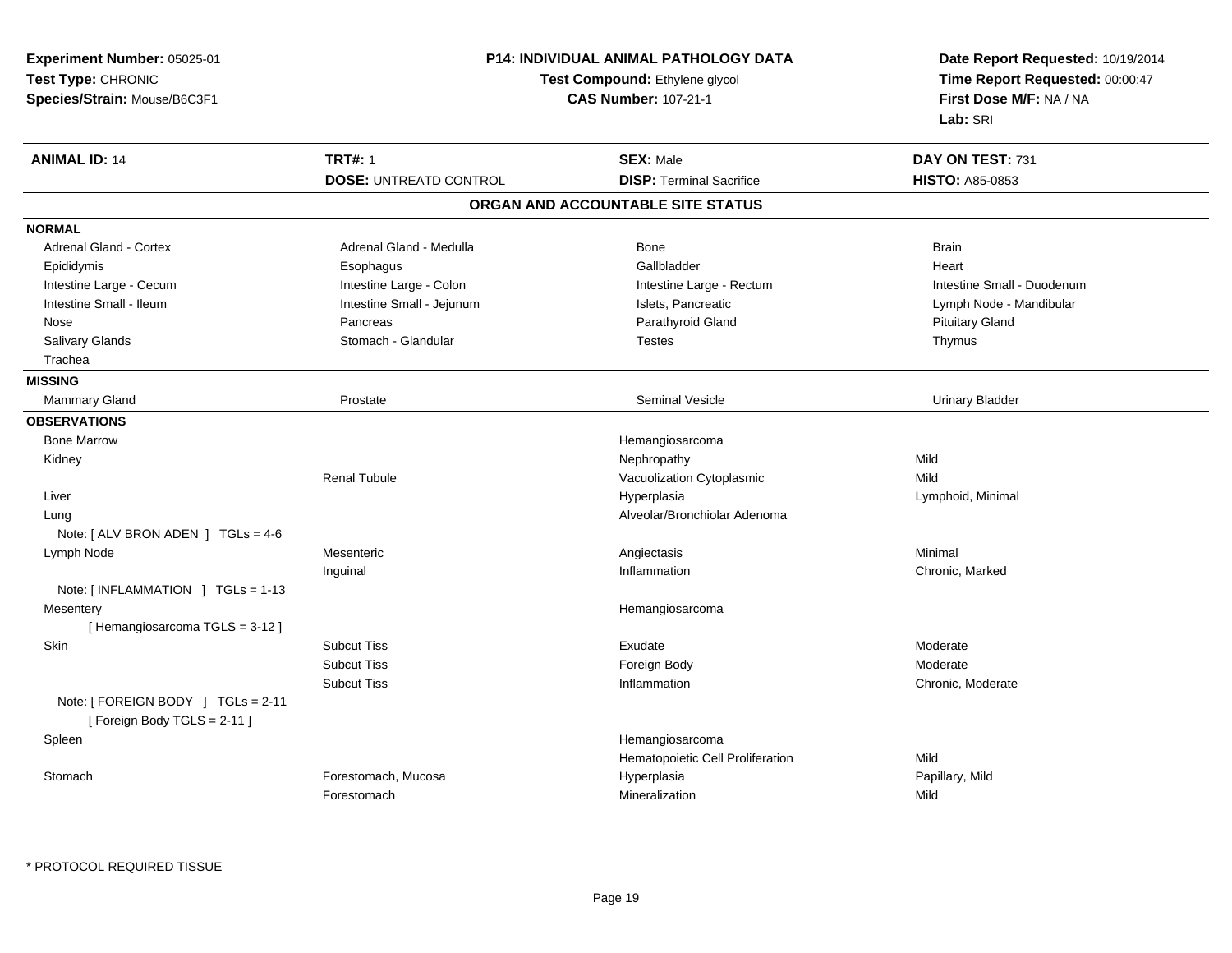| Experiment Number: 05025-01<br>Test Type: CHRONIC<br>Species/Strain: Mouse/B6C3F1 | <b>P14: INDIVIDUAL ANIMAL PATHOLOGY DATA</b><br>Test Compound: Ethylene glycol<br><b>CAS Number: 107-21-1</b> |                                                     | Date Report Requested: 10/19/2014<br>Time Report Requested: 00:00:47<br>First Dose M/F: NA / NA<br>Lab: SRI |
|-----------------------------------------------------------------------------------|---------------------------------------------------------------------------------------------------------------|-----------------------------------------------------|-------------------------------------------------------------------------------------------------------------|
| <b>ANIMAL ID: 14</b>                                                              | <b>TRT#: 1</b><br><b>DOSE: UNTREATD CONTROL</b>                                                               | <b>SEX: Male</b><br><b>DISP: Terminal Sacrifice</b> | DAY ON TEST: 731<br><b>HISTO: A85-0853</b>                                                                  |
|                                                                                   |                                                                                                               | ORGAN AND ACCOUNTABLE SITE STATUS                   |                                                                                                             |
| <b>NORMAL</b>                                                                     |                                                                                                               |                                                     |                                                                                                             |
| Adrenal Gland - Cortex                                                            | Adrenal Gland - Medulla                                                                                       | <b>Bone</b>                                         | <b>Brain</b>                                                                                                |
| Epididymis                                                                        | Esophagus                                                                                                     | Gallbladder                                         | Heart                                                                                                       |
| Intestine Large - Cecum                                                           | Intestine Large - Colon                                                                                       | Intestine Large - Rectum                            | Intestine Small - Duodenum                                                                                  |
| Intestine Small - Ileum                                                           | Intestine Small - Jejunum                                                                                     | Islets, Pancreatic                                  | Lymph Node - Mandibular                                                                                     |
| Nose                                                                              | Pancreas                                                                                                      | Parathyroid Gland                                   | <b>Pituitary Gland</b>                                                                                      |
| Salivary Glands                                                                   | Stomach - Glandular                                                                                           | <b>Testes</b>                                       | Thymus                                                                                                      |
| Trachea                                                                           |                                                                                                               |                                                     |                                                                                                             |
| <b>MISSING</b>                                                                    |                                                                                                               |                                                     |                                                                                                             |
| Mammary Gland                                                                     | Prostate                                                                                                      | <b>Seminal Vesicle</b>                              | <b>Urinary Bladder</b>                                                                                      |
| <b>OBSERVATIONS</b>                                                               |                                                                                                               |                                                     |                                                                                                             |
| <b>Bone Marrow</b>                                                                |                                                                                                               | Hemangiosarcoma                                     |                                                                                                             |
| Kidney                                                                            |                                                                                                               | Nephropathy                                         | Mild                                                                                                        |
|                                                                                   | <b>Renal Tubule</b>                                                                                           | Vacuolization Cytoplasmic                           | Mild                                                                                                        |
| Liver                                                                             |                                                                                                               | Hyperplasia                                         | Lymphoid, Minimal                                                                                           |
| Lung                                                                              |                                                                                                               | Alveolar/Bronchiolar Adenoma                        |                                                                                                             |
| Note: [ ALV BRON ADEN ] TGLs = 4-6                                                |                                                                                                               |                                                     |                                                                                                             |
| Lymph Node                                                                        | Mesenteric                                                                                                    | Angiectasis                                         | Minimal                                                                                                     |
|                                                                                   | Inguinal                                                                                                      | Inflammation                                        | Chronic, Marked                                                                                             |
| Note: [INFLAMMATION ] TGLs = 1-13                                                 |                                                                                                               |                                                     |                                                                                                             |
| Mesentery                                                                         |                                                                                                               | Hemangiosarcoma                                     |                                                                                                             |
| [Hemangiosarcoma TGLS = 3-12]                                                     |                                                                                                               |                                                     |                                                                                                             |
| Skin                                                                              | <b>Subcut Tiss</b>                                                                                            | Exudate                                             | Moderate                                                                                                    |
|                                                                                   | <b>Subcut Tiss</b>                                                                                            | Foreign Body                                        | Moderate                                                                                                    |
| Note: [ FOREIGN BODY ] TGLs = 2-11<br>[Foreign Body TGLS = 2-11]                  | <b>Subcut Tiss</b>                                                                                            | Inflammation                                        | Chronic, Moderate                                                                                           |
| Spleen                                                                            |                                                                                                               | Hemangiosarcoma                                     |                                                                                                             |
|                                                                                   |                                                                                                               | Hematopoietic Cell Proliferation                    | Mild                                                                                                        |
| Stomach                                                                           | Forestomach, Mucosa                                                                                           | Hyperplasia                                         | Papillary, Mild                                                                                             |
|                                                                                   | Forestomach                                                                                                   | Mineralization                                      | Mild                                                                                                        |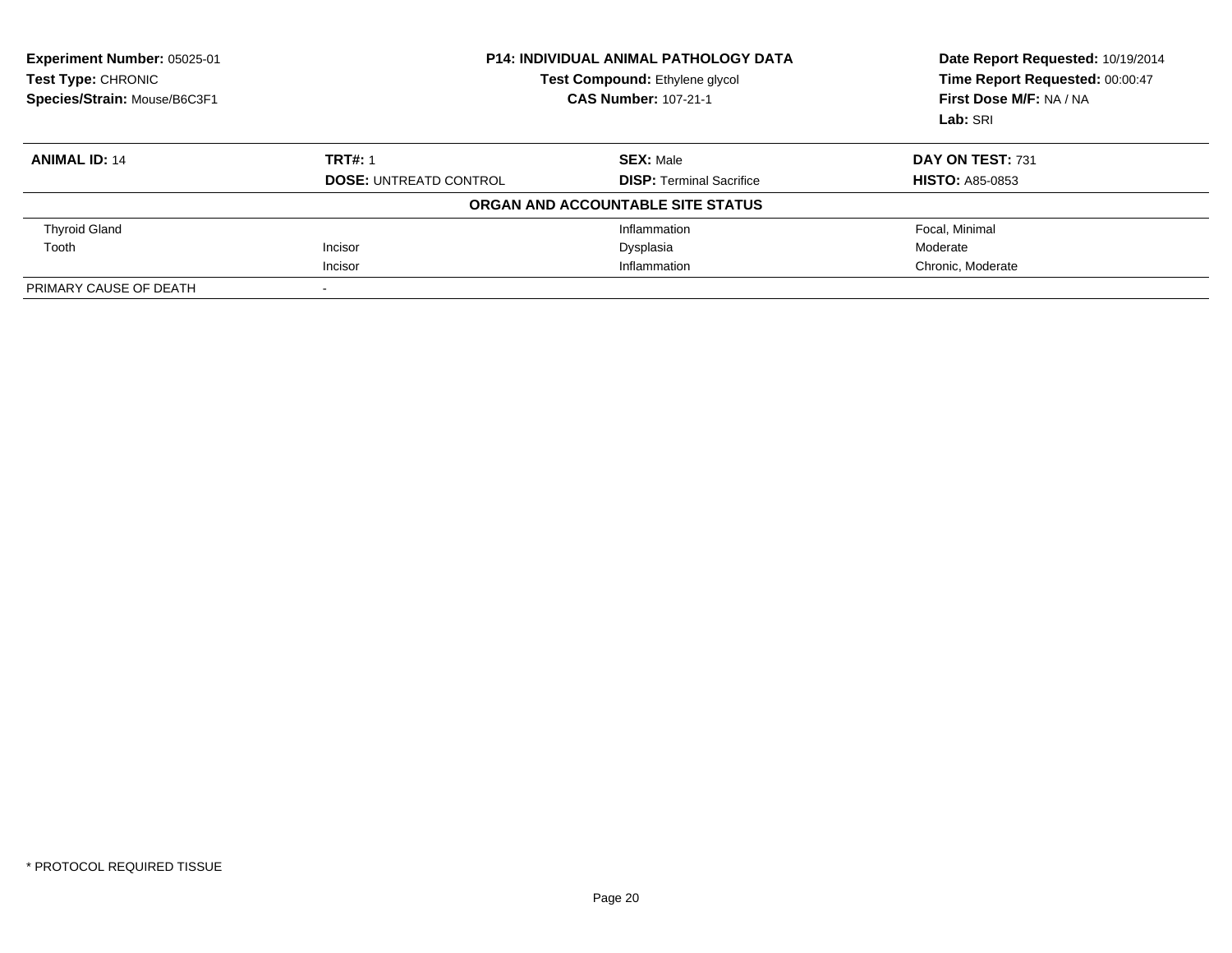| Experiment Number: 05025-01<br><b>Test Type: CHRONIC</b><br>Species/Strain: Mouse/B6C3F1 | <b>P14: INDIVIDUAL ANIMAL PATHOLOGY DATA</b><br>Test Compound: Ethylene glycol<br><b>CAS Number: 107-21-1</b> |                                   | Date Report Requested: 10/19/2014<br>Time Report Requested: 00:00:47<br>First Dose M/F: NA / NA<br>Lab: SRI |
|------------------------------------------------------------------------------------------|---------------------------------------------------------------------------------------------------------------|-----------------------------------|-------------------------------------------------------------------------------------------------------------|
| <b>ANIMAL ID: 14</b>                                                                     | <b>TRT#: 1</b>                                                                                                | <b>SEX: Male</b>                  | DAY ON TEST: 731                                                                                            |
|                                                                                          | <b>DOSE: UNTREATD CONTROL</b>                                                                                 | <b>DISP:</b> Terminal Sacrifice   | <b>HISTO: A85-0853</b>                                                                                      |
|                                                                                          |                                                                                                               | ORGAN AND ACCOUNTABLE SITE STATUS |                                                                                                             |
| <b>Thyroid Gland</b>                                                                     |                                                                                                               | Inflammation                      | Focal, Minimal                                                                                              |
| Tooth                                                                                    | Incisor                                                                                                       | Dysplasia                         | Moderate                                                                                                    |
|                                                                                          | Incisor                                                                                                       | Inflammation                      | Chronic, Moderate                                                                                           |
| PRIMARY CAUSE OF DEATH                                                                   |                                                                                                               |                                   |                                                                                                             |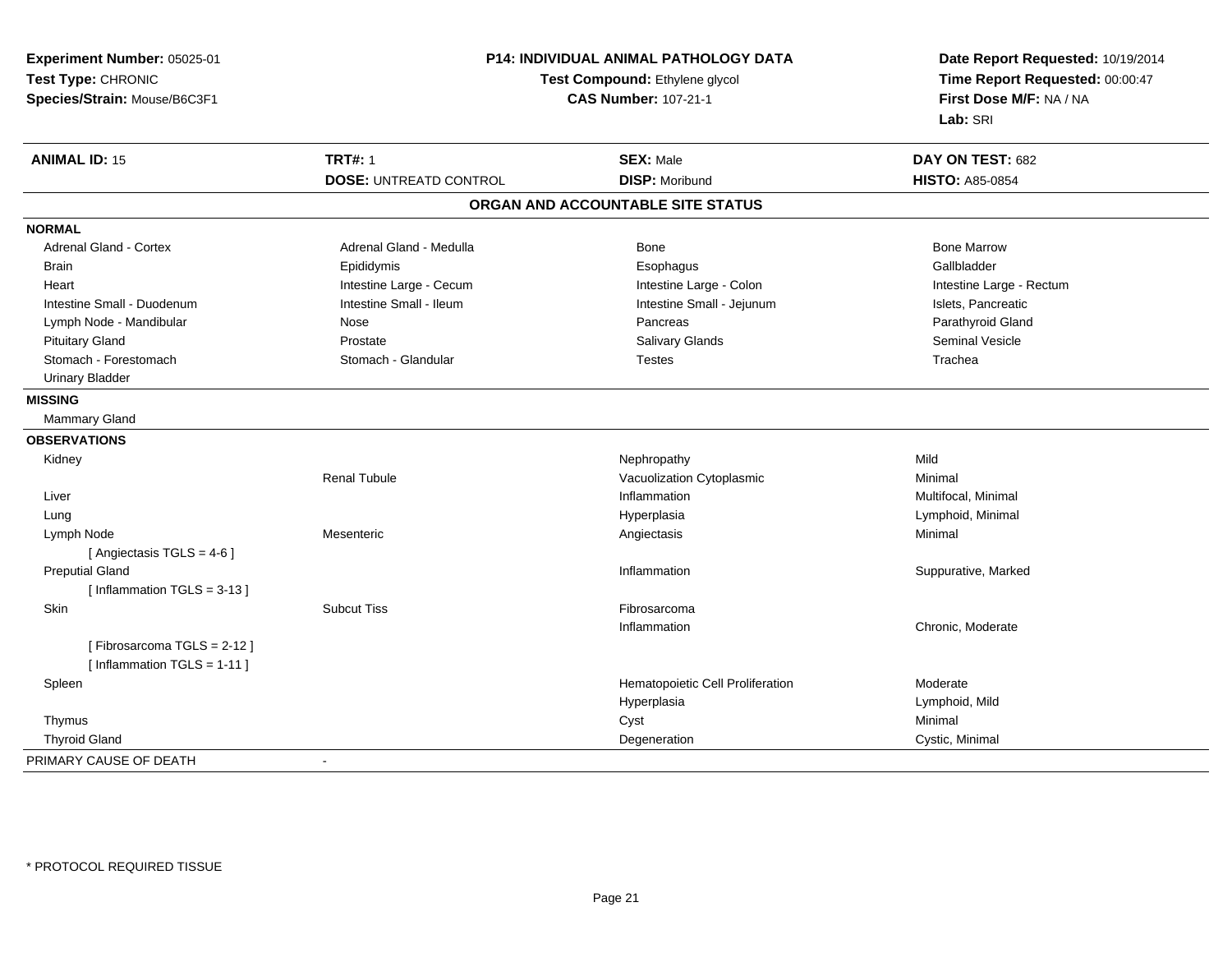| Experiment Number: 05025-01   | P14: INDIVIDUAL ANIMAL PATHOLOGY DATA<br>Test Compound: Ethylene glycol<br><b>CAS Number: 107-21-1</b> |                                   | Date Report Requested: 10/19/2014 |  |
|-------------------------------|--------------------------------------------------------------------------------------------------------|-----------------------------------|-----------------------------------|--|
| Test Type: CHRONIC            |                                                                                                        |                                   | Time Report Requested: 00:00:47   |  |
| Species/Strain: Mouse/B6C3F1  |                                                                                                        |                                   | First Dose M/F: NA / NA           |  |
|                               |                                                                                                        |                                   | Lab: SRI                          |  |
| <b>ANIMAL ID: 15</b>          | <b>TRT#: 1</b>                                                                                         | <b>SEX: Male</b>                  | DAY ON TEST: 682                  |  |
|                               | <b>DOSE: UNTREATD CONTROL</b>                                                                          | <b>DISP: Moribund</b>             | <b>HISTO: A85-0854</b>            |  |
|                               |                                                                                                        | ORGAN AND ACCOUNTABLE SITE STATUS |                                   |  |
| <b>NORMAL</b>                 |                                                                                                        |                                   |                                   |  |
| <b>Adrenal Gland - Cortex</b> | Adrenal Gland - Medulla                                                                                | <b>Bone</b>                       | <b>Bone Marrow</b>                |  |
| <b>Brain</b>                  | Epididymis                                                                                             | Esophagus                         | Gallbladder                       |  |
| Heart                         | Intestine Large - Cecum                                                                                | Intestine Large - Colon           | Intestine Large - Rectum          |  |
| Intestine Small - Duodenum    | Intestine Small - Ileum                                                                                | Intestine Small - Jejunum         | Islets, Pancreatic                |  |
| Lymph Node - Mandibular       | Nose                                                                                                   | Pancreas                          | Parathyroid Gland                 |  |
| <b>Pituitary Gland</b>        | Prostate                                                                                               | Salivary Glands                   | <b>Seminal Vesicle</b>            |  |
| Stomach - Forestomach         | Stomach - Glandular                                                                                    | <b>Testes</b>                     | Trachea                           |  |
| <b>Urinary Bladder</b>        |                                                                                                        |                                   |                                   |  |
| <b>MISSING</b>                |                                                                                                        |                                   |                                   |  |
| <b>Mammary Gland</b>          |                                                                                                        |                                   |                                   |  |
| <b>OBSERVATIONS</b>           |                                                                                                        |                                   |                                   |  |
| Kidney                        |                                                                                                        | Nephropathy                       | Mild                              |  |
|                               | <b>Renal Tubule</b>                                                                                    | Vacuolization Cytoplasmic         | Minimal                           |  |
| Liver                         |                                                                                                        | Inflammation                      | Multifocal, Minimal               |  |
| Lung                          |                                                                                                        | Hyperplasia                       | Lymphoid, Minimal                 |  |
| Lymph Node                    | Mesenteric                                                                                             | Angiectasis                       | Minimal                           |  |
| [ Angiectasis TGLS = $4-6$ ]  |                                                                                                        |                                   |                                   |  |
| <b>Preputial Gland</b>        |                                                                                                        | Inflammation                      | Suppurative, Marked               |  |
| [Inflammation $TGLS = 3-13$ ] |                                                                                                        |                                   |                                   |  |
| <b>Skin</b>                   | <b>Subcut Tiss</b>                                                                                     | Fibrosarcoma                      |                                   |  |
|                               |                                                                                                        | Inflammation                      | Chronic, Moderate                 |  |
| [Fibrosarcoma TGLS = 2-12]    |                                                                                                        |                                   |                                   |  |
| [Inflammation TGLS = 1-11]    |                                                                                                        |                                   |                                   |  |
| Spleen                        |                                                                                                        | Hematopoietic Cell Proliferation  | Moderate                          |  |
|                               |                                                                                                        | Hyperplasia                       | Lymphoid, Mild                    |  |
| Thymus                        |                                                                                                        | Cyst                              | Minimal                           |  |
| <b>Thyroid Gland</b>          |                                                                                                        | Degeneration                      | Cystic, Minimal                   |  |
| PRIMARY CAUSE OF DEATH        | $\mathbf{r}$                                                                                           |                                   |                                   |  |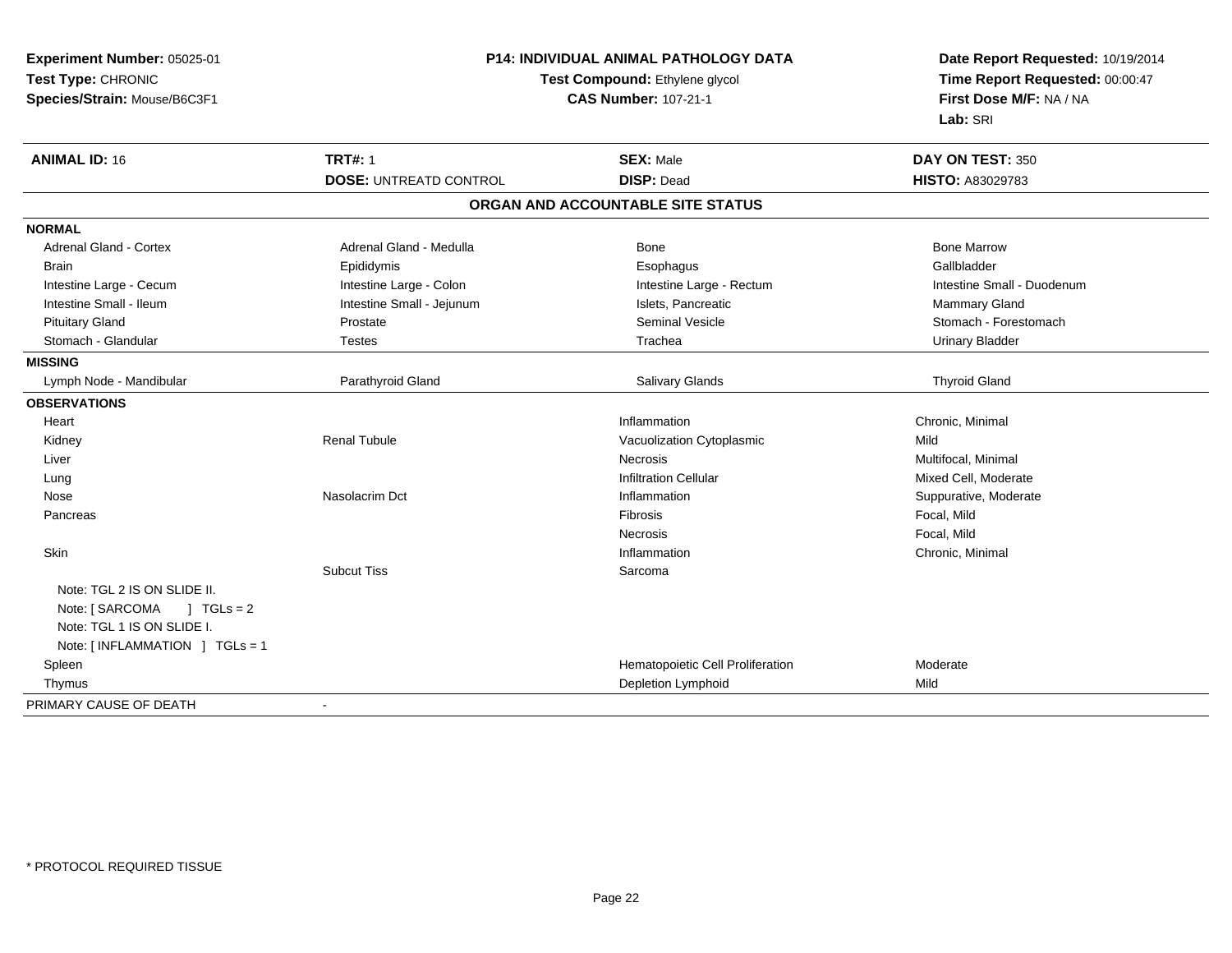| Experiment Number: 05025-01                                    | <b>P14: INDIVIDUAL ANIMAL PATHOLOGY DATA</b><br>Test Compound: Ethylene glycol |                                   | Date Report Requested: 10/19/2014<br>Time Report Requested: 00:00:47 |  |
|----------------------------------------------------------------|--------------------------------------------------------------------------------|-----------------------------------|----------------------------------------------------------------------|--|
| Test Type: CHRONIC                                             |                                                                                |                                   |                                                                      |  |
| Species/Strain: Mouse/B6C3F1                                   |                                                                                | <b>CAS Number: 107-21-1</b>       | First Dose M/F: NA / NA                                              |  |
|                                                                |                                                                                |                                   | Lab: SRI                                                             |  |
| <b>ANIMAL ID: 16</b>                                           | <b>TRT#: 1</b>                                                                 | <b>SEX: Male</b>                  | DAY ON TEST: 350                                                     |  |
|                                                                | <b>DOSE: UNTREATD CONTROL</b>                                                  | <b>DISP: Dead</b>                 | <b>HISTO: A83029783</b>                                              |  |
|                                                                |                                                                                | ORGAN AND ACCOUNTABLE SITE STATUS |                                                                      |  |
| <b>NORMAL</b>                                                  |                                                                                |                                   |                                                                      |  |
| <b>Adrenal Gland - Cortex</b>                                  | Adrenal Gland - Medulla                                                        | Bone                              | <b>Bone Marrow</b>                                                   |  |
| <b>Brain</b>                                                   | Epididymis                                                                     | Esophagus                         | Gallbladder                                                          |  |
| Intestine Large - Cecum                                        | Intestine Large - Colon                                                        | Intestine Large - Rectum          | Intestine Small - Duodenum                                           |  |
| Intestine Small - Ileum                                        | Intestine Small - Jejunum                                                      | Islets, Pancreatic                | Mammary Gland                                                        |  |
| <b>Pituitary Gland</b>                                         | Prostate                                                                       | <b>Seminal Vesicle</b>            | Stomach - Forestomach                                                |  |
| Stomach - Glandular                                            | <b>Testes</b>                                                                  | Trachea                           | <b>Urinary Bladder</b>                                               |  |
| <b>MISSING</b>                                                 |                                                                                |                                   |                                                                      |  |
| Lymph Node - Mandibular                                        | Parathyroid Gland                                                              | Salivary Glands                   | <b>Thyroid Gland</b>                                                 |  |
| <b>OBSERVATIONS</b>                                            |                                                                                |                                   |                                                                      |  |
| Heart                                                          |                                                                                | Inflammation                      | Chronic, Minimal                                                     |  |
| Kidney                                                         | <b>Renal Tubule</b>                                                            | Vacuolization Cytoplasmic         | Mild                                                                 |  |
| Liver                                                          |                                                                                | <b>Necrosis</b>                   | Multifocal, Minimal                                                  |  |
| Lung                                                           |                                                                                | <b>Infiltration Cellular</b>      | Mixed Cell, Moderate                                                 |  |
| Nose                                                           | Nasolacrim Dct                                                                 | Inflammation                      | Suppurative, Moderate                                                |  |
| Pancreas                                                       |                                                                                | Fibrosis                          | Focal, Mild                                                          |  |
|                                                                |                                                                                | Necrosis                          | Focal, Mild                                                          |  |
| Skin                                                           |                                                                                | Inflammation                      | Chronic, Minimal                                                     |  |
|                                                                | <b>Subcut Tiss</b>                                                             | Sarcoma                           |                                                                      |  |
| Note: TGL 2 IS ON SLIDE II.<br>Note: [ SARCOMA<br>$1 TGLs = 2$ |                                                                                |                                   |                                                                      |  |
| Note: TGL 1 IS ON SLIDE I.                                     |                                                                                |                                   |                                                                      |  |
| Note: [INFLAMMATION ] TGLs = 1                                 |                                                                                |                                   |                                                                      |  |
| Spleen                                                         |                                                                                | Hematopoietic Cell Proliferation  | Moderate                                                             |  |
| Thymus                                                         |                                                                                | Depletion Lymphoid                | Mild                                                                 |  |
| PRIMARY CAUSE OF DEATH                                         |                                                                                |                                   |                                                                      |  |
|                                                                |                                                                                |                                   |                                                                      |  |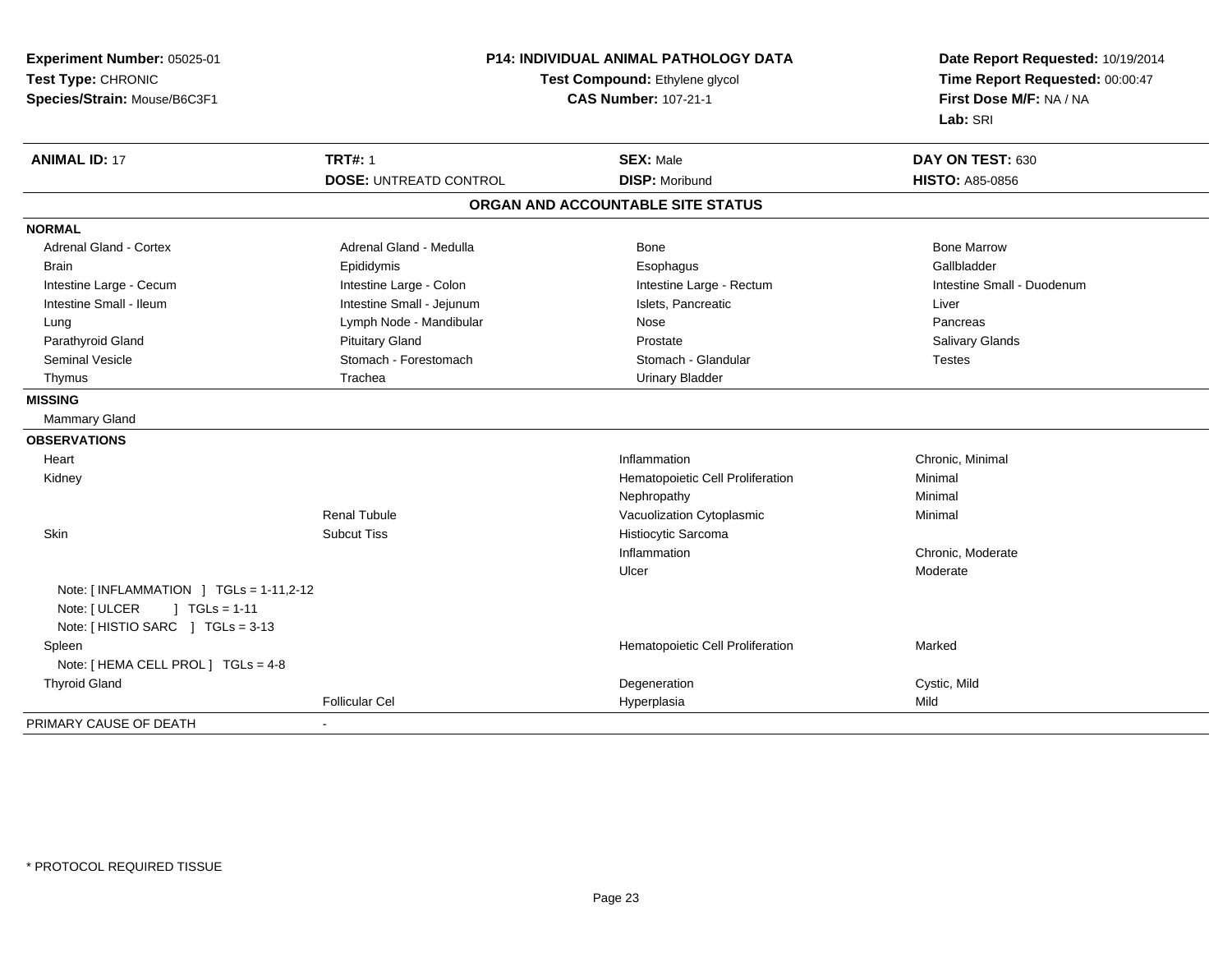| Experiment Number: 05025-01<br>Test Type: CHRONIC<br>Species/Strain: Mouse/B6C3F1                                           | P14: INDIVIDUAL ANIMAL PATHOLOGY DATA<br>Test Compound: Ethylene glycol<br><b>CAS Number: 107-21-1</b> |                                   | Date Report Requested: 10/19/2014<br>Time Report Requested: 00:00:47<br>First Dose M/F: NA / NA<br>Lab: SRI |
|-----------------------------------------------------------------------------------------------------------------------------|--------------------------------------------------------------------------------------------------------|-----------------------------------|-------------------------------------------------------------------------------------------------------------|
| <b>ANIMAL ID: 17</b>                                                                                                        | <b>TRT#: 1</b>                                                                                         | <b>SEX: Male</b>                  | DAY ON TEST: 630                                                                                            |
|                                                                                                                             | <b>DOSE: UNTREATD CONTROL</b>                                                                          | <b>DISP: Moribund</b>             | <b>HISTO: A85-0856</b>                                                                                      |
|                                                                                                                             |                                                                                                        | ORGAN AND ACCOUNTABLE SITE STATUS |                                                                                                             |
| <b>NORMAL</b>                                                                                                               |                                                                                                        |                                   |                                                                                                             |
| Adrenal Gland - Cortex                                                                                                      | Adrenal Gland - Medulla                                                                                | <b>Bone</b>                       | <b>Bone Marrow</b>                                                                                          |
| <b>Brain</b>                                                                                                                | Epididymis                                                                                             | Esophagus                         | Gallbladder                                                                                                 |
| Intestine Large - Cecum                                                                                                     | Intestine Large - Colon                                                                                | Intestine Large - Rectum          | Intestine Small - Duodenum                                                                                  |
| Intestine Small - Ileum                                                                                                     | Intestine Small - Jejunum                                                                              | Islets, Pancreatic                | Liver                                                                                                       |
| Lung                                                                                                                        | Lymph Node - Mandibular                                                                                | Nose                              | Pancreas                                                                                                    |
| Parathyroid Gland                                                                                                           | <b>Pituitary Gland</b>                                                                                 | Prostate                          | Salivary Glands                                                                                             |
| <b>Seminal Vesicle</b>                                                                                                      | Stomach - Forestomach                                                                                  | Stomach - Glandular               | <b>Testes</b>                                                                                               |
| Thymus                                                                                                                      | Trachea                                                                                                | <b>Urinary Bladder</b>            |                                                                                                             |
| <b>MISSING</b>                                                                                                              |                                                                                                        |                                   |                                                                                                             |
| <b>Mammary Gland</b>                                                                                                        |                                                                                                        |                                   |                                                                                                             |
| <b>OBSERVATIONS</b>                                                                                                         |                                                                                                        |                                   |                                                                                                             |
| Heart                                                                                                                       |                                                                                                        | Inflammation                      | Chronic, Minimal                                                                                            |
| Kidney                                                                                                                      |                                                                                                        | Hematopoietic Cell Proliferation  | Minimal                                                                                                     |
|                                                                                                                             |                                                                                                        | Nephropathy                       | Minimal                                                                                                     |
|                                                                                                                             | <b>Renal Tubule</b>                                                                                    | Vacuolization Cytoplasmic         | Minimal                                                                                                     |
| Skin                                                                                                                        | <b>Subcut Tiss</b>                                                                                     | Histiocytic Sarcoma               |                                                                                                             |
|                                                                                                                             |                                                                                                        | Inflammation                      | Chronic, Moderate                                                                                           |
|                                                                                                                             |                                                                                                        | Ulcer                             | Moderate                                                                                                    |
| Note: $[INFLAMMATION] TGLs = 1-11,2-12$<br>Note: [ ULCER<br>$\sqrt{1 + 11}$ TGLs = 1-11<br>Note: [HISTIO SARC ] TGLs = 3-13 |                                                                                                        |                                   |                                                                                                             |
| Spleen                                                                                                                      |                                                                                                        | Hematopoietic Cell Proliferation  | Marked                                                                                                      |
| Note: [ HEMA CELL PROL ] TGLs = 4-8                                                                                         |                                                                                                        |                                   |                                                                                                             |
| <b>Thyroid Gland</b>                                                                                                        |                                                                                                        | Degeneration                      | Cystic, Mild                                                                                                |
|                                                                                                                             | <b>Follicular Cel</b>                                                                                  | Hyperplasia                       | Mild                                                                                                        |
| PRIMARY CAUSE OF DEATH                                                                                                      |                                                                                                        |                                   |                                                                                                             |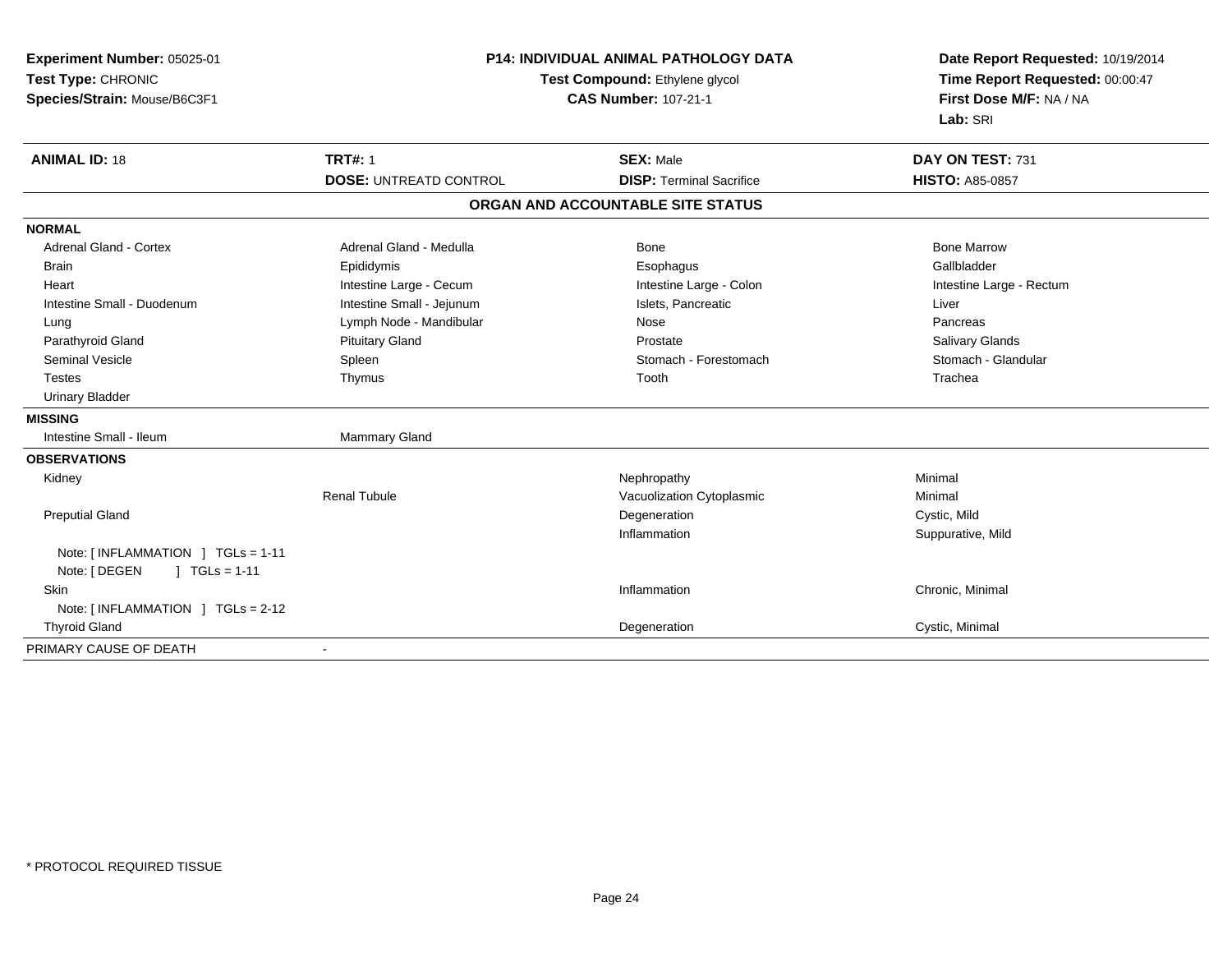| Experiment Number: 05025-01<br>Test Type: CHRONIC<br>Species/Strain: Mouse/B6C3F1 | <b>P14: INDIVIDUAL ANIMAL PATHOLOGY DATA</b><br>Test Compound: Ethylene glycol<br><b>CAS Number: 107-21-1</b> |                                   | Date Report Requested: 10/19/2014<br>Time Report Requested: 00:00:47<br>First Dose M/F: NA / NA<br>Lab: SRI |
|-----------------------------------------------------------------------------------|---------------------------------------------------------------------------------------------------------------|-----------------------------------|-------------------------------------------------------------------------------------------------------------|
| <b>ANIMAL ID: 18</b>                                                              | <b>TRT#: 1</b>                                                                                                | <b>SEX: Male</b>                  | DAY ON TEST: 731                                                                                            |
|                                                                                   | <b>DOSE: UNTREATD CONTROL</b>                                                                                 | <b>DISP: Terminal Sacrifice</b>   | <b>HISTO: A85-0857</b>                                                                                      |
|                                                                                   |                                                                                                               | ORGAN AND ACCOUNTABLE SITE STATUS |                                                                                                             |
| <b>NORMAL</b>                                                                     |                                                                                                               |                                   |                                                                                                             |
| <b>Adrenal Gland - Cortex</b>                                                     | Adrenal Gland - Medulla                                                                                       | Bone                              | <b>Bone Marrow</b>                                                                                          |
| <b>Brain</b>                                                                      | Epididymis                                                                                                    | Esophagus                         | Gallbladder                                                                                                 |
| Heart                                                                             | Intestine Large - Cecum                                                                                       | Intestine Large - Colon           | Intestine Large - Rectum                                                                                    |
| Intestine Small - Duodenum                                                        | Intestine Small - Jejunum                                                                                     | Islets, Pancreatic                | Liver                                                                                                       |
| Lung                                                                              | Lymph Node - Mandibular                                                                                       | Nose                              | Pancreas                                                                                                    |
| Parathyroid Gland                                                                 | <b>Pituitary Gland</b>                                                                                        | Prostate                          | Salivary Glands                                                                                             |
| <b>Seminal Vesicle</b>                                                            | Spleen                                                                                                        | Stomach - Forestomach             | Stomach - Glandular                                                                                         |
| <b>Testes</b>                                                                     | Thymus                                                                                                        | Tooth                             | Trachea                                                                                                     |
| <b>Urinary Bladder</b>                                                            |                                                                                                               |                                   |                                                                                                             |
| <b>MISSING</b>                                                                    |                                                                                                               |                                   |                                                                                                             |
| Intestine Small - Ileum                                                           | Mammary Gland                                                                                                 |                                   |                                                                                                             |
| <b>OBSERVATIONS</b>                                                               |                                                                                                               |                                   |                                                                                                             |
| Kidney                                                                            |                                                                                                               | Nephropathy                       | Minimal                                                                                                     |
|                                                                                   | <b>Renal Tubule</b>                                                                                           | Vacuolization Cytoplasmic         | Minimal                                                                                                     |
| <b>Preputial Gland</b>                                                            |                                                                                                               | Degeneration                      | Cystic, Mild                                                                                                |
|                                                                                   |                                                                                                               | Inflammation                      | Suppurative, Mild                                                                                           |
| Note: [INFLAMMATION ] TGLs = 1-11<br>Note: [ DEGEN<br>$1 TGLs = 1-11$             |                                                                                                               |                                   |                                                                                                             |
| Skin                                                                              |                                                                                                               | Inflammation                      | Chronic, Minimal                                                                                            |
| Note: $\lceil$ INFLAMMATION $\lceil$ TGLs = 2-12                                  |                                                                                                               |                                   |                                                                                                             |
| <b>Thyroid Gland</b>                                                              |                                                                                                               | Degeneration                      | Cystic, Minimal                                                                                             |
| PRIMARY CAUSE OF DEATH                                                            | $\blacksquare$                                                                                                |                                   |                                                                                                             |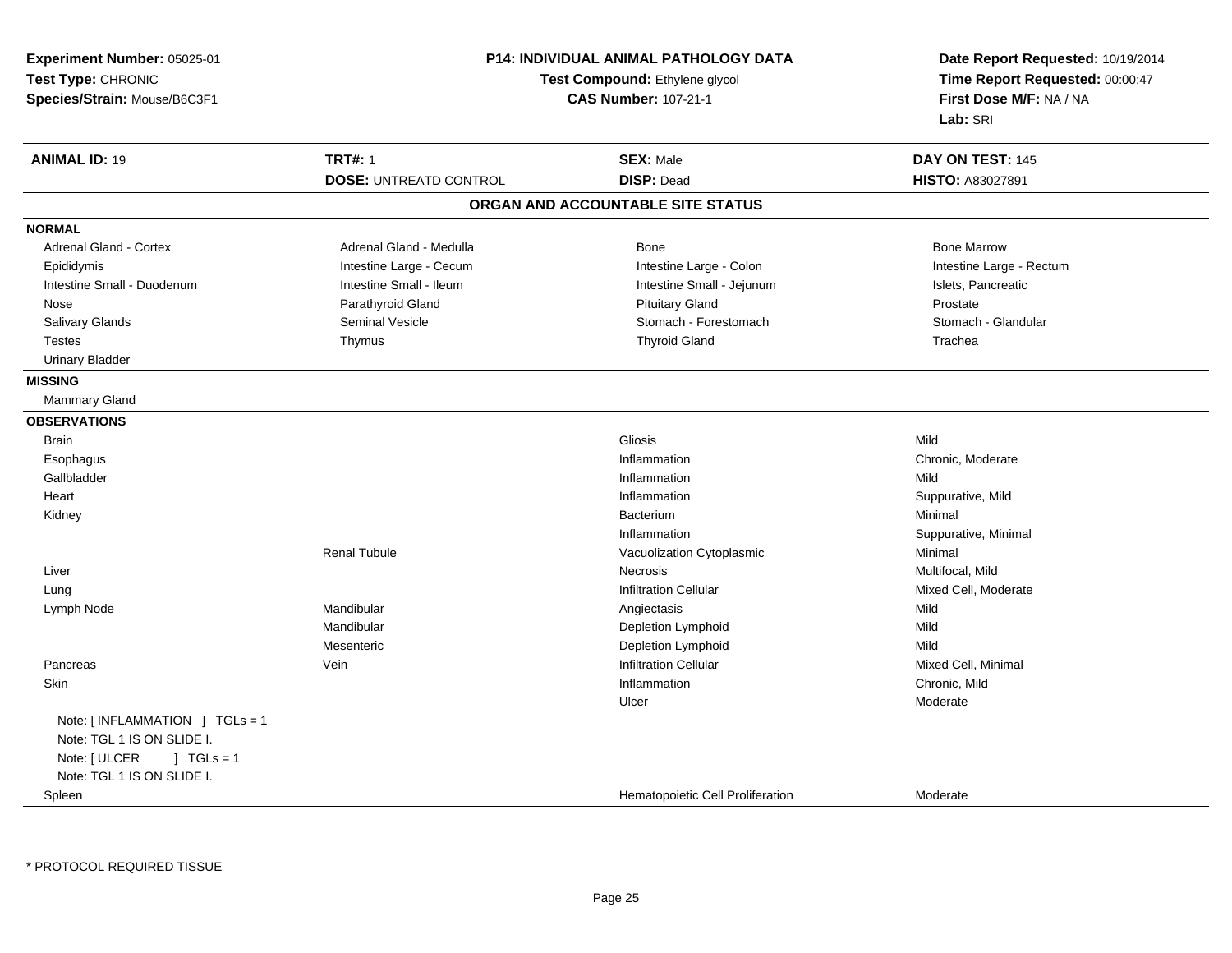| Experiment Number: 05025-01       |                                | <b>P14: INDIVIDUAL ANIMAL PATHOLOGY DATA</b> | Date Report Requested: 10/19/2014 |
|-----------------------------------|--------------------------------|----------------------------------------------|-----------------------------------|
| Test Type: CHRONIC                | Test Compound: Ethylene glycol |                                              | Time Report Requested: 00:00:47   |
| Species/Strain: Mouse/B6C3F1      |                                | <b>CAS Number: 107-21-1</b>                  | First Dose M/F: NA / NA           |
|                                   |                                |                                              | Lab: SRI                          |
|                                   |                                |                                              |                                   |
| <b>ANIMAL ID: 19</b>              | <b>TRT#: 1</b>                 | <b>SEX: Male</b>                             | DAY ON TEST: 145                  |
|                                   | <b>DOSE: UNTREATD CONTROL</b>  | <b>DISP: Dead</b>                            | <b>HISTO: A83027891</b>           |
|                                   |                                | ORGAN AND ACCOUNTABLE SITE STATUS            |                                   |
| <b>NORMAL</b>                     |                                |                                              |                                   |
| <b>Adrenal Gland - Cortex</b>     | Adrenal Gland - Medulla        | Bone                                         | <b>Bone Marrow</b>                |
| Epididymis                        | Intestine Large - Cecum        | Intestine Large - Colon                      | Intestine Large - Rectum          |
| Intestine Small - Duodenum        | Intestine Small - Ileum        | Intestine Small - Jejunum                    | Islets, Pancreatic                |
| Nose                              | Parathyroid Gland              | <b>Pituitary Gland</b>                       | Prostate                          |
| Salivary Glands                   | Seminal Vesicle                | Stomach - Forestomach                        | Stomach - Glandular               |
| <b>Testes</b>                     | Thymus                         | <b>Thyroid Gland</b>                         | Trachea                           |
| <b>Urinary Bladder</b>            |                                |                                              |                                   |
| <b>MISSING</b>                    |                                |                                              |                                   |
| <b>Mammary Gland</b>              |                                |                                              |                                   |
| <b>OBSERVATIONS</b>               |                                |                                              |                                   |
| <b>Brain</b>                      |                                | Gliosis                                      | Mild                              |
| Esophagus                         |                                | Inflammation                                 | Chronic, Moderate                 |
| Gallbladder                       |                                | Inflammation                                 | Mild                              |
| Heart                             |                                | Inflammation                                 | Suppurative, Mild                 |
| Kidney                            |                                | Bacterium                                    | Minimal                           |
|                                   |                                | Inflammation                                 | Suppurative, Minimal              |
|                                   | <b>Renal Tubule</b>            | Vacuolization Cytoplasmic                    | Minimal                           |
| Liver                             |                                | Necrosis                                     | Multifocal, Mild                  |
| Lung                              |                                | <b>Infiltration Cellular</b>                 | Mixed Cell, Moderate              |
| Lymph Node                        | Mandibular                     | Angiectasis                                  | Mild                              |
|                                   | Mandibular                     | Depletion Lymphoid                           | Mild                              |
|                                   | Mesenteric                     | Depletion Lymphoid                           | Mild                              |
| Pancreas                          | Vein                           | <b>Infiltration Cellular</b>                 | Mixed Cell, Minimal               |
| <b>Skin</b>                       |                                | Inflammation                                 | Chronic, Mild                     |
|                                   |                                | Ulcer                                        | Moderate                          |
| Note: [INFLAMMATION ] TGLs = 1    |                                |                                              |                                   |
| Note: TGL 1 IS ON SLIDE I.        |                                |                                              |                                   |
| Note: [ ULCER<br>$\vert$ TGLs = 1 |                                |                                              |                                   |
| Note: TGL 1 IS ON SLIDE I.        |                                |                                              |                                   |
| Spleen                            |                                | Hematopoietic Cell Proliferation             | Moderate                          |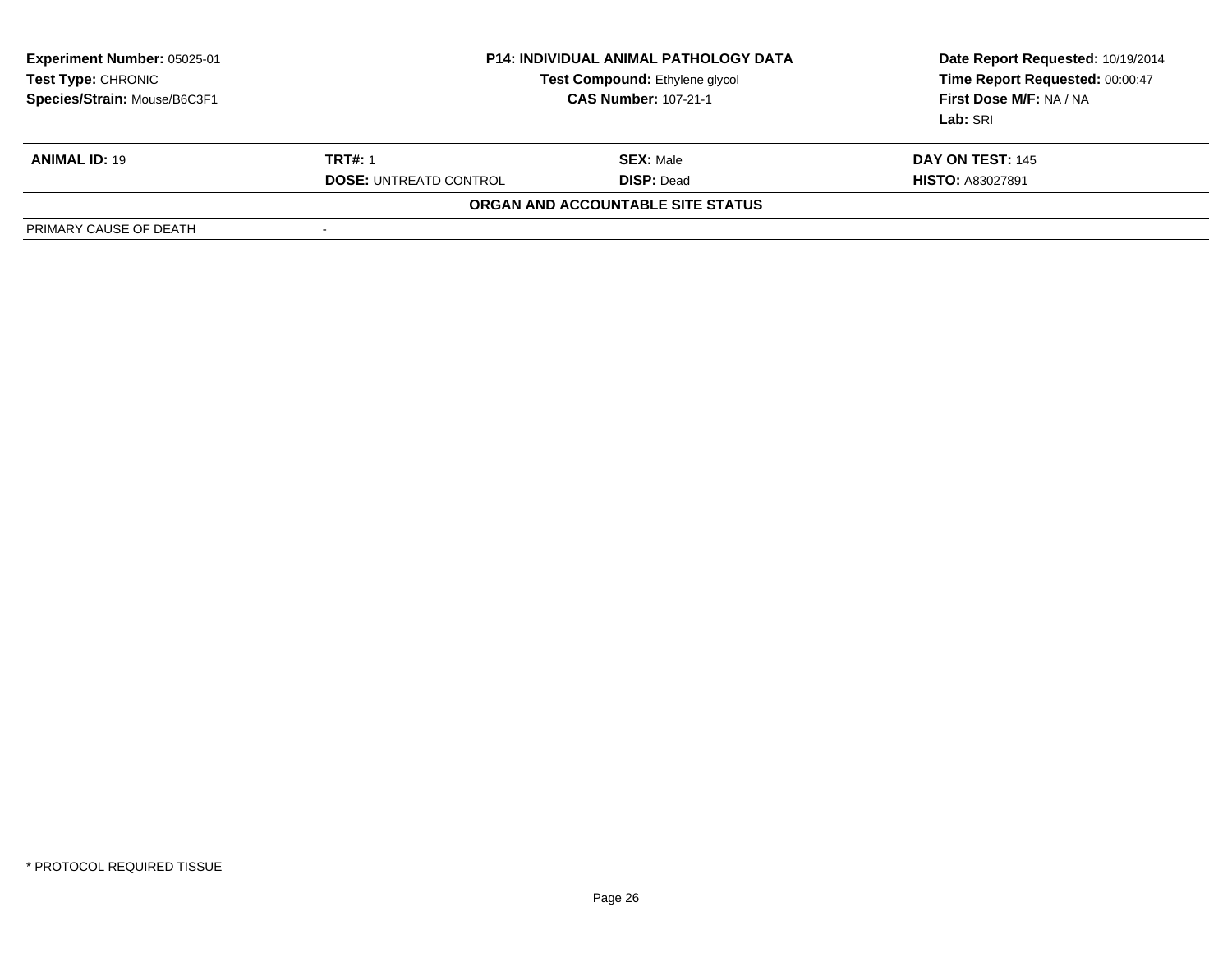| <b>Experiment Number: 05025-01</b><br><b>Test Type: CHRONIC</b><br>Species/Strain: Mouse/B6C3F1 | <b>P14: INDIVIDUAL ANIMAL PATHOLOGY DATA</b><br>Test Compound: Ethylene glycol<br><b>CAS Number: 107-21-1</b> |                                   | Date Report Requested: 10/19/2014<br>Time Report Requested: 00:00:47<br>First Dose M/F: NA / NA<br>Lab: SRI |
|-------------------------------------------------------------------------------------------------|---------------------------------------------------------------------------------------------------------------|-----------------------------------|-------------------------------------------------------------------------------------------------------------|
| <b>ANIMAL ID: 19</b>                                                                            | <b>TRT#: 1</b>                                                                                                | <b>SEX: Male</b>                  | <b>DAY ON TEST: 145</b>                                                                                     |
|                                                                                                 | <b>DOSE: UNTREATD CONTROL</b>                                                                                 | <b>DISP: Dead</b>                 | <b>HISTO: A83027891</b>                                                                                     |
|                                                                                                 |                                                                                                               | ORGAN AND ACCOUNTABLE SITE STATUS |                                                                                                             |
| PRIMARY CAUSE OF DEATH                                                                          | $\overline{\phantom{a}}$                                                                                      |                                   |                                                                                                             |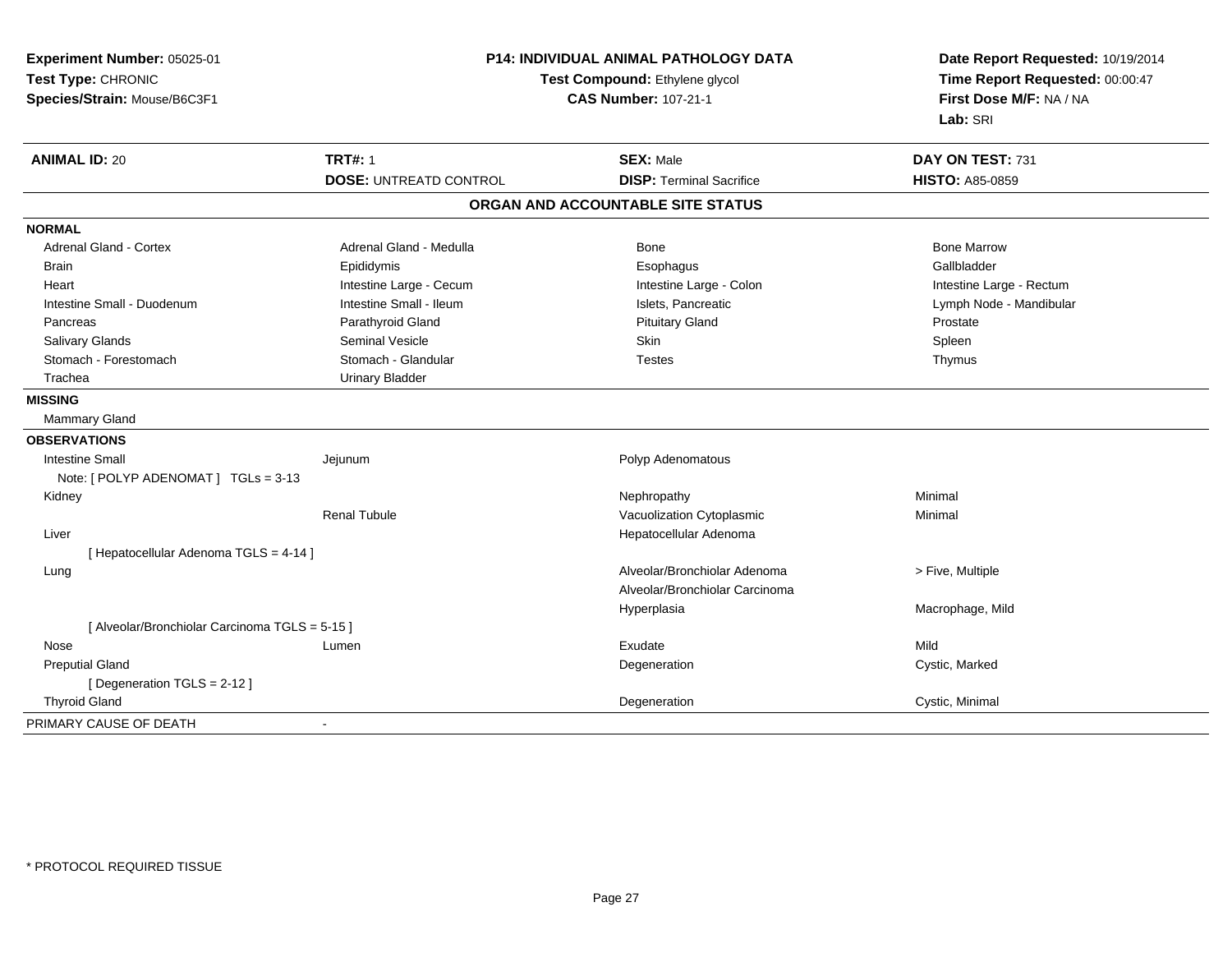| Experiment Number: 05025-01<br>Test Type: CHRONIC<br>Species/Strain: Mouse/B6C3F1 | P14: INDIVIDUAL ANIMAL PATHOLOGY DATA<br>Test Compound: Ethylene glycol<br><b>CAS Number: 107-21-1</b> |                                   | Date Report Requested: 10/19/2014<br>Time Report Requested: 00:00:47<br>First Dose M/F: NA / NA<br>Lab: SRI |
|-----------------------------------------------------------------------------------|--------------------------------------------------------------------------------------------------------|-----------------------------------|-------------------------------------------------------------------------------------------------------------|
| <b>ANIMAL ID: 20</b>                                                              | <b>TRT#: 1</b>                                                                                         | <b>SEX: Male</b>                  | DAY ON TEST: 731                                                                                            |
|                                                                                   | <b>DOSE: UNTREATD CONTROL</b>                                                                          | <b>DISP: Terminal Sacrifice</b>   | <b>HISTO: A85-0859</b>                                                                                      |
|                                                                                   |                                                                                                        | ORGAN AND ACCOUNTABLE SITE STATUS |                                                                                                             |
| <b>NORMAL</b>                                                                     |                                                                                                        |                                   |                                                                                                             |
| <b>Adrenal Gland - Cortex</b>                                                     | Adrenal Gland - Medulla                                                                                | Bone                              | <b>Bone Marrow</b>                                                                                          |
| <b>Brain</b>                                                                      | Epididymis                                                                                             | Esophagus                         | Gallbladder                                                                                                 |
| Heart                                                                             | Intestine Large - Cecum                                                                                | Intestine Large - Colon           | Intestine Large - Rectum                                                                                    |
| Intestine Small - Duodenum                                                        | Intestine Small - Ileum                                                                                | Islets, Pancreatic                | Lymph Node - Mandibular                                                                                     |
| Pancreas                                                                          | Parathyroid Gland                                                                                      | <b>Pituitary Gland</b>            | Prostate                                                                                                    |
| <b>Salivary Glands</b>                                                            | Seminal Vesicle                                                                                        | Skin                              | Spleen                                                                                                      |
| Stomach - Forestomach                                                             | Stomach - Glandular                                                                                    | <b>Testes</b>                     | Thymus                                                                                                      |
| Trachea                                                                           | <b>Urinary Bladder</b>                                                                                 |                                   |                                                                                                             |
| <b>MISSING</b>                                                                    |                                                                                                        |                                   |                                                                                                             |
| <b>Mammary Gland</b>                                                              |                                                                                                        |                                   |                                                                                                             |
| <b>OBSERVATIONS</b>                                                               |                                                                                                        |                                   |                                                                                                             |
| Intestine Small                                                                   | Jejunum                                                                                                | Polyp Adenomatous                 |                                                                                                             |
| Note: [ POLYP ADENOMAT ] TGLs = 3-13                                              |                                                                                                        |                                   |                                                                                                             |
| Kidney                                                                            |                                                                                                        | Nephropathy                       | Minimal                                                                                                     |
|                                                                                   | <b>Renal Tubule</b>                                                                                    | Vacuolization Cytoplasmic         | Minimal                                                                                                     |
| Liver                                                                             |                                                                                                        | Hepatocellular Adenoma            |                                                                                                             |
| [ Hepatocellular Adenoma TGLS = 4-14 ]                                            |                                                                                                        |                                   |                                                                                                             |
| Lung                                                                              |                                                                                                        | Alveolar/Bronchiolar Adenoma      | > Five, Multiple                                                                                            |
|                                                                                   |                                                                                                        | Alveolar/Bronchiolar Carcinoma    |                                                                                                             |
|                                                                                   |                                                                                                        | Hyperplasia                       | Macrophage, Mild                                                                                            |
| [ Alveolar/Bronchiolar Carcinoma TGLS = 5-15 ]                                    |                                                                                                        |                                   |                                                                                                             |
| Nose                                                                              | Lumen                                                                                                  | Exudate                           | Mild                                                                                                        |
| <b>Preputial Gland</b>                                                            |                                                                                                        | Degeneration                      | Cystic, Marked                                                                                              |
| [ Degeneration TGLS = 2-12 ]                                                      |                                                                                                        |                                   |                                                                                                             |
| <b>Thyroid Gland</b>                                                              |                                                                                                        | Degeneration                      | Cystic, Minimal                                                                                             |
| PRIMARY CAUSE OF DEATH                                                            | $\blacksquare$                                                                                         |                                   |                                                                                                             |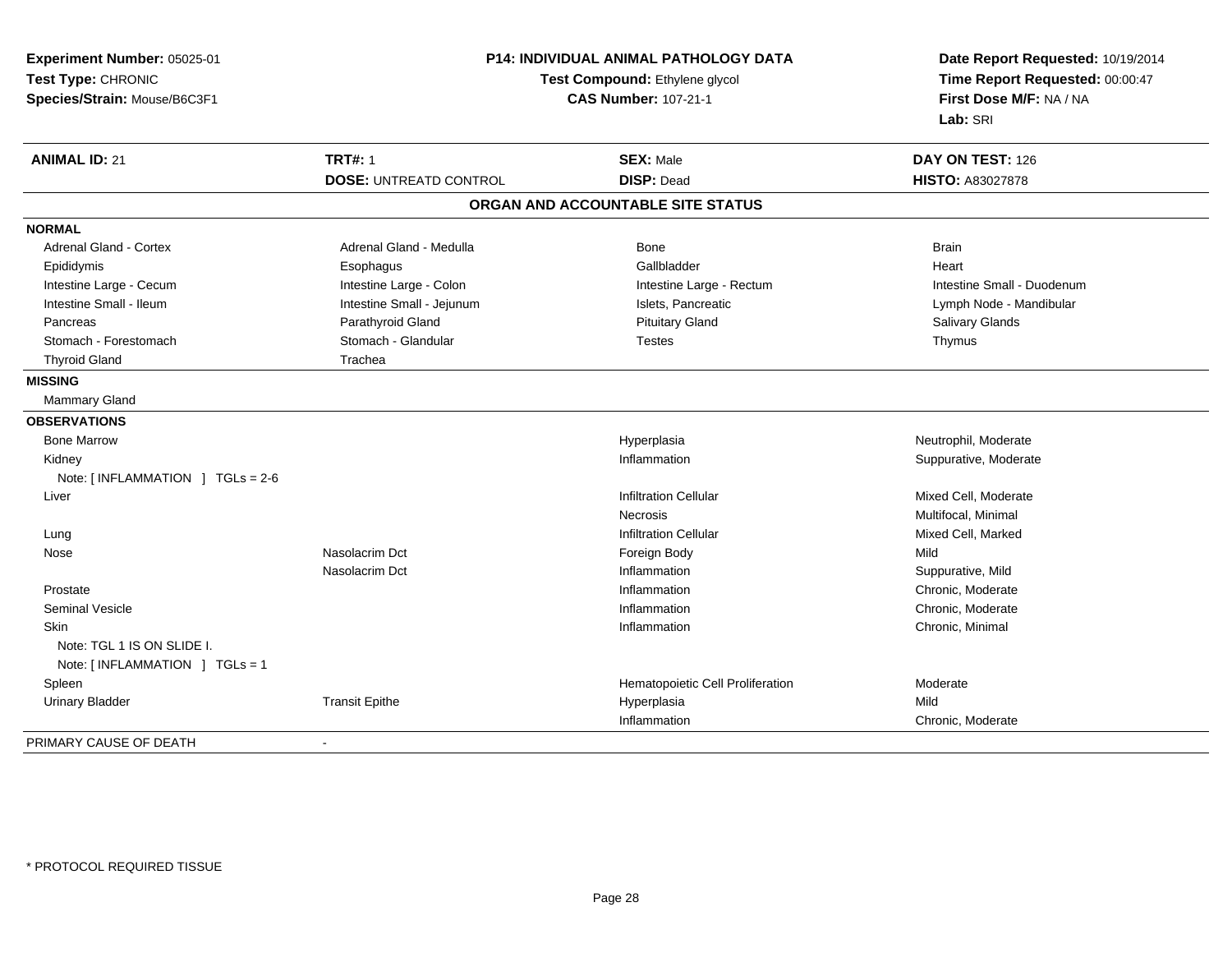| Experiment Number: 05025-01<br>Test Type: CHRONIC<br>Species/Strain: Mouse/B6C3F1 | <b>P14: INDIVIDUAL ANIMAL PATHOLOGY DATA</b><br>Test Compound: Ethylene glycol<br><b>CAS Number: 107-21-1</b> |                                   | Date Report Requested: 10/19/2014<br>Time Report Requested: 00:00:47<br>First Dose M/F: NA / NA<br>Lab: SRI |
|-----------------------------------------------------------------------------------|---------------------------------------------------------------------------------------------------------------|-----------------------------------|-------------------------------------------------------------------------------------------------------------|
| <b>ANIMAL ID: 21</b>                                                              | <b>TRT#: 1</b>                                                                                                | <b>SEX: Male</b>                  | DAY ON TEST: 126                                                                                            |
|                                                                                   | <b>DOSE: UNTREATD CONTROL</b>                                                                                 | <b>DISP: Dead</b>                 | <b>HISTO: A83027878</b>                                                                                     |
|                                                                                   |                                                                                                               | ORGAN AND ACCOUNTABLE SITE STATUS |                                                                                                             |
| <b>NORMAL</b>                                                                     |                                                                                                               |                                   |                                                                                                             |
| <b>Adrenal Gland - Cortex</b>                                                     | Adrenal Gland - Medulla                                                                                       | Bone                              | <b>Brain</b>                                                                                                |
| Epididymis                                                                        | Esophagus                                                                                                     | Gallbladder                       | Heart                                                                                                       |
| Intestine Large - Cecum                                                           | Intestine Large - Colon                                                                                       | Intestine Large - Rectum          | Intestine Small - Duodenum                                                                                  |
| Intestine Small - Ileum                                                           | Intestine Small - Jejunum                                                                                     | Islets, Pancreatic                | Lymph Node - Mandibular                                                                                     |
| Pancreas                                                                          | Parathyroid Gland                                                                                             | <b>Pituitary Gland</b>            | Salivary Glands                                                                                             |
| Stomach - Forestomach                                                             | Stomach - Glandular                                                                                           | <b>Testes</b>                     | Thymus                                                                                                      |
| <b>Thyroid Gland</b>                                                              | Trachea                                                                                                       |                                   |                                                                                                             |
| <b>MISSING</b>                                                                    |                                                                                                               |                                   |                                                                                                             |
| Mammary Gland                                                                     |                                                                                                               |                                   |                                                                                                             |
| <b>OBSERVATIONS</b>                                                               |                                                                                                               |                                   |                                                                                                             |
| <b>Bone Marrow</b>                                                                |                                                                                                               | Hyperplasia                       | Neutrophil, Moderate                                                                                        |
| Kidney                                                                            |                                                                                                               | Inflammation                      | Suppurative, Moderate                                                                                       |
| Note: [INFLAMMATION ] TGLs = 2-6                                                  |                                                                                                               |                                   |                                                                                                             |
| Liver                                                                             |                                                                                                               | <b>Infiltration Cellular</b>      | Mixed Cell, Moderate                                                                                        |
|                                                                                   |                                                                                                               | <b>Necrosis</b>                   | Multifocal, Minimal                                                                                         |
| Lung                                                                              |                                                                                                               | <b>Infiltration Cellular</b>      | Mixed Cell, Marked                                                                                          |
| Nose                                                                              | Nasolacrim Dct                                                                                                | Foreign Body                      | Mild                                                                                                        |
|                                                                                   | Nasolacrim Dct                                                                                                | Inflammation                      | Suppurative, Mild                                                                                           |
| Prostate                                                                          |                                                                                                               | Inflammation                      | Chronic, Moderate                                                                                           |
| <b>Seminal Vesicle</b>                                                            |                                                                                                               | Inflammation                      | Chronic, Moderate                                                                                           |
| Skin<br>Note: TGL 1 IS ON SLIDE I.                                                |                                                                                                               | Inflammation                      | Chronic, Minimal                                                                                            |
| Note: [INFLAMMATION ] TGLs = 1                                                    |                                                                                                               |                                   |                                                                                                             |
| Spleen                                                                            |                                                                                                               | Hematopoietic Cell Proliferation  | Moderate                                                                                                    |
| <b>Urinary Bladder</b>                                                            | <b>Transit Epithe</b>                                                                                         | Hyperplasia<br>Inflammation       | Mild<br>Chronic, Moderate                                                                                   |
|                                                                                   |                                                                                                               |                                   |                                                                                                             |
| PRIMARY CAUSE OF DEATH                                                            |                                                                                                               |                                   |                                                                                                             |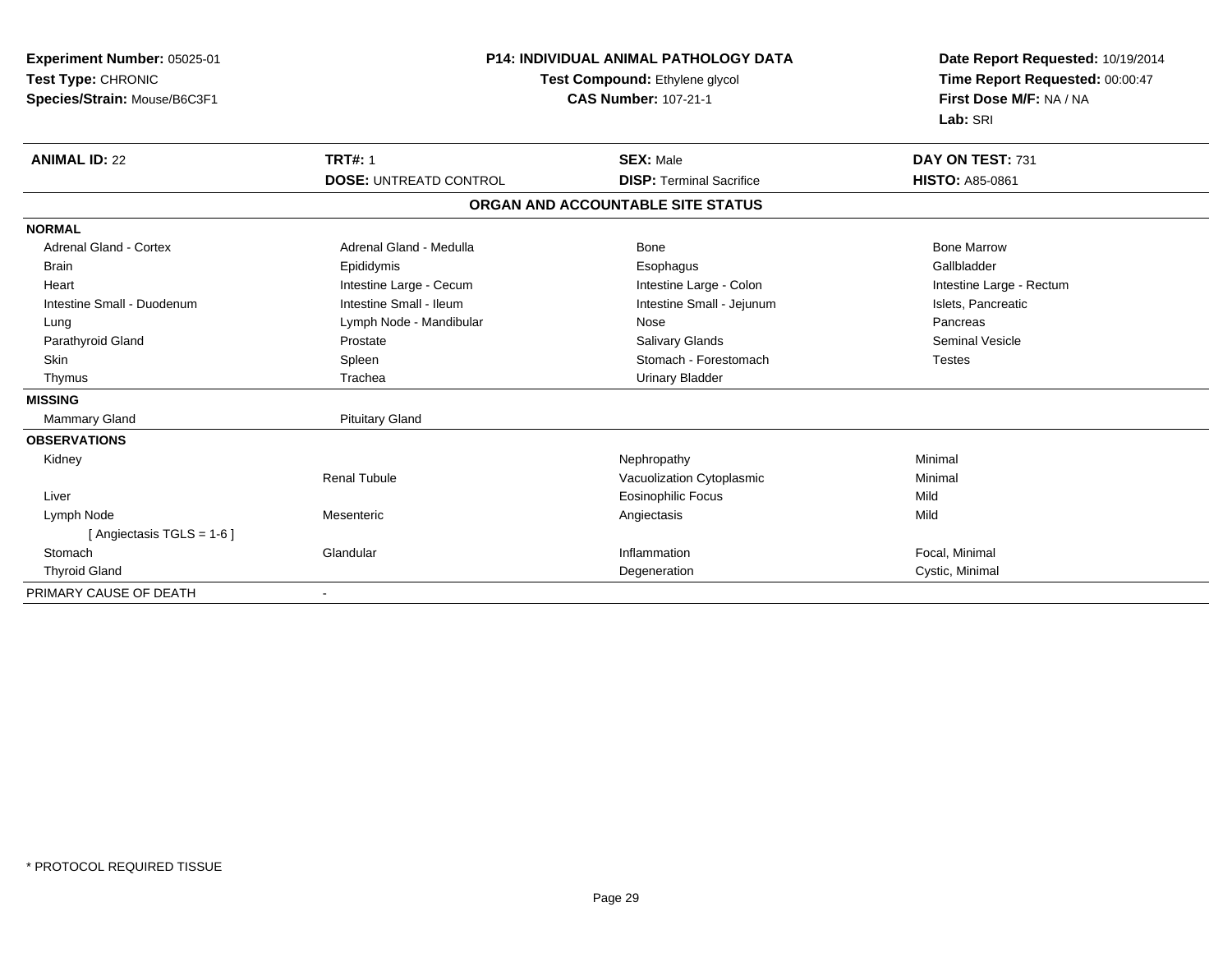| Experiment Number: 05025-01<br>Test Type: CHRONIC<br>Species/Strain: Mouse/B6C3F1 | <b>P14: INDIVIDUAL ANIMAL PATHOLOGY DATA</b><br>Test Compound: Ethylene glycol<br><b>CAS Number: 107-21-1</b> |                                   | Date Report Requested: 10/19/2014<br>Time Report Requested: 00:00:47<br>First Dose M/F: NA / NA<br>Lab: SRI |  |
|-----------------------------------------------------------------------------------|---------------------------------------------------------------------------------------------------------------|-----------------------------------|-------------------------------------------------------------------------------------------------------------|--|
| <b>ANIMAL ID: 22</b>                                                              | <b>TRT#: 1</b>                                                                                                | <b>SEX: Male</b>                  | DAY ON TEST: 731                                                                                            |  |
|                                                                                   | <b>DOSE: UNTREATD CONTROL</b>                                                                                 | <b>DISP: Terminal Sacrifice</b>   | <b>HISTO: A85-0861</b>                                                                                      |  |
|                                                                                   |                                                                                                               | ORGAN AND ACCOUNTABLE SITE STATUS |                                                                                                             |  |
| <b>NORMAL</b>                                                                     |                                                                                                               |                                   |                                                                                                             |  |
| <b>Adrenal Gland - Cortex</b>                                                     | Adrenal Gland - Medulla                                                                                       | Bone                              | <b>Bone Marrow</b>                                                                                          |  |
| <b>Brain</b>                                                                      | Epididymis                                                                                                    | Esophagus                         | Gallbladder                                                                                                 |  |
| Heart                                                                             | Intestine Large - Cecum                                                                                       | Intestine Large - Colon           | Intestine Large - Rectum                                                                                    |  |
| Intestine Small - Duodenum                                                        | Intestine Small - Ileum                                                                                       | Intestine Small - Jejunum         | Islets, Pancreatic                                                                                          |  |
| Lung                                                                              | Lymph Node - Mandibular                                                                                       | Nose                              | Pancreas                                                                                                    |  |
| Parathyroid Gland                                                                 | Prostate                                                                                                      | Salivary Glands                   | <b>Seminal Vesicle</b>                                                                                      |  |
| Skin                                                                              | Spleen                                                                                                        | Stomach - Forestomach             | <b>Testes</b>                                                                                               |  |
| Thymus                                                                            | Trachea                                                                                                       | <b>Urinary Bladder</b>            |                                                                                                             |  |
| <b>MISSING</b>                                                                    |                                                                                                               |                                   |                                                                                                             |  |
| Mammary Gland                                                                     | <b>Pituitary Gland</b>                                                                                        |                                   |                                                                                                             |  |
| <b>OBSERVATIONS</b>                                                               |                                                                                                               |                                   |                                                                                                             |  |
| Kidney                                                                            |                                                                                                               | Nephropathy                       | Minimal                                                                                                     |  |
|                                                                                   | <b>Renal Tubule</b>                                                                                           | Vacuolization Cytoplasmic         | Minimal                                                                                                     |  |
| Liver                                                                             |                                                                                                               | <b>Eosinophilic Focus</b>         | Mild                                                                                                        |  |
| Lymph Node                                                                        | Mesenteric                                                                                                    | Angiectasis                       | Mild                                                                                                        |  |
| [ Angiectasis TGLS = 1-6 ]                                                        |                                                                                                               |                                   |                                                                                                             |  |
| Stomach                                                                           | Glandular                                                                                                     | Inflammation                      | Focal, Minimal                                                                                              |  |
| <b>Thyroid Gland</b>                                                              |                                                                                                               | Degeneration                      | Cystic, Minimal                                                                                             |  |
| PRIMARY CAUSE OF DEATH                                                            |                                                                                                               |                                   |                                                                                                             |  |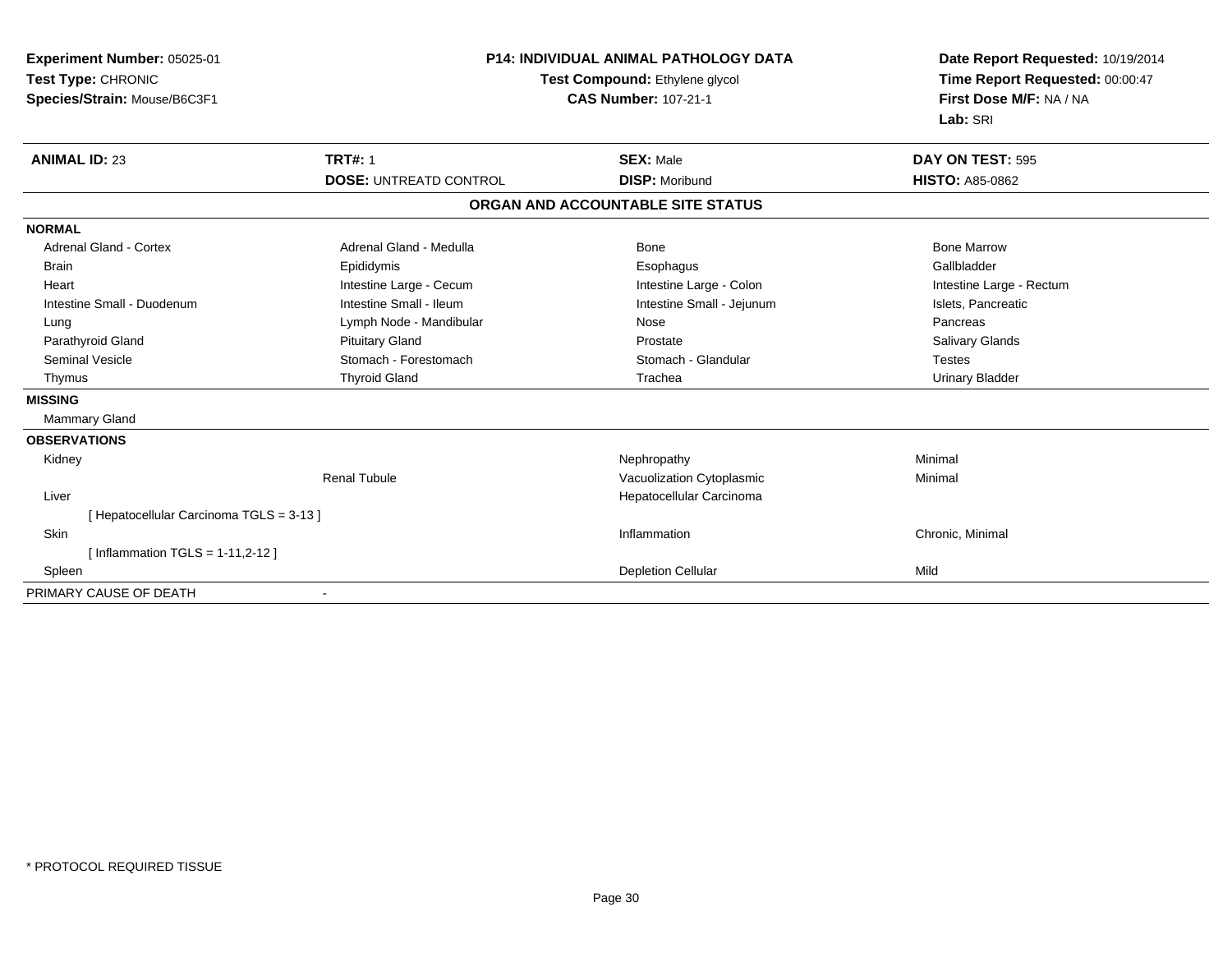| Experiment Number: 05025-01<br>Test Type: CHRONIC<br>Species/Strain: Mouse/B6C3F1 | <b>P14: INDIVIDUAL ANIMAL PATHOLOGY DATA</b><br>Test Compound: Ethylene glycol<br><b>CAS Number: 107-21-1</b> |                                   | Date Report Requested: 10/19/2014<br>Time Report Requested: 00:00:47<br>First Dose M/F: NA / NA<br>Lab: SRI |  |
|-----------------------------------------------------------------------------------|---------------------------------------------------------------------------------------------------------------|-----------------------------------|-------------------------------------------------------------------------------------------------------------|--|
| <b>ANIMAL ID: 23</b>                                                              | <b>TRT#: 1</b>                                                                                                | <b>SEX: Male</b>                  | DAY ON TEST: 595                                                                                            |  |
|                                                                                   | <b>DOSE: UNTREATD CONTROL</b>                                                                                 | <b>DISP: Moribund</b>             | <b>HISTO: A85-0862</b>                                                                                      |  |
|                                                                                   |                                                                                                               | ORGAN AND ACCOUNTABLE SITE STATUS |                                                                                                             |  |
| <b>NORMAL</b>                                                                     |                                                                                                               |                                   |                                                                                                             |  |
| <b>Adrenal Gland - Cortex</b>                                                     | Adrenal Gland - Medulla                                                                                       | Bone                              | <b>Bone Marrow</b>                                                                                          |  |
| <b>Brain</b>                                                                      | Epididymis                                                                                                    | Esophagus                         | Gallbladder                                                                                                 |  |
| Heart                                                                             | Intestine Large - Cecum                                                                                       | Intestine Large - Colon           | Intestine Large - Rectum                                                                                    |  |
| Intestine Small - Duodenum                                                        | Intestine Small - Ileum                                                                                       | Intestine Small - Jejunum         | Islets, Pancreatic                                                                                          |  |
| Lung                                                                              | Lymph Node - Mandibular                                                                                       | Nose                              | Pancreas                                                                                                    |  |
| Parathyroid Gland                                                                 | <b>Pituitary Gland</b>                                                                                        | Prostate                          | Salivary Glands                                                                                             |  |
| <b>Seminal Vesicle</b>                                                            | Stomach - Forestomach                                                                                         | Stomach - Glandular               | <b>Testes</b>                                                                                               |  |
| Thymus                                                                            | <b>Thyroid Gland</b>                                                                                          | Trachea                           | <b>Urinary Bladder</b>                                                                                      |  |
| <b>MISSING</b>                                                                    |                                                                                                               |                                   |                                                                                                             |  |
| Mammary Gland                                                                     |                                                                                                               |                                   |                                                                                                             |  |
| <b>OBSERVATIONS</b>                                                               |                                                                                                               |                                   |                                                                                                             |  |
| Kidney                                                                            |                                                                                                               | Nephropathy                       | Minimal                                                                                                     |  |
|                                                                                   | <b>Renal Tubule</b>                                                                                           | Vacuolization Cytoplasmic         | Minimal                                                                                                     |  |
| Liver                                                                             |                                                                                                               | Hepatocellular Carcinoma          |                                                                                                             |  |
| [ Hepatocellular Carcinoma TGLS = 3-13 ]                                          |                                                                                                               |                                   |                                                                                                             |  |
| Skin                                                                              |                                                                                                               | Inflammation                      | Chronic, Minimal                                                                                            |  |
| [Inflammation TGLS = $1-11,2-12$ ]                                                |                                                                                                               |                                   |                                                                                                             |  |
| Spleen                                                                            |                                                                                                               | <b>Depletion Cellular</b>         | Mild                                                                                                        |  |
| PRIMARY CAUSE OF DEATH                                                            |                                                                                                               |                                   |                                                                                                             |  |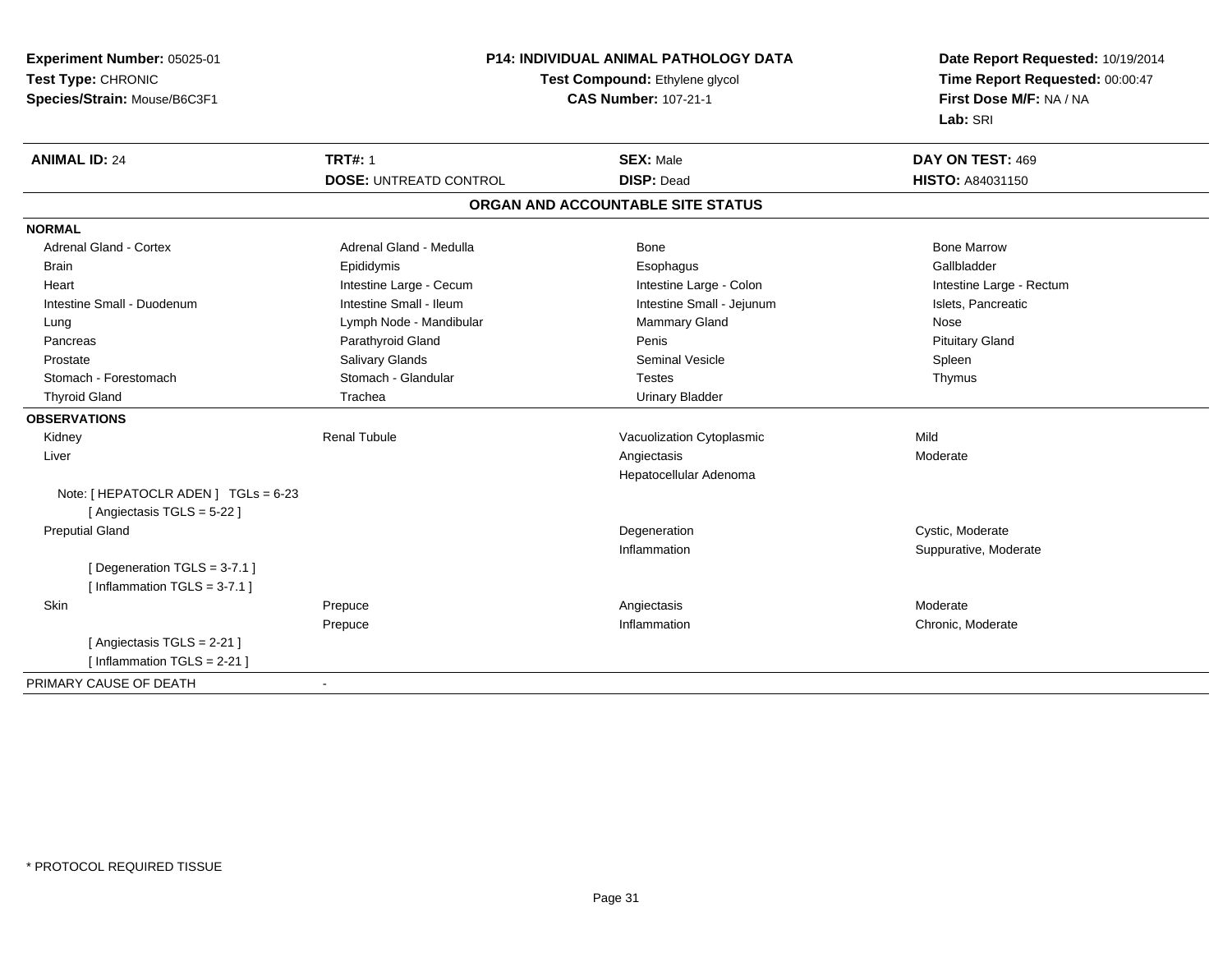| Experiment Number: 05025-01          | <b>P14: INDIVIDUAL ANIMAL PATHOLOGY DATA</b> |                                       | Date Report Requested: 10/19/2014                          |
|--------------------------------------|----------------------------------------------|---------------------------------------|------------------------------------------------------------|
| Test Type: CHRONIC                   |                                              | Test Compound: Ethylene glycol        |                                                            |
| Species/Strain: Mouse/B6C3F1         |                                              | <b>CAS Number: 107-21-1</b>           | Time Report Requested: 00:00:47<br>First Dose M/F: NA / NA |
|                                      |                                              |                                       | Lab: SRI                                                   |
| <b>ANIMAL ID: 24</b>                 | <b>TRT#: 1</b>                               | <b>SEX: Male</b>                      | DAY ON TEST: 469                                           |
|                                      | <b>DOSE: UNTREATD CONTROL</b>                | <b>DISP: Dead</b>                     | HISTO: A84031150                                           |
|                                      |                                              | ORGAN AND ACCOUNTABLE SITE STATUS     |                                                            |
| <b>NORMAL</b>                        |                                              |                                       |                                                            |
| <b>Adrenal Gland - Cortex</b>        | Adrenal Gland - Medulla                      | <b>Bone</b>                           | <b>Bone Marrow</b>                                         |
| <b>Brain</b>                         | Epididymis                                   | Esophagus                             | Gallbladder                                                |
| Heart                                | Intestine Large - Cecum                      | Intestine Large - Colon               | Intestine Large - Rectum                                   |
| Intestine Small - Duodenum           | Intestine Small - Ileum                      | Intestine Small - Jejunum             | Islets, Pancreatic                                         |
| Lung                                 | Lymph Node - Mandibular                      | Mammary Gland                         | Nose                                                       |
| Pancreas                             | Parathyroid Gland                            | Penis                                 | <b>Pituitary Gland</b>                                     |
| Prostate                             | <b>Salivary Glands</b>                       | <b>Seminal Vesicle</b>                | Spleen                                                     |
| Stomach - Forestomach                | Stomach - Glandular                          | <b>Testes</b>                         | Thymus                                                     |
| <b>Thyroid Gland</b>                 | Trachea                                      | <b>Urinary Bladder</b>                |                                                            |
| <b>OBSERVATIONS</b>                  |                                              |                                       |                                                            |
| Kidney                               | <b>Renal Tubule</b>                          | Vacuolization Cytoplasmic             | Mild                                                       |
| Liver                                |                                              | Angiectasis<br>Hepatocellular Adenoma | Moderate                                                   |
| Note: [ HEPATOCLR ADEN ] TGLs = 6-23 |                                              |                                       |                                                            |
| [Angiectasis TGLS = 5-22]            |                                              |                                       |                                                            |
| <b>Preputial Gland</b>               |                                              | Degeneration                          | Cystic, Moderate                                           |
|                                      |                                              | Inflammation                          | Suppurative, Moderate                                      |
| [Degeneration TGLS = 3-7.1]          |                                              |                                       |                                                            |
| [Inflammation TGLS = $3-7.1$ ]       |                                              |                                       |                                                            |
| Skin                                 | Prepuce                                      | Angiectasis                           | Moderate                                                   |
|                                      | Prepuce                                      | Inflammation                          | Chronic, Moderate                                          |
| [Angiectasis TGLS = 2-21]            |                                              |                                       |                                                            |
| [Inflammation $TGLS = 2-21$ ]        |                                              |                                       |                                                            |
| PRIMARY CAUSE OF DEATH               | $\blacksquare$                               |                                       |                                                            |
|                                      |                                              |                                       |                                                            |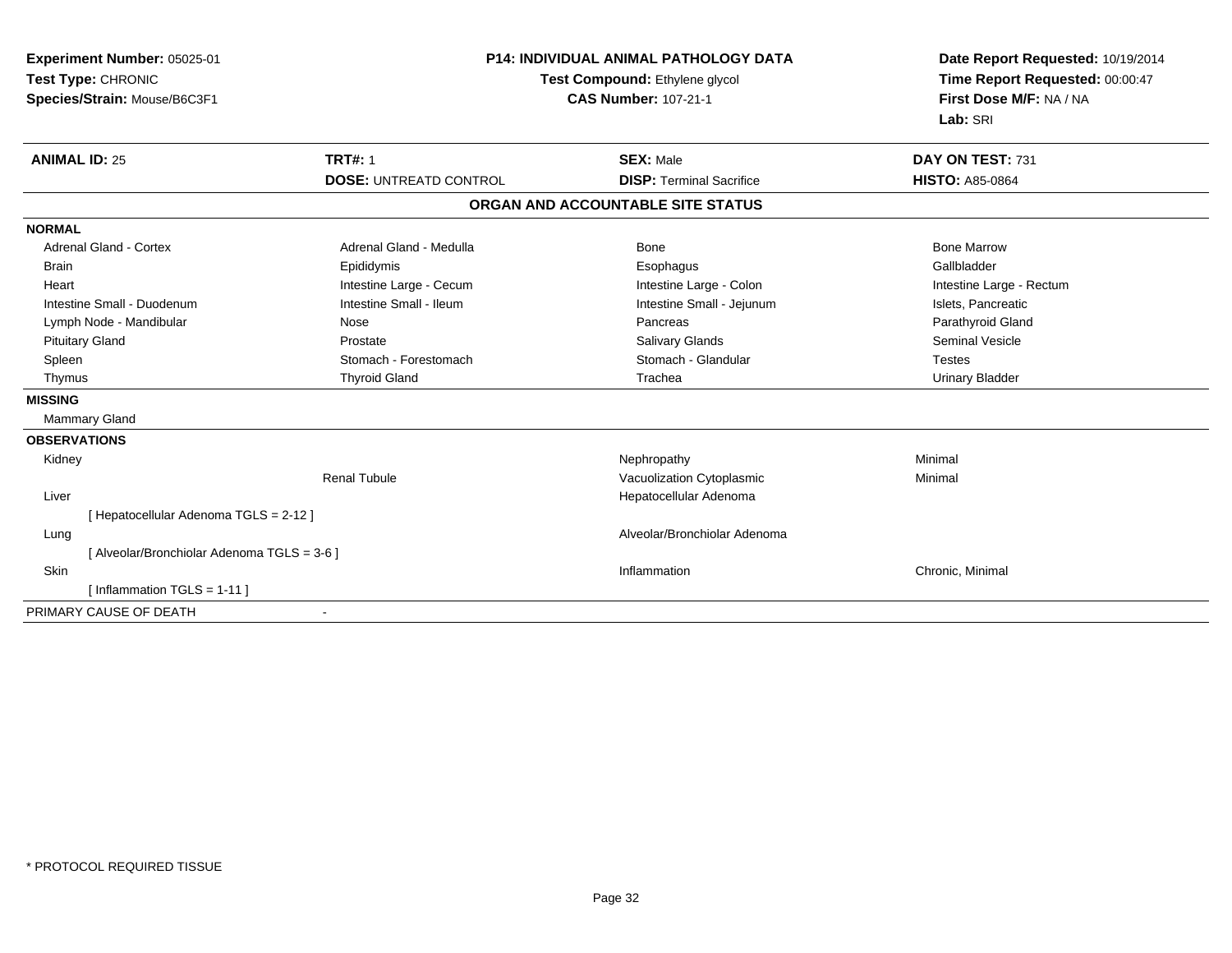| <b>Experiment Number: 05025-01</b><br>Test Type: CHRONIC<br>Species/Strain: Mouse/B6C3F1 | <b>P14: INDIVIDUAL ANIMAL PATHOLOGY DATA</b><br>Test Compound: Ethylene glycol<br><b>CAS Number: 107-21-1</b> |                                   | Date Report Requested: 10/19/2014<br>Time Report Requested: 00:00:47<br>First Dose M/F: NA / NA<br>Lab: SRI |  |
|------------------------------------------------------------------------------------------|---------------------------------------------------------------------------------------------------------------|-----------------------------------|-------------------------------------------------------------------------------------------------------------|--|
| <b>ANIMAL ID: 25</b>                                                                     | <b>TRT#: 1</b>                                                                                                | <b>SEX: Male</b>                  | DAY ON TEST: 731                                                                                            |  |
|                                                                                          | <b>DOSE: UNTREATD CONTROL</b>                                                                                 | <b>DISP: Terminal Sacrifice</b>   | <b>HISTO: A85-0864</b>                                                                                      |  |
|                                                                                          |                                                                                                               | ORGAN AND ACCOUNTABLE SITE STATUS |                                                                                                             |  |
| <b>NORMAL</b>                                                                            |                                                                                                               |                                   |                                                                                                             |  |
| <b>Adrenal Gland - Cortex</b>                                                            | Adrenal Gland - Medulla                                                                                       | <b>Bone</b>                       | <b>Bone Marrow</b>                                                                                          |  |
| <b>Brain</b>                                                                             | Epididymis                                                                                                    | Esophagus                         | Gallbladder                                                                                                 |  |
| Heart                                                                                    | Intestine Large - Cecum                                                                                       | Intestine Large - Colon           | Intestine Large - Rectum                                                                                    |  |
| Intestine Small - Duodenum                                                               | Intestine Small - Ileum                                                                                       | Intestine Small - Jejunum         | Islets, Pancreatic                                                                                          |  |
| Lymph Node - Mandibular                                                                  | Nose                                                                                                          | Pancreas                          | Parathyroid Gland                                                                                           |  |
| <b>Pituitary Gland</b>                                                                   | Prostate                                                                                                      | <b>Salivary Glands</b>            | <b>Seminal Vesicle</b>                                                                                      |  |
| Spleen                                                                                   | Stomach - Forestomach                                                                                         | Stomach - Glandular               | <b>Testes</b>                                                                                               |  |
| Thymus                                                                                   | <b>Thyroid Gland</b>                                                                                          | Trachea                           | <b>Urinary Bladder</b>                                                                                      |  |
| <b>MISSING</b>                                                                           |                                                                                                               |                                   |                                                                                                             |  |
| Mammary Gland                                                                            |                                                                                                               |                                   |                                                                                                             |  |
| <b>OBSERVATIONS</b>                                                                      |                                                                                                               |                                   |                                                                                                             |  |
| Kidney                                                                                   |                                                                                                               | Nephropathy                       | Minimal                                                                                                     |  |
|                                                                                          | <b>Renal Tubule</b>                                                                                           | Vacuolization Cytoplasmic         | Minimal                                                                                                     |  |
| Liver                                                                                    |                                                                                                               | Hepatocellular Adenoma            |                                                                                                             |  |
| [ Hepatocellular Adenoma TGLS = 2-12 ]                                                   |                                                                                                               |                                   |                                                                                                             |  |
| Lung                                                                                     |                                                                                                               | Alveolar/Bronchiolar Adenoma      |                                                                                                             |  |
| [ Alveolar/Bronchiolar Adenoma TGLS = 3-6 ]                                              |                                                                                                               |                                   |                                                                                                             |  |
| Skin                                                                                     |                                                                                                               | Inflammation                      | Chronic, Minimal                                                                                            |  |
| [ Inflammation TGLS = 1-11 ]                                                             |                                                                                                               |                                   |                                                                                                             |  |
| PRIMARY CAUSE OF DEATH                                                                   |                                                                                                               |                                   |                                                                                                             |  |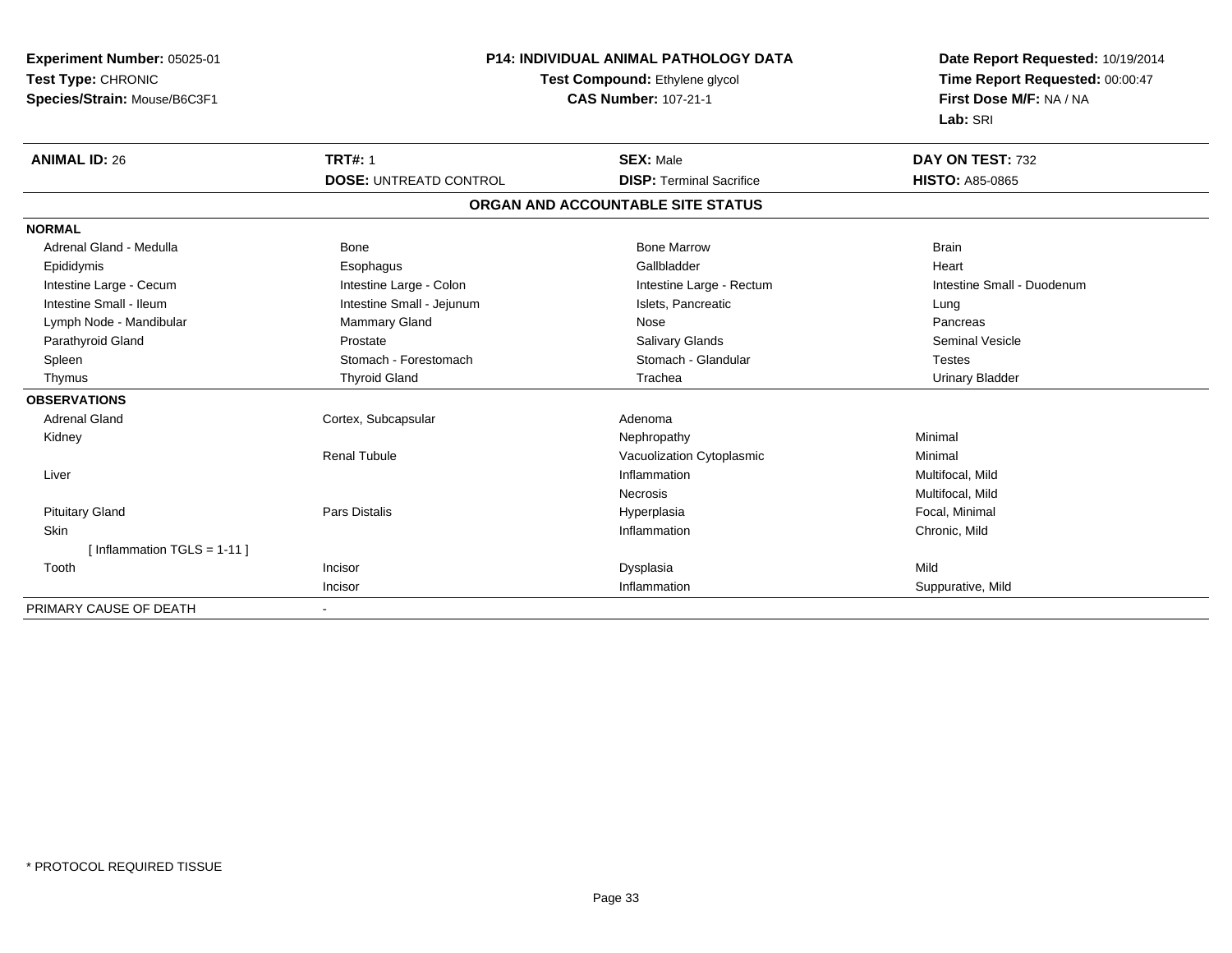| Experiment Number: 05025-01   | <b>P14: INDIVIDUAL ANIMAL PATHOLOGY DATA</b><br>Test Compound: Ethylene glycol |                                   | Date Report Requested: 10/19/2014 |  |
|-------------------------------|--------------------------------------------------------------------------------|-----------------------------------|-----------------------------------|--|
| Test Type: CHRONIC            |                                                                                |                                   | Time Report Requested: 00:00:47   |  |
| Species/Strain: Mouse/B6C3F1  |                                                                                | <b>CAS Number: 107-21-1</b>       | First Dose M/F: NA / NA           |  |
|                               |                                                                                |                                   | Lab: SRI                          |  |
| <b>ANIMAL ID: 26</b>          | <b>TRT#: 1</b>                                                                 | <b>SEX: Male</b>                  | DAY ON TEST: 732                  |  |
|                               | <b>DOSE: UNTREATD CONTROL</b>                                                  | <b>DISP: Terminal Sacrifice</b>   | <b>HISTO: A85-0865</b>            |  |
|                               |                                                                                | ORGAN AND ACCOUNTABLE SITE STATUS |                                   |  |
| <b>NORMAL</b>                 |                                                                                |                                   |                                   |  |
| Adrenal Gland - Medulla       | Bone                                                                           | <b>Bone Marrow</b>                | <b>Brain</b>                      |  |
| Epididymis                    | Esophagus                                                                      | Gallbladder                       | Heart                             |  |
| Intestine Large - Cecum       | Intestine Large - Colon                                                        | Intestine Large - Rectum          | Intestine Small - Duodenum        |  |
| Intestine Small - Ileum       | Intestine Small - Jejunum                                                      | Islets, Pancreatic                | Lung                              |  |
| Lymph Node - Mandibular       | Mammary Gland                                                                  | <b>Nose</b>                       | Pancreas                          |  |
| Parathyroid Gland             | Prostate                                                                       | Salivary Glands                   | <b>Seminal Vesicle</b>            |  |
| Spleen                        | Stomach - Forestomach                                                          | Stomach - Glandular               | <b>Testes</b>                     |  |
| Thymus                        | <b>Thyroid Gland</b>                                                           | Trachea                           | <b>Urinary Bladder</b>            |  |
| <b>OBSERVATIONS</b>           |                                                                                |                                   |                                   |  |
| <b>Adrenal Gland</b>          | Cortex, Subcapsular                                                            | Adenoma                           |                                   |  |
| Kidney                        |                                                                                | Nephropathy                       | Minimal                           |  |
|                               | <b>Renal Tubule</b>                                                            | Vacuolization Cytoplasmic         | Minimal                           |  |
| Liver                         |                                                                                | Inflammation                      | Multifocal, Mild                  |  |
|                               |                                                                                | Necrosis                          | Multifocal, Mild                  |  |
| <b>Pituitary Gland</b>        | <b>Pars Distalis</b>                                                           | Hyperplasia                       | Focal. Minimal                    |  |
| <b>Skin</b>                   |                                                                                | Inflammation                      | Chronic, Mild                     |  |
| [Inflammation TGLS = $1-11$ ] |                                                                                |                                   |                                   |  |
| Tooth                         | Incisor                                                                        | Dysplasia                         | Mild                              |  |
|                               | Incisor                                                                        | Inflammation                      | Suppurative, Mild                 |  |
| PRIMARY CAUSE OF DEATH        |                                                                                |                                   |                                   |  |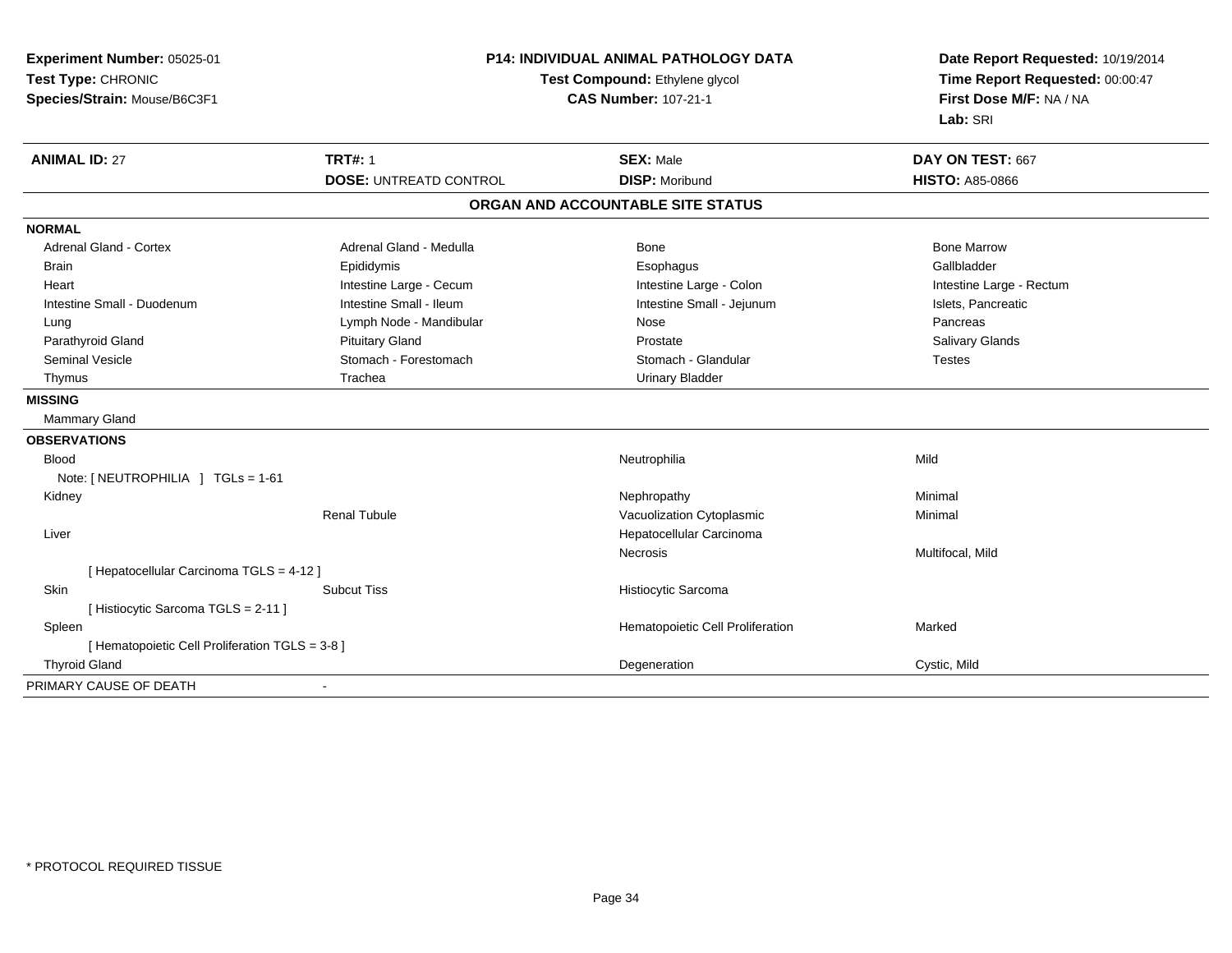| Experiment Number: 05025-01<br>Test Type: CHRONIC<br>Species/Strain: Mouse/B6C3F1 | <b>P14: INDIVIDUAL ANIMAL PATHOLOGY DATA</b><br>Test Compound: Ethylene glycol<br><b>CAS Number: 107-21-1</b> |                                   | Date Report Requested: 10/19/2014<br>Time Report Requested: 00:00:47<br>First Dose M/F: NA / NA<br>Lab: SRI |
|-----------------------------------------------------------------------------------|---------------------------------------------------------------------------------------------------------------|-----------------------------------|-------------------------------------------------------------------------------------------------------------|
| <b>ANIMAL ID: 27</b>                                                              | <b>TRT#: 1</b>                                                                                                | <b>SEX: Male</b>                  | DAY ON TEST: 667                                                                                            |
|                                                                                   | <b>DOSE: UNTREATD CONTROL</b>                                                                                 | <b>DISP: Moribund</b>             | <b>HISTO: A85-0866</b>                                                                                      |
|                                                                                   |                                                                                                               | ORGAN AND ACCOUNTABLE SITE STATUS |                                                                                                             |
| <b>NORMAL</b>                                                                     |                                                                                                               |                                   |                                                                                                             |
| <b>Adrenal Gland - Cortex</b>                                                     | Adrenal Gland - Medulla                                                                                       | <b>Bone</b>                       | <b>Bone Marrow</b>                                                                                          |
| <b>Brain</b>                                                                      | Epididymis                                                                                                    | Esophagus                         | Gallbladder                                                                                                 |
| Heart                                                                             | Intestine Large - Cecum                                                                                       | Intestine Large - Colon           | Intestine Large - Rectum                                                                                    |
| Intestine Small - Duodenum                                                        | Intestine Small - Ileum                                                                                       | Intestine Small - Jejunum         | Islets, Pancreatic                                                                                          |
| Lung                                                                              | Lymph Node - Mandibular                                                                                       | Nose                              | Pancreas                                                                                                    |
| Parathyroid Gland                                                                 | <b>Pituitary Gland</b>                                                                                        | Prostate                          | Salivary Glands                                                                                             |
| <b>Seminal Vesicle</b>                                                            | Stomach - Forestomach                                                                                         | Stomach - Glandular               | <b>Testes</b>                                                                                               |
| Thymus                                                                            | Trachea                                                                                                       | <b>Urinary Bladder</b>            |                                                                                                             |
| <b>MISSING</b>                                                                    |                                                                                                               |                                   |                                                                                                             |
| <b>Mammary Gland</b>                                                              |                                                                                                               |                                   |                                                                                                             |
| <b>OBSERVATIONS</b>                                                               |                                                                                                               |                                   |                                                                                                             |
| <b>Blood</b>                                                                      |                                                                                                               | Neutrophilia                      | Mild                                                                                                        |
| Note: [ NEUTROPHILIA ] TGLs = 1-61                                                |                                                                                                               |                                   |                                                                                                             |
| Kidney                                                                            |                                                                                                               | Nephropathy                       | Minimal                                                                                                     |
|                                                                                   | <b>Renal Tubule</b>                                                                                           | Vacuolization Cytoplasmic         | Minimal                                                                                                     |
| Liver                                                                             |                                                                                                               | Hepatocellular Carcinoma          |                                                                                                             |
|                                                                                   |                                                                                                               | Necrosis                          | Multifocal, Mild                                                                                            |
| [ Hepatocellular Carcinoma TGLS = 4-12 ]                                          |                                                                                                               |                                   |                                                                                                             |
| Skin                                                                              | <b>Subcut Tiss</b>                                                                                            | Histiocytic Sarcoma               |                                                                                                             |
| [ Histiocytic Sarcoma TGLS = 2-11 ]                                               |                                                                                                               |                                   |                                                                                                             |
| Spleen                                                                            |                                                                                                               | Hematopoietic Cell Proliferation  | Marked                                                                                                      |
| [ Hematopoietic Cell Proliferation TGLS = 3-8 ]                                   |                                                                                                               |                                   |                                                                                                             |
| <b>Thyroid Gland</b>                                                              |                                                                                                               | Degeneration                      | Cystic, Mild                                                                                                |
| PRIMARY CAUSE OF DEATH                                                            | $\blacksquare$                                                                                                |                                   |                                                                                                             |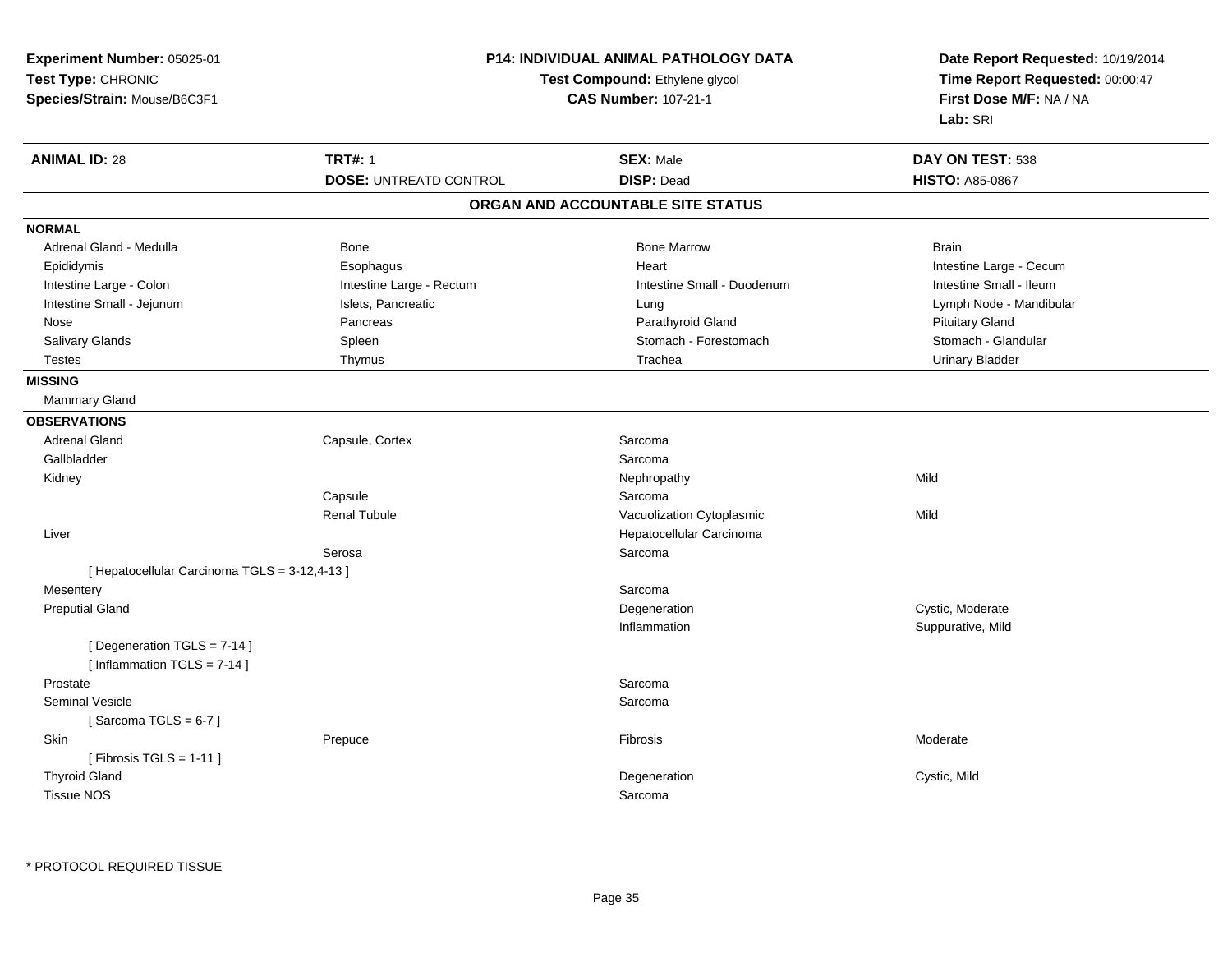| Experiment Number: 05025-01<br>Test Type: CHRONIC<br>Species/Strain: Mouse/B6C3F1 | P14: INDIVIDUAL ANIMAL PATHOLOGY DATA<br>Test Compound: Ethylene glycol<br><b>CAS Number: 107-21-1</b> |                                       | Date Report Requested: 10/19/2014<br>Time Report Requested: 00:00:47<br>First Dose M/F: NA / NA<br>Lab: SRI |
|-----------------------------------------------------------------------------------|--------------------------------------------------------------------------------------------------------|---------------------------------------|-------------------------------------------------------------------------------------------------------------|
| <b>ANIMAL ID: 28</b>                                                              | <b>TRT#: 1</b>                                                                                         | <b>SEX: Male</b><br><b>DISP: Dead</b> | DAY ON TEST: 538                                                                                            |
|                                                                                   | <b>DOSE: UNTREATD CONTROL</b>                                                                          |                                       | <b>HISTO: A85-0867</b>                                                                                      |
|                                                                                   |                                                                                                        | ORGAN AND ACCOUNTABLE SITE STATUS     |                                                                                                             |
| <b>NORMAL</b>                                                                     |                                                                                                        |                                       |                                                                                                             |
| Adrenal Gland - Medulla                                                           | Bone                                                                                                   | <b>Bone Marrow</b>                    | <b>Brain</b>                                                                                                |
| Epididymis                                                                        | Esophagus                                                                                              | Heart                                 | Intestine Large - Cecum                                                                                     |
| Intestine Large - Colon                                                           | Intestine Large - Rectum                                                                               | Intestine Small - Duodenum            | Intestine Small - Ileum                                                                                     |
| Intestine Small - Jejunum                                                         | Islets, Pancreatic                                                                                     | Lung                                  | Lymph Node - Mandibular                                                                                     |
| Nose                                                                              | Pancreas                                                                                               | Parathyroid Gland                     | <b>Pituitary Gland</b>                                                                                      |
| Salivary Glands                                                                   | Spleen                                                                                                 | Stomach - Forestomach                 | Stomach - Glandular                                                                                         |
| <b>Testes</b>                                                                     | Thymus                                                                                                 | Trachea                               | <b>Urinary Bladder</b>                                                                                      |
| <b>MISSING</b>                                                                    |                                                                                                        |                                       |                                                                                                             |
| <b>Mammary Gland</b>                                                              |                                                                                                        |                                       |                                                                                                             |
| <b>OBSERVATIONS</b>                                                               |                                                                                                        |                                       |                                                                                                             |
| <b>Adrenal Gland</b>                                                              | Capsule, Cortex                                                                                        | Sarcoma                               |                                                                                                             |
| Gallbladder                                                                       |                                                                                                        | Sarcoma                               |                                                                                                             |
| Kidney                                                                            |                                                                                                        | Nephropathy                           | Mild                                                                                                        |
|                                                                                   | Capsule                                                                                                | Sarcoma                               |                                                                                                             |
|                                                                                   | <b>Renal Tubule</b>                                                                                    | Vacuolization Cytoplasmic             | Mild                                                                                                        |
| Liver                                                                             |                                                                                                        | Hepatocellular Carcinoma              |                                                                                                             |
|                                                                                   | Serosa                                                                                                 | Sarcoma                               |                                                                                                             |
| [Hepatocellular Carcinoma TGLS = 3-12,4-13]                                       |                                                                                                        |                                       |                                                                                                             |
| Mesentery                                                                         |                                                                                                        | Sarcoma                               |                                                                                                             |
| <b>Preputial Gland</b>                                                            |                                                                                                        | Degeneration                          | Cystic, Moderate                                                                                            |
|                                                                                   |                                                                                                        | Inflammation                          | Suppurative, Mild                                                                                           |
| [Degeneration TGLS = 7-14]<br>[Inflammation $TGLS = 7-14$ ]                       |                                                                                                        |                                       |                                                                                                             |
| Prostate                                                                          |                                                                                                        | Sarcoma                               |                                                                                                             |
| <b>Seminal Vesicle</b>                                                            |                                                                                                        | Sarcoma                               |                                                                                                             |
| [Sarcoma TGLS = $6-7$ ]                                                           |                                                                                                        |                                       |                                                                                                             |
| Skin                                                                              | Prepuce                                                                                                | Fibrosis                              | Moderate                                                                                                    |
| [ Fibrosis TGLS = $1-11$ ]                                                        |                                                                                                        |                                       |                                                                                                             |
| <b>Thyroid Gland</b>                                                              |                                                                                                        | Degeneration                          | Cystic, Mild                                                                                                |
| Tissue NOS                                                                        |                                                                                                        | Sarcoma                               |                                                                                                             |
|                                                                                   |                                                                                                        |                                       |                                                                                                             |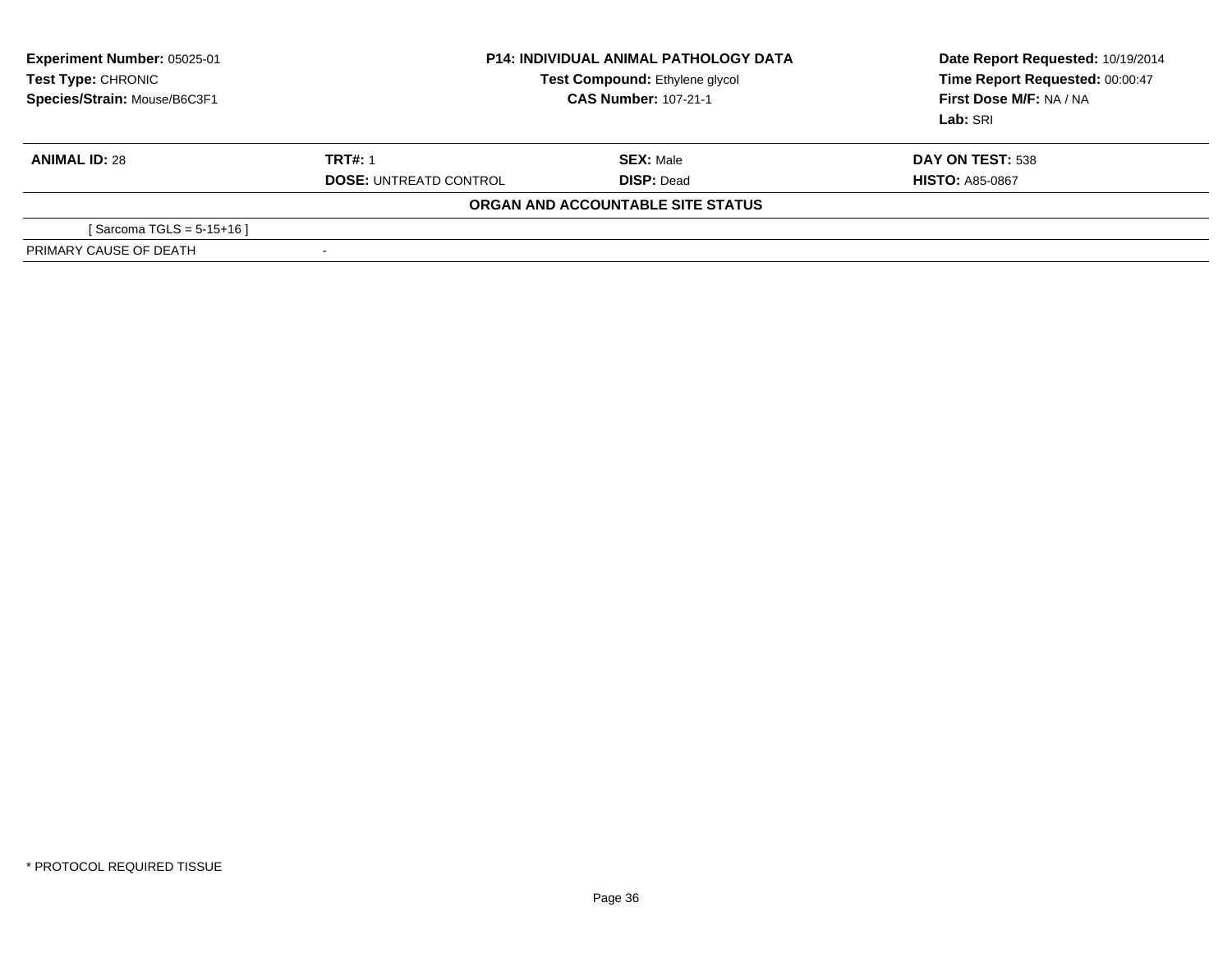| <b>Experiment Number: 05025-01</b><br>Test Type: CHRONIC<br>Species/Strain: Mouse/B6C3F1 | <b>P14: INDIVIDUAL ANIMAL PATHOLOGY DATA</b><br>Test Compound: Ethylene glycol<br><b>CAS Number: 107-21-1</b> |                                   | Date Report Requested: 10/19/2014<br>Time Report Requested: 00:00:47<br>First Dose M/F: NA / NA<br>Lab: SRI |
|------------------------------------------------------------------------------------------|---------------------------------------------------------------------------------------------------------------|-----------------------------------|-------------------------------------------------------------------------------------------------------------|
| <b>ANIMAL ID: 28</b>                                                                     | <b>TRT#: 1</b>                                                                                                | <b>SEX: Male</b>                  | DAY ON TEST: 538                                                                                            |
|                                                                                          | <b>DOSE: UNTREATD CONTROL</b>                                                                                 | <b>DISP: Dead</b>                 | <b>HISTO: A85-0867</b>                                                                                      |
|                                                                                          |                                                                                                               | ORGAN AND ACCOUNTABLE SITE STATUS |                                                                                                             |
| [Sarcoma TGLS = $5-15+16$ ]                                                              |                                                                                                               |                                   |                                                                                                             |
| PRIMARY CAUSE OF DEATH                                                                   | ۰                                                                                                             |                                   |                                                                                                             |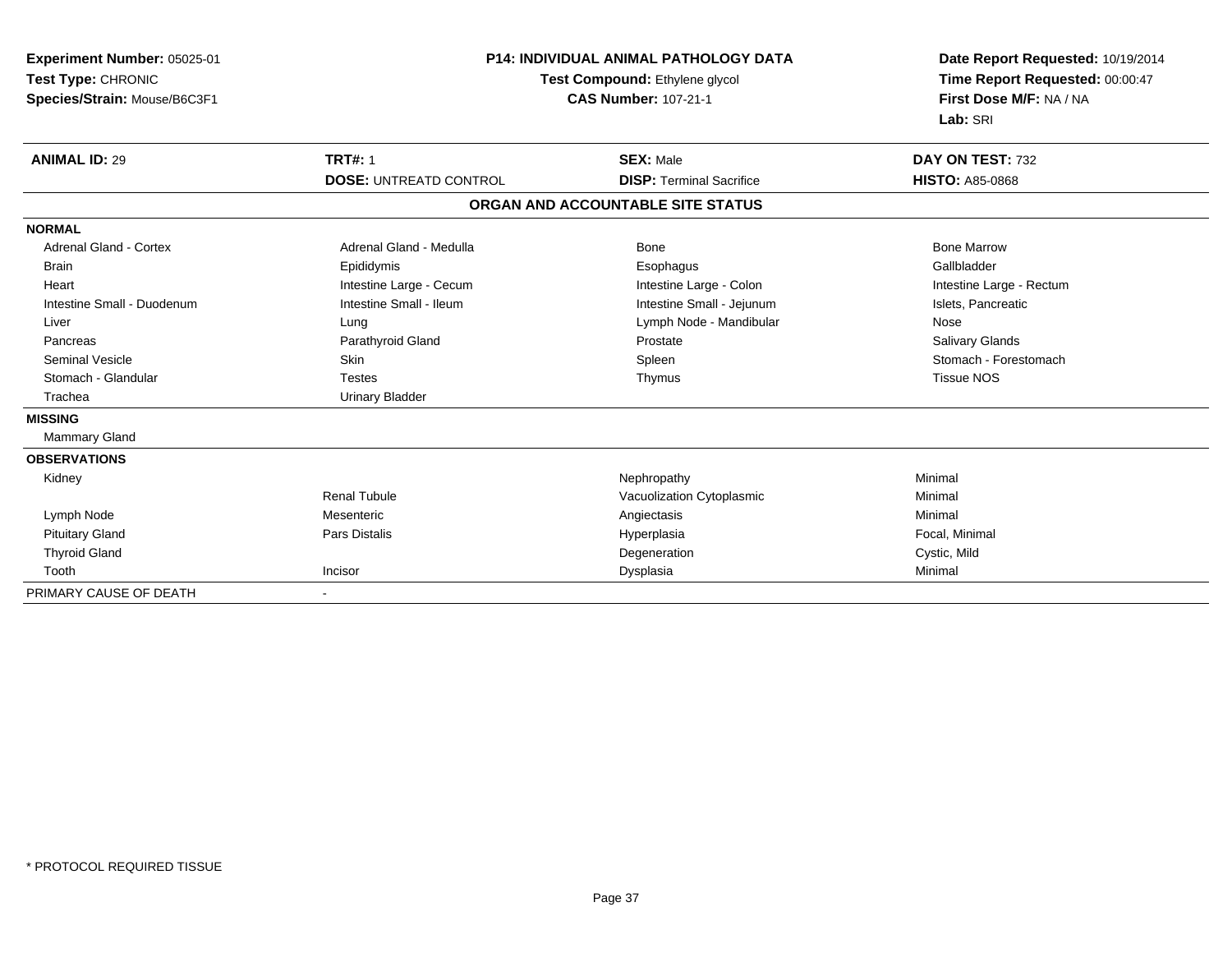| Experiment Number: 05025-01<br>Test Type: CHRONIC<br>Species/Strain: Mouse/B6C3F1 | <b>P14: INDIVIDUAL ANIMAL PATHOLOGY DATA</b><br>Test Compound: Ethylene glycol<br><b>CAS Number: 107-21-1</b> |                                   | Date Report Requested: 10/19/2014<br>Time Report Requested: 00:00:47<br>First Dose M/F: NA / NA<br>Lab: SRI |  |
|-----------------------------------------------------------------------------------|---------------------------------------------------------------------------------------------------------------|-----------------------------------|-------------------------------------------------------------------------------------------------------------|--|
| <b>ANIMAL ID: 29</b>                                                              | <b>TRT#: 1</b>                                                                                                | <b>SEX: Male</b>                  | DAY ON TEST: 732                                                                                            |  |
|                                                                                   | <b>DOSE: UNTREATD CONTROL</b>                                                                                 | <b>DISP: Terminal Sacrifice</b>   | <b>HISTO: A85-0868</b>                                                                                      |  |
|                                                                                   |                                                                                                               | ORGAN AND ACCOUNTABLE SITE STATUS |                                                                                                             |  |
| <b>NORMAL</b>                                                                     |                                                                                                               |                                   |                                                                                                             |  |
| <b>Adrenal Gland - Cortex</b>                                                     | Adrenal Gland - Medulla                                                                                       | Bone                              | <b>Bone Marrow</b>                                                                                          |  |
| <b>Brain</b>                                                                      | Epididymis                                                                                                    | Esophagus                         | Gallbladder                                                                                                 |  |
| Heart                                                                             | Intestine Large - Cecum                                                                                       | Intestine Large - Colon           | Intestine Large - Rectum                                                                                    |  |
| Intestine Small - Duodenum                                                        | Intestine Small - Ileum                                                                                       | Intestine Small - Jejunum         | Islets, Pancreatic                                                                                          |  |
| Liver                                                                             | Lung                                                                                                          | Lymph Node - Mandibular           | Nose                                                                                                        |  |
| Pancreas                                                                          | Parathyroid Gland                                                                                             | Prostate                          | Salivary Glands                                                                                             |  |
| <b>Seminal Vesicle</b>                                                            | Skin                                                                                                          | Spleen                            | Stomach - Forestomach                                                                                       |  |
| Stomach - Glandular                                                               | <b>Testes</b>                                                                                                 | Thymus                            | <b>Tissue NOS</b>                                                                                           |  |
| Trachea                                                                           | <b>Urinary Bladder</b>                                                                                        |                                   |                                                                                                             |  |
| <b>MISSING</b>                                                                    |                                                                                                               |                                   |                                                                                                             |  |
| Mammary Gland                                                                     |                                                                                                               |                                   |                                                                                                             |  |
| <b>OBSERVATIONS</b>                                                               |                                                                                                               |                                   |                                                                                                             |  |
| Kidney                                                                            |                                                                                                               | Nephropathy                       | Minimal                                                                                                     |  |
|                                                                                   | <b>Renal Tubule</b>                                                                                           | Vacuolization Cytoplasmic         | Minimal                                                                                                     |  |
| Lymph Node                                                                        | Mesenteric                                                                                                    | Angiectasis                       | Minimal                                                                                                     |  |
| <b>Pituitary Gland</b>                                                            | Pars Distalis                                                                                                 | Hyperplasia                       | Focal, Minimal                                                                                              |  |
| <b>Thyroid Gland</b>                                                              |                                                                                                               | Degeneration                      | Cystic, Mild                                                                                                |  |
| Tooth                                                                             | Incisor                                                                                                       | Dysplasia                         | Minimal                                                                                                     |  |
| PRIMARY CAUSE OF DEATH                                                            |                                                                                                               |                                   |                                                                                                             |  |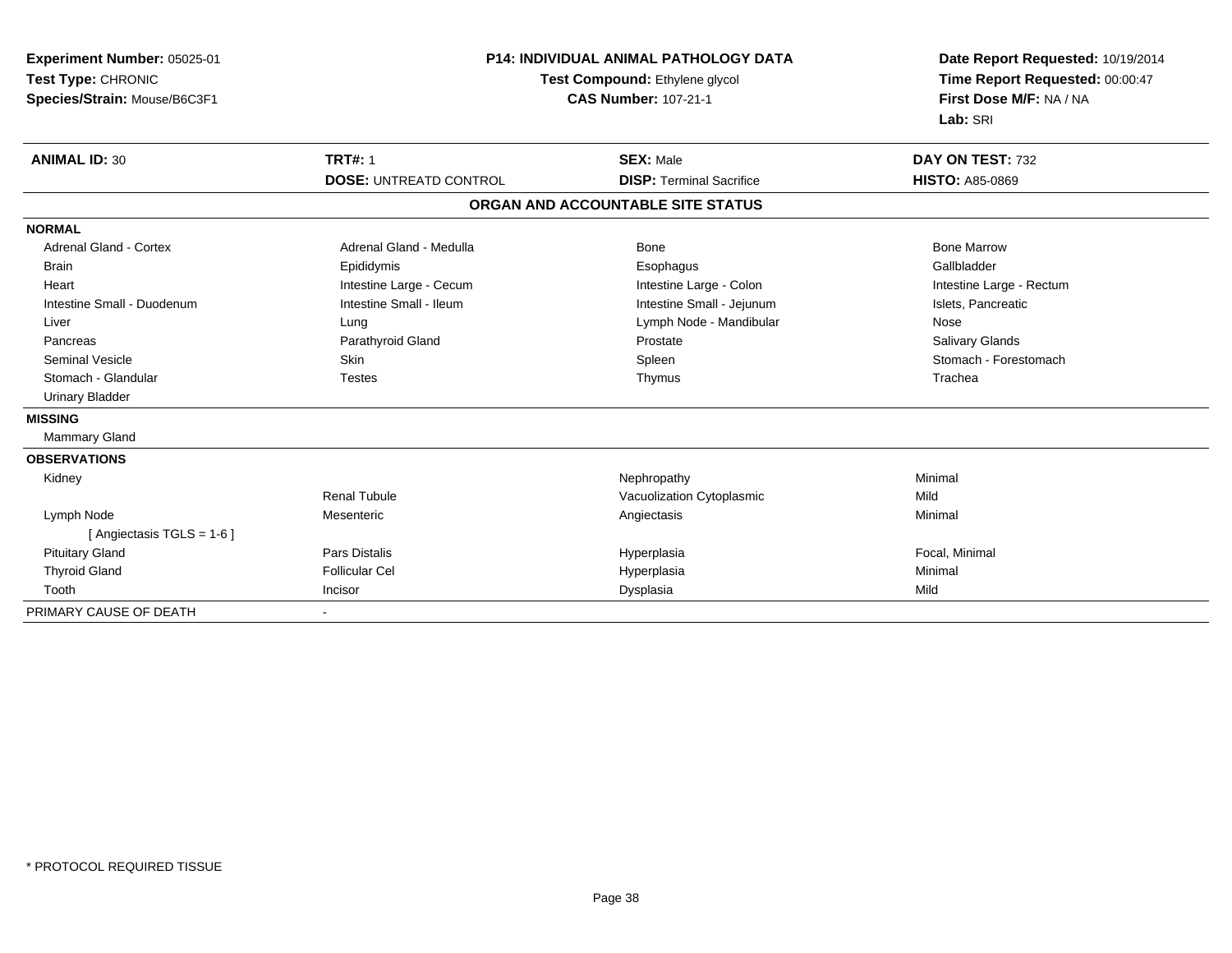| Experiment Number: 05025-01<br>Test Type: CHRONIC<br>Species/Strain: Mouse/B6C3F1 | <b>P14: INDIVIDUAL ANIMAL PATHOLOGY DATA</b><br>Test Compound: Ethylene glycol<br><b>CAS Number: 107-21-1</b> |                                   | Date Report Requested: 10/19/2014<br>Time Report Requested: 00:00:47<br>First Dose M/F: NA / NA<br>Lab: SRI |  |
|-----------------------------------------------------------------------------------|---------------------------------------------------------------------------------------------------------------|-----------------------------------|-------------------------------------------------------------------------------------------------------------|--|
| <b>ANIMAL ID: 30</b>                                                              | <b>TRT#: 1</b>                                                                                                | <b>SEX: Male</b>                  | DAY ON TEST: 732                                                                                            |  |
|                                                                                   | <b>DOSE: UNTREATD CONTROL</b>                                                                                 | <b>DISP: Terminal Sacrifice</b>   | <b>HISTO: A85-0869</b>                                                                                      |  |
|                                                                                   |                                                                                                               | ORGAN AND ACCOUNTABLE SITE STATUS |                                                                                                             |  |
| <b>NORMAL</b>                                                                     |                                                                                                               |                                   |                                                                                                             |  |
| Adrenal Gland - Cortex                                                            | Adrenal Gland - Medulla                                                                                       | Bone                              | <b>Bone Marrow</b>                                                                                          |  |
| Brain                                                                             | Epididymis                                                                                                    | Esophagus                         | Gallbladder                                                                                                 |  |
| Heart                                                                             | Intestine Large - Cecum                                                                                       | Intestine Large - Colon           | Intestine Large - Rectum                                                                                    |  |
| Intestine Small - Duodenum                                                        | Intestine Small - Ileum                                                                                       | Intestine Small - Jejunum         | Islets, Pancreatic                                                                                          |  |
| Liver                                                                             | Lung                                                                                                          | Lymph Node - Mandibular           | Nose                                                                                                        |  |
| Pancreas                                                                          | Parathyroid Gland                                                                                             | Prostate                          | <b>Salivary Glands</b>                                                                                      |  |
| <b>Seminal Vesicle</b>                                                            | <b>Skin</b>                                                                                                   | Spleen                            | Stomach - Forestomach                                                                                       |  |
| Stomach - Glandular                                                               | <b>Testes</b>                                                                                                 | Thymus                            | Trachea                                                                                                     |  |
| <b>Urinary Bladder</b>                                                            |                                                                                                               |                                   |                                                                                                             |  |
| <b>MISSING</b>                                                                    |                                                                                                               |                                   |                                                                                                             |  |
| <b>Mammary Gland</b>                                                              |                                                                                                               |                                   |                                                                                                             |  |
| <b>OBSERVATIONS</b>                                                               |                                                                                                               |                                   |                                                                                                             |  |
| Kidney                                                                            |                                                                                                               | Nephropathy                       | Minimal                                                                                                     |  |
|                                                                                   | <b>Renal Tubule</b>                                                                                           | Vacuolization Cytoplasmic         | Mild                                                                                                        |  |
| Lymph Node<br>[ Angiectasis $TGLS = 1-6$ ]                                        | Mesenteric                                                                                                    | Angiectasis                       | Minimal                                                                                                     |  |
| <b>Pituitary Gland</b>                                                            | <b>Pars Distalis</b>                                                                                          | Hyperplasia                       | Focal, Minimal                                                                                              |  |
| <b>Thyroid Gland</b>                                                              | <b>Follicular Cel</b>                                                                                         | Hyperplasia                       | Minimal                                                                                                     |  |
| Tooth                                                                             | Incisor                                                                                                       | Dysplasia                         | Mild                                                                                                        |  |
| PRIMARY CAUSE OF DEATH                                                            |                                                                                                               |                                   |                                                                                                             |  |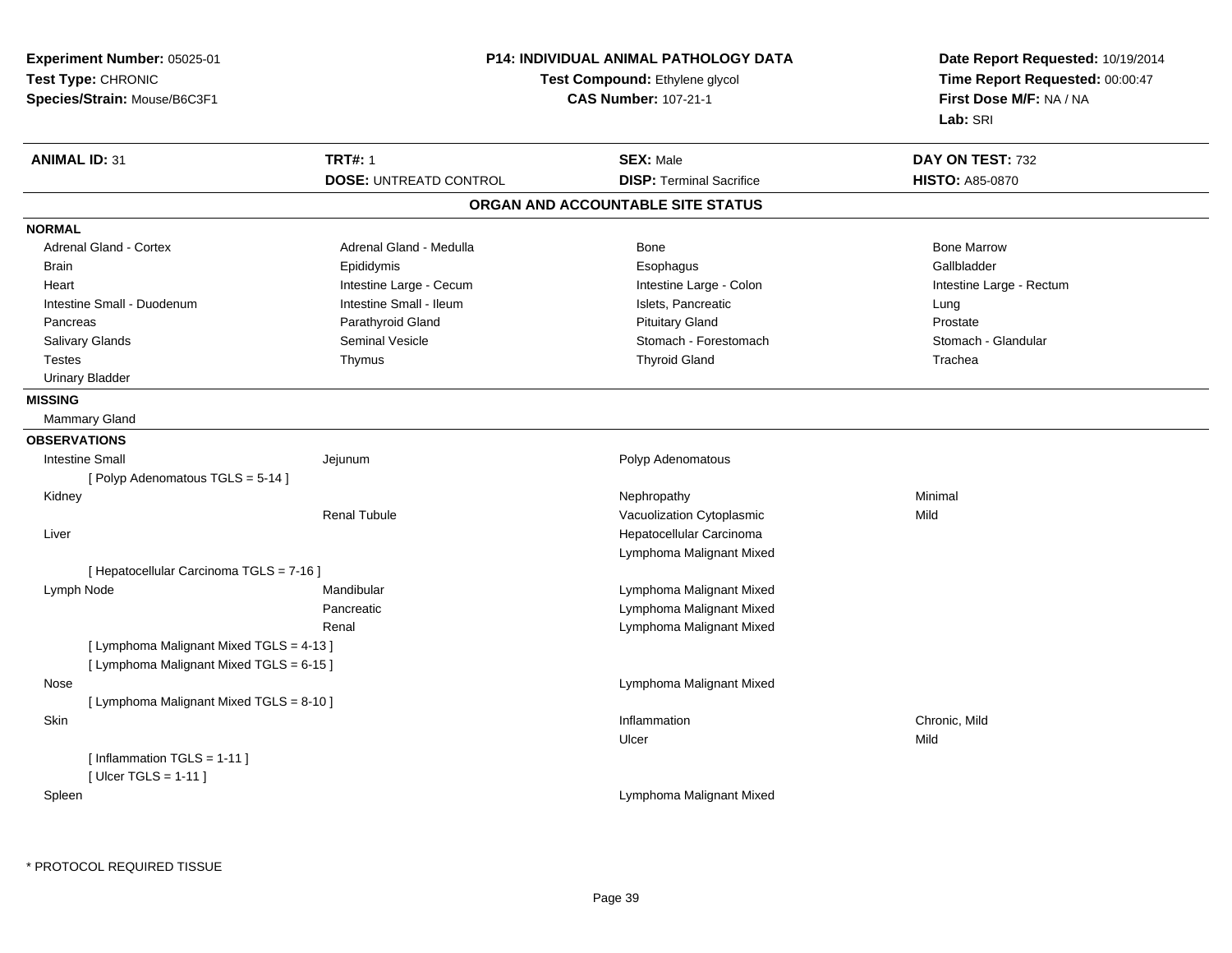| Experiment Number: 05025-01<br>Test Type: CHRONIC<br>Species/Strain: Mouse/B6C3F1    |                               | <b>P14: INDIVIDUAL ANIMAL PATHOLOGY DATA</b><br>Test Compound: Ethylene glycol<br><b>CAS Number: 107-21-1</b> | Date Report Requested: 10/19/2014<br>Time Report Requested: 00:00:47<br>First Dose M/F: NA / NA<br>Lab: SRI |
|--------------------------------------------------------------------------------------|-------------------------------|---------------------------------------------------------------------------------------------------------------|-------------------------------------------------------------------------------------------------------------|
| <b>ANIMAL ID: 31</b>                                                                 | <b>TRT#: 1</b>                | <b>SEX: Male</b>                                                                                              | DAY ON TEST: 732                                                                                            |
|                                                                                      | <b>DOSE: UNTREATD CONTROL</b> | <b>DISP: Terminal Sacrifice</b>                                                                               | <b>HISTO: A85-0870</b>                                                                                      |
|                                                                                      |                               | ORGAN AND ACCOUNTABLE SITE STATUS                                                                             |                                                                                                             |
| <b>NORMAL</b>                                                                        |                               |                                                                                                               |                                                                                                             |
| Adrenal Gland - Cortex                                                               | Adrenal Gland - Medulla       | <b>Bone</b>                                                                                                   | <b>Bone Marrow</b>                                                                                          |
| <b>Brain</b>                                                                         | Epididymis                    | Esophagus                                                                                                     | Gallbladder                                                                                                 |
| Heart                                                                                | Intestine Large - Cecum       | Intestine Large - Colon                                                                                       | Intestine Large - Rectum                                                                                    |
| Intestine Small - Duodenum                                                           | Intestine Small - Ileum       | Islets, Pancreatic                                                                                            | Lung                                                                                                        |
| Pancreas                                                                             | Parathyroid Gland             | <b>Pituitary Gland</b>                                                                                        | Prostate                                                                                                    |
| Salivary Glands                                                                      | Seminal Vesicle               | Stomach - Forestomach                                                                                         | Stomach - Glandular                                                                                         |
| <b>Testes</b>                                                                        | Thymus                        | <b>Thyroid Gland</b>                                                                                          | Trachea                                                                                                     |
| <b>Urinary Bladder</b>                                                               |                               |                                                                                                               |                                                                                                             |
| <b>MISSING</b>                                                                       |                               |                                                                                                               |                                                                                                             |
| Mammary Gland                                                                        |                               |                                                                                                               |                                                                                                             |
| <b>OBSERVATIONS</b>                                                                  |                               |                                                                                                               |                                                                                                             |
| <b>Intestine Small</b>                                                               | Jejunum                       | Polyp Adenomatous                                                                                             |                                                                                                             |
| [ Polyp Adenomatous TGLS = 5-14 ]                                                    |                               |                                                                                                               |                                                                                                             |
| Kidney                                                                               |                               | Nephropathy                                                                                                   | Minimal                                                                                                     |
|                                                                                      | <b>Renal Tubule</b>           | Vacuolization Cytoplasmic                                                                                     | Mild                                                                                                        |
| Liver                                                                                |                               | Hepatocellular Carcinoma                                                                                      |                                                                                                             |
|                                                                                      |                               | Lymphoma Malignant Mixed                                                                                      |                                                                                                             |
| [ Hepatocellular Carcinoma TGLS = 7-16 ]                                             |                               |                                                                                                               |                                                                                                             |
| Lymph Node                                                                           | Mandibular                    | Lymphoma Malignant Mixed                                                                                      |                                                                                                             |
|                                                                                      | Pancreatic                    | Lymphoma Malignant Mixed                                                                                      |                                                                                                             |
|                                                                                      | Renal                         | Lymphoma Malignant Mixed                                                                                      |                                                                                                             |
| [ Lymphoma Malignant Mixed TGLS = 4-13 ]<br>[ Lymphoma Malignant Mixed TGLS = 6-15 ] |                               |                                                                                                               |                                                                                                             |
| Nose                                                                                 |                               | Lymphoma Malignant Mixed                                                                                      |                                                                                                             |
| [ Lymphoma Malignant Mixed TGLS = 8-10 ]                                             |                               |                                                                                                               |                                                                                                             |
| Skin                                                                                 |                               | Inflammation                                                                                                  | Chronic, Mild                                                                                               |
|                                                                                      |                               | Ulcer                                                                                                         | Mild                                                                                                        |
| [Inflammation TGLS = 1-11]<br>[ Ulcer TGLS = $1-11$ ]                                |                               |                                                                                                               |                                                                                                             |
| Spleen                                                                               |                               | Lymphoma Malignant Mixed                                                                                      |                                                                                                             |
|                                                                                      |                               |                                                                                                               |                                                                                                             |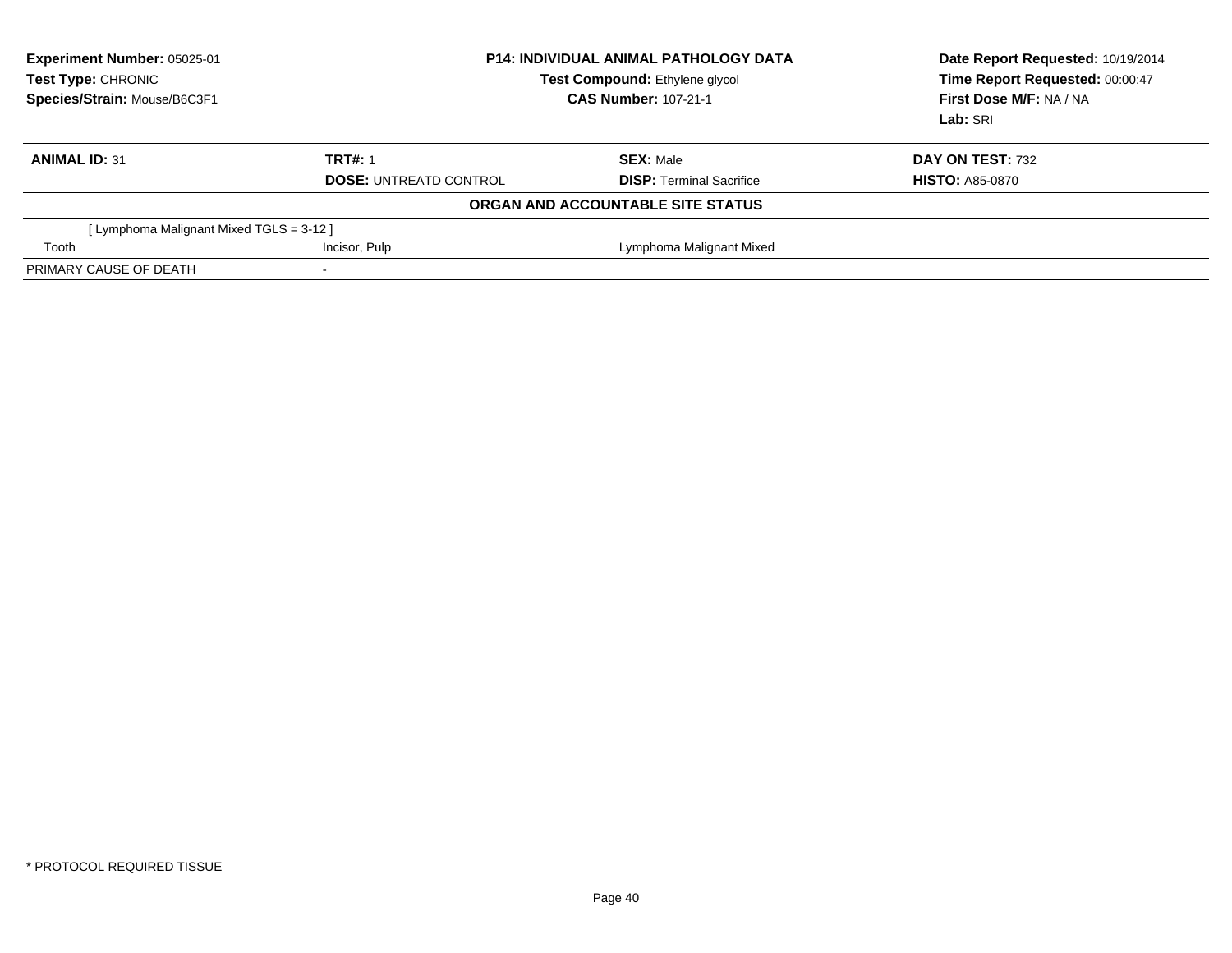| Experiment Number: 05025-01<br>Test Type: CHRONIC<br>Species/Strain: Mouse/B6C3F1 | <b>P14: INDIVIDUAL ANIMAL PATHOLOGY DATA</b><br>Test Compound: Ethylene glycol<br><b>CAS Number: 107-21-1</b> |                                   | Date Report Requested: 10/19/2014<br>Time Report Requested: 00:00:47<br>First Dose M/F: NA / NA<br>Lab: SRI |
|-----------------------------------------------------------------------------------|---------------------------------------------------------------------------------------------------------------|-----------------------------------|-------------------------------------------------------------------------------------------------------------|
| <b>ANIMAL ID: 31</b>                                                              | <b>TRT#: 1</b>                                                                                                | <b>SEX: Male</b>                  | DAY ON TEST: 732                                                                                            |
|                                                                                   | <b>DOSE: UNTREATD CONTROL</b>                                                                                 | <b>DISP: Terminal Sacrifice</b>   | <b>HISTO: A85-0870</b>                                                                                      |
|                                                                                   |                                                                                                               | ORGAN AND ACCOUNTABLE SITE STATUS |                                                                                                             |
| [ Lymphoma Malignant Mixed TGLS = 3-12 ]                                          |                                                                                                               |                                   |                                                                                                             |
| Tooth                                                                             | Incisor, Pulp                                                                                                 | Lymphoma Malignant Mixed          |                                                                                                             |
| PRIMARY CAUSE OF DEATH                                                            | $\overline{\phantom{a}}$                                                                                      |                                   |                                                                                                             |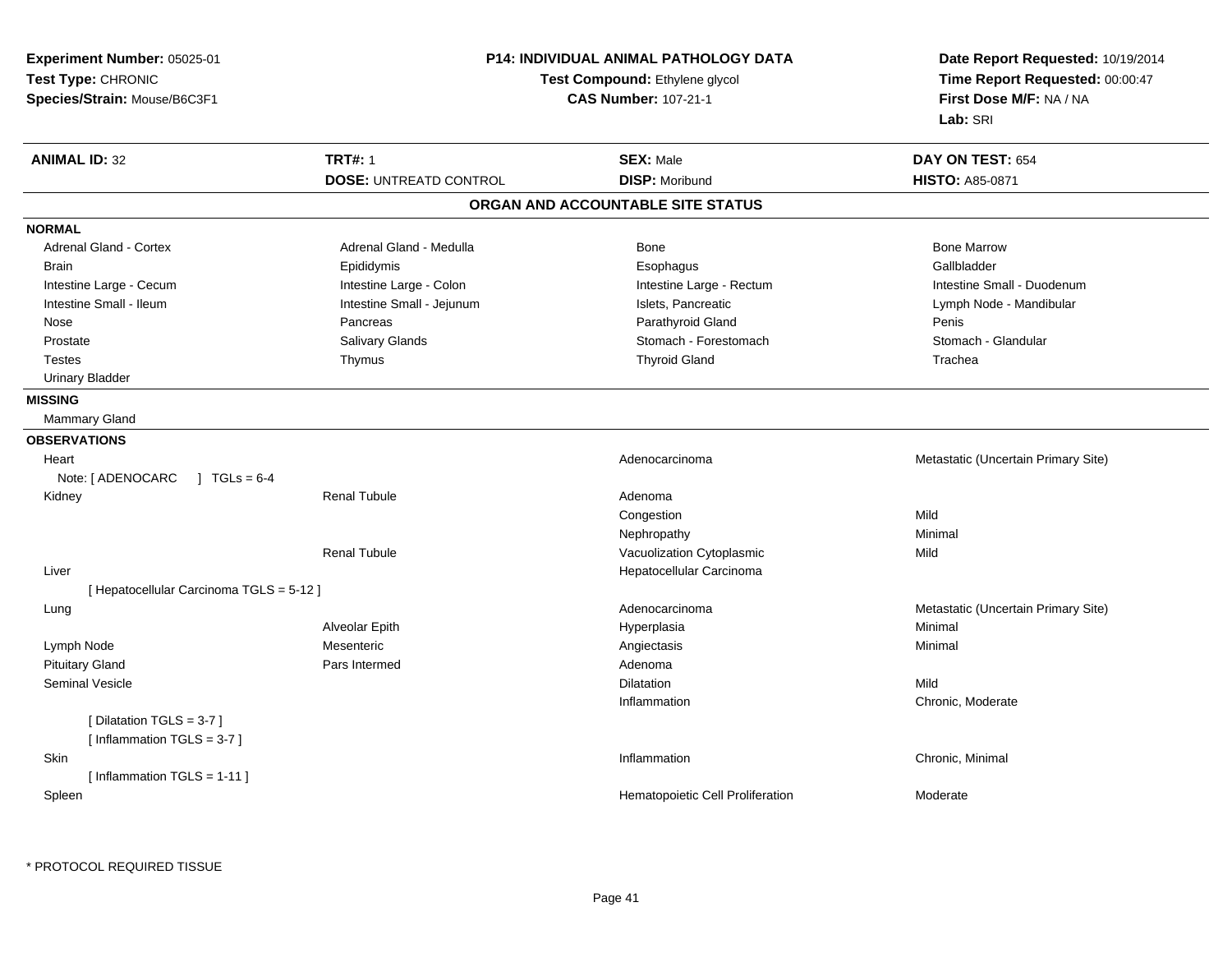| Experiment Number: 05025-01<br>Test Type: CHRONIC<br>Species/Strain: Mouse/B6C3F1 | <b>P14: INDIVIDUAL ANIMAL PATHOLOGY DATA</b><br>Test Compound: Ethylene glycol<br><b>CAS Number: 107-21-1</b> |                                           | Date Report Requested: 10/19/2014<br>Time Report Requested: 00:00:47<br>First Dose M/F: NA / NA<br>Lab: SRI |  |
|-----------------------------------------------------------------------------------|---------------------------------------------------------------------------------------------------------------|-------------------------------------------|-------------------------------------------------------------------------------------------------------------|--|
| <b>ANIMAL ID: 32</b>                                                              | <b>TRT#: 1</b><br><b>DOSE: UNTREATD CONTROL</b>                                                               | <b>SEX: Male</b><br><b>DISP: Moribund</b> | DAY ON TEST: 654<br><b>HISTO: A85-0871</b>                                                                  |  |
|                                                                                   |                                                                                                               | ORGAN AND ACCOUNTABLE SITE STATUS         |                                                                                                             |  |
| <b>NORMAL</b>                                                                     |                                                                                                               |                                           |                                                                                                             |  |
| Adrenal Gland - Cortex                                                            | Adrenal Gland - Medulla                                                                                       | Bone                                      | <b>Bone Marrow</b>                                                                                          |  |
| <b>Brain</b>                                                                      | Epididymis                                                                                                    | Esophagus                                 | Gallbladder                                                                                                 |  |
| Intestine Large - Cecum                                                           | Intestine Large - Colon                                                                                       | Intestine Large - Rectum                  | Intestine Small - Duodenum                                                                                  |  |
| Intestine Small - Ileum                                                           | Intestine Small - Jejunum                                                                                     | Islets, Pancreatic                        | Lymph Node - Mandibular                                                                                     |  |
| Nose                                                                              | Pancreas                                                                                                      | Parathyroid Gland                         | Penis                                                                                                       |  |
| Prostate                                                                          | Salivary Glands                                                                                               | Stomach - Forestomach                     | Stomach - Glandular                                                                                         |  |
| <b>Testes</b>                                                                     | Thymus                                                                                                        | <b>Thyroid Gland</b>                      | Trachea                                                                                                     |  |
| <b>Urinary Bladder</b>                                                            |                                                                                                               |                                           |                                                                                                             |  |
| <b>MISSING</b>                                                                    |                                                                                                               |                                           |                                                                                                             |  |
| <b>Mammary Gland</b>                                                              |                                                                                                               |                                           |                                                                                                             |  |
| <b>OBSERVATIONS</b>                                                               |                                                                                                               |                                           |                                                                                                             |  |
| Heart                                                                             |                                                                                                               | Adenocarcinoma                            | Metastatic (Uncertain Primary Site)                                                                         |  |
| Note: [ ADENOCARC<br>$TGLs = 6-4$                                                 |                                                                                                               |                                           |                                                                                                             |  |
| Kidney                                                                            | <b>Renal Tubule</b>                                                                                           | Adenoma                                   |                                                                                                             |  |
|                                                                                   |                                                                                                               | Congestion                                | Mild                                                                                                        |  |
|                                                                                   |                                                                                                               | Nephropathy                               | Minimal                                                                                                     |  |
|                                                                                   | <b>Renal Tubule</b>                                                                                           | Vacuolization Cytoplasmic                 | Mild                                                                                                        |  |
| Liver                                                                             |                                                                                                               | Hepatocellular Carcinoma                  |                                                                                                             |  |
| [ Hepatocellular Carcinoma TGLS = 5-12 ]                                          |                                                                                                               |                                           |                                                                                                             |  |
| Lung                                                                              |                                                                                                               | Adenocarcinoma                            | Metastatic (Uncertain Primary Site)                                                                         |  |
|                                                                                   | Alveolar Epith                                                                                                | Hyperplasia                               | Minimal                                                                                                     |  |
| Lymph Node                                                                        | Mesenteric                                                                                                    | Angiectasis                               | Minimal                                                                                                     |  |
| <b>Pituitary Gland</b>                                                            | Pars Intermed                                                                                                 | Adenoma                                   |                                                                                                             |  |
| Seminal Vesicle                                                                   |                                                                                                               | Dilatation                                | Mild                                                                                                        |  |
|                                                                                   |                                                                                                               | Inflammation                              | Chronic, Moderate                                                                                           |  |
| [Dilatation TGLS = 3-7]                                                           |                                                                                                               |                                           |                                                                                                             |  |
| [Inflammation TGLS = 3-7]                                                         |                                                                                                               |                                           |                                                                                                             |  |
| <b>Skin</b>                                                                       |                                                                                                               | Inflammation                              | Chronic, Minimal                                                                                            |  |
| [Inflammation TGLS = 1-11]                                                        |                                                                                                               |                                           |                                                                                                             |  |
| Spleen                                                                            |                                                                                                               | Hematopoietic Cell Proliferation          | Moderate                                                                                                    |  |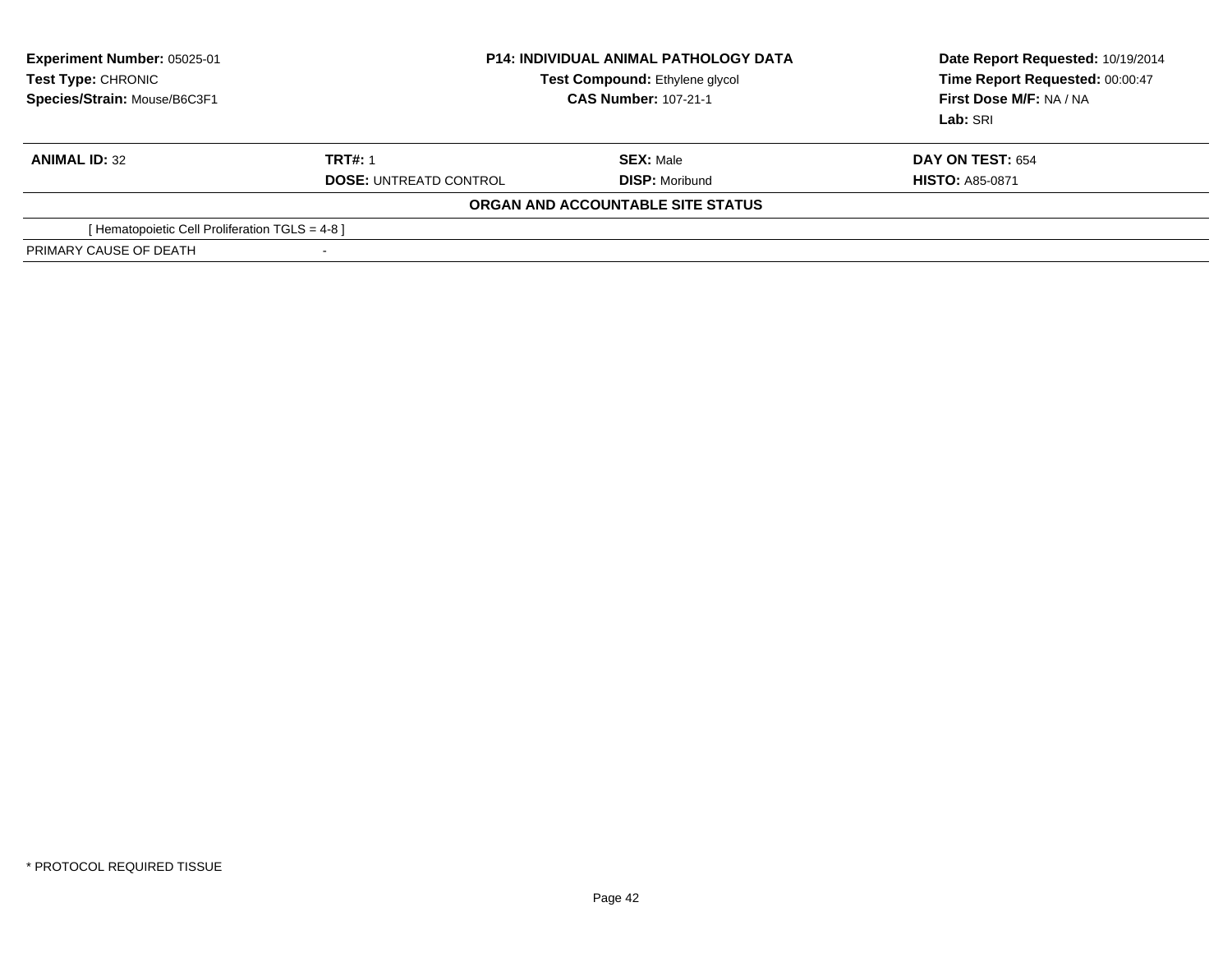| <b>Experiment Number: 05025-01</b><br>Test Type: CHRONIC<br>Species/Strain: Mouse/B6C3F1 | <b>P14: INDIVIDUAL ANIMAL PATHOLOGY DATA</b><br>Test Compound: Ethylene glycol<br><b>CAS Number: 107-21-1</b> |                                   | Date Report Requested: 10/19/2014<br>Time Report Requested: 00:00:47<br>First Dose M/F: NA / NA<br>Lab: SRI |
|------------------------------------------------------------------------------------------|---------------------------------------------------------------------------------------------------------------|-----------------------------------|-------------------------------------------------------------------------------------------------------------|
| <b>ANIMAL ID: 32</b>                                                                     | <b>TRT#: 1</b>                                                                                                | <b>SEX: Male</b>                  | <b>DAY ON TEST: 654</b>                                                                                     |
|                                                                                          | <b>DOSE: UNTREATD CONTROL</b>                                                                                 | <b>DISP:</b> Moribund             | <b>HISTO: A85-0871</b>                                                                                      |
|                                                                                          |                                                                                                               | ORGAN AND ACCOUNTABLE SITE STATUS |                                                                                                             |
| [Hematopoietic Cell Proliferation TGLS = 4-8]                                            |                                                                                                               |                                   |                                                                                                             |
| PRIMARY CAUSE OF DEATH                                                                   | $\overline{\phantom{a}}$                                                                                      |                                   |                                                                                                             |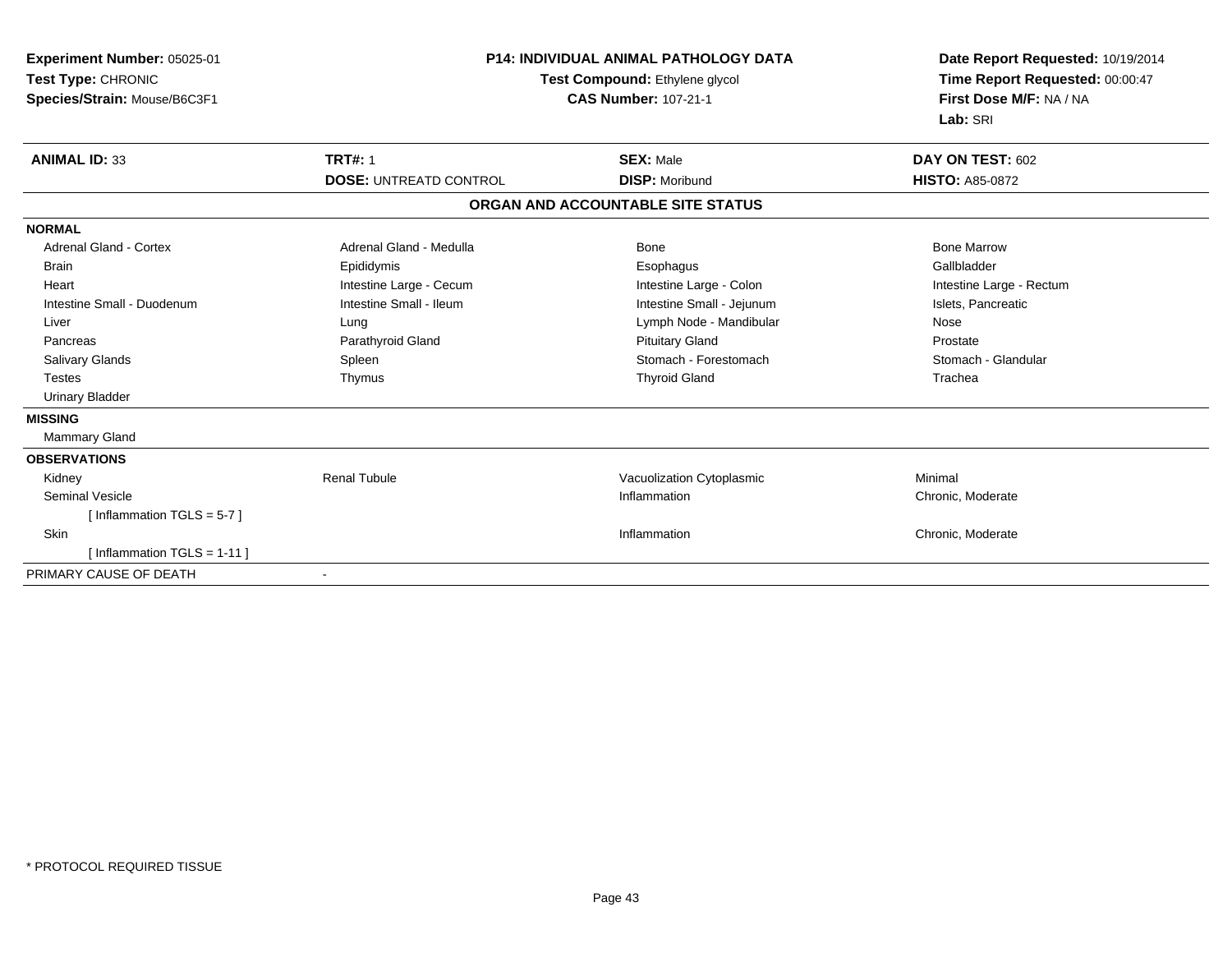| Experiment Number: 05025-01<br>Test Type: CHRONIC<br>Species/Strain: Mouse/B6C3F1 | <b>P14: INDIVIDUAL ANIMAL PATHOLOGY DATA</b><br>Test Compound: Ethylene glycol<br><b>CAS Number: 107-21-1</b> |                                           | Date Report Requested: 10/19/2014<br>Time Report Requested: 00:00:47<br>First Dose M/F: NA / NA<br>Lab: SRI |
|-----------------------------------------------------------------------------------|---------------------------------------------------------------------------------------------------------------|-------------------------------------------|-------------------------------------------------------------------------------------------------------------|
| <b>ANIMAL ID: 33</b>                                                              | <b>TRT#: 1</b><br><b>DOSE: UNTREATD CONTROL</b>                                                               | <b>SEX: Male</b><br><b>DISP: Moribund</b> | DAY ON TEST: 602<br><b>HISTO: A85-0872</b>                                                                  |
|                                                                                   |                                                                                                               | ORGAN AND ACCOUNTABLE SITE STATUS         |                                                                                                             |
| <b>NORMAL</b>                                                                     |                                                                                                               |                                           |                                                                                                             |
| <b>Adrenal Gland - Cortex</b>                                                     | Adrenal Gland - Medulla                                                                                       | <b>Bone</b>                               | <b>Bone Marrow</b>                                                                                          |
| <b>Brain</b>                                                                      | Epididymis                                                                                                    | Esophagus                                 | Gallbladder                                                                                                 |
| Heart                                                                             | Intestine Large - Cecum                                                                                       | Intestine Large - Colon                   | Intestine Large - Rectum                                                                                    |
| Intestine Small - Duodenum                                                        | Intestine Small - Ileum                                                                                       | Intestine Small - Jejunum                 | Islets, Pancreatic                                                                                          |
| Liver                                                                             | Lung                                                                                                          | Lymph Node - Mandibular                   | Nose                                                                                                        |
| Pancreas                                                                          | Parathyroid Gland                                                                                             | <b>Pituitary Gland</b>                    | Prostate                                                                                                    |
| <b>Salivary Glands</b>                                                            | Spleen                                                                                                        | Stomach - Forestomach                     | Stomach - Glandular                                                                                         |
| <b>Testes</b>                                                                     | Thymus                                                                                                        | <b>Thyroid Gland</b>                      | Trachea                                                                                                     |
| <b>Urinary Bladder</b>                                                            |                                                                                                               |                                           |                                                                                                             |
| <b>MISSING</b>                                                                    |                                                                                                               |                                           |                                                                                                             |
| Mammary Gland                                                                     |                                                                                                               |                                           |                                                                                                             |
| <b>OBSERVATIONS</b>                                                               |                                                                                                               |                                           |                                                                                                             |
| Kidney                                                                            | <b>Renal Tubule</b>                                                                                           | Vacuolization Cytoplasmic                 | Minimal                                                                                                     |
| <b>Seminal Vesicle</b>                                                            |                                                                                                               | Inflammation                              | Chronic, Moderate                                                                                           |
| [Inflammation TGLS = $5-7$ ]                                                      |                                                                                                               |                                           |                                                                                                             |
| Skin                                                                              |                                                                                                               | Inflammation                              | Chronic, Moderate                                                                                           |
| [Inflammation TGLS = $1-11$ ]                                                     |                                                                                                               |                                           |                                                                                                             |
| PRIMARY CAUSE OF DEATH                                                            | $\overline{\phantom{a}}$                                                                                      |                                           |                                                                                                             |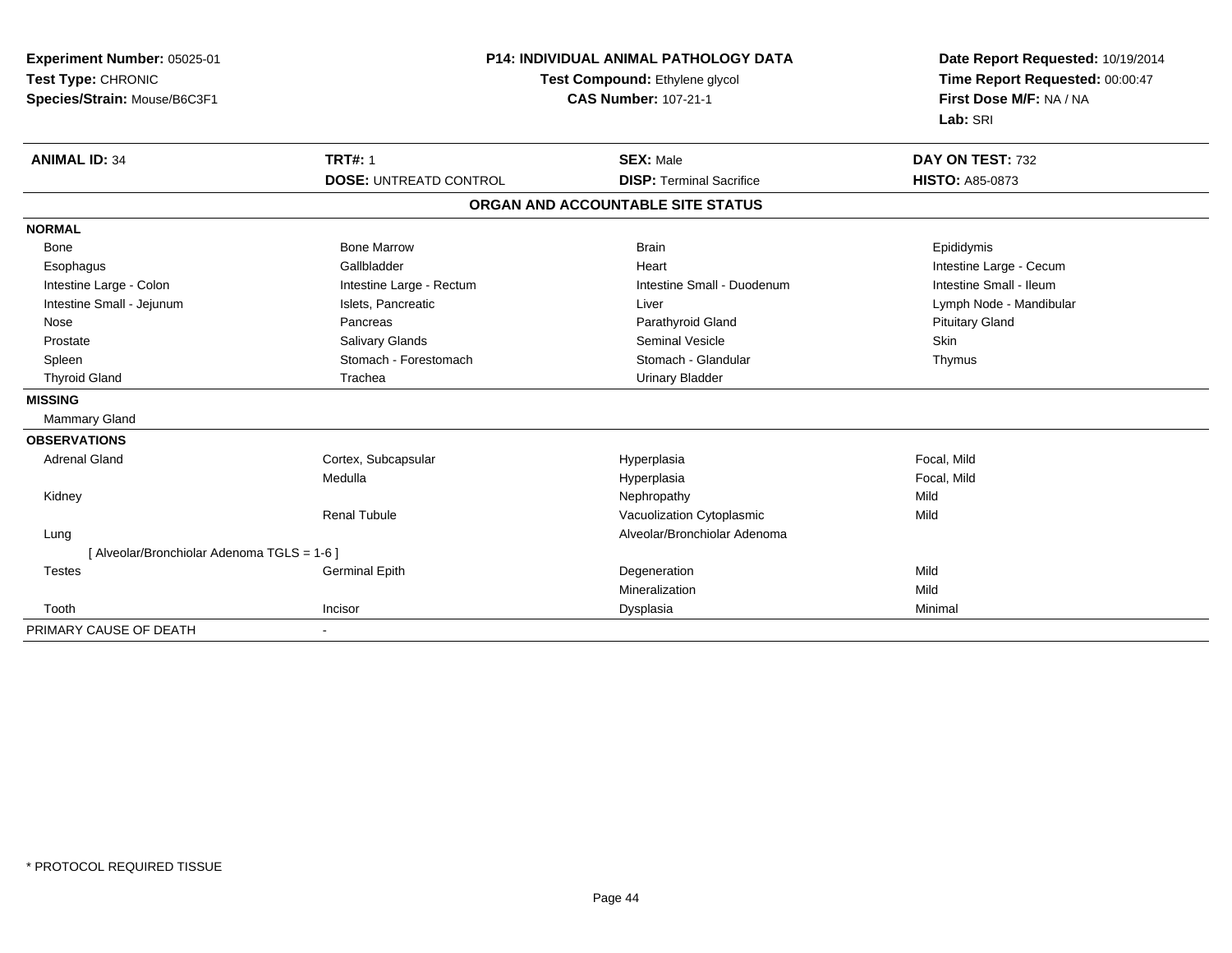| Experiment Number: 05025-01<br>Test Type: CHRONIC<br>Species/Strain: Mouse/B6C3F1 | <b>P14: INDIVIDUAL ANIMAL PATHOLOGY DATA</b><br>Test Compound: Ethylene glycol<br><b>CAS Number: 107-21-1</b> |                                   | Date Report Requested: 10/19/2014<br>Time Report Requested: 00:00:47<br>First Dose M/F: NA / NA<br>Lab: SRI |  |
|-----------------------------------------------------------------------------------|---------------------------------------------------------------------------------------------------------------|-----------------------------------|-------------------------------------------------------------------------------------------------------------|--|
| <b>ANIMAL ID: 34</b>                                                              | <b>TRT#: 1</b>                                                                                                | <b>SEX: Male</b>                  | DAY ON TEST: 732                                                                                            |  |
|                                                                                   | <b>DOSE: UNTREATD CONTROL</b>                                                                                 | <b>DISP: Terminal Sacrifice</b>   | <b>HISTO: A85-0873</b>                                                                                      |  |
|                                                                                   |                                                                                                               | ORGAN AND ACCOUNTABLE SITE STATUS |                                                                                                             |  |
| <b>NORMAL</b>                                                                     |                                                                                                               |                                   |                                                                                                             |  |
| <b>Bone</b>                                                                       | <b>Bone Marrow</b>                                                                                            | <b>Brain</b>                      | Epididymis                                                                                                  |  |
| Esophagus                                                                         | Gallbladder                                                                                                   | Heart                             | Intestine Large - Cecum                                                                                     |  |
| Intestine Large - Colon                                                           | Intestine Large - Rectum                                                                                      | Intestine Small - Duodenum        | Intestine Small - Ileum                                                                                     |  |
| Intestine Small - Jejunum                                                         | Islets, Pancreatic                                                                                            | Liver                             | Lymph Node - Mandibular                                                                                     |  |
| Nose                                                                              | Pancreas                                                                                                      | Parathyroid Gland                 | <b>Pituitary Gland</b>                                                                                      |  |
| Prostate                                                                          | Salivary Glands                                                                                               | <b>Seminal Vesicle</b>            | <b>Skin</b>                                                                                                 |  |
| Spleen                                                                            | Stomach - Forestomach                                                                                         | Stomach - Glandular               | Thymus                                                                                                      |  |
| <b>Thyroid Gland</b>                                                              | Trachea                                                                                                       | <b>Urinary Bladder</b>            |                                                                                                             |  |
| <b>MISSING</b>                                                                    |                                                                                                               |                                   |                                                                                                             |  |
| <b>Mammary Gland</b>                                                              |                                                                                                               |                                   |                                                                                                             |  |
| <b>OBSERVATIONS</b>                                                               |                                                                                                               |                                   |                                                                                                             |  |
| <b>Adrenal Gland</b>                                                              | Cortex, Subcapsular                                                                                           | Hyperplasia                       | Focal, Mild                                                                                                 |  |
|                                                                                   | Medulla                                                                                                       | Hyperplasia                       | Focal, Mild                                                                                                 |  |
| Kidney                                                                            |                                                                                                               | Nephropathy                       | Mild                                                                                                        |  |
|                                                                                   | <b>Renal Tubule</b>                                                                                           | Vacuolization Cytoplasmic         | Mild                                                                                                        |  |
| Lung                                                                              |                                                                                                               | Alveolar/Bronchiolar Adenoma      |                                                                                                             |  |
| [ Alveolar/Bronchiolar Adenoma TGLS = 1-6 ]                                       |                                                                                                               |                                   |                                                                                                             |  |
| <b>Testes</b>                                                                     | <b>Germinal Epith</b>                                                                                         | Degeneration                      | Mild                                                                                                        |  |
|                                                                                   |                                                                                                               | Mineralization                    | Mild                                                                                                        |  |
| Tooth                                                                             | Incisor                                                                                                       | Dysplasia                         | Minimal                                                                                                     |  |
| PRIMARY CAUSE OF DEATH                                                            |                                                                                                               |                                   |                                                                                                             |  |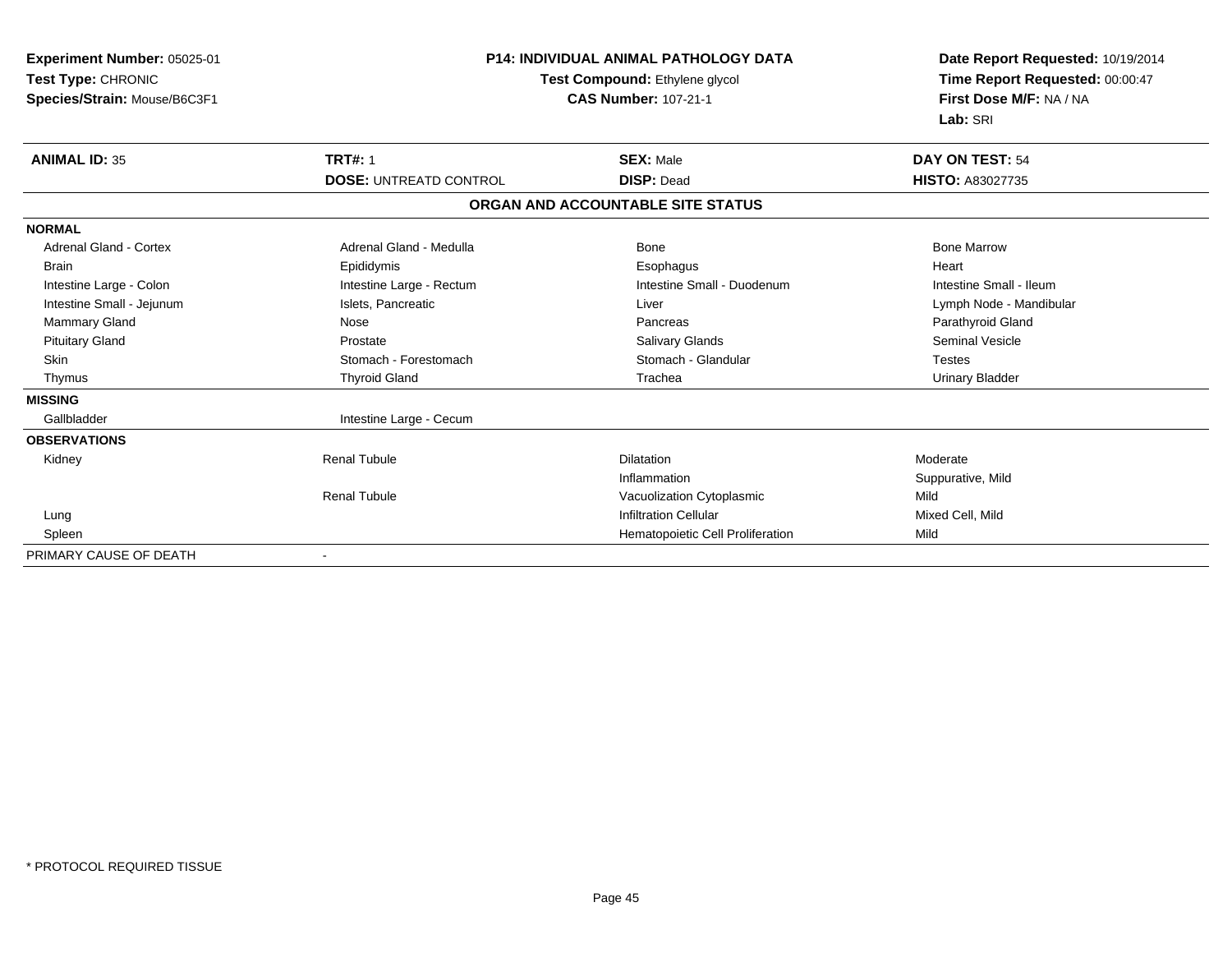| <b>Experiment Number: 05025-01</b><br>Test Type: CHRONIC<br>Species/Strain: Mouse/B6C3F1 |                               | <b>P14: INDIVIDUAL ANIMAL PATHOLOGY DATA</b><br>Test Compound: Ethylene glycol<br><b>CAS Number: 107-21-1</b> |                         |
|------------------------------------------------------------------------------------------|-------------------------------|---------------------------------------------------------------------------------------------------------------|-------------------------|
| <b>ANIMAL ID: 35</b>                                                                     | <b>TRT#: 1</b>                | <b>SEX: Male</b>                                                                                              | DAY ON TEST: 54         |
|                                                                                          | <b>DOSE: UNTREATD CONTROL</b> | <b>DISP: Dead</b>                                                                                             | <b>HISTO: A83027735</b> |
|                                                                                          |                               | ORGAN AND ACCOUNTABLE SITE STATUS                                                                             |                         |
| <b>NORMAL</b>                                                                            |                               |                                                                                                               |                         |
| <b>Adrenal Gland - Cortex</b>                                                            | Adrenal Gland - Medulla       | Bone                                                                                                          | <b>Bone Marrow</b>      |
| <b>Brain</b>                                                                             | Epididymis                    | Esophagus                                                                                                     | Heart                   |
| Intestine Large - Colon                                                                  | Intestine Large - Rectum      | Intestine Small - Duodenum                                                                                    | Intestine Small - Ileum |
| Intestine Small - Jejunum                                                                | Islets, Pancreatic            | Liver                                                                                                         | Lymph Node - Mandibular |
| Mammary Gland                                                                            | Nose                          | Pancreas                                                                                                      | Parathyroid Gland       |
| <b>Pituitary Gland</b>                                                                   | Prostate                      | <b>Salivary Glands</b>                                                                                        | <b>Seminal Vesicle</b>  |
| <b>Skin</b>                                                                              | Stomach - Forestomach         | Stomach - Glandular                                                                                           | <b>Testes</b>           |
| Thymus                                                                                   | <b>Thyroid Gland</b>          | Trachea                                                                                                       | <b>Urinary Bladder</b>  |
| <b>MISSING</b>                                                                           |                               |                                                                                                               |                         |
| Gallbladder                                                                              | Intestine Large - Cecum       |                                                                                                               |                         |
| <b>OBSERVATIONS</b>                                                                      |                               |                                                                                                               |                         |
| Kidney                                                                                   | <b>Renal Tubule</b>           | <b>Dilatation</b>                                                                                             | Moderate                |
|                                                                                          |                               | Inflammation                                                                                                  | Suppurative, Mild       |
|                                                                                          | <b>Renal Tubule</b>           | Vacuolization Cytoplasmic                                                                                     | Mild                    |
| Lung                                                                                     |                               | <b>Infiltration Cellular</b>                                                                                  | Mixed Cell, Mild        |
| Spleen                                                                                   |                               | Hematopoietic Cell Proliferation                                                                              | Mild                    |
| PRIMARY CAUSE OF DEATH                                                                   |                               |                                                                                                               |                         |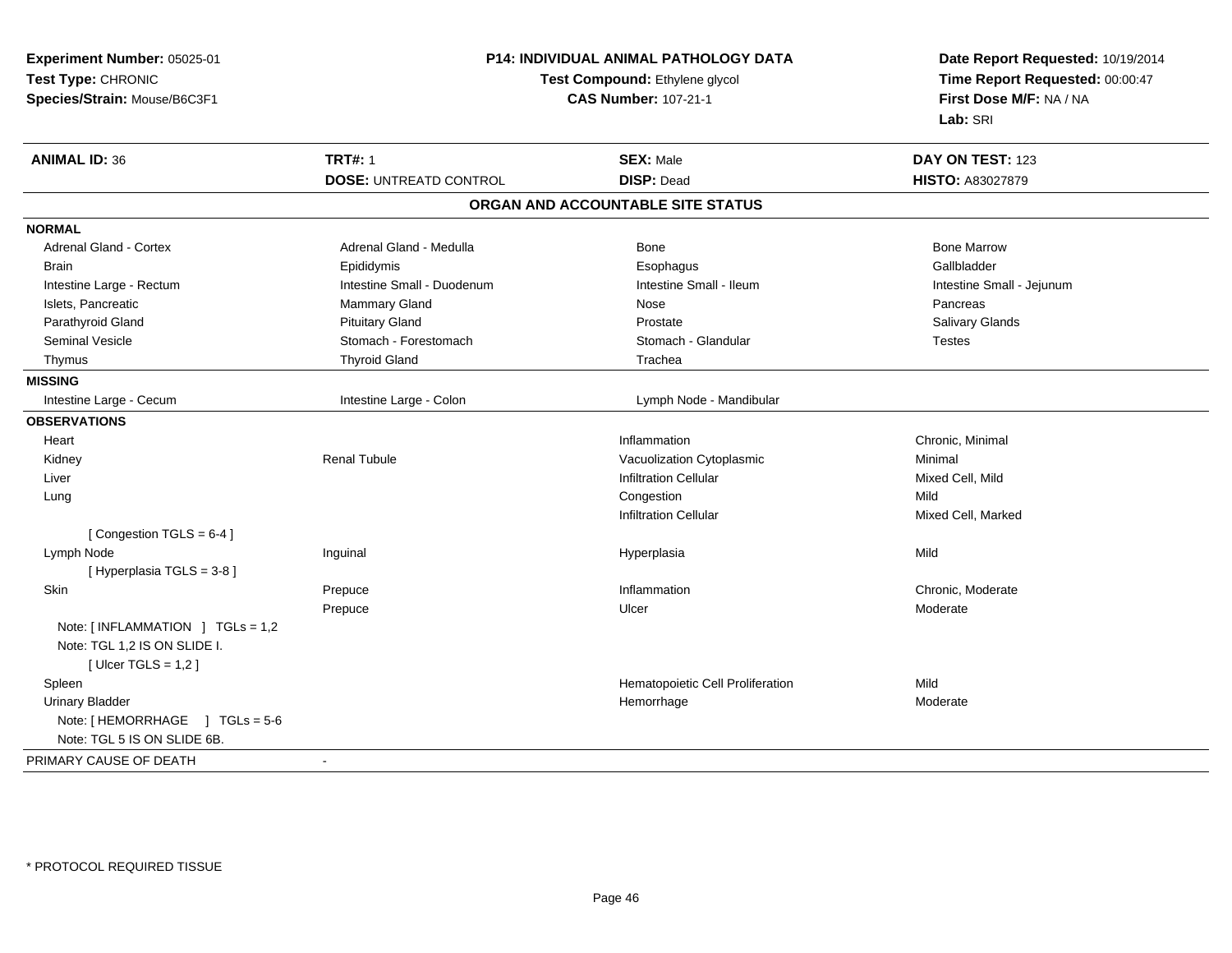| Experiment Number: 05025-01      | <b>P14: INDIVIDUAL ANIMAL PATHOLOGY DATA</b><br>Test Compound: Ethylene glycol<br><b>CAS Number: 107-21-1</b> |                                   | Date Report Requested: 10/19/2014<br>Time Report Requested: 00:00:47 |  |
|----------------------------------|---------------------------------------------------------------------------------------------------------------|-----------------------------------|----------------------------------------------------------------------|--|
| Test Type: CHRONIC               |                                                                                                               |                                   |                                                                      |  |
| Species/Strain: Mouse/B6C3F1     |                                                                                                               |                                   | First Dose M/F: NA / NA                                              |  |
|                                  |                                                                                                               |                                   | Lab: SRI                                                             |  |
| <b>ANIMAL ID: 36</b>             | <b>TRT#: 1</b>                                                                                                | <b>SEX: Male</b>                  | DAY ON TEST: 123                                                     |  |
|                                  | <b>DOSE: UNTREATD CONTROL</b>                                                                                 | <b>DISP: Dead</b>                 | HISTO: A83027879                                                     |  |
|                                  |                                                                                                               | ORGAN AND ACCOUNTABLE SITE STATUS |                                                                      |  |
| <b>NORMAL</b>                    |                                                                                                               |                                   |                                                                      |  |
| Adrenal Gland - Cortex           | Adrenal Gland - Medulla                                                                                       | Bone                              | <b>Bone Marrow</b>                                                   |  |
| <b>Brain</b>                     | Epididymis                                                                                                    | Esophagus                         | Gallbladder                                                          |  |
| Intestine Large - Rectum         | Intestine Small - Duodenum                                                                                    | Intestine Small - Ileum           | Intestine Small - Jejunum                                            |  |
| Islets, Pancreatic               | <b>Mammary Gland</b>                                                                                          | Nose                              | Pancreas                                                             |  |
| Parathyroid Gland                | <b>Pituitary Gland</b>                                                                                        | Prostate                          | Salivary Glands                                                      |  |
| <b>Seminal Vesicle</b>           | Stomach - Forestomach                                                                                         | Stomach - Glandular               | <b>Testes</b>                                                        |  |
| Thymus                           | <b>Thyroid Gland</b>                                                                                          | Trachea                           |                                                                      |  |
| <b>MISSING</b>                   |                                                                                                               |                                   |                                                                      |  |
| Intestine Large - Cecum          | Intestine Large - Colon                                                                                       | Lymph Node - Mandibular           |                                                                      |  |
| <b>OBSERVATIONS</b>              |                                                                                                               |                                   |                                                                      |  |
| Heart                            |                                                                                                               | Inflammation                      | Chronic, Minimal                                                     |  |
| Kidney                           | <b>Renal Tubule</b>                                                                                           | Vacuolization Cytoplasmic         | Minimal                                                              |  |
| Liver                            |                                                                                                               | <b>Infiltration Cellular</b>      | Mixed Cell, Mild                                                     |  |
| Lung                             |                                                                                                               | Congestion                        | Mild                                                                 |  |
|                                  |                                                                                                               | <b>Infiltration Cellular</b>      | Mixed Cell, Marked                                                   |  |
| [Congestion TGLS = $6-4$ ]       |                                                                                                               |                                   |                                                                      |  |
| Lymph Node                       | Inguinal                                                                                                      | Hyperplasia                       | Mild                                                                 |  |
| [Hyperplasia TGLS = 3-8]         |                                                                                                               |                                   |                                                                      |  |
| Skin                             | Prepuce                                                                                                       | Inflammation                      | Chronic, Moderate                                                    |  |
|                                  | Prepuce                                                                                                       | Ulcer                             | Moderate                                                             |  |
| Note: [INFLAMMATION ] TGLs = 1,2 |                                                                                                               |                                   |                                                                      |  |
| Note: TGL 1,2 IS ON SLIDE I.     |                                                                                                               |                                   |                                                                      |  |
| [ Ulcer TGLS = $1,2$ ]           |                                                                                                               |                                   |                                                                      |  |
| Spleen                           |                                                                                                               | Hematopoietic Cell Proliferation  | Mild                                                                 |  |
| <b>Urinary Bladder</b>           |                                                                                                               | Hemorrhage                        | Moderate                                                             |  |
| Note: [HEMORRHAGE ] TGLs = 5-6   |                                                                                                               |                                   |                                                                      |  |
| Note: TGL 5 IS ON SLIDE 6B.      |                                                                                                               |                                   |                                                                      |  |
| PRIMARY CAUSE OF DEATH           | $\sim$                                                                                                        |                                   |                                                                      |  |
|                                  |                                                                                                               |                                   |                                                                      |  |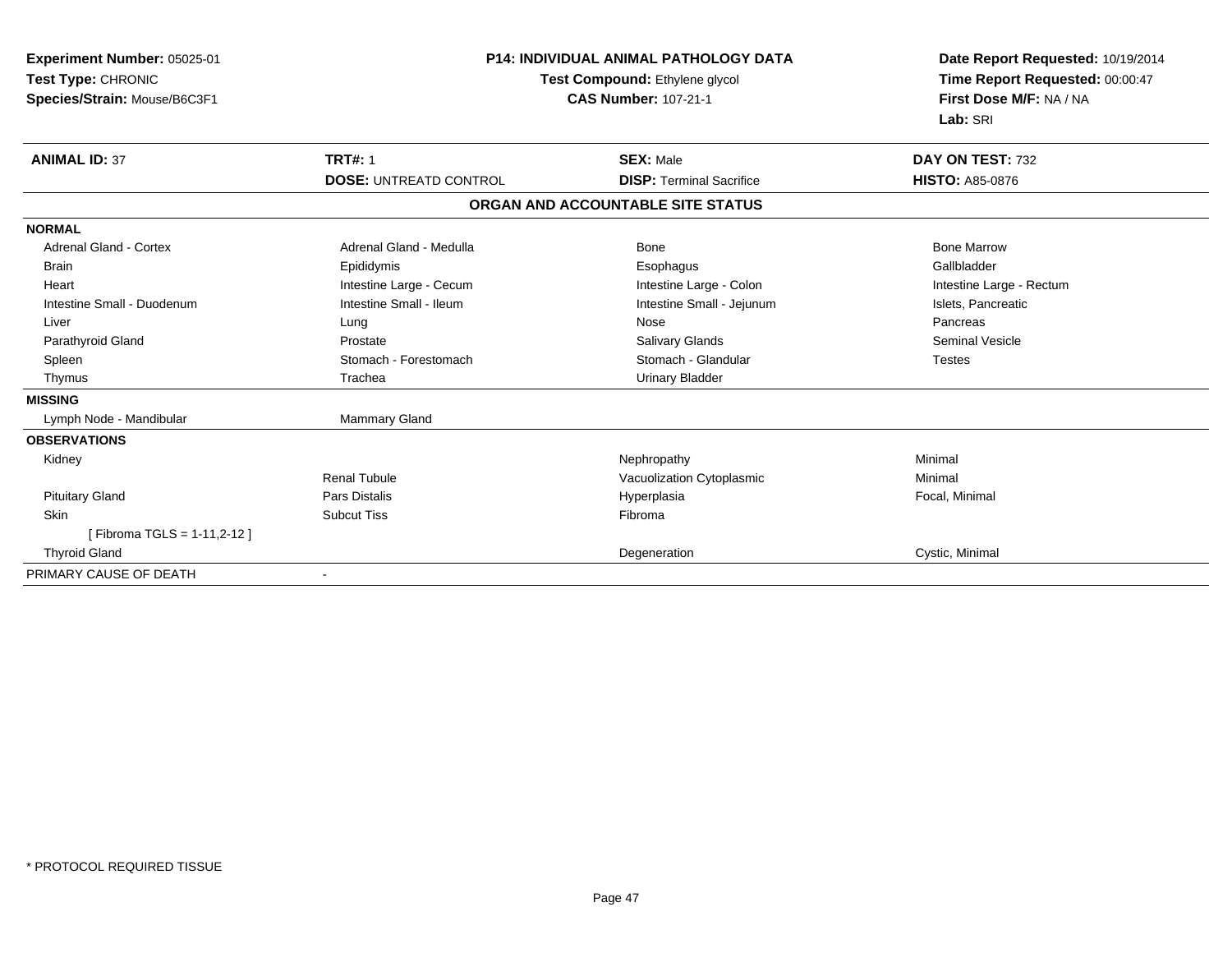| <b>Experiment Number: 05025-01</b><br>Test Type: CHRONIC<br>Species/Strain: Mouse/B6C3F1 |                               | <b>P14: INDIVIDUAL ANIMAL PATHOLOGY DATA</b><br>Test Compound: Ethylene glycol<br><b>CAS Number: 107-21-1</b> | Date Report Requested: 10/19/2014<br>Time Report Requested: 00:00:47<br>First Dose M/F: NA / NA<br>Lab: SRI |
|------------------------------------------------------------------------------------------|-------------------------------|---------------------------------------------------------------------------------------------------------------|-------------------------------------------------------------------------------------------------------------|
| <b>ANIMAL ID: 37</b>                                                                     | <b>TRT#: 1</b>                | <b>SEX: Male</b>                                                                                              | DAY ON TEST: 732                                                                                            |
|                                                                                          | <b>DOSE: UNTREATD CONTROL</b> | <b>DISP: Terminal Sacrifice</b>                                                                               | <b>HISTO: A85-0876</b>                                                                                      |
|                                                                                          |                               | ORGAN AND ACCOUNTABLE SITE STATUS                                                                             |                                                                                                             |
| <b>NORMAL</b>                                                                            |                               |                                                                                                               |                                                                                                             |
| <b>Adrenal Gland - Cortex</b>                                                            | Adrenal Gland - Medulla       | Bone                                                                                                          | <b>Bone Marrow</b>                                                                                          |
| <b>Brain</b>                                                                             | Epididymis                    | Esophagus                                                                                                     | Gallbladder                                                                                                 |
| Heart                                                                                    | Intestine Large - Cecum       | Intestine Large - Colon                                                                                       | Intestine Large - Rectum                                                                                    |
| Intestine Small - Duodenum                                                               | Intestine Small - Ileum       | Intestine Small - Jejunum                                                                                     | Islets, Pancreatic                                                                                          |
| Liver                                                                                    | Lung                          | Nose                                                                                                          | Pancreas                                                                                                    |
| Parathyroid Gland                                                                        | Prostate                      | <b>Salivary Glands</b>                                                                                        | <b>Seminal Vesicle</b>                                                                                      |
| Spleen                                                                                   | Stomach - Forestomach         | Stomach - Glandular                                                                                           | <b>Testes</b>                                                                                               |
| Thymus                                                                                   | Trachea                       | <b>Urinary Bladder</b>                                                                                        |                                                                                                             |
| <b>MISSING</b>                                                                           |                               |                                                                                                               |                                                                                                             |
| Lymph Node - Mandibular                                                                  | <b>Mammary Gland</b>          |                                                                                                               |                                                                                                             |
| <b>OBSERVATIONS</b>                                                                      |                               |                                                                                                               |                                                                                                             |
| Kidney                                                                                   |                               | Nephropathy                                                                                                   | Minimal                                                                                                     |
|                                                                                          | Renal Tubule                  | Vacuolization Cytoplasmic                                                                                     | Minimal                                                                                                     |
| <b>Pituitary Gland</b>                                                                   | <b>Pars Distalis</b>          | Hyperplasia                                                                                                   | Focal, Minimal                                                                                              |
| <b>Skin</b>                                                                              | <b>Subcut Tiss</b>            | Fibroma                                                                                                       |                                                                                                             |
| [Fibroma TGLS = 1-11,2-12]                                                               |                               |                                                                                                               |                                                                                                             |
| <b>Thyroid Gland</b>                                                                     |                               | Degeneration                                                                                                  | Cystic, Minimal                                                                                             |
| PRIMARY CAUSE OF DEATH                                                                   |                               |                                                                                                               |                                                                                                             |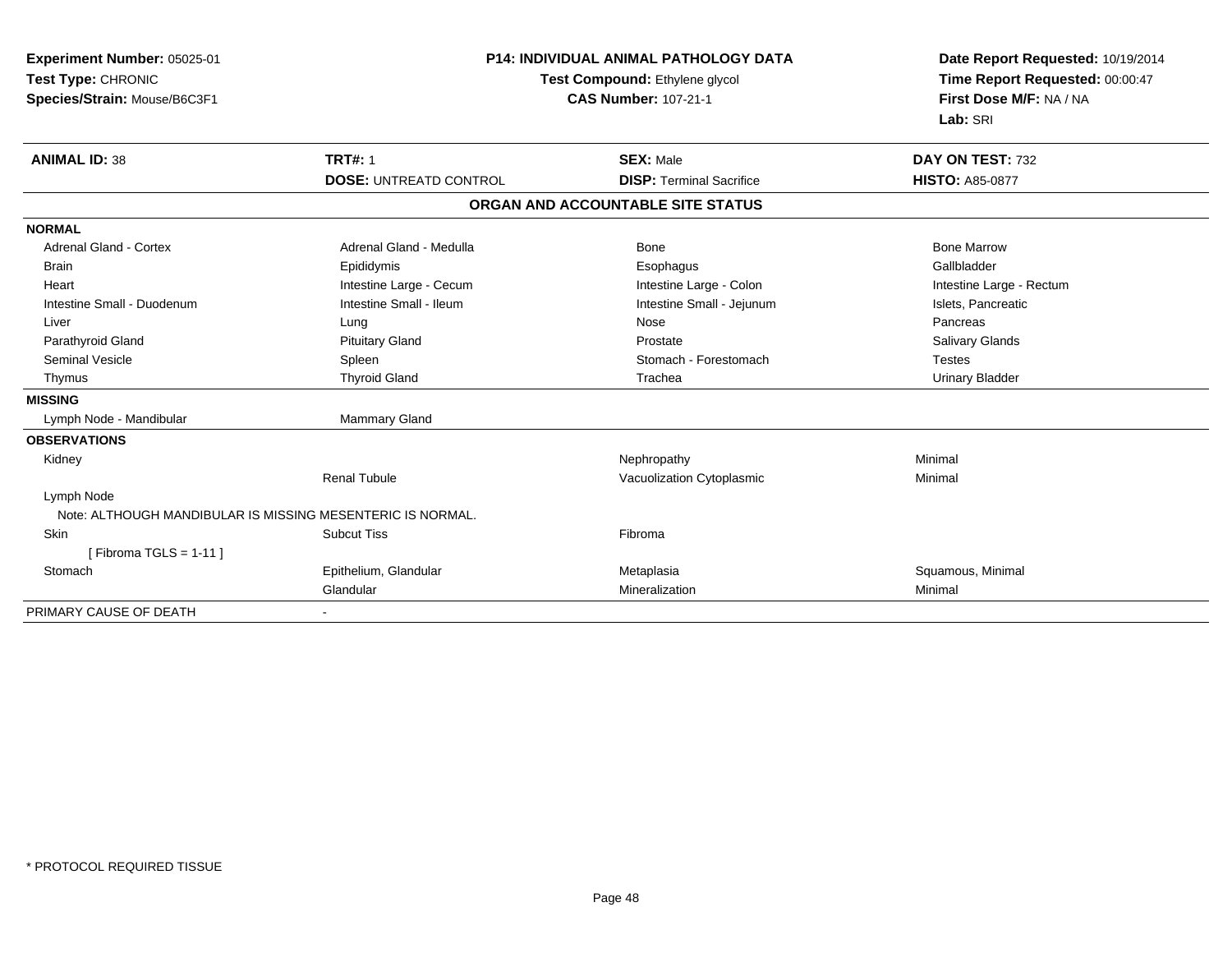| Experiment Number: 05025-01<br>Test Type: CHRONIC<br>Species/Strain: Mouse/B6C3F1 |                               | <b>P14: INDIVIDUAL ANIMAL PATHOLOGY DATA</b><br>Test Compound: Ethylene glycol<br><b>CAS Number: 107-21-1</b> | Date Report Requested: 10/19/2014<br>Time Report Requested: 00:00:47<br>First Dose M/F: NA / NA<br>Lab: SRI |  |
|-----------------------------------------------------------------------------------|-------------------------------|---------------------------------------------------------------------------------------------------------------|-------------------------------------------------------------------------------------------------------------|--|
| <b>ANIMAL ID: 38</b>                                                              | <b>TRT#: 1</b>                | <b>SEX: Male</b>                                                                                              | DAY ON TEST: 732                                                                                            |  |
|                                                                                   | <b>DOSE: UNTREATD CONTROL</b> | <b>DISP: Terminal Sacrifice</b>                                                                               | <b>HISTO: A85-0877</b>                                                                                      |  |
|                                                                                   |                               | ORGAN AND ACCOUNTABLE SITE STATUS                                                                             |                                                                                                             |  |
| <b>NORMAL</b>                                                                     |                               |                                                                                                               |                                                                                                             |  |
| <b>Adrenal Gland - Cortex</b>                                                     | Adrenal Gland - Medulla       | Bone                                                                                                          | <b>Bone Marrow</b>                                                                                          |  |
| <b>Brain</b>                                                                      | Epididymis                    | Esophagus                                                                                                     | Gallbladder                                                                                                 |  |
| Heart                                                                             | Intestine Large - Cecum       | Intestine Large - Colon                                                                                       | Intestine Large - Rectum                                                                                    |  |
| Intestine Small - Duodenum                                                        | Intestine Small - Ileum       | Intestine Small - Jejunum                                                                                     | Islets, Pancreatic                                                                                          |  |
| Liver                                                                             | Lung                          | Nose                                                                                                          | Pancreas                                                                                                    |  |
| Parathyroid Gland                                                                 | <b>Pituitary Gland</b>        | Prostate                                                                                                      | <b>Salivary Glands</b>                                                                                      |  |
| <b>Seminal Vesicle</b>                                                            | Spleen                        | Stomach - Forestomach                                                                                         | <b>Testes</b>                                                                                               |  |
| Thymus                                                                            | <b>Thyroid Gland</b>          | Trachea                                                                                                       | <b>Urinary Bladder</b>                                                                                      |  |
| <b>MISSING</b>                                                                    |                               |                                                                                                               |                                                                                                             |  |
| Lymph Node - Mandibular                                                           | <b>Mammary Gland</b>          |                                                                                                               |                                                                                                             |  |
| <b>OBSERVATIONS</b>                                                               |                               |                                                                                                               |                                                                                                             |  |
| Kidney                                                                            |                               | Nephropathy                                                                                                   | Minimal                                                                                                     |  |
|                                                                                   | <b>Renal Tubule</b>           | Vacuolization Cytoplasmic                                                                                     | Minimal                                                                                                     |  |
| Lymph Node                                                                        |                               |                                                                                                               |                                                                                                             |  |
| Note: ALTHOUGH MANDIBULAR IS MISSING MESENTERIC IS NORMAL.                        |                               |                                                                                                               |                                                                                                             |  |
| Skin                                                                              | <b>Subcut Tiss</b>            | Fibroma                                                                                                       |                                                                                                             |  |
| [Fibroma TGLS = $1-11$ ]                                                          |                               |                                                                                                               |                                                                                                             |  |
| Stomach                                                                           | Epithelium, Glandular         | Metaplasia                                                                                                    | Squamous, Minimal                                                                                           |  |
|                                                                                   | Glandular                     | Mineralization                                                                                                | Minimal                                                                                                     |  |
| PRIMARY CAUSE OF DEATH                                                            |                               |                                                                                                               |                                                                                                             |  |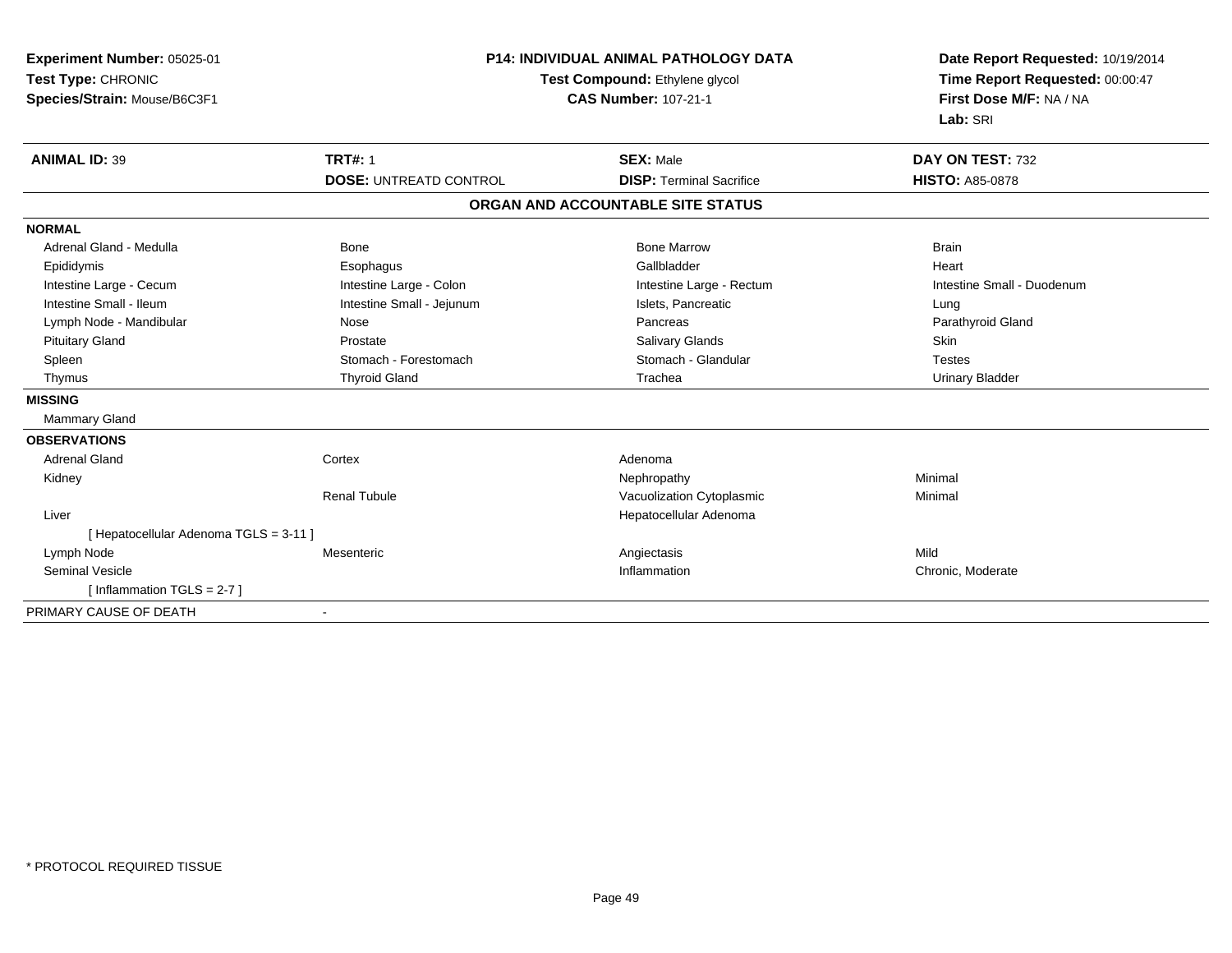| Experiment Number: 05025-01<br>Test Type: CHRONIC<br>Species/Strain: Mouse/B6C3F1 | P14: INDIVIDUAL ANIMAL PATHOLOGY DATA<br>Test Compound: Ethylene glycol<br><b>CAS Number: 107-21-1</b> |                                   | Date Report Requested: 10/19/2014<br>Time Report Requested: 00:00:47<br>First Dose M/F: NA / NA<br>Lab: SRI |
|-----------------------------------------------------------------------------------|--------------------------------------------------------------------------------------------------------|-----------------------------------|-------------------------------------------------------------------------------------------------------------|
| <b>ANIMAL ID: 39</b>                                                              | <b>TRT#: 1</b>                                                                                         | <b>SEX: Male</b>                  | DAY ON TEST: 732                                                                                            |
|                                                                                   | <b>DOSE: UNTREATD CONTROL</b>                                                                          | <b>DISP: Terminal Sacrifice</b>   | <b>HISTO: A85-0878</b>                                                                                      |
|                                                                                   |                                                                                                        | ORGAN AND ACCOUNTABLE SITE STATUS |                                                                                                             |
| <b>NORMAL</b>                                                                     |                                                                                                        |                                   |                                                                                                             |
| Adrenal Gland - Medulla                                                           | Bone                                                                                                   | <b>Bone Marrow</b>                | <b>Brain</b>                                                                                                |
| Epididymis                                                                        | Esophagus                                                                                              | Gallbladder                       | Heart                                                                                                       |
| Intestine Large - Cecum                                                           | Intestine Large - Colon                                                                                | Intestine Large - Rectum          | Intestine Small - Duodenum                                                                                  |
| Intestine Small - Ileum                                                           | Intestine Small - Jejunum                                                                              | Islets, Pancreatic                | Lung                                                                                                        |
| Lymph Node - Mandibular                                                           | Nose                                                                                                   | Pancreas                          | Parathyroid Gland                                                                                           |
| <b>Pituitary Gland</b>                                                            | Prostate                                                                                               | Salivary Glands                   | <b>Skin</b>                                                                                                 |
| Spleen                                                                            | Stomach - Forestomach                                                                                  | Stomach - Glandular               | <b>Testes</b>                                                                                               |
| Thymus                                                                            | <b>Thyroid Gland</b>                                                                                   | Trachea                           | <b>Urinary Bladder</b>                                                                                      |
| <b>MISSING</b>                                                                    |                                                                                                        |                                   |                                                                                                             |
| Mammary Gland                                                                     |                                                                                                        |                                   |                                                                                                             |
| <b>OBSERVATIONS</b>                                                               |                                                                                                        |                                   |                                                                                                             |
| <b>Adrenal Gland</b>                                                              | Cortex                                                                                                 | Adenoma                           |                                                                                                             |
| Kidney                                                                            |                                                                                                        | Nephropathy                       | Minimal                                                                                                     |
|                                                                                   | <b>Renal Tubule</b>                                                                                    | Vacuolization Cytoplasmic         | Minimal                                                                                                     |
| Liver                                                                             |                                                                                                        | Hepatocellular Adenoma            |                                                                                                             |
| [ Hepatocellular Adenoma TGLS = 3-11 ]                                            |                                                                                                        |                                   |                                                                                                             |
| Lymph Node                                                                        | Mesenteric                                                                                             | Angiectasis                       | Mild                                                                                                        |
| <b>Seminal Vesicle</b>                                                            |                                                                                                        | Inflammation                      | Chronic, Moderate                                                                                           |
| [Inflammation TGLS = $2-7$ ]                                                      |                                                                                                        |                                   |                                                                                                             |
| PRIMARY CAUSE OF DEATH                                                            |                                                                                                        |                                   |                                                                                                             |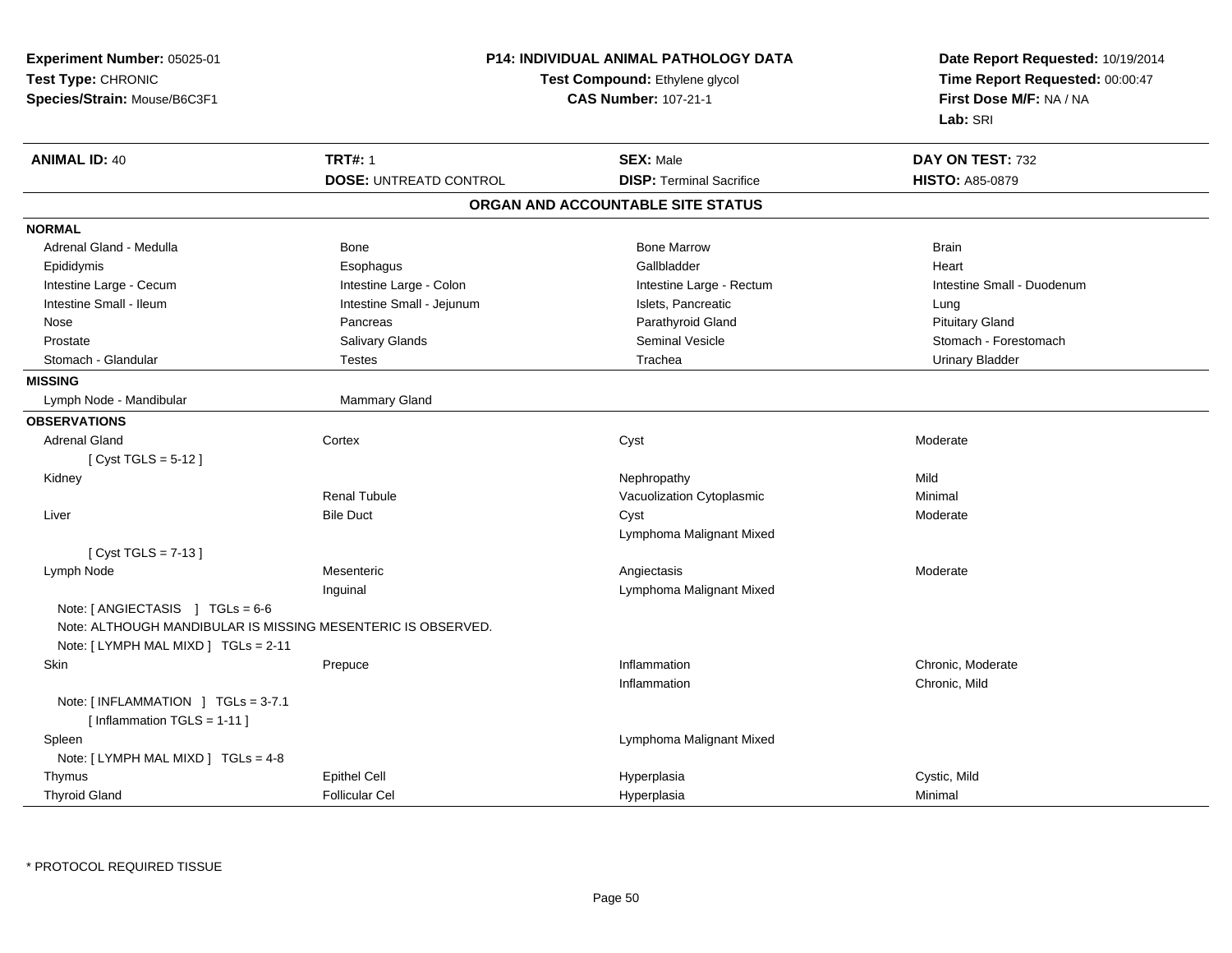| Experiment Number: 05025-01<br>Test Type: CHRONIC<br>Species/Strain: Mouse/B6C3F1 |                               | <b>P14: INDIVIDUAL ANIMAL PATHOLOGY DATA</b><br>Test Compound: Ethylene glycol<br><b>CAS Number: 107-21-1</b> | Date Report Requested: 10/19/2014<br>Time Report Requested: 00:00:47<br>First Dose M/F: NA / NA<br>Lab: SRI |
|-----------------------------------------------------------------------------------|-------------------------------|---------------------------------------------------------------------------------------------------------------|-------------------------------------------------------------------------------------------------------------|
| <b>ANIMAL ID: 40</b>                                                              | <b>TRT#: 1</b>                | <b>SEX: Male</b>                                                                                              | DAY ON TEST: 732                                                                                            |
|                                                                                   | <b>DOSE: UNTREATD CONTROL</b> | <b>DISP: Terminal Sacrifice</b>                                                                               | <b>HISTO: A85-0879</b>                                                                                      |
|                                                                                   |                               | ORGAN AND ACCOUNTABLE SITE STATUS                                                                             |                                                                                                             |
| <b>NORMAL</b>                                                                     |                               |                                                                                                               |                                                                                                             |
| Adrenal Gland - Medulla                                                           | Bone                          | <b>Bone Marrow</b>                                                                                            | <b>Brain</b>                                                                                                |
| Epididymis                                                                        | Esophagus                     | Gallbladder                                                                                                   | Heart                                                                                                       |
| Intestine Large - Cecum                                                           | Intestine Large - Colon       | Intestine Large - Rectum                                                                                      | Intestine Small - Duodenum                                                                                  |
| Intestine Small - Ileum                                                           | Intestine Small - Jejunum     | Islets, Pancreatic                                                                                            | Lung                                                                                                        |
| Nose                                                                              | Pancreas                      | Parathyroid Gland                                                                                             | <b>Pituitary Gland</b>                                                                                      |
| Prostate                                                                          | Salivary Glands               | Seminal Vesicle                                                                                               | Stomach - Forestomach                                                                                       |
| Stomach - Glandular                                                               | <b>Testes</b>                 | Trachea                                                                                                       | <b>Urinary Bladder</b>                                                                                      |
| <b>MISSING</b>                                                                    |                               |                                                                                                               |                                                                                                             |
| Lymph Node - Mandibular                                                           | Mammary Gland                 |                                                                                                               |                                                                                                             |
| <b>OBSERVATIONS</b>                                                               |                               |                                                                                                               |                                                                                                             |
| <b>Adrenal Gland</b>                                                              | Cortex                        | Cyst                                                                                                          | Moderate                                                                                                    |
| [ Cyst TGLS = 5-12 ]                                                              |                               |                                                                                                               |                                                                                                             |
| Kidney                                                                            |                               | Nephropathy                                                                                                   | Mild                                                                                                        |
|                                                                                   | <b>Renal Tubule</b>           | Vacuolization Cytoplasmic                                                                                     | Minimal                                                                                                     |
| Liver                                                                             | <b>Bile Duct</b>              | Cyst                                                                                                          | Moderate                                                                                                    |
|                                                                                   |                               | Lymphoma Malignant Mixed                                                                                      |                                                                                                             |
| [ $Cyst TGLS = 7-13$ ]                                                            |                               |                                                                                                               |                                                                                                             |
| Lymph Node                                                                        | Mesenteric                    | Angiectasis                                                                                                   | Moderate                                                                                                    |
|                                                                                   | Inguinal                      | Lymphoma Malignant Mixed                                                                                      |                                                                                                             |
| Note: $[$ ANGIECTASIS $]$ TGLs = 6-6                                              |                               |                                                                                                               |                                                                                                             |
| Note: ALTHOUGH MANDIBULAR IS MISSING MESENTERIC IS OBSERVED.                      |                               |                                                                                                               |                                                                                                             |
| Note: $[LYMPH MAL MIXD] TGLs = 2-11$                                              |                               |                                                                                                               |                                                                                                             |
| Skin                                                                              | Prepuce                       | Inflammation                                                                                                  | Chronic, Moderate                                                                                           |
|                                                                                   |                               | Inflammation                                                                                                  | Chronic, Mild                                                                                               |
| Note: [INFLAMMATION ] TGLs = 3-7.1<br>[Inflammation TGLS = $1-11$ ]               |                               |                                                                                                               |                                                                                                             |
| Spleen                                                                            |                               | Lymphoma Malignant Mixed                                                                                      |                                                                                                             |
| Note: [ LYMPH MAL MIXD ] TGLs = 4-8                                               |                               |                                                                                                               |                                                                                                             |
| Thymus                                                                            | <b>Epithel Cell</b>           | Hyperplasia                                                                                                   | Cystic, Mild                                                                                                |
| <b>Thyroid Gland</b>                                                              | <b>Follicular Cel</b>         | Hyperplasia                                                                                                   | Minimal                                                                                                     |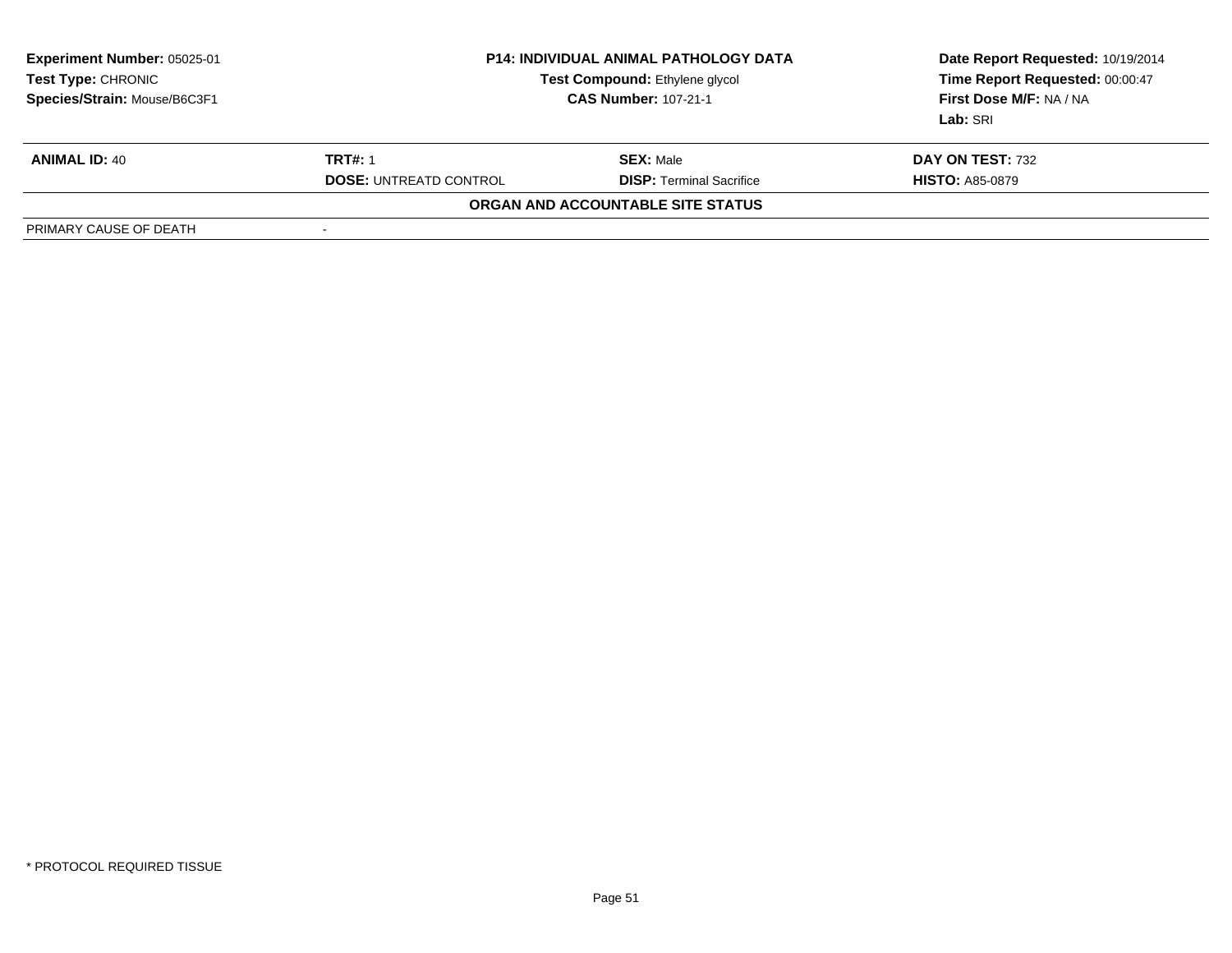| <b>Experiment Number: 05025-01</b><br>Test Type: CHRONIC<br>Species/Strain: Mouse/B6C3F1 | <b>P14: INDIVIDUAL ANIMAL PATHOLOGY DATA</b><br>Test Compound: Ethylene glycol<br><b>CAS Number: 107-21-1</b> |                                   | Date Report Requested: 10/19/2014<br>Time Report Requested: 00:00:47<br>First Dose M/F: NA / NA<br>Lab: SRI |
|------------------------------------------------------------------------------------------|---------------------------------------------------------------------------------------------------------------|-----------------------------------|-------------------------------------------------------------------------------------------------------------|
| <b>ANIMAL ID: 40</b>                                                                     | <b>TRT#: 1</b>                                                                                                | <b>SEX: Male</b>                  | DAY ON TEST: 732                                                                                            |
|                                                                                          | <b>DOSE: UNTREATD CONTROL</b>                                                                                 | <b>DISP: Terminal Sacrifice</b>   | <b>HISTO: A85-0879</b>                                                                                      |
|                                                                                          |                                                                                                               | ORGAN AND ACCOUNTABLE SITE STATUS |                                                                                                             |
| PRIMARY CAUSE OF DEATH                                                                   |                                                                                                               |                                   |                                                                                                             |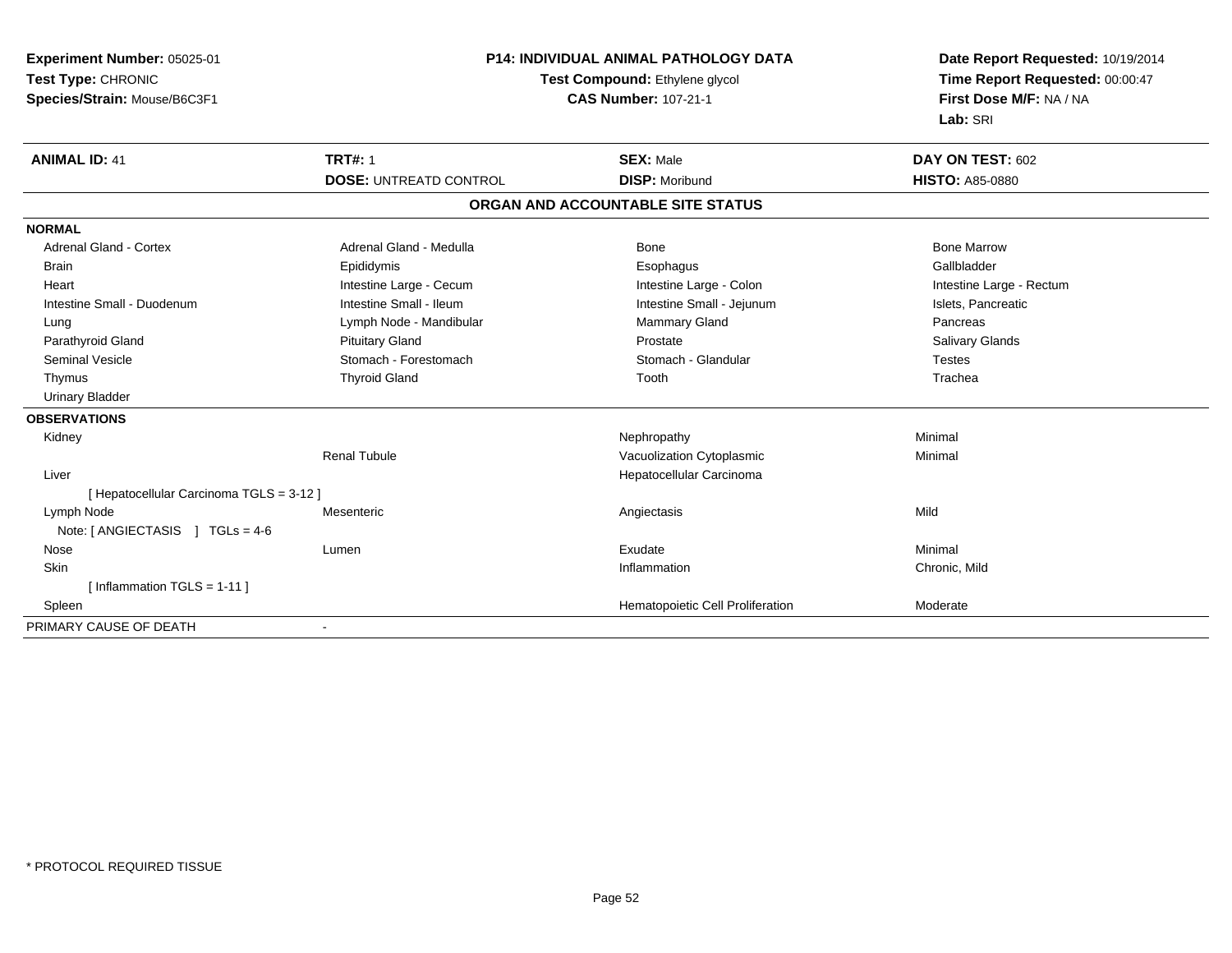| Experiment Number: 05025-01              |                                | P14: INDIVIDUAL ANIMAL PATHOLOGY DATA |                                 |
|------------------------------------------|--------------------------------|---------------------------------------|---------------------------------|
| Test Type: CHRONIC                       | Test Compound: Ethylene glycol |                                       | Time Report Requested: 00:00:47 |
| Species/Strain: Mouse/B6C3F1             |                                | <b>CAS Number: 107-21-1</b>           | First Dose M/F: NA / NA         |
|                                          |                                |                                       | Lab: SRI                        |
| <b>ANIMAL ID: 41</b>                     | <b>TRT#: 1</b>                 | <b>SEX: Male</b>                      | DAY ON TEST: 602                |
|                                          | <b>DOSE: UNTREATD CONTROL</b>  | <b>DISP: Moribund</b>                 | <b>HISTO: A85-0880</b>          |
|                                          |                                | ORGAN AND ACCOUNTABLE SITE STATUS     |                                 |
| <b>NORMAL</b>                            |                                |                                       |                                 |
| <b>Adrenal Gland - Cortex</b>            | Adrenal Gland - Medulla        | <b>Bone</b>                           | <b>Bone Marrow</b>              |
| Brain                                    | Epididymis                     | Esophagus                             | Gallbladder                     |
| Heart                                    | Intestine Large - Cecum        | Intestine Large - Colon               | Intestine Large - Rectum        |
| Intestine Small - Duodenum               | Intestine Small - Ileum        | Intestine Small - Jejunum             | Islets, Pancreatic              |
| Lung                                     | Lymph Node - Mandibular        | Mammary Gland                         | Pancreas                        |
| Parathyroid Gland                        | <b>Pituitary Gland</b>         | Prostate                              | Salivary Glands                 |
| <b>Seminal Vesicle</b>                   | Stomach - Forestomach          | Stomach - Glandular                   | <b>Testes</b>                   |
| Thymus                                   | <b>Thyroid Gland</b>           | Tooth                                 | Trachea                         |
| <b>Urinary Bladder</b>                   |                                |                                       |                                 |
| <b>OBSERVATIONS</b>                      |                                |                                       |                                 |
| Kidney                                   |                                | Nephropathy                           | Minimal                         |
|                                          | <b>Renal Tubule</b>            | Vacuolization Cytoplasmic             | Minimal                         |
| Liver                                    |                                | Hepatocellular Carcinoma              |                                 |
| [ Hepatocellular Carcinoma TGLS = 3-12 ] |                                |                                       |                                 |
| Lymph Node                               | Mesenteric                     | Angiectasis                           | Mild                            |
| Note: [ ANGIECTASIS ] TGLs = 4-6         |                                |                                       |                                 |
| Nose                                     | Lumen                          | Exudate                               | Minimal                         |
| Skin                                     |                                | Inflammation                          | Chronic, Mild                   |
| [Inflammation TGLS = 1-11]               |                                |                                       |                                 |
| Spleen                                   |                                | Hematopoietic Cell Proliferation      | Moderate                        |
| PRIMARY CAUSE OF DEATH                   | $\overline{\phantom{a}}$       |                                       |                                 |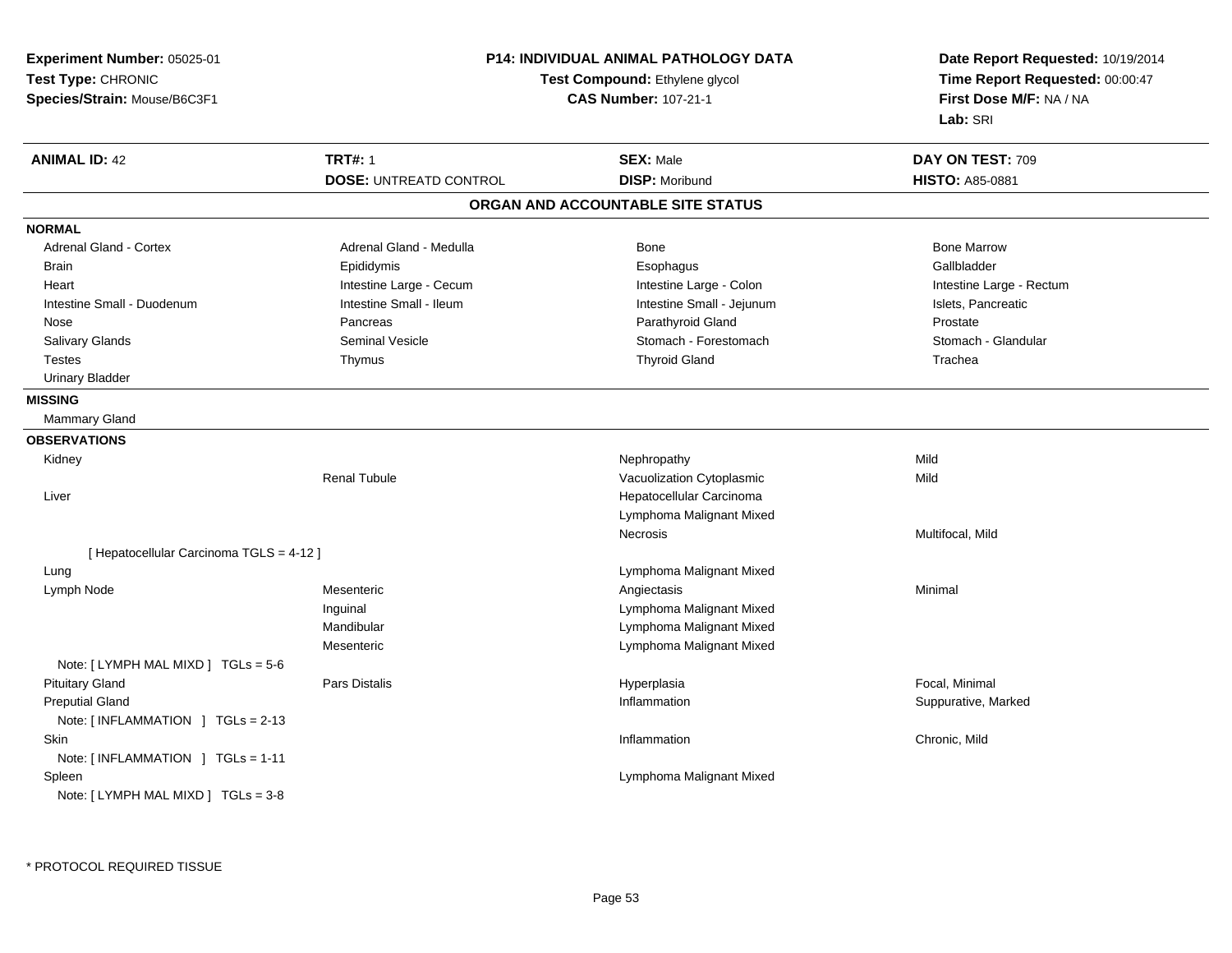| Experiment Number: 05025-01              |                                                               | <b>P14: INDIVIDUAL ANIMAL PATHOLOGY DATA</b> | Date Report Requested: 10/19/2014                          |
|------------------------------------------|---------------------------------------------------------------|----------------------------------------------|------------------------------------------------------------|
| Test Type: CHRONIC                       | Test Compound: Ethylene glycol<br><b>CAS Number: 107-21-1</b> |                                              | Time Report Requested: 00:00:47<br>First Dose M/F: NA / NA |
| Species/Strain: Mouse/B6C3F1             |                                                               |                                              |                                                            |
|                                          |                                                               |                                              | Lab: SRI                                                   |
| <b>ANIMAL ID: 42</b>                     | <b>TRT#: 1</b>                                                | <b>SEX: Male</b>                             | DAY ON TEST: 709                                           |
|                                          | <b>DOSE: UNTREATD CONTROL</b>                                 | <b>DISP: Moribund</b>                        | <b>HISTO: A85-0881</b>                                     |
|                                          |                                                               | ORGAN AND ACCOUNTABLE SITE STATUS            |                                                            |
| <b>NORMAL</b>                            |                                                               |                                              |                                                            |
| Adrenal Gland - Cortex                   | Adrenal Gland - Medulla                                       | Bone                                         | <b>Bone Marrow</b>                                         |
| <b>Brain</b>                             | Epididymis                                                    | Esophagus                                    | Gallbladder                                                |
| Heart                                    | Intestine Large - Cecum                                       | Intestine Large - Colon                      | Intestine Large - Rectum                                   |
| Intestine Small - Duodenum               | Intestine Small - Ileum                                       | Intestine Small - Jejunum                    | Islets, Pancreatic                                         |
| Nose                                     | Pancreas                                                      | Parathyroid Gland                            | Prostate                                                   |
| Salivary Glands                          | <b>Seminal Vesicle</b>                                        | Stomach - Forestomach                        | Stomach - Glandular                                        |
| <b>Testes</b>                            | Thymus                                                        | <b>Thyroid Gland</b>                         | Trachea                                                    |
| <b>Urinary Bladder</b>                   |                                                               |                                              |                                                            |
| <b>MISSING</b>                           |                                                               |                                              |                                                            |
| Mammary Gland                            |                                                               |                                              |                                                            |
| <b>OBSERVATIONS</b>                      |                                                               |                                              |                                                            |
| Kidney                                   |                                                               | Nephropathy                                  | Mild                                                       |
|                                          | <b>Renal Tubule</b>                                           | Vacuolization Cytoplasmic                    | Mild                                                       |
| Liver                                    |                                                               | Hepatocellular Carcinoma                     |                                                            |
|                                          |                                                               | Lymphoma Malignant Mixed                     |                                                            |
|                                          |                                                               | Necrosis                                     | Multifocal, Mild                                           |
| [ Hepatocellular Carcinoma TGLS = 4-12 ] |                                                               |                                              |                                                            |
| Lung                                     |                                                               | Lymphoma Malignant Mixed                     |                                                            |
| Lymph Node                               | Mesenteric                                                    | Angiectasis                                  | Minimal                                                    |
|                                          | Inguinal                                                      | Lymphoma Malignant Mixed                     |                                                            |
|                                          | Mandibular                                                    | Lymphoma Malignant Mixed                     |                                                            |
|                                          | Mesenteric                                                    | Lymphoma Malignant Mixed                     |                                                            |
| Note: [ LYMPH MAL MIXD ] TGLs = 5-6      |                                                               |                                              |                                                            |
| <b>Pituitary Gland</b>                   | Pars Distalis                                                 | Hyperplasia                                  | Focal, Minimal                                             |
| <b>Preputial Gland</b>                   |                                                               | Inflammation                                 | Suppurative, Marked                                        |
| Note: [INFLAMMATION ] TGLs = 2-13        |                                                               |                                              |                                                            |
| <b>Skin</b>                              |                                                               | Inflammation                                 | Chronic, Mild                                              |
| Note: [INFLAMMATION ] TGLs = 1-11        |                                                               |                                              |                                                            |
| Spleen                                   |                                                               | Lymphoma Malignant Mixed                     |                                                            |
| Note: $[LYMPH MAL MIXD] TGLs = 3-8$      |                                                               |                                              |                                                            |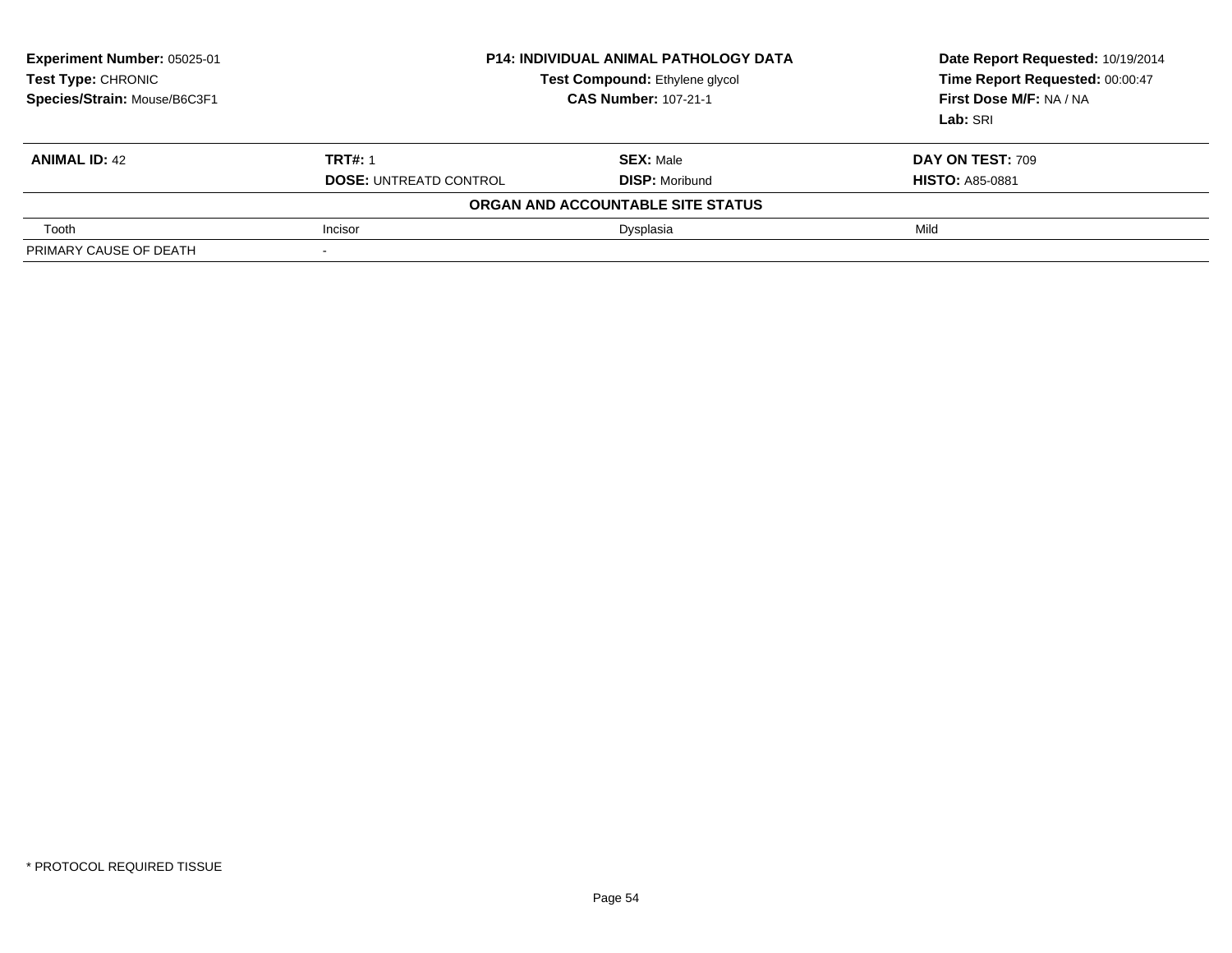| Experiment Number: 05025-01<br>Test Type: CHRONIC<br>Species/Strain: Mouse/B6C3F1 |                               | <b>P14: INDIVIDUAL ANIMAL PATHOLOGY DATA</b><br>Test Compound: Ethylene glycol<br><b>CAS Number: 107-21-1</b> | Date Report Requested: 10/19/2014<br>Time Report Requested: 00:00:47<br>First Dose M/F: NA / NA<br>Lab: SRI |
|-----------------------------------------------------------------------------------|-------------------------------|---------------------------------------------------------------------------------------------------------------|-------------------------------------------------------------------------------------------------------------|
| <b>ANIMAL ID: 42</b>                                                              | <b>TRT#: 1</b>                | <b>SEX: Male</b>                                                                                              | DAY ON TEST: 709                                                                                            |
|                                                                                   | <b>DOSE: UNTREATD CONTROL</b> | <b>DISP: Moribund</b>                                                                                         | <b>HISTO: A85-0881</b>                                                                                      |
|                                                                                   |                               | ORGAN AND ACCOUNTABLE SITE STATUS                                                                             |                                                                                                             |
| Tooth                                                                             | Incisor                       | Dysplasia                                                                                                     | Mild                                                                                                        |
| PRIMARY CAUSE OF DEATH                                                            |                               |                                                                                                               |                                                                                                             |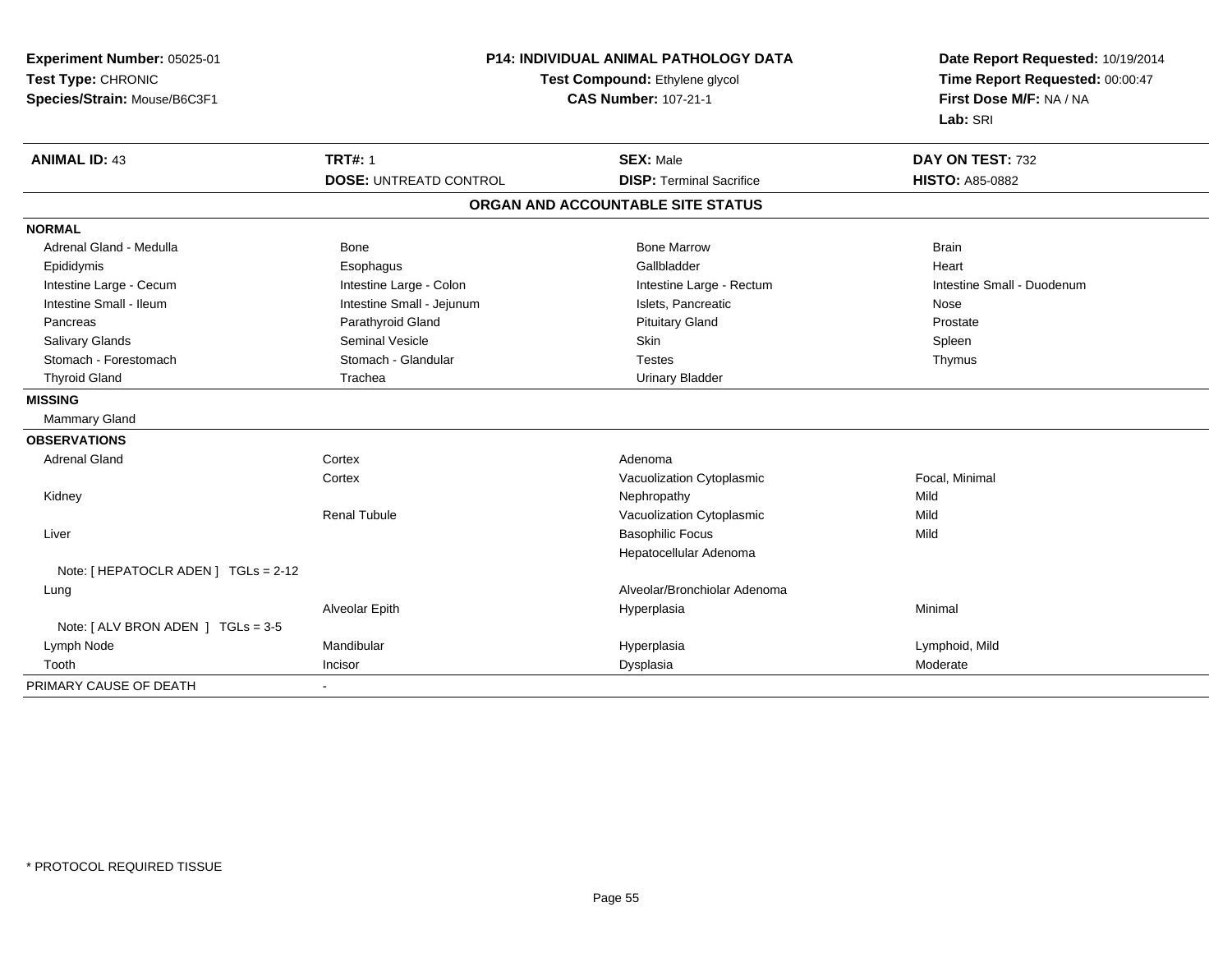| Experiment Number: 05025-01<br>Test Type: CHRONIC<br>Species/Strain: Mouse/B6C3F1 | P14: INDIVIDUAL ANIMAL PATHOLOGY DATA<br>Test Compound: Ethylene glycol<br><b>CAS Number: 107-21-1</b> |                                                     | Date Report Requested: 10/19/2014<br>Time Report Requested: 00:00:47<br>First Dose M/F: NA / NA<br>Lab: SRI |
|-----------------------------------------------------------------------------------|--------------------------------------------------------------------------------------------------------|-----------------------------------------------------|-------------------------------------------------------------------------------------------------------------|
| <b>ANIMAL ID: 43</b>                                                              | <b>TRT#: 1</b><br><b>DOSE: UNTREATD CONTROL</b>                                                        | <b>SEX: Male</b><br><b>DISP: Terminal Sacrifice</b> | DAY ON TEST: 732<br><b>HISTO: A85-0882</b>                                                                  |
|                                                                                   |                                                                                                        | ORGAN AND ACCOUNTABLE SITE STATUS                   |                                                                                                             |
| <b>NORMAL</b>                                                                     |                                                                                                        |                                                     |                                                                                                             |
| Adrenal Gland - Medulla                                                           | <b>Bone</b>                                                                                            | <b>Bone Marrow</b>                                  | <b>Brain</b>                                                                                                |
| Epididymis                                                                        | Esophagus                                                                                              | Gallbladder                                         | Heart                                                                                                       |
| Intestine Large - Cecum                                                           | Intestine Large - Colon                                                                                | Intestine Large - Rectum                            | Intestine Small - Duodenum                                                                                  |
| Intestine Small - Ileum                                                           | Intestine Small - Jejunum                                                                              | Islets, Pancreatic                                  | Nose                                                                                                        |
| Pancreas                                                                          | Parathyroid Gland                                                                                      | <b>Pituitary Gland</b>                              | Prostate                                                                                                    |
| Salivary Glands                                                                   | <b>Seminal Vesicle</b>                                                                                 | Skin                                                | Spleen                                                                                                      |
| Stomach - Forestomach                                                             | Stomach - Glandular                                                                                    | <b>Testes</b>                                       | Thymus                                                                                                      |
| <b>Thyroid Gland</b>                                                              | Trachea                                                                                                | <b>Urinary Bladder</b>                              |                                                                                                             |
| <b>MISSING</b>                                                                    |                                                                                                        |                                                     |                                                                                                             |
| Mammary Gland                                                                     |                                                                                                        |                                                     |                                                                                                             |
| <b>OBSERVATIONS</b>                                                               |                                                                                                        |                                                     |                                                                                                             |
| <b>Adrenal Gland</b>                                                              | Cortex                                                                                                 | Adenoma                                             |                                                                                                             |
|                                                                                   | Cortex                                                                                                 |                                                     | Focal, Minimal                                                                                              |
|                                                                                   |                                                                                                        | Vacuolization Cytoplasmic                           | Mild                                                                                                        |
| Kidney                                                                            | <b>Renal Tubule</b>                                                                                    | Nephropathy<br>Vacuolization Cytoplasmic            | Mild                                                                                                        |
|                                                                                   |                                                                                                        | <b>Basophilic Focus</b>                             | Mild                                                                                                        |
| Liver                                                                             |                                                                                                        | Hepatocellular Adenoma                              |                                                                                                             |
| Note: [ HEPATOCLR ADEN ] TGLs = 2-12                                              |                                                                                                        |                                                     |                                                                                                             |
| Lung                                                                              |                                                                                                        | Alveolar/Bronchiolar Adenoma                        |                                                                                                             |
|                                                                                   | <b>Alveolar Epith</b>                                                                                  | Hyperplasia                                         | Minimal                                                                                                     |
| Note: [ ALV BRON ADEN ] TGLs = 3-5                                                |                                                                                                        |                                                     |                                                                                                             |
| Lymph Node                                                                        | Mandibular                                                                                             | Hyperplasia                                         | Lymphoid, Mild                                                                                              |
| Tooth                                                                             | Incisor                                                                                                | Dysplasia                                           | Moderate                                                                                                    |
| PRIMARY CAUSE OF DEATH                                                            |                                                                                                        |                                                     |                                                                                                             |
|                                                                                   |                                                                                                        |                                                     |                                                                                                             |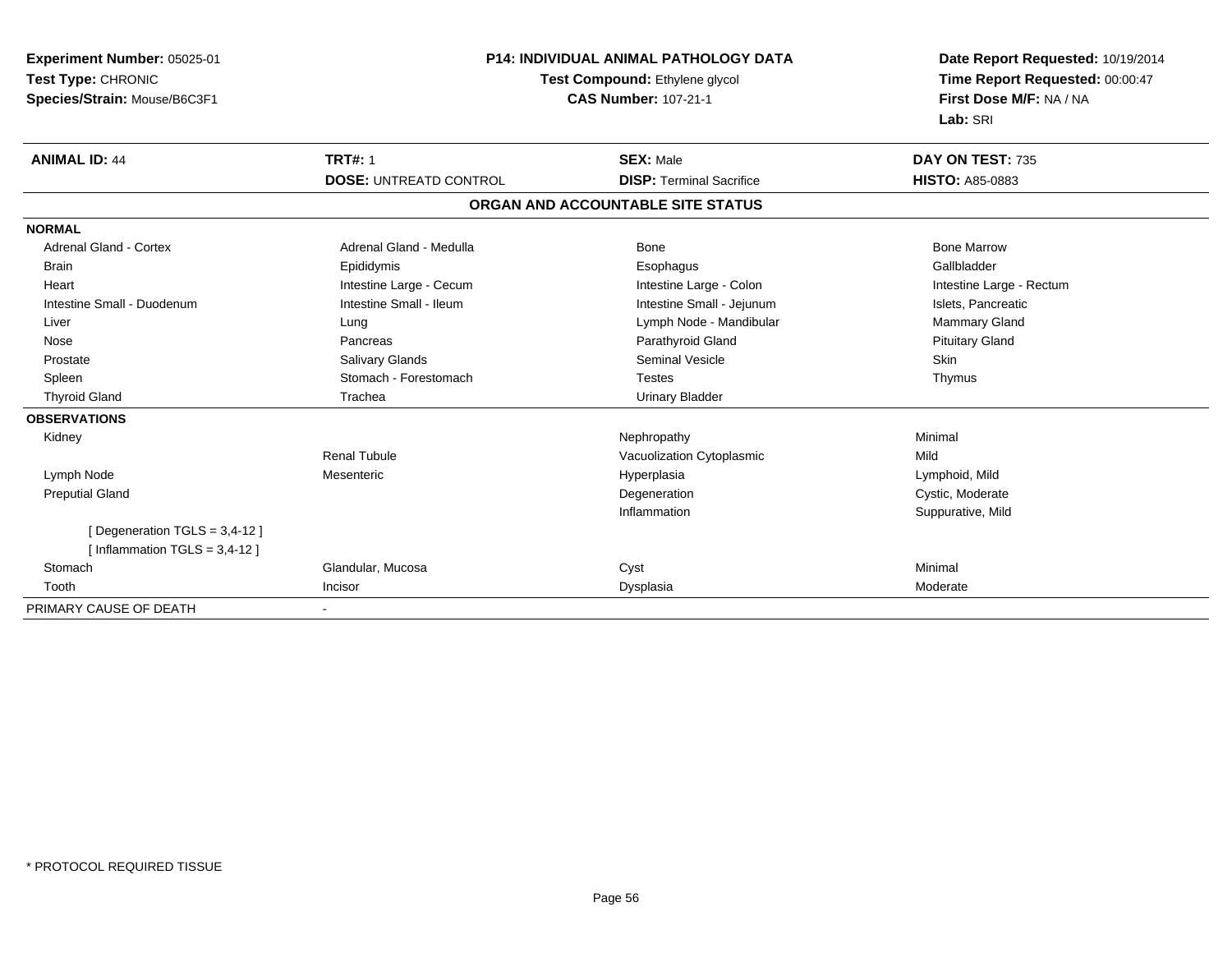| Experiment Number: 05025-01     | <b>P14: INDIVIDUAL ANIMAL PATHOLOGY DATA</b><br>Test Compound: Ethylene glycol |                                   | Date Report Requested: 10/19/2014<br>Time Report Requested: 00:00:47 |
|---------------------------------|--------------------------------------------------------------------------------|-----------------------------------|----------------------------------------------------------------------|
| Test Type: CHRONIC              |                                                                                |                                   |                                                                      |
| Species/Strain: Mouse/B6C3F1    | <b>CAS Number: 107-21-1</b>                                                    |                                   | First Dose M/F: NA / NA                                              |
|                                 |                                                                                |                                   | Lab: SRI                                                             |
| <b>ANIMAL ID: 44</b>            | <b>TRT#: 1</b>                                                                 | <b>SEX: Male</b>                  | DAY ON TEST: 735                                                     |
|                                 | <b>DOSE: UNTREATD CONTROL</b>                                                  | <b>DISP: Terminal Sacrifice</b>   | <b>HISTO: A85-0883</b>                                               |
|                                 |                                                                                | ORGAN AND ACCOUNTABLE SITE STATUS |                                                                      |
| <b>NORMAL</b>                   |                                                                                |                                   |                                                                      |
| <b>Adrenal Gland - Cortex</b>   | Adrenal Gland - Medulla                                                        | <b>Bone</b>                       | <b>Bone Marrow</b>                                                   |
| Brain                           | Epididymis                                                                     | Esophagus                         | Gallbladder                                                          |
| Heart                           | Intestine Large - Cecum                                                        | Intestine Large - Colon           | Intestine Large - Rectum                                             |
| Intestine Small - Duodenum      | Intestine Small - Ileum                                                        | Intestine Small - Jejunum         | Islets, Pancreatic                                                   |
| Liver                           | Lung                                                                           | Lymph Node - Mandibular           | Mammary Gland                                                        |
| Nose                            | Pancreas                                                                       | Parathyroid Gland                 | <b>Pituitary Gland</b>                                               |
| Prostate                        | Salivary Glands                                                                | Seminal Vesicle                   | <b>Skin</b>                                                          |
| Spleen                          | Stomach - Forestomach                                                          | <b>Testes</b>                     | Thymus                                                               |
| <b>Thyroid Gland</b>            | Trachea                                                                        | <b>Urinary Bladder</b>            |                                                                      |
| <b>OBSERVATIONS</b>             |                                                                                |                                   |                                                                      |
| Kidney                          |                                                                                | Nephropathy                       | Minimal                                                              |
|                                 | <b>Renal Tubule</b>                                                            | Vacuolization Cytoplasmic         | Mild                                                                 |
| Lymph Node                      | Mesenteric                                                                     | Hyperplasia                       | Lymphoid, Mild                                                       |
| <b>Preputial Gland</b>          |                                                                                | Degeneration                      | Cystic, Moderate                                                     |
|                                 |                                                                                | Inflammation                      | Suppurative, Mild                                                    |
| [Degeneration TGLS = 3,4-12]    |                                                                                |                                   |                                                                      |
| [Inflammation TGLS = $3,4-12$ ] |                                                                                |                                   |                                                                      |
| Stomach                         | Glandular, Mucosa                                                              | Cyst                              | Minimal                                                              |
| Tooth                           | Incisor                                                                        | Dysplasia                         | Moderate                                                             |
| PRIMARY CAUSE OF DEATH          |                                                                                |                                   |                                                                      |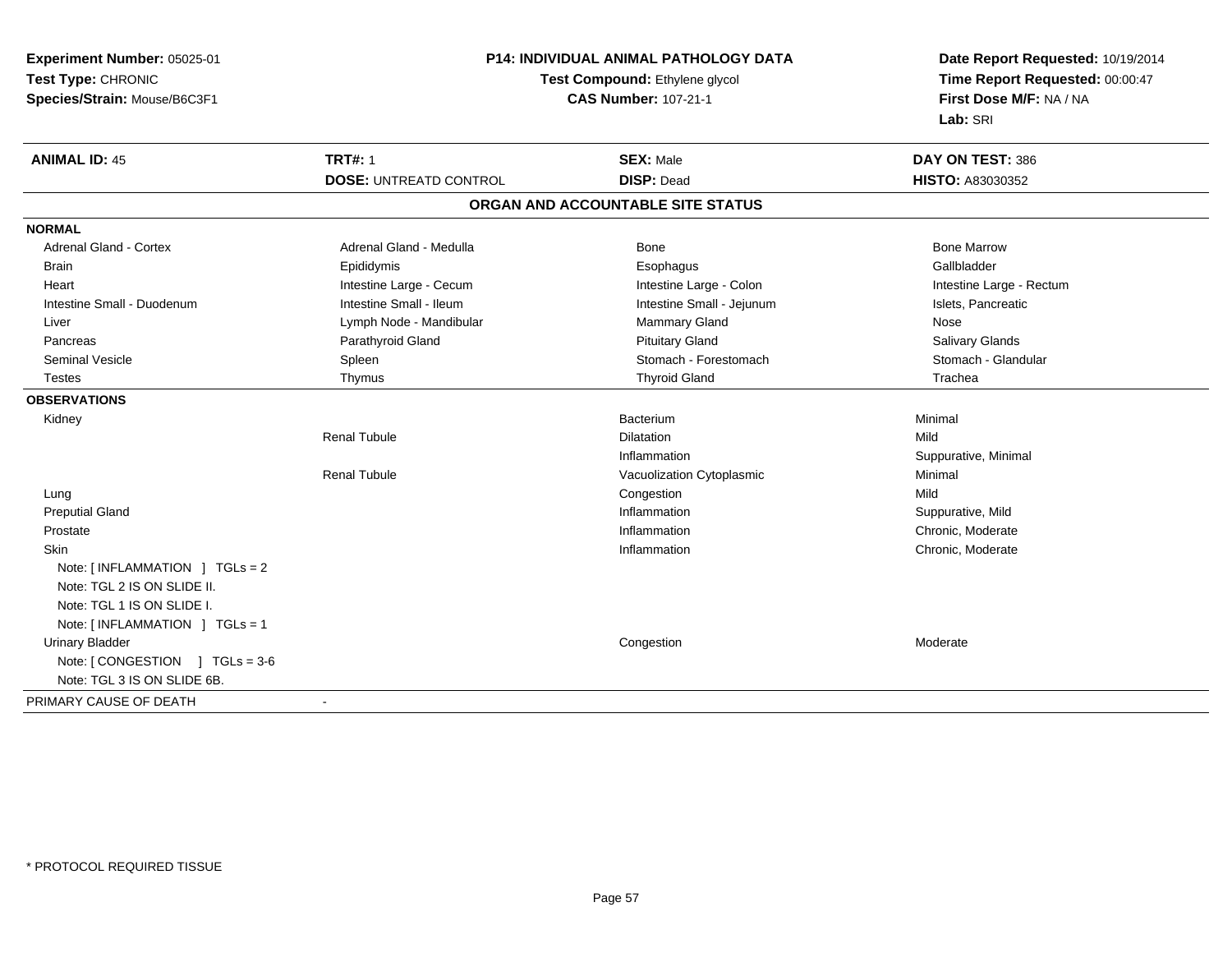| Test Type: CHRONIC<br>Test Compound: Ethylene glycol<br>Time Report Requested: 00:00:47<br>First Dose M/F: NA / NA<br>Species/Strain: Mouse/B6C3F1<br><b>CAS Number: 107-21-1</b><br>Lab: SRI<br><b>TRT#: 1</b><br><b>ANIMAL ID: 45</b><br><b>SEX: Male</b><br>DAY ON TEST: 386<br><b>DOSE: UNTREATD CONTROL</b><br><b>DISP: Dead</b><br><b>HISTO: A83030352</b><br>ORGAN AND ACCOUNTABLE SITE STATUS<br><b>NORMAL</b><br><b>Adrenal Gland - Cortex</b><br>Adrenal Gland - Medulla<br><b>Bone Marrow</b><br><b>Bone</b><br>Epididymis<br>Gallbladder<br>Esophagus<br><b>Brain</b><br>Intestine Large - Cecum<br>Intestine Large - Colon<br>Intestine Large - Rectum<br>Heart<br>Intestine Small - Ileum<br>Intestine Small - Duodenum<br>Intestine Small - Jejunum<br>Islets, Pancreatic<br>Lymph Node - Mandibular<br><b>Mammary Gland</b><br>Nose<br>Liver<br>Parathyroid Gland<br><b>Pituitary Gland</b><br>Salivary Glands<br>Pancreas<br>Stomach - Forestomach<br>Spleen<br>Stomach - Glandular<br><b>Seminal Vesicle</b> |
|--------------------------------------------------------------------------------------------------------------------------------------------------------------------------------------------------------------------------------------------------------------------------------------------------------------------------------------------------------------------------------------------------------------------------------------------------------------------------------------------------------------------------------------------------------------------------------------------------------------------------------------------------------------------------------------------------------------------------------------------------------------------------------------------------------------------------------------------------------------------------------------------------------------------------------------------------------------------------------------------------------------------------------|
|                                                                                                                                                                                                                                                                                                                                                                                                                                                                                                                                                                                                                                                                                                                                                                                                                                                                                                                                                                                                                                |
|                                                                                                                                                                                                                                                                                                                                                                                                                                                                                                                                                                                                                                                                                                                                                                                                                                                                                                                                                                                                                                |
|                                                                                                                                                                                                                                                                                                                                                                                                                                                                                                                                                                                                                                                                                                                                                                                                                                                                                                                                                                                                                                |
|                                                                                                                                                                                                                                                                                                                                                                                                                                                                                                                                                                                                                                                                                                                                                                                                                                                                                                                                                                                                                                |
|                                                                                                                                                                                                                                                                                                                                                                                                                                                                                                                                                                                                                                                                                                                                                                                                                                                                                                                                                                                                                                |
|                                                                                                                                                                                                                                                                                                                                                                                                                                                                                                                                                                                                                                                                                                                                                                                                                                                                                                                                                                                                                                |
|                                                                                                                                                                                                                                                                                                                                                                                                                                                                                                                                                                                                                                                                                                                                                                                                                                                                                                                                                                                                                                |
|                                                                                                                                                                                                                                                                                                                                                                                                                                                                                                                                                                                                                                                                                                                                                                                                                                                                                                                                                                                                                                |
|                                                                                                                                                                                                                                                                                                                                                                                                                                                                                                                                                                                                                                                                                                                                                                                                                                                                                                                                                                                                                                |
|                                                                                                                                                                                                                                                                                                                                                                                                                                                                                                                                                                                                                                                                                                                                                                                                                                                                                                                                                                                                                                |
|                                                                                                                                                                                                                                                                                                                                                                                                                                                                                                                                                                                                                                                                                                                                                                                                                                                                                                                                                                                                                                |
|                                                                                                                                                                                                                                                                                                                                                                                                                                                                                                                                                                                                                                                                                                                                                                                                                                                                                                                                                                                                                                |
|                                                                                                                                                                                                                                                                                                                                                                                                                                                                                                                                                                                                                                                                                                                                                                                                                                                                                                                                                                                                                                |
|                                                                                                                                                                                                                                                                                                                                                                                                                                                                                                                                                                                                                                                                                                                                                                                                                                                                                                                                                                                                                                |
| <b>Thyroid Gland</b><br>Thymus<br>Trachea<br>Testes                                                                                                                                                                                                                                                                                                                                                                                                                                                                                                                                                                                                                                                                                                                                                                                                                                                                                                                                                                            |
| <b>OBSERVATIONS</b>                                                                                                                                                                                                                                                                                                                                                                                                                                                                                                                                                                                                                                                                                                                                                                                                                                                                                                                                                                                                            |
| Minimal<br>Kidney<br>Bacterium                                                                                                                                                                                                                                                                                                                                                                                                                                                                                                                                                                                                                                                                                                                                                                                                                                                                                                                                                                                                 |
| <b>Renal Tubule</b><br>Mild<br><b>Dilatation</b>                                                                                                                                                                                                                                                                                                                                                                                                                                                                                                                                                                                                                                                                                                                                                                                                                                                                                                                                                                               |
| Suppurative, Minimal<br>Inflammation                                                                                                                                                                                                                                                                                                                                                                                                                                                                                                                                                                                                                                                                                                                                                                                                                                                                                                                                                                                           |
| <b>Renal Tubule</b><br>Vacuolization Cytoplasmic<br>Minimal                                                                                                                                                                                                                                                                                                                                                                                                                                                                                                                                                                                                                                                                                                                                                                                                                                                                                                                                                                    |
| Mild<br>Congestion<br>Lung                                                                                                                                                                                                                                                                                                                                                                                                                                                                                                                                                                                                                                                                                                                                                                                                                                                                                                                                                                                                     |
| <b>Preputial Gland</b><br>Inflammation<br>Suppurative, Mild                                                                                                                                                                                                                                                                                                                                                                                                                                                                                                                                                                                                                                                                                                                                                                                                                                                                                                                                                                    |
| Inflammation<br>Chronic, Moderate<br>Prostate                                                                                                                                                                                                                                                                                                                                                                                                                                                                                                                                                                                                                                                                                                                                                                                                                                                                                                                                                                                  |
| Skin<br>Inflammation<br>Chronic, Moderate                                                                                                                                                                                                                                                                                                                                                                                                                                                                                                                                                                                                                                                                                                                                                                                                                                                                                                                                                                                      |
| Note: $\lceil$ INFLAMMATION $\lceil$ TGLs = 2                                                                                                                                                                                                                                                                                                                                                                                                                                                                                                                                                                                                                                                                                                                                                                                                                                                                                                                                                                                  |
| Note: TGL 2 IS ON SLIDE II.                                                                                                                                                                                                                                                                                                                                                                                                                                                                                                                                                                                                                                                                                                                                                                                                                                                                                                                                                                                                    |
| Note: TGL 1 IS ON SLIDE I.                                                                                                                                                                                                                                                                                                                                                                                                                                                                                                                                                                                                                                                                                                                                                                                                                                                                                                                                                                                                     |
| Note: [INFLAMMATION ] TGLs = 1                                                                                                                                                                                                                                                                                                                                                                                                                                                                                                                                                                                                                                                                                                                                                                                                                                                                                                                                                                                                 |
| <b>Urinary Bladder</b><br>Congestion<br>Moderate                                                                                                                                                                                                                                                                                                                                                                                                                                                                                                                                                                                                                                                                                                                                                                                                                                                                                                                                                                               |
| Note: $[$ CONGESTION $]$ TGLs = 3-6                                                                                                                                                                                                                                                                                                                                                                                                                                                                                                                                                                                                                                                                                                                                                                                                                                                                                                                                                                                            |
| Note: TGL 3 IS ON SLIDE 6B.                                                                                                                                                                                                                                                                                                                                                                                                                                                                                                                                                                                                                                                                                                                                                                                                                                                                                                                                                                                                    |
| PRIMARY CAUSE OF DEATH<br>$\overline{\phantom{a}}$                                                                                                                                                                                                                                                                                                                                                                                                                                                                                                                                                                                                                                                                                                                                                                                                                                                                                                                                                                             |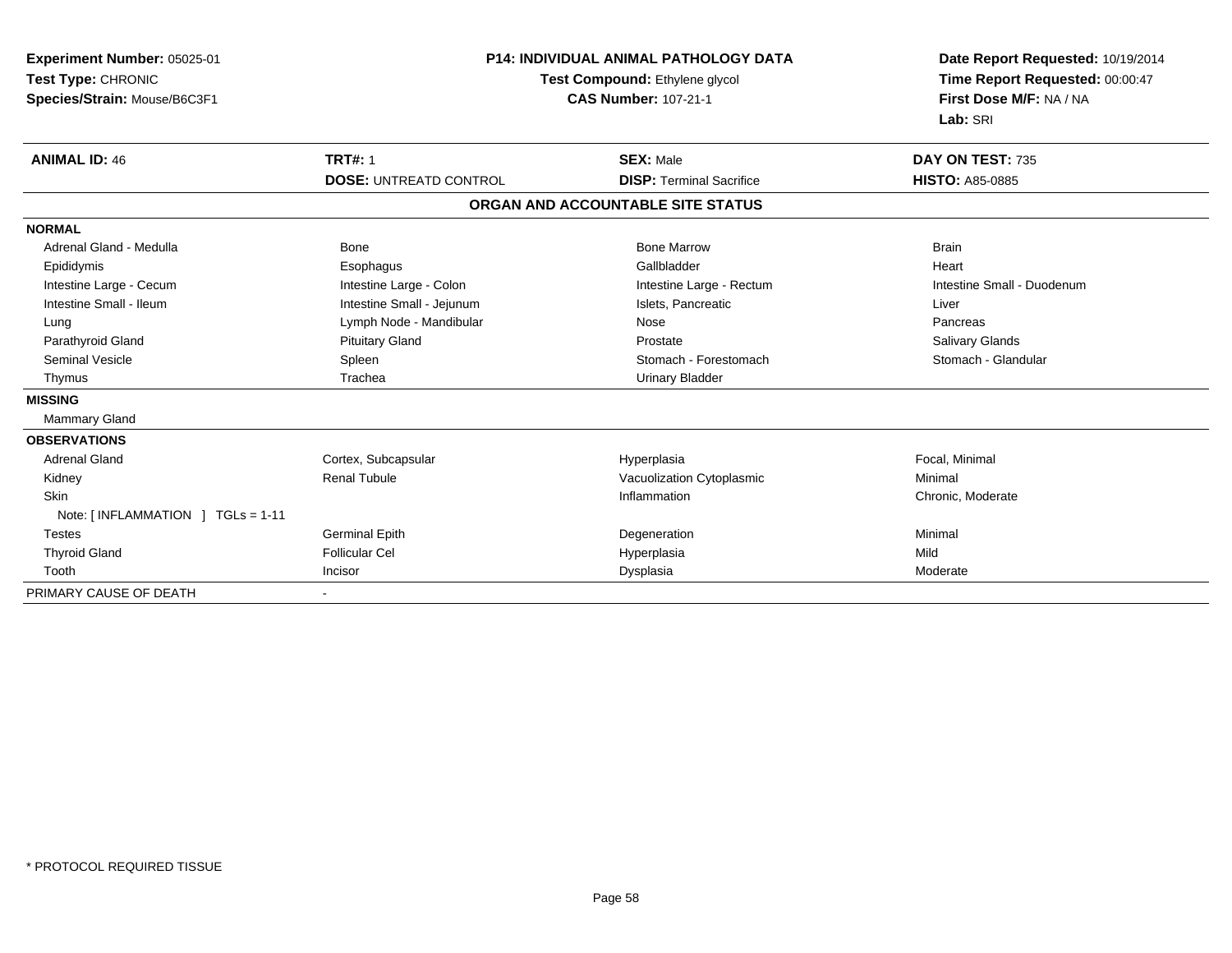| Experiment Number: 05025-01<br>Test Type: CHRONIC<br>Species/Strain: Mouse/B6C3F1 | <b>P14: INDIVIDUAL ANIMAL PATHOLOGY DATA</b><br>Test Compound: Ethylene glycol<br><b>CAS Number: 107-21-1</b> |                                   | Date Report Requested: 10/19/2014<br>Time Report Requested: 00:00:47<br>First Dose M/F: NA / NA<br>Lab: SRI |
|-----------------------------------------------------------------------------------|---------------------------------------------------------------------------------------------------------------|-----------------------------------|-------------------------------------------------------------------------------------------------------------|
| <b>ANIMAL ID: 46</b>                                                              | <b>TRT#: 1</b>                                                                                                | <b>SEX: Male</b>                  | DAY ON TEST: 735                                                                                            |
|                                                                                   | <b>DOSE: UNTREATD CONTROL</b>                                                                                 | <b>DISP: Terminal Sacrifice</b>   | <b>HISTO: A85-0885</b>                                                                                      |
|                                                                                   |                                                                                                               | ORGAN AND ACCOUNTABLE SITE STATUS |                                                                                                             |
| <b>NORMAL</b>                                                                     |                                                                                                               |                                   |                                                                                                             |
| Adrenal Gland - Medulla                                                           | <b>Bone</b>                                                                                                   | <b>Bone Marrow</b>                | <b>Brain</b>                                                                                                |
| Epididymis                                                                        | Esophagus                                                                                                     | Gallbladder                       | Heart                                                                                                       |
| Intestine Large - Cecum                                                           | Intestine Large - Colon                                                                                       | Intestine Large - Rectum          | Intestine Small - Duodenum                                                                                  |
| Intestine Small - Ileum                                                           | Intestine Small - Jejunum                                                                                     | Islets, Pancreatic                | Liver                                                                                                       |
| Lung                                                                              | Lymph Node - Mandibular                                                                                       | Nose                              | Pancreas                                                                                                    |
| Parathyroid Gland                                                                 | <b>Pituitary Gland</b>                                                                                        | Prostate                          | Salivary Glands                                                                                             |
| <b>Seminal Vesicle</b>                                                            | Spleen                                                                                                        | Stomach - Forestomach             | Stomach - Glandular                                                                                         |
| Thymus                                                                            | Trachea                                                                                                       | <b>Urinary Bladder</b>            |                                                                                                             |
| <b>MISSING</b>                                                                    |                                                                                                               |                                   |                                                                                                             |
| Mammary Gland                                                                     |                                                                                                               |                                   |                                                                                                             |
| <b>OBSERVATIONS</b>                                                               |                                                                                                               |                                   |                                                                                                             |
| <b>Adrenal Gland</b>                                                              | Cortex, Subcapsular                                                                                           | Hyperplasia                       | Focal, Minimal                                                                                              |
| Kidney                                                                            | <b>Renal Tubule</b>                                                                                           | Vacuolization Cytoplasmic         | Minimal                                                                                                     |
| Skin                                                                              |                                                                                                               | Inflammation                      | Chronic, Moderate                                                                                           |
| Note: [INFLAMMATION ] TGLs = 1-11                                                 |                                                                                                               |                                   |                                                                                                             |
| <b>Testes</b>                                                                     | <b>Germinal Epith</b>                                                                                         | Degeneration                      | Minimal                                                                                                     |
| <b>Thyroid Gland</b>                                                              | <b>Follicular Cel</b>                                                                                         | Hyperplasia                       | Mild                                                                                                        |
| Tooth                                                                             | Incisor                                                                                                       | Dysplasia                         | Moderate                                                                                                    |
| PRIMARY CAUSE OF DEATH                                                            |                                                                                                               |                                   |                                                                                                             |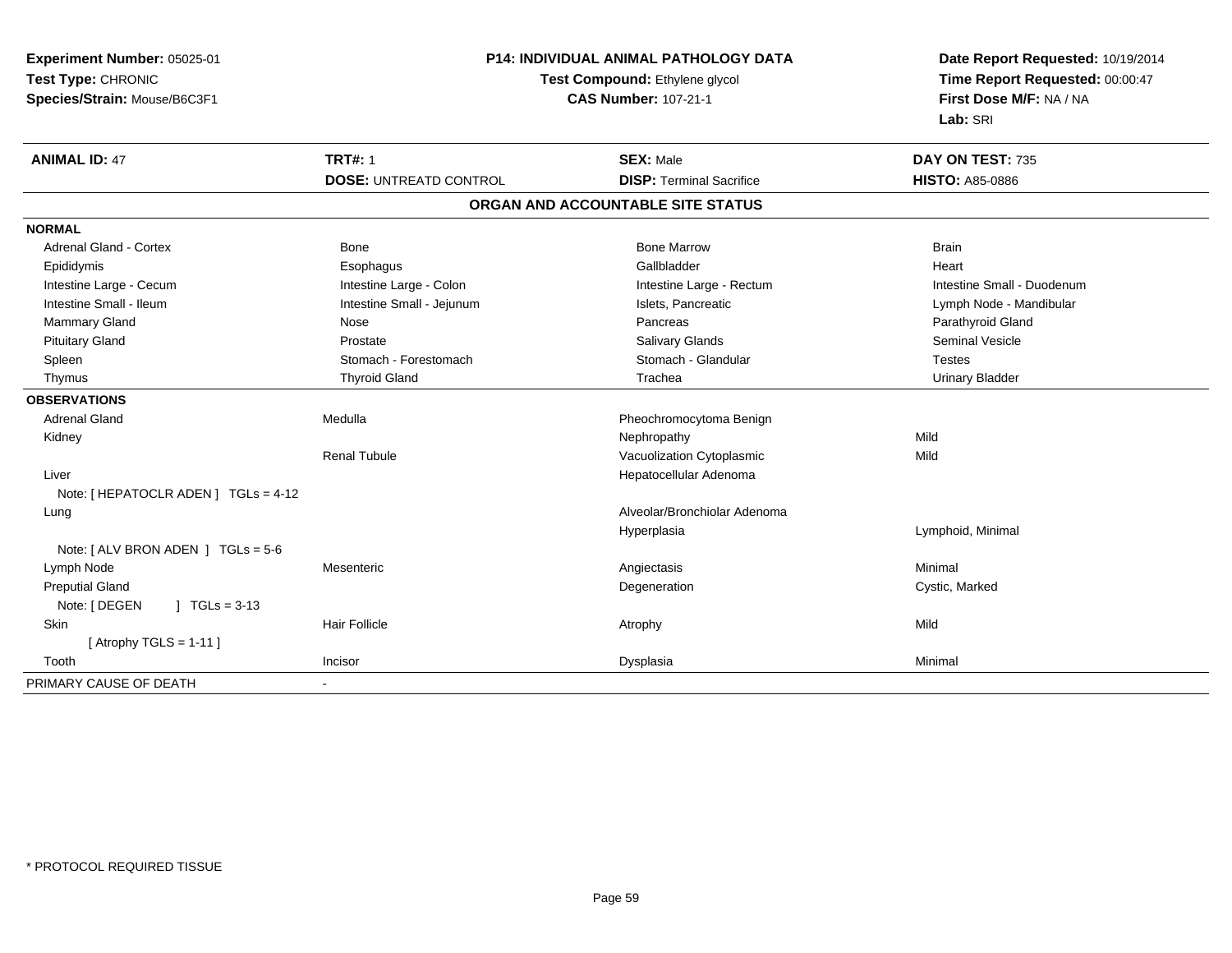| Experiment Number: 05025-01          | <b>P14: INDIVIDUAL ANIMAL PATHOLOGY DATA</b><br>Test Compound: Ethylene glycol |                                   | Date Report Requested: 10/19/2014<br>Time Report Requested: 00:00:47 |  |
|--------------------------------------|--------------------------------------------------------------------------------|-----------------------------------|----------------------------------------------------------------------|--|
| Test Type: CHRONIC                   |                                                                                |                                   |                                                                      |  |
| Species/Strain: Mouse/B6C3F1         |                                                                                | <b>CAS Number: 107-21-1</b>       | First Dose M/F: NA / NA                                              |  |
|                                      |                                                                                |                                   | Lab: SRI                                                             |  |
| <b>ANIMAL ID: 47</b>                 | <b>TRT#: 1</b>                                                                 | <b>SEX: Male</b>                  | DAY ON TEST: 735                                                     |  |
|                                      | <b>DOSE: UNTREATD CONTROL</b>                                                  | <b>DISP: Terminal Sacrifice</b>   | <b>HISTO: A85-0886</b>                                               |  |
|                                      |                                                                                | ORGAN AND ACCOUNTABLE SITE STATUS |                                                                      |  |
| <b>NORMAL</b>                        |                                                                                |                                   |                                                                      |  |
| <b>Adrenal Gland - Cortex</b>        | Bone                                                                           | <b>Bone Marrow</b>                | <b>Brain</b>                                                         |  |
| Epididymis                           | Esophagus                                                                      | Gallbladder                       | Heart                                                                |  |
| Intestine Large - Cecum              | Intestine Large - Colon                                                        | Intestine Large - Rectum          | Intestine Small - Duodenum                                           |  |
| Intestine Small - Ileum              | Intestine Small - Jejunum                                                      | Islets, Pancreatic                | Lymph Node - Mandibular                                              |  |
| Mammary Gland                        | Nose                                                                           | Pancreas                          | Parathyroid Gland                                                    |  |
| <b>Pituitary Gland</b>               | Prostate                                                                       | <b>Salivary Glands</b>            | <b>Seminal Vesicle</b>                                               |  |
| Spleen                               | Stomach - Forestomach                                                          | Stomach - Glandular               | <b>Testes</b>                                                        |  |
| Thymus                               | <b>Thyroid Gland</b>                                                           | Trachea                           | <b>Urinary Bladder</b>                                               |  |
| <b>OBSERVATIONS</b>                  |                                                                                |                                   |                                                                      |  |
| <b>Adrenal Gland</b>                 | Medulla                                                                        | Pheochromocytoma Benign           |                                                                      |  |
| Kidney                               |                                                                                | Nephropathy                       | Mild                                                                 |  |
|                                      | <b>Renal Tubule</b>                                                            | Vacuolization Cytoplasmic         | Mild                                                                 |  |
| Liver                                |                                                                                | Hepatocellular Adenoma            |                                                                      |  |
| Note: [ HEPATOCLR ADEN ] TGLs = 4-12 |                                                                                |                                   |                                                                      |  |
| Lung                                 |                                                                                | Alveolar/Bronchiolar Adenoma      |                                                                      |  |
|                                      |                                                                                | Hyperplasia                       | Lymphoid, Minimal                                                    |  |
| Note: [ ALV BRON ADEN ] TGLs = 5-6   |                                                                                |                                   |                                                                      |  |
| Lymph Node                           | Mesenteric                                                                     | Angiectasis                       | Minimal                                                              |  |
| <b>Preputial Gland</b>               |                                                                                | Degeneration                      | Cystic, Marked                                                       |  |
| Note: [ DEGEN<br>$\int$ TGLs = 3-13  |                                                                                |                                   |                                                                      |  |
| <b>Skin</b>                          | Hair Follicle                                                                  | Atrophy                           | Mild                                                                 |  |
| [Atrophy TGLS = $1-11$ ]             |                                                                                |                                   |                                                                      |  |
| Tooth                                | Incisor                                                                        | Dysplasia                         | Minimal                                                              |  |
| PRIMARY CAUSE OF DEATH               | $\blacksquare$                                                                 |                                   |                                                                      |  |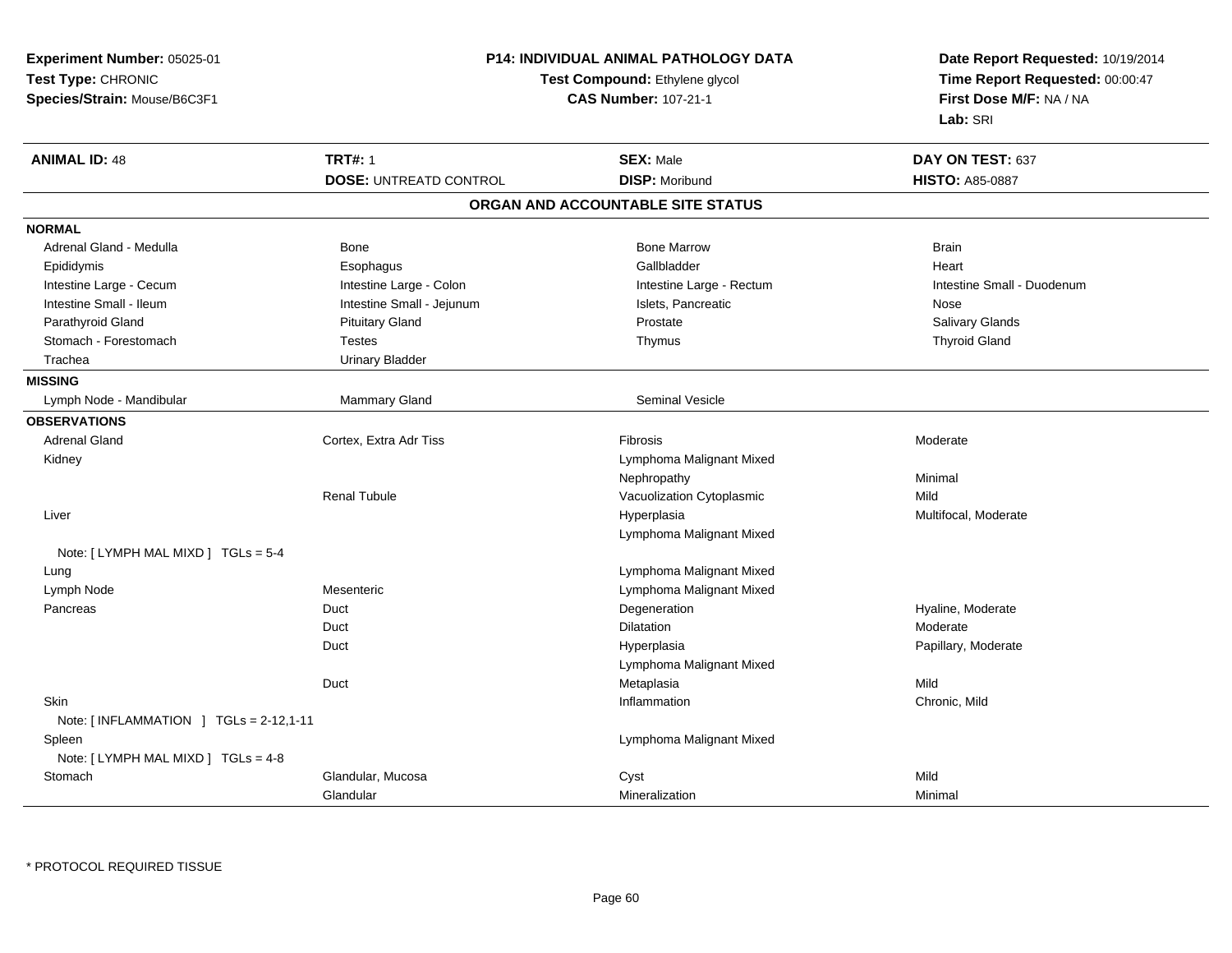| Experiment Number: 05025-01            |                               | P14: INDIVIDUAL ANIMAL PATHOLOGY DATA | Date Report Requested: 10/19/2014<br>Time Report Requested: 00:00:47<br>First Dose M/F: NA / NA |  |
|----------------------------------------|-------------------------------|---------------------------------------|-------------------------------------------------------------------------------------------------|--|
| Test Type: CHRONIC                     |                               | Test Compound: Ethylene glycol        |                                                                                                 |  |
| Species/Strain: Mouse/B6C3F1           |                               | <b>CAS Number: 107-21-1</b>           |                                                                                                 |  |
|                                        |                               |                                       | Lab: SRI                                                                                        |  |
| <b>ANIMAL ID: 48</b>                   | <b>TRT#: 1</b>                | <b>SEX: Male</b>                      | DAY ON TEST: 637                                                                                |  |
|                                        | <b>DOSE: UNTREATD CONTROL</b> | <b>DISP: Moribund</b>                 | <b>HISTO: A85-0887</b>                                                                          |  |
|                                        |                               | ORGAN AND ACCOUNTABLE SITE STATUS     |                                                                                                 |  |
| <b>NORMAL</b>                          |                               |                                       |                                                                                                 |  |
| Adrenal Gland - Medulla                | Bone                          | <b>Bone Marrow</b>                    | <b>Brain</b>                                                                                    |  |
| Epididymis                             | Esophagus                     | Gallbladder                           | Heart                                                                                           |  |
| Intestine Large - Cecum                | Intestine Large - Colon       | Intestine Large - Rectum              | Intestine Small - Duodenum                                                                      |  |
| Intestine Small - Ileum                | Intestine Small - Jejunum     | Islets, Pancreatic                    | Nose                                                                                            |  |
| Parathyroid Gland                      | <b>Pituitary Gland</b>        | Prostate                              | Salivary Glands                                                                                 |  |
| Stomach - Forestomach                  | <b>Testes</b>                 | Thymus                                | <b>Thyroid Gland</b>                                                                            |  |
| Trachea                                | <b>Urinary Bladder</b>        |                                       |                                                                                                 |  |
| <b>MISSING</b>                         |                               |                                       |                                                                                                 |  |
| Lymph Node - Mandibular                | Mammary Gland                 | <b>Seminal Vesicle</b>                |                                                                                                 |  |
| <b>OBSERVATIONS</b>                    |                               |                                       |                                                                                                 |  |
| <b>Adrenal Gland</b>                   | Cortex, Extra Adr Tiss        | Fibrosis                              | Moderate                                                                                        |  |
| Kidney                                 |                               | Lymphoma Malignant Mixed              |                                                                                                 |  |
|                                        |                               | Nephropathy                           | Minimal                                                                                         |  |
|                                        | <b>Renal Tubule</b>           | Vacuolization Cytoplasmic             | Mild                                                                                            |  |
| Liver                                  |                               | Hyperplasia                           | Multifocal, Moderate                                                                            |  |
|                                        |                               | Lymphoma Malignant Mixed              |                                                                                                 |  |
| Note: $[LYMPH MAL MIXD] TGLs = 5-4$    |                               |                                       |                                                                                                 |  |
| Lung                                   |                               | Lymphoma Malignant Mixed              |                                                                                                 |  |
| Lymph Node                             | Mesenteric                    | Lymphoma Malignant Mixed              |                                                                                                 |  |
| Pancreas                               | Duct                          | Degeneration                          | Hyaline, Moderate                                                                               |  |
|                                        | Duct                          | <b>Dilatation</b>                     | Moderate                                                                                        |  |
|                                        | Duct                          | Hyperplasia                           | Papillary, Moderate                                                                             |  |
|                                        |                               | Lymphoma Malignant Mixed              |                                                                                                 |  |
|                                        | Duct                          | Metaplasia                            | Mild                                                                                            |  |
| <b>Skin</b>                            |                               | Inflammation                          | Chronic, Mild                                                                                   |  |
| Note: [INFLAMMATION ] TGLs = 2-12,1-11 |                               |                                       |                                                                                                 |  |
| Spleen                                 |                               | Lymphoma Malignant Mixed              |                                                                                                 |  |
| Note: [ LYMPH MAL MIXD ] TGLs = 4-8    |                               |                                       |                                                                                                 |  |
| Stomach                                | Glandular, Mucosa             | Cyst                                  | Mild                                                                                            |  |
|                                        | Glandular                     | Mineralization                        | Minimal                                                                                         |  |

\* PROTOCOL REQUIRED TISSUE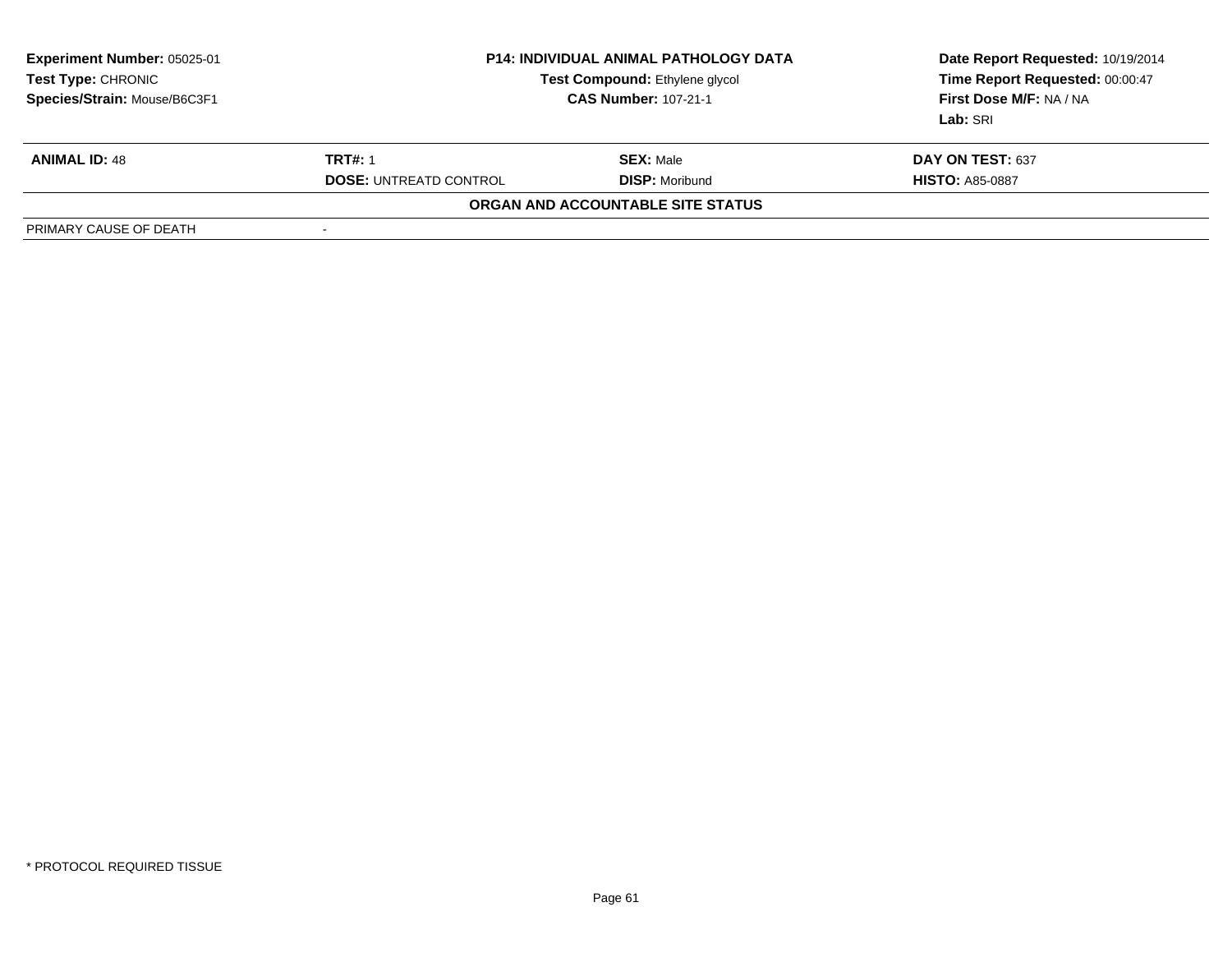| <b>Experiment Number: 05025-01</b><br><b>Test Type: CHRONIC</b><br>Species/Strain: Mouse/B6C3F1 | <b>P14: INDIVIDUAL ANIMAL PATHOLOGY DATA</b><br>Test Compound: Ethylene glycol<br><b>CAS Number: 107-21-1</b> |                                   | Date Report Requested: 10/19/2014<br>Time Report Requested: 00:00:47<br>First Dose M/F: NA / NA<br>Lab: SRI |
|-------------------------------------------------------------------------------------------------|---------------------------------------------------------------------------------------------------------------|-----------------------------------|-------------------------------------------------------------------------------------------------------------|
| <b>ANIMAL ID: 48</b>                                                                            | <b>TRT#: 1</b>                                                                                                | <b>SEX: Male</b>                  | DAY ON TEST: 637                                                                                            |
|                                                                                                 | <b>DOSE: UNTREATD CONTROL</b>                                                                                 | <b>DISP: Moribund</b>             | <b>HISTO: A85-0887</b>                                                                                      |
|                                                                                                 |                                                                                                               | ORGAN AND ACCOUNTABLE SITE STATUS |                                                                                                             |
| PRIMARY CAUSE OF DEATH                                                                          |                                                                                                               |                                   |                                                                                                             |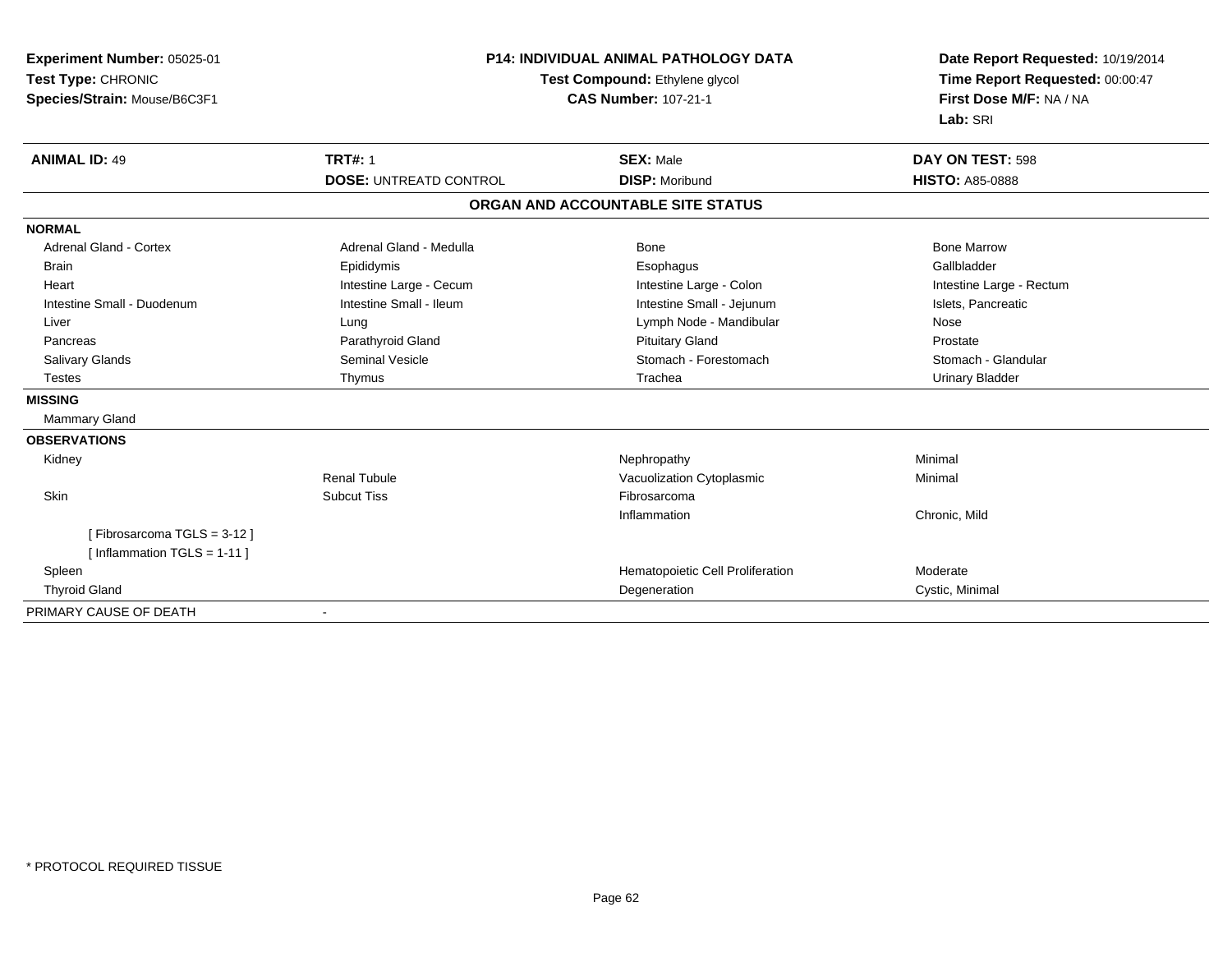| Experiment Number: 05025-01<br>Test Type: CHRONIC<br>Species/Strain: Mouse/B6C3F1 |                               | <b>P14: INDIVIDUAL ANIMAL PATHOLOGY DATA</b><br>Test Compound: Ethylene glycol<br><b>CAS Number: 107-21-1</b> | Date Report Requested: 10/19/2014<br>Time Report Requested: 00:00:47<br>First Dose M/F: NA / NA<br>Lab: SRI |
|-----------------------------------------------------------------------------------|-------------------------------|---------------------------------------------------------------------------------------------------------------|-------------------------------------------------------------------------------------------------------------|
| <b>ANIMAL ID: 49</b>                                                              | <b>TRT#: 1</b>                | <b>SEX: Male</b>                                                                                              | DAY ON TEST: 598                                                                                            |
|                                                                                   | <b>DOSE: UNTREATD CONTROL</b> | <b>DISP: Moribund</b>                                                                                         | <b>HISTO: A85-0888</b>                                                                                      |
|                                                                                   |                               | ORGAN AND ACCOUNTABLE SITE STATUS                                                                             |                                                                                                             |
| <b>NORMAL</b>                                                                     |                               |                                                                                                               |                                                                                                             |
| <b>Adrenal Gland - Cortex</b>                                                     | Adrenal Gland - Medulla       | Bone                                                                                                          | <b>Bone Marrow</b>                                                                                          |
| <b>Brain</b>                                                                      | Epididymis                    | Esophagus                                                                                                     | Gallbladder                                                                                                 |
| Heart                                                                             | Intestine Large - Cecum       | Intestine Large - Colon                                                                                       | Intestine Large - Rectum                                                                                    |
| Intestine Small - Duodenum                                                        | Intestine Small - Ileum       | Intestine Small - Jejunum                                                                                     | Islets, Pancreatic                                                                                          |
| Liver                                                                             | Lung                          | Lymph Node - Mandibular                                                                                       | Nose                                                                                                        |
| Pancreas                                                                          | Parathyroid Gland             | <b>Pituitary Gland</b>                                                                                        | Prostate                                                                                                    |
| <b>Salivary Glands</b>                                                            | <b>Seminal Vesicle</b>        | Stomach - Forestomach                                                                                         | Stomach - Glandular                                                                                         |
| <b>Testes</b>                                                                     | Thymus                        | Trachea                                                                                                       | <b>Urinary Bladder</b>                                                                                      |
| <b>MISSING</b>                                                                    |                               |                                                                                                               |                                                                                                             |
| Mammary Gland                                                                     |                               |                                                                                                               |                                                                                                             |
| <b>OBSERVATIONS</b>                                                               |                               |                                                                                                               |                                                                                                             |
| Kidney                                                                            |                               | Nephropathy                                                                                                   | Minimal                                                                                                     |
|                                                                                   | <b>Renal Tubule</b>           | Vacuolization Cytoplasmic                                                                                     | Minimal                                                                                                     |
| Skin                                                                              | <b>Subcut Tiss</b>            | Fibrosarcoma                                                                                                  |                                                                                                             |
|                                                                                   |                               | Inflammation                                                                                                  | Chronic, Mild                                                                                               |
| [Fibrosarcoma TGLS = 3-12]                                                        |                               |                                                                                                               |                                                                                                             |
| [ Inflammation TGLS = 1-11 ]                                                      |                               |                                                                                                               |                                                                                                             |
| Spleen                                                                            |                               | Hematopoietic Cell Proliferation                                                                              | Moderate                                                                                                    |
| <b>Thyroid Gland</b>                                                              |                               | Degeneration                                                                                                  | Cystic, Minimal                                                                                             |
| PRIMARY CAUSE OF DEATH                                                            |                               |                                                                                                               |                                                                                                             |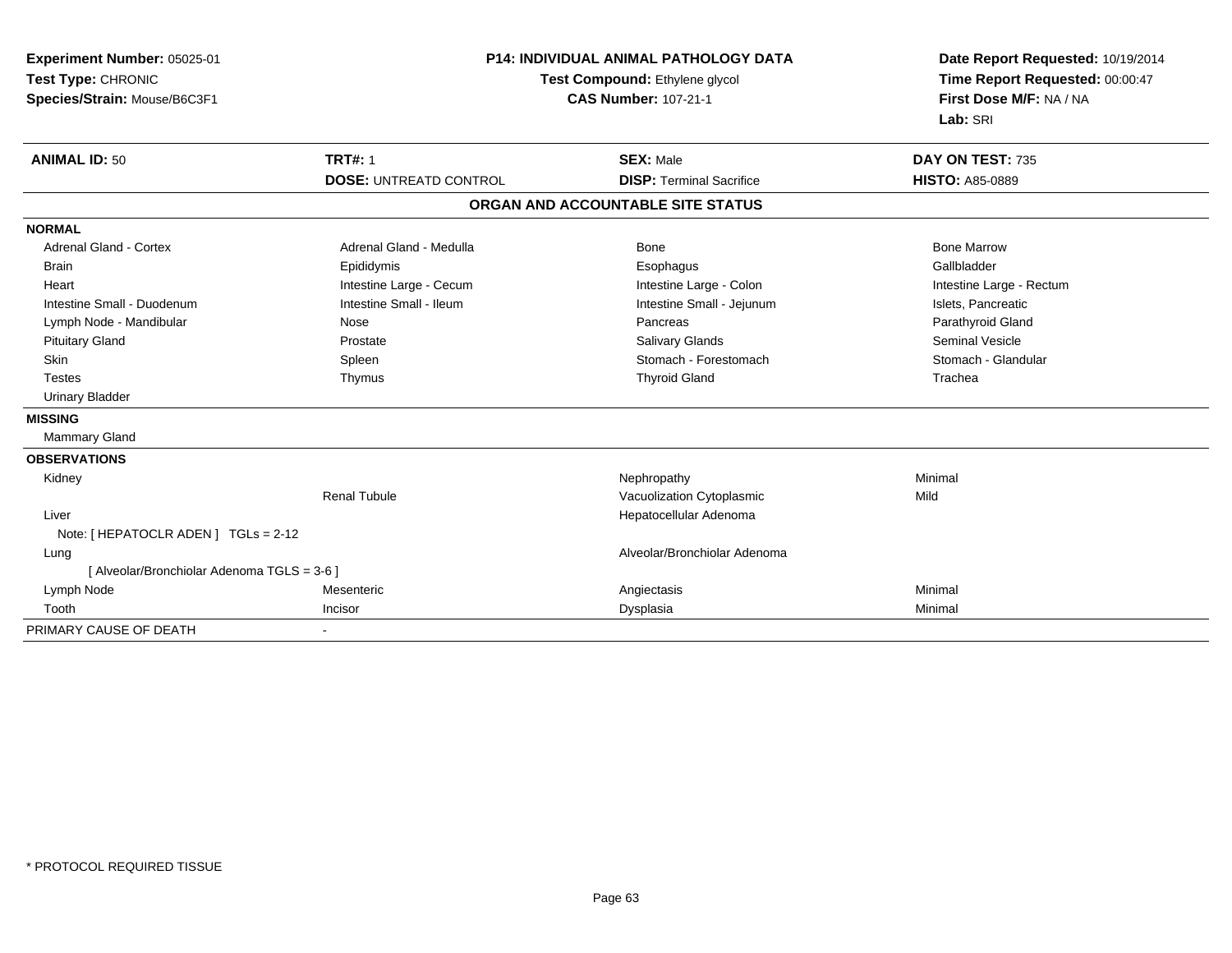| Experiment Number: 05025-01<br>Test Type: CHRONIC<br>Species/Strain: Mouse/B6C3F1 |                               | <b>P14: INDIVIDUAL ANIMAL PATHOLOGY DATA</b><br>Test Compound: Ethylene glycol<br><b>CAS Number: 107-21-1</b> | Date Report Requested: 10/19/2014<br>Time Report Requested: 00:00:47<br>First Dose M/F: NA / NA<br>Lab: SRI |
|-----------------------------------------------------------------------------------|-------------------------------|---------------------------------------------------------------------------------------------------------------|-------------------------------------------------------------------------------------------------------------|
| <b>ANIMAL ID: 50</b>                                                              | <b>TRT#: 1</b>                | <b>SEX: Male</b>                                                                                              | DAY ON TEST: 735                                                                                            |
|                                                                                   | <b>DOSE: UNTREATD CONTROL</b> | <b>DISP: Terminal Sacrifice</b>                                                                               | <b>HISTO: A85-0889</b>                                                                                      |
|                                                                                   |                               | ORGAN AND ACCOUNTABLE SITE STATUS                                                                             |                                                                                                             |
| <b>NORMAL</b>                                                                     |                               |                                                                                                               |                                                                                                             |
| <b>Adrenal Gland - Cortex</b>                                                     | Adrenal Gland - Medulla       | Bone                                                                                                          | <b>Bone Marrow</b>                                                                                          |
| <b>Brain</b>                                                                      | Epididymis                    | Esophagus                                                                                                     | Gallbladder                                                                                                 |
| Heart                                                                             | Intestine Large - Cecum       | Intestine Large - Colon                                                                                       | Intestine Large - Rectum                                                                                    |
| Intestine Small - Duodenum                                                        | Intestine Small - Ileum       | Intestine Small - Jejunum                                                                                     | Islets, Pancreatic                                                                                          |
| Lymph Node - Mandibular                                                           | Nose                          | Pancreas                                                                                                      | Parathyroid Gland                                                                                           |
| <b>Pituitary Gland</b>                                                            | Prostate                      | Salivary Glands                                                                                               | <b>Seminal Vesicle</b>                                                                                      |
| Skin                                                                              | Spleen                        | Stomach - Forestomach                                                                                         | Stomach - Glandular                                                                                         |
| <b>Testes</b>                                                                     | Thymus                        | <b>Thyroid Gland</b>                                                                                          | Trachea                                                                                                     |
| <b>Urinary Bladder</b>                                                            |                               |                                                                                                               |                                                                                                             |
| <b>MISSING</b>                                                                    |                               |                                                                                                               |                                                                                                             |
| <b>Mammary Gland</b>                                                              |                               |                                                                                                               |                                                                                                             |
| <b>OBSERVATIONS</b>                                                               |                               |                                                                                                               |                                                                                                             |
| Kidney                                                                            |                               | Nephropathy                                                                                                   | Minimal                                                                                                     |
|                                                                                   | <b>Renal Tubule</b>           | Vacuolization Cytoplasmic                                                                                     | Mild                                                                                                        |
| Liver                                                                             |                               | Hepatocellular Adenoma                                                                                        |                                                                                                             |
| Note: [ HEPATOCLR ADEN ] TGLs = 2-12                                              |                               |                                                                                                               |                                                                                                             |
| Lung                                                                              |                               | Alveolar/Bronchiolar Adenoma                                                                                  |                                                                                                             |
| [ Alveolar/Bronchiolar Adenoma TGLS = 3-6 ]                                       |                               |                                                                                                               |                                                                                                             |
| Lymph Node                                                                        | Mesenteric                    | Angiectasis                                                                                                   | Minimal                                                                                                     |
| Tooth                                                                             | Incisor                       | Dysplasia                                                                                                     | Minimal                                                                                                     |
| PRIMARY CAUSE OF DEATH                                                            |                               |                                                                                                               |                                                                                                             |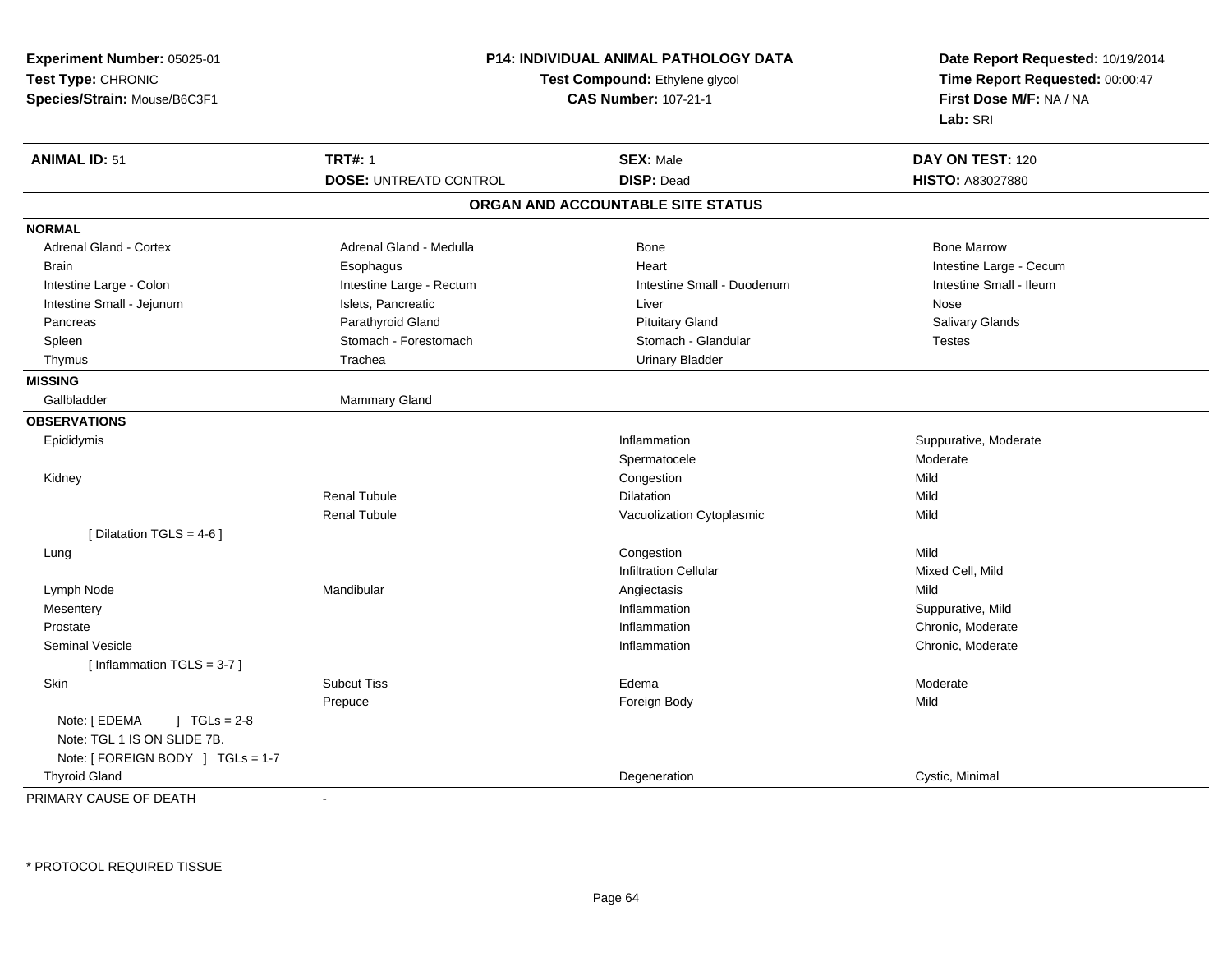| Experiment Number: 05025-01<br>Test Type: CHRONIC<br>Species/Strain: Mouse/B6C3F1                   | <b>P14: INDIVIDUAL ANIMAL PATHOLOGY DATA</b><br>Test Compound: Ethylene glycol<br><b>CAS Number: 107-21-1</b> |                                   | Date Report Requested: 10/19/2014<br>Time Report Requested: 00:00:47<br>First Dose M/F: NA / NA<br>Lab: SRI |
|-----------------------------------------------------------------------------------------------------|---------------------------------------------------------------------------------------------------------------|-----------------------------------|-------------------------------------------------------------------------------------------------------------|
| <b>ANIMAL ID: 51</b>                                                                                | <b>TRT#: 1</b>                                                                                                | <b>SEX: Male</b>                  | DAY ON TEST: 120                                                                                            |
|                                                                                                     | <b>DOSE: UNTREATD CONTROL</b>                                                                                 | <b>DISP: Dead</b>                 | <b>HISTO: A83027880</b>                                                                                     |
|                                                                                                     |                                                                                                               | ORGAN AND ACCOUNTABLE SITE STATUS |                                                                                                             |
| <b>NORMAL</b>                                                                                       |                                                                                                               |                                   |                                                                                                             |
| <b>Adrenal Gland - Cortex</b>                                                                       | Adrenal Gland - Medulla                                                                                       | <b>Bone</b>                       | <b>Bone Marrow</b>                                                                                          |
| Brain                                                                                               | Esophagus                                                                                                     | Heart                             | Intestine Large - Cecum                                                                                     |
| Intestine Large - Colon                                                                             | Intestine Large - Rectum                                                                                      | Intestine Small - Duodenum        | Intestine Small - Ileum                                                                                     |
| Intestine Small - Jejunum                                                                           | Islets, Pancreatic                                                                                            | Liver                             | Nose                                                                                                        |
| Pancreas                                                                                            | Parathyroid Gland                                                                                             | <b>Pituitary Gland</b>            | Salivary Glands                                                                                             |
| Spleen                                                                                              | Stomach - Forestomach                                                                                         | Stomach - Glandular               | <b>Testes</b>                                                                                               |
| Thymus                                                                                              | Trachea                                                                                                       | <b>Urinary Bladder</b>            |                                                                                                             |
| <b>MISSING</b>                                                                                      |                                                                                                               |                                   |                                                                                                             |
| Gallbladder                                                                                         | Mammary Gland                                                                                                 |                                   |                                                                                                             |
| <b>OBSERVATIONS</b>                                                                                 |                                                                                                               |                                   |                                                                                                             |
| Epididymis                                                                                          |                                                                                                               | Inflammation                      | Suppurative, Moderate                                                                                       |
|                                                                                                     |                                                                                                               | Spermatocele                      | Moderate                                                                                                    |
| Kidney                                                                                              |                                                                                                               | Congestion                        | Mild                                                                                                        |
|                                                                                                     | <b>Renal Tubule</b>                                                                                           | Dilatation                        | Mild                                                                                                        |
|                                                                                                     | <b>Renal Tubule</b>                                                                                           | Vacuolization Cytoplasmic         | Mild                                                                                                        |
| [ Dilatation TGLS = $4-6$ ]                                                                         |                                                                                                               |                                   |                                                                                                             |
| Lung                                                                                                |                                                                                                               | Congestion                        | Mild                                                                                                        |
|                                                                                                     |                                                                                                               | <b>Infiltration Cellular</b>      | Mixed Cell, Mild                                                                                            |
| Lymph Node                                                                                          | Mandibular                                                                                                    | Angiectasis                       | Mild                                                                                                        |
| Mesentery                                                                                           |                                                                                                               | Inflammation                      | Suppurative, Mild                                                                                           |
| Prostate                                                                                            |                                                                                                               | Inflammation                      | Chronic, Moderate                                                                                           |
| <b>Seminal Vesicle</b>                                                                              |                                                                                                               | Inflammation                      | Chronic, Moderate                                                                                           |
| [Inflammation TGLS = $3-7$ ]                                                                        |                                                                                                               |                                   |                                                                                                             |
| <b>Skin</b>                                                                                         | <b>Subcut Tiss</b>                                                                                            | Edema                             | Moderate                                                                                                    |
|                                                                                                     | Prepuce                                                                                                       | Foreign Body                      | Mild                                                                                                        |
| Note: [ EDEMA<br>$1 TGLs = 2-8$<br>Note: TGL 1 IS ON SLIDE 7B.<br>Note: [ FOREIGN BODY ] TGLs = 1-7 |                                                                                                               |                                   |                                                                                                             |
| <b>Thyroid Gland</b>                                                                                |                                                                                                               | Degeneration                      | Cystic, Minimal                                                                                             |
|                                                                                                     |                                                                                                               |                                   |                                                                                                             |

PRIMARY CAUSE OF DEATH-

\* PROTOCOL REQUIRED TISSUE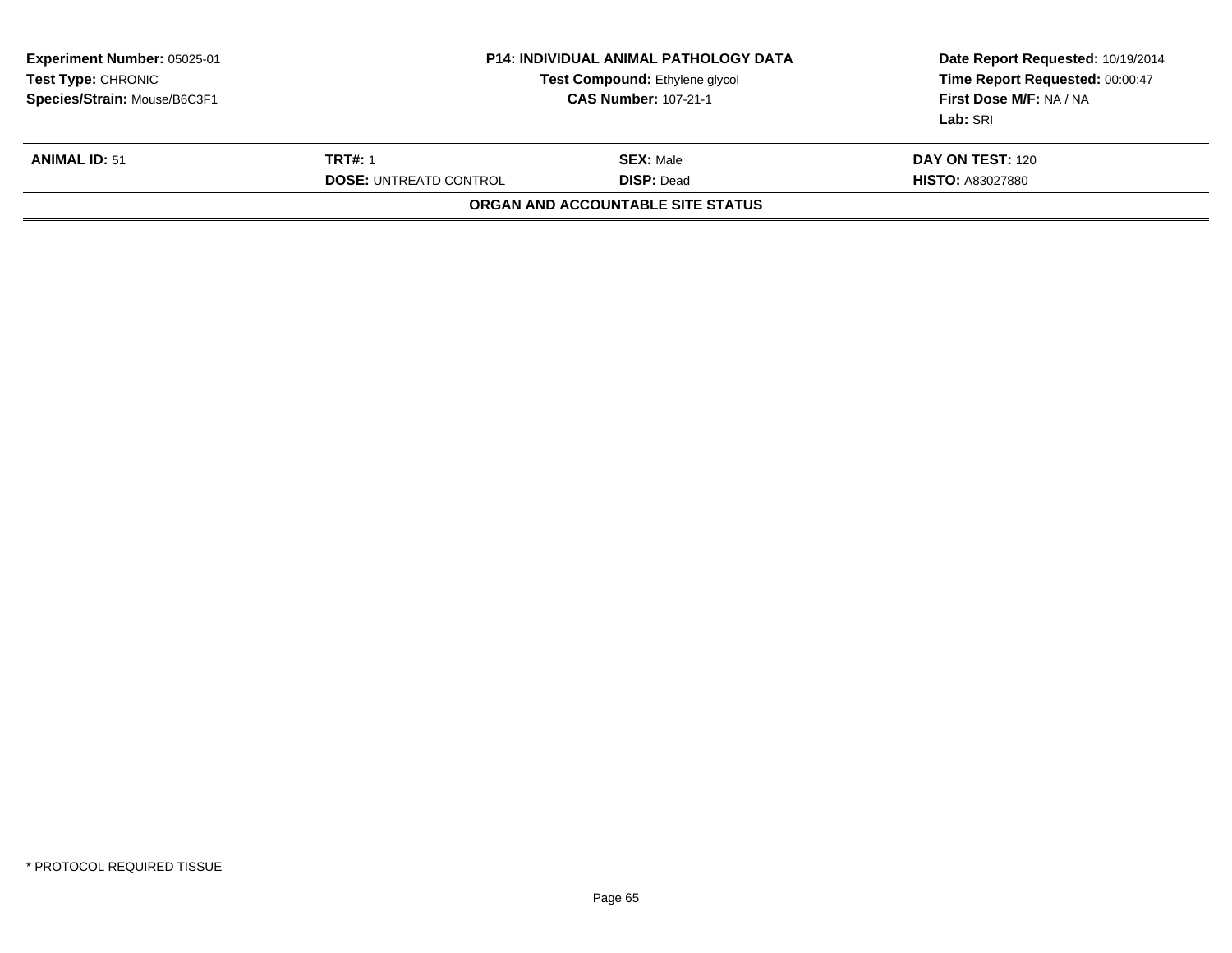| Experiment Number: 05025-01<br>Test Type: CHRONIC<br>Species/Strain: Mouse/B6C3F1 |                                                 | <b>P14: INDIVIDUAL ANIMAL PATHOLOGY DATA</b><br>Test Compound: Ethylene glycol<br><b>CAS Number: 107-21-1</b> | Date Report Requested: 10/19/2014<br>Time Report Requested: 00:00:47<br>First Dose M/F: NA / NA<br>Lab: SRI |
|-----------------------------------------------------------------------------------|-------------------------------------------------|---------------------------------------------------------------------------------------------------------------|-------------------------------------------------------------------------------------------------------------|
| <b>ANIMAL ID: 51</b>                                                              | <b>TRT#: 1</b><br><b>DOSE: UNTREATD CONTROL</b> | <b>SEX: Male</b><br><b>DISP: Dead</b>                                                                         | <b>DAY ON TEST: 120</b><br><b>HISTO: A83027880</b>                                                          |
|                                                                                   |                                                 | <b>ORGAN AND ACCOUNTABLE SITE STATUS</b>                                                                      |                                                                                                             |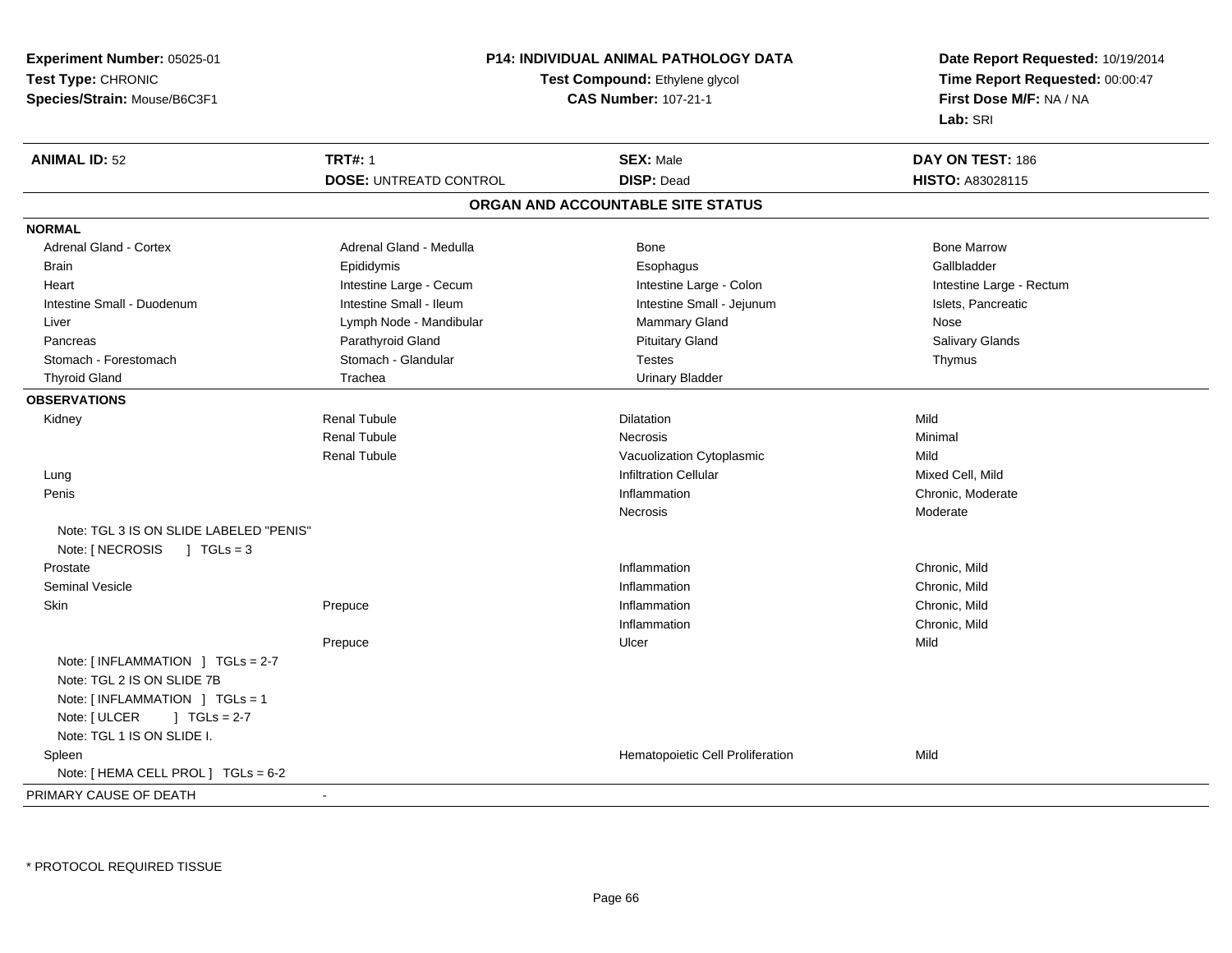| Experiment Number: 05025-01<br>Test Type: CHRONIC |                               | <b>P14: INDIVIDUAL ANIMAL PATHOLOGY DATA</b><br>Test Compound: Ethylene glycol | Date Report Requested: 10/19/2014<br>Time Report Requested: 00:00:47 |  |
|---------------------------------------------------|-------------------------------|--------------------------------------------------------------------------------|----------------------------------------------------------------------|--|
| Species/Strain: Mouse/B6C3F1                      |                               | <b>CAS Number: 107-21-1</b>                                                    | First Dose M/F: NA / NA<br>Lab: SRI                                  |  |
| <b>ANIMAL ID: 52</b>                              | <b>TRT#: 1</b>                | <b>SEX: Male</b>                                                               | DAY ON TEST: 186                                                     |  |
|                                                   | <b>DOSE: UNTREATD CONTROL</b> | <b>DISP: Dead</b>                                                              | HISTO: A83028115                                                     |  |
|                                                   |                               | ORGAN AND ACCOUNTABLE SITE STATUS                                              |                                                                      |  |
| <b>NORMAL</b>                                     |                               |                                                                                |                                                                      |  |
| Adrenal Gland - Cortex                            | Adrenal Gland - Medulla       | <b>Bone</b>                                                                    | <b>Bone Marrow</b>                                                   |  |
| Brain                                             | Epididymis                    | Esophagus                                                                      | Gallbladder                                                          |  |
| Heart                                             | Intestine Large - Cecum       | Intestine Large - Colon                                                        | Intestine Large - Rectum                                             |  |
| Intestine Small - Duodenum                        | Intestine Small - Ileum       | Intestine Small - Jejunum                                                      | Islets, Pancreatic                                                   |  |
| Liver                                             | Lymph Node - Mandibular       | Mammary Gland                                                                  | Nose                                                                 |  |
| Pancreas                                          | Parathyroid Gland             | <b>Pituitary Gland</b>                                                         | Salivary Glands                                                      |  |
| Stomach - Forestomach                             | Stomach - Glandular           | <b>Testes</b>                                                                  | Thymus                                                               |  |
| <b>Thyroid Gland</b>                              | Trachea                       | <b>Urinary Bladder</b>                                                         |                                                                      |  |
| <b>OBSERVATIONS</b>                               |                               |                                                                                |                                                                      |  |
| Kidney                                            | <b>Renal Tubule</b>           | Dilatation                                                                     | Mild                                                                 |  |
|                                                   | <b>Renal Tubule</b>           | Necrosis                                                                       | Minimal                                                              |  |
|                                                   | <b>Renal Tubule</b>           | Vacuolization Cytoplasmic                                                      | Mild                                                                 |  |
| Lung                                              |                               | <b>Infiltration Cellular</b>                                                   | Mixed Cell, Mild                                                     |  |
| Penis                                             |                               | Inflammation                                                                   | Chronic, Moderate                                                    |  |
|                                                   |                               | Necrosis                                                                       | Moderate                                                             |  |
| Note: TGL 3 IS ON SLIDE LABELED "PENIS"           |                               |                                                                                |                                                                      |  |
| Note: [ NECROSIS<br>$\sqrt{1}$ TGLs = 3           |                               |                                                                                |                                                                      |  |
| Prostate                                          |                               | Inflammation                                                                   | Chronic, Mild                                                        |  |
| <b>Seminal Vesicle</b>                            |                               | Inflammation                                                                   | Chronic, Mild                                                        |  |
| Skin                                              | Prepuce                       | Inflammation                                                                   | Chronic, Mild                                                        |  |
|                                                   |                               | Inflammation                                                                   | Chronic, Mild                                                        |  |
|                                                   | Prepuce                       | Ulcer                                                                          | Mild                                                                 |  |
| Note: [INFLAMMATION ] TGLs = 2-7                  |                               |                                                                                |                                                                      |  |
| Note: TGL 2 IS ON SLIDE 7B                        |                               |                                                                                |                                                                      |  |
| Note: [INFLAMMATION ] TGLs = 1                    |                               |                                                                                |                                                                      |  |
| Note: [ ULCER<br>$J \cdot TGLs = 2-7$             |                               |                                                                                |                                                                      |  |
| Note: TGL 1 IS ON SLIDE I.                        |                               |                                                                                |                                                                      |  |
| Spleen                                            |                               | Hematopoietic Cell Proliferation                                               | Mild                                                                 |  |
| Note: [ HEMA CELL PROL ] TGLs = 6-2               |                               |                                                                                |                                                                      |  |
| PRIMARY CAUSE OF DEATH                            | $\blacksquare$                |                                                                                |                                                                      |  |
|                                                   |                               |                                                                                |                                                                      |  |

\* PROTOCOL REQUIRED TISSUE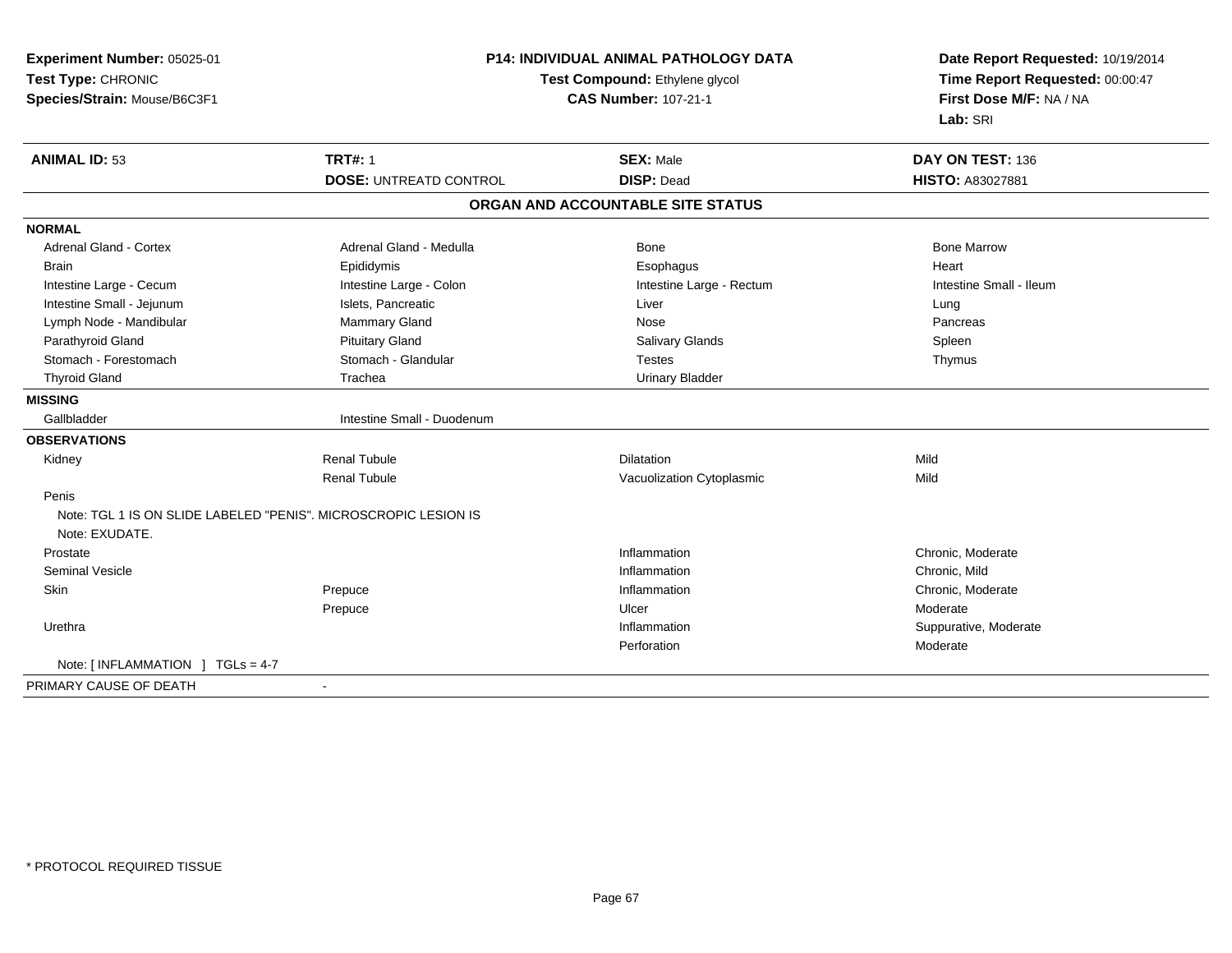| Experiment Number: 05025-01<br>Test Type: CHRONIC<br>Species/Strain: Mouse/B6C3F1 | <b>P14: INDIVIDUAL ANIMAL PATHOLOGY DATA</b><br>Test Compound: Ethylene glycol<br><b>CAS Number: 107-21-1</b> |                                       | Date Report Requested: 10/19/2014<br>Time Report Requested: 00:00:47<br>First Dose M/F: NA / NA<br>Lab: SRI |
|-----------------------------------------------------------------------------------|---------------------------------------------------------------------------------------------------------------|---------------------------------------|-------------------------------------------------------------------------------------------------------------|
| <b>ANIMAL ID: 53</b>                                                              | <b>TRT#: 1</b><br><b>DOSE: UNTREATD CONTROL</b>                                                               | <b>SEX: Male</b><br><b>DISP: Dead</b> | DAY ON TEST: 136<br><b>HISTO: A83027881</b>                                                                 |
|                                                                                   |                                                                                                               |                                       |                                                                                                             |
|                                                                                   |                                                                                                               | ORGAN AND ACCOUNTABLE SITE STATUS     |                                                                                                             |
| <b>NORMAL</b>                                                                     |                                                                                                               |                                       |                                                                                                             |
| <b>Adrenal Gland - Cortex</b>                                                     | Adrenal Gland - Medulla                                                                                       | Bone                                  | <b>Bone Marrow</b>                                                                                          |
| <b>Brain</b>                                                                      | Epididymis                                                                                                    | Esophagus                             | Heart                                                                                                       |
| Intestine Large - Cecum                                                           | Intestine Large - Colon                                                                                       | Intestine Large - Rectum              | Intestine Small - Ileum                                                                                     |
| Intestine Small - Jejunum                                                         | Islets, Pancreatic                                                                                            | Liver                                 | Lung                                                                                                        |
| Lymph Node - Mandibular                                                           | <b>Mammary Gland</b>                                                                                          | Nose                                  | Pancreas                                                                                                    |
| Parathyroid Gland                                                                 | <b>Pituitary Gland</b>                                                                                        | <b>Salivary Glands</b>                | Spleen                                                                                                      |
| Stomach - Forestomach                                                             | Stomach - Glandular                                                                                           | <b>Testes</b>                         | Thymus                                                                                                      |
| <b>Thyroid Gland</b>                                                              | Trachea                                                                                                       | <b>Urinary Bladder</b>                |                                                                                                             |
| <b>MISSING</b>                                                                    |                                                                                                               |                                       |                                                                                                             |
| Gallbladder                                                                       | Intestine Small - Duodenum                                                                                    |                                       |                                                                                                             |
| <b>OBSERVATIONS</b>                                                               |                                                                                                               |                                       |                                                                                                             |
| Kidney                                                                            | <b>Renal Tubule</b>                                                                                           | <b>Dilatation</b>                     | Mild                                                                                                        |
|                                                                                   | <b>Renal Tubule</b>                                                                                           | Vacuolization Cytoplasmic             | Mild                                                                                                        |
| Penis                                                                             |                                                                                                               |                                       |                                                                                                             |
| Note: TGL 1 IS ON SLIDE LABELED "PENIS". MICROSCROPIC LESION IS<br>Note: EXUDATE. |                                                                                                               |                                       |                                                                                                             |
| Prostate                                                                          |                                                                                                               | Inflammation                          | Chronic, Moderate                                                                                           |
| <b>Seminal Vesicle</b>                                                            |                                                                                                               | Inflammation                          | Chronic, Mild                                                                                               |
| Skin                                                                              | Prepuce                                                                                                       | Inflammation                          | Chronic, Moderate                                                                                           |
|                                                                                   | Prepuce                                                                                                       | Ulcer                                 | Moderate                                                                                                    |
| Urethra                                                                           |                                                                                                               | Inflammation                          | Suppurative, Moderate                                                                                       |
|                                                                                   |                                                                                                               | Perforation                           | Moderate                                                                                                    |
| Note: [ INFLAMMATION ] TGLs = 4-7                                                 |                                                                                                               |                                       |                                                                                                             |
| PRIMARY CAUSE OF DEATH                                                            | $\blacksquare$                                                                                                |                                       |                                                                                                             |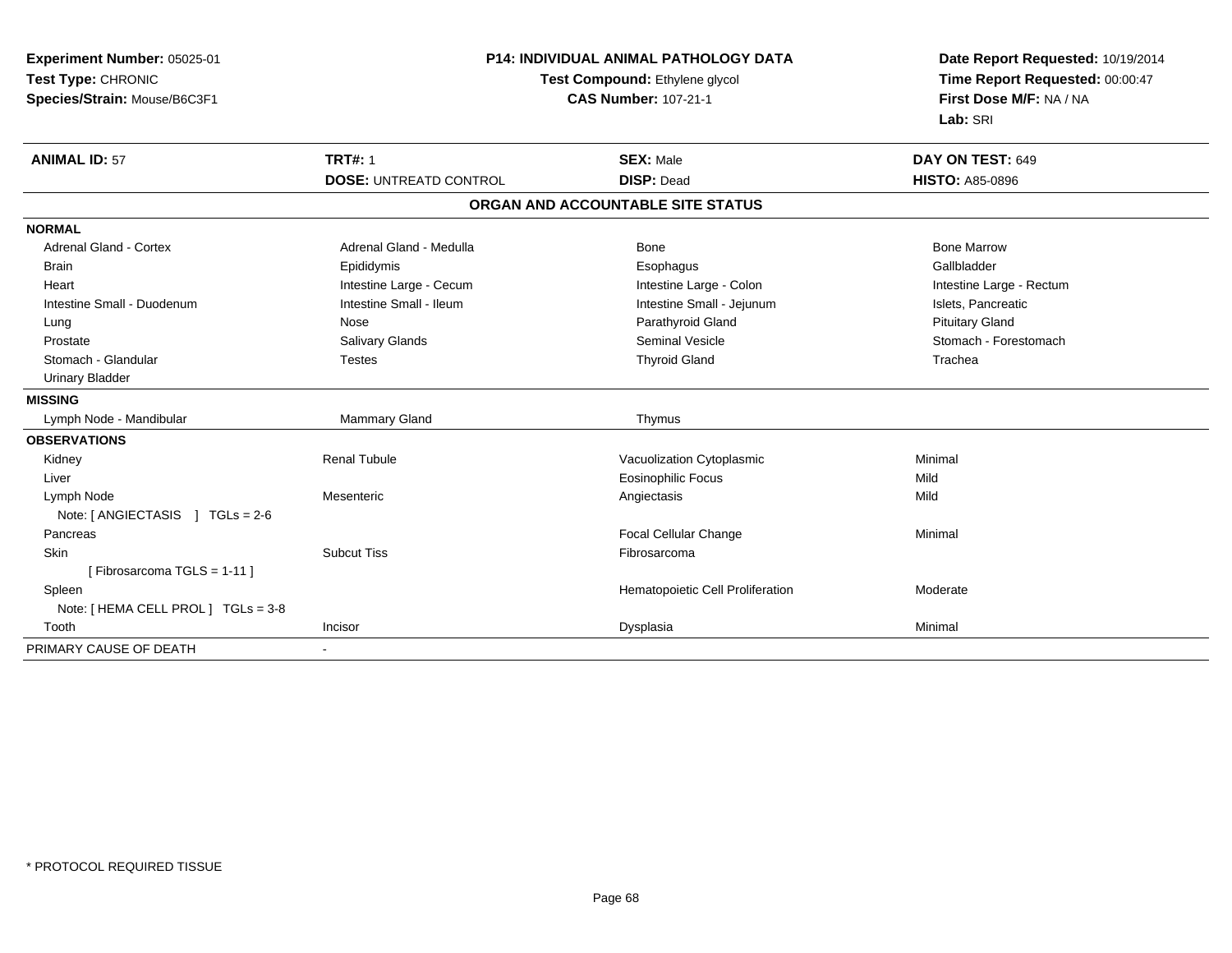| Experiment Number: 05025-01         | P14: INDIVIDUAL ANIMAL PATHOLOGY DATA<br>Test Compound: Ethylene glycol |                                   | Date Report Requested: 10/19/2014 |  |
|-------------------------------------|-------------------------------------------------------------------------|-----------------------------------|-----------------------------------|--|
| Test Type: CHRONIC                  |                                                                         |                                   | Time Report Requested: 00:00:47   |  |
| Species/Strain: Mouse/B6C3F1        |                                                                         | <b>CAS Number: 107-21-1</b>       | First Dose M/F: NA / NA           |  |
|                                     |                                                                         |                                   | Lab: SRI                          |  |
| <b>ANIMAL ID: 57</b>                | <b>TRT#: 1</b>                                                          | <b>SEX: Male</b>                  | DAY ON TEST: 649                  |  |
|                                     | <b>DOSE: UNTREATD CONTROL</b>                                           | <b>DISP: Dead</b>                 | <b>HISTO: A85-0896</b>            |  |
|                                     |                                                                         | ORGAN AND ACCOUNTABLE SITE STATUS |                                   |  |
| <b>NORMAL</b>                       |                                                                         |                                   |                                   |  |
| Adrenal Gland - Cortex              | Adrenal Gland - Medulla                                                 | <b>Bone</b>                       | <b>Bone Marrow</b>                |  |
| <b>Brain</b>                        | Epididymis                                                              | Esophagus                         | Gallbladder                       |  |
| Heart                               | Intestine Large - Cecum                                                 | Intestine Large - Colon           | Intestine Large - Rectum          |  |
| Intestine Small - Duodenum          | Intestine Small - Ileum                                                 | Intestine Small - Jejunum         | Islets, Pancreatic                |  |
| Lung                                | Nose                                                                    | Parathyroid Gland                 | <b>Pituitary Gland</b>            |  |
| Prostate                            | Salivary Glands                                                         | Seminal Vesicle                   | Stomach - Forestomach             |  |
| Stomach - Glandular                 | <b>Testes</b>                                                           | <b>Thyroid Gland</b>              | Trachea                           |  |
| <b>Urinary Bladder</b>              |                                                                         |                                   |                                   |  |
| <b>MISSING</b>                      |                                                                         |                                   |                                   |  |
| Lymph Node - Mandibular             | <b>Mammary Gland</b>                                                    | Thymus                            |                                   |  |
| <b>OBSERVATIONS</b>                 |                                                                         |                                   |                                   |  |
| Kidney                              | <b>Renal Tubule</b>                                                     | Vacuolization Cytoplasmic         | Minimal                           |  |
| Liver                               |                                                                         | <b>Eosinophilic Focus</b>         | Mild                              |  |
| Lymph Node                          | Mesenteric                                                              | Angiectasis                       | Mild                              |  |
| Note: [ANGIECTASIS ] TGLs = 2-6     |                                                                         |                                   |                                   |  |
| Pancreas                            |                                                                         | Focal Cellular Change             | Minimal                           |  |
| Skin                                | <b>Subcut Tiss</b>                                                      | Fibrosarcoma                      |                                   |  |
| [Fibrosarcoma TGLS = $1-11$ ]       |                                                                         |                                   |                                   |  |
| Spleen                              |                                                                         | Hematopoietic Cell Proliferation  | Moderate                          |  |
| Note: [ HEMA CELL PROL ] TGLs = 3-8 |                                                                         |                                   |                                   |  |
| Tooth                               | Incisor                                                                 | Dysplasia                         | Minimal                           |  |
| PRIMARY CAUSE OF DEATH              |                                                                         |                                   |                                   |  |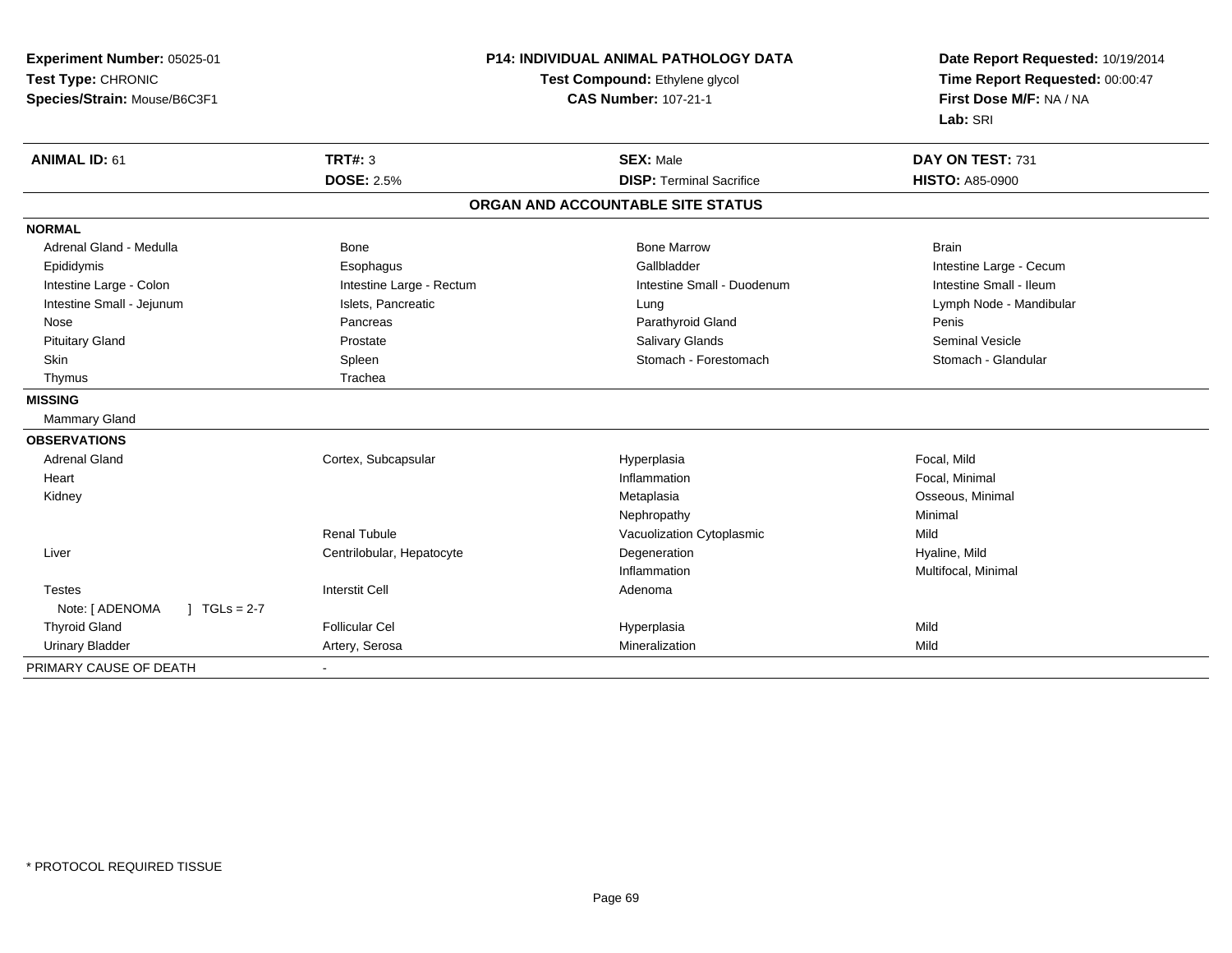| Experiment Number: 05025-01     | <b>P14: INDIVIDUAL ANIMAL PATHOLOGY DATA</b><br>Test Compound: Ethylene glycol |                                   | Date Report Requested: 10/19/2014 |
|---------------------------------|--------------------------------------------------------------------------------|-----------------------------------|-----------------------------------|
| Test Type: CHRONIC              |                                                                                |                                   | Time Report Requested: 00:00:47   |
| Species/Strain: Mouse/B6C3F1    | <b>CAS Number: 107-21-1</b>                                                    |                                   | First Dose M/F: NA / NA           |
|                                 |                                                                                |                                   | Lab: SRI                          |
| <b>ANIMAL ID: 61</b>            | <b>TRT#: 3</b>                                                                 | <b>SEX: Male</b>                  | DAY ON TEST: 731                  |
|                                 | <b>DOSE: 2.5%</b>                                                              | <b>DISP: Terminal Sacrifice</b>   | <b>HISTO: A85-0900</b>            |
|                                 |                                                                                | ORGAN AND ACCOUNTABLE SITE STATUS |                                   |
| <b>NORMAL</b>                   |                                                                                |                                   |                                   |
| Adrenal Gland - Medulla         | Bone                                                                           | <b>Bone Marrow</b>                | <b>Brain</b>                      |
| Epididymis                      | Esophagus                                                                      | Gallbladder                       | Intestine Large - Cecum           |
| Intestine Large - Colon         | Intestine Large - Rectum                                                       | Intestine Small - Duodenum        | Intestine Small - Ileum           |
| Intestine Small - Jejunum       | Islets, Pancreatic                                                             | Lung                              | Lymph Node - Mandibular           |
| Nose                            | Pancreas                                                                       | Parathyroid Gland                 | Penis                             |
| <b>Pituitary Gland</b>          | Prostate                                                                       | Salivary Glands                   | <b>Seminal Vesicle</b>            |
| <b>Skin</b>                     | Spleen                                                                         | Stomach - Forestomach             | Stomach - Glandular               |
| Thymus                          | Trachea                                                                        |                                   |                                   |
| <b>MISSING</b>                  |                                                                                |                                   |                                   |
| Mammary Gland                   |                                                                                |                                   |                                   |
| <b>OBSERVATIONS</b>             |                                                                                |                                   |                                   |
| <b>Adrenal Gland</b>            | Cortex, Subcapsular                                                            | Hyperplasia                       | Focal, Mild                       |
| Heart                           |                                                                                | Inflammation                      | Focal, Minimal                    |
| Kidney                          |                                                                                | Metaplasia                        | Osseous, Minimal                  |
|                                 |                                                                                | Nephropathy                       | Minimal                           |
|                                 | Renal Tubule                                                                   | Vacuolization Cytoplasmic         | Mild                              |
| Liver                           | Centrilobular, Hepatocyte                                                      | Degeneration                      | Hyaline, Mild                     |
|                                 |                                                                                | Inflammation                      | Multifocal, Minimal               |
| <b>Testes</b>                   | <b>Interstit Cell</b>                                                          | Adenoma                           |                                   |
| Note: [ ADENOMA<br>$TGLs = 2-7$ |                                                                                |                                   |                                   |
| <b>Thyroid Gland</b>            | <b>Follicular Cel</b>                                                          | Hyperplasia                       | Mild                              |
| <b>Urinary Bladder</b>          | Artery, Serosa                                                                 | Mineralization                    | Mild                              |
| PRIMARY CAUSE OF DEATH          | $\blacksquare$                                                                 |                                   |                                   |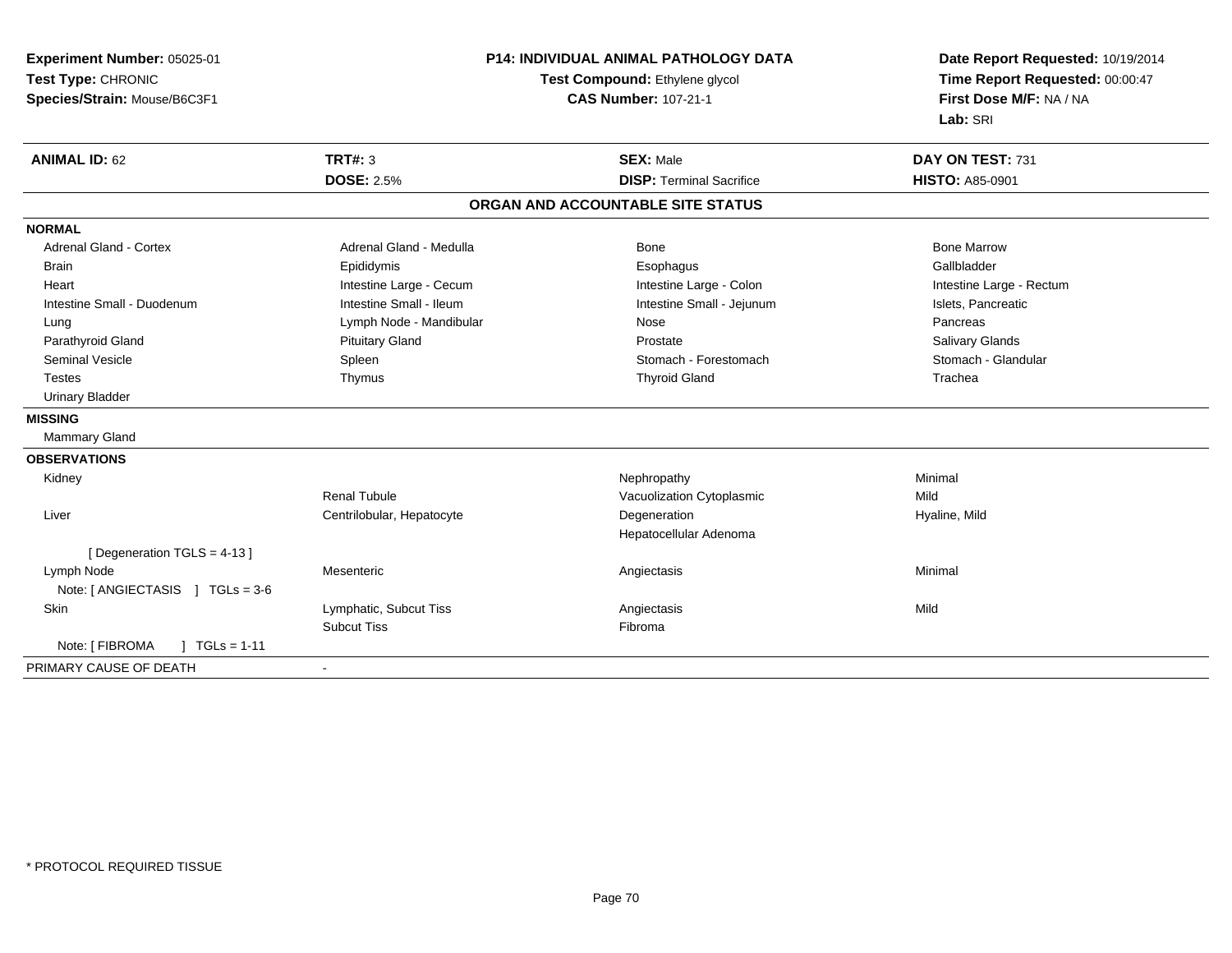| Experiment Number: 05025-01        | <b>P14: INDIVIDUAL ANIMAL PATHOLOGY DATA</b><br>Test Compound: Ethylene glycol |                                   | Date Report Requested: 10/19/2014<br>Time Report Requested: 00:00:47 |
|------------------------------------|--------------------------------------------------------------------------------|-----------------------------------|----------------------------------------------------------------------|
| Test Type: CHRONIC                 |                                                                                |                                   |                                                                      |
| Species/Strain: Mouse/B6C3F1       | <b>CAS Number: 107-21-1</b>                                                    |                                   | First Dose M/F: NA / NA                                              |
|                                    |                                                                                |                                   | Lab: SRI                                                             |
| <b>ANIMAL ID: 62</b>               | TRT#: 3                                                                        | <b>SEX: Male</b>                  | DAY ON TEST: 731                                                     |
|                                    | <b>DOSE: 2.5%</b>                                                              | <b>DISP: Terminal Sacrifice</b>   | <b>HISTO: A85-0901</b>                                               |
|                                    |                                                                                | ORGAN AND ACCOUNTABLE SITE STATUS |                                                                      |
| <b>NORMAL</b>                      |                                                                                |                                   |                                                                      |
| Adrenal Gland - Cortex             | Adrenal Gland - Medulla                                                        | Bone                              | <b>Bone Marrow</b>                                                   |
| <b>Brain</b>                       | Epididymis                                                                     | Esophagus                         | Gallbladder                                                          |
| Heart                              | Intestine Large - Cecum                                                        | Intestine Large - Colon           | Intestine Large - Rectum                                             |
| Intestine Small - Duodenum         | Intestine Small - Ileum                                                        | Intestine Small - Jejunum         | Islets, Pancreatic                                                   |
| Lung                               | Lymph Node - Mandibular                                                        | Nose                              | Pancreas                                                             |
| Parathyroid Gland                  | <b>Pituitary Gland</b>                                                         | Prostate                          | Salivary Glands                                                      |
| <b>Seminal Vesicle</b>             | Spleen                                                                         | Stomach - Forestomach             | Stomach - Glandular                                                  |
| <b>Testes</b>                      | Thymus                                                                         | <b>Thyroid Gland</b>              | Trachea                                                              |
| <b>Urinary Bladder</b>             |                                                                                |                                   |                                                                      |
| <b>MISSING</b>                     |                                                                                |                                   |                                                                      |
| Mammary Gland                      |                                                                                |                                   |                                                                      |
| <b>OBSERVATIONS</b>                |                                                                                |                                   |                                                                      |
| Kidney                             |                                                                                | Nephropathy                       | Minimal                                                              |
|                                    | <b>Renal Tubule</b>                                                            | Vacuolization Cytoplasmic         | Mild                                                                 |
| Liver                              | Centrilobular, Hepatocyte                                                      | Degeneration                      | Hyaline, Mild                                                        |
|                                    |                                                                                | Hepatocellular Adenoma            |                                                                      |
| [Degeneration TGLS = 4-13]         |                                                                                |                                   |                                                                      |
| Lymph Node                         | Mesenteric                                                                     | Angiectasis                       | Minimal                                                              |
| Note: [ ANGIECTASIS ] TGLs = 3-6   |                                                                                |                                   |                                                                      |
| Skin                               | Lymphatic, Subcut Tiss                                                         | Angiectasis                       | Mild                                                                 |
|                                    | <b>Subcut Tiss</b>                                                             | Fibroma                           |                                                                      |
| Note: [ FIBROMA<br>$1 TGLs = 1-11$ |                                                                                |                                   |                                                                      |
| PRIMARY CAUSE OF DEATH             |                                                                                |                                   |                                                                      |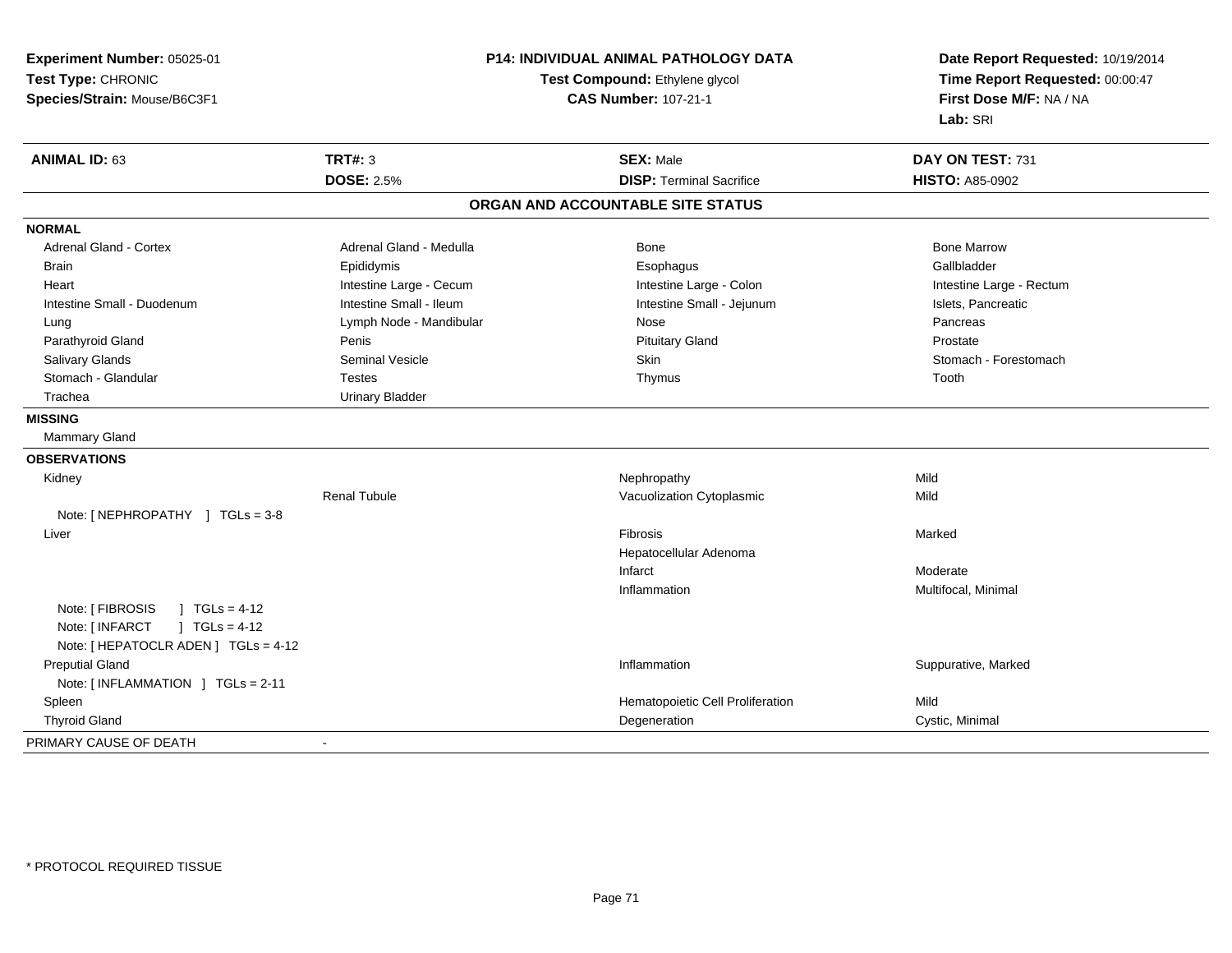| Experiment Number: 05025-01<br>Test Type: CHRONIC<br>Species/Strain: Mouse/B6C3F1                                        |                         | <b>P14: INDIVIDUAL ANIMAL PATHOLOGY DATA</b><br>Test Compound: Ethylene glycol<br><b>CAS Number: 107-21-1</b> | Date Report Requested: 10/19/2014<br>Time Report Requested: 00:00:47<br>First Dose M/F: NA / NA<br>Lab: SRI |
|--------------------------------------------------------------------------------------------------------------------------|-------------------------|---------------------------------------------------------------------------------------------------------------|-------------------------------------------------------------------------------------------------------------|
| <b>ANIMAL ID: 63</b>                                                                                                     | <b>TRT#: 3</b>          | <b>SEX: Male</b>                                                                                              | DAY ON TEST: 731                                                                                            |
|                                                                                                                          | <b>DOSE: 2.5%</b>       | <b>DISP: Terminal Sacrifice</b>                                                                               | <b>HISTO: A85-0902</b>                                                                                      |
|                                                                                                                          |                         | ORGAN AND ACCOUNTABLE SITE STATUS                                                                             |                                                                                                             |
| <b>NORMAL</b>                                                                                                            |                         |                                                                                                               |                                                                                                             |
| <b>Adrenal Gland - Cortex</b>                                                                                            | Adrenal Gland - Medulla | Bone                                                                                                          | <b>Bone Marrow</b>                                                                                          |
| <b>Brain</b>                                                                                                             | Epididymis              | Esophagus                                                                                                     | Gallbladder                                                                                                 |
| Heart                                                                                                                    | Intestine Large - Cecum | Intestine Large - Colon                                                                                       | Intestine Large - Rectum                                                                                    |
| Intestine Small - Duodenum                                                                                               | Intestine Small - Ileum | Intestine Small - Jejunum                                                                                     | Islets, Pancreatic                                                                                          |
| Lung                                                                                                                     | Lymph Node - Mandibular | Nose                                                                                                          | Pancreas                                                                                                    |
| Parathyroid Gland                                                                                                        | Penis                   | <b>Pituitary Gland</b>                                                                                        | Prostate                                                                                                    |
| Salivary Glands                                                                                                          | <b>Seminal Vesicle</b>  | Skin                                                                                                          | Stomach - Forestomach                                                                                       |
| Stomach - Glandular                                                                                                      | <b>Testes</b>           | Thymus                                                                                                        | Tooth                                                                                                       |
| Trachea                                                                                                                  | <b>Urinary Bladder</b>  |                                                                                                               |                                                                                                             |
| <b>MISSING</b>                                                                                                           |                         |                                                                                                               |                                                                                                             |
| <b>Mammary Gland</b>                                                                                                     |                         |                                                                                                               |                                                                                                             |
| <b>OBSERVATIONS</b>                                                                                                      |                         |                                                                                                               |                                                                                                             |
| Kidney                                                                                                                   |                         | Nephropathy                                                                                                   | Mild                                                                                                        |
|                                                                                                                          | <b>Renal Tubule</b>     | Vacuolization Cytoplasmic                                                                                     | Mild                                                                                                        |
| Note: [NEPHROPATHY ] TGLs = 3-8                                                                                          |                         |                                                                                                               |                                                                                                             |
| Liver                                                                                                                    |                         | Fibrosis                                                                                                      | Marked                                                                                                      |
|                                                                                                                          |                         | Hepatocellular Adenoma                                                                                        |                                                                                                             |
|                                                                                                                          |                         | Infarct                                                                                                       | Moderate                                                                                                    |
|                                                                                                                          |                         | Inflammation                                                                                                  | Multifocal, Minimal                                                                                         |
| Note: [ FIBROSIS<br>$\sqrt{ }$ TGLs = 4-12<br>$J TGLs = 4-12$<br>Note: [ INFARCT<br>Note: [ HEPATOCLR ADEN ] TGLs = 4-12 |                         |                                                                                                               |                                                                                                             |
| <b>Preputial Gland</b>                                                                                                   |                         | Inflammation                                                                                                  | Suppurative, Marked                                                                                         |
| Note: [INFLAMMATION ] TGLs = 2-11                                                                                        |                         |                                                                                                               |                                                                                                             |
| Spleen                                                                                                                   |                         | Hematopoietic Cell Proliferation                                                                              | Mild                                                                                                        |
| <b>Thyroid Gland</b>                                                                                                     |                         | Degeneration                                                                                                  | Cystic, Minimal                                                                                             |
| PRIMARY CAUSE OF DEATH                                                                                                   | $\mathbf{r}$            |                                                                                                               |                                                                                                             |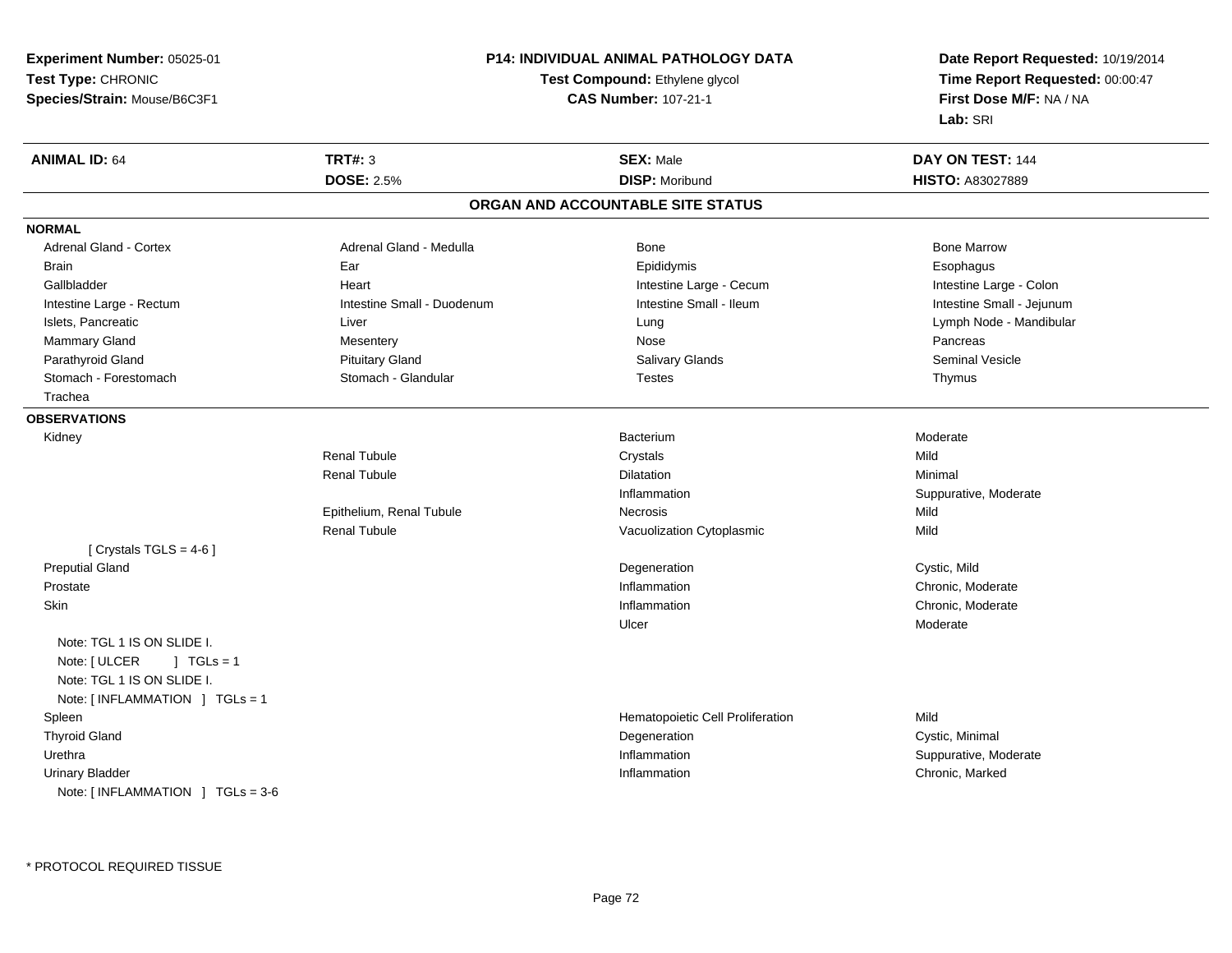**Experiment Number:** 05025-01**Test Type:** CHRONIC**Species/Strain:** Mouse/B6C3F1

## **P14: INDIVIDUAL ANIMAL PATHOLOGY DATA**

## **Test Compound:** Ethylene glycol **CAS Number:** 107-21-1

**Date Report Requested:** 10/19/2014**Time Report Requested:** 00:00:47**First Dose M/F:** NA / NA**Lab:** SRI

| <b>ANIMAL ID: 64</b>             | <b>TRT#: 3</b>             | <b>SEX: Male</b>                  | DAY ON TEST: 144          |
|----------------------------------|----------------------------|-----------------------------------|---------------------------|
|                                  | <b>DOSE: 2.5%</b>          | <b>DISP: Moribund</b>             | <b>HISTO: A83027889</b>   |
|                                  |                            | ORGAN AND ACCOUNTABLE SITE STATUS |                           |
| <b>NORMAL</b>                    |                            |                                   |                           |
| <b>Adrenal Gland - Cortex</b>    | Adrenal Gland - Medulla    | Bone                              | <b>Bone Marrow</b>        |
| <b>Brain</b>                     | Ear                        | Epididymis                        | Esophagus                 |
| Gallbladder                      | Heart                      | Intestine Large - Cecum           | Intestine Large - Colon   |
| Intestine Large - Rectum         | Intestine Small - Duodenum | Intestine Small - Ileum           | Intestine Small - Jejunum |
| Islets, Pancreatic               | Liver                      | Lung                              | Lymph Node - Mandibular   |
| Mammary Gland                    | Mesentery                  | Nose                              | Pancreas                  |
| Parathyroid Gland                | <b>Pituitary Gland</b>     | <b>Salivary Glands</b>            | <b>Seminal Vesicle</b>    |
| Stomach - Forestomach            | Stomach - Glandular        | <b>Testes</b>                     | Thymus                    |
| Trachea                          |                            |                                   |                           |
| <b>OBSERVATIONS</b>              |                            |                                   |                           |
| Kidney                           |                            | <b>Bacterium</b>                  | Moderate                  |
|                                  | <b>Renal Tubule</b>        | Crystals                          | Mild                      |
|                                  | <b>Renal Tubule</b>        | <b>Dilatation</b>                 | Minimal                   |
|                                  |                            | Inflammation                      | Suppurative, Moderate     |
|                                  | Epithelium, Renal Tubule   | Necrosis                          | Mild                      |
|                                  | <b>Renal Tubule</b>        | Vacuolization Cytoplasmic         | Mild                      |
| [ Crystals $TGLS = 4-6$ ]        |                            |                                   |                           |
| <b>Preputial Gland</b>           |                            | Degeneration                      | Cystic, Mild              |
| Prostate                         |                            | Inflammation                      | Chronic, Moderate         |
| Skin                             |                            | Inflammation                      | Chronic, Moderate         |
|                                  |                            | Ulcer                             | Moderate                  |
| Note: TGL 1 IS ON SLIDE I.       |                            |                                   |                           |
| Note: [ ULCER<br>$1 TGLs = 1$    |                            |                                   |                           |
| Note: TGL 1 IS ON SLIDE I.       |                            |                                   |                           |
| Note: [INFLAMMATION ] TGLs = 1   |                            |                                   |                           |
| Spleen                           |                            | Hematopoietic Cell Proliferation  | Mild                      |
| <b>Thyroid Gland</b>             |                            | Degeneration                      | Cystic, Minimal           |
| Urethra                          |                            | Inflammation                      | Suppurative, Moderate     |
| <b>Urinary Bladder</b>           |                            | Inflammation                      | Chronic, Marked           |
| Note: [INFLAMMATION ] TGLs = 3-6 |                            |                                   |                           |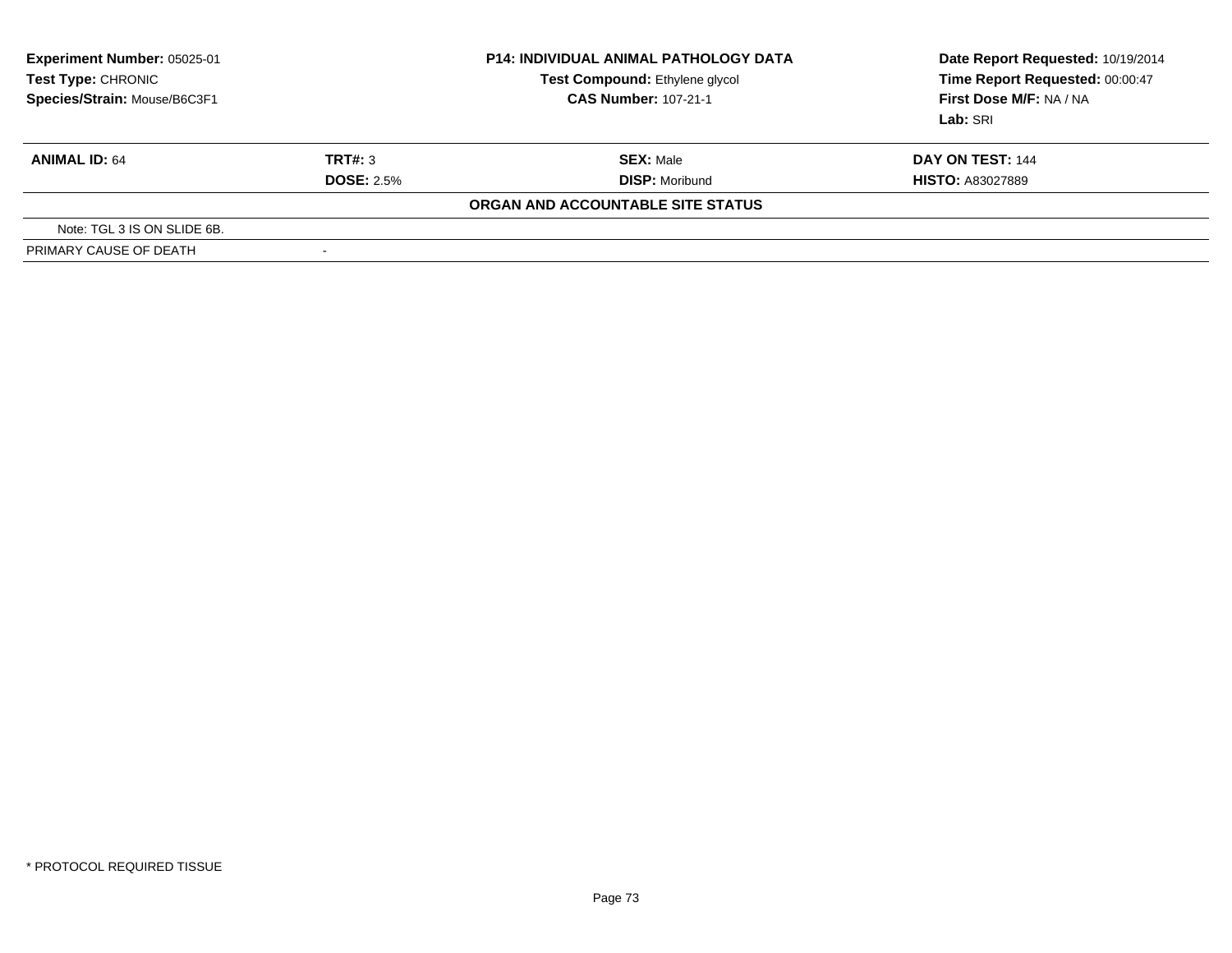| <b>Experiment Number: 05025-01</b><br>Test Type: CHRONIC<br>Species/Strain: Mouse/B6C3F1 |                          | <b>P14: INDIVIDUAL ANIMAL PATHOLOGY DATA</b><br>Test Compound: Ethylene glycol<br><b>CAS Number: 107-21-1</b> | Date Report Requested: 10/19/2014<br>Time Report Requested: 00:00:47<br>First Dose M/F: NA / NA<br>Lab: SRI |  |
|------------------------------------------------------------------------------------------|--------------------------|---------------------------------------------------------------------------------------------------------------|-------------------------------------------------------------------------------------------------------------|--|
| <b>ANIMAL ID: 64</b>                                                                     | TRT#: 3                  | <b>SEX: Male</b>                                                                                              | DAY ON TEST: 144                                                                                            |  |
|                                                                                          | <b>DOSE: 2.5%</b>        | <b>DISP: Moribund</b>                                                                                         | <b>HISTO: A83027889</b>                                                                                     |  |
|                                                                                          |                          | ORGAN AND ACCOUNTABLE SITE STATUS                                                                             |                                                                                                             |  |
| Note: TGL 3 IS ON SLIDE 6B.                                                              |                          |                                                                                                               |                                                                                                             |  |
| PRIMARY CAUSE OF DEATH                                                                   | $\overline{\phantom{a}}$ |                                                                                                               |                                                                                                             |  |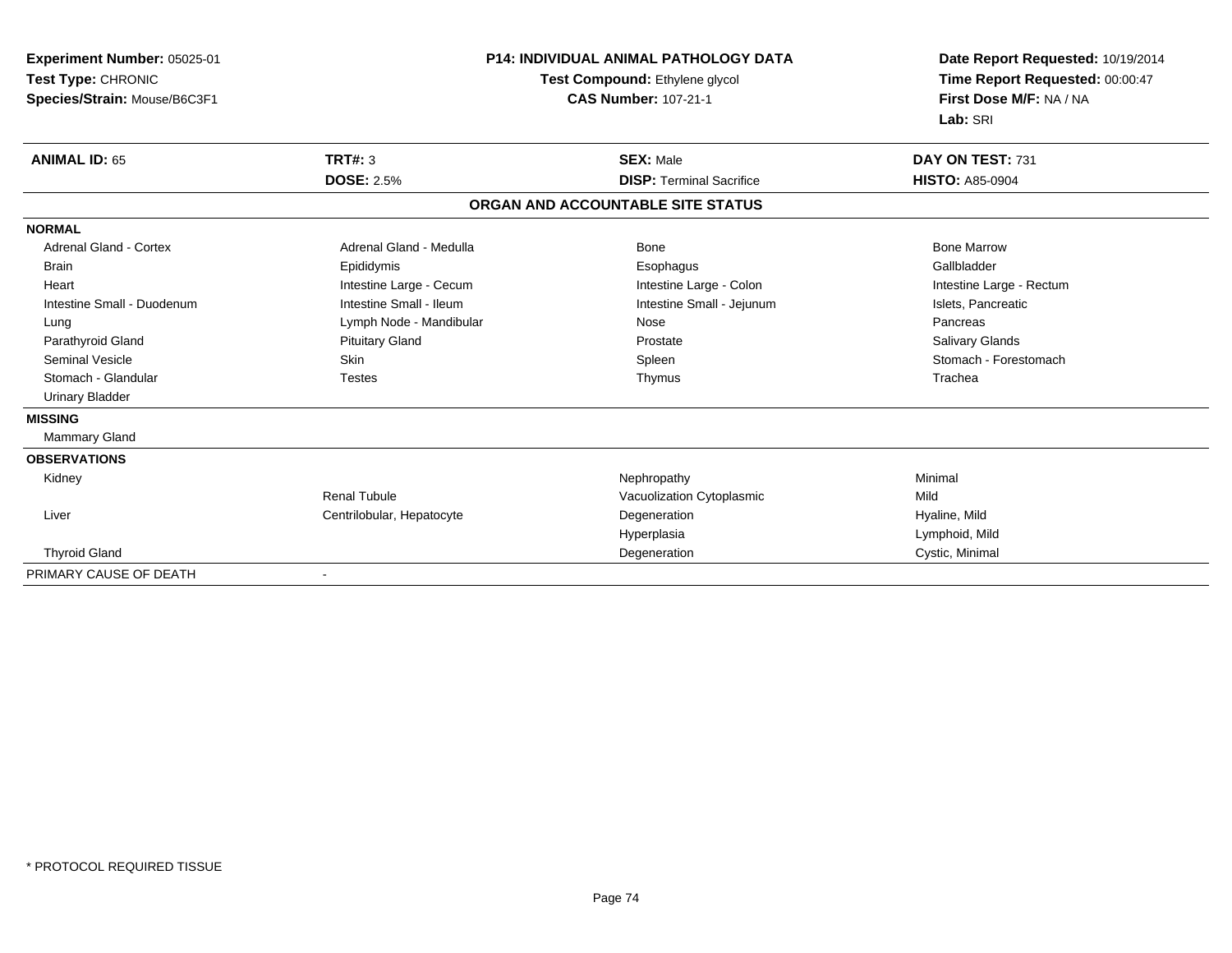| Experiment Number: 05025-01   | <b>P14: INDIVIDUAL ANIMAL PATHOLOGY DATA</b><br>Test Compound: Ethylene glycol |                                   | Date Report Requested: 10/19/2014 |  |
|-------------------------------|--------------------------------------------------------------------------------|-----------------------------------|-----------------------------------|--|
| Test Type: CHRONIC            |                                                                                |                                   | Time Report Requested: 00:00:47   |  |
| Species/Strain: Mouse/B6C3F1  |                                                                                | <b>CAS Number: 107-21-1</b>       | First Dose M/F: NA / NA           |  |
|                               |                                                                                |                                   | Lab: SRI                          |  |
| <b>ANIMAL ID: 65</b>          | <b>TRT#: 3</b>                                                                 | <b>SEX: Male</b>                  | DAY ON TEST: 731                  |  |
|                               | <b>DOSE: 2.5%</b>                                                              | <b>DISP: Terminal Sacrifice</b>   | <b>HISTO: A85-0904</b>            |  |
|                               |                                                                                | ORGAN AND ACCOUNTABLE SITE STATUS |                                   |  |
| <b>NORMAL</b>                 |                                                                                |                                   |                                   |  |
| <b>Adrenal Gland - Cortex</b> | Adrenal Gland - Medulla                                                        | <b>Bone</b>                       | <b>Bone Marrow</b>                |  |
| <b>Brain</b>                  | Epididymis                                                                     | Esophagus                         | Gallbladder                       |  |
| Heart                         | Intestine Large - Cecum                                                        | Intestine Large - Colon           | Intestine Large - Rectum          |  |
| Intestine Small - Duodenum    | Intestine Small - Ileum                                                        | Intestine Small - Jejunum         | Islets, Pancreatic                |  |
| Lung                          | Lymph Node - Mandibular                                                        | Nose                              | Pancreas                          |  |
| Parathyroid Gland             | <b>Pituitary Gland</b>                                                         | Prostate                          | Salivary Glands                   |  |
| <b>Seminal Vesicle</b>        | <b>Skin</b>                                                                    | Spleen                            | Stomach - Forestomach             |  |
| Stomach - Glandular           | <b>Testes</b>                                                                  | Thymus                            | Trachea                           |  |
| <b>Urinary Bladder</b>        |                                                                                |                                   |                                   |  |
| <b>MISSING</b>                |                                                                                |                                   |                                   |  |
| <b>Mammary Gland</b>          |                                                                                |                                   |                                   |  |
| <b>OBSERVATIONS</b>           |                                                                                |                                   |                                   |  |
| Kidney                        |                                                                                | Nephropathy                       | Minimal                           |  |
|                               | <b>Renal Tubule</b>                                                            | Vacuolization Cytoplasmic         | Mild                              |  |
| Liver                         | Centrilobular, Hepatocyte                                                      | Degeneration                      | Hyaline, Mild                     |  |
|                               |                                                                                | Hyperplasia                       | Lymphoid, Mild                    |  |
| <b>Thyroid Gland</b>          |                                                                                | Degeneration                      | Cystic, Minimal                   |  |
| PRIMARY CAUSE OF DEATH        |                                                                                |                                   |                                   |  |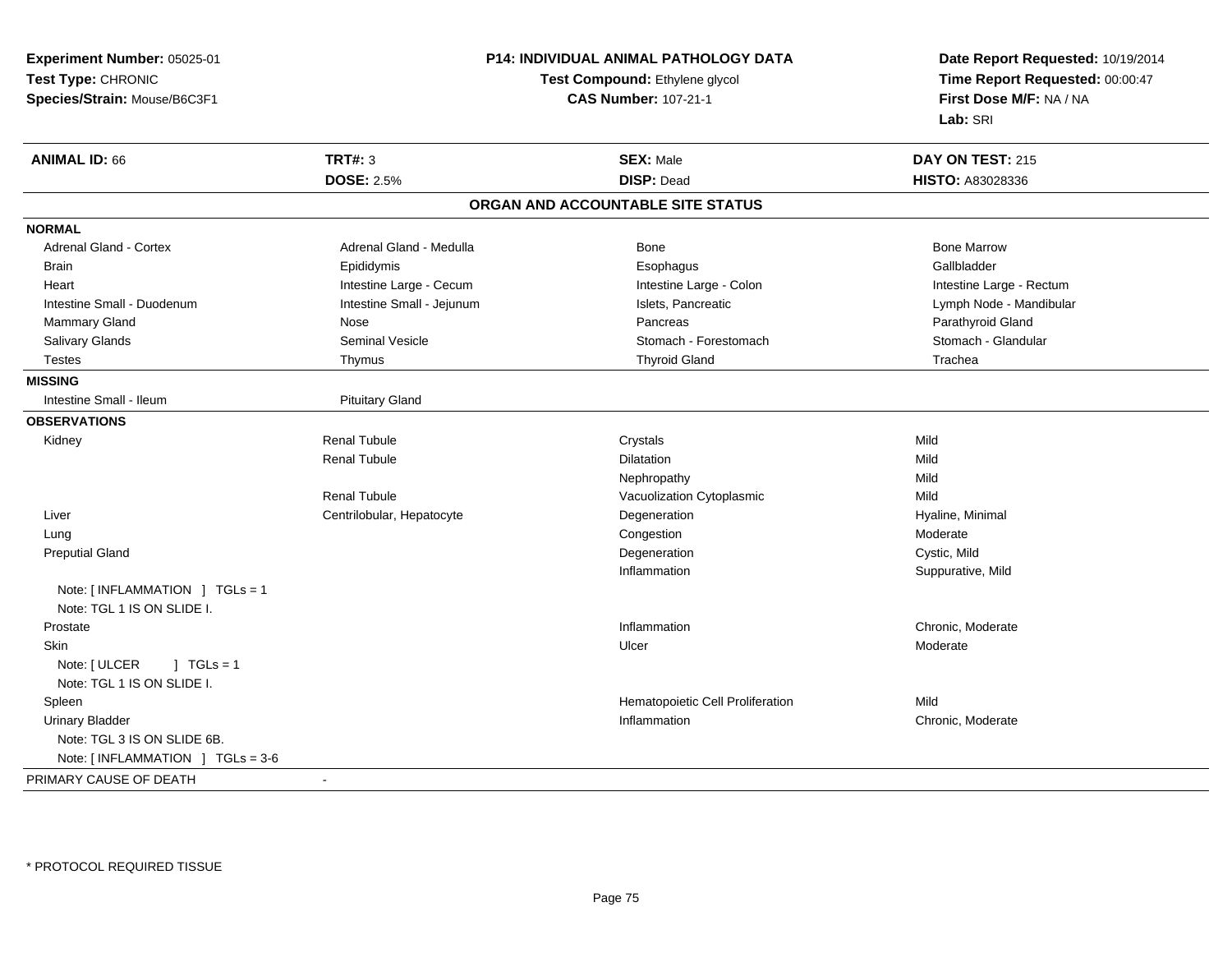| Test Type: CHRONIC<br>Time Report Requested: 00:00:47<br>Test Compound: Ethylene glycol<br><b>CAS Number: 107-21-1</b><br>First Dose M/F: NA / NA<br>Species/Strain: Mouse/B6C3F1<br>Lab: SRI<br><b>TRT#: 3</b><br><b>ANIMAL ID: 66</b><br><b>SEX: Male</b><br>DAY ON TEST: 215<br><b>DOSE: 2.5%</b><br><b>DISP: Dead</b><br><b>HISTO: A83028336</b><br>ORGAN AND ACCOUNTABLE SITE STATUS<br><b>NORMAL</b><br>Adrenal Gland - Cortex<br>Adrenal Gland - Medulla<br><b>Bone Marrow</b><br>Bone<br>Gallbladder<br><b>Brain</b><br>Epididymis<br>Esophagus<br>Intestine Large - Cecum<br>Intestine Large - Colon<br>Intestine Large - Rectum<br>Heart<br>Intestine Small - Jejunum<br>Islets, Pancreatic<br>Lymph Node - Mandibular<br>Intestine Small - Duodenum<br>Mammary Gland<br>Parathyroid Gland<br>Nose<br>Pancreas<br>Seminal Vesicle<br>Stomach - Glandular<br>Salivary Glands<br>Stomach - Forestomach<br><b>Thyroid Gland</b><br><b>Testes</b><br>Trachea<br>Thymus<br><b>MISSING</b><br>Intestine Small - Ileum<br><b>Pituitary Gland</b><br><b>OBSERVATIONS</b><br><b>Renal Tubule</b><br>Crystals<br>Mild<br>Kidney<br><b>Renal Tubule</b><br>Dilatation<br>Mild<br>Mild<br>Nephropathy<br><b>Renal Tubule</b><br>Mild<br>Vacuolization Cytoplasmic<br>Liver<br>Centrilobular, Hepatocyte<br>Degeneration<br>Hyaline, Minimal<br>Congestion<br>Moderate<br>Lung<br>Cystic, Mild<br><b>Preputial Gland</b><br>Degeneration<br>Inflammation<br>Suppurative, Mild<br>Note: [INFLAMMATION ] TGLs = 1<br>Note: TGL 1 IS ON SLIDE I.<br>Chronic, Moderate<br>Prostate<br>Inflammation<br>Skin<br>Ulcer<br>Moderate<br>Note: [ ULCER<br>$1$ TGLs = 1<br>Note: TGL 1 IS ON SLIDE I.<br>Hematopoietic Cell Proliferation<br>Mild<br>Spleen<br><b>Urinary Bladder</b><br>Inflammation<br>Chronic, Moderate<br>Note: TGL 3 IS ON SLIDE 6B.<br>Note: $[INFLAMMATION] TGLs = 3-6$<br>PRIMARY CAUSE OF DEATH<br>$\blacksquare$ | Experiment Number: 05025-01 |  | <b>P14: INDIVIDUAL ANIMAL PATHOLOGY DATA</b> | Date Report Requested: 10/19/2014 |
|------------------------------------------------------------------------------------------------------------------------------------------------------------------------------------------------------------------------------------------------------------------------------------------------------------------------------------------------------------------------------------------------------------------------------------------------------------------------------------------------------------------------------------------------------------------------------------------------------------------------------------------------------------------------------------------------------------------------------------------------------------------------------------------------------------------------------------------------------------------------------------------------------------------------------------------------------------------------------------------------------------------------------------------------------------------------------------------------------------------------------------------------------------------------------------------------------------------------------------------------------------------------------------------------------------------------------------------------------------------------------------------------------------------------------------------------------------------------------------------------------------------------------------------------------------------------------------------------------------------------------------------------------------------------------------------------------------------------------------------------------------------------------------------------------------------------------------------------------------------------------------------------------------------------------|-----------------------------|--|----------------------------------------------|-----------------------------------|
|                                                                                                                                                                                                                                                                                                                                                                                                                                                                                                                                                                                                                                                                                                                                                                                                                                                                                                                                                                                                                                                                                                                                                                                                                                                                                                                                                                                                                                                                                                                                                                                                                                                                                                                                                                                                                                                                                                                              |                             |  |                                              |                                   |
|                                                                                                                                                                                                                                                                                                                                                                                                                                                                                                                                                                                                                                                                                                                                                                                                                                                                                                                                                                                                                                                                                                                                                                                                                                                                                                                                                                                                                                                                                                                                                                                                                                                                                                                                                                                                                                                                                                                              |                             |  |                                              |                                   |
|                                                                                                                                                                                                                                                                                                                                                                                                                                                                                                                                                                                                                                                                                                                                                                                                                                                                                                                                                                                                                                                                                                                                                                                                                                                                                                                                                                                                                                                                                                                                                                                                                                                                                                                                                                                                                                                                                                                              |                             |  |                                              |                                   |
|                                                                                                                                                                                                                                                                                                                                                                                                                                                                                                                                                                                                                                                                                                                                                                                                                                                                                                                                                                                                                                                                                                                                                                                                                                                                                                                                                                                                                                                                                                                                                                                                                                                                                                                                                                                                                                                                                                                              |                             |  |                                              |                                   |
|                                                                                                                                                                                                                                                                                                                                                                                                                                                                                                                                                                                                                                                                                                                                                                                                                                                                                                                                                                                                                                                                                                                                                                                                                                                                                                                                                                                                                                                                                                                                                                                                                                                                                                                                                                                                                                                                                                                              |                             |  |                                              |                                   |
|                                                                                                                                                                                                                                                                                                                                                                                                                                                                                                                                                                                                                                                                                                                                                                                                                                                                                                                                                                                                                                                                                                                                                                                                                                                                                                                                                                                                                                                                                                                                                                                                                                                                                                                                                                                                                                                                                                                              |                             |  |                                              |                                   |
|                                                                                                                                                                                                                                                                                                                                                                                                                                                                                                                                                                                                                                                                                                                                                                                                                                                                                                                                                                                                                                                                                                                                                                                                                                                                                                                                                                                                                                                                                                                                                                                                                                                                                                                                                                                                                                                                                                                              |                             |  |                                              |                                   |
|                                                                                                                                                                                                                                                                                                                                                                                                                                                                                                                                                                                                                                                                                                                                                                                                                                                                                                                                                                                                                                                                                                                                                                                                                                                                                                                                                                                                                                                                                                                                                                                                                                                                                                                                                                                                                                                                                                                              |                             |  |                                              |                                   |
|                                                                                                                                                                                                                                                                                                                                                                                                                                                                                                                                                                                                                                                                                                                                                                                                                                                                                                                                                                                                                                                                                                                                                                                                                                                                                                                                                                                                                                                                                                                                                                                                                                                                                                                                                                                                                                                                                                                              |                             |  |                                              |                                   |
|                                                                                                                                                                                                                                                                                                                                                                                                                                                                                                                                                                                                                                                                                                                                                                                                                                                                                                                                                                                                                                                                                                                                                                                                                                                                                                                                                                                                                                                                                                                                                                                                                                                                                                                                                                                                                                                                                                                              |                             |  |                                              |                                   |
|                                                                                                                                                                                                                                                                                                                                                                                                                                                                                                                                                                                                                                                                                                                                                                                                                                                                                                                                                                                                                                                                                                                                                                                                                                                                                                                                                                                                                                                                                                                                                                                                                                                                                                                                                                                                                                                                                                                              |                             |  |                                              |                                   |
|                                                                                                                                                                                                                                                                                                                                                                                                                                                                                                                                                                                                                                                                                                                                                                                                                                                                                                                                                                                                                                                                                                                                                                                                                                                                                                                                                                                                                                                                                                                                                                                                                                                                                                                                                                                                                                                                                                                              |                             |  |                                              |                                   |
|                                                                                                                                                                                                                                                                                                                                                                                                                                                                                                                                                                                                                                                                                                                                                                                                                                                                                                                                                                                                                                                                                                                                                                                                                                                                                                                                                                                                                                                                                                                                                                                                                                                                                                                                                                                                                                                                                                                              |                             |  |                                              |                                   |
|                                                                                                                                                                                                                                                                                                                                                                                                                                                                                                                                                                                                                                                                                                                                                                                                                                                                                                                                                                                                                                                                                                                                                                                                                                                                                                                                                                                                                                                                                                                                                                                                                                                                                                                                                                                                                                                                                                                              |                             |  |                                              |                                   |
|                                                                                                                                                                                                                                                                                                                                                                                                                                                                                                                                                                                                                                                                                                                                                                                                                                                                                                                                                                                                                                                                                                                                                                                                                                                                                                                                                                                                                                                                                                                                                                                                                                                                                                                                                                                                                                                                                                                              |                             |  |                                              |                                   |
|                                                                                                                                                                                                                                                                                                                                                                                                                                                                                                                                                                                                                                                                                                                                                                                                                                                                                                                                                                                                                                                                                                                                                                                                                                                                                                                                                                                                                                                                                                                                                                                                                                                                                                                                                                                                                                                                                                                              |                             |  |                                              |                                   |
|                                                                                                                                                                                                                                                                                                                                                                                                                                                                                                                                                                                                                                                                                                                                                                                                                                                                                                                                                                                                                                                                                                                                                                                                                                                                                                                                                                                                                                                                                                                                                                                                                                                                                                                                                                                                                                                                                                                              |                             |  |                                              |                                   |
|                                                                                                                                                                                                                                                                                                                                                                                                                                                                                                                                                                                                                                                                                                                                                                                                                                                                                                                                                                                                                                                                                                                                                                                                                                                                                                                                                                                                                                                                                                                                                                                                                                                                                                                                                                                                                                                                                                                              |                             |  |                                              |                                   |
|                                                                                                                                                                                                                                                                                                                                                                                                                                                                                                                                                                                                                                                                                                                                                                                                                                                                                                                                                                                                                                                                                                                                                                                                                                                                                                                                                                                                                                                                                                                                                                                                                                                                                                                                                                                                                                                                                                                              |                             |  |                                              |                                   |
|                                                                                                                                                                                                                                                                                                                                                                                                                                                                                                                                                                                                                                                                                                                                                                                                                                                                                                                                                                                                                                                                                                                                                                                                                                                                                                                                                                                                                                                                                                                                                                                                                                                                                                                                                                                                                                                                                                                              |                             |  |                                              |                                   |
|                                                                                                                                                                                                                                                                                                                                                                                                                                                                                                                                                                                                                                                                                                                                                                                                                                                                                                                                                                                                                                                                                                                                                                                                                                                                                                                                                                                                                                                                                                                                                                                                                                                                                                                                                                                                                                                                                                                              |                             |  |                                              |                                   |
|                                                                                                                                                                                                                                                                                                                                                                                                                                                                                                                                                                                                                                                                                                                                                                                                                                                                                                                                                                                                                                                                                                                                                                                                                                                                                                                                                                                                                                                                                                                                                                                                                                                                                                                                                                                                                                                                                                                              |                             |  |                                              |                                   |
|                                                                                                                                                                                                                                                                                                                                                                                                                                                                                                                                                                                                                                                                                                                                                                                                                                                                                                                                                                                                                                                                                                                                                                                                                                                                                                                                                                                                                                                                                                                                                                                                                                                                                                                                                                                                                                                                                                                              |                             |  |                                              |                                   |
|                                                                                                                                                                                                                                                                                                                                                                                                                                                                                                                                                                                                                                                                                                                                                                                                                                                                                                                                                                                                                                                                                                                                                                                                                                                                                                                                                                                                                                                                                                                                                                                                                                                                                                                                                                                                                                                                                                                              |                             |  |                                              |                                   |
|                                                                                                                                                                                                                                                                                                                                                                                                                                                                                                                                                                                                                                                                                                                                                                                                                                                                                                                                                                                                                                                                                                                                                                                                                                                                                                                                                                                                                                                                                                                                                                                                                                                                                                                                                                                                                                                                                                                              |                             |  |                                              |                                   |
|                                                                                                                                                                                                                                                                                                                                                                                                                                                                                                                                                                                                                                                                                                                                                                                                                                                                                                                                                                                                                                                                                                                                                                                                                                                                                                                                                                                                                                                                                                                                                                                                                                                                                                                                                                                                                                                                                                                              |                             |  |                                              |                                   |
|                                                                                                                                                                                                                                                                                                                                                                                                                                                                                                                                                                                                                                                                                                                                                                                                                                                                                                                                                                                                                                                                                                                                                                                                                                                                                                                                                                                                                                                                                                                                                                                                                                                                                                                                                                                                                                                                                                                              |                             |  |                                              |                                   |
|                                                                                                                                                                                                                                                                                                                                                                                                                                                                                                                                                                                                                                                                                                                                                                                                                                                                                                                                                                                                                                                                                                                                                                                                                                                                                                                                                                                                                                                                                                                                                                                                                                                                                                                                                                                                                                                                                                                              |                             |  |                                              |                                   |
|                                                                                                                                                                                                                                                                                                                                                                                                                                                                                                                                                                                                                                                                                                                                                                                                                                                                                                                                                                                                                                                                                                                                                                                                                                                                                                                                                                                                                                                                                                                                                                                                                                                                                                                                                                                                                                                                                                                              |                             |  |                                              |                                   |
|                                                                                                                                                                                                                                                                                                                                                                                                                                                                                                                                                                                                                                                                                                                                                                                                                                                                                                                                                                                                                                                                                                                                                                                                                                                                                                                                                                                                                                                                                                                                                                                                                                                                                                                                                                                                                                                                                                                              |                             |  |                                              |                                   |
|                                                                                                                                                                                                                                                                                                                                                                                                                                                                                                                                                                                                                                                                                                                                                                                                                                                                                                                                                                                                                                                                                                                                                                                                                                                                                                                                                                                                                                                                                                                                                                                                                                                                                                                                                                                                                                                                                                                              |                             |  |                                              |                                   |
|                                                                                                                                                                                                                                                                                                                                                                                                                                                                                                                                                                                                                                                                                                                                                                                                                                                                                                                                                                                                                                                                                                                                                                                                                                                                                                                                                                                                                                                                                                                                                                                                                                                                                                                                                                                                                                                                                                                              |                             |  |                                              |                                   |
|                                                                                                                                                                                                                                                                                                                                                                                                                                                                                                                                                                                                                                                                                                                                                                                                                                                                                                                                                                                                                                                                                                                                                                                                                                                                                                                                                                                                                                                                                                                                                                                                                                                                                                                                                                                                                                                                                                                              |                             |  |                                              |                                   |
|                                                                                                                                                                                                                                                                                                                                                                                                                                                                                                                                                                                                                                                                                                                                                                                                                                                                                                                                                                                                                                                                                                                                                                                                                                                                                                                                                                                                                                                                                                                                                                                                                                                                                                                                                                                                                                                                                                                              |                             |  |                                              |                                   |
|                                                                                                                                                                                                                                                                                                                                                                                                                                                                                                                                                                                                                                                                                                                                                                                                                                                                                                                                                                                                                                                                                                                                                                                                                                                                                                                                                                                                                                                                                                                                                                                                                                                                                                                                                                                                                                                                                                                              |                             |  |                                              |                                   |
|                                                                                                                                                                                                                                                                                                                                                                                                                                                                                                                                                                                                                                                                                                                                                                                                                                                                                                                                                                                                                                                                                                                                                                                                                                                                                                                                                                                                                                                                                                                                                                                                                                                                                                                                                                                                                                                                                                                              |                             |  |                                              |                                   |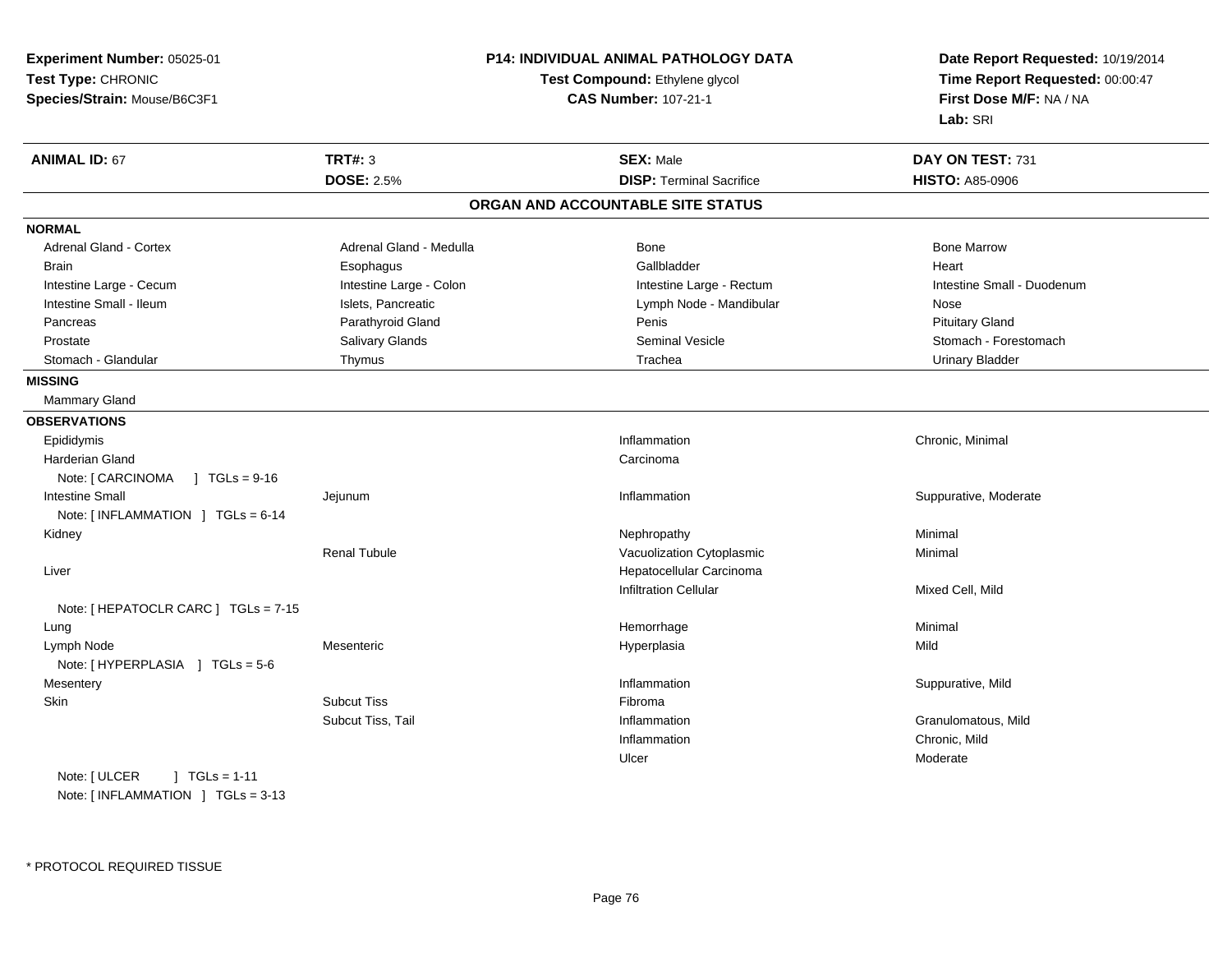| Experiment Number: 05025-01<br>Test Type: CHRONIC<br>Species/Strain: Mouse/B6C3F1 |                         | <b>P14: INDIVIDUAL ANIMAL PATHOLOGY DATA</b><br>Test Compound: Ethylene glycol<br><b>CAS Number: 107-21-1</b> | Date Report Requested: 10/19/2014<br>Time Report Requested: 00:00:47<br>First Dose M/F: NA / NA<br>Lab: SRI |
|-----------------------------------------------------------------------------------|-------------------------|---------------------------------------------------------------------------------------------------------------|-------------------------------------------------------------------------------------------------------------|
| <b>ANIMAL ID: 67</b>                                                              | <b>TRT#: 3</b>          | <b>SEX: Male</b>                                                                                              | DAY ON TEST: 731                                                                                            |
|                                                                                   | <b>DOSE: 2.5%</b>       | <b>DISP: Terminal Sacrifice</b>                                                                               | <b>HISTO: A85-0906</b>                                                                                      |
|                                                                                   |                         | ORGAN AND ACCOUNTABLE SITE STATUS                                                                             |                                                                                                             |
| <b>NORMAL</b>                                                                     |                         |                                                                                                               |                                                                                                             |
| <b>Adrenal Gland - Cortex</b>                                                     | Adrenal Gland - Medulla | Bone                                                                                                          | <b>Bone Marrow</b>                                                                                          |
| Brain                                                                             | Esophagus               | Gallbladder                                                                                                   | Heart                                                                                                       |
| Intestine Large - Cecum                                                           | Intestine Large - Colon | Intestine Large - Rectum                                                                                      | Intestine Small - Duodenum                                                                                  |
| Intestine Small - Ileum                                                           | Islets, Pancreatic      | Lymph Node - Mandibular                                                                                       | Nose                                                                                                        |
| Pancreas                                                                          | Parathyroid Gland       | Penis                                                                                                         | <b>Pituitary Gland</b>                                                                                      |
| Prostate                                                                          | Salivary Glands         | <b>Seminal Vesicle</b>                                                                                        | Stomach - Forestomach                                                                                       |
| Stomach - Glandular                                                               | Thymus                  | Trachea                                                                                                       | <b>Urinary Bladder</b>                                                                                      |
| <b>MISSING</b>                                                                    |                         |                                                                                                               |                                                                                                             |
| Mammary Gland                                                                     |                         |                                                                                                               |                                                                                                             |
| <b>OBSERVATIONS</b>                                                               |                         |                                                                                                               |                                                                                                             |
| Epididymis                                                                        |                         | Inflammation                                                                                                  | Chronic, Minimal                                                                                            |
| Harderian Gland                                                                   |                         | Carcinoma                                                                                                     |                                                                                                             |
| Note: [ CARCINOMA<br>$\sqrt{1}$ TGLs = 9-16                                       |                         |                                                                                                               |                                                                                                             |
| <b>Intestine Small</b>                                                            | Jejunum                 | Inflammation                                                                                                  | Suppurative, Moderate                                                                                       |
| Note: [INFLAMMATION ] TGLs = 6-14                                                 |                         |                                                                                                               |                                                                                                             |
| Kidney                                                                            |                         | Nephropathy                                                                                                   | Minimal                                                                                                     |
|                                                                                   | <b>Renal Tubule</b>     | Vacuolization Cytoplasmic                                                                                     | Minimal                                                                                                     |
| Liver                                                                             |                         | Hepatocellular Carcinoma                                                                                      |                                                                                                             |
|                                                                                   |                         | <b>Infiltration Cellular</b>                                                                                  | Mixed Cell, Mild                                                                                            |
| Note: [ HEPATOCLR CARC ] TGLs = 7-15                                              |                         |                                                                                                               |                                                                                                             |
| Lung                                                                              |                         | Hemorrhage                                                                                                    | Minimal                                                                                                     |
| Lymph Node                                                                        | Mesenteric              | Hyperplasia                                                                                                   | Mild                                                                                                        |
| Note: [HYPERPLASIA ] TGLs = 5-6                                                   |                         |                                                                                                               |                                                                                                             |
| Mesentery                                                                         |                         | Inflammation                                                                                                  | Suppurative, Mild                                                                                           |
| Skin                                                                              | <b>Subcut Tiss</b>      | Fibroma                                                                                                       |                                                                                                             |
|                                                                                   | Subcut Tiss, Tail       | Inflammation                                                                                                  | Granulomatous, Mild                                                                                         |
|                                                                                   |                         | Inflammation                                                                                                  | Chronic, Mild                                                                                               |
|                                                                                   |                         | Ulcer                                                                                                         | Moderate                                                                                                    |
| Note: [ ULCER<br>$TGLs = 1-11$                                                    |                         |                                                                                                               |                                                                                                             |

Note: [ INFLAMMATION ] TGLs = 3-13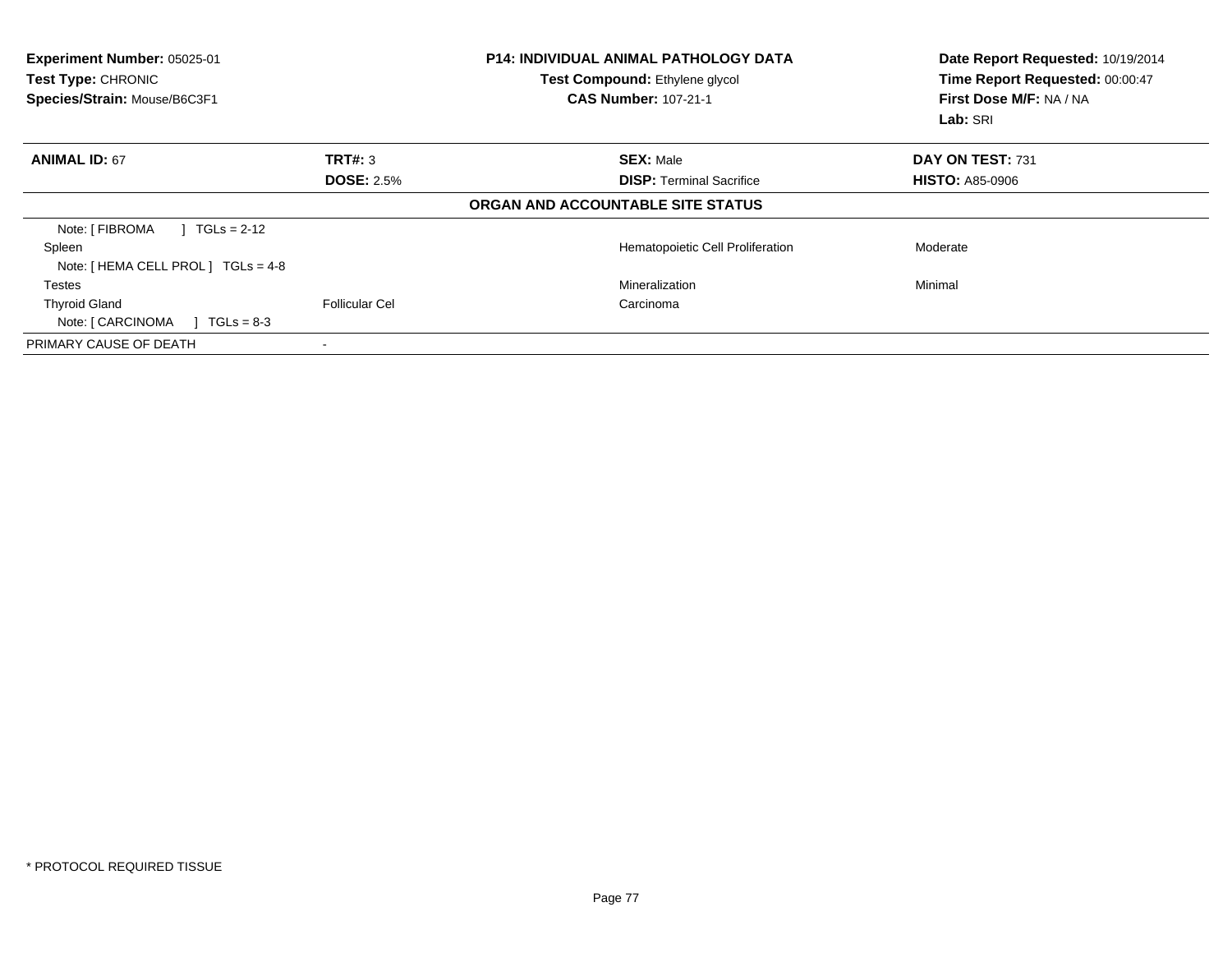| Experiment Number: 05025-01<br><b>Test Type: CHRONIC</b><br>Species/Strain: Mouse/B6C3F1 |                       | <b>P14: INDIVIDUAL ANIMAL PATHOLOGY DATA</b><br>Test Compound: Ethylene glycol<br><b>CAS Number: 107-21-1</b> | Date Report Requested: 10/19/2014<br>Time Report Requested: 00:00:47<br>First Dose M/F: NA / NA<br>Lab: SRI |
|------------------------------------------------------------------------------------------|-----------------------|---------------------------------------------------------------------------------------------------------------|-------------------------------------------------------------------------------------------------------------|
| <b>ANIMAL ID: 67</b>                                                                     | TRT#: 3               | <b>SEX: Male</b>                                                                                              | DAY ON TEST: 731                                                                                            |
|                                                                                          | <b>DOSE: 2.5%</b>     | <b>DISP:</b> Terminal Sacrifice                                                                               | <b>HISTO: A85-0906</b>                                                                                      |
|                                                                                          |                       | ORGAN AND ACCOUNTABLE SITE STATUS                                                                             |                                                                                                             |
| Note: [ FIBROMA<br>$1 TGLs = 2-12$                                                       |                       |                                                                                                               |                                                                                                             |
| Spleen                                                                                   |                       | Hematopoietic Cell Proliferation                                                                              | Moderate                                                                                                    |
| Note: [ HEMA CELL PROL ] TGLs = 4-8                                                      |                       |                                                                                                               |                                                                                                             |
| <b>Testes</b>                                                                            |                       | Mineralization                                                                                                | Minimal                                                                                                     |
| <b>Thyroid Gland</b>                                                                     | <b>Follicular Cel</b> | Carcinoma                                                                                                     |                                                                                                             |
| Note: [ CARCINOMA<br>$TGLs = 8-3$                                                        |                       |                                                                                                               |                                                                                                             |
| PRIMARY CAUSE OF DEATH                                                                   |                       |                                                                                                               |                                                                                                             |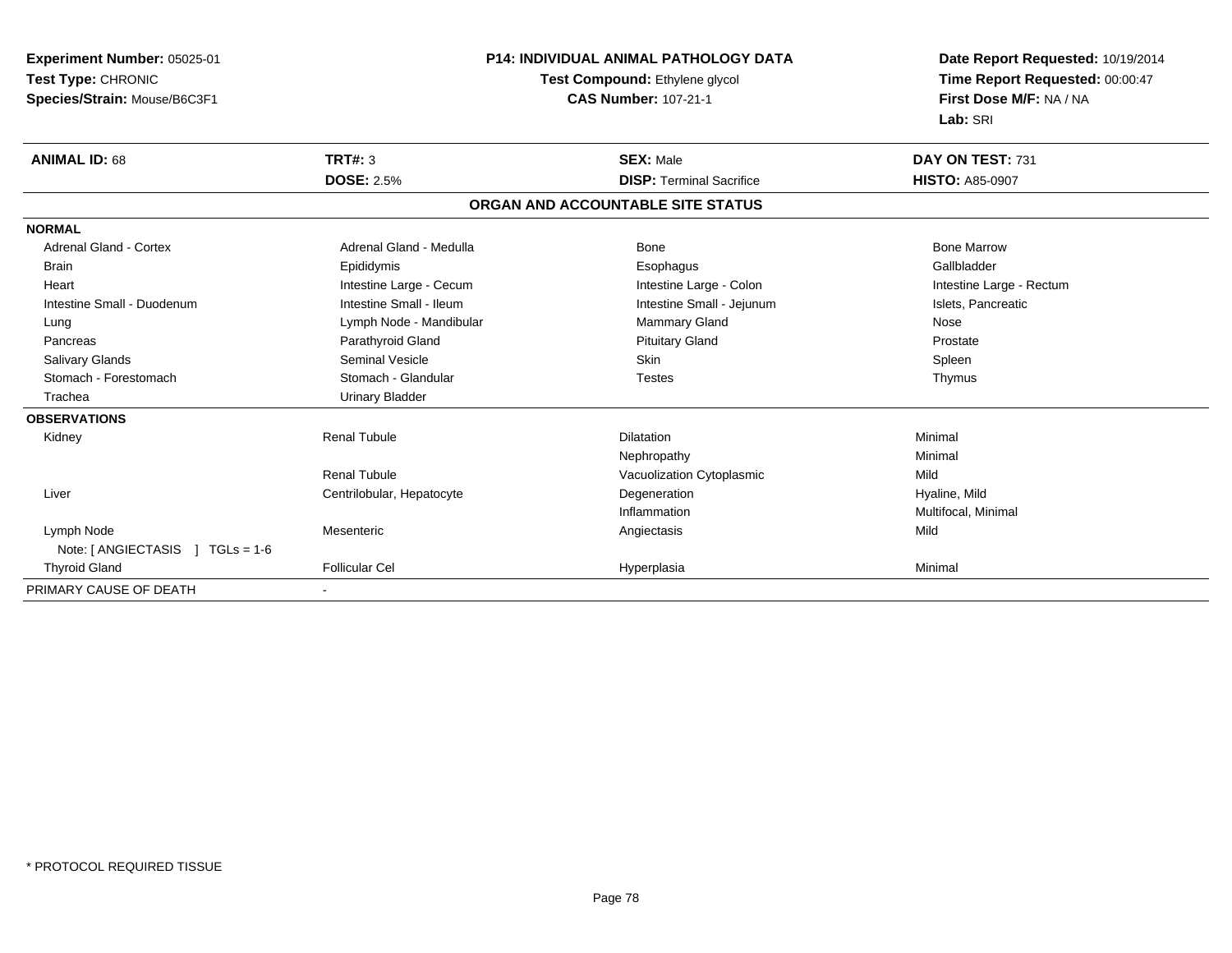| Experiment Number: 05025-01      | <b>P14: INDIVIDUAL ANIMAL PATHOLOGY DATA</b> |                                   | Date Report Requested: 10/19/2014 |
|----------------------------------|----------------------------------------------|-----------------------------------|-----------------------------------|
| Test Type: CHRONIC               |                                              | Test Compound: Ethylene glycol    | Time Report Requested: 00:00:47   |
| Species/Strain: Mouse/B6C3F1     |                                              | <b>CAS Number: 107-21-1</b>       | First Dose M/F: NA / NA           |
|                                  |                                              |                                   | Lab: SRI                          |
| <b>ANIMAL ID: 68</b>             | <b>TRT#: 3</b>                               | <b>SEX: Male</b>                  | DAY ON TEST: 731                  |
|                                  | <b>DOSE: 2.5%</b>                            | <b>DISP: Terminal Sacrifice</b>   | <b>HISTO: A85-0907</b>            |
|                                  |                                              | ORGAN AND ACCOUNTABLE SITE STATUS |                                   |
| <b>NORMAL</b>                    |                                              |                                   |                                   |
| <b>Adrenal Gland - Cortex</b>    | Adrenal Gland - Medulla                      | <b>Bone</b>                       | <b>Bone Marrow</b>                |
| <b>Brain</b>                     | Epididymis                                   | Esophagus                         | Gallbladder                       |
| Heart                            | Intestine Large - Cecum                      | Intestine Large - Colon           | Intestine Large - Rectum          |
| Intestine Small - Duodenum       | Intestine Small - Ileum                      | Intestine Small - Jejunum         | Islets, Pancreatic                |
| Lung                             | Lymph Node - Mandibular                      | Mammary Gland                     | Nose                              |
| Pancreas                         | Parathyroid Gland                            | <b>Pituitary Gland</b>            | Prostate                          |
| Salivary Glands                  | <b>Seminal Vesicle</b>                       | <b>Skin</b>                       | Spleen                            |
| Stomach - Forestomach            | Stomach - Glandular                          | <b>Testes</b>                     | Thymus                            |
| Trachea                          | <b>Urinary Bladder</b>                       |                                   |                                   |
| <b>OBSERVATIONS</b>              |                                              |                                   |                                   |
| Kidney                           | <b>Renal Tubule</b>                          | <b>Dilatation</b>                 | Minimal                           |
|                                  |                                              | Nephropathy                       | Minimal                           |
|                                  | Renal Tubule                                 | Vacuolization Cytoplasmic         | Mild                              |
| Liver                            | Centrilobular, Hepatocyte                    | Degeneration                      | Hyaline, Mild                     |
|                                  |                                              | Inflammation                      | Multifocal, Minimal               |
| Lymph Node                       | Mesenteric                                   | Angiectasis                       | Mild                              |
| Note: [ ANGIECTASIS ] TGLs = 1-6 |                                              |                                   |                                   |
| <b>Thyroid Gland</b>             | <b>Follicular Cel</b>                        | Hyperplasia                       | Minimal                           |
| PRIMARY CAUSE OF DEATH           |                                              |                                   |                                   |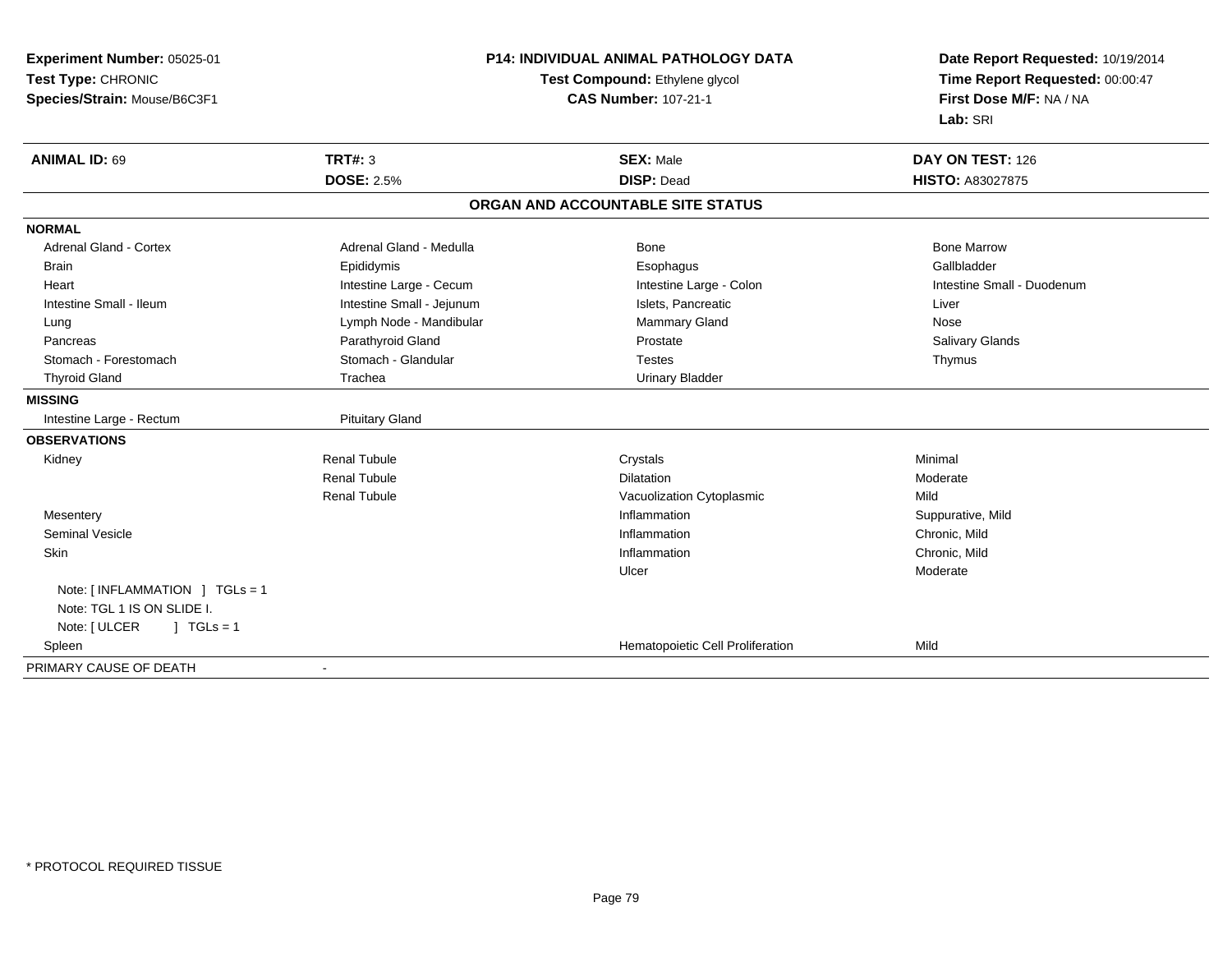| Experiment Number: 05025-01    | <b>P14: INDIVIDUAL ANIMAL PATHOLOGY DATA</b><br>Test Compound: Ethylene glycol |                                   | Date Report Requested: 10/19/2014 |  |
|--------------------------------|--------------------------------------------------------------------------------|-----------------------------------|-----------------------------------|--|
| Test Type: CHRONIC             |                                                                                |                                   | Time Report Requested: 00:00:47   |  |
| Species/Strain: Mouse/B6C3F1   |                                                                                | <b>CAS Number: 107-21-1</b>       | First Dose M/F: NA / NA           |  |
|                                |                                                                                |                                   | Lab: SRI                          |  |
| <b>ANIMAL ID: 69</b>           | TRT#: 3                                                                        | <b>SEX: Male</b>                  | DAY ON TEST: 126                  |  |
|                                | <b>DOSE: 2.5%</b>                                                              | <b>DISP: Dead</b>                 | <b>HISTO: A83027875</b>           |  |
|                                |                                                                                | ORGAN AND ACCOUNTABLE SITE STATUS |                                   |  |
| <b>NORMAL</b>                  |                                                                                |                                   |                                   |  |
| Adrenal Gland - Cortex         | Adrenal Gland - Medulla                                                        | Bone                              | <b>Bone Marrow</b>                |  |
| <b>Brain</b>                   | Epididymis                                                                     | Esophagus                         | Gallbladder                       |  |
| Heart                          | Intestine Large - Cecum                                                        | Intestine Large - Colon           | Intestine Small - Duodenum        |  |
| Intestine Small - Ileum        | Intestine Small - Jejunum                                                      | Islets, Pancreatic                | Liver                             |  |
| Lung                           | Lymph Node - Mandibular                                                        | Mammary Gland                     | Nose                              |  |
| Pancreas                       | Parathyroid Gland                                                              | Prostate                          | Salivary Glands                   |  |
| Stomach - Forestomach          | Stomach - Glandular                                                            | <b>Testes</b>                     | Thymus                            |  |
| <b>Thyroid Gland</b>           | Trachea                                                                        | <b>Urinary Bladder</b>            |                                   |  |
| <b>MISSING</b>                 |                                                                                |                                   |                                   |  |
| Intestine Large - Rectum       | <b>Pituitary Gland</b>                                                         |                                   |                                   |  |
| <b>OBSERVATIONS</b>            |                                                                                |                                   |                                   |  |
| Kidney                         | <b>Renal Tubule</b>                                                            | Crystals                          | Minimal                           |  |
|                                | <b>Renal Tubule</b>                                                            | <b>Dilatation</b>                 | Moderate                          |  |
|                                | <b>Renal Tubule</b>                                                            | Vacuolization Cytoplasmic         | Mild                              |  |
| Mesentery                      |                                                                                | Inflammation                      | Suppurative, Mild                 |  |
| <b>Seminal Vesicle</b>         |                                                                                | Inflammation                      | Chronic, Mild                     |  |
| Skin                           |                                                                                | Inflammation                      | Chronic, Mild                     |  |
|                                |                                                                                | Ulcer                             | Moderate                          |  |
| Note: [INFLAMMATION ] TGLs = 1 |                                                                                |                                   |                                   |  |
| Note: TGL 1 IS ON SLIDE I.     |                                                                                |                                   |                                   |  |
| $1$ TGLs = 1<br>Note: [ ULCER  |                                                                                |                                   |                                   |  |
| Spleen                         |                                                                                | Hematopoietic Cell Proliferation  | Mild                              |  |
| PRIMARY CAUSE OF DEATH         | $\blacksquare$                                                                 |                                   |                                   |  |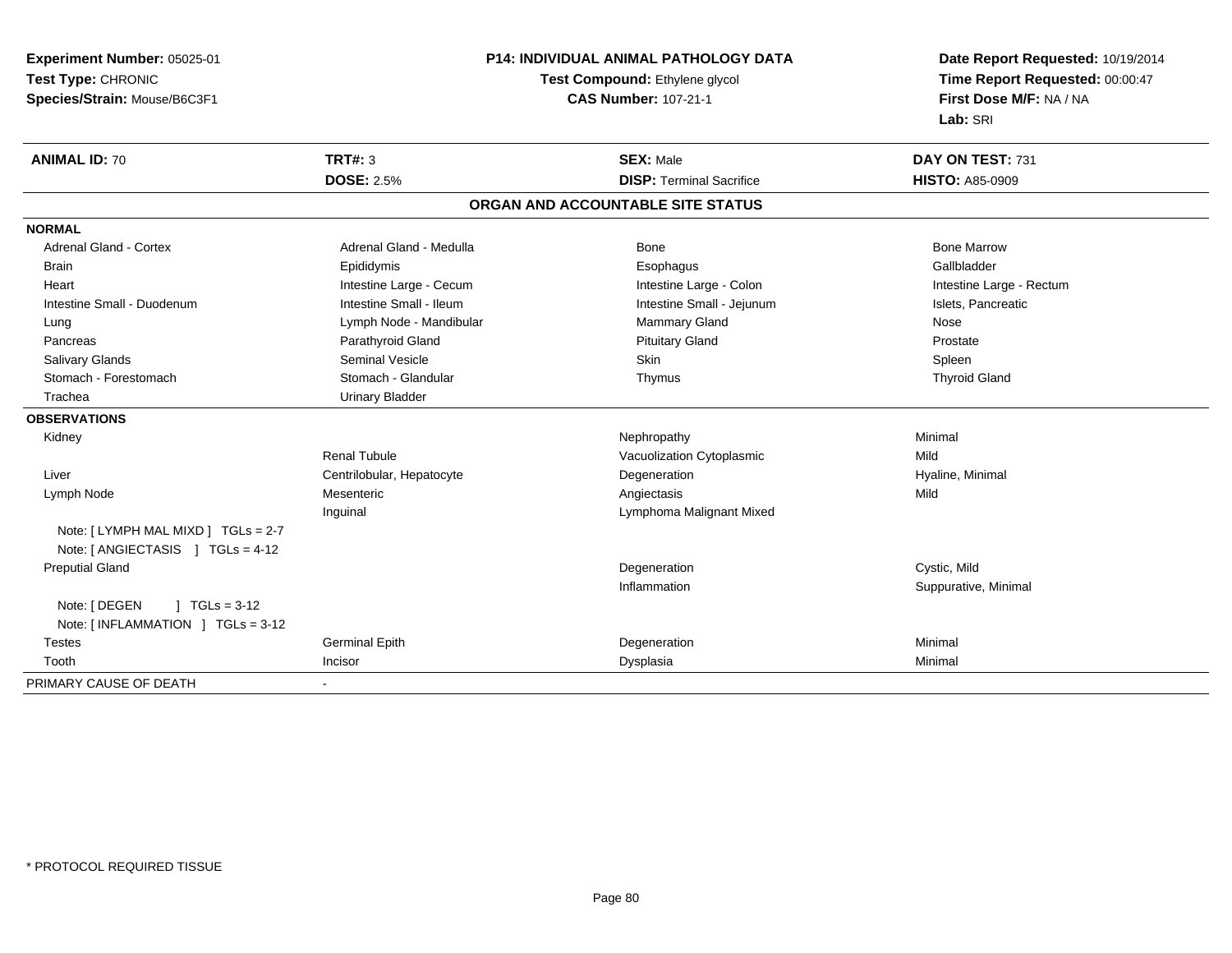**Experiment Number:** 05025-01**Test Type:** CHRONIC **Species/Strain:** Mouse/B6C3F1**P14: INDIVIDUAL ANIMAL PATHOLOGY DATATest Compound:** Ethylene glycol **CAS Number:** 107-21-1**Date Report Requested:** 10/19/2014**Time Report Requested:** 00:00:47**First Dose M/F:** NA / NA**Lab:** SRI**ANIMAL ID:** 70**CONDUCT SEX:** Male **DAY ON TEST:** 731 **DOSE:** 2.5% **DISP:** Terminal Sacrifice **HISTO:** A85-0909 **ORGAN AND ACCOUNTABLE SITE STATUSNORMALAdrenal Gland - Cortex** Adrenal Gland - Medulla **Bone Adrenal Gland - Cortex Adrenal Gland - Cortex Adrenal Gland - Medulla** Bone Marrow Gallbladder Brain Epididymis Epididymis and the Brook of the Brook of the Brook of the Brook of the Gallbladder of the Gallbladder Heart **Intestine Large - Cecum** Intestine Large - Cecum Intestine Large - Colon Intestine Large - Rectum Intestine Small - Duodenum **Intestine Small - Ileum** Intestine Small - Ileum Intestine Small - Jejunum Intestine Small - Jejunum Islets, Pancreatic Lung **Lymph Node - Mandibular Mammary Gland Nose** Mose Nose newspaper and Mose Nose Prostate Pancreas **Parathyroid Gland Prostate Parathyroid Gland** Prostate Prostate Prostate Prostate Spleen Salivary Glands Seminal Vesicle Skin Spleen**Thyroid Gland**  Stomach - Forestomach Stomach - Glandular Thymus Thyroid Gland Trachea Urinary Bladder**OBSERVATIONS** Kidneyy the controller of the controller of the controller of the Nephropathy the controller of the Minimal Minimal  $\lambda$ Renal TubuleVacuolization Cytoplasmic **Mild**  Liver Centrilobular, HepatocyteDegeneration **Hyaline**, Minimal Lymph Node Mesenteric Angiectasis Mild Inguinal Lymphoma Malignant MixedNote: [ LYMPH MAL MIXD ] TGLs = 2-7 Note: [ ANGIECTASIS ] TGLs = 4-12 Preputial Glandd the contract of the contract of the contract of the contract of the contract of the contract of the contract of the contract of the contract of the contract of the contract of the contract of the contract of the contract Inflammation Suppurative, Minimal Note: [ DEGEN ] TGLs = 3-12 Note: [ INFLAMMATION ] TGLs = 3-12 Testes Germinal Epithh ann an Degeneration ann an Degeneration ann an Minimal Toothh ann an Incisor ann an Incisor ann an t-an Dealais ann an Dysplasia ann an Dealais ann an Dealais an Dealais a<br>Iomraidhean PRIMARY CAUSE OF DEATH-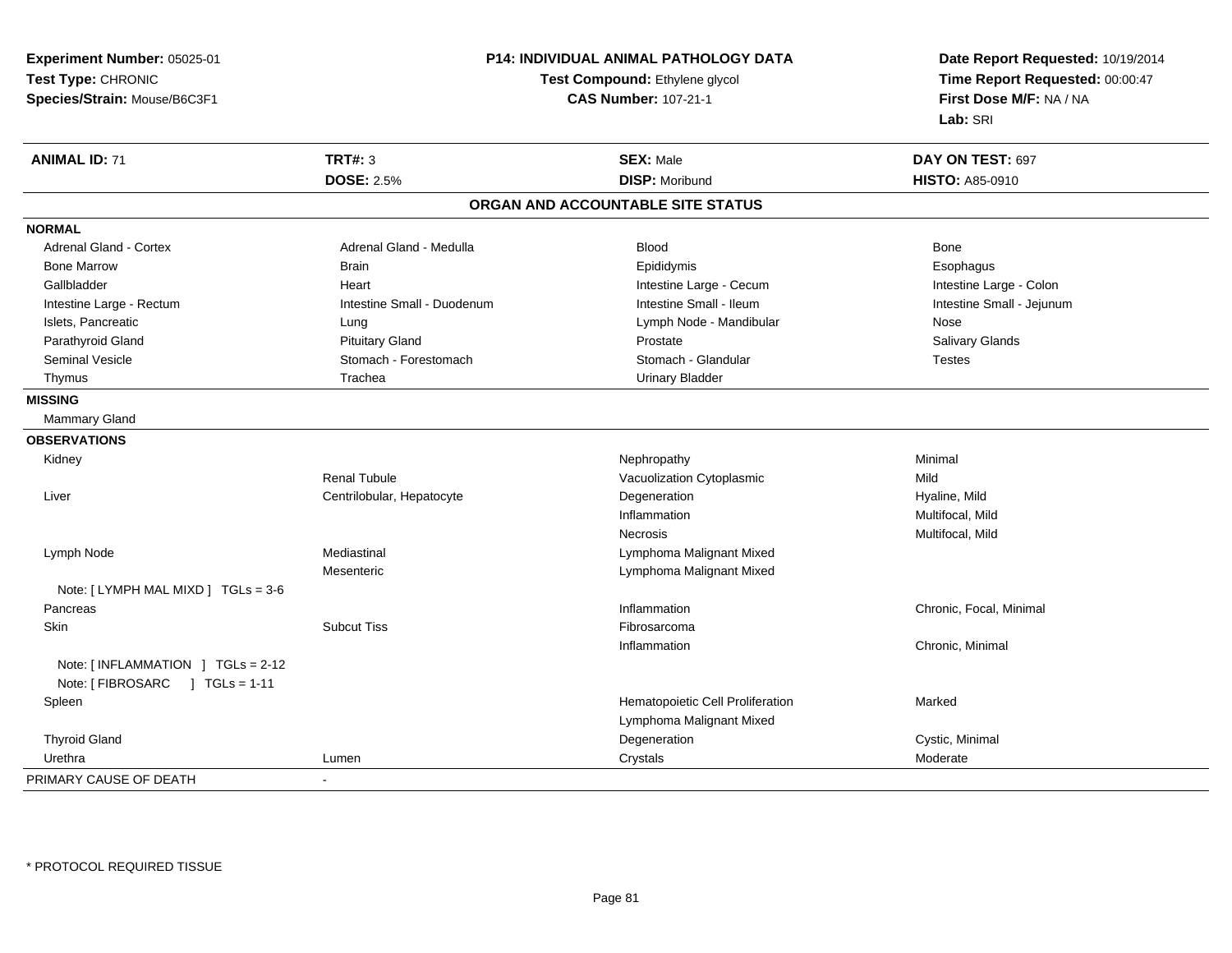**Experiment Number:** 05025-01**Test Type:** CHRONIC **Species/Strain:** Mouse/B6C3F1**P14: INDIVIDUAL ANIMAL PATHOLOGY DATATest Compound:** Ethylene glycol **CAS Number:** 107-21-1**Date Report Requested:** 10/19/2014**Time Report Requested:** 00:00:47**First Dose M/F:** NA / NA**Lab:** SRI**ANIMAL ID:** 71**TRT#:** 3 **SEX:** Male **DAY ON TEST:** 697 **DOSE:** 2.5%**28 Moribund 1997 Moribund 1997 Moribund 1997 Moribund 1997 HISTO: A85-0910 HISTO: A85-0910 ORGAN AND ACCOUNTABLE SITE STATUSNORMALAdrenal Gland - Cortex**  Adrenal Gland - Cortex Adrenal Gland - Medulla Blood BoneEsophagus Bone Marrow Brain Epididymis Esophagus Gallbladder **Eart** Heart Heart Heart Heart Intestine Large - Cecum Callbladder **Intestine Large - Colon** Intestine Small - Jejunum Intestine Large - Rectum **Intestine Small - Duodenum** Intestine Small - Ileum Intestine Small - Ileum Islets, Pancreatic **Notation Community Community** Current Lung Lymph Node - Mandibular Nose - Mandibular Nose Salivary Glands Parathyroid Gland Salivary Glands Pituitary Gland Prosection Prostate Prostate Salivary Glands Salivary Glands Seminal Vesicle Stomach - Stomach - Forestomach Stomach - Stomach - Glandular Stomach - Testes Thymus **Trachea** Trachea **Trachea** Urinary Bladder **MISSING** Mammary Gland**OBSERVATIONS** Kidneyy the control of the control of the control of the control of the control of the control of the control of the control of the control of the control of the control of the control of the control of the control of the contro Renal TubuleVacuolization Cytoplasmic<br>
Degeneration Mild<br>
Degeneration Mild Liver Centrilobular, Hepatocytee **Example 2018** Degeneration **Example 2018** Hyaline, Mild Inflammation Multifocal, Mild Necrosis Multifocal, Mild Lymph Node Mediastinal Lymphoma Malignant Mixed Mesenteric Lymphoma Malignant MixedNote: [ LYMPH MAL MIXD ] TGLs = 3-6 Pancreass and the contract of the contract of the contract of the contract of the contract of the contract of the contract of the contract of the contract of the contract of the contract of the contract of the contract of the cont Inflammation **Chronic, Focal, Minimal**<br>Fibrosarcoma Skinn and the subcut Tiss the subset of the set of the set of the set of the set of the set of the set of the set o Inflammation Chronic, Minimal Note: [ INFLAMMATION ] TGLs = 2-12Note: [ FIBROSARC ] TGLs = 1-11 SpleenHematopoietic Cell Proliferation Marked Lymphoma Malignant Mixed Thyroid Glandd and the controller controller controller controller controller controller controller controller controller controller controller controller controller controller controller controller controller controller controller con Urethraa and the control of the control of the control of the control of the control of the control of the control of the control of the control of the control of the control of the control of the control of the control of the co PRIMARY CAUSE OF DEATH-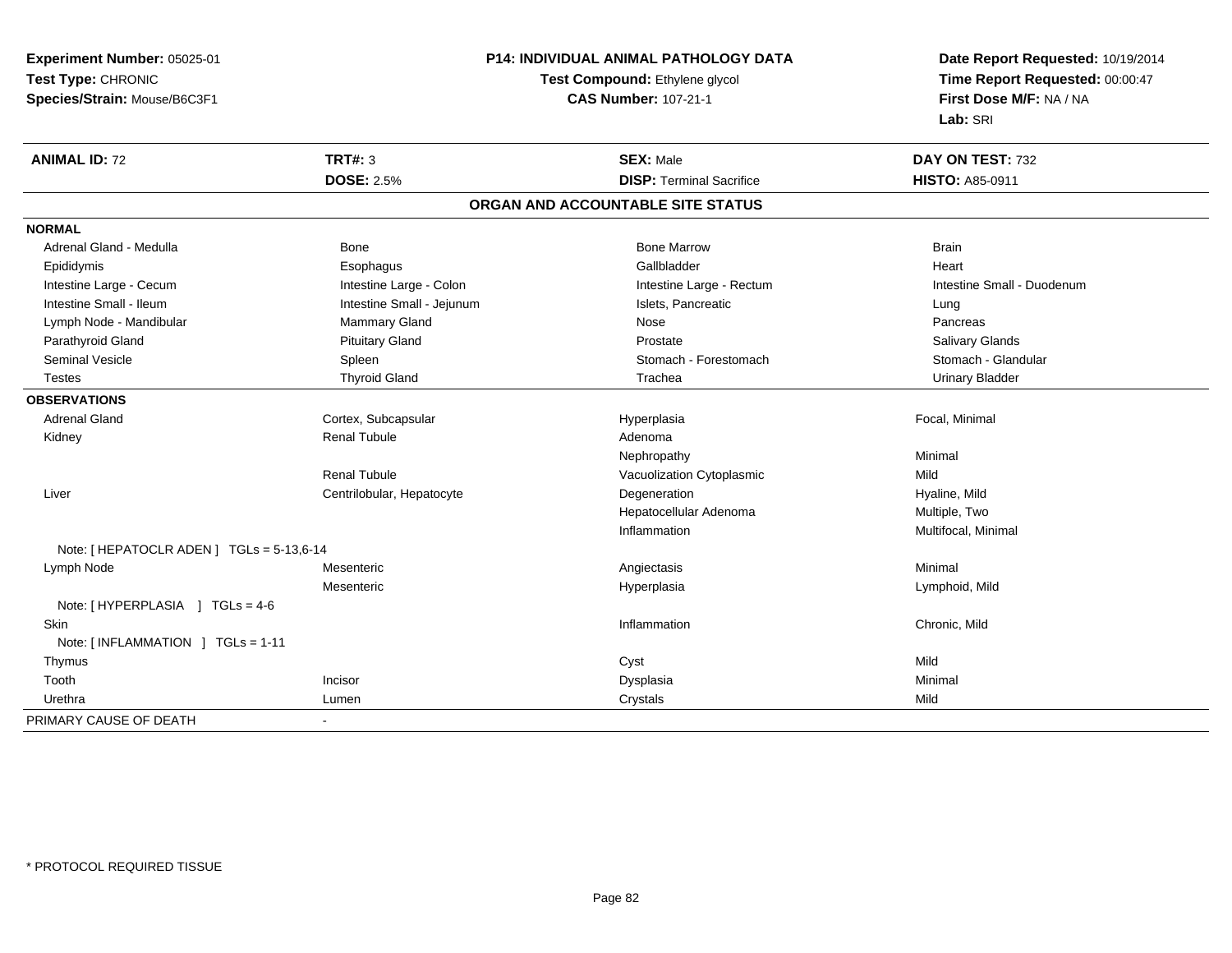| Experiment Number: 05025-01                      | P14: INDIVIDUAL ANIMAL PATHOLOGY DATA<br>Test Compound: Ethylene glycol<br><b>CAS Number: 107-21-1</b> |                                   | Date Report Requested: 10/19/2014 |  |
|--------------------------------------------------|--------------------------------------------------------------------------------------------------------|-----------------------------------|-----------------------------------|--|
| Test Type: CHRONIC                               |                                                                                                        |                                   | Time Report Requested: 00:00:47   |  |
| Species/Strain: Mouse/B6C3F1                     |                                                                                                        |                                   | First Dose M/F: NA / NA           |  |
|                                                  |                                                                                                        |                                   | Lab: SRI                          |  |
| <b>ANIMAL ID: 72</b>                             | <b>TRT#: 3</b>                                                                                         | <b>SEX: Male</b>                  | DAY ON TEST: 732                  |  |
|                                                  | <b>DOSE: 2.5%</b>                                                                                      | <b>DISP: Terminal Sacrifice</b>   | <b>HISTO: A85-0911</b>            |  |
|                                                  |                                                                                                        | ORGAN AND ACCOUNTABLE SITE STATUS |                                   |  |
| <b>NORMAL</b>                                    |                                                                                                        |                                   |                                   |  |
| Adrenal Gland - Medulla                          | <b>Bone</b>                                                                                            | <b>Bone Marrow</b>                | <b>Brain</b>                      |  |
| Epididymis                                       | Esophagus                                                                                              | Gallbladder                       | Heart                             |  |
| Intestine Large - Cecum                          | Intestine Large - Colon                                                                                | Intestine Large - Rectum          | Intestine Small - Duodenum        |  |
| Intestine Small - Ileum                          | Intestine Small - Jejunum                                                                              | Islets, Pancreatic                | Lung                              |  |
| Lymph Node - Mandibular                          | <b>Mammary Gland</b>                                                                                   | Nose                              | Pancreas                          |  |
| Parathyroid Gland                                | <b>Pituitary Gland</b>                                                                                 | Prostate                          | Salivary Glands                   |  |
| <b>Seminal Vesicle</b>                           | Spleen                                                                                                 | Stomach - Forestomach             | Stomach - Glandular               |  |
| <b>Testes</b>                                    | <b>Thyroid Gland</b>                                                                                   | Trachea                           | <b>Urinary Bladder</b>            |  |
| <b>OBSERVATIONS</b>                              |                                                                                                        |                                   |                                   |  |
| <b>Adrenal Gland</b>                             | Cortex, Subcapsular                                                                                    | Hyperplasia                       | Focal, Minimal                    |  |
| Kidney                                           | <b>Renal Tubule</b>                                                                                    | Adenoma                           |                                   |  |
|                                                  |                                                                                                        | Nephropathy                       | Minimal                           |  |
|                                                  | <b>Renal Tubule</b>                                                                                    | Vacuolization Cytoplasmic         | Mild                              |  |
| Liver                                            | Centrilobular, Hepatocyte                                                                              | Degeneration                      | Hyaline, Mild                     |  |
|                                                  |                                                                                                        | Hepatocellular Adenoma            | Multiple, Two                     |  |
|                                                  |                                                                                                        | Inflammation                      | Multifocal, Minimal               |  |
| Note: [HEPATOCLR ADEN] TGLs = 5-13,6-14          |                                                                                                        |                                   |                                   |  |
| Lymph Node                                       | Mesenteric                                                                                             | Angiectasis                       | Minimal                           |  |
|                                                  | Mesenteric                                                                                             | Hyperplasia                       | Lymphoid, Mild                    |  |
| Note: [HYPERPLASIA ] TGLs = 4-6                  |                                                                                                        |                                   |                                   |  |
| Skin                                             |                                                                                                        | Inflammation                      | Chronic, Mild                     |  |
| Note: $\lceil$ INFLAMMATION $\lceil$ TGLs = 1-11 |                                                                                                        |                                   |                                   |  |
| Thymus                                           |                                                                                                        | Cyst                              | Mild                              |  |
| Tooth<br>Incisor                                 |                                                                                                        | Dysplasia                         | Minimal                           |  |
| Urethra<br>Lumen                                 |                                                                                                        | Crystals                          | Mild                              |  |
| PRIMARY CAUSE OF DEATH<br>$\blacksquare$         |                                                                                                        |                                   |                                   |  |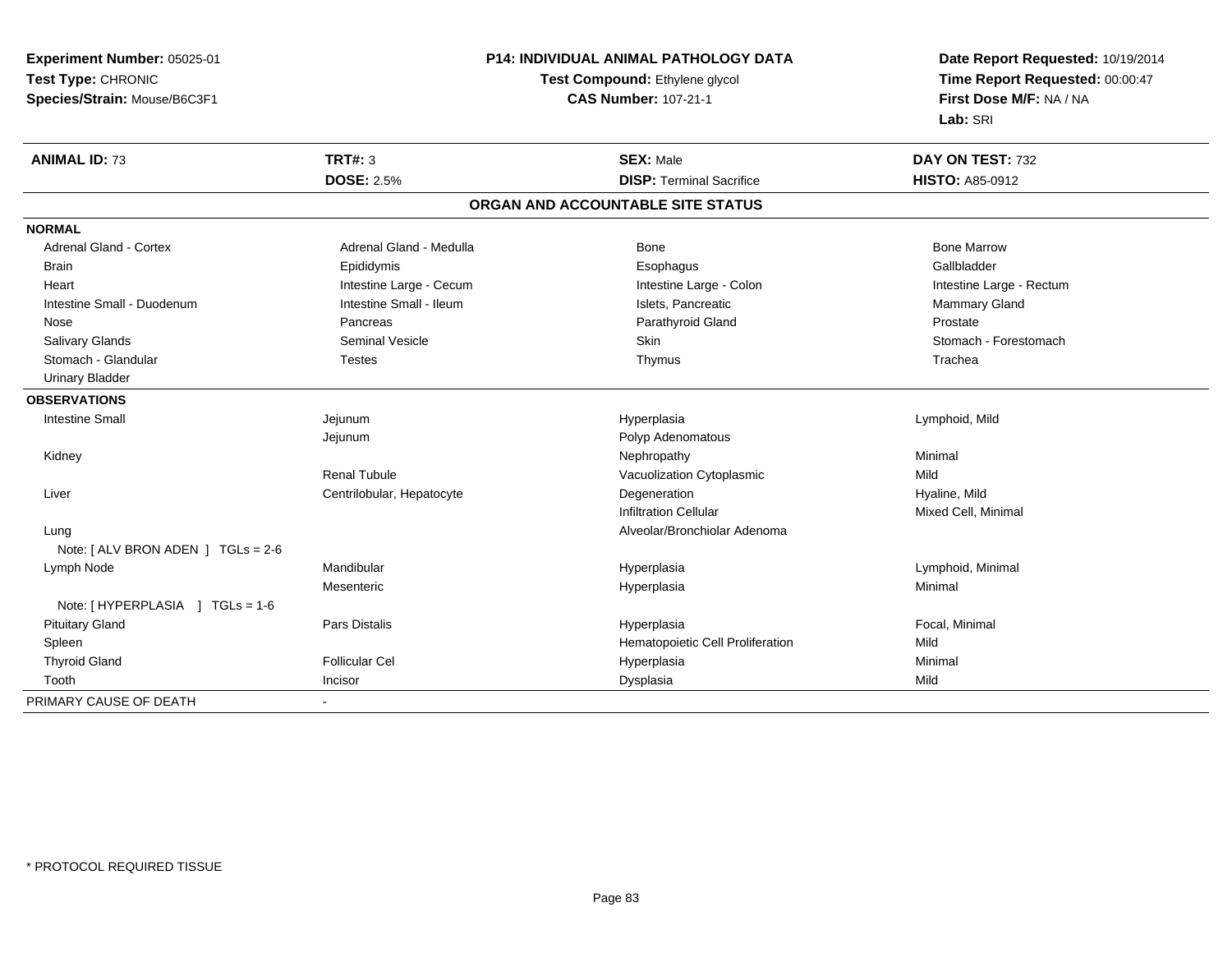| Experiment Number: 05025-01                              | <b>P14: INDIVIDUAL ANIMAL PATHOLOGY DATA</b> | Date Report Requested: 10/19/2014<br>Time Report Requested: 00:00:47 |  |
|----------------------------------------------------------|----------------------------------------------|----------------------------------------------------------------------|--|
| Test Type: CHRONIC                                       | Test Compound: Ethylene glycol               |                                                                      |  |
| Species/Strain: Mouse/B6C3F1                             | <b>CAS Number: 107-21-1</b>                  | First Dose M/F: NA / NA                                              |  |
|                                                          |                                              | Lab: SRI                                                             |  |
| <b>TRT#: 3</b><br><b>ANIMAL ID: 73</b>                   | <b>SEX: Male</b>                             | DAY ON TEST: 732                                                     |  |
| <b>DOSE: 2.5%</b>                                        | <b>DISP: Terminal Sacrifice</b>              | <b>HISTO: A85-0912</b>                                               |  |
|                                                          | ORGAN AND ACCOUNTABLE SITE STATUS            |                                                                      |  |
| <b>NORMAL</b>                                            |                                              |                                                                      |  |
| <b>Adrenal Gland - Cortex</b><br>Adrenal Gland - Medulla | Bone                                         | <b>Bone Marrow</b>                                                   |  |
| <b>Brain</b><br>Epididymis                               | Esophagus                                    | Gallbladder                                                          |  |
| Intestine Large - Cecum<br>Heart                         | Intestine Large - Colon                      | Intestine Large - Rectum                                             |  |
| Intestine Small - Ileum<br>Intestine Small - Duodenum    | Islets, Pancreatic                           | Mammary Gland                                                        |  |
| Nose<br>Pancreas                                         | Parathyroid Gland                            | Prostate                                                             |  |
| <b>Seminal Vesicle</b><br><b>Salivary Glands</b>         | Skin                                         | Stomach - Forestomach                                                |  |
| Stomach - Glandular<br><b>Testes</b>                     | Thymus                                       | Trachea                                                              |  |
| <b>Urinary Bladder</b>                                   |                                              |                                                                      |  |
| <b>OBSERVATIONS</b>                                      |                                              |                                                                      |  |
| <b>Intestine Small</b><br>Jejunum                        | Hyperplasia                                  | Lymphoid, Mild                                                       |  |
| Jejunum                                                  | Polyp Adenomatous                            |                                                                      |  |
| Kidney                                                   | Nephropathy                                  | Minimal                                                              |  |
| <b>Renal Tubule</b>                                      | Vacuolization Cytoplasmic                    | Mild                                                                 |  |
| Centrilobular, Hepatocyte<br>Liver                       | Degeneration                                 | Hyaline, Mild                                                        |  |
|                                                          | <b>Infiltration Cellular</b>                 | Mixed Cell, Minimal                                                  |  |
| Lung                                                     | Alveolar/Bronchiolar Adenoma                 |                                                                      |  |
| Note: $[ALV$ BRON ADEN $]$ TGLs = 2-6                    |                                              |                                                                      |  |
| Mandibular<br>Lymph Node                                 | Hyperplasia                                  | Lymphoid, Minimal                                                    |  |
| Mesenteric                                               | Hyperplasia                                  | Minimal                                                              |  |
| Note: [HYPERPLASIA ] TGLs = 1-6                          |                                              |                                                                      |  |
| <b>Pituitary Gland</b><br>Pars Distalis                  | Hyperplasia                                  | Focal, Minimal                                                       |  |
| Spleen                                                   | Hematopoietic Cell Proliferation             | Mild                                                                 |  |
| <b>Thyroid Gland</b><br><b>Follicular Cel</b>            | Hyperplasia                                  | Minimal                                                              |  |
| Tooth<br>Incisor                                         | Dysplasia                                    | Mild                                                                 |  |
| PRIMARY CAUSE OF DEATH<br>$\blacksquare$                 |                                              |                                                                      |  |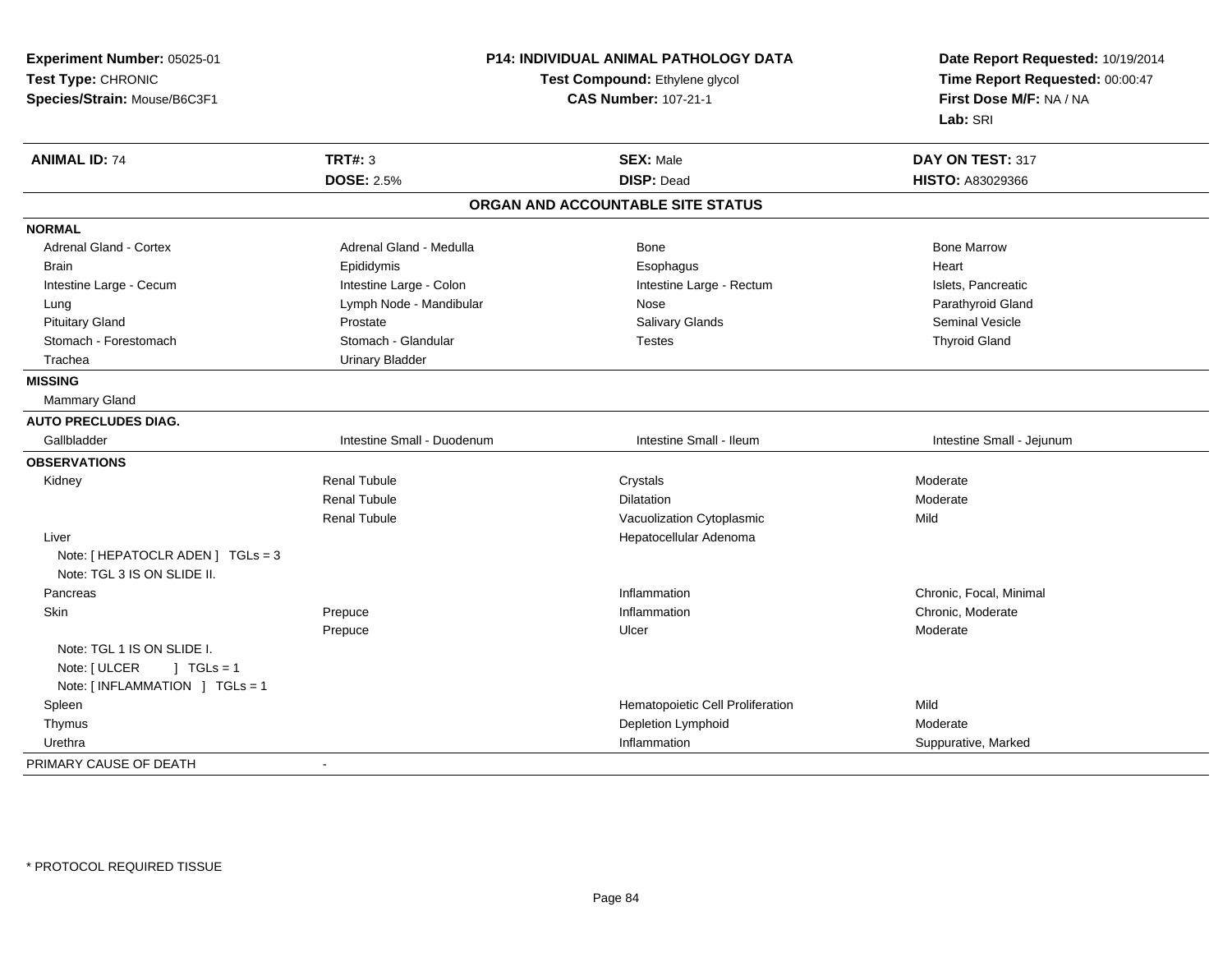| Experiment Number: 05025-01       |                                                               | P14: INDIVIDUAL ANIMAL PATHOLOGY DATA | Date Report Requested: 10/19/2014                          |  |
|-----------------------------------|---------------------------------------------------------------|---------------------------------------|------------------------------------------------------------|--|
| Test Type: CHRONIC                | Test Compound: Ethylene glycol<br><b>CAS Number: 107-21-1</b> |                                       | Time Report Requested: 00:00:47<br>First Dose M/F: NA / NA |  |
| Species/Strain: Mouse/B6C3F1      |                                                               |                                       |                                                            |  |
|                                   |                                                               |                                       | Lab: SRI                                                   |  |
| <b>ANIMAL ID: 74</b>              | <b>TRT#: 3</b>                                                | <b>SEX: Male</b>                      | DAY ON TEST: 317                                           |  |
|                                   | <b>DOSE: 2.5%</b>                                             | <b>DISP: Dead</b>                     | HISTO: A83029366                                           |  |
|                                   |                                                               | ORGAN AND ACCOUNTABLE SITE STATUS     |                                                            |  |
| <b>NORMAL</b>                     |                                                               |                                       |                                                            |  |
| <b>Adrenal Gland - Cortex</b>     | Adrenal Gland - Medulla                                       | Bone                                  | <b>Bone Marrow</b>                                         |  |
| Brain                             | Epididymis                                                    | Esophagus                             | Heart                                                      |  |
| Intestine Large - Cecum           | Intestine Large - Colon                                       | Intestine Large - Rectum              | Islets, Pancreatic                                         |  |
| Lung                              | Lymph Node - Mandibular                                       | Nose                                  | Parathyroid Gland                                          |  |
| <b>Pituitary Gland</b>            | Prostate                                                      | Salivary Glands                       | <b>Seminal Vesicle</b>                                     |  |
| Stomach - Forestomach             | Stomach - Glandular                                           | <b>Testes</b>                         | <b>Thyroid Gland</b>                                       |  |
| Trachea                           | <b>Urinary Bladder</b>                                        |                                       |                                                            |  |
| <b>MISSING</b>                    |                                                               |                                       |                                                            |  |
| Mammary Gland                     |                                                               |                                       |                                                            |  |
| <b>AUTO PRECLUDES DIAG.</b>       |                                                               |                                       |                                                            |  |
| Gallbladder                       | Intestine Small - Duodenum                                    | Intestine Small - Ileum               | Intestine Small - Jejunum                                  |  |
| <b>OBSERVATIONS</b>               |                                                               |                                       |                                                            |  |
| Kidney                            | <b>Renal Tubule</b>                                           | Crystals                              | Moderate                                                   |  |
|                                   | <b>Renal Tubule</b>                                           | <b>Dilatation</b>                     | Moderate                                                   |  |
|                                   | <b>Renal Tubule</b>                                           | Vacuolization Cytoplasmic             | Mild                                                       |  |
| Liver                             |                                                               | Hepatocellular Adenoma                |                                                            |  |
| Note: [ HEPATOCLR ADEN ] TGLs = 3 |                                                               |                                       |                                                            |  |
| Note: TGL 3 IS ON SLIDE II.       |                                                               |                                       |                                                            |  |
| Pancreas                          |                                                               | Inflammation                          | Chronic, Focal, Minimal                                    |  |
| Skin                              | Prepuce                                                       | Inflammation                          | Chronic, Moderate                                          |  |
|                                   | Prepuce                                                       | Ulcer                                 | Moderate                                                   |  |
| Note: TGL 1 IS ON SLIDE I.        |                                                               |                                       |                                                            |  |
| Note: [ ULCER<br>$\vert$ TGLs = 1 |                                                               |                                       |                                                            |  |
| Note: [INFLAMMATION ] TGLs = 1    |                                                               |                                       |                                                            |  |
| Spleen                            |                                                               | Hematopoietic Cell Proliferation      | Mild                                                       |  |
| Thymus                            |                                                               | Depletion Lymphoid                    | Moderate                                                   |  |
| Urethra                           |                                                               | Inflammation                          | Suppurative, Marked                                        |  |
| PRIMARY CAUSE OF DEATH            | $\sim$                                                        |                                       |                                                            |  |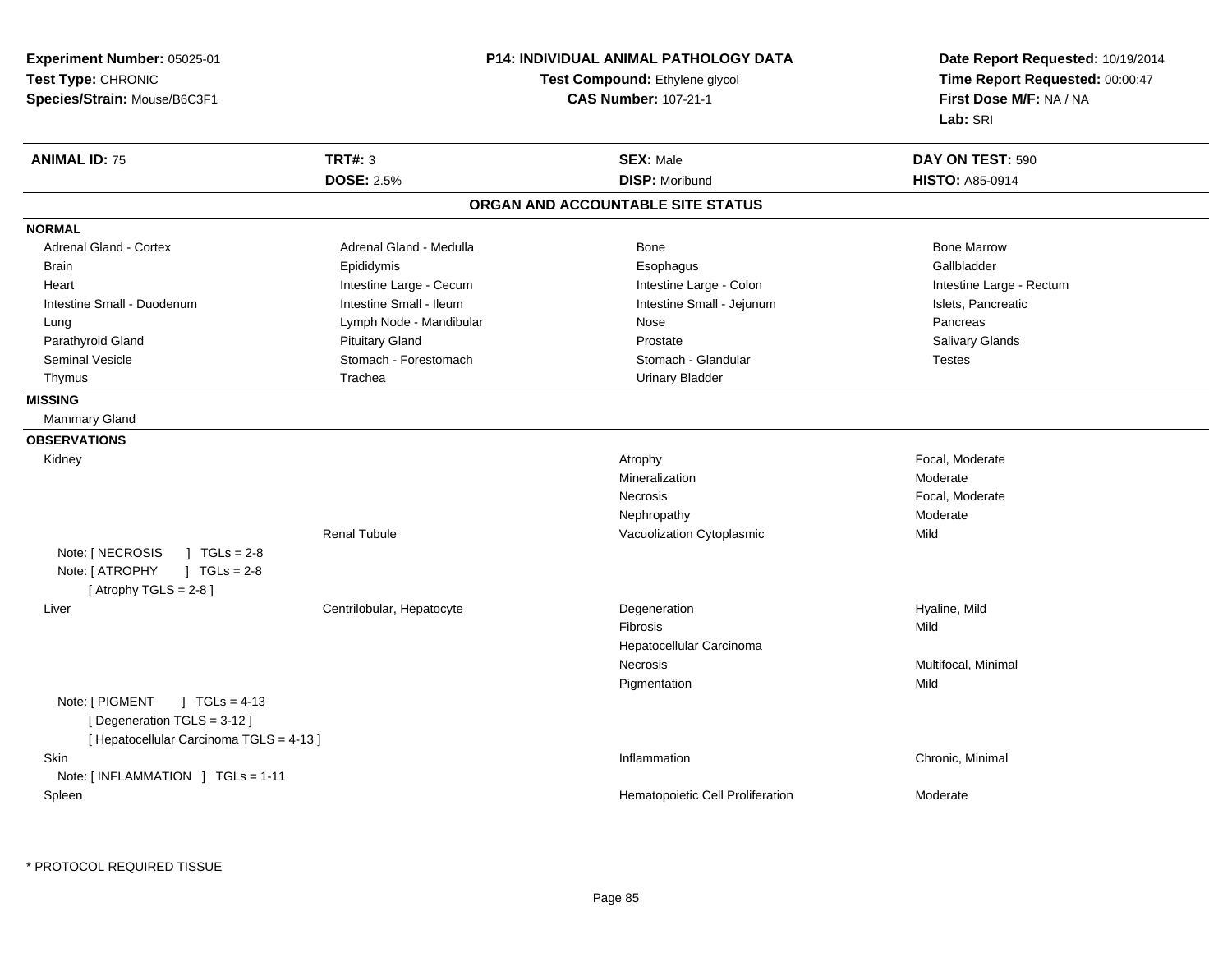**Experiment Number:** 05025-01**Test Type:** CHRONIC **Species/Strain:** Mouse/B6C3F1**P14: INDIVIDUAL ANIMAL PATHOLOGY DATATest Compound:** Ethylene glycol **CAS Number:** 107-21-1**Date Report Requested:** 10/19/2014**Time Report Requested:** 00:00:47**First Dose M/F:** NA / NA**Lab:** SRI**ANIMAL ID:** 75 **TRT#:** <sup>3</sup> **SEX:** Male **DAY ON TEST:** <sup>590</sup> **DOSE:** 2.5%**DISP:** Moribund **HISTO:** A85-0914 **ORGAN AND ACCOUNTABLE SITE STATUSNORMALAdrenal Gland - Cortex** Adrenal Gland - Medulla **Bone Adrenal Gland - Cortex Adrenal Gland - Cortex Adrenal Gland - Medulla** Bone Marrow Gallbladder Brain Epididymis Epididymis and the Brook of the Brook of the Brook of the Brook of the Gallbladder of the Gallbladder Heart **Intestine Large - Cecum** Intestine Large - Cecum Intestine Large - Colon Intestine Large - Rectum Intestine Small - Duodenum **Intestine Small - Ileum** Intestine Small - Ileum Intestine Small - Jejunum Intestine Small - Jejunum Islets, Pancreatic Lung **Lymph Node - Mandibular Nose Pancreas** Pancreas Pancreas **Salivary Glands** Parathyroid Gland Salivary Glands Pituitary Gland Prosection Prostate Prostate Salivary Glands Salivary Glands Seminal Vesicle Stomach - Stomach - Forestomach Stomach - Stomach - Glandular Stomach - Testes Thymus **Trachea** Trachea **Trachea** Urinary Bladder **MISSING** Mammary Gland**OBSERVATIONS** Kidneyy the control of the control of the control of the control of the control of the control of the control of the control of the control of the control of the control of the control of the control of the control of the contro Mineralizationn Moderate Necrosis Focal, ModerateNephropathyy and the contract of the Moderate Renal TubuleVacuolization Cytoplasmic **Mild** Note: [ NECROSIS ] TGLs = 2-8  $1 TGLs = 2-8$ Note: [ ATROPHY  $[$  Atrophy TGLS = 2-8  $]$  Liver Centrilobular, HepatocyteDegeneration **Example 2018** Hyaline, Mild<br>
Fibrosis Fibrosiss and the contract of the Mild Hepatocellular CarcinomaNecrosis Multifocal, Minimal Pigmentationn Mild Note: [ PIGMENT ] TGLs = 4-13 [ Degeneration TGLS = 3-12 ][ Hepatocellular Carcinoma TGLS = 4-13 ]**Skin** n and the contract of the contract of the contract of the contract of the contract of the contract of the contract of the contract of the contract of the contract of the contract of the contract of the contract of the cont Note: [ INFLAMMATION ] TGLs = 1-11 SpleenHematopoietic Cell Proliferation Moderate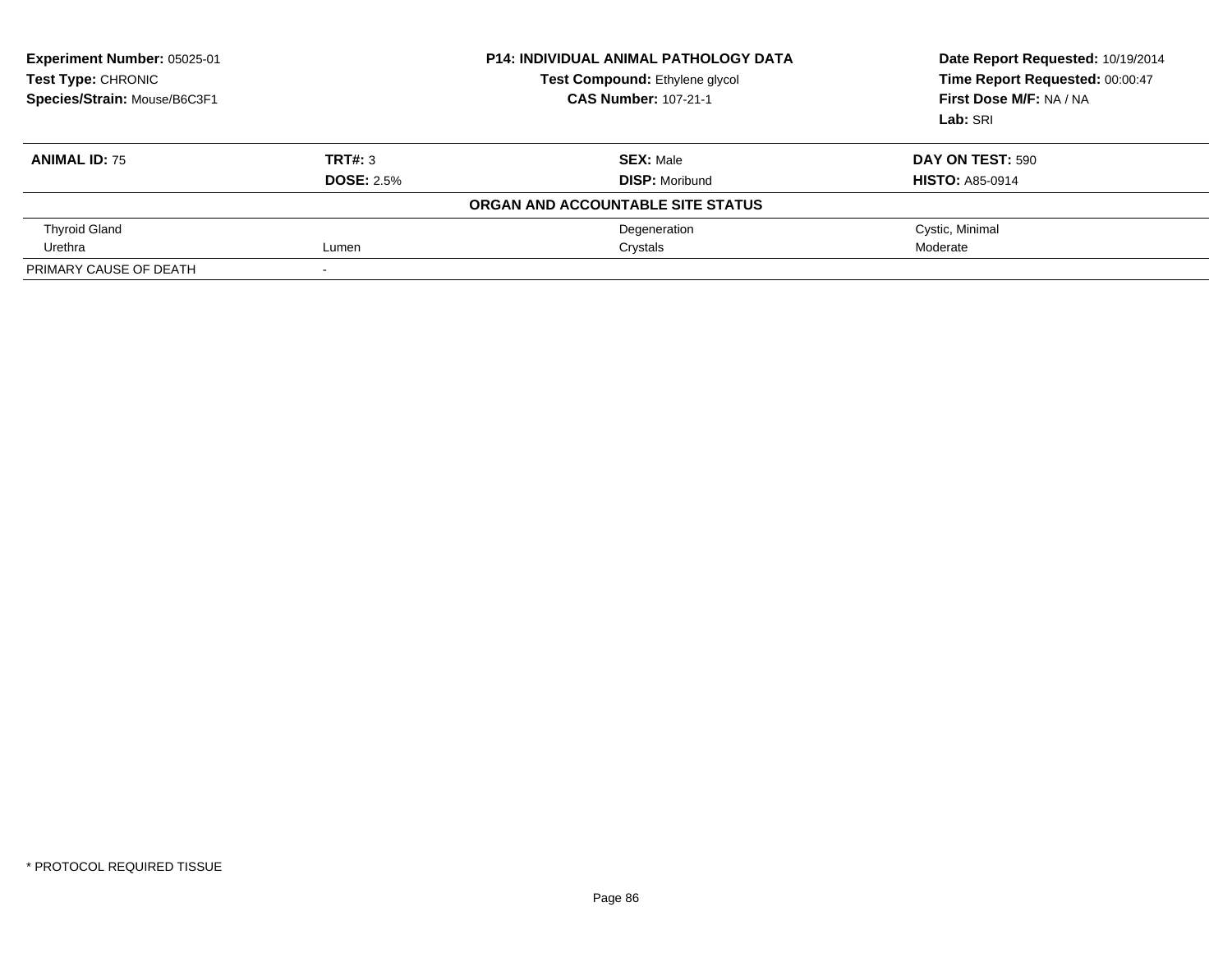| Experiment Number: 05025-01<br>Test Type: CHRONIC<br>Species/Strain: Mouse/B6C3F1 |                          | <b>P14: INDIVIDUAL ANIMAL PATHOLOGY DATA</b><br>Test Compound: Ethylene glycol<br><b>CAS Number: 107-21-1</b> | Date Report Requested: 10/19/2014<br>Time Report Requested: 00:00:47<br>First Dose M/F: NA / NA<br>Lab: SRI |
|-----------------------------------------------------------------------------------|--------------------------|---------------------------------------------------------------------------------------------------------------|-------------------------------------------------------------------------------------------------------------|
| <b>ANIMAL ID: 75</b>                                                              | TRT#: 3                  | <b>SEX: Male</b>                                                                                              | DAY ON TEST: 590                                                                                            |
|                                                                                   | <b>DOSE: 2.5%</b>        | <b>DISP:</b> Moribund                                                                                         | <b>HISTO: A85-0914</b>                                                                                      |
|                                                                                   |                          | ORGAN AND ACCOUNTABLE SITE STATUS                                                                             |                                                                                                             |
| <b>Thyroid Gland</b>                                                              |                          | Degeneration                                                                                                  | Cystic, Minimal                                                                                             |
| Urethra                                                                           | Lumen                    | Crystals                                                                                                      | Moderate                                                                                                    |
| PRIMARY CAUSE OF DEATH                                                            | $\overline{\phantom{0}}$ |                                                                                                               |                                                                                                             |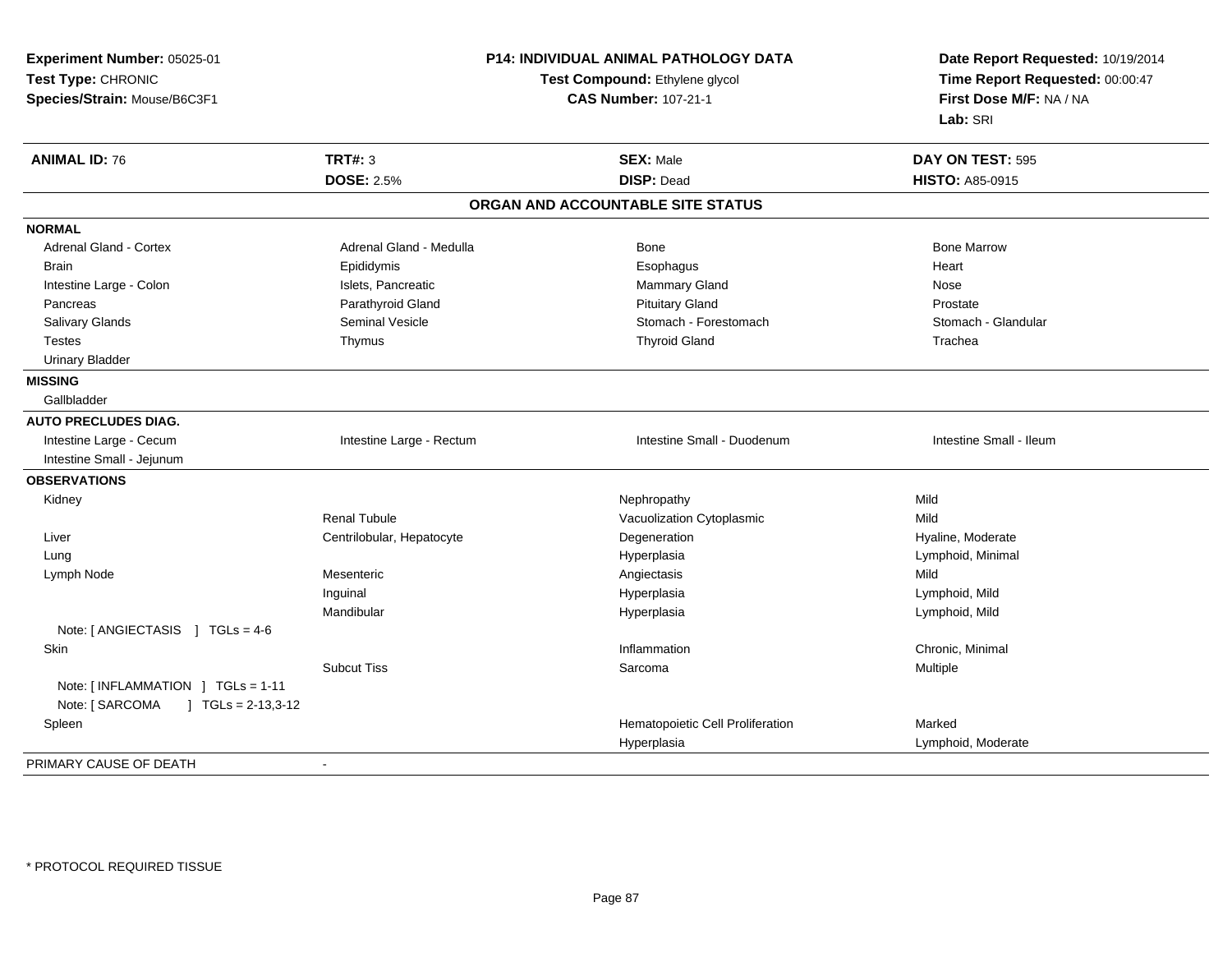| Experiment Number: 05025-01                                                             |                                                               | P14: INDIVIDUAL ANIMAL PATHOLOGY DATA | Date Report Requested: 10/19/2014                          |  |
|-----------------------------------------------------------------------------------------|---------------------------------------------------------------|---------------------------------------|------------------------------------------------------------|--|
| Test Type: CHRONIC                                                                      | Test Compound: Ethylene glycol<br><b>CAS Number: 107-21-1</b> |                                       | Time Report Requested: 00:00:47<br>First Dose M/F: NA / NA |  |
| Species/Strain: Mouse/B6C3F1                                                            |                                                               |                                       |                                                            |  |
|                                                                                         |                                                               |                                       | Lab: SRI                                                   |  |
| <b>ANIMAL ID: 76</b>                                                                    | <b>TRT#: 3</b>                                                | <b>SEX: Male</b>                      | DAY ON TEST: 595                                           |  |
|                                                                                         | <b>DOSE: 2.5%</b>                                             | <b>DISP: Dead</b>                     | <b>HISTO: A85-0915</b>                                     |  |
|                                                                                         |                                                               | ORGAN AND ACCOUNTABLE SITE STATUS     |                                                            |  |
| <b>NORMAL</b>                                                                           |                                                               |                                       |                                                            |  |
| Adrenal Gland - Cortex                                                                  | Adrenal Gland - Medulla                                       | Bone                                  | <b>Bone Marrow</b>                                         |  |
| <b>Brain</b>                                                                            | Epididymis                                                    | Esophagus                             | Heart                                                      |  |
| Intestine Large - Colon                                                                 | Islets, Pancreatic                                            | Mammary Gland                         | Nose                                                       |  |
| Pancreas                                                                                | Parathyroid Gland                                             | <b>Pituitary Gland</b>                | Prostate                                                   |  |
| Salivary Glands                                                                         | Seminal Vesicle                                               | Stomach - Forestomach                 | Stomach - Glandular                                        |  |
| <b>Testes</b>                                                                           | Thymus                                                        | <b>Thyroid Gland</b>                  | Trachea                                                    |  |
| <b>Urinary Bladder</b>                                                                  |                                                               |                                       |                                                            |  |
| <b>MISSING</b>                                                                          |                                                               |                                       |                                                            |  |
| Gallbladder                                                                             |                                                               |                                       |                                                            |  |
| <b>AUTO PRECLUDES DIAG.</b>                                                             |                                                               |                                       |                                                            |  |
| Intestine Large - Cecum                                                                 | Intestine Large - Rectum                                      | Intestine Small - Duodenum            | Intestine Small - Ileum                                    |  |
| Intestine Small - Jejunum                                                               |                                                               |                                       |                                                            |  |
| <b>OBSERVATIONS</b>                                                                     |                                                               |                                       |                                                            |  |
| Kidney                                                                                  |                                                               | Nephropathy                           | Mild                                                       |  |
|                                                                                         | <b>Renal Tubule</b>                                           | Vacuolization Cytoplasmic             | Mild                                                       |  |
| Liver                                                                                   | Centrilobular, Hepatocyte                                     | Degeneration                          | Hyaline, Moderate                                          |  |
| Lung                                                                                    |                                                               | Hyperplasia                           | Lymphoid, Minimal                                          |  |
| Lymph Node                                                                              | Mesenteric                                                    | Angiectasis                           | Mild                                                       |  |
|                                                                                         | Inguinal                                                      | Hyperplasia                           | Lymphoid, Mild                                             |  |
| Note: [ ANGIECTASIS ] TGLs = 4-6                                                        | Mandibular                                                    | Hyperplasia                           | Lymphoid, Mild                                             |  |
| Skin                                                                                    |                                                               | Inflammation                          | Chronic, Minimal                                           |  |
|                                                                                         | <b>Subcut Tiss</b>                                            | Sarcoma                               | Multiple                                                   |  |
| Note: [INFLAMMATION ] TGLs = 1-11<br>Note: [ SARCOMA<br>$\overline{)}$ TGLs = 2-13,3-12 |                                                               |                                       |                                                            |  |
| Spleen                                                                                  |                                                               | Hematopoietic Cell Proliferation      | Marked                                                     |  |
|                                                                                         |                                                               | Hyperplasia                           | Lymphoid, Moderate                                         |  |
| PRIMARY CAUSE OF DEATH                                                                  | $\sim$                                                        |                                       |                                                            |  |
|                                                                                         |                                                               |                                       |                                                            |  |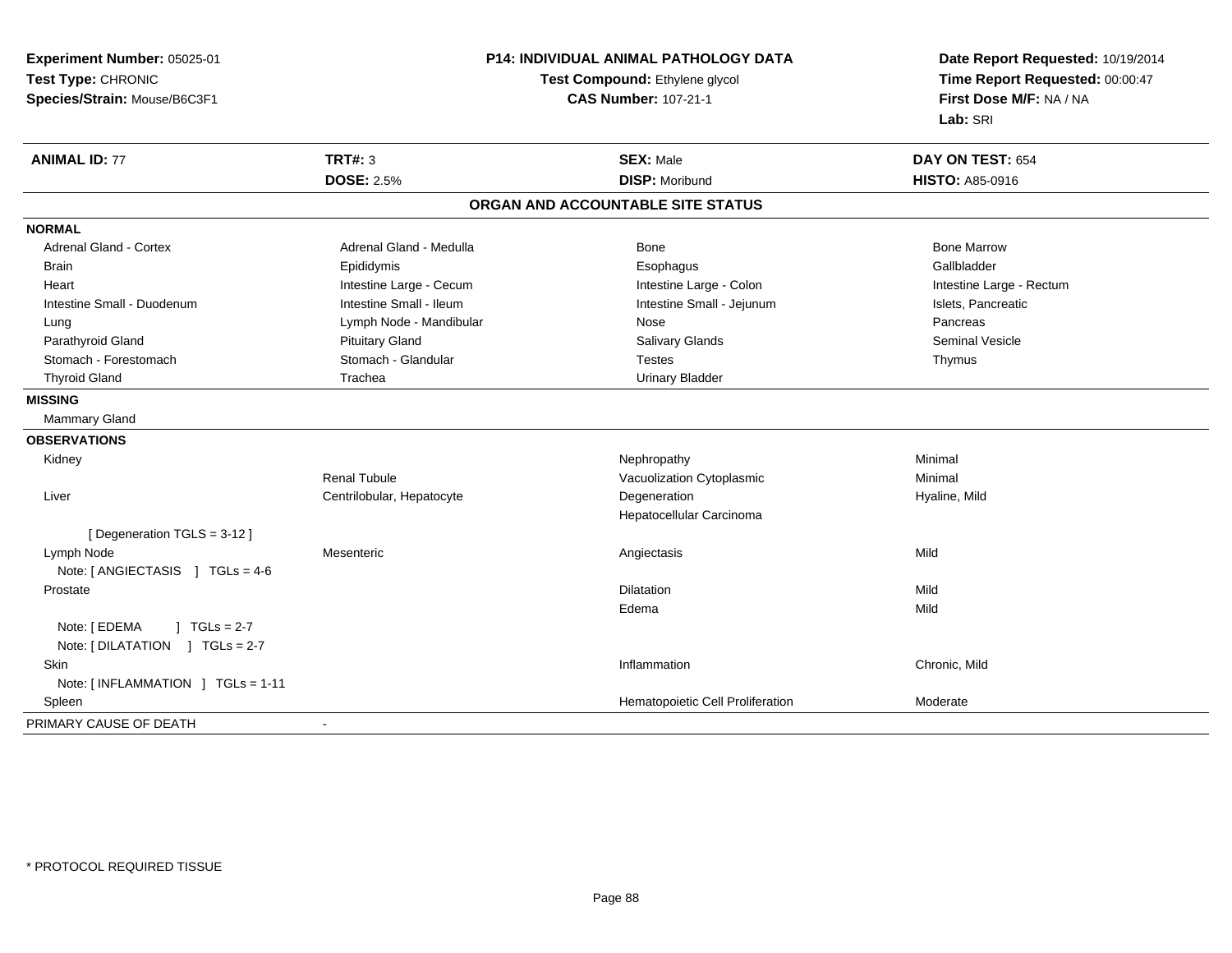| Experiment Number: 05025-01                              | P14: INDIVIDUAL ANIMAL PATHOLOGY DATA | Date Report Requested: 10/19/2014                          |  |
|----------------------------------------------------------|---------------------------------------|------------------------------------------------------------|--|
| Test Type: CHRONIC                                       | Test Compound: Ethylene glycol        | Time Report Requested: 00:00:47<br>First Dose M/F: NA / NA |  |
| Species/Strain: Mouse/B6C3F1                             | <b>CAS Number: 107-21-1</b>           |                                                            |  |
|                                                          |                                       | Lab: SRI                                                   |  |
| <b>TRT#: 3</b><br><b>ANIMAL ID: 77</b>                   | <b>SEX: Male</b>                      | DAY ON TEST: 654                                           |  |
| <b>DOSE: 2.5%</b>                                        | <b>DISP: Moribund</b>                 | <b>HISTO: A85-0916</b>                                     |  |
|                                                          | ORGAN AND ACCOUNTABLE SITE STATUS     |                                                            |  |
| <b>NORMAL</b>                                            |                                       |                                                            |  |
| <b>Adrenal Gland - Cortex</b><br>Adrenal Gland - Medulla | Bone                                  | <b>Bone Marrow</b>                                         |  |
| Epididymis<br><b>Brain</b>                               | Esophagus                             | Gallbladder                                                |  |
| Intestine Large - Cecum<br>Heart                         | Intestine Large - Colon               | Intestine Large - Rectum                                   |  |
| Intestine Small - Ileum<br>Intestine Small - Duodenum    | Intestine Small - Jejunum             | Islets, Pancreatic                                         |  |
| Lymph Node - Mandibular<br>Lung                          | Nose                                  | Pancreas                                                   |  |
| <b>Pituitary Gland</b><br>Parathyroid Gland              | <b>Salivary Glands</b>                | <b>Seminal Vesicle</b>                                     |  |
| Stomach - Forestomach<br>Stomach - Glandular             | <b>Testes</b>                         | Thymus                                                     |  |
| <b>Thyroid Gland</b><br>Trachea                          | <b>Urinary Bladder</b>                |                                                            |  |
| <b>MISSING</b>                                           |                                       |                                                            |  |
| Mammary Gland                                            |                                       |                                                            |  |
| <b>OBSERVATIONS</b>                                      |                                       |                                                            |  |
| Kidney                                                   | Nephropathy                           | Minimal                                                    |  |
| <b>Renal Tubule</b>                                      | Vacuolization Cytoplasmic             | Minimal                                                    |  |
| Centrilobular, Hepatocyte<br>Liver                       | Degeneration                          | Hyaline, Mild                                              |  |
|                                                          | Hepatocellular Carcinoma              |                                                            |  |
| [Degeneration TGLS = 3-12]                               |                                       |                                                            |  |
| Lymph Node<br>Mesenteric                                 | Angiectasis                           | Mild                                                       |  |
| Note: [ ANGIECTASIS ] TGLs = 4-6                         |                                       |                                                            |  |
| Prostate                                                 | <b>Dilatation</b>                     | Mild                                                       |  |
|                                                          | Edema                                 | Mild                                                       |  |
| Note: [ EDEMA<br>] $TGLs = 2-7$                          |                                       |                                                            |  |
| Note: [DILATATION ] TGLs = 2-7                           |                                       |                                                            |  |
| Skin                                                     | Inflammation                          | Chronic, Mild                                              |  |
| Note: [INFLAMMATION ] TGLs = 1-11                        |                                       |                                                            |  |
| Spleen                                                   | Hematopoietic Cell Proliferation      | Moderate                                                   |  |
| PRIMARY CAUSE OF DEATH<br>$\blacksquare$                 |                                       |                                                            |  |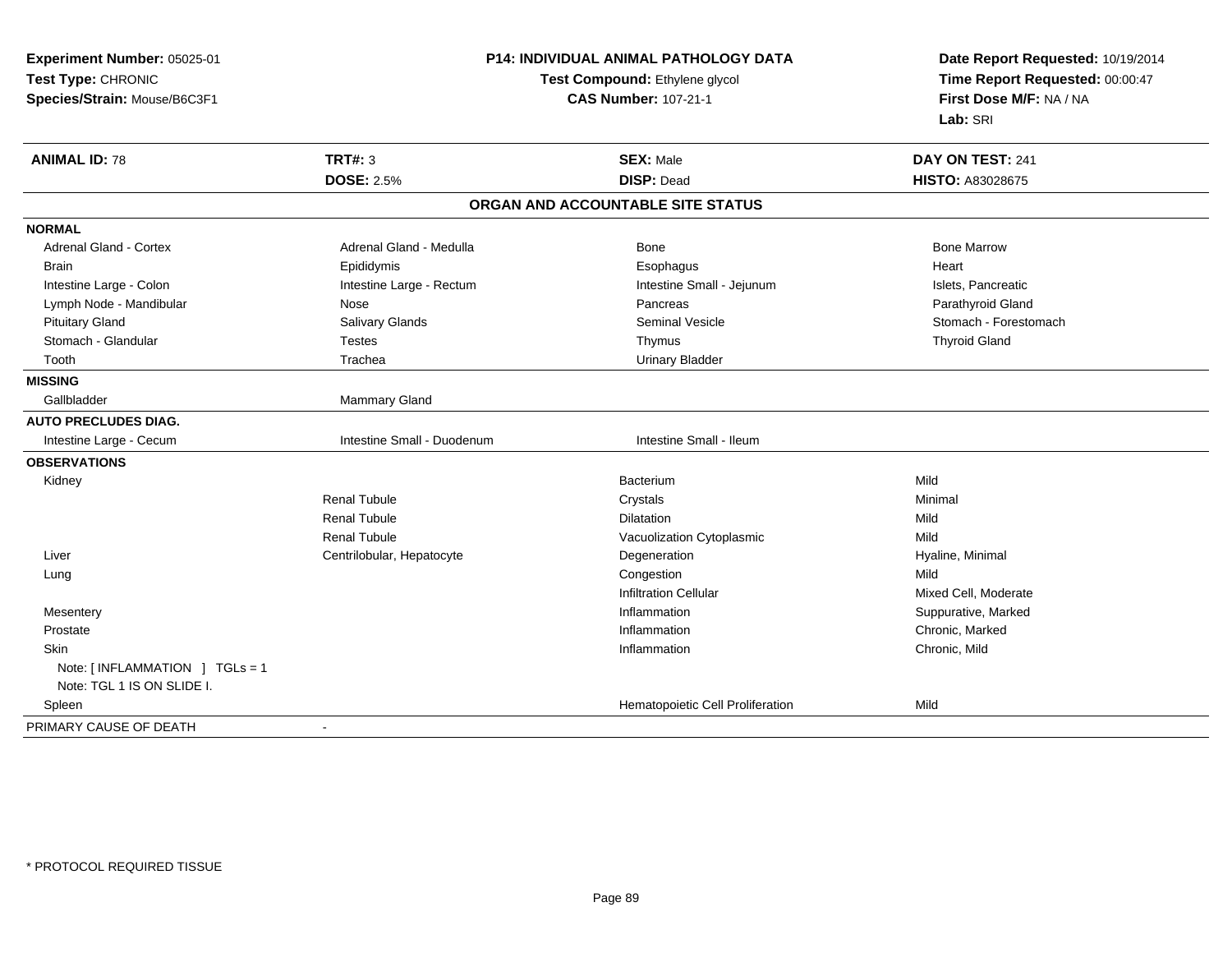| Experiment Number: 05025-01                   | <b>P14: INDIVIDUAL ANIMAL PATHOLOGY DATA</b> |                                   | Date Report Requested: 10/19/2014<br>Time Report Requested: 00:00:47<br>First Dose M/F: NA / NA |
|-----------------------------------------------|----------------------------------------------|-----------------------------------|-------------------------------------------------------------------------------------------------|
| Test Type: CHRONIC                            | Test Compound: Ethylene glycol               |                                   |                                                                                                 |
| Species/Strain: Mouse/B6C3F1                  | <b>CAS Number: 107-21-1</b>                  |                                   |                                                                                                 |
|                                               |                                              |                                   | Lab: SRI                                                                                        |
| <b>ANIMAL ID: 78</b>                          | <b>TRT#: 3</b>                               | <b>SEX: Male</b>                  | DAY ON TEST: 241                                                                                |
|                                               | <b>DOSE: 2.5%</b>                            | <b>DISP: Dead</b>                 | <b>HISTO: A83028675</b>                                                                         |
|                                               |                                              | ORGAN AND ACCOUNTABLE SITE STATUS |                                                                                                 |
| <b>NORMAL</b>                                 |                                              |                                   |                                                                                                 |
| Adrenal Gland - Cortex                        | Adrenal Gland - Medulla                      | <b>Bone</b>                       | <b>Bone Marrow</b>                                                                              |
| <b>Brain</b>                                  | Epididymis                                   | Esophagus                         | Heart                                                                                           |
| Intestine Large - Colon                       | Intestine Large - Rectum                     | Intestine Small - Jejunum         | Islets, Pancreatic                                                                              |
| Lymph Node - Mandibular                       | Nose                                         | Pancreas                          | Parathyroid Gland                                                                               |
| <b>Pituitary Gland</b>                        | Salivary Glands                              | <b>Seminal Vesicle</b>            | Stomach - Forestomach                                                                           |
| Stomach - Glandular                           | <b>Testes</b>                                | Thymus                            | <b>Thyroid Gland</b>                                                                            |
| Tooth                                         | Trachea                                      | <b>Urinary Bladder</b>            |                                                                                                 |
| <b>MISSING</b>                                |                                              |                                   |                                                                                                 |
| Gallbladder                                   | Mammary Gland                                |                                   |                                                                                                 |
| <b>AUTO PRECLUDES DIAG.</b>                   |                                              |                                   |                                                                                                 |
| Intestine Large - Cecum                       | Intestine Small - Duodenum                   | Intestine Small - Ileum           |                                                                                                 |
| <b>OBSERVATIONS</b>                           |                                              |                                   |                                                                                                 |
| Kidney                                        |                                              | Bacterium                         | Mild                                                                                            |
|                                               | <b>Renal Tubule</b>                          | Crystals                          | Minimal                                                                                         |
|                                               | <b>Renal Tubule</b>                          | Dilatation                        | Mild                                                                                            |
|                                               | <b>Renal Tubule</b>                          | Vacuolization Cytoplasmic         | Mild                                                                                            |
| Liver                                         | Centrilobular, Hepatocyte                    | Degeneration                      | Hyaline, Minimal                                                                                |
| Lung                                          |                                              | Congestion                        | Mild                                                                                            |
|                                               |                                              | <b>Infiltration Cellular</b>      | Mixed Cell, Moderate                                                                            |
| Mesentery                                     |                                              | Inflammation                      | Suppurative, Marked                                                                             |
| Prostate                                      |                                              | Inflammation                      | Chronic, Marked                                                                                 |
| <b>Skin</b>                                   |                                              | Inflammation                      | Chronic, Mild                                                                                   |
| Note: $\lceil$ INFLAMMATION $\lceil$ TGLs = 1 |                                              |                                   |                                                                                                 |
| Note: TGL 1 IS ON SLIDE I.                    |                                              |                                   |                                                                                                 |
| Spleen                                        |                                              | Hematopoietic Cell Proliferation  | Mild                                                                                            |
| PRIMARY CAUSE OF DEATH                        | $\blacksquare$                               |                                   |                                                                                                 |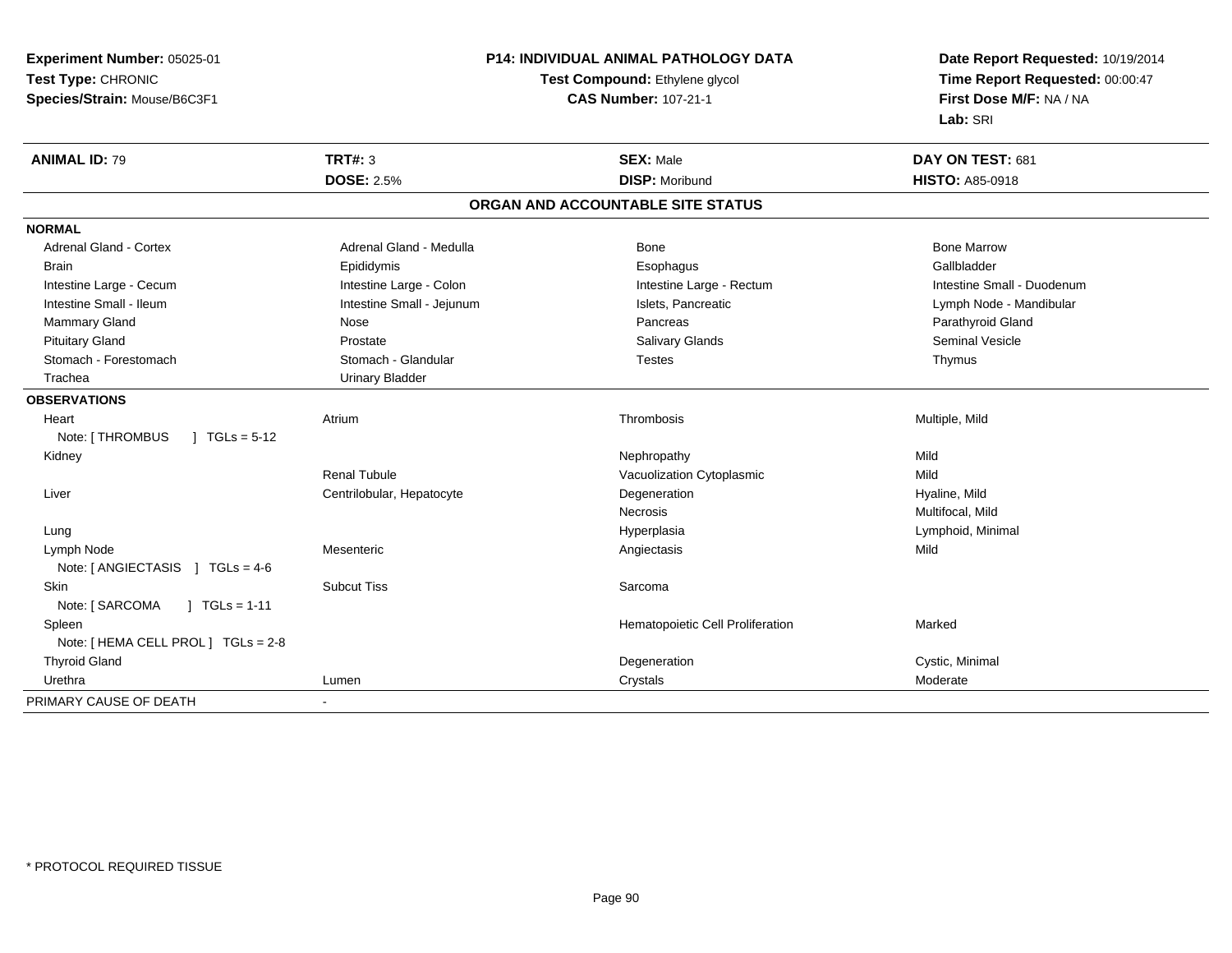**Experiment Number:** 05025-01**Test Type:** CHRONIC **Species/Strain:** Mouse/B6C3F1**P14: INDIVIDUAL ANIMAL PATHOLOGY DATATest Compound:** Ethylene glycol **CAS Number:** 107-21-1**Date Report Requested:** 10/19/2014**Time Report Requested:** 00:00:47**First Dose M/F:** NA / NA**Lab:** SRI**ANIMAL ID:** 79 **TRT#:** <sup>3</sup> **SEX:** Male **DAY ON TEST:** <sup>681</sup> **DOSE:** 2.5%**DISP:** Moribund **HISTO:** A85-0918 **ORGAN AND ACCOUNTABLE SITE STATUSNORMALAdrenal Gland - Cortex** Adrenal Gland - Medulla **Bone Adrenal Gland - Cortex Adrenal Gland - Cortex Adrenal Gland - Medulla** Bone Marrow Gallbladder Brain Epididymis Epididymis and the Brook of the Brook of the Brook of the Brook of the Gallbladder of the Gallbladder Intestine Large - Cecum **Intestine Large - Colon** Intestine Large - Colon Intestine Large - Rectum Intestine Large - Rectum Intestine Small - Duodenum Intestine Small - Ileum **Intestine Small - Jejunum** Intestine Small - Jejunum Islets, Pancreatic Lymph Node - Mandibular Mammary Gland Nose Nose Records and December 2012 (Nose Pancreas Parathyroid Gland Parathyroid Gland Parathyroid Gland Parathyroid Gland Parathyroid Gland Parathyroid Gland Parathyroid Gland Parathyroid Gland Parathyroid G Pituitary Gland Prostate Salivary Glands Seminal VesicleStomach - Forestomach **Stomach - Stomach - Glandular** Testes The Testes Thymus - Thymus Thymus - Thymus - Thymus Trachea Urinary Bladder**OBSERVATIONS** Heartt **Atrium**  Thrombosis Multiple, Mild Note: [THROMBUS ] TGLs = 5-12 Kidneyy the controller of the controller of the controller of the controller of the controller of the controller of the controller of the controller of the controller of the controller of the controller of the controller of the Mild Renal TubuleVacuolization Cytoplasmic Liver Centrilobular, Hepatocytee and the Degeneration description of the Hyaline, Mild Necrosis Multifocal, MildLymphoid, Minimal Lungg and the settlement of the settlement of the Hyperplasia and the Hyperplasia controller than  $\mathsf{Lym}$  phoid, Minimal  $\mathsf{Lym}$  phoid, Minimal  $\mathsf{dy}$  Lymph Node Mesenteric Angiectasis Mild Note: [ ANGIECTASIS ] TGLs = 4-6 Skinn and the subcut Tiss and the state of the Sarcoma state of the Sarcoma state of the Sarcoma state of the Sarcoma state of the Sarcoma state of the Sarcoma state of the Sarcoma state of the Sarcoma state of the Sarcoma sta Note: [ SARCOMA ] TGLs = 1-11 SpleenHematopoietic Cell Proliferation Marked Note: [ HEMA CELL PROL ] TGLs = 2-8 Thyroid Glandd and the contract of the contract of the contract of the contract of the contract of the contract of the contract of  $\sim$  Cystic, Minimal d Urethraa and the control of the control of the control of the control of the control of the control of the control of the control of the control of the control of the control of the control of the control of the control of the co PRIMARY CAUSE OF DEATH-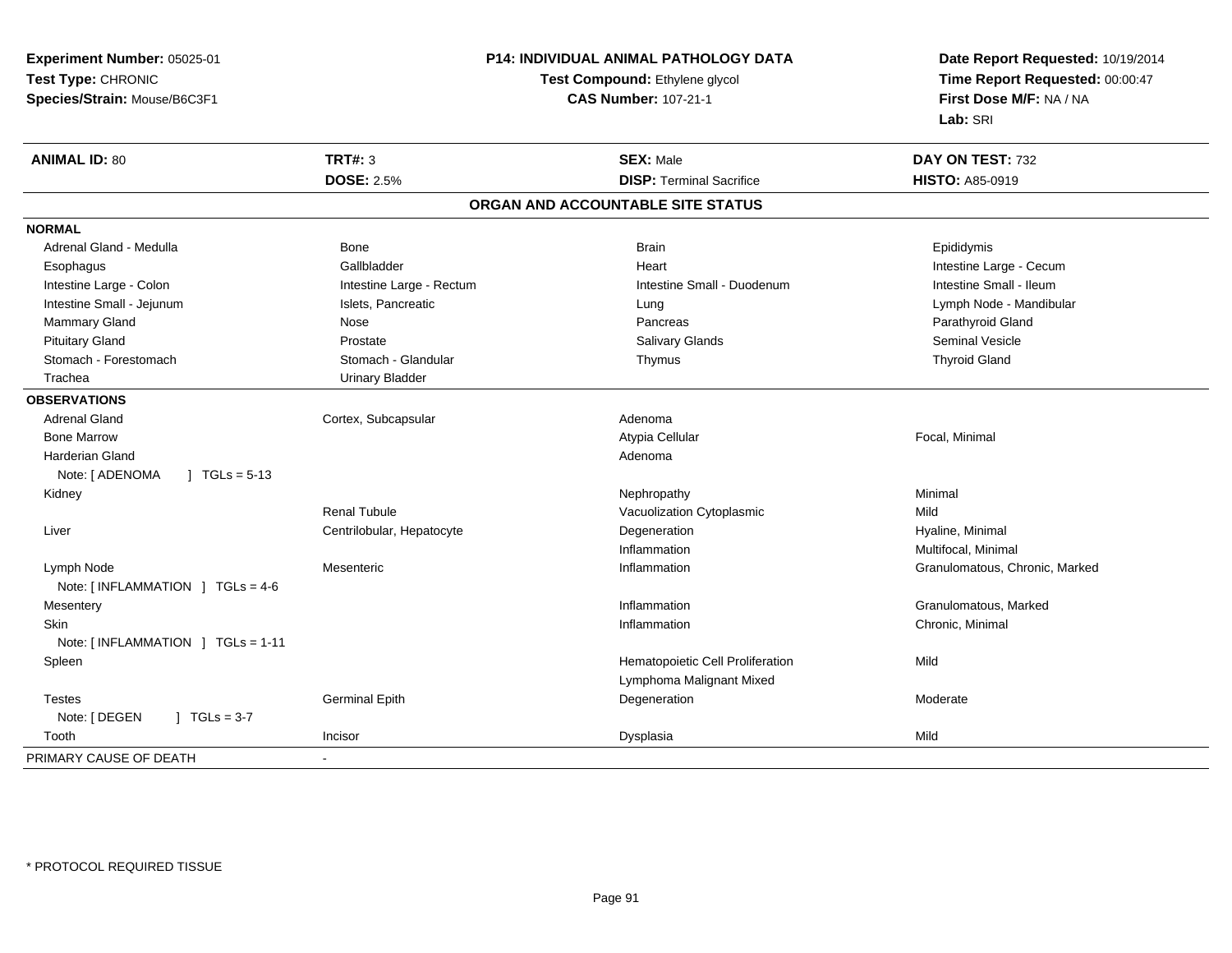**Experiment Number:** 05025-01**Test Type:** CHRONIC **Species/Strain:** Mouse/B6C3F1**P14: INDIVIDUAL ANIMAL PATHOLOGY DATATest Compound:** Ethylene glycol **CAS Number:** 107-21-1**Date Report Requested:** 10/19/2014**Time Report Requested:** 00:00:47**First Dose M/F:** NA / NA**Lab:** SRI**ANIMAL ID:** 80**TRT#:** 3 **SEX:** Male **DAY ON TEST:** 732 **DOSE:** 2.5%**DISP:** Terminal Sacrifice **HISTO:** A85-0919 **ORGAN AND ACCOUNTABLE SITE STATUSNORMAL**Adrenal Gland - Medulla **Bone** Bone Bone Bone Brain Brain Brain Brain Brain Epididymis Esophagus **Example 19** Callbladder **Gallbladder Community Community Community** Heart Heart Intestine Large - Cecum Intestine Small - Ileum Intestine Large - Colon **Intestine Large - Rectum** Intestine Large - Rectum Intestine Small - Duodenum Intestine Small - Jejunum Islets, Pancreatic Lung Lymph Node - Mandibular Mammary Gland Nose Nose Records and December 2012 (Nose Pancreas Parathyroid Gland Parathyroid Gland Parathyroid Gland Parathyroid Gland Parathyroid Gland Parathyroid Gland Parathyroid Gland Parathyroid Gland Parathyroid G Pituitary Gland Prostate Salivary Glands Seminal VesicleStomach - Forestomach **Stomach - Stomach - Glandular** Stomach - Glandular Thymus Thymus Thyroid Gland Trachea Urinary Bladder**OBSERVATIONS** Adrenal GlandCortex, Subcapsular **Adenoma**  Bone Marroww the contract of the contract of the contract of the contract of the contract of the contract of the contract of the contract of the contract of the contract of the contract of the contract of the contract of the contract Harderian Glandd and a state of the control of the control of the control of the control of the control of the control of the control of the control of the control of the control of the control of the control of the control of the contro Note: [ ADENOMA ] TGLs = 5-13 Kidneyy the controller of the controller of the controller of the Nephropathy the controller of the Minimal Minimal  $\lambda$ Renal TubuleVacuolization Cytoplasmic **Mild**  Liver Centrilobular, HepatocyteDegeneration **Hyaline**, Minimal Inflammation Multifocal, Minimal Lymph NodeMesenteric **Inflammation** Inflammation **Granulomatous**, Chronic, Marked Note: [ INFLAMMATION ] TGLs = 4-6**Mesentery** y the control of the control of the control of the control of the control of the control of the control of the control of the control of the control of the control of the control of the control of the control of the contro Inflammation **Granulomatous**, Marked Skinn and the control of the control of the control of the control of the control of the control of the control of the control of the control of the control of the control of the control of the control of the control of the co Note: [ INFLAMMATION ] TGLs = 1-11 SpleenHematopoietic Cell Proliferation Mild Lymphoma Malignant Mixed Testes Germinal Epithh and the Degeneration and the Moderate Moderate of the Degeneration and the Moderate of Moderate of the Moderate of  $\sim$ Note: [ DEGEN ] TGLs = 3-7 Toothh ann an Incisor ann an Incisor ann an Dysplasia ann an Dysplasia ann an Dysplasia ann an Dysplasia ann an Mild PRIMARY CAUSE OF DEATH-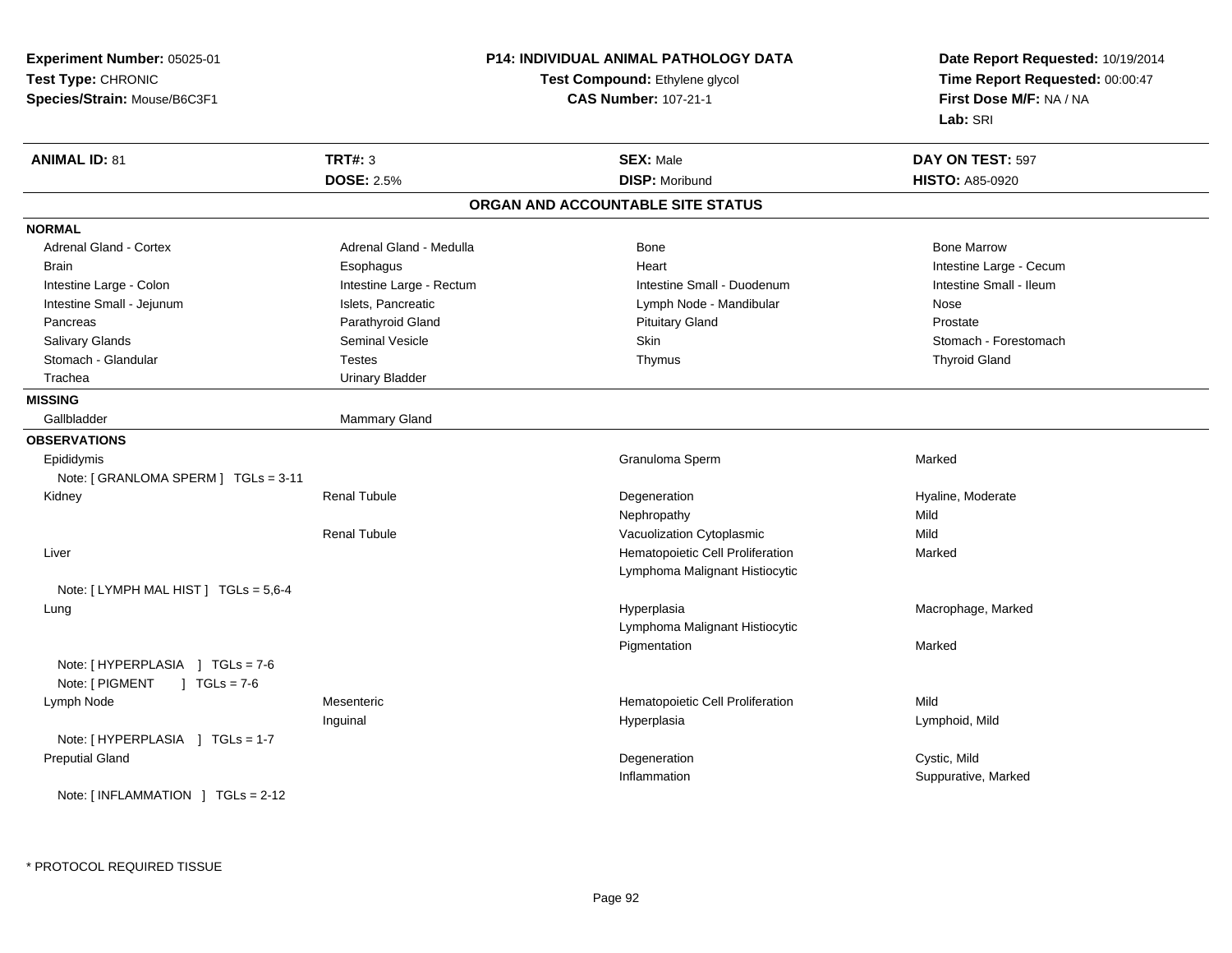| Experiment Number: 05025-01                      |                                | P14: INDIVIDUAL ANIMAL PATHOLOGY DATA | Date Report Requested: 10/19/2014 |
|--------------------------------------------------|--------------------------------|---------------------------------------|-----------------------------------|
| Test Type: CHRONIC                               | Test Compound: Ethylene glycol |                                       | Time Report Requested: 00:00:47   |
| Species/Strain: Mouse/B6C3F1                     |                                | <b>CAS Number: 107-21-1</b>           | First Dose M/F: NA / NA           |
|                                                  |                                |                                       | Lab: SRI                          |
| <b>ANIMAL ID: 81</b>                             | <b>TRT#: 3</b>                 | <b>SEX: Male</b>                      | DAY ON TEST: 597                  |
|                                                  | <b>DOSE: 2.5%</b>              | <b>DISP: Moribund</b>                 | <b>HISTO: A85-0920</b>            |
|                                                  |                                | ORGAN AND ACCOUNTABLE SITE STATUS     |                                   |
| <b>NORMAL</b>                                    |                                |                                       |                                   |
| Adrenal Gland - Cortex                           | Adrenal Gland - Medulla        | Bone                                  | <b>Bone Marrow</b>                |
| Brain                                            | Esophagus                      | Heart                                 | Intestine Large - Cecum           |
| Intestine Large - Colon                          | Intestine Large - Rectum       | Intestine Small - Duodenum            | Intestine Small - Ileum           |
| Intestine Small - Jejunum                        | Islets, Pancreatic             | Lymph Node - Mandibular               | Nose                              |
| Pancreas                                         | Parathyroid Gland              | <b>Pituitary Gland</b>                | Prostate                          |
| Salivary Glands                                  | Seminal Vesicle                | Skin                                  | Stomach - Forestomach             |
| Stomach - Glandular                              | Testes                         | Thymus                                | <b>Thyroid Gland</b>              |
| Trachea                                          | <b>Urinary Bladder</b>         |                                       |                                   |
| <b>MISSING</b>                                   |                                |                                       |                                   |
| Gallbladder                                      | Mammary Gland                  |                                       |                                   |
| <b>OBSERVATIONS</b>                              |                                |                                       |                                   |
| Epididymis                                       |                                | Granuloma Sperm                       | Marked                            |
| Note: [ GRANLOMA SPERM ] TGLs = 3-11             |                                |                                       |                                   |
| Kidney                                           | <b>Renal Tubule</b>            | Degeneration                          | Hyaline, Moderate                 |
|                                                  |                                | Nephropathy                           | Mild                              |
|                                                  | <b>Renal Tubule</b>            | Vacuolization Cytoplasmic             | Mild                              |
| Liver                                            |                                | Hematopoietic Cell Proliferation      | Marked                            |
|                                                  |                                | Lymphoma Malignant Histiocytic        |                                   |
| Note: [LYMPH MAL HIST] TGLs = 5,6-4              |                                |                                       |                                   |
| Lung                                             |                                | Hyperplasia                           | Macrophage, Marked                |
|                                                  |                                | Lymphoma Malignant Histiocytic        |                                   |
|                                                  |                                | Pigmentation                          | Marked                            |
| Note: [HYPERPLASIA ] TGLs = 7-6                  |                                |                                       |                                   |
| Note: [ PIGMENT<br>$J \cdot TGLs = 7-6$          |                                |                                       |                                   |
| Lymph Node                                       | Mesenteric                     | Hematopoietic Cell Proliferation      | Mild                              |
|                                                  | Inguinal                       | Hyperplasia                           | Lymphoid, Mild                    |
| Note: [HYPERPLASIA ] TGLs = 1-7                  |                                |                                       |                                   |
| <b>Preputial Gland</b>                           |                                | Degeneration                          | Cystic, Mild                      |
|                                                  |                                | Inflammation                          | Suppurative, Marked               |
| Note: $\lceil$ INFLAMMATION $\lceil$ TGLs = 2-12 |                                |                                       |                                   |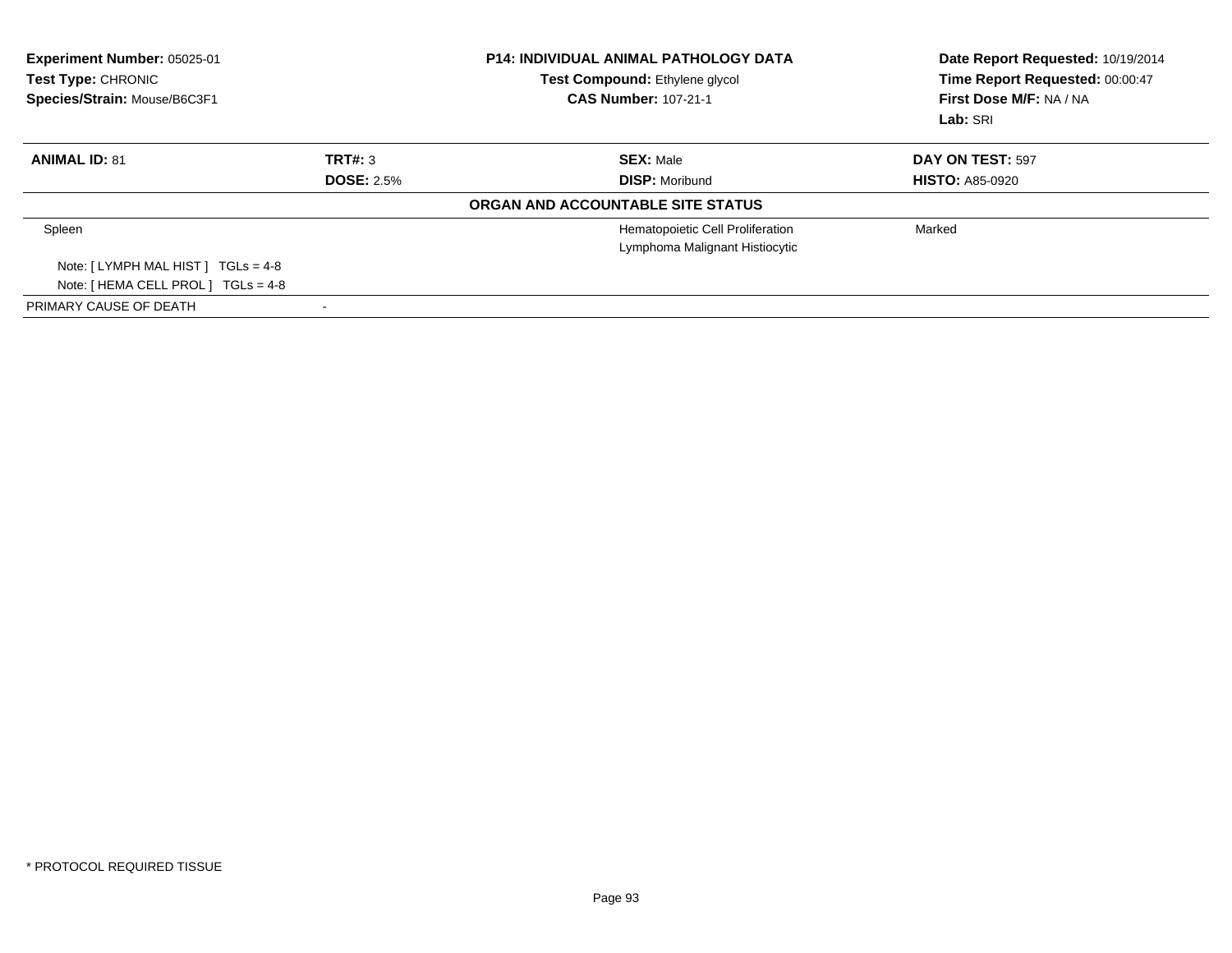| <b>Experiment Number: 05025-01</b><br><b>Test Type: CHRONIC</b><br>Species/Strain: Mouse/B6C3F1 |                   | <b>P14: INDIVIDUAL ANIMAL PATHOLOGY DATA</b><br>Test Compound: Ethylene glycol<br><b>CAS Number: 107-21-1</b> | Date Report Requested: 10/19/2014<br>Time Report Requested: 00:00:47<br>First Dose M/F: NA / NA<br>Lab: SRI |
|-------------------------------------------------------------------------------------------------|-------------------|---------------------------------------------------------------------------------------------------------------|-------------------------------------------------------------------------------------------------------------|
| <b>ANIMAL ID: 81</b>                                                                            | TRT#: 3           | <b>SEX: Male</b>                                                                                              | DAY ON TEST: 597                                                                                            |
|                                                                                                 | <b>DOSE: 2.5%</b> | <b>DISP: Moribund</b>                                                                                         | <b>HISTO: A85-0920</b>                                                                                      |
|                                                                                                 |                   | ORGAN AND ACCOUNTABLE SITE STATUS                                                                             |                                                                                                             |
| Spleen                                                                                          |                   | Hematopoietic Cell Proliferation<br>Lymphoma Malignant Histiocytic                                            | Marked                                                                                                      |
| Note: $[LYMPH MAL HIST] TGLS = 4-8$                                                             |                   |                                                                                                               |                                                                                                             |
| Note: $[HEMA CELL PROL] TGLs = 4-8$                                                             |                   |                                                                                                               |                                                                                                             |
| PRIMARY CAUSE OF DEATH                                                                          |                   |                                                                                                               |                                                                                                             |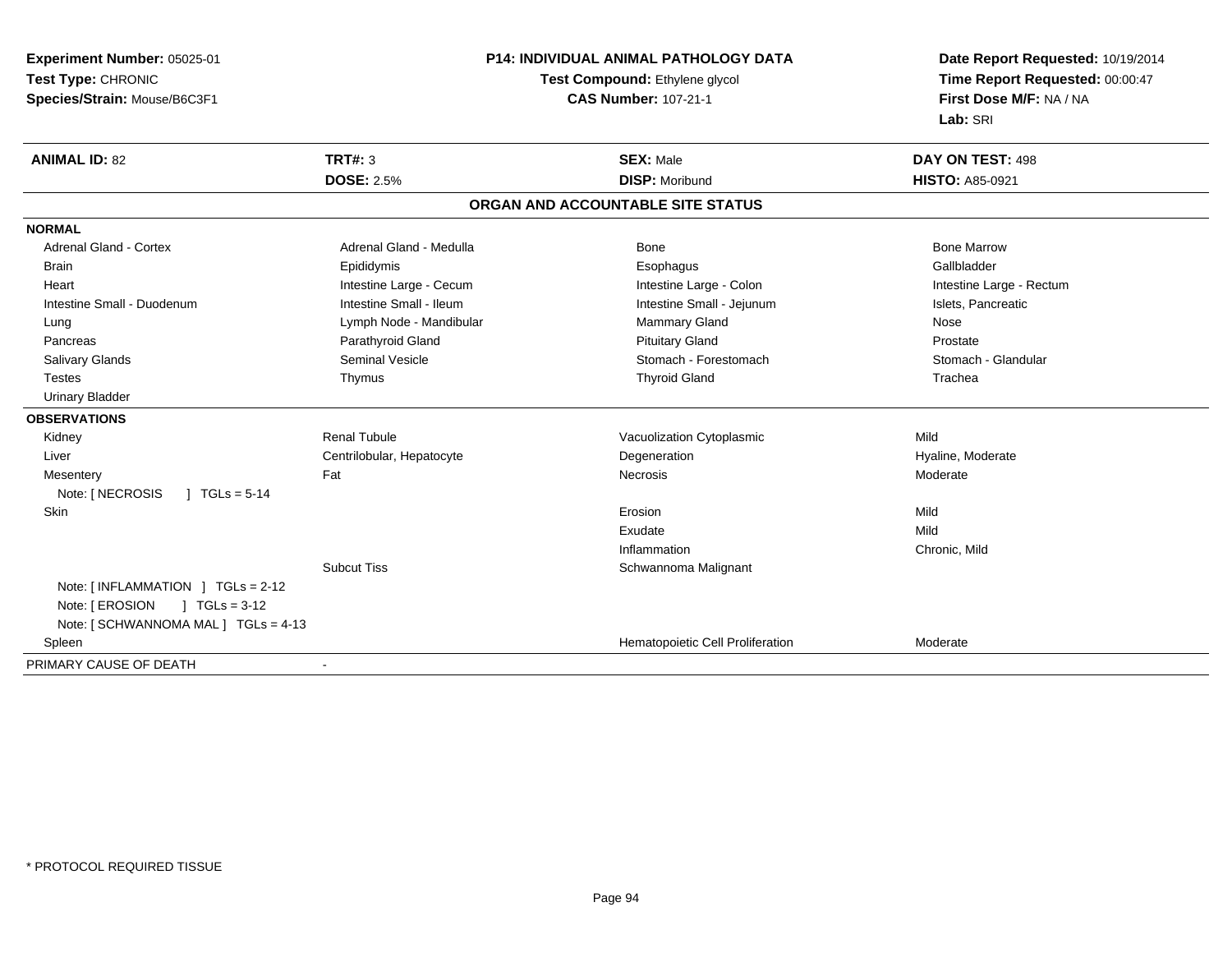**Experiment Number:** 05025-01**Test Type:** CHRONIC**Species/Strain:** Mouse/B6C3F1

## **P14: INDIVIDUAL ANIMAL PATHOLOGY DATA**

## **Test Compound:** Ethylene glycol **CAS Number:** 107-21-1

**Date Report Requested:** 10/19/2014 **Time Report Requested:** 00:00:47**First Dose M/F:** NA / NA**Lab:** SRI

| <b>ANIMAL ID: 82</b>                             | TRT#: 3                   | <b>SEX: Male</b>                  | DAY ON TEST: 498         |
|--------------------------------------------------|---------------------------|-----------------------------------|--------------------------|
|                                                  | <b>DOSE: 2.5%</b>         | <b>DISP: Moribund</b>             | <b>HISTO: A85-0921</b>   |
|                                                  |                           | ORGAN AND ACCOUNTABLE SITE STATUS |                          |
| <b>NORMAL</b>                                    |                           |                                   |                          |
| <b>Adrenal Gland - Cortex</b>                    | Adrenal Gland - Medulla   | Bone                              | <b>Bone Marrow</b>       |
| <b>Brain</b>                                     | Epididymis                | Esophagus                         | Gallbladder              |
| Heart                                            | Intestine Large - Cecum   | Intestine Large - Colon           | Intestine Large - Rectum |
| Intestine Small - Duodenum                       | Intestine Small - Ileum   | Intestine Small - Jejunum         | Islets, Pancreatic       |
| Lung                                             | Lymph Node - Mandibular   | Mammary Gland                     | Nose                     |
| Pancreas                                         | Parathyroid Gland         | <b>Pituitary Gland</b>            | Prostate                 |
| <b>Salivary Glands</b>                           | <b>Seminal Vesicle</b>    | Stomach - Forestomach             | Stomach - Glandular      |
| <b>Testes</b>                                    | Thymus                    | <b>Thyroid Gland</b>              | Trachea                  |
| <b>Urinary Bladder</b>                           |                           |                                   |                          |
| <b>OBSERVATIONS</b>                              |                           |                                   |                          |
| Kidney                                           | <b>Renal Tubule</b>       | Vacuolization Cytoplasmic         | Mild                     |
| Liver                                            | Centrilobular, Hepatocyte | Degeneration                      | Hyaline, Moderate        |
| Mesentery                                        | Fat                       | <b>Necrosis</b>                   | Moderate                 |
| Note: [ NECROSIS<br>$\sqrt{1}$ TGLs = 5-14       |                           |                                   |                          |
| Skin                                             |                           | Erosion                           | Mild                     |
|                                                  |                           | Exudate                           | Mild                     |
|                                                  |                           | Inflammation                      | Chronic, Mild            |
|                                                  | <b>Subcut Tiss</b>        | Schwannoma Malignant              |                          |
| Note: $\lceil$ INFLAMMATION $\lceil$ TGLs = 2-12 |                           |                                   |                          |
| Note: [ EROSION<br>$1 TGLs = 3-12$               |                           |                                   |                          |
| Note: [ SCHWANNOMA MAL ] TGLs = 4-13             |                           |                                   |                          |
| Spleen                                           |                           | Hematopoietic Cell Proliferation  | Moderate                 |
| PRIMARY CAUSE OF DEATH                           | ۰                         |                                   |                          |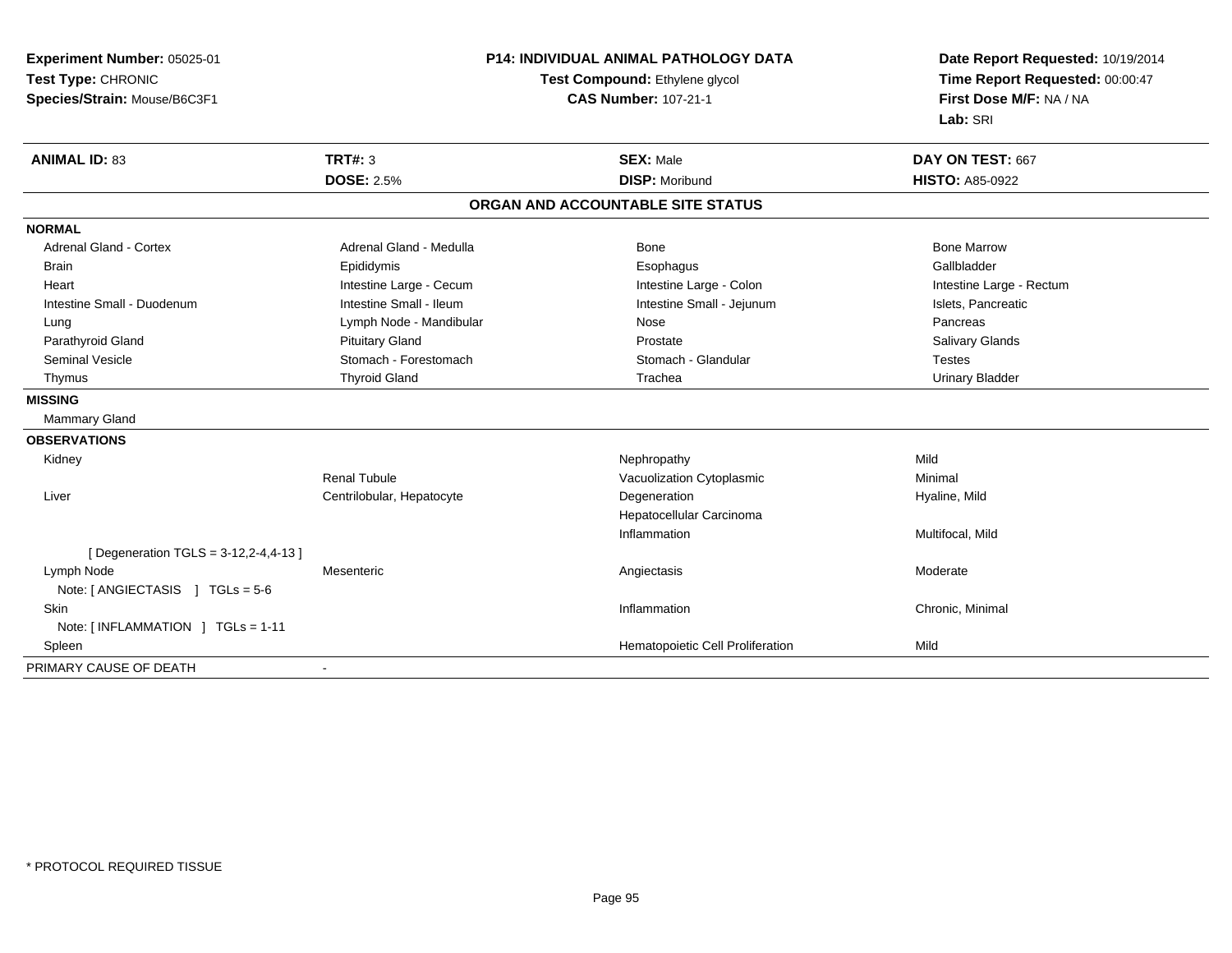| Experiment Number: 05025-01           |                                | <b>P14: INDIVIDUAL ANIMAL PATHOLOGY DATA</b> |                                 |
|---------------------------------------|--------------------------------|----------------------------------------------|---------------------------------|
| Test Type: CHRONIC                    | Test Compound: Ethylene glycol |                                              | Time Report Requested: 00:00:47 |
| Species/Strain: Mouse/B6C3F1          |                                | <b>CAS Number: 107-21-1</b>                  | First Dose M/F: NA / NA         |
|                                       |                                |                                              | Lab: SRI                        |
| <b>ANIMAL ID: 83</b>                  | <b>TRT#: 3</b>                 | <b>SEX: Male</b>                             | DAY ON TEST: 667                |
|                                       | <b>DOSE: 2.5%</b>              | <b>DISP: Moribund</b>                        | <b>HISTO: A85-0922</b>          |
|                                       |                                | ORGAN AND ACCOUNTABLE SITE STATUS            |                                 |
| <b>NORMAL</b>                         |                                |                                              |                                 |
| <b>Adrenal Gland - Cortex</b>         | Adrenal Gland - Medulla        | <b>Bone</b>                                  | <b>Bone Marrow</b>              |
| <b>Brain</b>                          | Epididymis                     | Esophagus                                    | Gallbladder                     |
| Heart                                 | Intestine Large - Cecum        | Intestine Large - Colon                      | Intestine Large - Rectum        |
| Intestine Small - Duodenum            | Intestine Small - Ileum        | Intestine Small - Jejunum                    | Islets, Pancreatic              |
| Lung                                  | Lymph Node - Mandibular        | Nose                                         | Pancreas                        |
| Parathyroid Gland                     | <b>Pituitary Gland</b>         | Prostate                                     | Salivary Glands                 |
| <b>Seminal Vesicle</b>                | Stomach - Forestomach          | Stomach - Glandular                          | <b>Testes</b>                   |
| Thymus                                | <b>Thyroid Gland</b>           | Trachea                                      | <b>Urinary Bladder</b>          |
| <b>MISSING</b>                        |                                |                                              |                                 |
| <b>Mammary Gland</b>                  |                                |                                              |                                 |
| <b>OBSERVATIONS</b>                   |                                |                                              |                                 |
| Kidney                                |                                | Nephropathy                                  | Mild                            |
|                                       | <b>Renal Tubule</b>            | Vacuolization Cytoplasmic                    | Minimal                         |
| Liver                                 | Centrilobular, Hepatocyte      | Degeneration                                 | Hyaline, Mild                   |
|                                       |                                | Hepatocellular Carcinoma                     |                                 |
|                                       |                                | Inflammation                                 | Multifocal, Mild                |
| [ Degeneration TGLS = 3-12,2-4,4-13 ] |                                |                                              |                                 |
| Lymph Node                            | Mesenteric                     | Angiectasis                                  | Moderate                        |
| Note: [ ANGIECTASIS ] TGLs = 5-6      |                                |                                              |                                 |
| <b>Skin</b>                           |                                | Inflammation                                 | Chronic, Minimal                |
| Note: [INFLAMMATION ] TGLs = 1-11     |                                |                                              |                                 |
| Spleen                                |                                | Hematopoietic Cell Proliferation             | Mild                            |
| PRIMARY CAUSE OF DEATH                |                                |                                              |                                 |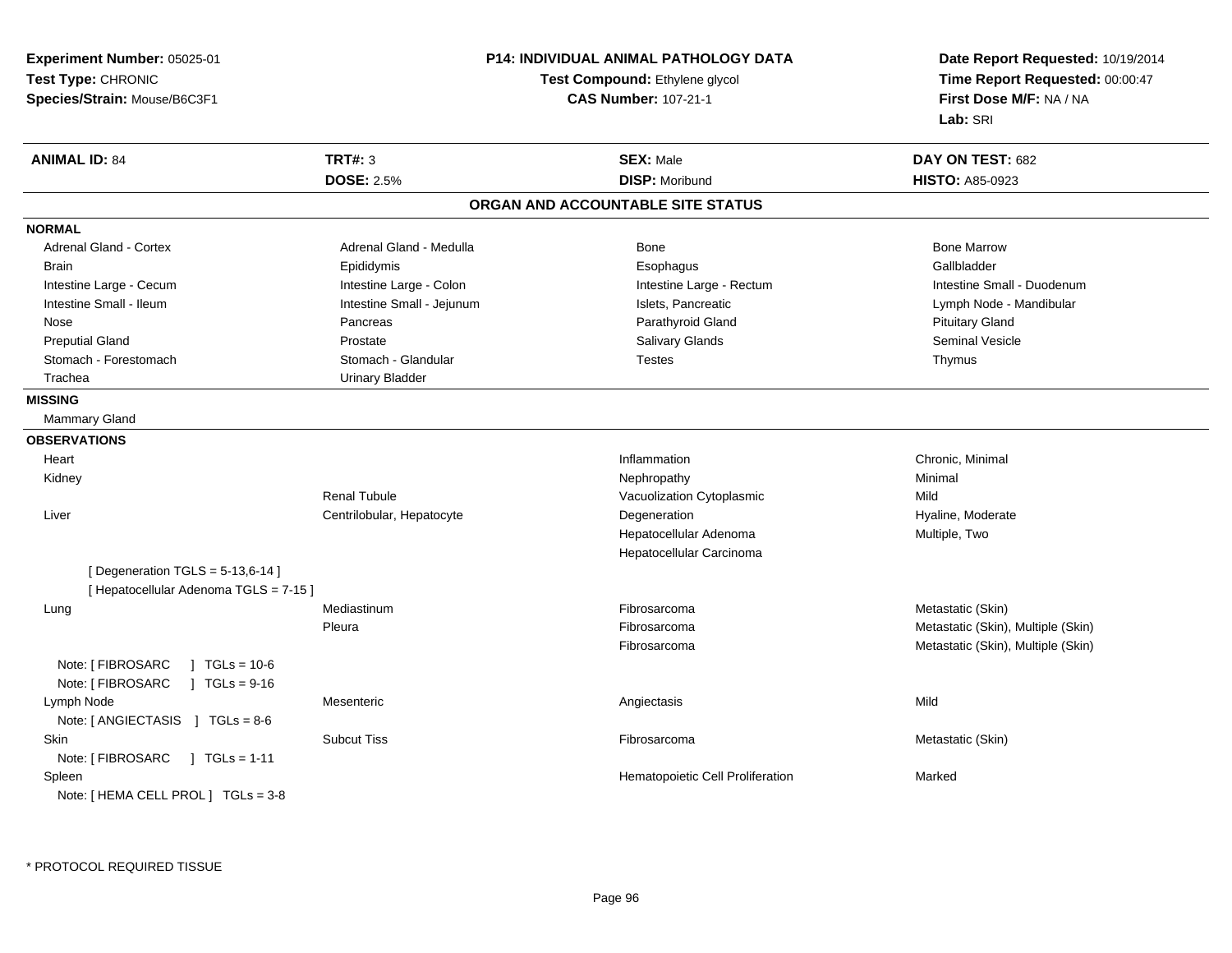**Experiment Number:** 05025-01**Test Type:** CHRONIC **Species/Strain:** Mouse/B6C3F1**P14: INDIVIDUAL ANIMAL PATHOLOGY DATATest Compound:** Ethylene glycol **CAS Number:** 107-21-1**Date Report Requested:** 10/19/2014**Time Report Requested:** 00:00:47**First Dose M/F:** NA / NA**Lab:** SRI**ANIMAL ID:** 84 **TRT#:** <sup>3</sup> **SEX:** Male **DAY ON TEST:** <sup>682</sup> **DOSE:** 2.5%**DISP:** Moribund **HISTO:** A85-0923 **ORGAN AND ACCOUNTABLE SITE STATUSNORMALAdrenal Gland - Cortex** Adrenal Gland - Medulla **Bone Adrenal Gland - Cortex Adrenal Gland - Cortex Adrenal Gland - Medulla** Bone Marrow Brain Epididymis Epididymis and the Brook of the Brook of the Brook of the Brook of the Gallbladder of the Gallbladder Intestine Large - Cecum **Intestine Large - Colon** Intestine Large - Colon Intestine Large - Rectum Intestine Large - Rectum Intestine Small - Duodenum Intestine Small - Ileum **Intestine Small - Jejunum** Intestine Small - Jejunum Islets, Pancreatic Lymph Node - Mandibular Nose Pancreas Parathyroid Gland Pituitary GlandSeminal Vesicle Preputial Gland Prostate Salivary Glands Seminal VesicleStomach - Forestomach **Stomach - Stomach - Glandular** Testes The Testes Thymus - Testes Thymus Trachea Urinary Bladder**MISSING** Mammary Gland**OBSERVATIONSHeart** t the contract of the contract of the contract of the contract of the contract of the contract of the contract of the contract of the contract of the contract of the contract of the contract of the contract of the contract Inflammation **Chronic, Minimal**<br> **Nephropathy Chronic, Minimal**  Kidneyy the control of the control of the control of the control of the control of the control of the control of the control of the control of the control of the control of the control of the control of the control of the contro Renal TubuleVacuolization Cytoplasmic<br>
Degeneration Mild<br>
Hyal Liver Centrilobular, HepatocyteHyaline, Moderate Hepatocellular Adenoma Multiple, Two Hepatocellular Carcinoma $[$  Degeneration TGLS = 5-13,6-14  $]$ [ Hepatocellular Adenoma TGLS = 7-15 ] Lung Mediastinum Fibrosarcoma Metastatic (Skin) PleuraFibrosarcoma **Metastatic (Skin), Multiple (Skin)** Fibrosarcoma Metastatic (Skin), Multiple (Skin) Note: [ FIBROSARC ] TGLs = 10-6  $1 TGLs = 9-16$ Note: [ FIBROSARC Lymph Nodee the contract of the contract of the contract of the contract of the contract of the contract of the contract  $\mathsf{Mild}$ Note: [ ANGIECTASIS ] TGLs = 8-6 Skinn and the Subcut Tiss the Subcut Tiss of the Subcut Tiss of the Subcut Tiss of the Subcut Tiss of the Subcut Tis Note: [ FIBROSARC ] TGLs = 1-11 SpleenHematopoietic Cell Proliferation Marked Note: [ HEMA CELL PROL ] TGLs = 3-8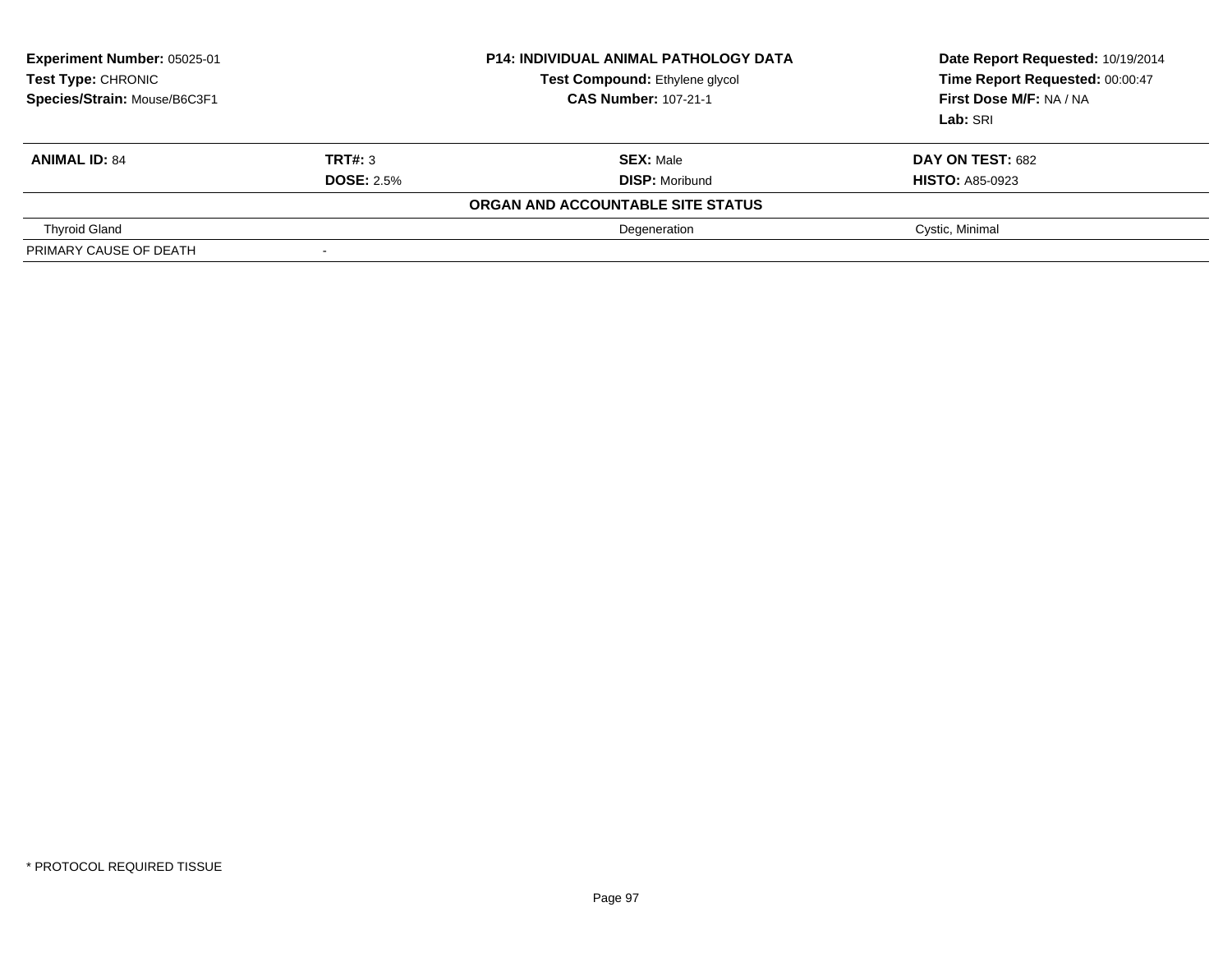| Experiment Number: 05025-01<br>Test Type: CHRONIC<br>Species/Strain: Mouse/B6C3F1 |                          | <b>P14: INDIVIDUAL ANIMAL PATHOLOGY DATA</b><br>Test Compound: Ethylene glycol<br><b>CAS Number: 107-21-1</b> | Date Report Requested: 10/19/2014<br>Time Report Requested: 00:00:47<br>First Dose M/F: NA / NA<br><b>Lab:</b> SRI |
|-----------------------------------------------------------------------------------|--------------------------|---------------------------------------------------------------------------------------------------------------|--------------------------------------------------------------------------------------------------------------------|
| <b>ANIMAL ID: 84</b>                                                              | TRT#: 3                  | <b>SEX: Male</b>                                                                                              | DAY ON TEST: 682                                                                                                   |
|                                                                                   | <b>DOSE: 2.5%</b>        | <b>DISP: Moribund</b>                                                                                         | <b>HISTO: A85-0923</b>                                                                                             |
|                                                                                   |                          | ORGAN AND ACCOUNTABLE SITE STATUS                                                                             |                                                                                                                    |
| <b>Thyroid Gland</b>                                                              |                          | Degeneration                                                                                                  | Cystic, Minimal                                                                                                    |
| PRIMARY CAUSE OF DEATH                                                            | $\overline{\phantom{a}}$ |                                                                                                               |                                                                                                                    |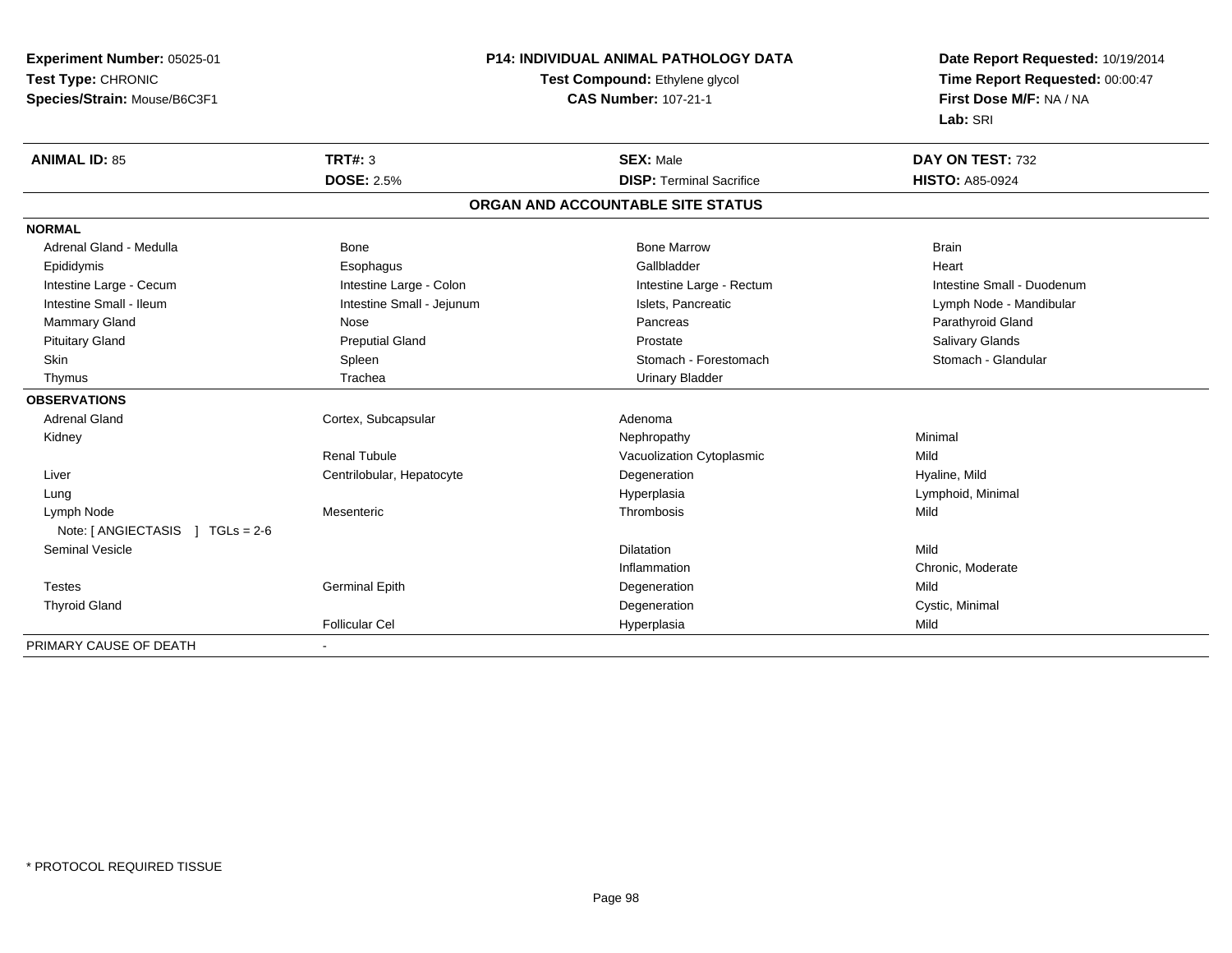| Experiment Number: 05025-01                        |                                | P14: INDIVIDUAL ANIMAL PATHOLOGY DATA | Date Report Requested: 10/19/2014 |
|----------------------------------------------------|--------------------------------|---------------------------------------|-----------------------------------|
| Test Type: CHRONIC                                 | Test Compound: Ethylene glycol |                                       | Time Report Requested: 00:00:47   |
| Species/Strain: Mouse/B6C3F1                       |                                | <b>CAS Number: 107-21-1</b>           | First Dose M/F: NA / NA           |
|                                                    |                                |                                       | Lab: SRI                          |
| <b>ANIMAL ID: 85</b>                               | TRT#: 3                        | <b>SEX: Male</b>                      | DAY ON TEST: 732                  |
|                                                    | <b>DOSE: 2.5%</b>              | <b>DISP: Terminal Sacrifice</b>       | <b>HISTO: A85-0924</b>            |
|                                                    |                                | ORGAN AND ACCOUNTABLE SITE STATUS     |                                   |
| <b>NORMAL</b>                                      |                                |                                       |                                   |
| Adrenal Gland - Medulla                            | <b>Bone</b>                    | <b>Bone Marrow</b>                    | <b>Brain</b>                      |
| Epididymis                                         | Esophagus                      | Gallbladder                           | Heart                             |
| Intestine Large - Cecum                            | Intestine Large - Colon        | Intestine Large - Rectum              | Intestine Small - Duodenum        |
| Intestine Small - Ileum                            | Intestine Small - Jejunum      | Islets, Pancreatic                    | Lymph Node - Mandibular           |
| <b>Mammary Gland</b>                               | Nose                           | Pancreas                              | Parathyroid Gland                 |
| <b>Pituitary Gland</b>                             | <b>Preputial Gland</b>         | Prostate                              | Salivary Glands                   |
| Skin                                               | Spleen                         | Stomach - Forestomach                 | Stomach - Glandular               |
| Thymus                                             | Trachea                        | <b>Urinary Bladder</b>                |                                   |
| <b>OBSERVATIONS</b>                                |                                |                                       |                                   |
| <b>Adrenal Gland</b>                               | Cortex, Subcapsular            | Adenoma                               |                                   |
| Kidney                                             |                                | Nephropathy                           | Minimal                           |
|                                                    | <b>Renal Tubule</b>            | Vacuolization Cytoplasmic             | Mild                              |
| Liver                                              | Centrilobular, Hepatocyte      | Degeneration                          | Hyaline, Mild                     |
| Lung                                               |                                | Hyperplasia                           | Lymphoid, Minimal                 |
| Lymph Node<br>Note: $[$ ANGIECTASIS $]$ TGLs = 2-6 | Mesenteric                     | Thrombosis                            | Mild                              |
| <b>Seminal Vesicle</b>                             |                                | Dilatation                            | Mild                              |
|                                                    |                                | Inflammation                          | Chronic, Moderate                 |
| <b>Testes</b>                                      | <b>Germinal Epith</b>          | Degeneration                          | Mild                              |
| <b>Thyroid Gland</b>                               |                                | Degeneration                          | Cystic, Minimal                   |
|                                                    | <b>Follicular Cel</b>          | Hyperplasia                           | Mild                              |
| PRIMARY CAUSE OF DEATH                             | $\sim$                         |                                       |                                   |

-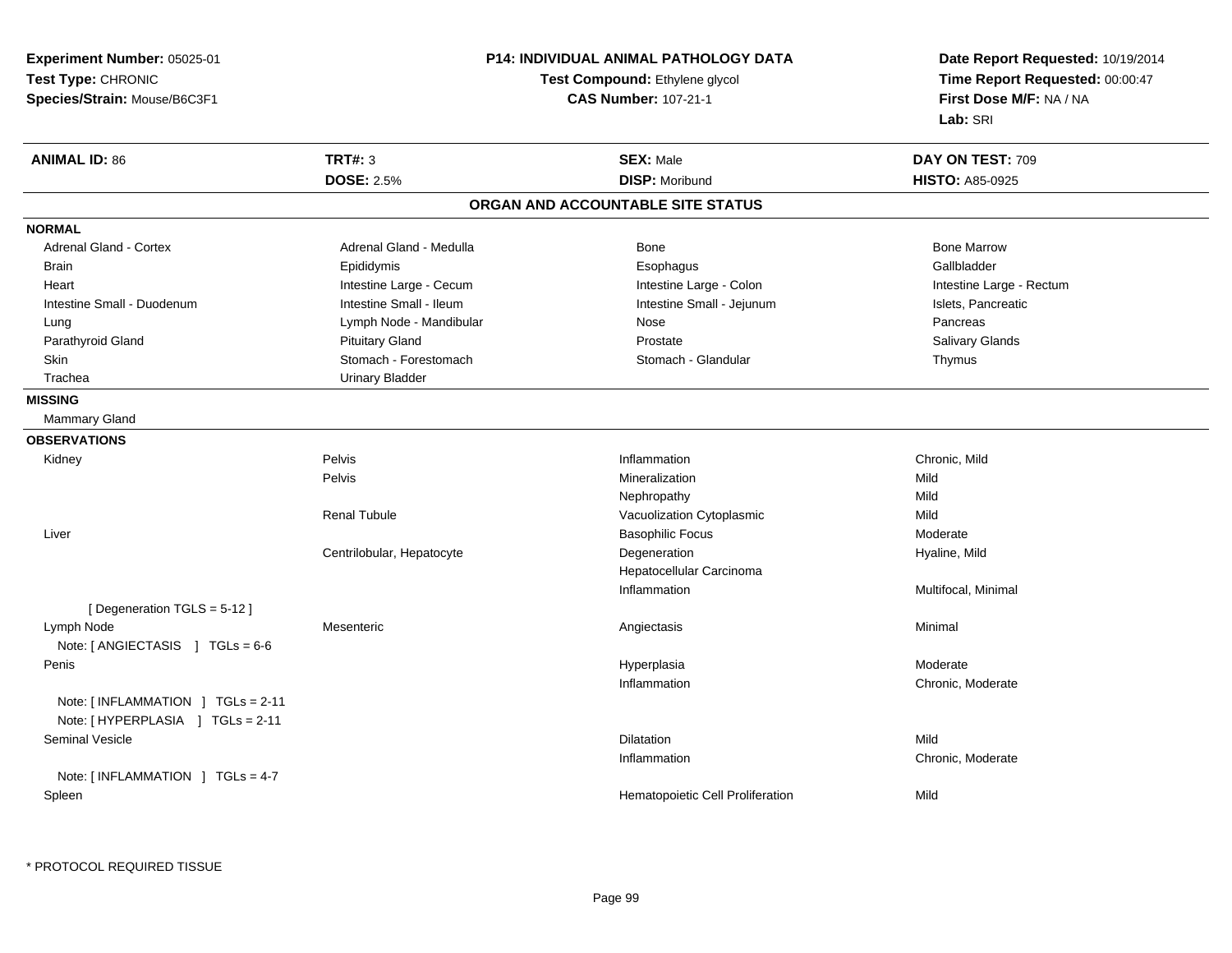**Experiment Number:** 05025-01**Test Type:** CHRONIC **Species/Strain:** Mouse/B6C3F1**P14: INDIVIDUAL ANIMAL PATHOLOGY DATATest Compound:** Ethylene glycol **CAS Number:** 107-21-1**Date Report Requested:** 10/19/2014**Time Report Requested:** 00:00:47**First Dose M/F:** NA / NA**Lab:** SRI**ANIMAL ID:** 86**TRT#:** 3 **SEX:** Male **DAY ON TEST:** 709 **DOSE:** 2.5% **DISP:** Moribund **HISTO:** A85-0925 **ORGAN AND ACCOUNTABLE SITE STATUSNORMALAdrenal Gland - Cortex** Adrenal Gland - Medulla **Bone Adrenal Gland - Cortex Adrenal Gland - Cortex Adrenal Gland - Medulla** Bone Marrow Gallbladder Brain Epididymis Epididymis and the Brook of the Brook of the Brook of the Brook of the Gallbladder of the Gallbladder Heart **Intestine Large - Cecum** Intestine Large - Cecum Intestine Large - Colon Intestine Large - Rectum Intestine Small - Duodenum **Intestine Small - Ileum** Intestine Small - Ileum Intestine Small - Jejunum Intestine Small - Jejunum Islets, Pancreatic Lymph Node - Mandibular Nose Nose Pancreas Pancreas Pancreas **Salivary Glands** Parathyroid Gland Salivary Glands Pituitary Gland Prosection Prostate Prostate Salivary Glands Salivary Glands Skin Stomach - Forestomach Stomach Stomach Stomach Stomach Stomach Stomach - Glandular Thymus Trachea Urinary Bladder**MISSING** Mammary Gland**OBSERVATIONS** Kidneyy the control of the Pelvis of the control of the control of the control of the control of the control of the control of the control of the control of the control of the control of the control of the control of the control **Inflammation**<br>
Mineralization<br>
Mild Mineralization Pelvis Mineralizationn Mild Nephropathyy Mild **Mild** Renal TubuleVacuolization Cytoplasmic Liver Basophilic Focus ModerateHyaline, Mild Centrilobular, Hepatocytee **Example 2018** Degeneration **Example 2018** Hyaline, Mild Hepatocellular CarcinomaInflammation Multifocal, Minimal [ Degeneration TGLS = 5-12 ] Lymph Node Mesenteric Angiectasis Minimal Note: [ ANGIECTASIS ] TGLs = 6-6 Peniss and the control of the control of the control of the control of the control of the control of the control of the control of the control of the control of the control of the control of the control of the control of the co a **Moderate** Inflammation Chronic, Moderate Note: [ INFLAMMATION ] TGLs = 2-11Note: [HYPERPLASIA ] TGLs = 2-11 Seminal Vesiclee discovering the control of the control of the control of the Dilatation of the control of the Mild Inflammation Chronic, Moderate Note: [ INFLAMMATION ] TGLs = 4-7 SpleenHematopoietic Cell Proliferation Mild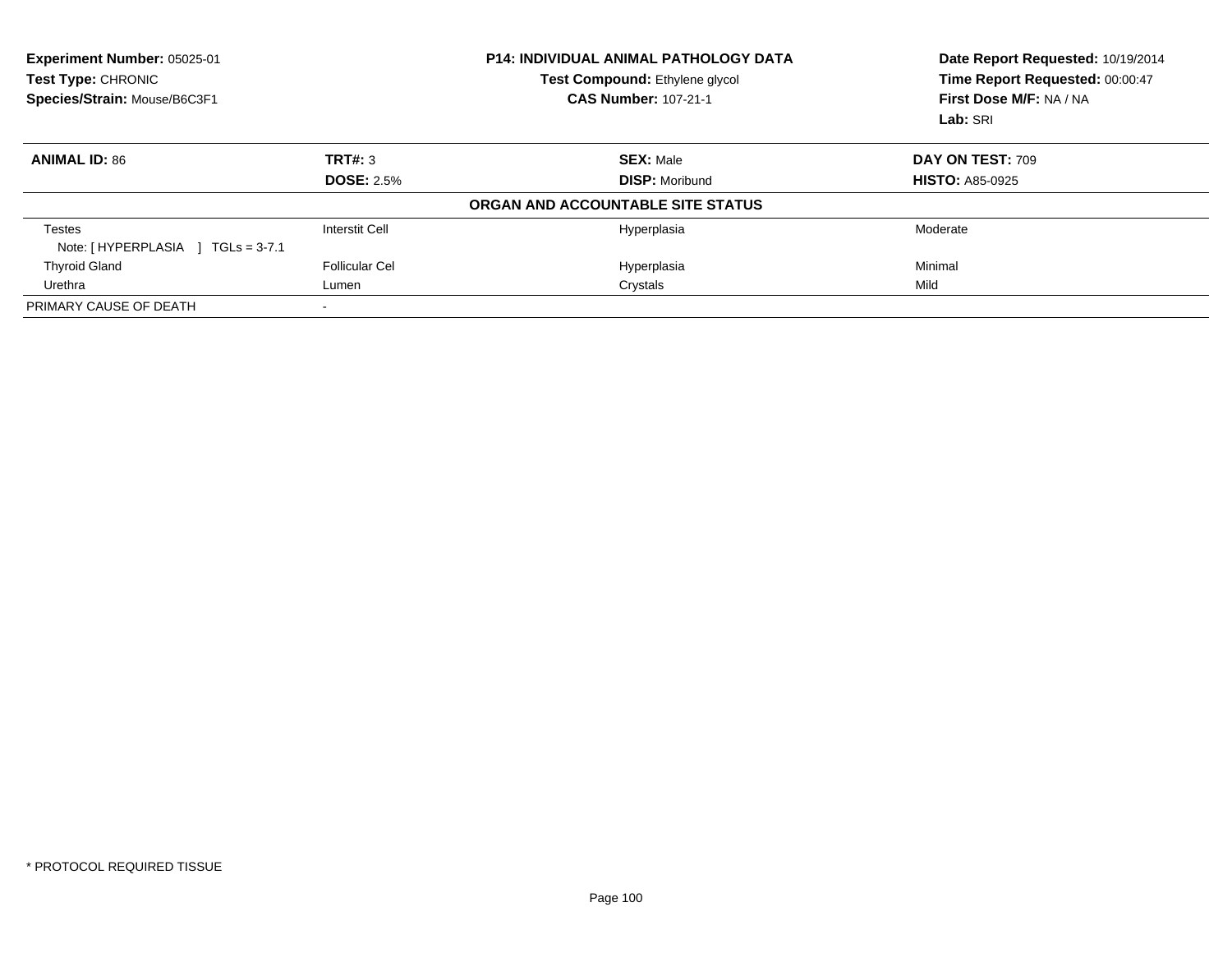| Experiment Number: 05025-01<br>Test Type: CHRONIC<br>Species/Strain: Mouse/B6C3F1 |                       | <b>P14: INDIVIDUAL ANIMAL PATHOLOGY DATA</b><br>Test Compound: Ethylene glycol<br><b>CAS Number: 107-21-1</b> | Date Report Requested: 10/19/2014<br>Time Report Requested: 00:00:47<br>First Dose M/F: NA / NA<br>Lab: SRI |
|-----------------------------------------------------------------------------------|-----------------------|---------------------------------------------------------------------------------------------------------------|-------------------------------------------------------------------------------------------------------------|
| <b>ANIMAL ID: 86</b>                                                              | TRT#: 3               | <b>SEX: Male</b>                                                                                              | DAY ON TEST: 709                                                                                            |
|                                                                                   | <b>DOSE: 2.5%</b>     | <b>DISP:</b> Moribund                                                                                         | <b>HISTO: A85-0925</b>                                                                                      |
|                                                                                   |                       | ORGAN AND ACCOUNTABLE SITE STATUS                                                                             |                                                                                                             |
| <b>Testes</b><br>Note: [HYPERPLASIA ] TGLs = 3-7.1                                | Interstit Cell        | Hyperplasia                                                                                                   | Moderate                                                                                                    |
| <b>Thyroid Gland</b>                                                              | <b>Follicular Cel</b> | Hyperplasia                                                                                                   | Minimal                                                                                                     |
| Urethra                                                                           | Lumen                 | Crystals                                                                                                      | Mild                                                                                                        |
| PRIMARY CAUSE OF DEATH                                                            |                       |                                                                                                               |                                                                                                             |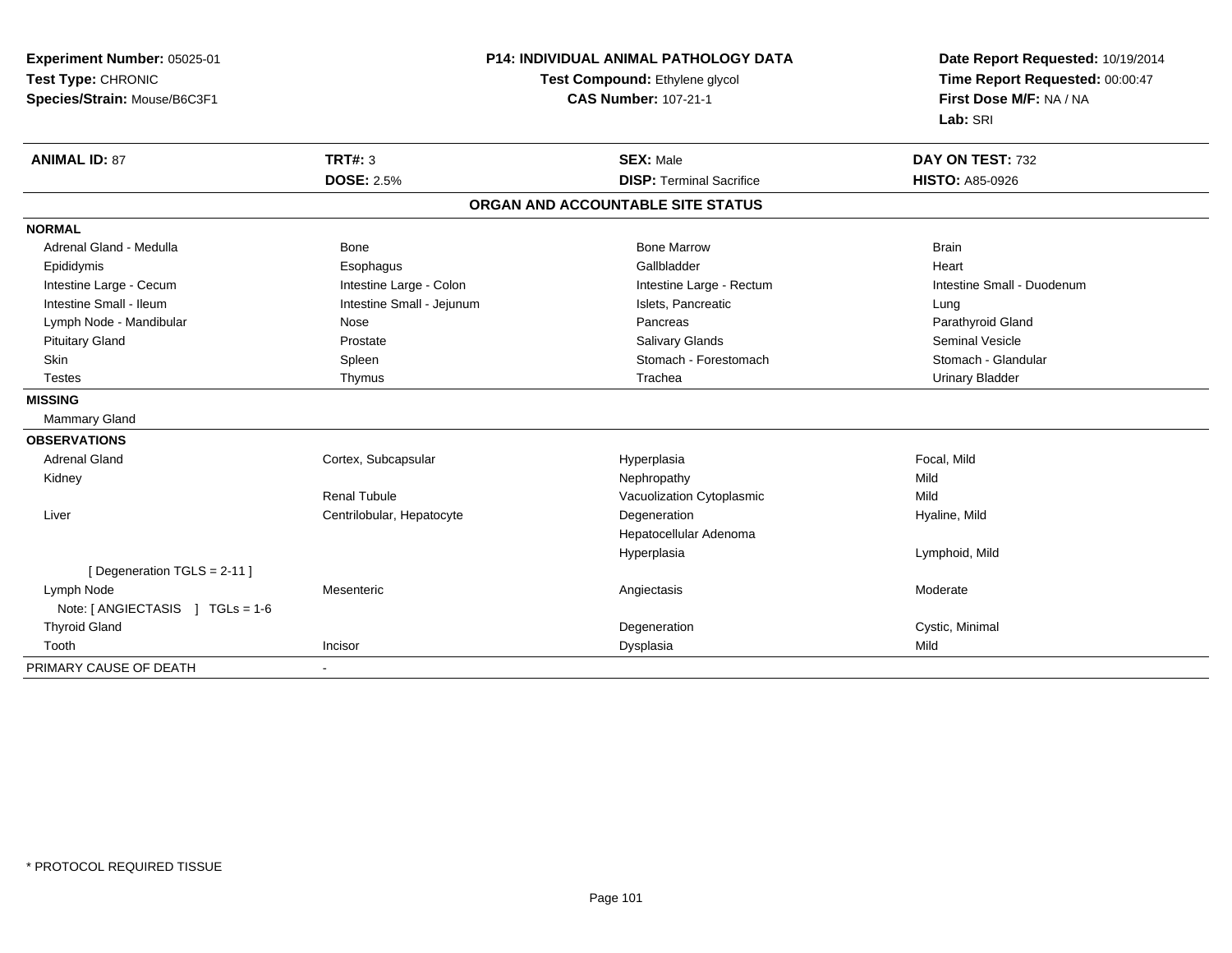| Experiment Number: 05025-01                    | <b>P14: INDIVIDUAL ANIMAL PATHOLOGY DATA</b><br>Test Compound: Ethylene glycol |                                   | Date Report Requested: 10/19/2014<br>Time Report Requested: 00:00:47 |
|------------------------------------------------|--------------------------------------------------------------------------------|-----------------------------------|----------------------------------------------------------------------|
| Test Type: CHRONIC                             |                                                                                |                                   |                                                                      |
| Species/Strain: Mouse/B6C3F1                   |                                                                                | <b>CAS Number: 107-21-1</b>       | First Dose M/F: NA / NA                                              |
|                                                |                                                                                |                                   | Lab: SRI                                                             |
| <b>ANIMAL ID: 87</b>                           | <b>TRT#: 3</b>                                                                 | <b>SEX: Male</b>                  | DAY ON TEST: 732                                                     |
|                                                | <b>DOSE: 2.5%</b>                                                              | <b>DISP: Terminal Sacrifice</b>   | <b>HISTO: A85-0926</b>                                               |
|                                                |                                                                                | ORGAN AND ACCOUNTABLE SITE STATUS |                                                                      |
| <b>NORMAL</b>                                  |                                                                                |                                   |                                                                      |
| Adrenal Gland - Medulla                        | Bone                                                                           | <b>Bone Marrow</b>                | <b>Brain</b>                                                         |
| Epididymis                                     | Esophagus                                                                      | Gallbladder                       | Heart                                                                |
| Intestine Large - Cecum                        | Intestine Large - Colon                                                        | Intestine Large - Rectum          | Intestine Small - Duodenum                                           |
| Intestine Small - Ileum                        | Intestine Small - Jejunum                                                      | Islets, Pancreatic                | Lung                                                                 |
| Lymph Node - Mandibular                        | Nose                                                                           | Pancreas                          | Parathyroid Gland                                                    |
| <b>Pituitary Gland</b>                         | Prostate                                                                       | Salivary Glands                   | <b>Seminal Vesicle</b>                                               |
| Skin                                           | Spleen                                                                         | Stomach - Forestomach             | Stomach - Glandular                                                  |
| <b>Testes</b>                                  | Thymus                                                                         | Trachea                           | <b>Urinary Bladder</b>                                               |
| <b>MISSING</b>                                 |                                                                                |                                   |                                                                      |
| <b>Mammary Gland</b>                           |                                                                                |                                   |                                                                      |
| <b>OBSERVATIONS</b>                            |                                                                                |                                   |                                                                      |
| <b>Adrenal Gland</b>                           | Cortex, Subcapsular                                                            | Hyperplasia                       | Focal, Mild                                                          |
| Kidney                                         |                                                                                | Nephropathy                       | Mild                                                                 |
|                                                | <b>Renal Tubule</b>                                                            | Vacuolization Cytoplasmic         | Mild                                                                 |
| Liver                                          | Centrilobular, Hepatocyte                                                      | Degeneration                      | Hyaline, Mild                                                        |
|                                                |                                                                                | Hepatocellular Adenoma            |                                                                      |
|                                                |                                                                                | Hyperplasia                       | Lymphoid, Mild                                                       |
| [ Degeneration TGLS = 2-11 ]                   |                                                                                |                                   |                                                                      |
| Lymph Node<br>Note: [ ANGIECTASIS ] TGLs = 1-6 | Mesenteric                                                                     | Angiectasis                       | Moderate                                                             |
| <b>Thyroid Gland</b>                           |                                                                                | Degeneration                      | Cystic, Minimal                                                      |
| Tooth                                          | Incisor                                                                        | Dysplasia                         | Mild                                                                 |
| PRIMARY CAUSE OF DEATH                         | $\blacksquare$                                                                 |                                   |                                                                      |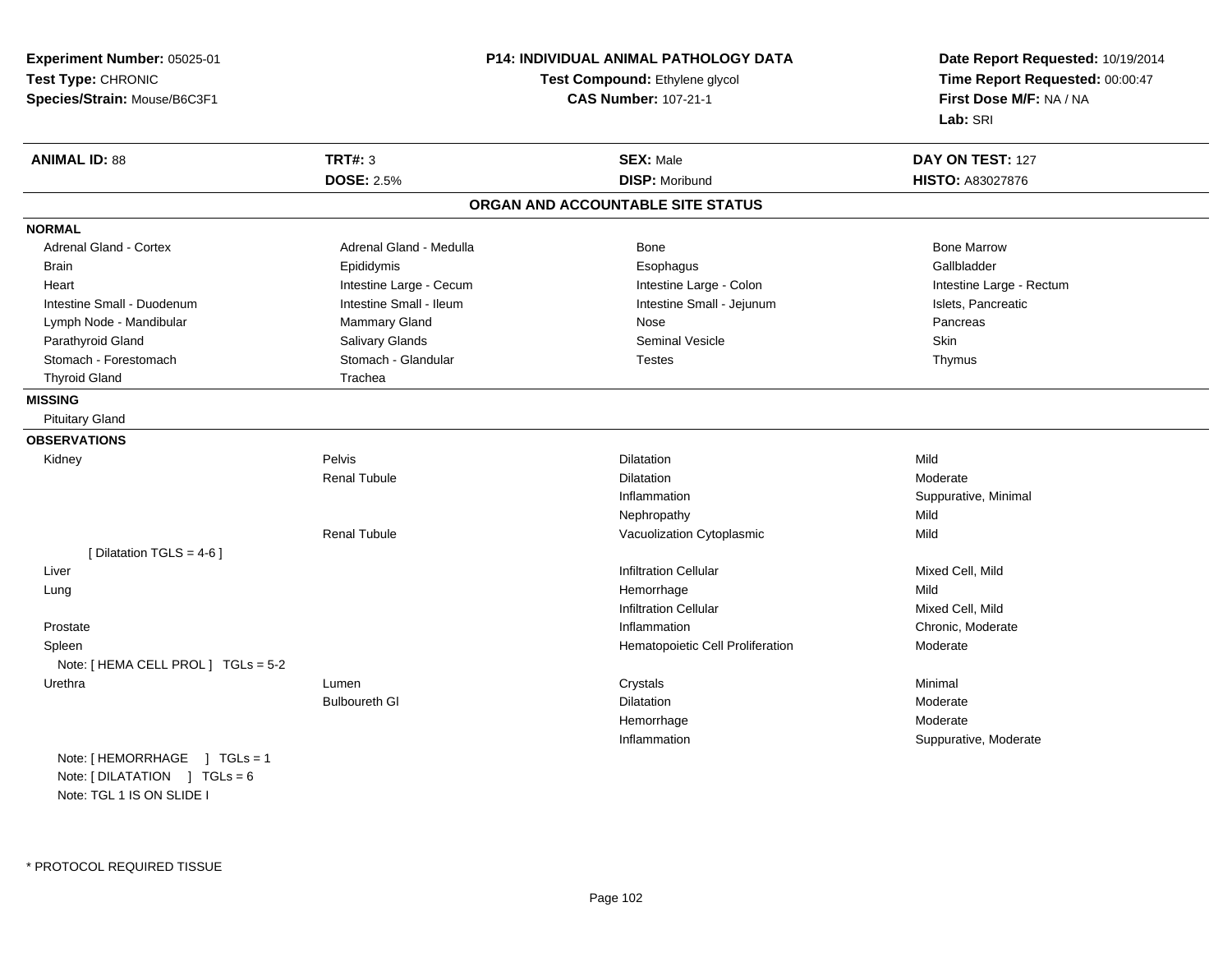**Experiment Number:** 05025-01**Test Type:** CHRONIC **Species/Strain:** Mouse/B6C3F1**P14: INDIVIDUAL ANIMAL PATHOLOGY DATATest Compound:** Ethylene glycol **CAS Number:** 107-21-1**Date Report Requested:** 10/19/2014**Time Report Requested:** 00:00:47**First Dose M/F:** NA / NA**Lab:** SRI**ANIMAL ID:** 88**TRT#:** 3 **SEX:** Male **DAY ON TEST:** 127 **DOSE:** 2.5% **DISP:** Moribund **HISTO:** A83027876 **ORGAN AND ACCOUNTABLE SITE STATUSNORMALAdrenal Gland - Cortex** Adrenal Gland - Medulla **Bone Adrenal Gland - Cortex Adrenal Gland - Cortex Adrenal Gland - Medulla** Bone Marrow Gallbladder Brain Epididymis Epididymis and the Brook of the Brook of the Brook of the Brook of the Gallbladder of the Gallbladder Heart **Intestine Large - Cecum** Intestine Large - Cecum Intestine Large - Colon Intestine Large - Rectum Intestine Small - Duodenum **Intestine Small - Ileum** Intestine Small - Ileum Intestine Small - Jejunum Intestine Small - Jejunum Islets, Pancreatic Lymph Node - Mandibular Nammary Gland Nose Nose Nose Pancreas Pancreas Pancreas Parathyroid Gland Salivary Glands Seminal Vesicle SkinThymus Stomach - Forestomach **Stomach - Glandular** Stomach - Glandular Testes Testes Testes Thyroid Gland Trachea **MISSING** Pituitary Gland**OBSERVATIONS** Kidneyy the control of the pelvis of the control of the control of the control of the control of the control of the control of the control of the control of the control of the control of the control of the control of the control n Mild Renal Tubulee and the contract of Dilatation and the contract of the Moderate of the Moderate of the Dilatation of the Moderate of the Moderate of the Moderate of the Moderate of the Moderate of the Moderate of the Moderate of the Mod InflammationSuppurative, Minimal<br>Mild Nephropathyy Mild Mild Renal TubuleVacuolization Cytoplasmic [ Dilatation TGLS = 4-6 ] Liver Infiltration Cellular Mixed Cell, Mild Lungg and the state of the state of the state of the state of the Hemorrhage and the Mild state of the Mild state of the Mild state of the State of the State of the State of the State of the State of the State of the State of Infiltration Cellular Mixed Cell, MildChronic. Moderate Prostatee and the chronic, Moderate and the chronic method of the chronic method of the chronic method of the chronic, Moderate and the chronic method of the chronic method of the chronic method of the chronic method of the chroni SpleenHematopoietic Cell Proliferation Moderate Note: [ HEMA CELL PROL ] TGLs = 5-2 Urethraa that is the controller controller that the controller controller controller controller controller controller<br>And the controller controller controller controller controller controller controller controller controller con Bulboureth Gl**Dilatation** n Moderate Hemorrhage Moderate Inflammation Suppurative, Moderate Note: [ HEMORRHAGE ] TGLs = 1

Note: [ DILATATION ] TGLs = 6 Note: TGL 1 IS ON SLIDE I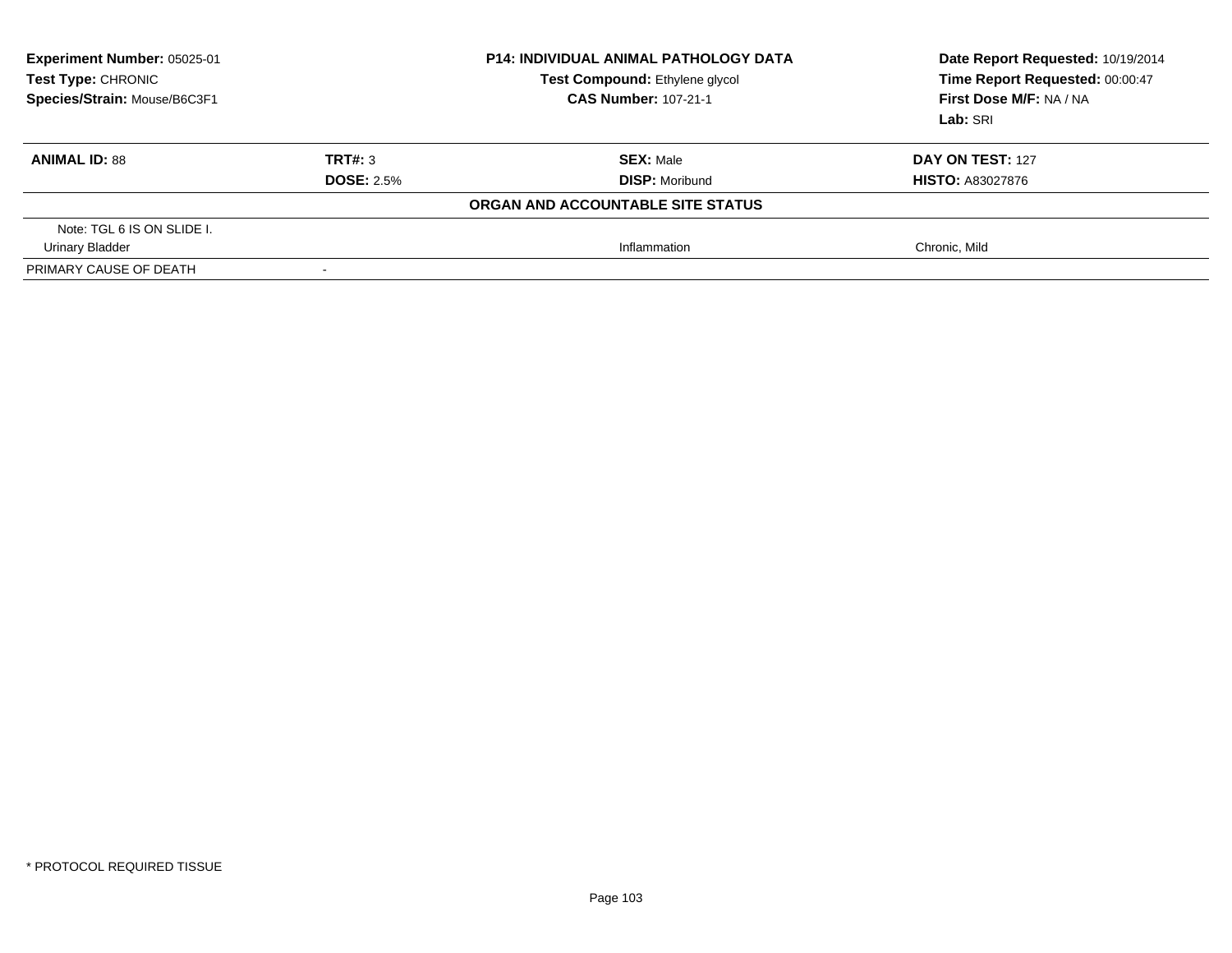| <b>Experiment Number: 05025-01</b><br>Test Type: CHRONIC<br>Species/Strain: Mouse/B6C3F1 | <b>P14: INDIVIDUAL ANIMAL PATHOLOGY DATA</b><br>Test Compound: Ethylene glycol<br><b>CAS Number: 107-21-1</b> |                                   | Date Report Requested: 10/19/2014<br>Time Report Requested: 00:00:47<br>First Dose M/F: NA / NA<br>Lab: SRI |
|------------------------------------------------------------------------------------------|---------------------------------------------------------------------------------------------------------------|-----------------------------------|-------------------------------------------------------------------------------------------------------------|
| <b>ANIMAL ID: 88</b>                                                                     | TRT#: 3                                                                                                       | <b>SEX: Male</b>                  | DAY ON TEST: 127                                                                                            |
|                                                                                          | <b>DOSE: 2.5%</b>                                                                                             | <b>DISP: Moribund</b>             | <b>HISTO: A83027876</b>                                                                                     |
|                                                                                          |                                                                                                               | ORGAN AND ACCOUNTABLE SITE STATUS |                                                                                                             |
| Note: TGL 6 IS ON SLIDE I.                                                               |                                                                                                               |                                   |                                                                                                             |
| <b>Urinary Bladder</b>                                                                   |                                                                                                               | Inflammation                      | Chronic, Mild                                                                                               |
| PRIMARY CAUSE OF DEATH                                                                   | $\overline{\phantom{a}}$                                                                                      |                                   |                                                                                                             |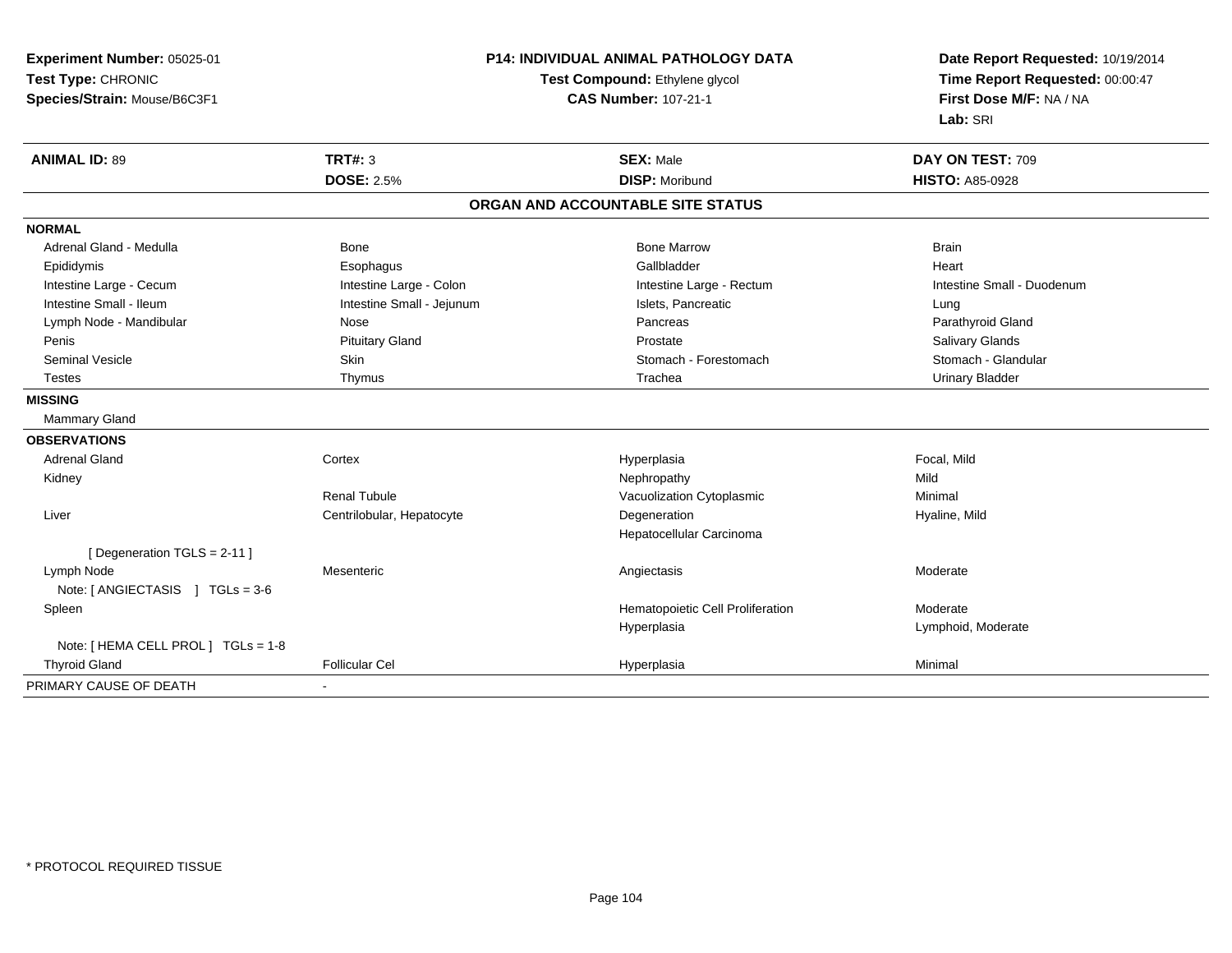| Experiment Number: 05025-01         | <b>P14: INDIVIDUAL ANIMAL PATHOLOGY DATA</b><br>Test Compound: Ethylene glycol |                                   | Date Report Requested: 10/19/2014<br>Time Report Requested: 00:00:47 |
|-------------------------------------|--------------------------------------------------------------------------------|-----------------------------------|----------------------------------------------------------------------|
| Test Type: CHRONIC                  |                                                                                |                                   |                                                                      |
| Species/Strain: Mouse/B6C3F1        |                                                                                | <b>CAS Number: 107-21-1</b>       | First Dose M/F: NA / NA                                              |
|                                     |                                                                                |                                   | Lab: SRI                                                             |
| <b>ANIMAL ID: 89</b>                | TRT#: 3                                                                        | <b>SEX: Male</b>                  | DAY ON TEST: 709                                                     |
|                                     | <b>DOSE: 2.5%</b>                                                              | <b>DISP: Moribund</b>             | <b>HISTO: A85-0928</b>                                               |
|                                     |                                                                                | ORGAN AND ACCOUNTABLE SITE STATUS |                                                                      |
| <b>NORMAL</b>                       |                                                                                |                                   |                                                                      |
| Adrenal Gland - Medulla             | Bone                                                                           | <b>Bone Marrow</b>                | <b>Brain</b>                                                         |
| Epididymis                          | Esophagus                                                                      | Gallbladder                       | Heart                                                                |
| Intestine Large - Cecum             | Intestine Large - Colon                                                        | Intestine Large - Rectum          | Intestine Small - Duodenum                                           |
| Intestine Small - Ileum             | Intestine Small - Jejunum                                                      | Islets, Pancreatic                | Lung                                                                 |
| Lymph Node - Mandibular             | Nose                                                                           | Pancreas                          | Parathyroid Gland                                                    |
| Penis                               | <b>Pituitary Gland</b>                                                         | Prostate                          | Salivary Glands                                                      |
| <b>Seminal Vesicle</b>              | Skin                                                                           | Stomach - Forestomach             | Stomach - Glandular                                                  |
| <b>Testes</b>                       | Thymus                                                                         | Trachea                           | <b>Urinary Bladder</b>                                               |
| <b>MISSING</b>                      |                                                                                |                                   |                                                                      |
| Mammary Gland                       |                                                                                |                                   |                                                                      |
| <b>OBSERVATIONS</b>                 |                                                                                |                                   |                                                                      |
| <b>Adrenal Gland</b>                | Cortex                                                                         | Hyperplasia                       | Focal, Mild                                                          |
| Kidney                              |                                                                                | Nephropathy                       | Mild                                                                 |
|                                     | Renal Tubule                                                                   | Vacuolization Cytoplasmic         | Minimal                                                              |
| Liver                               | Centrilobular, Hepatocyte                                                      | Degeneration                      | Hyaline, Mild                                                        |
|                                     |                                                                                | Hepatocellular Carcinoma          |                                                                      |
| [ Degeneration TGLS = 2-11 ]        |                                                                                |                                   |                                                                      |
| Lymph Node                          | Mesenteric                                                                     | Angiectasis                       | Moderate                                                             |
| Note: [ ANGIECTASIS ] TGLs = 3-6    |                                                                                |                                   |                                                                      |
| Spleen                              |                                                                                | Hematopoietic Cell Proliferation  | Moderate                                                             |
|                                     |                                                                                | Hyperplasia                       | Lymphoid, Moderate                                                   |
| Note: [ HEMA CELL PROL ] TGLs = 1-8 |                                                                                |                                   |                                                                      |
| <b>Thyroid Gland</b>                | <b>Follicular Cel</b>                                                          | Hyperplasia                       | Minimal                                                              |
| PRIMARY CAUSE OF DEATH              |                                                                                |                                   |                                                                      |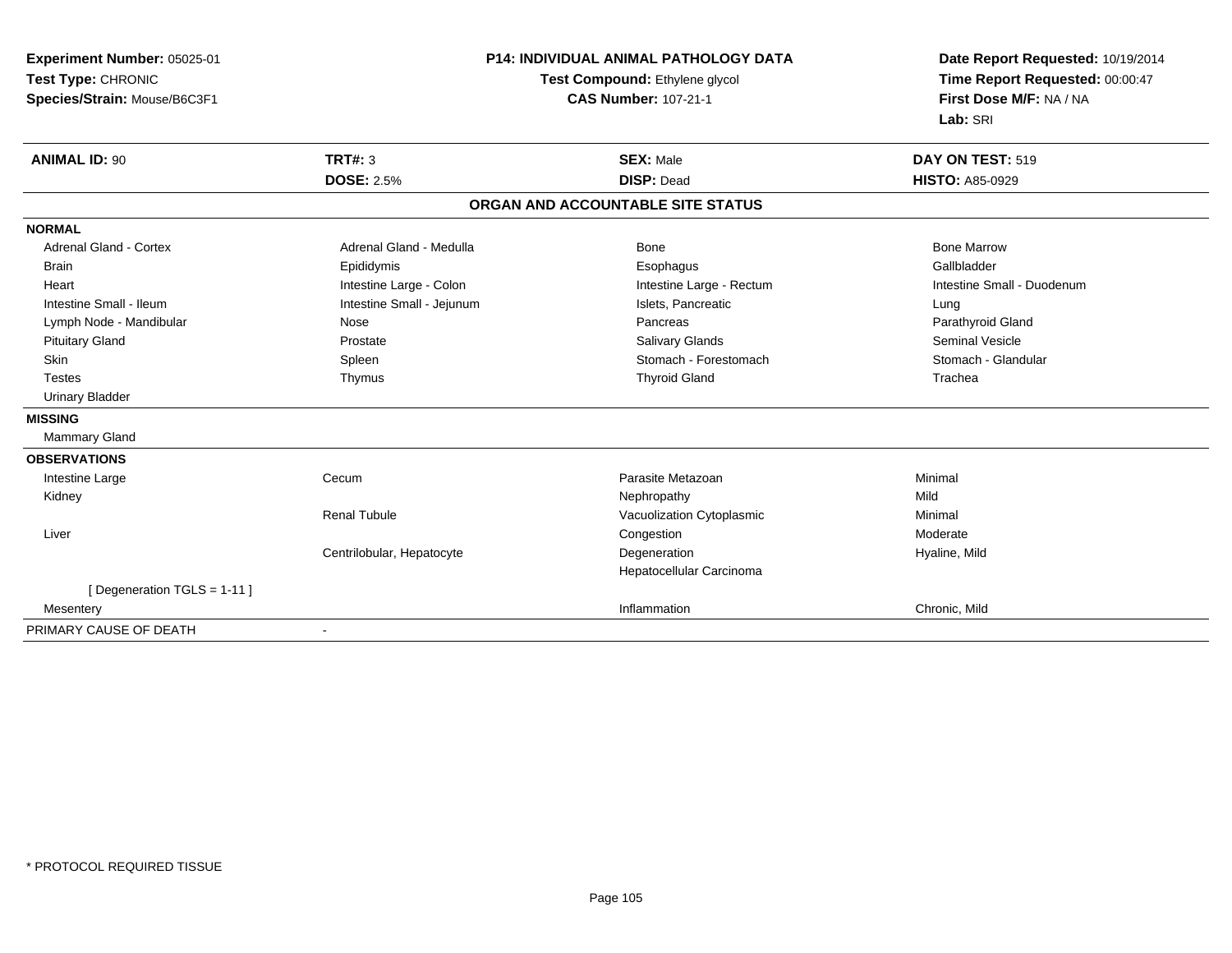| Experiment Number: 05025-01   | P14: INDIVIDUAL ANIMAL PATHOLOGY DATA<br>Test Compound: Ethylene glycol |                                   | Date Report Requested: 10/19/2014<br>Time Report Requested: 00:00:47 |  |
|-------------------------------|-------------------------------------------------------------------------|-----------------------------------|----------------------------------------------------------------------|--|
| Test Type: CHRONIC            |                                                                         |                                   |                                                                      |  |
| Species/Strain: Mouse/B6C3F1  |                                                                         | <b>CAS Number: 107-21-1</b>       | First Dose M/F: NA / NA                                              |  |
|                               |                                                                         |                                   | Lab: SRI                                                             |  |
| <b>ANIMAL ID: 90</b>          | <b>TRT#: 3</b>                                                          | <b>SEX: Male</b>                  | DAY ON TEST: 519                                                     |  |
|                               | <b>DOSE: 2.5%</b>                                                       | <b>DISP: Dead</b>                 | <b>HISTO: A85-0929</b>                                               |  |
|                               |                                                                         | ORGAN AND ACCOUNTABLE SITE STATUS |                                                                      |  |
| <b>NORMAL</b>                 |                                                                         |                                   |                                                                      |  |
| <b>Adrenal Gland - Cortex</b> | Adrenal Gland - Medulla                                                 | Bone                              | <b>Bone Marrow</b>                                                   |  |
| <b>Brain</b>                  | Epididymis                                                              | Esophagus                         | Gallbladder                                                          |  |
| Heart                         | Intestine Large - Colon                                                 | Intestine Large - Rectum          | Intestine Small - Duodenum                                           |  |
| Intestine Small - Ileum       | Intestine Small - Jejunum                                               | Islets, Pancreatic                | Lung                                                                 |  |
| Lymph Node - Mandibular       | Nose                                                                    | Pancreas                          | Parathyroid Gland                                                    |  |
| <b>Pituitary Gland</b>        | Prostate                                                                | <b>Salivary Glands</b>            | <b>Seminal Vesicle</b>                                               |  |
| Skin                          | Spleen                                                                  | Stomach - Forestomach             | Stomach - Glandular                                                  |  |
| <b>Testes</b>                 | Thymus                                                                  | <b>Thyroid Gland</b>              | Trachea                                                              |  |
| <b>Urinary Bladder</b>        |                                                                         |                                   |                                                                      |  |
| <b>MISSING</b>                |                                                                         |                                   |                                                                      |  |
| Mammary Gland                 |                                                                         |                                   |                                                                      |  |
| <b>OBSERVATIONS</b>           |                                                                         |                                   |                                                                      |  |
| Intestine Large               | Cecum                                                                   | Parasite Metazoan                 | Minimal                                                              |  |
| Kidney                        |                                                                         | Nephropathy                       | Mild                                                                 |  |
|                               | <b>Renal Tubule</b>                                                     | Vacuolization Cytoplasmic         | Minimal                                                              |  |
| Liver                         |                                                                         | Congestion                        | Moderate                                                             |  |
|                               | Centrilobular, Hepatocyte                                               | Degeneration                      | Hyaline, Mild                                                        |  |
|                               |                                                                         | Hepatocellular Carcinoma          |                                                                      |  |
| [ Degeneration TGLS = 1-11 ]  |                                                                         |                                   |                                                                      |  |
| Mesentery                     |                                                                         | Inflammation                      | Chronic, Mild                                                        |  |
| PRIMARY CAUSE OF DEATH        | $\overline{\phantom{0}}$                                                |                                   |                                                                      |  |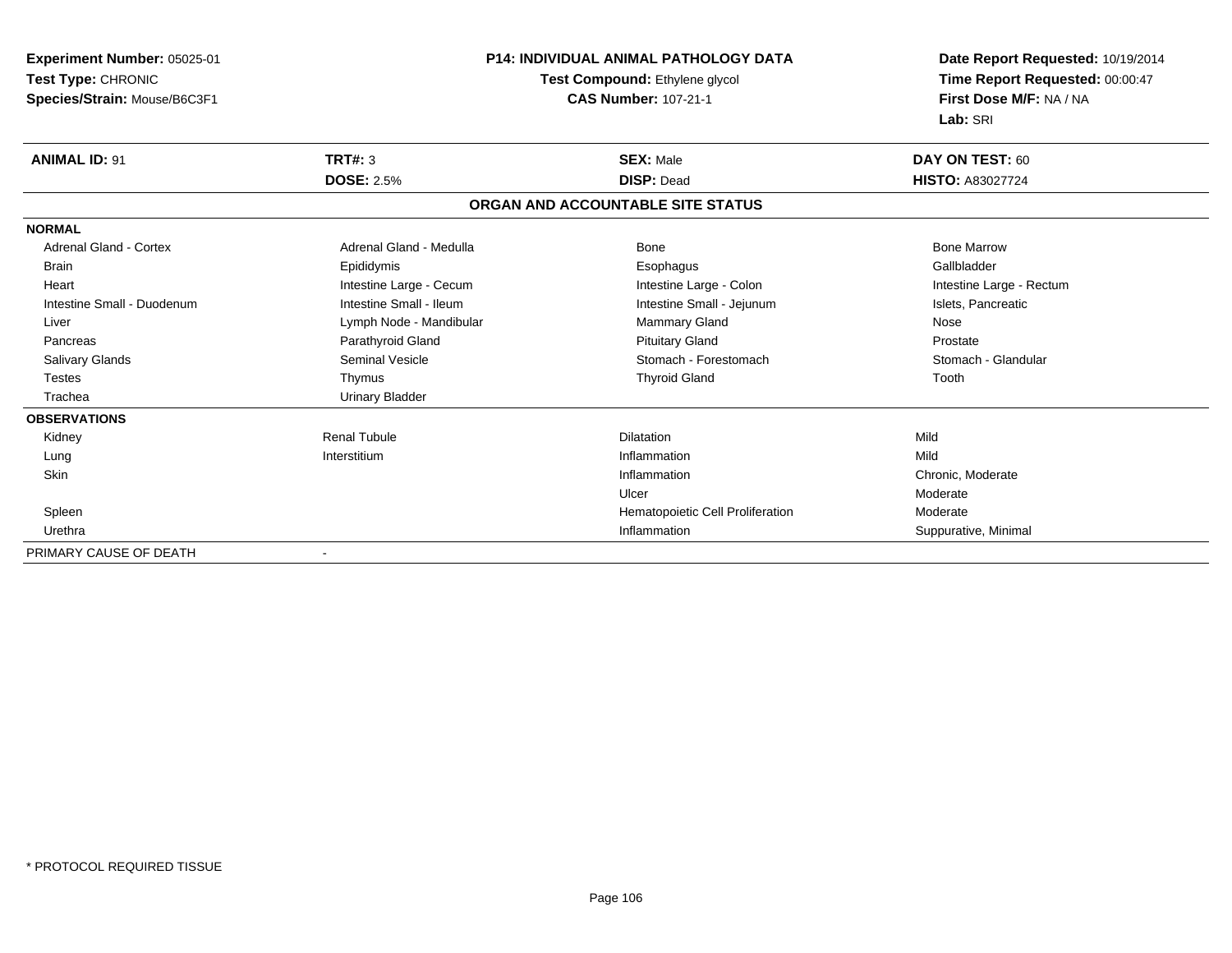| Experiment Number: 05025-01                          |                         | <b>P14: INDIVIDUAL ANIMAL PATHOLOGY DATA</b> |                                 |  |
|------------------------------------------------------|-------------------------|----------------------------------------------|---------------------------------|--|
| Test Type: CHRONIC<br>Test Compound: Ethylene glycol |                         |                                              | Time Report Requested: 00:00:47 |  |
| Species/Strain: Mouse/B6C3F1                         |                         | <b>CAS Number: 107-21-1</b>                  |                                 |  |
|                                                      |                         |                                              | Lab: SRI                        |  |
| <b>ANIMAL ID: 91</b>                                 | <b>TRT#: 3</b>          | <b>SEX: Male</b>                             | DAY ON TEST: 60                 |  |
|                                                      | <b>DOSE: 2.5%</b>       | <b>DISP: Dead</b>                            | <b>HISTO: A83027724</b>         |  |
|                                                      |                         | ORGAN AND ACCOUNTABLE SITE STATUS            |                                 |  |
| <b>NORMAL</b>                                        |                         |                                              |                                 |  |
| Adrenal Gland - Cortex                               | Adrenal Gland - Medulla | Bone                                         | <b>Bone Marrow</b>              |  |
| <b>Brain</b>                                         | Epididymis              | Esophagus                                    | Gallbladder                     |  |
| Heart                                                | Intestine Large - Cecum | Intestine Large - Colon                      | Intestine Large - Rectum        |  |
| Intestine Small - Duodenum                           | Intestine Small - Ileum | Intestine Small - Jejunum                    | Islets, Pancreatic              |  |
| Liver                                                | Lymph Node - Mandibular | <b>Mammary Gland</b>                         | Nose                            |  |
| Pancreas                                             | Parathyroid Gland       | <b>Pituitary Gland</b>                       | Prostate                        |  |
| <b>Salivary Glands</b>                               | <b>Seminal Vesicle</b>  | Stomach - Forestomach                        | Stomach - Glandular             |  |
| <b>Testes</b>                                        | Thymus                  | <b>Thyroid Gland</b>                         | Tooth                           |  |
| Trachea                                              | <b>Urinary Bladder</b>  |                                              |                                 |  |
| <b>OBSERVATIONS</b>                                  |                         |                                              |                                 |  |
| Kidney                                               | <b>Renal Tubule</b>     | Dilatation                                   | Mild                            |  |
| Lung                                                 | Interstitium            | Inflammation                                 | Mild                            |  |
| <b>Skin</b>                                          |                         | Inflammation                                 | Chronic, Moderate               |  |
|                                                      |                         | Ulcer                                        | Moderate                        |  |
| Spleen                                               |                         | Hematopoietic Cell Proliferation             | Moderate                        |  |
| Urethra                                              |                         | Inflammation                                 | Suppurative, Minimal            |  |
| PRIMARY CAUSE OF DEATH                               |                         |                                              |                                 |  |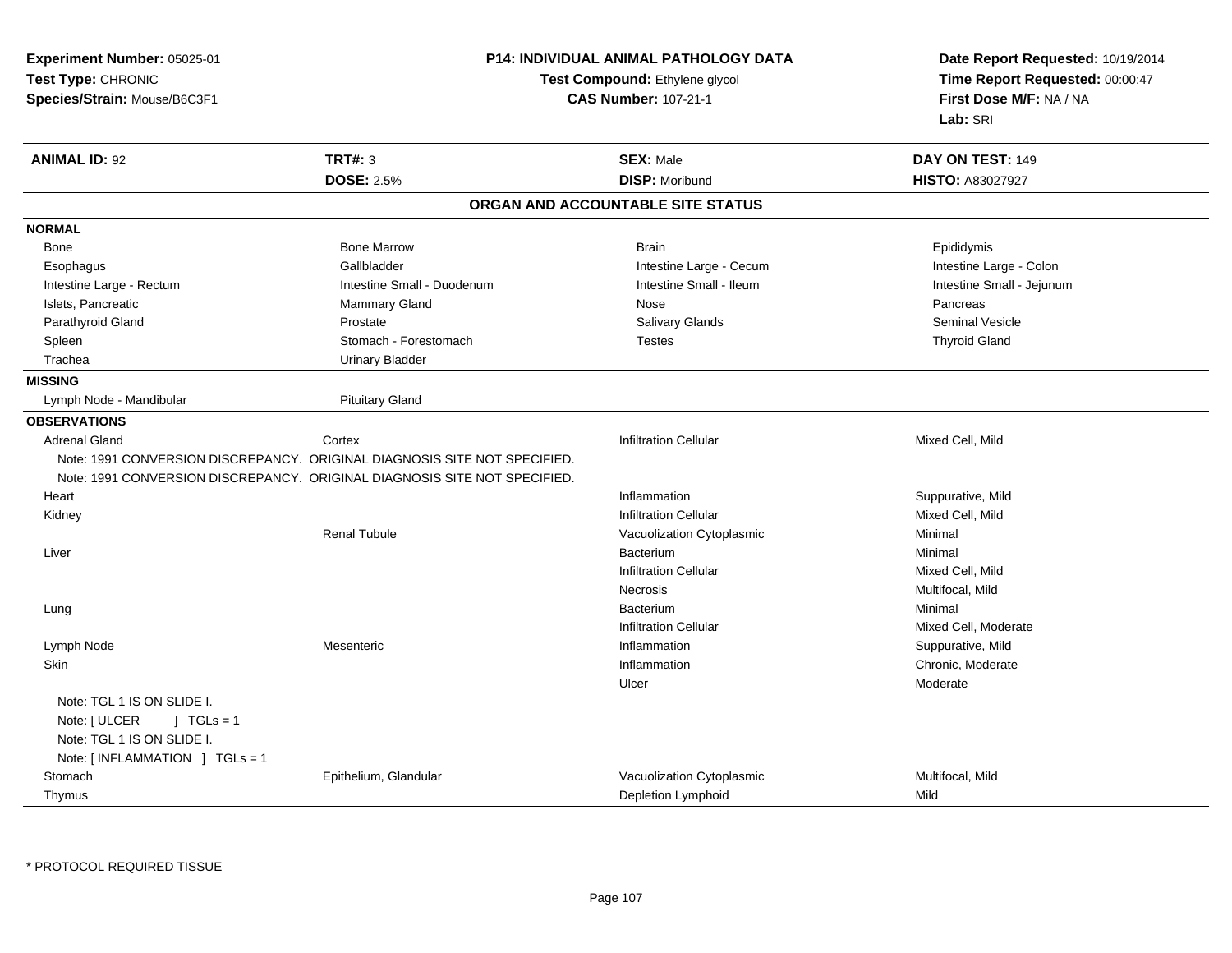**Experiment Number:** 05025-01**Test Type:** CHRONIC **Species/Strain:** Mouse/B6C3F1**P14: INDIVIDUAL ANIMAL PATHOLOGY DATATest Compound:** Ethylene glycol **CAS Number:** 107-21-1**Date Report Requested:** 10/19/2014**Time Report Requested:** 00:00:47**First Dose M/F:** NA / NA**Lab:** SRI**ANIMAL ID:** 92**TRT#:** 3 **SEX:** Male **DAY ON TEST:** 149 **DOSE:** 2.5%**28 Million Control 2015 Million DISP:** Moribund **HISTO:** A83027927 **ORGAN AND ACCOUNTABLE SITE STATUSNORMAL**Bone Bone Bone Marrow Bone Harrow Brain Brain Brain Brain Brain Brain Brain Brain Brain Brain Brain Brain Brain Brain Intestine Large - Colon Esophagus **Example 2018** Gallbladder **Colonial Callbladder Intestine Large - Cecum** Intestine Large - Cecum Intestine Large - Rectum Intestine Small - Duodenum Intestine Small - Ileum Intestine Small - JejunumIslets, Pancreatic **Access 20 For the Contract Mammary Gland** Nose Nose Pancreas Pancreas **Seminal Vesicle** Parathyroid Gland Prostate Prostate Prostate Salivary Glands Salivary Glands Seminal Vesicle Spleen Stomach - Forestomach Communication Communication Testes Thyroid Gland Trachea Urinary Bladder**MISSING**Lymph Node - Mandibular Pituitary Gland **OBSERVATIONS** Adrenal Gland Cortex Infiltration Cellular Mixed Cell, Mild Note: 1991 CONVERSION DISCREPANCY. ORIGINAL DIAGNOSIS SITE NOT SPECIFIED.Note: 1991 CONVERSION DISCREPANCY. ORIGINAL DIAGNOSIS SITE NOT SPECIFIED.**Heart** t the contract of the contract of the contract of the contract of the contract of the contract of the contract of the contract of the contract of the contract of the contract of the contract of the contract of the contract Inflammation **Suppurative, Mild**<br>
Infiltration Cellular **Nitration** Cellular **Nitration Cellular**  Kidneyy with the contract of the contract of the contract of the contract of the contract of the contract of the contract of the contract of the contract of the contract of the contract of the contract of the contract of the con Renal TubuleVacuolization Cytoplasmic<br>
Bacterium Minimal<br>
Minimal Liverr and the control of the control of the control of the control of the control of the Bacterium Bacterium m Minimal Minimal Minimal Services and the Minimal Services of the Minimal Services and the Minimal Services o<br>Exclusive and the Minimal Services and the Minimal Services and the Minimal Services and the Minimal Services Infiltration Cellular Mixed Cell, Milds **Multifocal**, Mild Necrosis Lungg and the state of the state of the state of the state of the state of the state of the state of the state of the state of the state of the state of the state of the state of the state of the state of the state of the stat m Minimal Minimal Minimal Services and the Minimal Services of the Minimal Services and the Minimal Services o<br>Exclusive and the Minimal Services and the Minimal Services and the Minimal Services and the Minimal Services Infiltration Cellular Mixed Cell, Moderate Lymph Nodee the suppurative, Mesenteric the Suppurative of the Suppurative, Mild and Suppurative, Mild and Suppurative, Mild and Suppurative, Mild and Suppurative, Mild and Suppurative, Mild and Suppurative, Mild and Suppurative, Mi **Skin** n and the chronic, Moderate and the chronic method of the chronic method of the chronic method of the chronic, Moderate  $\Gamma$ Ulcerr **Moderate** Note: TGL 1 IS ON SLIDE I.Note: [ ULCER ] TGLs = 1 Note: TGL 1 IS ON SLIDE I.Note: [ INFLAMMATION ] TGLs = 1 **Stomach** Epithelium, Glandular **Epithelium, Glandular** Multifocal, Mild<br>
Depletion Lymphoid<br>
Depletion Lymphoid Thymus Depletion Lymphoidd Mild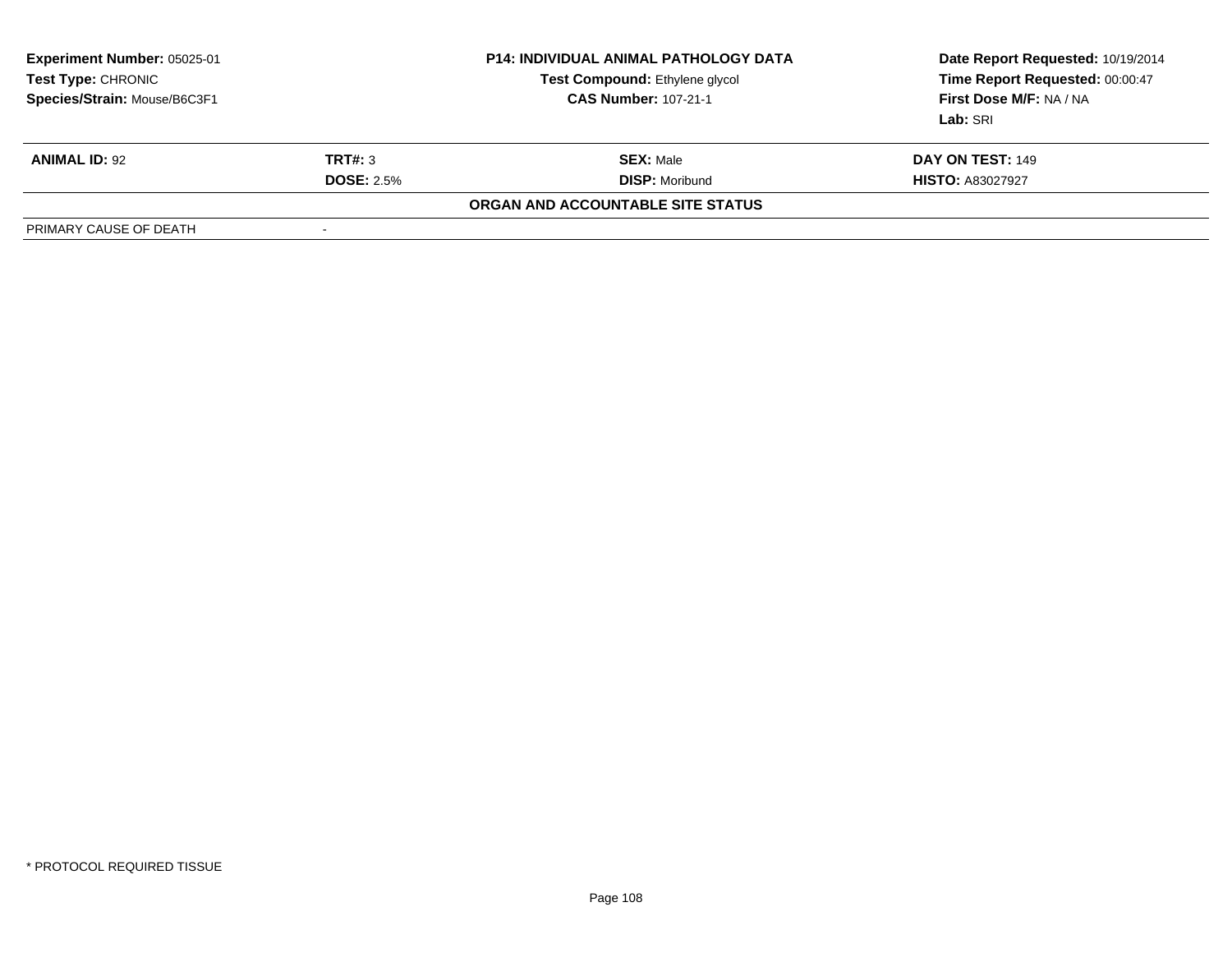| <b>Experiment Number: 05025-01</b><br><b>Test Type: CHRONIC</b><br>Species/Strain: Mouse/B6C3F1 | <b>P14: INDIVIDUAL ANIMAL PATHOLOGY DATA</b><br>Test Compound: Ethylene glycol<br><b>CAS Number: 107-21-1</b> |                       | Date Report Requested: 10/19/2014<br>Time Report Requested: 00:00:47<br>First Dose M/F: NA / NA<br>Lab: SRI |  |  |  |  |
|-------------------------------------------------------------------------------------------------|---------------------------------------------------------------------------------------------------------------|-----------------------|-------------------------------------------------------------------------------------------------------------|--|--|--|--|
| <b>ANIMAL ID: 92</b>                                                                            | TRT#: 3                                                                                                       | <b>SEX: Male</b>      | <b>DAY ON TEST: 149</b>                                                                                     |  |  |  |  |
|                                                                                                 | <b>DOSE: 2.5%</b>                                                                                             | <b>DISP: Moribund</b> | <b>HISTO: A83027927</b>                                                                                     |  |  |  |  |
| <b>ORGAN AND ACCOUNTABLE SITE STATUS</b>                                                        |                                                                                                               |                       |                                                                                                             |  |  |  |  |
| PRIMARY CAUSE OF DEATH                                                                          |                                                                                                               |                       |                                                                                                             |  |  |  |  |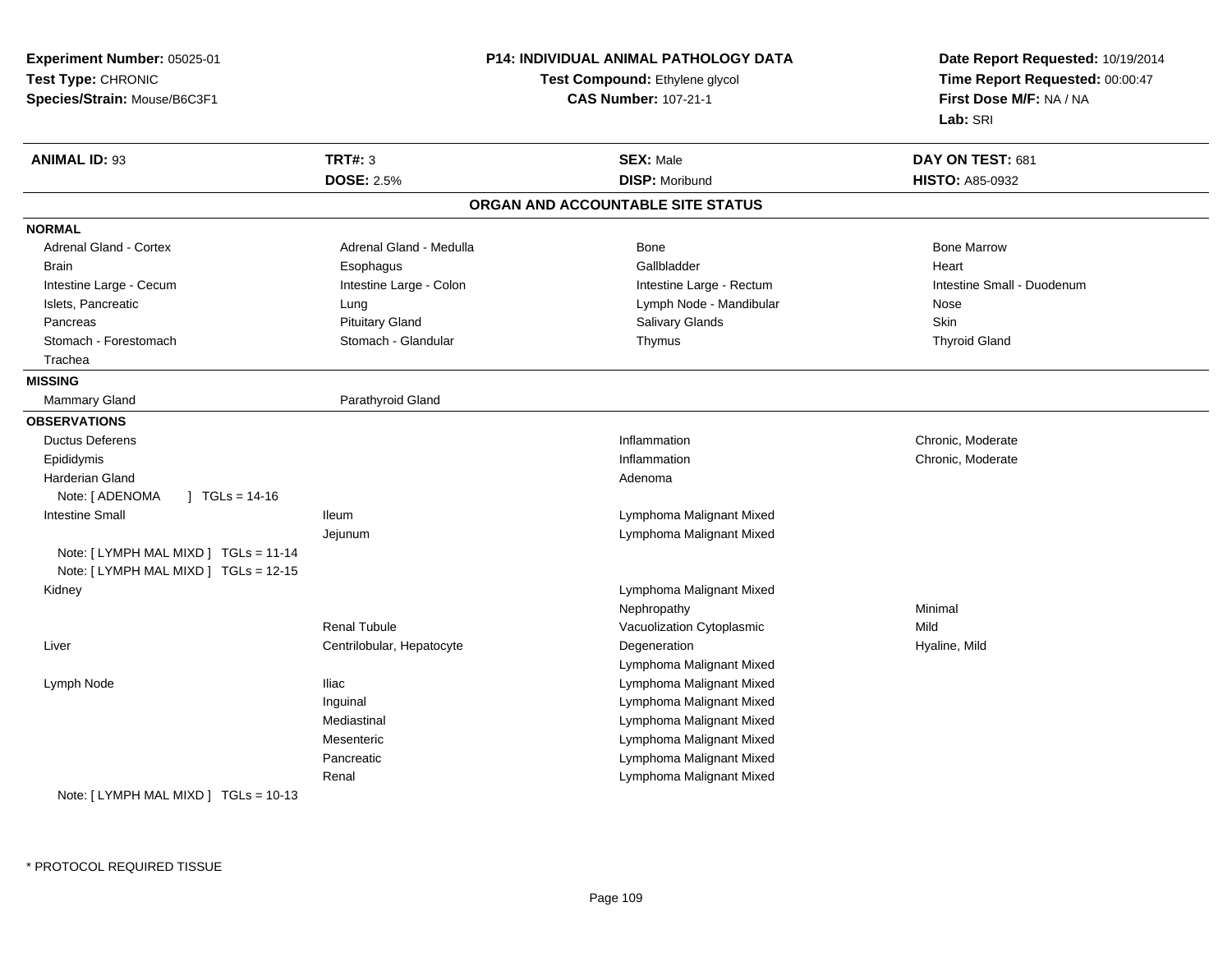| Experiment Number: 05025-01                                                    | P14: INDIVIDUAL ANIMAL PATHOLOGY DATA<br>Test Compound: Ethylene glycol<br><b>CAS Number: 107-21-1</b> |                                   | Date Report Requested: 10/19/2014<br>Time Report Requested: 00:00:47 |
|--------------------------------------------------------------------------------|--------------------------------------------------------------------------------------------------------|-----------------------------------|----------------------------------------------------------------------|
| Test Type: CHRONIC                                                             |                                                                                                        |                                   |                                                                      |
| Species/Strain: Mouse/B6C3F1                                                   |                                                                                                        |                                   | First Dose M/F: NA / NA                                              |
|                                                                                |                                                                                                        |                                   | Lab: SRI                                                             |
| <b>ANIMAL ID: 93</b>                                                           | <b>TRT#: 3</b>                                                                                         | <b>SEX: Male</b>                  | DAY ON TEST: 681                                                     |
|                                                                                | <b>DOSE: 2.5%</b>                                                                                      | <b>DISP: Moribund</b>             | <b>HISTO: A85-0932</b>                                               |
|                                                                                |                                                                                                        | ORGAN AND ACCOUNTABLE SITE STATUS |                                                                      |
| <b>NORMAL</b>                                                                  |                                                                                                        |                                   |                                                                      |
| Adrenal Gland - Cortex                                                         | Adrenal Gland - Medulla                                                                                | Bone                              | <b>Bone Marrow</b>                                                   |
| Brain                                                                          | Esophagus                                                                                              | Gallbladder                       | Heart                                                                |
| Intestine Large - Cecum                                                        | Intestine Large - Colon                                                                                | Intestine Large - Rectum          | Intestine Small - Duodenum                                           |
| Islets, Pancreatic                                                             | Lung                                                                                                   | Lymph Node - Mandibular           | Nose                                                                 |
| Pancreas                                                                       | <b>Pituitary Gland</b>                                                                                 | Salivary Glands                   | Skin                                                                 |
| Stomach - Forestomach                                                          | Stomach - Glandular                                                                                    | Thymus                            | <b>Thyroid Gland</b>                                                 |
| Trachea                                                                        |                                                                                                        |                                   |                                                                      |
| <b>MISSING</b>                                                                 |                                                                                                        |                                   |                                                                      |
| Mammary Gland                                                                  | Parathyroid Gland                                                                                      |                                   |                                                                      |
| <b>OBSERVATIONS</b>                                                            |                                                                                                        |                                   |                                                                      |
| <b>Ductus Deferens</b>                                                         |                                                                                                        | Inflammation                      | Chronic, Moderate                                                    |
| Epididymis                                                                     |                                                                                                        | Inflammation                      | Chronic, Moderate                                                    |
| Harderian Gland                                                                |                                                                                                        | Adenoma                           |                                                                      |
| Note: [ ADENOMA<br>$\sqrt{1}$ TGLs = 14-16                                     |                                                                                                        |                                   |                                                                      |
| <b>Intestine Small</b>                                                         | lleum                                                                                                  | Lymphoma Malignant Mixed          |                                                                      |
|                                                                                | Jejunum                                                                                                | Lymphoma Malignant Mixed          |                                                                      |
| Note: [ LYMPH MAL MIXD ] TGLs = 11-14<br>Note: [ LYMPH MAL MIXD ] TGLs = 12-15 |                                                                                                        |                                   |                                                                      |
| Kidney                                                                         |                                                                                                        | Lymphoma Malignant Mixed          |                                                                      |
|                                                                                |                                                                                                        | Nephropathy                       | Minimal                                                              |
|                                                                                | <b>Renal Tubule</b>                                                                                    | Vacuolization Cytoplasmic         | Mild                                                                 |
| Liver                                                                          | Centrilobular, Hepatocyte                                                                              | Degeneration                      | Hyaline, Mild                                                        |
|                                                                                |                                                                                                        | Lymphoma Malignant Mixed          |                                                                      |
| Lymph Node                                                                     | <b>Iliac</b>                                                                                           | Lymphoma Malignant Mixed          |                                                                      |
|                                                                                | Inguinal                                                                                               | Lymphoma Malignant Mixed          |                                                                      |
|                                                                                | Mediastinal                                                                                            | Lymphoma Malignant Mixed          |                                                                      |
|                                                                                | Mesenteric                                                                                             | Lymphoma Malignant Mixed          |                                                                      |
|                                                                                | Pancreatic                                                                                             | Lymphoma Malignant Mixed          |                                                                      |
|                                                                                | Renal                                                                                                  | Lymphoma Malignant Mixed          |                                                                      |
| Note: $[LYMPH MAL MIXD] TGLs = 10-13$                                          |                                                                                                        |                                   |                                                                      |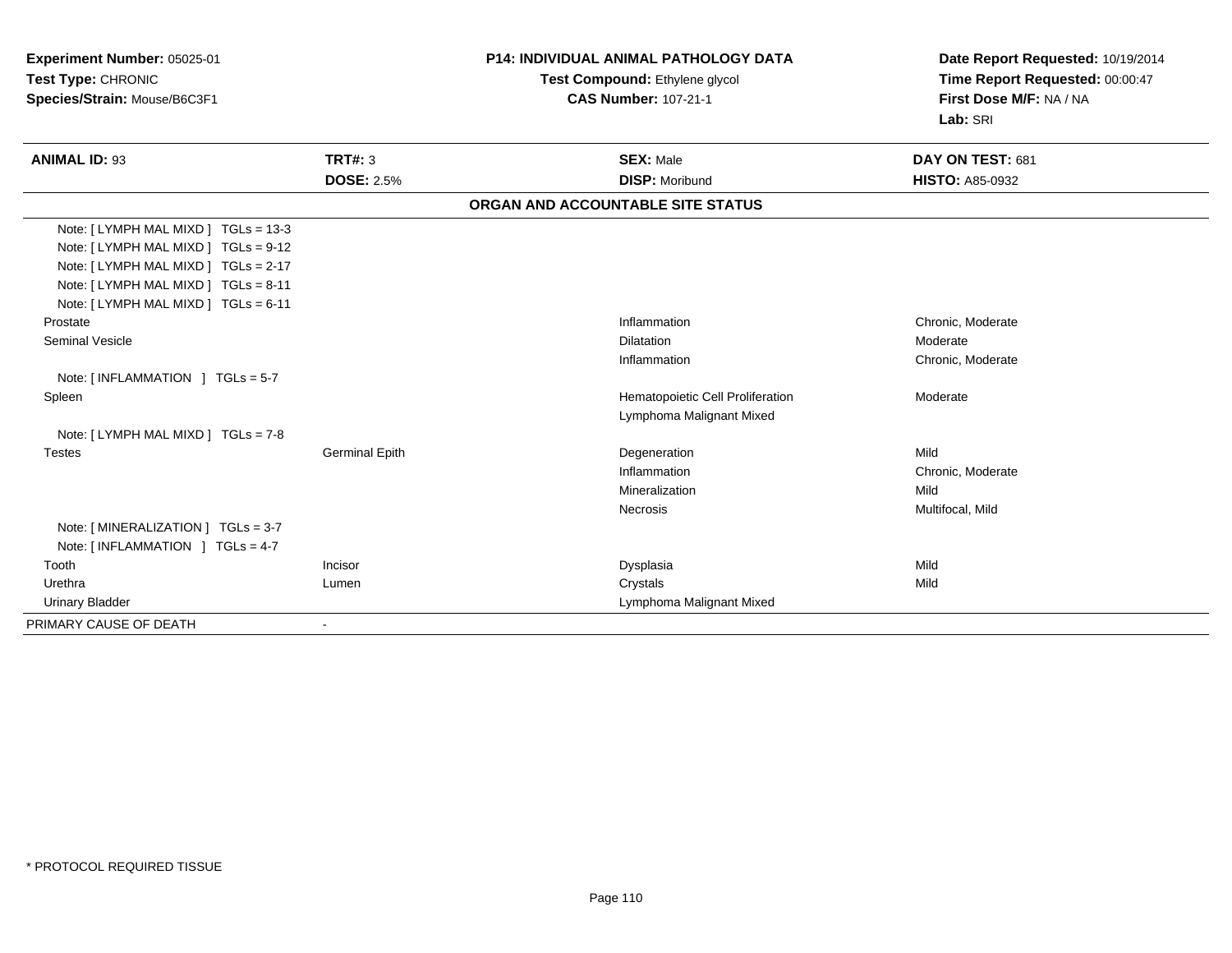| Experiment Number: 05025-01<br>Test Type: CHRONIC<br>Species/Strain: Mouse/B6C3F1 |                       | <b>P14: INDIVIDUAL ANIMAL PATHOLOGY DATA</b> | Date Report Requested: 10/19/2014<br>Time Report Requested: 00:00:47<br>First Dose M/F: NA / NA |  |
|-----------------------------------------------------------------------------------|-----------------------|----------------------------------------------|-------------------------------------------------------------------------------------------------|--|
|                                                                                   |                       | Test Compound: Ethylene glycol               |                                                                                                 |  |
|                                                                                   |                       | <b>CAS Number: 107-21-1</b>                  |                                                                                                 |  |
|                                                                                   |                       |                                              | Lab: SRI                                                                                        |  |
| <b>ANIMAL ID: 93</b>                                                              | <b>TRT#: 3</b>        | <b>SEX: Male</b>                             | DAY ON TEST: 681                                                                                |  |
|                                                                                   | <b>DOSE: 2.5%</b>     | <b>DISP: Moribund</b>                        | <b>HISTO: A85-0932</b>                                                                          |  |
|                                                                                   |                       | ORGAN AND ACCOUNTABLE SITE STATUS            |                                                                                                 |  |
| Note: [ LYMPH MAL MIXD ] TGLs = 13-3                                              |                       |                                              |                                                                                                 |  |
| Note: [ LYMPH MAL MIXD ] TGLs = 9-12                                              |                       |                                              |                                                                                                 |  |
| Note: [ LYMPH MAL MIXD ] TGLs = 2-17                                              |                       |                                              |                                                                                                 |  |
| Note: [LYMPH MAL MIXD ] TGLs = 8-11                                               |                       |                                              |                                                                                                 |  |
| Note: [LYMPH MAL MIXD ] TGLs = 6-11                                               |                       |                                              |                                                                                                 |  |
| Prostate                                                                          |                       | Inflammation                                 | Chronic, Moderate                                                                               |  |
| <b>Seminal Vesicle</b>                                                            |                       | Dilatation                                   | Moderate                                                                                        |  |
|                                                                                   |                       | Inflammation                                 | Chronic, Moderate                                                                               |  |
| Note: $[INFLAMMATION] TGLs = 5-7$                                                 |                       |                                              |                                                                                                 |  |
| Spleen                                                                            |                       | Hematopoietic Cell Proliferation             | Moderate                                                                                        |  |
|                                                                                   |                       | Lymphoma Malignant Mixed                     |                                                                                                 |  |
| Note: [LYMPH MAL MIXD ] TGLs = 7-8                                                |                       |                                              |                                                                                                 |  |
| <b>Testes</b>                                                                     | <b>Germinal Epith</b> | Degeneration                                 | Mild                                                                                            |  |
|                                                                                   |                       | Inflammation                                 | Chronic, Moderate                                                                               |  |
|                                                                                   |                       | Mineralization                               | Mild                                                                                            |  |
|                                                                                   |                       | Necrosis                                     | Multifocal, Mild                                                                                |  |
| Note: [MINERALIZATION ] TGLs = 3-7                                                |                       |                                              |                                                                                                 |  |
| Note: [INFLAMMATION ] TGLs = 4-7                                                  |                       |                                              |                                                                                                 |  |
| Tooth                                                                             | Incisor               | Dysplasia                                    | Mild                                                                                            |  |
| Urethra                                                                           | Lumen                 | Crystals                                     | Mild                                                                                            |  |
| <b>Urinary Bladder</b>                                                            |                       | Lymphoma Malignant Mixed                     |                                                                                                 |  |
| PRIMARY CAUSE OF DEATH                                                            | $\blacksquare$        |                                              |                                                                                                 |  |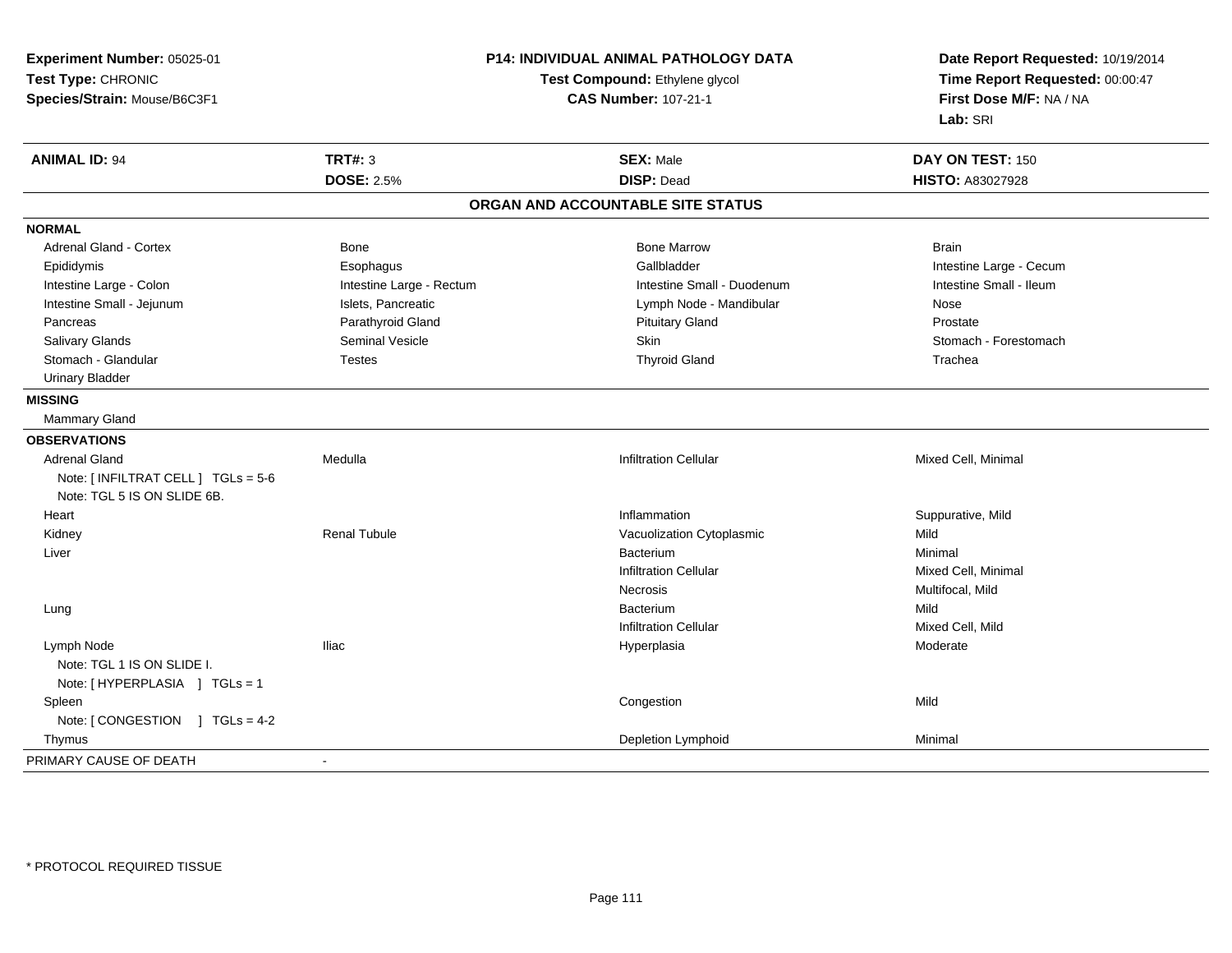| Experiment Number: 05025-01         | P14: INDIVIDUAL ANIMAL PATHOLOGY DATA<br>Test Compound: Ethylene glycol<br><b>CAS Number: 107-21-1</b> |                                   | Date Report Requested: 10/19/2014<br>Time Report Requested: 00:00:47<br>First Dose M/F: NA / NA |
|-------------------------------------|--------------------------------------------------------------------------------------------------------|-----------------------------------|-------------------------------------------------------------------------------------------------|
| Test Type: CHRONIC                  |                                                                                                        |                                   |                                                                                                 |
| Species/Strain: Mouse/B6C3F1        |                                                                                                        |                                   |                                                                                                 |
|                                     |                                                                                                        |                                   | Lab: SRI                                                                                        |
| <b>ANIMAL ID: 94</b>                | <b>TRT#: 3</b>                                                                                         | <b>SEX: Male</b>                  | DAY ON TEST: 150                                                                                |
|                                     | <b>DOSE: 2.5%</b>                                                                                      | <b>DISP: Dead</b>                 | HISTO: A83027928                                                                                |
|                                     |                                                                                                        | ORGAN AND ACCOUNTABLE SITE STATUS |                                                                                                 |
| <b>NORMAL</b>                       |                                                                                                        |                                   |                                                                                                 |
| <b>Adrenal Gland - Cortex</b>       | Bone                                                                                                   | <b>Bone Marrow</b>                | <b>Brain</b>                                                                                    |
| Epididymis                          | Esophagus                                                                                              | Gallbladder                       | Intestine Large - Cecum                                                                         |
| Intestine Large - Colon             | Intestine Large - Rectum                                                                               | Intestine Small - Duodenum        | Intestine Small - Ileum                                                                         |
| Intestine Small - Jejunum           | Islets, Pancreatic                                                                                     | Lymph Node - Mandibular           | Nose                                                                                            |
| Pancreas                            | Parathyroid Gland                                                                                      | <b>Pituitary Gland</b>            | Prostate                                                                                        |
| Salivary Glands                     | Seminal Vesicle                                                                                        | Skin                              | Stomach - Forestomach                                                                           |
| Stomach - Glandular                 | <b>Testes</b>                                                                                          | <b>Thyroid Gland</b>              | Trachea                                                                                         |
| <b>Urinary Bladder</b>              |                                                                                                        |                                   |                                                                                                 |
| <b>MISSING</b>                      |                                                                                                        |                                   |                                                                                                 |
| <b>Mammary Gland</b>                |                                                                                                        |                                   |                                                                                                 |
| <b>OBSERVATIONS</b>                 |                                                                                                        |                                   |                                                                                                 |
| <b>Adrenal Gland</b>                | Medulla                                                                                                | Infiltration Cellular             | Mixed Cell, Minimal                                                                             |
| Note: [ INFILTRAT CELL ] TGLs = 5-6 |                                                                                                        |                                   |                                                                                                 |
| Note: TGL 5 IS ON SLIDE 6B.         |                                                                                                        |                                   |                                                                                                 |
| Heart                               |                                                                                                        | Inflammation                      | Suppurative, Mild                                                                               |
| Kidney                              | <b>Renal Tubule</b>                                                                                    | Vacuolization Cytoplasmic         | Mild                                                                                            |
| Liver                               |                                                                                                        | Bacterium                         | Minimal                                                                                         |
|                                     |                                                                                                        | <b>Infiltration Cellular</b>      | Mixed Cell, Minimal                                                                             |
|                                     |                                                                                                        | Necrosis                          | Multifocal, Mild                                                                                |
| Lung                                |                                                                                                        | Bacterium                         | Mild                                                                                            |
|                                     |                                                                                                        | <b>Infiltration Cellular</b>      | Mixed Cell, Mild                                                                                |
| Lymph Node                          | Iliac                                                                                                  | Hyperplasia                       | Moderate                                                                                        |
| Note: TGL 1 IS ON SLIDE I.          |                                                                                                        |                                   |                                                                                                 |
| Note: [HYPERPLASIA ] TGLs = 1       |                                                                                                        |                                   |                                                                                                 |
| Spleen                              |                                                                                                        | Congestion                        | Mild                                                                                            |
| Note: [CONGESTION ] TGLs = 4-2      |                                                                                                        |                                   |                                                                                                 |
| Thymus                              |                                                                                                        | Depletion Lymphoid                | Minimal                                                                                         |
| PRIMARY CAUSE OF DEATH              | ÷,                                                                                                     |                                   |                                                                                                 |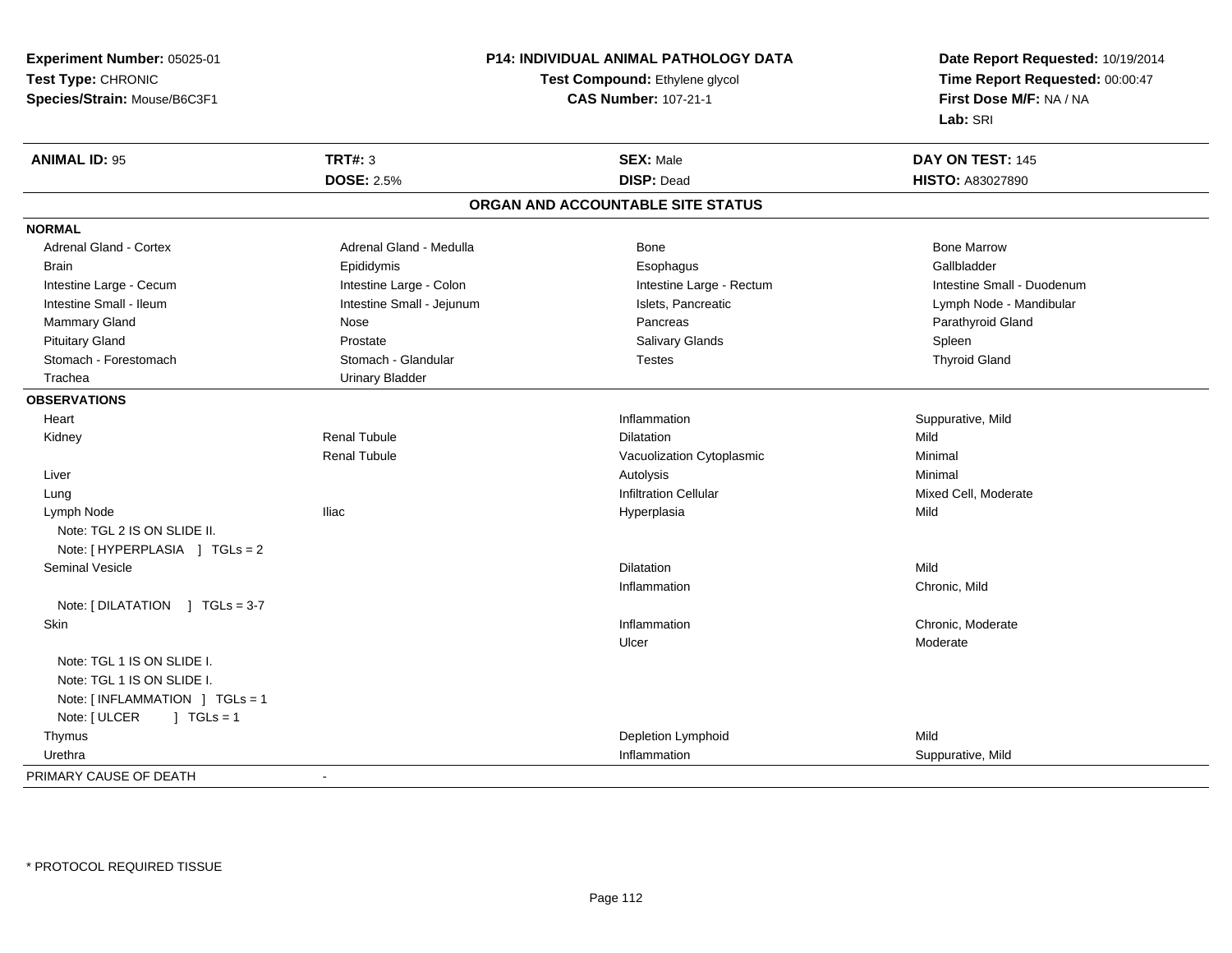**Experiment Number:** 05025-01**Test Type:** CHRONIC **Species/Strain:** Mouse/B6C3F1**P14: INDIVIDUAL ANIMAL PATHOLOGY DATATest Compound:** Ethylene glycol **CAS Number:** 107-21-1**Date Report Requested:** 10/19/2014**Time Report Requested:** 00:00:47**First Dose M/F:** NA / NA**Lab:** SRI**ANIMAL ID:** 95 **TRT#:** <sup>3</sup> **SEX:** Male **DAY ON TEST:** <sup>145</sup> **DOSE:** 2.5%**DISP:** Dead **HISTO:** A83027890 **ORGAN AND ACCOUNTABLE SITE STATUSNORMALAdrenal Gland - Cortex** Adrenal Gland - Medulla **Bone Adrenal Gland - Cortex Adrenal Gland - Cortex Adrenal Gland - Medulla** Bone Marrow Gallbladder Brain Epididymis Epididymis and the Brook of the Brook of the Brook of the Brook of the Gallbladder of the Gallbladder Intestine Large - Cecum **Intestine Large - Colon** Intestine Large - Colon Intestine Large - Rectum Intestine Large - Rectum Intestine Small - Duodenum Intestine Small - Ileum **Intestine Small - Jejunum** Intestine Small - Jejunum Islets, Pancreatic Lymph Node - Mandibular Mammary Gland Nose Nose Records and December 2012 (Nose Pancreas Parathyroid Gland Parathyroid Gland Parathyroid Gland Parathyroid Gland Parathyroid Gland Parathyroid Gland Parathyroid Gland Parathyroid Gland Parathyroid G Pituitary Gland Prostate Prostate Spleen Salivary Glands Salivary Glands Spleen Spleen Spleen Spleen **Thyroid Gland** Stomach - Forestomach Stomach - Glandular Testes Testes Testes Testes Testes Testes The Testes The Testes The Testes The Testes Testes Testes Testes Testes Testes Testes Testes Testes Testes Testes Testes Testes Testes Tes Trachea Urinary Bladder**OBSERVATIONS** Heartt the contract of the contract of the contract of the contract of the contract of the contract of the contract of the contract of the contract of the contract of the contract of the contract of the contract of the contract Inflammation **Example 2 12 and 2 and 3 and 3 and 3 and 3 and 3 and 3 and 3 and 3 and 3 and 3 and 3 and 3 and 3 and 3 and 3 and 3 and 3 and 3 and 3 and 3 and 3 and 3 and 3 and 3 and 3 and 3 and 3 and 3 and 3 and 3 and 3 and**  Kidney Renal Tubulee and the Dilatation Contract of the Dilatation Contract of the Mild Renal TubuleVacuolization Cytoplasmic<br>Autolysis Minimal Liverr and the control of the control of the control of the control of the control of the control of the control of s and the contract of the Minimal Lung Infiltration Cellular Mixed Cell, Moderate Lymph Node Iliac Hyperplasia Mild Note: TGL 2 IS ON SLIDE II.Note: [ HYPERPLASIA ] TGLs = 2 Seminal Vesiclee distribution de la contraction de la contraction de la contraction de la contraction de la contraction de la <br>Dilatation Inflammation Chronic, Mild Note: [ DILATATION ] TGLs = 3-7 Skinn and the chronic, Moderate and the chronic method of the chronic method of the chronic method of the chronic, Moderate  $\Gamma$ Ulcer ModerateNote: TGL 1 IS ON SLIDE I.Note: TGL 1 IS ON SLIDE I.Note: [ INFLAMMATION ] TGLs = 1Note: [ ULCER ] TGLs = 1 Thymus Depletion Lymphoidd Mild Urethraa and the control of the control of the control of the control of the control of the control of the control of the control of the control of the control of the control of the control of the control of the control of the co PRIMARY CAUSE OF DEATH-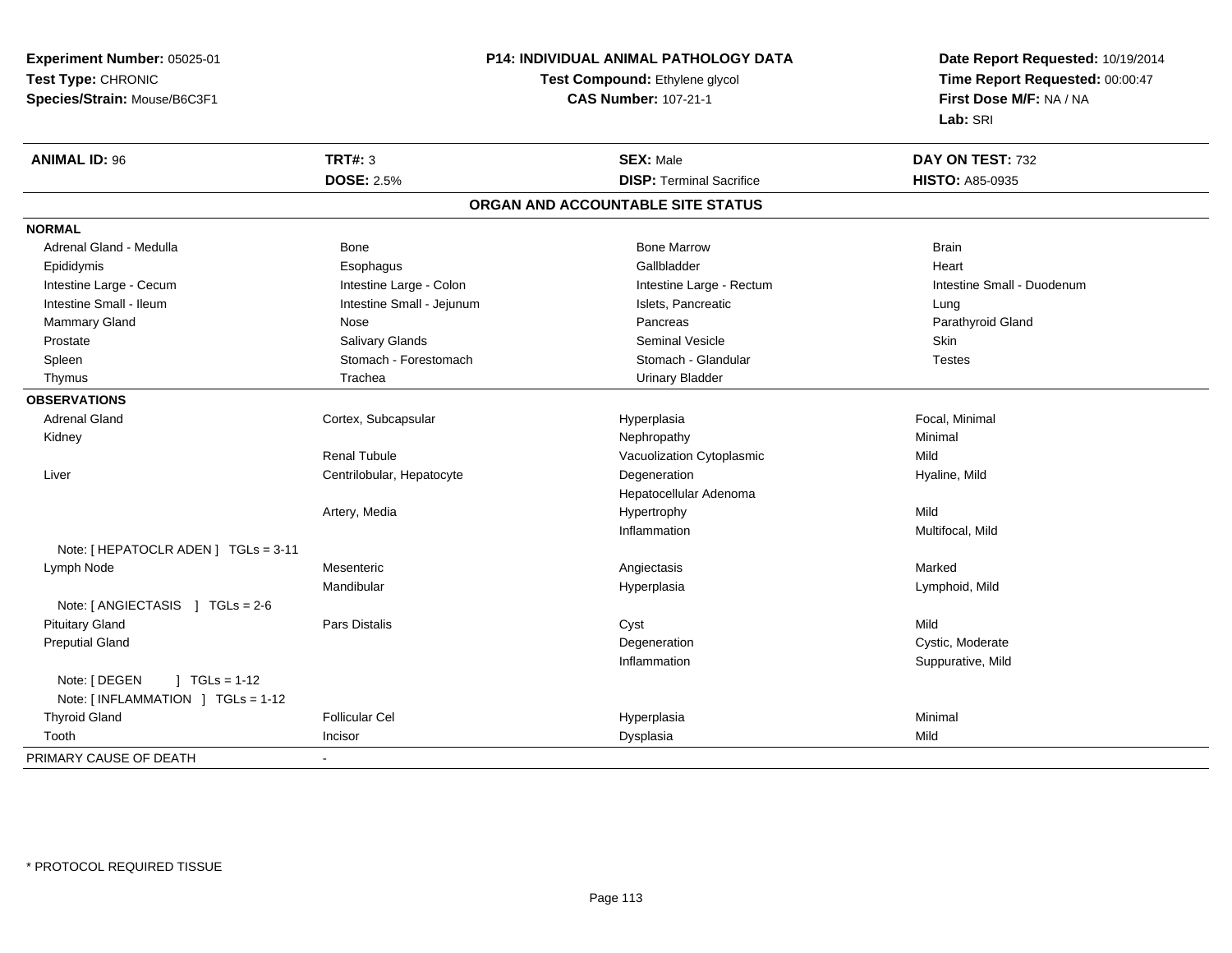**Experiment Number:** 05025-01**Test Type:** CHRONIC **Species/Strain:** Mouse/B6C3F1**P14: INDIVIDUAL ANIMAL PATHOLOGY DATATest Compound:** Ethylene glycol **CAS Number:** 107-21-1**Date Report Requested:** 10/19/2014**Time Report Requested:** 00:00:47**First Dose M/F:** NA / NA**Lab:** SRI**ANIMAL ID:** 96 **TRT#:** <sup>3</sup> **SEX:** Male **DAY ON TEST:** <sup>732</sup> **DOSE:** 2.5%**DISP:** Terminal Sacrifice **HISTO:** A85-0935 **ORGAN AND ACCOUNTABLE SITE STATUSNORMAL**Adrenal Gland - Medulla Bone Bone Bone Marrow Bone Marrow Brain Brain Brain Brain Heart Epididymis Esophagus Gallbladder HeartIntestine Large - Cecum **Intestine Large - Colon** Intestine Large - Colon Intestine Large - Rectum Intestine Large - Cecum Intestine Small - Duodenum Intestine Small - Ileum **Intestine Small - Intestine Small - Jejunum** Intestine Small - Islets, Pancreatic **Lung** Parathyroid Gland Mammary Gland Nose Nose Records and December 2012 (Nose Pancreas Parathyroid Gland Parathyroid Gland Parathyroid Gland Parathyroid Gland Parathyroid Gland Parathyroid Gland Parathyroid Gland Parathyroid Gland Parathyroid G Prostate Salivary Glands Seminal Vesicle Skin**Testes** Spleen Stomach - Stomach - Forestomach - Stomach - Stomach - Glandular Testes in the Stomach - Glandular Thymus **Trachea** Trachea Trachea Urinary Bladder **OBSERVATIONS** Adrenal Gland Cortex, Subcapsular Hyperplasia Focal, Minimal Kidneyy the controller of the controller of the controller of the Nephropathy the controller of the Minimal Minimal  $\lambda$ Renal TubuleVacuolization Cytoplasmic **Mild**  Liver Centrilobular, Hepatocytee and the Degeneration description of the Hyaline, Mild Hepatocellular AdenomaArtery, Mediaa the contract of Hypertrophy the contract of the Mild Inflammation Multifocal, Mild Note: [ HEPATOCLR ADEN ] TGLs = 3-11 Lymph Nodee the contract of the Mesenteric the contract of the contract of the Angiectasis Marked of the Marked Marked o Mandibular Hyperplasia Lymphoid, Mild Note: [ ANGIECTASIS ] TGLs = 2-6 Pituitary Gland Pars Distalis Cyst Mild Preputial Glandd Cystic, Moderate Cystic, Moderate Cystic, Moderate Cystic, Moderate Cystic, Moderate Cystic, Moderate Cystic, Moderate Cystic, Moderate Cystic, Moderate Cystic, Moderate Cystic, Moderate Cystic, Moderate Cystic, Moderate Inflammation Suppurative, Mild Note: [ DEGEN ] TGLs = 1-12 Note: [ INFLAMMATION ] TGLs = 1-12 Thyroid Gland Follicular Cel Hyperplasia Minimal Toothh ann an Incisor ann an Incisor ann an Dysplasia ann an Dysplasia ann an Dysplasia ann an Dysplasia ann an Mild PRIMARY CAUSE OF DEATH-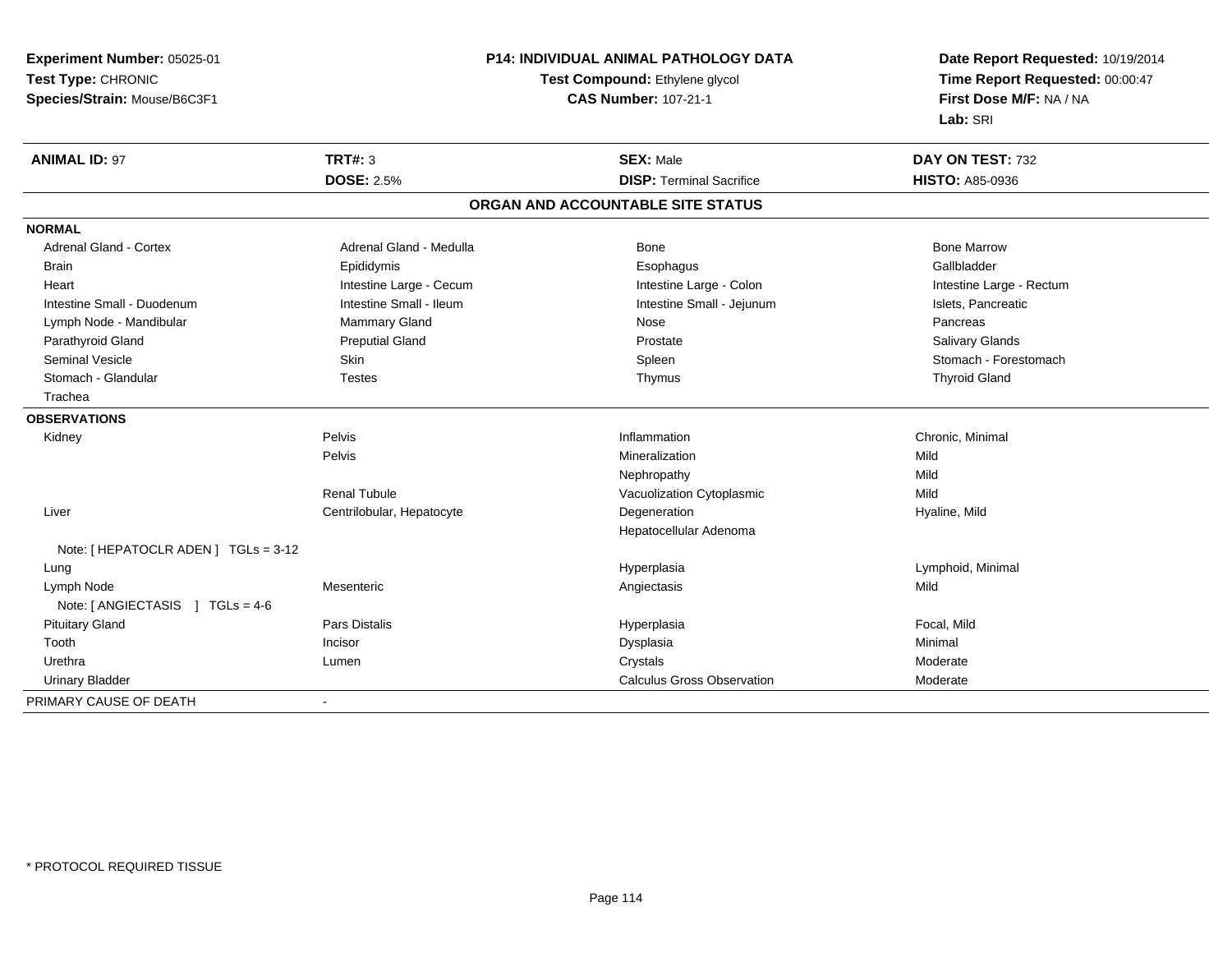**Experiment Number:** 05025-01**Test Type:** CHRONIC **Species/Strain:** Mouse/B6C3F1**P14: INDIVIDUAL ANIMAL PATHOLOGY DATATest Compound:** Ethylene glycol **CAS Number:** 107-21-1**Date Report Requested:** 10/19/2014**Time Report Requested:** 00:00:47**First Dose M/F:** NA / NA**Lab:** SRI**ANIMAL ID:** 97**TRT#:** 3 **SEX:** Male **DAY ON TEST:** 732 **DOSE:** 2.5%**DISP:** Terminal Sacrifice **HISTO:** A85-0936 **ORGAN AND ACCOUNTABLE SITE STATUSNORMALAdrenal Gland - Cortex** Adrenal Gland - Medulla **Bone Adrenal Gland - Cortex Adrenal Gland - Cortex Adrenal Gland - Medulla** Bone Marrow Gallbladder Brain Epididymis Epididymis and the Brook of the Brook of the Brook of the Brook of the Gallbladder of the Gallbladder Heart **Intestine Large - Cecum** Intestine Large - Cecum Intestine Large - Colon Intestine Large - Rectum Intestine Small - Duodenum **Intestine Small - Ileum** Intestine Small - Ileum Intestine Small - Jejunum Intestine Small - Jejunum Islets, Pancreatic Lymph Node - Mandibular Nammary Gland Nose Nose Nose Pancreas Pancreas Pancreas **Salivary Glands** Parathyroid Gland Salivary Glands Preputial Gland Prosection Control of Prostate Changes and Salivary Glands C Seminal Vesicle Skin Skin Skin Skin Stomach - Forestomach Spleen Stomach - Forestomach - Stomach - Forestomach Stomach - Glandular Testes Thymus Thyroid Gland Trachea**OBSERVATIONS** Kidneyy the contract of the Pelvis of the Pelvis and the contract of the contract of the contract of the person of the contract of the contract of the contract of the contract of the contract of the contract of the contract of t Inflammation Chronic, Minimal Pelvis Mineralizationn Mild Nephropathyy Mild Mild Renal TubuleVacuolization Cytoplasmic Liver Centrilobular, Hepatocytee and the Degeneration description of the Hyaline, Mild Hepatocellular AdenomaNote: [ HEPATOCLR ADEN ] TGLs = 3-12 Lungg and the settlement of the settlement of the Hyperplasia and the Hyperplasia controller than  $\mathsf{Lym}$  phoid, Minimal  $\mathsf{Lym}$  phoid, Minimal  $\mathsf{dy}$  Lymph Node Mesenteric Angiectasis Mild Note: [ ANGIECTASIS ] TGLs = 4-6 Pituitary Gland Pars Distalis Hyperplasia Focal, Mild Toothh ann an t-Incisor ann an t-Incisor ann an Dysplasia ann an Dysplasia ann an Dysplasia ann an Dysplasia ann an Minimal an Minimal an Dysplasia ann an Dysplasia ann an Minimal ann an Dysplasia ann an Dysplasia ann an Dyspla Urethraa which is the controller of the controller of the controller of the controller of the controller of the controller of the controller of the controller of the controller of the controller of the controller of the controlle Urinary Bladder Calculus Gross Observation Moderate PRIMARY CAUSE OF DEATH-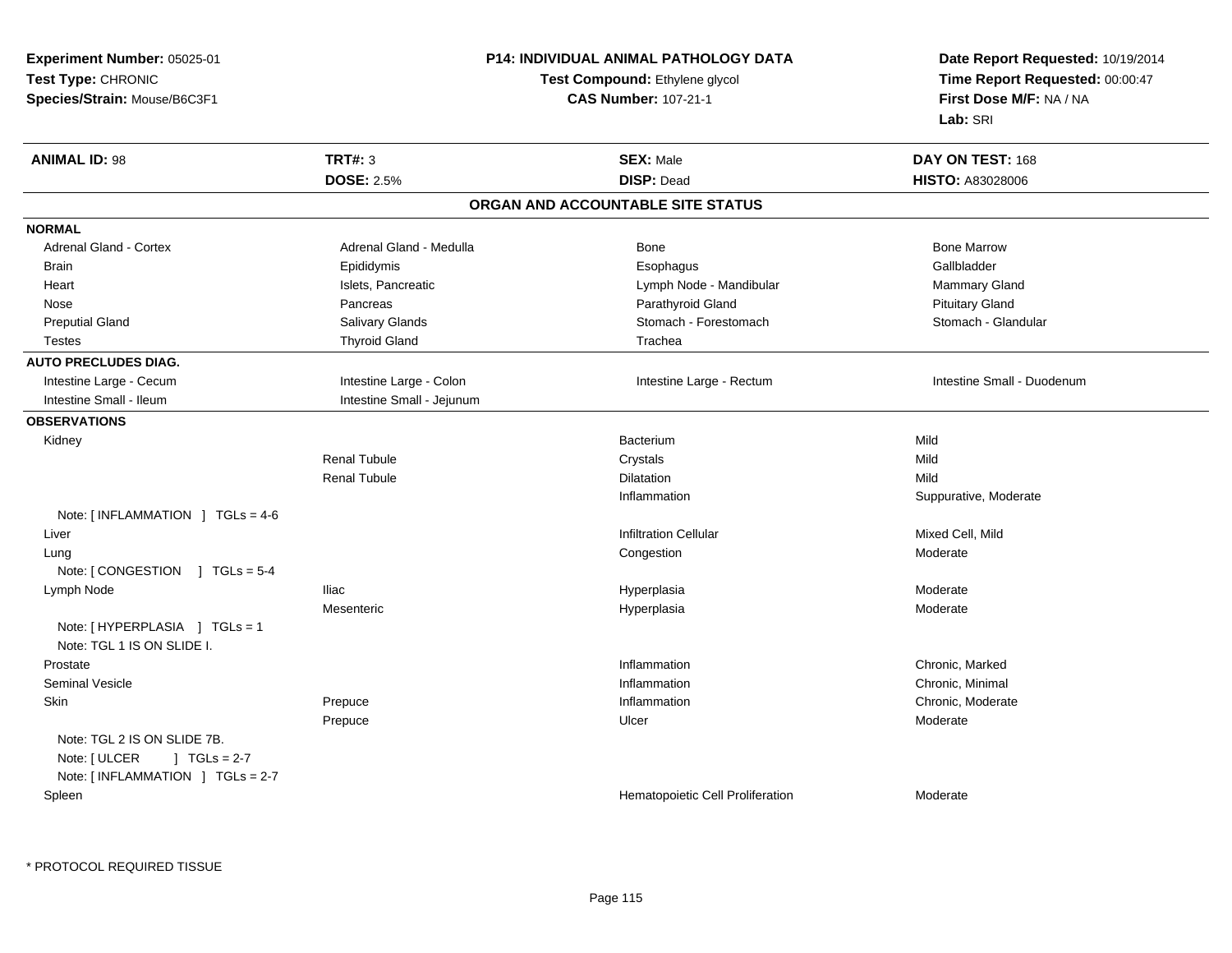| Experiment Number: 05025-01                                 |                             | P14: INDIVIDUAL ANIMAL PATHOLOGY DATA | Date Report Requested: 10/19/2014<br>Time Report Requested: 00:00:47 |
|-------------------------------------------------------------|-----------------------------|---------------------------------------|----------------------------------------------------------------------|
| Test Type: CHRONIC                                          |                             | Test Compound: Ethylene glycol        |                                                                      |
| Species/Strain: Mouse/B6C3F1                                | <b>CAS Number: 107-21-1</b> |                                       | First Dose M/F: NA / NA                                              |
|                                                             |                             |                                       | Lab: SRI                                                             |
| <b>ANIMAL ID: 98</b>                                        | <b>TRT#: 3</b>              | <b>SEX: Male</b>                      | DAY ON TEST: 168                                                     |
|                                                             | <b>DOSE: 2.5%</b>           | <b>DISP: Dead</b>                     | HISTO: A83028006                                                     |
|                                                             |                             | ORGAN AND ACCOUNTABLE SITE STATUS     |                                                                      |
| <b>NORMAL</b>                                               |                             |                                       |                                                                      |
| Adrenal Gland - Cortex                                      | Adrenal Gland - Medulla     | Bone                                  | <b>Bone Marrow</b>                                                   |
| <b>Brain</b>                                                | Epididymis                  | Esophagus                             | Gallbladder                                                          |
| Heart                                                       | Islets, Pancreatic          | Lymph Node - Mandibular               | Mammary Gland                                                        |
| Nose                                                        | Pancreas                    | Parathyroid Gland                     | <b>Pituitary Gland</b>                                               |
| <b>Preputial Gland</b>                                      | Salivary Glands             | Stomach - Forestomach                 | Stomach - Glandular                                                  |
| Testes                                                      | <b>Thyroid Gland</b>        | Trachea                               |                                                                      |
| <b>AUTO PRECLUDES DIAG.</b>                                 |                             |                                       |                                                                      |
| Intestine Large - Cecum                                     | Intestine Large - Colon     | Intestine Large - Rectum              | Intestine Small - Duodenum                                           |
| Intestine Small - Ileum                                     | Intestine Small - Jejunum   |                                       |                                                                      |
| <b>OBSERVATIONS</b>                                         |                             |                                       |                                                                      |
| Kidney                                                      |                             | Bacterium                             | Mild                                                                 |
|                                                             | <b>Renal Tubule</b>         | Crystals                              | Mild                                                                 |
|                                                             | <b>Renal Tubule</b>         | Dilatation                            | Mild                                                                 |
|                                                             |                             | Inflammation                          | Suppurative, Moderate                                                |
| Note: $\lceil$ INFLAMMATION $\lceil$ TGLs = 4-6             |                             |                                       |                                                                      |
| Liver                                                       |                             | <b>Infiltration Cellular</b>          | Mixed Cell, Mild                                                     |
| Lung                                                        |                             | Congestion                            | Moderate                                                             |
| Note: $\sqrt{COMGESTION}$ $\sqrt{ICS} = 5-4$                |                             |                                       |                                                                      |
| Lymph Node                                                  | <b>Iliac</b>                | Hyperplasia                           | Moderate                                                             |
|                                                             | Mesenteric                  | Hyperplasia                           | Moderate                                                             |
| Note: [HYPERPLASIA ] TGLs = 1<br>Note: TGL 1 IS ON SLIDE I. |                             |                                       |                                                                      |
| Prostate                                                    |                             | Inflammation                          | Chronic, Marked                                                      |
| <b>Seminal Vesicle</b>                                      |                             | Inflammation                          | Chronic, Minimal                                                     |
| Skin                                                        | Prepuce                     | Inflammation                          | Chronic, Moderate                                                    |
|                                                             | Prepuce                     | Ulcer                                 | Moderate                                                             |
| Note: TGL 2 IS ON SLIDE 7B.                                 |                             |                                       |                                                                      |
| Note: [ ULCER<br>$J \cdot TGLS = 2-7$                       |                             |                                       |                                                                      |
| Note: [INFLAMMATION ] TGLs = 2-7                            |                             |                                       |                                                                      |
| Spleen                                                      |                             | Hematopoietic Cell Proliferation      | Moderate                                                             |
|                                                             |                             |                                       |                                                                      |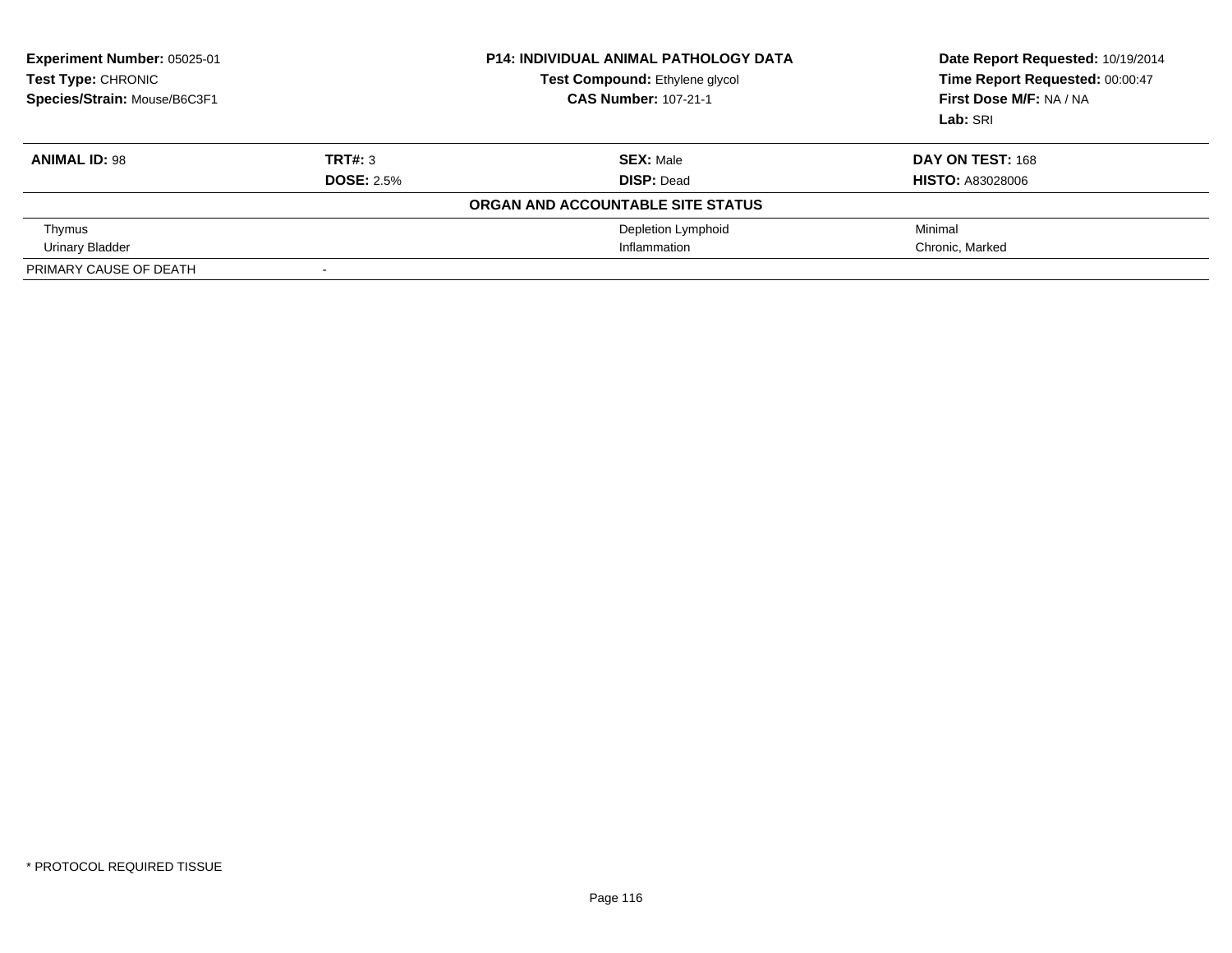| Experiment Number: 05025-01<br>Test Type: CHRONIC<br>Species/Strain: Mouse/B6C3F1 |                          | <b>P14: INDIVIDUAL ANIMAL PATHOLOGY DATA</b><br>Test Compound: Ethylene glycol<br><b>CAS Number: 107-21-1</b> | Date Report Requested: 10/19/2014<br>Time Report Requested: 00:00:47<br>First Dose M/F: NA / NA<br>Lab: SRI |
|-----------------------------------------------------------------------------------|--------------------------|---------------------------------------------------------------------------------------------------------------|-------------------------------------------------------------------------------------------------------------|
| <b>ANIMAL ID: 98</b>                                                              | TRT#: 3                  | <b>SEX: Male</b>                                                                                              | DAY ON TEST: 168                                                                                            |
|                                                                                   | <b>DOSE: 2.5%</b>        | <b>DISP: Dead</b>                                                                                             | <b>HISTO: A83028006</b>                                                                                     |
|                                                                                   |                          | ORGAN AND ACCOUNTABLE SITE STATUS                                                                             |                                                                                                             |
| Thymus                                                                            |                          | Depletion Lymphoid                                                                                            | Minimal                                                                                                     |
| Urinary Bladder                                                                   |                          | Inflammation                                                                                                  | Chronic, Marked                                                                                             |
| PRIMARY CAUSE OF DEATH                                                            | $\overline{\phantom{0}}$ |                                                                                                               |                                                                                                             |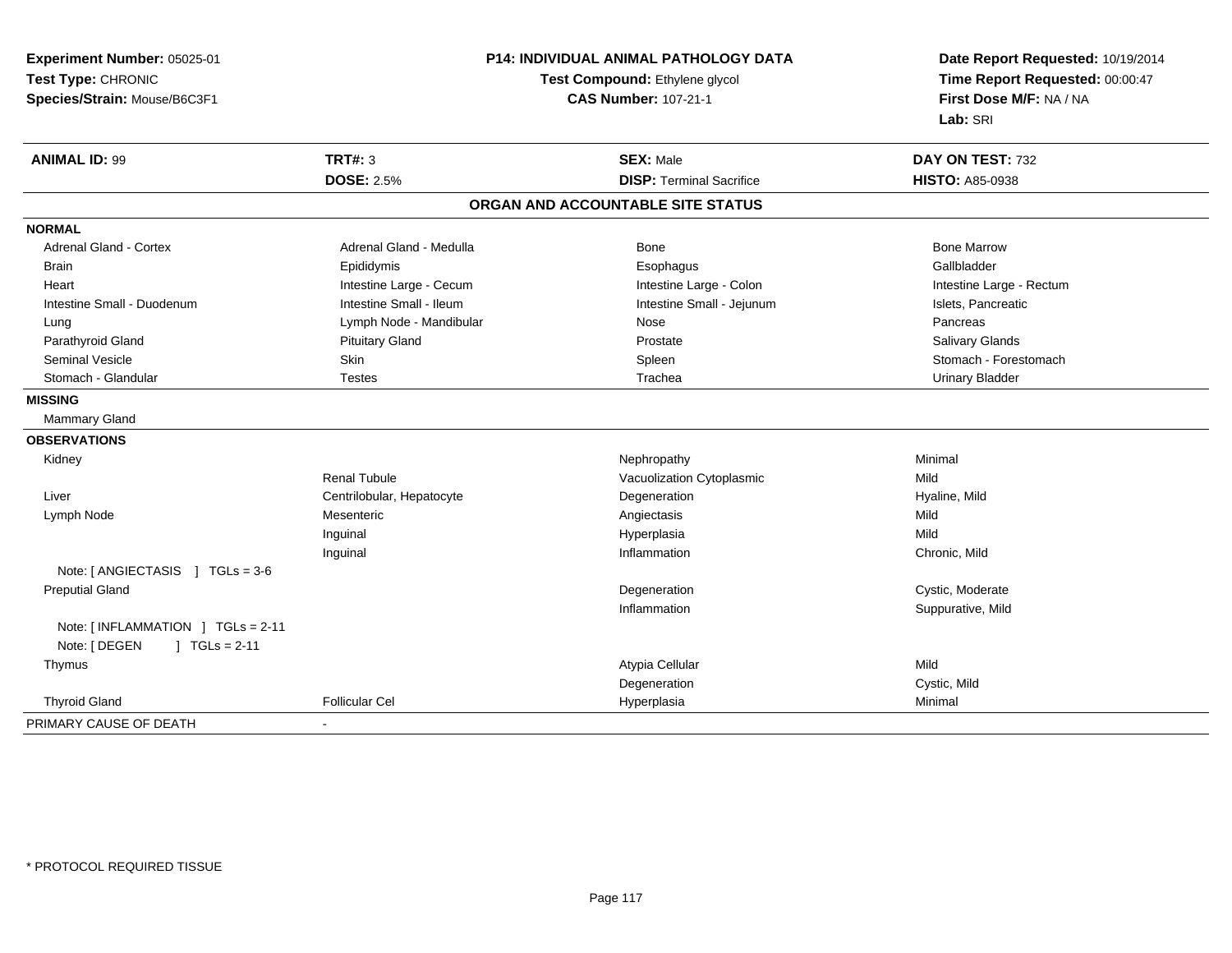| Experiment Number: 05025-01       | P14: INDIVIDUAL ANIMAL PATHOLOGY DATA<br>Test Compound: Ethylene glycol |                                   | Date Report Requested: 10/19/2014<br>Time Report Requested: 00:00:47 |
|-----------------------------------|-------------------------------------------------------------------------|-----------------------------------|----------------------------------------------------------------------|
| Test Type: CHRONIC                |                                                                         |                                   |                                                                      |
| Species/Strain: Mouse/B6C3F1      |                                                                         | <b>CAS Number: 107-21-1</b>       | First Dose M/F: NA / NA                                              |
|                                   |                                                                         |                                   | Lab: SRI                                                             |
| <b>ANIMAL ID: 99</b>              | <b>TRT#: 3</b>                                                          | <b>SEX: Male</b>                  | DAY ON TEST: 732                                                     |
|                                   | <b>DOSE: 2.5%</b>                                                       | <b>DISP: Terminal Sacrifice</b>   | <b>HISTO: A85-0938</b>                                               |
|                                   |                                                                         | ORGAN AND ACCOUNTABLE SITE STATUS |                                                                      |
| <b>NORMAL</b>                     |                                                                         |                                   |                                                                      |
| <b>Adrenal Gland - Cortex</b>     | Adrenal Gland - Medulla                                                 | Bone                              | <b>Bone Marrow</b>                                                   |
| <b>Brain</b>                      | Epididymis                                                              | Esophagus                         | Gallbladder                                                          |
| Heart                             | Intestine Large - Cecum                                                 | Intestine Large - Colon           | Intestine Large - Rectum                                             |
| Intestine Small - Duodenum        | Intestine Small - Ileum                                                 | Intestine Small - Jejunum         | Islets, Pancreatic                                                   |
| Lung                              | Lymph Node - Mandibular                                                 | Nose                              | Pancreas                                                             |
| Parathyroid Gland                 | <b>Pituitary Gland</b>                                                  | Prostate                          | Salivary Glands                                                      |
| <b>Seminal Vesicle</b>            | Skin                                                                    | Spleen                            | Stomach - Forestomach                                                |
| Stomach - Glandular               | Testes                                                                  | Trachea                           | <b>Urinary Bladder</b>                                               |
| <b>MISSING</b>                    |                                                                         |                                   |                                                                      |
| Mammary Gland                     |                                                                         |                                   |                                                                      |
| <b>OBSERVATIONS</b>               |                                                                         |                                   |                                                                      |
| Kidney                            |                                                                         | Nephropathy                       | Minimal                                                              |
|                                   | <b>Renal Tubule</b>                                                     | Vacuolization Cytoplasmic         | Mild                                                                 |
| Liver                             | Centrilobular, Hepatocyte                                               | Degeneration                      | Hyaline, Mild                                                        |
| Lymph Node                        | Mesenteric                                                              | Angiectasis                       | Mild                                                                 |
|                                   | Inguinal                                                                | Hyperplasia                       | Mild                                                                 |
|                                   | Inguinal                                                                | Inflammation                      | Chronic, Mild                                                        |
| Note: [ ANGIECTASIS ] TGLs = 3-6  |                                                                         |                                   |                                                                      |
| <b>Preputial Gland</b>            |                                                                         | Degeneration                      | Cystic, Moderate                                                     |
|                                   |                                                                         | Inflammation                      | Suppurative, Mild                                                    |
| Note: [INFLAMMATION ] TGLs = 2-11 |                                                                         |                                   |                                                                      |
| Note: [ DEGEN<br>$] TGLs = 2-11$  |                                                                         |                                   |                                                                      |
| Thymus                            |                                                                         | Atypia Cellular                   | Mild                                                                 |
|                                   |                                                                         | Degeneration                      | Cystic, Mild                                                         |
| <b>Thyroid Gland</b>              | <b>Follicular Cel</b>                                                   | Hyperplasia                       | Minimal                                                              |
| PRIMARY CAUSE OF DEATH            |                                                                         |                                   |                                                                      |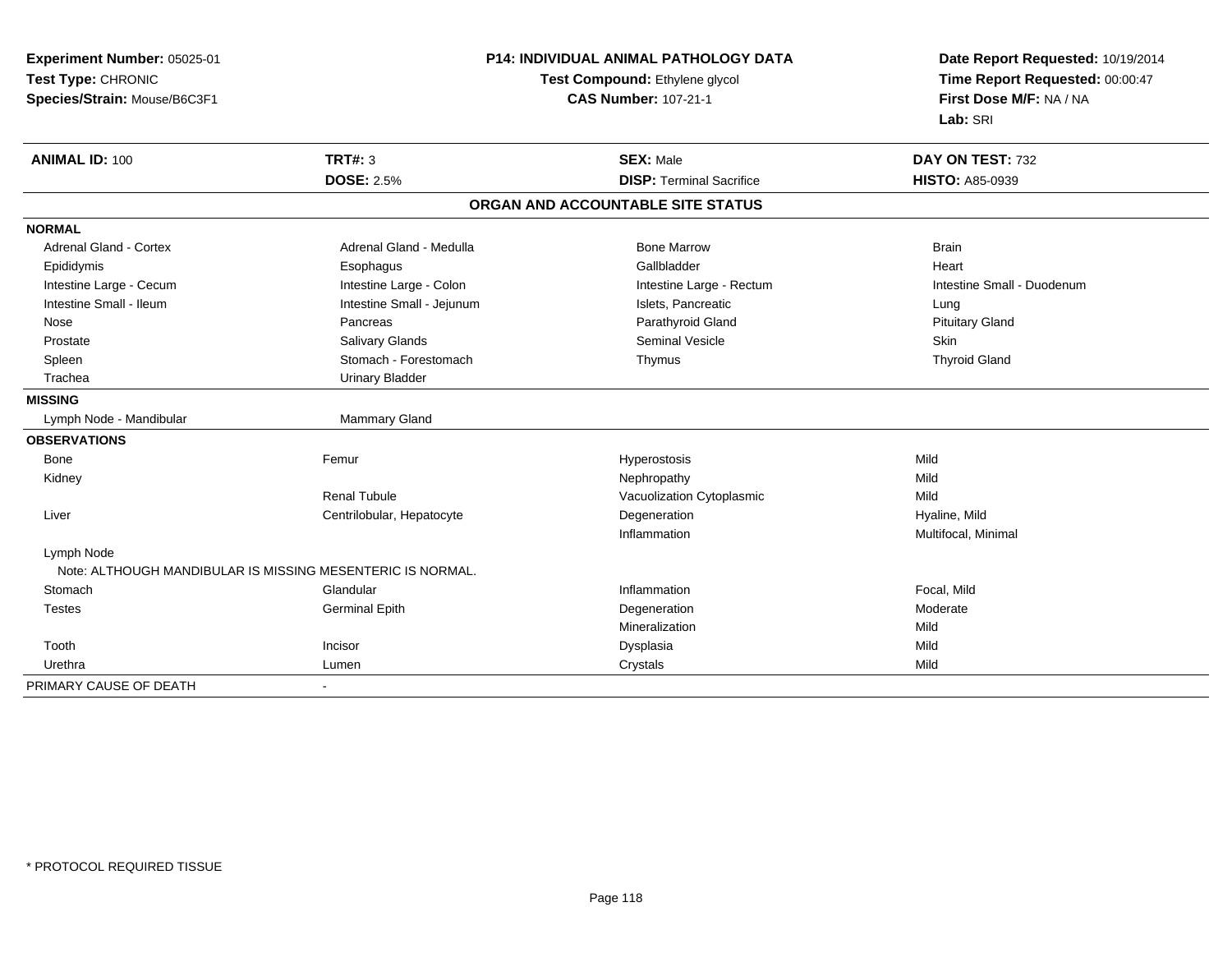| Experiment Number: 05025-01<br>Test Type: CHRONIC<br>Species/Strain: Mouse/B6C3F1 |                                                            | <b>P14: INDIVIDUAL ANIMAL PATHOLOGY DATA</b><br>Test Compound: Ethylene glycol<br><b>CAS Number: 107-21-1</b> | Date Report Requested: 10/19/2014<br>Time Report Requested: 00:00:47<br>First Dose M/F: NA / NA<br>Lab: SRI |
|-----------------------------------------------------------------------------------|------------------------------------------------------------|---------------------------------------------------------------------------------------------------------------|-------------------------------------------------------------------------------------------------------------|
| <b>ANIMAL ID: 100</b>                                                             | TRT#: 3                                                    | <b>SEX: Male</b>                                                                                              | DAY ON TEST: 732                                                                                            |
|                                                                                   | <b>DOSE: 2.5%</b>                                          | <b>DISP: Terminal Sacrifice</b>                                                                               | <b>HISTO: A85-0939</b>                                                                                      |
|                                                                                   |                                                            | ORGAN AND ACCOUNTABLE SITE STATUS                                                                             |                                                                                                             |
| <b>NORMAL</b>                                                                     |                                                            |                                                                                                               |                                                                                                             |
| <b>Adrenal Gland - Cortex</b>                                                     | Adrenal Gland - Medulla                                    | <b>Bone Marrow</b>                                                                                            | <b>Brain</b>                                                                                                |
| Epididymis                                                                        | Esophagus                                                  | Gallbladder                                                                                                   | Heart                                                                                                       |
| Intestine Large - Cecum                                                           | Intestine Large - Colon                                    | Intestine Large - Rectum                                                                                      | Intestine Small - Duodenum                                                                                  |
| Intestine Small - Ileum                                                           | Intestine Small - Jejunum                                  | Islets. Pancreatic                                                                                            | Lung                                                                                                        |
| Nose                                                                              | Pancreas                                                   | Parathyroid Gland                                                                                             | <b>Pituitary Gland</b>                                                                                      |
| Prostate                                                                          | Salivary Glands                                            | Seminal Vesicle                                                                                               | Skin                                                                                                        |
| Spleen                                                                            | Stomach - Forestomach                                      | Thymus                                                                                                        | <b>Thyroid Gland</b>                                                                                        |
| Trachea                                                                           | <b>Urinary Bladder</b>                                     |                                                                                                               |                                                                                                             |
| <b>MISSING</b>                                                                    |                                                            |                                                                                                               |                                                                                                             |
| Lymph Node - Mandibular                                                           | Mammary Gland                                              |                                                                                                               |                                                                                                             |
| <b>OBSERVATIONS</b>                                                               |                                                            |                                                                                                               |                                                                                                             |
| Bone                                                                              | Femur                                                      | Hyperostosis                                                                                                  | Mild                                                                                                        |
| Kidney                                                                            |                                                            | Nephropathy                                                                                                   | Mild                                                                                                        |
|                                                                                   | <b>Renal Tubule</b>                                        | Vacuolization Cytoplasmic                                                                                     | Mild                                                                                                        |
| Liver                                                                             | Centrilobular, Hepatocyte                                  | Degeneration                                                                                                  | Hyaline, Mild                                                                                               |
|                                                                                   |                                                            | Inflammation                                                                                                  | Multifocal, Minimal                                                                                         |
| Lymph Node                                                                        |                                                            |                                                                                                               |                                                                                                             |
|                                                                                   | Note: ALTHOUGH MANDIBULAR IS MISSING MESENTERIC IS NORMAL. |                                                                                                               |                                                                                                             |
| Stomach                                                                           | Glandular                                                  | Inflammation                                                                                                  | Focal, Mild                                                                                                 |
| <b>Testes</b>                                                                     | <b>Germinal Epith</b>                                      | Degeneration                                                                                                  | Moderate                                                                                                    |
|                                                                                   |                                                            | Mineralization                                                                                                | Mild                                                                                                        |
| Tooth                                                                             | Incisor                                                    | Dysplasia                                                                                                     | Mild                                                                                                        |
| Urethra                                                                           | Lumen                                                      | Crystals                                                                                                      | Mild                                                                                                        |
| PRIMARY CAUSE OF DEATH                                                            | $\blacksquare$                                             |                                                                                                               |                                                                                                             |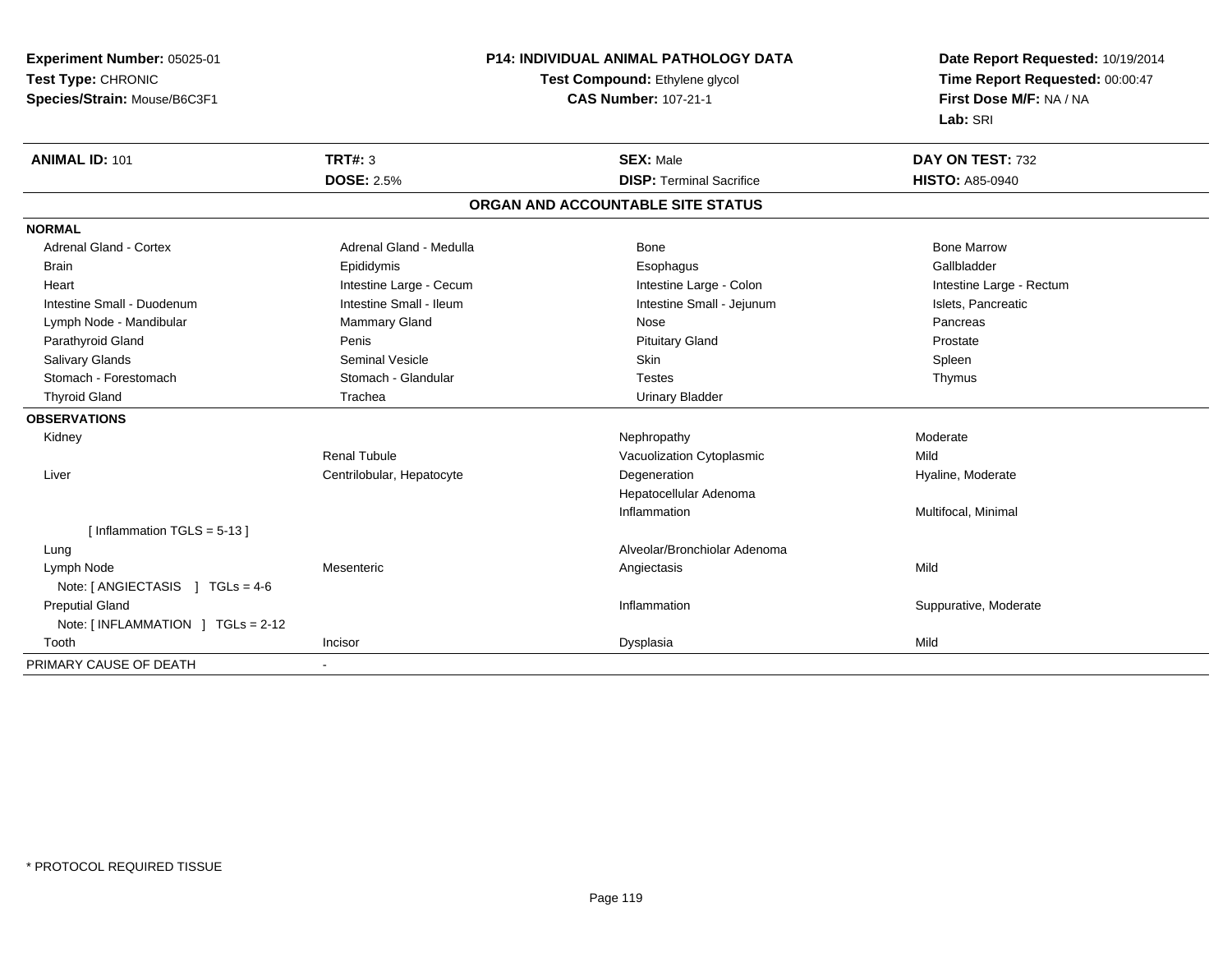**Experiment Number:** 05025-01**Test Type:** CHRONIC **Species/Strain:** Mouse/B6C3F1**P14: INDIVIDUAL ANIMAL PATHOLOGY DATATest Compound:** Ethylene glycol **CAS Number:** 107-21-1**Date Report Requested:** 10/19/2014**Time Report Requested:** 00:00:47**First Dose M/F:** NA / NA**Lab:** SRI**ANIMAL ID:** 101**TRT#:** 3 **SEX:** Male **DAY ON TEST:** 732 **DOSE:** 2.5%**DISP:** Terminal Sacrifice **HISTO:** A85-0940 **ORGAN AND ACCOUNTABLE SITE STATUSNORMALAdrenal Gland - Cortex** Adrenal Gland - Medulla **Bone Adrenal Gland - Cortex Adrenal Gland - Cortex Adrenal Gland - Medulla** Bone Marrow Gallbladder Brain Epididymis Epididymis and the Brook of the Brook of the Brook of the Brook of the Gallbladder of the Gallbladder Heart **Intestine Large - Cecum** Intestine Large - Cecum Intestine Large - Colon Intestine Large - Rectum Intestine Small - Duodenum **Intestine Small - Ileum** Intestine Small - Ileum Intestine Small - Jejunum Intestine Small - Jejunum Islets, Pancreatic Lymph Node - Mandibular Nammary Gland Nose Nose Nose Pancreas Pancreas Pancreas Prostate Parathyroid Gland Pental Penis Penis Penis Penis Penis Prostate Pituitary Gland Prostate Prostate Spleen Salivary Glands Seminal Vesicle Skin SpleenThymus Stomach - Forestomach **Stomach - Glandular** Stomach - Glandular Testes Testes Testes Thyroid Gland Trachea Trachea Communication Christian Urinary Bladder **OBSERVATIONS** Kidneyy the controller the controller of the controller of the Moderate Moderate of the Moderate of the Moderate of the Moderate of the Moderate of the Moderate of the Moderate of the Moderate of the Moderate of the Moderate of Renal TubuleVacuolization Cytoplasmic **Mild**  Liver Centrilobular, HepatocyteDegeneration **Hyaline**, Moderate Hepatocellular AdenomaInflammation Multifocal, Minimal [ Inflammation TGLS = 5-13 ] Lung Alveolar/Bronchiolar Adenoma Lymph Node Mesenteric Angiectasis Mild Note: [ ANGIECTASIS ] TGLs = 4-6 Preputial GlandInflammation **Suppurative, Moderate** Note: [ INFLAMMATION ] TGLs = 2-12 Toothh ann an Incisor ann an Incisor ann an Dysplasia ann an Dysplasia ann an Dysplasia ann an Dysplasia ann an Mild PRIMARY CAUSE OF DEATH-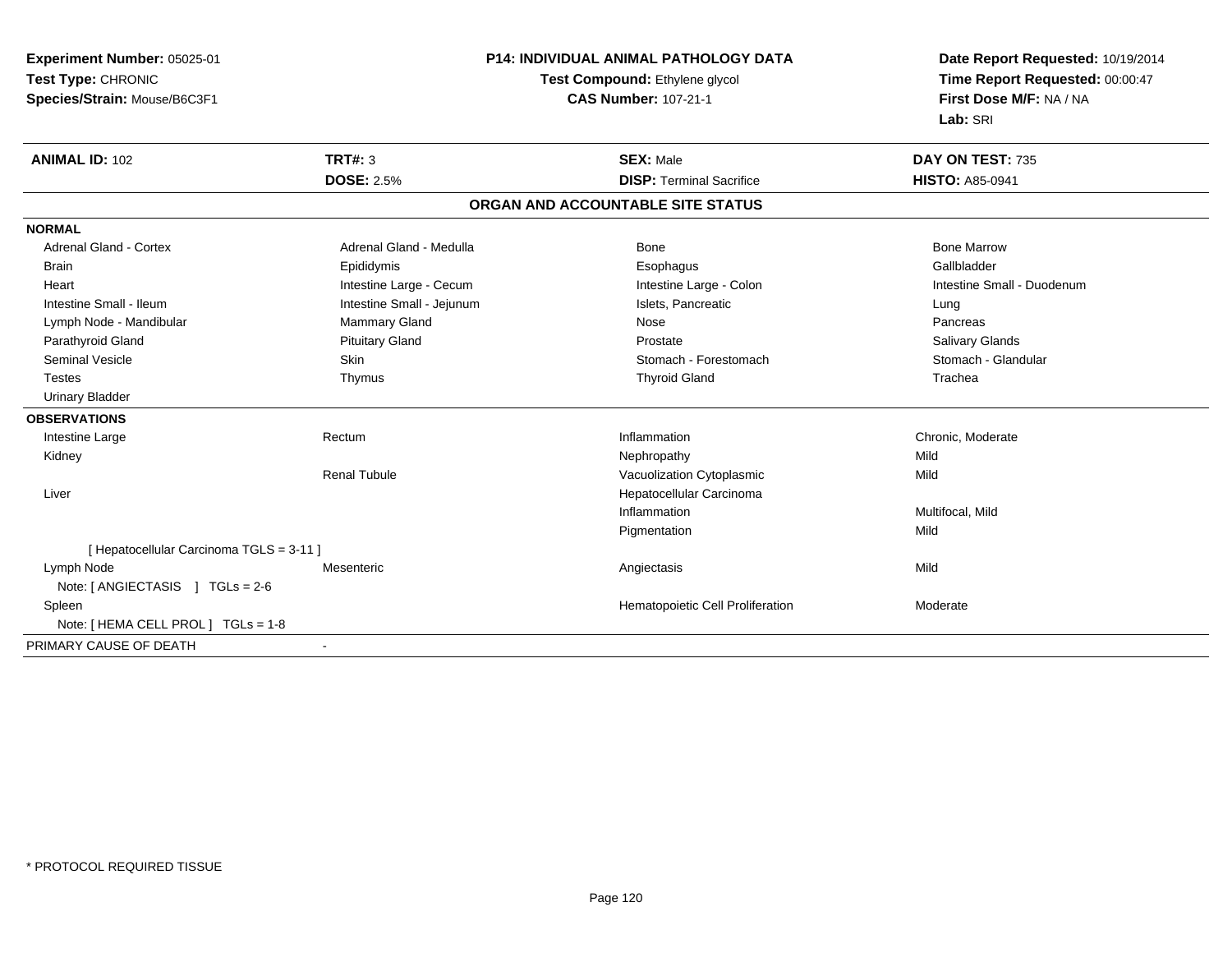| Experiment Number: 05025-01              | <b>P14: INDIVIDUAL ANIMAL PATHOLOGY DATA</b> |                                   | Date Report Requested: 10/19/2014                          |
|------------------------------------------|----------------------------------------------|-----------------------------------|------------------------------------------------------------|
| Test Type: CHRONIC                       |                                              | Test Compound: Ethylene glycol    | Time Report Requested: 00:00:47<br>First Dose M/F: NA / NA |
| Species/Strain: Mouse/B6C3F1             |                                              | <b>CAS Number: 107-21-1</b>       |                                                            |
|                                          |                                              |                                   | Lab: SRI                                                   |
| <b>ANIMAL ID: 102</b>                    | TRT#: 3                                      | <b>SEX: Male</b>                  | DAY ON TEST: 735                                           |
|                                          | <b>DOSE: 2.5%</b>                            | <b>DISP: Terminal Sacrifice</b>   | <b>HISTO: A85-0941</b>                                     |
|                                          |                                              | ORGAN AND ACCOUNTABLE SITE STATUS |                                                            |
| <b>NORMAL</b>                            |                                              |                                   |                                                            |
| <b>Adrenal Gland - Cortex</b>            | Adrenal Gland - Medulla                      | Bone                              | <b>Bone Marrow</b>                                         |
| <b>Brain</b>                             | Epididymis                                   | Esophagus                         | Gallbladder                                                |
| Heart                                    | Intestine Large - Cecum                      | Intestine Large - Colon           | Intestine Small - Duodenum                                 |
| Intestine Small - Ileum                  | Intestine Small - Jejunum                    | Islets, Pancreatic                | Lung                                                       |
| Lymph Node - Mandibular                  | Mammary Gland                                | Nose                              | Pancreas                                                   |
| Parathyroid Gland                        | <b>Pituitary Gland</b>                       | Prostate                          | Salivary Glands                                            |
| <b>Seminal Vesicle</b>                   | <b>Skin</b>                                  | Stomach - Forestomach             | Stomach - Glandular                                        |
| <b>Testes</b>                            | Thymus                                       | <b>Thyroid Gland</b>              | Trachea                                                    |
| <b>Urinary Bladder</b>                   |                                              |                                   |                                                            |
| <b>OBSERVATIONS</b>                      |                                              |                                   |                                                            |
| Intestine Large                          | Rectum                                       | Inflammation                      | Chronic, Moderate                                          |
| Kidney                                   |                                              | Nephropathy                       | Mild                                                       |
|                                          | <b>Renal Tubule</b>                          | Vacuolization Cytoplasmic         | Mild                                                       |
| Liver                                    |                                              | Hepatocellular Carcinoma          |                                                            |
|                                          |                                              | Inflammation                      | Multifocal, Mild                                           |
|                                          |                                              | Pigmentation                      | Mild                                                       |
| [ Hepatocellular Carcinoma TGLS = 3-11 ] |                                              |                                   |                                                            |
| Lymph Node                               | Mesenteric                                   | Angiectasis                       | Mild                                                       |
| Note: [ ANGIECTASIS ] TGLs = 2-6         |                                              |                                   |                                                            |
| Spleen                                   |                                              | Hematopoietic Cell Proliferation  | Moderate                                                   |
| Note: [ HEMA CELL PROL ] TGLs = 1-8      |                                              |                                   |                                                            |
| PRIMARY CAUSE OF DEATH                   |                                              |                                   |                                                            |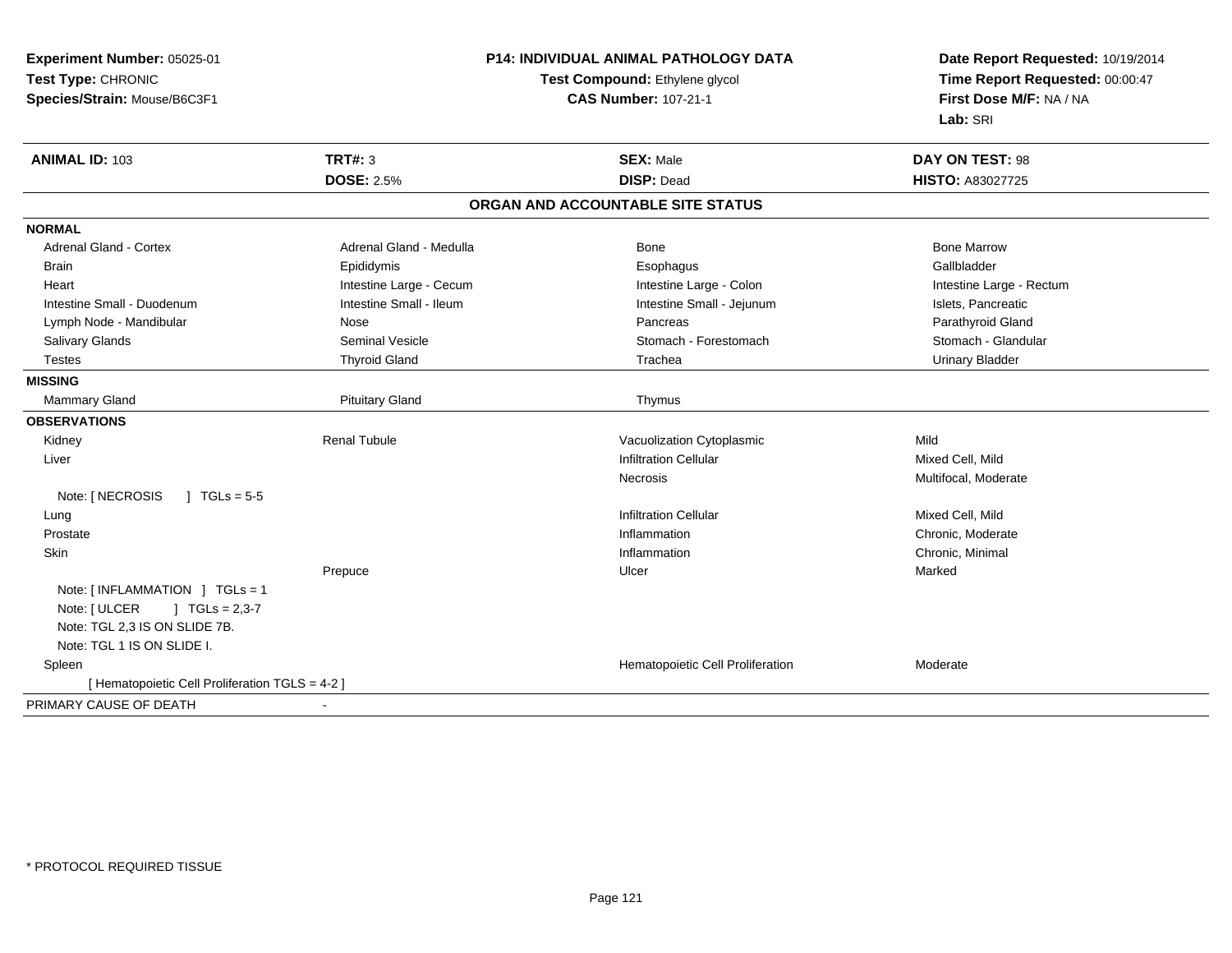| Time Report Requested: 00:00:47<br>Test Type: CHRONIC<br>Test Compound: Ethylene glycol<br>Species/Strain: Mouse/B6C3F1<br><b>CAS Number: 107-21-1</b><br>First Dose M/F: NA / NA<br>Lab: SRI<br><b>TRT#: 3</b><br><b>ANIMAL ID: 103</b><br><b>SEX: Male</b><br>DAY ON TEST: 98<br><b>DOSE: 2.5%</b><br><b>DISP: Dead</b><br><b>HISTO: A83027725</b><br>ORGAN AND ACCOUNTABLE SITE STATUS<br><b>NORMAL</b><br>Adrenal Gland - Medulla<br><b>Bone Marrow</b><br><b>Adrenal Gland - Cortex</b><br>Bone<br>Gallbladder<br>Epididymis<br><b>Brain</b><br>Esophagus<br>Intestine Large - Cecum<br>Intestine Large - Colon<br>Intestine Large - Rectum<br>Heart<br>Intestine Small - Ileum<br>Intestine Small - Duodenum<br>Intestine Small - Jejunum<br>Islets, Pancreatic<br>Lymph Node - Mandibular<br>Parathyroid Gland<br>Nose<br>Pancreas<br>Salivary Glands<br><b>Seminal Vesicle</b><br>Stomach - Forestomach<br>Stomach - Glandular<br><b>Testes</b><br><b>Thyroid Gland</b><br>Trachea<br><b>Urinary Bladder</b><br><b>MISSING</b><br><b>Pituitary Gland</b><br>Mammary Gland<br>Thymus<br><b>OBSERVATIONS</b><br><b>Renal Tubule</b><br>Vacuolization Cytoplasmic<br>Mild<br>Kidney<br><b>Infiltration Cellular</b><br>Mixed Cell, Mild<br>Liver<br>Multifocal, Moderate<br>Necrosis<br>Note: [ NECROSIS<br>$1 TGLs = 5-5$<br><b>Infiltration Cellular</b><br>Mixed Cell, Mild<br>Lung<br>Chronic, Moderate<br>Prostate<br>Inflammation<br>Chronic, Minimal<br>Skin<br>Inflammation<br>Marked<br>Prepuce<br>Ulcer<br>Note: [INFLAMMATION ] TGLs = 1<br>Note: [ ULCER<br>$J \cdot TGLs = 2,3-7$<br>Note: TGL 2,3 IS ON SLIDE 7B.<br>Note: TGL 1 IS ON SLIDE I.<br>Hematopoietic Cell Proliferation<br>Spleen<br>Moderate<br>[ Hematopoietic Cell Proliferation TGLS = 4-2 ]<br>PRIMARY CAUSE OF DEATH | Experiment Number: 05025-01 | <b>P14: INDIVIDUAL ANIMAL PATHOLOGY DATA</b> |  | Date Report Requested: 10/19/2014 |
|-----------------------------------------------------------------------------------------------------------------------------------------------------------------------------------------------------------------------------------------------------------------------------------------------------------------------------------------------------------------------------------------------------------------------------------------------------------------------------------------------------------------------------------------------------------------------------------------------------------------------------------------------------------------------------------------------------------------------------------------------------------------------------------------------------------------------------------------------------------------------------------------------------------------------------------------------------------------------------------------------------------------------------------------------------------------------------------------------------------------------------------------------------------------------------------------------------------------------------------------------------------------------------------------------------------------------------------------------------------------------------------------------------------------------------------------------------------------------------------------------------------------------------------------------------------------------------------------------------------------------------------------------------------------------------------------------------------------------------------------------------------------------------------------------------------|-----------------------------|----------------------------------------------|--|-----------------------------------|
|                                                                                                                                                                                                                                                                                                                                                                                                                                                                                                                                                                                                                                                                                                                                                                                                                                                                                                                                                                                                                                                                                                                                                                                                                                                                                                                                                                                                                                                                                                                                                                                                                                                                                                                                                                                                           |                             |                                              |  |                                   |
|                                                                                                                                                                                                                                                                                                                                                                                                                                                                                                                                                                                                                                                                                                                                                                                                                                                                                                                                                                                                                                                                                                                                                                                                                                                                                                                                                                                                                                                                                                                                                                                                                                                                                                                                                                                                           |                             |                                              |  |                                   |
|                                                                                                                                                                                                                                                                                                                                                                                                                                                                                                                                                                                                                                                                                                                                                                                                                                                                                                                                                                                                                                                                                                                                                                                                                                                                                                                                                                                                                                                                                                                                                                                                                                                                                                                                                                                                           |                             |                                              |  |                                   |
|                                                                                                                                                                                                                                                                                                                                                                                                                                                                                                                                                                                                                                                                                                                                                                                                                                                                                                                                                                                                                                                                                                                                                                                                                                                                                                                                                                                                                                                                                                                                                                                                                                                                                                                                                                                                           |                             |                                              |  |                                   |
|                                                                                                                                                                                                                                                                                                                                                                                                                                                                                                                                                                                                                                                                                                                                                                                                                                                                                                                                                                                                                                                                                                                                                                                                                                                                                                                                                                                                                                                                                                                                                                                                                                                                                                                                                                                                           |                             |                                              |  |                                   |
|                                                                                                                                                                                                                                                                                                                                                                                                                                                                                                                                                                                                                                                                                                                                                                                                                                                                                                                                                                                                                                                                                                                                                                                                                                                                                                                                                                                                                                                                                                                                                                                                                                                                                                                                                                                                           |                             |                                              |  |                                   |
|                                                                                                                                                                                                                                                                                                                                                                                                                                                                                                                                                                                                                                                                                                                                                                                                                                                                                                                                                                                                                                                                                                                                                                                                                                                                                                                                                                                                                                                                                                                                                                                                                                                                                                                                                                                                           |                             |                                              |  |                                   |
|                                                                                                                                                                                                                                                                                                                                                                                                                                                                                                                                                                                                                                                                                                                                                                                                                                                                                                                                                                                                                                                                                                                                                                                                                                                                                                                                                                                                                                                                                                                                                                                                                                                                                                                                                                                                           |                             |                                              |  |                                   |
|                                                                                                                                                                                                                                                                                                                                                                                                                                                                                                                                                                                                                                                                                                                                                                                                                                                                                                                                                                                                                                                                                                                                                                                                                                                                                                                                                                                                                                                                                                                                                                                                                                                                                                                                                                                                           |                             |                                              |  |                                   |
|                                                                                                                                                                                                                                                                                                                                                                                                                                                                                                                                                                                                                                                                                                                                                                                                                                                                                                                                                                                                                                                                                                                                                                                                                                                                                                                                                                                                                                                                                                                                                                                                                                                                                                                                                                                                           |                             |                                              |  |                                   |
|                                                                                                                                                                                                                                                                                                                                                                                                                                                                                                                                                                                                                                                                                                                                                                                                                                                                                                                                                                                                                                                                                                                                                                                                                                                                                                                                                                                                                                                                                                                                                                                                                                                                                                                                                                                                           |                             |                                              |  |                                   |
|                                                                                                                                                                                                                                                                                                                                                                                                                                                                                                                                                                                                                                                                                                                                                                                                                                                                                                                                                                                                                                                                                                                                                                                                                                                                                                                                                                                                                                                                                                                                                                                                                                                                                                                                                                                                           |                             |                                              |  |                                   |
|                                                                                                                                                                                                                                                                                                                                                                                                                                                                                                                                                                                                                                                                                                                                                                                                                                                                                                                                                                                                                                                                                                                                                                                                                                                                                                                                                                                                                                                                                                                                                                                                                                                                                                                                                                                                           |                             |                                              |  |                                   |
|                                                                                                                                                                                                                                                                                                                                                                                                                                                                                                                                                                                                                                                                                                                                                                                                                                                                                                                                                                                                                                                                                                                                                                                                                                                                                                                                                                                                                                                                                                                                                                                                                                                                                                                                                                                                           |                             |                                              |  |                                   |
|                                                                                                                                                                                                                                                                                                                                                                                                                                                                                                                                                                                                                                                                                                                                                                                                                                                                                                                                                                                                                                                                                                                                                                                                                                                                                                                                                                                                                                                                                                                                                                                                                                                                                                                                                                                                           |                             |                                              |  |                                   |
|                                                                                                                                                                                                                                                                                                                                                                                                                                                                                                                                                                                                                                                                                                                                                                                                                                                                                                                                                                                                                                                                                                                                                                                                                                                                                                                                                                                                                                                                                                                                                                                                                                                                                                                                                                                                           |                             |                                              |  |                                   |
|                                                                                                                                                                                                                                                                                                                                                                                                                                                                                                                                                                                                                                                                                                                                                                                                                                                                                                                                                                                                                                                                                                                                                                                                                                                                                                                                                                                                                                                                                                                                                                                                                                                                                                                                                                                                           |                             |                                              |  |                                   |
|                                                                                                                                                                                                                                                                                                                                                                                                                                                                                                                                                                                                                                                                                                                                                                                                                                                                                                                                                                                                                                                                                                                                                                                                                                                                                                                                                                                                                                                                                                                                                                                                                                                                                                                                                                                                           |                             |                                              |  |                                   |
|                                                                                                                                                                                                                                                                                                                                                                                                                                                                                                                                                                                                                                                                                                                                                                                                                                                                                                                                                                                                                                                                                                                                                                                                                                                                                                                                                                                                                                                                                                                                                                                                                                                                                                                                                                                                           |                             |                                              |  |                                   |
|                                                                                                                                                                                                                                                                                                                                                                                                                                                                                                                                                                                                                                                                                                                                                                                                                                                                                                                                                                                                                                                                                                                                                                                                                                                                                                                                                                                                                                                                                                                                                                                                                                                                                                                                                                                                           |                             |                                              |  |                                   |
|                                                                                                                                                                                                                                                                                                                                                                                                                                                                                                                                                                                                                                                                                                                                                                                                                                                                                                                                                                                                                                                                                                                                                                                                                                                                                                                                                                                                                                                                                                                                                                                                                                                                                                                                                                                                           |                             |                                              |  |                                   |
|                                                                                                                                                                                                                                                                                                                                                                                                                                                                                                                                                                                                                                                                                                                                                                                                                                                                                                                                                                                                                                                                                                                                                                                                                                                                                                                                                                                                                                                                                                                                                                                                                                                                                                                                                                                                           |                             |                                              |  |                                   |
|                                                                                                                                                                                                                                                                                                                                                                                                                                                                                                                                                                                                                                                                                                                                                                                                                                                                                                                                                                                                                                                                                                                                                                                                                                                                                                                                                                                                                                                                                                                                                                                                                                                                                                                                                                                                           |                             |                                              |  |                                   |
|                                                                                                                                                                                                                                                                                                                                                                                                                                                                                                                                                                                                                                                                                                                                                                                                                                                                                                                                                                                                                                                                                                                                                                                                                                                                                                                                                                                                                                                                                                                                                                                                                                                                                                                                                                                                           |                             |                                              |  |                                   |
|                                                                                                                                                                                                                                                                                                                                                                                                                                                                                                                                                                                                                                                                                                                                                                                                                                                                                                                                                                                                                                                                                                                                                                                                                                                                                                                                                                                                                                                                                                                                                                                                                                                                                                                                                                                                           |                             |                                              |  |                                   |
|                                                                                                                                                                                                                                                                                                                                                                                                                                                                                                                                                                                                                                                                                                                                                                                                                                                                                                                                                                                                                                                                                                                                                                                                                                                                                                                                                                                                                                                                                                                                                                                                                                                                                                                                                                                                           |                             |                                              |  |                                   |
|                                                                                                                                                                                                                                                                                                                                                                                                                                                                                                                                                                                                                                                                                                                                                                                                                                                                                                                                                                                                                                                                                                                                                                                                                                                                                                                                                                                                                                                                                                                                                                                                                                                                                                                                                                                                           |                             |                                              |  |                                   |
|                                                                                                                                                                                                                                                                                                                                                                                                                                                                                                                                                                                                                                                                                                                                                                                                                                                                                                                                                                                                                                                                                                                                                                                                                                                                                                                                                                                                                                                                                                                                                                                                                                                                                                                                                                                                           |                             |                                              |  |                                   |
|                                                                                                                                                                                                                                                                                                                                                                                                                                                                                                                                                                                                                                                                                                                                                                                                                                                                                                                                                                                                                                                                                                                                                                                                                                                                                                                                                                                                                                                                                                                                                                                                                                                                                                                                                                                                           |                             |                                              |  |                                   |
|                                                                                                                                                                                                                                                                                                                                                                                                                                                                                                                                                                                                                                                                                                                                                                                                                                                                                                                                                                                                                                                                                                                                                                                                                                                                                                                                                                                                                                                                                                                                                                                                                                                                                                                                                                                                           |                             |                                              |  |                                   |
|                                                                                                                                                                                                                                                                                                                                                                                                                                                                                                                                                                                                                                                                                                                                                                                                                                                                                                                                                                                                                                                                                                                                                                                                                                                                                                                                                                                                                                                                                                                                                                                                                                                                                                                                                                                                           |                             |                                              |  |                                   |
|                                                                                                                                                                                                                                                                                                                                                                                                                                                                                                                                                                                                                                                                                                                                                                                                                                                                                                                                                                                                                                                                                                                                                                                                                                                                                                                                                                                                                                                                                                                                                                                                                                                                                                                                                                                                           |                             |                                              |  |                                   |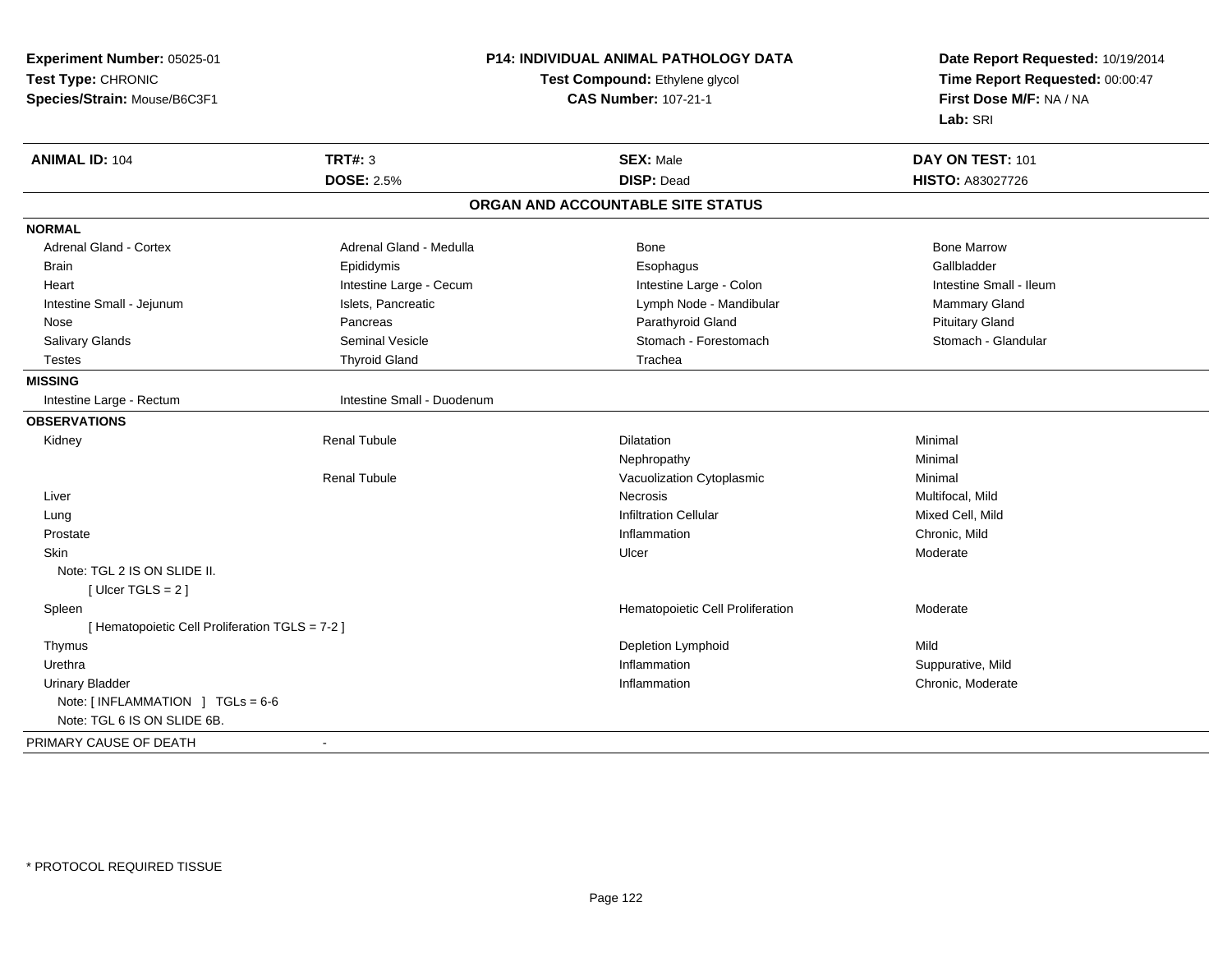| Experiment Number: 05025-01                     | <b>P14: INDIVIDUAL ANIMAL PATHOLOGY DATA</b> |                                   | Date Report Requested: 10/19/2014                          |
|-------------------------------------------------|----------------------------------------------|-----------------------------------|------------------------------------------------------------|
| Test Type: CHRONIC                              |                                              | Test Compound: Ethylene glycol    |                                                            |
| Species/Strain: Mouse/B6C3F1                    |                                              | <b>CAS Number: 107-21-1</b>       | Time Report Requested: 00:00:47<br>First Dose M/F: NA / NA |
|                                                 |                                              |                                   | Lab: SRI                                                   |
| <b>ANIMAL ID: 104</b>                           | <b>TRT#: 3</b>                               | <b>SEX: Male</b>                  | DAY ON TEST: 101                                           |
|                                                 | <b>DOSE: 2.5%</b>                            | <b>DISP: Dead</b>                 | HISTO: A83027726                                           |
|                                                 |                                              | ORGAN AND ACCOUNTABLE SITE STATUS |                                                            |
| <b>NORMAL</b>                                   |                                              |                                   |                                                            |
| Adrenal Gland - Cortex                          | Adrenal Gland - Medulla                      | Bone                              | <b>Bone Marrow</b>                                         |
| <b>Brain</b>                                    | Epididymis                                   | Esophagus                         | Gallbladder                                                |
| Heart                                           | Intestine Large - Cecum                      | Intestine Large - Colon           | Intestine Small - Ileum                                    |
| Intestine Small - Jejunum                       | Islets, Pancreatic                           | Lymph Node - Mandibular           | <b>Mammary Gland</b>                                       |
| Nose                                            | Pancreas                                     | Parathyroid Gland                 | <b>Pituitary Gland</b>                                     |
| Salivary Glands                                 | Seminal Vesicle                              | Stomach - Forestomach             | Stomach - Glandular                                        |
| <b>Testes</b>                                   | <b>Thyroid Gland</b>                         | Trachea                           |                                                            |
| <b>MISSING</b>                                  |                                              |                                   |                                                            |
| Intestine Large - Rectum                        | Intestine Small - Duodenum                   |                                   |                                                            |
| <b>OBSERVATIONS</b>                             |                                              |                                   |                                                            |
| Kidney                                          | <b>Renal Tubule</b>                          | <b>Dilatation</b>                 | Minimal                                                    |
|                                                 |                                              | Nephropathy                       | Minimal                                                    |
|                                                 | <b>Renal Tubule</b>                          | Vacuolization Cytoplasmic         | Minimal                                                    |
| Liver                                           |                                              | <b>Necrosis</b>                   | Multifocal, Mild                                           |
| Lung                                            |                                              | <b>Infiltration Cellular</b>      | Mixed Cell, Mild                                           |
| Prostate                                        |                                              | Inflammation                      | Chronic, Mild                                              |
| <b>Skin</b>                                     |                                              | Ulcer                             | Moderate                                                   |
| Note: TGL 2 IS ON SLIDE II.                     |                                              |                                   |                                                            |
| [Ulcer TGLS = $2$ ]                             |                                              |                                   |                                                            |
| Spleen                                          |                                              | Hematopoietic Cell Proliferation  | Moderate                                                   |
| [ Hematopoietic Cell Proliferation TGLS = 7-2 ] |                                              |                                   |                                                            |
| Thymus                                          |                                              | Depletion Lymphoid                | Mild                                                       |
| Urethra                                         |                                              | Inflammation                      | Suppurative, Mild                                          |
| <b>Urinary Bladder</b>                          |                                              | Inflammation                      | Chronic, Moderate                                          |
| Note: $[INFLAMMATION] TGLs = 6-6$               |                                              |                                   |                                                            |
| Note: TGL 6 IS ON SLIDE 6B.                     |                                              |                                   |                                                            |
| PRIMARY CAUSE OF DEATH                          | $\blacksquare$                               |                                   |                                                            |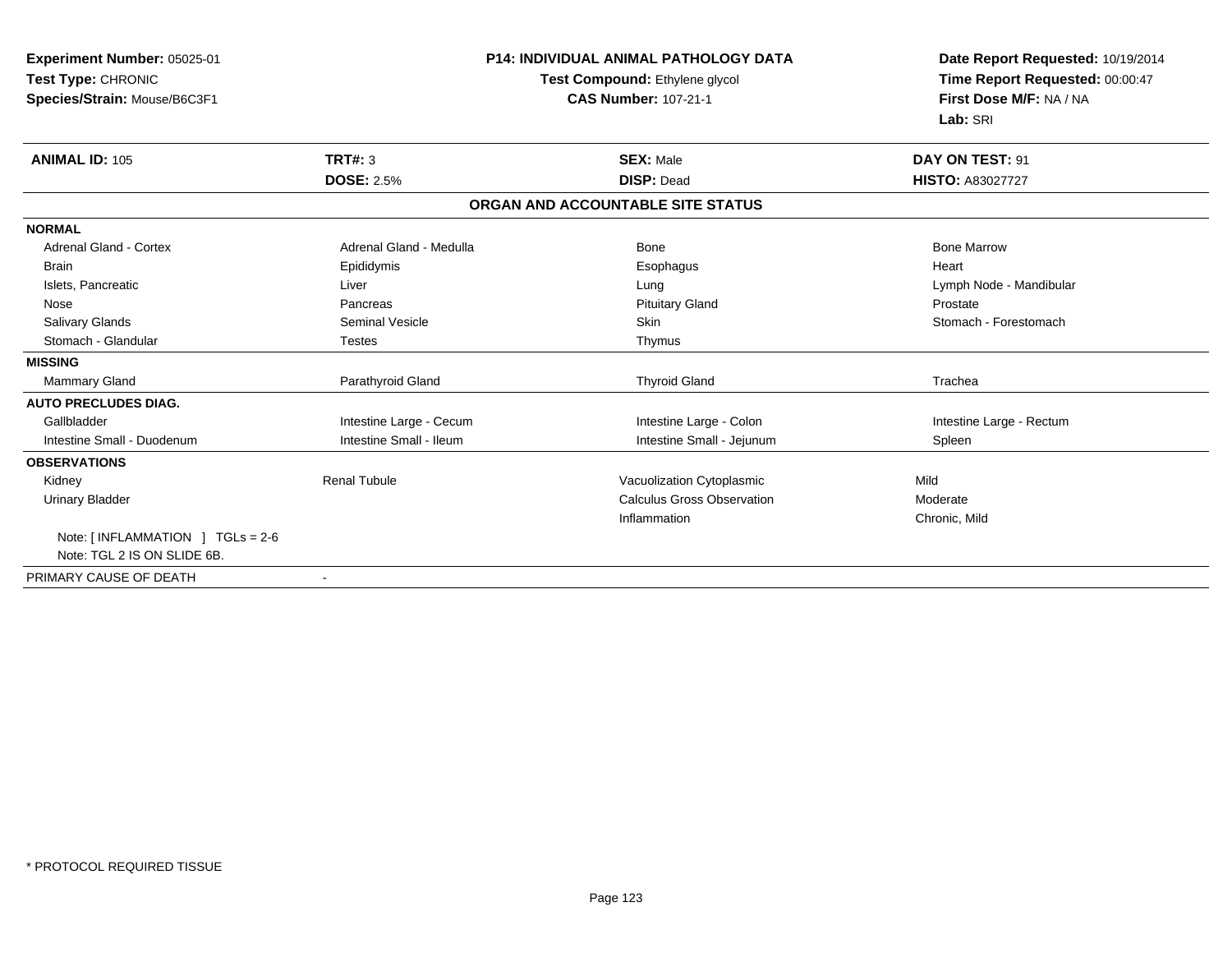| <b>Experiment Number: 05025-01</b><br>Test Type: CHRONIC<br>Species/Strain: Mouse/B6C3F1 | <b>P14: INDIVIDUAL ANIMAL PATHOLOGY DATA</b><br>Test Compound: Ethylene glycol<br><b>CAS Number: 107-21-1</b> |                                   | Date Report Requested: 10/19/2014<br>Time Report Requested: 00:00:47<br>First Dose M/F: NA / NA<br>Lab: SRI |
|------------------------------------------------------------------------------------------|---------------------------------------------------------------------------------------------------------------|-----------------------------------|-------------------------------------------------------------------------------------------------------------|
| <b>ANIMAL ID: 105</b>                                                                    | TRT#: 3                                                                                                       | <b>SEX: Male</b>                  | DAY ON TEST: 91                                                                                             |
|                                                                                          | <b>DOSE: 2.5%</b>                                                                                             | <b>DISP: Dead</b>                 | <b>HISTO: A83027727</b>                                                                                     |
|                                                                                          |                                                                                                               | ORGAN AND ACCOUNTABLE SITE STATUS |                                                                                                             |
| <b>NORMAL</b>                                                                            |                                                                                                               |                                   |                                                                                                             |
| <b>Adrenal Gland - Cortex</b>                                                            | Adrenal Gland - Medulla                                                                                       | <b>Bone</b>                       | <b>Bone Marrow</b>                                                                                          |
| <b>Brain</b>                                                                             | Epididymis                                                                                                    | Esophagus                         | Heart                                                                                                       |
| Islets, Pancreatic                                                                       | Liver                                                                                                         | Lung                              | Lymph Node - Mandibular                                                                                     |
| Nose                                                                                     | Pancreas                                                                                                      | <b>Pituitary Gland</b>            | Prostate                                                                                                    |
| <b>Salivary Glands</b>                                                                   | <b>Seminal Vesicle</b>                                                                                        | <b>Skin</b>                       | Stomach - Forestomach                                                                                       |
| Stomach - Glandular                                                                      | <b>Testes</b>                                                                                                 | Thymus                            |                                                                                                             |
| <b>MISSING</b>                                                                           |                                                                                                               |                                   |                                                                                                             |
| Mammary Gland                                                                            | Parathyroid Gland                                                                                             | <b>Thyroid Gland</b>              | Trachea                                                                                                     |
| <b>AUTO PRECLUDES DIAG.</b>                                                              |                                                                                                               |                                   |                                                                                                             |
| Gallbladder                                                                              | Intestine Large - Cecum                                                                                       | Intestine Large - Colon           | Intestine Large - Rectum                                                                                    |
| Intestine Small - Duodenum                                                               | Intestine Small - Ileum                                                                                       | Intestine Small - Jejunum         | Spleen                                                                                                      |
| <b>OBSERVATIONS</b>                                                                      |                                                                                                               |                                   |                                                                                                             |
| Kidney                                                                                   | <b>Renal Tubule</b>                                                                                           | Vacuolization Cytoplasmic         | Mild                                                                                                        |
| <b>Urinary Bladder</b>                                                                   |                                                                                                               | <b>Calculus Gross Observation</b> | Moderate                                                                                                    |
|                                                                                          |                                                                                                               | Inflammation                      | Chronic, Mild                                                                                               |
| Note: [INFLAMMATION ] TGLs = 2-6                                                         |                                                                                                               |                                   |                                                                                                             |
| Note: TGL 2 IS ON SLIDE 6B.                                                              |                                                                                                               |                                   |                                                                                                             |
| PRIMARY CAUSE OF DEATH                                                                   | $\blacksquare$                                                                                                |                                   |                                                                                                             |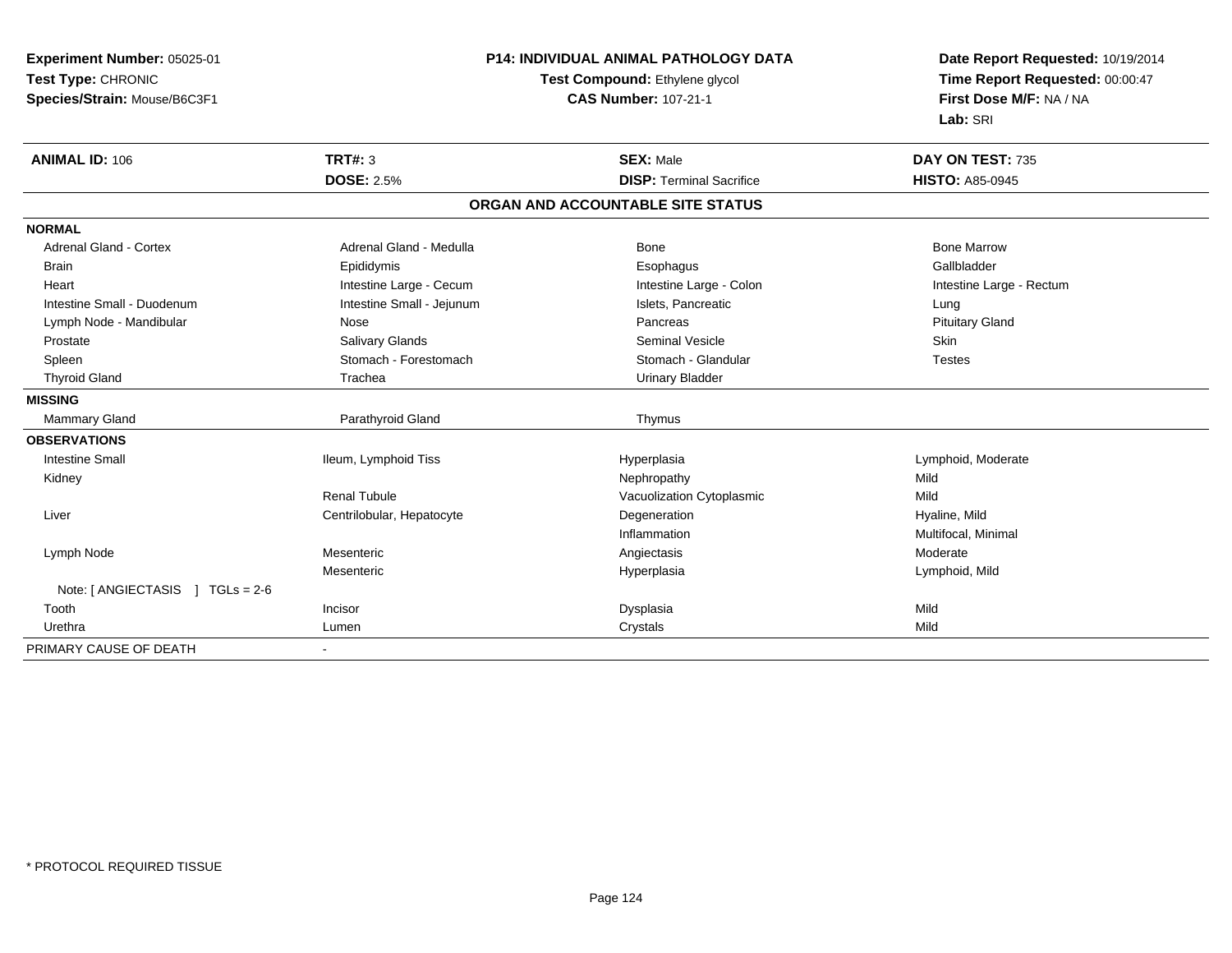| Experiment Number: 05025-01                   | <b>P14: INDIVIDUAL ANIMAL PATHOLOGY DATA</b> |                                   | Date Report Requested: 10/19/2014 |
|-----------------------------------------------|----------------------------------------------|-----------------------------------|-----------------------------------|
| Test Type: CHRONIC                            |                                              | Test Compound: Ethylene glycol    | Time Report Requested: 00:00:47   |
| Species/Strain: Mouse/B6C3F1                  |                                              | <b>CAS Number: 107-21-1</b>       | First Dose M/F: NA / NA           |
|                                               |                                              |                                   | Lab: SRI                          |
| <b>ANIMAL ID: 106</b>                         | TRT#: 3                                      | <b>SEX: Male</b>                  | DAY ON TEST: 735                  |
|                                               | <b>DOSE: 2.5%</b>                            | <b>DISP: Terminal Sacrifice</b>   | <b>HISTO: A85-0945</b>            |
|                                               |                                              | ORGAN AND ACCOUNTABLE SITE STATUS |                                   |
| <b>NORMAL</b>                                 |                                              |                                   |                                   |
| <b>Adrenal Gland - Cortex</b>                 | Adrenal Gland - Medulla                      | Bone                              | <b>Bone Marrow</b>                |
| <b>Brain</b>                                  | Epididymis                                   | Esophagus                         | Gallbladder                       |
| Heart                                         | Intestine Large - Cecum                      | Intestine Large - Colon           | Intestine Large - Rectum          |
| Intestine Small - Duodenum                    | Intestine Small - Jejunum                    | Islets, Pancreatic                | Lung                              |
| Lymph Node - Mandibular                       | Nose                                         | Pancreas                          | <b>Pituitary Gland</b>            |
| Prostate                                      | Salivary Glands                              | Seminal Vesicle                   | <b>Skin</b>                       |
| Spleen                                        | Stomach - Forestomach                        | Stomach - Glandular               | <b>Testes</b>                     |
| <b>Thyroid Gland</b>                          | Trachea                                      | <b>Urinary Bladder</b>            |                                   |
| <b>MISSING</b>                                |                                              |                                   |                                   |
| <b>Mammary Gland</b>                          | Parathyroid Gland                            | Thymus                            |                                   |
| <b>OBSERVATIONS</b>                           |                                              |                                   |                                   |
| <b>Intestine Small</b>                        | Ileum, Lymphoid Tiss                         | Hyperplasia                       | Lymphoid, Moderate                |
| Kidney                                        |                                              | Nephropathy                       | Mild                              |
|                                               | <b>Renal Tubule</b>                          | Vacuolization Cytoplasmic         | Mild                              |
| Liver                                         | Centrilobular, Hepatocyte                    | Degeneration                      | Hyaline, Mild                     |
|                                               |                                              | Inflammation                      | Multifocal, Minimal               |
| Lymph Node                                    | Mesenteric                                   | Angiectasis                       | Moderate                          |
|                                               | Mesenteric                                   | Hyperplasia                       | Lymphoid, Mild                    |
| Note: [ ANGIECTASIS<br>$1 \text{ TGLs} = 2.6$ |                                              |                                   |                                   |
| Tooth                                         | Incisor                                      | Dysplasia                         | Mild                              |
| Urethra                                       | Lumen                                        | Crystals                          | Mild                              |
| PRIMARY CAUSE OF DEATH                        | $\blacksquare$                               |                                   |                                   |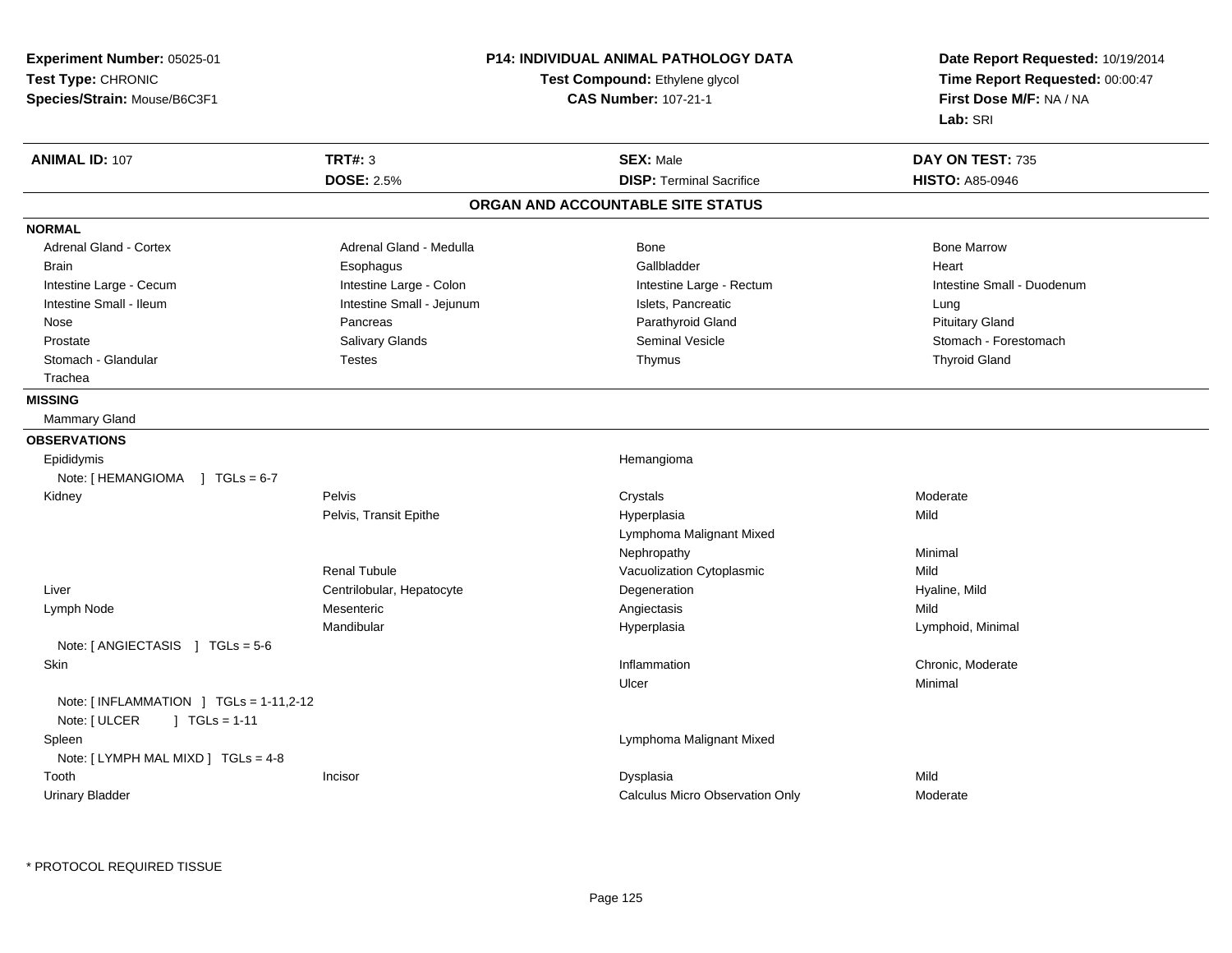| Experiment Number: 05025-01                                                |                                                               | <b>P14: INDIVIDUAL ANIMAL PATHOLOGY DATA</b> | Date Report Requested: 10/19/2014                          |  |
|----------------------------------------------------------------------------|---------------------------------------------------------------|----------------------------------------------|------------------------------------------------------------|--|
| Test Type: CHRONIC                                                         | Test Compound: Ethylene glycol<br><b>CAS Number: 107-21-1</b> |                                              | Time Report Requested: 00:00:47<br>First Dose M/F: NA / NA |  |
| Species/Strain: Mouse/B6C3F1                                               |                                                               |                                              |                                                            |  |
|                                                                            |                                                               |                                              | Lab: SRI                                                   |  |
| <b>ANIMAL ID: 107</b>                                                      | <b>TRT#: 3</b>                                                | <b>SEX: Male</b>                             | DAY ON TEST: 735                                           |  |
|                                                                            | <b>DOSE: 2.5%</b>                                             | <b>DISP: Terminal Sacrifice</b>              | <b>HISTO: A85-0946</b>                                     |  |
|                                                                            |                                                               | ORGAN AND ACCOUNTABLE SITE STATUS            |                                                            |  |
| <b>NORMAL</b>                                                              |                                                               |                                              |                                                            |  |
| Adrenal Gland - Cortex                                                     | Adrenal Gland - Medulla                                       | Bone                                         | <b>Bone Marrow</b>                                         |  |
| <b>Brain</b>                                                               | Esophagus                                                     | Gallbladder                                  | Heart                                                      |  |
| Intestine Large - Cecum                                                    | Intestine Large - Colon                                       | Intestine Large - Rectum                     | Intestine Small - Duodenum                                 |  |
| Intestine Small - Ileum                                                    | Intestine Small - Jejunum                                     | Islets, Pancreatic                           | Lung                                                       |  |
| Nose                                                                       | Pancreas                                                      | Parathyroid Gland                            | <b>Pituitary Gland</b>                                     |  |
| Prostate                                                                   | Salivary Glands                                               | Seminal Vesicle                              | Stomach - Forestomach                                      |  |
| Stomach - Glandular                                                        | <b>Testes</b>                                                 | Thymus                                       | <b>Thyroid Gland</b>                                       |  |
| Trachea                                                                    |                                                               |                                              |                                                            |  |
| <b>MISSING</b>                                                             |                                                               |                                              |                                                            |  |
| Mammary Gland                                                              |                                                               |                                              |                                                            |  |
| <b>OBSERVATIONS</b>                                                        |                                                               |                                              |                                                            |  |
| Epididymis                                                                 |                                                               | Hemangioma                                   |                                                            |  |
| Note: [HEMANGIOMA ] TGLs = 6-7                                             |                                                               |                                              |                                                            |  |
| Kidney                                                                     | Pelvis                                                        | Crystals                                     | Moderate                                                   |  |
|                                                                            | Pelvis, Transit Epithe                                        | Hyperplasia                                  | Mild                                                       |  |
|                                                                            |                                                               | Lymphoma Malignant Mixed                     |                                                            |  |
|                                                                            |                                                               | Nephropathy                                  | Minimal                                                    |  |
|                                                                            | <b>Renal Tubule</b>                                           | Vacuolization Cytoplasmic                    | Mild                                                       |  |
| Liver                                                                      | Centrilobular, Hepatocyte                                     | Degeneration                                 | Hyaline, Mild                                              |  |
| Lymph Node                                                                 | Mesenteric                                                    | Angiectasis                                  | Mild                                                       |  |
|                                                                            | Mandibular                                                    | Hyperplasia                                  | Lymphoid, Minimal                                          |  |
| Note: [ANGIECTASIS ] TGLs = 5-6                                            |                                                               |                                              |                                                            |  |
| Skin                                                                       |                                                               | Inflammation                                 | Chronic, Moderate                                          |  |
|                                                                            |                                                               | Ulcer                                        | Minimal                                                    |  |
| Note: [INFLAMMATION ] TGLs = 1-11,2-12<br>Note: [ ULCER<br>$] TGLs = 1-11$ |                                                               |                                              |                                                            |  |
| Spleen<br>Note: [ LYMPH MAL MIXD ] TGLs = 4-8                              |                                                               | Lymphoma Malignant Mixed                     |                                                            |  |
| Tooth                                                                      | Incisor                                                       | Dysplasia                                    | Mild                                                       |  |
| <b>Urinary Bladder</b>                                                     |                                                               | Calculus Micro Observation Only              | Moderate                                                   |  |
|                                                                            |                                                               |                                              |                                                            |  |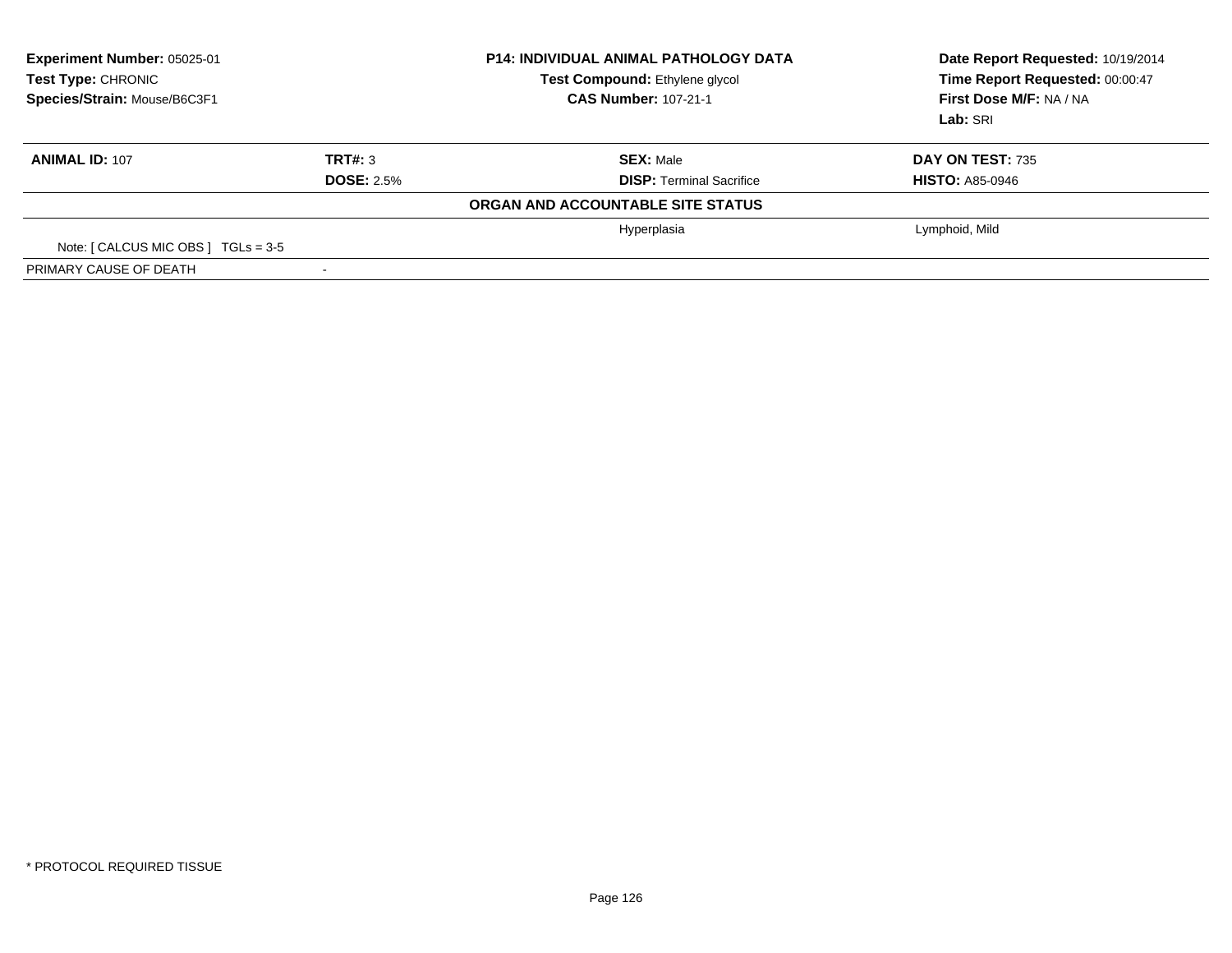| <b>Experiment Number: 05025-01</b><br><b>Test Type: CHRONIC</b><br>Species/Strain: Mouse/B6C3F1 | <b>P14: INDIVIDUAL ANIMAL PATHOLOGY DATA</b><br>Test Compound: Ethylene glycol<br><b>CAS Number: 107-21-1</b> |                                   | Date Report Requested: 10/19/2014<br>Time Report Requested: 00:00:47<br>First Dose M/F: NA / NA<br>Lab: SRI |
|-------------------------------------------------------------------------------------------------|---------------------------------------------------------------------------------------------------------------|-----------------------------------|-------------------------------------------------------------------------------------------------------------|
| <b>ANIMAL ID: 107</b>                                                                           | TRT#: 3                                                                                                       | <b>SEX: Male</b>                  | DAY ON TEST: 735                                                                                            |
|                                                                                                 | <b>DOSE: 2.5%</b>                                                                                             | <b>DISP: Terminal Sacrifice</b>   | <b>HISTO: A85-0946</b>                                                                                      |
|                                                                                                 |                                                                                                               | ORGAN AND ACCOUNTABLE SITE STATUS |                                                                                                             |
|                                                                                                 |                                                                                                               | Hyperplasia                       | Lymphoid, Mild                                                                                              |
| Note: $\lceil$ CALCUS MIC OBS $\rfloor$ TGLs = 3-5                                              |                                                                                                               |                                   |                                                                                                             |
| PRIMARY CAUSE OF DEATH                                                                          |                                                                                                               |                                   |                                                                                                             |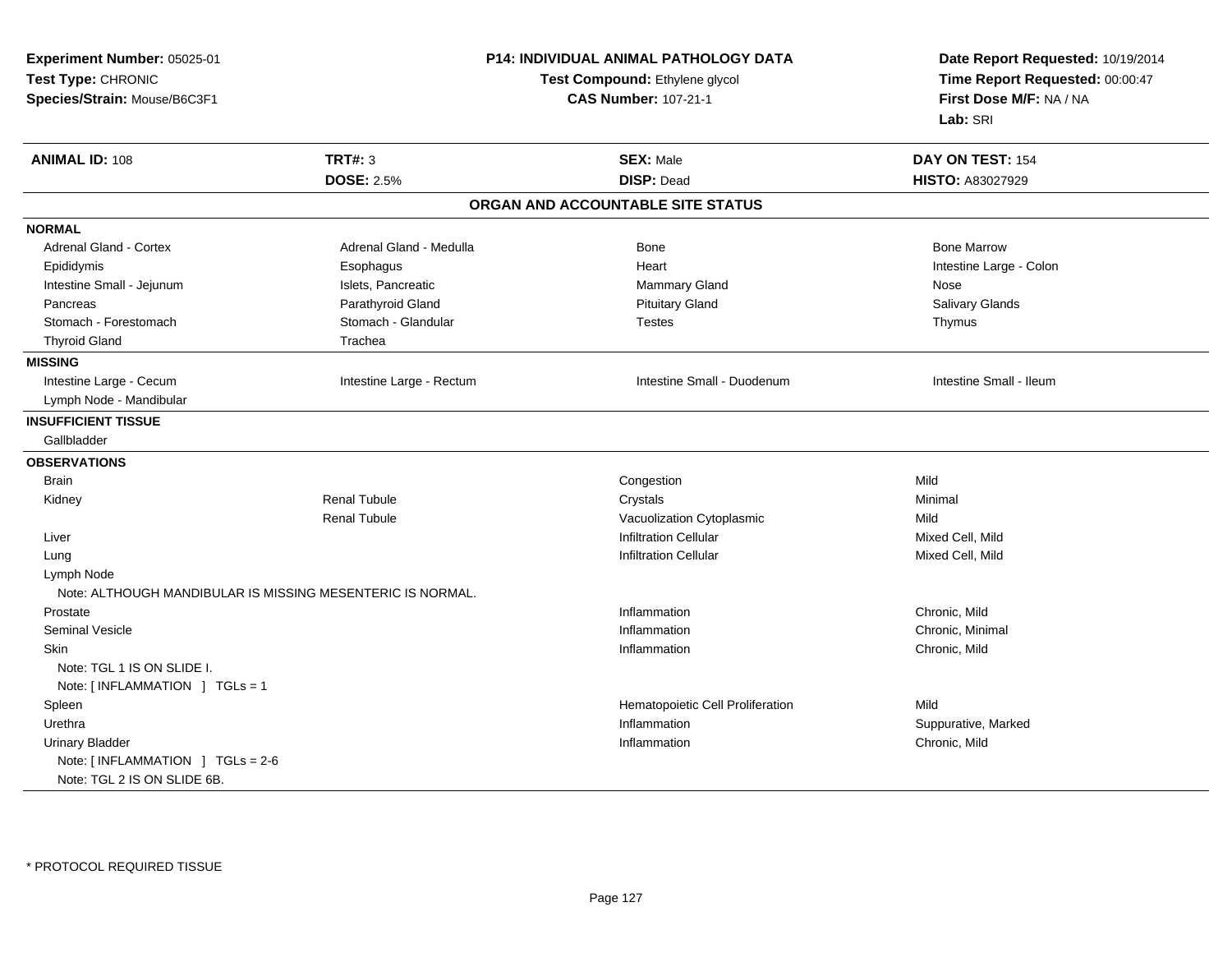| Experiment Number: 05025-01                                |                          | P14: INDIVIDUAL ANIMAL PATHOLOGY DATA | Date Report Requested: 10/19/2014<br>Time Report Requested: 00:00:47<br>First Dose M/F: NA / NA |  |
|------------------------------------------------------------|--------------------------|---------------------------------------|-------------------------------------------------------------------------------------------------|--|
| Test Type: CHRONIC                                         |                          | Test Compound: Ethylene glycol        |                                                                                                 |  |
| Species/Strain: Mouse/B6C3F1                               |                          | <b>CAS Number: 107-21-1</b>           |                                                                                                 |  |
|                                                            |                          |                                       | Lab: SRI                                                                                        |  |
| <b>ANIMAL ID: 108</b>                                      | <b>TRT#: 3</b>           | <b>SEX: Male</b>                      | DAY ON TEST: 154                                                                                |  |
|                                                            | <b>DOSE: 2.5%</b>        | <b>DISP: Dead</b>                     | HISTO: A83027929                                                                                |  |
|                                                            |                          | ORGAN AND ACCOUNTABLE SITE STATUS     |                                                                                                 |  |
| <b>NORMAL</b>                                              |                          |                                       |                                                                                                 |  |
| <b>Adrenal Gland - Cortex</b>                              | Adrenal Gland - Medulla  | <b>Bone</b>                           | <b>Bone Marrow</b>                                                                              |  |
| Epididymis                                                 | Esophagus                | Heart                                 | Intestine Large - Colon                                                                         |  |
| Intestine Small - Jejunum                                  | Islets, Pancreatic       | Mammary Gland                         | Nose                                                                                            |  |
| Pancreas                                                   | Parathyroid Gland        | <b>Pituitary Gland</b>                | Salivary Glands                                                                                 |  |
| Stomach - Forestomach                                      | Stomach - Glandular      | <b>Testes</b>                         | Thymus                                                                                          |  |
| <b>Thyroid Gland</b>                                       | Trachea                  |                                       |                                                                                                 |  |
| <b>MISSING</b>                                             |                          |                                       |                                                                                                 |  |
| Intestine Large - Cecum                                    | Intestine Large - Rectum | Intestine Small - Duodenum            | Intestine Small - Ileum                                                                         |  |
| Lymph Node - Mandibular                                    |                          |                                       |                                                                                                 |  |
| <b>INSUFFICIENT TISSUE</b>                                 |                          |                                       |                                                                                                 |  |
| Gallbladder                                                |                          |                                       |                                                                                                 |  |
| <b>OBSERVATIONS</b>                                        |                          |                                       |                                                                                                 |  |
| Brain                                                      |                          | Congestion                            | Mild                                                                                            |  |
| Kidney                                                     | <b>Renal Tubule</b>      | Crystals                              | Minimal                                                                                         |  |
|                                                            | <b>Renal Tubule</b>      | Vacuolization Cytoplasmic             | Mild                                                                                            |  |
| Liver                                                      |                          | <b>Infiltration Cellular</b>          | Mixed Cell, Mild                                                                                |  |
| Lung                                                       |                          | <b>Infiltration Cellular</b>          | Mixed Cell, Mild                                                                                |  |
| Lymph Node                                                 |                          |                                       |                                                                                                 |  |
| Note: ALTHOUGH MANDIBULAR IS MISSING MESENTERIC IS NORMAL. |                          |                                       |                                                                                                 |  |
| Prostate                                                   |                          | Inflammation                          | Chronic, Mild                                                                                   |  |
| <b>Seminal Vesicle</b>                                     |                          | Inflammation                          | Chronic, Minimal                                                                                |  |
| Skin                                                       |                          | Inflammation                          | Chronic, Mild                                                                                   |  |
| Note: TGL 1 IS ON SLIDE I.                                 |                          |                                       |                                                                                                 |  |
| Note: [INFLAMMATION ] TGLs = 1                             |                          |                                       |                                                                                                 |  |
| Spleen                                                     |                          | Hematopoietic Cell Proliferation      | Mild                                                                                            |  |
| Urethra                                                    |                          | Inflammation                          | Suppurative, Marked                                                                             |  |
| <b>Urinary Bladder</b>                                     |                          | Inflammation                          | Chronic, Mild                                                                                   |  |
| Note: [INFLAMMATION ] TGLs = 2-6                           |                          |                                       |                                                                                                 |  |
| Note: TGL 2 IS ON SLIDE 6B.                                |                          |                                       |                                                                                                 |  |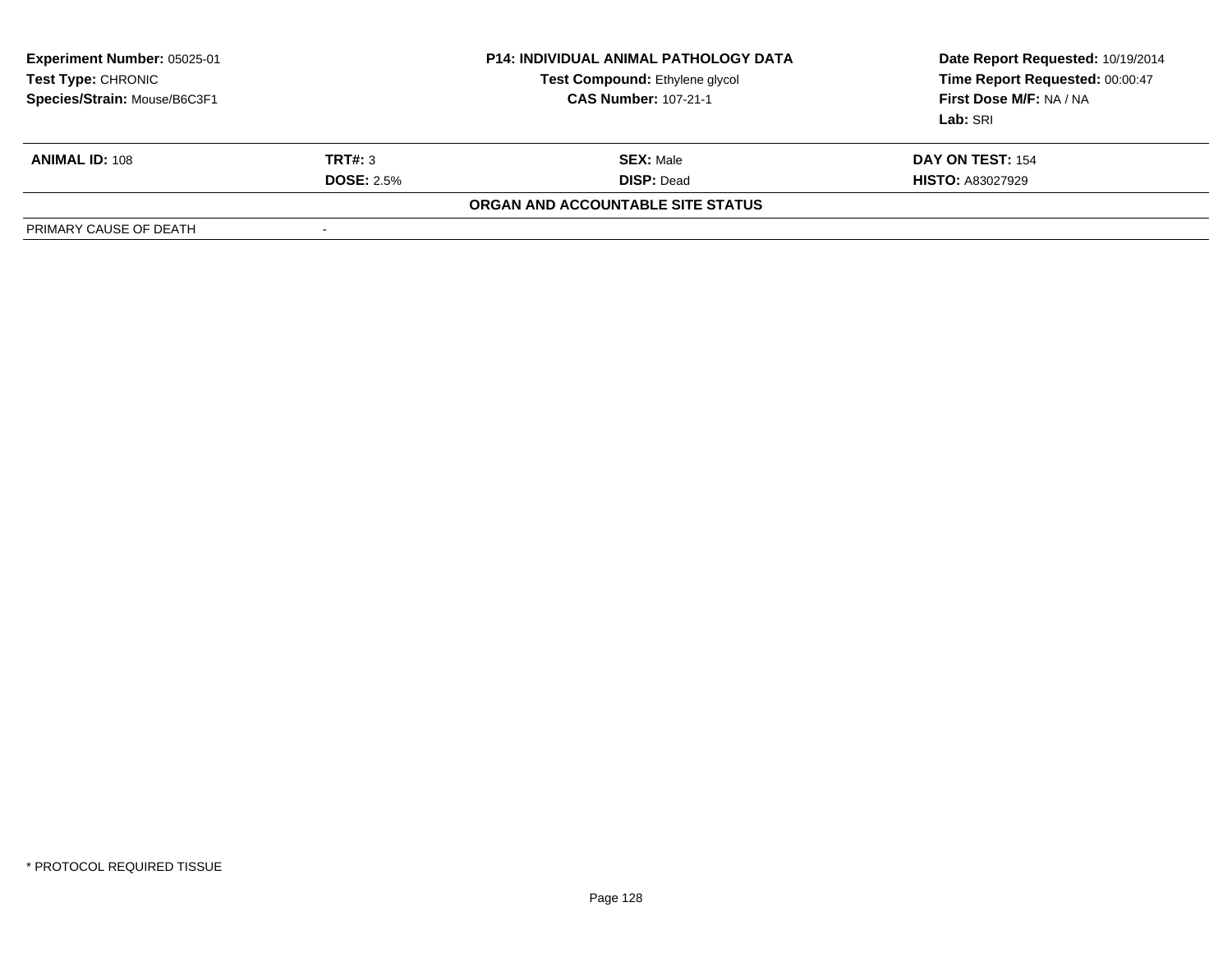| <b>Experiment Number: 05025-01</b><br>Test Type: CHRONIC<br>Species/Strain: Mouse/B6C3F1 |                   | <b>P14: INDIVIDUAL ANIMAL PATHOLOGY DATA</b><br>Test Compound: Ethylene glycol<br><b>CAS Number: 107-21-1</b> | Date Report Requested: 10/19/2014<br>Time Report Requested: 00:00:47<br>First Dose M/F: NA / NA<br>Lab: SRI |
|------------------------------------------------------------------------------------------|-------------------|---------------------------------------------------------------------------------------------------------------|-------------------------------------------------------------------------------------------------------------|
| <b>ANIMAL ID: 108</b>                                                                    | TRT#: 3           | <b>SEX: Male</b>                                                                                              | DAY ON TEST: 154                                                                                            |
|                                                                                          | <b>DOSE: 2.5%</b> | <b>DISP: Dead</b>                                                                                             | <b>HISTO: A83027929</b>                                                                                     |
|                                                                                          |                   | ORGAN AND ACCOUNTABLE SITE STATUS                                                                             |                                                                                                             |
| PRIMARY CAUSE OF DEATH                                                                   | -                 |                                                                                                               |                                                                                                             |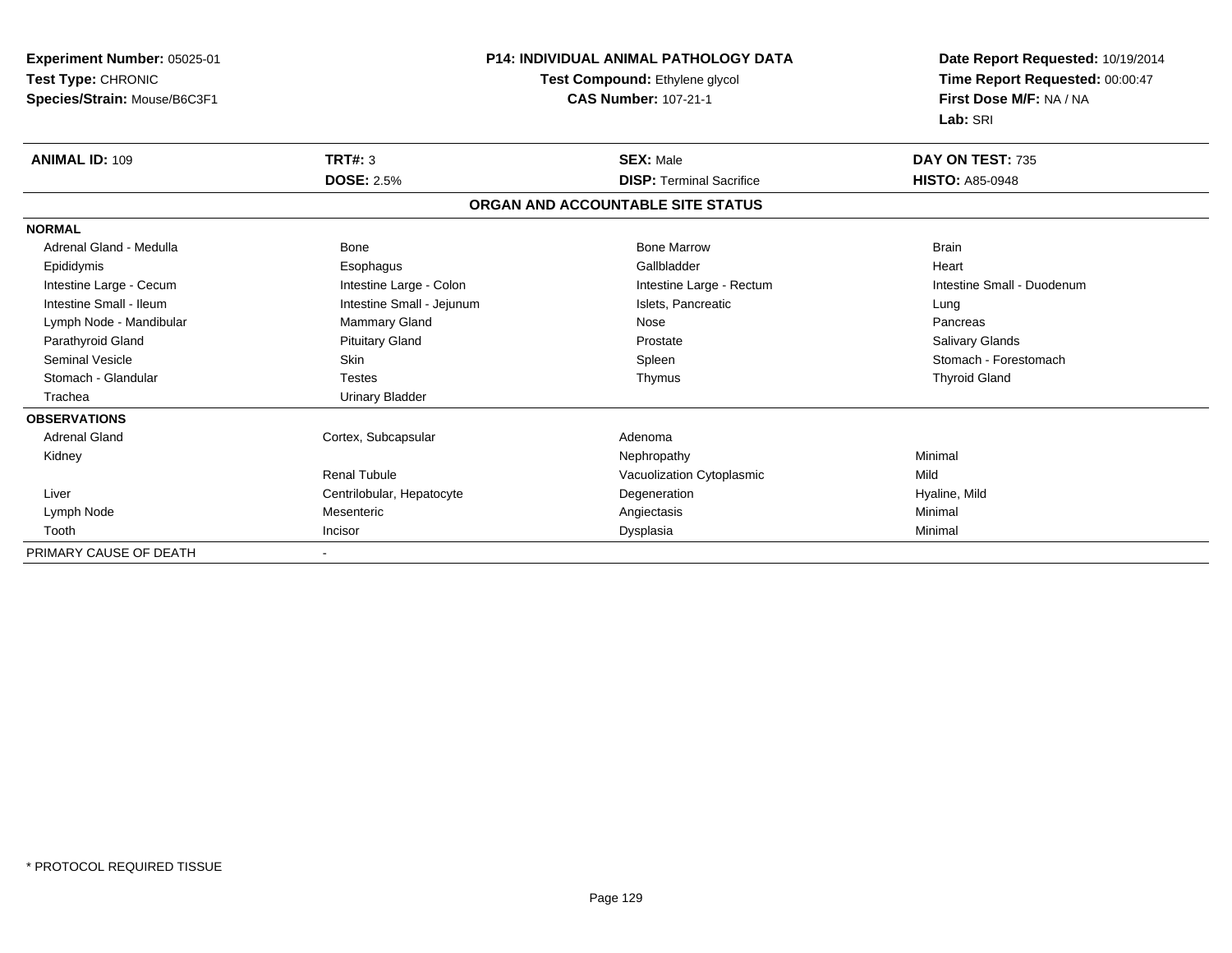| Experiment Number: 05025-01<br>Test Type: CHRONIC<br>Species/Strain: Mouse/B6C3F1 |                           | <b>P14: INDIVIDUAL ANIMAL PATHOLOGY DATA</b><br>Test Compound: Ethylene glycol<br><b>CAS Number: 107-21-1</b> | Date Report Requested: 10/19/2014<br>Time Report Requested: 00:00:47<br>First Dose M/F: NA / NA<br>Lab: SRI |  |
|-----------------------------------------------------------------------------------|---------------------------|---------------------------------------------------------------------------------------------------------------|-------------------------------------------------------------------------------------------------------------|--|
| <b>ANIMAL ID: 109</b>                                                             | <b>TRT#: 3</b>            | <b>SEX: Male</b>                                                                                              | DAY ON TEST: 735                                                                                            |  |
|                                                                                   | <b>DOSE: 2.5%</b>         | <b>DISP: Terminal Sacrifice</b>                                                                               | <b>HISTO: A85-0948</b>                                                                                      |  |
|                                                                                   |                           | ORGAN AND ACCOUNTABLE SITE STATUS                                                                             |                                                                                                             |  |
| <b>NORMAL</b>                                                                     |                           |                                                                                                               |                                                                                                             |  |
| Adrenal Gland - Medulla                                                           | Bone                      | <b>Bone Marrow</b>                                                                                            | <b>Brain</b>                                                                                                |  |
| Epididymis                                                                        | Esophagus                 | Gallbladder                                                                                                   | Heart                                                                                                       |  |
| Intestine Large - Cecum                                                           | Intestine Large - Colon   | Intestine Large - Rectum                                                                                      | Intestine Small - Duodenum                                                                                  |  |
| Intestine Small - Ileum                                                           | Intestine Small - Jejunum | Islets, Pancreatic                                                                                            | Lung                                                                                                        |  |
| Lymph Node - Mandibular                                                           | Mammary Gland             | Nose                                                                                                          | Pancreas                                                                                                    |  |
| Parathyroid Gland                                                                 | <b>Pituitary Gland</b>    | Prostate                                                                                                      | Salivary Glands                                                                                             |  |
| Seminal Vesicle                                                                   | <b>Skin</b>               | Spleen                                                                                                        | Stomach - Forestomach                                                                                       |  |
| Stomach - Glandular                                                               | <b>Testes</b>             | Thymus                                                                                                        | <b>Thyroid Gland</b>                                                                                        |  |
| Trachea                                                                           | <b>Urinary Bladder</b>    |                                                                                                               |                                                                                                             |  |
| <b>OBSERVATIONS</b>                                                               |                           |                                                                                                               |                                                                                                             |  |
| <b>Adrenal Gland</b>                                                              | Cortex, Subcapsular       | Adenoma                                                                                                       |                                                                                                             |  |
| Kidney                                                                            |                           | Nephropathy                                                                                                   | Minimal                                                                                                     |  |
|                                                                                   | <b>Renal Tubule</b>       | Vacuolization Cytoplasmic                                                                                     | Mild                                                                                                        |  |
| Liver                                                                             | Centrilobular, Hepatocyte | Degeneration                                                                                                  | Hyaline, Mild                                                                                               |  |
| Lymph Node                                                                        | Mesenteric                | Angiectasis                                                                                                   | Minimal                                                                                                     |  |
| Tooth                                                                             | Incisor                   | Dysplasia                                                                                                     | Minimal                                                                                                     |  |
| PRIMARY CAUSE OF DEATH                                                            |                           |                                                                                                               |                                                                                                             |  |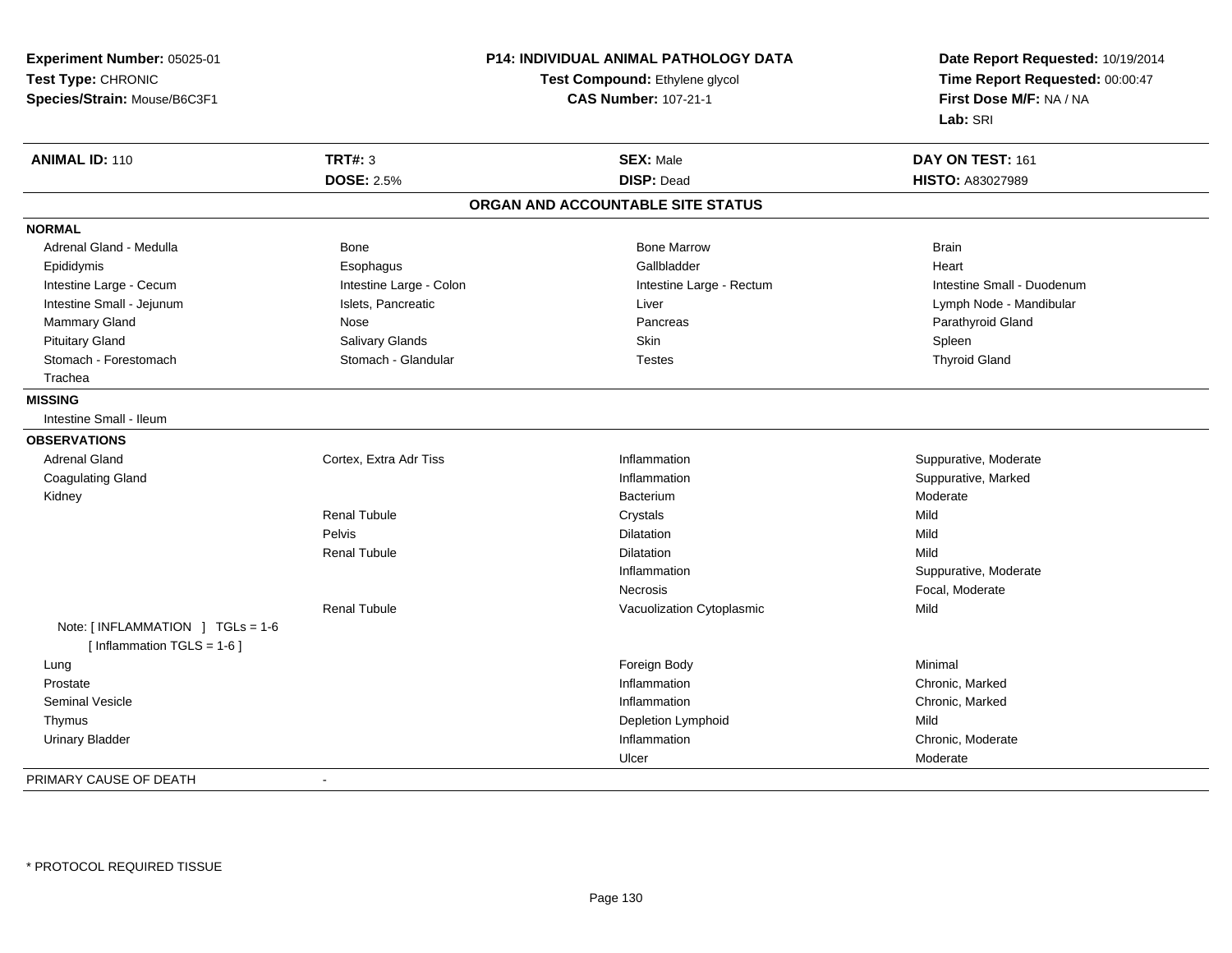| Experiment Number: 05025-01                                      | P14: INDIVIDUAL ANIMAL PATHOLOGY DATA<br>Test Compound: Ethylene glycol |                                   | Date Report Requested: 10/19/2014 |
|------------------------------------------------------------------|-------------------------------------------------------------------------|-----------------------------------|-----------------------------------|
| Test Type: CHRONIC                                               |                                                                         |                                   | Time Report Requested: 00:00:47   |
| Species/Strain: Mouse/B6C3F1                                     |                                                                         | <b>CAS Number: 107-21-1</b>       | First Dose M/F: NA / NA           |
|                                                                  |                                                                         |                                   | Lab: SRI                          |
|                                                                  | <b>TRT#: 3</b>                                                          |                                   |                                   |
| <b>ANIMAL ID: 110</b>                                            |                                                                         | <b>SEX: Male</b>                  | DAY ON TEST: 161                  |
|                                                                  | <b>DOSE: 2.5%</b>                                                       | <b>DISP: Dead</b>                 | <b>HISTO: A83027989</b>           |
|                                                                  |                                                                         | ORGAN AND ACCOUNTABLE SITE STATUS |                                   |
| <b>NORMAL</b>                                                    |                                                                         |                                   |                                   |
| Adrenal Gland - Medulla                                          | Bone                                                                    | <b>Bone Marrow</b>                | <b>Brain</b>                      |
| Epididymis                                                       | Esophagus                                                               | Gallbladder                       | Heart                             |
| Intestine Large - Cecum                                          | Intestine Large - Colon                                                 | Intestine Large - Rectum          | Intestine Small - Duodenum        |
| Intestine Small - Jejunum                                        | Islets, Pancreatic                                                      | Liver                             | Lymph Node - Mandibular           |
| Mammary Gland                                                    | Nose                                                                    | Pancreas                          | Parathyroid Gland                 |
| <b>Pituitary Gland</b>                                           | Salivary Glands                                                         | Skin                              | Spleen                            |
| Stomach - Forestomach                                            | Stomach - Glandular                                                     | <b>Testes</b>                     | <b>Thyroid Gland</b>              |
| Trachea                                                          |                                                                         |                                   |                                   |
| <b>MISSING</b>                                                   |                                                                         |                                   |                                   |
| Intestine Small - Ileum                                          |                                                                         |                                   |                                   |
| <b>OBSERVATIONS</b>                                              |                                                                         |                                   |                                   |
| <b>Adrenal Gland</b>                                             | Cortex, Extra Adr Tiss                                                  | Inflammation                      | Suppurative, Moderate             |
| <b>Coagulating Gland</b>                                         |                                                                         | Inflammation                      | Suppurative, Marked               |
| Kidney                                                           |                                                                         | Bacterium                         | Moderate                          |
|                                                                  | <b>Renal Tubule</b>                                                     | Crystals                          | Mild                              |
|                                                                  | Pelvis                                                                  | Dilatation                        | Mild                              |
|                                                                  | <b>Renal Tubule</b>                                                     | Dilatation                        | Mild                              |
|                                                                  |                                                                         | Inflammation                      | Suppurative, Moderate             |
|                                                                  |                                                                         | Necrosis                          | Focal, Moderate                   |
|                                                                  | <b>Renal Tubule</b>                                                     | Vacuolization Cytoplasmic         | Mild                              |
| Note: [INFLAMMATION ] TGLs = 1-6<br>[Inflammation $TGLS = 1-6$ ] |                                                                         |                                   |                                   |
| Lung                                                             |                                                                         | Foreign Body                      | Minimal                           |
| Prostate                                                         |                                                                         | Inflammation                      | Chronic, Marked                   |
| <b>Seminal Vesicle</b>                                           |                                                                         | Inflammation                      | Chronic, Marked                   |
| Thymus                                                           |                                                                         | Depletion Lymphoid                | Mild                              |
| <b>Urinary Bladder</b>                                           |                                                                         | Inflammation                      | Chronic, Moderate                 |
|                                                                  |                                                                         | Ulcer                             | Moderate                          |
| PRIMARY CAUSE OF DEATH                                           | $\blacksquare$                                                          |                                   |                                   |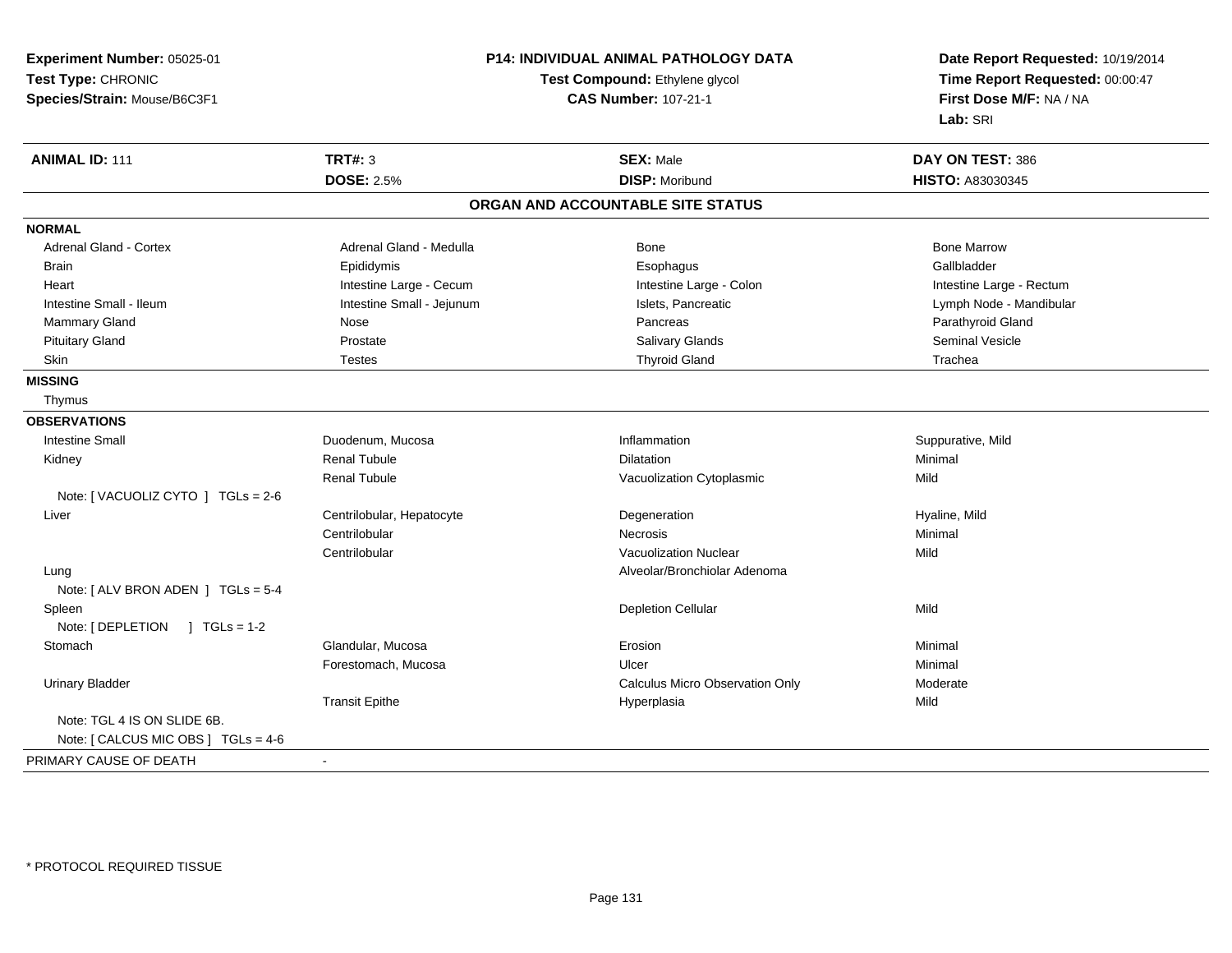| Experiment Number: 05025-01         |                           | <b>P14: INDIVIDUAL ANIMAL PATHOLOGY DATA</b> | Date Report Requested: 10/19/2014<br>Time Report Requested: 00:00:47 |  |
|-------------------------------------|---------------------------|----------------------------------------------|----------------------------------------------------------------------|--|
| Test Type: CHRONIC                  |                           | Test Compound: Ethylene glycol               |                                                                      |  |
| Species/Strain: Mouse/B6C3F1        |                           | <b>CAS Number: 107-21-1</b>                  | First Dose M/F: NA / NA                                              |  |
|                                     |                           |                                              | Lab: SRI                                                             |  |
| <b>ANIMAL ID: 111</b>               | <b>TRT#: 3</b>            | <b>SEX: Male</b>                             | DAY ON TEST: 386                                                     |  |
|                                     | <b>DOSE: 2.5%</b>         | <b>DISP: Moribund</b>                        | <b>HISTO: A83030345</b>                                              |  |
|                                     |                           | ORGAN AND ACCOUNTABLE SITE STATUS            |                                                                      |  |
| <b>NORMAL</b>                       |                           |                                              |                                                                      |  |
| <b>Adrenal Gland - Cortex</b>       | Adrenal Gland - Medulla   | Bone                                         | <b>Bone Marrow</b>                                                   |  |
| <b>Brain</b>                        | Epididymis                | Esophagus                                    | Gallbladder                                                          |  |
| Heart                               | Intestine Large - Cecum   | Intestine Large - Colon                      | Intestine Large - Rectum                                             |  |
| Intestine Small - Ileum             | Intestine Small - Jejunum | Islets, Pancreatic                           | Lymph Node - Mandibular                                              |  |
| Mammary Gland                       | Nose                      | Pancreas                                     | Parathyroid Gland                                                    |  |
| <b>Pituitary Gland</b>              | Prostate                  | Salivary Glands                              | <b>Seminal Vesicle</b>                                               |  |
| Skin                                | <b>Testes</b>             | <b>Thyroid Gland</b>                         | Trachea                                                              |  |
| <b>MISSING</b>                      |                           |                                              |                                                                      |  |
| Thymus                              |                           |                                              |                                                                      |  |
| <b>OBSERVATIONS</b>                 |                           |                                              |                                                                      |  |
| <b>Intestine Small</b>              | Duodenum, Mucosa          | Inflammation                                 | Suppurative, Mild                                                    |  |
| Kidney                              | <b>Renal Tubule</b>       | Dilatation                                   | Minimal                                                              |  |
|                                     | <b>Renal Tubule</b>       | Vacuolization Cytoplasmic                    | Mild                                                                 |  |
| Note: [ VACUOLIZ CYTO ] TGLs = 2-6  |                           |                                              |                                                                      |  |
| Liver                               | Centrilobular, Hepatocyte | Degeneration                                 | Hyaline, Mild                                                        |  |
|                                     | Centrilobular             | Necrosis                                     | Minimal                                                              |  |
|                                     | Centrilobular             | <b>Vacuolization Nuclear</b>                 | Mild                                                                 |  |
| Lung                                |                           | Alveolar/Bronchiolar Adenoma                 |                                                                      |  |
| Note: [ ALV BRON ADEN ] TGLs = 5-4  |                           |                                              |                                                                      |  |
| Spleen                              |                           | <b>Depletion Cellular</b>                    | Mild                                                                 |  |
| Note: [ DEPLETION ] TGLs = 1-2      |                           |                                              |                                                                      |  |
| Stomach                             | Glandular, Mucosa         | Erosion                                      | Minimal                                                              |  |
|                                     | Forestomach, Mucosa       | Ulcer                                        | Minimal                                                              |  |
| <b>Urinary Bladder</b>              |                           | Calculus Micro Observation Only              | Moderate                                                             |  |
|                                     | <b>Transit Epithe</b>     | Hyperplasia                                  | Mild                                                                 |  |
| Note: TGL 4 IS ON SLIDE 6B.         |                           |                                              |                                                                      |  |
| Note: [ CALCUS MIC OBS ] TGLs = 4-6 |                           |                                              |                                                                      |  |
| PRIMARY CAUSE OF DEATH              | $\blacksquare$            |                                              |                                                                      |  |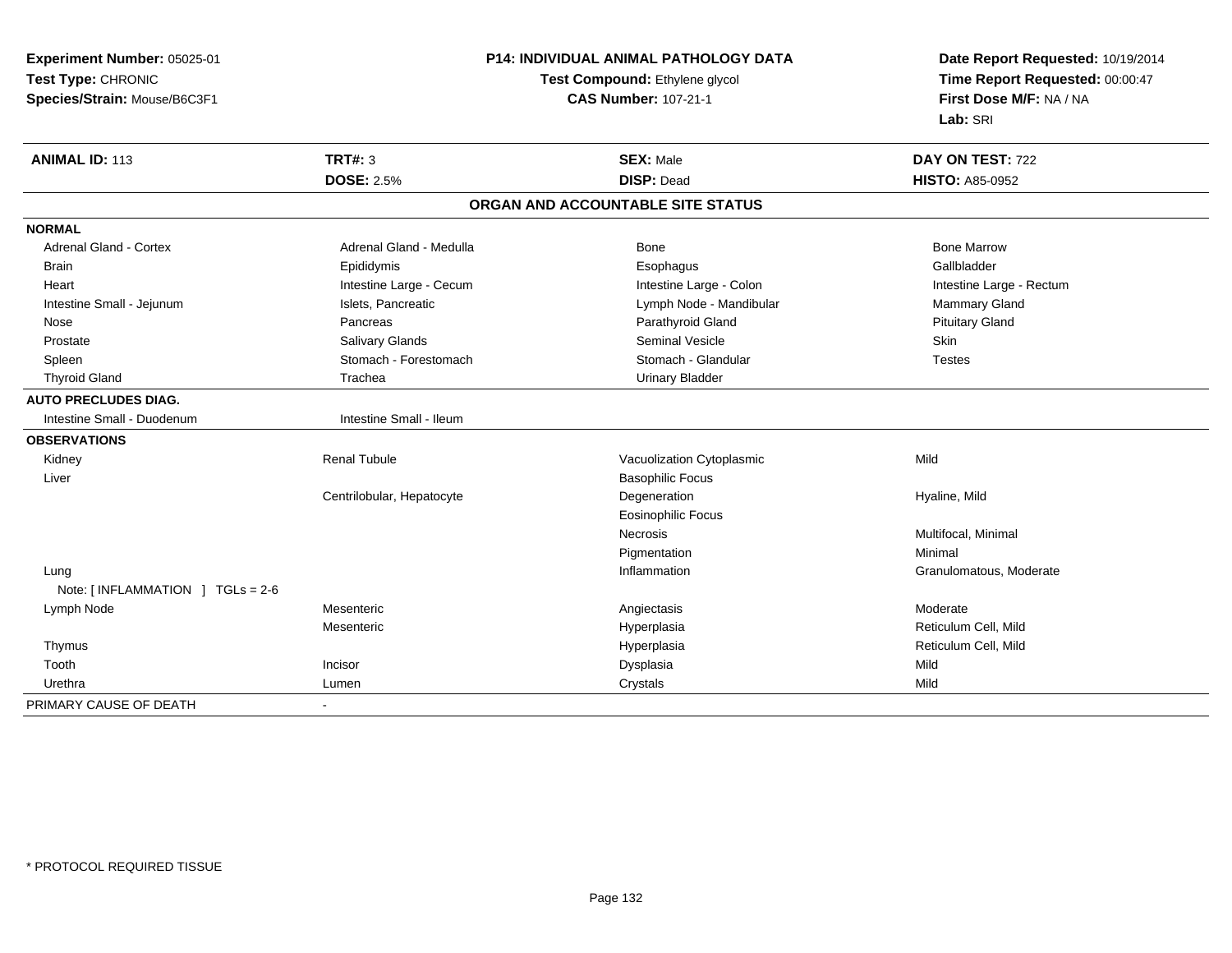| Experiment Number: 05025-01              |                             | <b>P14: INDIVIDUAL ANIMAL PATHOLOGY DATA</b> | Date Report Requested: 10/19/2014 |  |
|------------------------------------------|-----------------------------|----------------------------------------------|-----------------------------------|--|
| Test Type: CHRONIC                       |                             | Test Compound: Ethylene glycol               | Time Report Requested: 00:00:47   |  |
| Species/Strain: Mouse/B6C3F1             | <b>CAS Number: 107-21-1</b> |                                              | First Dose M/F: NA / NA           |  |
|                                          |                             |                                              | Lab: SRI                          |  |
| <b>ANIMAL ID: 113</b>                    | <b>TRT#: 3</b>              | <b>SEX: Male</b>                             | DAY ON TEST: 722                  |  |
|                                          | <b>DOSE: 2.5%</b>           | <b>DISP: Dead</b>                            | <b>HISTO: A85-0952</b>            |  |
|                                          |                             | ORGAN AND ACCOUNTABLE SITE STATUS            |                                   |  |
| <b>NORMAL</b>                            |                             |                                              |                                   |  |
| <b>Adrenal Gland - Cortex</b>            | Adrenal Gland - Medulla     | <b>Bone</b>                                  | <b>Bone Marrow</b>                |  |
| <b>Brain</b>                             | Epididymis                  | Esophagus                                    | Gallbladder                       |  |
| Heart                                    | Intestine Large - Cecum     | Intestine Large - Colon                      | Intestine Large - Rectum          |  |
| Intestine Small - Jejunum                | Islets, Pancreatic          | Lymph Node - Mandibular                      | Mammary Gland                     |  |
| Nose                                     | Pancreas                    | Parathyroid Gland                            | <b>Pituitary Gland</b>            |  |
| Prostate                                 | Salivary Glands             | <b>Seminal Vesicle</b>                       | Skin                              |  |
| Spleen                                   | Stomach - Forestomach       | Stomach - Glandular                          | <b>Testes</b>                     |  |
| <b>Thyroid Gland</b>                     | Trachea                     | <b>Urinary Bladder</b>                       |                                   |  |
| <b>AUTO PRECLUDES DIAG.</b>              |                             |                                              |                                   |  |
| Intestine Small - Duodenum               | Intestine Small - Ileum     |                                              |                                   |  |
| <b>OBSERVATIONS</b>                      |                             |                                              |                                   |  |
| Kidney                                   | <b>Renal Tubule</b>         | Vacuolization Cytoplasmic                    | Mild                              |  |
| Liver                                    |                             | <b>Basophilic Focus</b>                      |                                   |  |
|                                          | Centrilobular, Hepatocyte   | Degeneration                                 | Hyaline, Mild                     |  |
|                                          |                             | <b>Eosinophilic Focus</b>                    |                                   |  |
|                                          |                             | Necrosis                                     | Multifocal, Minimal               |  |
|                                          |                             | Pigmentation                                 | Minimal                           |  |
| Lung                                     |                             | Inflammation                                 | Granulomatous, Moderate           |  |
| Note: [INFLAMMATION ] TGLs = 2-6         |                             |                                              |                                   |  |
| Lymph Node                               | Mesenteric                  | Angiectasis                                  | Moderate                          |  |
|                                          | Mesenteric                  | Hyperplasia                                  | Reticulum Cell, Mild              |  |
| Thymus                                   |                             | Hyperplasia                                  | Reticulum Cell, Mild              |  |
| Incisor<br>Tooth                         |                             | Dysplasia                                    | Mild                              |  |
| Urethra<br>Lumen                         |                             | Crystals                                     | Mild                              |  |
| PRIMARY CAUSE OF DEATH<br>$\blacksquare$ |                             |                                              |                                   |  |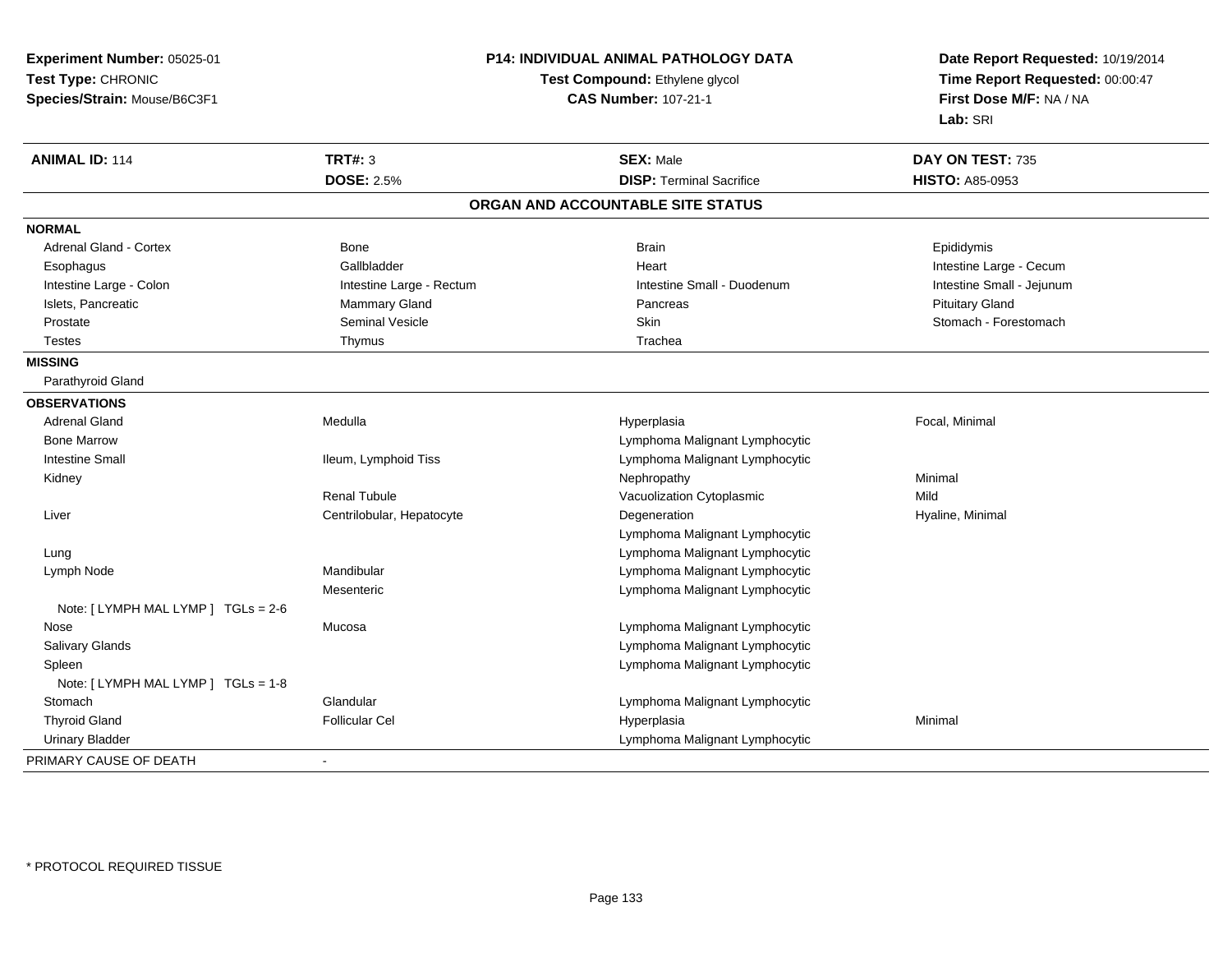| Experiment Number: 05025-01         | P14: INDIVIDUAL ANIMAL PATHOLOGY DATA<br>Test Compound: Ethylene glycol |                                   | Date Report Requested: 10/19/2014<br>Time Report Requested: 00:00:47 |  |
|-------------------------------------|-------------------------------------------------------------------------|-----------------------------------|----------------------------------------------------------------------|--|
| Test Type: CHRONIC                  |                                                                         |                                   |                                                                      |  |
| Species/Strain: Mouse/B6C3F1        |                                                                         | <b>CAS Number: 107-21-1</b>       | First Dose M/F: NA / NA                                              |  |
|                                     |                                                                         |                                   | Lab: SRI                                                             |  |
| <b>ANIMAL ID: 114</b>               | <b>TRT#: 3</b>                                                          | <b>SEX: Male</b>                  | DAY ON TEST: 735                                                     |  |
|                                     | <b>DOSE: 2.5%</b>                                                       | <b>DISP: Terminal Sacrifice</b>   | <b>HISTO: A85-0953</b>                                               |  |
|                                     |                                                                         | ORGAN AND ACCOUNTABLE SITE STATUS |                                                                      |  |
| <b>NORMAL</b>                       |                                                                         |                                   |                                                                      |  |
| <b>Adrenal Gland - Cortex</b>       | Bone                                                                    | <b>Brain</b>                      | Epididymis                                                           |  |
| Esophagus                           | Gallbladder                                                             | Heart                             | Intestine Large - Cecum                                              |  |
| Intestine Large - Colon             | Intestine Large - Rectum                                                | Intestine Small - Duodenum        | Intestine Small - Jejunum                                            |  |
| Islets, Pancreatic                  | Mammary Gland                                                           | Pancreas                          | <b>Pituitary Gland</b>                                               |  |
| Prostate                            | <b>Seminal Vesicle</b>                                                  | <b>Skin</b>                       | Stomach - Forestomach                                                |  |
| <b>Testes</b>                       | Thymus                                                                  | Trachea                           |                                                                      |  |
| <b>MISSING</b>                      |                                                                         |                                   |                                                                      |  |
| Parathyroid Gland                   |                                                                         |                                   |                                                                      |  |
| <b>OBSERVATIONS</b>                 |                                                                         |                                   |                                                                      |  |
| <b>Adrenal Gland</b>                | Medulla                                                                 | Hyperplasia                       | Focal, Minimal                                                       |  |
| <b>Bone Marrow</b>                  |                                                                         | Lymphoma Malignant Lymphocytic    |                                                                      |  |
| <b>Intestine Small</b>              | Ileum, Lymphoid Tiss                                                    | Lymphoma Malignant Lymphocytic    |                                                                      |  |
| Kidney                              |                                                                         | Nephropathy                       | Minimal                                                              |  |
|                                     | <b>Renal Tubule</b>                                                     | Vacuolization Cytoplasmic         | Mild                                                                 |  |
| Liver                               | Centrilobular, Hepatocyte                                               | Degeneration                      | Hyaline, Minimal                                                     |  |
|                                     |                                                                         | Lymphoma Malignant Lymphocytic    |                                                                      |  |
| Lung                                |                                                                         | Lymphoma Malignant Lymphocytic    |                                                                      |  |
| Lymph Node                          | Mandibular                                                              | Lymphoma Malignant Lymphocytic    |                                                                      |  |
|                                     | Mesenteric                                                              | Lymphoma Malignant Lymphocytic    |                                                                      |  |
| Note: [ LYMPH MAL LYMP ] TGLs = 2-6 |                                                                         |                                   |                                                                      |  |
| Nose                                | Mucosa                                                                  | Lymphoma Malignant Lymphocytic    |                                                                      |  |
| Salivary Glands                     |                                                                         | Lymphoma Malignant Lymphocytic    |                                                                      |  |
| Spleen                              |                                                                         | Lymphoma Malignant Lymphocytic    |                                                                      |  |
| Note: [ LYMPH MAL LYMP ] TGLs = 1-8 |                                                                         |                                   |                                                                      |  |
| Stomach                             | Glandular                                                               | Lymphoma Malignant Lymphocytic    |                                                                      |  |
| <b>Thyroid Gland</b>                | <b>Follicular Cel</b>                                                   | Hyperplasia                       | Minimal                                                              |  |
| <b>Urinary Bladder</b>              |                                                                         | Lymphoma Malignant Lymphocytic    |                                                                      |  |
| PRIMARY CAUSE OF DEATH              |                                                                         |                                   |                                                                      |  |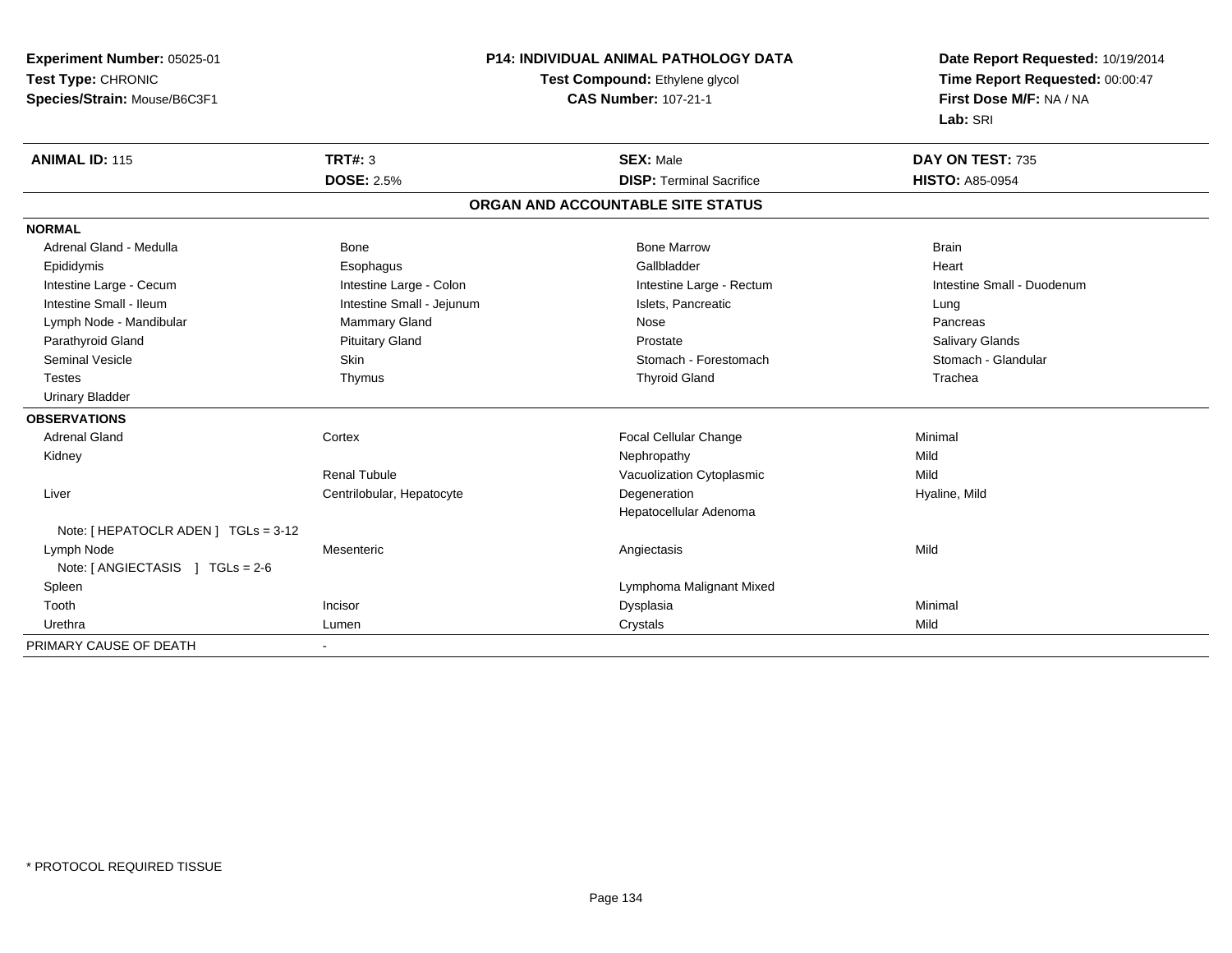| Experiment Number: 05025-01          |                           | <b>P14: INDIVIDUAL ANIMAL PATHOLOGY DATA</b> | Date Report Requested: 10/19/2014 |
|--------------------------------------|---------------------------|----------------------------------------------|-----------------------------------|
| Test Type: CHRONIC                   |                           | Test Compound: Ethylene glycol               | Time Report Requested: 00:00:47   |
| Species/Strain: Mouse/B6C3F1         |                           | <b>CAS Number: 107-21-1</b>                  | First Dose M/F: NA / NA           |
|                                      |                           |                                              | Lab: SRI                          |
| <b>ANIMAL ID: 115</b>                | TRT#: 3                   | <b>SEX: Male</b>                             | DAY ON TEST: 735                  |
|                                      | <b>DOSE: 2.5%</b>         | <b>DISP: Terminal Sacrifice</b>              | <b>HISTO: A85-0954</b>            |
|                                      |                           | ORGAN AND ACCOUNTABLE SITE STATUS            |                                   |
| <b>NORMAL</b>                        |                           |                                              |                                   |
| Adrenal Gland - Medulla              | Bone                      | <b>Bone Marrow</b>                           | <b>Brain</b>                      |
| Epididymis                           | Esophagus                 | Gallbladder                                  | Heart                             |
| Intestine Large - Cecum              | Intestine Large - Colon   | Intestine Large - Rectum                     | Intestine Small - Duodenum        |
| Intestine Small - Ileum              | Intestine Small - Jejunum | Islets, Pancreatic                           | Lung                              |
| Lymph Node - Mandibular              | Mammary Gland             | Nose                                         | Pancreas                          |
| Parathyroid Gland                    | <b>Pituitary Gland</b>    | Prostate                                     | Salivary Glands                   |
| <b>Seminal Vesicle</b>               | <b>Skin</b>               | Stomach - Forestomach                        | Stomach - Glandular               |
| <b>Testes</b>                        | Thymus                    | <b>Thyroid Gland</b>                         | Trachea                           |
| <b>Urinary Bladder</b>               |                           |                                              |                                   |
| <b>OBSERVATIONS</b>                  |                           |                                              |                                   |
| <b>Adrenal Gland</b>                 | Cortex                    | Focal Cellular Change                        | Minimal                           |
| Kidney                               |                           | Nephropathy                                  | Mild                              |
|                                      | <b>Renal Tubule</b>       | Vacuolization Cytoplasmic                    | Mild                              |
| Liver                                | Centrilobular, Hepatocyte | Degeneration                                 | Hyaline, Mild                     |
|                                      |                           | Hepatocellular Adenoma                       |                                   |
| Note: [ HEPATOCLR ADEN ] TGLs = 3-12 |                           |                                              |                                   |
| Lymph Node                           | Mesenteric                | Angiectasis                                  | Mild                              |
| Note: [ ANGIECTASIS ] TGLs = 2-6     |                           |                                              |                                   |
| Spleen                               |                           | Lymphoma Malignant Mixed                     |                                   |
| Tooth                                | Incisor                   | Dysplasia                                    | Minimal                           |
| Urethra                              | Lumen                     | Crystals                                     | Mild                              |
| PRIMARY CAUSE OF DEATH               | $\blacksquare$            |                                              |                                   |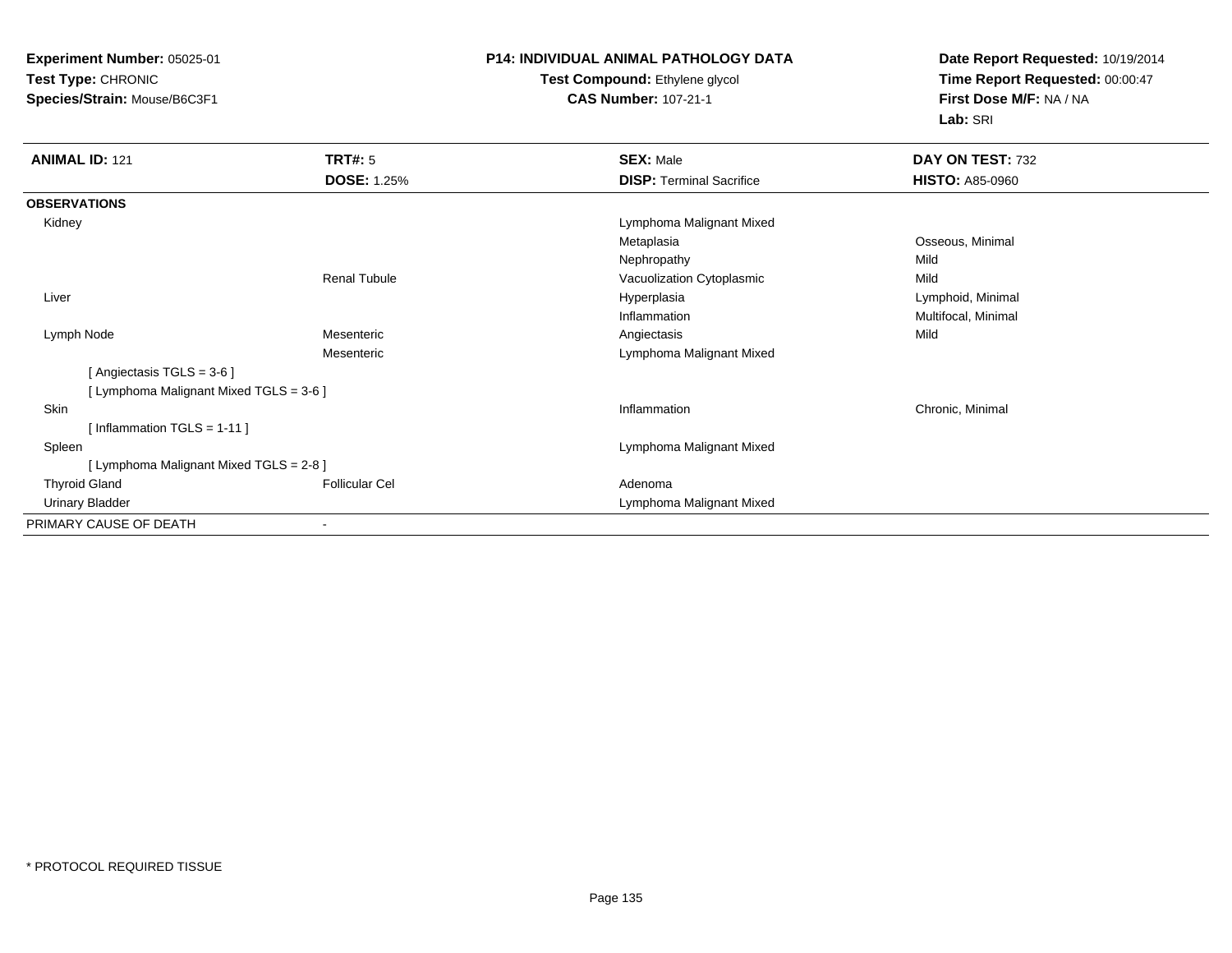**Experiment Number:** 05025-01**Test Type:** CHRONIC**Species/Strain:** Mouse/B6C3F1

## **P14: INDIVIDUAL ANIMAL PATHOLOGY DATATest Compound:** Ethylene glycol

## **CAS Number:** 107-21-1

**Date Report Requested:** 10/19/2014**Time Report Requested:** 00:00:47**First Dose M/F:** NA / NA**Lab:** SRI

| <b>ANIMAL ID: 121</b>                   | TRT#: 5               | <b>SEX: Male</b>                | DAY ON TEST: 732       |
|-----------------------------------------|-----------------------|---------------------------------|------------------------|
|                                         | <b>DOSE: 1.25%</b>    | <b>DISP: Terminal Sacrifice</b> | <b>HISTO: A85-0960</b> |
| <b>OBSERVATIONS</b>                     |                       |                                 |                        |
| Kidney                                  |                       | Lymphoma Malignant Mixed        |                        |
|                                         |                       | Metaplasia                      | Osseous, Minimal       |
|                                         |                       | Nephropathy                     | Mild                   |
|                                         | <b>Renal Tubule</b>   | Vacuolization Cytoplasmic       | Mild                   |
| Liver                                   |                       | Hyperplasia                     | Lymphoid, Minimal      |
|                                         |                       | Inflammation                    | Multifocal, Minimal    |
| Lymph Node                              | Mesenteric            | Angiectasis                     | Mild                   |
|                                         | Mesenteric            | Lymphoma Malignant Mixed        |                        |
| [Angiectasis $TGLS = 3-6$ ]             |                       |                                 |                        |
| [ Lymphoma Malignant Mixed TGLS = 3-6 ] |                       |                                 |                        |
| <b>Skin</b>                             |                       | Inflammation                    | Chronic, Minimal       |
| [Inflammation TGLS = $1-11$ ]           |                       |                                 |                        |
| Spleen                                  |                       | Lymphoma Malignant Mixed        |                        |
| [ Lymphoma Malignant Mixed TGLS = 2-8 ] |                       |                                 |                        |
| <b>Thyroid Gland</b>                    | <b>Follicular Cel</b> | Adenoma                         |                        |
| <b>Urinary Bladder</b>                  |                       | Lymphoma Malignant Mixed        |                        |
| PRIMARY CAUSE OF DEATH                  |                       |                                 |                        |
|                                         |                       |                                 |                        |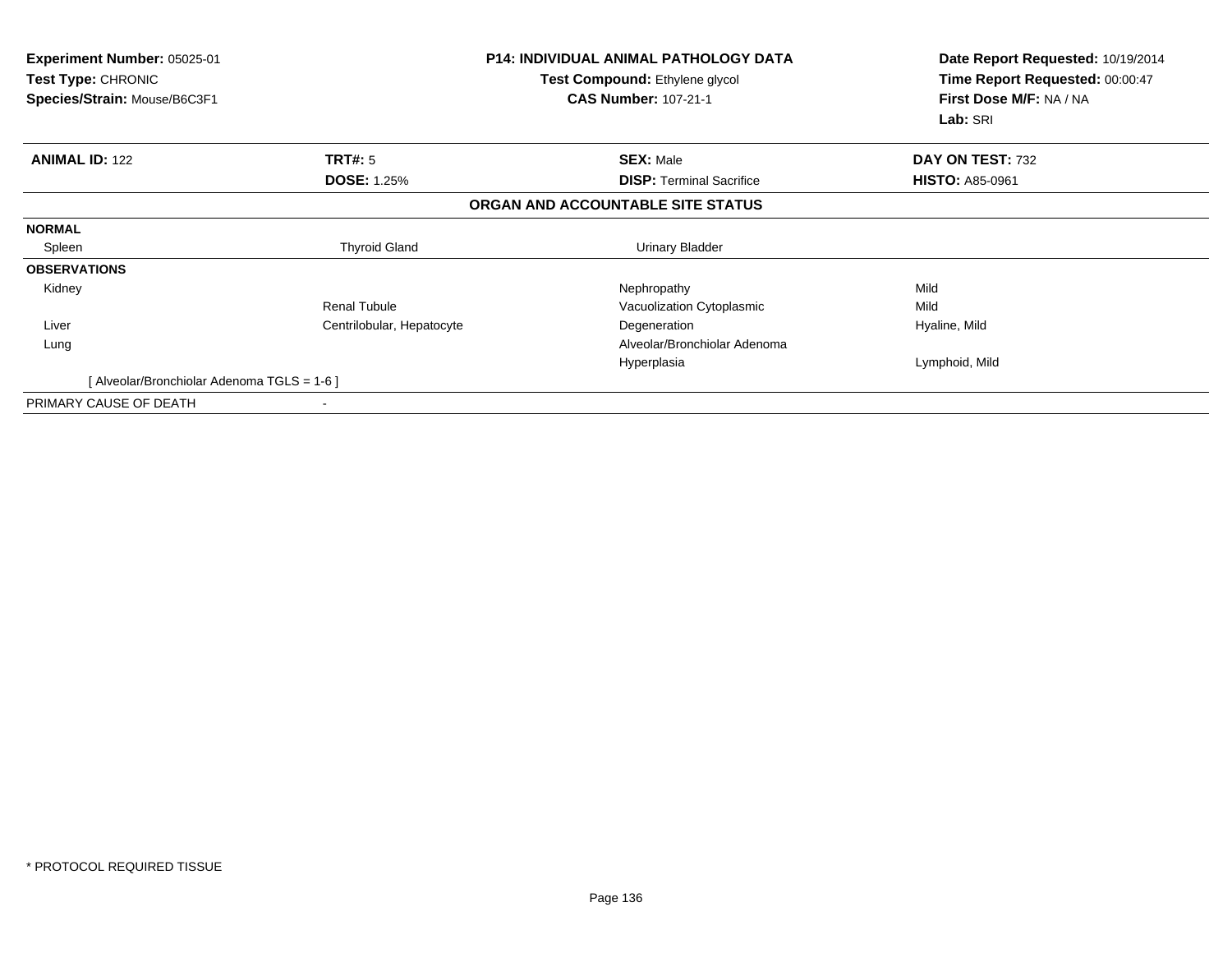| <b>Experiment Number: 05025-01</b><br>Test Type: CHRONIC<br>Species/Strain: Mouse/B6C3F1 |                           | <b>P14: INDIVIDUAL ANIMAL PATHOLOGY DATA</b><br>Test Compound: Ethylene glycol<br><b>CAS Number: 107-21-1</b> | Date Report Requested: 10/19/2014<br>Time Report Requested: 00:00:47<br>First Dose M/F: NA / NA<br>Lab: SRI |
|------------------------------------------------------------------------------------------|---------------------------|---------------------------------------------------------------------------------------------------------------|-------------------------------------------------------------------------------------------------------------|
| <b>ANIMAL ID: 122</b>                                                                    | TRT#: 5                   | <b>SEX: Male</b>                                                                                              | DAY ON TEST: 732                                                                                            |
|                                                                                          | <b>DOSE: 1.25%</b>        | <b>DISP:</b> Terminal Sacrifice                                                                               | <b>HISTO: A85-0961</b>                                                                                      |
|                                                                                          |                           | ORGAN AND ACCOUNTABLE SITE STATUS                                                                             |                                                                                                             |
| <b>NORMAL</b>                                                                            |                           |                                                                                                               |                                                                                                             |
| Spleen                                                                                   | <b>Thyroid Gland</b>      | <b>Urinary Bladder</b>                                                                                        |                                                                                                             |
| <b>OBSERVATIONS</b>                                                                      |                           |                                                                                                               |                                                                                                             |
| Kidney                                                                                   |                           | Nephropathy                                                                                                   | Mild                                                                                                        |
|                                                                                          | <b>Renal Tubule</b>       | Vacuolization Cytoplasmic                                                                                     | Mild                                                                                                        |
| Liver                                                                                    | Centrilobular, Hepatocyte | Degeneration                                                                                                  | Hyaline, Mild                                                                                               |
| Lung                                                                                     |                           | Alveolar/Bronchiolar Adenoma                                                                                  |                                                                                                             |
|                                                                                          |                           | Hyperplasia                                                                                                   | Lymphoid, Mild                                                                                              |
| [ Alveolar/Bronchiolar Adenoma TGLS = 1-6 ]                                              |                           |                                                                                                               |                                                                                                             |
| PRIMARY CAUSE OF DEATH                                                                   |                           |                                                                                                               |                                                                                                             |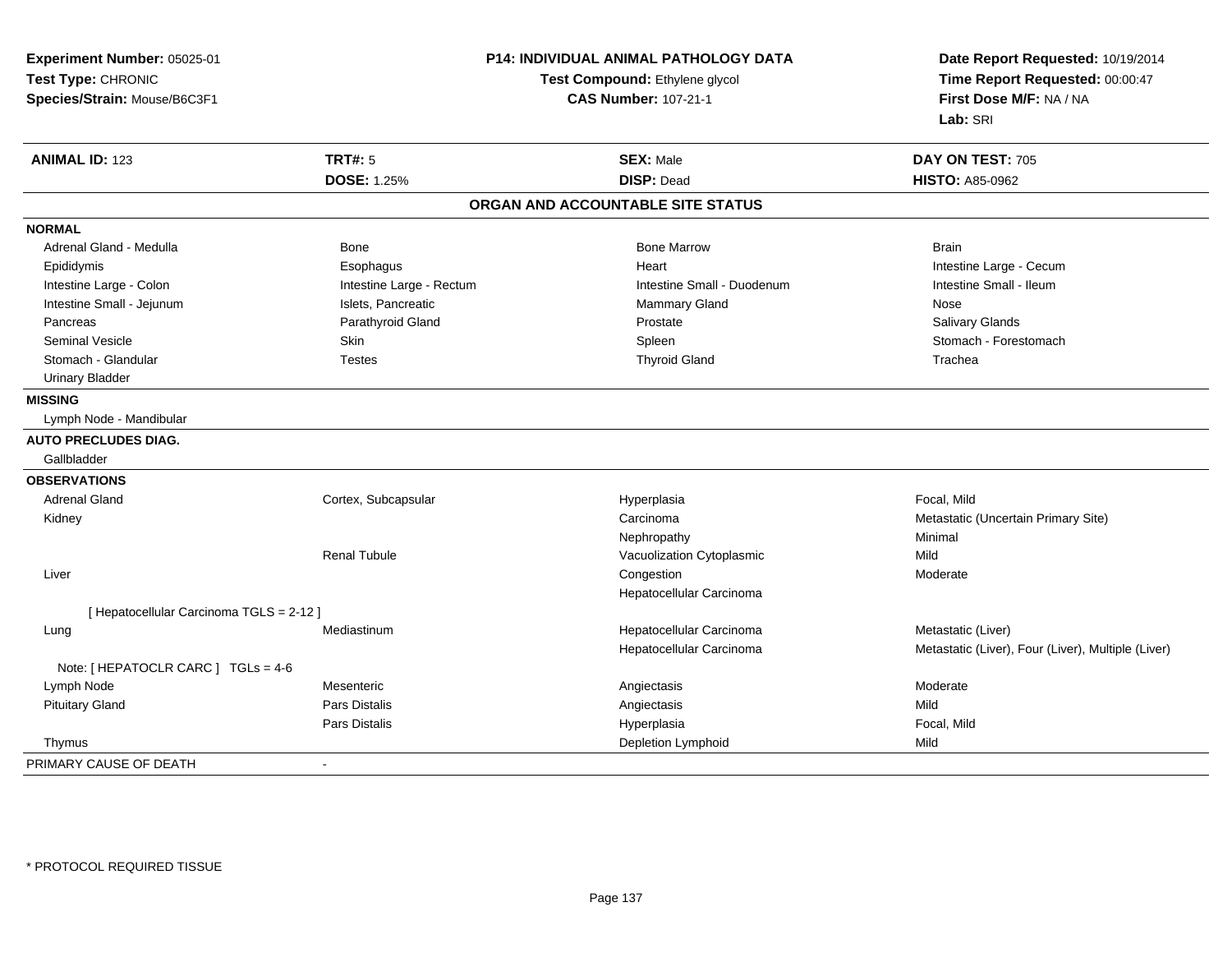| Experiment Number: 05025-01              | P14: INDIVIDUAL ANIMAL PATHOLOGY DATA<br>Test Compound: Ethylene glycol<br><b>CAS Number: 107-21-1</b> |                                   | Date Report Requested: 10/19/2014<br>Time Report Requested: 00:00:47<br>First Dose M/F: NA / NA |
|------------------------------------------|--------------------------------------------------------------------------------------------------------|-----------------------------------|-------------------------------------------------------------------------------------------------|
| Test Type: CHRONIC                       |                                                                                                        |                                   |                                                                                                 |
| Species/Strain: Mouse/B6C3F1             |                                                                                                        |                                   |                                                                                                 |
|                                          |                                                                                                        |                                   | Lab: SRI                                                                                        |
| <b>ANIMAL ID: 123</b>                    | <b>TRT#: 5</b>                                                                                         | <b>SEX: Male</b>                  | DAY ON TEST: 705                                                                                |
|                                          | <b>DOSE: 1.25%</b>                                                                                     | <b>DISP: Dead</b>                 | <b>HISTO: A85-0962</b>                                                                          |
|                                          |                                                                                                        | ORGAN AND ACCOUNTABLE SITE STATUS |                                                                                                 |
| <b>NORMAL</b>                            |                                                                                                        |                                   |                                                                                                 |
| Adrenal Gland - Medulla                  | Bone                                                                                                   | <b>Bone Marrow</b>                | <b>Brain</b>                                                                                    |
| Epididymis                               | Esophagus                                                                                              | Heart                             | Intestine Large - Cecum                                                                         |
| Intestine Large - Colon                  | Intestine Large - Rectum                                                                               | Intestine Small - Duodenum        | Intestine Small - Ileum                                                                         |
| Intestine Small - Jejunum                | Islets, Pancreatic                                                                                     | Mammary Gland                     | Nose                                                                                            |
| Pancreas                                 | Parathyroid Gland                                                                                      | Prostate                          | Salivary Glands                                                                                 |
| <b>Seminal Vesicle</b>                   | Skin                                                                                                   | Spleen                            | Stomach - Forestomach                                                                           |
| Stomach - Glandular                      | <b>Testes</b>                                                                                          | <b>Thyroid Gland</b>              | Trachea                                                                                         |
| <b>Urinary Bladder</b>                   |                                                                                                        |                                   |                                                                                                 |
| <b>MISSING</b>                           |                                                                                                        |                                   |                                                                                                 |
| Lymph Node - Mandibular                  |                                                                                                        |                                   |                                                                                                 |
| <b>AUTO PRECLUDES DIAG.</b>              |                                                                                                        |                                   |                                                                                                 |
| Gallbladder                              |                                                                                                        |                                   |                                                                                                 |
| <b>OBSERVATIONS</b>                      |                                                                                                        |                                   |                                                                                                 |
| <b>Adrenal Gland</b>                     | Cortex, Subcapsular                                                                                    | Hyperplasia                       | Focal, Mild                                                                                     |
| Kidney                                   |                                                                                                        | Carcinoma                         | Metastatic (Uncertain Primary Site)                                                             |
|                                          |                                                                                                        | Nephropathy                       | Minimal                                                                                         |
|                                          | <b>Renal Tubule</b>                                                                                    | Vacuolization Cytoplasmic         | Mild                                                                                            |
| Liver                                    |                                                                                                        | Congestion                        | Moderate                                                                                        |
|                                          |                                                                                                        | Hepatocellular Carcinoma          |                                                                                                 |
| [ Hepatocellular Carcinoma TGLS = 2-12 ] |                                                                                                        |                                   |                                                                                                 |
| Lung                                     | Mediastinum                                                                                            | Hepatocellular Carcinoma          | Metastatic (Liver)                                                                              |
|                                          |                                                                                                        | Hepatocellular Carcinoma          | Metastatic (Liver), Four (Liver), Multiple (Liver)                                              |
| Note: [ HEPATOCLR CARC ] TGLs = 4-6      |                                                                                                        |                                   |                                                                                                 |
| Lymph Node                               | Mesenteric                                                                                             | Angiectasis                       | Moderate                                                                                        |
| <b>Pituitary Gland</b>                   | Pars Distalis                                                                                          | Angiectasis                       | Mild                                                                                            |
|                                          | Pars Distalis                                                                                          | Hyperplasia                       | Focal, Mild                                                                                     |
| Thymus                                   |                                                                                                        | Depletion Lymphoid                | Mild                                                                                            |
| PRIMARY CAUSE OF DEATH                   | $\sim$                                                                                                 |                                   |                                                                                                 |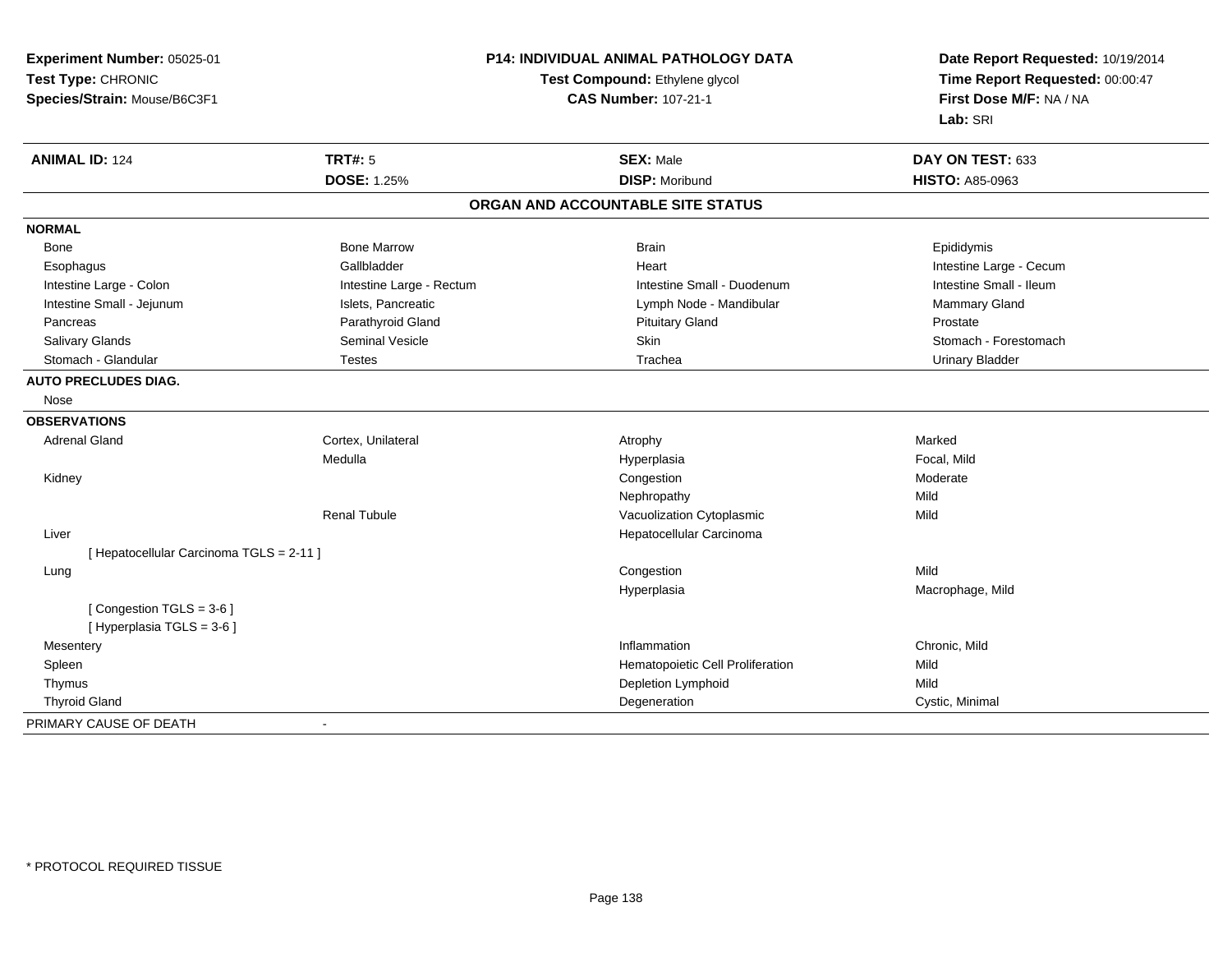| Experiment Number: 05025-01              | P14: INDIVIDUAL ANIMAL PATHOLOGY DATA |                                   | Date Report Requested: 10/19/2014                          |
|------------------------------------------|---------------------------------------|-----------------------------------|------------------------------------------------------------|
| Test Type: CHRONIC                       |                                       | Test Compound: Ethylene glycol    | Time Report Requested: 00:00:47<br>First Dose M/F: NA / NA |
| Species/Strain: Mouse/B6C3F1             |                                       | <b>CAS Number: 107-21-1</b>       |                                                            |
|                                          |                                       |                                   | Lab: SRI                                                   |
| <b>ANIMAL ID: 124</b>                    | <b>TRT#: 5</b>                        | <b>SEX: Male</b>                  | DAY ON TEST: 633                                           |
|                                          | <b>DOSE: 1.25%</b>                    | <b>DISP: Moribund</b>             | <b>HISTO: A85-0963</b>                                     |
|                                          |                                       | ORGAN AND ACCOUNTABLE SITE STATUS |                                                            |
| <b>NORMAL</b>                            |                                       |                                   |                                                            |
| Bone                                     | <b>Bone Marrow</b>                    | <b>Brain</b>                      | Epididymis                                                 |
| Esophagus                                | Gallbladder                           | Heart                             | Intestine Large - Cecum                                    |
| Intestine Large - Colon                  | Intestine Large - Rectum              | Intestine Small - Duodenum        | Intestine Small - Ileum                                    |
| Intestine Small - Jejunum                | Islets, Pancreatic                    | Lymph Node - Mandibular           | Mammary Gland                                              |
| Pancreas                                 | Parathyroid Gland                     | <b>Pituitary Gland</b>            | Prostate                                                   |
| Salivary Glands                          | <b>Seminal Vesicle</b>                | Skin                              | Stomach - Forestomach                                      |
| Stomach - Glandular                      | <b>Testes</b>                         | Trachea                           | <b>Urinary Bladder</b>                                     |
| <b>AUTO PRECLUDES DIAG.</b>              |                                       |                                   |                                                            |
| Nose                                     |                                       |                                   |                                                            |
| <b>OBSERVATIONS</b>                      |                                       |                                   |                                                            |
| <b>Adrenal Gland</b>                     | Cortex, Unilateral                    | Atrophy                           | Marked                                                     |
|                                          | Medulla                               | Hyperplasia                       | Focal, Mild                                                |
| Kidney                                   |                                       | Congestion                        | Moderate                                                   |
|                                          |                                       | Nephropathy                       | Mild                                                       |
|                                          | <b>Renal Tubule</b>                   | Vacuolization Cytoplasmic         | Mild                                                       |
| Liver                                    |                                       | Hepatocellular Carcinoma          |                                                            |
| [ Hepatocellular Carcinoma TGLS = 2-11 ] |                                       |                                   |                                                            |
| Lung                                     |                                       | Congestion                        | Mild                                                       |
|                                          |                                       | Hyperplasia                       | Macrophage, Mild                                           |
| [Congestion TGLS = 3-6]                  |                                       |                                   |                                                            |
| [ Hyperplasia TGLS = 3-6 ]               |                                       |                                   |                                                            |
| Mesentery                                |                                       | Inflammation                      | Chronic, Mild                                              |
| Spleen                                   |                                       | Hematopoietic Cell Proliferation  | Mild                                                       |
| Thymus                                   |                                       | Depletion Lymphoid                | Mild                                                       |
| <b>Thyroid Gland</b>                     |                                       | Degeneration                      | Cystic, Minimal                                            |
| PRIMARY CAUSE OF DEATH                   |                                       |                                   |                                                            |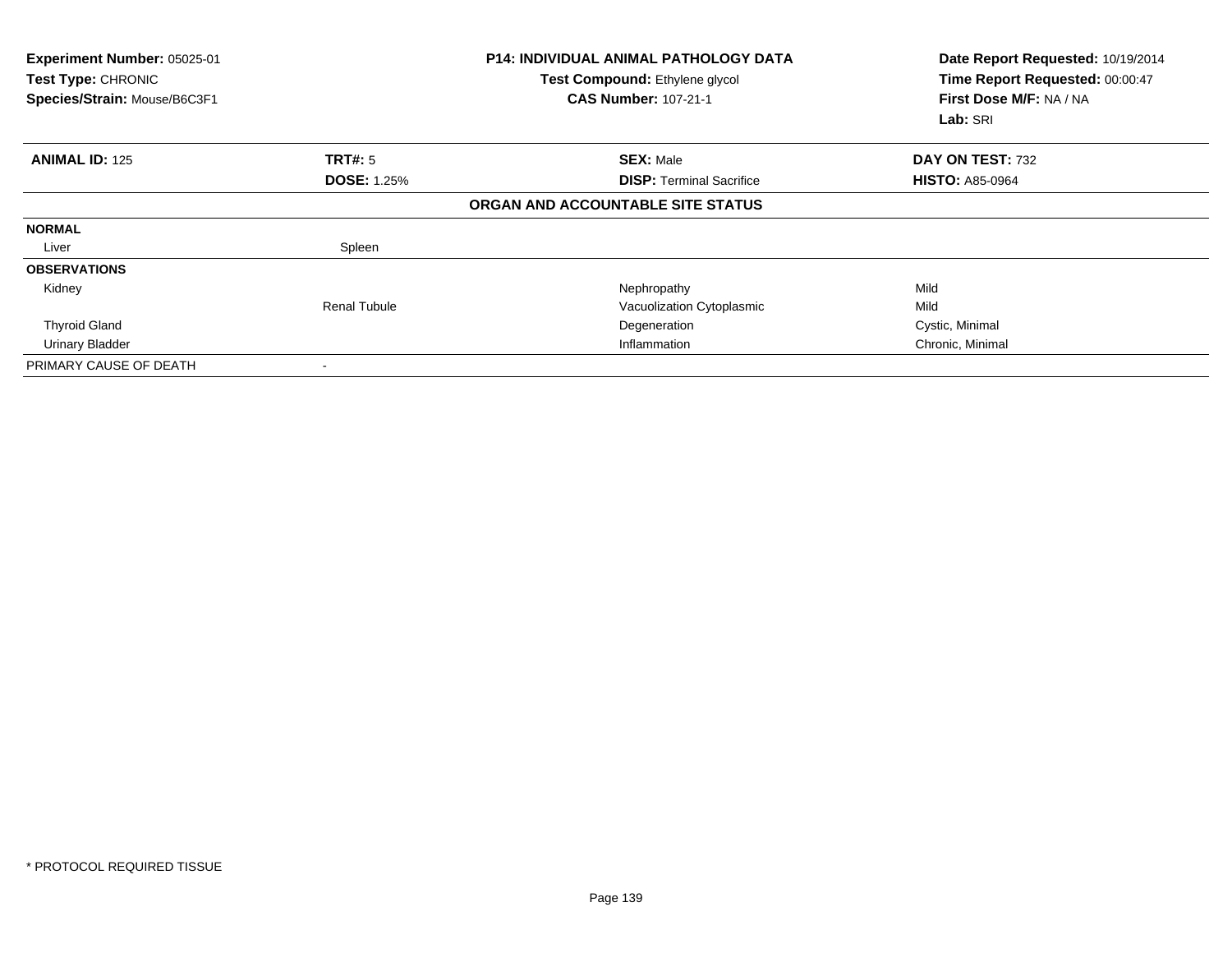| Experiment Number: 05025-01<br>Test Type: CHRONIC<br>Species/Strain: Mouse/B6C3F1 |                    | <b>P14: INDIVIDUAL ANIMAL PATHOLOGY DATA</b><br>Test Compound: Ethylene glycol<br><b>CAS Number: 107-21-1</b> | Date Report Requested: 10/19/2014<br>Time Report Requested: 00:00:47<br>First Dose M/F: NA / NA<br>Lab: SRI |
|-----------------------------------------------------------------------------------|--------------------|---------------------------------------------------------------------------------------------------------------|-------------------------------------------------------------------------------------------------------------|
| <b>ANIMAL ID: 125</b>                                                             | <b>TRT#: 5</b>     | <b>SEX: Male</b>                                                                                              | DAY ON TEST: 732                                                                                            |
|                                                                                   | <b>DOSE: 1.25%</b> | <b>DISP: Terminal Sacrifice</b>                                                                               | <b>HISTO: A85-0964</b>                                                                                      |
|                                                                                   |                    | ORGAN AND ACCOUNTABLE SITE STATUS                                                                             |                                                                                                             |
| <b>NORMAL</b>                                                                     |                    |                                                                                                               |                                                                                                             |
| Liver                                                                             | Spleen             |                                                                                                               |                                                                                                             |
| <b>OBSERVATIONS</b>                                                               |                    |                                                                                                               |                                                                                                             |
| Kidney                                                                            |                    | Nephropathy                                                                                                   | Mild                                                                                                        |
|                                                                                   | Renal Tubule       | Vacuolization Cytoplasmic                                                                                     | Mild                                                                                                        |
| <b>Thyroid Gland</b>                                                              |                    | Degeneration                                                                                                  | Cystic, Minimal                                                                                             |
| Urinary Bladder                                                                   |                    | Inflammation                                                                                                  | Chronic, Minimal                                                                                            |
| PRIMARY CAUSE OF DEATH                                                            |                    |                                                                                                               |                                                                                                             |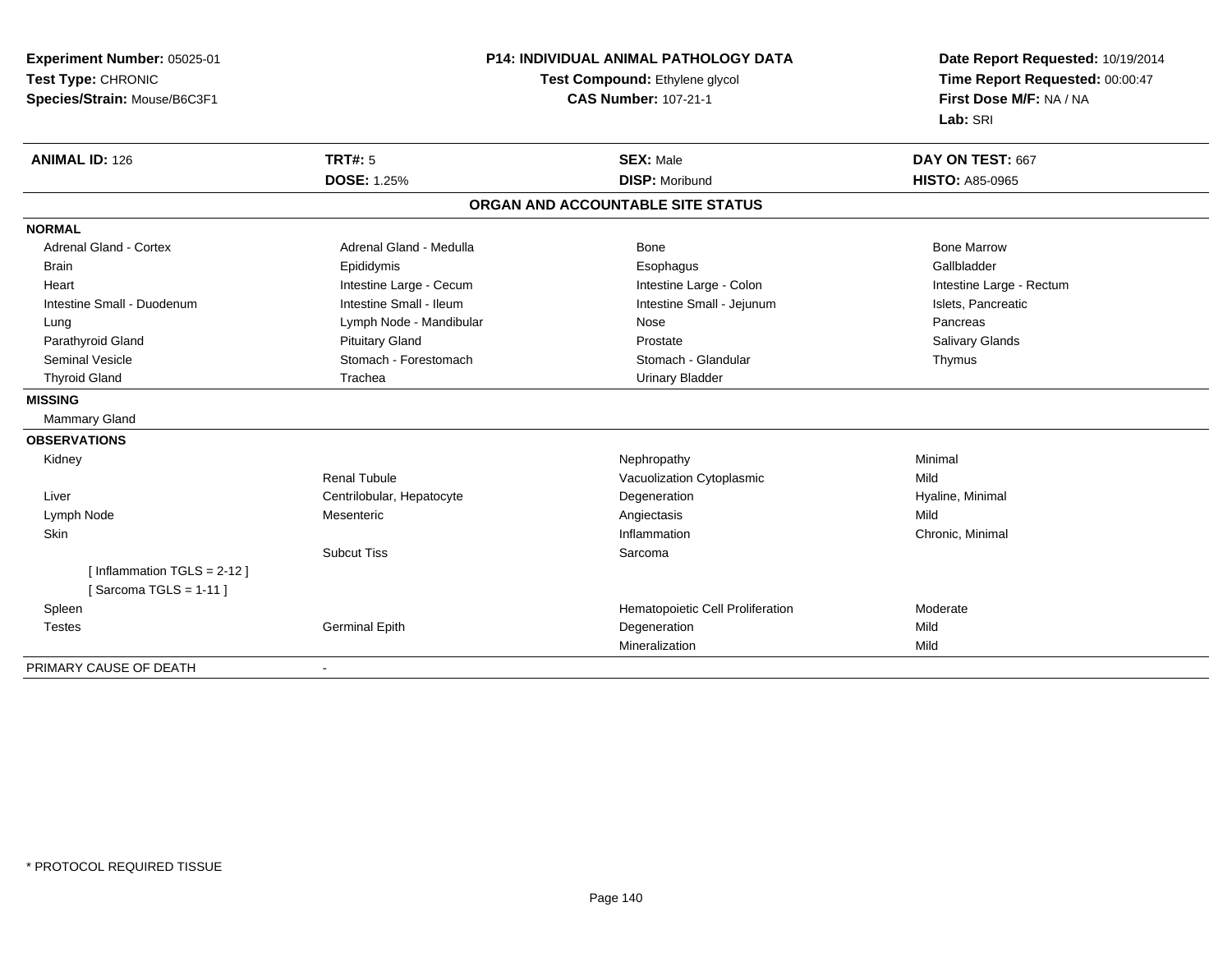**Experiment Number:** 05025-01**Test Type:** CHRONIC **Species/Strain:** Mouse/B6C3F1**P14: INDIVIDUAL ANIMAL PATHOLOGY DATATest Compound:** Ethylene glycol **CAS Number:** 107-21-1**Date Report Requested:** 10/19/2014**Time Report Requested:** 00:00:47**First Dose M/F:** NA / NA**Lab:** SRI**ANIMAL ID:** 126**TRT#:** 5 **SEX:** Male **DAY ON TEST:** 667 **DOSE:** 1.25% **DISP:** Moribund **HISTO:** A85-0965 **ORGAN AND ACCOUNTABLE SITE STATUSNORMALAdrenal Gland - Cortex** Adrenal Gland - Medulla **Adrenal Gland - Medulla** Bone Bone Bone Bone Bone Marrow Gallbladder Brain Epididymis Epididymis and the Brook of the Brook of the Brook of the Brook of the Gallbladder of the Gallbladder Heart **Intestine Large - Cecum** Intestine Large - Cecum Intestine Large - Colon Intestine Large - Rectum Intestine Small - Duodenum **Intestine Small - Ileum** Intestine Small - Ileum Intestine Small - Jejunum Intestine Small - Jejunum Islets, Pancreatic Lung **Lymph Node - Mandibular Nose Pancreas** Pancreas Pancreas **Salivary Glands** Parathyroid Gland Salivary Glands Pituitary Gland Prosection Prostate Prostate Salivary Glands Salivary Glands Seminal Vesicle **Stomach - Stomach - Forestomach Community** Stomach - Stomach - Glandular Stomach - Glandular Thymus Thyroid Gland Trachea Urinary Bladder**MISSING** Mammary Gland**OBSERVATIONS** Kidneyy the control of the control of the control of the control of the control of the control of the control of the control of the control of the control of the control of the control of the control of the control of the contro Renal TubuleVacuolization Cytoplasmic<br>
Degeneration Mild<br>
Hyal Liver Centrilobular, HepatocyteDegeneration **Exercise Exercise Serverse Exercise Serverse Exercise Serverse Exercise Serverse Exercise Serverse I**<br>
Mild Lymph Nodee the contract of the contract of the contract of the contract of the contract of the contract of the contract  $\mathsf{Mild}$ **Skin** n and the contract of the contract of the contract of the contract of the contract of the contract of the contract of the contract of the contract of the contract of the contract of the contract of the contract of the cont Subcut Tiss Sarcoma[ Inflammation TGLS = 2-12 ] $[$  Sarcoma TGLS = 1-11  $]$  SpleenHematopoietic Cell Proliferation<br>
Degeneration Mild Testes Germinal Epithh Degeneration **Degeneration** Mineralizationn Mild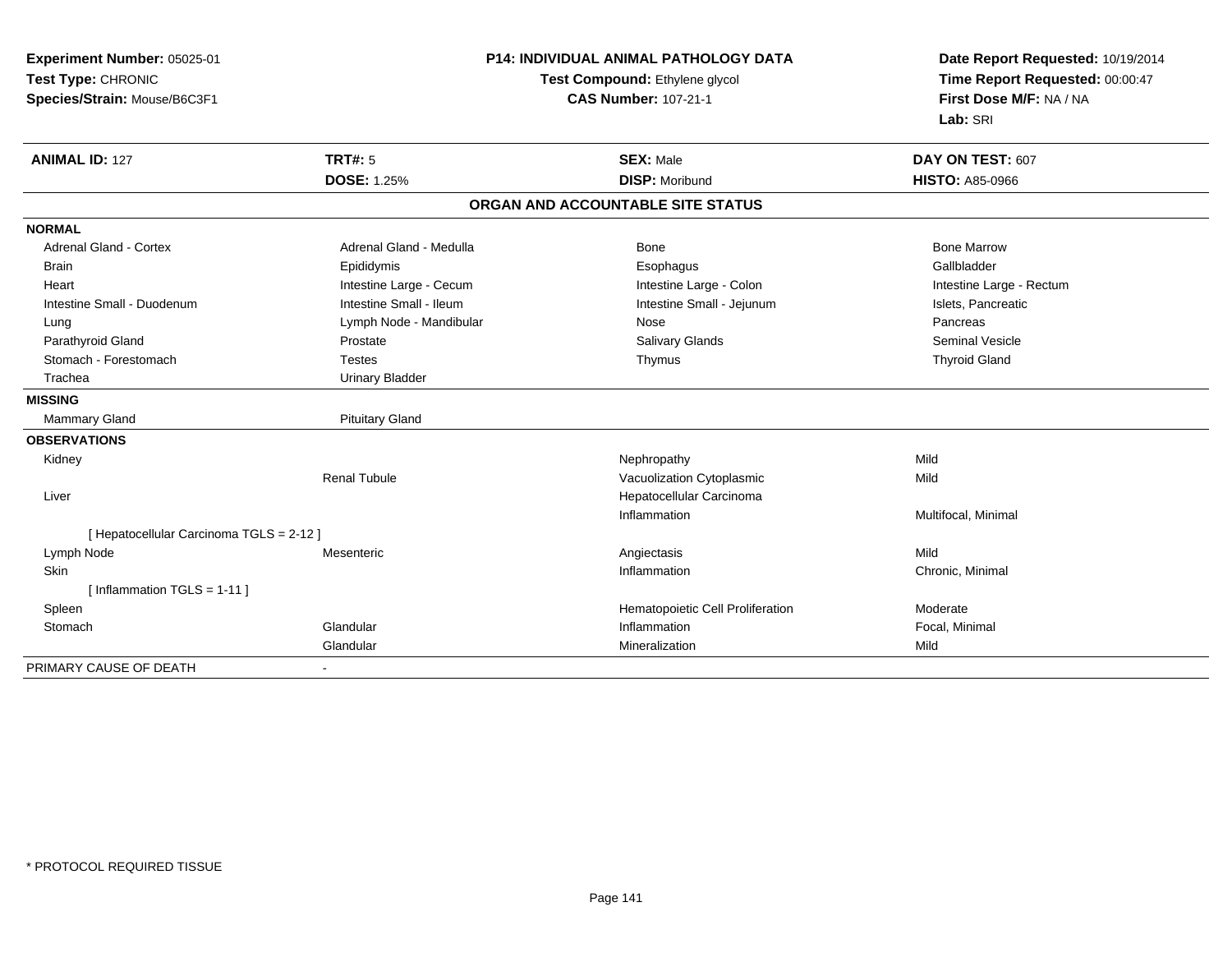| Experiment Number: 05025-01              | <b>P14: INDIVIDUAL ANIMAL PATHOLOGY DATA</b> |                                   | Date Report Requested: 10/19/2014                          |
|------------------------------------------|----------------------------------------------|-----------------------------------|------------------------------------------------------------|
| Test Type: CHRONIC                       |                                              | Test Compound: Ethylene glycol    | Time Report Requested: 00:00:47<br>First Dose M/F: NA / NA |
| Species/Strain: Mouse/B6C3F1             |                                              | <b>CAS Number: 107-21-1</b>       |                                                            |
|                                          |                                              |                                   | Lab: SRI                                                   |
| <b>ANIMAL ID: 127</b>                    | <b>TRT#: 5</b>                               | <b>SEX: Male</b>                  | DAY ON TEST: 607                                           |
|                                          | <b>DOSE: 1.25%</b>                           | <b>DISP: Moribund</b>             | <b>HISTO: A85-0966</b>                                     |
|                                          |                                              | ORGAN AND ACCOUNTABLE SITE STATUS |                                                            |
| <b>NORMAL</b>                            |                                              |                                   |                                                            |
| <b>Adrenal Gland - Cortex</b>            | Adrenal Gland - Medulla                      | Bone                              | <b>Bone Marrow</b>                                         |
| <b>Brain</b>                             | Epididymis                                   | Esophagus                         | Gallbladder                                                |
| Heart                                    | Intestine Large - Cecum                      | Intestine Large - Colon           | Intestine Large - Rectum                                   |
| Intestine Small - Duodenum               | Intestine Small - Ileum                      | Intestine Small - Jejunum         | Islets, Pancreatic                                         |
| Lung                                     | Lymph Node - Mandibular                      | Nose                              | Pancreas                                                   |
| Parathyroid Gland                        | Prostate                                     | <b>Salivary Glands</b>            | <b>Seminal Vesicle</b>                                     |
| Stomach - Forestomach                    | <b>Testes</b>                                | Thymus                            | <b>Thyroid Gland</b>                                       |
| Trachea                                  | <b>Urinary Bladder</b>                       |                                   |                                                            |
| <b>MISSING</b>                           |                                              |                                   |                                                            |
| Mammary Gland                            | <b>Pituitary Gland</b>                       |                                   |                                                            |
| <b>OBSERVATIONS</b>                      |                                              |                                   |                                                            |
| Kidney                                   |                                              | Nephropathy                       | Mild                                                       |
|                                          | <b>Renal Tubule</b>                          | Vacuolization Cytoplasmic         | Mild                                                       |
| Liver                                    |                                              | Hepatocellular Carcinoma          |                                                            |
|                                          |                                              | Inflammation                      | Multifocal, Minimal                                        |
| [ Hepatocellular Carcinoma TGLS = 2-12 ] |                                              |                                   |                                                            |
| Lymph Node                               | Mesenteric                                   | Angiectasis                       | Mild                                                       |
| Skin                                     |                                              | Inflammation                      | Chronic, Minimal                                           |
| [Inflammation TGLS = $1-11$ ]            |                                              |                                   |                                                            |
| Spleen                                   |                                              | Hematopoietic Cell Proliferation  | Moderate                                                   |
| Stomach                                  | Glandular                                    | Inflammation                      | Focal, Minimal                                             |
|                                          | Glandular                                    | Mineralization                    | Mild                                                       |
| PRIMARY CAUSE OF DEATH                   | ٠                                            |                                   |                                                            |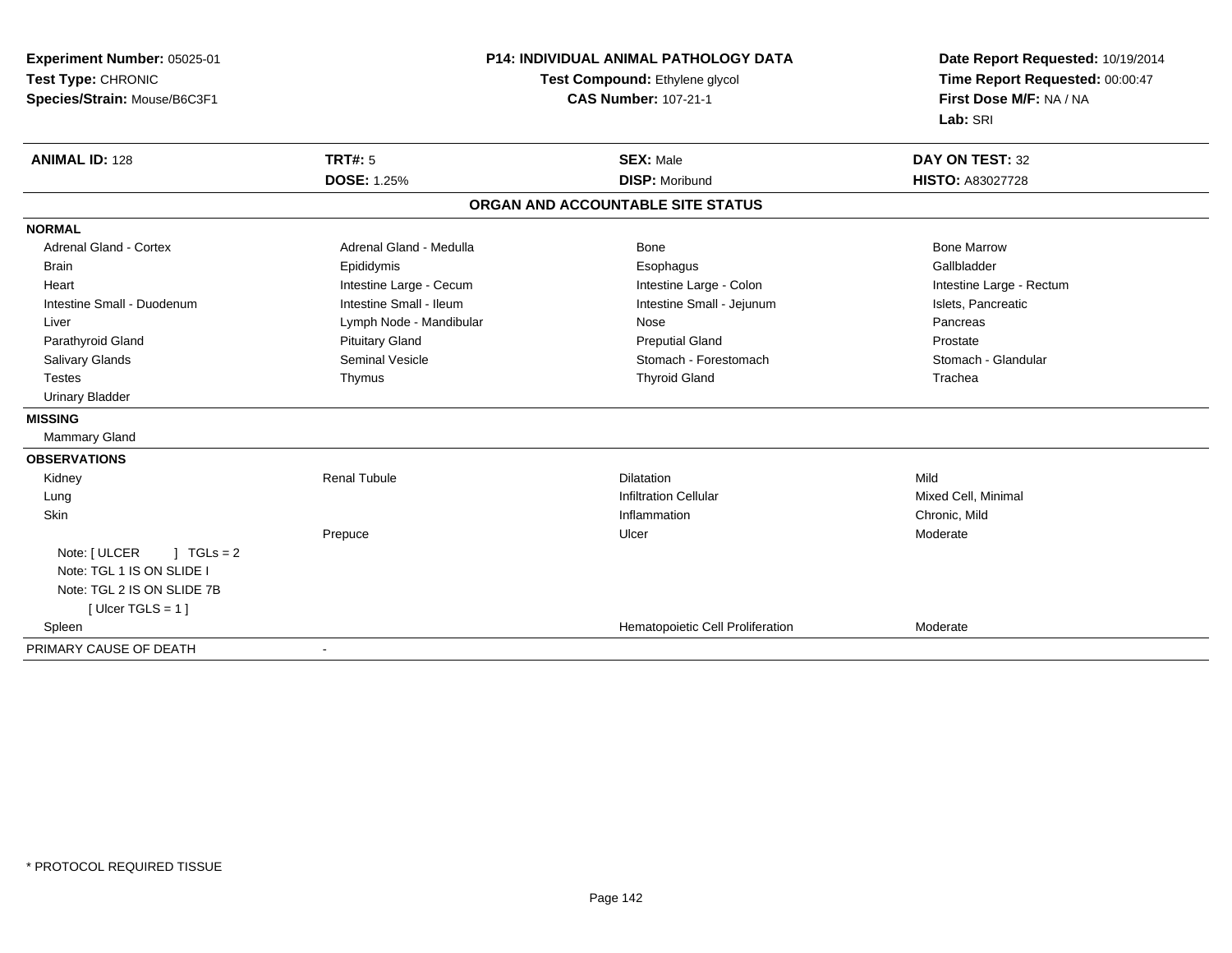| Experiment Number: 05025-01       | P14: INDIVIDUAL ANIMAL PATHOLOGY DATA<br>Test Compound: Ethylene glycol |                                   | Date Report Requested: 10/19/2014<br>Time Report Requested: 00:00:47 |
|-----------------------------------|-------------------------------------------------------------------------|-----------------------------------|----------------------------------------------------------------------|
| Test Type: CHRONIC                |                                                                         |                                   |                                                                      |
| Species/Strain: Mouse/B6C3F1      |                                                                         | <b>CAS Number: 107-21-1</b>       | First Dose M/F: NA / NA                                              |
|                                   |                                                                         |                                   | Lab: SRI                                                             |
| <b>ANIMAL ID: 128</b>             | <b>TRT#: 5</b>                                                          | <b>SEX: Male</b>                  | <b>DAY ON TEST: 32</b>                                               |
|                                   | <b>DOSE: 1.25%</b>                                                      | <b>DISP: Moribund</b>             | HISTO: A83027728                                                     |
|                                   |                                                                         | ORGAN AND ACCOUNTABLE SITE STATUS |                                                                      |
| <b>NORMAL</b>                     |                                                                         |                                   |                                                                      |
| <b>Adrenal Gland - Cortex</b>     | Adrenal Gland - Medulla                                                 | Bone                              | <b>Bone Marrow</b>                                                   |
| <b>Brain</b>                      | Epididymis                                                              | Esophagus                         | Gallbladder                                                          |
| Heart                             | Intestine Large - Cecum                                                 | Intestine Large - Colon           | Intestine Large - Rectum                                             |
| Intestine Small - Duodenum        | Intestine Small - Ileum                                                 | Intestine Small - Jejunum         | Islets, Pancreatic                                                   |
| Liver                             | Lymph Node - Mandibular                                                 | Nose                              | Pancreas                                                             |
| Parathyroid Gland                 | <b>Pituitary Gland</b>                                                  | <b>Preputial Gland</b>            | Prostate                                                             |
| Salivary Glands                   | Seminal Vesicle                                                         | Stomach - Forestomach             | Stomach - Glandular                                                  |
| <b>Testes</b>                     | Thymus                                                                  | <b>Thyroid Gland</b>              | Trachea                                                              |
| <b>Urinary Bladder</b>            |                                                                         |                                   |                                                                      |
| <b>MISSING</b>                    |                                                                         |                                   |                                                                      |
| <b>Mammary Gland</b>              |                                                                         |                                   |                                                                      |
| <b>OBSERVATIONS</b>               |                                                                         |                                   |                                                                      |
| Kidney                            | <b>Renal Tubule</b>                                                     | <b>Dilatation</b>                 | Mild                                                                 |
| Lung                              |                                                                         | <b>Infiltration Cellular</b>      | Mixed Cell, Minimal                                                  |
| Skin                              |                                                                         | Inflammation                      | Chronic, Mild                                                        |
|                                   | Prepuce                                                                 | Ulcer                             | Moderate                                                             |
| Note: [ ULCER<br>$\vert$ TGLs = 2 |                                                                         |                                   |                                                                      |
| Note: TGL 1 IS ON SLIDE I         |                                                                         |                                   |                                                                      |
| Note: TGL 2 IS ON SLIDE 7B        |                                                                         |                                   |                                                                      |
| [Ulcer TGLS = 1]                  |                                                                         |                                   |                                                                      |
| Spleen                            |                                                                         | Hematopoietic Cell Proliferation  | Moderate                                                             |
| PRIMARY CAUSE OF DEATH            | $\blacksquare$                                                          |                                   |                                                                      |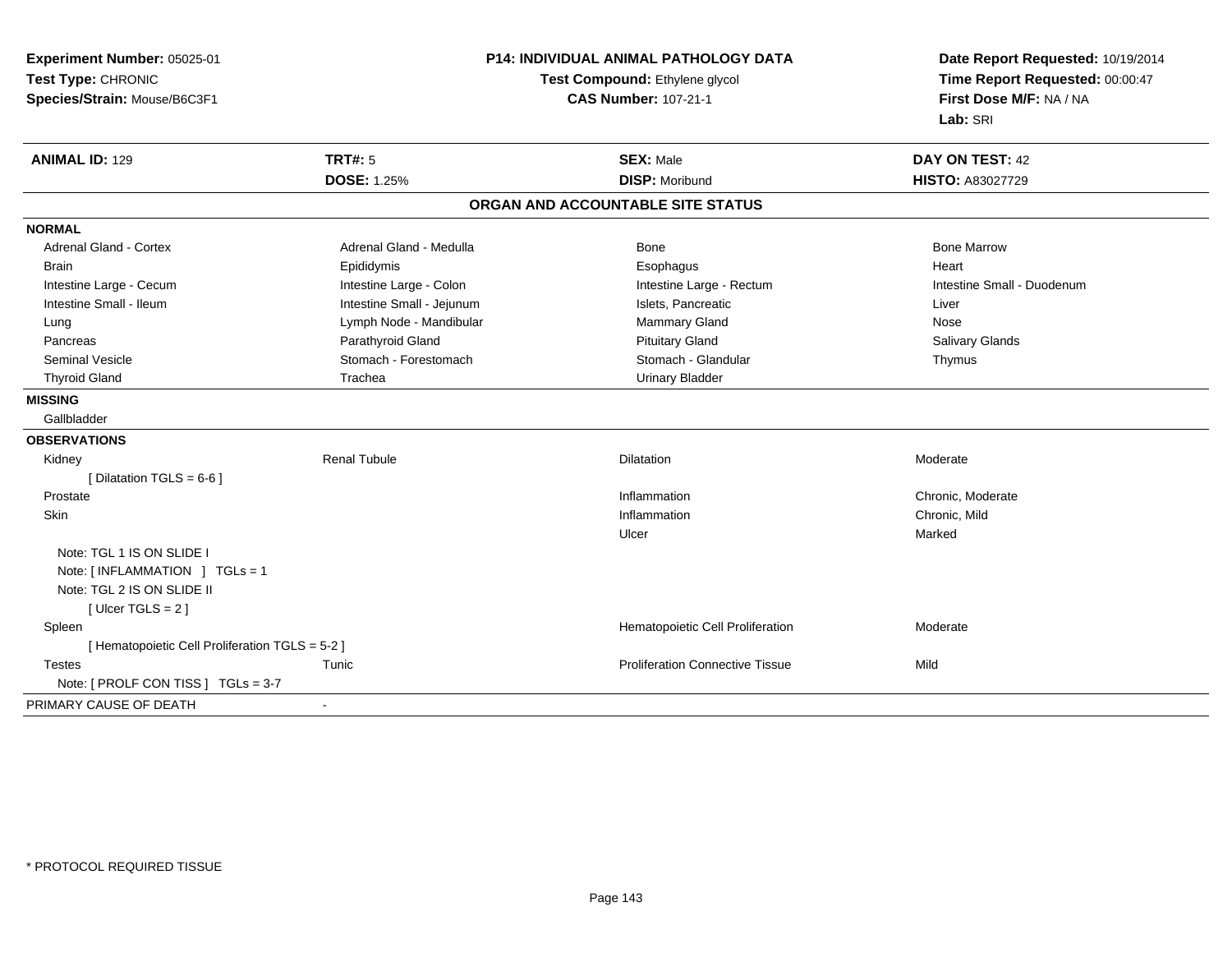| Experiment Number: 05025-01                     | P14: INDIVIDUAL ANIMAL PATHOLOGY DATA<br>Test Compound: Ethylene glycol |                                        | Date Report Requested: 10/19/2014<br>Time Report Requested: 00:00:47 |
|-------------------------------------------------|-------------------------------------------------------------------------|----------------------------------------|----------------------------------------------------------------------|
| Test Type: CHRONIC                              |                                                                         |                                        |                                                                      |
| Species/Strain: Mouse/B6C3F1                    |                                                                         | <b>CAS Number: 107-21-1</b>            | First Dose M/F: NA / NA                                              |
|                                                 |                                                                         |                                        | Lab: SRI                                                             |
| <b>ANIMAL ID: 129</b>                           | <b>TRT#: 5</b>                                                          | <b>SEX: Male</b>                       | DAY ON TEST: 42                                                      |
|                                                 | <b>DOSE: 1.25%</b>                                                      | <b>DISP: Moribund</b>                  | HISTO: A83027729                                                     |
|                                                 |                                                                         | ORGAN AND ACCOUNTABLE SITE STATUS      |                                                                      |
| <b>NORMAL</b>                                   |                                                                         |                                        |                                                                      |
| Adrenal Gland - Cortex                          | Adrenal Gland - Medulla                                                 | Bone                                   | <b>Bone Marrow</b>                                                   |
| <b>Brain</b>                                    | Epididymis                                                              | Esophagus                              | Heart                                                                |
| Intestine Large - Cecum                         | Intestine Large - Colon                                                 | Intestine Large - Rectum               | Intestine Small - Duodenum                                           |
| Intestine Small - Ileum                         | Intestine Small - Jejunum                                               | Islets, Pancreatic                     | Liver                                                                |
| Lung                                            | Lymph Node - Mandibular                                                 | Mammary Gland                          | Nose                                                                 |
| Pancreas                                        | Parathyroid Gland                                                       | <b>Pituitary Gland</b>                 | <b>Salivary Glands</b>                                               |
| <b>Seminal Vesicle</b>                          | Stomach - Forestomach                                                   | Stomach - Glandular                    | Thymus                                                               |
| <b>Thyroid Gland</b>                            | Trachea                                                                 | <b>Urinary Bladder</b>                 |                                                                      |
| <b>MISSING</b>                                  |                                                                         |                                        |                                                                      |
| Gallbladder                                     |                                                                         |                                        |                                                                      |
| <b>OBSERVATIONS</b>                             |                                                                         |                                        |                                                                      |
| Kidney                                          | <b>Renal Tubule</b>                                                     | Dilatation                             | Moderate                                                             |
| [ Dilatation TGLS = $6-6$ ]                     |                                                                         |                                        |                                                                      |
| Prostate                                        |                                                                         | Inflammation                           | Chronic, Moderate                                                    |
| Skin                                            |                                                                         | Inflammation                           | Chronic, Mild                                                        |
|                                                 |                                                                         | Ulcer                                  | Marked                                                               |
| Note: TGL 1 IS ON SLIDE I                       |                                                                         |                                        |                                                                      |
| Note: [ INFLAMMATION ] TGLs = 1                 |                                                                         |                                        |                                                                      |
| Note: TGL 2 IS ON SLIDE II                      |                                                                         |                                        |                                                                      |
| [Ulcer TGLS = $2$ ]                             |                                                                         |                                        |                                                                      |
| Spleen                                          |                                                                         | Hematopoietic Cell Proliferation       | Moderate                                                             |
| [ Hematopoietic Cell Proliferation TGLS = 5-2 ] |                                                                         |                                        |                                                                      |
| <b>Testes</b>                                   | Tunic                                                                   | <b>Proliferation Connective Tissue</b> | Mild                                                                 |
| Note: [ PROLF CON TISS ] TGLs = 3-7             |                                                                         |                                        |                                                                      |
| PRIMARY CAUSE OF DEATH                          |                                                                         |                                        |                                                                      |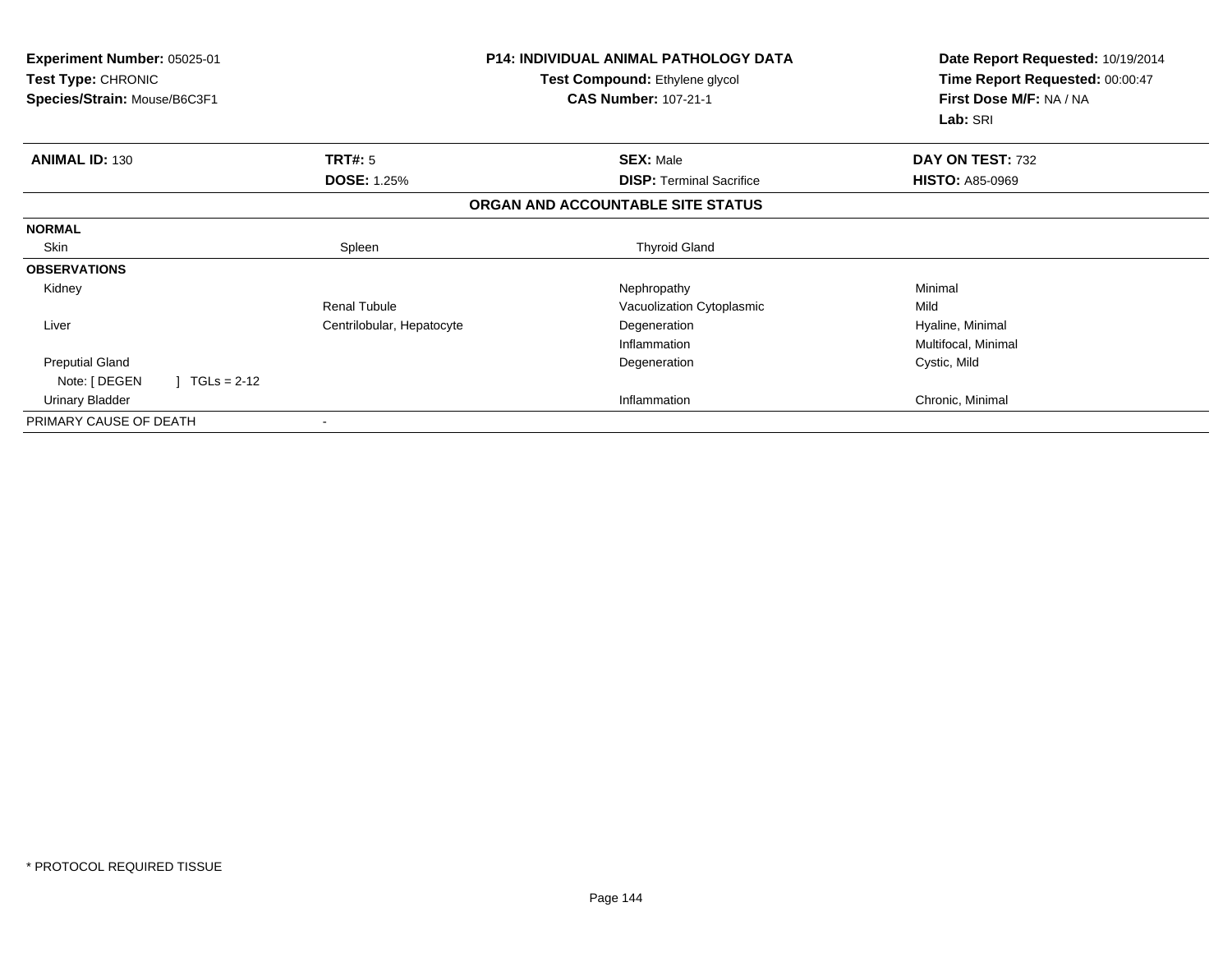| Experiment Number: 05025-01<br><b>Test Type: CHRONIC</b><br>Species/Strain: Mouse/B6C3F1 |                           | <b>P14: INDIVIDUAL ANIMAL PATHOLOGY DATA</b><br>Test Compound: Ethylene glycol<br><b>CAS Number: 107-21-1</b> | Date Report Requested: 10/19/2014<br>Time Report Requested: 00:00:47<br>First Dose M/F: NA / NA<br>Lab: SRI |
|------------------------------------------------------------------------------------------|---------------------------|---------------------------------------------------------------------------------------------------------------|-------------------------------------------------------------------------------------------------------------|
| <b>ANIMAL ID: 130</b>                                                                    | TRT#: 5                   | <b>SEX: Male</b>                                                                                              | DAY ON TEST: 732                                                                                            |
|                                                                                          | <b>DOSE: 1.25%</b>        | <b>DISP: Terminal Sacrifice</b>                                                                               | <b>HISTO: A85-0969</b>                                                                                      |
|                                                                                          |                           | ORGAN AND ACCOUNTABLE SITE STATUS                                                                             |                                                                                                             |
| <b>NORMAL</b>                                                                            |                           |                                                                                                               |                                                                                                             |
| Skin                                                                                     | Spleen                    | <b>Thyroid Gland</b>                                                                                          |                                                                                                             |
| <b>OBSERVATIONS</b>                                                                      |                           |                                                                                                               |                                                                                                             |
| Kidney                                                                                   |                           | Nephropathy                                                                                                   | Minimal                                                                                                     |
|                                                                                          | <b>Renal Tubule</b>       | Vacuolization Cytoplasmic                                                                                     | Mild                                                                                                        |
| Liver                                                                                    | Centrilobular, Hepatocyte | Degeneration                                                                                                  | Hyaline, Minimal                                                                                            |
|                                                                                          |                           | Inflammation                                                                                                  | Multifocal, Minimal                                                                                         |
| <b>Preputial Gland</b>                                                                   |                           | Degeneration                                                                                                  | Cystic, Mild                                                                                                |
| Note: [ DEGEN<br>$TGLs = 2-12$                                                           |                           |                                                                                                               |                                                                                                             |
| <b>Urinary Bladder</b>                                                                   |                           | Inflammation                                                                                                  | Chronic, Minimal                                                                                            |
| PRIMARY CAUSE OF DEATH                                                                   |                           |                                                                                                               |                                                                                                             |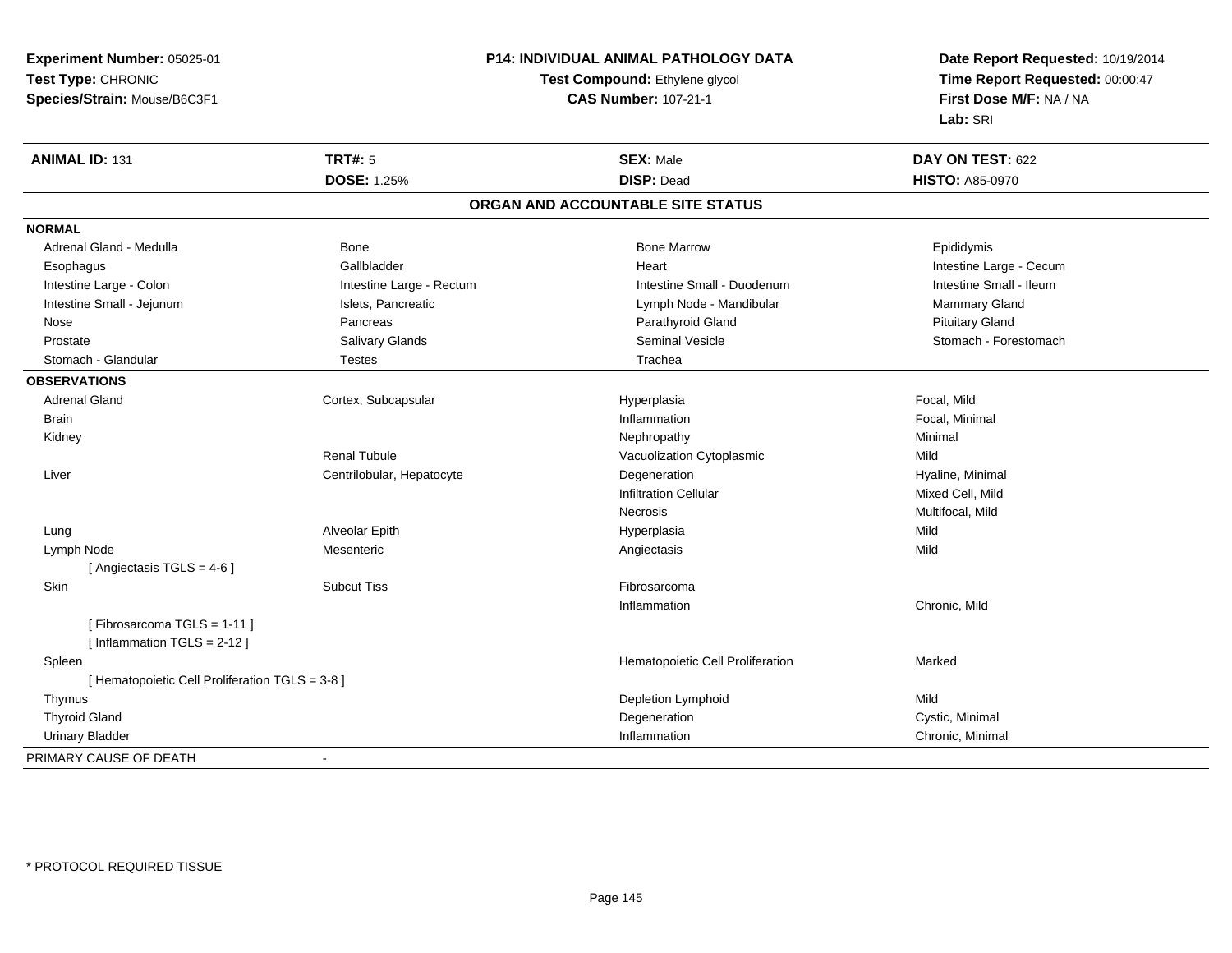**Experiment Number:** 05025-01**Test Type:** CHRONIC**Species/Strain:** Mouse/B6C3F1

## **P14: INDIVIDUAL ANIMAL PATHOLOGY DATA**

## **Test Compound:** Ethylene glycol **CAS Number:** 107-21-1

**Date Report Requested:** 10/19/2014 **Time Report Requested:** 00:00:47**First Dose M/F:** NA / NA**Lab:** SRI

| <b>ANIMAL ID: 131</b>                           | <b>TRT#: 5</b>            | <b>SEX: Male</b>                  | DAY ON TEST: 622        |
|-------------------------------------------------|---------------------------|-----------------------------------|-------------------------|
|                                                 | <b>DOSE: 1.25%</b>        | <b>DISP: Dead</b>                 | <b>HISTO: A85-0970</b>  |
|                                                 |                           | ORGAN AND ACCOUNTABLE SITE STATUS |                         |
| <b>NORMAL</b>                                   |                           |                                   |                         |
| Adrenal Gland - Medulla                         | <b>Bone</b>               | <b>Bone Marrow</b>                | Epididymis              |
| Esophagus                                       | Gallbladder               | Heart                             | Intestine Large - Cecum |
| Intestine Large - Colon                         | Intestine Large - Rectum  | Intestine Small - Duodenum        | Intestine Small - Ileum |
| Intestine Small - Jejunum                       | Islets, Pancreatic        | Lymph Node - Mandibular           | Mammary Gland           |
| Nose                                            | Pancreas                  | Parathyroid Gland                 | <b>Pituitary Gland</b>  |
| Prostate                                        | Salivary Glands           | <b>Seminal Vesicle</b>            | Stomach - Forestomach   |
| Stomach - Glandular                             | Testes                    | Trachea                           |                         |
| <b>OBSERVATIONS</b>                             |                           |                                   |                         |
| <b>Adrenal Gland</b>                            | Cortex, Subcapsular       | Hyperplasia                       | Focal, Mild             |
| <b>Brain</b>                                    |                           | Inflammation                      | Focal, Minimal          |
| Kidney                                          |                           | Nephropathy                       | Minimal                 |
|                                                 | <b>Renal Tubule</b>       | Vacuolization Cytoplasmic         | Mild                    |
| Liver                                           | Centrilobular, Hepatocyte | Degeneration                      | Hyaline, Minimal        |
|                                                 |                           | <b>Infiltration Cellular</b>      | Mixed Cell, Mild        |
|                                                 |                           | Necrosis                          | Multifocal, Mild        |
| Lung                                            | Alveolar Epith            | Hyperplasia                       | Mild                    |
| Lymph Node                                      | Mesenteric                | Angiectasis                       | Mild                    |
| [Angiectasis TGLS = 4-6]                        |                           |                                   |                         |
| Skin                                            | <b>Subcut Tiss</b>        | Fibrosarcoma                      |                         |
|                                                 |                           | Inflammation                      | Chronic, Mild           |
| [Fibrosarcoma TGLS = 1-11]                      |                           |                                   |                         |
| [Inflammation TGLS = $2-12$ ]                   |                           |                                   |                         |
| Spleen                                          |                           | Hematopoietic Cell Proliferation  | Marked                  |
| [ Hematopoietic Cell Proliferation TGLS = 3-8 ] |                           |                                   |                         |
| Thymus                                          |                           | Depletion Lymphoid                | Mild                    |
| <b>Thyroid Gland</b>                            |                           | Degeneration                      | Cystic, Minimal         |
| <b>Urinary Bladder</b>                          |                           | Inflammation                      | Chronic, Minimal        |
| PRIMARY CAUSE OF DEATH                          | $\overline{\phantom{a}}$  |                                   |                         |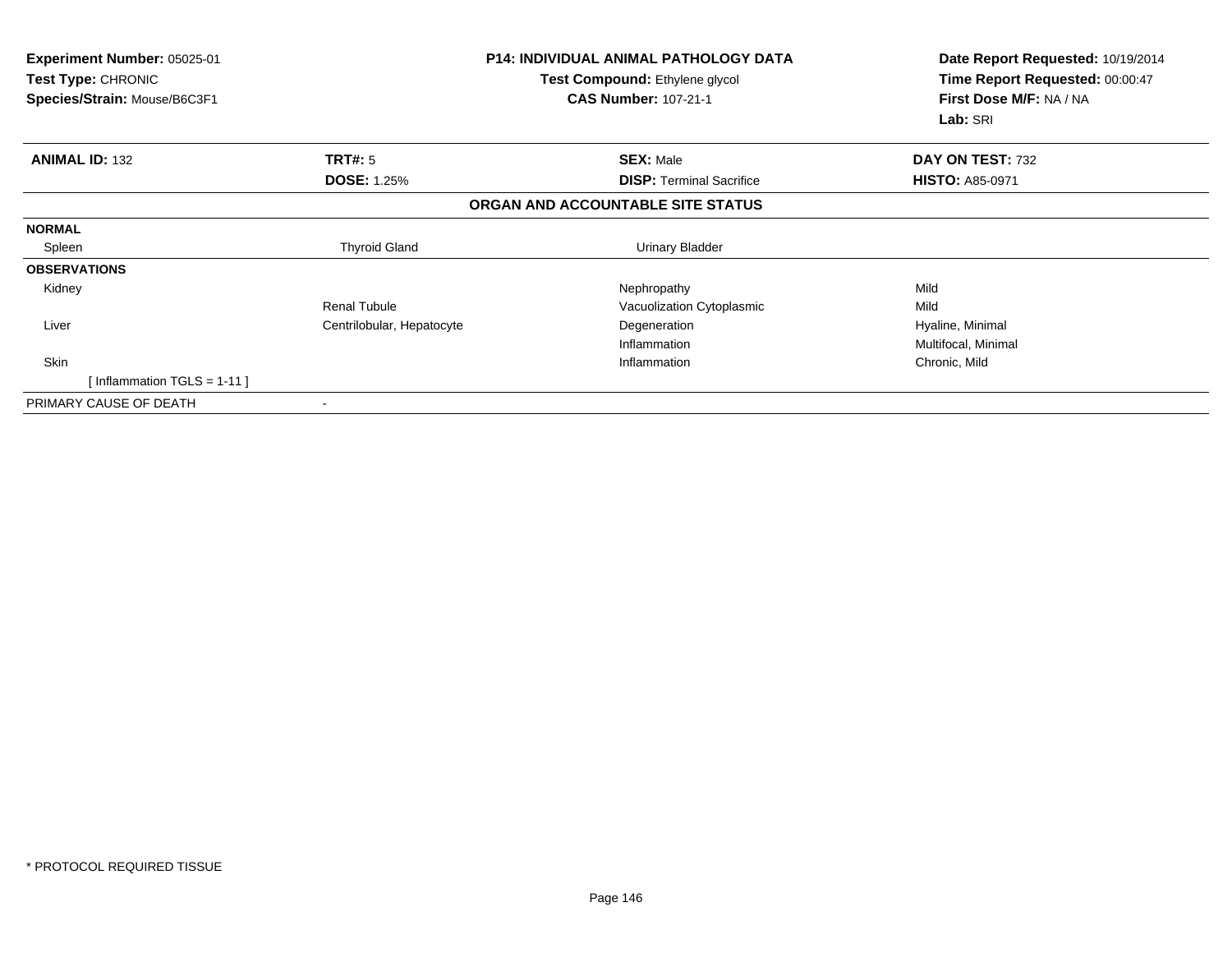| <b>Experiment Number: 05025-01</b><br>Test Type: CHRONIC<br>Species/Strain: Mouse/B6C3F1<br><b>CAS Number: 107-21-1</b> |                           | <b>P14: INDIVIDUAL ANIMAL PATHOLOGY DATA</b><br>Test Compound: Ethylene glycol | Date Report Requested: 10/19/2014<br>Time Report Requested: 00:00:47<br>First Dose M/F: NA / NA<br>Lab: SRI |
|-------------------------------------------------------------------------------------------------------------------------|---------------------------|--------------------------------------------------------------------------------|-------------------------------------------------------------------------------------------------------------|
| <b>ANIMAL ID: 132</b>                                                                                                   | TRT#: 5                   | <b>SEX: Male</b>                                                               | DAY ON TEST: 732                                                                                            |
|                                                                                                                         | <b>DOSE: 1.25%</b>        | <b>DISP:</b> Terminal Sacrifice                                                | <b>HISTO: A85-0971</b>                                                                                      |
|                                                                                                                         |                           | ORGAN AND ACCOUNTABLE SITE STATUS                                              |                                                                                                             |
| <b>NORMAL</b>                                                                                                           |                           |                                                                                |                                                                                                             |
| Spleen                                                                                                                  | <b>Thyroid Gland</b>      | Urinary Bladder                                                                |                                                                                                             |
| <b>OBSERVATIONS</b>                                                                                                     |                           |                                                                                |                                                                                                             |
| Kidney                                                                                                                  |                           | Nephropathy                                                                    | Mild                                                                                                        |
|                                                                                                                         | <b>Renal Tubule</b>       | Vacuolization Cytoplasmic                                                      | Mild                                                                                                        |
| Liver                                                                                                                   | Centrilobular, Hepatocyte | Degeneration                                                                   | Hyaline, Minimal                                                                                            |
|                                                                                                                         |                           | Inflammation                                                                   | Multifocal, Minimal                                                                                         |
| Skin                                                                                                                    |                           | Inflammation                                                                   | Chronic, Mild                                                                                               |
| [Inflammation TGLS = $1-11$ ]                                                                                           |                           |                                                                                |                                                                                                             |
| PRIMARY CAUSE OF DEATH                                                                                                  |                           |                                                                                |                                                                                                             |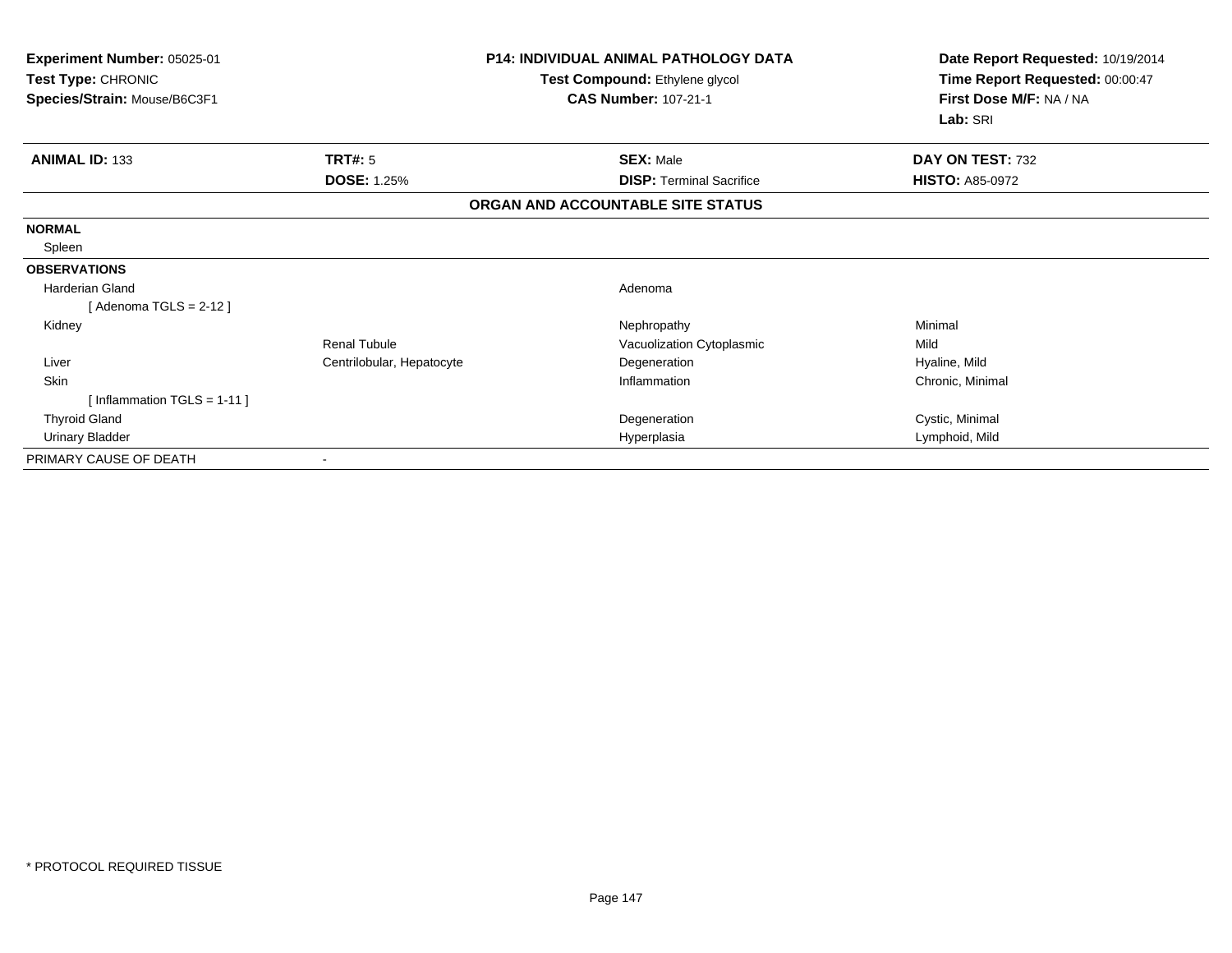| Experiment Number: 05025-01<br>Test Type: CHRONIC<br>Species/Strain: Mouse/B6C3F1 |                           | <b>P14: INDIVIDUAL ANIMAL PATHOLOGY DATA</b><br>Test Compound: Ethylene glycol<br><b>CAS Number: 107-21-1</b> | Date Report Requested: 10/19/2014<br>Time Report Requested: 00:00:47<br>First Dose M/F: NA / NA |
|-----------------------------------------------------------------------------------|---------------------------|---------------------------------------------------------------------------------------------------------------|-------------------------------------------------------------------------------------------------|
|                                                                                   |                           |                                                                                                               | Lab: SRI                                                                                        |
| <b>ANIMAL ID: 133</b>                                                             | TRT#: 5                   | <b>SEX: Male</b>                                                                                              | DAY ON TEST: 732                                                                                |
|                                                                                   | <b>DOSE: 1.25%</b>        | <b>DISP: Terminal Sacrifice</b>                                                                               | <b>HISTO: A85-0972</b>                                                                          |
|                                                                                   |                           | ORGAN AND ACCOUNTABLE SITE STATUS                                                                             |                                                                                                 |
| <b>NORMAL</b>                                                                     |                           |                                                                                                               |                                                                                                 |
| Spleen                                                                            |                           |                                                                                                               |                                                                                                 |
| <b>OBSERVATIONS</b>                                                               |                           |                                                                                                               |                                                                                                 |
| <b>Harderian Gland</b>                                                            |                           | Adenoma                                                                                                       |                                                                                                 |
| [Adenoma TGLS = $2-12$ ]                                                          |                           |                                                                                                               |                                                                                                 |
| Kidney                                                                            |                           | Nephropathy                                                                                                   | Minimal                                                                                         |
|                                                                                   | Renal Tubule              | Vacuolization Cytoplasmic                                                                                     | Mild                                                                                            |
| Liver                                                                             | Centrilobular, Hepatocyte | Degeneration                                                                                                  | Hyaline, Mild                                                                                   |
| Skin                                                                              |                           | Inflammation                                                                                                  | Chronic, Minimal                                                                                |
| [Inflammation TGLS = $1-11$ ]                                                     |                           |                                                                                                               |                                                                                                 |
| <b>Thyroid Gland</b>                                                              |                           | Degeneration                                                                                                  | Cystic, Minimal                                                                                 |
| <b>Urinary Bladder</b>                                                            |                           | Hyperplasia                                                                                                   | Lymphoid, Mild                                                                                  |
| PRIMARY CAUSE OF DEATH                                                            |                           |                                                                                                               |                                                                                                 |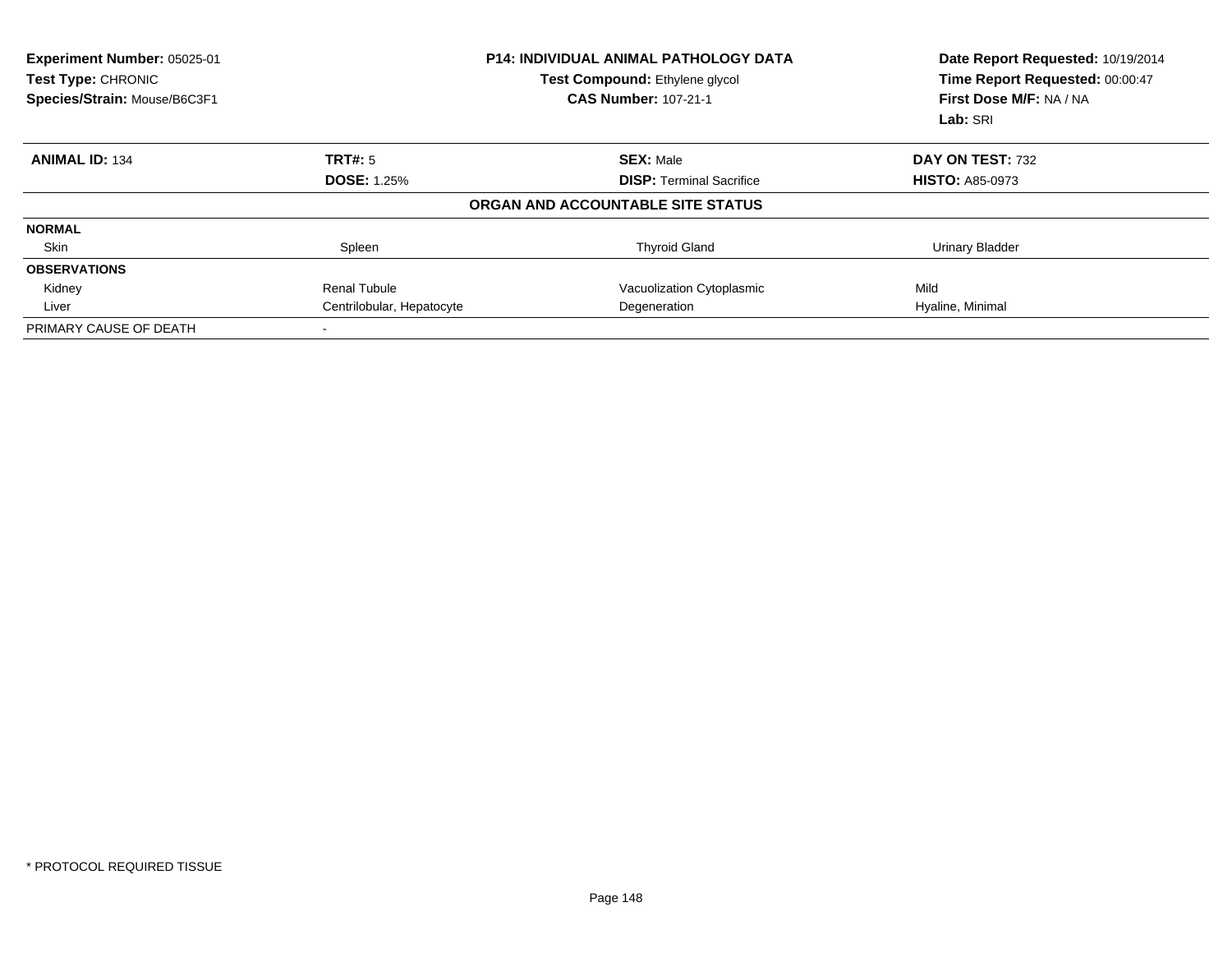| Experiment Number: 05025-01<br>Test Type: CHRONIC<br>Species/Strain: Mouse/B6C3F1 |                           | <b>P14: INDIVIDUAL ANIMAL PATHOLOGY DATA</b><br>Test Compound: Ethylene glycol<br><b>CAS Number: 107-21-1</b> | Date Report Requested: 10/19/2014<br>Time Report Requested: 00:00:47<br>First Dose M/F: NA / NA<br>Lab: SRI |
|-----------------------------------------------------------------------------------|---------------------------|---------------------------------------------------------------------------------------------------------------|-------------------------------------------------------------------------------------------------------------|
| <b>ANIMAL ID: 134</b>                                                             | <b>TRT#: 5</b>            | <b>SEX: Male</b>                                                                                              | DAY ON TEST: 732                                                                                            |
|                                                                                   | <b>DOSE: 1.25%</b>        | <b>DISP: Terminal Sacrifice</b>                                                                               | <b>HISTO: A85-0973</b>                                                                                      |
|                                                                                   |                           | ORGAN AND ACCOUNTABLE SITE STATUS                                                                             |                                                                                                             |
| <b>NORMAL</b>                                                                     |                           |                                                                                                               |                                                                                                             |
| Skin                                                                              | Spleen                    | <b>Thyroid Gland</b>                                                                                          | <b>Urinary Bladder</b>                                                                                      |
| <b>OBSERVATIONS</b>                                                               |                           |                                                                                                               |                                                                                                             |
| Kidney                                                                            | <b>Renal Tubule</b>       | Vacuolization Cytoplasmic                                                                                     | Mild                                                                                                        |
| Liver                                                                             | Centrilobular, Hepatocyte | Degeneration                                                                                                  | Hyaline, Minimal                                                                                            |
| PRIMARY CAUSE OF DEATH                                                            |                           |                                                                                                               |                                                                                                             |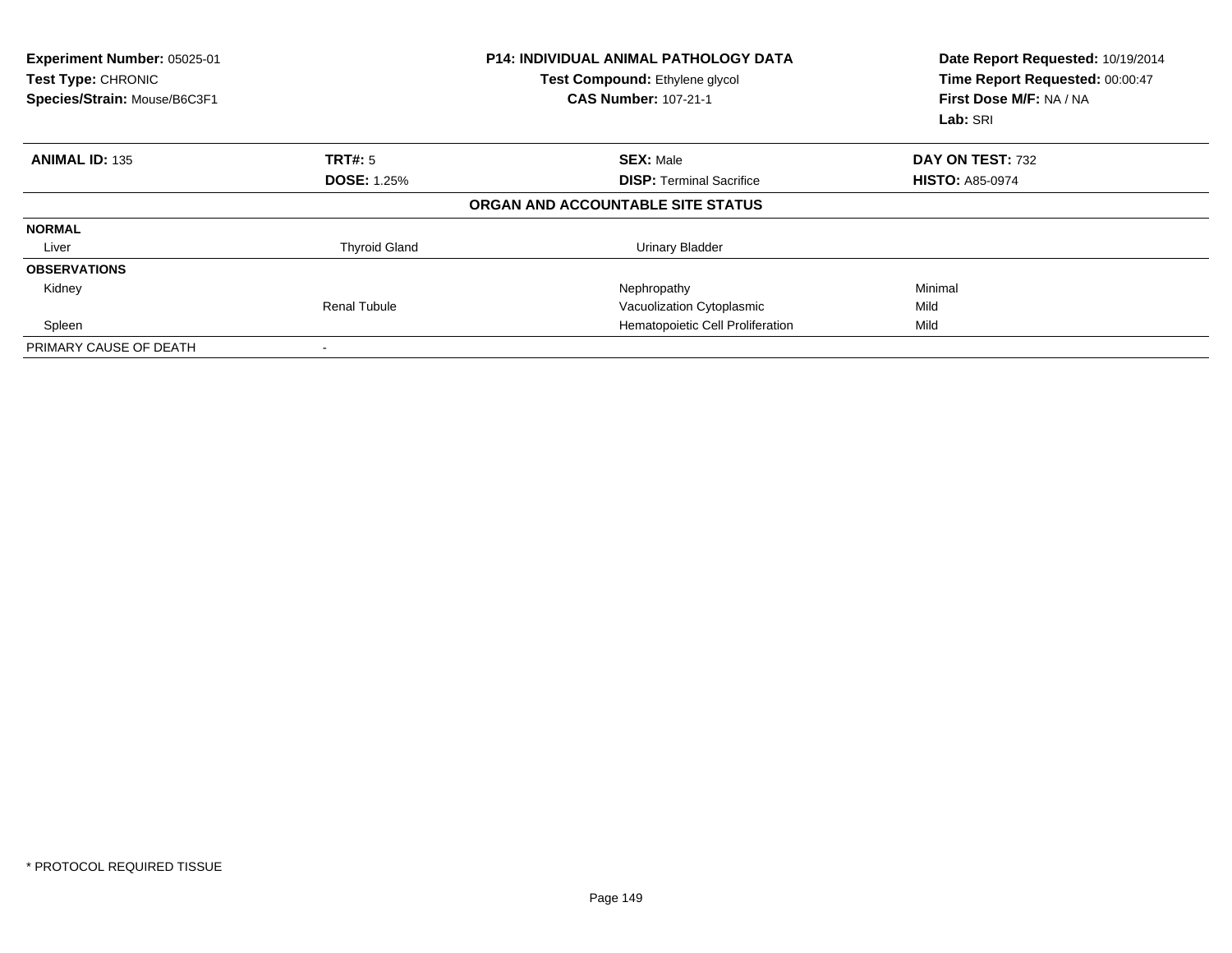| Experiment Number: 05025-01<br>Test Type: CHRONIC<br>Species/Strain: Mouse/B6C3F1 |                      | <b>P14: INDIVIDUAL ANIMAL PATHOLOGY DATA</b><br>Test Compound: Ethylene glycol<br><b>CAS Number: 107-21-1</b> | Date Report Requested: 10/19/2014<br>Time Report Requested: 00:00:47<br>First Dose M/F: NA / NA<br>Lab: SRI |
|-----------------------------------------------------------------------------------|----------------------|---------------------------------------------------------------------------------------------------------------|-------------------------------------------------------------------------------------------------------------|
| <b>ANIMAL ID: 135</b>                                                             | TRT#: 5              | <b>SEX: Male</b>                                                                                              | DAY ON TEST: 732                                                                                            |
|                                                                                   | <b>DOSE: 1.25%</b>   | <b>DISP:</b> Terminal Sacrifice                                                                               | <b>HISTO: A85-0974</b>                                                                                      |
|                                                                                   |                      | ORGAN AND ACCOUNTABLE SITE STATUS                                                                             |                                                                                                             |
| <b>NORMAL</b>                                                                     |                      |                                                                                                               |                                                                                                             |
| Liver                                                                             | <b>Thyroid Gland</b> | Urinary Bladder                                                                                               |                                                                                                             |
| <b>OBSERVATIONS</b>                                                               |                      |                                                                                                               |                                                                                                             |
| Kidney                                                                            |                      | Nephropathy                                                                                                   | Minimal                                                                                                     |
|                                                                                   | <b>Renal Tubule</b>  | Vacuolization Cytoplasmic                                                                                     | Mild                                                                                                        |
| Spleen                                                                            |                      | Hematopoietic Cell Proliferation                                                                              | Mild                                                                                                        |
| PRIMARY CAUSE OF DEATH                                                            |                      |                                                                                                               |                                                                                                             |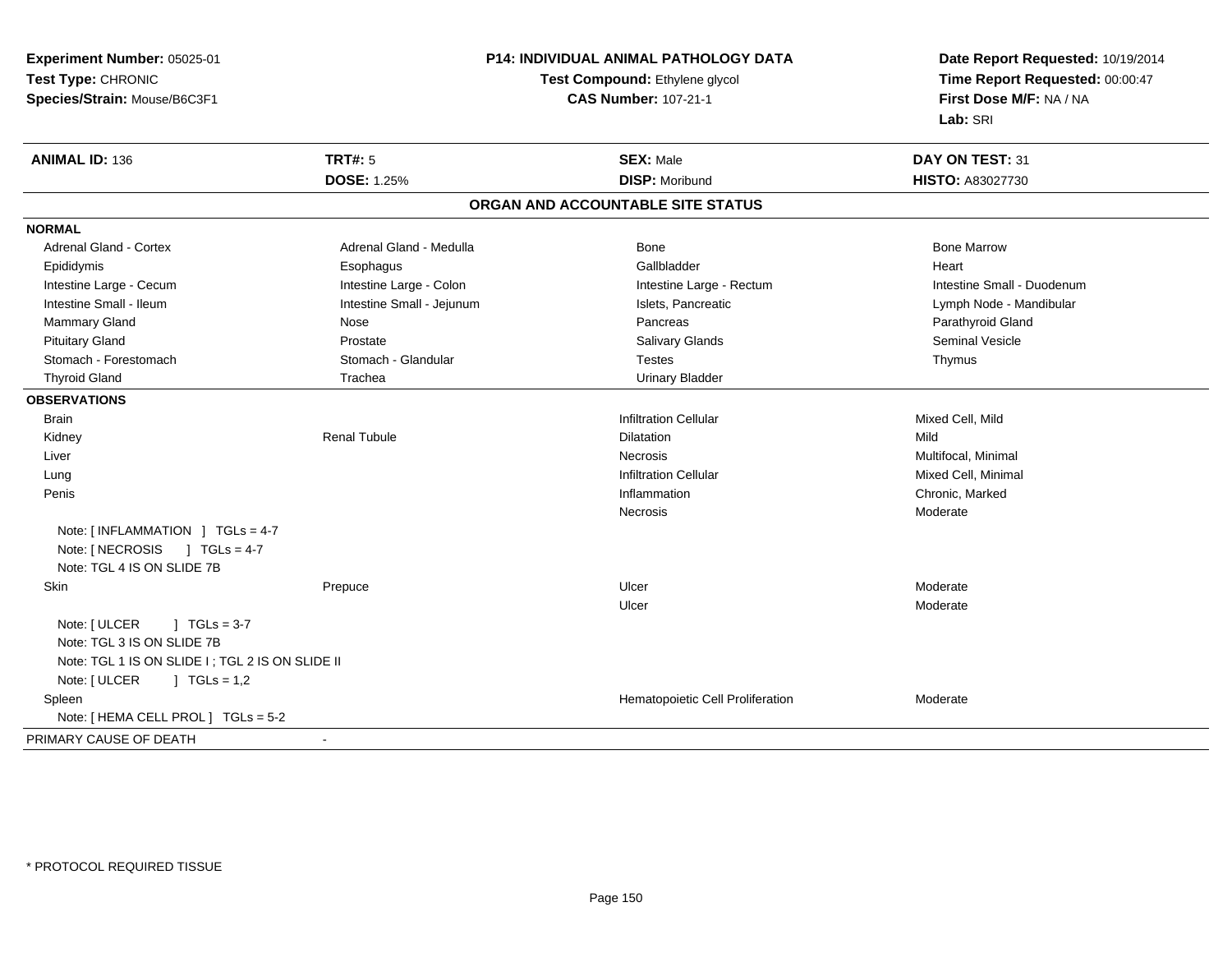**Experiment Number:** 05025-01**Test Type:** CHRONIC**Species/Strain:** Mouse/B6C3F1

## **P14: INDIVIDUAL ANIMAL PATHOLOGY DATA**

## **Test Compound:** Ethylene glycol **CAS Number:** 107-21-1

**Date Report Requested:** 10/19/2014**Time Report Requested:** 00:00:47**First Dose M/F:** NA / NA**Lab:** SRI

| <b>ANIMAL ID: 136</b>                           | <b>TRT#: 5</b>            | <b>SEX: Male</b>                  | DAY ON TEST: 31            |
|-------------------------------------------------|---------------------------|-----------------------------------|----------------------------|
|                                                 | <b>DOSE: 1.25%</b>        | <b>DISP: Moribund</b>             | <b>HISTO: A83027730</b>    |
|                                                 |                           | ORGAN AND ACCOUNTABLE SITE STATUS |                            |
| <b>NORMAL</b>                                   |                           |                                   |                            |
| <b>Adrenal Gland - Cortex</b>                   | Adrenal Gland - Medulla   | Bone                              | <b>Bone Marrow</b>         |
| Epididymis                                      | Esophagus                 | Gallbladder                       | Heart                      |
| Intestine Large - Cecum                         | Intestine Large - Colon   | Intestine Large - Rectum          | Intestine Small - Duodenum |
| Intestine Small - Ileum                         | Intestine Small - Jejunum | Islets, Pancreatic                | Lymph Node - Mandibular    |
| Mammary Gland                                   | Nose                      | Pancreas                          | Parathyroid Gland          |
| <b>Pituitary Gland</b>                          | Prostate                  | <b>Salivary Glands</b>            | <b>Seminal Vesicle</b>     |
| Stomach - Forestomach                           | Stomach - Glandular       | <b>Testes</b>                     | Thymus                     |
| <b>Thyroid Gland</b>                            | Trachea                   | <b>Urinary Bladder</b>            |                            |
| <b>OBSERVATIONS</b>                             |                           |                                   |                            |
| <b>Brain</b>                                    |                           | <b>Infiltration Cellular</b>      | Mixed Cell, Mild           |
| Kidney                                          | <b>Renal Tubule</b>       | <b>Dilatation</b>                 | Mild                       |
| Liver                                           |                           | <b>Necrosis</b>                   | Multifocal, Minimal        |
| Lung                                            |                           | <b>Infiltration Cellular</b>      | Mixed Cell, Minimal        |
| Penis                                           |                           | Inflammation                      | Chronic, Marked            |
|                                                 |                           | <b>Necrosis</b>                   | Moderate                   |
| Note: [ INFLAMMATION ] TGLs = 4-7               |                           |                                   |                            |
| Note: [ NECROSIS<br>$1 TGLs = 4-7$              |                           |                                   |                            |
| Note: TGL 4 IS ON SLIDE 7B                      |                           |                                   |                            |
| Skin                                            | Prepuce                   | Ulcer                             | Moderate                   |
|                                                 |                           | Ulcer                             | Moderate                   |
| Note: [ ULCER<br>$1 TGLs = 3-7$                 |                           |                                   |                            |
| Note: TGL 3 IS ON SLIDE 7B                      |                           |                                   |                            |
| Note: TGL 1 IS ON SLIDE I; TGL 2 IS ON SLIDE II |                           |                                   |                            |
| Note: [ ULCER<br>$\int$ TGLs = 1,2              |                           |                                   |                            |
| Spleen                                          |                           | Hematopoietic Cell Proliferation  | Moderate                   |
| Note: [ HEMA CELL PROL ] TGLs = 5-2             |                           |                                   |                            |
| PRIMARY CAUSE OF DEATH                          | $\sim$                    |                                   |                            |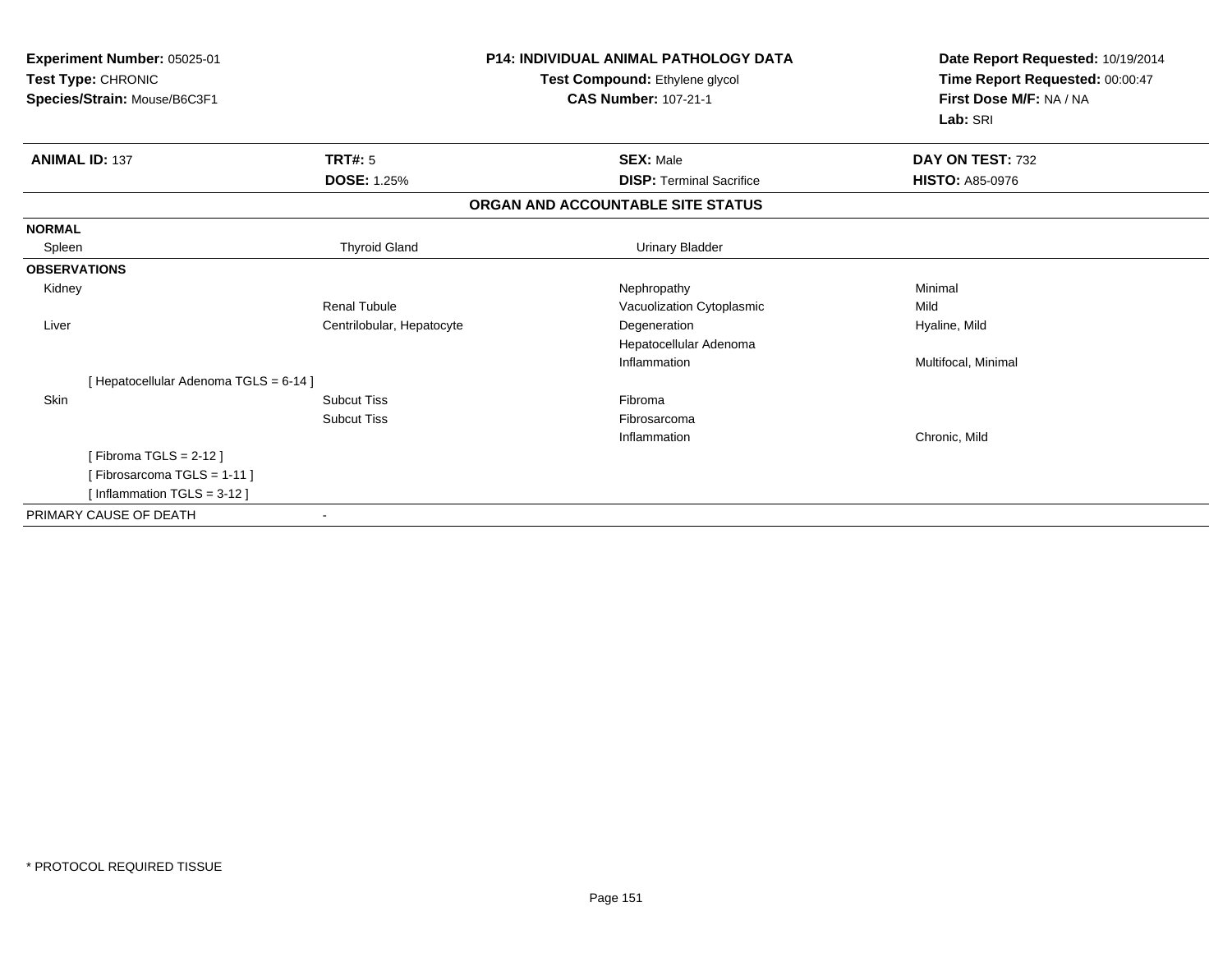| Experiment Number: 05025-01<br>Test Type: CHRONIC<br>Species/Strain: Mouse/B6C3F1 |                           | <b>P14: INDIVIDUAL ANIMAL PATHOLOGY DATA</b><br>Test Compound: Ethylene glycol<br><b>CAS Number: 107-21-1</b> | Date Report Requested: 10/19/2014<br>Time Report Requested: 00:00:47<br>First Dose M/F: NA / NA<br>Lab: SRI |
|-----------------------------------------------------------------------------------|---------------------------|---------------------------------------------------------------------------------------------------------------|-------------------------------------------------------------------------------------------------------------|
| <b>ANIMAL ID: 137</b>                                                             | <b>TRT#: 5</b>            | <b>SEX: Male</b>                                                                                              | DAY ON TEST: 732                                                                                            |
|                                                                                   | <b>DOSE: 1.25%</b>        | <b>DISP: Terminal Sacrifice</b>                                                                               | <b>HISTO: A85-0976</b>                                                                                      |
|                                                                                   |                           | ORGAN AND ACCOUNTABLE SITE STATUS                                                                             |                                                                                                             |
| <b>NORMAL</b>                                                                     |                           |                                                                                                               |                                                                                                             |
| Spleen                                                                            | <b>Thyroid Gland</b>      | <b>Urinary Bladder</b>                                                                                        |                                                                                                             |
| <b>OBSERVATIONS</b>                                                               |                           |                                                                                                               |                                                                                                             |
| Kidney                                                                            |                           | Nephropathy                                                                                                   | Minimal                                                                                                     |
|                                                                                   | <b>Renal Tubule</b>       | Vacuolization Cytoplasmic                                                                                     | Mild                                                                                                        |
| Liver                                                                             | Centrilobular, Hepatocyte | Degeneration                                                                                                  | Hyaline, Mild                                                                                               |
|                                                                                   |                           | Hepatocellular Adenoma                                                                                        |                                                                                                             |
|                                                                                   |                           | Inflammation                                                                                                  | Multifocal, Minimal                                                                                         |
| [Hepatocellular Adenoma TGLS = 6-14]                                              |                           |                                                                                                               |                                                                                                             |
| Skin                                                                              | <b>Subcut Tiss</b>        | Fibroma                                                                                                       |                                                                                                             |
|                                                                                   | <b>Subcut Tiss</b>        | Fibrosarcoma                                                                                                  |                                                                                                             |
|                                                                                   |                           | Inflammation                                                                                                  | Chronic, Mild                                                                                               |
| [Fibroma TGLS = $2-12$ ]                                                          |                           |                                                                                                               |                                                                                                             |
| [Fibrosarcoma TGLS = 1-11]                                                        |                           |                                                                                                               |                                                                                                             |
| [Inflammation TGLS = $3-12$ ]                                                     |                           |                                                                                                               |                                                                                                             |
| PRIMARY CAUSE OF DEATH                                                            | $\overline{\phantom{a}}$  |                                                                                                               |                                                                                                             |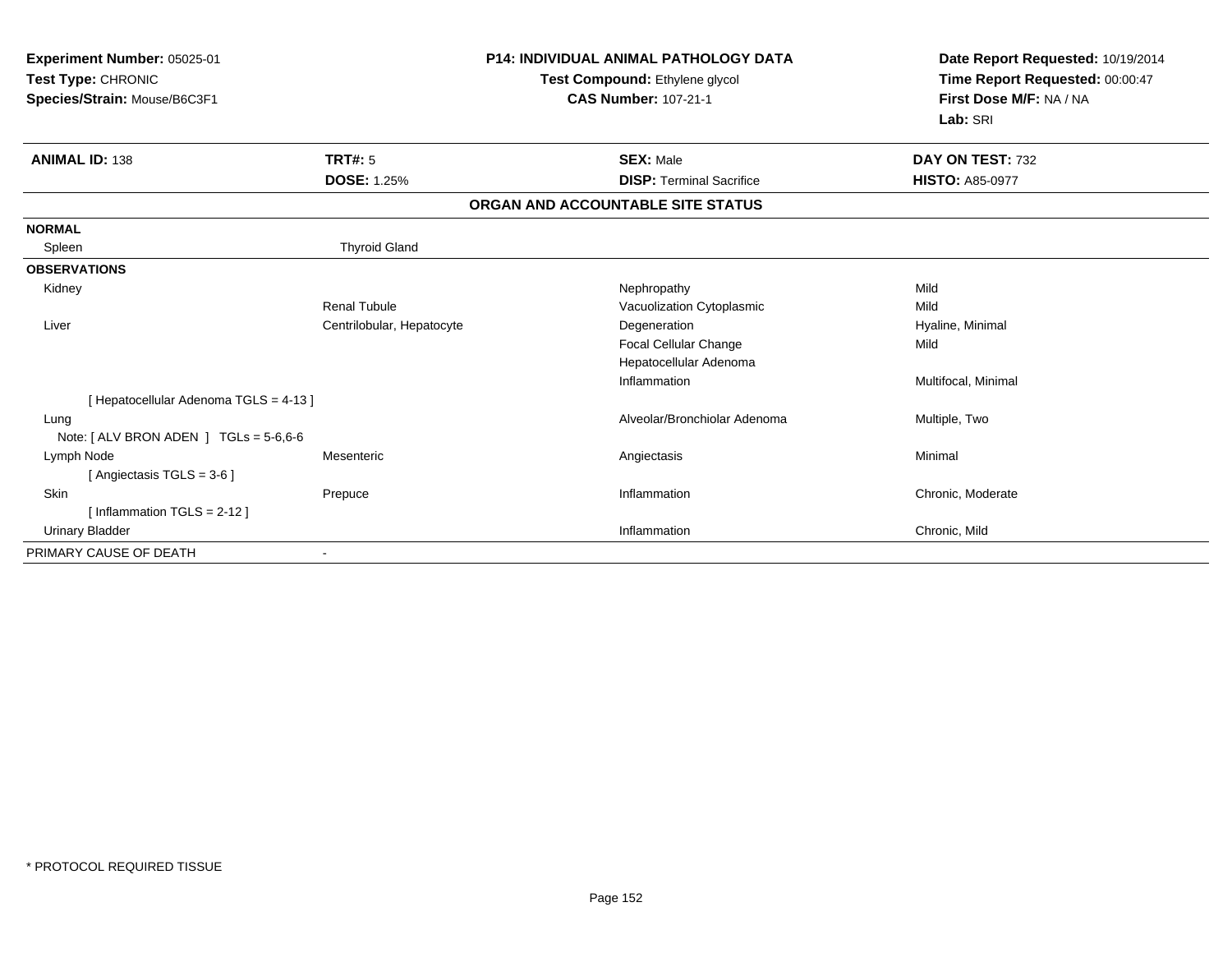| Experiment Number: 05025-01<br>Test Type: CHRONIC<br>Species/Strain: Mouse/B6C3F1 |                           | <b>P14: INDIVIDUAL ANIMAL PATHOLOGY DATA</b><br>Test Compound: Ethylene glycol<br><b>CAS Number: 107-21-1</b> | Date Report Requested: 10/19/2014<br>Time Report Requested: 00:00:47<br>First Dose M/F: NA / NA<br>Lab: SRI |
|-----------------------------------------------------------------------------------|---------------------------|---------------------------------------------------------------------------------------------------------------|-------------------------------------------------------------------------------------------------------------|
| <b>ANIMAL ID: 138</b>                                                             | <b>TRT#: 5</b>            | <b>SEX: Male</b>                                                                                              | DAY ON TEST: 732                                                                                            |
|                                                                                   | <b>DOSE: 1.25%</b>        | <b>DISP: Terminal Sacrifice</b>                                                                               | <b>HISTO: A85-0977</b>                                                                                      |
|                                                                                   |                           | ORGAN AND ACCOUNTABLE SITE STATUS                                                                             |                                                                                                             |
| <b>NORMAL</b>                                                                     |                           |                                                                                                               |                                                                                                             |
| Spleen                                                                            | <b>Thyroid Gland</b>      |                                                                                                               |                                                                                                             |
| <b>OBSERVATIONS</b>                                                               |                           |                                                                                                               |                                                                                                             |
| Kidney                                                                            |                           | Nephropathy                                                                                                   | Mild                                                                                                        |
|                                                                                   | <b>Renal Tubule</b>       | Vacuolization Cytoplasmic                                                                                     | Mild                                                                                                        |
| Liver                                                                             | Centrilobular, Hepatocyte | Degeneration                                                                                                  | Hyaline, Minimal                                                                                            |
|                                                                                   |                           | Focal Cellular Change                                                                                         | Mild                                                                                                        |
|                                                                                   |                           | Hepatocellular Adenoma                                                                                        |                                                                                                             |
|                                                                                   |                           | Inflammation                                                                                                  | Multifocal, Minimal                                                                                         |
| [Hepatocellular Adenoma TGLS = 4-13]                                              |                           |                                                                                                               |                                                                                                             |
| Lung                                                                              |                           | Alveolar/Bronchiolar Adenoma                                                                                  | Multiple, Two                                                                                               |
| Note: [ ALV BRON ADEN ] $TGLs = 5-6,6-6$                                          |                           |                                                                                                               |                                                                                                             |
| Lymph Node                                                                        | Mesenteric                | Angiectasis                                                                                                   | Minimal                                                                                                     |
| [Angiectasis TGLS = $3-6$ ]                                                       |                           |                                                                                                               |                                                                                                             |
| <b>Skin</b>                                                                       | Prepuce                   | Inflammation                                                                                                  | Chronic, Moderate                                                                                           |
| [Inflammation TGLS = $2-12$ ]                                                     |                           |                                                                                                               |                                                                                                             |
| <b>Urinary Bladder</b>                                                            |                           | Inflammation                                                                                                  | Chronic, Mild                                                                                               |
| PRIMARY CAUSE OF DEATH                                                            |                           |                                                                                                               |                                                                                                             |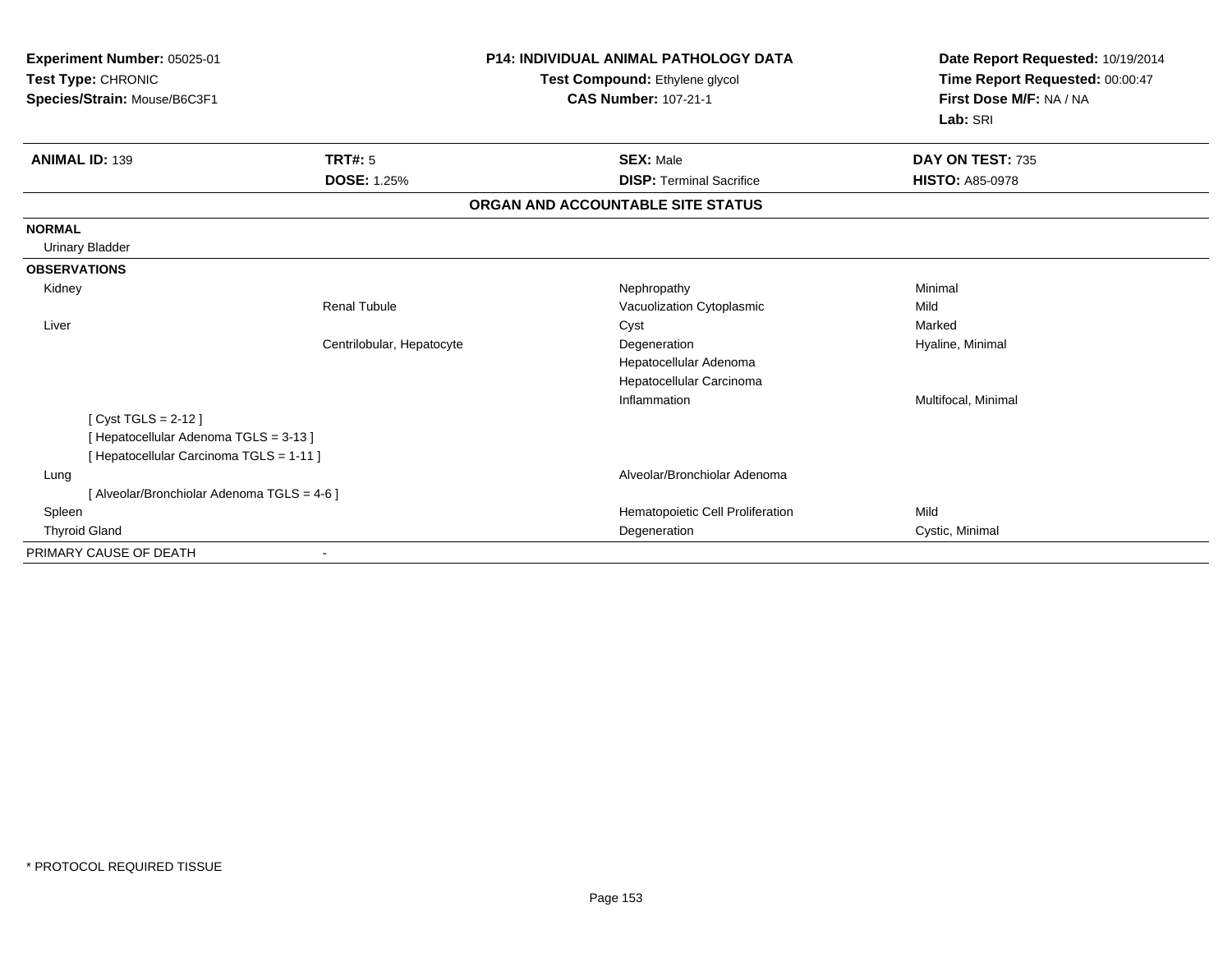| Experiment Number: 05025-01<br>Test Type: CHRONIC<br>Species/Strain: Mouse/B6C3F1 |                           | <b>P14: INDIVIDUAL ANIMAL PATHOLOGY DATA</b><br>Test Compound: Ethylene glycol<br><b>CAS Number: 107-21-1</b> | Date Report Requested: 10/19/2014<br>Time Report Requested: 00:00:47<br>First Dose M/F: NA / NA<br>Lab: SRI |
|-----------------------------------------------------------------------------------|---------------------------|---------------------------------------------------------------------------------------------------------------|-------------------------------------------------------------------------------------------------------------|
| <b>ANIMAL ID: 139</b>                                                             | <b>TRT#: 5</b>            | <b>SEX: Male</b>                                                                                              | DAY ON TEST: 735                                                                                            |
|                                                                                   | <b>DOSE: 1.25%</b>        | <b>DISP: Terminal Sacrifice</b>                                                                               | <b>HISTO: A85-0978</b>                                                                                      |
|                                                                                   |                           | ORGAN AND ACCOUNTABLE SITE STATUS                                                                             |                                                                                                             |
| <b>NORMAL</b>                                                                     |                           |                                                                                                               |                                                                                                             |
| <b>Urinary Bladder</b>                                                            |                           |                                                                                                               |                                                                                                             |
| <b>OBSERVATIONS</b>                                                               |                           |                                                                                                               |                                                                                                             |
| Kidney                                                                            |                           | Nephropathy                                                                                                   | Minimal                                                                                                     |
|                                                                                   | <b>Renal Tubule</b>       | Vacuolization Cytoplasmic                                                                                     | Mild                                                                                                        |
| Liver                                                                             |                           | Cyst                                                                                                          | Marked                                                                                                      |
|                                                                                   | Centrilobular, Hepatocyte | Degeneration                                                                                                  | Hyaline, Minimal                                                                                            |
|                                                                                   |                           | Hepatocellular Adenoma                                                                                        |                                                                                                             |
|                                                                                   |                           | Hepatocellular Carcinoma                                                                                      |                                                                                                             |
|                                                                                   |                           | Inflammation                                                                                                  | Multifocal, Minimal                                                                                         |
| [ Cyst TGLS = 2-12 ]                                                              |                           |                                                                                                               |                                                                                                             |
| [Hepatocellular Adenoma TGLS = 3-13]                                              |                           |                                                                                                               |                                                                                                             |
| [ Hepatocellular Carcinoma TGLS = 1-11 ]                                          |                           |                                                                                                               |                                                                                                             |
| Lung                                                                              |                           | Alveolar/Bronchiolar Adenoma                                                                                  |                                                                                                             |
| [ Alveolar/Bronchiolar Adenoma TGLS = 4-6 ]                                       |                           |                                                                                                               |                                                                                                             |
| Spleen                                                                            |                           | Hematopoietic Cell Proliferation                                                                              | Mild                                                                                                        |
| <b>Thyroid Gland</b>                                                              |                           | Degeneration                                                                                                  | Cystic, Minimal                                                                                             |
| PRIMARY CAUSE OF DEATH                                                            |                           |                                                                                                               |                                                                                                             |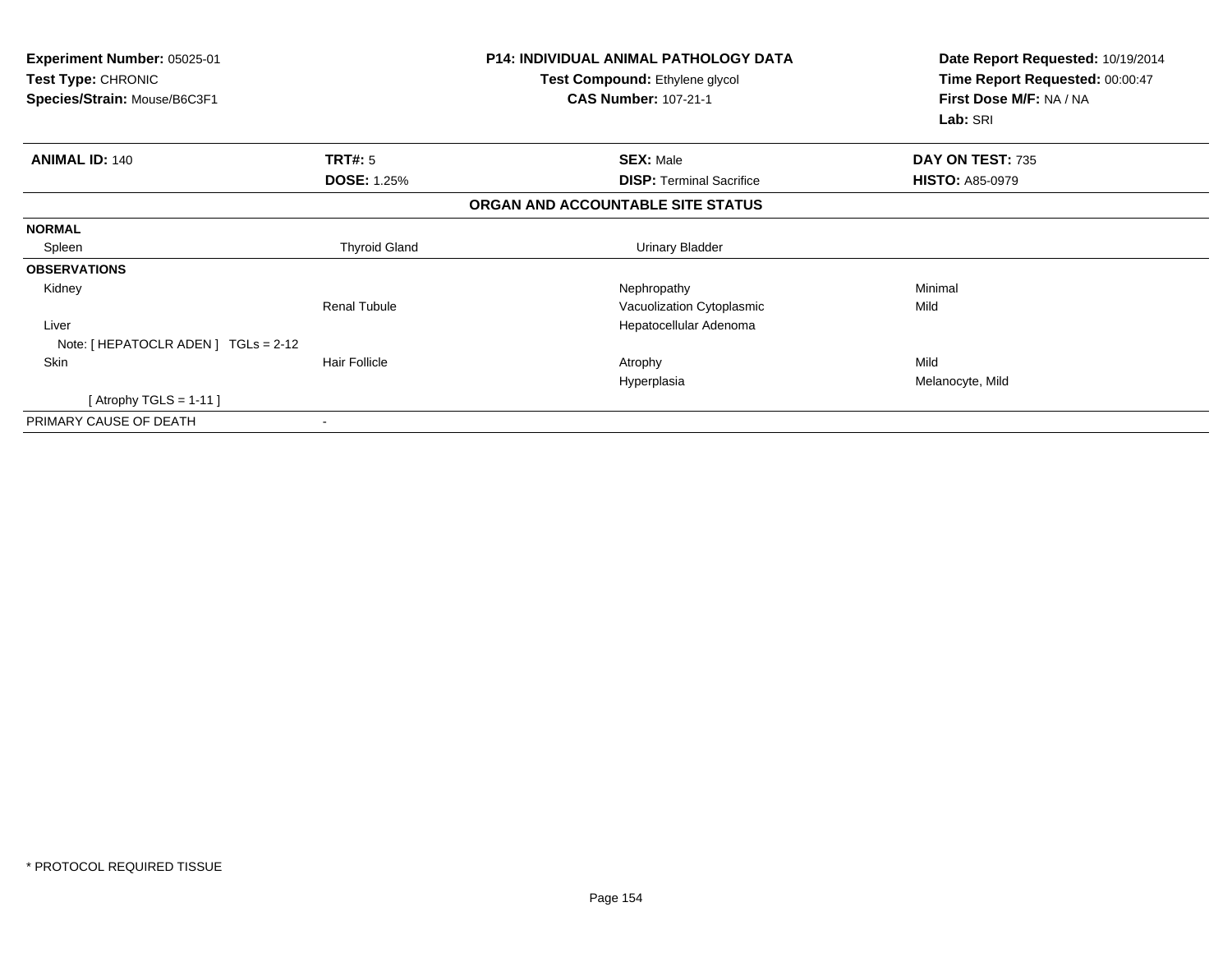| Experiment Number: 05025-01<br>Test Type: CHRONIC<br>Species/Strain: Mouse/B6C3F1 |                          | <b>P14: INDIVIDUAL ANIMAL PATHOLOGY DATA</b><br>Test Compound: Ethylene glycol<br><b>CAS Number: 107-21-1</b> | Date Report Requested: 10/19/2014<br>Time Report Requested: 00:00:47<br>First Dose M/F: NA / NA<br>Lab: SRI |
|-----------------------------------------------------------------------------------|--------------------------|---------------------------------------------------------------------------------------------------------------|-------------------------------------------------------------------------------------------------------------|
| <b>ANIMAL ID: 140</b>                                                             | TRT#: 5                  | <b>SEX: Male</b>                                                                                              | DAY ON TEST: 735                                                                                            |
|                                                                                   | <b>DOSE: 1.25%</b>       | <b>DISP: Terminal Sacrifice</b>                                                                               | <b>HISTO: A85-0979</b>                                                                                      |
|                                                                                   |                          | ORGAN AND ACCOUNTABLE SITE STATUS                                                                             |                                                                                                             |
| <b>NORMAL</b>                                                                     |                          |                                                                                                               |                                                                                                             |
| Spleen                                                                            | <b>Thyroid Gland</b>     | Urinary Bladder                                                                                               |                                                                                                             |
| <b>OBSERVATIONS</b>                                                               |                          |                                                                                                               |                                                                                                             |
| Kidney                                                                            |                          | Nephropathy                                                                                                   | Minimal                                                                                                     |
|                                                                                   | <b>Renal Tubule</b>      | Vacuolization Cytoplasmic                                                                                     | Mild                                                                                                        |
| Liver                                                                             |                          | Hepatocellular Adenoma                                                                                        |                                                                                                             |
| Note: [ HEPATOCLR ADEN ] TGLs = 2-12                                              |                          |                                                                                                               |                                                                                                             |
| Skin                                                                              | <b>Hair Follicle</b>     | Atrophy                                                                                                       | Mild                                                                                                        |
|                                                                                   |                          | Hyperplasia                                                                                                   | Melanocyte, Mild                                                                                            |
| [Atrophy TGLS = 1-11]                                                             |                          |                                                                                                               |                                                                                                             |
| PRIMARY CAUSE OF DEATH                                                            | $\overline{\phantom{a}}$ |                                                                                                               |                                                                                                             |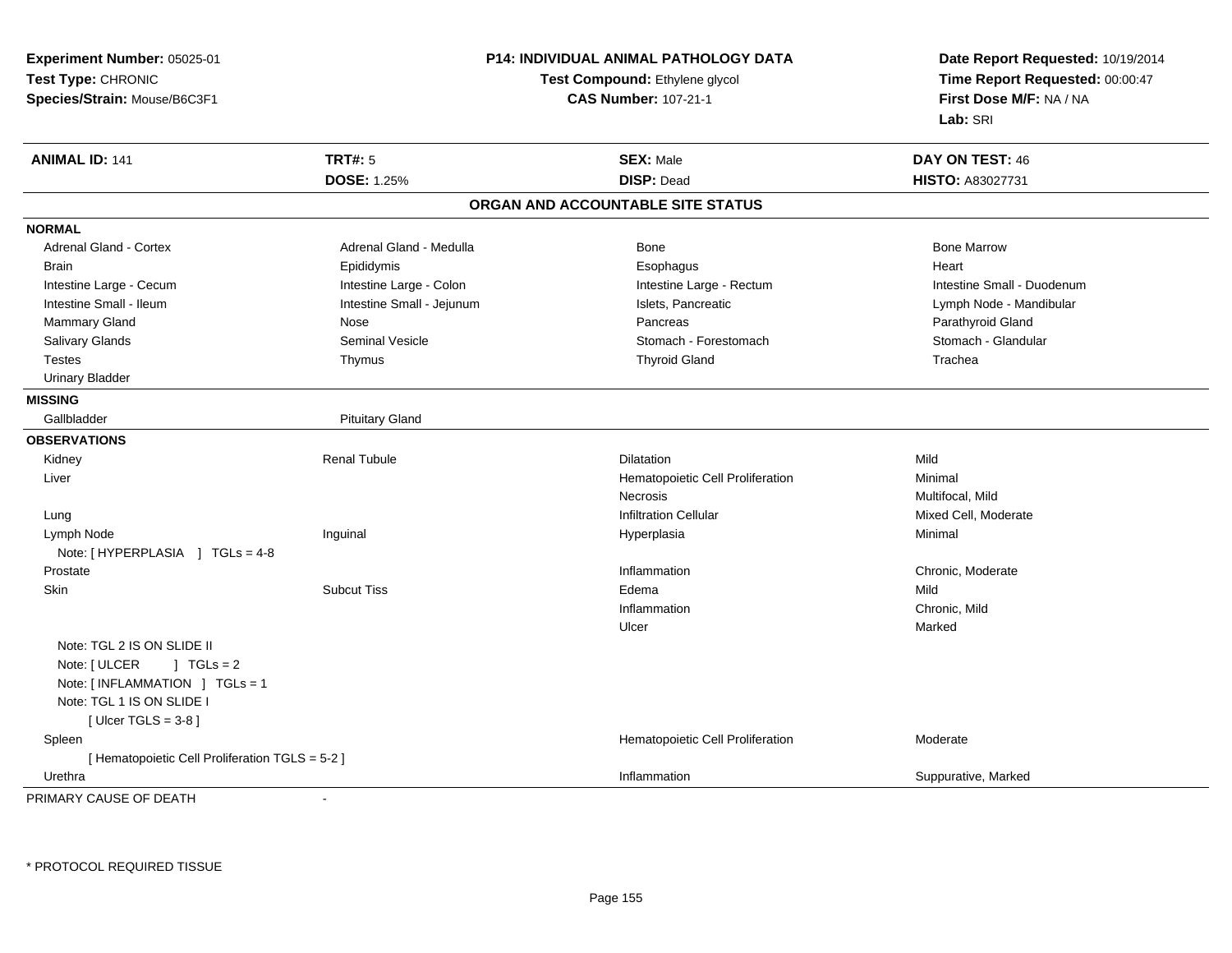**Experiment Number:** 05025-01**Test Type:** CHRONIC **Species/Strain:** Mouse/B6C3F1**P14: INDIVIDUAL ANIMAL PATHOLOGY DATATest Compound:** Ethylene glycol **CAS Number:** 107-21-1**Date Report Requested:** 10/19/2014**Time Report Requested:** 00:00:47**First Dose M/F:** NA / NA**Lab:** SRI**ANIMAL ID:** 141**TRT#:** 5 **SEX:** Male **DAY ON TEST:** 46 **DOSE:** 1.25% **DISP:** Dead **HISTO:** A83027731 **ORGAN AND ACCOUNTABLE SITE STATUSNORMALAdrenal Gland - Cortex** Adrenal Gland - Medulla **Bone Adrenal Gland - Cortex Adrenal Gland - Cortex Adrenal Gland - Medulla** Bone Marrow Brain Epididymis Epididymis and the Brook of the Brook of the Brook of the Brook of the Heart Heart Heart Heart Intestine Large - Cecum **Intestine Large - Colon** Intestine Large - Colon Intestine Large - Rectum Intestine Large - Rectum Intestine Small - Duodenum Intestine Small - Ileum **Intestine Small - Jejunum** Intestine Small - Jejunum Islets, Pancreatic Lymph Node - Mandibular Mammary Gland Nose Nose Records and December 2012 (Nose Pancreas Parathyroid Gland Parathyroid Gland Parathyroid Gland Parathyroid Gland Parathyroid Gland Parathyroid Gland Parathyroid Gland Parathyroid Gland Parathyroid G Stomach - Glandular Salivary Glands Summath Seminal Vesicle Seminal Stomach - Forestomach - Stomach - Stomach - Stomach - Stomach - Stomach - Stomach - Stomach - Stomach - Stomach - Stomach - Stomach - Stomach - Stomach - Stomach - Stomach - Testes Thymus Thyroid Gland Trachea Urinary Bladder**MISSING**Gallbladder Pituitary Gland **OBSERVATIONS** Kidney Renal Tubulee and the Dilatation Contract of the Dilatation Contract of the Mild Liver Hematopoietic Cell Proliferation Minimal NecrosisNecrosis<br>
Multifocal, Mild<br>
Infiltration Cellular<br>
Mixed Cell. Mo Mixed Cell, Moderate Lungg with the settlement of the settlement of the settlement of the settlement of the settlement of the settlement of  $\mathbf{I}$  infiltration Cellular  $\mathbf{I}$  Mixed Cell, Moderate Lymph Node Inguinal Hyperplasia Minimal Note: [HYPERPLASIA ] TGLs = 4-8 Prostatee and the chronic, Moderate and the chronic method of the chronic method of the chronic method of the chronic, Moderate and the chronic method of the chronic method of the chronic method of the chronic method of the chroni Skinn and the Subcut Tiss the Subset of the Subset of the Subcut Tiss and the Subset of the Subset of the Subset of Mild Inflammation Chronic, Mild Ulcerr **Marked** Note: TGL 2 IS ON SLIDE IINote:  $[ULCER \t 1 TGLs = 2$  Note: [ INFLAMMATION ] TGLs = 1Note: TGL 1 IS ON SLIDE I $[$  Ulcer TGLS = 3-8  $]$  SpleenHematopoietic Cell Proliferation Moderate [ Hematopoietic Cell Proliferation TGLS = 5-2 ] Urethraa the control of the control of the control of the control of the control of the control of the control of the control of the control of the control of the control of the control of the control of the control of the contro PRIMARY CAUSE OF DEATH-

\* PROTOCOL REQUIRED TISSUE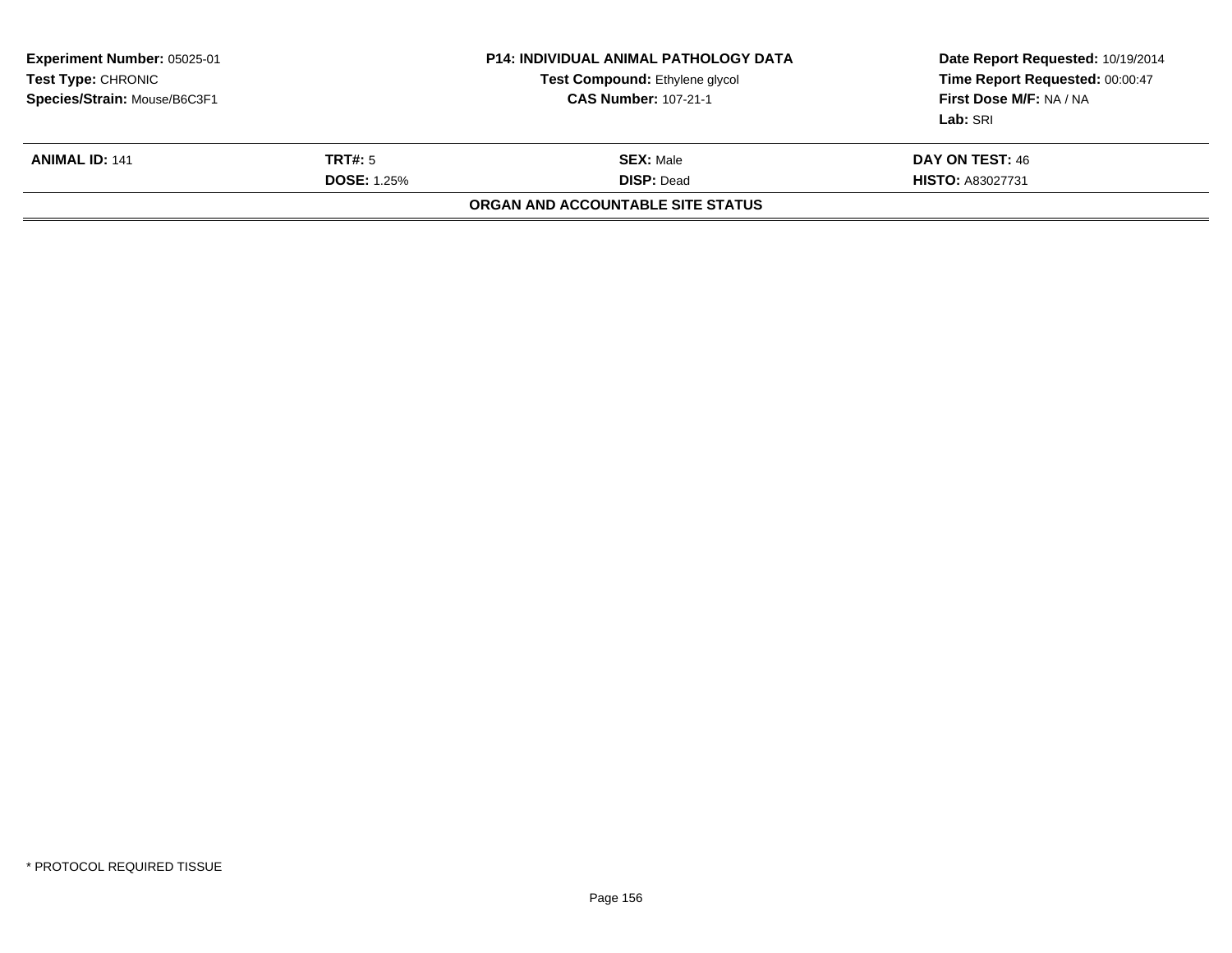| Experiment Number: 05025-01<br><b>Test Type: CHRONIC</b><br>Species/Strain: Mouse/B6C3F1 |                                      | P14: INDIVIDUAL ANIMAL PATHOLOGY DATA<br>Test Compound: Ethylene glycol<br><b>CAS Number: 107-21-1</b> | Date Report Requested: 10/19/2014<br>Time Report Requested: 00:00:47<br>First Dose M/F: NA / NA<br>Lab: SRI |
|------------------------------------------------------------------------------------------|--------------------------------------|--------------------------------------------------------------------------------------------------------|-------------------------------------------------------------------------------------------------------------|
| <b>ANIMAL ID: 141</b>                                                                    | <b>TRT#:</b> 5<br><b>DOSE: 1.25%</b> | <b>SEX: Male</b><br><b>DISP: Dead</b>                                                                  | DAY ON TEST: 46<br><b>HISTO: A83027731</b>                                                                  |
|                                                                                          |                                      | ORGAN AND ACCOUNTABLE SITE STATUS                                                                      |                                                                                                             |
|                                                                                          |                                      |                                                                                                        |                                                                                                             |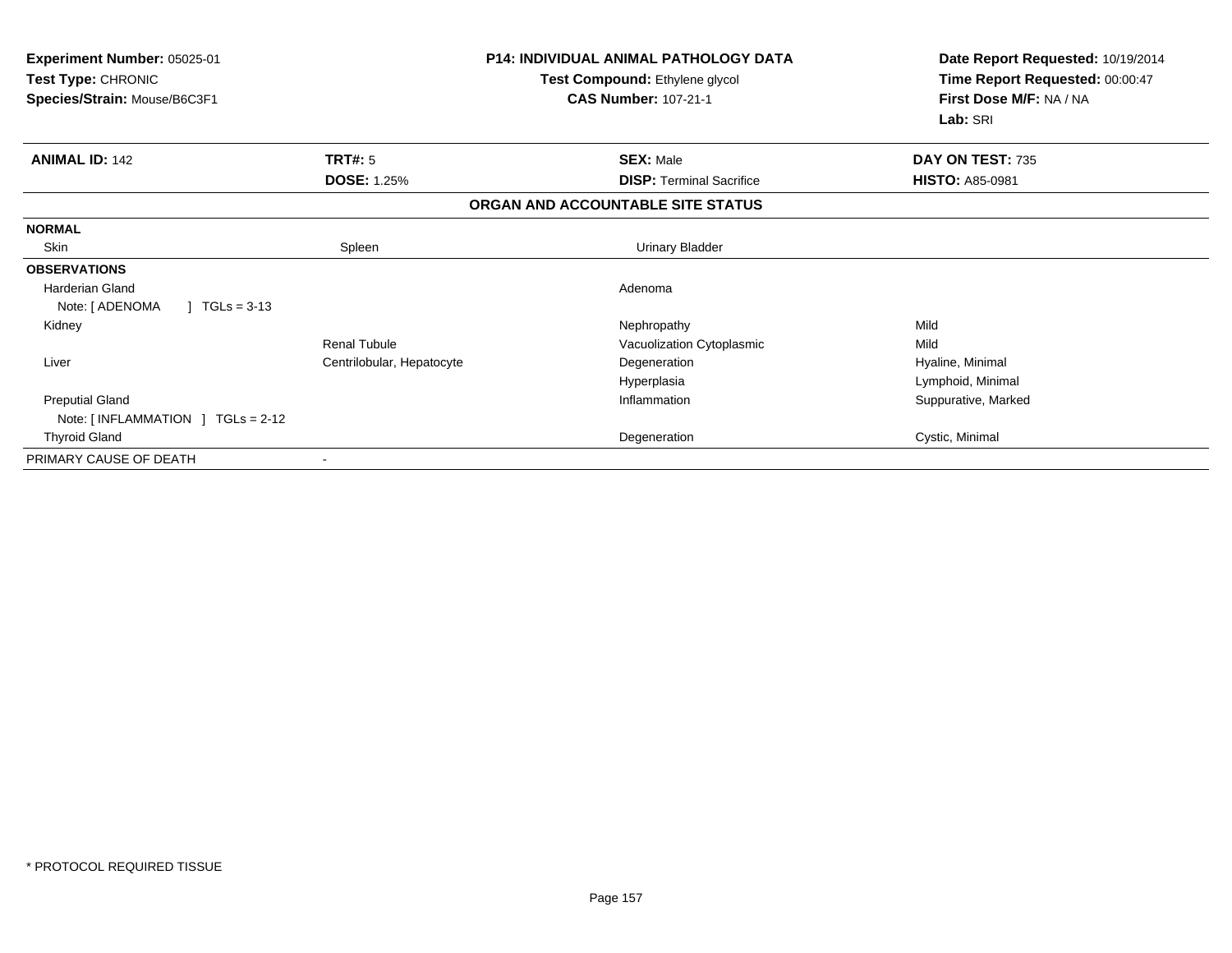| Experiment Number: 05025-01<br>Test Type: CHRONIC<br>Species/Strain: Mouse/B6C3F1 |                           | <b>P14: INDIVIDUAL ANIMAL PATHOLOGY DATA</b><br>Test Compound: Ethylene glycol<br><b>CAS Number: 107-21-1</b> | Date Report Requested: 10/19/2014<br>Time Report Requested: 00:00:47<br>First Dose M/F: NA / NA<br>Lab: SRI |
|-----------------------------------------------------------------------------------|---------------------------|---------------------------------------------------------------------------------------------------------------|-------------------------------------------------------------------------------------------------------------|
| <b>ANIMAL ID: 142</b>                                                             | TRT#: 5                   | <b>SEX: Male</b>                                                                                              | DAY ON TEST: 735                                                                                            |
|                                                                                   | <b>DOSE: 1.25%</b>        | <b>DISP: Terminal Sacrifice</b>                                                                               | <b>HISTO: A85-0981</b>                                                                                      |
|                                                                                   |                           | ORGAN AND ACCOUNTABLE SITE STATUS                                                                             |                                                                                                             |
| <b>NORMAL</b>                                                                     |                           |                                                                                                               |                                                                                                             |
| Skin                                                                              | Spleen                    | <b>Urinary Bladder</b>                                                                                        |                                                                                                             |
| <b>OBSERVATIONS</b>                                                               |                           |                                                                                                               |                                                                                                             |
| Harderian Gland                                                                   |                           | Adenoma                                                                                                       |                                                                                                             |
| Note: [ ADENOMA<br>$\mid$ TGLs = 3-13                                             |                           |                                                                                                               |                                                                                                             |
| Kidney                                                                            |                           | Nephropathy                                                                                                   | Mild                                                                                                        |
|                                                                                   | <b>Renal Tubule</b>       | Vacuolization Cytoplasmic                                                                                     | Mild                                                                                                        |
| Liver                                                                             | Centrilobular, Hepatocyte | Degeneration                                                                                                  | Hyaline, Minimal                                                                                            |
|                                                                                   |                           | Hyperplasia                                                                                                   | Lymphoid, Minimal                                                                                           |
| <b>Preputial Gland</b>                                                            |                           | Inflammation                                                                                                  | Suppurative, Marked                                                                                         |
| Note: $\lceil$ INFLAMMATION $\lceil$ TGLs = 2-12                                  |                           |                                                                                                               |                                                                                                             |
| <b>Thyroid Gland</b>                                                              |                           | Degeneration                                                                                                  | Cystic, Minimal                                                                                             |
| PRIMARY CAUSE OF DEATH                                                            |                           |                                                                                                               |                                                                                                             |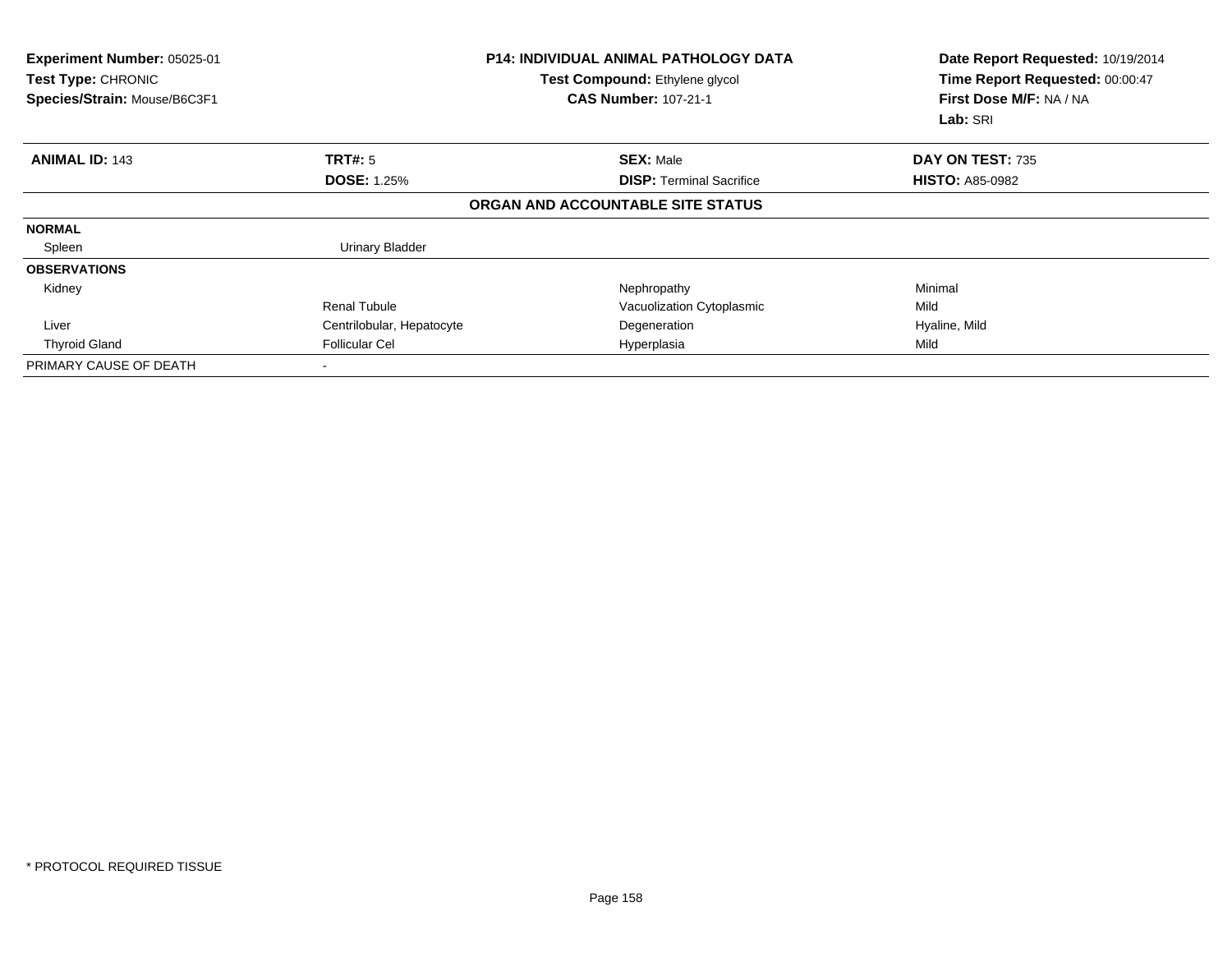| Experiment Number: 05025-01<br>Test Type: CHRONIC<br>Species/Strain: Mouse/B6C3F1 |                           | <b>P14: INDIVIDUAL ANIMAL PATHOLOGY DATA</b><br>Test Compound: Ethylene glycol<br><b>CAS Number: 107-21-1</b> | Date Report Requested: 10/19/2014<br>Time Report Requested: 00:00:47<br>First Dose M/F: NA / NA<br>Lab: SRI |
|-----------------------------------------------------------------------------------|---------------------------|---------------------------------------------------------------------------------------------------------------|-------------------------------------------------------------------------------------------------------------|
| <b>ANIMAL ID: 143</b>                                                             | TRT#: 5                   | <b>SEX: Male</b>                                                                                              | DAY ON TEST: 735                                                                                            |
|                                                                                   | <b>DOSE: 1.25%</b>        | <b>DISP: Terminal Sacrifice</b>                                                                               | <b>HISTO: A85-0982</b>                                                                                      |
|                                                                                   |                           | ORGAN AND ACCOUNTABLE SITE STATUS                                                                             |                                                                                                             |
| <b>NORMAL</b>                                                                     |                           |                                                                                                               |                                                                                                             |
| Spleen                                                                            | Urinary Bladder           |                                                                                                               |                                                                                                             |
| <b>OBSERVATIONS</b>                                                               |                           |                                                                                                               |                                                                                                             |
| Kidney                                                                            |                           | Nephropathy                                                                                                   | Minimal                                                                                                     |
|                                                                                   | <b>Renal Tubule</b>       | Vacuolization Cytoplasmic                                                                                     | Mild                                                                                                        |
| Liver                                                                             | Centrilobular, Hepatocyte | Degeneration                                                                                                  | Hyaline, Mild                                                                                               |
| <b>Thyroid Gland</b>                                                              | <b>Follicular Cel</b>     | Hyperplasia                                                                                                   | Mild                                                                                                        |
| PRIMARY CAUSE OF DEATH                                                            |                           |                                                                                                               |                                                                                                             |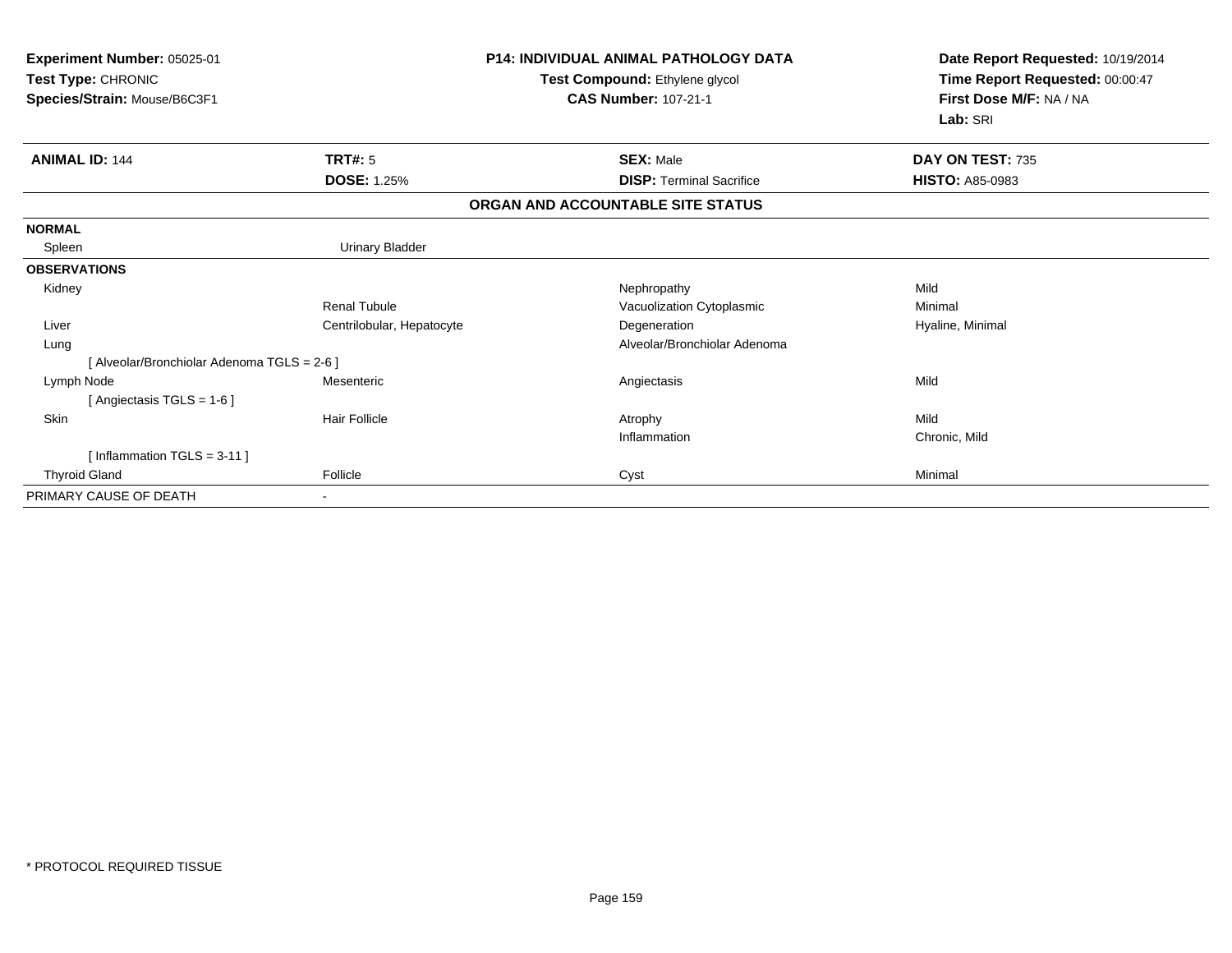| Experiment Number: 05025-01<br>Test Type: CHRONIC<br>Species/Strain: Mouse/B6C3F1 |                           | <b>P14: INDIVIDUAL ANIMAL PATHOLOGY DATA</b><br>Test Compound: Ethylene glycol<br><b>CAS Number: 107-21-1</b> | Date Report Requested: 10/19/2014<br>Time Report Requested: 00:00:47<br>First Dose M/F: NA / NA<br>Lab: SRI |
|-----------------------------------------------------------------------------------|---------------------------|---------------------------------------------------------------------------------------------------------------|-------------------------------------------------------------------------------------------------------------|
| <b>ANIMAL ID: 144</b>                                                             | TRT#: 5                   | <b>SEX: Male</b>                                                                                              | DAY ON TEST: 735                                                                                            |
|                                                                                   | <b>DOSE: 1.25%</b>        | <b>DISP: Terminal Sacrifice</b>                                                                               | <b>HISTO: A85-0983</b>                                                                                      |
|                                                                                   |                           | ORGAN AND ACCOUNTABLE SITE STATUS                                                                             |                                                                                                             |
| <b>NORMAL</b>                                                                     |                           |                                                                                                               |                                                                                                             |
| Spleen                                                                            | Urinary Bladder           |                                                                                                               |                                                                                                             |
| <b>OBSERVATIONS</b>                                                               |                           |                                                                                                               |                                                                                                             |
| Kidney                                                                            |                           | Nephropathy                                                                                                   | Mild                                                                                                        |
|                                                                                   | <b>Renal Tubule</b>       | Vacuolization Cytoplasmic                                                                                     | Minimal                                                                                                     |
| Liver                                                                             | Centrilobular, Hepatocyte | Degeneration                                                                                                  | Hyaline, Minimal                                                                                            |
| Lung                                                                              |                           | Alveolar/Bronchiolar Adenoma                                                                                  |                                                                                                             |
| [ Alveolar/Bronchiolar Adenoma TGLS = 2-6 ]                                       |                           |                                                                                                               |                                                                                                             |
| Lymph Node                                                                        | Mesenteric                | Angiectasis                                                                                                   | Mild                                                                                                        |
| [Angiectasis TGLS = 1-6]                                                          |                           |                                                                                                               |                                                                                                             |
| Skin                                                                              | <b>Hair Follicle</b>      | Atrophy                                                                                                       | Mild                                                                                                        |
|                                                                                   |                           | Inflammation                                                                                                  | Chronic, Mild                                                                                               |
| [Inflammation TGLS = $3-11$ ]                                                     |                           |                                                                                                               |                                                                                                             |
| <b>Thyroid Gland</b>                                                              | Follicle                  | Cyst                                                                                                          | Minimal                                                                                                     |
| PRIMARY CAUSE OF DEATH                                                            |                           |                                                                                                               |                                                                                                             |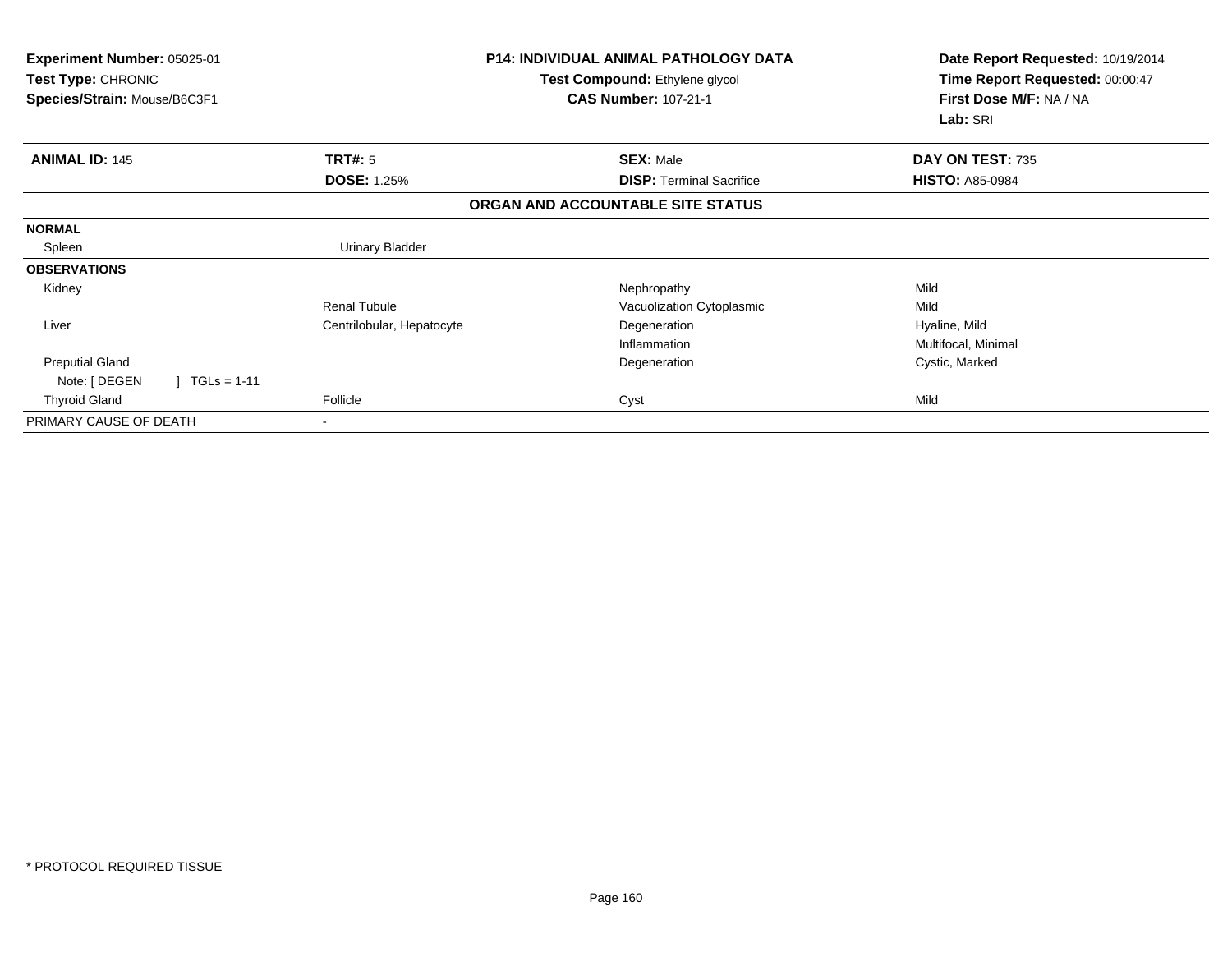| Experiment Number: 05025-01<br><b>Test Type: CHRONIC</b><br>Species/Strain: Mouse/B6C3F1 |                           | <b>P14: INDIVIDUAL ANIMAL PATHOLOGY DATA</b><br>Test Compound: Ethylene glycol<br><b>CAS Number: 107-21-1</b> | Date Report Requested: 10/19/2014<br>Time Report Requested: 00:00:47<br>First Dose M/F: NA / NA |
|------------------------------------------------------------------------------------------|---------------------------|---------------------------------------------------------------------------------------------------------------|-------------------------------------------------------------------------------------------------|
|                                                                                          |                           |                                                                                                               | Lab: SRI                                                                                        |
| <b>ANIMAL ID: 145</b>                                                                    | TRT#: 5                   | <b>SEX: Male</b>                                                                                              | DAY ON TEST: 735                                                                                |
|                                                                                          | <b>DOSE: 1.25%</b>        | <b>DISP: Terminal Sacrifice</b>                                                                               | <b>HISTO: A85-0984</b>                                                                          |
|                                                                                          |                           | ORGAN AND ACCOUNTABLE SITE STATUS                                                                             |                                                                                                 |
| <b>NORMAL</b>                                                                            |                           |                                                                                                               |                                                                                                 |
| Spleen                                                                                   | <b>Urinary Bladder</b>    |                                                                                                               |                                                                                                 |
| <b>OBSERVATIONS</b>                                                                      |                           |                                                                                                               |                                                                                                 |
| Kidney                                                                                   |                           | Nephropathy                                                                                                   | Mild                                                                                            |
|                                                                                          | <b>Renal Tubule</b>       | Vacuolization Cytoplasmic                                                                                     | Mild                                                                                            |
| Liver                                                                                    | Centrilobular, Hepatocyte | Degeneration                                                                                                  | Hyaline, Mild                                                                                   |
|                                                                                          |                           | Inflammation                                                                                                  | Multifocal, Minimal                                                                             |
| <b>Preputial Gland</b>                                                                   |                           | Degeneration                                                                                                  | Cystic, Marked                                                                                  |
| $TGLs = 1-11$<br>Note: [ DEGEN                                                           |                           |                                                                                                               |                                                                                                 |
| <b>Thyroid Gland</b>                                                                     | Follicle                  | Cyst                                                                                                          | Mild                                                                                            |
| PRIMARY CAUSE OF DEATH                                                                   | $\,$                      |                                                                                                               |                                                                                                 |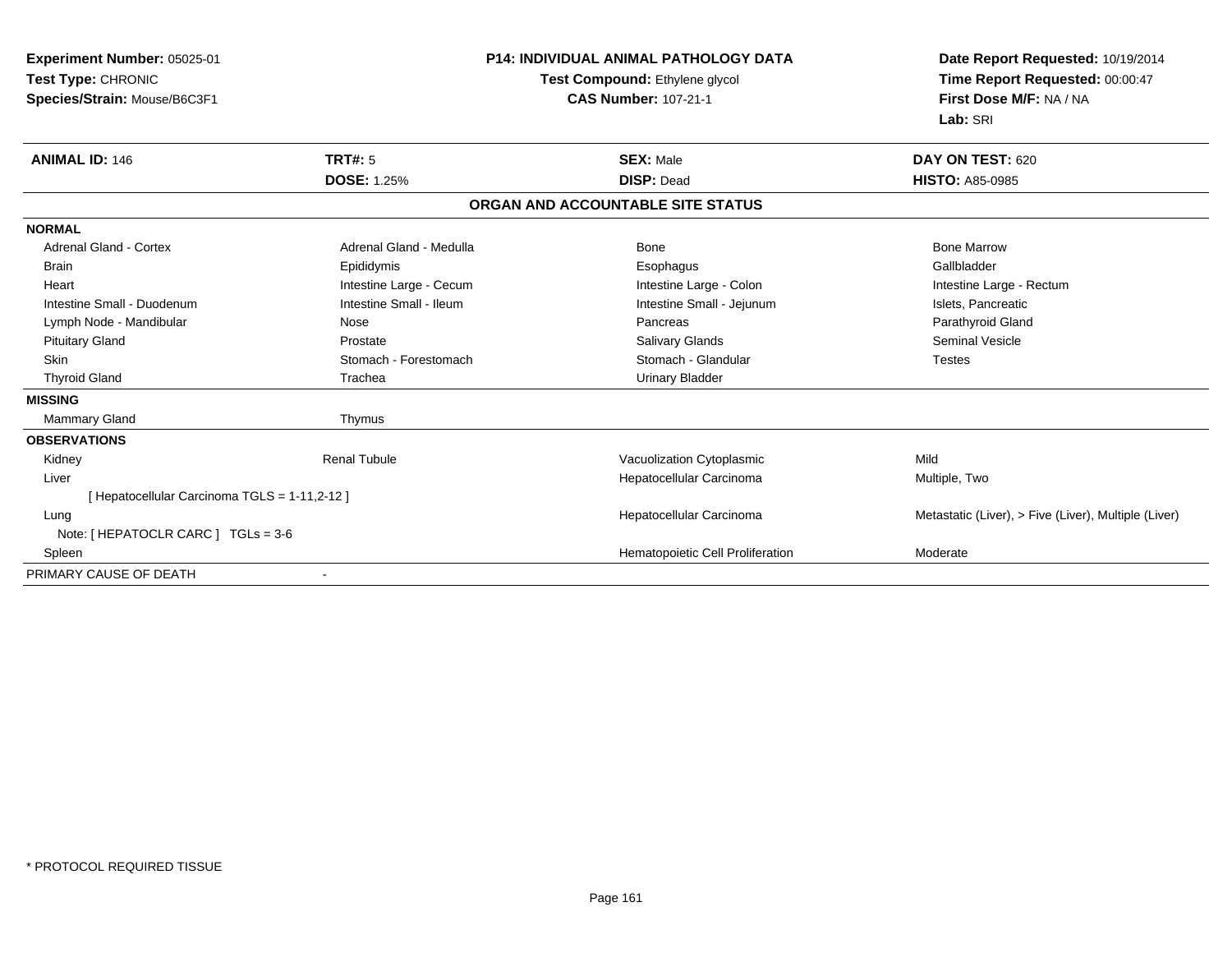| <b>Experiment Number: 05025-01</b>            | <b>P14: INDIVIDUAL ANIMAL PATHOLOGY DATA</b> |                                   | Date Report Requested: 10/19/2014                          |  |
|-----------------------------------------------|----------------------------------------------|-----------------------------------|------------------------------------------------------------|--|
| Test Type: CHRONIC                            |                                              | Test Compound: Ethylene glycol    | Time Report Requested: 00:00:47<br>First Dose M/F: NA / NA |  |
| Species/Strain: Mouse/B6C3F1                  |                                              | <b>CAS Number: 107-21-1</b>       |                                                            |  |
|                                               |                                              |                                   | Lab: SRI                                                   |  |
| <b>ANIMAL ID: 146</b>                         | <b>TRT#: 5</b>                               | <b>SEX: Male</b>                  | DAY ON TEST: 620                                           |  |
|                                               | <b>DOSE: 1.25%</b>                           | <b>DISP: Dead</b>                 | <b>HISTO: A85-0985</b>                                     |  |
|                                               |                                              | ORGAN AND ACCOUNTABLE SITE STATUS |                                                            |  |
| <b>NORMAL</b>                                 |                                              |                                   |                                                            |  |
| <b>Adrenal Gland - Cortex</b>                 | Adrenal Gland - Medulla                      | <b>Bone</b>                       | <b>Bone Marrow</b>                                         |  |
| <b>Brain</b>                                  | Epididymis                                   | Esophagus                         | Gallbladder                                                |  |
| Heart                                         | Intestine Large - Cecum                      | Intestine Large - Colon           | Intestine Large - Rectum                                   |  |
| Intestine Small - Duodenum                    | Intestine Small - Ileum                      | Intestine Small - Jejunum         | Islets, Pancreatic                                         |  |
| Lymph Node - Mandibular                       | Nose                                         | Pancreas                          | Parathyroid Gland                                          |  |
| <b>Pituitary Gland</b>                        | Prostate                                     | <b>Salivary Glands</b>            | <b>Seminal Vesicle</b>                                     |  |
| <b>Skin</b>                                   | Stomach - Forestomach                        | Stomach - Glandular               | <b>Testes</b>                                              |  |
| <b>Thyroid Gland</b>                          | Trachea                                      | <b>Urinary Bladder</b>            |                                                            |  |
| <b>MISSING</b>                                |                                              |                                   |                                                            |  |
| Mammary Gland                                 | Thymus                                       |                                   |                                                            |  |
| <b>OBSERVATIONS</b>                           |                                              |                                   |                                                            |  |
| Kidney                                        | <b>Renal Tubule</b>                          | Vacuolization Cytoplasmic         | Mild                                                       |  |
| Liver                                         |                                              | Hepatocellular Carcinoma          | Multiple, Two                                              |  |
| [ Hepatocellular Carcinoma TGLS = 1-11,2-12 ] |                                              |                                   |                                                            |  |
| Lung                                          |                                              | Hepatocellular Carcinoma          | Metastatic (Liver), > Five (Liver), Multiple (Liver)       |  |
| Note: [ HEPATOCLR CARC ] TGLs = 3-6           |                                              |                                   |                                                            |  |
| Spleen                                        |                                              | Hematopoietic Cell Proliferation  | Moderate                                                   |  |
| PRIMARY CAUSE OF DEATH                        |                                              |                                   |                                                            |  |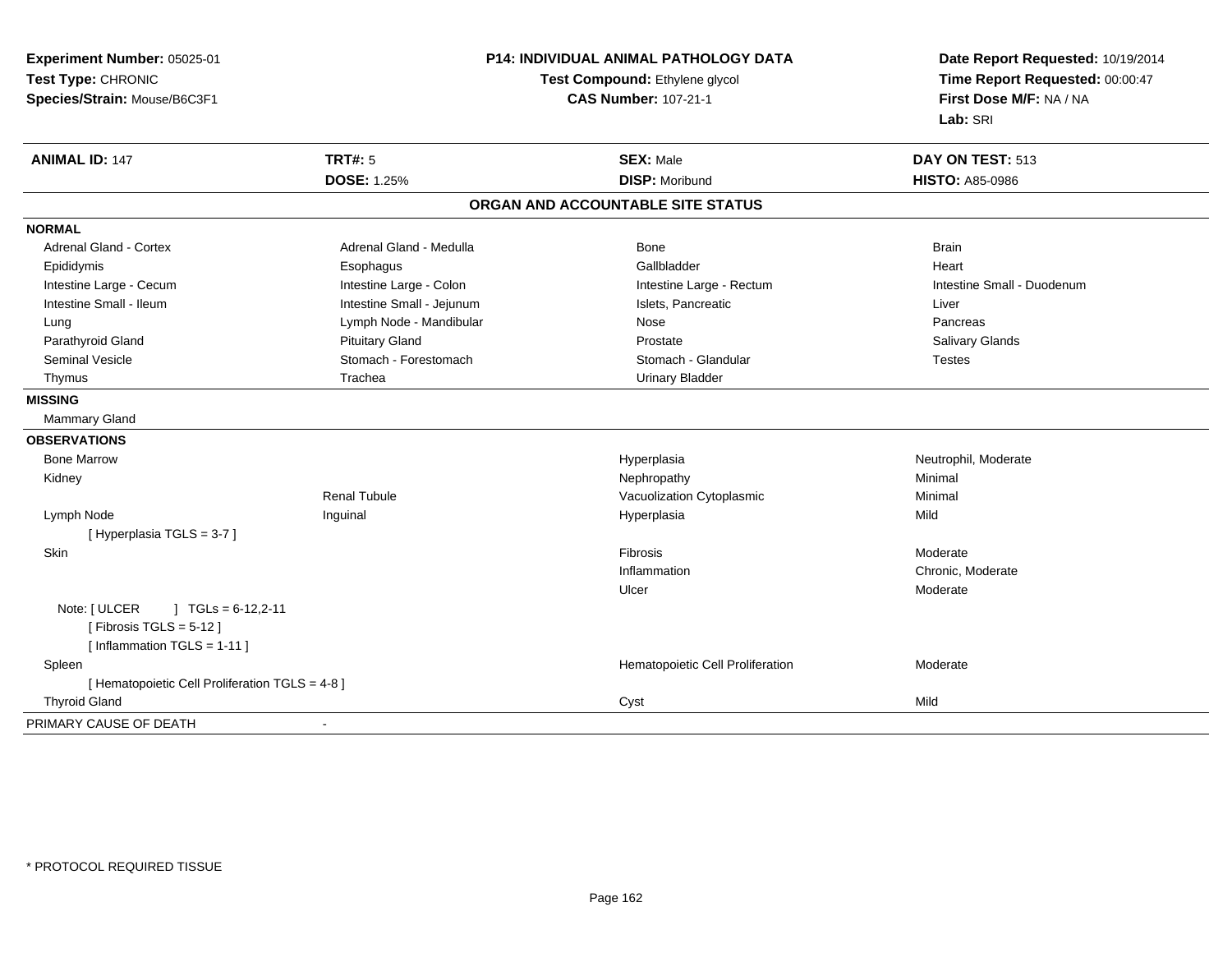| Experiment Number: 05025-01                     |                                                               | P14: INDIVIDUAL ANIMAL PATHOLOGY DATA | Date Report Requested: 10/19/2014                          |  |
|-------------------------------------------------|---------------------------------------------------------------|---------------------------------------|------------------------------------------------------------|--|
| Test Type: CHRONIC                              | Test Compound: Ethylene glycol<br><b>CAS Number: 107-21-1</b> |                                       | Time Report Requested: 00:00:47<br>First Dose M/F: NA / NA |  |
| Species/Strain: Mouse/B6C3F1                    |                                                               |                                       |                                                            |  |
|                                                 |                                                               |                                       | Lab: SRI                                                   |  |
| <b>ANIMAL ID: 147</b>                           | <b>TRT#: 5</b>                                                | <b>SEX: Male</b>                      | DAY ON TEST: 513                                           |  |
|                                                 | <b>DOSE: 1.25%</b>                                            | <b>DISP: Moribund</b>                 | <b>HISTO: A85-0986</b>                                     |  |
|                                                 |                                                               | ORGAN AND ACCOUNTABLE SITE STATUS     |                                                            |  |
| <b>NORMAL</b>                                   |                                                               |                                       |                                                            |  |
| <b>Adrenal Gland - Cortex</b>                   | Adrenal Gland - Medulla                                       | Bone                                  | <b>Brain</b>                                               |  |
| Epididymis                                      | Esophagus                                                     | Gallbladder                           | Heart                                                      |  |
| Intestine Large - Cecum                         | Intestine Large - Colon                                       | Intestine Large - Rectum              | Intestine Small - Duodenum                                 |  |
| Intestine Small - Ileum                         | Intestine Small - Jejunum                                     | Islets, Pancreatic                    | Liver                                                      |  |
| Lung                                            | Lymph Node - Mandibular                                       | Nose                                  | Pancreas                                                   |  |
| Parathyroid Gland                               | <b>Pituitary Gland</b>                                        | Prostate                              | Salivary Glands                                            |  |
| <b>Seminal Vesicle</b>                          | Stomach - Forestomach                                         | Stomach - Glandular                   | <b>Testes</b>                                              |  |
| Thymus                                          | Trachea                                                       | <b>Urinary Bladder</b>                |                                                            |  |
| <b>MISSING</b>                                  |                                                               |                                       |                                                            |  |
| <b>Mammary Gland</b>                            |                                                               |                                       |                                                            |  |
| <b>OBSERVATIONS</b>                             |                                                               |                                       |                                                            |  |
| <b>Bone Marrow</b>                              |                                                               | Hyperplasia                           | Neutrophil, Moderate                                       |  |
| Kidney                                          |                                                               | Nephropathy                           | Minimal                                                    |  |
|                                                 | Renal Tubule                                                  | Vacuolization Cytoplasmic             | Minimal                                                    |  |
| Lymph Node                                      | Inguinal                                                      | Hyperplasia                           | Mild                                                       |  |
| [Hyperplasia TGLS = 3-7]                        |                                                               |                                       |                                                            |  |
| Skin                                            |                                                               | Fibrosis                              | Moderate                                                   |  |
|                                                 |                                                               | Inflammation                          | Chronic, Moderate                                          |  |
|                                                 |                                                               | Ulcer                                 | Moderate                                                   |  |
| Note: [ ULCER<br>$\vert$ TGLs = 6-12,2-11       |                                                               |                                       |                                                            |  |
| [Fibrosis TGLS = $5-12$ ]                       |                                                               |                                       |                                                            |  |
| [Inflammation TGLS = 1-11]                      |                                                               |                                       |                                                            |  |
| Spleen                                          |                                                               | Hematopoietic Cell Proliferation      | Moderate                                                   |  |
| [ Hematopoietic Cell Proliferation TGLS = 4-8 ] |                                                               |                                       |                                                            |  |
| <b>Thyroid Gland</b>                            |                                                               | Cyst                                  | Mild                                                       |  |
| PRIMARY CAUSE OF DEATH                          | $\blacksquare$                                                |                                       |                                                            |  |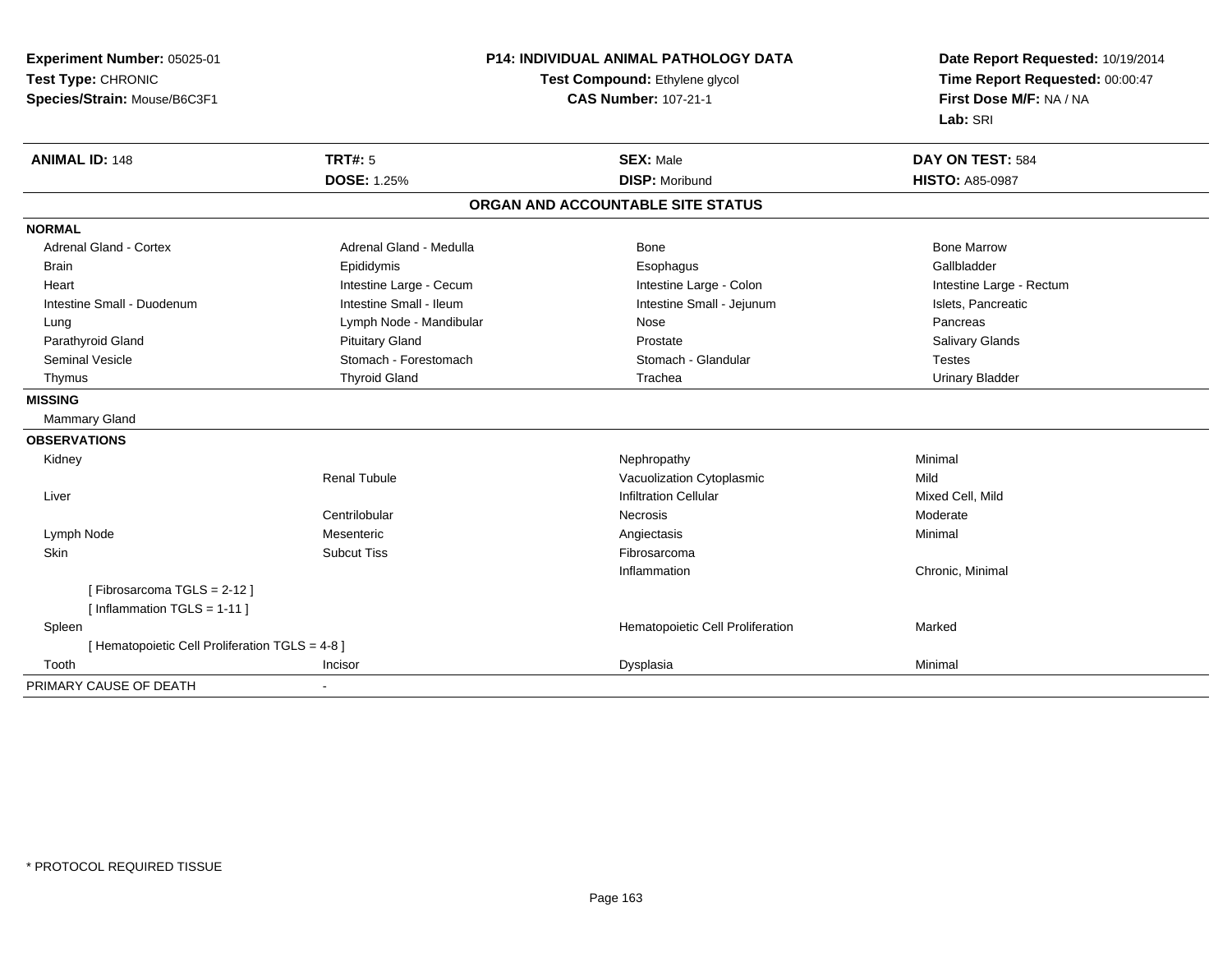**Experiment Number:** 05025-01**Test Type:** CHRONIC **Species/Strain:** Mouse/B6C3F1**P14: INDIVIDUAL ANIMAL PATHOLOGY DATATest Compound:** Ethylene glycol **CAS Number:** 107-21-1**Date Report Requested:** 10/19/2014**Time Report Requested:** 00:00:47**First Dose M/F:** NA / NA**Lab:** SRI**ANIMAL ID:** 148**TRT#:** 5 **SEX:** Male **DAY ON TEST:** 584 **DOSE:** 1.25%**DISP:** Moribund **HISTO:** A85-0987 **ORGAN AND ACCOUNTABLE SITE STATUSNORMALAdrenal Gland - Cortex** Adrenal Gland - Medulla **Bone Adrenal Gland - Cortex Adrenal Gland - Cortex Adrenal Gland - Medulla** Bone Marrow Gallbladder Brain Epididymis Epididymis and the Brook of the Brook of the Brook of the Brook of the Gallbladder of the Gallbladder Heart **Intestine Large - Cecum** Intestine Large - Cecum Intestine Large - Colon Intestine Large - Rectum Intestine Small - Duodenum **Intestine Small - Ileum** Intestine Small - Ileum Intestine Small - Jejunum Intestine Small - Jejunum Islets, Pancreatic Lung **Lymph Node - Mandibular Nose Pancreas** Pancreas Pancreas **Salivary Glands** Parathyroid Gland Salivary Glands Pituitary Gland Prosection Prostate Prostate Salivary Glands Salivary Glands Seminal Vesicle Stomach - Stomach - Forestomach Stomach - Stomach - Glandular Stomach - Testes **Urinary Bladder**  Thymus Thyroid Gland Trachea Urinary Bladder**MISSING** Mammary Gland**OBSERVATIONS** Kidneyy the control of the control of the control of the control of the control of the control of the control of the control of the control of the control of the control of the control of the control of the control of the contro Renal TubuleVacuolization Cytoplasmic<br>
Infiltration Cellular<br>
Infiltration Cellular Liver Infiltration Cellular Mixed Cell, MildCentrilobular Necrosis Moderate Lymph Node Mesenteric Angiectasis Minimal **Skin** n and the subcut Tiss of the Subcut Tiss of the Subcut Tiss of the Subset of the Subset of the Subset of the Su Inflammation Chronic, Minimal [ Fibrosarcoma TGLS = 2-12 ][ Inflammation TGLS = 1-11 ] SpleenHematopoietic Cell Proliferation Marked [ Hematopoietic Cell Proliferation TGLS = 4-8 ] Toothh ann an t-Incisor ann an t-Incisor ann an t-Incisor ann an Dysplasia ann an Dysplasia ann an Dysplasia ann an PRIMARY CAUSE OF DEATH-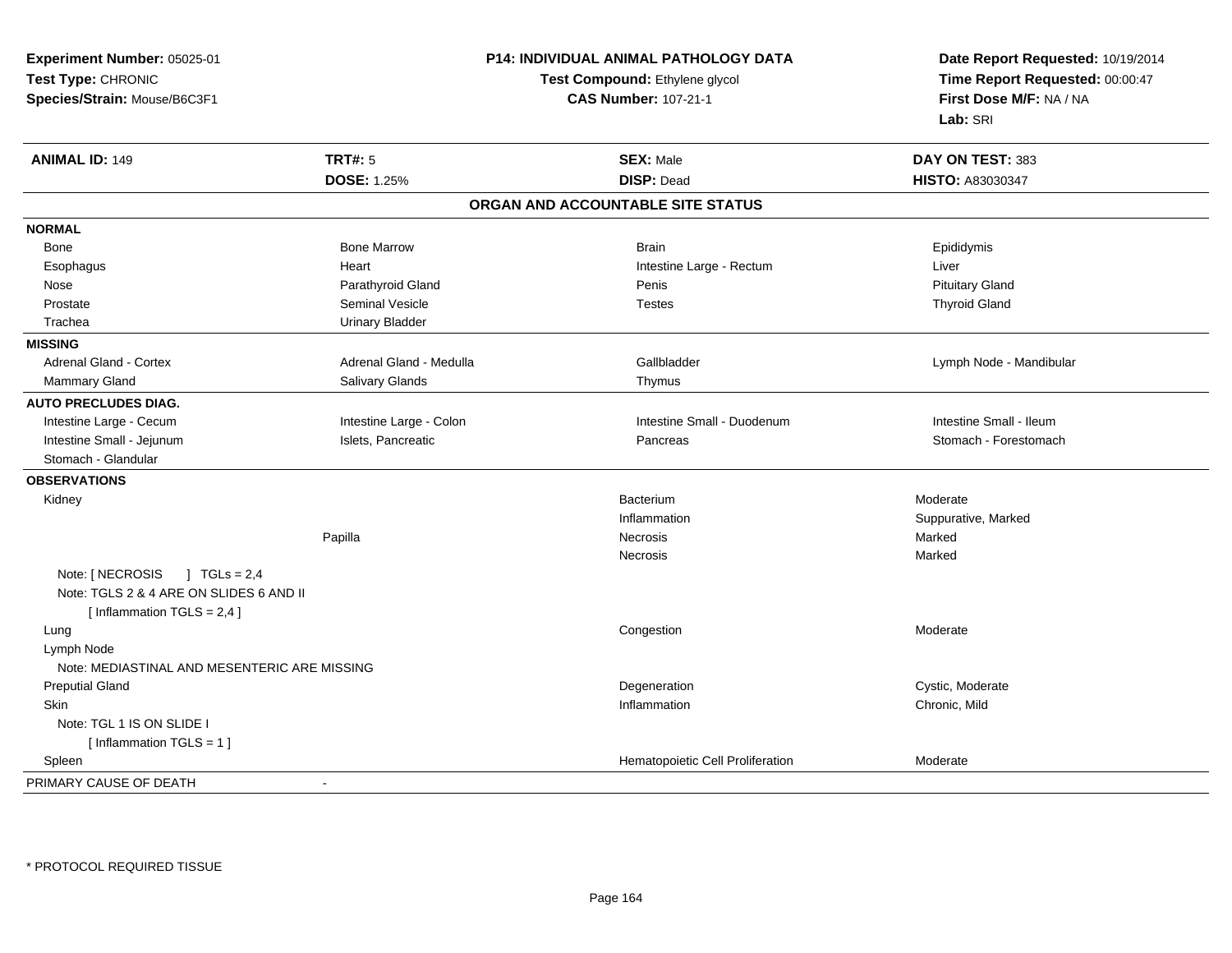| Experiment Number: 05025-01                                                           |                         | P14: INDIVIDUAL ANIMAL PATHOLOGY DATA | Date Report Requested: 10/19/2014<br>Time Report Requested: 00:00:47<br>First Dose M/F: NA / NA |
|---------------------------------------------------------------------------------------|-------------------------|---------------------------------------|-------------------------------------------------------------------------------------------------|
| Test Type: CHRONIC                                                                    |                         | Test Compound: Ethylene glycol        |                                                                                                 |
| Species/Strain: Mouse/B6C3F1                                                          |                         | <b>CAS Number: 107-21-1</b>           |                                                                                                 |
|                                                                                       |                         |                                       | Lab: SRI                                                                                        |
| <b>ANIMAL ID: 149</b>                                                                 | <b>TRT#: 5</b>          | <b>SEX: Male</b>                      | DAY ON TEST: 383                                                                                |
|                                                                                       | <b>DOSE: 1.25%</b>      | <b>DISP: Dead</b>                     | HISTO: A83030347                                                                                |
|                                                                                       |                         | ORGAN AND ACCOUNTABLE SITE STATUS     |                                                                                                 |
| <b>NORMAL</b>                                                                         |                         |                                       |                                                                                                 |
| Bone                                                                                  | <b>Bone Marrow</b>      | <b>Brain</b>                          | Epididymis                                                                                      |
| Esophagus                                                                             | Heart                   | Intestine Large - Rectum              | Liver                                                                                           |
| Nose                                                                                  | Parathyroid Gland       | Penis                                 | <b>Pituitary Gland</b>                                                                          |
| Prostate                                                                              | <b>Seminal Vesicle</b>  | <b>Testes</b>                         | <b>Thyroid Gland</b>                                                                            |
| Trachea                                                                               | <b>Urinary Bladder</b>  |                                       |                                                                                                 |
| <b>MISSING</b>                                                                        |                         |                                       |                                                                                                 |
| Adrenal Gland - Cortex                                                                | Adrenal Gland - Medulla | Gallbladder                           | Lymph Node - Mandibular                                                                         |
| Mammary Gland                                                                         | Salivary Glands         | Thymus                                |                                                                                                 |
| <b>AUTO PRECLUDES DIAG.</b>                                                           |                         |                                       |                                                                                                 |
| Intestine Large - Cecum                                                               | Intestine Large - Colon | Intestine Small - Duodenum            | Intestine Small - Ileum                                                                         |
| Intestine Small - Jejunum                                                             | Islets, Pancreatic      | Pancreas                              | Stomach - Forestomach                                                                           |
| Stomach - Glandular                                                                   |                         |                                       |                                                                                                 |
| <b>OBSERVATIONS</b>                                                                   |                         |                                       |                                                                                                 |
| Kidney                                                                                |                         | Bacterium                             | Moderate                                                                                        |
|                                                                                       |                         | Inflammation                          | Suppurative, Marked                                                                             |
|                                                                                       | Papilla                 | Necrosis                              | Marked                                                                                          |
|                                                                                       |                         | <b>Necrosis</b>                       | Marked                                                                                          |
| Note: [ NECROSIS<br>$1 \text{ TGLs} = 2.4$<br>Note: TGLS 2 & 4 ARE ON SLIDES 6 AND II |                         |                                       |                                                                                                 |
| [Inflammation $TGLS = 2,4$ ]                                                          |                         |                                       |                                                                                                 |
| Lung                                                                                  |                         | Congestion                            | Moderate                                                                                        |
| Lymph Node                                                                            |                         |                                       |                                                                                                 |
| Note: MEDIASTINAL AND MESENTERIC ARE MISSING                                          |                         |                                       |                                                                                                 |
| <b>Preputial Gland</b>                                                                |                         | Degeneration                          | Cystic, Moderate                                                                                |
| Skin                                                                                  |                         | Inflammation                          | Chronic, Mild                                                                                   |
| Note: TGL 1 IS ON SLIDE I                                                             |                         |                                       |                                                                                                 |
| [Inflammation TGLS = $1$ ]                                                            |                         |                                       |                                                                                                 |
| Spleen                                                                                |                         | Hematopoietic Cell Proliferation      | Moderate                                                                                        |
| PRIMARY CAUSE OF DEATH                                                                |                         |                                       |                                                                                                 |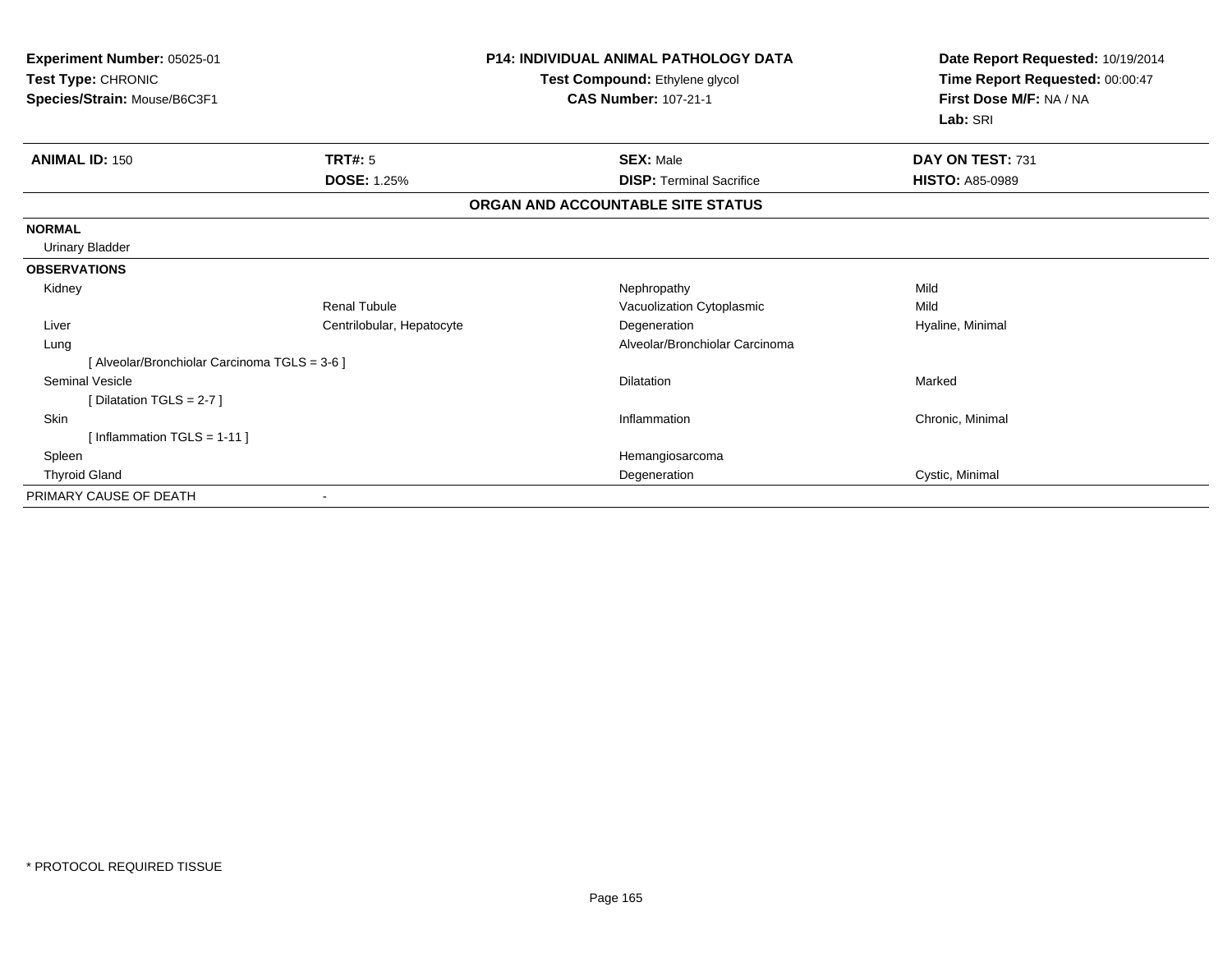| Experiment Number: 05025-01<br>Test Type: CHRONIC<br>Test Compound: Ethylene glycol<br>Species/Strain: Mouse/B6C3F1<br><b>CAS Number: 107-21-1</b> |                           | <b>P14: INDIVIDUAL ANIMAL PATHOLOGY DATA</b> | Date Report Requested: 10/19/2014<br>Time Report Requested: 00:00:47<br>First Dose M/F: NA / NA<br>Lab: SRI |
|----------------------------------------------------------------------------------------------------------------------------------------------------|---------------------------|----------------------------------------------|-------------------------------------------------------------------------------------------------------------|
| <b>ANIMAL ID: 150</b>                                                                                                                              | TRT#: 5                   | <b>SEX: Male</b>                             | DAY ON TEST: 731                                                                                            |
|                                                                                                                                                    | <b>DOSE: 1.25%</b>        | <b>DISP:</b> Terminal Sacrifice              | <b>HISTO: A85-0989</b>                                                                                      |
|                                                                                                                                                    |                           | ORGAN AND ACCOUNTABLE SITE STATUS            |                                                                                                             |
| <b>NORMAL</b>                                                                                                                                      |                           |                                              |                                                                                                             |
| <b>Urinary Bladder</b>                                                                                                                             |                           |                                              |                                                                                                             |
| <b>OBSERVATIONS</b>                                                                                                                                |                           |                                              |                                                                                                             |
| Kidney                                                                                                                                             |                           | Nephropathy                                  | Mild                                                                                                        |
|                                                                                                                                                    | <b>Renal Tubule</b>       | Vacuolization Cytoplasmic                    | Mild                                                                                                        |
| Liver                                                                                                                                              | Centrilobular, Hepatocyte | Degeneration                                 | Hyaline, Minimal                                                                                            |
| Lung                                                                                                                                               |                           | Alveolar/Bronchiolar Carcinoma               |                                                                                                             |
| [ Alveolar/Bronchiolar Carcinoma TGLS = 3-6 ]                                                                                                      |                           |                                              |                                                                                                             |
| Seminal Vesicle                                                                                                                                    |                           | Dilatation                                   | Marked                                                                                                      |
| [Dilatation TGLS = 2-7]                                                                                                                            |                           |                                              |                                                                                                             |
| <b>Skin</b>                                                                                                                                        |                           | Inflammation                                 | Chronic, Minimal                                                                                            |
| [Inflammation TGLS = $1-11$ ]                                                                                                                      |                           |                                              |                                                                                                             |
| Spleen                                                                                                                                             |                           | Hemangiosarcoma                              |                                                                                                             |
| <b>Thyroid Gland</b>                                                                                                                               |                           | Degeneration                                 | Cystic, Minimal                                                                                             |
| PRIMARY CAUSE OF DEATH                                                                                                                             |                           |                                              |                                                                                                             |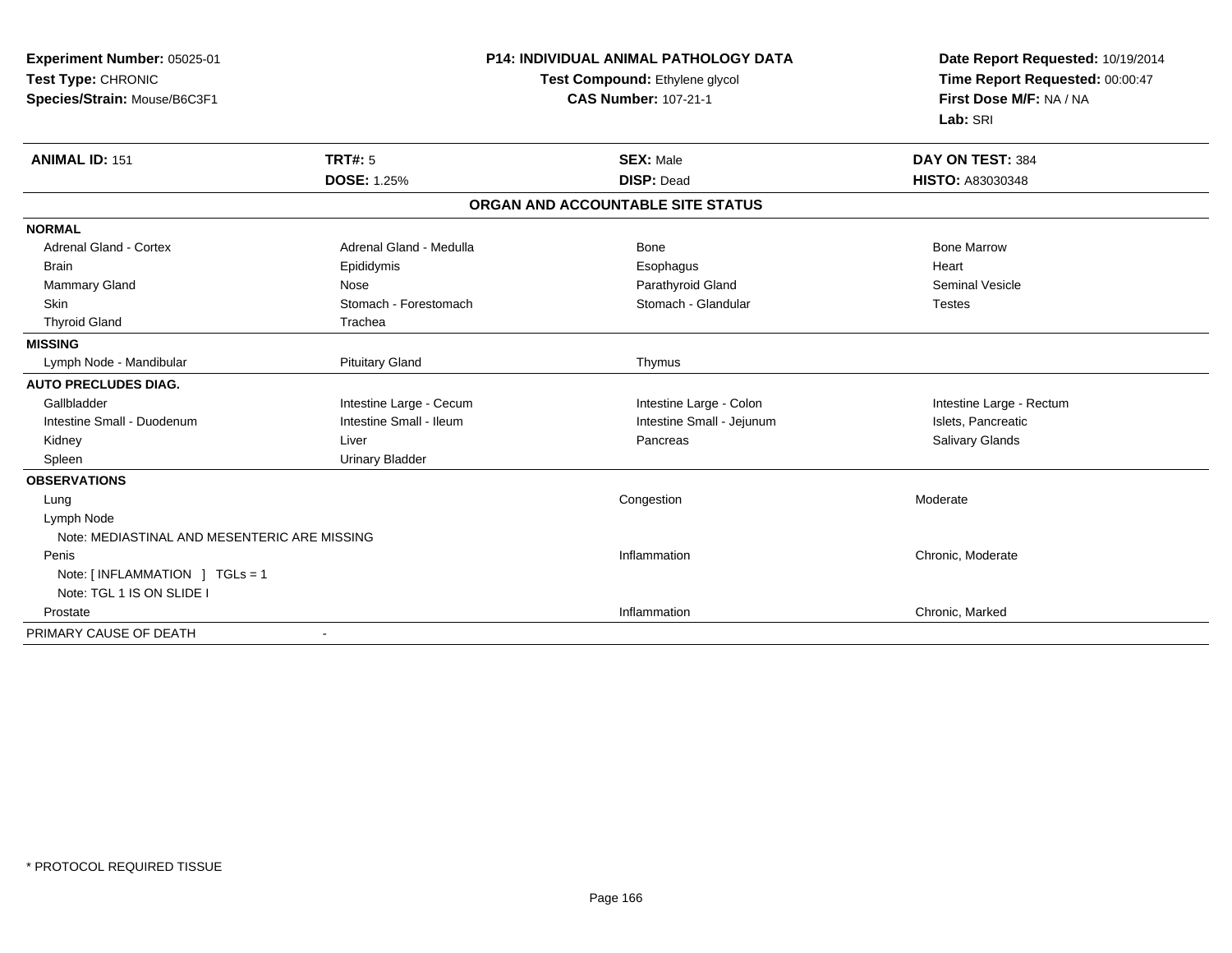| Experiment Number: 05025-01<br>Test Type: CHRONIC<br>Species/Strain: Mouse/B6C3F1 |                         | <b>P14: INDIVIDUAL ANIMAL PATHOLOGY DATA</b><br>Test Compound: Ethylene glycol<br><b>CAS Number: 107-21-1</b> | Date Report Requested: 10/19/2014<br>Time Report Requested: 00:00:47<br>First Dose M/F: NA / NA<br>Lab: SRI |
|-----------------------------------------------------------------------------------|-------------------------|---------------------------------------------------------------------------------------------------------------|-------------------------------------------------------------------------------------------------------------|
| <b>ANIMAL ID: 151</b>                                                             | <b>TRT#: 5</b>          | <b>SEX: Male</b>                                                                                              | DAY ON TEST: 384                                                                                            |
|                                                                                   | <b>DOSE: 1.25%</b>      | <b>DISP: Dead</b>                                                                                             | <b>HISTO: A83030348</b>                                                                                     |
|                                                                                   |                         | ORGAN AND ACCOUNTABLE SITE STATUS                                                                             |                                                                                                             |
| <b>NORMAL</b>                                                                     |                         |                                                                                                               |                                                                                                             |
| <b>Adrenal Gland - Cortex</b>                                                     | Adrenal Gland - Medulla | <b>Bone</b>                                                                                                   | <b>Bone Marrow</b>                                                                                          |
| <b>Brain</b>                                                                      | Epididymis              | Esophagus                                                                                                     | Heart                                                                                                       |
| Mammary Gland                                                                     | Nose                    | Parathyroid Gland                                                                                             | <b>Seminal Vesicle</b>                                                                                      |
| <b>Skin</b>                                                                       | Stomach - Forestomach   | Stomach - Glandular                                                                                           | <b>Testes</b>                                                                                               |
| <b>Thyroid Gland</b>                                                              | Trachea                 |                                                                                                               |                                                                                                             |
| <b>MISSING</b>                                                                    |                         |                                                                                                               |                                                                                                             |
| Lymph Node - Mandibular                                                           | <b>Pituitary Gland</b>  | Thymus                                                                                                        |                                                                                                             |
| <b>AUTO PRECLUDES DIAG.</b>                                                       |                         |                                                                                                               |                                                                                                             |
| Gallbladder                                                                       | Intestine Large - Cecum | Intestine Large - Colon                                                                                       | Intestine Large - Rectum                                                                                    |
| Intestine Small - Duodenum                                                        | Intestine Small - Ileum | Intestine Small - Jejunum                                                                                     | Islets, Pancreatic                                                                                          |
| Kidney                                                                            | Liver                   | Pancreas                                                                                                      | Salivary Glands                                                                                             |
| Spleen                                                                            | <b>Urinary Bladder</b>  |                                                                                                               |                                                                                                             |
| <b>OBSERVATIONS</b>                                                               |                         |                                                                                                               |                                                                                                             |
| Lung                                                                              |                         | Congestion                                                                                                    | Moderate                                                                                                    |
| Lymph Node                                                                        |                         |                                                                                                               |                                                                                                             |
| Note: MEDIASTINAL AND MESENTERIC ARE MISSING                                      |                         |                                                                                                               |                                                                                                             |
| Penis                                                                             |                         | Inflammation                                                                                                  | Chronic, Moderate                                                                                           |
| Note: [INFLAMMATION ] TGLs = 1                                                    |                         |                                                                                                               |                                                                                                             |
| Note: TGL 1 IS ON SLIDE I                                                         |                         |                                                                                                               |                                                                                                             |
| Prostate                                                                          |                         | Inflammation                                                                                                  | Chronic, Marked                                                                                             |
| PRIMARY CAUSE OF DEATH                                                            |                         |                                                                                                               |                                                                                                             |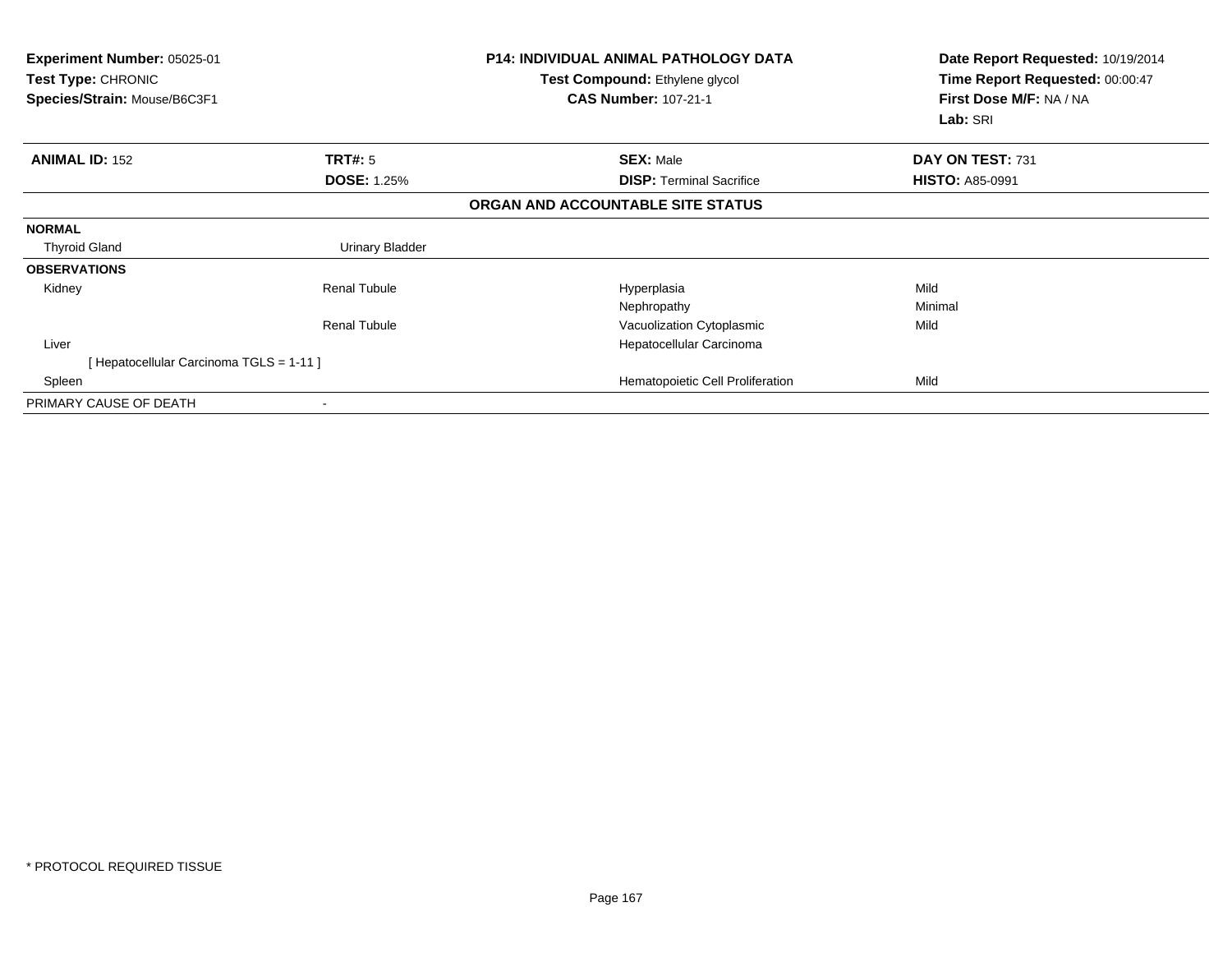| <b>Experiment Number: 05025-01</b><br>Test Type: CHRONIC<br>Species/Strain: Mouse/B6C3F1 |                        | <b>P14: INDIVIDUAL ANIMAL PATHOLOGY DATA</b><br>Test Compound: Ethylene glycol<br><b>CAS Number: 107-21-1</b> | Date Report Requested: 10/19/2014<br>Time Report Requested: 00:00:47<br>First Dose M/F: NA / NA<br>Lab: SRI |
|------------------------------------------------------------------------------------------|------------------------|---------------------------------------------------------------------------------------------------------------|-------------------------------------------------------------------------------------------------------------|
| <b>ANIMAL ID: 152</b>                                                                    | TRT#: 5                | <b>SEX: Male</b>                                                                                              | DAY ON TEST: 731                                                                                            |
|                                                                                          | <b>DOSE: 1.25%</b>     | <b>DISP:</b> Terminal Sacrifice                                                                               | <b>HISTO: A85-0991</b>                                                                                      |
|                                                                                          |                        | ORGAN AND ACCOUNTABLE SITE STATUS                                                                             |                                                                                                             |
| <b>NORMAL</b>                                                                            |                        |                                                                                                               |                                                                                                             |
| <b>Thyroid Gland</b>                                                                     | <b>Urinary Bladder</b> |                                                                                                               |                                                                                                             |
| <b>OBSERVATIONS</b>                                                                      |                        |                                                                                                               |                                                                                                             |
| Kidney                                                                                   | Renal Tubule           | Hyperplasia                                                                                                   | Mild                                                                                                        |
|                                                                                          |                        | Nephropathy                                                                                                   | Minimal                                                                                                     |
|                                                                                          | <b>Renal Tubule</b>    | Vacuolization Cytoplasmic                                                                                     | Mild                                                                                                        |
| Liver                                                                                    |                        | Hepatocellular Carcinoma                                                                                      |                                                                                                             |
| [ Hepatocellular Carcinoma TGLS = 1-11 ]                                                 |                        |                                                                                                               |                                                                                                             |
| Spleen                                                                                   |                        | Hematopoietic Cell Proliferation                                                                              | Mild                                                                                                        |
| PRIMARY CAUSE OF DEATH                                                                   |                        |                                                                                                               |                                                                                                             |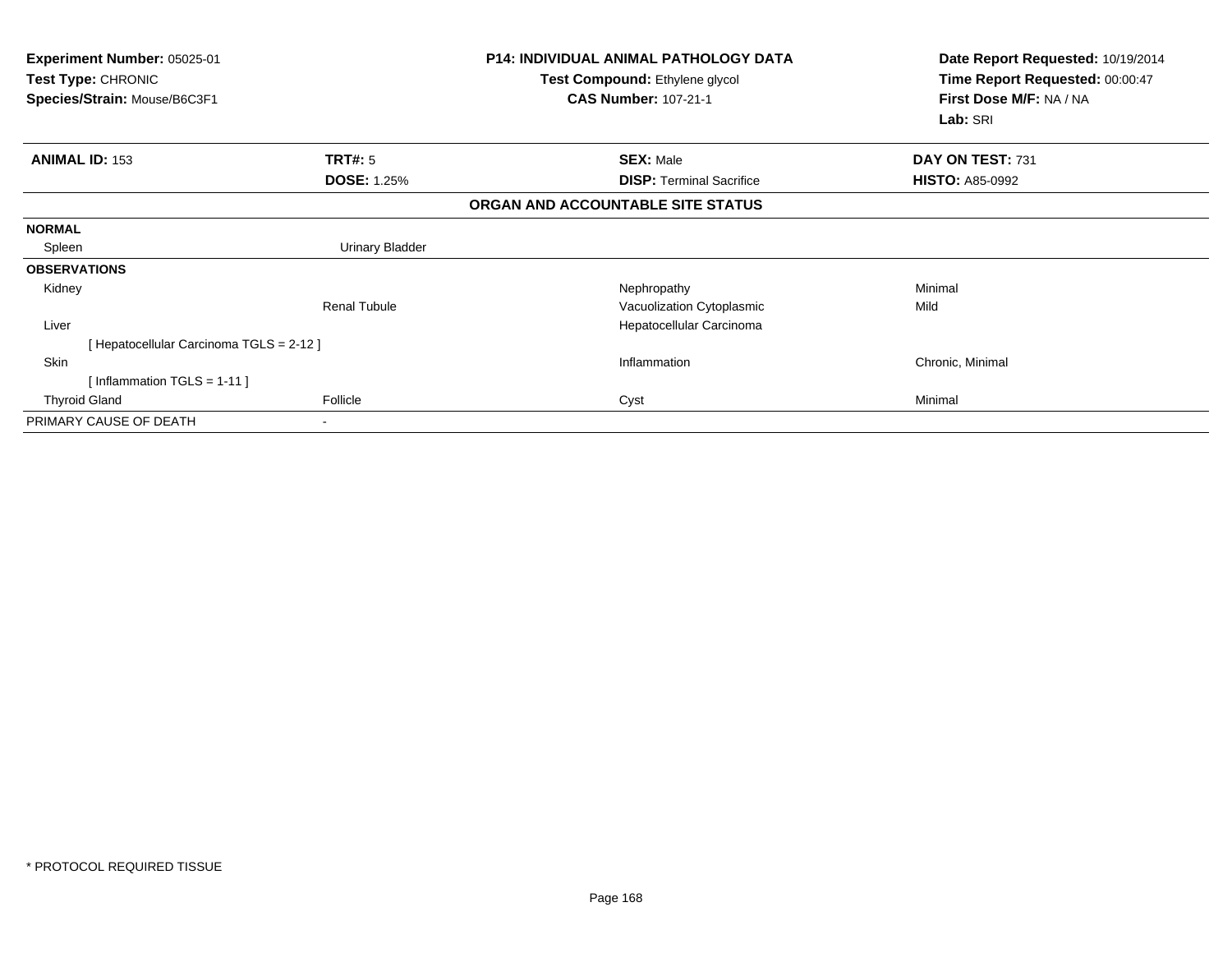| Experiment Number: 05025-01<br><b>Test Type: CHRONIC</b><br>Species/Strain: Mouse/B6C3F1 |                        | <b>P14: INDIVIDUAL ANIMAL PATHOLOGY DATA</b><br><b>Test Compound: Ethylene glycol</b><br><b>CAS Number: 107-21-1</b> | Date Report Requested: 10/19/2014<br>Time Report Requested: 00:00:47<br>First Dose M/F: NA / NA |  |
|------------------------------------------------------------------------------------------|------------------------|----------------------------------------------------------------------------------------------------------------------|-------------------------------------------------------------------------------------------------|--|
|                                                                                          |                        |                                                                                                                      | Lab: SRI                                                                                        |  |
| <b>ANIMAL ID: 153</b>                                                                    | TRT#: 5                | <b>SEX: Male</b>                                                                                                     | DAY ON TEST: 731                                                                                |  |
|                                                                                          | <b>DOSE: 1.25%</b>     | <b>DISP:</b> Terminal Sacrifice                                                                                      | <b>HISTO: A85-0992</b>                                                                          |  |
|                                                                                          |                        | ORGAN AND ACCOUNTABLE SITE STATUS                                                                                    |                                                                                                 |  |
| <b>NORMAL</b>                                                                            |                        |                                                                                                                      |                                                                                                 |  |
| Spleen                                                                                   | <b>Urinary Bladder</b> |                                                                                                                      |                                                                                                 |  |
| <b>OBSERVATIONS</b>                                                                      |                        |                                                                                                                      |                                                                                                 |  |
| Kidney                                                                                   |                        | Nephropathy                                                                                                          | Minimal                                                                                         |  |
|                                                                                          | <b>Renal Tubule</b>    | Vacuolization Cytoplasmic                                                                                            | Mild                                                                                            |  |
| Liver                                                                                    |                        | Hepatocellular Carcinoma                                                                                             |                                                                                                 |  |
| [ Hepatocellular Carcinoma TGLS = 2-12 ]                                                 |                        |                                                                                                                      |                                                                                                 |  |
| Skin                                                                                     |                        | Inflammation                                                                                                         | Chronic, Minimal                                                                                |  |
| [Inflammation TGLS = $1-11$ ]                                                            |                        |                                                                                                                      |                                                                                                 |  |
| <b>Thyroid Gland</b>                                                                     | Follicle               | Cyst                                                                                                                 | Minimal                                                                                         |  |
| PRIMARY CAUSE OF DEATH                                                                   |                        |                                                                                                                      |                                                                                                 |  |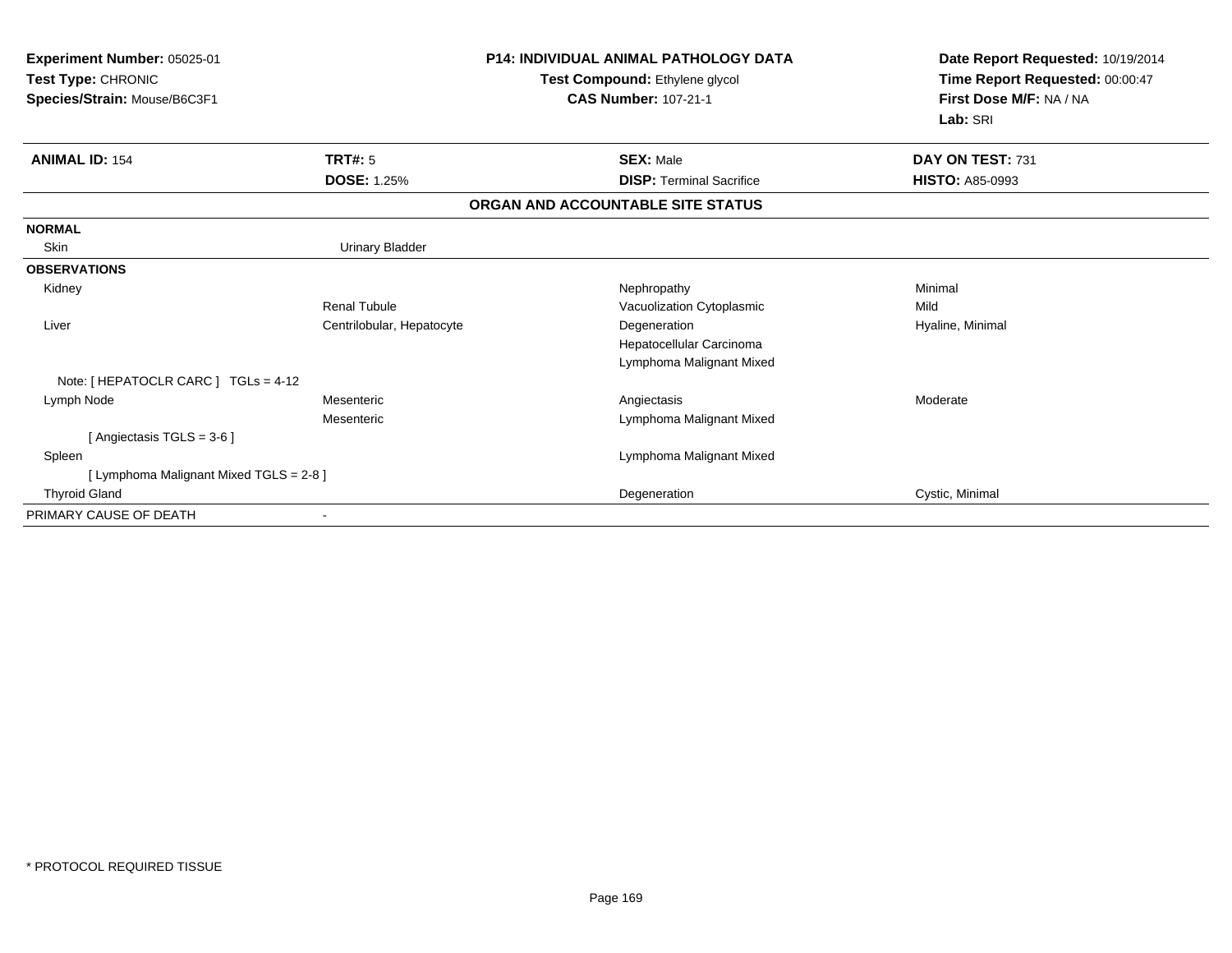| Experiment Number: 05025-01<br>Test Type: CHRONIC<br>Species/Strain: Mouse/B6C3F1 |                           | <b>P14: INDIVIDUAL ANIMAL PATHOLOGY DATA</b><br>Test Compound: Ethylene glycol<br><b>CAS Number: 107-21-1</b> | Date Report Requested: 10/19/2014<br>Time Report Requested: 00:00:47<br>First Dose M/F: NA / NA<br>Lab: SRI |
|-----------------------------------------------------------------------------------|---------------------------|---------------------------------------------------------------------------------------------------------------|-------------------------------------------------------------------------------------------------------------|
| <b>ANIMAL ID: 154</b>                                                             | TRT#: 5                   | <b>SEX: Male</b>                                                                                              | DAY ON TEST: 731                                                                                            |
|                                                                                   | <b>DOSE: 1.25%</b>        | <b>DISP: Terminal Sacrifice</b>                                                                               | <b>HISTO: A85-0993</b>                                                                                      |
|                                                                                   |                           | ORGAN AND ACCOUNTABLE SITE STATUS                                                                             |                                                                                                             |
| <b>NORMAL</b>                                                                     |                           |                                                                                                               |                                                                                                             |
| Skin                                                                              | <b>Urinary Bladder</b>    |                                                                                                               |                                                                                                             |
| <b>OBSERVATIONS</b>                                                               |                           |                                                                                                               |                                                                                                             |
| Kidney                                                                            |                           | Nephropathy                                                                                                   | Minimal                                                                                                     |
|                                                                                   | <b>Renal Tubule</b>       | Vacuolization Cytoplasmic                                                                                     | Mild                                                                                                        |
| Liver                                                                             | Centrilobular, Hepatocyte | Degeneration                                                                                                  | Hyaline, Minimal                                                                                            |
|                                                                                   |                           | Hepatocellular Carcinoma                                                                                      |                                                                                                             |
|                                                                                   |                           | Lymphoma Malignant Mixed                                                                                      |                                                                                                             |
| Note: [ HEPATOCLR CARC ] TGLs = 4-12                                              |                           |                                                                                                               |                                                                                                             |
| Lymph Node                                                                        | Mesenteric                | Angiectasis                                                                                                   | Moderate                                                                                                    |
|                                                                                   | Mesenteric                | Lymphoma Malignant Mixed                                                                                      |                                                                                                             |
| [ Angiectasis TGLS = $3-6$ ]                                                      |                           |                                                                                                               |                                                                                                             |
| Spleen                                                                            |                           | Lymphoma Malignant Mixed                                                                                      |                                                                                                             |
| [ Lymphoma Malignant Mixed TGLS = 2-8 ]                                           |                           |                                                                                                               |                                                                                                             |
| <b>Thyroid Gland</b>                                                              |                           | Degeneration                                                                                                  | Cystic, Minimal                                                                                             |
| PRIMARY CAUSE OF DEATH                                                            |                           |                                                                                                               |                                                                                                             |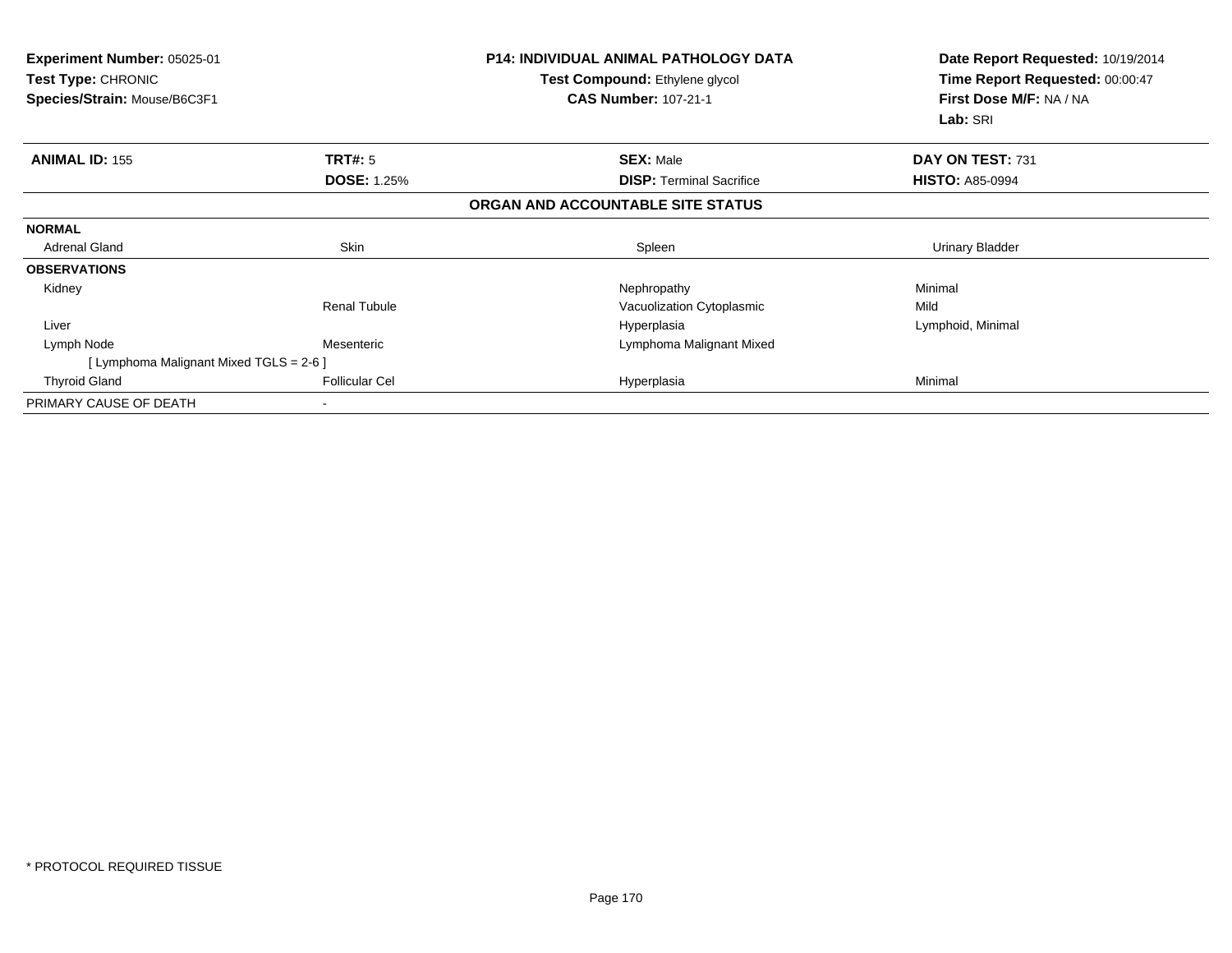| <b>Experiment Number: 05025-01</b><br>Test Type: CHRONIC<br>Species/Strain: Mouse/B6C3F1 |                       | <b>P14: INDIVIDUAL ANIMAL PATHOLOGY DATA</b><br>Test Compound: Ethylene glycol<br><b>CAS Number: 107-21-1</b> | Date Report Requested: 10/19/2014<br>Time Report Requested: 00:00:47<br>First Dose M/F: NA / NA<br>Lab: SRI |
|------------------------------------------------------------------------------------------|-----------------------|---------------------------------------------------------------------------------------------------------------|-------------------------------------------------------------------------------------------------------------|
| <b>ANIMAL ID: 155</b>                                                                    | TRT#: 5               | <b>SEX: Male</b>                                                                                              | DAY ON TEST: 731                                                                                            |
|                                                                                          | <b>DOSE: 1.25%</b>    | <b>DISP:</b> Terminal Sacrifice                                                                               | <b>HISTO: A85-0994</b>                                                                                      |
|                                                                                          |                       | ORGAN AND ACCOUNTABLE SITE STATUS                                                                             |                                                                                                             |
| <b>NORMAL</b>                                                                            |                       |                                                                                                               |                                                                                                             |
| <b>Adrenal Gland</b>                                                                     | Skin                  | Spleen                                                                                                        | <b>Urinary Bladder</b>                                                                                      |
| <b>OBSERVATIONS</b>                                                                      |                       |                                                                                                               |                                                                                                             |
| Kidney                                                                                   |                       | Nephropathy                                                                                                   | Minimal                                                                                                     |
|                                                                                          | <b>Renal Tubule</b>   | Vacuolization Cytoplasmic                                                                                     | Mild                                                                                                        |
| Liver                                                                                    |                       | Hyperplasia                                                                                                   | Lymphoid, Minimal                                                                                           |
| Lymph Node                                                                               | Mesenteric            | Lymphoma Malignant Mixed                                                                                      |                                                                                                             |
| [ Lymphoma Malignant Mixed TGLS = 2-6 ]                                                  |                       |                                                                                                               |                                                                                                             |
| <b>Thyroid Gland</b>                                                                     | <b>Follicular Cel</b> | Hyperplasia                                                                                                   | Minimal                                                                                                     |
| PRIMARY CAUSE OF DEATH                                                                   |                       |                                                                                                               |                                                                                                             |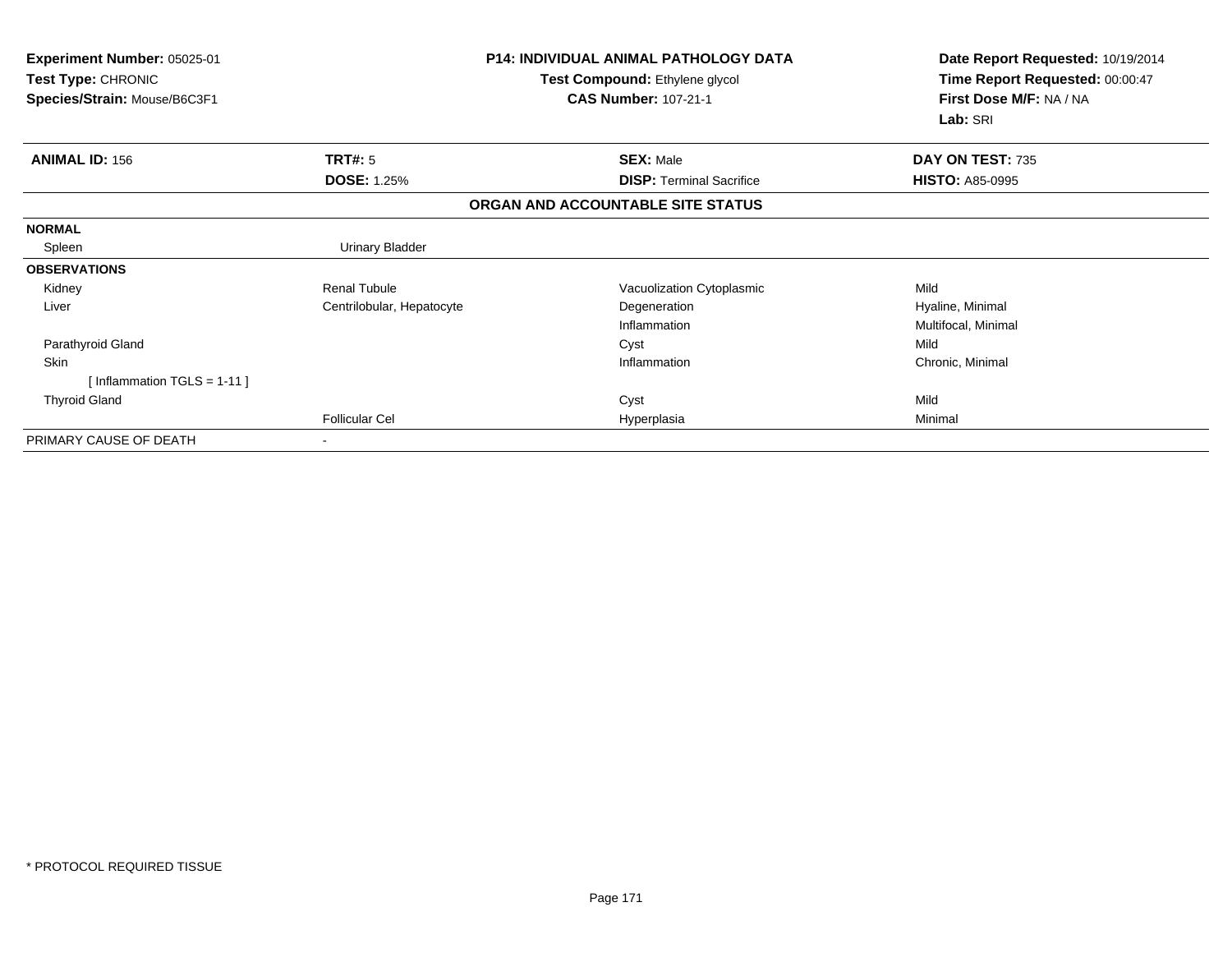| <b>Experiment Number: 05025-01</b><br>Test Type: CHRONIC<br>Species/Strain: Mouse/B6C3F1 |                           | P14: INDIVIDUAL ANIMAL PATHOLOGY DATA<br>Test Compound: Ethylene glycol<br><b>CAS Number: 107-21-1</b> | Date Report Requested: 10/19/2014<br>Time Report Requested: 00:00:47<br>First Dose M/F: NA / NA<br>Lab: SRI |
|------------------------------------------------------------------------------------------|---------------------------|--------------------------------------------------------------------------------------------------------|-------------------------------------------------------------------------------------------------------------|
| <b>ANIMAL ID: 156</b>                                                                    | TRT#: 5                   | <b>SEX: Male</b>                                                                                       | DAY ON TEST: 735                                                                                            |
|                                                                                          | <b>DOSE: 1.25%</b>        | <b>DISP: Terminal Sacrifice</b>                                                                        | <b>HISTO: A85-0995</b>                                                                                      |
|                                                                                          |                           | ORGAN AND ACCOUNTABLE SITE STATUS                                                                      |                                                                                                             |
| <b>NORMAL</b>                                                                            |                           |                                                                                                        |                                                                                                             |
| Spleen                                                                                   | <b>Urinary Bladder</b>    |                                                                                                        |                                                                                                             |
| <b>OBSERVATIONS</b>                                                                      |                           |                                                                                                        |                                                                                                             |
| Kidney                                                                                   | <b>Renal Tubule</b>       | Vacuolization Cytoplasmic                                                                              | Mild                                                                                                        |
| Liver                                                                                    | Centrilobular, Hepatocyte | Degeneration                                                                                           | Hyaline, Minimal                                                                                            |
|                                                                                          |                           | Inflammation                                                                                           | Multifocal, Minimal                                                                                         |
| Parathyroid Gland                                                                        |                           | Cyst                                                                                                   | Mild                                                                                                        |
| <b>Skin</b>                                                                              |                           | Inflammation                                                                                           | Chronic, Minimal                                                                                            |
| [Inflammation TGLS = $1-11$ ]                                                            |                           |                                                                                                        |                                                                                                             |
| <b>Thyroid Gland</b>                                                                     |                           | Cyst                                                                                                   | Mild                                                                                                        |
|                                                                                          | <b>Follicular Cel</b>     | Hyperplasia                                                                                            | Minimal                                                                                                     |
| PRIMARY CAUSE OF DEATH                                                                   | ۰                         |                                                                                                        |                                                                                                             |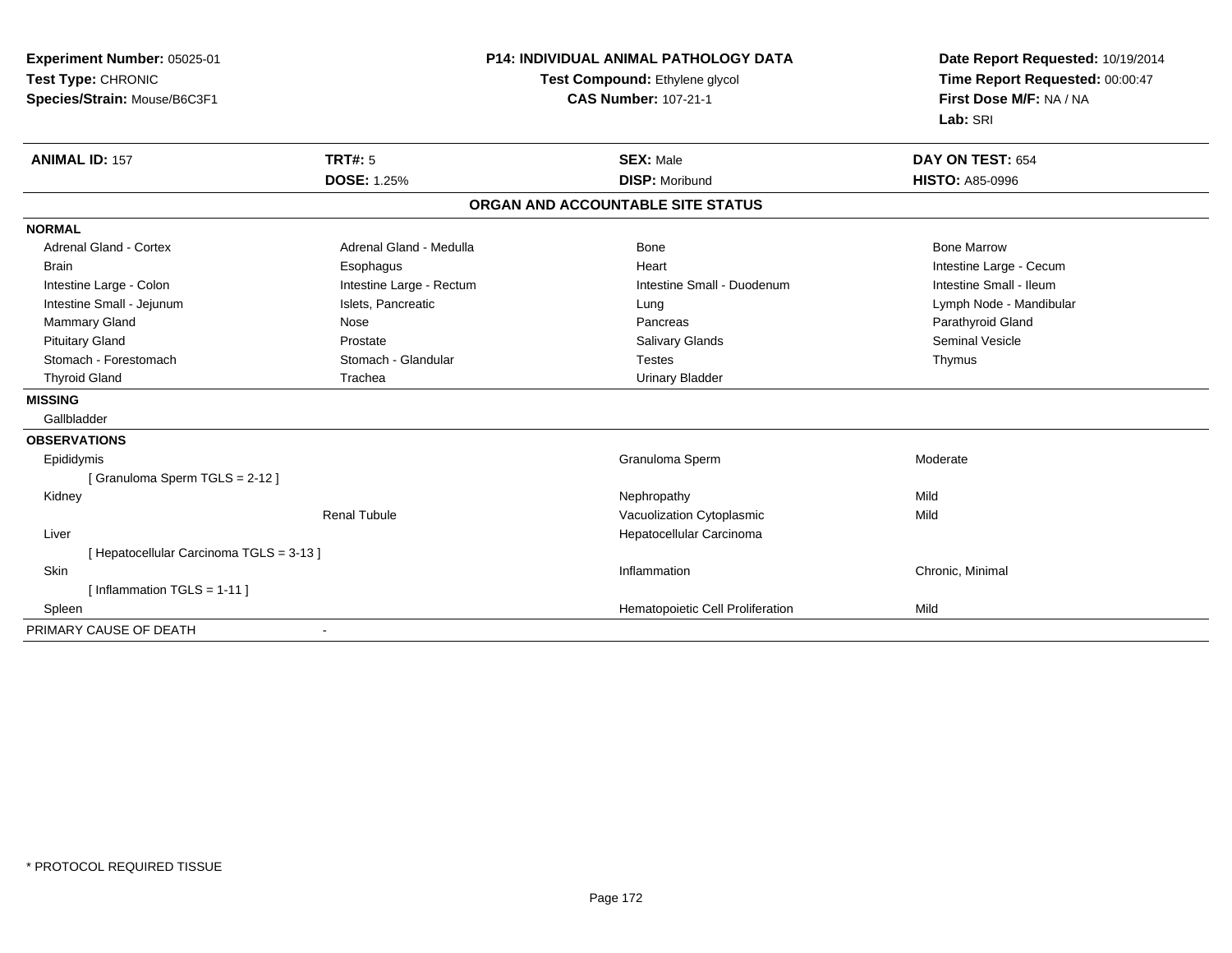| Experiment Number: 05025-01            |                          | <b>P14: INDIVIDUAL ANIMAL PATHOLOGY DATA</b> | Date Report Requested: 10/19/2014 |
|----------------------------------------|--------------------------|----------------------------------------------|-----------------------------------|
| Test Type: CHRONIC                     |                          | Test Compound: Ethylene glycol               | Time Report Requested: 00:00:47   |
| Species/Strain: Mouse/B6C3F1           |                          | <b>CAS Number: 107-21-1</b>                  | First Dose M/F: NA / NA           |
|                                        |                          |                                              | Lab: SRI                          |
| <b>ANIMAL ID: 157</b>                  | TRT#: 5                  | <b>SEX: Male</b>                             | DAY ON TEST: 654                  |
|                                        | <b>DOSE: 1.25%</b>       | <b>DISP: Moribund</b>                        | <b>HISTO: A85-0996</b>            |
|                                        |                          | ORGAN AND ACCOUNTABLE SITE STATUS            |                                   |
| <b>NORMAL</b>                          |                          |                                              |                                   |
| <b>Adrenal Gland - Cortex</b>          | Adrenal Gland - Medulla  | <b>Bone</b>                                  | <b>Bone Marrow</b>                |
| <b>Brain</b>                           | Esophagus                | Heart                                        | Intestine Large - Cecum           |
| Intestine Large - Colon                | Intestine Large - Rectum | Intestine Small - Duodenum                   | Intestine Small - Ileum           |
| Intestine Small - Jejunum              | Islets, Pancreatic       | Lung                                         | Lymph Node - Mandibular           |
| Mammary Gland                          | Nose                     | Pancreas                                     | Parathyroid Gland                 |
| <b>Pituitary Gland</b>                 | Prostate                 | <b>Salivary Glands</b>                       | <b>Seminal Vesicle</b>            |
| Stomach - Forestomach                  | Stomach - Glandular      | <b>Testes</b>                                | Thymus                            |
| <b>Thyroid Gland</b>                   | Trachea                  | <b>Urinary Bladder</b>                       |                                   |
| <b>MISSING</b>                         |                          |                                              |                                   |
| Gallbladder                            |                          |                                              |                                   |
| <b>OBSERVATIONS</b>                    |                          |                                              |                                   |
| Epididymis                             |                          | Granuloma Sperm                              | Moderate                          |
| [Granuloma Sperm TGLS = 2-12]          |                          |                                              |                                   |
| Kidney                                 |                          | Nephropathy                                  | Mild                              |
|                                        | <b>Renal Tubule</b>      | Vacuolization Cytoplasmic                    | Mild                              |
| Liver                                  |                          | Hepatocellular Carcinoma                     |                                   |
| [Hepatocellular Carcinoma TGLS = 3-13] |                          |                                              |                                   |
| <b>Skin</b>                            |                          | Inflammation                                 | Chronic, Minimal                  |
| [Inflammation TGLS = $1-11$ ]          |                          |                                              |                                   |
| Spleen                                 |                          | Hematopoietic Cell Proliferation             | Mild                              |
| PRIMARY CAUSE OF DEATH                 |                          |                                              |                                   |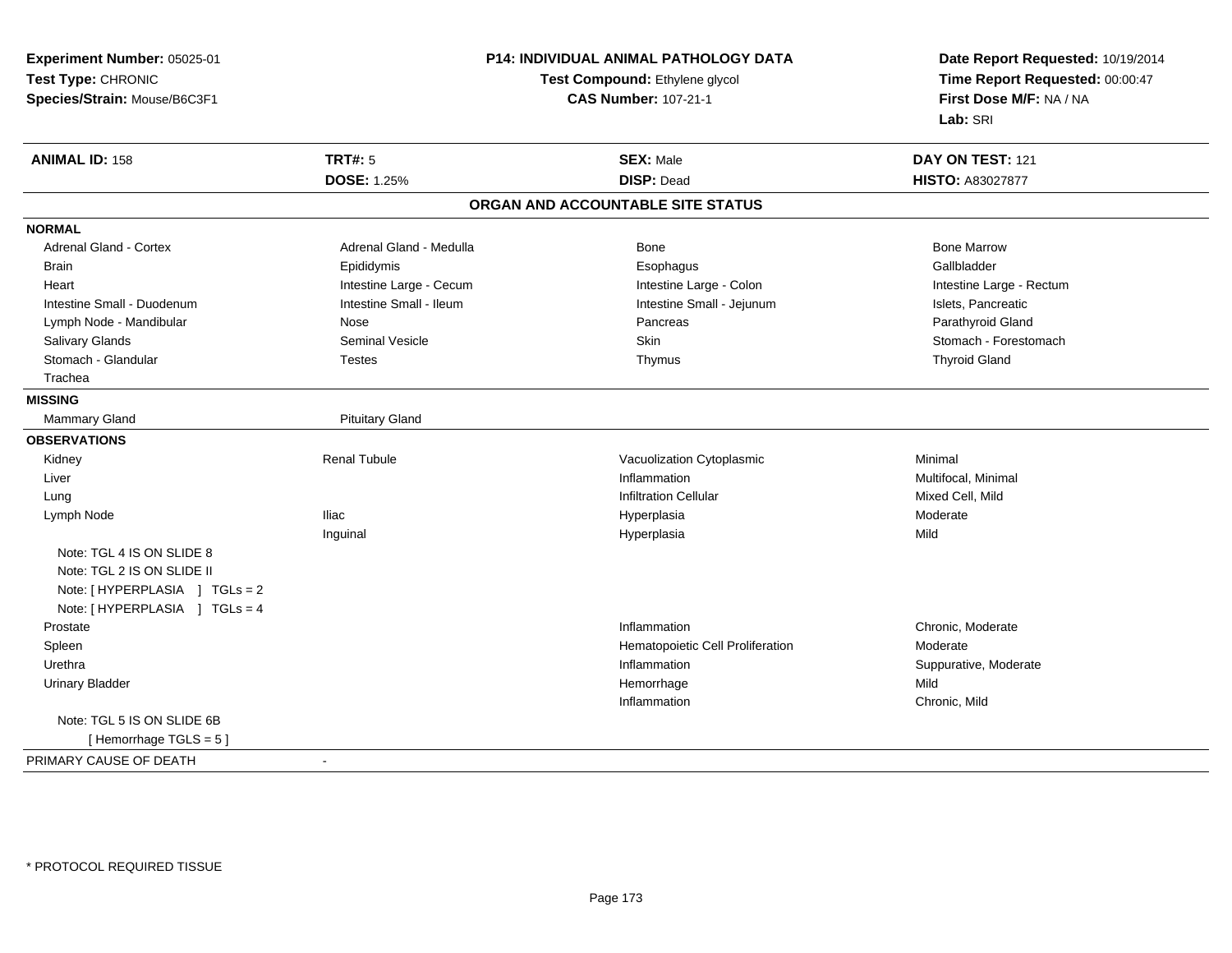**Experiment Number:** 05025-01**Test Type:** CHRONIC **Species/Strain:** Mouse/B6C3F1**P14: INDIVIDUAL ANIMAL PATHOLOGY DATATest Compound:** Ethylene glycol **CAS Number:** 107-21-1**Date Report Requested:** 10/19/2014**Time Report Requested:** 00:00:47**First Dose M/F:** NA / NA**Lab:** SRI**ANIMAL ID:** 158**TRT#:** 5 **SEX:** Male **SEX:** Male **DAY ON TEST:** 121 **DOSE:** 1.25% **DISP:** Dead **HISTO:** A83027877 **ORGAN AND ACCOUNTABLE SITE STATUSNORMALAdrenal Gland - Cortex** Adrenal Gland - Medulla **Bone Adrenal Gland - Cortex Adrenal Gland - Cortex Adrenal Gland - Medulla** Bone Marrow Gallbladder Brain Epididymis Epididymis and the Brook of the Brook of the Brook of the Brook of the Gallbladder of the Gallbladder Heart **Intestine Large - Cecum** Intestine Large - Cecum Intestine Large - Colon Intestine Large - Rectum Intestine Small - Duodenum **Intestine Small - Ileum** Intestine Small - Ileum Intestine Small - Jejunum Intestine Small - Jejunum Islets, Pancreatic Parathvroid Gland Lymph Node - Mandibular Nose Pancreas Pancreas Pancreas Pancreas Pancreas Pancreas Pancreas Pancreas Pancreas Salivary Glands Subsett Seminal Vesicle Seminal Vesicle Skin Stomach - Forestomach - Stomach - Forestomach - Stomach - Forestomach - Stomach - Stomach - Stomach - Stomach - Stomach - Stomach - Stomach - Stomach - Stomach - Stomach - Glandular Testes Thymus Thyroid Gland Trachea**MISSING**Mammary Gland **Pituitary Gland OBSERVATIONS** Kidney Renal TubuleVacuolization Cytoplasmic<br>
Inflammation Multifoc Liver**Inflammation Inflammation** Inflammation<br>
Infiltration Cellular<br>
Mixed Cell. Mild Lungg is a state of the contract of the contract of the contract of the contract of the contract of the contract of  $\mathbf{I}$  infiltration Cellular  $\mathbf{I}$  Mixed Cell, Mild Lymph Node Iliac Hyperplasia Moderate Inguinal Hyperplasiaa Mild Note: TGL 4 IS ON SLIDE 8 Note: TGL 2 IS ON SLIDE IINote: [ HYPERPLASIA ] TGLs = 2 Note: [ HYPERPLASIA ] TGLs = 4 Prostatee and the chronic, Moderate and the chronic method of the chronic method of the chronic method of the chronic, Moderate and the chronic method of the chronic method of the chronic method of the chronic method of the chroni SpleenHematopoietic Cell Proliferation<br>
Inflammation Moderate<br>
Suppurative, Moderate Urethraa inflammation in the support of the support of the support of the support of the support of the support of the support of  $\mathbf S$ uppurative, Moderate Urinary Bladderr and the state of the state of the state of the state of the state of the state of the state of the state of the state of the state of the state of the state of the state of the state of the state of the state of the stat e Mild Inflammation Chronic, Mild Note: TGL 5 IS ON SLIDE 6B [ Hemorrhage TGLS = 5 ]PRIMARY CAUSE OF DEATH-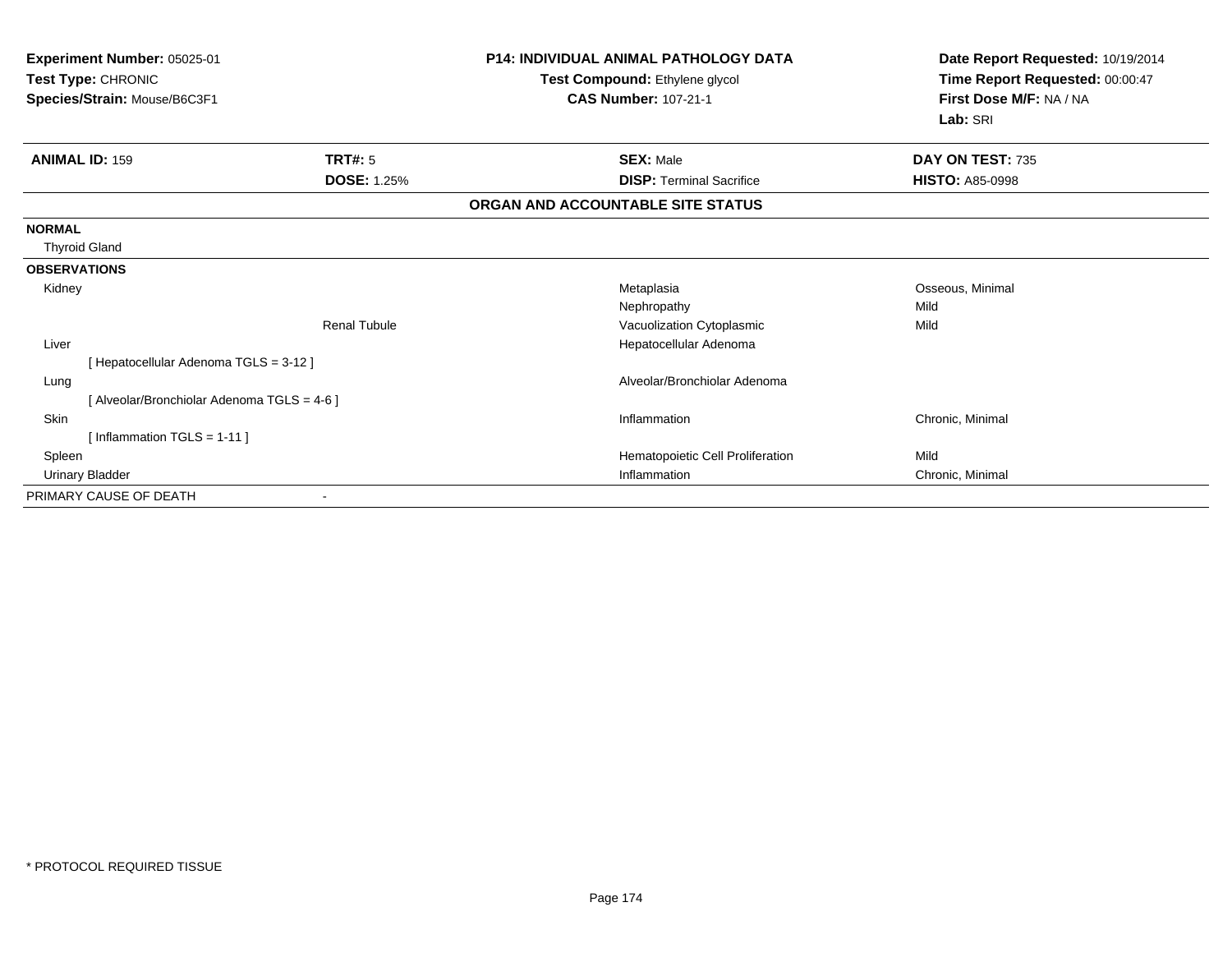| Experiment Number: 05025-01<br>Test Type: CHRONIC<br>Species/Strain: Mouse/B6C3F1 |                     | <b>P14: INDIVIDUAL ANIMAL PATHOLOGY DATA</b><br>Test Compound: Ethylene glycol<br><b>CAS Number: 107-21-1</b> | Date Report Requested: 10/19/2014<br>Time Report Requested: 00:00:47<br>First Dose M/F: NA / NA |
|-----------------------------------------------------------------------------------|---------------------|---------------------------------------------------------------------------------------------------------------|-------------------------------------------------------------------------------------------------|
|                                                                                   |                     |                                                                                                               | Lab: SRI                                                                                        |
| <b>ANIMAL ID: 159</b>                                                             | TRT#: 5             | <b>SEX: Male</b>                                                                                              | DAY ON TEST: 735                                                                                |
|                                                                                   | <b>DOSE: 1.25%</b>  | <b>DISP: Terminal Sacrifice</b>                                                                               | <b>HISTO: A85-0998</b>                                                                          |
|                                                                                   |                     | ORGAN AND ACCOUNTABLE SITE STATUS                                                                             |                                                                                                 |
| <b>NORMAL</b>                                                                     |                     |                                                                                                               |                                                                                                 |
| <b>Thyroid Gland</b>                                                              |                     |                                                                                                               |                                                                                                 |
| <b>OBSERVATIONS</b>                                                               |                     |                                                                                                               |                                                                                                 |
| Kidney                                                                            |                     | Metaplasia                                                                                                    | Osseous, Minimal                                                                                |
|                                                                                   |                     | Nephropathy                                                                                                   | Mild                                                                                            |
|                                                                                   | <b>Renal Tubule</b> | Vacuolization Cytoplasmic                                                                                     | Mild                                                                                            |
| Liver                                                                             |                     | Hepatocellular Adenoma                                                                                        |                                                                                                 |
| [ Hepatocellular Adenoma TGLS = 3-12 ]                                            |                     |                                                                                                               |                                                                                                 |
| Lung                                                                              |                     | Alveolar/Bronchiolar Adenoma                                                                                  |                                                                                                 |
| [ Alveolar/Bronchiolar Adenoma TGLS = 4-6 ]                                       |                     |                                                                                                               |                                                                                                 |
| Skin                                                                              |                     | Inflammation                                                                                                  | Chronic, Minimal                                                                                |
| [Inflammation TGLS = $1-11$ ]                                                     |                     |                                                                                                               |                                                                                                 |
| Spleen                                                                            |                     | Hematopoietic Cell Proliferation                                                                              | Mild                                                                                            |
| <b>Urinary Bladder</b>                                                            |                     | Inflammation                                                                                                  | Chronic, Minimal                                                                                |
| PRIMARY CAUSE OF DEATH                                                            |                     |                                                                                                               |                                                                                                 |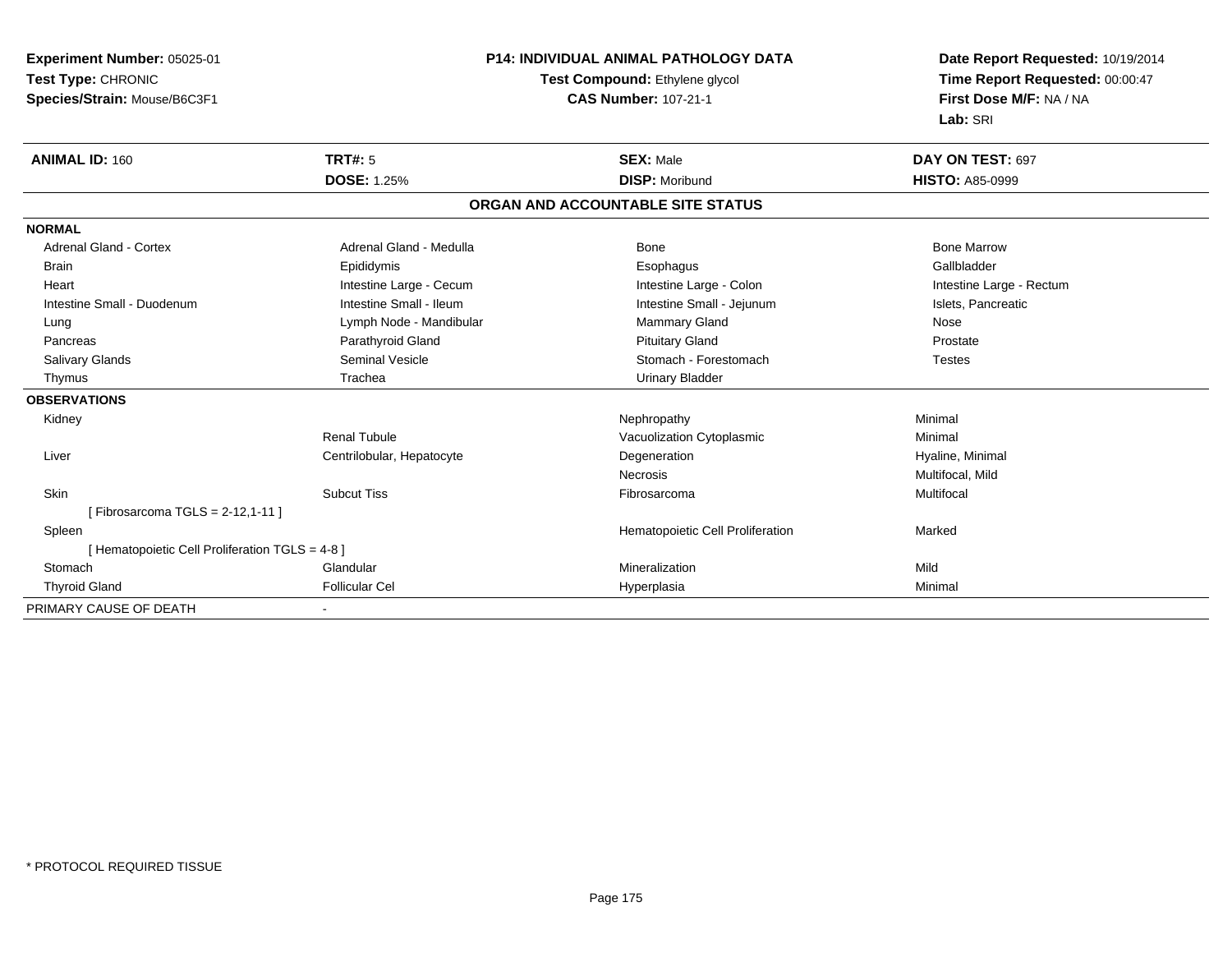**Experiment Number:** 05025-01**Test Type:** CHRONIC **Species/Strain:** Mouse/B6C3F1**P14: INDIVIDUAL ANIMAL PATHOLOGY DATATest Compound:** Ethylene glycol **CAS Number:** 107-21-1**Date Report Requested:** 10/19/2014**Time Report Requested:** 00:00:47**First Dose M/F:** NA / NA**Lab:** SRI**ANIMAL ID:** 160**TRT#:** 5 **SEX:** Male **DAY ON TEST:** 697 **DOSE:** 1.25% **DISP:** Moribund **HISTO:** A85-0999 **ORGAN AND ACCOUNTABLE SITE STATUSNORMALAdrenal Gland - Cortex**  Adrenal Gland - Cortex Adrenal Gland - Medulla Bone Bone MarrowGallbladder Brain Epididymis Epididymis and the Brook of the Brook of the Brook of the Brook of the Gallbladder of the Gallbladder Heart **Intestine Large - Cecum** Intestine Large - Cecum Intestine Large - Colon Intestine Large - Rectum Intestine Small - Duodenum **Intestine Small - Ileum** Intestine Small - Ileum Intestine Small - Jejunum Intestine Small - Jejunum Islets, Pancreatic Lung **Lymph Node - Mandibular Mammary Gland Nose** Mose Nose Prostate Pancreas **Parathyroid Gland Prostate Parathyroid Gland** Prostate Prostate Prostate Prostate Salivary Glands **Seminal Vesicle** Seminal Vesicle Stomach - Forestomach - Stomach - Stomach - Stomach - Stomach - Stomach - Stomach - Stomach - Stomach - Stomach - Stomach - Stomach - Stomach - Stomach - Stomach - Stomach Thymus Trachea Urinary Bladder**OBSERVATIONS** Kidneyy the controller of the controller of the controller of the Nephropathy the controller of the Minimal Minimal  $\lambda$ Renal TubuleVacuolization Cytoplasmic **Minimal**  Liver Centrilobular, HepatocyteDegeneration **Hyaline**, Minimal Necrosis Multifocal, Mild Skinn and the Subcut Tiss the Subset of the Subcut Tiss of the Subset of the Subset of Tissan and The Subset of Tis [ Fibrosarcoma TGLS = 2-12,1-11 ] SpleenHematopoietic Cell Proliferation Marked [ Hematopoietic Cell Proliferation TGLS = 4-8 ] Stomachh ann an Glandular ann an Dùbhadais ann an Mìleanaichean Mhìleanachas ann an Mìleanas an Mìleanas an Mìleanas<br>Iomraidhean Thyroid Gland Follicular Cel Hyperplasia Minimal PRIMARY CAUSE OF DEATH-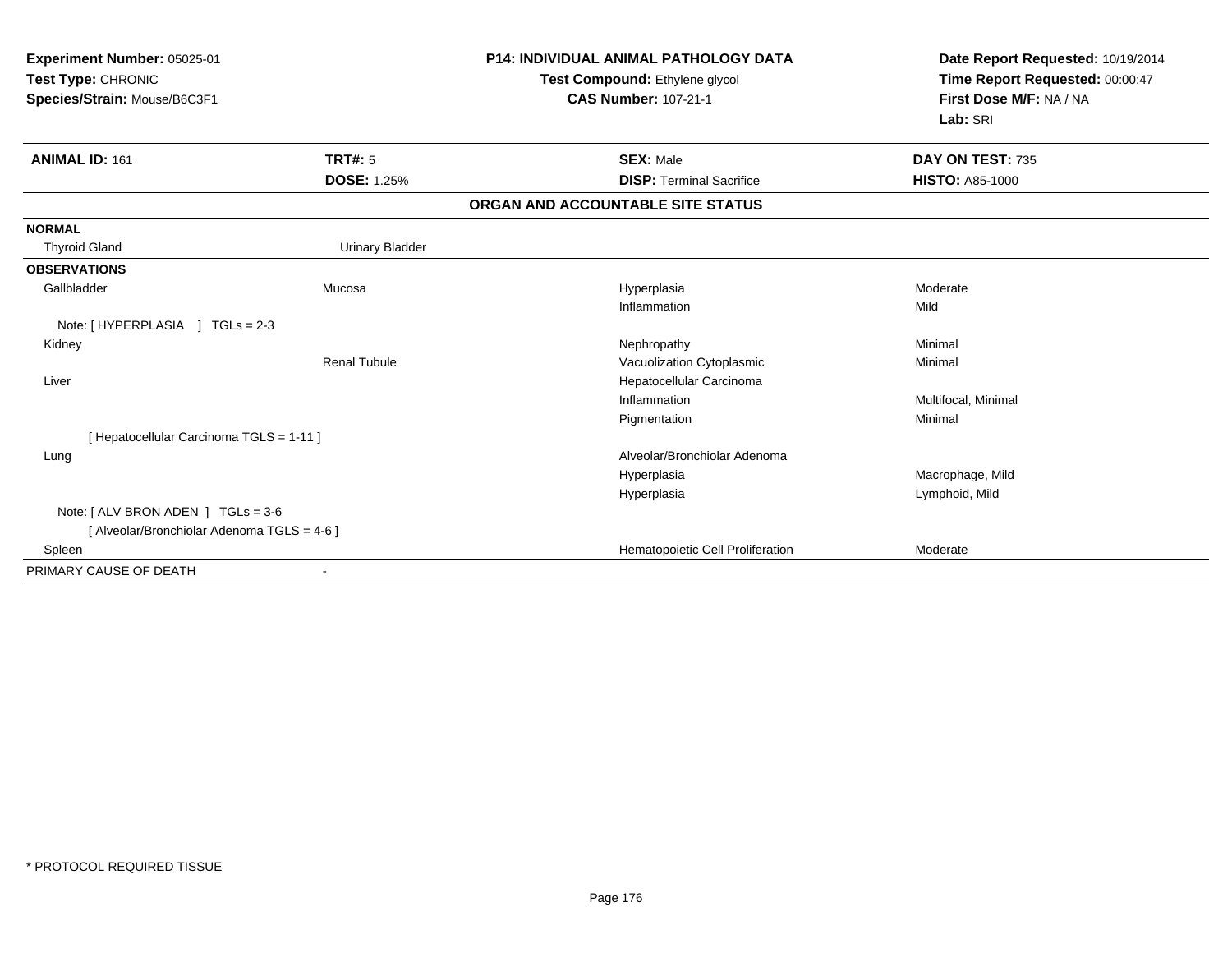| Experiment Number: 05025-01<br>Test Type: CHRONIC<br>Species/Strain: Mouse/B6C3F1 |                        | <b>P14: INDIVIDUAL ANIMAL PATHOLOGY DATA</b><br>Test Compound: Ethylene glycol<br><b>CAS Number: 107-21-1</b> | Date Report Requested: 10/19/2014<br>Time Report Requested: 00:00:47<br>First Dose M/F: NA / NA<br>Lab: SRI |
|-----------------------------------------------------------------------------------|------------------------|---------------------------------------------------------------------------------------------------------------|-------------------------------------------------------------------------------------------------------------|
| <b>ANIMAL ID: 161</b>                                                             | TRT#: 5                | <b>SEX: Male</b>                                                                                              | DAY ON TEST: 735                                                                                            |
|                                                                                   | <b>DOSE: 1.25%</b>     | <b>DISP: Terminal Sacrifice</b>                                                                               | <b>HISTO: A85-1000</b>                                                                                      |
|                                                                                   |                        | ORGAN AND ACCOUNTABLE SITE STATUS                                                                             |                                                                                                             |
| <b>NORMAL</b>                                                                     |                        |                                                                                                               |                                                                                                             |
| <b>Thyroid Gland</b>                                                              | <b>Urinary Bladder</b> |                                                                                                               |                                                                                                             |
| <b>OBSERVATIONS</b>                                                               |                        |                                                                                                               |                                                                                                             |
| Gallbladder                                                                       | Mucosa                 | Hyperplasia                                                                                                   | Moderate                                                                                                    |
|                                                                                   |                        | Inflammation                                                                                                  | Mild                                                                                                        |
| Note: [HYPERPLASIA ] TGLs = 2-3                                                   |                        |                                                                                                               |                                                                                                             |
| Kidney                                                                            |                        | Nephropathy                                                                                                   | Minimal                                                                                                     |
|                                                                                   | <b>Renal Tubule</b>    | Vacuolization Cytoplasmic                                                                                     | Minimal                                                                                                     |
| Liver                                                                             |                        | Hepatocellular Carcinoma                                                                                      |                                                                                                             |
|                                                                                   |                        | Inflammation                                                                                                  | Multifocal, Minimal                                                                                         |
|                                                                                   |                        | Pigmentation                                                                                                  | Minimal                                                                                                     |
| [ Hepatocellular Carcinoma TGLS = 1-11 ]                                          |                        |                                                                                                               |                                                                                                             |
| Lung                                                                              |                        | Alveolar/Bronchiolar Adenoma                                                                                  |                                                                                                             |
|                                                                                   |                        | Hyperplasia                                                                                                   | Macrophage, Mild                                                                                            |
|                                                                                   |                        | Hyperplasia                                                                                                   | Lymphoid, Mild                                                                                              |
| Note: $[ALV$ BRON ADEN $]$ TGLs = 3-6                                             |                        |                                                                                                               |                                                                                                             |
| [ Alveolar/Bronchiolar Adenoma TGLS = 4-6 ]                                       |                        |                                                                                                               |                                                                                                             |
| Spleen                                                                            |                        | Hematopoietic Cell Proliferation                                                                              | Moderate                                                                                                    |
| PRIMARY CAUSE OF DEATH                                                            |                        |                                                                                                               |                                                                                                             |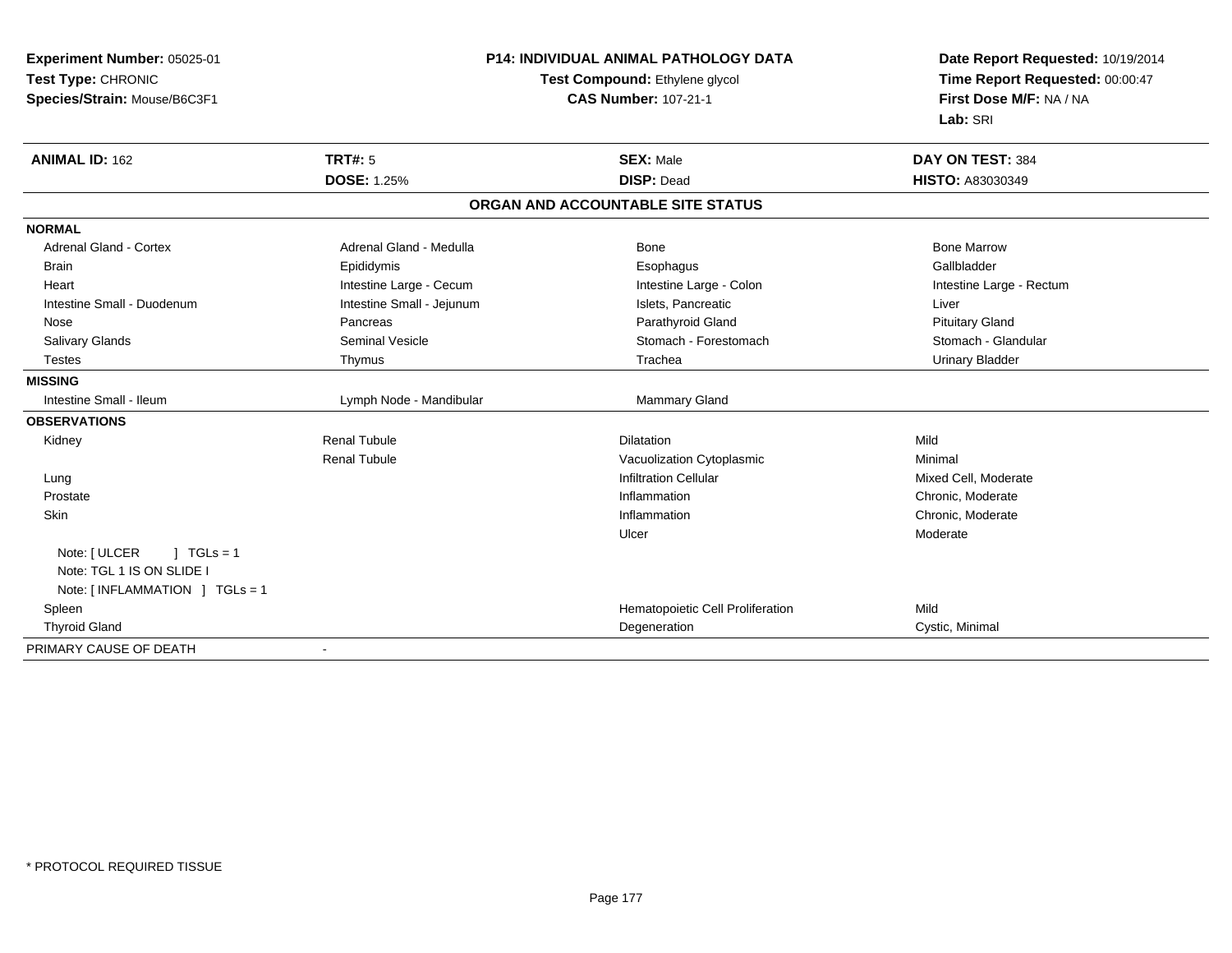| Experiment Number: 05025-01                             | <b>P14: INDIVIDUAL ANIMAL PATHOLOGY DATA</b> | Date Report Requested: 10/19/2014<br>Time Report Requested: 00:00:47 |
|---------------------------------------------------------|----------------------------------------------|----------------------------------------------------------------------|
| Test Type: CHRONIC                                      | Test Compound: Ethylene glycol               |                                                                      |
| Species/Strain: Mouse/B6C3F1                            | <b>CAS Number: 107-21-1</b>                  | First Dose M/F: NA / NA                                              |
|                                                         |                                              | Lab: SRI                                                             |
| <b>TRT#: 5</b><br><b>ANIMAL ID: 162</b>                 | <b>SEX: Male</b>                             | DAY ON TEST: 384                                                     |
| <b>DOSE: 1.25%</b>                                      | <b>DISP: Dead</b>                            | <b>HISTO: A83030349</b>                                              |
|                                                         | ORGAN AND ACCOUNTABLE SITE STATUS            |                                                                      |
| <b>NORMAL</b>                                           |                                              |                                                                      |
| Adrenal Gland - Cortex<br>Adrenal Gland - Medulla       | Bone                                         | <b>Bone Marrow</b>                                                   |
| Epididymis<br><b>Brain</b>                              | Esophagus                                    | Gallbladder                                                          |
| Intestine Large - Cecum<br>Heart                        | Intestine Large - Colon                      | Intestine Large - Rectum                                             |
| Intestine Small - Duodenum<br>Intestine Small - Jejunum | Islets, Pancreatic                           | Liver                                                                |
| Pancreas<br>Nose                                        | Parathyroid Gland                            | <b>Pituitary Gland</b>                                               |
| <b>Seminal Vesicle</b><br>Salivary Glands               | Stomach - Forestomach                        | Stomach - Glandular                                                  |
| Thymus<br><b>Testes</b>                                 | Trachea                                      | <b>Urinary Bladder</b>                                               |
| <b>MISSING</b>                                          |                                              |                                                                      |
| Intestine Small - Ileum<br>Lymph Node - Mandibular      | Mammary Gland                                |                                                                      |
| <b>OBSERVATIONS</b>                                     |                                              |                                                                      |
| Renal Tubule<br>Kidney                                  | <b>Dilatation</b>                            | Mild                                                                 |
| <b>Renal Tubule</b>                                     | Vacuolization Cytoplasmic                    | Minimal                                                              |
| Lung                                                    | <b>Infiltration Cellular</b>                 | Mixed Cell, Moderate                                                 |
| Prostate                                                | Inflammation                                 | Chronic, Moderate                                                    |
| Skin                                                    | Inflammation                                 | Chronic, Moderate                                                    |
|                                                         | Ulcer                                        | Moderate                                                             |
| Note: [ ULCER<br>$1 TGLs = 1$                           |                                              |                                                                      |
| Note: TGL 1 IS ON SLIDE I                               |                                              |                                                                      |
| Note: [INFLAMMATION ] TGLs = 1                          |                                              |                                                                      |
| Spleen                                                  | Hematopoietic Cell Proliferation             | Mild                                                                 |
| <b>Thyroid Gland</b>                                    | Degeneration                                 | Cystic, Minimal                                                      |
| PRIMARY CAUSE OF DEATH                                  |                                              |                                                                      |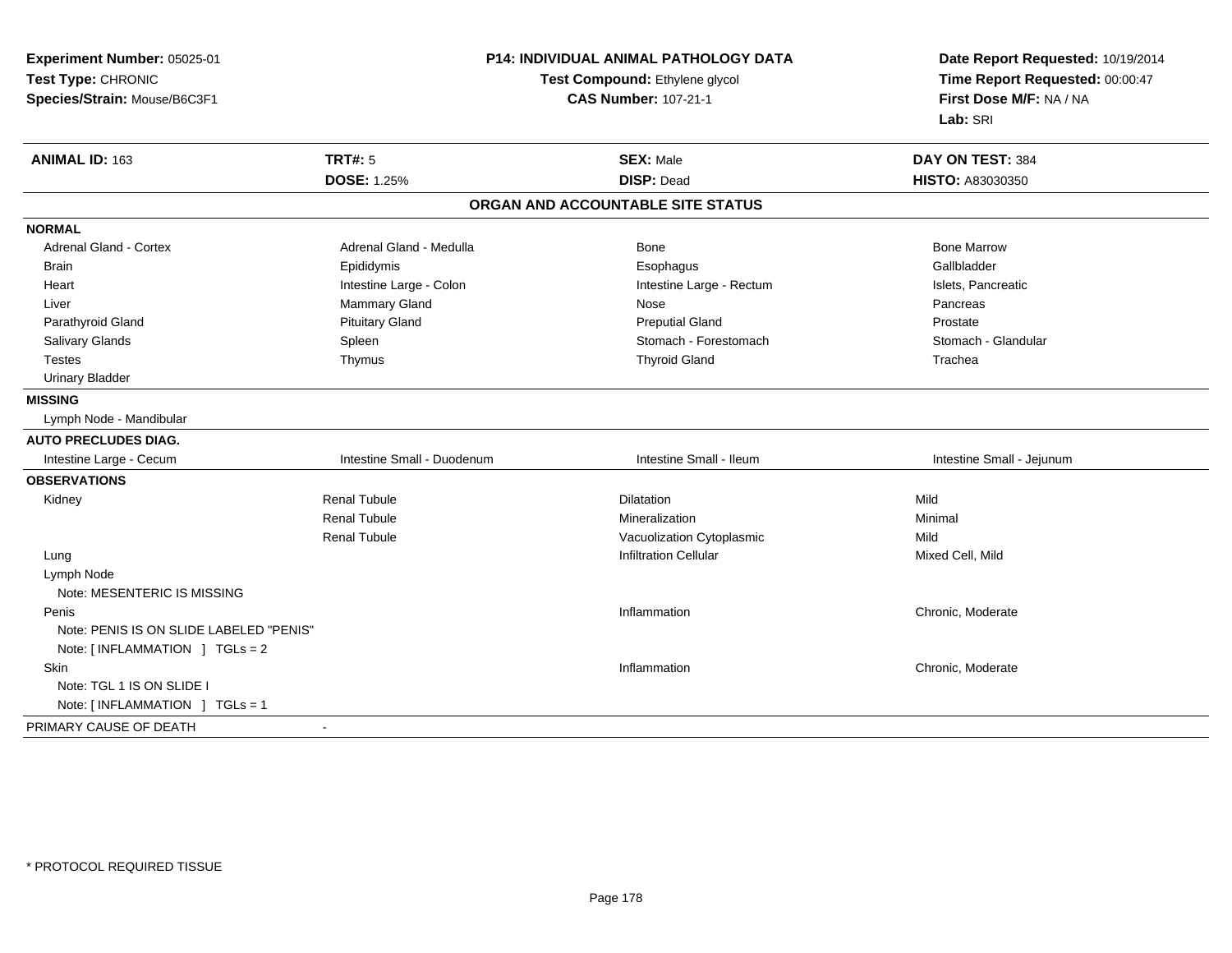| Test Type: CHRONIC<br>Test Compound: Ethylene glycol<br>Time Report Requested: 00:00:47<br>First Dose M/F: NA / NA<br>Species/Strain: Mouse/B6C3F1<br><b>CAS Number: 107-21-1</b><br>Lab: SRI | Experiment Number: 05025-01 |  | P14: INDIVIDUAL ANIMAL PATHOLOGY DATA | Date Report Requested: 10/19/2014 |  |
|-----------------------------------------------------------------------------------------------------------------------------------------------------------------------------------------------|-----------------------------|--|---------------------------------------|-----------------------------------|--|
|                                                                                                                                                                                               |                             |  |                                       |                                   |  |
|                                                                                                                                                                                               |                             |  |                                       |                                   |  |
|                                                                                                                                                                                               |                             |  |                                       |                                   |  |
| <b>TRT#: 5</b><br>ANIMAL ID: 163<br><b>SEX: Male</b><br>DAY ON TEST: 384                                                                                                                      |                             |  |                                       |                                   |  |
| <b>DOSE: 1.25%</b><br><b>DISP: Dead</b><br>HISTO: A83030350                                                                                                                                   |                             |  |                                       |                                   |  |
| ORGAN AND ACCOUNTABLE SITE STATUS                                                                                                                                                             |                             |  |                                       |                                   |  |
| <b>NORMAL</b>                                                                                                                                                                                 |                             |  |                                       |                                   |  |
| <b>Bone Marrow</b><br><b>Adrenal Gland - Cortex</b><br>Adrenal Gland - Medulla<br>Bone                                                                                                        |                             |  |                                       |                                   |  |
| Gallbladder<br>Epididymis<br>Esophagus<br><b>Brain</b>                                                                                                                                        |                             |  |                                       |                                   |  |
| Intestine Large - Colon<br>Intestine Large - Rectum<br>Islets, Pancreatic<br>Heart                                                                                                            |                             |  |                                       |                                   |  |
| Mammary Gland<br>Nose<br>Pancreas<br>Liver                                                                                                                                                    |                             |  |                                       |                                   |  |
| <b>Pituitary Gland</b><br><b>Preputial Gland</b><br>Parathyroid Gland<br>Prostate                                                                                                             |                             |  |                                       |                                   |  |
| Stomach - Forestomach<br>Stomach - Glandular<br>Salivary Glands<br>Spleen                                                                                                                     |                             |  |                                       |                                   |  |
| <b>Thyroid Gland</b><br><b>Testes</b><br>Thymus<br>Trachea                                                                                                                                    |                             |  |                                       |                                   |  |
| <b>Urinary Bladder</b>                                                                                                                                                                        |                             |  |                                       |                                   |  |
| <b>MISSING</b>                                                                                                                                                                                |                             |  |                                       |                                   |  |
| Lymph Node - Mandibular                                                                                                                                                                       |                             |  |                                       |                                   |  |
| <b>AUTO PRECLUDES DIAG.</b>                                                                                                                                                                   |                             |  |                                       |                                   |  |
| Intestine Small - Ileum<br>Intestine Small - Duodenum<br>Intestine Small - Jejunum<br>Intestine Large - Cecum                                                                                 |                             |  |                                       |                                   |  |
| <b>OBSERVATIONS</b>                                                                                                                                                                           |                             |  |                                       |                                   |  |
| <b>Renal Tubule</b><br>Mild<br><b>Dilatation</b><br>Kidney                                                                                                                                    |                             |  |                                       |                                   |  |
| <b>Renal Tubule</b><br>Mineralization<br>Minimal                                                                                                                                              |                             |  |                                       |                                   |  |
| <b>Renal Tubule</b><br>Vacuolization Cytoplasmic<br>Mild                                                                                                                                      |                             |  |                                       |                                   |  |
| <b>Infiltration Cellular</b><br>Mixed Cell, Mild<br>Lung                                                                                                                                      |                             |  |                                       |                                   |  |
| Lymph Node                                                                                                                                                                                    |                             |  |                                       |                                   |  |
| Note: MESENTERIC IS MISSING                                                                                                                                                                   |                             |  |                                       |                                   |  |
| Inflammation<br>Chronic, Moderate<br>Penis                                                                                                                                                    |                             |  |                                       |                                   |  |
| Note: PENIS IS ON SLIDE LABELED "PENIS"                                                                                                                                                       |                             |  |                                       |                                   |  |
| Note: [ INFLAMMATION ] TGLs = 2                                                                                                                                                               |                             |  |                                       |                                   |  |
| <b>Skin</b><br>Inflammation<br>Chronic, Moderate                                                                                                                                              |                             |  |                                       |                                   |  |
| Note: TGL 1 IS ON SLIDE I                                                                                                                                                                     |                             |  |                                       |                                   |  |
| Note: [ INFLAMMATION ] TGLs = 1                                                                                                                                                               |                             |  |                                       |                                   |  |
| PRIMARY CAUSE OF DEATH<br>$\blacksquare$                                                                                                                                                      |                             |  |                                       |                                   |  |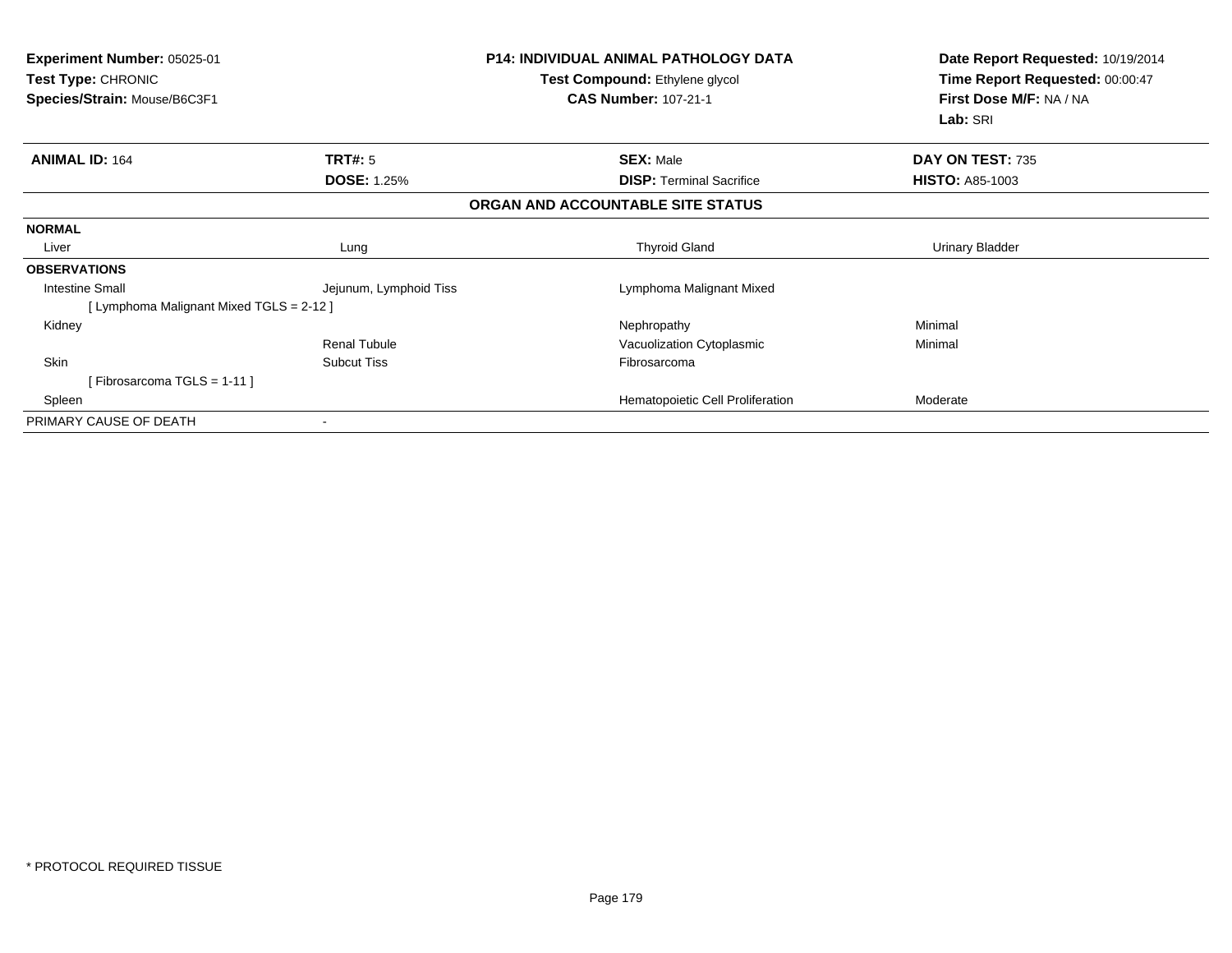| Experiment Number: 05025-01<br><b>Test Type: CHRONIC</b><br>Species/Strain: Mouse/B6C3F1 |                        | <b>P14: INDIVIDUAL ANIMAL PATHOLOGY DATA</b><br>Test Compound: Ethylene glycol<br><b>CAS Number: 107-21-1</b> | Date Report Requested: 10/19/2014<br>Time Report Requested: 00:00:47<br>First Dose M/F: NA / NA<br>Lab: SRI |
|------------------------------------------------------------------------------------------|------------------------|---------------------------------------------------------------------------------------------------------------|-------------------------------------------------------------------------------------------------------------|
| <b>ANIMAL ID: 164</b>                                                                    | <b>TRT#: 5</b>         | <b>SEX: Male</b>                                                                                              | DAY ON TEST: 735                                                                                            |
|                                                                                          | <b>DOSE: 1.25%</b>     | <b>DISP: Terminal Sacrifice</b>                                                                               | <b>HISTO: A85-1003</b>                                                                                      |
|                                                                                          |                        | ORGAN AND ACCOUNTABLE SITE STATUS                                                                             |                                                                                                             |
| <b>NORMAL</b>                                                                            |                        |                                                                                                               |                                                                                                             |
| Liver                                                                                    | Lung                   | <b>Thyroid Gland</b>                                                                                          | <b>Urinary Bladder</b>                                                                                      |
| <b>OBSERVATIONS</b>                                                                      |                        |                                                                                                               |                                                                                                             |
| <b>Intestine Small</b>                                                                   | Jejunum, Lymphoid Tiss | Lymphoma Malignant Mixed                                                                                      |                                                                                                             |
| [ Lymphoma Malignant Mixed TGLS = 2-12 ]                                                 |                        |                                                                                                               |                                                                                                             |
| Kidney                                                                                   |                        | Nephropathy                                                                                                   | Minimal                                                                                                     |
|                                                                                          | Renal Tubule           | Vacuolization Cytoplasmic                                                                                     | Minimal                                                                                                     |
| Skin                                                                                     | <b>Subcut Tiss</b>     | Fibrosarcoma                                                                                                  |                                                                                                             |
| [Fibrosarcoma TGLS = 1-11]                                                               |                        |                                                                                                               |                                                                                                             |
| Spleen                                                                                   |                        | Hematopoietic Cell Proliferation                                                                              | Moderate                                                                                                    |
| PRIMARY CAUSE OF DEATH                                                                   | $\blacksquare$         |                                                                                                               |                                                                                                             |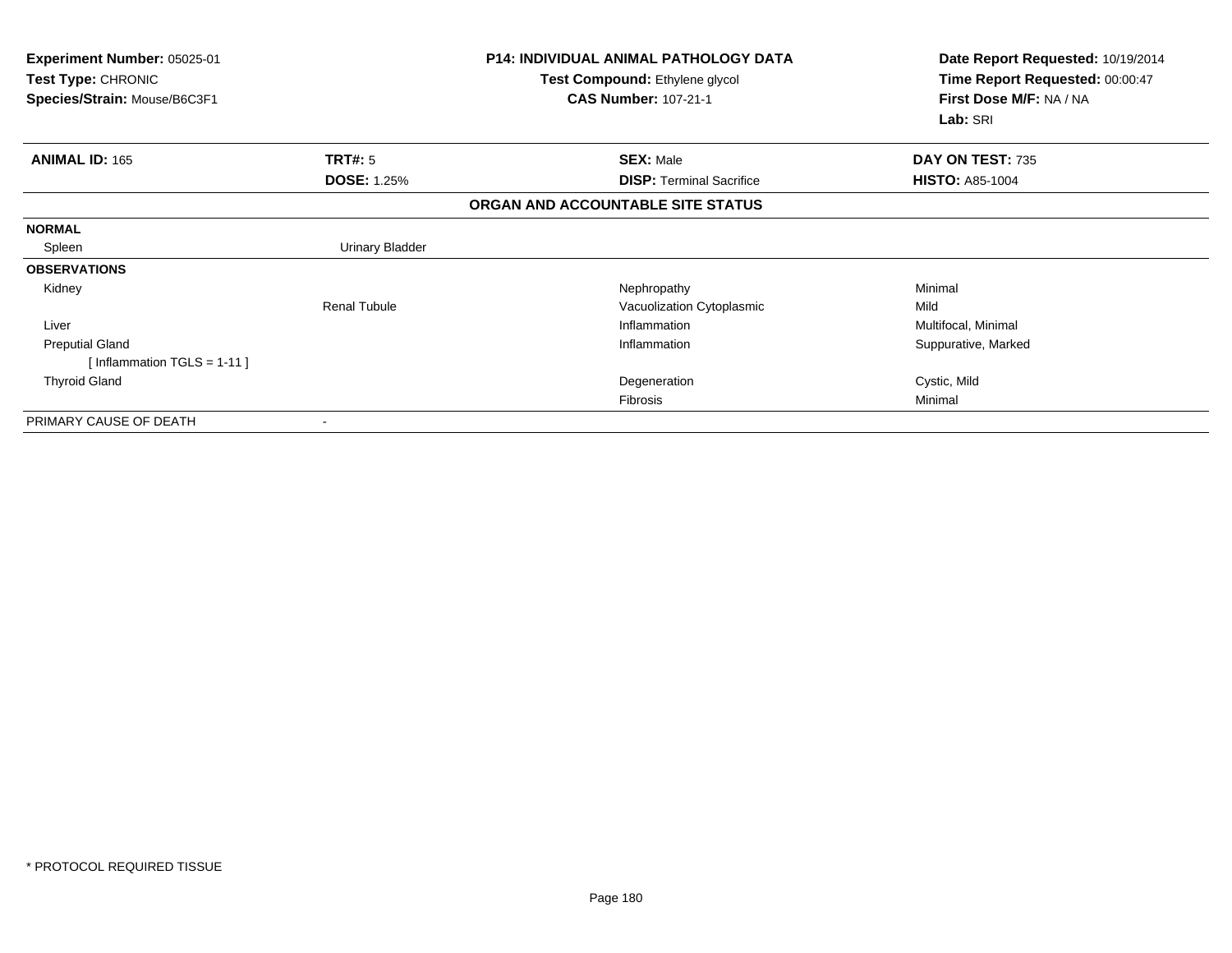| Experiment Number: 05025-01<br>Test Type: CHRONIC |                        | <b>P14: INDIVIDUAL ANIMAL PATHOLOGY DATA</b><br>Test Compound: Ethylene glycol | Date Report Requested: 10/19/2014<br>Time Report Requested: 00:00:47 |
|---------------------------------------------------|------------------------|--------------------------------------------------------------------------------|----------------------------------------------------------------------|
| Species/Strain: Mouse/B6C3F1                      |                        | <b>CAS Number: 107-21-1</b>                                                    | First Dose M/F: NA / NA<br>Lab: SRI                                  |
| <b>ANIMAL ID: 165</b>                             | TRT#: 5                | <b>SEX: Male</b>                                                               | DAY ON TEST: 735                                                     |
|                                                   | <b>DOSE: 1.25%</b>     | <b>DISP:</b> Terminal Sacrifice                                                | <b>HISTO: A85-1004</b>                                               |
|                                                   |                        | ORGAN AND ACCOUNTABLE SITE STATUS                                              |                                                                      |
| <b>NORMAL</b>                                     |                        |                                                                                |                                                                      |
| Spleen                                            | <b>Urinary Bladder</b> |                                                                                |                                                                      |
| <b>OBSERVATIONS</b>                               |                        |                                                                                |                                                                      |
| Kidney                                            |                        | Nephropathy                                                                    | Minimal                                                              |
|                                                   | <b>Renal Tubule</b>    | Vacuolization Cytoplasmic                                                      | Mild                                                                 |
| Liver                                             |                        | Inflammation                                                                   | Multifocal, Minimal                                                  |
| <b>Preputial Gland</b>                            |                        | Inflammation                                                                   | Suppurative, Marked                                                  |
| [Inflammation TGLS = $1-11$ ]                     |                        |                                                                                |                                                                      |
| <b>Thyroid Gland</b>                              |                        | Degeneration                                                                   | Cystic, Mild                                                         |
|                                                   |                        | Fibrosis                                                                       | Minimal                                                              |
| PRIMARY CAUSE OF DEATH                            |                        |                                                                                |                                                                      |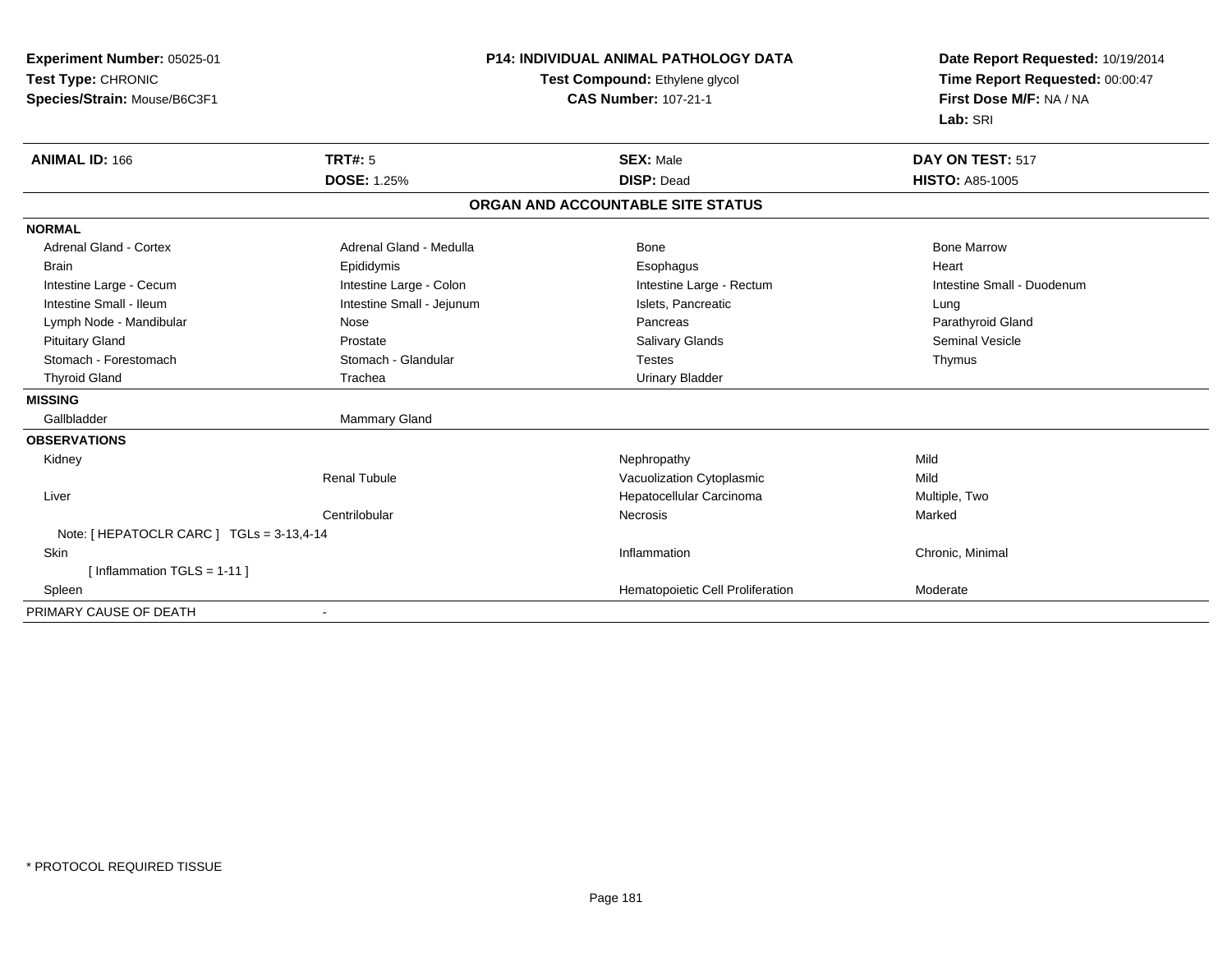| Experiment Number: 05025-01              | <b>P14: INDIVIDUAL ANIMAL PATHOLOGY DATA</b> |                                   | Date Report Requested: 10/19/2014                          |
|------------------------------------------|----------------------------------------------|-----------------------------------|------------------------------------------------------------|
| Test Type: CHRONIC                       |                                              | Test Compound: Ethylene glycol    | Time Report Requested: 00:00:47<br>First Dose M/F: NA / NA |
| Species/Strain: Mouse/B6C3F1             |                                              | <b>CAS Number: 107-21-1</b>       |                                                            |
|                                          |                                              |                                   | Lab: SRI                                                   |
| <b>ANIMAL ID: 166</b>                    | <b>TRT#: 5</b>                               | <b>SEX: Male</b>                  | DAY ON TEST: 517                                           |
|                                          | <b>DOSE: 1.25%</b>                           | <b>DISP: Dead</b>                 | <b>HISTO: A85-1005</b>                                     |
|                                          |                                              | ORGAN AND ACCOUNTABLE SITE STATUS |                                                            |
| <b>NORMAL</b>                            |                                              |                                   |                                                            |
| <b>Adrenal Gland - Cortex</b>            | Adrenal Gland - Medulla                      | <b>Bone</b>                       | <b>Bone Marrow</b>                                         |
| <b>Brain</b>                             | Epididymis                                   | Esophagus                         | Heart                                                      |
| Intestine Large - Cecum                  | Intestine Large - Colon                      | Intestine Large - Rectum          | Intestine Small - Duodenum                                 |
| Intestine Small - Ileum                  | Intestine Small - Jejunum                    | Islets, Pancreatic                | Lung                                                       |
| Lymph Node - Mandibular                  | Nose                                         | Pancreas                          | Parathyroid Gland                                          |
| <b>Pituitary Gland</b>                   | Prostate                                     | Salivary Glands                   | <b>Seminal Vesicle</b>                                     |
| Stomach - Forestomach                    | Stomach - Glandular                          | <b>Testes</b>                     | Thymus                                                     |
| <b>Thyroid Gland</b>                     | Trachea                                      | <b>Urinary Bladder</b>            |                                                            |
| <b>MISSING</b>                           |                                              |                                   |                                                            |
| Gallbladder                              | <b>Mammary Gland</b>                         |                                   |                                                            |
| <b>OBSERVATIONS</b>                      |                                              |                                   |                                                            |
| Kidney                                   |                                              | Nephropathy                       | Mild                                                       |
|                                          | <b>Renal Tubule</b>                          | Vacuolization Cytoplasmic         | Mild                                                       |
| Liver                                    |                                              | Hepatocellular Carcinoma          | Multiple, Two                                              |
|                                          | Centrilobular                                | Necrosis                          | Marked                                                     |
| Note: [HEPATOCLR CARC ] TGLs = 3-13,4-14 |                                              |                                   |                                                            |
| <b>Skin</b>                              |                                              | Inflammation                      | Chronic, Minimal                                           |
| [Inflammation TGLS = $1-11$ ]            |                                              |                                   |                                                            |
| Spleen                                   |                                              | Hematopoietic Cell Proliferation  | Moderate                                                   |
| PRIMARY CAUSE OF DEATH                   |                                              |                                   |                                                            |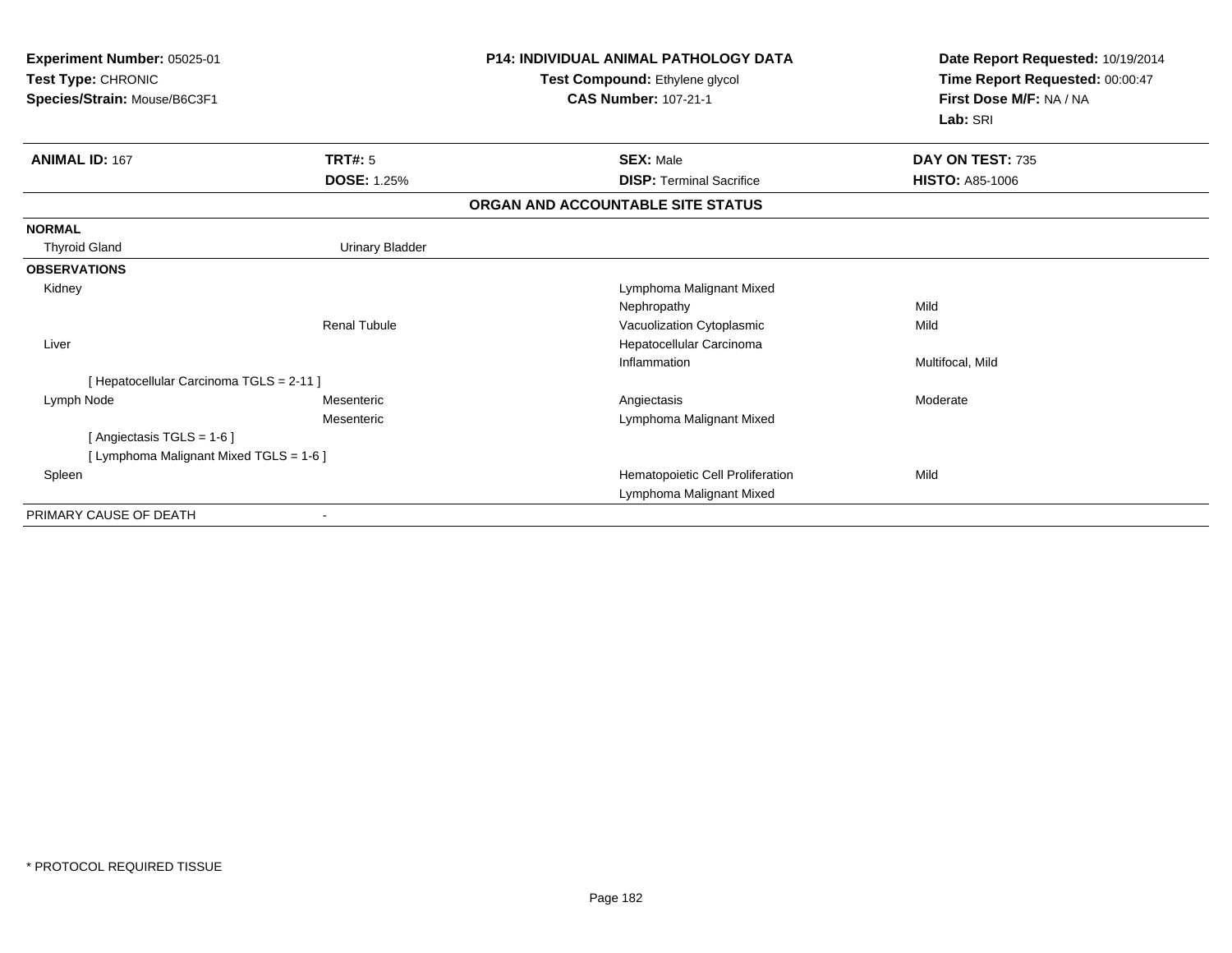| <b>Experiment Number: 05025-01</b><br>Test Type: CHRONIC<br>Species/Strain: Mouse/B6C3F1 |                        | <b>P14: INDIVIDUAL ANIMAL PATHOLOGY DATA</b><br>Test Compound: Ethylene glycol<br><b>CAS Number: 107-21-1</b> | Date Report Requested: 10/19/2014<br>Time Report Requested: 00:00:47<br>First Dose M/F: NA / NA<br>Lab: SRI |
|------------------------------------------------------------------------------------------|------------------------|---------------------------------------------------------------------------------------------------------------|-------------------------------------------------------------------------------------------------------------|
| <b>ANIMAL ID: 167</b>                                                                    | <b>TRT#: 5</b>         | <b>SEX: Male</b>                                                                                              | DAY ON TEST: 735                                                                                            |
|                                                                                          | <b>DOSE: 1.25%</b>     | <b>DISP: Terminal Sacrifice</b>                                                                               | <b>HISTO: A85-1006</b>                                                                                      |
|                                                                                          |                        | ORGAN AND ACCOUNTABLE SITE STATUS                                                                             |                                                                                                             |
| <b>NORMAL</b>                                                                            |                        |                                                                                                               |                                                                                                             |
| <b>Thyroid Gland</b>                                                                     | <b>Urinary Bladder</b> |                                                                                                               |                                                                                                             |
| <b>OBSERVATIONS</b>                                                                      |                        |                                                                                                               |                                                                                                             |
| Kidney                                                                                   |                        | Lymphoma Malignant Mixed                                                                                      |                                                                                                             |
|                                                                                          |                        | Nephropathy                                                                                                   | Mild                                                                                                        |
|                                                                                          | <b>Renal Tubule</b>    | Vacuolization Cytoplasmic                                                                                     | Mild                                                                                                        |
| Liver                                                                                    |                        | Hepatocellular Carcinoma                                                                                      |                                                                                                             |
|                                                                                          |                        | Inflammation                                                                                                  | Multifocal, Mild                                                                                            |
| [ Hepatocellular Carcinoma TGLS = 2-11 ]                                                 |                        |                                                                                                               |                                                                                                             |
| Lymph Node                                                                               | Mesenteric             | Angiectasis                                                                                                   | Moderate                                                                                                    |
|                                                                                          | Mesenteric             | Lymphoma Malignant Mixed                                                                                      |                                                                                                             |
| [Angiectasis TGLS = 1-6]                                                                 |                        |                                                                                                               |                                                                                                             |
| [ Lymphoma Malignant Mixed TGLS = 1-6 ]                                                  |                        |                                                                                                               |                                                                                                             |
| Spleen                                                                                   |                        | Hematopoietic Cell Proliferation                                                                              | Mild                                                                                                        |
|                                                                                          |                        | Lymphoma Malignant Mixed                                                                                      |                                                                                                             |
| PRIMARY CAUSE OF DEATH                                                                   |                        |                                                                                                               |                                                                                                             |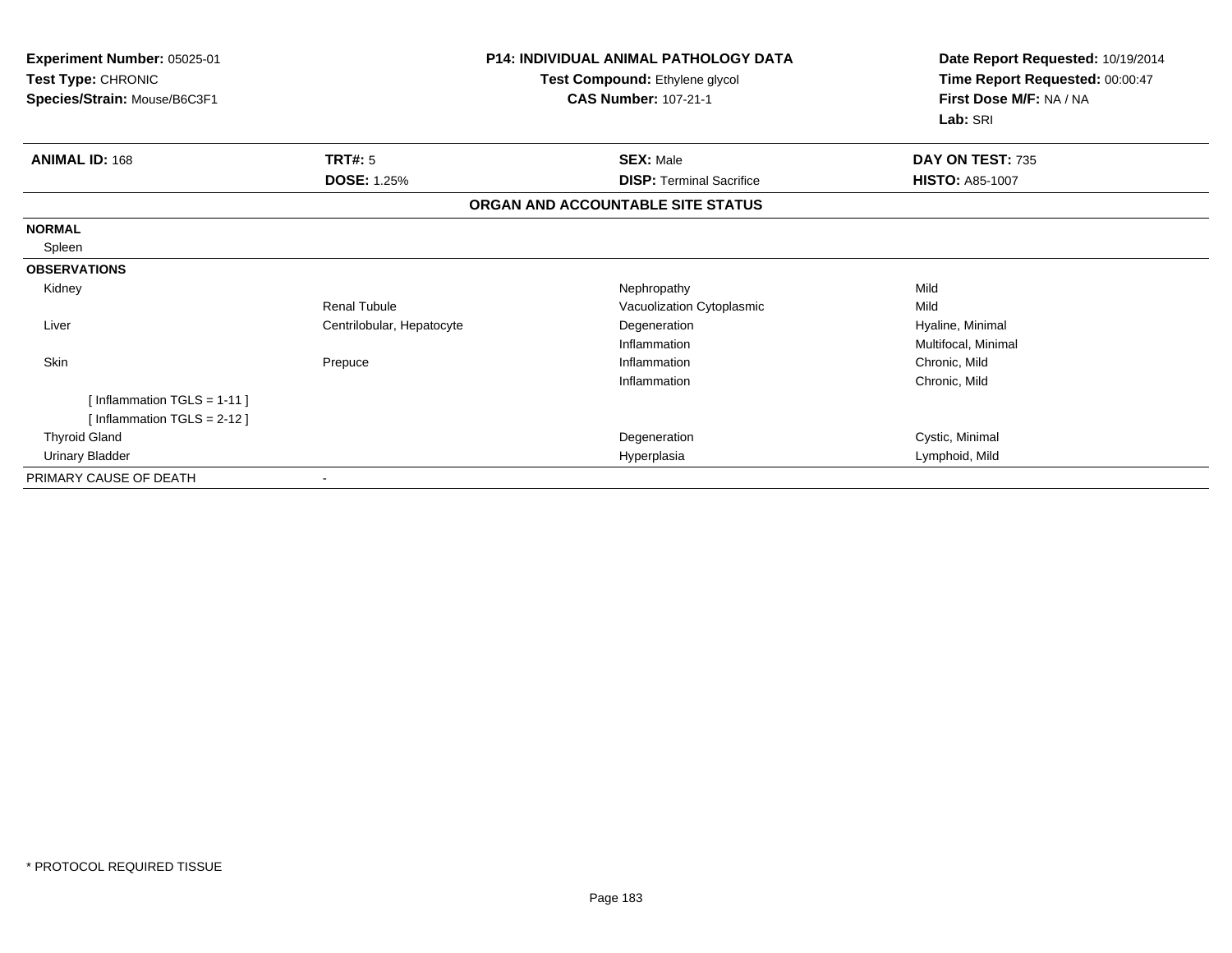| Experiment Number: 05025-01<br>Test Type: CHRONIC<br>Species/Strain: Mouse/B6C3F1 |                           | <b>P14: INDIVIDUAL ANIMAL PATHOLOGY DATA</b><br>Test Compound: Ethylene glycol<br><b>CAS Number: 107-21-1</b> | Date Report Requested: 10/19/2014<br>Time Report Requested: 00:00:47<br>First Dose M/F: NA / NA<br>Lab: SRI |  |
|-----------------------------------------------------------------------------------|---------------------------|---------------------------------------------------------------------------------------------------------------|-------------------------------------------------------------------------------------------------------------|--|
| <b>ANIMAL ID: 168</b>                                                             | TRT#: 5                   | <b>SEX: Male</b>                                                                                              | DAY ON TEST: 735                                                                                            |  |
|                                                                                   | <b>DOSE: 1.25%</b>        | <b>DISP: Terminal Sacrifice</b>                                                                               | <b>HISTO: A85-1007</b>                                                                                      |  |
|                                                                                   |                           | ORGAN AND ACCOUNTABLE SITE STATUS                                                                             |                                                                                                             |  |
| <b>NORMAL</b>                                                                     |                           |                                                                                                               |                                                                                                             |  |
| Spleen                                                                            |                           |                                                                                                               |                                                                                                             |  |
| <b>OBSERVATIONS</b>                                                               |                           |                                                                                                               |                                                                                                             |  |
| Kidney                                                                            |                           | Nephropathy                                                                                                   | Mild                                                                                                        |  |
|                                                                                   | Renal Tubule              | Vacuolization Cytoplasmic                                                                                     | Mild                                                                                                        |  |
| Liver                                                                             | Centrilobular, Hepatocyte | Degeneration                                                                                                  | Hyaline, Minimal                                                                                            |  |
|                                                                                   |                           | Inflammation                                                                                                  | Multifocal, Minimal                                                                                         |  |
| <b>Skin</b>                                                                       | Prepuce                   | Inflammation                                                                                                  | Chronic, Mild                                                                                               |  |
|                                                                                   |                           | Inflammation                                                                                                  | Chronic, Mild                                                                                               |  |
| [Inflammation TGLS = $1-11$ ]                                                     |                           |                                                                                                               |                                                                                                             |  |
| [Inflammation TGLS = $2-12$ ]                                                     |                           |                                                                                                               |                                                                                                             |  |
| <b>Thyroid Gland</b>                                                              |                           | Degeneration                                                                                                  | Cystic, Minimal                                                                                             |  |
| Urinary Bladder                                                                   |                           | Hyperplasia                                                                                                   | Lymphoid, Mild                                                                                              |  |
| PRIMARY CAUSE OF DEATH                                                            |                           |                                                                                                               |                                                                                                             |  |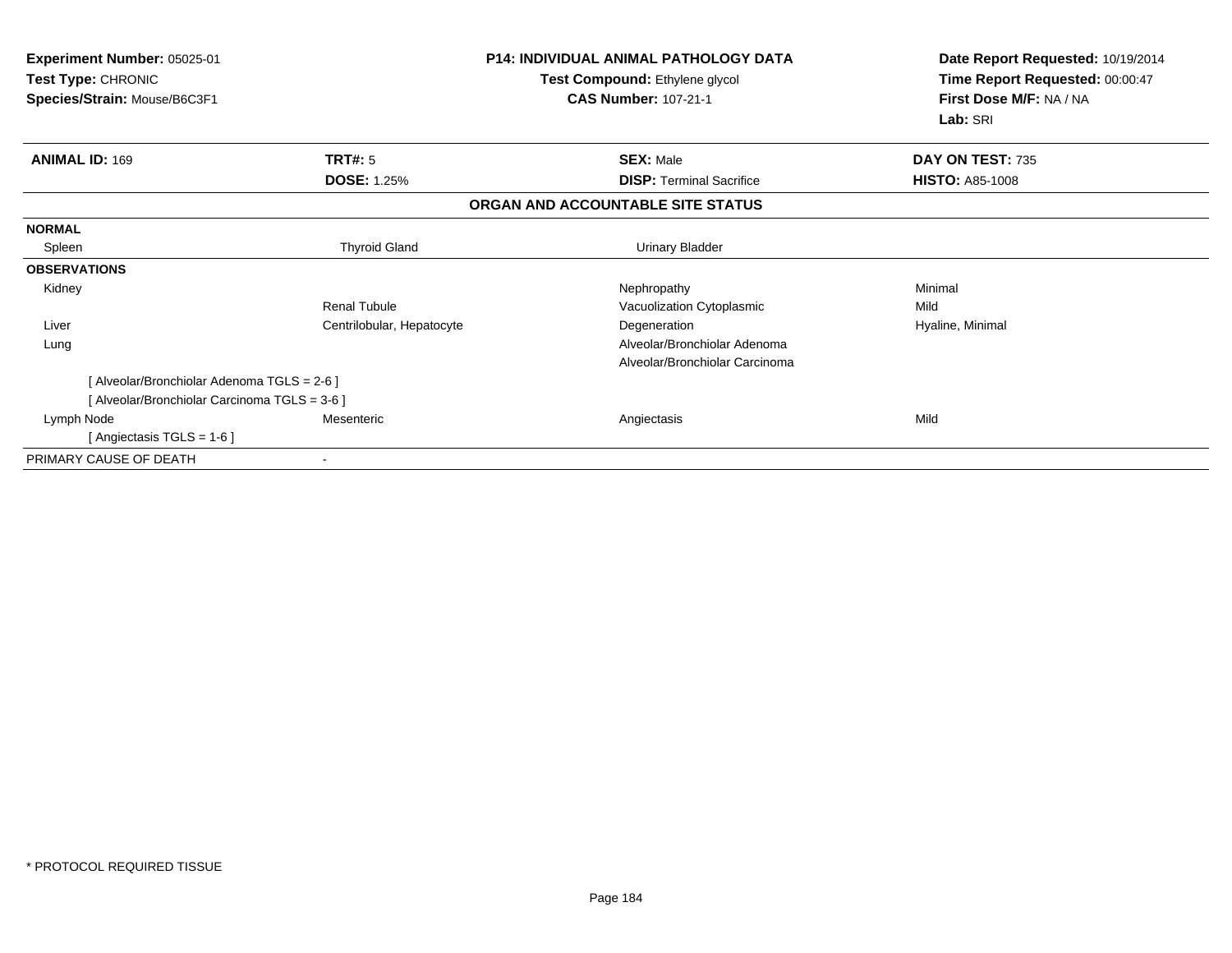| Experiment Number: 05025-01<br>Test Type: CHRONIC<br>Species/Strain: Mouse/B6C3F1 |                           | <b>P14: INDIVIDUAL ANIMAL PATHOLOGY DATA</b><br>Test Compound: Ethylene glycol<br><b>CAS Number: 107-21-1</b> | Date Report Requested: 10/19/2014<br>Time Report Requested: 00:00:47<br>First Dose M/F: NA / NA<br>Lab: SRI |
|-----------------------------------------------------------------------------------|---------------------------|---------------------------------------------------------------------------------------------------------------|-------------------------------------------------------------------------------------------------------------|
| <b>ANIMAL ID: 169</b>                                                             | <b>TRT#: 5</b>            | <b>SEX: Male</b>                                                                                              | DAY ON TEST: 735                                                                                            |
|                                                                                   | <b>DOSE: 1.25%</b>        | <b>DISP: Terminal Sacrifice</b>                                                                               | <b>HISTO: A85-1008</b>                                                                                      |
|                                                                                   |                           | ORGAN AND ACCOUNTABLE SITE STATUS                                                                             |                                                                                                             |
| <b>NORMAL</b>                                                                     |                           |                                                                                                               |                                                                                                             |
| Spleen                                                                            | <b>Thyroid Gland</b>      | <b>Urinary Bladder</b>                                                                                        |                                                                                                             |
| <b>OBSERVATIONS</b>                                                               |                           |                                                                                                               |                                                                                                             |
| Kidney                                                                            |                           | Nephropathy                                                                                                   | Minimal                                                                                                     |
|                                                                                   | Renal Tubule              | Vacuolization Cytoplasmic                                                                                     | Mild                                                                                                        |
| Liver                                                                             | Centrilobular, Hepatocyte | Degeneration                                                                                                  | Hyaline, Minimal                                                                                            |
| Lung                                                                              |                           | Alveolar/Bronchiolar Adenoma                                                                                  |                                                                                                             |
|                                                                                   |                           | Alveolar/Bronchiolar Carcinoma                                                                                |                                                                                                             |
| [Alveolar/Bronchiolar Adenoma TGLS = 2-6]                                         |                           |                                                                                                               |                                                                                                             |
| [Alveolar/Bronchiolar Carcinoma TGLS = 3-6]                                       |                           |                                                                                                               |                                                                                                             |
| Lymph Node                                                                        | Mesenteric                | Angiectasis                                                                                                   | Mild                                                                                                        |
| [ Angiectasis TGLS = 1-6 ]                                                        |                           |                                                                                                               |                                                                                                             |
| PRIMARY CAUSE OF DEATH                                                            | ۰                         |                                                                                                               |                                                                                                             |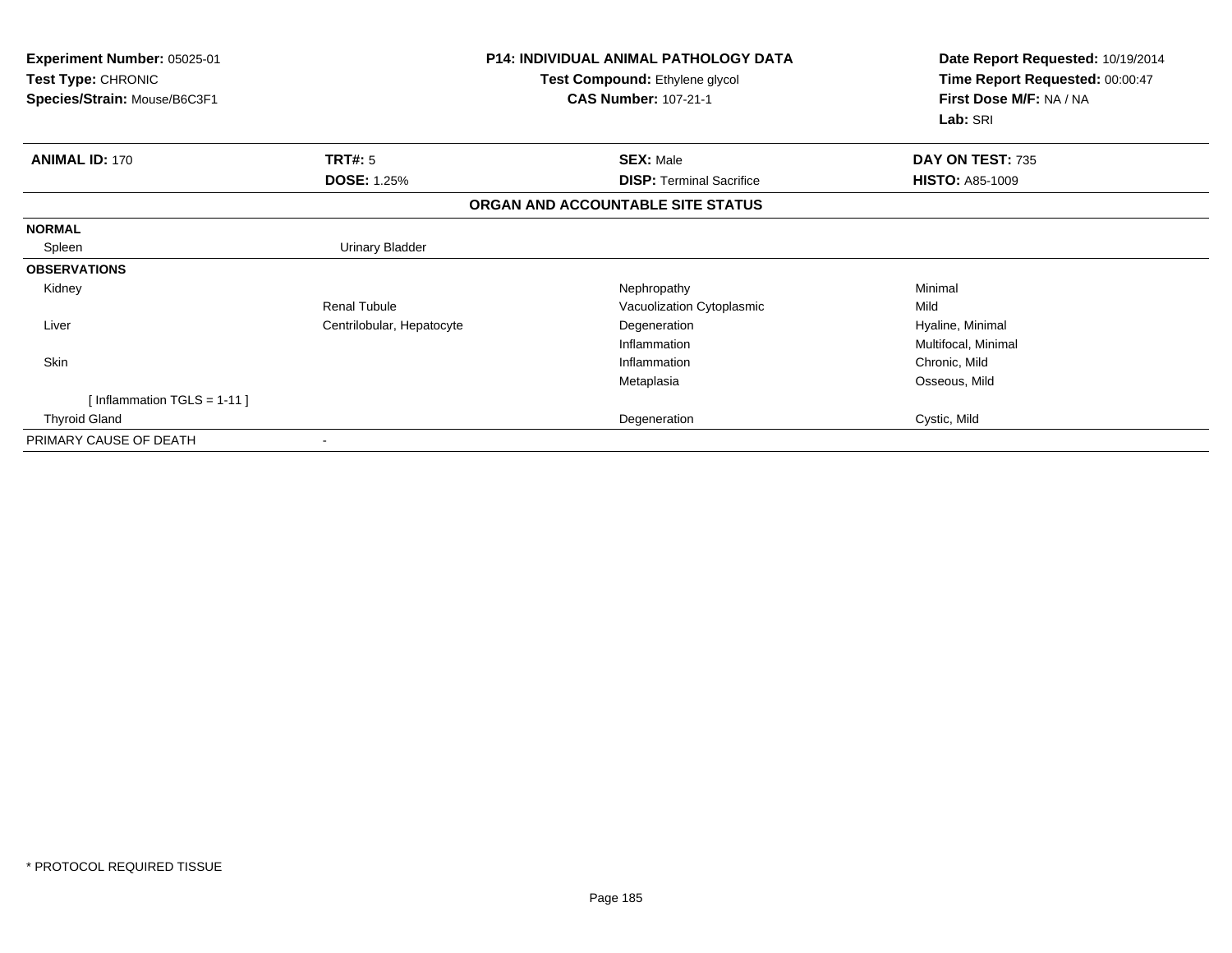| Experiment Number: 05025-01<br>Test Type: CHRONIC |                           | <b>P14: INDIVIDUAL ANIMAL PATHOLOGY DATA</b><br>Test Compound: Ethylene glycol | Date Report Requested: 10/19/2014<br>Time Report Requested: 00:00:47 |
|---------------------------------------------------|---------------------------|--------------------------------------------------------------------------------|----------------------------------------------------------------------|
| Species/Strain: Mouse/B6C3F1                      |                           | <b>CAS Number: 107-21-1</b>                                                    | First Dose M/F: NA / NA<br>Lab: SRI                                  |
| <b>ANIMAL ID: 170</b>                             | TRT#: 5                   | <b>SEX: Male</b>                                                               | DAY ON TEST: 735                                                     |
|                                                   | <b>DOSE: 1.25%</b>        | <b>DISP:</b> Terminal Sacrifice                                                | <b>HISTO: A85-1009</b>                                               |
|                                                   |                           | ORGAN AND ACCOUNTABLE SITE STATUS                                              |                                                                      |
| <b>NORMAL</b>                                     |                           |                                                                                |                                                                      |
| Spleen                                            | <b>Urinary Bladder</b>    |                                                                                |                                                                      |
| <b>OBSERVATIONS</b>                               |                           |                                                                                |                                                                      |
| Kidney                                            |                           | Nephropathy                                                                    | Minimal                                                              |
|                                                   | <b>Renal Tubule</b>       | Vacuolization Cytoplasmic                                                      | Mild                                                                 |
| Liver                                             | Centrilobular, Hepatocyte | Degeneration                                                                   | Hyaline, Minimal                                                     |
|                                                   |                           | Inflammation                                                                   | Multifocal, Minimal                                                  |
| <b>Skin</b>                                       |                           | Inflammation                                                                   | Chronic, Mild                                                        |
|                                                   |                           | Metaplasia                                                                     | Osseous, Mild                                                        |
| [Inflammation TGLS = $1-11$ ]                     |                           |                                                                                |                                                                      |
| <b>Thyroid Gland</b>                              |                           | Degeneration                                                                   | Cystic, Mild                                                         |
| PRIMARY CAUSE OF DEATH                            |                           |                                                                                |                                                                      |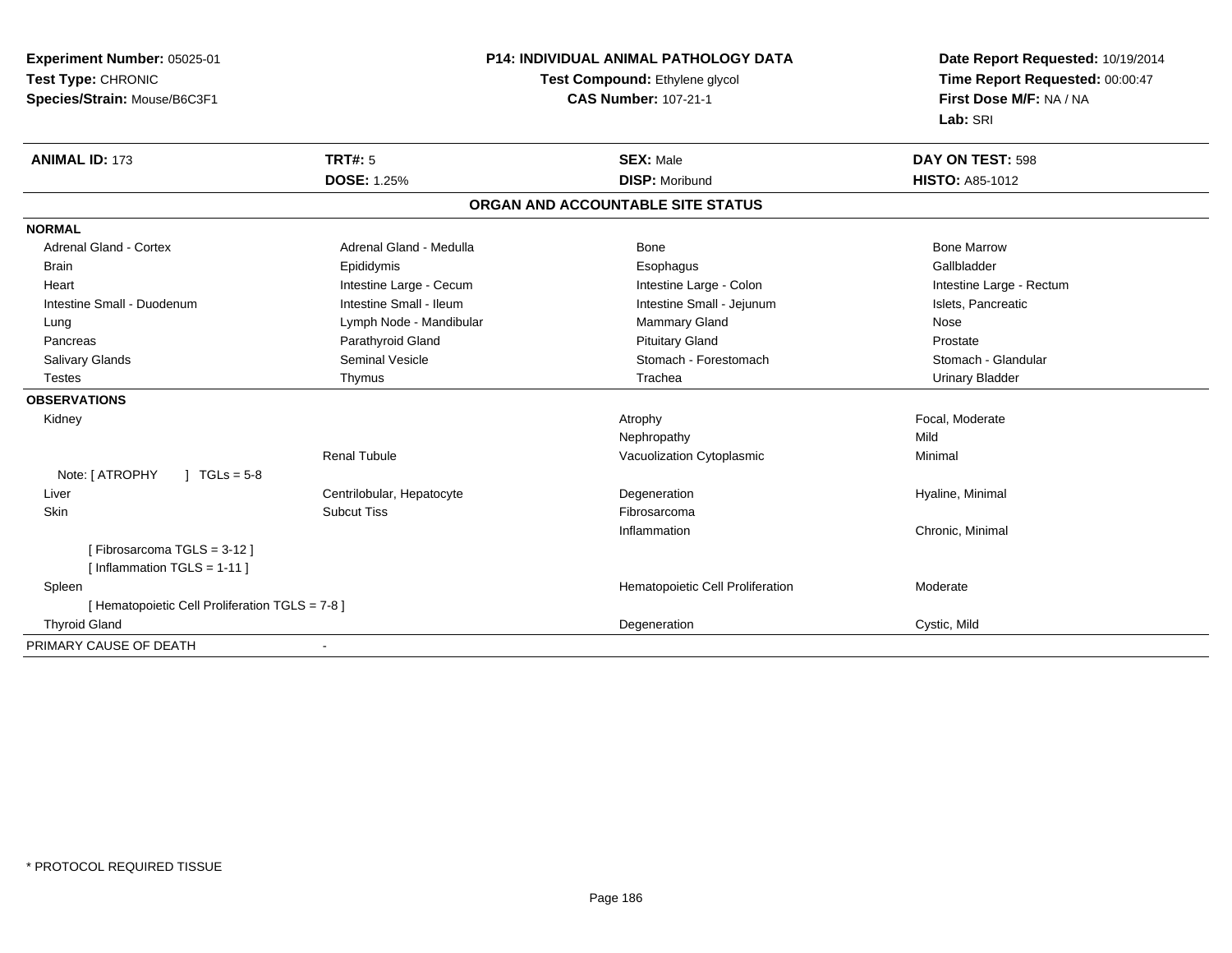**Experiment Number:** 05025-01**Test Type:** CHRONIC **Species/Strain:** Mouse/B6C3F1**P14: INDIVIDUAL ANIMAL PATHOLOGY DATATest Compound:** Ethylene glycol **CAS Number:** 107-21-1**Date Report Requested:** 10/19/2014**Time Report Requested:** 00:00:47**First Dose M/F:** NA / NA**Lab:** SRI**ANIMAL ID:** 173**TRT#:** 5 **SEX:** Male **DAY ON TEST:** 598 **DOSE:** 1.25%**DISP:** Moribund **HISTO:** A85-1012 **ORGAN AND ACCOUNTABLE SITE STATUSNORMALAdrenal Gland - Cortex** Adrenal Gland - Medulla **Bone Adrenal Gland - Cortex Adrenal Gland - Cortex Adrenal Gland - Medulla** Bone Marrow Gallbladder Brain Epididymis Epididymis and the Brook of the Brook of the Brook of the Brook of the Gallbladder of the Gallbladder Heart **Intestine Large - Cecum** Intestine Large - Cecum Intestine Large - Colon Intestine Large - Rectum Intestine Small - Duodenum **Intestine Small - Ileum** Intestine Small - Ileum Intestine Small - Jejunum Intestine Small - Jejunum Islets, Pancreatic Lung **Lymph Node - Mandibular Mammary Gland Nose** Mose Nose Prostate Pancreas **Parathyroid Gland Prostate Parathyroid Gland** Prostate Prostate Prostate Prostate Stomach - Glandular Salivary Glands Seminal Vesicle Seminal Vesicle Stomach - Forestomach - Stomach - Stomach - Stomach - Stomach - Glandular Stomach - Stomach - Stomach - Stomach - Stomach - Stomach - Stomach - Stomach - Stomach - Stomach - Testes Thymus Trachea Urinary Bladder**OBSERVATIONS** Kidneyy the control of the control of the control of the control of the control of the control of the control of the control of the control of the control of the control of the control of the control of the control of the contro Nephropathyy Mild Minimal Renal TubuleVacuolization Cytoplasmic Note: [ ATROPHY ] TGLs = 5-8 Liver Centrilobular, HepatocyteDegeneration **Exercise Exercise Serverse Exercise Serverse Exercise Serverse Exercise Serverse Exercise Serverse Exercise Serverse Exercise Serverse Exercise Serverse Exercise Serverse Serverse Serverse Serverse Serverse S**  Skinn and the subcut Tiss the subset of the set of the set of the set of the set of the set of the set of the set o Inflammation Chronic, Minimal [ Fibrosarcoma TGLS = 3-12 ][ Inflammation TGLS = 1-11 ] SpleenHematopoietic Cell Proliferation Moderate [ Hematopoietic Cell Proliferation TGLS = 7-8 ] Thyroid Glandd **Degeneration** Cystic, Mild and Cystic, Mild and Cystic, Mild and Cystic, Mild and Cystic, Mild and Cystic, Mild PRIMARY CAUSE OF DEATH-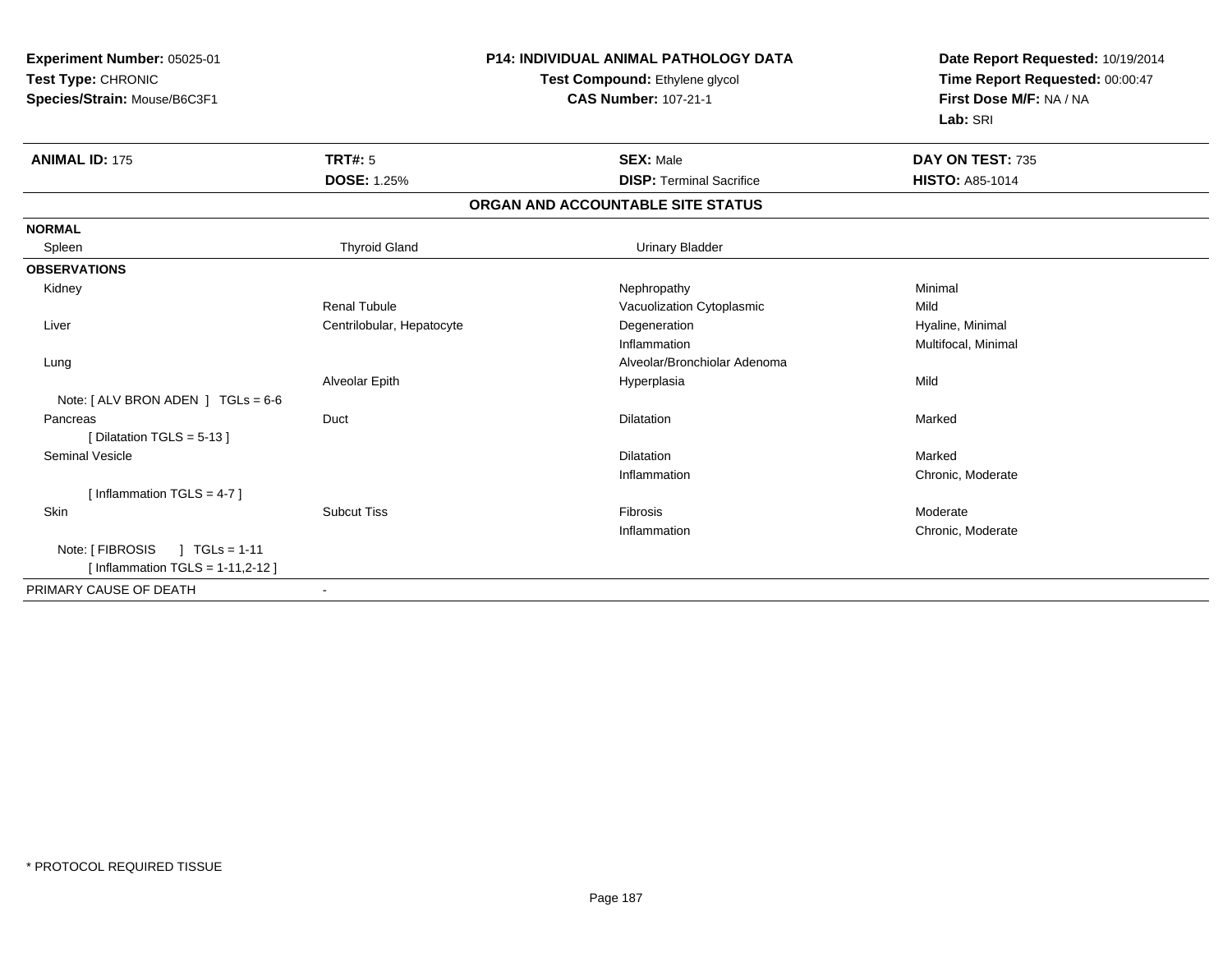| Experiment Number: 05025-01<br>Test Type: CHRONIC<br>Species/Strain: Mouse/B6C3F1 |                           | <b>P14: INDIVIDUAL ANIMAL PATHOLOGY DATA</b><br>Test Compound: Ethylene glycol<br><b>CAS Number: 107-21-1</b> | Date Report Requested: 10/19/2014<br>Time Report Requested: 00:00:47<br>First Dose M/F: NA / NA<br>Lab: SRI |
|-----------------------------------------------------------------------------------|---------------------------|---------------------------------------------------------------------------------------------------------------|-------------------------------------------------------------------------------------------------------------|
| <b>ANIMAL ID: 175</b>                                                             | <b>TRT#: 5</b>            | <b>SEX: Male</b>                                                                                              | DAY ON TEST: 735                                                                                            |
|                                                                                   | <b>DOSE: 1.25%</b>        | <b>DISP: Terminal Sacrifice</b>                                                                               | <b>HISTO: A85-1014</b>                                                                                      |
|                                                                                   |                           | ORGAN AND ACCOUNTABLE SITE STATUS                                                                             |                                                                                                             |
| <b>NORMAL</b>                                                                     |                           |                                                                                                               |                                                                                                             |
| Spleen                                                                            | <b>Thyroid Gland</b>      | <b>Urinary Bladder</b>                                                                                        |                                                                                                             |
| <b>OBSERVATIONS</b>                                                               |                           |                                                                                                               |                                                                                                             |
| Kidney                                                                            |                           | Nephropathy                                                                                                   | Minimal                                                                                                     |
|                                                                                   | <b>Renal Tubule</b>       | Vacuolization Cytoplasmic                                                                                     | Mild                                                                                                        |
| Liver                                                                             | Centrilobular, Hepatocyte | Degeneration                                                                                                  | Hyaline, Minimal                                                                                            |
|                                                                                   |                           | Inflammation                                                                                                  | Multifocal, Minimal                                                                                         |
| Lung                                                                              |                           | Alveolar/Bronchiolar Adenoma                                                                                  |                                                                                                             |
|                                                                                   | Alveolar Epith            | Hyperplasia                                                                                                   | Mild                                                                                                        |
| Note: [ ALV BRON ADEN ] TGLs = 6-6                                                |                           |                                                                                                               |                                                                                                             |
| Pancreas                                                                          | Duct                      | <b>Dilatation</b>                                                                                             | Marked                                                                                                      |
| [Dilatation TGLS = 5-13]                                                          |                           |                                                                                                               |                                                                                                             |
| <b>Seminal Vesicle</b>                                                            |                           | <b>Dilatation</b>                                                                                             | Marked                                                                                                      |
|                                                                                   |                           | Inflammation                                                                                                  | Chronic, Moderate                                                                                           |
| [Inflammation TGLS = $4-7$ ]                                                      |                           |                                                                                                               |                                                                                                             |
| Skin                                                                              | <b>Subcut Tiss</b>        | Fibrosis                                                                                                      | Moderate                                                                                                    |
|                                                                                   |                           | Inflammation                                                                                                  | Chronic, Moderate                                                                                           |
| Note: [ FIBROSIS<br>$1 TGLs = 1-11$                                               |                           |                                                                                                               |                                                                                                             |
| [Inflammation TGLS = $1-11,2-12$ ]                                                |                           |                                                                                                               |                                                                                                             |
| PRIMARY CAUSE OF DEATH                                                            |                           |                                                                                                               |                                                                                                             |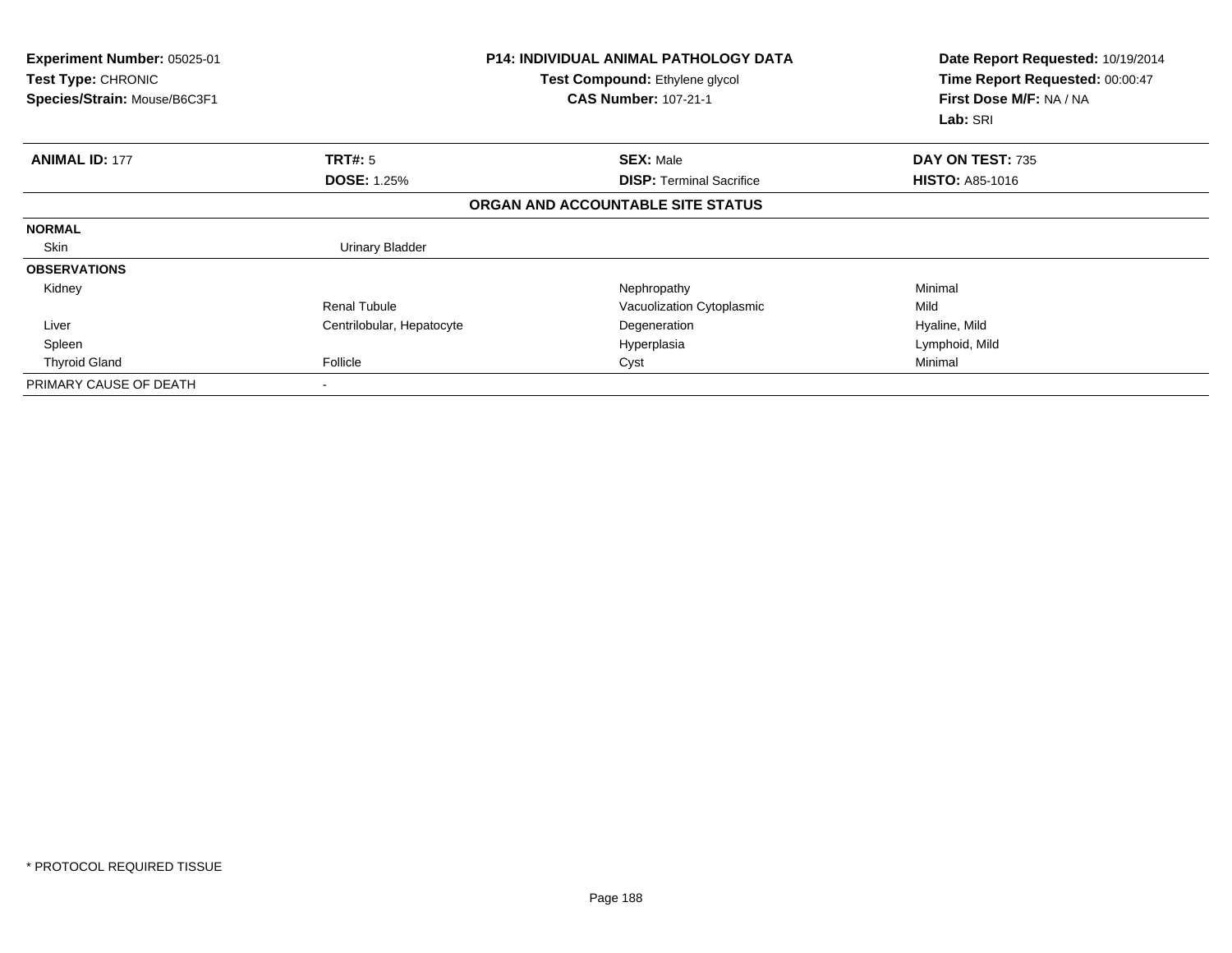| <b>Experiment Number: 05025-01</b><br>Test Type: CHRONIC<br>Species/Strain: Mouse/B6C3F1 |                           | <b>P14: INDIVIDUAL ANIMAL PATHOLOGY DATA</b><br>Test Compound: Ethylene glycol<br><b>CAS Number: 107-21-1</b> | Date Report Requested: 10/19/2014<br>Time Report Requested: 00:00:47<br>First Dose M/F: NA / NA<br>Lab: SRI |  |
|------------------------------------------------------------------------------------------|---------------------------|---------------------------------------------------------------------------------------------------------------|-------------------------------------------------------------------------------------------------------------|--|
| <b>ANIMAL ID: 177</b>                                                                    | TRT#: 5                   | <b>SEX: Male</b>                                                                                              | DAY ON TEST: 735                                                                                            |  |
|                                                                                          | <b>DOSE: 1.25%</b>        | <b>DISP:</b> Terminal Sacrifice                                                                               | <b>HISTO: A85-1016</b>                                                                                      |  |
|                                                                                          |                           | ORGAN AND ACCOUNTABLE SITE STATUS                                                                             |                                                                                                             |  |
| <b>NORMAL</b>                                                                            |                           |                                                                                                               |                                                                                                             |  |
| Skin                                                                                     | <b>Urinary Bladder</b>    |                                                                                                               |                                                                                                             |  |
| <b>OBSERVATIONS</b>                                                                      |                           |                                                                                                               |                                                                                                             |  |
| Kidney                                                                                   |                           | Nephropathy                                                                                                   | Minimal                                                                                                     |  |
|                                                                                          | <b>Renal Tubule</b>       | Vacuolization Cytoplasmic                                                                                     | Mild                                                                                                        |  |
| Liver                                                                                    | Centrilobular, Hepatocyte | Degeneration                                                                                                  | Hyaline, Mild                                                                                               |  |
| Spleen                                                                                   |                           | Hyperplasia                                                                                                   | Lymphoid, Mild                                                                                              |  |
| <b>Thyroid Gland</b>                                                                     | Follicle                  | Cyst                                                                                                          | Minimal                                                                                                     |  |
| PRIMARY CAUSE OF DEATH                                                                   | $\overline{\phantom{a}}$  |                                                                                                               |                                                                                                             |  |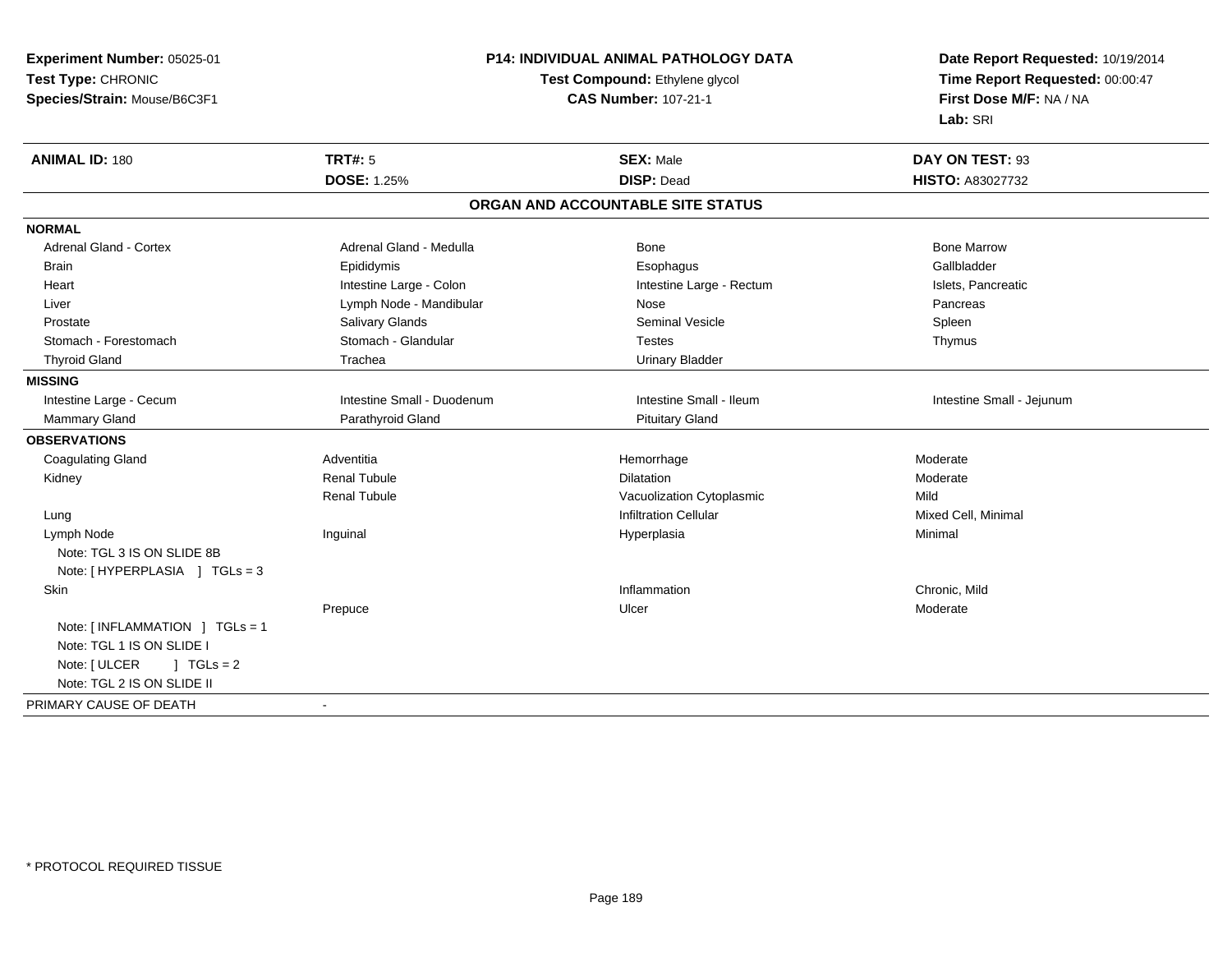**Experiment Number:** 05025-01**Test Type:** CHRONIC **Species/Strain:** Mouse/B6C3F1**P14: INDIVIDUAL ANIMAL PATHOLOGY DATATest Compound:** Ethylene glycol **CAS Number:** 107-21-1**Date Report Requested:** 10/19/2014**Time Report Requested:** 00:00:47**First Dose M/F:** NA / NA**Lab:** SRI**ANIMAL ID:** 180**TRT#:** 5 **SEX:** Male **DAY ON TEST:** 93 **DOSE:** 1.25% **DISP:** Dead **HISTO:** A83027732 **ORGAN AND ACCOUNTABLE SITE STATUSNORMALAdrenal Gland - Cortex** Adrenal Gland - Medulla **Bone Adrenal Gland - Cortex Adrenal Gland - Cortex Adrenal Gland - Medulla** Bone Marrow Gallbladder Brain Epididymis Epididymis and the Brook of the Brook of the Brook of the Brook of the Gallbladder of the Gallbladder Heart **Intestine Large - Colon** Intestine Large - Rectum Intestine Large - Rectum Islets, Pancreatic Liver Nose Controller Controller Controller Lymph Node - Mandibular Nose Nose Nose Pancreas Pancreas Prostate Salivary Glands Seminal Vesicle SpleenThymus Stomach - Forestomach **Stomach - Glandular** Stomach - Glandular Testes Thyroid Gland Trachea Urinary Bladder**MISSING**Intestine Large - Cecum Intestine Small - Duodenum **Intestine Small - Intestine Small - Ileum** Intestine Small - Iejunum Mammary Gland **Parathyroid Gland** Parathyroid Gland **Parathyroid Gland** Pituitary Gland **OBSERVATIONS** Coagulating Glandd en anderste anderste anderste anderste anderste and the Hemorrhage states and the Moderate Moderate and Moderate  $\sim$  Kidney Renal Tubulee and the contract of Dilatation and the contract of the Moderate of the Moderate of the Dilatation of the Moderate of the Moderate of the Moderate of the Moderate of the Moderate of the Moderate of the Moderate of the Mod Renal TubuleVacuolization Cytoplasmic<br>
Infiltration Cellular<br>
Infiltration Cellular Lungg and the settlement of the settlement of the settlement of the settlement of the settlement of the settlement of  $\mathbf{I}$  infiltration Cellular  $\mathbf{I}$  in  $\mathbf{I}$  in  $\mathbf{I}$  is a set of the set of the set of the set of Lymph Node Inguinal Hyperplasia Minimal Note: TGL 3 IS ON SLIDE 8B Note: [ HYPERPLASIA ] TGLs = 3 Skinn and the control of the control of the control of the control of the control of the chronic, Mild and the chronic, Mild and the chronic, Mild and the chronic of the chronic state of the chronic state of the chronic state Prepucee and the contract of the Ulcer and the contract of the contract of the Moderate of the Moderate of the contract of the contract of the contract of the contract of the contract of the contract of the contract of the contra Note: [ INFLAMMATION ] TGLs = 1 Note: TGL 1 IS ON SLIDE INote:  $[ULCER \t 1 TGLs = 2$ Note: TGL 2 IS ON SLIDE IIPRIMARY CAUSE OF DEATH-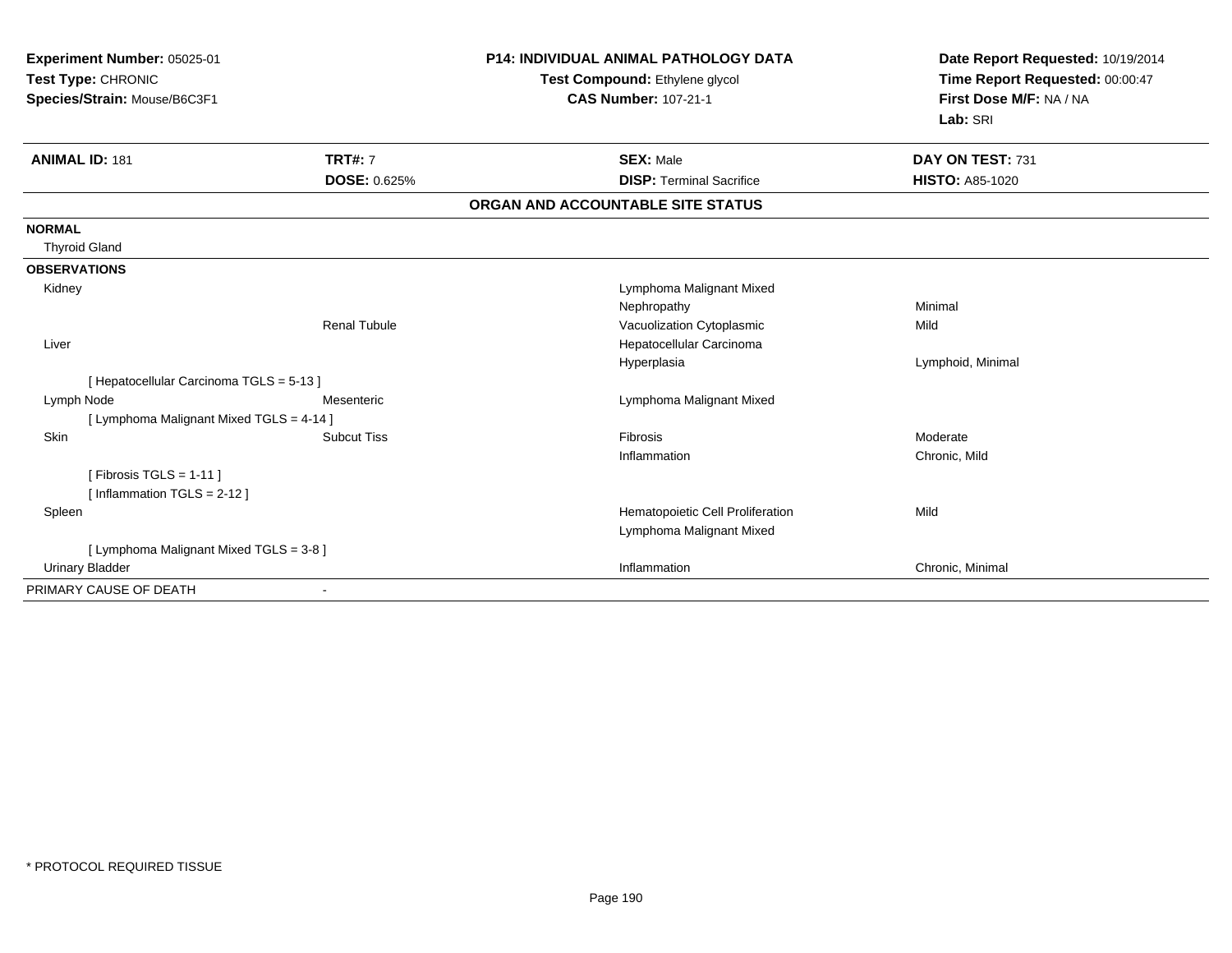| Experiment Number: 05025-01<br>Test Type: CHRONIC |                     | <b>P14: INDIVIDUAL ANIMAL PATHOLOGY DATA</b> | Date Report Requested: 10/19/2014 |
|---------------------------------------------------|---------------------|----------------------------------------------|-----------------------------------|
|                                                   |                     | Test Compound: Ethylene glycol               | Time Report Requested: 00:00:47   |
| Species/Strain: Mouse/B6C3F1                      |                     | <b>CAS Number: 107-21-1</b>                  | First Dose M/F: NA / NA           |
|                                                   |                     |                                              | Lab: SRI                          |
| <b>ANIMAL ID: 181</b>                             | <b>TRT#: 7</b>      | <b>SEX: Male</b>                             | DAY ON TEST: 731                  |
|                                                   | DOSE: 0.625%        | <b>DISP: Terminal Sacrifice</b>              | <b>HISTO: A85-1020</b>            |
|                                                   |                     | ORGAN AND ACCOUNTABLE SITE STATUS            |                                   |
| <b>NORMAL</b>                                     |                     |                                              |                                   |
| <b>Thyroid Gland</b>                              |                     |                                              |                                   |
| <b>OBSERVATIONS</b>                               |                     |                                              |                                   |
| Kidney                                            |                     | Lymphoma Malignant Mixed                     |                                   |
|                                                   |                     | Nephropathy                                  | Minimal                           |
|                                                   | <b>Renal Tubule</b> | Vacuolization Cytoplasmic                    | Mild                              |
| Liver                                             |                     | Hepatocellular Carcinoma                     |                                   |
|                                                   |                     | Hyperplasia                                  | Lymphoid, Minimal                 |
| [ Hepatocellular Carcinoma TGLS = 5-13 ]          |                     |                                              |                                   |
| Lymph Node                                        | Mesenteric          | Lymphoma Malignant Mixed                     |                                   |
| [ Lymphoma Malignant Mixed TGLS = 4-14 ]          |                     |                                              |                                   |
| Skin                                              | <b>Subcut Tiss</b>  | Fibrosis                                     | Moderate                          |
|                                                   |                     | Inflammation                                 | Chronic, Mild                     |
| [Fibrosis TGLS = $1-11$ ]                         |                     |                                              |                                   |
| [Inflammation TGLS = 2-12]                        |                     |                                              |                                   |
| Spleen                                            |                     | Hematopoietic Cell Proliferation             | Mild                              |
|                                                   |                     | Lymphoma Malignant Mixed                     |                                   |
| [ Lymphoma Malignant Mixed TGLS = 3-8 ]           |                     |                                              |                                   |
| <b>Urinary Bladder</b>                            |                     | Inflammation                                 | Chronic, Minimal                  |
| PRIMARY CAUSE OF DEATH                            |                     |                                              |                                   |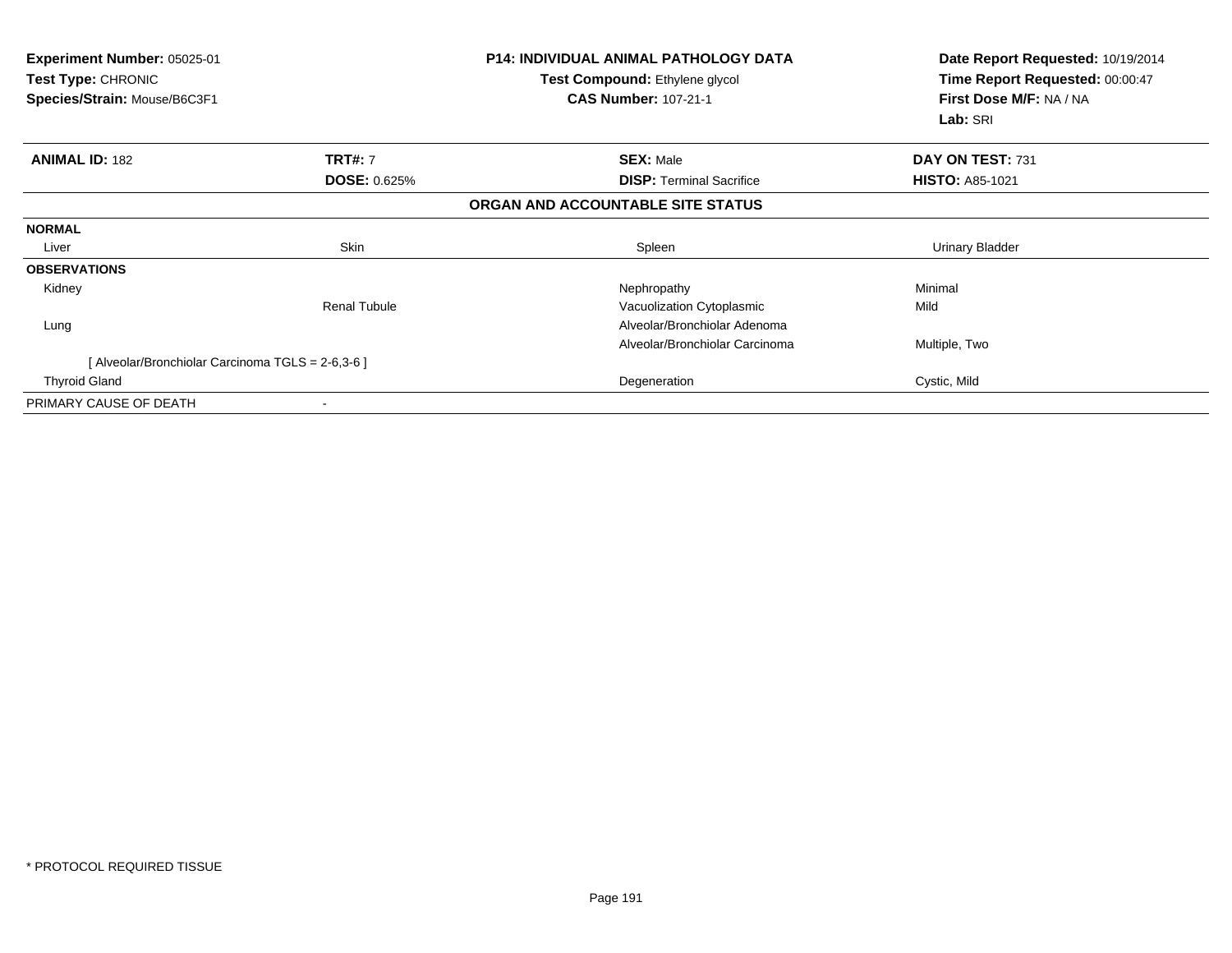| <b>Experiment Number: 05025-01</b><br><b>Test Type: CHRONIC</b><br>Species/Strain: Mouse/B6C3F1 | <b>P14: INDIVIDUAL ANIMAL PATHOLOGY DATA</b><br>Test Compound: Ethylene glycol<br><b>CAS Number: 107-21-1</b> |                                   | Date Report Requested: 10/19/2014<br>Time Report Requested: 00:00:47<br>First Dose M/F: NA / NA<br>Lab: SRI |  |
|-------------------------------------------------------------------------------------------------|---------------------------------------------------------------------------------------------------------------|-----------------------------------|-------------------------------------------------------------------------------------------------------------|--|
| <b>ANIMAL ID: 182</b>                                                                           | <b>TRT#: 7</b>                                                                                                | <b>SEX: Male</b>                  | DAY ON TEST: 731                                                                                            |  |
|                                                                                                 | <b>DOSE: 0.625%</b>                                                                                           | <b>DISP:</b> Terminal Sacrifice   | <b>HISTO: A85-1021</b>                                                                                      |  |
|                                                                                                 |                                                                                                               | ORGAN AND ACCOUNTABLE SITE STATUS |                                                                                                             |  |
| <b>NORMAL</b>                                                                                   |                                                                                                               |                                   |                                                                                                             |  |
| Liver                                                                                           | Skin                                                                                                          | Spleen                            | <b>Urinary Bladder</b>                                                                                      |  |
| <b>OBSERVATIONS</b>                                                                             |                                                                                                               |                                   |                                                                                                             |  |
| Kidney                                                                                          |                                                                                                               | Nephropathy                       | Minimal                                                                                                     |  |
|                                                                                                 | <b>Renal Tubule</b>                                                                                           | Vacuolization Cytoplasmic         | Mild                                                                                                        |  |
| Lung                                                                                            |                                                                                                               | Alveolar/Bronchiolar Adenoma      |                                                                                                             |  |
|                                                                                                 |                                                                                                               | Alveolar/Bronchiolar Carcinoma    | Multiple, Two                                                                                               |  |
| [ Alveolar/Bronchiolar Carcinoma TGLS = 2-6,3-6 ]                                               |                                                                                                               |                                   |                                                                                                             |  |
| <b>Thyroid Gland</b>                                                                            |                                                                                                               | Degeneration                      | Cystic, Mild                                                                                                |  |
| PRIMARY CAUSE OF DEATH                                                                          |                                                                                                               |                                   |                                                                                                             |  |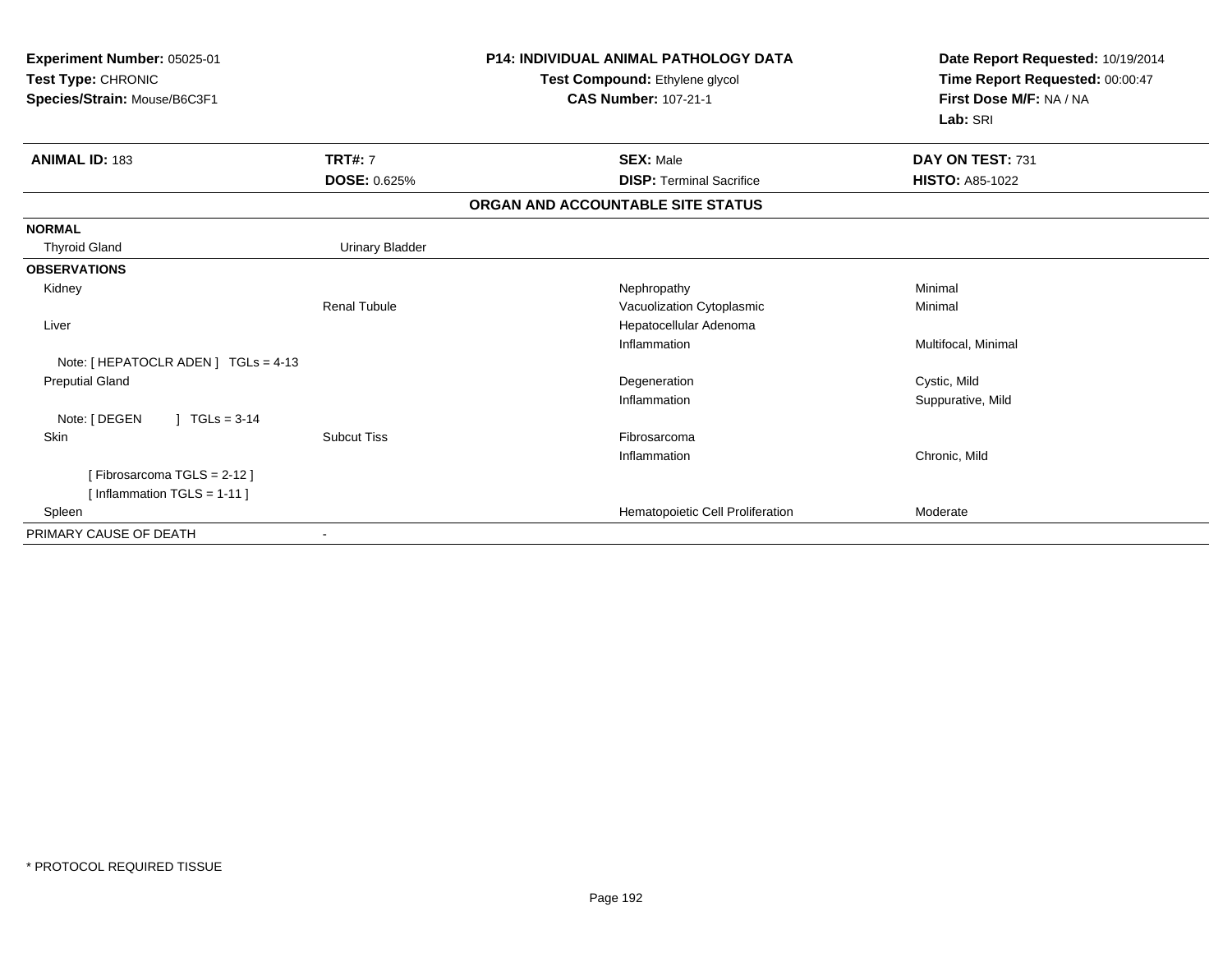| Experiment Number: 05025-01<br>Test Type: CHRONIC<br>Species/Strain: Mouse/B6C3F1 |                        | <b>P14: INDIVIDUAL ANIMAL PATHOLOGY DATA</b><br>Test Compound: Ethylene glycol<br><b>CAS Number: 107-21-1</b> | Date Report Requested: 10/19/2014<br>Time Report Requested: 00:00:47<br>First Dose M/F: NA / NA<br>Lab: SRI |
|-----------------------------------------------------------------------------------|------------------------|---------------------------------------------------------------------------------------------------------------|-------------------------------------------------------------------------------------------------------------|
| <b>ANIMAL ID: 183</b>                                                             | <b>TRT#: 7</b>         | <b>SEX: Male</b>                                                                                              | DAY ON TEST: 731                                                                                            |
|                                                                                   | <b>DOSE: 0.625%</b>    | <b>DISP: Terminal Sacrifice</b>                                                                               | <b>HISTO: A85-1022</b>                                                                                      |
|                                                                                   |                        | ORGAN AND ACCOUNTABLE SITE STATUS                                                                             |                                                                                                             |
| <b>NORMAL</b>                                                                     |                        |                                                                                                               |                                                                                                             |
| <b>Thyroid Gland</b>                                                              | <b>Urinary Bladder</b> |                                                                                                               |                                                                                                             |
| <b>OBSERVATIONS</b>                                                               |                        |                                                                                                               |                                                                                                             |
| Kidney                                                                            |                        | Nephropathy                                                                                                   | Minimal                                                                                                     |
|                                                                                   | <b>Renal Tubule</b>    | Vacuolization Cytoplasmic                                                                                     | Minimal                                                                                                     |
| Liver                                                                             |                        | Hepatocellular Adenoma                                                                                        |                                                                                                             |
|                                                                                   |                        | Inflammation                                                                                                  | Multifocal, Minimal                                                                                         |
| Note: [ HEPATOCLR ADEN ] TGLs = 4-13                                              |                        |                                                                                                               |                                                                                                             |
| <b>Preputial Gland</b>                                                            |                        | Degeneration                                                                                                  | Cystic, Mild                                                                                                |
|                                                                                   |                        | Inflammation                                                                                                  | Suppurative, Mild                                                                                           |
| Note: [ DEGEN<br>$TGLs = 3-14$                                                    |                        |                                                                                                               |                                                                                                             |
| Skin                                                                              | <b>Subcut Tiss</b>     | Fibrosarcoma                                                                                                  |                                                                                                             |
|                                                                                   |                        | Inflammation                                                                                                  | Chronic, Mild                                                                                               |
| [Fibrosarcoma TGLS = 2-12]                                                        |                        |                                                                                                               |                                                                                                             |
| [Inflammation $TGLS = 1-11$ ]                                                     |                        |                                                                                                               |                                                                                                             |
| Spleen                                                                            |                        | Hematopoietic Cell Proliferation                                                                              | Moderate                                                                                                    |
| PRIMARY CAUSE OF DEATH                                                            |                        |                                                                                                               |                                                                                                             |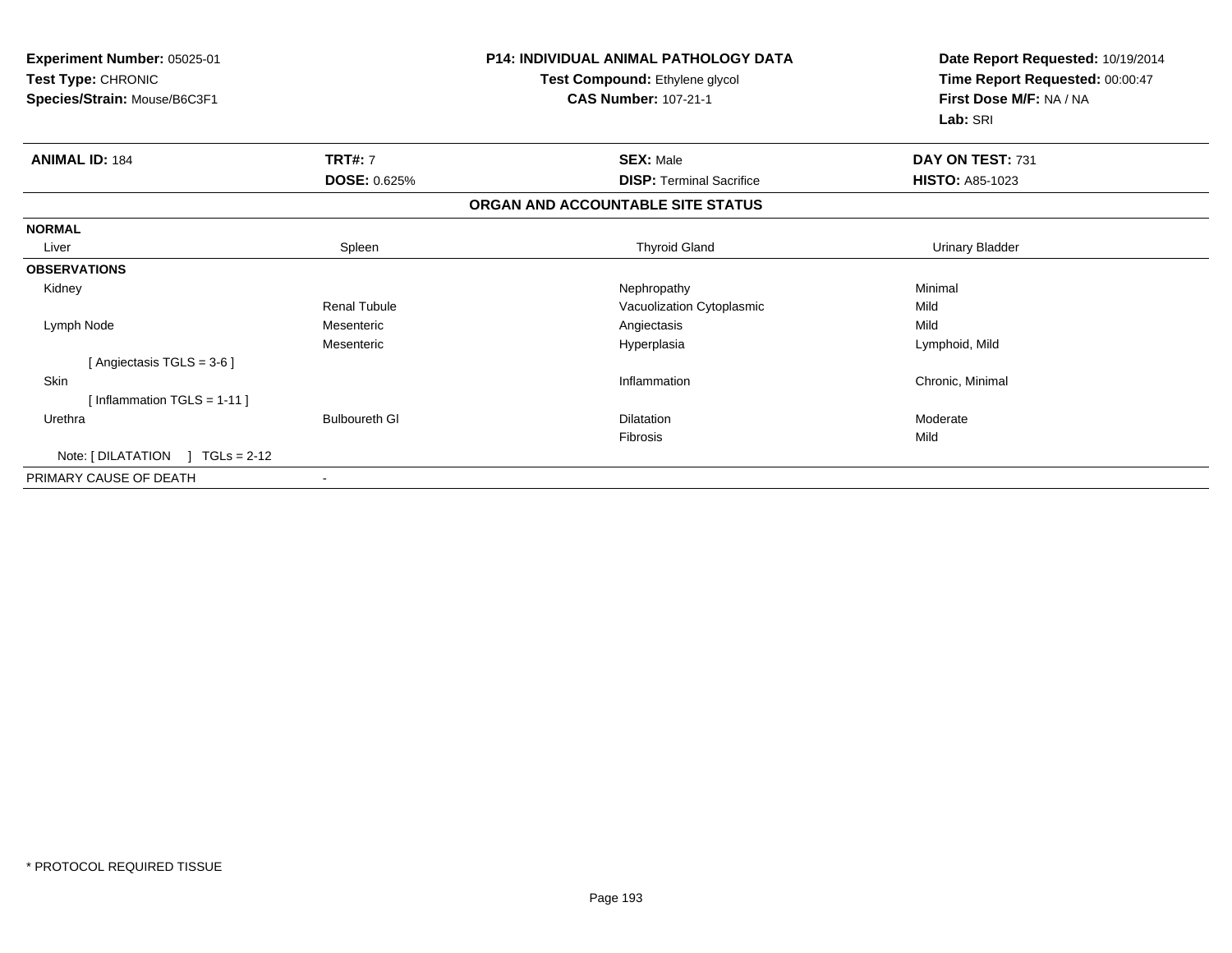| Experiment Number: 05025-01<br>Test Type: CHRONIC<br>Species/Strain: Mouse/B6C3F1 |                      | <b>P14: INDIVIDUAL ANIMAL PATHOLOGY DATA</b><br>Test Compound: Ethylene glycol<br><b>CAS Number: 107-21-1</b> | Date Report Requested: 10/19/2014<br>Time Report Requested: 00:00:47<br>First Dose M/F: NA / NA<br>Lab: SRI |
|-----------------------------------------------------------------------------------|----------------------|---------------------------------------------------------------------------------------------------------------|-------------------------------------------------------------------------------------------------------------|
| <b>ANIMAL ID: 184</b>                                                             | <b>TRT#: 7</b>       | <b>SEX: Male</b>                                                                                              | DAY ON TEST: 731                                                                                            |
|                                                                                   | <b>DOSE: 0.625%</b>  | <b>DISP: Terminal Sacrifice</b>                                                                               | <b>HISTO: A85-1023</b>                                                                                      |
|                                                                                   |                      | ORGAN AND ACCOUNTABLE SITE STATUS                                                                             |                                                                                                             |
| <b>NORMAL</b>                                                                     |                      |                                                                                                               |                                                                                                             |
| Liver                                                                             | Spleen               | <b>Thyroid Gland</b>                                                                                          | <b>Urinary Bladder</b>                                                                                      |
| <b>OBSERVATIONS</b>                                                               |                      |                                                                                                               |                                                                                                             |
| Kidney                                                                            |                      | Nephropathy                                                                                                   | Minimal                                                                                                     |
|                                                                                   | <b>Renal Tubule</b>  | Vacuolization Cytoplasmic                                                                                     | Mild                                                                                                        |
| Lymph Node                                                                        | Mesenteric           | Angiectasis                                                                                                   | Mild                                                                                                        |
|                                                                                   | Mesenteric           | Hyperplasia                                                                                                   | Lymphoid, Mild                                                                                              |
| [Angiectasis TGLS = $3-6$ ]                                                       |                      |                                                                                                               |                                                                                                             |
| <b>Skin</b>                                                                       |                      | Inflammation                                                                                                  | Chronic, Minimal                                                                                            |
| [Inflammation TGLS = $1-11$ ]                                                     |                      |                                                                                                               |                                                                                                             |
| Urethra                                                                           | <b>Bulboureth GI</b> | <b>Dilatation</b>                                                                                             | Moderate                                                                                                    |
|                                                                                   |                      | Fibrosis                                                                                                      | Mild                                                                                                        |
| Note: $[DILATATION] TGLs = 2-12$                                                  |                      |                                                                                                               |                                                                                                             |
| PRIMARY CAUSE OF DEATH                                                            |                      |                                                                                                               |                                                                                                             |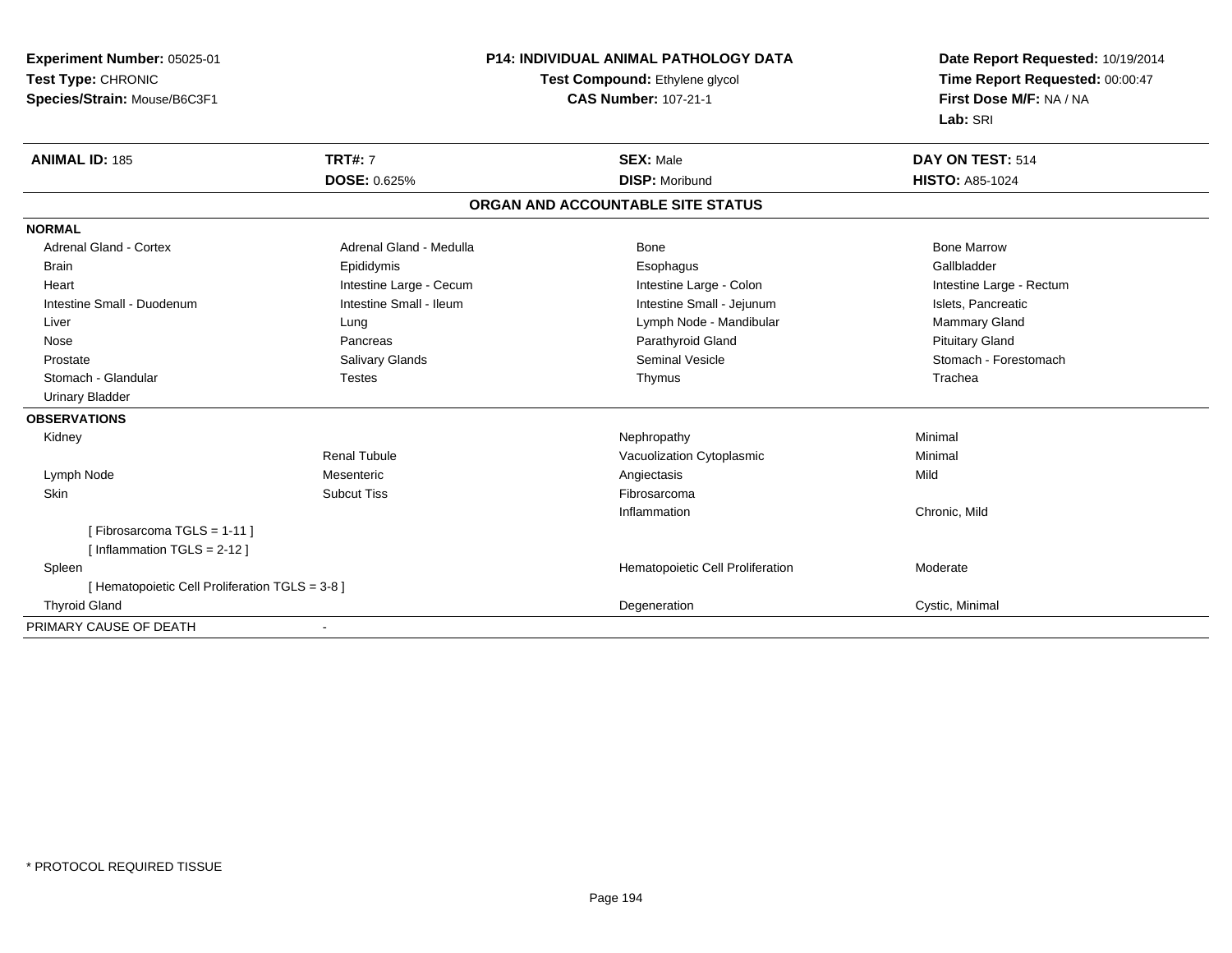**Experiment Number:** 05025-01**Test Type:** CHRONIC**Species/Strain:** Mouse/B6C3F1

## **P14: INDIVIDUAL ANIMAL PATHOLOGY DATA**

## **Test Compound:** Ethylene glycol **CAS Number:** 107-21-1

**Date Report Requested:** 10/19/2014**Time Report Requested:** 00:00:47**First Dose M/F:** NA / NA**Lab:** SRI

| <b>ANIMAL ID: 185</b>                           | <b>TRT#: 7</b>                    | <b>SEX: Male</b>                 | DAY ON TEST: 514         |  |  |  |  |
|-------------------------------------------------|-----------------------------------|----------------------------------|--------------------------|--|--|--|--|
|                                                 | <b>DOSE: 0.625%</b>               | <b>DISP: Moribund</b>            | <b>HISTO: A85-1024</b>   |  |  |  |  |
|                                                 | ORGAN AND ACCOUNTABLE SITE STATUS |                                  |                          |  |  |  |  |
| <b>NORMAL</b>                                   |                                   |                                  |                          |  |  |  |  |
| <b>Adrenal Gland - Cortex</b>                   | Adrenal Gland - Medulla           | Bone                             | <b>Bone Marrow</b>       |  |  |  |  |
| <b>Brain</b>                                    | Epididymis                        | Esophagus                        | Gallbladder              |  |  |  |  |
| Heart                                           | Intestine Large - Cecum           | Intestine Large - Colon          | Intestine Large - Rectum |  |  |  |  |
| Intestine Small - Duodenum                      | Intestine Small - Ileum           | Intestine Small - Jejunum        | Islets, Pancreatic       |  |  |  |  |
| Liver                                           | Lung                              | Lymph Node - Mandibular          | Mammary Gland            |  |  |  |  |
| Nose                                            | Pancreas                          | Parathyroid Gland                | <b>Pituitary Gland</b>   |  |  |  |  |
| Prostate                                        | <b>Salivary Glands</b>            | <b>Seminal Vesicle</b>           | Stomach - Forestomach    |  |  |  |  |
| Stomach - Glandular                             | <b>Testes</b>                     | Thymus                           | Trachea                  |  |  |  |  |
| <b>Urinary Bladder</b>                          |                                   |                                  |                          |  |  |  |  |
| <b>OBSERVATIONS</b>                             |                                   |                                  |                          |  |  |  |  |
| Kidney                                          |                                   | Nephropathy                      | Minimal                  |  |  |  |  |
|                                                 | <b>Renal Tubule</b>               | Vacuolization Cytoplasmic        | Minimal                  |  |  |  |  |
| Lymph Node                                      | Mesenteric                        | Angiectasis                      | Mild                     |  |  |  |  |
| Skin                                            | <b>Subcut Tiss</b>                | Fibrosarcoma                     |                          |  |  |  |  |
|                                                 |                                   | Inflammation                     | Chronic, Mild            |  |  |  |  |
| [Fibrosarcoma TGLS = 1-11]                      |                                   |                                  |                          |  |  |  |  |
| [ Inflammation TGLS = $2-12$ ]                  |                                   |                                  |                          |  |  |  |  |
| Spleen                                          |                                   | Hematopoietic Cell Proliferation | Moderate                 |  |  |  |  |
| [ Hematopoietic Cell Proliferation TGLS = 3-8 ] |                                   |                                  |                          |  |  |  |  |
| <b>Thyroid Gland</b>                            |                                   | Degeneration                     | Cystic, Minimal          |  |  |  |  |
| PRIMARY CAUSE OF DEATH                          |                                   |                                  |                          |  |  |  |  |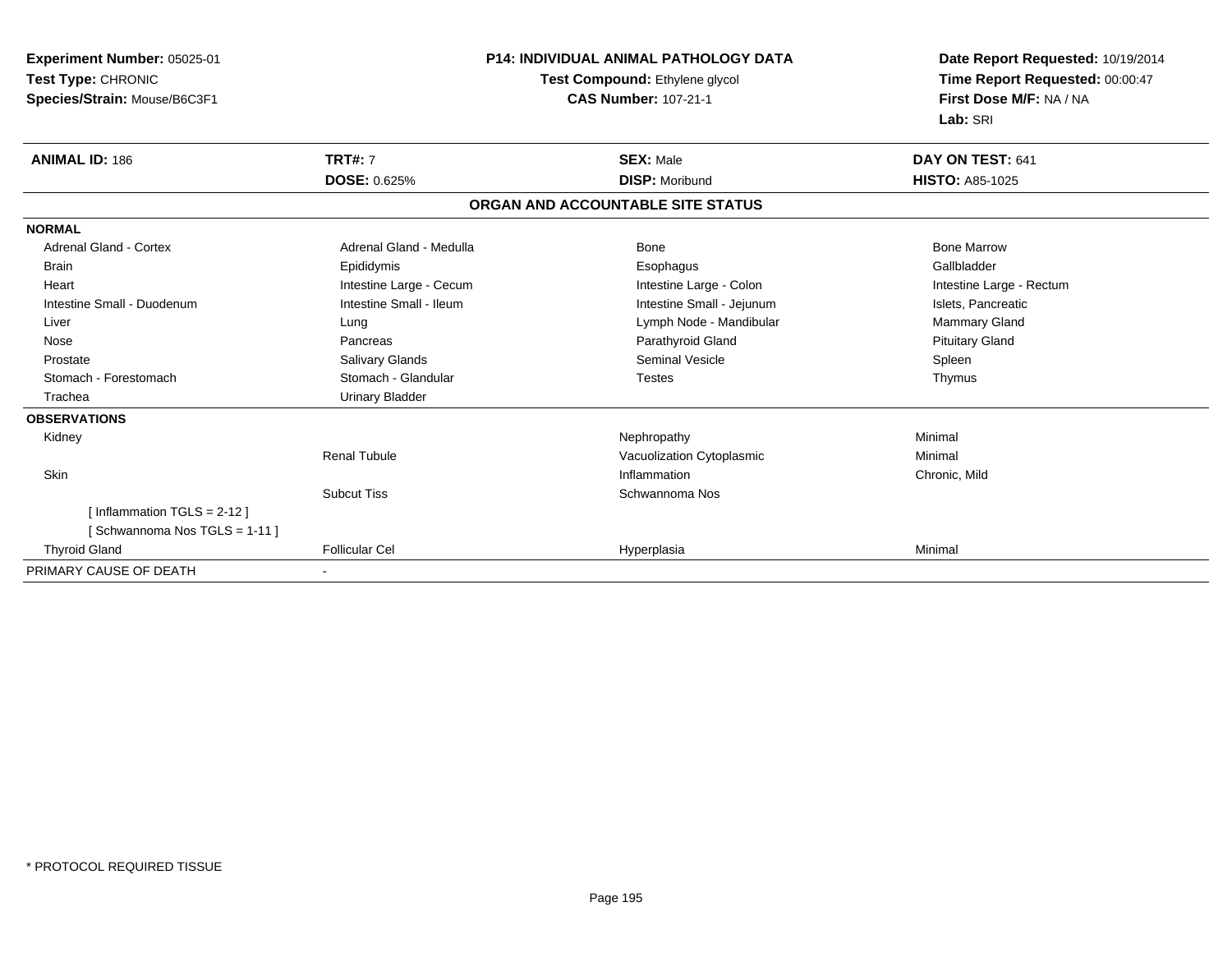**Experiment Number:** 05025-01**Test Type:** CHRONIC **Species/Strain:** Mouse/B6C3F1**P14: INDIVIDUAL ANIMAL PATHOLOGY DATATest Compound:** Ethylene glycol **CAS Number:** 107-21-1**Date Report Requested:** 10/19/2014**Time Report Requested:** 00:00:47**First Dose M/F:** NA / NA**Lab:** SRI**ANIMAL ID:** 186 **TRT#:** <sup>7</sup> **SEX:** Male **DAY ON TEST:** <sup>641</sup> **DOSE:** 0.625% **DISP:** Moribund **HISTO:** A85-1025 **ORGAN AND ACCOUNTABLE SITE STATUSNORMALAdrenal Gland - Cortex**  Adrenal Gland - Cortex Adrenal Gland - Medulla Bone Bone MarrowGallbladder Brain Epididymis Epididymis and the Brook of the Brook of the Brook of the Brook of the Gallbladder of the Gallbladder Heart **Intestine Large - Cecum** Intestine Large - Cecum Intestine Large - Colon Intestine Large - Rectum Intestine Small - Duodenum **Intestine Small - Ileum** Intestine Small - Ileum Intestine Small - Jejunum Intestine Small - Jejunum Islets, Pancreatic Mammary Gland Liver **Lung Lung Lung Lung Lymph Node - Mandibular** Mammary Gland According Lymph Node - Mandibular Nose Pancreas Parathyroid Gland Pituitary Gland Prostate Salivary Glands Seminal Vesicle SpleenThymus Stomach - Forestomach **Stomach - Glandular** Testes Testes Testes Testes Testes The Testes The Testes The Testes The Testes The Testes The Testes The Testes Testes The Testes Testes Testes Testes Testes Testes Testes Testes Trachea Urinary Bladder**OBSERVATIONS** Kidneyy the controller of the controller of the controller of the Nephropathy the controller of the Minimal Minimal  $\lambda$ Renal TubuleVacuolization Cytoplasmic<br>
Inflammation Minimal<br>
Chronic, Mild Skinn and the contract of the contract of the contract of the contract of the chronic, Mild and Chronic, Mild and Chronic, Mild and Chronic, Mild and Chronic, Mild and Chronic, Mild and Chronic, Mild and Chronic, Mild and Chro Subcut Tiss Schwannoma Nos [ Inflammation TGLS = 2-12 ][ Schwannoma Nos TGLS = 1-11 ] Thyroid Gland Follicular Cel Hyperplasia Minimal PRIMARY CAUSE OF DEATH-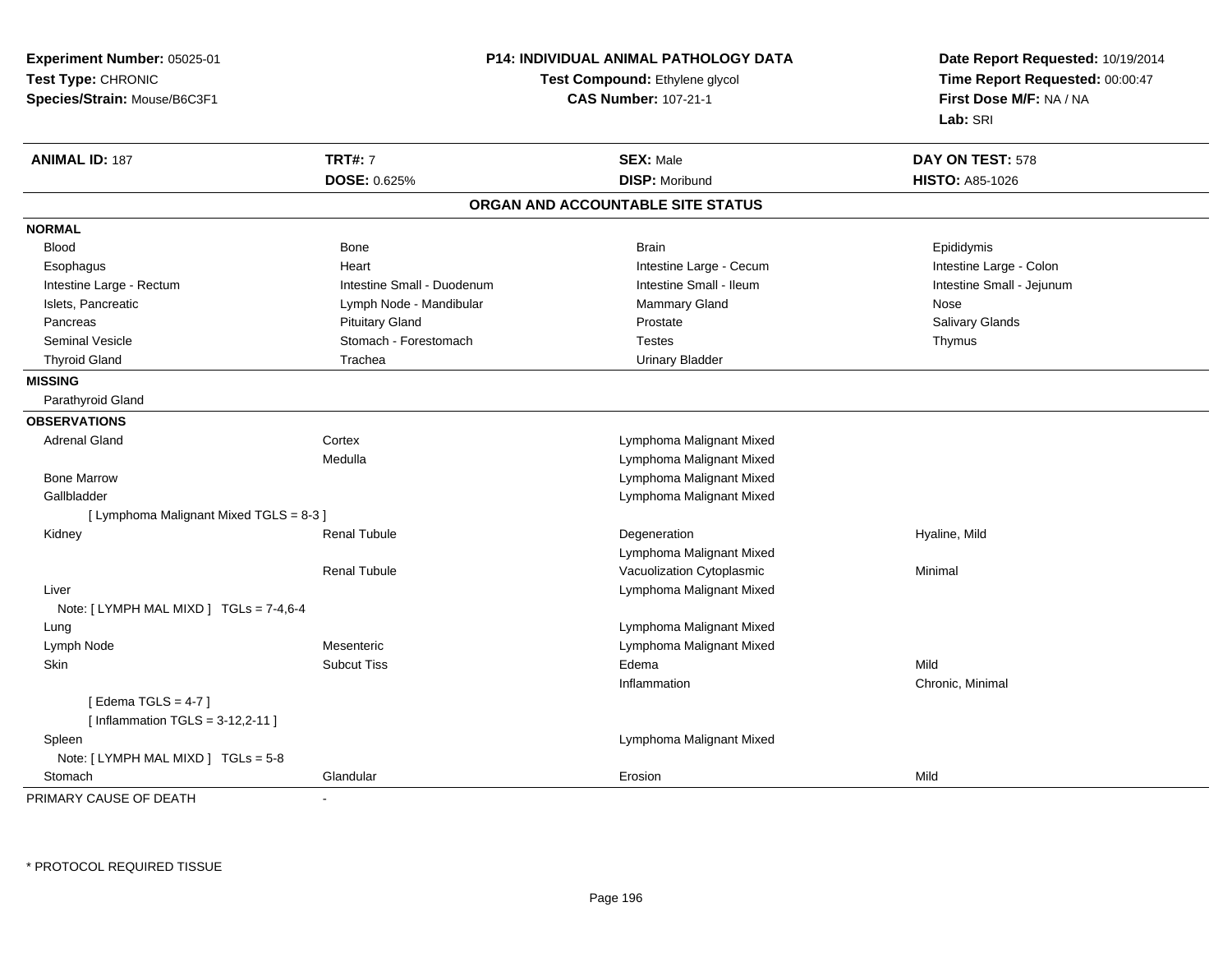**Experiment Number:** 05025-01**Test Type:** CHRONIC**Species/Strain:** Mouse/B6C3F1

## **P14: INDIVIDUAL ANIMAL PATHOLOGY DATA**

## **Test Compound:** Ethylene glycol **CAS Number:** 107-21-1

**Date Report Requested:** 10/19/2014**Time Report Requested:** 00:00:47**First Dose M/F:** NA / NA**Lab:** SRI

| <b>ANIMAL ID: 187</b>                   | <b>TRT#: 7</b>             | <b>SEX: Male</b>                  | DAY ON TEST: 578          |
|-----------------------------------------|----------------------------|-----------------------------------|---------------------------|
|                                         | DOSE: 0.625%               | <b>DISP: Moribund</b>             | <b>HISTO: A85-1026</b>    |
|                                         |                            | ORGAN AND ACCOUNTABLE SITE STATUS |                           |
| <b>NORMAL</b>                           |                            |                                   |                           |
| <b>Blood</b>                            | Bone                       | <b>Brain</b>                      | Epididymis                |
| Esophagus                               | Heart                      | Intestine Large - Cecum           | Intestine Large - Colon   |
| Intestine Large - Rectum                | Intestine Small - Duodenum | Intestine Small - Ileum           | Intestine Small - Jejunum |
| Islets, Pancreatic                      | Lymph Node - Mandibular    | <b>Mammary Gland</b>              | Nose                      |
| Pancreas                                | <b>Pituitary Gland</b>     | Prostate                          | Salivary Glands           |
| <b>Seminal Vesicle</b>                  | Stomach - Forestomach      | <b>Testes</b>                     | Thymus                    |
| <b>Thyroid Gland</b>                    | Trachea                    | <b>Urinary Bladder</b>            |                           |
| <b>MISSING</b>                          |                            |                                   |                           |
| Parathyroid Gland                       |                            |                                   |                           |
| <b>OBSERVATIONS</b>                     |                            |                                   |                           |
| <b>Adrenal Gland</b>                    | Cortex                     | Lymphoma Malignant Mixed          |                           |
|                                         | Medulla                    | Lymphoma Malignant Mixed          |                           |
| <b>Bone Marrow</b>                      |                            | Lymphoma Malignant Mixed          |                           |
| Gallbladder                             |                            | Lymphoma Malignant Mixed          |                           |
| [ Lymphoma Malignant Mixed TGLS = 8-3 ] |                            |                                   |                           |
| Kidney                                  | <b>Renal Tubule</b>        | Degeneration                      | Hyaline, Mild             |
|                                         |                            | Lymphoma Malignant Mixed          |                           |
|                                         | <b>Renal Tubule</b>        | Vacuolization Cytoplasmic         | Minimal                   |
| Liver                                   |                            | Lymphoma Malignant Mixed          |                           |
| Note: [ LYMPH MAL MIXD ] TGLs = 7-4,6-4 |                            |                                   |                           |
| Lung                                    |                            | Lymphoma Malignant Mixed          |                           |
| Lymph Node                              | Mesenteric                 | Lymphoma Malignant Mixed          |                           |
| Skin                                    | <b>Subcut Tiss</b>         | Edema                             | Mild                      |
|                                         |                            | Inflammation                      | Chronic, Minimal          |
| [Edema TGLS = $4-7$ ]                   |                            |                                   |                           |
| [Inflammation TGLS = $3-12,2-11$ ]      |                            |                                   |                           |
| Spleen                                  |                            | Lymphoma Malignant Mixed          |                           |
| Note: [ LYMPH MAL MIXD ] TGLs = 5-8     |                            |                                   |                           |
| Stomach                                 | Glandular                  | Erosion                           | Mild                      |

PRIMARY CAUSE OF DEATH-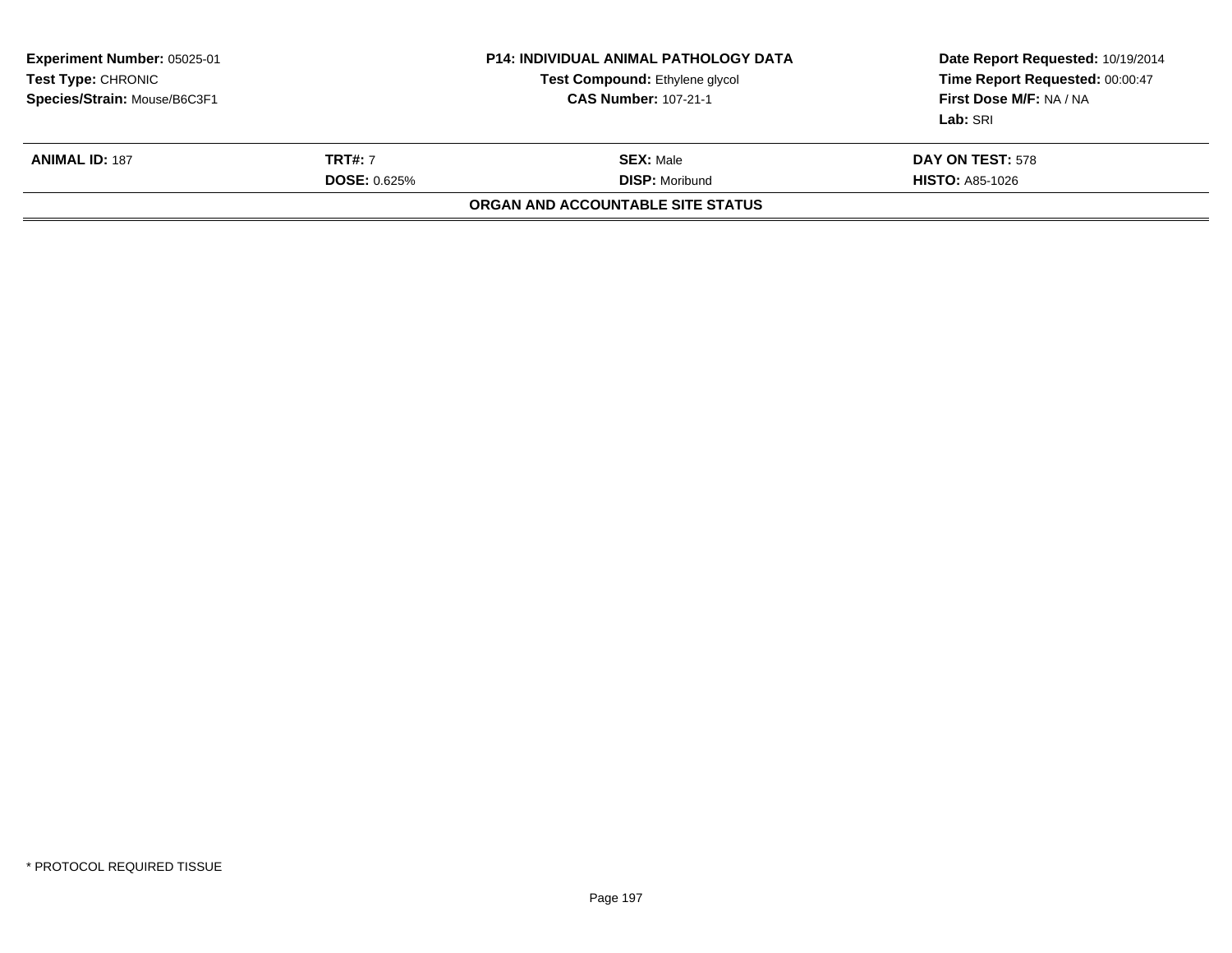| <b>Experiment Number: 05025-01</b><br><b>Test Type: CHRONIC</b><br>Species/Strain: Mouse/B6C3F1 |  | <b>P14: INDIVIDUAL ANIMAL PATHOLOGY DATA</b><br>Test Compound: Ethylene glycol<br><b>CAS Number: 107-21-1</b> | Date Report Requested: 10/19/2014<br>Time Report Requested: 00:00:47<br>First Dose M/F: NA / NA<br>Lab: SRI |
|-------------------------------------------------------------------------------------------------|--|---------------------------------------------------------------------------------------------------------------|-------------------------------------------------------------------------------------------------------------|
| <b>TRT#: 7</b><br><b>ANIMAL ID: 187</b><br><b>DOSE: 0.625%</b>                                  |  | <b>SEX: Male</b><br><b>DISP: Moribund</b>                                                                     | DAY ON TEST: 578<br><b>HISTO: A85-1026</b>                                                                  |
|                                                                                                 |  | ORGAN AND ACCOUNTABLE SITE STATUS                                                                             |                                                                                                             |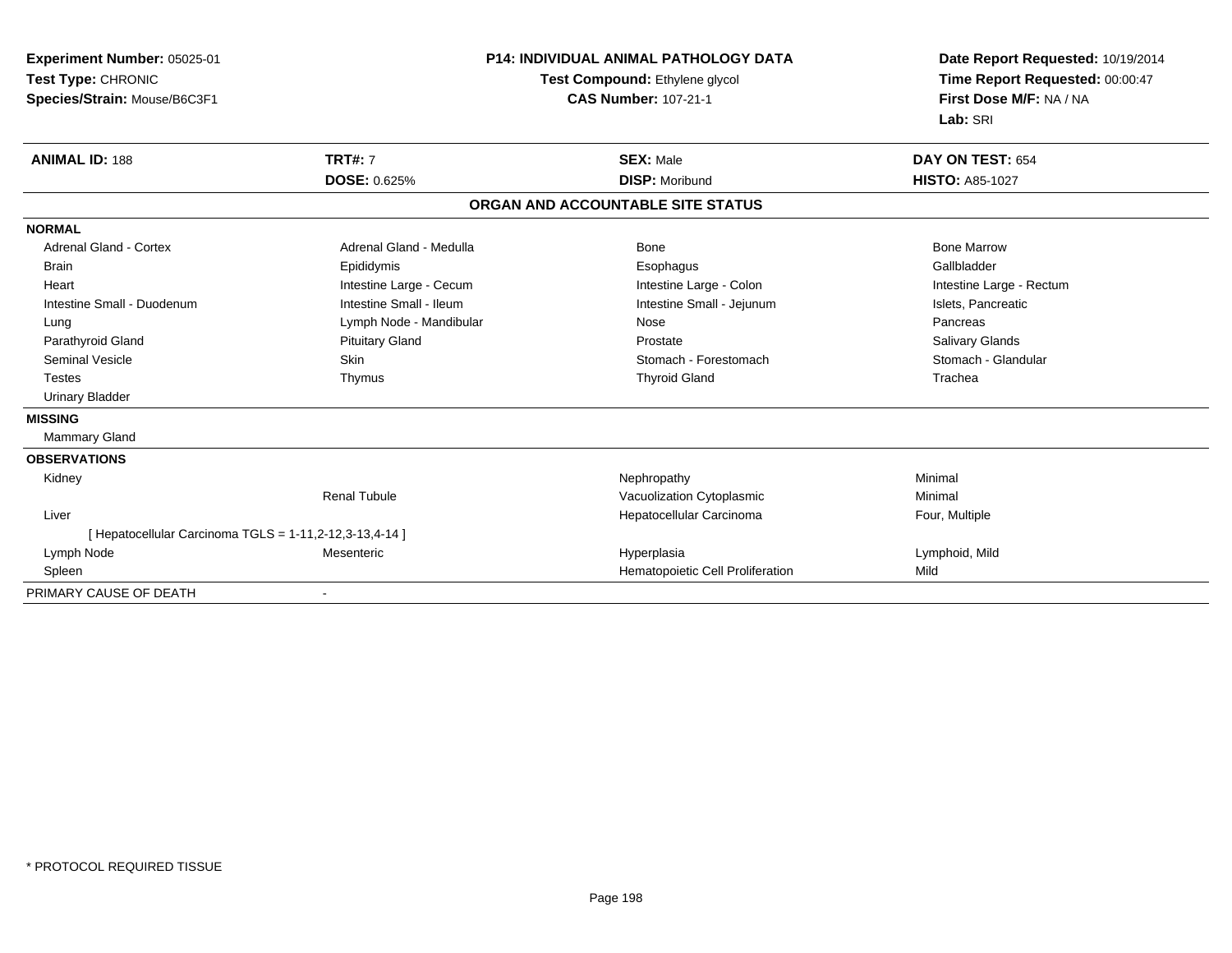**Experiment Number:** 05025-01**Test Type:** CHRONIC **Species/Strain:** Mouse/B6C3F1**P14: INDIVIDUAL ANIMAL PATHOLOGY DATATest Compound:** Ethylene glycol **CAS Number:** 107-21-1**Date Report Requested:** 10/19/2014**Time Report Requested:** 00:00:47**First Dose M/F:** NA / NA**Lab:** SRI**ANIMAL ID:** 188**TRT#:** 7 **SEX:** Male **DAY ON TEST:** 654 **DOSE:** 0.625% **DISP:** Moribund **HISTO:** A85-1027 **ORGAN AND ACCOUNTABLE SITE STATUSNORMALAdrenal Gland - Cortex**  Adrenal Gland - Cortex Adrenal Gland - Medulla Bone Bone MarrowGallbladder Brain Epididymis Epididymis and the Brook of the Brook of the Brook of the Brook of the Gallbladder of the Gallbladder Heart **Intestine Large - Cecum** Intestine Large - Cecum Intestine Large - Colon Intestine Large - Rectum Intestine Small - Duodenum **Intestine Small - Ileum** Intestine Small - Ileum Intestine Small - Jejunum Intestine Small - Jejunum Islets, Pancreatic Lung **Lymph Node - Mandibular Nose** Nose Nose **Pancreas** Pancreas **Salivary Glands** Parathyroid Gland Salivary Glands Pituitary Gland Prosection Prostate Prostate Salivary Glands Salivary Glands Stomach - Glandular Seminal Vesicle Subsetsion Skin Skin Stomach - Forestomach - Stomach - Forestomach - Stomach - Glandular Stomach - Glandular Stomach - Glandular Stomach - Glandular Stomach - Glandular Stomach - Stomach - Glandular Stomach Testes Thymus Thyroid Gland Trachea Urinary Bladder**MISSING** Mammary Gland**OBSERVATIONS** Kidneyy the control of the control of the control of the control of the control of the control of the control of the control of the control of the control of the control of the control of the control of the control of the contro Renal TubuleVacuolization Cytoplasmic **Minimal**  Liver Hepatocellular Carcinoma Four, Multiple [ Hepatocellular Carcinoma TGLS = 1-11,2-12,3-13,4-14 ] Lymph Node Mesenteric Hyperplasia Lymphoid, Mild SpleenHematopoietic Cell Proliferation Mild PRIMARY CAUSE OF DEATH-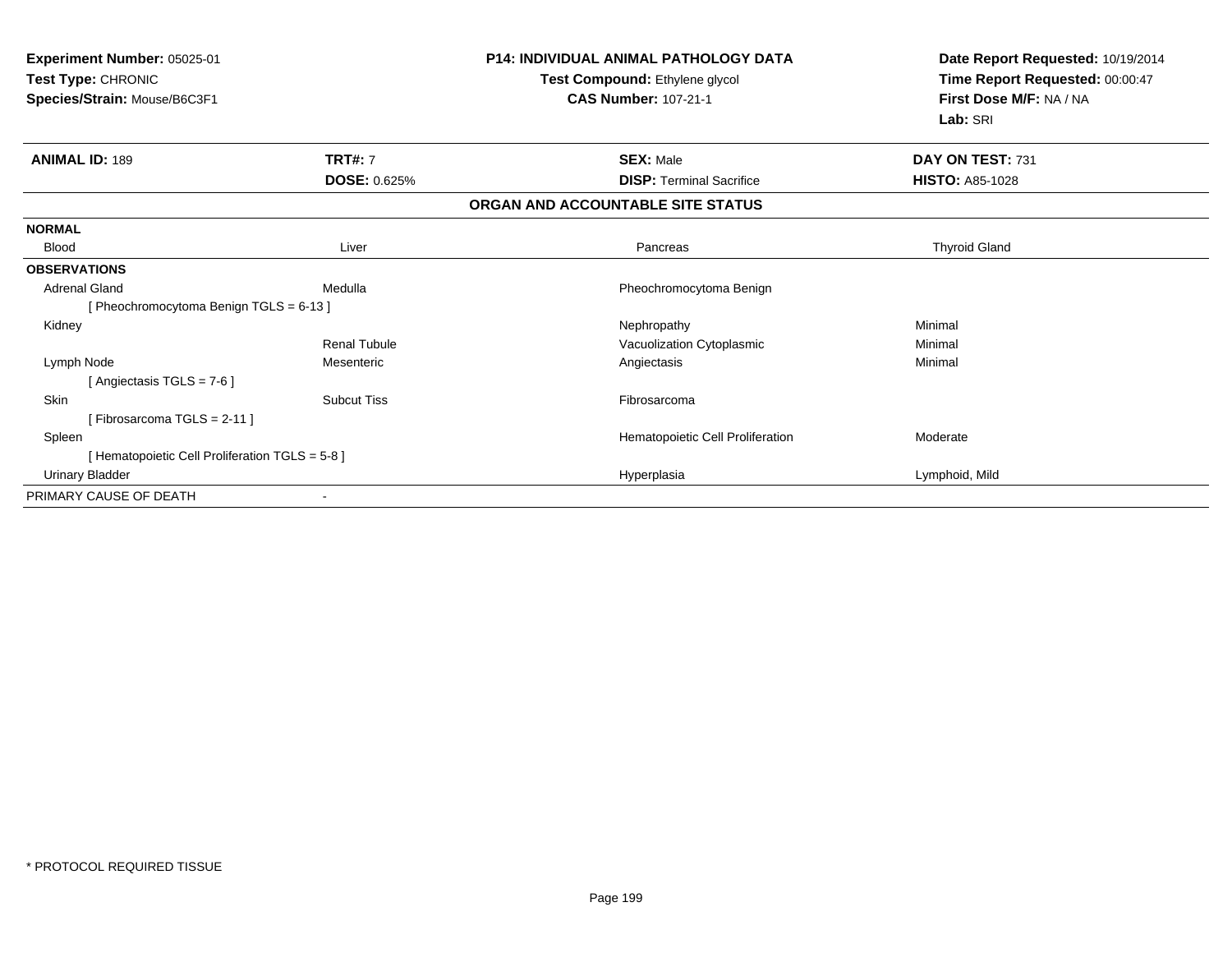| Experiment Number: 05025-01<br>Test Type: CHRONIC<br>Species/Strain: Mouse/B6C3F1 |                                | <b>P14: INDIVIDUAL ANIMAL PATHOLOGY DATA</b><br>Test Compound: Ethylene glycol<br><b>CAS Number: 107-21-1</b> | Date Report Requested: 10/19/2014<br>Time Report Requested: 00:00:47<br>First Dose M/F: NA / NA<br>Lab: SRI |  |
|-----------------------------------------------------------------------------------|--------------------------------|---------------------------------------------------------------------------------------------------------------|-------------------------------------------------------------------------------------------------------------|--|
| <b>ANIMAL ID: 189</b>                                                             | <b>TRT#: 7</b><br>DOSE: 0.625% | <b>SEX: Male</b><br><b>DISP:</b> Terminal Sacrifice                                                           | DAY ON TEST: 731<br><b>HISTO: A85-1028</b>                                                                  |  |
|                                                                                   |                                | ORGAN AND ACCOUNTABLE SITE STATUS                                                                             |                                                                                                             |  |
|                                                                                   |                                |                                                                                                               |                                                                                                             |  |
| <b>NORMAL</b>                                                                     |                                |                                                                                                               |                                                                                                             |  |
| <b>Blood</b>                                                                      | Liver                          | Pancreas                                                                                                      | <b>Thyroid Gland</b>                                                                                        |  |
| <b>OBSERVATIONS</b>                                                               |                                |                                                                                                               |                                                                                                             |  |
| <b>Adrenal Gland</b>                                                              | Medulla                        | Pheochromocytoma Benign                                                                                       |                                                                                                             |  |
| [Pheochromocytoma Benign TGLS = 6-13]                                             |                                |                                                                                                               |                                                                                                             |  |
| Kidney                                                                            |                                | Nephropathy                                                                                                   | Minimal                                                                                                     |  |
|                                                                                   | <b>Renal Tubule</b>            | Vacuolization Cytoplasmic                                                                                     | Minimal                                                                                                     |  |
| Lymph Node                                                                        | Mesenteric                     | Angiectasis                                                                                                   | Minimal                                                                                                     |  |
| [Angiectasis TGLS = 7-6]                                                          |                                |                                                                                                               |                                                                                                             |  |
| <b>Skin</b>                                                                       | <b>Subcut Tiss</b>             | Fibrosarcoma                                                                                                  |                                                                                                             |  |
| [Fibrosarcoma TGLS = 2-11]                                                        |                                |                                                                                                               |                                                                                                             |  |
| Spleen                                                                            |                                | Hematopoietic Cell Proliferation                                                                              | Moderate                                                                                                    |  |
| [ Hematopoietic Cell Proliferation TGLS = 5-8 ]                                   |                                |                                                                                                               |                                                                                                             |  |
| <b>Urinary Bladder</b>                                                            |                                | Hyperplasia                                                                                                   | Lymphoid, Mild                                                                                              |  |
| PRIMARY CAUSE OF DEATH                                                            |                                |                                                                                                               |                                                                                                             |  |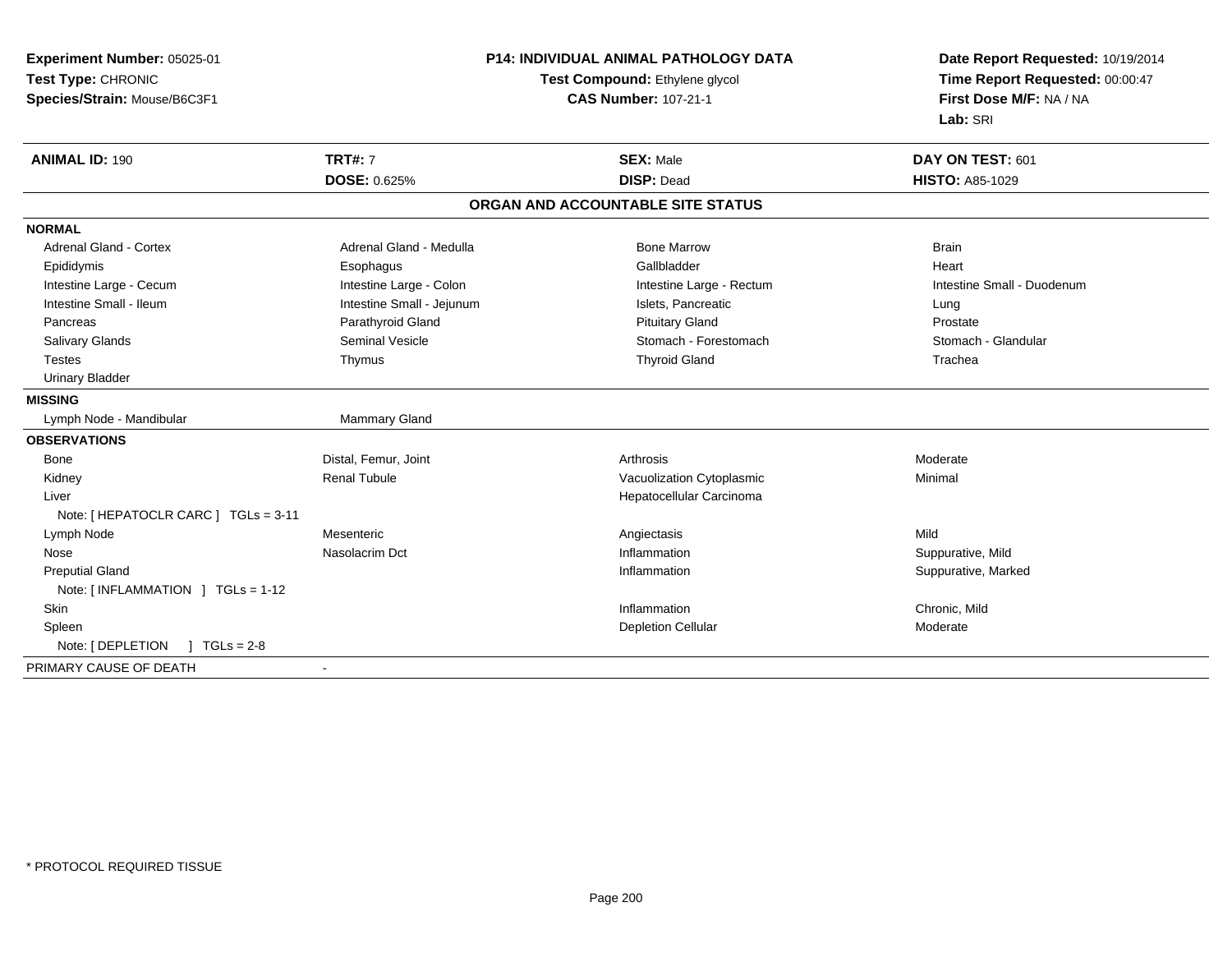| Experiment Number: 05025-01                | <b>P14: INDIVIDUAL ANIMAL PATHOLOGY DATA</b><br>Test Compound: Ethylene glycol |                                   | Date Report Requested: 10/19/2014 |  |
|--------------------------------------------|--------------------------------------------------------------------------------|-----------------------------------|-----------------------------------|--|
| Test Type: CHRONIC                         |                                                                                |                                   | Time Report Requested: 00:00:47   |  |
| Species/Strain: Mouse/B6C3F1               |                                                                                | <b>CAS Number: 107-21-1</b>       | First Dose M/F: NA / NA           |  |
|                                            |                                                                                |                                   | Lab: SRI                          |  |
| <b>ANIMAL ID: 190</b>                      | <b>TRT#: 7</b>                                                                 | <b>SEX: Male</b>                  | DAY ON TEST: 601                  |  |
|                                            | DOSE: 0.625%                                                                   | <b>DISP: Dead</b>                 | <b>HISTO: A85-1029</b>            |  |
|                                            |                                                                                | ORGAN AND ACCOUNTABLE SITE STATUS |                                   |  |
| <b>NORMAL</b>                              |                                                                                |                                   |                                   |  |
| <b>Adrenal Gland - Cortex</b>              | Adrenal Gland - Medulla                                                        | <b>Bone Marrow</b>                | <b>Brain</b>                      |  |
| Epididymis                                 | Esophagus                                                                      | Gallbladder                       | Heart                             |  |
| Intestine Large - Cecum                    | Intestine Large - Colon                                                        | Intestine Large - Rectum          | Intestine Small - Duodenum        |  |
| Intestine Small - Ileum                    | Intestine Small - Jejunum                                                      | Islets, Pancreatic                | Lung                              |  |
| Pancreas                                   | Parathyroid Gland                                                              | <b>Pituitary Gland</b>            | Prostate                          |  |
| Salivary Glands                            | <b>Seminal Vesicle</b>                                                         | Stomach - Forestomach             | Stomach - Glandular               |  |
| <b>Testes</b>                              | Thymus                                                                         | <b>Thyroid Gland</b>              | Trachea                           |  |
| <b>Urinary Bladder</b>                     |                                                                                |                                   |                                   |  |
| <b>MISSING</b>                             |                                                                                |                                   |                                   |  |
| Lymph Node - Mandibular                    | Mammary Gland                                                                  |                                   |                                   |  |
| <b>OBSERVATIONS</b>                        |                                                                                |                                   |                                   |  |
| Bone                                       | Distal, Femur, Joint                                                           | Arthrosis                         | Moderate                          |  |
| Kidney                                     | <b>Renal Tubule</b>                                                            | Vacuolization Cytoplasmic         | Minimal                           |  |
| Liver                                      |                                                                                | Hepatocellular Carcinoma          |                                   |  |
| Note: [ HEPATOCLR CARC ] TGLs = 3-11       |                                                                                |                                   |                                   |  |
| Lymph Node                                 | Mesenteric                                                                     | Angiectasis                       | Mild                              |  |
| Nose                                       | Nasolacrim Dct                                                                 | Inflammation                      | Suppurative, Mild                 |  |
| <b>Preputial Gland</b>                     |                                                                                | Inflammation                      | Suppurative, Marked               |  |
| Note: [INFLAMMATION ] TGLs = 1-12          |                                                                                |                                   |                                   |  |
| Skin                                       |                                                                                | Inflammation                      | Chronic, Mild                     |  |
| Spleen                                     |                                                                                | <b>Depletion Cellular</b>         | Moderate                          |  |
| Note: [ DEPLETION<br>$\sqrt{ }$ TGLs = 2-8 |                                                                                |                                   |                                   |  |
| PRIMARY CAUSE OF DEATH                     |                                                                                |                                   |                                   |  |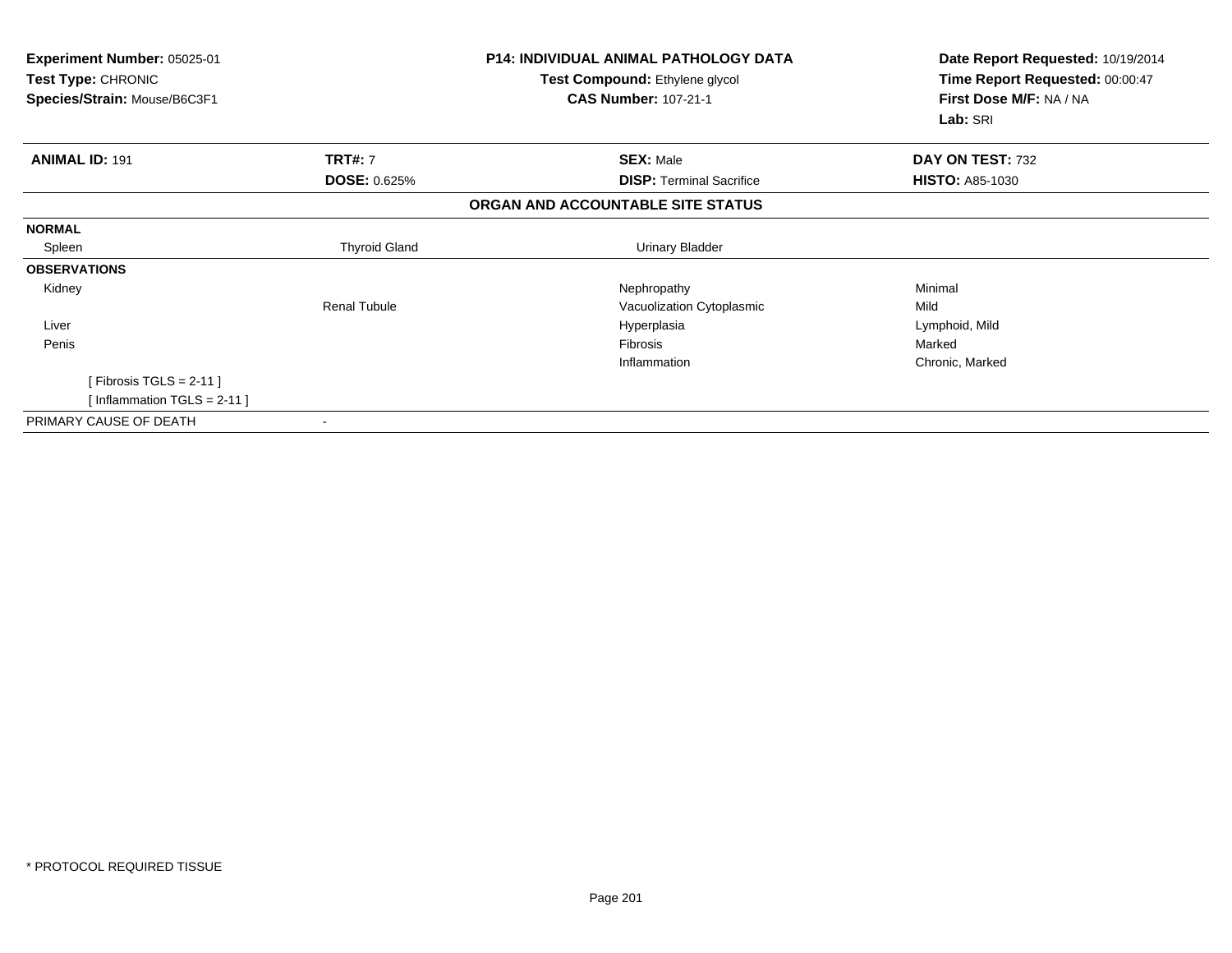| Experiment Number: 05025-01<br>Test Type: CHRONIC<br>Species/Strain: Mouse/B6C3F1 |                      | <b>P14: INDIVIDUAL ANIMAL PATHOLOGY DATA</b><br>Test Compound: Ethylene glycol<br><b>CAS Number: 107-21-1</b> | Date Report Requested: 10/19/2014<br>Time Report Requested: 00:00:47<br>First Dose M/F: NA / NA<br>Lab: SRI |  |
|-----------------------------------------------------------------------------------|----------------------|---------------------------------------------------------------------------------------------------------------|-------------------------------------------------------------------------------------------------------------|--|
| <b>ANIMAL ID: 191</b>                                                             | <b>TRT#: 7</b>       | <b>SEX: Male</b>                                                                                              | DAY ON TEST: 732                                                                                            |  |
|                                                                                   | <b>DOSE: 0.625%</b>  | <b>DISP: Terminal Sacrifice</b>                                                                               | <b>HISTO: A85-1030</b>                                                                                      |  |
|                                                                                   |                      | ORGAN AND ACCOUNTABLE SITE STATUS                                                                             |                                                                                                             |  |
| <b>NORMAL</b>                                                                     |                      |                                                                                                               |                                                                                                             |  |
| Spleen                                                                            | <b>Thyroid Gland</b> | <b>Urinary Bladder</b>                                                                                        |                                                                                                             |  |
| <b>OBSERVATIONS</b>                                                               |                      |                                                                                                               |                                                                                                             |  |
| Kidney                                                                            |                      | Nephropathy                                                                                                   | Minimal                                                                                                     |  |
|                                                                                   | Renal Tubule         | Vacuolization Cytoplasmic                                                                                     | Mild                                                                                                        |  |
| Liver                                                                             |                      | Hyperplasia                                                                                                   | Lymphoid, Mild                                                                                              |  |
| Penis                                                                             |                      | <b>Fibrosis</b>                                                                                               | Marked                                                                                                      |  |
|                                                                                   |                      | Inflammation                                                                                                  | Chronic, Marked                                                                                             |  |
| [Fibrosis TGLS = 2-11]                                                            |                      |                                                                                                               |                                                                                                             |  |
| [Inflammation TGLS = 2-11]                                                        |                      |                                                                                                               |                                                                                                             |  |
| PRIMARY CAUSE OF DEATH                                                            |                      |                                                                                                               |                                                                                                             |  |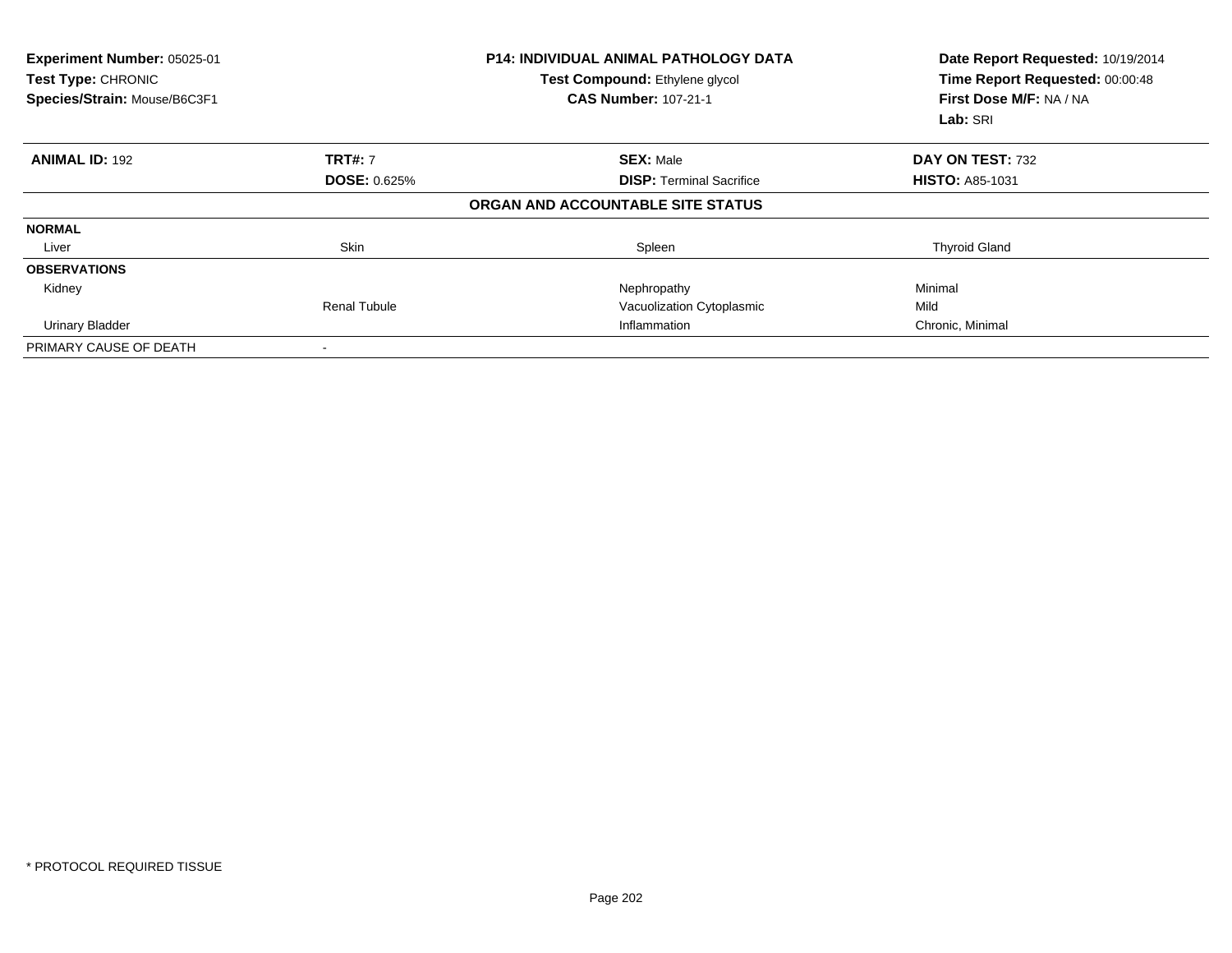| <b>Experiment Number: 05025-01</b><br><b>Test Type: CHRONIC</b><br>Species/Strain: Mouse/B6C3F1 |                     | <b>P14: INDIVIDUAL ANIMAL PATHOLOGY DATA</b><br><b>Test Compound: Ethylene glycol</b><br><b>CAS Number: 107-21-1</b> | Date Report Requested: 10/19/2014<br>Time Report Requested: 00:00:48<br>First Dose M/F: NA / NA<br>Lab: SRI |  |
|-------------------------------------------------------------------------------------------------|---------------------|----------------------------------------------------------------------------------------------------------------------|-------------------------------------------------------------------------------------------------------------|--|
| <b>ANIMAL ID: 192</b>                                                                           | <b>TRT#: 7</b>      | <b>SEX: Male</b>                                                                                                     | DAY ON TEST: 732                                                                                            |  |
|                                                                                                 | <b>DOSE: 0.625%</b> | <b>DISP:</b> Terminal Sacrifice                                                                                      | <b>HISTO: A85-1031</b>                                                                                      |  |
|                                                                                                 |                     | ORGAN AND ACCOUNTABLE SITE STATUS                                                                                    |                                                                                                             |  |
| <b>NORMAL</b>                                                                                   |                     |                                                                                                                      |                                                                                                             |  |
| Liver                                                                                           | Skin                | Spleen                                                                                                               | <b>Thyroid Gland</b>                                                                                        |  |
| <b>OBSERVATIONS</b>                                                                             |                     |                                                                                                                      |                                                                                                             |  |
| Kidney                                                                                          |                     | Nephropathy                                                                                                          | Minimal                                                                                                     |  |
|                                                                                                 | <b>Renal Tubule</b> | Vacuolization Cytoplasmic                                                                                            | Mild                                                                                                        |  |
| <b>Urinary Bladder</b>                                                                          |                     | Inflammation                                                                                                         | Chronic, Minimal                                                                                            |  |
| PRIMARY CAUSE OF DEATH                                                                          |                     |                                                                                                                      |                                                                                                             |  |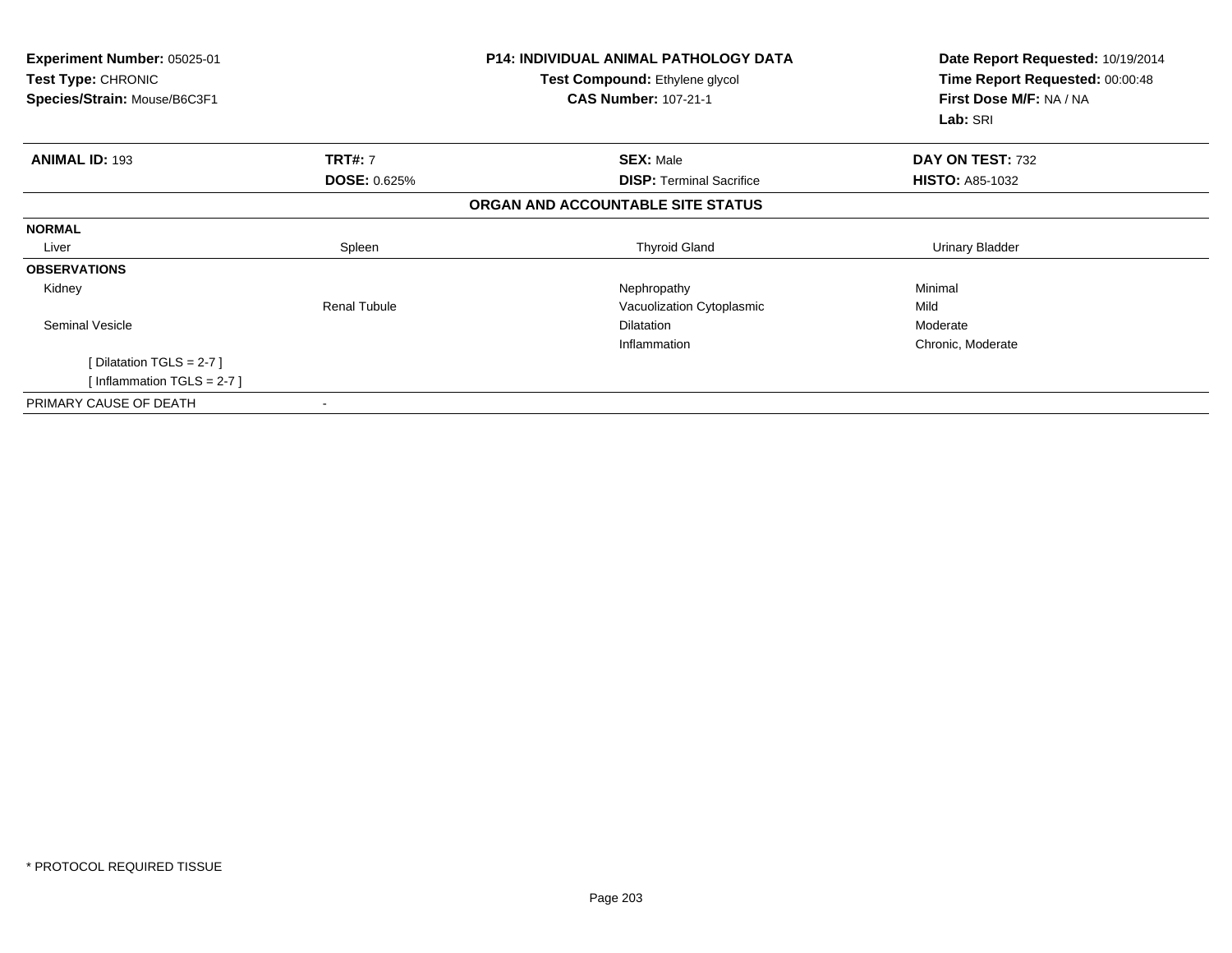| Experiment Number: 05025-01<br><b>Test Type: CHRONIC</b><br>Species/Strain: Mouse/B6C3F1 |                     | <b>P14: INDIVIDUAL ANIMAL PATHOLOGY DATA</b><br><b>Test Compound: Ethylene glycol</b><br><b>CAS Number: 107-21-1</b> | Date Report Requested: 10/19/2014<br>Time Report Requested: 00:00:48<br>First Dose M/F: NA / NA<br>Lab: SRI |  |
|------------------------------------------------------------------------------------------|---------------------|----------------------------------------------------------------------------------------------------------------------|-------------------------------------------------------------------------------------------------------------|--|
| <b>ANIMAL ID: 193</b>                                                                    | <b>TRT#: 7</b>      | <b>SEX: Male</b>                                                                                                     | DAY ON TEST: 732                                                                                            |  |
|                                                                                          | <b>DOSE: 0.625%</b> | <b>DISP: Terminal Sacrifice</b>                                                                                      | <b>HISTO: A85-1032</b>                                                                                      |  |
|                                                                                          |                     | ORGAN AND ACCOUNTABLE SITE STATUS                                                                                    |                                                                                                             |  |
| <b>NORMAL</b>                                                                            |                     |                                                                                                                      |                                                                                                             |  |
| Liver                                                                                    | Spleen              | <b>Thyroid Gland</b>                                                                                                 | Urinary Bladder                                                                                             |  |
| <b>OBSERVATIONS</b>                                                                      |                     |                                                                                                                      |                                                                                                             |  |
| Kidney                                                                                   |                     | Nephropathy                                                                                                          | Minimal                                                                                                     |  |
|                                                                                          | <b>Renal Tubule</b> | Vacuolization Cytoplasmic                                                                                            | Mild                                                                                                        |  |
| <b>Seminal Vesicle</b>                                                                   |                     | <b>Dilatation</b>                                                                                                    | Moderate                                                                                                    |  |
|                                                                                          |                     | Inflammation                                                                                                         | Chronic, Moderate                                                                                           |  |
| [ Dilatation TGLS = $2-7$ ]                                                              |                     |                                                                                                                      |                                                                                                             |  |
| [Inflammation TGLS = $2-7$ ]                                                             |                     |                                                                                                                      |                                                                                                             |  |
| PRIMARY CAUSE OF DEATH                                                                   |                     |                                                                                                                      |                                                                                                             |  |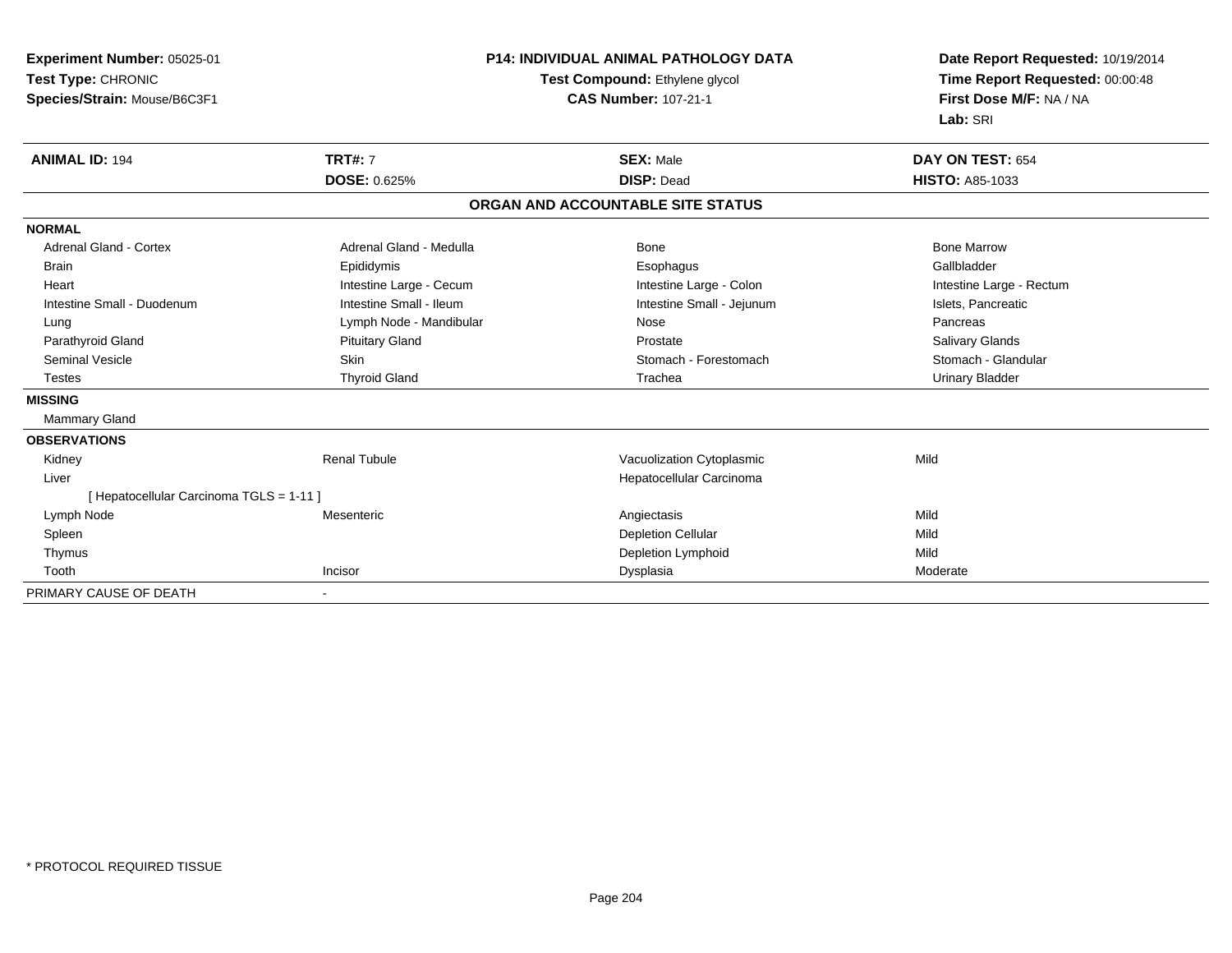**Experiment Number:** 05025-01**Test Type:** CHRONIC **Species/Strain:** Mouse/B6C3F1**P14: INDIVIDUAL ANIMAL PATHOLOGY DATATest Compound:** Ethylene glycol **CAS Number:** 107-21-1**Date Report Requested:** 10/19/2014**Time Report Requested:** 00:00:48**First Dose M/F:** NA / NA**Lab:** SRI**ANIMAL ID:** 194 **TRT#:** <sup>7</sup> **SEX:** Male **DAY ON TEST:** <sup>654</sup> **DOSE:** 0.625% **DISP:** Dead **HISTO:** A85-1033 **ORGAN AND ACCOUNTABLE SITE STATUSNORMALAdrenal Gland - Cortex**  Adrenal Gland - Cortex Adrenal Gland - Medulla Bone Bone MarrowGallbladder Brain Epididymis Epididymis and the Brook of the Brook of the Brook of the Brook of the Gallbladder of the Gallbladder Heart **Intestine Large - Cecum** Intestine Large - Cecum Intestine Large - Colon Intestine Large - Rectum Intestine Small - Duodenum **Intestine Small - Ileum** Intestine Small - Ileum Intestine Small - Jejunum Intestine Small - Jejunum Islets, Pancreatic Lung **Lymph Node - Mandibular Nose** Nose Nose **Pancreas** Pancreas **Salivary Glands** Parathyroid Gland Salivary Glands Pituitary Gland Prosection Prostate Prostate Salivary Glands Salivary Glands Stomach - Glandular Seminal Vesicle Supervisor Skin Stomach - Skin Stomach - Forestomach - Stomach - Forestomach - Stomach - Glandular Testes Thyroid Gland Trachea Urinary Bladder**MISSING** Mammary Gland**OBSERVATIONS** Kidney Renal TubuleVacuolization Cytoplasmic **Mild**  Liver Hepatocellular Carcinoma[ Hepatocellular Carcinoma TGLS = 1-11 ] Lymph Nodee the contract of the contract of the contract of the contract of the contract of the contract of the contract  $\mathsf{Mild}$  Spleenn and the control of the control of the control of the control of the control of the control of the control of the control of the control of the control of the control of the control of the control of the control of the co Thymus Depletion Lymphoidd Mild Toothh ann an Incisor ann an Incisor ann an Dysplasia ann an Dysplasia ann an India ann an India ann an India ann an I PRIMARY CAUSE OF DEATH-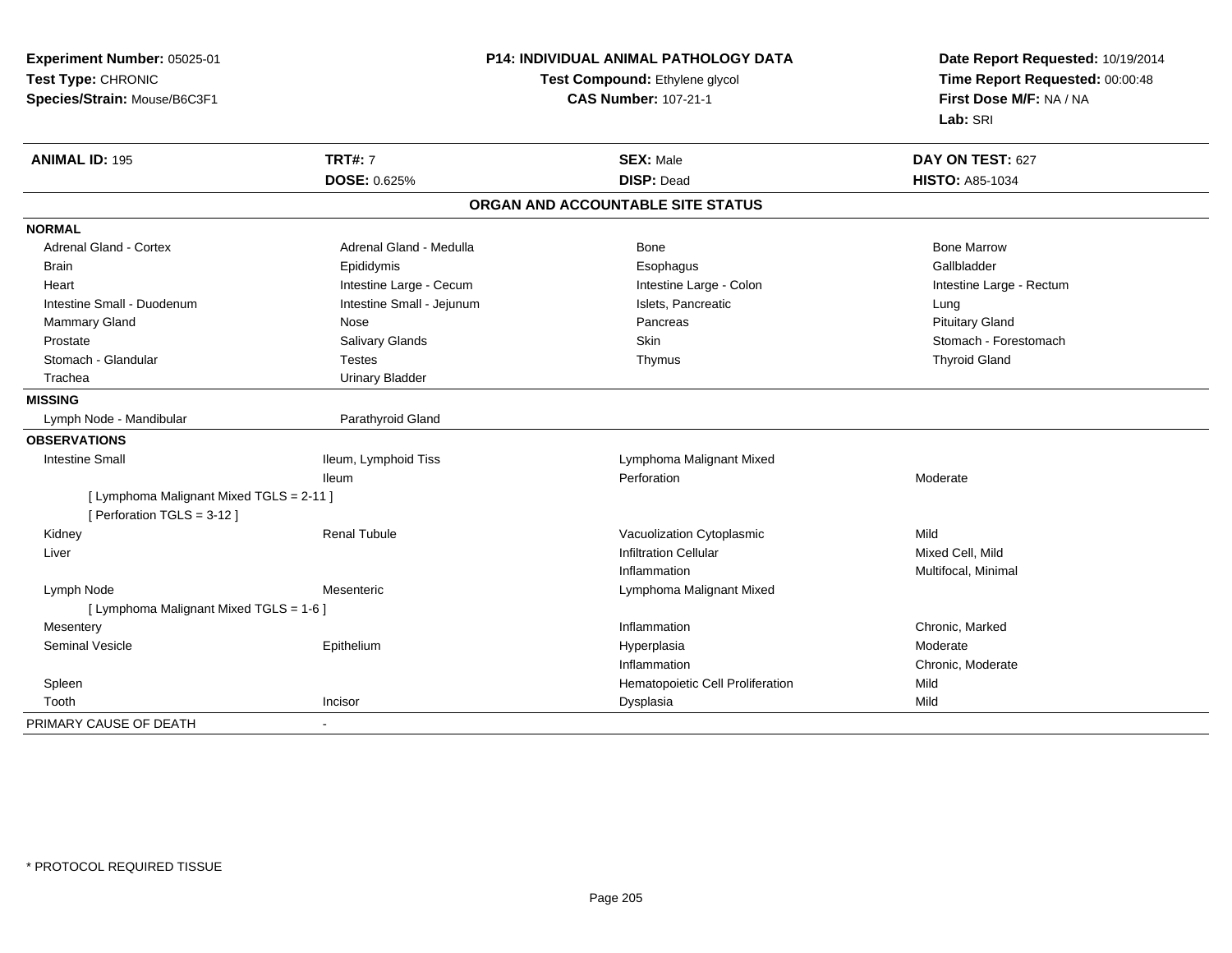**Experiment Number:** 05025-01**Test Type:** CHRONIC **Species/Strain:** Mouse/B6C3F1**P14: INDIVIDUAL ANIMAL PATHOLOGY DATATest Compound:** Ethylene glycol **CAS Number:** 107-21-1**Date Report Requested:** 10/19/2014**Time Report Requested:** 00:00:48**First Dose M/F:** NA / NA**Lab:** SRI**ANIMAL ID:** 195**TRT#:** 7 **SEX:** Male **DAY ON TEST:** 627 **DOSE:** 0.625% **DISP:** Dead **HISTO:** A85-1034 **ORGAN AND ACCOUNTABLE SITE STATUSNORMALAdrenal Gland - Cortex** Adrenal Gland - Medulla **Bone Adrenal Gland - Cortex Adrenal Gland - Cortex Adrenal Gland - Medulla** Bone Marrow Gallbladder Brain Epididymis Epididymis and the Brook of the Brook of the Brook of the Brook of the Gallbladder of the Gallbladder Heart **Intestine Large - Cecum** Intestine Large - Cecum Intestine Large - Colon Intestine Large - Rectum Intestine Small - Duodenum **Intestine Small - Jejunum** Intestine Small - Jejunum Islets, Pancreatic **Intestine Small - Lung Pituitary Gland** Mammary Gland Nose Nose Research Communication of the Pancreas Pancreas Pancreas Pituitary Gland Pituitary Gland Prostate Salivary Glands Salivary Glands Store Skin Store Skin Store Store Stomach - Forestomach - Store Stomach - Store Store Stomach - Forestomach Store Store Store Store Store Store Store Store Store Store Store Store S Stomach - Glandular Testes Thymus Thyroid Gland Trachea Urinary Bladder**MISSING**Lymph Node - Mandibular and a common and Parathyroid Gland **OBSERVATIONS** Intestine Small Ileum, Lymphoid Tiss Lymphoma Malignant MixedIleumm and the contract of the Perforation contract the method of the Moderate method of Moderate  $\blacksquare$ [ Lymphoma Malignant Mixed TGLS = 2-11 ][ Perforation TGLS = 3-12 ] Kidney Renal TubuleVacuolization Cytoplasmic<br>
Infiltration Cellular<br>
Infiltration Cellular Liver Infiltration Cellular Mixed Cell, Mildn **Multifocal**, Minimal Inflammation Lymph Node Mesenteric Lymphoma Malignant Mixed [ Lymphoma Malignant Mixed TGLS = 1-6 ] Mesenteryy the control of the control of the control of the control of the control of the control of the control of the control of the control of the control of the control of the control of the control of the control of the contro Inflammation **Example 2018** Chronic, Marked<br>
Hyperplasia<br>
Hyperplasia Seminal Vesicle Epitheliumm and the Hyperplasia methods of the Moderate Moderate of the Moderate of the Moderate of the Moderate of the Moderate of the Moderate of the Moderate of the Moderate of the Moderate of the Moderate of the Moderate of the Inflammation Chronic, Moderate SpleenHematopoietic Cell Proliferation and Mild<br>
Dysplasia Mild Toothh ann an t-Incisor ann an t-Incisor ann an t-Incisor ann an Dysplasia ann an Dysplasia ann an Dysplasia ann an Mild PRIMARY CAUSE OF DEATH-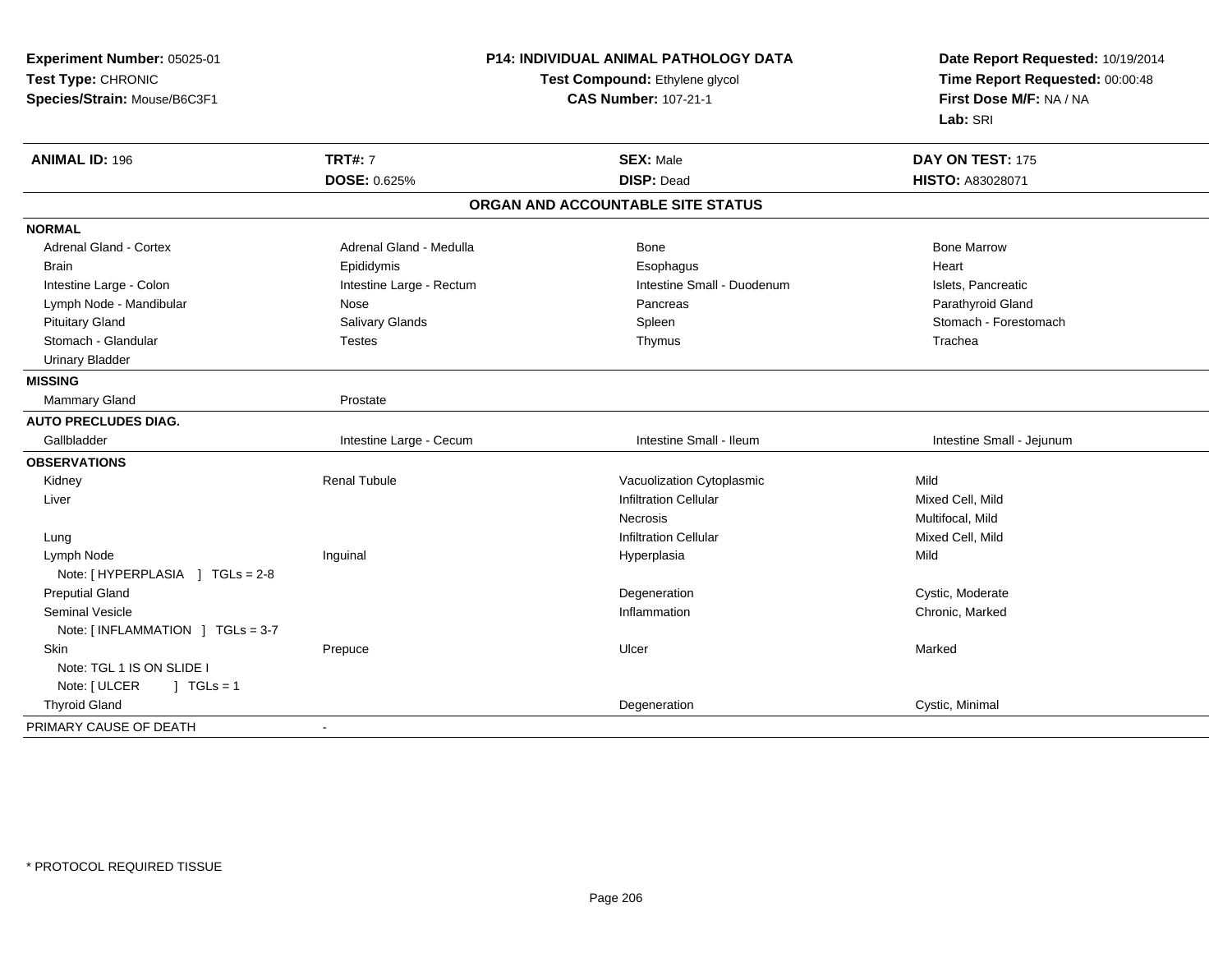| Experiment Number: 05025-01       | P14: INDIVIDUAL ANIMAL PATHOLOGY DATA<br>Test Compound: Ethylene glycol<br><b>CAS Number: 107-21-1</b> |                                   | Date Report Requested: 10/19/2014<br>Time Report Requested: 00:00:48 |
|-----------------------------------|--------------------------------------------------------------------------------------------------------|-----------------------------------|----------------------------------------------------------------------|
| Test Type: CHRONIC                |                                                                                                        |                                   |                                                                      |
| Species/Strain: Mouse/B6C3F1      |                                                                                                        |                                   | First Dose M/F: NA / NA                                              |
|                                   |                                                                                                        |                                   | Lab: SRI                                                             |
| <b>ANIMAL ID: 196</b>             | <b>TRT#: 7</b>                                                                                         | <b>SEX: Male</b>                  | DAY ON TEST: 175                                                     |
|                                   | DOSE: 0.625%                                                                                           | <b>DISP: Dead</b>                 | HISTO: A83028071                                                     |
|                                   |                                                                                                        | ORGAN AND ACCOUNTABLE SITE STATUS |                                                                      |
| <b>NORMAL</b>                     |                                                                                                        |                                   |                                                                      |
| <b>Adrenal Gland - Cortex</b>     | Adrenal Gland - Medulla                                                                                | Bone                              | <b>Bone Marrow</b>                                                   |
| <b>Brain</b>                      | Epididymis                                                                                             | Esophagus                         | Heart                                                                |
| Intestine Large - Colon           | Intestine Large - Rectum                                                                               | Intestine Small - Duodenum        | Islets, Pancreatic                                                   |
| Lymph Node - Mandibular           | Nose                                                                                                   | Pancreas                          | Parathyroid Gland                                                    |
| <b>Pituitary Gland</b>            | Salivary Glands                                                                                        | Spleen                            | Stomach - Forestomach                                                |
| Stomach - Glandular               | <b>Testes</b>                                                                                          | Thymus                            | Trachea                                                              |
| <b>Urinary Bladder</b>            |                                                                                                        |                                   |                                                                      |
| <b>MISSING</b>                    |                                                                                                        |                                   |                                                                      |
| Mammary Gland                     | Prostate                                                                                               |                                   |                                                                      |
| <b>AUTO PRECLUDES DIAG.</b>       |                                                                                                        |                                   |                                                                      |
| Gallbladder                       | Intestine Large - Cecum                                                                                | Intestine Small - Ileum           | Intestine Small - Jejunum                                            |
| <b>OBSERVATIONS</b>               |                                                                                                        |                                   |                                                                      |
| Kidney                            | <b>Renal Tubule</b>                                                                                    | Vacuolization Cytoplasmic         | Mild                                                                 |
| Liver                             |                                                                                                        | <b>Infiltration Cellular</b>      | Mixed Cell, Mild                                                     |
|                                   |                                                                                                        | <b>Necrosis</b>                   | Multifocal, Mild                                                     |
| Lung                              |                                                                                                        | <b>Infiltration Cellular</b>      | Mixed Cell, Mild                                                     |
| Lymph Node                        | Inguinal                                                                                               | Hyperplasia                       | Mild                                                                 |
| Note: [ HYPERPLASIA ] TGLs = 2-8  |                                                                                                        |                                   |                                                                      |
| <b>Preputial Gland</b>            |                                                                                                        | Degeneration                      | Cystic, Moderate                                                     |
| Seminal Vesicle                   |                                                                                                        | Inflammation                      | Chronic, Marked                                                      |
| Note: [INFLAMMATION ] TGLs = 3-7  |                                                                                                        |                                   |                                                                      |
| Skin                              | Prepuce                                                                                                | Ulcer                             | Marked                                                               |
| Note: TGL 1 IS ON SLIDE I         |                                                                                                        |                                   |                                                                      |
| Note: [ ULCER<br>$\vert$ TGLs = 1 |                                                                                                        |                                   |                                                                      |
| <b>Thyroid Gland</b>              |                                                                                                        | Degeneration                      | Cystic, Minimal                                                      |
| PRIMARY CAUSE OF DEATH            | $\blacksquare$                                                                                         |                                   |                                                                      |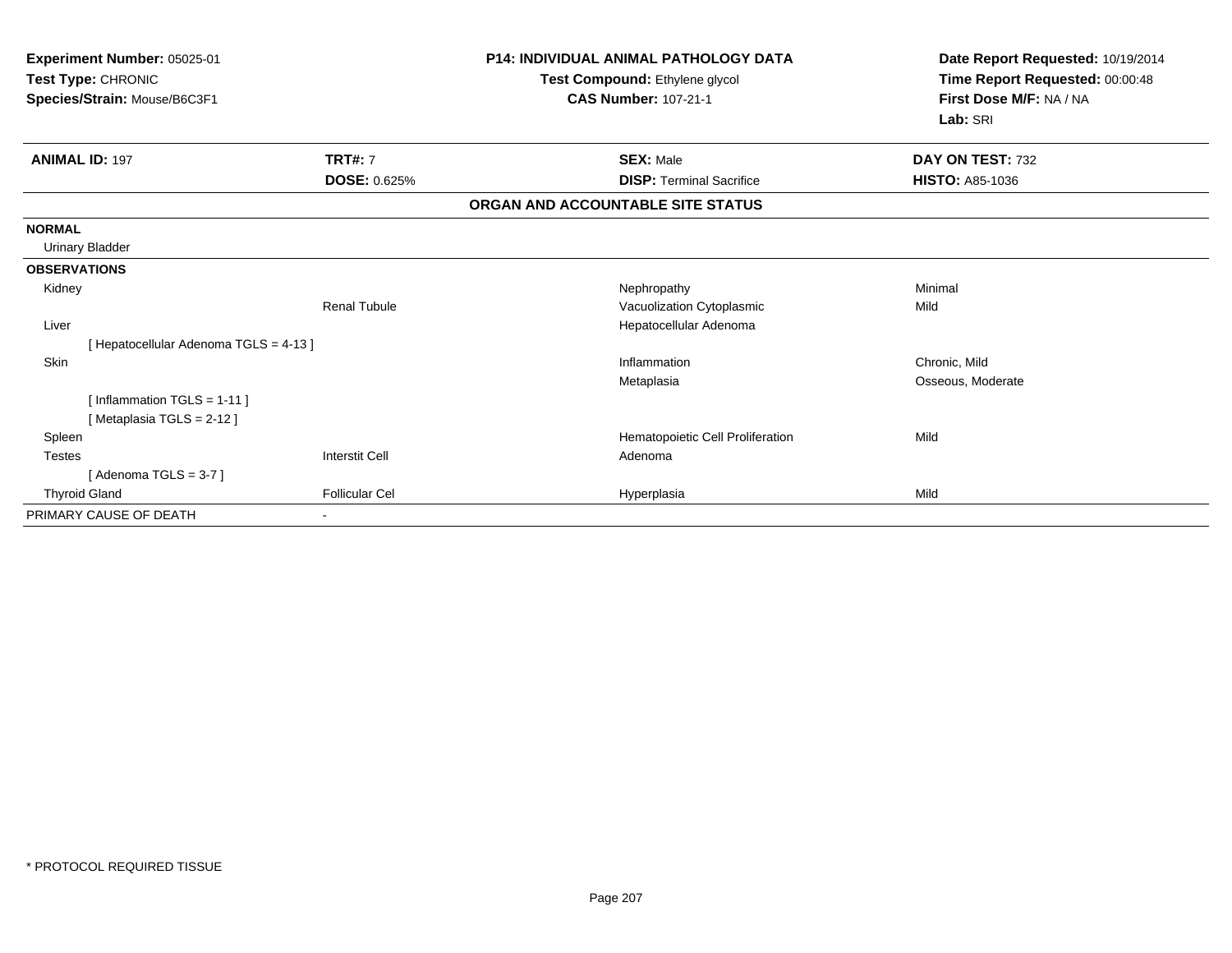| Experiment Number: 05025-01<br>Test Type: CHRONIC |                       | <b>P14: INDIVIDUAL ANIMAL PATHOLOGY DATA</b><br>Test Compound: Ethylene glycol | Date Report Requested: 10/19/2014<br>Time Report Requested: 00:00:48 |
|---------------------------------------------------|-----------------------|--------------------------------------------------------------------------------|----------------------------------------------------------------------|
| Species/Strain: Mouse/B6C3F1                      |                       | <b>CAS Number: 107-21-1</b>                                                    | First Dose M/F: NA / NA                                              |
|                                                   |                       |                                                                                | Lab: SRI                                                             |
| <b>ANIMAL ID: 197</b>                             | <b>TRT#: 7</b>        | <b>SEX: Male</b>                                                               | DAY ON TEST: 732                                                     |
|                                                   | <b>DOSE: 0.625%</b>   | <b>DISP: Terminal Sacrifice</b>                                                | <b>HISTO: A85-1036</b>                                               |
|                                                   |                       | ORGAN AND ACCOUNTABLE SITE STATUS                                              |                                                                      |
| <b>NORMAL</b>                                     |                       |                                                                                |                                                                      |
| <b>Urinary Bladder</b>                            |                       |                                                                                |                                                                      |
| <b>OBSERVATIONS</b>                               |                       |                                                                                |                                                                      |
| Kidney                                            |                       | Nephropathy                                                                    | Minimal                                                              |
|                                                   | <b>Renal Tubule</b>   | Vacuolization Cytoplasmic                                                      | Mild                                                                 |
| Liver                                             |                       | Hepatocellular Adenoma                                                         |                                                                      |
| [Hepatocellular Adenoma TGLS = 4-13]              |                       |                                                                                |                                                                      |
| <b>Skin</b>                                       |                       | Inflammation                                                                   | Chronic, Mild                                                        |
|                                                   |                       | Metaplasia                                                                     | Osseous, Moderate                                                    |
| [Inflammation $TGLS = 1-11$ ]                     |                       |                                                                                |                                                                      |
| [Metaplasia TGLS = 2-12]                          |                       |                                                                                |                                                                      |
| Spleen                                            |                       | Hematopoietic Cell Proliferation                                               | Mild                                                                 |
| <b>Testes</b>                                     | <b>Interstit Cell</b> | Adenoma                                                                        |                                                                      |
| [Adenoma TGLS = $3-7$ ]                           |                       |                                                                                |                                                                      |
| <b>Thyroid Gland</b>                              | <b>Follicular Cel</b> | Hyperplasia                                                                    | Mild                                                                 |
| PRIMARY CAUSE OF DEATH                            |                       |                                                                                |                                                                      |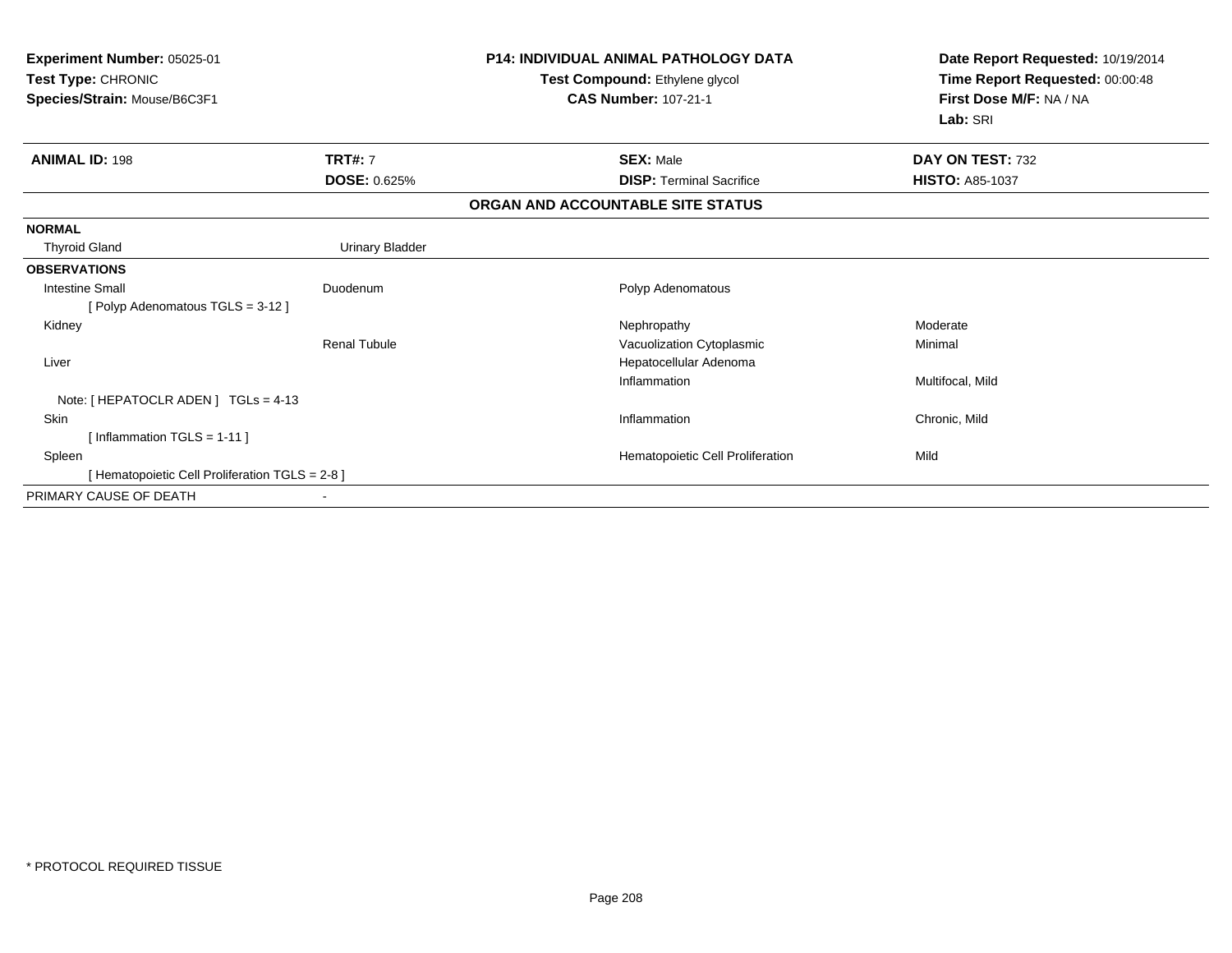| Experiment Number: 05025-01<br>Test Type: CHRONIC<br>Species/Strain: Mouse/B6C3F1 |                        | <b>P14: INDIVIDUAL ANIMAL PATHOLOGY DATA</b><br>Test Compound: Ethylene glycol<br><b>CAS Number: 107-21-1</b> | Date Report Requested: 10/19/2014<br>Time Report Requested: 00:00:48<br>First Dose M/F: NA / NA<br>Lab: SRI |  |
|-----------------------------------------------------------------------------------|------------------------|---------------------------------------------------------------------------------------------------------------|-------------------------------------------------------------------------------------------------------------|--|
| <b>ANIMAL ID: 198</b>                                                             | <b>TRT#: 7</b>         | <b>SEX: Male</b>                                                                                              | DAY ON TEST: 732                                                                                            |  |
|                                                                                   | <b>DOSE: 0.625%</b>    | <b>DISP: Terminal Sacrifice</b>                                                                               | <b>HISTO: A85-1037</b>                                                                                      |  |
|                                                                                   |                        | ORGAN AND ACCOUNTABLE SITE STATUS                                                                             |                                                                                                             |  |
| <b>NORMAL</b>                                                                     |                        |                                                                                                               |                                                                                                             |  |
| <b>Thyroid Gland</b>                                                              | <b>Urinary Bladder</b> |                                                                                                               |                                                                                                             |  |
| <b>OBSERVATIONS</b>                                                               |                        |                                                                                                               |                                                                                                             |  |
| <b>Intestine Small</b>                                                            | Duodenum               | Polyp Adenomatous                                                                                             |                                                                                                             |  |
| [Polyp Adenomatous TGLS = 3-12]                                                   |                        |                                                                                                               |                                                                                                             |  |
| Kidney                                                                            |                        | Nephropathy                                                                                                   | Moderate                                                                                                    |  |
|                                                                                   | <b>Renal Tubule</b>    | Vacuolization Cytoplasmic                                                                                     | Minimal                                                                                                     |  |
| Liver                                                                             |                        | Hepatocellular Adenoma                                                                                        |                                                                                                             |  |
|                                                                                   |                        | Inflammation                                                                                                  | Multifocal, Mild                                                                                            |  |
| Note: $[HEPATOCLR ADEN] TGLs = 4-13$                                              |                        |                                                                                                               |                                                                                                             |  |
| Skin                                                                              |                        | Inflammation                                                                                                  | Chronic, Mild                                                                                               |  |
| [Inflammation TGLS = $1-11$ ]                                                     |                        |                                                                                                               |                                                                                                             |  |
| Spleen                                                                            |                        | Hematopoietic Cell Proliferation                                                                              | Mild                                                                                                        |  |
| [ Hematopoietic Cell Proliferation TGLS = 2-8 ]                                   |                        |                                                                                                               |                                                                                                             |  |
| PRIMARY CAUSE OF DEATH                                                            |                        |                                                                                                               |                                                                                                             |  |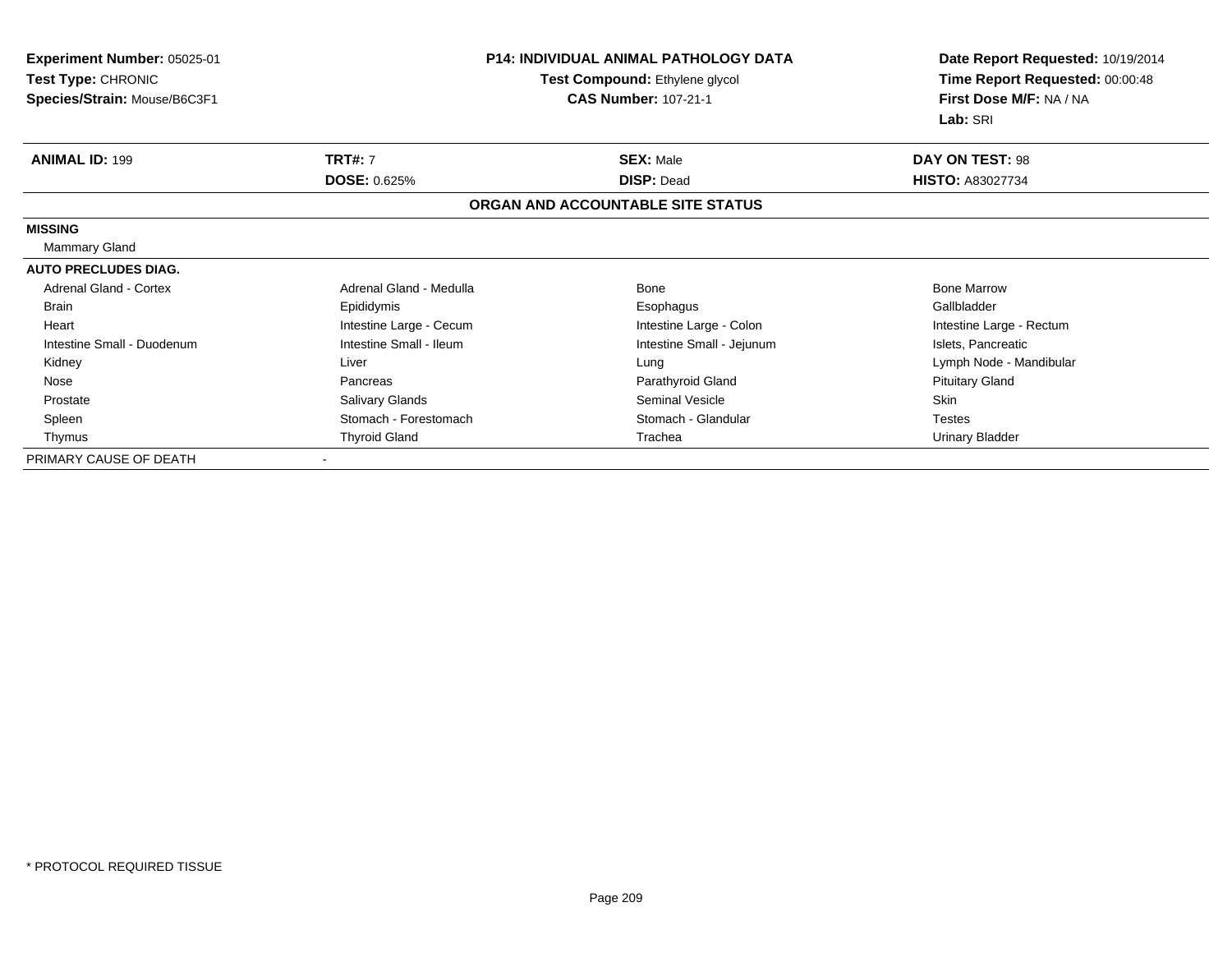| <b>Experiment Number: 05025-01</b> | <b>P14: INDIVIDUAL ANIMAL PATHOLOGY DATA</b><br>Test Compound: Ethylene glycol |                                   | Date Report Requested: 10/19/2014 |
|------------------------------------|--------------------------------------------------------------------------------|-----------------------------------|-----------------------------------|
| Test Type: CHRONIC                 |                                                                                |                                   | Time Report Requested: 00:00:48   |
| Species/Strain: Mouse/B6C3F1       |                                                                                | <b>CAS Number: 107-21-1</b>       | First Dose M/F: NA / NA           |
|                                    |                                                                                |                                   | Lab: SRI                          |
| <b>ANIMAL ID: 199</b>              | <b>TRT#: 7</b>                                                                 | <b>SEX: Male</b>                  | <b>DAY ON TEST: 98</b>            |
|                                    | <b>DOSE: 0.625%</b>                                                            | <b>DISP: Dead</b>                 | <b>HISTO: A83027734</b>           |
|                                    |                                                                                | ORGAN AND ACCOUNTABLE SITE STATUS |                                   |
| <b>MISSING</b>                     |                                                                                |                                   |                                   |
| <b>Mammary Gland</b>               |                                                                                |                                   |                                   |
| <b>AUTO PRECLUDES DIAG.</b>        |                                                                                |                                   |                                   |
| Adrenal Gland - Cortex             | Adrenal Gland - Medulla                                                        | Bone                              | <b>Bone Marrow</b>                |
| <b>Brain</b>                       | Epididymis                                                                     | Esophagus                         | Gallbladder                       |
| Heart                              | Intestine Large - Cecum                                                        | Intestine Large - Colon           | Intestine Large - Rectum          |
| Intestine Small - Duodenum         | Intestine Small - Ileum                                                        | Intestine Small - Jejunum         | Islets, Pancreatic                |
| Kidney                             | Liver                                                                          | Lung                              | Lymph Node - Mandibular           |
| Nose                               | Pancreas                                                                       | Parathyroid Gland                 | <b>Pituitary Gland</b>            |
| Prostate                           | <b>Salivary Glands</b>                                                         | Seminal Vesicle                   | <b>Skin</b>                       |
| Spleen                             | Stomach - Forestomach                                                          | Stomach - Glandular               | <b>Testes</b>                     |
| Thymus                             | <b>Thyroid Gland</b>                                                           | Trachea                           | <b>Urinary Bladder</b>            |
| PRIMARY CAUSE OF DEATH             |                                                                                |                                   |                                   |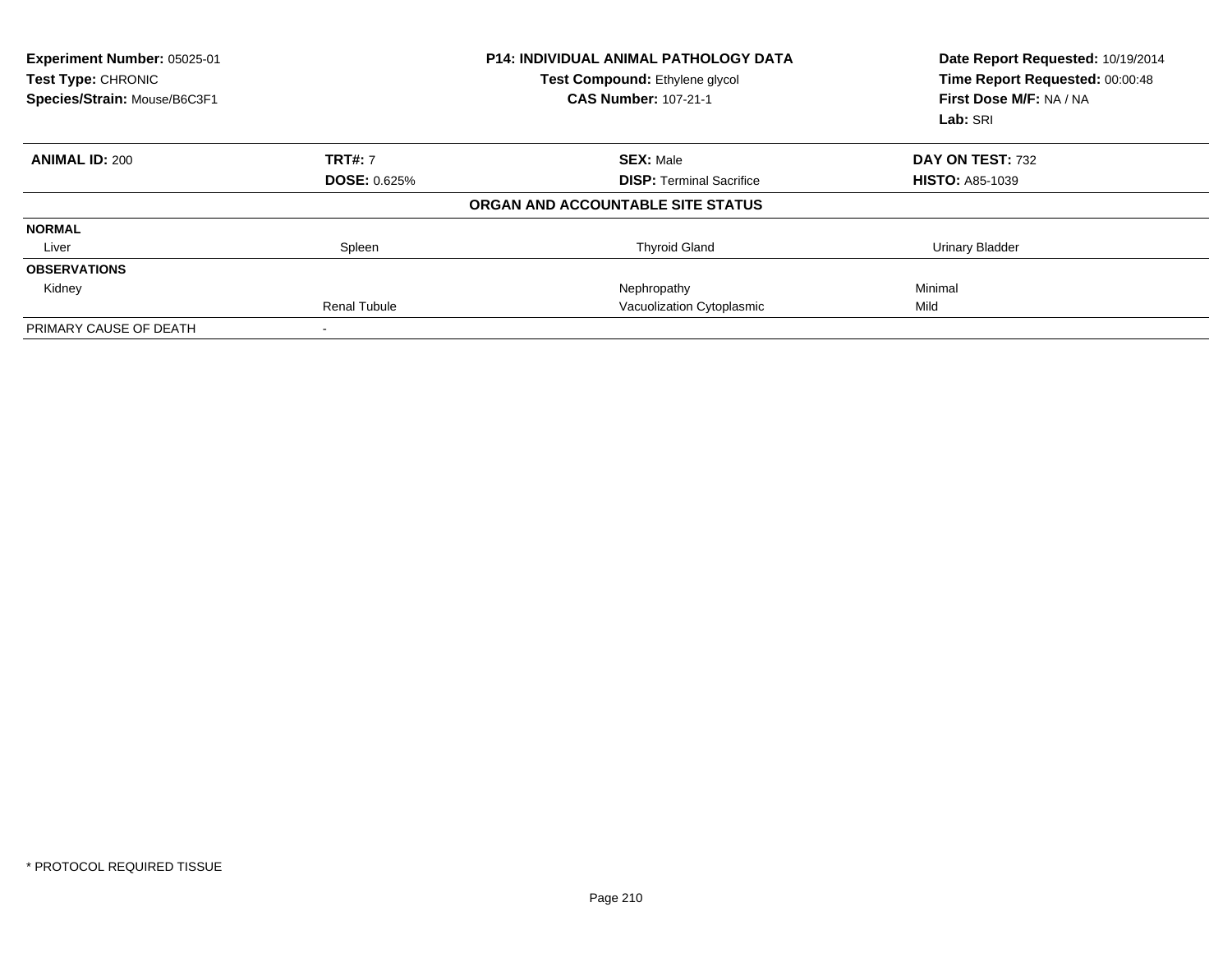| Experiment Number: 05025-01<br>Test Type: CHRONIC<br>Species/Strain: Mouse/B6C3F1 |                     | <b>P14: INDIVIDUAL ANIMAL PATHOLOGY DATA</b><br>Test Compound: Ethylene glycol<br><b>CAS Number: 107-21-1</b> | Date Report Requested: 10/19/2014<br>Time Report Requested: 00:00:48<br>First Dose M/F: NA / NA<br>Lab: SRI |
|-----------------------------------------------------------------------------------|---------------------|---------------------------------------------------------------------------------------------------------------|-------------------------------------------------------------------------------------------------------------|
| <b>ANIMAL ID: 200</b>                                                             | <b>TRT#: 7</b>      | <b>SEX: Male</b>                                                                                              | DAY ON TEST: 732                                                                                            |
|                                                                                   | <b>DOSE: 0.625%</b> | <b>DISP: Terminal Sacrifice</b>                                                                               | <b>HISTO: A85-1039</b>                                                                                      |
|                                                                                   |                     | ORGAN AND ACCOUNTABLE SITE STATUS                                                                             |                                                                                                             |
| <b>NORMAL</b>                                                                     |                     |                                                                                                               |                                                                                                             |
| Liver                                                                             | Spleen              | <b>Thyroid Gland</b>                                                                                          | <b>Urinary Bladder</b>                                                                                      |
| <b>OBSERVATIONS</b>                                                               |                     |                                                                                                               |                                                                                                             |
| Kidney                                                                            |                     | Nephropathy                                                                                                   | Minimal                                                                                                     |
|                                                                                   | <b>Renal Tubule</b> | Vacuolization Cytoplasmic                                                                                     | Mild                                                                                                        |
| PRIMARY CAUSE OF DEATH                                                            |                     |                                                                                                               |                                                                                                             |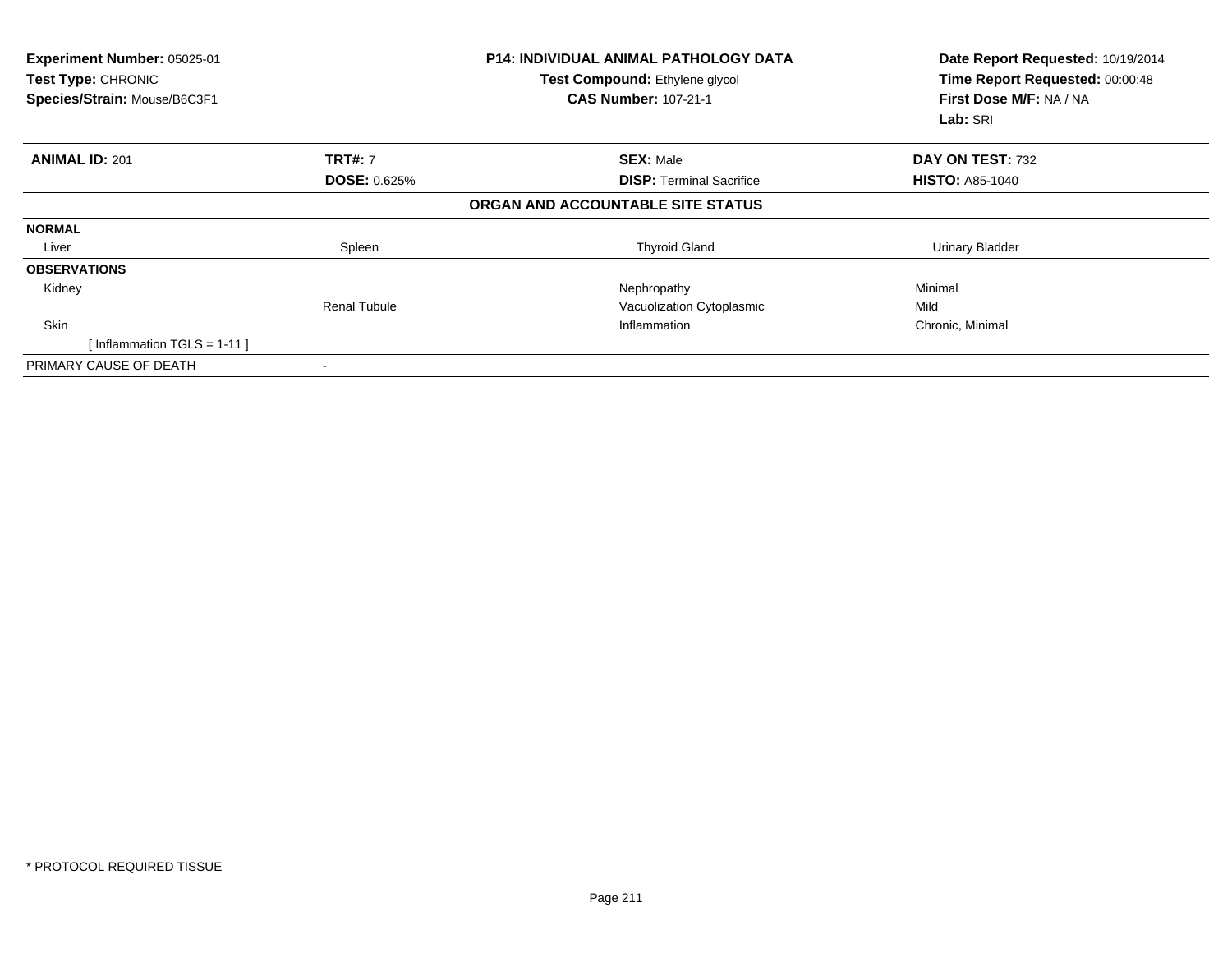| Experiment Number: 05025-01<br>Test Type: CHRONIC<br>Species/Strain: Mouse/B6C3F1 |                     | <b>P14: INDIVIDUAL ANIMAL PATHOLOGY DATA</b><br>Test Compound: Ethylene glycol<br><b>CAS Number: 107-21-1</b> | Date Report Requested: 10/19/2014<br>Time Report Requested: 00:00:48<br>First Dose M/F: NA / NA<br>Lab: SRI |
|-----------------------------------------------------------------------------------|---------------------|---------------------------------------------------------------------------------------------------------------|-------------------------------------------------------------------------------------------------------------|
| <b>ANIMAL ID: 201</b>                                                             | <b>TRT#: 7</b>      | <b>SEX: Male</b>                                                                                              | DAY ON TEST: 732                                                                                            |
|                                                                                   | <b>DOSE: 0.625%</b> | <b>DISP: Terminal Sacrifice</b>                                                                               | <b>HISTO: A85-1040</b>                                                                                      |
|                                                                                   |                     | ORGAN AND ACCOUNTABLE SITE STATUS                                                                             |                                                                                                             |
| <b>NORMAL</b>                                                                     |                     |                                                                                                               |                                                                                                             |
| Liver                                                                             | Spleen              | <b>Thyroid Gland</b>                                                                                          | Urinary Bladder                                                                                             |
| <b>OBSERVATIONS</b>                                                               |                     |                                                                                                               |                                                                                                             |
| Kidney                                                                            |                     | Nephropathy                                                                                                   | Minimal                                                                                                     |
|                                                                                   | Renal Tubule        | Vacuolization Cytoplasmic                                                                                     | Mild                                                                                                        |
| <b>Skin</b>                                                                       |                     | Inflammation                                                                                                  | Chronic, Minimal                                                                                            |
| [Inflammation TGLS = $1-11$ ]                                                     |                     |                                                                                                               |                                                                                                             |
| PRIMARY CAUSE OF DEATH                                                            |                     |                                                                                                               |                                                                                                             |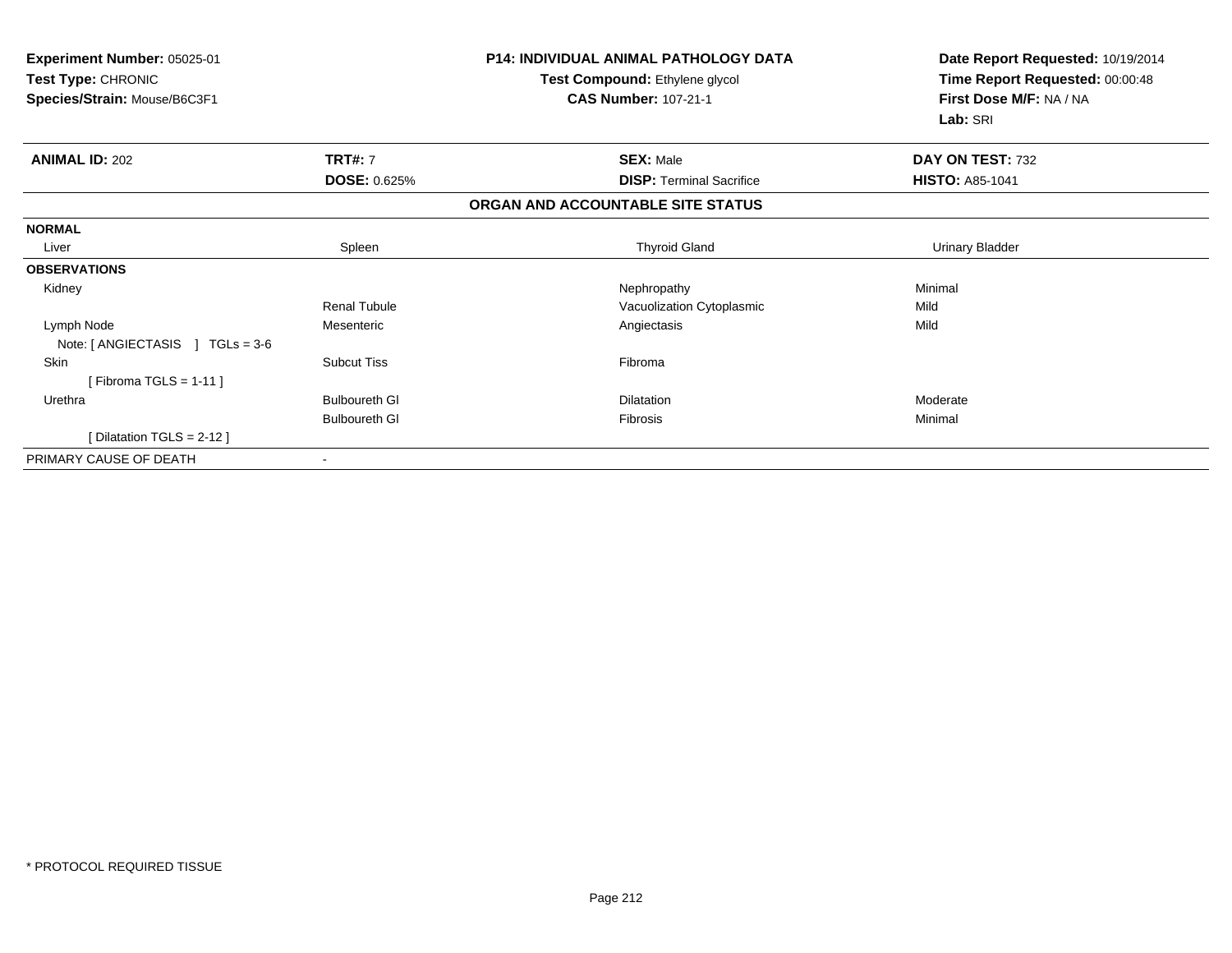| Experiment Number: 05025-01<br>Test Type: CHRONIC<br>Species/Strain: Mouse/B6C3F1 |                          | <b>P14: INDIVIDUAL ANIMAL PATHOLOGY DATA</b><br>Test Compound: Ethylene glycol<br><b>CAS Number: 107-21-1</b> | Date Report Requested: 10/19/2014<br>Time Report Requested: 00:00:48<br>First Dose M/F: NA / NA<br>Lab: SRI |
|-----------------------------------------------------------------------------------|--------------------------|---------------------------------------------------------------------------------------------------------------|-------------------------------------------------------------------------------------------------------------|
| <b>ANIMAL ID: 202</b>                                                             | <b>TRT#: 7</b>           | <b>SEX: Male</b>                                                                                              | DAY ON TEST: 732                                                                                            |
|                                                                                   | <b>DOSE: 0.625%</b>      | <b>DISP: Terminal Sacrifice</b>                                                                               | <b>HISTO: A85-1041</b>                                                                                      |
|                                                                                   |                          | ORGAN AND ACCOUNTABLE SITE STATUS                                                                             |                                                                                                             |
| <b>NORMAL</b>                                                                     |                          |                                                                                                               |                                                                                                             |
| Liver                                                                             | Spleen                   | <b>Thyroid Gland</b>                                                                                          | <b>Urinary Bladder</b>                                                                                      |
| <b>OBSERVATIONS</b>                                                               |                          |                                                                                                               |                                                                                                             |
| Kidney                                                                            |                          | Nephropathy                                                                                                   | Minimal                                                                                                     |
|                                                                                   | Renal Tubule             | Vacuolization Cytoplasmic                                                                                     | Mild                                                                                                        |
| Lymph Node<br>Note: $[ANGIECTASIS]$ TGLs = 3-6                                    | Mesenteric               | Angiectasis                                                                                                   | Mild                                                                                                        |
| <b>Skin</b><br>[Fibroma TGLS = $1-11$ ]                                           | <b>Subcut Tiss</b>       | Fibroma                                                                                                       |                                                                                                             |
| Urethra                                                                           | <b>Bulboureth GI</b>     | <b>Dilatation</b>                                                                                             | Moderate                                                                                                    |
|                                                                                   | <b>Bulboureth GI</b>     | <b>Fibrosis</b>                                                                                               | Minimal                                                                                                     |
| [ Dilatation TGLS = $2-12$ ]                                                      |                          |                                                                                                               |                                                                                                             |
| PRIMARY CAUSE OF DEATH                                                            | $\overline{\phantom{a}}$ |                                                                                                               |                                                                                                             |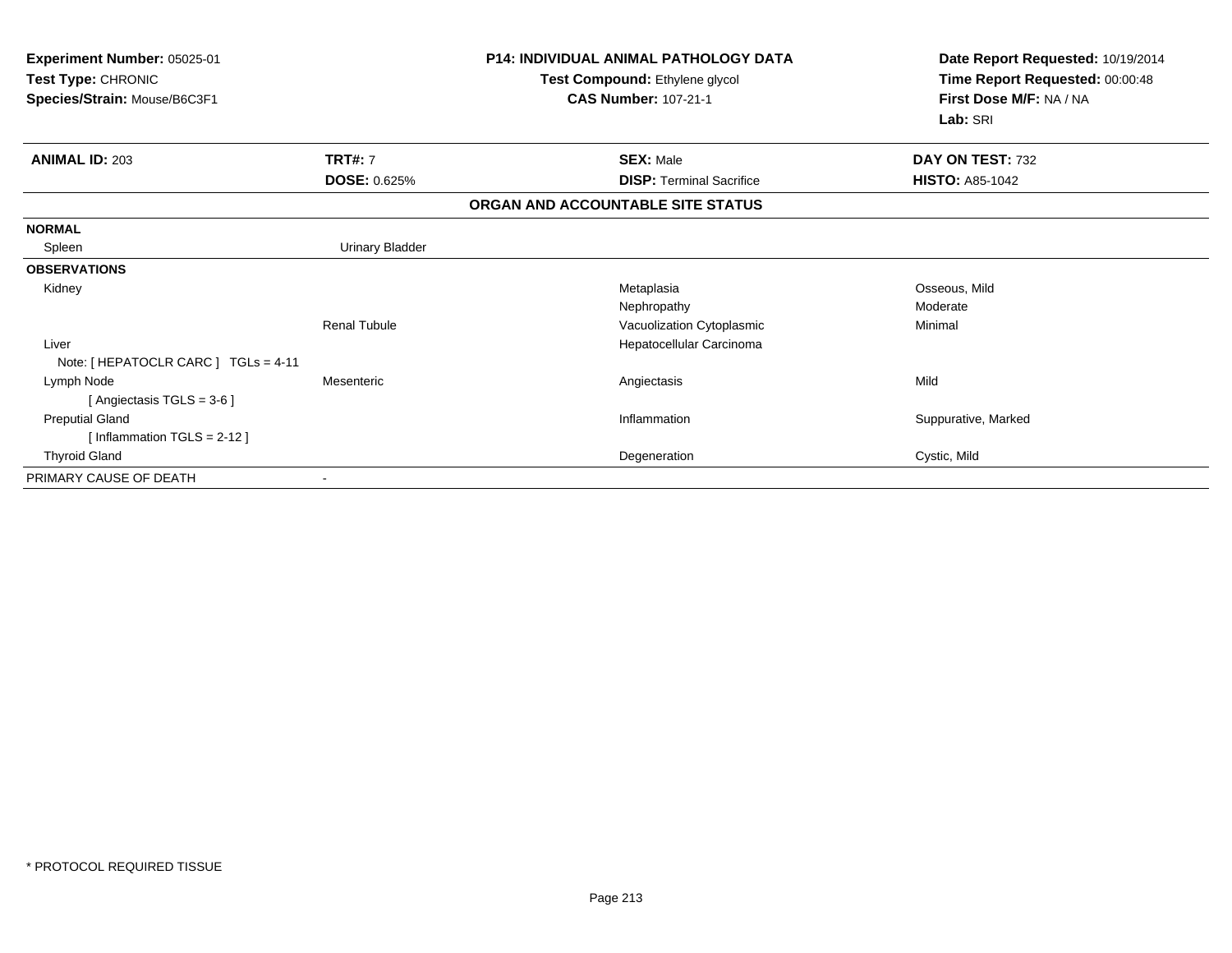| Experiment Number: 05025-01<br>Test Type: CHRONIC<br>Species/Strain: Mouse/B6C3F1 |                        | <b>P14: INDIVIDUAL ANIMAL PATHOLOGY DATA</b><br>Test Compound: Ethylene glycol<br><b>CAS Number: 107-21-1</b> | Date Report Requested: 10/19/2014<br>Time Report Requested: 00:00:48<br>First Dose M/F: NA / NA<br>Lab: SRI |
|-----------------------------------------------------------------------------------|------------------------|---------------------------------------------------------------------------------------------------------------|-------------------------------------------------------------------------------------------------------------|
| <b>ANIMAL ID: 203</b>                                                             | <b>TRT#: 7</b>         | <b>SEX: Male</b>                                                                                              | DAY ON TEST: 732                                                                                            |
|                                                                                   | <b>DOSE: 0.625%</b>    | <b>DISP: Terminal Sacrifice</b>                                                                               | <b>HISTO: A85-1042</b>                                                                                      |
|                                                                                   |                        | ORGAN AND ACCOUNTABLE SITE STATUS                                                                             |                                                                                                             |
| <b>NORMAL</b>                                                                     |                        |                                                                                                               |                                                                                                             |
| Spleen                                                                            | <b>Urinary Bladder</b> |                                                                                                               |                                                                                                             |
| <b>OBSERVATIONS</b>                                                               |                        |                                                                                                               |                                                                                                             |
| Kidney                                                                            |                        | Metaplasia                                                                                                    | Osseous, Mild                                                                                               |
|                                                                                   |                        | Nephropathy                                                                                                   | Moderate                                                                                                    |
|                                                                                   | <b>Renal Tubule</b>    | Vacuolization Cytoplasmic                                                                                     | Minimal                                                                                                     |
| Liver                                                                             |                        | Hepatocellular Carcinoma                                                                                      |                                                                                                             |
| Note: [ HEPATOCLR CARC ] TGLs = 4-11                                              |                        |                                                                                                               |                                                                                                             |
| Lymph Node                                                                        | Mesenteric             | Angiectasis                                                                                                   | Mild                                                                                                        |
| [ Angiectasis TGLS = $3-6$ ]                                                      |                        |                                                                                                               |                                                                                                             |
| <b>Preputial Gland</b>                                                            |                        | Inflammation                                                                                                  | Suppurative, Marked                                                                                         |
| [Inflammation TGLS = $2-12$ ]                                                     |                        |                                                                                                               |                                                                                                             |
| <b>Thyroid Gland</b>                                                              |                        | Degeneration                                                                                                  | Cystic, Mild                                                                                                |
| PRIMARY CAUSE OF DEATH                                                            |                        |                                                                                                               |                                                                                                             |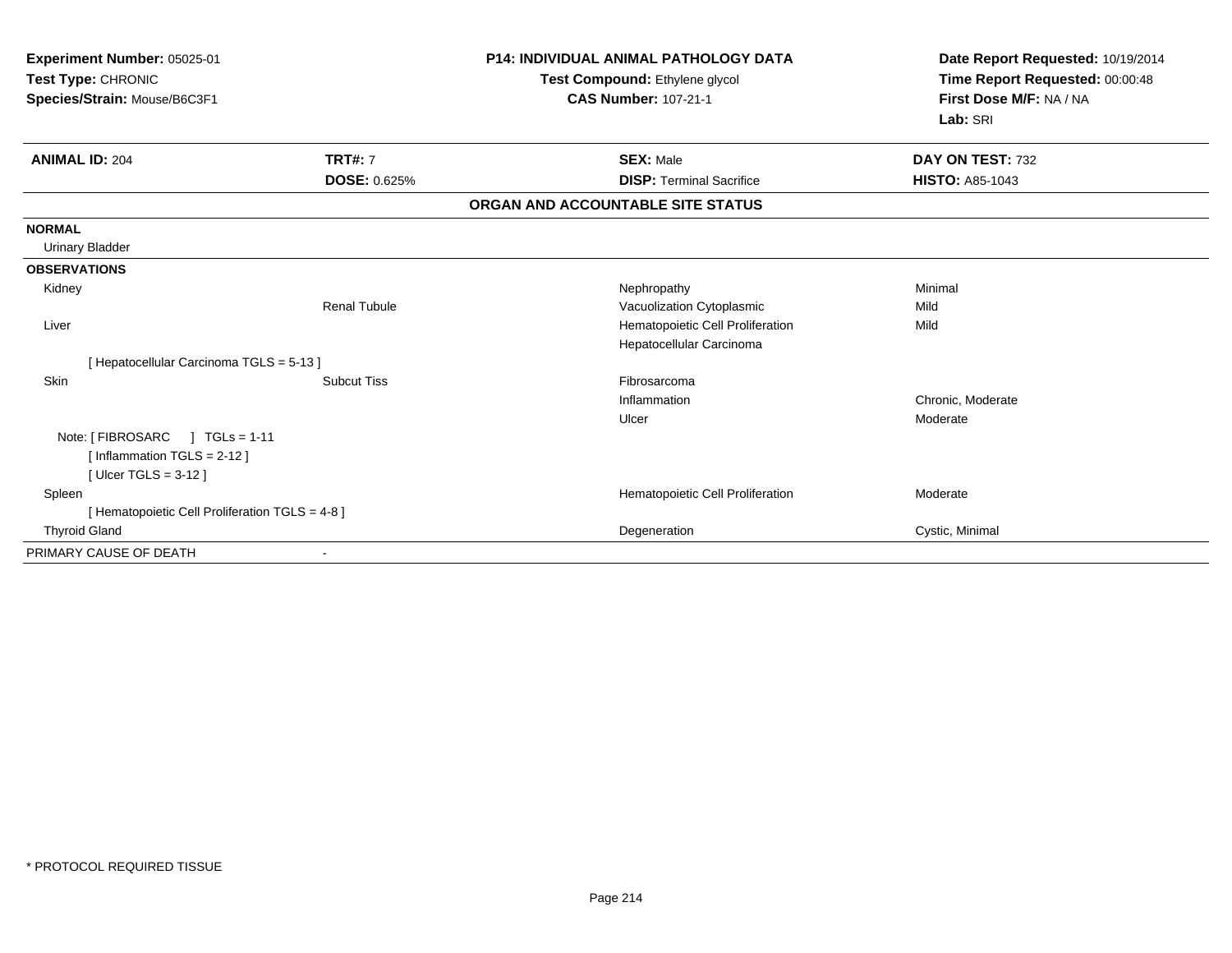| Experiment Number: 05025-01<br>Test Type: CHRONIC<br>Species/Strain: Mouse/B6C3F1 |                     | <b>P14: INDIVIDUAL ANIMAL PATHOLOGY DATA</b><br>Test Compound: Ethylene glycol<br><b>CAS Number: 107-21-1</b> | Date Report Requested: 10/19/2014<br>Time Report Requested: 00:00:48<br>First Dose M/F: NA / NA<br>Lab: SRI |
|-----------------------------------------------------------------------------------|---------------------|---------------------------------------------------------------------------------------------------------------|-------------------------------------------------------------------------------------------------------------|
| <b>ANIMAL ID: 204</b>                                                             | <b>TRT#: 7</b>      | <b>SEX: Male</b>                                                                                              | DAY ON TEST: 732                                                                                            |
|                                                                                   | DOSE: 0.625%        | <b>DISP: Terminal Sacrifice</b>                                                                               | <b>HISTO: A85-1043</b>                                                                                      |
|                                                                                   |                     | ORGAN AND ACCOUNTABLE SITE STATUS                                                                             |                                                                                                             |
| <b>NORMAL</b>                                                                     |                     |                                                                                                               |                                                                                                             |
| <b>Urinary Bladder</b>                                                            |                     |                                                                                                               |                                                                                                             |
| <b>OBSERVATIONS</b>                                                               |                     |                                                                                                               |                                                                                                             |
| Kidney                                                                            |                     | Nephropathy                                                                                                   | Minimal                                                                                                     |
|                                                                                   | <b>Renal Tubule</b> | Vacuolization Cytoplasmic                                                                                     | Mild                                                                                                        |
| Liver                                                                             |                     | Hematopoietic Cell Proliferation                                                                              | Mild                                                                                                        |
|                                                                                   |                     | Hepatocellular Carcinoma                                                                                      |                                                                                                             |
| [Hepatocellular Carcinoma TGLS = 5-13]                                            |                     |                                                                                                               |                                                                                                             |
| Skin                                                                              | <b>Subcut Tiss</b>  | Fibrosarcoma                                                                                                  |                                                                                                             |
|                                                                                   |                     | Inflammation                                                                                                  | Chronic, Moderate                                                                                           |
|                                                                                   |                     | Ulcer                                                                                                         | Moderate                                                                                                    |
| Note: [FIBROSARC ] TGLs = 1-11                                                    |                     |                                                                                                               |                                                                                                             |
| [Inflammation TGLS = $2-12$ ]                                                     |                     |                                                                                                               |                                                                                                             |
| [Ulcer TGLS = $3-12$ ]                                                            |                     |                                                                                                               |                                                                                                             |
| Spleen                                                                            |                     | Hematopoietic Cell Proliferation                                                                              | Moderate                                                                                                    |
| [ Hematopoietic Cell Proliferation TGLS = 4-8 ]                                   |                     |                                                                                                               |                                                                                                             |
| <b>Thyroid Gland</b>                                                              |                     | Degeneration                                                                                                  | Cystic, Minimal                                                                                             |
| PRIMARY CAUSE OF DEATH                                                            |                     |                                                                                                               |                                                                                                             |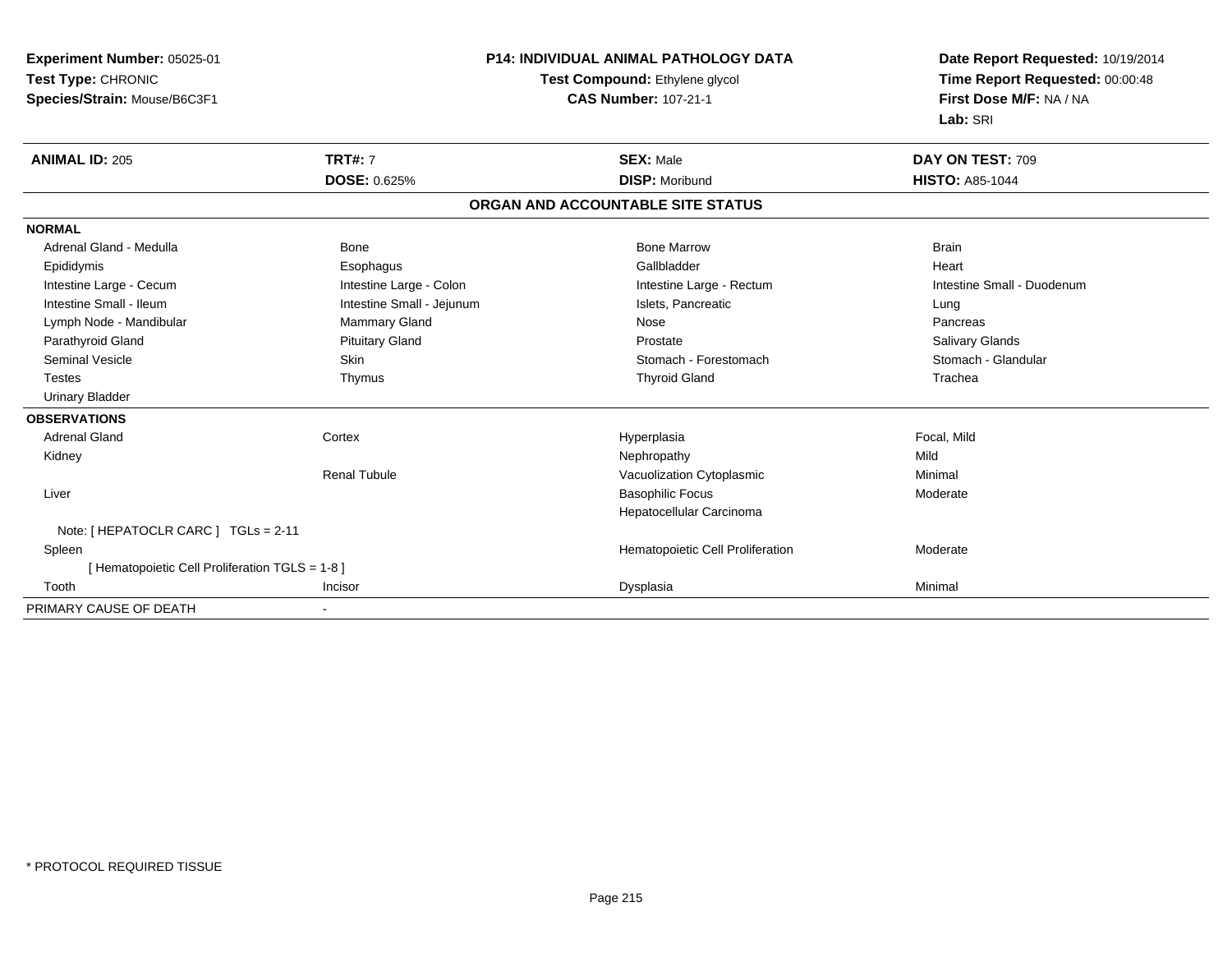**Experiment Number:** 05025-01**Test Type:** CHRONIC **Species/Strain:** Mouse/B6C3F1**P14: INDIVIDUAL ANIMAL PATHOLOGY DATATest Compound:** Ethylene glycol **CAS Number:** 107-21-1**Date Report Requested:** 10/19/2014**Time Report Requested:** 00:00:48**First Dose M/F:** NA / NA**Lab:** SRI**ANIMAL ID:** 205**TRT#:** 7 **SEX:** Male **DAY ON TEST:** 709 **DOSE:** 0.625%**DISP:** Moribund **HISTO:** A85-1044 **ORGAN AND ACCOUNTABLE SITE STATUSNORMAL**Adrenal Gland - Medulla Bone Bone Bone Marrow Bone Marrow Brain Brain Brain Brain Heart Epididymis Esophagus Gallbladder HeartIntestine Large - Cecum **Intestine Large - Colon** Intestine Large - Colon Intestine Large - Rectum Intestine Large - Rectum Intestine Small - Duodenum Intestine Small - Ileum **Intestine Small - Intestine Small - Jejunum** Intestine Small - Islets, Pancreatic **Lung** Pancreas Lymph Node - Mandibular **Mammary Gland** Mammary Gland Nose Pancrease Pancrease Pancrease Pancrease Pancrease Pancrease **Salivary Glands** Parathyroid Gland Salivary Glands Pituitary Gland Prosection Prostate Prostate Salivary Glands Salivary Glands Stomach - Glandular Seminal Vesicle Subsetsion Skin Skin Stomach - Forestomach - Stomach - Forestomach - Stomach - Glandular Stomach - Glandular Stomach - Glandular Stomach - Glandular Stomach - Glandular Stomach - Stomach - Glandular Stomach Testes Thymus Thyroid Gland Trachea Urinary Bladder**OBSERVATIONS** Adrenal Gland Cortex Hyperplasia Focal, Mild Kidneyy the controller of the controller of the controller of the controller of the controller of the controller of the controller of the controller of the controller of the controller of the controller of the controller of the Minimal Renal TubuleVacuolization Cytoplasmic Liver Basophilic Focus ModerateHepatocellular CarcinomaNote: [ HEPATOCLR CARC ] TGLs = 2-11 SpleenHematopoietic Cell Proliferation Moderate [ Hematopoietic Cell Proliferation TGLS = 1-8 ] Toothh ann an t-Incisor ann an t-Incisor ann an t-Incisor ann an Dysplasia ann an Dysplasia ann an Dysplasia ann an PRIMARY CAUSE OF DEATH-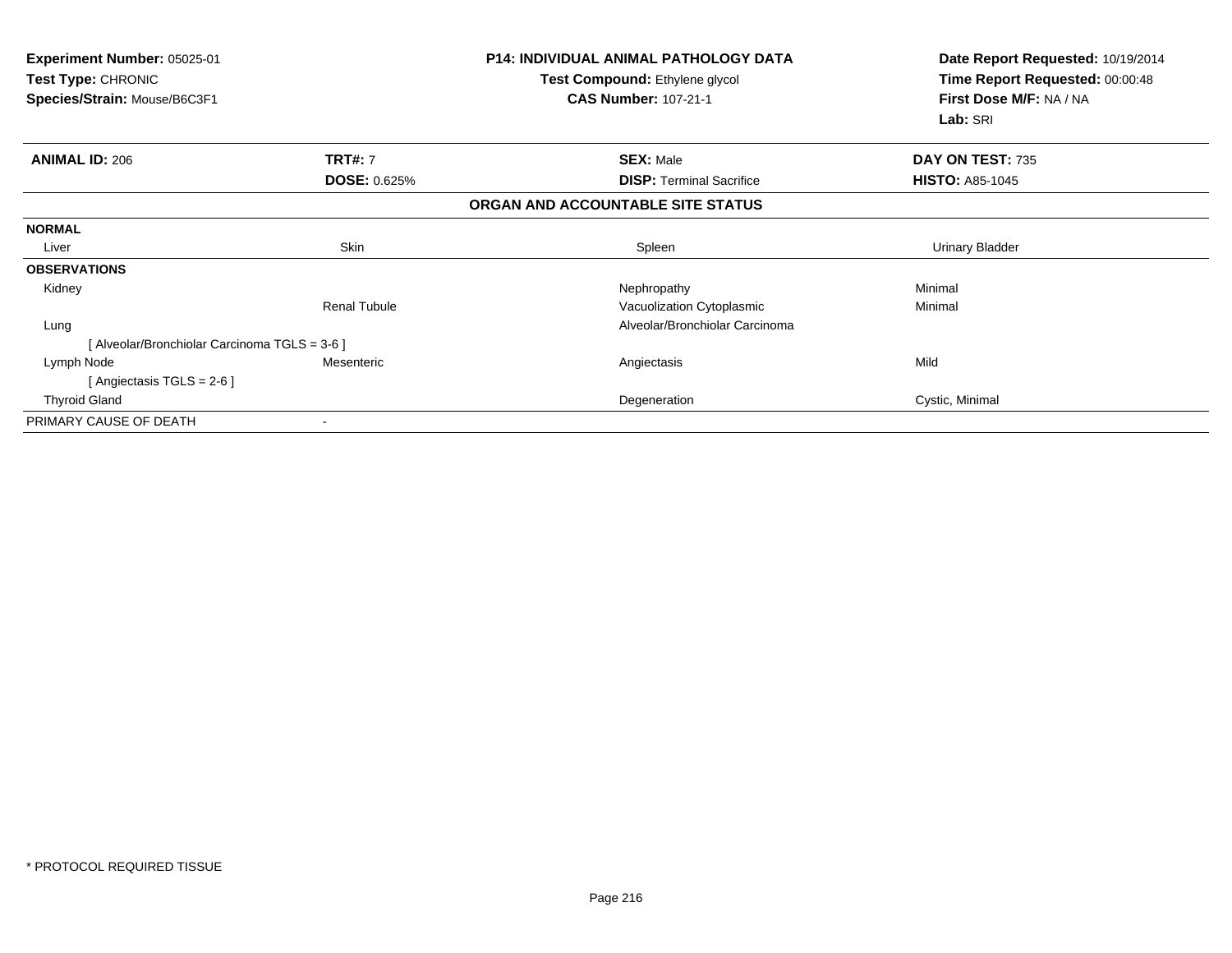| Experiment Number: 05025-01<br><b>Test Type: CHRONIC</b><br>Species/Strain: Mouse/B6C3F1 |                          | <b>P14: INDIVIDUAL ANIMAL PATHOLOGY DATA</b><br>Test Compound: Ethylene glycol<br><b>CAS Number: 107-21-1</b> | Date Report Requested: 10/19/2014<br>Time Report Requested: 00:00:48<br>First Dose M/F: NA / NA<br>Lab: SRI |
|------------------------------------------------------------------------------------------|--------------------------|---------------------------------------------------------------------------------------------------------------|-------------------------------------------------------------------------------------------------------------|
| <b>ANIMAL ID: 206</b>                                                                    | <b>TRT#: 7</b>           | <b>SEX: Male</b>                                                                                              | DAY ON TEST: 735                                                                                            |
|                                                                                          | <b>DOSE: 0.625%</b>      | <b>DISP:</b> Terminal Sacrifice                                                                               | <b>HISTO: A85-1045</b>                                                                                      |
|                                                                                          |                          | ORGAN AND ACCOUNTABLE SITE STATUS                                                                             |                                                                                                             |
| <b>NORMAL</b>                                                                            |                          |                                                                                                               |                                                                                                             |
| Liver                                                                                    | Skin                     | Spleen                                                                                                        | <b>Urinary Bladder</b>                                                                                      |
| <b>OBSERVATIONS</b>                                                                      |                          |                                                                                                               |                                                                                                             |
| Kidney                                                                                   |                          | Nephropathy                                                                                                   | Minimal                                                                                                     |
|                                                                                          | <b>Renal Tubule</b>      | Vacuolization Cytoplasmic                                                                                     | Minimal                                                                                                     |
| Lung                                                                                     |                          | Alveolar/Bronchiolar Carcinoma                                                                                |                                                                                                             |
| [ Alveolar/Bronchiolar Carcinoma TGLS = 3-6 ]                                            |                          |                                                                                                               |                                                                                                             |
| Lymph Node                                                                               | Mesenteric               | Angiectasis                                                                                                   | Mild                                                                                                        |
| [ Angiectasis TGLS = $2-6$ ]                                                             |                          |                                                                                                               |                                                                                                             |
| <b>Thyroid Gland</b>                                                                     |                          | Degeneration                                                                                                  | Cystic, Minimal                                                                                             |
| PRIMARY CAUSE OF DEATH                                                                   | $\overline{\phantom{a}}$ |                                                                                                               |                                                                                                             |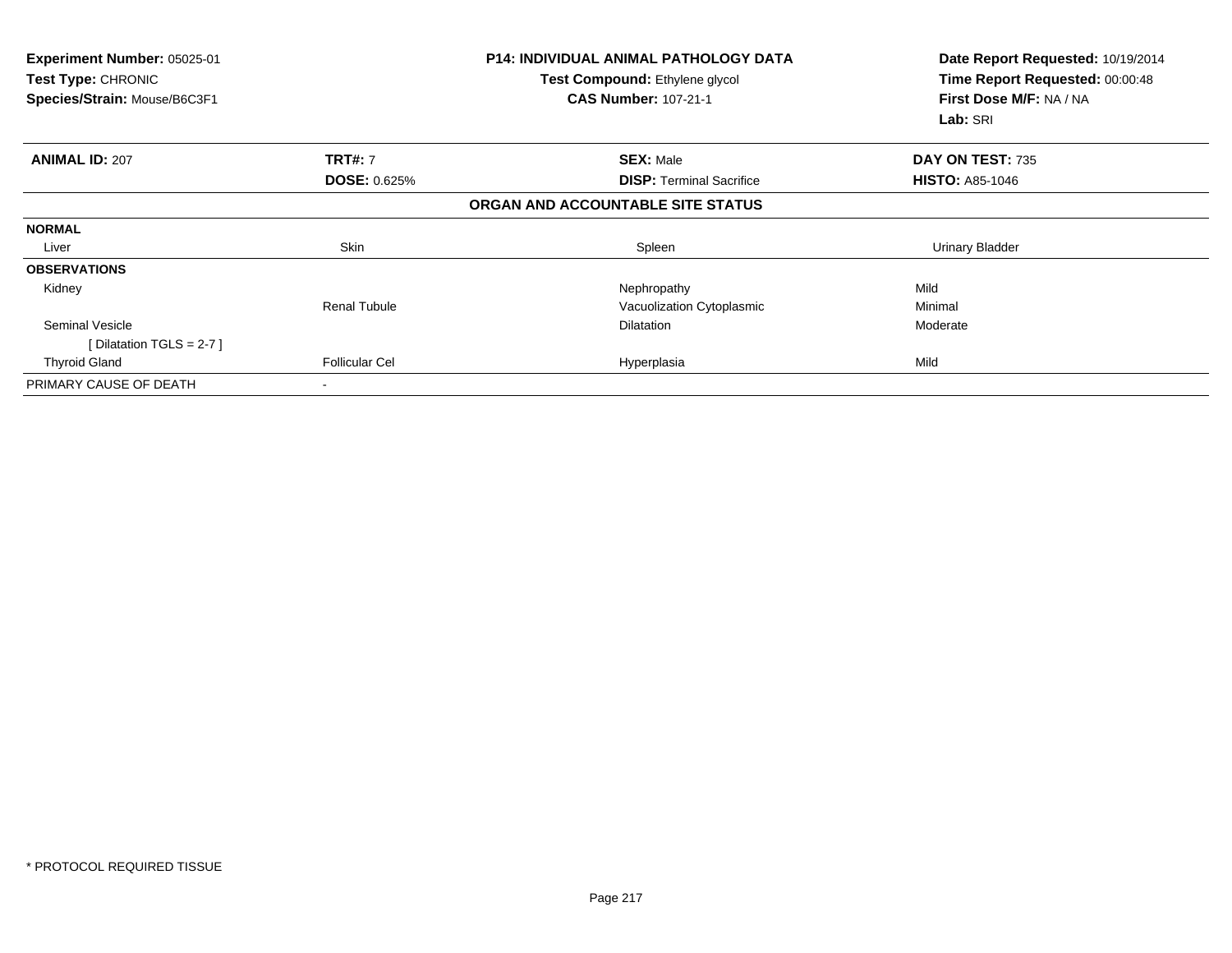| Experiment Number: 05025-01<br>Test Type: CHRONIC<br>Species/Strain: Mouse/B6C3F1 |                       | <b>P14: INDIVIDUAL ANIMAL PATHOLOGY DATA</b><br>Test Compound: Ethylene glycol<br><b>CAS Number: 107-21-1</b> | Date Report Requested: 10/19/2014<br>Time Report Requested: 00:00:48<br>First Dose M/F: NA / NA<br>Lab: SRI |
|-----------------------------------------------------------------------------------|-----------------------|---------------------------------------------------------------------------------------------------------------|-------------------------------------------------------------------------------------------------------------|
| <b>ANIMAL ID: 207</b>                                                             | <b>TRT#: 7</b>        | <b>SEX: Male</b>                                                                                              | DAY ON TEST: 735                                                                                            |
|                                                                                   | <b>DOSE: 0.625%</b>   | <b>DISP:</b> Terminal Sacrifice                                                                               | <b>HISTO: A85-1046</b>                                                                                      |
|                                                                                   |                       | ORGAN AND ACCOUNTABLE SITE STATUS                                                                             |                                                                                                             |
| <b>NORMAL</b>                                                                     |                       |                                                                                                               |                                                                                                             |
| Liver                                                                             | Skin                  | Spleen                                                                                                        | <b>Urinary Bladder</b>                                                                                      |
| <b>OBSERVATIONS</b>                                                               |                       |                                                                                                               |                                                                                                             |
| Kidney                                                                            |                       | Nephropathy                                                                                                   | Mild                                                                                                        |
|                                                                                   | <b>Renal Tubule</b>   | Vacuolization Cytoplasmic                                                                                     | Minimal                                                                                                     |
| <b>Seminal Vesicle</b>                                                            |                       | Dilatation                                                                                                    | Moderate                                                                                                    |
| [ Dilatation TGLS = $2-7$ ]                                                       |                       |                                                                                                               |                                                                                                             |
| <b>Thyroid Gland</b>                                                              | <b>Follicular Cel</b> | Hyperplasia                                                                                                   | Mild                                                                                                        |
| PRIMARY CAUSE OF DEATH                                                            | $\,$                  |                                                                                                               |                                                                                                             |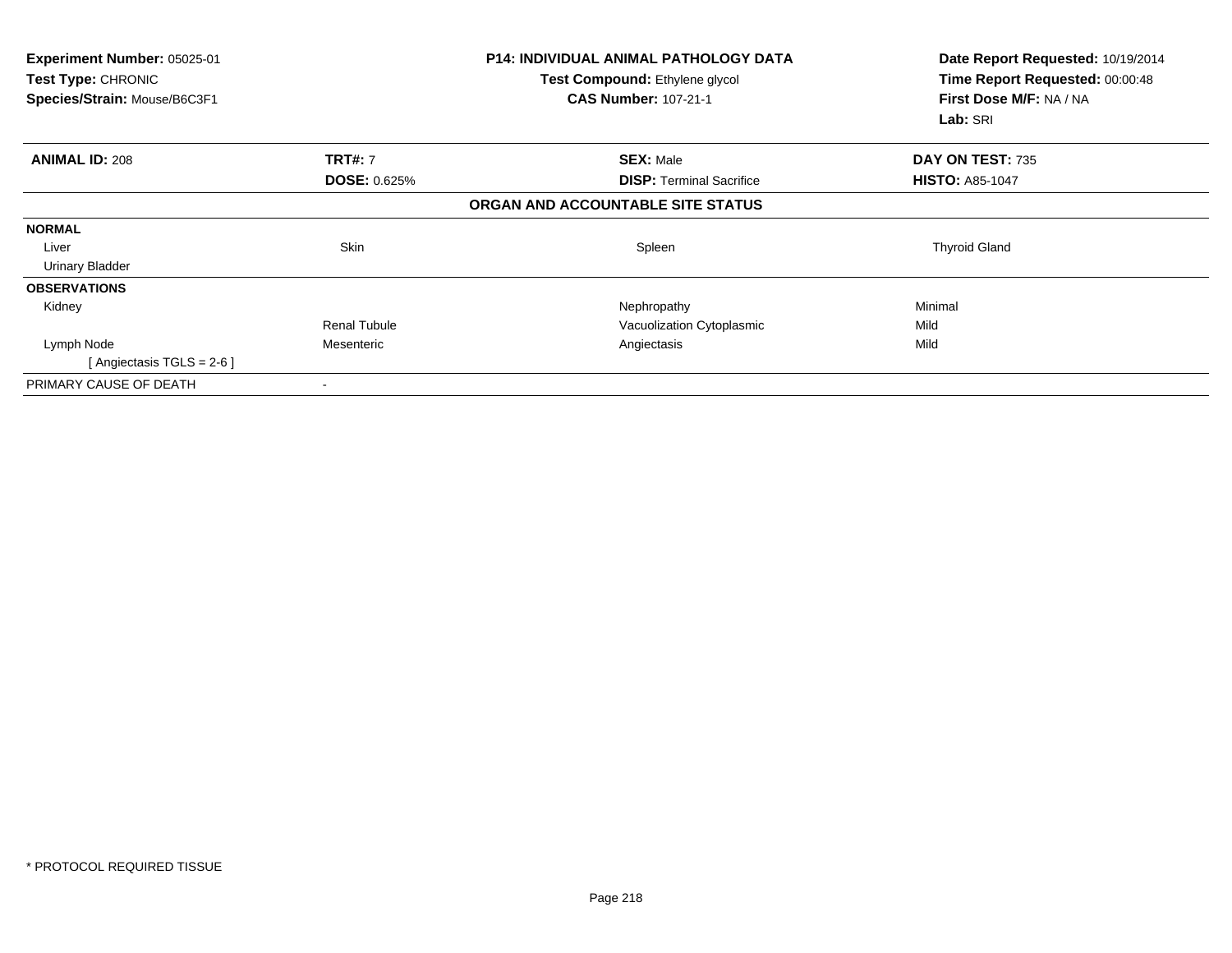| Experiment Number: 05025-01<br>Test Type: CHRONIC<br>Species/Strain: Mouse/B6C3F1 |                     | <b>P14: INDIVIDUAL ANIMAL PATHOLOGY DATA</b><br>Test Compound: Ethylene glycol<br><b>CAS Number: 107-21-1</b> | Date Report Requested: 10/19/2014<br>Time Report Requested: 00:00:48<br>First Dose M/F: NA / NA<br>Lab: SRI |
|-----------------------------------------------------------------------------------|---------------------|---------------------------------------------------------------------------------------------------------------|-------------------------------------------------------------------------------------------------------------|
| <b>ANIMAL ID: 208</b>                                                             | <b>TRT#: 7</b>      | <b>SEX: Male</b>                                                                                              | DAY ON TEST: 735                                                                                            |
|                                                                                   | <b>DOSE: 0.625%</b> | <b>DISP:</b> Terminal Sacrifice                                                                               | <b>HISTO: A85-1047</b>                                                                                      |
|                                                                                   |                     | ORGAN AND ACCOUNTABLE SITE STATUS                                                                             |                                                                                                             |
| <b>NORMAL</b>                                                                     |                     |                                                                                                               |                                                                                                             |
| Liver                                                                             | Skin                | Spleen                                                                                                        | <b>Thyroid Gland</b>                                                                                        |
| <b>Urinary Bladder</b>                                                            |                     |                                                                                                               |                                                                                                             |
| <b>OBSERVATIONS</b>                                                               |                     |                                                                                                               |                                                                                                             |
| Kidney                                                                            |                     | Nephropathy                                                                                                   | Minimal                                                                                                     |
|                                                                                   | <b>Renal Tubule</b> | Vacuolization Cytoplasmic                                                                                     | Mild                                                                                                        |
| Lymph Node                                                                        | Mesenteric          | Angiectasis                                                                                                   | Mild                                                                                                        |
| [ Angiectasis $TGLS = 2-6$ ]                                                      |                     |                                                                                                               |                                                                                                             |
| PRIMARY CAUSE OF DEATH                                                            |                     |                                                                                                               |                                                                                                             |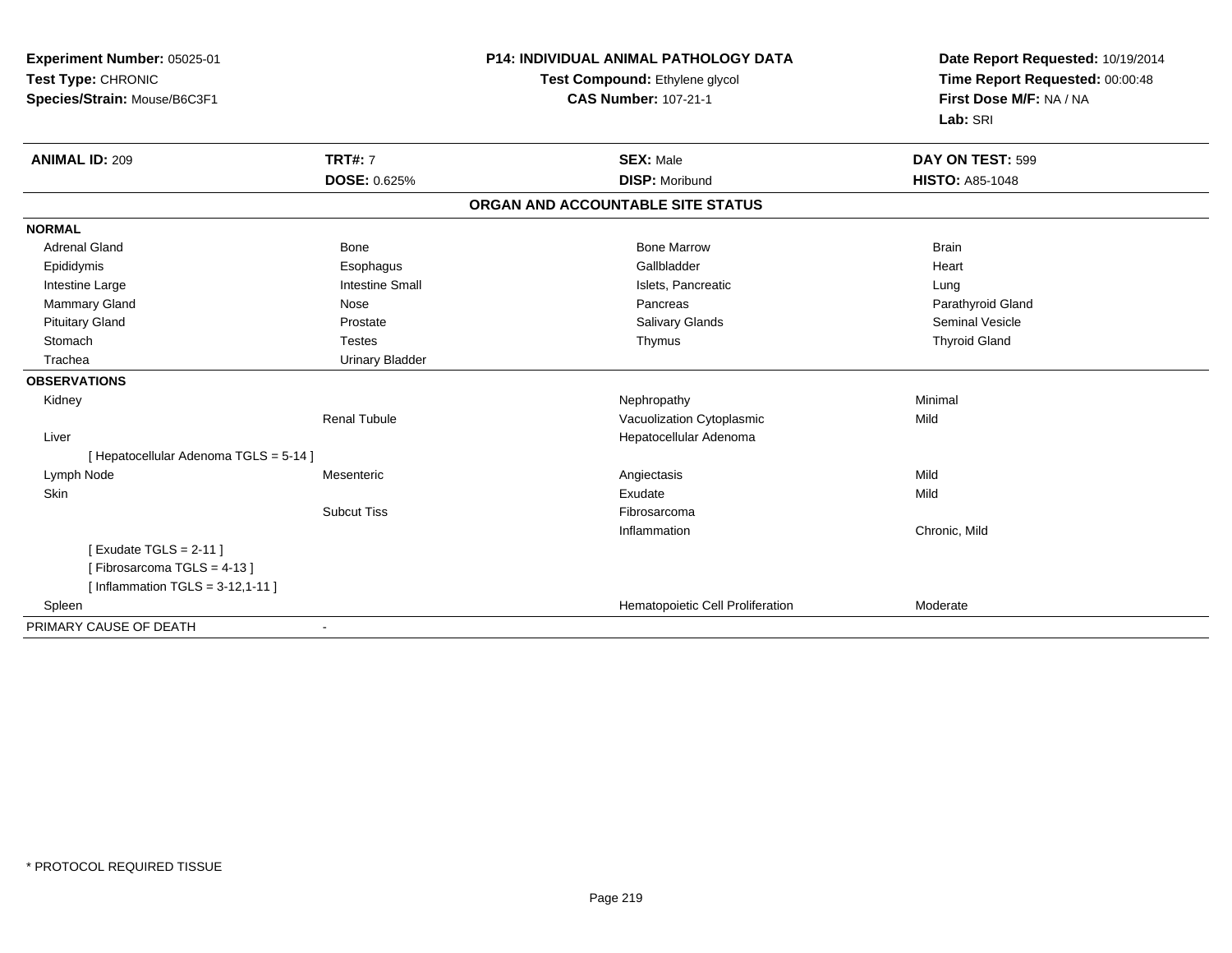| Experiment Number: 05025-01<br>Test Type: CHRONIC<br>Species/Strain: Mouse/B6C3F1 |                                | <b>P14: INDIVIDUAL ANIMAL PATHOLOGY DATA</b><br>Test Compound: Ethylene glycol<br><b>CAS Number: 107-21-1</b> | Date Report Requested: 10/19/2014<br>Time Report Requested: 00:00:48<br>First Dose M/F: NA / NA<br>Lab: SRI |  |
|-----------------------------------------------------------------------------------|--------------------------------|---------------------------------------------------------------------------------------------------------------|-------------------------------------------------------------------------------------------------------------|--|
| <b>ANIMAL ID: 209</b>                                                             | <b>TRT#: 7</b><br>DOSE: 0.625% | <b>SEX: Male</b><br><b>DISP: Moribund</b>                                                                     | DAY ON TEST: 599<br><b>HISTO: A85-1048</b>                                                                  |  |
|                                                                                   |                                | ORGAN AND ACCOUNTABLE SITE STATUS                                                                             |                                                                                                             |  |
| <b>NORMAL</b>                                                                     |                                |                                                                                                               |                                                                                                             |  |
| <b>Adrenal Gland</b>                                                              | Bone                           | <b>Bone Marrow</b>                                                                                            | <b>Brain</b>                                                                                                |  |
| Epididymis                                                                        | Esophagus                      | Gallbladder                                                                                                   | Heart                                                                                                       |  |
| Intestine Large                                                                   | <b>Intestine Small</b>         | Islets, Pancreatic                                                                                            | Lung                                                                                                        |  |
| Mammary Gland                                                                     | Nose                           | Pancreas                                                                                                      | Parathyroid Gland                                                                                           |  |
| <b>Pituitary Gland</b>                                                            | Prostate                       | <b>Salivary Glands</b>                                                                                        | <b>Seminal Vesicle</b>                                                                                      |  |
| Stomach                                                                           | <b>Testes</b>                  | Thymus                                                                                                        | <b>Thyroid Gland</b>                                                                                        |  |
| Trachea                                                                           | <b>Urinary Bladder</b>         |                                                                                                               |                                                                                                             |  |
| <b>OBSERVATIONS</b>                                                               |                                |                                                                                                               |                                                                                                             |  |
| Kidney                                                                            |                                | Nephropathy                                                                                                   | Minimal                                                                                                     |  |
|                                                                                   | <b>Renal Tubule</b>            | Vacuolization Cytoplasmic                                                                                     | Mild                                                                                                        |  |
| Liver                                                                             |                                | Hepatocellular Adenoma                                                                                        |                                                                                                             |  |
| [ Hepatocellular Adenoma TGLS = 5-14 ]                                            |                                |                                                                                                               |                                                                                                             |  |
| Lymph Node                                                                        | Mesenteric                     | Angiectasis                                                                                                   | Mild                                                                                                        |  |
| Skin                                                                              |                                | Exudate                                                                                                       | Mild                                                                                                        |  |
|                                                                                   | <b>Subcut Tiss</b>             | Fibrosarcoma                                                                                                  |                                                                                                             |  |
|                                                                                   |                                | Inflammation                                                                                                  | Chronic, Mild                                                                                               |  |
| [Exudate TGLS = $2-11$ ]<br>[Fibrosarcoma TGLS = 4-13]                            |                                |                                                                                                               |                                                                                                             |  |
| [Inflammation TGLS = $3-12,1-11$ ]                                                |                                |                                                                                                               |                                                                                                             |  |
| Spleen                                                                            |                                | Hematopoietic Cell Proliferation                                                                              | Moderate                                                                                                    |  |
| PRIMARY CAUSE OF DEATH                                                            | $\overline{\phantom{a}}$       |                                                                                                               |                                                                                                             |  |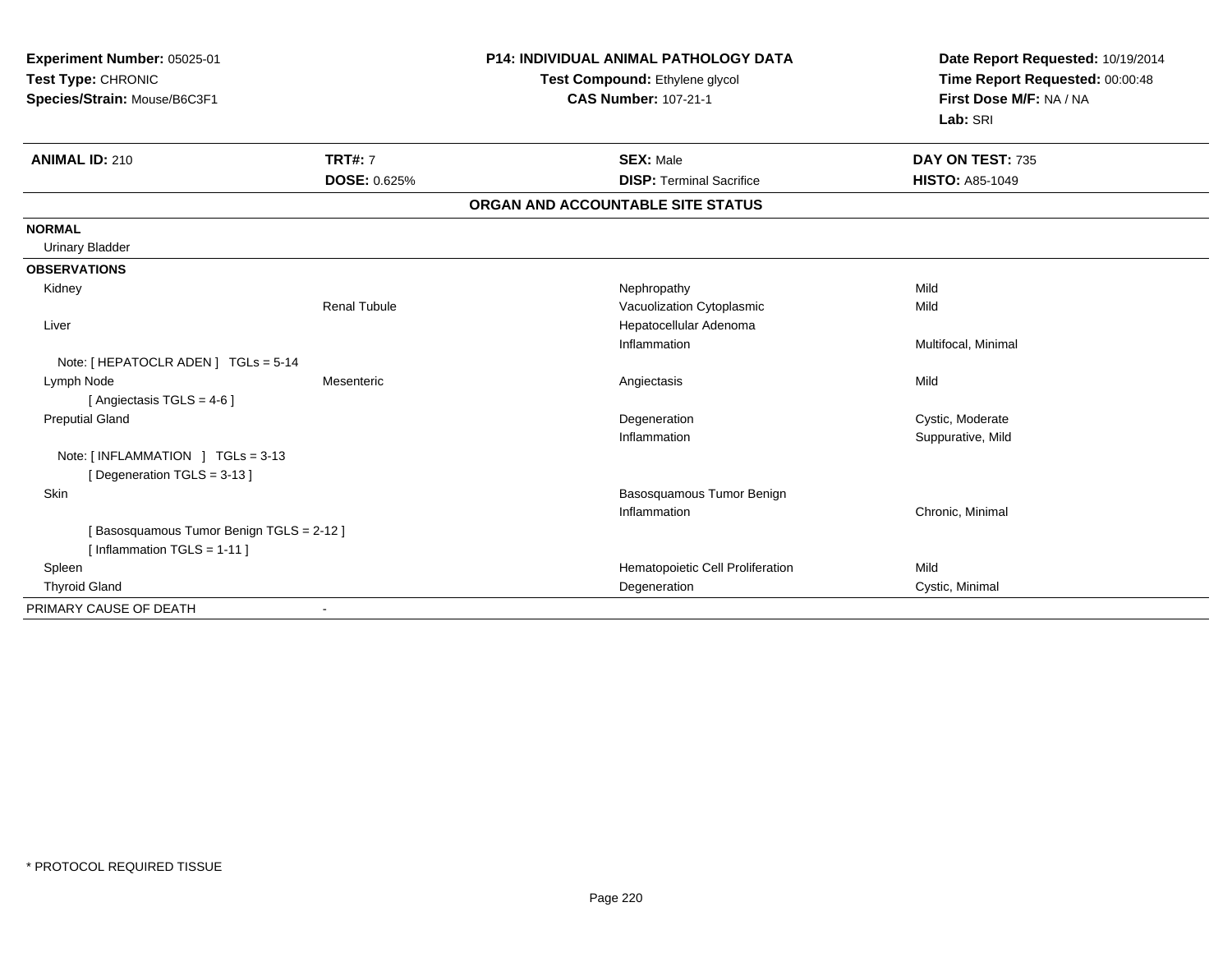| Experiment Number: 05025-01<br>Test Type: CHRONIC<br>Species/Strain: Mouse/B6C3F1 |                     | <b>P14: INDIVIDUAL ANIMAL PATHOLOGY DATA</b><br>Test Compound: Ethylene glycol<br><b>CAS Number: 107-21-1</b> | Date Report Requested: 10/19/2014<br>Time Report Requested: 00:00:48<br>First Dose M/F: NA / NA<br>Lab: SRI |
|-----------------------------------------------------------------------------------|---------------------|---------------------------------------------------------------------------------------------------------------|-------------------------------------------------------------------------------------------------------------|
| <b>ANIMAL ID: 210</b>                                                             | <b>TRT#: 7</b>      | <b>SEX: Male</b>                                                                                              | DAY ON TEST: 735                                                                                            |
|                                                                                   | DOSE: 0.625%        | <b>DISP: Terminal Sacrifice</b>                                                                               | <b>HISTO: A85-1049</b>                                                                                      |
|                                                                                   |                     | ORGAN AND ACCOUNTABLE SITE STATUS                                                                             |                                                                                                             |
| <b>NORMAL</b>                                                                     |                     |                                                                                                               |                                                                                                             |
| <b>Urinary Bladder</b>                                                            |                     |                                                                                                               |                                                                                                             |
| <b>OBSERVATIONS</b>                                                               |                     |                                                                                                               |                                                                                                             |
| Kidney                                                                            |                     | Nephropathy                                                                                                   | Mild                                                                                                        |
|                                                                                   | <b>Renal Tubule</b> | Vacuolization Cytoplasmic                                                                                     | Mild                                                                                                        |
| Liver                                                                             |                     | Hepatocellular Adenoma                                                                                        |                                                                                                             |
|                                                                                   |                     | Inflammation                                                                                                  | Multifocal, Minimal                                                                                         |
| Note: [ HEPATOCLR ADEN ] TGLs = 5-14                                              |                     |                                                                                                               |                                                                                                             |
| Lymph Node                                                                        | Mesenteric          | Angiectasis                                                                                                   | Mild                                                                                                        |
| [ Angiectasis $TGLS = 4-6$ ]                                                      |                     |                                                                                                               |                                                                                                             |
| <b>Preputial Gland</b>                                                            |                     | Degeneration                                                                                                  | Cystic, Moderate                                                                                            |
|                                                                                   |                     | Inflammation                                                                                                  | Suppurative, Mild                                                                                           |
| Note: [INFLAMMATION ] TGLs = 3-13                                                 |                     |                                                                                                               |                                                                                                             |
| [Degeneration TGLS = 3-13]<br>Skin                                                |                     | Basosquamous Tumor Benign                                                                                     |                                                                                                             |
|                                                                                   |                     | Inflammation                                                                                                  | Chronic, Minimal                                                                                            |
| [Basosquamous Tumor Benign TGLS = 2-12]                                           |                     |                                                                                                               |                                                                                                             |
| [Inflammation TGLS = $1-11$ ]                                                     |                     |                                                                                                               |                                                                                                             |
| Spleen                                                                            |                     | Hematopoietic Cell Proliferation                                                                              | Mild                                                                                                        |
| <b>Thyroid Gland</b>                                                              |                     | Degeneration                                                                                                  | Cystic, Minimal                                                                                             |
| PRIMARY CAUSE OF DEATH                                                            |                     |                                                                                                               |                                                                                                             |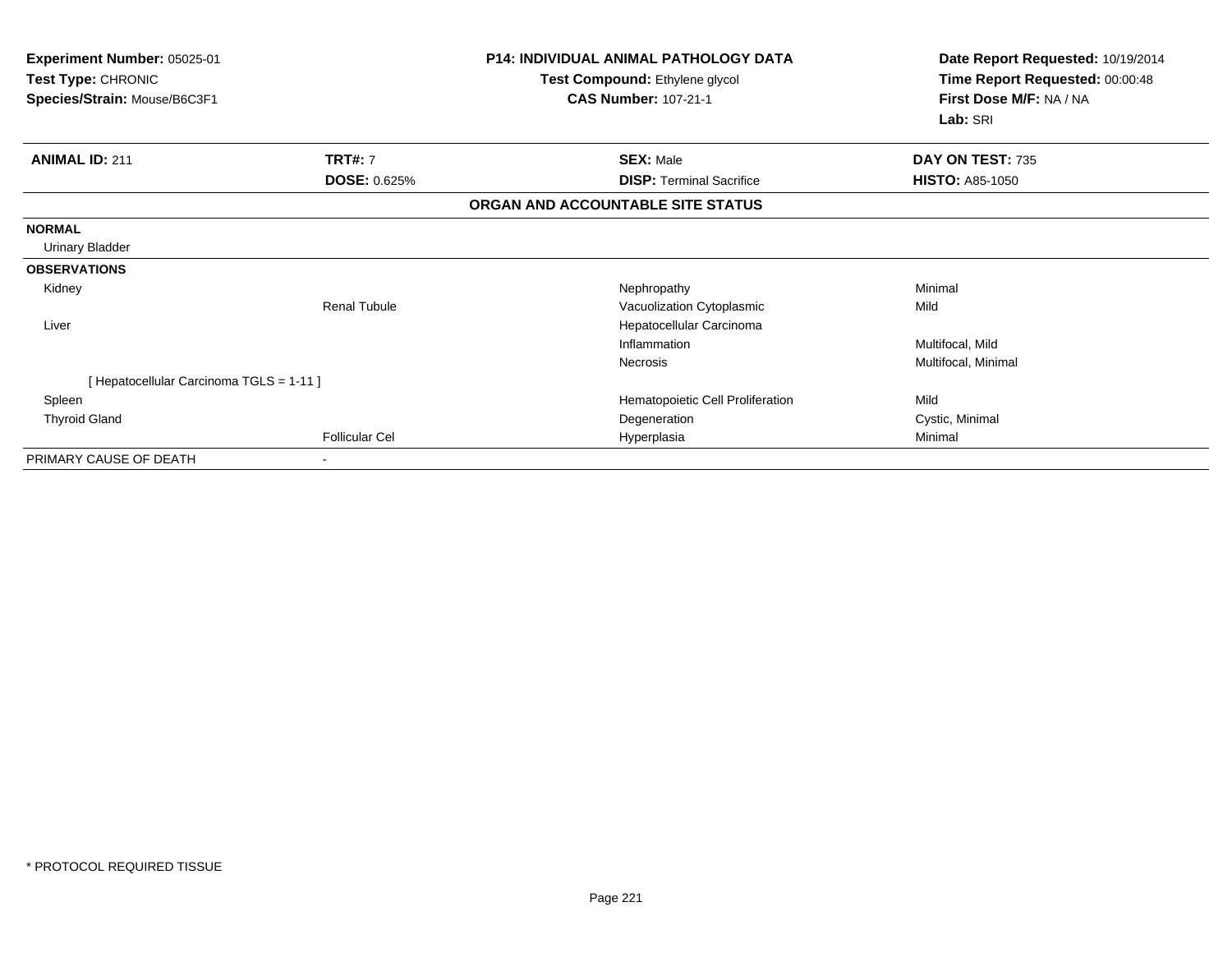| Experiment Number: 05025-01<br>Test Type: CHRONIC<br>Species/Strain: Mouse/B6C3F1 |                                       | <b>P14: INDIVIDUAL ANIMAL PATHOLOGY DATA</b><br>Test Compound: Ethylene glycol<br><b>CAS Number: 107-21-1</b> | Date Report Requested: 10/19/2014<br>Time Report Requested: 00:00:48<br>First Dose M/F: NA / NA<br>Lab: SRI |  |
|-----------------------------------------------------------------------------------|---------------------------------------|---------------------------------------------------------------------------------------------------------------|-------------------------------------------------------------------------------------------------------------|--|
| <b>ANIMAL ID: 211</b>                                                             | <b>TRT#: 7</b><br><b>DOSE: 0.625%</b> | <b>SEX: Male</b><br><b>DISP: Terminal Sacrifice</b>                                                           | DAY ON TEST: 735<br><b>HISTO: A85-1050</b>                                                                  |  |
|                                                                                   |                                       | ORGAN AND ACCOUNTABLE SITE STATUS                                                                             |                                                                                                             |  |
| <b>NORMAL</b>                                                                     |                                       |                                                                                                               |                                                                                                             |  |
| <b>Urinary Bladder</b>                                                            |                                       |                                                                                                               |                                                                                                             |  |
| <b>OBSERVATIONS</b>                                                               |                                       |                                                                                                               |                                                                                                             |  |
| Kidney                                                                            |                                       | Nephropathy                                                                                                   | Minimal                                                                                                     |  |
|                                                                                   | Renal Tubule                          | Vacuolization Cytoplasmic                                                                                     | Mild                                                                                                        |  |
| Liver                                                                             |                                       | Hepatocellular Carcinoma                                                                                      |                                                                                                             |  |
|                                                                                   |                                       | Inflammation                                                                                                  | Multifocal, Mild                                                                                            |  |
|                                                                                   |                                       | Necrosis                                                                                                      | Multifocal, Minimal                                                                                         |  |
| [ Hepatocellular Carcinoma TGLS = 1-11 ]                                          |                                       |                                                                                                               |                                                                                                             |  |
| Spleen                                                                            |                                       | Hematopoietic Cell Proliferation                                                                              | Mild                                                                                                        |  |
| <b>Thyroid Gland</b>                                                              |                                       | Degeneration                                                                                                  | Cystic, Minimal                                                                                             |  |
|                                                                                   | <b>Follicular Cel</b>                 | Hyperplasia                                                                                                   | Minimal                                                                                                     |  |
| PRIMARY CAUSE OF DEATH                                                            |                                       |                                                                                                               |                                                                                                             |  |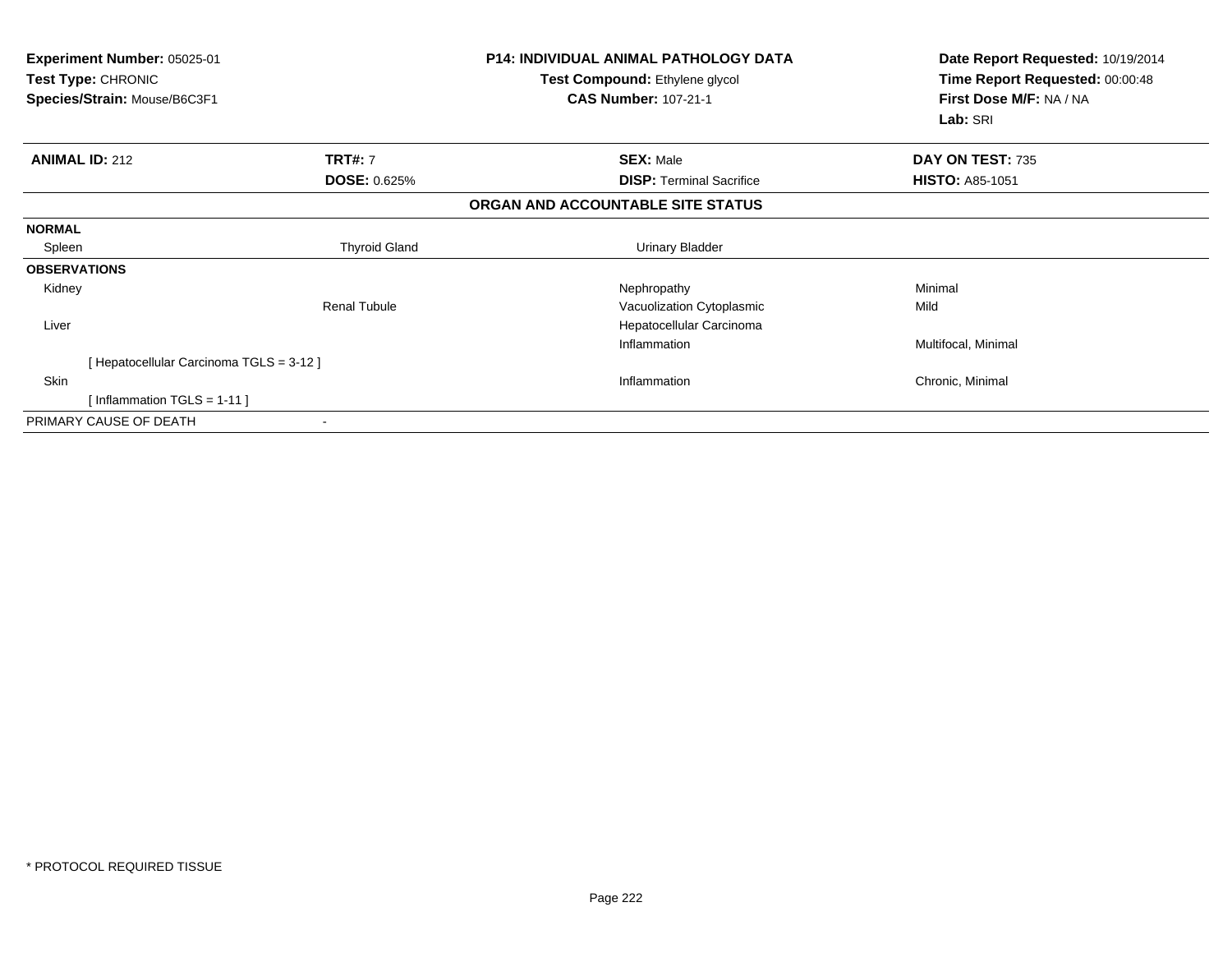| Experiment Number: 05025-01<br>Test Type: CHRONIC<br>Species/Strain: Mouse/B6C3F1 |                                          | <b>P14: INDIVIDUAL ANIMAL PATHOLOGY DATA</b><br>Test Compound: Ethylene glycol<br><b>CAS Number: 107-21-1</b> | Date Report Requested: 10/19/2014<br>Time Report Requested: 00:00:48<br>First Dose M/F: NA / NA<br>Lab: SRI |
|-----------------------------------------------------------------------------------|------------------------------------------|---------------------------------------------------------------------------------------------------------------|-------------------------------------------------------------------------------------------------------------|
| <b>ANIMAL ID: 212</b>                                                             | <b>TRT#: 7</b>                           | <b>SEX: Male</b>                                                                                              | DAY ON TEST: 735                                                                                            |
|                                                                                   | <b>DOSE: 0.625%</b>                      | <b>DISP: Terminal Sacrifice</b>                                                                               | <b>HISTO: A85-1051</b>                                                                                      |
|                                                                                   |                                          | ORGAN AND ACCOUNTABLE SITE STATUS                                                                             |                                                                                                             |
| <b>NORMAL</b>                                                                     |                                          |                                                                                                               |                                                                                                             |
| Spleen                                                                            | <b>Thyroid Gland</b>                     | <b>Urinary Bladder</b>                                                                                        |                                                                                                             |
| <b>OBSERVATIONS</b>                                                               |                                          |                                                                                                               |                                                                                                             |
| Kidney                                                                            |                                          | Nephropathy                                                                                                   | Minimal                                                                                                     |
|                                                                                   | <b>Renal Tubule</b>                      | Vacuolization Cytoplasmic                                                                                     | Mild                                                                                                        |
| Liver                                                                             |                                          | Hepatocellular Carcinoma                                                                                      |                                                                                                             |
|                                                                                   |                                          | Inflammation                                                                                                  | Multifocal, Minimal                                                                                         |
|                                                                                   | [ Hepatocellular Carcinoma TGLS = 3-12 ] |                                                                                                               |                                                                                                             |
| Skin                                                                              |                                          | Inflammation                                                                                                  | Chronic, Minimal                                                                                            |
|                                                                                   | [Inflammation TGLS = $1-11$ ]            |                                                                                                               |                                                                                                             |
| PRIMARY CAUSE OF DEATH                                                            |                                          |                                                                                                               |                                                                                                             |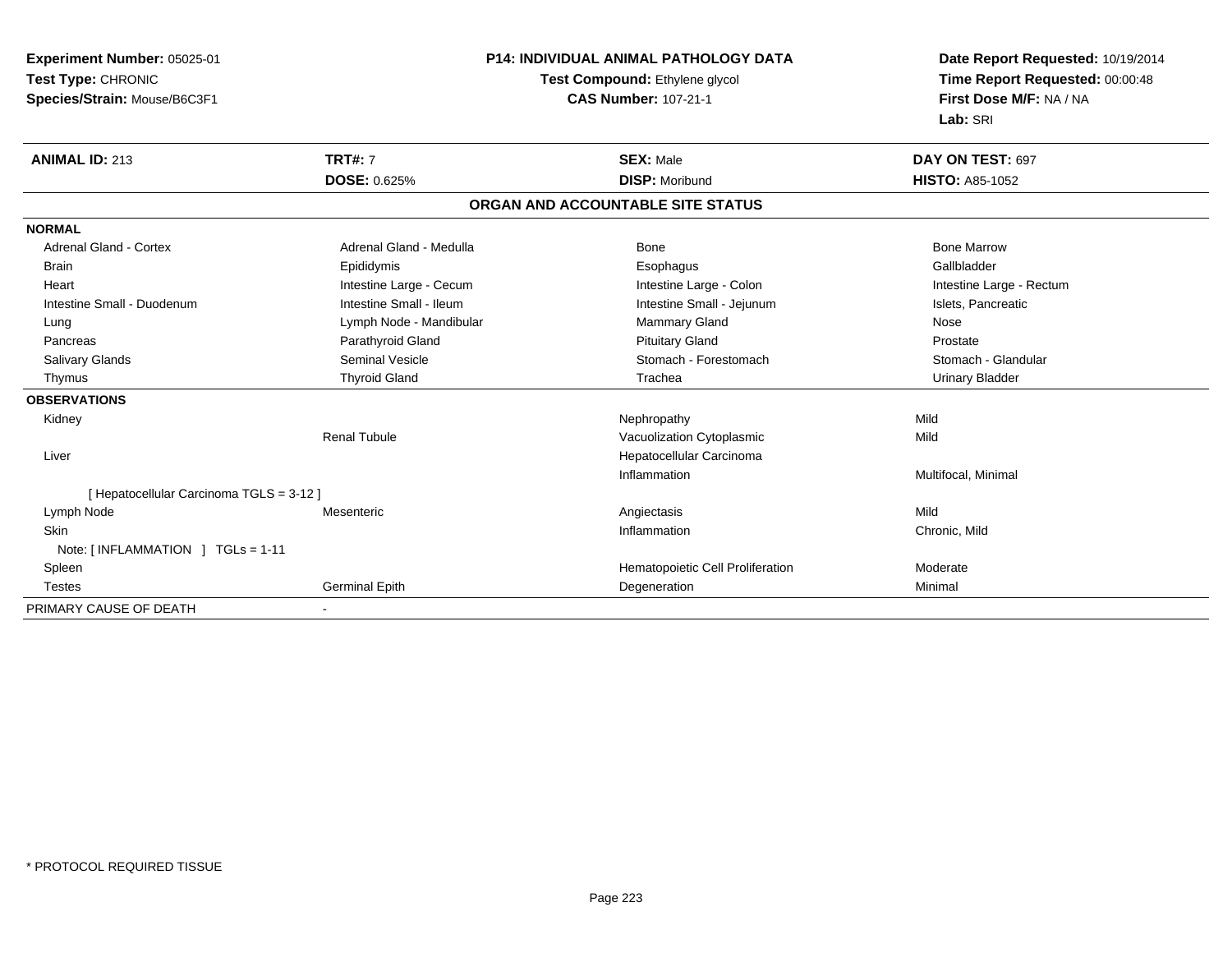**Experiment Number:** 05025-01**Test Type:** CHRONIC **Species/Strain:** Mouse/B6C3F1**P14: INDIVIDUAL ANIMAL PATHOLOGY DATATest Compound:** Ethylene glycol **CAS Number:** 107-21-1**Date Report Requested:** 10/19/2014**Time Report Requested:** 00:00:48**First Dose M/F:** NA / NA**Lab:** SRI**ANIMAL ID:** 213**TRT#:** 7 **SEX:** Male **DAY ON TEST:** 697 **DOSE:** 0.625% **DISP:** Moribund **HISTO:** A85-1052 **ORGAN AND ACCOUNTABLE SITE STATUSNORMALAdrenal Gland - Cortex** Adrenal Gland - Medulla **Bone Adrenal Gland - Cortex Adrenal Gland - Cortex Adrenal Gland - Medulla** Bone Marrow Gallbladder Brain Epididymis Epididymis and the Brook of the Brook of the Brook of the Brook of the Gallbladder of the Gallbladder Heart **Intestine Large - Cecum** Intestine Large - Cecum Intestine Large - Colon Intestine Large - Rectum Intestine Small - Duodenum **Intestine Small - Ileum** Intestine Small - Ileum Intestine Small - Jejunum Intestine Small - Jejunum Islets, Pancreatic Lung **Lymph Node - Mandibular Mammary Gland Nose** Mose Nose Prostate Pancreas **Parathyroid Gland Prostate Parathyroid Gland** Prostate Prostate Prostate Prostate Stomach - Glandular Salivary Glands Seminal Vesicle Seminal Vesicle Stomach - Forestomach - Stomach - Stomach - Stomach - Stomach - Glandular Stomach - Stomach - Stomach - Stomach - Stomach - Stomach - Stomach - Stomach - Stomach - Stomach - Thymus Thyroid Gland Trachea Urinary Bladder**OBSERVATIONS** Kidneyy the controller of the controller of the controller of the controller of the controller of the controller of the controller of the controller of the controller of the controller of the controller of the controller of the Mild Renal TubuleVacuolization Cytoplasmic Liver Hepatocellular CarcinomaInflammation Multifocal, Minimal [ Hepatocellular Carcinoma TGLS = 3-12 ] Lymph Node Mesenteric Angiectasis Mild Skinn and the contract of the contract of the contract of the contract of the chronic, Mild and Chronic, Mild and Chronic, Mild and Chronic, Mild and Chronic, Mild and Chronic, Mild and Chronic, Mild and Chronic, Mild and Chro Note: [ INFLAMMATION ] TGLs = 1-11 SpleenHematopoietic Cell Proliferation Moderate Testes Germinal Epith Degeneration Minimal PRIMARY CAUSE OF DEATH-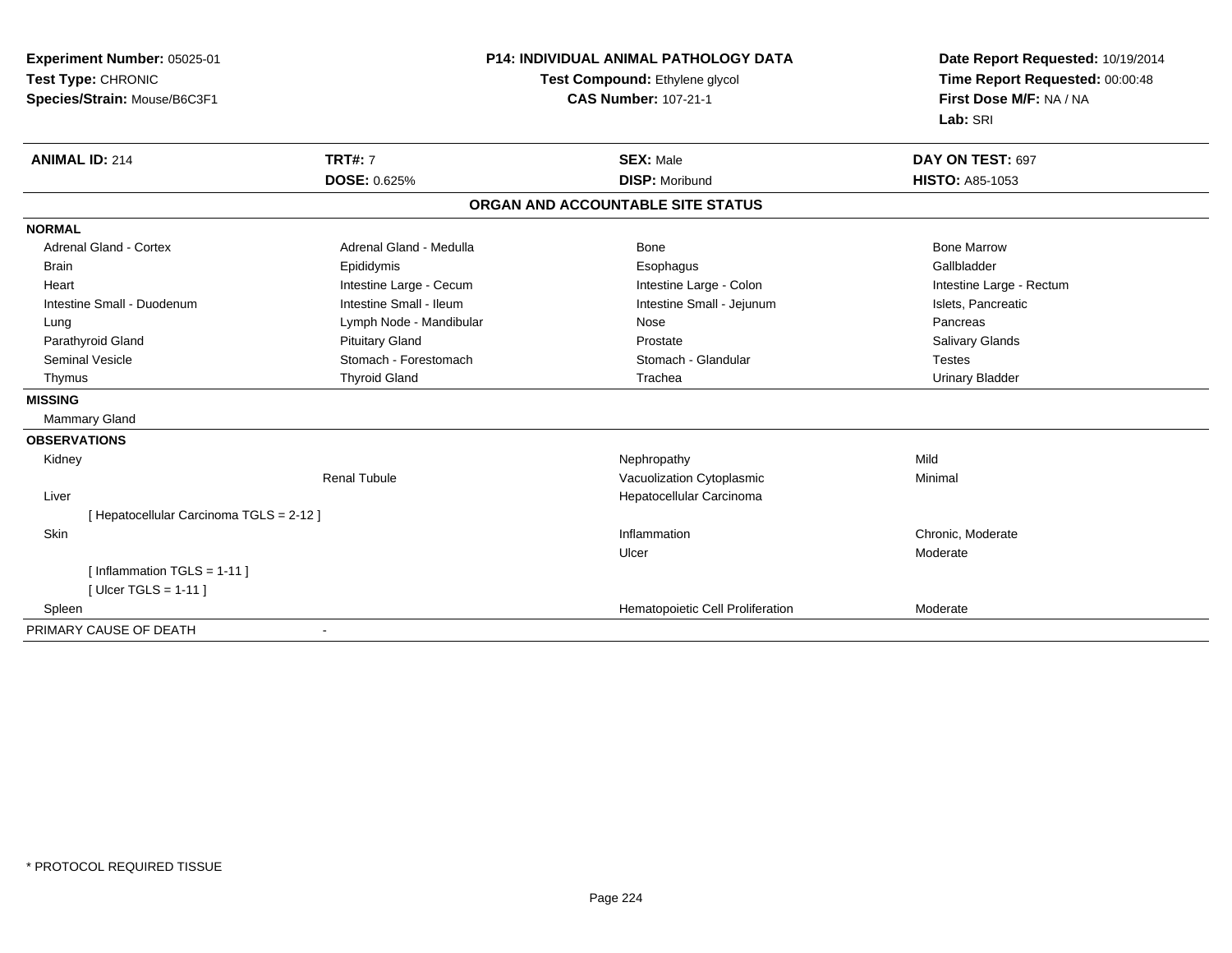| Experiment Number: 05025-01              | <b>P14: INDIVIDUAL ANIMAL PATHOLOGY DATA</b> |                                   | Date Report Requested: 10/19/2014 |
|------------------------------------------|----------------------------------------------|-----------------------------------|-----------------------------------|
| Test Type: CHRONIC                       |                                              | Test Compound: Ethylene glycol    | Time Report Requested: 00:00:48   |
| Species/Strain: Mouse/B6C3F1             |                                              | <b>CAS Number: 107-21-1</b>       | First Dose M/F: NA / NA           |
|                                          |                                              |                                   | Lab: SRI                          |
| <b>ANIMAL ID: 214</b>                    | <b>TRT#: 7</b>                               | <b>SEX: Male</b>                  | DAY ON TEST: 697                  |
|                                          | <b>DOSE: 0.625%</b>                          | <b>DISP: Moribund</b>             | <b>HISTO: A85-1053</b>            |
|                                          |                                              | ORGAN AND ACCOUNTABLE SITE STATUS |                                   |
| <b>NORMAL</b>                            |                                              |                                   |                                   |
| <b>Adrenal Gland - Cortex</b>            | Adrenal Gland - Medulla                      | Bone                              | <b>Bone Marrow</b>                |
| <b>Brain</b>                             | Epididymis                                   | Esophagus                         | Gallbladder                       |
| Heart                                    | Intestine Large - Cecum                      | Intestine Large - Colon           | Intestine Large - Rectum          |
| Intestine Small - Duodenum               | Intestine Small - Ileum                      | Intestine Small - Jejunum         | Islets, Pancreatic                |
| Lung                                     | Lymph Node - Mandibular                      | Nose                              | Pancreas                          |
| Parathyroid Gland                        | <b>Pituitary Gland</b>                       | Prostate                          | Salivary Glands                   |
| <b>Seminal Vesicle</b>                   | Stomach - Forestomach                        | Stomach - Glandular               | <b>Testes</b>                     |
| Thymus                                   | <b>Thyroid Gland</b>                         | Trachea                           | <b>Urinary Bladder</b>            |
| <b>MISSING</b>                           |                                              |                                   |                                   |
| <b>Mammary Gland</b>                     |                                              |                                   |                                   |
| <b>OBSERVATIONS</b>                      |                                              |                                   |                                   |
| Kidney                                   |                                              | Nephropathy                       | Mild                              |
|                                          | <b>Renal Tubule</b>                          | Vacuolization Cytoplasmic         | Minimal                           |
| Liver                                    |                                              | Hepatocellular Carcinoma          |                                   |
| [ Hepatocellular Carcinoma TGLS = 2-12 ] |                                              |                                   |                                   |
| Skin                                     |                                              | Inflammation                      | Chronic, Moderate                 |
|                                          |                                              | Ulcer                             | Moderate                          |
| [Inflammation TGLS = $1-11$ ]            |                                              |                                   |                                   |
| [Ulcer TGLS = $1-11$ ]                   |                                              |                                   |                                   |
| Spleen                                   |                                              | Hematopoietic Cell Proliferation  | Moderate                          |
| PRIMARY CAUSE OF DEATH                   |                                              |                                   |                                   |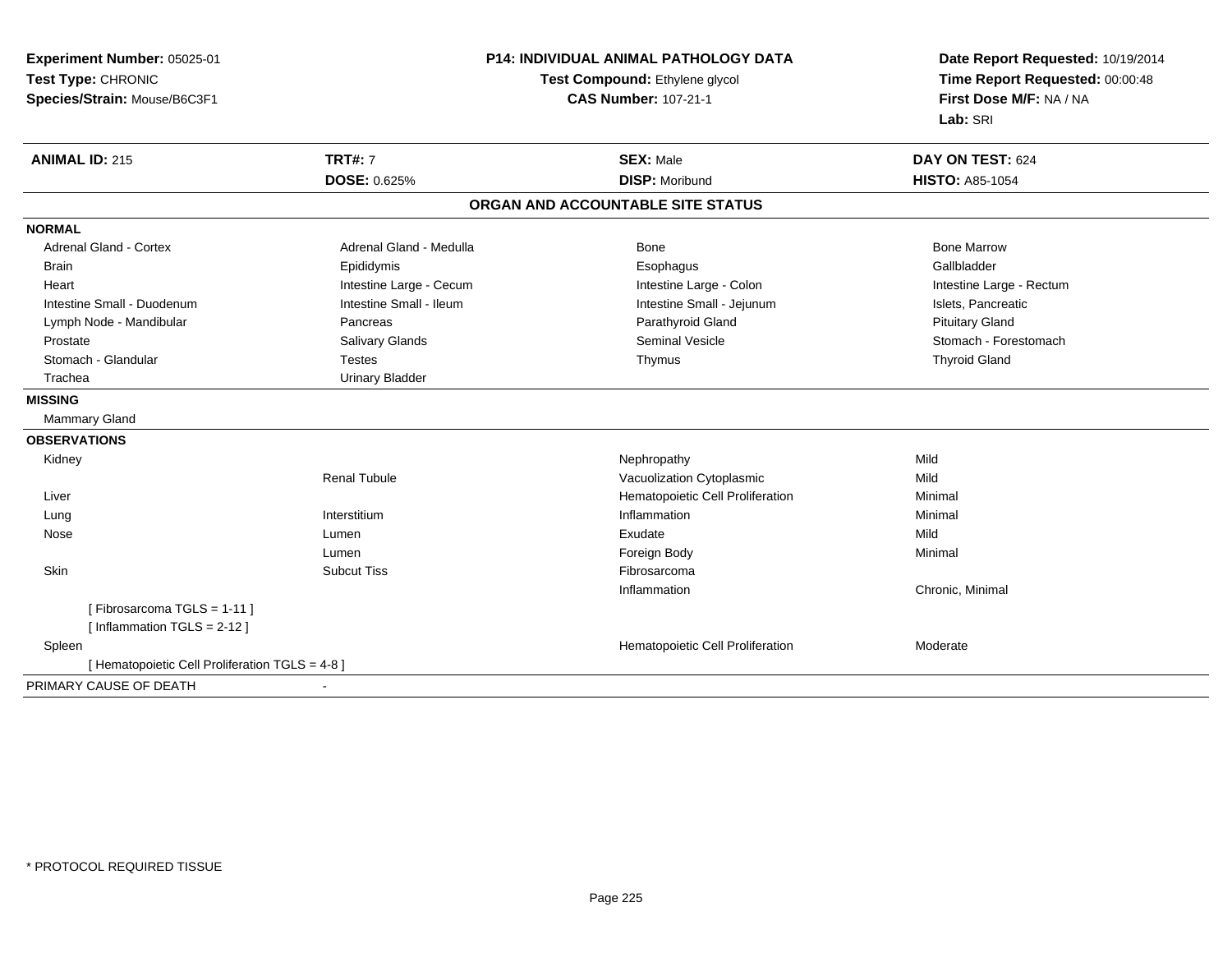**Experiment Number:** 05025-01**Test Type:** CHRONIC **Species/Strain:** Mouse/B6C3F1**P14: INDIVIDUAL ANIMAL PATHOLOGY DATATest Compound:** Ethylene glycol **CAS Number:** 107-21-1**Date Report Requested:** 10/19/2014**Time Report Requested:** 00:00:48**First Dose M/F:** NA / NA**Lab:** SRI**ANIMAL ID:** 215**TRT#:** 7 **SEX:** Male **DAY ON TEST:** 624 **DOSE:** 0.625% **DISP:** Moribund **HISTO:** A85-1054 **ORGAN AND ACCOUNTABLE SITE STATUSNORMALAdrenal Gland - Cortex** Adrenal Gland - Medulla **Adrenal Gland - Medulla** Bone Bone Bone Bone Bone Marrow Gallbladder Brain Epididymis Epididymis and the Brook of the Brook of the Brook of the Brook of the Gallbladder of the Gallbladder Heart **Intestine Large - Cecum** Intestine Large - Cecum Intestine Large - Colon Intestine Large - Rectum Intestine Small - Duodenum **Intestine Small - Ileum** Intestine Small - Ileum Intestine Small - Jejunum Intestine Small - Jejunum Islets, Pancreatic Lymph Node - Mandibular Pancreas Parathyroid Gland Pituitary GlandProstate Subsection of Salivary Glands Salivary Glands Stomach - Forestomach - Stomach - Forestomach - Stomach - Stomach - Stomach - Forestomach Stomach - Glandular Testes Thymus Thyroid Gland Trachea Urinary Bladder**MISSING** Mammary Gland**OBSERVATIONS** Kidneyy the controller of the controller of the controller of the Mephropathy the controller of the Mild of the Mild **Mild** Renal TubuleVacuolization Cytoplasmic Liver Hematopoietic Cell ProliferationMinimal<br>Minimal LungInterstitium<br>Lumen m and the inflammation of the matter of the matter of the matter of the matter of the matter of the matter of the matter of the matter of the matter of the matter of the matter of the matter of the matter of the matter of Nosee and the settlement of the settlement of the settlement of the settlement of the settlement of the settlement of the Mild Lumenn and the control of the control of the Foreign Body and the control of the Minimal Minimal Skinn and the subcut Tiss of the Subcut Tiss of the Subcut Tiss of the Subset of the Subset of the Subset of the Su Inflammation Chronic, Minimal [ Fibrosarcoma TGLS = 1-11 ][ Inflammation TGLS = 2-12 ] SpleenHematopoietic Cell Proliferation Moderate [ Hematopoietic Cell Proliferation TGLS = 4-8 ]PRIMARY CAUSE OF DEATH-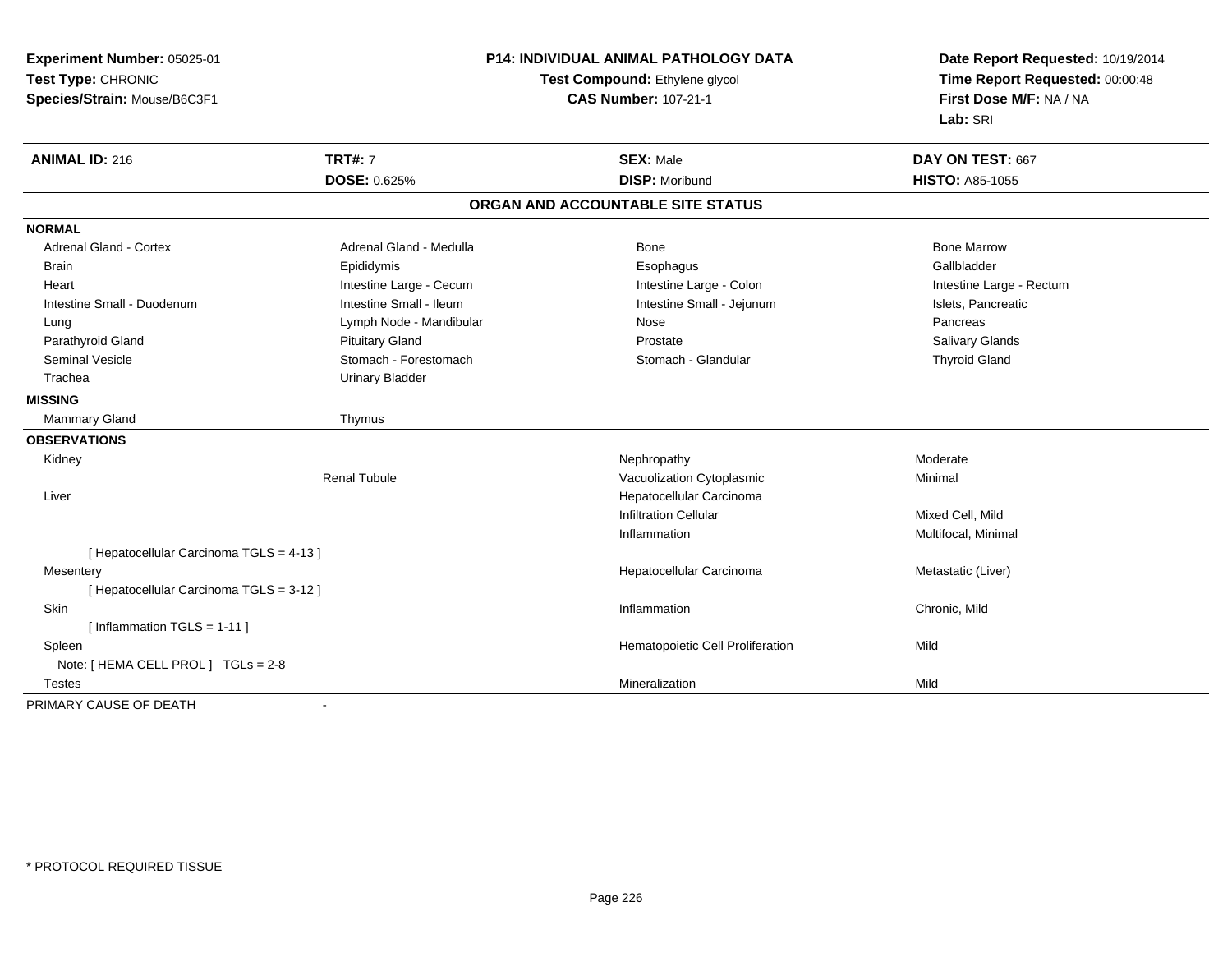**Experiment Number:** 05025-01**Test Type:** CHRONIC **Species/Strain:** Mouse/B6C3F1**P14: INDIVIDUAL ANIMAL PATHOLOGY DATATest Compound:** Ethylene glycol **CAS Number:** 107-21-1**Date Report Requested:** 10/19/2014**Time Report Requested:** 00:00:48**First Dose M/F:** NA / NA**Lab:** SRI**ANIMAL ID:** 216**TRT#:** 7 **SEX:** Male **DAY ON TEST:** 667 **DOSE:** 0.625% **DISP:** Moribund **HISTO:** A85-1055 **ORGAN AND ACCOUNTABLE SITE STATUSNORMALAdrenal Gland - Cortex** Adrenal Gland - Medulla **Bone Adrenal Gland - Cortex Adrenal Gland - Cortex Adrenal Gland - Medulla** Bone Marrow Gallbladder Brain Epididymis Epididymis and the Brook of the Brook of the Brook of the Brook of the Gallbladder of the Gallbladder Heart **Intestine Large - Cecum** Intestine Large - Cecum Intestine Large - Colon Intestine Large - Rectum Intestine Small - Duodenum **Intestine Small - Ileum** Intestine Small - Ileum Intestine Small - Jejunum Intestine Small - Jejunum Islets, Pancreatic Lymph Node - Mandibular Nose Nose Pancreas Pancreas Pancreas **Salivary Glands** Parathyroid Gland Salivary Glands Pituitary Gland Prosection Prostate Prostate Salivary Glands Salivary Glands Seminal Vesicle **Stomach - Forestomach Community** Stomach - Glandular Stomach - Glandular Thyroid Gland Trachea Urinary Bladder**MISSING**Mammary Gland Thymus **OBSERVATIONS** Kidneyy the controller that the controller controller the controller of the Moderate of Moderate  $\lambda$ Renal TubuleVacuolization Cytoplasmic **Minimal**  Liver Hepatocellular CarcinomaInfiltration Cellular Mixed Cell, Mildn **Multifocal**, Minimal Inflammation[ Hepatocellular Carcinoma TGLS = 4-13 ]**Mesentery**  Hepatocellular Carcinoma Metastatic (Liver) [ Hepatocellular Carcinoma TGLS = 3-12 ]**Skin** n and the control of the control of the control of the control of the control of the chronic, Mild and the chronic, Mild and the chronic, Mild and the chronic of the chronic state of the chronic state of the chronic state [ Inflammation TGLS = 1-11 ] SpleenHematopoietic Cell Proliferation Mild Note: [ HEMA CELL PROL ] TGLs = 2-8 Testess and the contract of the contract of the contract of the contract of the contract of the contract of the contract of the contract of the contract of the contract of the contract of the contract of the contract of the cont n Mild PRIMARY CAUSE OF DEATH-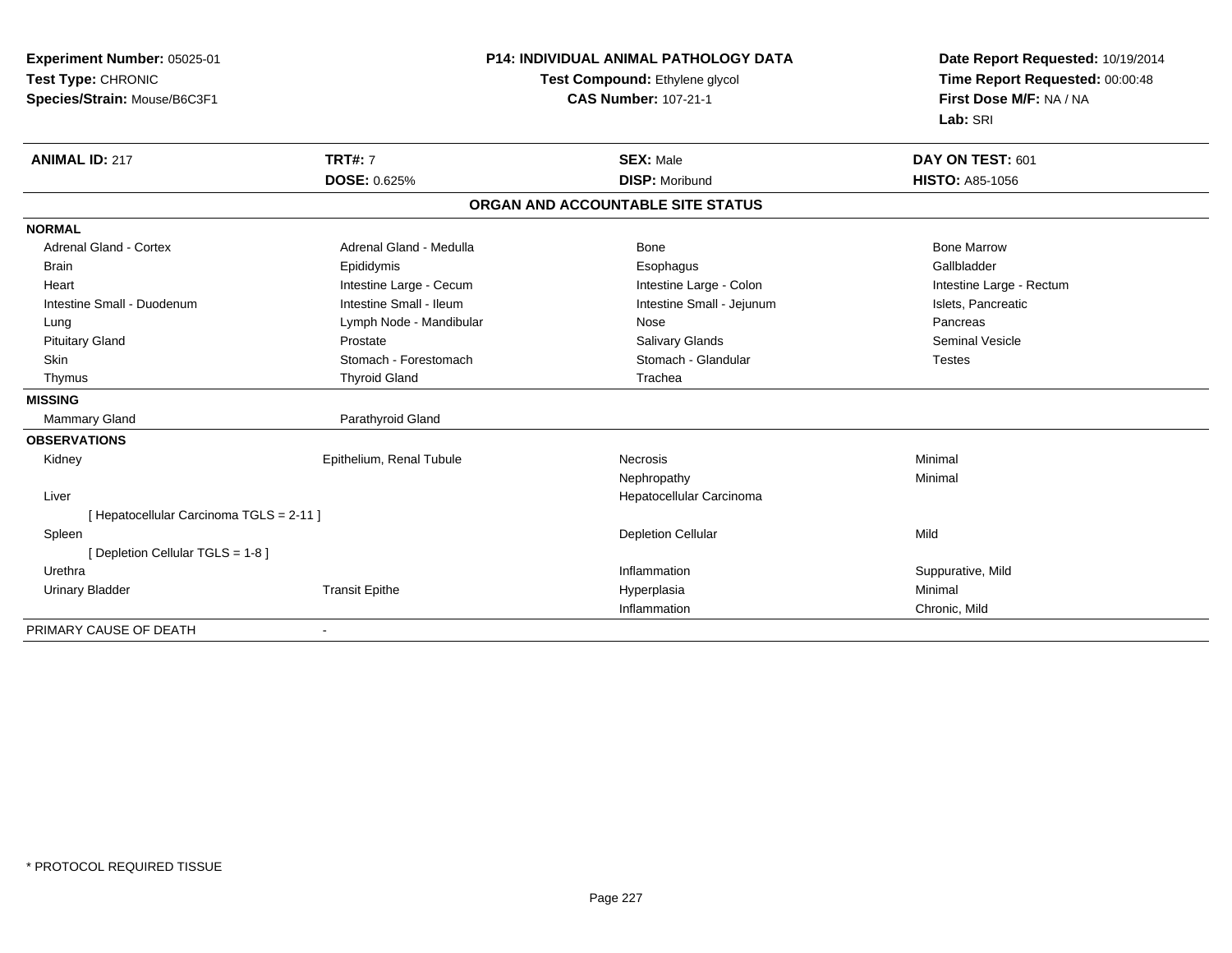| Experiment Number: 05025-01              | <b>P14: INDIVIDUAL ANIMAL PATHOLOGY DATA</b> |                                   | Date Report Requested: 10/19/2014                          |  |
|------------------------------------------|----------------------------------------------|-----------------------------------|------------------------------------------------------------|--|
| Test Type: CHRONIC                       |                                              | Test Compound: Ethylene glycol    | Time Report Requested: 00:00:48<br>First Dose M/F: NA / NA |  |
| Species/Strain: Mouse/B6C3F1             |                                              | <b>CAS Number: 107-21-1</b>       |                                                            |  |
|                                          |                                              |                                   | Lab: SRI                                                   |  |
| <b>ANIMAL ID: 217</b>                    | <b>TRT#: 7</b>                               | <b>SEX: Male</b>                  | DAY ON TEST: 601                                           |  |
|                                          | DOSE: 0.625%                                 | <b>DISP: Moribund</b>             | <b>HISTO: A85-1056</b>                                     |  |
|                                          |                                              | ORGAN AND ACCOUNTABLE SITE STATUS |                                                            |  |
| <b>NORMAL</b>                            |                                              |                                   |                                                            |  |
| <b>Adrenal Gland - Cortex</b>            | Adrenal Gland - Medulla                      | <b>Bone</b>                       | <b>Bone Marrow</b>                                         |  |
| <b>Brain</b>                             | Epididymis                                   | Esophagus                         | Gallbladder                                                |  |
| Heart                                    | Intestine Large - Cecum                      | Intestine Large - Colon           | Intestine Large - Rectum                                   |  |
| Intestine Small - Duodenum               | Intestine Small - Ileum                      | Intestine Small - Jejunum         | Islets, Pancreatic                                         |  |
| Lung                                     | Lymph Node - Mandibular                      | Nose                              | Pancreas                                                   |  |
| <b>Pituitary Gland</b>                   | Prostate                                     | <b>Salivary Glands</b>            | <b>Seminal Vesicle</b>                                     |  |
| Skin                                     | Stomach - Forestomach                        | Stomach - Glandular               | <b>Testes</b>                                              |  |
| Thymus                                   | <b>Thyroid Gland</b>                         | Trachea                           |                                                            |  |
| <b>MISSING</b>                           |                                              |                                   |                                                            |  |
| <b>Mammary Gland</b>                     | Parathyroid Gland                            |                                   |                                                            |  |
| <b>OBSERVATIONS</b>                      |                                              |                                   |                                                            |  |
| Kidney                                   | Epithelium, Renal Tubule                     | <b>Necrosis</b>                   | Minimal                                                    |  |
|                                          |                                              | Nephropathy                       | Minimal                                                    |  |
| Liver                                    |                                              | Hepatocellular Carcinoma          |                                                            |  |
| [ Hepatocellular Carcinoma TGLS = 2-11 ] |                                              |                                   |                                                            |  |
| Spleen                                   |                                              | <b>Depletion Cellular</b>         | Mild                                                       |  |
| [ Depletion Cellular TGLS = 1-8 ]        |                                              |                                   |                                                            |  |
| Urethra                                  |                                              | Inflammation                      | Suppurative, Mild                                          |  |
| <b>Urinary Bladder</b>                   | <b>Transit Epithe</b>                        | Hyperplasia                       | Minimal                                                    |  |
|                                          |                                              | Inflammation                      | Chronic, Mild                                              |  |
| PRIMARY CAUSE OF DEATH                   |                                              |                                   |                                                            |  |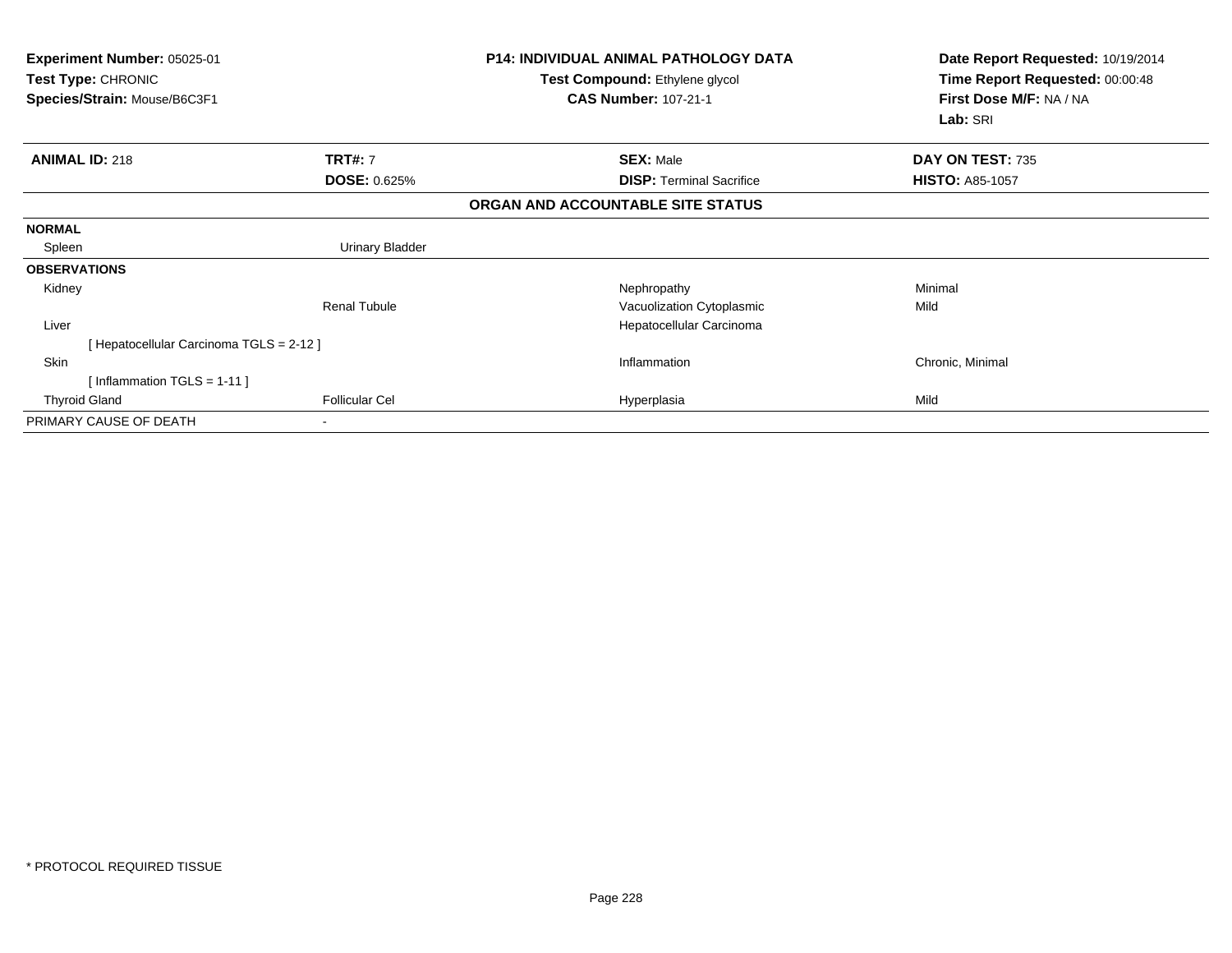| Experiment Number: 05025-01<br><b>Test Type: CHRONIC</b><br>Species/Strain: Mouse/B6C3F1 |                       | <b>P14: INDIVIDUAL ANIMAL PATHOLOGY DATA</b><br>Test Compound: Ethylene glycol<br><b>CAS Number: 107-21-1</b> | Date Report Requested: 10/19/2014<br>Time Report Requested: 00:00:48<br>First Dose M/F: NA / NA<br>Lab: SRI |  |
|------------------------------------------------------------------------------------------|-----------------------|---------------------------------------------------------------------------------------------------------------|-------------------------------------------------------------------------------------------------------------|--|
|                                                                                          |                       |                                                                                                               |                                                                                                             |  |
| <b>ANIMAL ID: 218</b>                                                                    | <b>TRT#: 7</b>        | <b>SEX: Male</b>                                                                                              | DAY ON TEST: 735                                                                                            |  |
|                                                                                          | <b>DOSE: 0.625%</b>   | <b>DISP: Terminal Sacrifice</b>                                                                               | <b>HISTO: A85-1057</b>                                                                                      |  |
|                                                                                          |                       | ORGAN AND ACCOUNTABLE SITE STATUS                                                                             |                                                                                                             |  |
| <b>NORMAL</b>                                                                            |                       |                                                                                                               |                                                                                                             |  |
| Spleen                                                                                   | Urinary Bladder       |                                                                                                               |                                                                                                             |  |
| <b>OBSERVATIONS</b>                                                                      |                       |                                                                                                               |                                                                                                             |  |
| Kidney                                                                                   |                       | Nephropathy                                                                                                   | Minimal                                                                                                     |  |
|                                                                                          | <b>Renal Tubule</b>   | Vacuolization Cytoplasmic                                                                                     | Mild                                                                                                        |  |
| Liver                                                                                    |                       | Hepatocellular Carcinoma                                                                                      |                                                                                                             |  |
| [ Hepatocellular Carcinoma TGLS = 2-12 ]                                                 |                       |                                                                                                               |                                                                                                             |  |
| Skin                                                                                     |                       | Inflammation                                                                                                  | Chronic, Minimal                                                                                            |  |
| [Inflammation TGLS = $1-11$ ]                                                            |                       |                                                                                                               |                                                                                                             |  |
| <b>Thyroid Gland</b>                                                                     | <b>Follicular Cel</b> | Hyperplasia                                                                                                   | Mild                                                                                                        |  |
| PRIMARY CAUSE OF DEATH                                                                   |                       |                                                                                                               |                                                                                                             |  |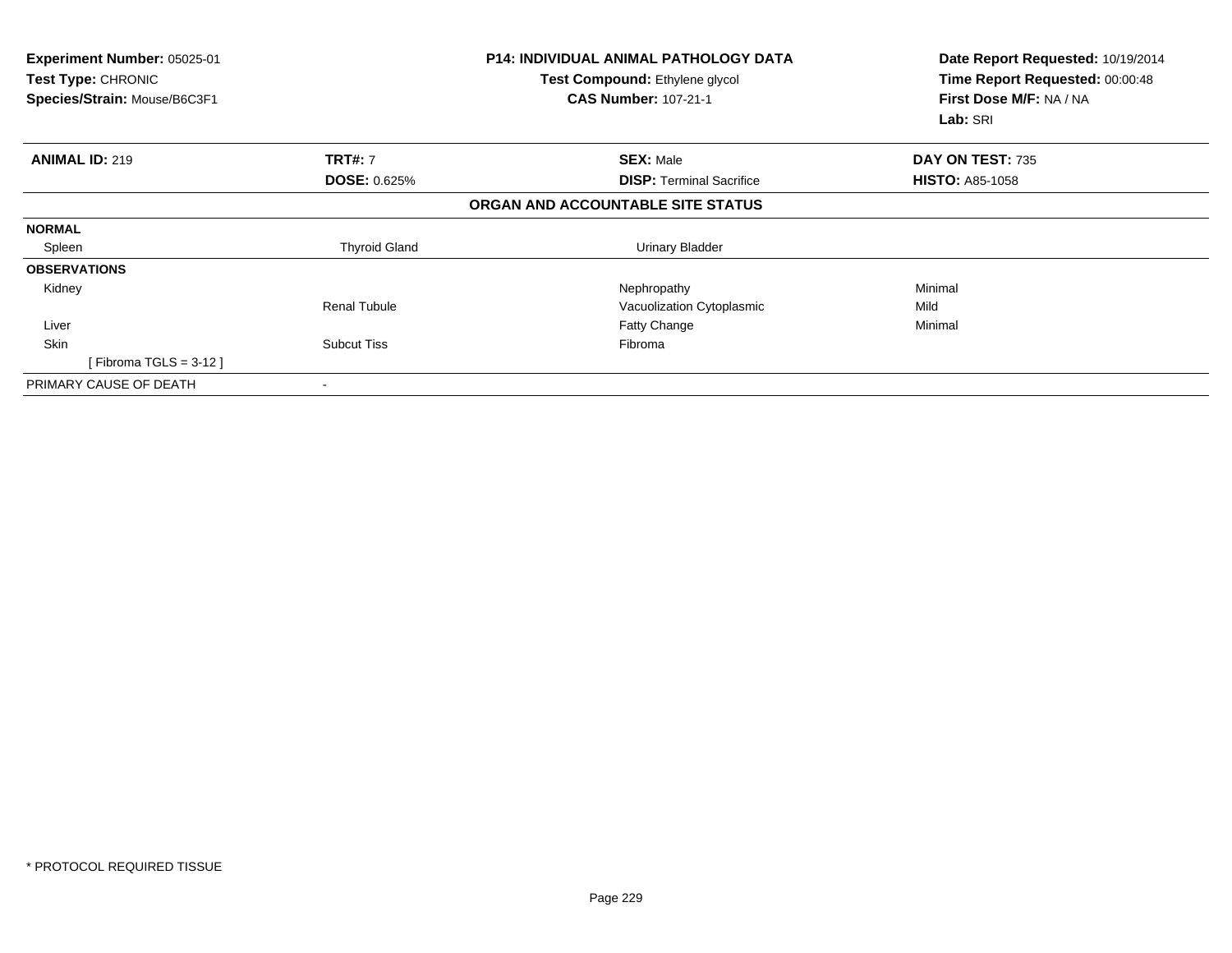| <b>Experiment Number: 05025-01</b><br>Test Type: CHRONIC<br>Species/Strain: Mouse/B6C3F1 |                      | <b>P14: INDIVIDUAL ANIMAL PATHOLOGY DATA</b><br>Test Compound: Ethylene glycol<br><b>CAS Number: 107-21-1</b> | Date Report Requested: 10/19/2014<br>Time Report Requested: 00:00:48<br>First Dose M/F: NA / NA<br>Lab: SRI |
|------------------------------------------------------------------------------------------|----------------------|---------------------------------------------------------------------------------------------------------------|-------------------------------------------------------------------------------------------------------------|
| <b>ANIMAL ID: 219</b>                                                                    | <b>TRT#: 7</b>       | <b>SEX: Male</b>                                                                                              | DAY ON TEST: 735                                                                                            |
|                                                                                          | <b>DOSE: 0.625%</b>  | <b>DISP:</b> Terminal Sacrifice                                                                               | <b>HISTO: A85-1058</b>                                                                                      |
|                                                                                          |                      | ORGAN AND ACCOUNTABLE SITE STATUS                                                                             |                                                                                                             |
| <b>NORMAL</b>                                                                            |                      |                                                                                                               |                                                                                                             |
| Spleen                                                                                   | <b>Thyroid Gland</b> | <b>Urinary Bladder</b>                                                                                        |                                                                                                             |
| <b>OBSERVATIONS</b>                                                                      |                      |                                                                                                               |                                                                                                             |
| Kidney                                                                                   |                      | Nephropathy                                                                                                   | Minimal                                                                                                     |
|                                                                                          | <b>Renal Tubule</b>  | Vacuolization Cytoplasmic                                                                                     | Mild                                                                                                        |
| Liver                                                                                    |                      | Fatty Change                                                                                                  | Minimal                                                                                                     |
| <b>Skin</b>                                                                              | <b>Subcut Tiss</b>   | Fibroma                                                                                                       |                                                                                                             |
| [Fibroma TGLS = 3-12 ]                                                                   |                      |                                                                                                               |                                                                                                             |
| PRIMARY CAUSE OF DEATH                                                                   | $\blacksquare$       |                                                                                                               |                                                                                                             |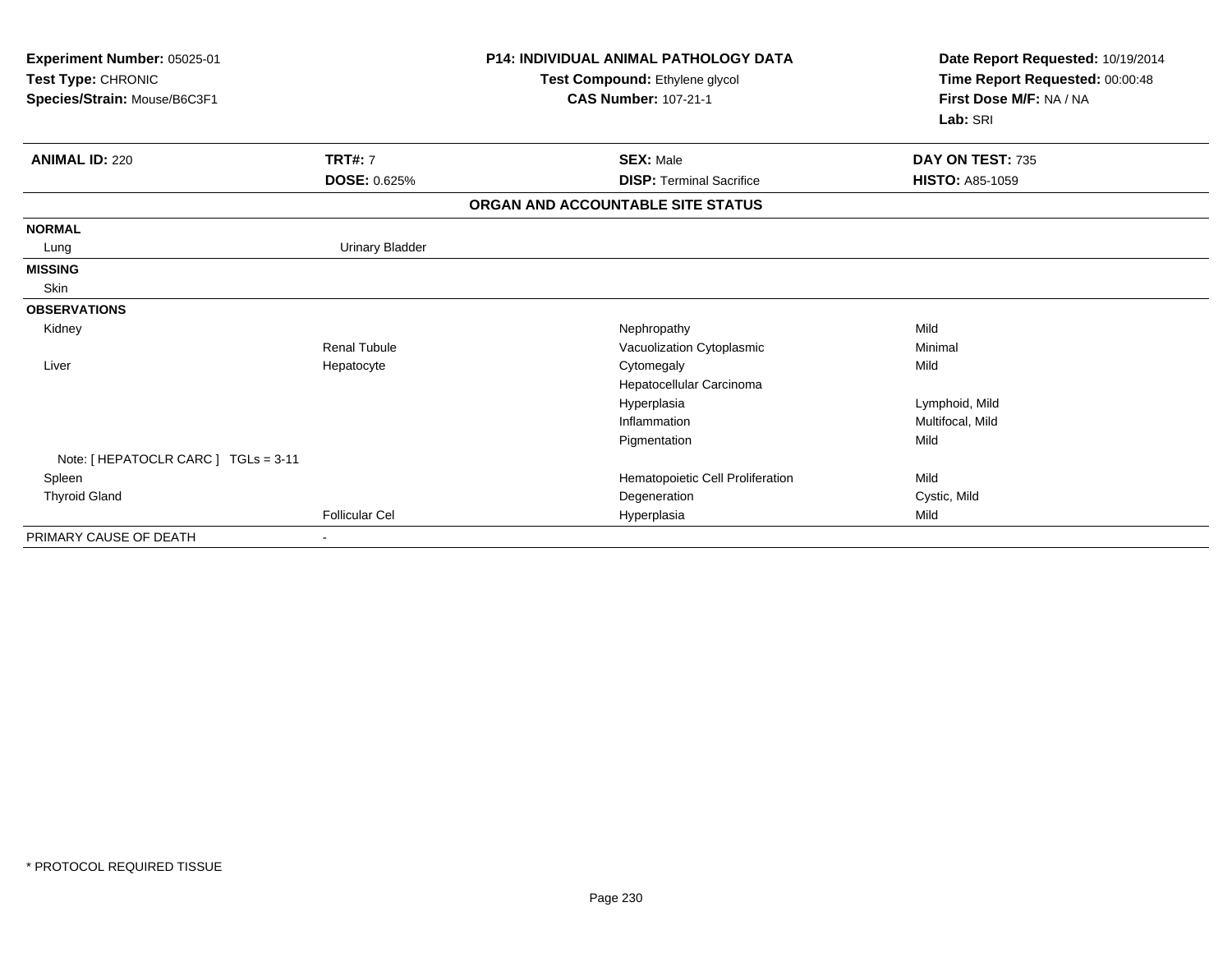| Experiment Number: 05025-01<br>Test Type: CHRONIC<br>Species/Strain: Mouse/B6C3F1 |                        | <b>P14: INDIVIDUAL ANIMAL PATHOLOGY DATA</b><br>Test Compound: Ethylene glycol<br><b>CAS Number: 107-21-1</b> | Date Report Requested: 10/19/2014<br>Time Report Requested: 00:00:48<br>First Dose M/F: NA / NA<br>Lab: SRI |
|-----------------------------------------------------------------------------------|------------------------|---------------------------------------------------------------------------------------------------------------|-------------------------------------------------------------------------------------------------------------|
| <b>ANIMAL ID: 220</b>                                                             | <b>TRT#: 7</b>         | <b>SEX: Male</b>                                                                                              | DAY ON TEST: 735                                                                                            |
|                                                                                   | <b>DOSE: 0.625%</b>    | <b>DISP: Terminal Sacrifice</b>                                                                               | <b>HISTO: A85-1059</b>                                                                                      |
|                                                                                   |                        | ORGAN AND ACCOUNTABLE SITE STATUS                                                                             |                                                                                                             |
| <b>NORMAL</b>                                                                     |                        |                                                                                                               |                                                                                                             |
| Lung                                                                              | <b>Urinary Bladder</b> |                                                                                                               |                                                                                                             |
| <b>MISSING</b>                                                                    |                        |                                                                                                               |                                                                                                             |
| Skin                                                                              |                        |                                                                                                               |                                                                                                             |
| <b>OBSERVATIONS</b>                                                               |                        |                                                                                                               |                                                                                                             |
| Kidney                                                                            |                        | Nephropathy                                                                                                   | Mild                                                                                                        |
|                                                                                   | <b>Renal Tubule</b>    | Vacuolization Cytoplasmic                                                                                     | Minimal                                                                                                     |
| Liver                                                                             | Hepatocyte             | Cytomegaly                                                                                                    | Mild                                                                                                        |
|                                                                                   |                        | Hepatocellular Carcinoma                                                                                      |                                                                                                             |
|                                                                                   |                        | Hyperplasia                                                                                                   | Lymphoid, Mild                                                                                              |
|                                                                                   |                        | Inflammation                                                                                                  | Multifocal, Mild                                                                                            |
|                                                                                   |                        | Pigmentation                                                                                                  | Mild                                                                                                        |
| Note: [ HEPATOCLR CARC ] TGLs = 3-11                                              |                        |                                                                                                               |                                                                                                             |
| Spleen                                                                            |                        | Hematopoietic Cell Proliferation                                                                              | Mild                                                                                                        |
| <b>Thyroid Gland</b>                                                              |                        | Degeneration                                                                                                  | Cystic, Mild                                                                                                |
|                                                                                   | <b>Follicular Cel</b>  | Hyperplasia                                                                                                   | Mild                                                                                                        |
| PRIMARY CAUSE OF DEATH                                                            |                        |                                                                                                               |                                                                                                             |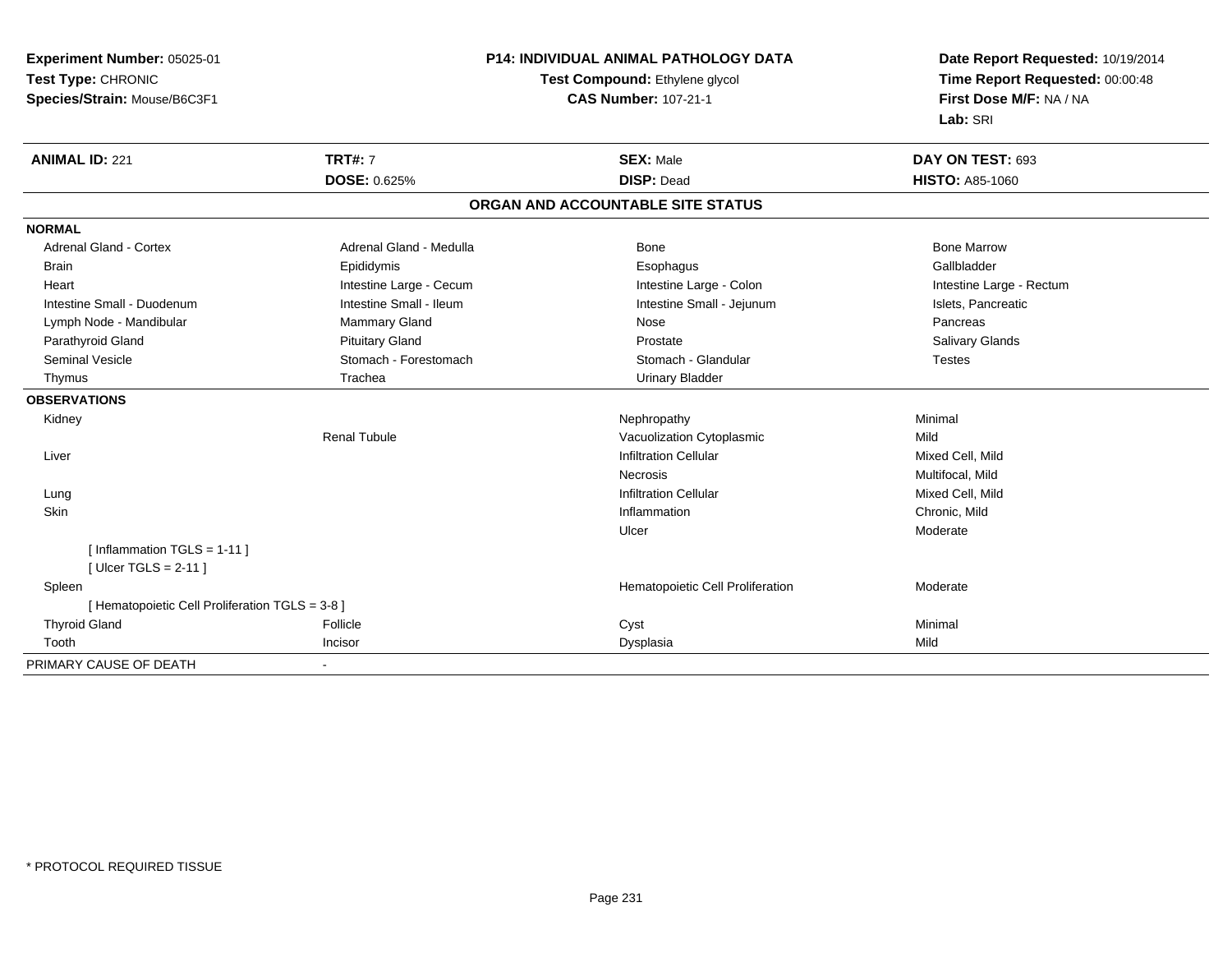**Experiment Number:** 05025-01**Test Type:** CHRONIC**Species/Strain:** Mouse/B6C3F1

## **P14: INDIVIDUAL ANIMAL PATHOLOGY DATA**

## **Test Compound:** Ethylene glycol **CAS Number:** 107-21-1

**Date Report Requested:** 10/19/2014 **Time Report Requested:** 00:00:48**First Dose M/F:** NA / NA**Lab:** SRI

| <b>ANIMAL ID: 221</b>                           | <b>TRT#: 7</b>          | <b>SEX: Male</b>                  | DAY ON TEST: 693         |
|-------------------------------------------------|-------------------------|-----------------------------------|--------------------------|
|                                                 | DOSE: 0.625%            | <b>DISP: Dead</b>                 | <b>HISTO: A85-1060</b>   |
|                                                 |                         | ORGAN AND ACCOUNTABLE SITE STATUS |                          |
| <b>NORMAL</b>                                   |                         |                                   |                          |
| <b>Adrenal Gland - Cortex</b>                   | Adrenal Gland - Medulla | Bone                              | <b>Bone Marrow</b>       |
| <b>Brain</b>                                    | Epididymis              | Esophagus                         | Gallbladder              |
| Heart                                           | Intestine Large - Cecum | Intestine Large - Colon           | Intestine Large - Rectum |
| Intestine Small - Duodenum                      | Intestine Small - Ileum | Intestine Small - Jejunum         | Islets, Pancreatic       |
| Lymph Node - Mandibular                         | <b>Mammary Gland</b>    | Nose                              | Pancreas                 |
| Parathyroid Gland                               | <b>Pituitary Gland</b>  | Prostate                          | <b>Salivary Glands</b>   |
| <b>Seminal Vesicle</b>                          | Stomach - Forestomach   | Stomach - Glandular               | Testes                   |
| Thymus                                          | Trachea                 | <b>Urinary Bladder</b>            |                          |
| <b>OBSERVATIONS</b>                             |                         |                                   |                          |
| Kidney                                          |                         | Nephropathy                       | Minimal                  |
|                                                 | <b>Renal Tubule</b>     | Vacuolization Cytoplasmic         | Mild                     |
| Liver                                           |                         | <b>Infiltration Cellular</b>      | Mixed Cell, Mild         |
|                                                 |                         | <b>Necrosis</b>                   | Multifocal, Mild         |
| Lung                                            |                         | <b>Infiltration Cellular</b>      | Mixed Cell, Mild         |
| Skin                                            |                         | Inflammation                      | Chronic, Mild            |
|                                                 |                         | Ulcer                             | Moderate                 |
| [Inflammation TGLS = $1-11$ ]                   |                         |                                   |                          |
| [Ulcer TGLS = $2-11$ ]                          |                         |                                   |                          |
| Spleen                                          |                         | Hematopoietic Cell Proliferation  | Moderate                 |
| [ Hematopoietic Cell Proliferation TGLS = 3-8 ] |                         |                                   |                          |
| <b>Thyroid Gland</b>                            | Follicle                | Cyst                              | Minimal                  |
| Tooth                                           | Incisor                 | Dysplasia                         | Mild                     |
| PRIMARY CAUSE OF DEATH                          |                         |                                   |                          |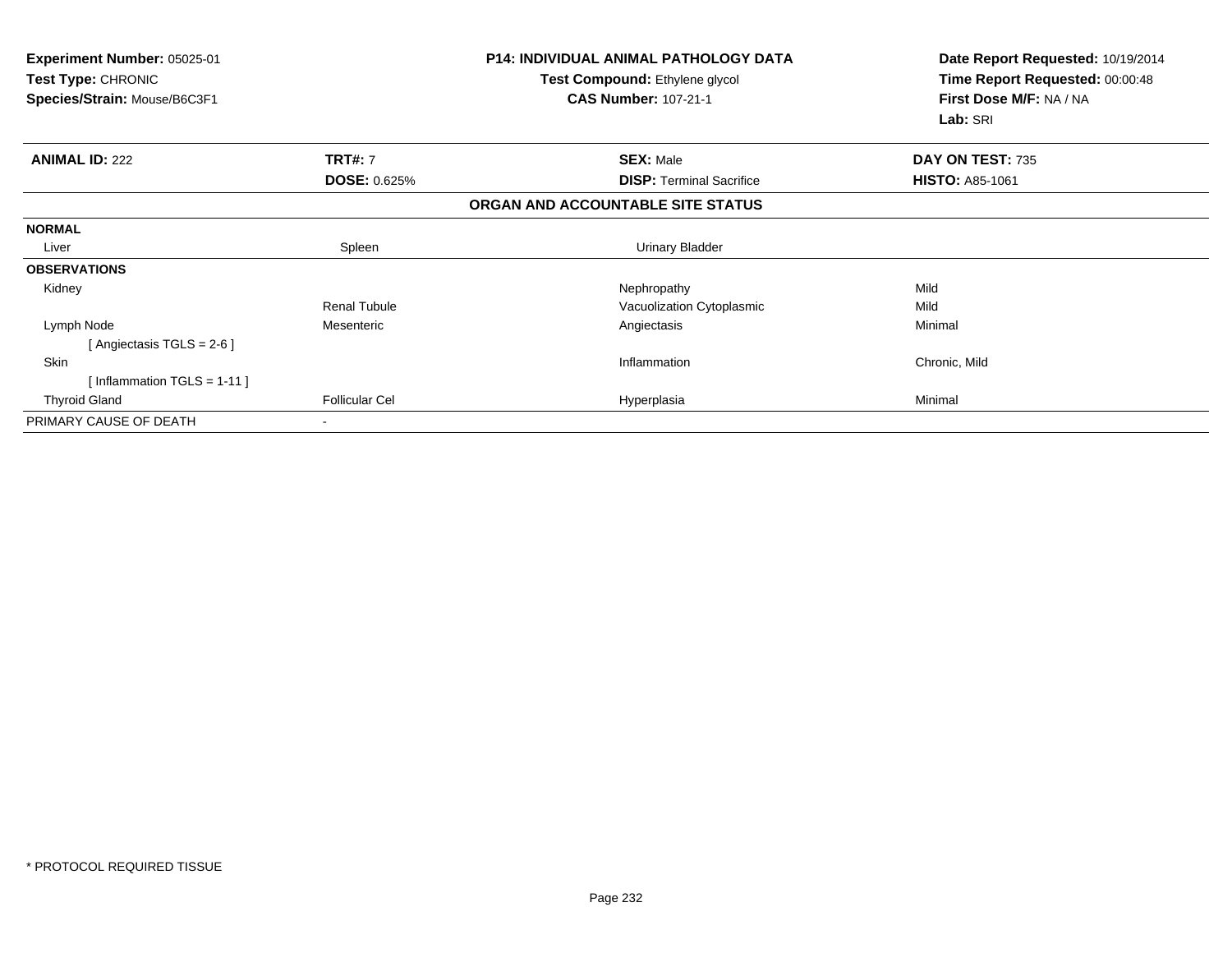| Experiment Number: 05025-01<br>Test Compound: Ethylene glycol<br><b>Test Type: CHRONIC</b><br><b>CAS Number: 107-21-1</b><br>Species/Strain: Mouse/B6C3F1 |                       | <b>P14: INDIVIDUAL ANIMAL PATHOLOGY DATA</b> | Date Report Requested: 10/19/2014<br>Time Report Requested: 00:00:48<br>First Dose M/F: NA / NA<br>Lab: SRI |
|-----------------------------------------------------------------------------------------------------------------------------------------------------------|-----------------------|----------------------------------------------|-------------------------------------------------------------------------------------------------------------|
| <b>ANIMAL ID: 222</b>                                                                                                                                     | <b>TRT#: 7</b>        | <b>SEX: Male</b>                             | DAY ON TEST: 735                                                                                            |
|                                                                                                                                                           | <b>DOSE: 0.625%</b>   | <b>DISP: Terminal Sacrifice</b>              | <b>HISTO: A85-1061</b>                                                                                      |
|                                                                                                                                                           |                       | ORGAN AND ACCOUNTABLE SITE STATUS            |                                                                                                             |
| <b>NORMAL</b>                                                                                                                                             |                       |                                              |                                                                                                             |
| Liver                                                                                                                                                     | Spleen                | <b>Urinary Bladder</b>                       |                                                                                                             |
| <b>OBSERVATIONS</b>                                                                                                                                       |                       |                                              |                                                                                                             |
| Kidney                                                                                                                                                    |                       | Nephropathy                                  | Mild                                                                                                        |
|                                                                                                                                                           | <b>Renal Tubule</b>   | Vacuolization Cytoplasmic                    | Mild                                                                                                        |
| Lymph Node                                                                                                                                                | Mesenteric            | Angiectasis                                  | Minimal                                                                                                     |
| [Angiectasis TGLS = $2-6$ ]                                                                                                                               |                       |                                              |                                                                                                             |
| Skin                                                                                                                                                      |                       | Inflammation                                 | Chronic, Mild                                                                                               |
| [Inflammation TGLS = $1-11$ ]                                                                                                                             |                       |                                              |                                                                                                             |
| <b>Thyroid Gland</b>                                                                                                                                      | <b>Follicular Cel</b> | Hyperplasia                                  | Minimal                                                                                                     |
| PRIMARY CAUSE OF DEATH                                                                                                                                    |                       |                                              |                                                                                                             |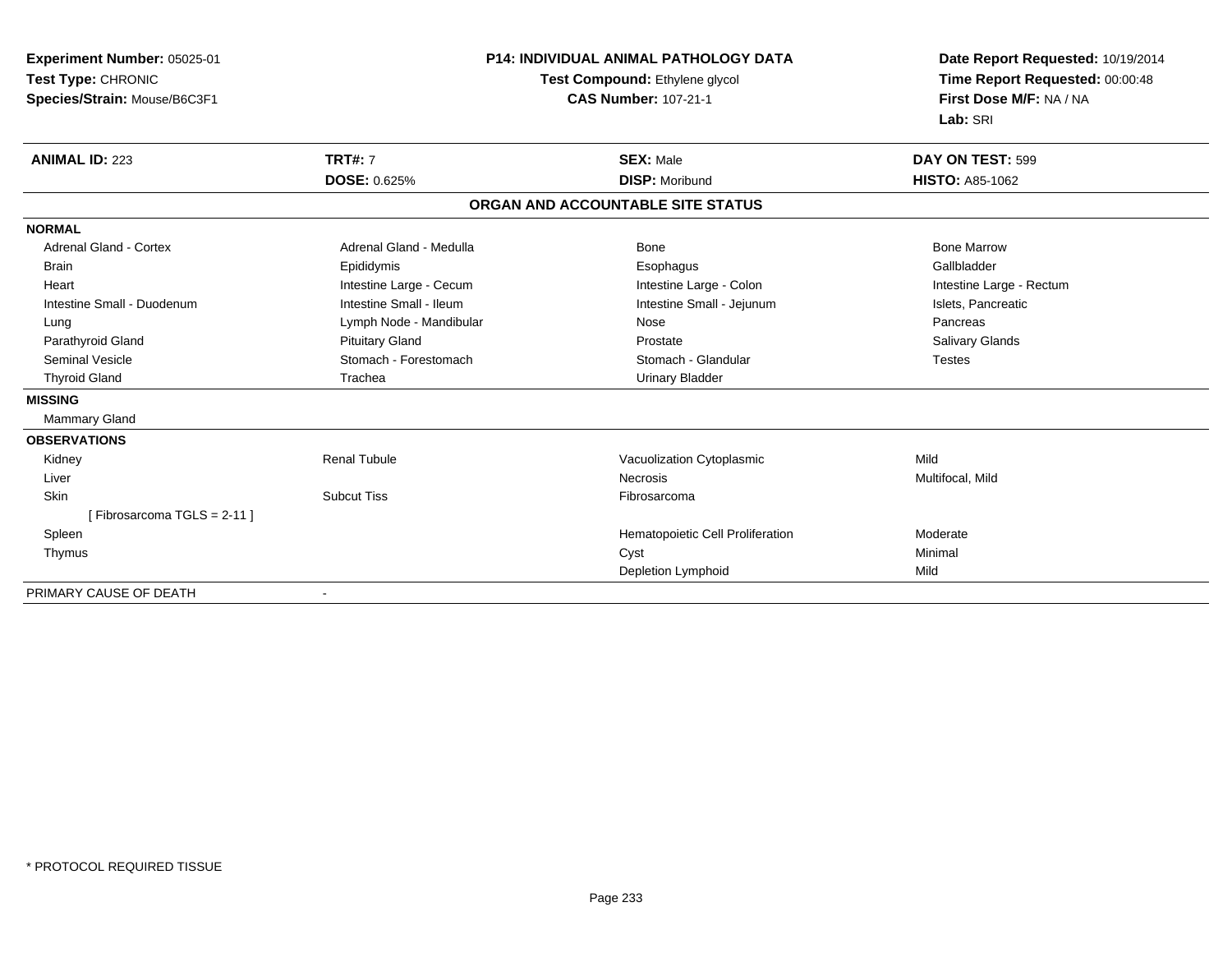| Experiment Number: 05025-01   | <b>P14: INDIVIDUAL ANIMAL PATHOLOGY DATA</b><br>Test Compound: Ethylene glycol |                                   | Date Report Requested: 10/19/2014<br>Time Report Requested: 00:00:48 |  |
|-------------------------------|--------------------------------------------------------------------------------|-----------------------------------|----------------------------------------------------------------------|--|
| Test Type: CHRONIC            |                                                                                |                                   |                                                                      |  |
| Species/Strain: Mouse/B6C3F1  |                                                                                | <b>CAS Number: 107-21-1</b>       | First Dose M/F: NA / NA                                              |  |
|                               |                                                                                |                                   | Lab: SRI                                                             |  |
| <b>ANIMAL ID: 223</b>         | <b>TRT#: 7</b>                                                                 | <b>SEX: Male</b>                  | DAY ON TEST: 599                                                     |  |
|                               | DOSE: 0.625%                                                                   | <b>DISP: Moribund</b>             | <b>HISTO: A85-1062</b>                                               |  |
|                               |                                                                                | ORGAN AND ACCOUNTABLE SITE STATUS |                                                                      |  |
| <b>NORMAL</b>                 |                                                                                |                                   |                                                                      |  |
| <b>Adrenal Gland - Cortex</b> | Adrenal Gland - Medulla                                                        | Bone                              | <b>Bone Marrow</b>                                                   |  |
| <b>Brain</b>                  | Epididymis                                                                     | Esophagus                         | Gallbladder                                                          |  |
| Heart                         | Intestine Large - Cecum                                                        | Intestine Large - Colon           | Intestine Large - Rectum                                             |  |
| Intestine Small - Duodenum    | Intestine Small - Ileum                                                        | Intestine Small - Jejunum         | Islets, Pancreatic                                                   |  |
| Lung                          | Lymph Node - Mandibular                                                        | Nose                              | Pancreas                                                             |  |
| Parathyroid Gland             | <b>Pituitary Gland</b>                                                         | Prostate                          | Salivary Glands                                                      |  |
| <b>Seminal Vesicle</b>        | Stomach - Forestomach                                                          | Stomach - Glandular               | <b>Testes</b>                                                        |  |
| <b>Thyroid Gland</b>          | Trachea                                                                        | <b>Urinary Bladder</b>            |                                                                      |  |
| <b>MISSING</b>                |                                                                                |                                   |                                                                      |  |
| Mammary Gland                 |                                                                                |                                   |                                                                      |  |
| <b>OBSERVATIONS</b>           |                                                                                |                                   |                                                                      |  |
| Kidney                        | <b>Renal Tubule</b>                                                            | Vacuolization Cytoplasmic         | Mild                                                                 |  |
| Liver                         |                                                                                | <b>Necrosis</b>                   | Multifocal, Mild                                                     |  |
| Skin                          | <b>Subcut Tiss</b>                                                             | Fibrosarcoma                      |                                                                      |  |
| [Fibrosarcoma TGLS = $2-11$ ] |                                                                                |                                   |                                                                      |  |
| Spleen                        |                                                                                | Hematopoietic Cell Proliferation  | Moderate                                                             |  |
| Thymus                        |                                                                                | Cyst                              | Minimal                                                              |  |
|                               |                                                                                | Depletion Lymphoid                | Mild                                                                 |  |

-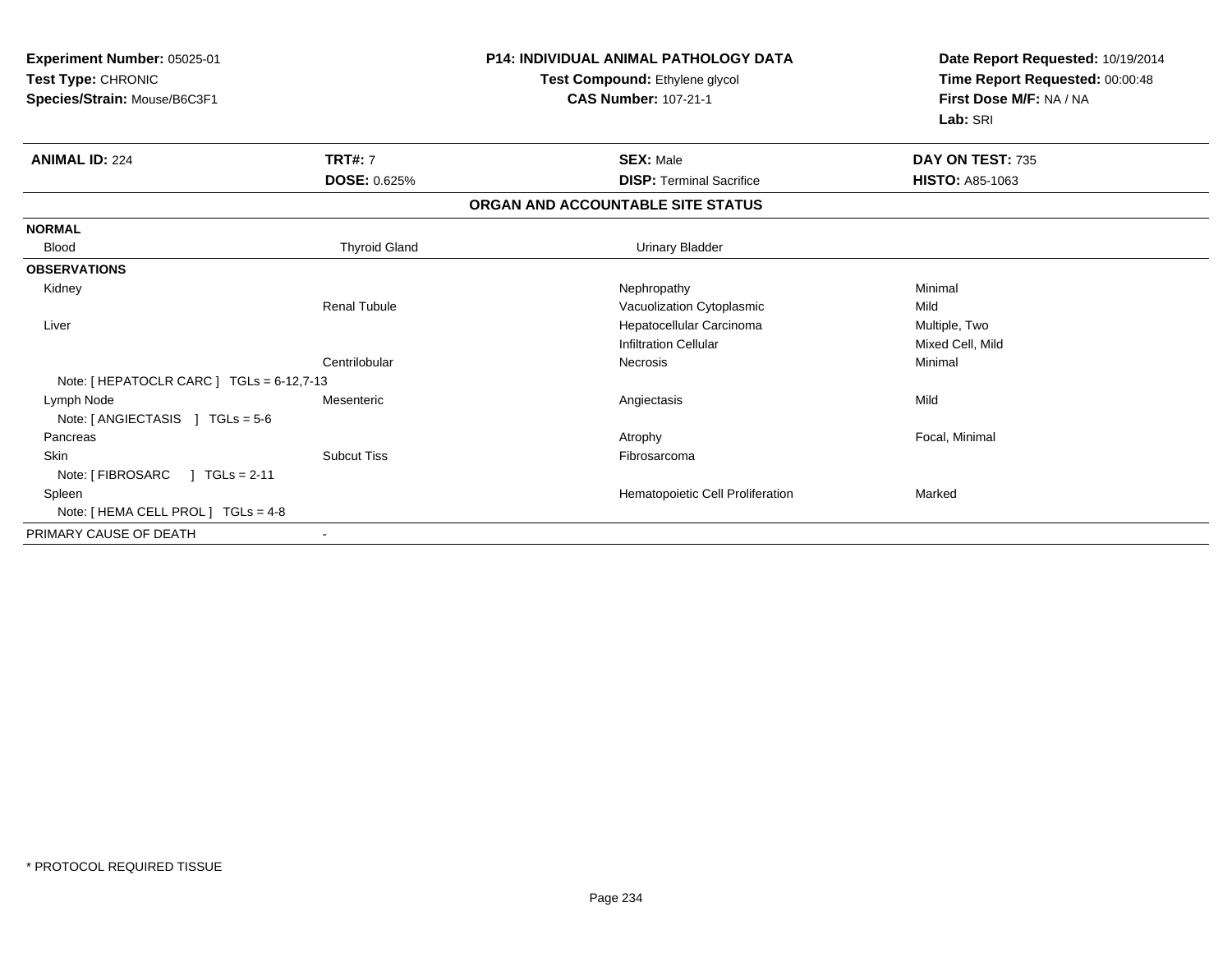| Experiment Number: 05025-01<br>Test Type: CHRONIC<br>Species/Strain: Mouse/B6C3F1 |                      | <b>P14: INDIVIDUAL ANIMAL PATHOLOGY DATA</b><br>Test Compound: Ethylene glycol<br><b>CAS Number: 107-21-1</b> | Date Report Requested: 10/19/2014<br>Time Report Requested: 00:00:48<br>First Dose M/F: NA / NA<br>Lab: SRI |  |
|-----------------------------------------------------------------------------------|----------------------|---------------------------------------------------------------------------------------------------------------|-------------------------------------------------------------------------------------------------------------|--|
| <b>ANIMAL ID: 224</b>                                                             | <b>TRT#: 7</b>       | <b>SEX: Male</b>                                                                                              | DAY ON TEST: 735                                                                                            |  |
|                                                                                   | <b>DOSE: 0.625%</b>  | <b>DISP:</b> Terminal Sacrifice                                                                               | <b>HISTO: A85-1063</b>                                                                                      |  |
|                                                                                   |                      | ORGAN AND ACCOUNTABLE SITE STATUS                                                                             |                                                                                                             |  |
| <b>NORMAL</b>                                                                     |                      |                                                                                                               |                                                                                                             |  |
| <b>Blood</b>                                                                      | <b>Thyroid Gland</b> | <b>Urinary Bladder</b>                                                                                        |                                                                                                             |  |
| <b>OBSERVATIONS</b>                                                               |                      |                                                                                                               |                                                                                                             |  |
| Kidney                                                                            |                      | Nephropathy                                                                                                   | Minimal                                                                                                     |  |
|                                                                                   | <b>Renal Tubule</b>  | Vacuolization Cytoplasmic                                                                                     | Mild                                                                                                        |  |
| Liver                                                                             |                      | Hepatocellular Carcinoma                                                                                      | Multiple, Two                                                                                               |  |
|                                                                                   |                      | <b>Infiltration Cellular</b>                                                                                  | Mixed Cell, Mild                                                                                            |  |
|                                                                                   | Centrilobular        | Necrosis                                                                                                      | Minimal                                                                                                     |  |
| Note: [ HEPATOCLR CARC ] TGLs = 6-12,7-13                                         |                      |                                                                                                               |                                                                                                             |  |
| Lymph Node                                                                        | Mesenteric           | Angiectasis                                                                                                   | Mild                                                                                                        |  |
| Note: $[$ ANGIECTASIS $]$ TGLs = 5-6                                              |                      |                                                                                                               |                                                                                                             |  |
| Pancreas                                                                          |                      | Atrophy                                                                                                       | Focal, Minimal                                                                                              |  |
| <b>Skin</b>                                                                       | <b>Subcut Tiss</b>   | Fibrosarcoma                                                                                                  |                                                                                                             |  |
| Note: [ FIBROSARC<br>$1 TGLs = 2-11$                                              |                      |                                                                                                               |                                                                                                             |  |
| Spleen                                                                            |                      | Hematopoietic Cell Proliferation                                                                              | Marked                                                                                                      |  |
| Note: [ HEMA CELL PROL ] TGLs = 4-8                                               |                      |                                                                                                               |                                                                                                             |  |
| PRIMARY CAUSE OF DEATH                                                            |                      |                                                                                                               |                                                                                                             |  |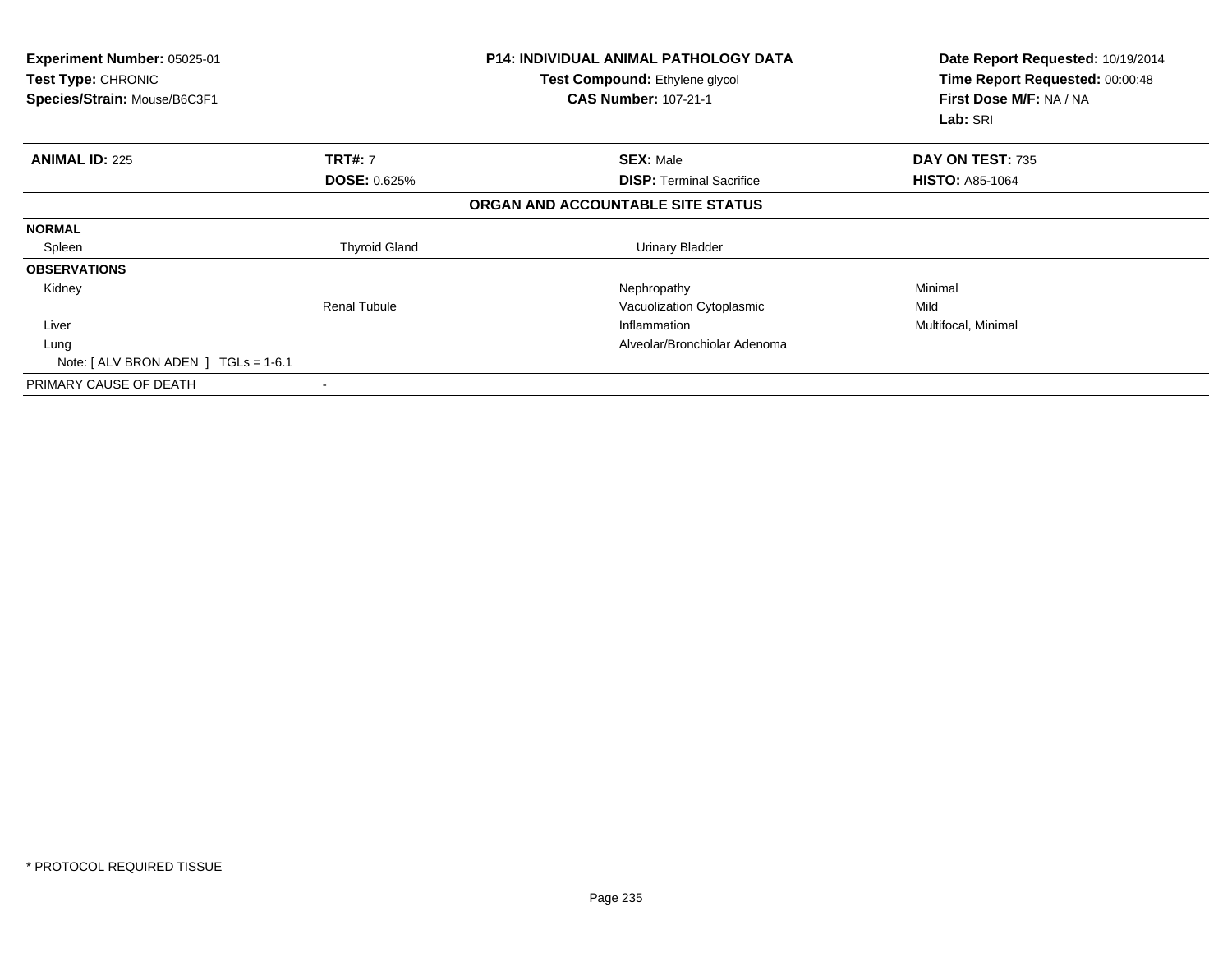| <b>Experiment Number: 05025-01</b><br>Test Type: CHRONIC<br>Species/Strain: Mouse/B6C3F1 |                          | <b>P14: INDIVIDUAL ANIMAL PATHOLOGY DATA</b><br>Test Compound: Ethylene glycol<br><b>CAS Number: 107-21-1</b> | Date Report Requested: 10/19/2014<br>Time Report Requested: 00:00:48<br>First Dose M/F: NA / NA<br>Lab: SRI |
|------------------------------------------------------------------------------------------|--------------------------|---------------------------------------------------------------------------------------------------------------|-------------------------------------------------------------------------------------------------------------|
| <b>ANIMAL ID: 225</b>                                                                    | <b>TRT#: 7</b>           | <b>SEX: Male</b>                                                                                              | DAY ON TEST: 735                                                                                            |
|                                                                                          | <b>DOSE: 0.625%</b>      | <b>DISP:</b> Terminal Sacrifice                                                                               | <b>HISTO: A85-1064</b>                                                                                      |
|                                                                                          |                          | ORGAN AND ACCOUNTABLE SITE STATUS                                                                             |                                                                                                             |
| <b>NORMAL</b>                                                                            |                          |                                                                                                               |                                                                                                             |
| Spleen                                                                                   | <b>Thyroid Gland</b>     | Urinary Bladder                                                                                               |                                                                                                             |
| <b>OBSERVATIONS</b>                                                                      |                          |                                                                                                               |                                                                                                             |
| Kidney                                                                                   |                          | Nephropathy                                                                                                   | Minimal                                                                                                     |
|                                                                                          | <b>Renal Tubule</b>      | Vacuolization Cytoplasmic                                                                                     | Mild                                                                                                        |
| Liver                                                                                    |                          | Inflammation                                                                                                  | Multifocal, Minimal                                                                                         |
| Lung                                                                                     |                          | Alveolar/Bronchiolar Adenoma                                                                                  |                                                                                                             |
| Note: $\lceil$ ALV BRON ADEN $\lceil$ TGLs = 1-6.1                                       |                          |                                                                                                               |                                                                                                             |
| PRIMARY CAUSE OF DEATH                                                                   | $\overline{\phantom{a}}$ |                                                                                                               |                                                                                                             |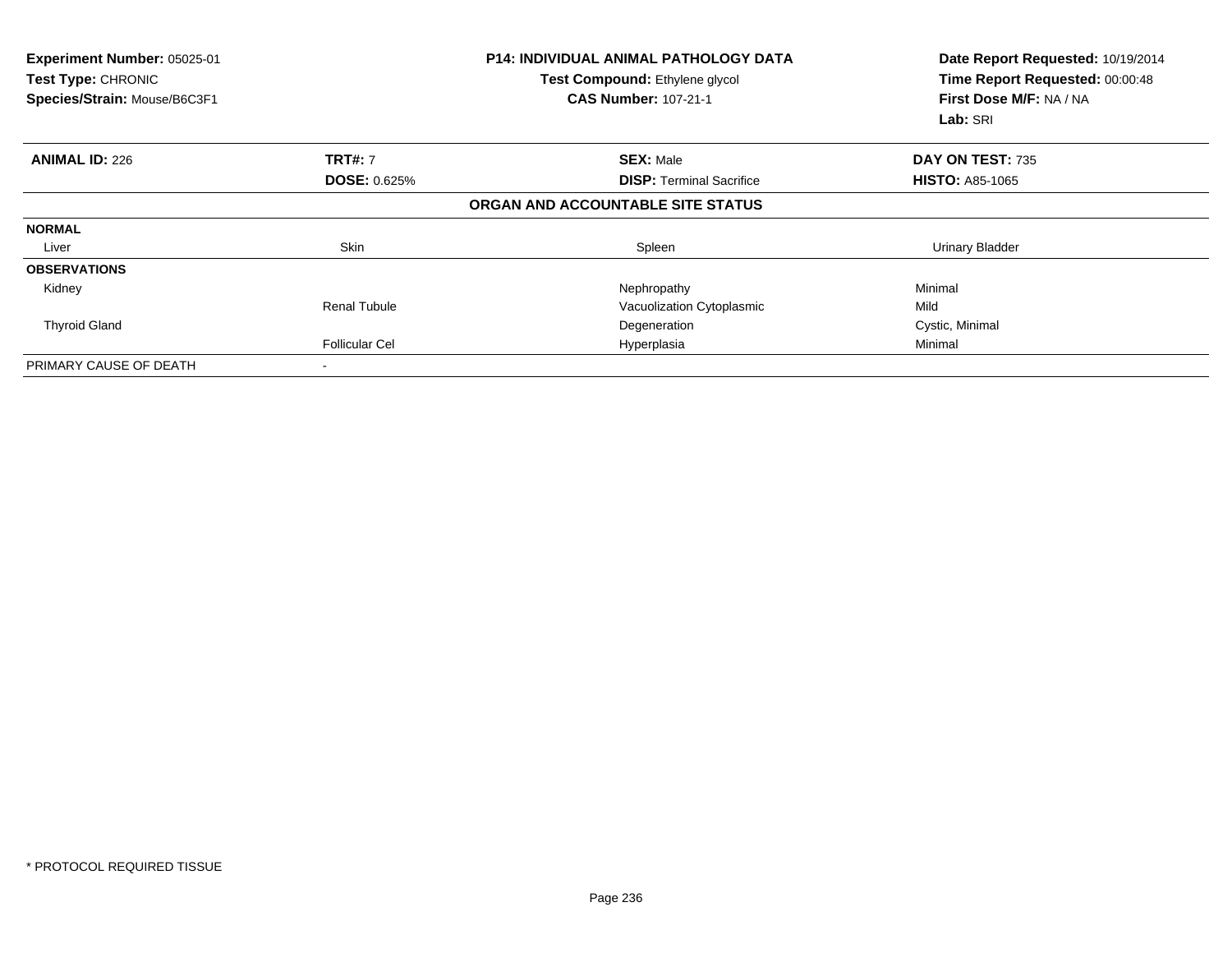| <b>Experiment Number: 05025-01</b><br>Test Type: CHRONIC<br>Species/Strain: Mouse/B6C3F1 |                       | <b>P14: INDIVIDUAL ANIMAL PATHOLOGY DATA</b><br>Test Compound: Ethylene glycol<br><b>CAS Number: 107-21-1</b> | Date Report Requested: 10/19/2014<br>Time Report Requested: 00:00:48<br>First Dose M/F: NA / NA<br>Lab: SRI |  |
|------------------------------------------------------------------------------------------|-----------------------|---------------------------------------------------------------------------------------------------------------|-------------------------------------------------------------------------------------------------------------|--|
| <b>ANIMAL ID: 226</b>                                                                    | <b>TRT#: 7</b>        | <b>SEX: Male</b>                                                                                              | DAY ON TEST: 735                                                                                            |  |
|                                                                                          | <b>DOSE: 0.625%</b>   | <b>DISP: Terminal Sacrifice</b>                                                                               | <b>HISTO: A85-1065</b>                                                                                      |  |
|                                                                                          |                       | ORGAN AND ACCOUNTABLE SITE STATUS                                                                             |                                                                                                             |  |
| <b>NORMAL</b>                                                                            |                       |                                                                                                               |                                                                                                             |  |
| Liver                                                                                    | <b>Skin</b>           | Spleen                                                                                                        | <b>Urinary Bladder</b>                                                                                      |  |
| <b>OBSERVATIONS</b>                                                                      |                       |                                                                                                               |                                                                                                             |  |
| Kidney                                                                                   |                       | Nephropathy                                                                                                   | Minimal                                                                                                     |  |
|                                                                                          | Renal Tubule          | Vacuolization Cytoplasmic                                                                                     | Mild                                                                                                        |  |
| <b>Thyroid Gland</b>                                                                     |                       | Degeneration                                                                                                  | Cystic, Minimal                                                                                             |  |
|                                                                                          | <b>Follicular Cel</b> | Hyperplasia                                                                                                   | Minimal                                                                                                     |  |
| PRIMARY CAUSE OF DEATH                                                                   |                       |                                                                                                               |                                                                                                             |  |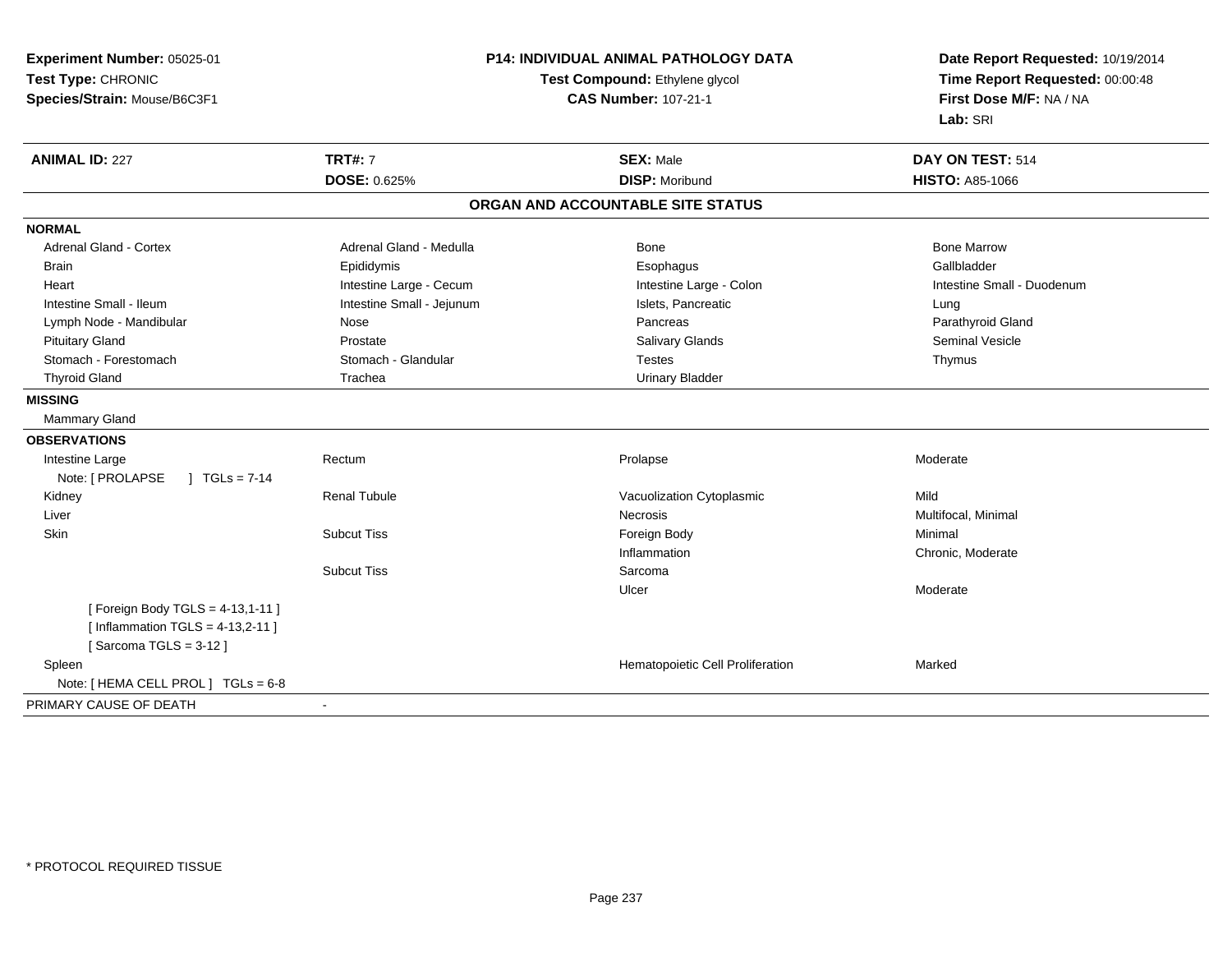**Experiment Number:** 05025-01**Test Type:** CHRONIC **Species/Strain:** Mouse/B6C3F1**P14: INDIVIDUAL ANIMAL PATHOLOGY DATATest Compound:** Ethylene glycol **CAS Number:** 107-21-1**Date Report Requested:** 10/19/2014**Time Report Requested:** 00:00:48**First Dose M/F:** NA / NA**Lab:** SRI**ANIMAL ID:** 227**TRT#:** 7 **SEX:** Male **DAY ON TEST:** 514 **DOSE:** 0.625% **DISP:** Moribund **HISTO:** A85-1066 **ORGAN AND ACCOUNTABLE SITE STATUSNORMALAdrenal Gland - Cortex** Adrenal Gland - Medulla **Bone Adrenal Gland - Cortex Adrenal Gland - Cortex Adrenal Gland - Medulla** Bone Marrow Gallbladder Brain Epididymis Epididymis and the Brook of the Brook of the Brook of the Brook of the Gallbladder of the Gallbladder Heart **Intestine Large - Cecum** Intestine Large - Cecum Intestine Large - Colon Intestine Small - Duodenum Intestine Small - Ileum **Intestine Small - Intestine Small - Jejunum** Intestine Small - Islets, Pancreatic **Intestine Small** - Lung Parathyroid Gland Lymph Node - Mandibular Nose Pancreas Pancreas Pancreas Pancreas Pancreas Pancreas Pancreas Pancreas Pancreas Pituitary Gland Prostate Salivary Glands Seminal VesicleStomach - Forestomach **Stomach - Stomach - Glandular** Testes The Testes Thymus - Testes Thymus Thyroid Gland Trachea Trachea Trachea Urinary Bladder **MISSING** Mammary Gland**OBSERVATIONS** Intestine Largee Rectum m and the settlement of the Prolapse and the Moderate Moderate Moderate and the Moderate of the Moderate of the Moderate of the Moderate of the Moderate of the Moderate of the Moderate of the Moderate of the Moderate of th Note: [ PROLAPSE ] TGLs = 7-14 Kidney Renal TubuleVacuolization Cytoplasmic<br>
Necrosis Multi Liverr and the contract of the contract of the contract of the contract of the contract of the contract of the contract of the contract of the contract of the contract of the contract of the contract of the contract of the cont Multifocal, Minimal **Skin** n and the Subcut Tiss the Subcut of the Subcut Tiss of the Subcut Tiss of the Subcut Tiss of the Subcut Tiss o Inflammation Chronic, Moderate Subcut Tiss SarcomaUlcer Moderate[ Foreign Body TGLS = 4-13,1-11 ] $[$  Inflammation TGLS = 4-13,2-11  $]$  $[$  Sarcoma TGLS = 3-12  $]$  SpleenHematopoietic Cell Proliferation Marked Note: [ HEMA CELL PROL ] TGLs = 6-8 PRIMARY CAUSE OF DEATH-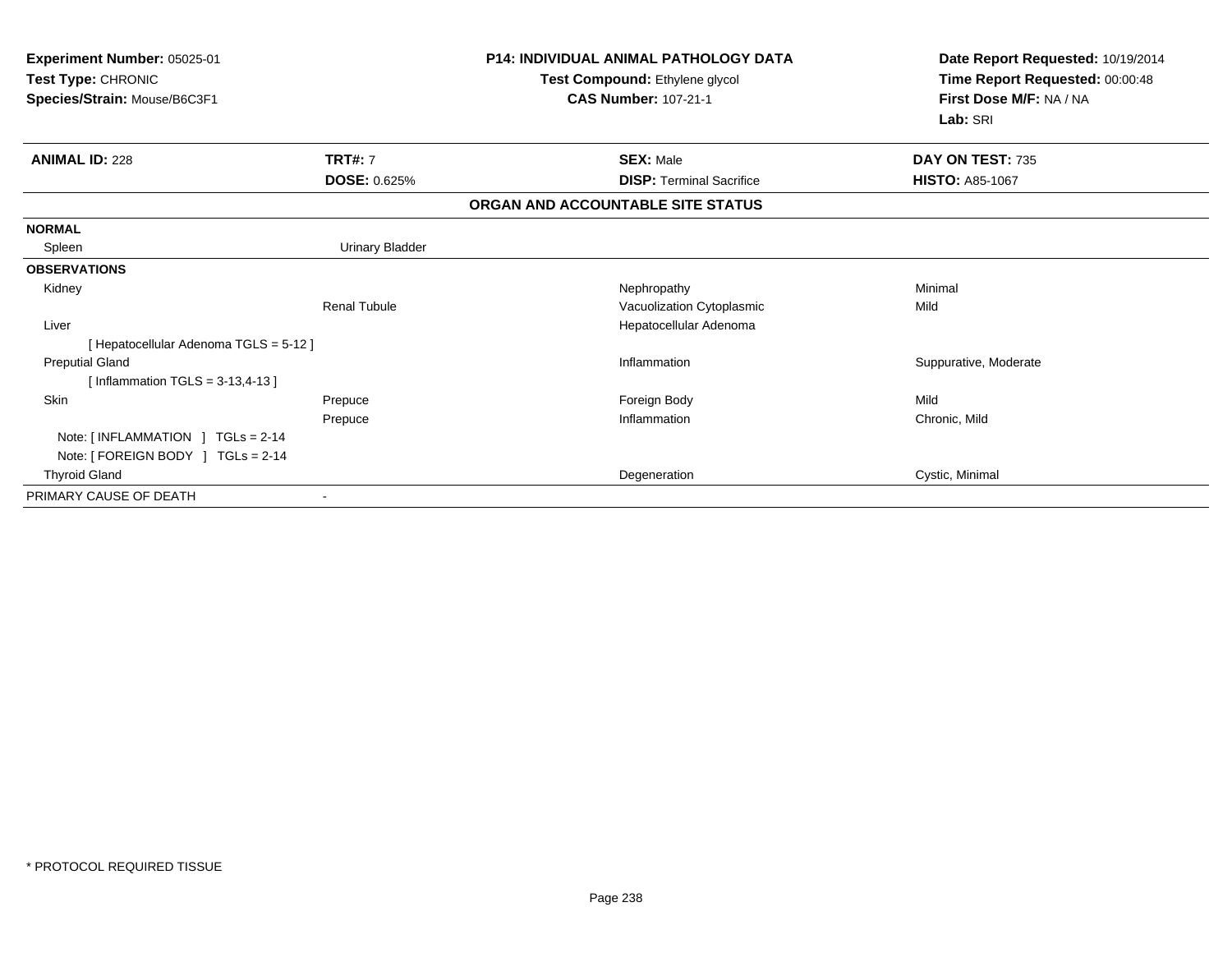| Experiment Number: 05025-01<br>Test Type: CHRONIC<br>Species/Strain: Mouse/B6C3F1      |                        | <b>P14: INDIVIDUAL ANIMAL PATHOLOGY DATA</b><br>Test Compound: Ethylene glycol<br><b>CAS Number: 107-21-1</b> | Date Report Requested: 10/19/2014<br>Time Report Requested: 00:00:48<br>First Dose M/F: NA / NA<br>Lab: SRI |  |
|----------------------------------------------------------------------------------------|------------------------|---------------------------------------------------------------------------------------------------------------|-------------------------------------------------------------------------------------------------------------|--|
| <b>ANIMAL ID: 228</b>                                                                  | <b>TRT#: 7</b>         | <b>SEX: Male</b>                                                                                              | DAY ON TEST: 735                                                                                            |  |
|                                                                                        | <b>DOSE: 0.625%</b>    | <b>DISP: Terminal Sacrifice</b>                                                                               | <b>HISTO: A85-1067</b>                                                                                      |  |
|                                                                                        |                        | ORGAN AND ACCOUNTABLE SITE STATUS                                                                             |                                                                                                             |  |
| <b>NORMAL</b>                                                                          |                        |                                                                                                               |                                                                                                             |  |
| Spleen                                                                                 | <b>Urinary Bladder</b> |                                                                                                               |                                                                                                             |  |
| <b>OBSERVATIONS</b>                                                                    |                        |                                                                                                               |                                                                                                             |  |
| Kidney                                                                                 |                        | Nephropathy                                                                                                   | Minimal                                                                                                     |  |
|                                                                                        | <b>Renal Tubule</b>    | Vacuolization Cytoplasmic                                                                                     | Mild                                                                                                        |  |
| Liver                                                                                  |                        | Hepatocellular Adenoma                                                                                        |                                                                                                             |  |
| [ Hepatocellular Adenoma TGLS = 5-12 ]                                                 |                        |                                                                                                               |                                                                                                             |  |
| <b>Preputial Gland</b>                                                                 |                        | Inflammation                                                                                                  | Suppurative, Moderate                                                                                       |  |
| [Inflammation TGLS = $3-13,4-13$ ]                                                     |                        |                                                                                                               |                                                                                                             |  |
| Skin                                                                                   | Prepuce                | Foreign Body                                                                                                  | Mild                                                                                                        |  |
|                                                                                        | Prepuce                | Inflammation                                                                                                  | Chronic, Mild                                                                                               |  |
| Note: $\lceil$ INFLAMMATION $\lceil$ TGLs = 2-14<br>Note: [ FOREIGN BODY ] TGLs = 2-14 |                        |                                                                                                               |                                                                                                             |  |
| <b>Thyroid Gland</b>                                                                   |                        | Degeneration                                                                                                  | Cystic, Minimal                                                                                             |  |
| PRIMARY CAUSE OF DEATH                                                                 |                        |                                                                                                               |                                                                                                             |  |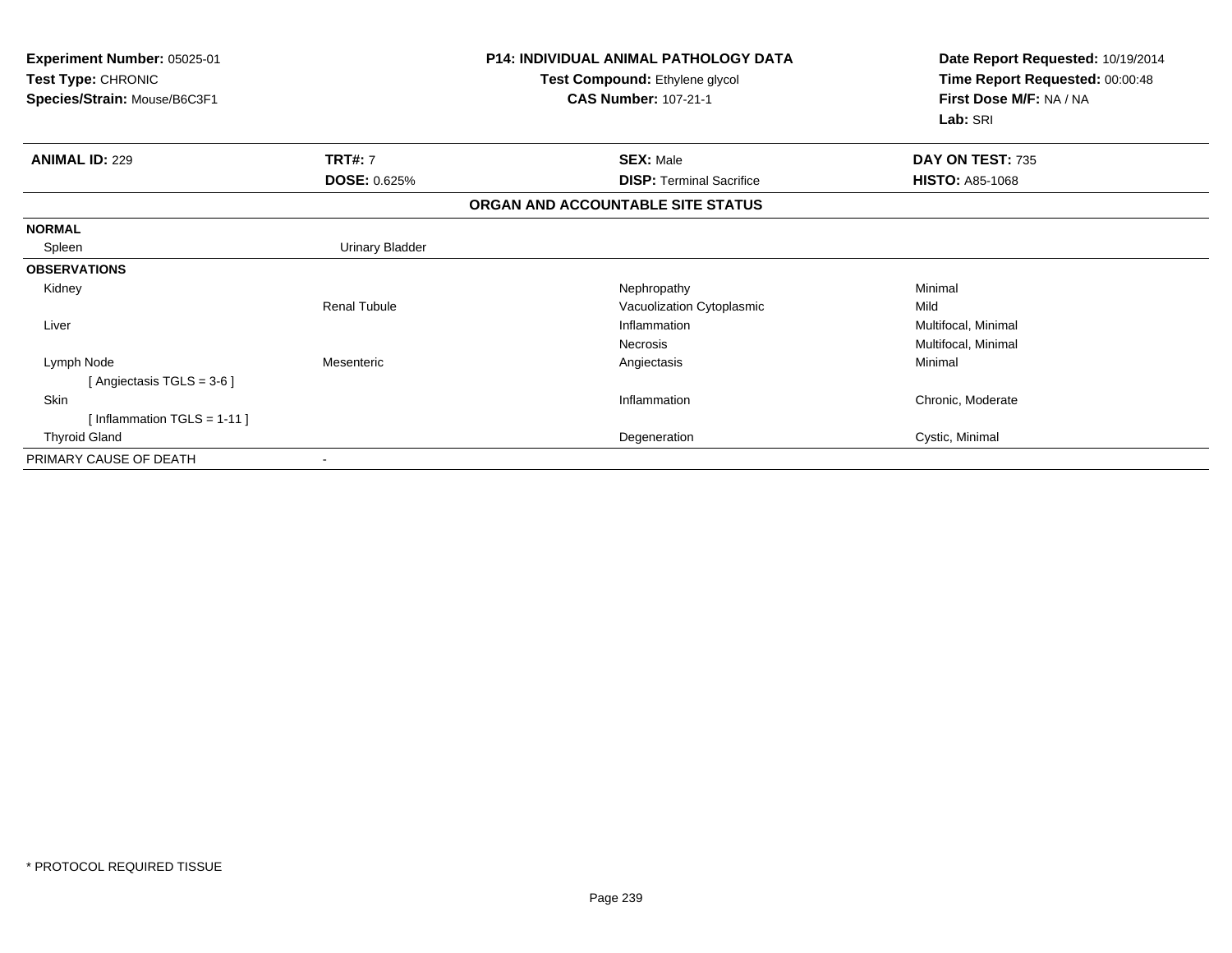| <b>Experiment Number: 05025-01</b><br>Test Type: CHRONIC<br>Species/Strain: Mouse/B6C3F1 |                     | <b>P14: INDIVIDUAL ANIMAL PATHOLOGY DATA</b><br>Test Compound: Ethylene glycol<br><b>CAS Number: 107-21-1</b> | Date Report Requested: 10/19/2014<br>Time Report Requested: 00:00:48<br>First Dose M/F: NA / NA<br>Lab: SRI |
|------------------------------------------------------------------------------------------|---------------------|---------------------------------------------------------------------------------------------------------------|-------------------------------------------------------------------------------------------------------------|
| <b>ANIMAL ID: 229</b>                                                                    | <b>TRT#: 7</b>      | <b>SEX: Male</b>                                                                                              | DAY ON TEST: 735                                                                                            |
|                                                                                          | <b>DOSE: 0.625%</b> | <b>DISP: Terminal Sacrifice</b>                                                                               | <b>HISTO: A85-1068</b>                                                                                      |
|                                                                                          |                     | ORGAN AND ACCOUNTABLE SITE STATUS                                                                             |                                                                                                             |
| <b>NORMAL</b>                                                                            |                     |                                                                                                               |                                                                                                             |
| Spleen                                                                                   | Urinary Bladder     |                                                                                                               |                                                                                                             |
| <b>OBSERVATIONS</b>                                                                      |                     |                                                                                                               |                                                                                                             |
| Kidney                                                                                   |                     | Nephropathy                                                                                                   | Minimal                                                                                                     |
|                                                                                          | <b>Renal Tubule</b> | Vacuolization Cytoplasmic                                                                                     | Mild                                                                                                        |
| Liver                                                                                    |                     | Inflammation                                                                                                  | Multifocal, Minimal                                                                                         |
|                                                                                          |                     | <b>Necrosis</b>                                                                                               | Multifocal, Minimal                                                                                         |
| Lymph Node                                                                               | Mesenteric          | Angiectasis                                                                                                   | Minimal                                                                                                     |
| [Angiectasis TGLS = $3-6$ ]                                                              |                     |                                                                                                               |                                                                                                             |
| Skin                                                                                     |                     | Inflammation                                                                                                  | Chronic, Moderate                                                                                           |
| [Inflammation TGLS = $1-11$ ]                                                            |                     |                                                                                                               |                                                                                                             |
| <b>Thyroid Gland</b>                                                                     |                     | Degeneration                                                                                                  | Cystic, Minimal                                                                                             |
| PRIMARY CAUSE OF DEATH                                                                   |                     |                                                                                                               |                                                                                                             |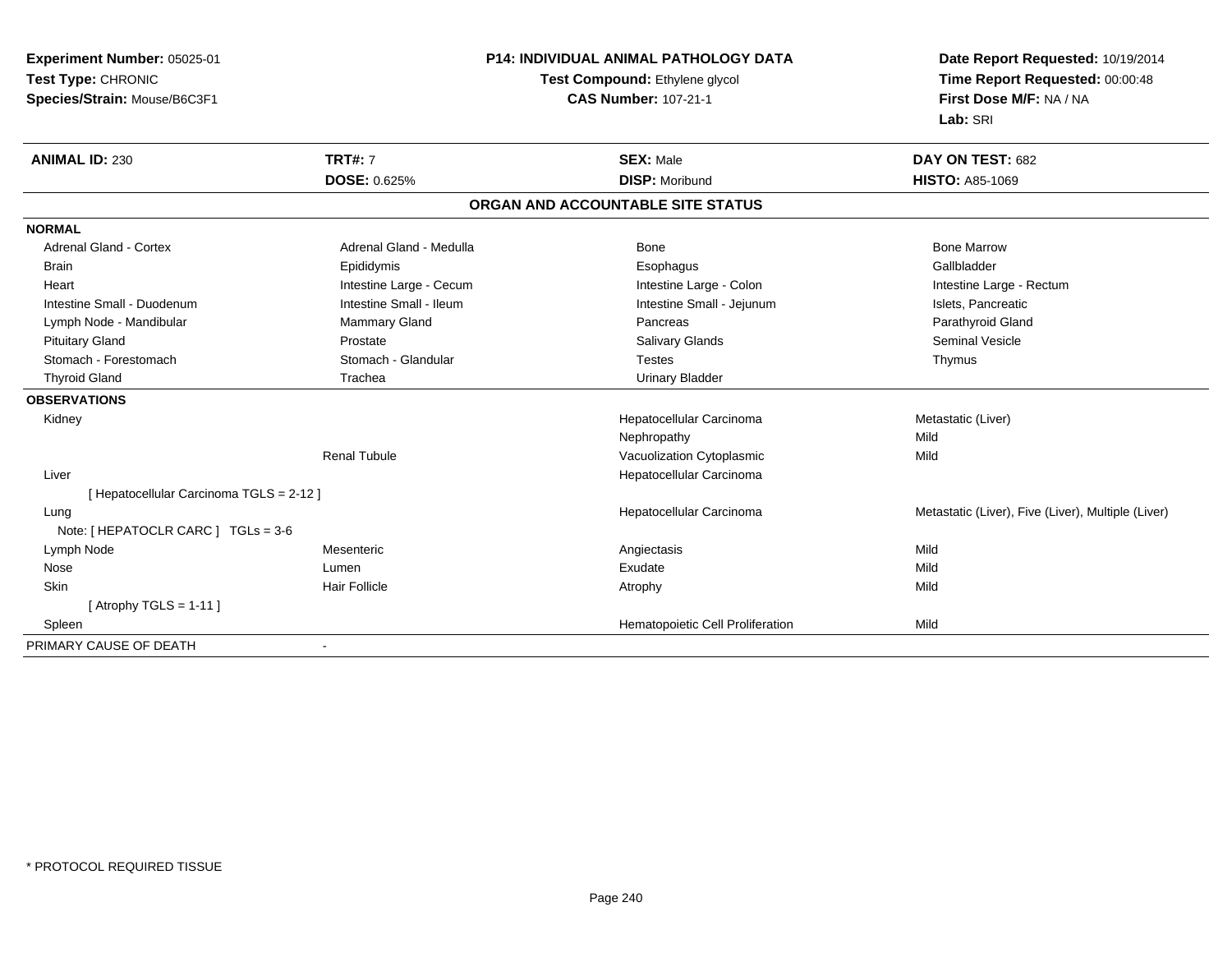**Experiment Number:** 05025-01**Test Type:** CHRONIC**Species/Strain:** Mouse/B6C3F1

## **P14: INDIVIDUAL ANIMAL PATHOLOGY DATA**

## **Test Compound:** Ethylene glycol **CAS Number:** 107-21-1

**Date Report Requested:** 10/19/2014**Time Report Requested:** 00:00:48**First Dose M/F:** NA / NA**Lab:** SRI

| <b>ANIMAL ID: 230</b>                  | <b>TRT#: 7</b>          | <b>SEX: Male</b>                  | DAY ON TEST: 682                                   |
|----------------------------------------|-------------------------|-----------------------------------|----------------------------------------------------|
|                                        | <b>DOSE: 0.625%</b>     | <b>DISP: Moribund</b>             | <b>HISTO: A85-1069</b>                             |
|                                        |                         | ORGAN AND ACCOUNTABLE SITE STATUS |                                                    |
| <b>NORMAL</b>                          |                         |                                   |                                                    |
| <b>Adrenal Gland - Cortex</b>          | Adrenal Gland - Medulla | <b>Bone</b>                       | <b>Bone Marrow</b>                                 |
| <b>Brain</b>                           | Epididymis              | Esophagus                         | Gallbladder                                        |
| Heart                                  | Intestine Large - Cecum | Intestine Large - Colon           | Intestine Large - Rectum                           |
| Intestine Small - Duodenum             | Intestine Small - Ileum | Intestine Small - Jejunum         | Islets, Pancreatic                                 |
| Lymph Node - Mandibular                | Mammary Gland           | Pancreas                          | Parathyroid Gland                                  |
| <b>Pituitary Gland</b>                 | Prostate                | <b>Salivary Glands</b>            | <b>Seminal Vesicle</b>                             |
| Stomach - Forestomach                  | Stomach - Glandular     | <b>Testes</b>                     | Thymus                                             |
| <b>Thyroid Gland</b>                   | Trachea                 | <b>Urinary Bladder</b>            |                                                    |
| <b>OBSERVATIONS</b>                    |                         |                                   |                                                    |
| Kidney                                 |                         | Hepatocellular Carcinoma          | Metastatic (Liver)                                 |
|                                        |                         | Nephropathy                       | Mild                                               |
|                                        | <b>Renal Tubule</b>     | Vacuolization Cytoplasmic         | Mild                                               |
| Liver                                  |                         | Hepatocellular Carcinoma          |                                                    |
| [Hepatocellular Carcinoma TGLS = 2-12] |                         |                                   |                                                    |
| Lung                                   |                         | Hepatocellular Carcinoma          | Metastatic (Liver), Five (Liver), Multiple (Liver) |
| Note: $[HEPATOCLR CARC] TGLs = 3-6$    |                         |                                   |                                                    |
| Lymph Node                             | Mesenteric              | Angiectasis                       | Mild                                               |
| Nose                                   | Lumen                   | Exudate                           | Mild                                               |
| Skin                                   | <b>Hair Follicle</b>    | Atrophy                           | Mild                                               |
| [Atrophy TGLS = $1-11$ ]               |                         |                                   |                                                    |
| Spleen                                 |                         | Hematopoietic Cell Proliferation  | Mild                                               |
| PRIMARY CAUSE OF DEATH                 |                         |                                   |                                                    |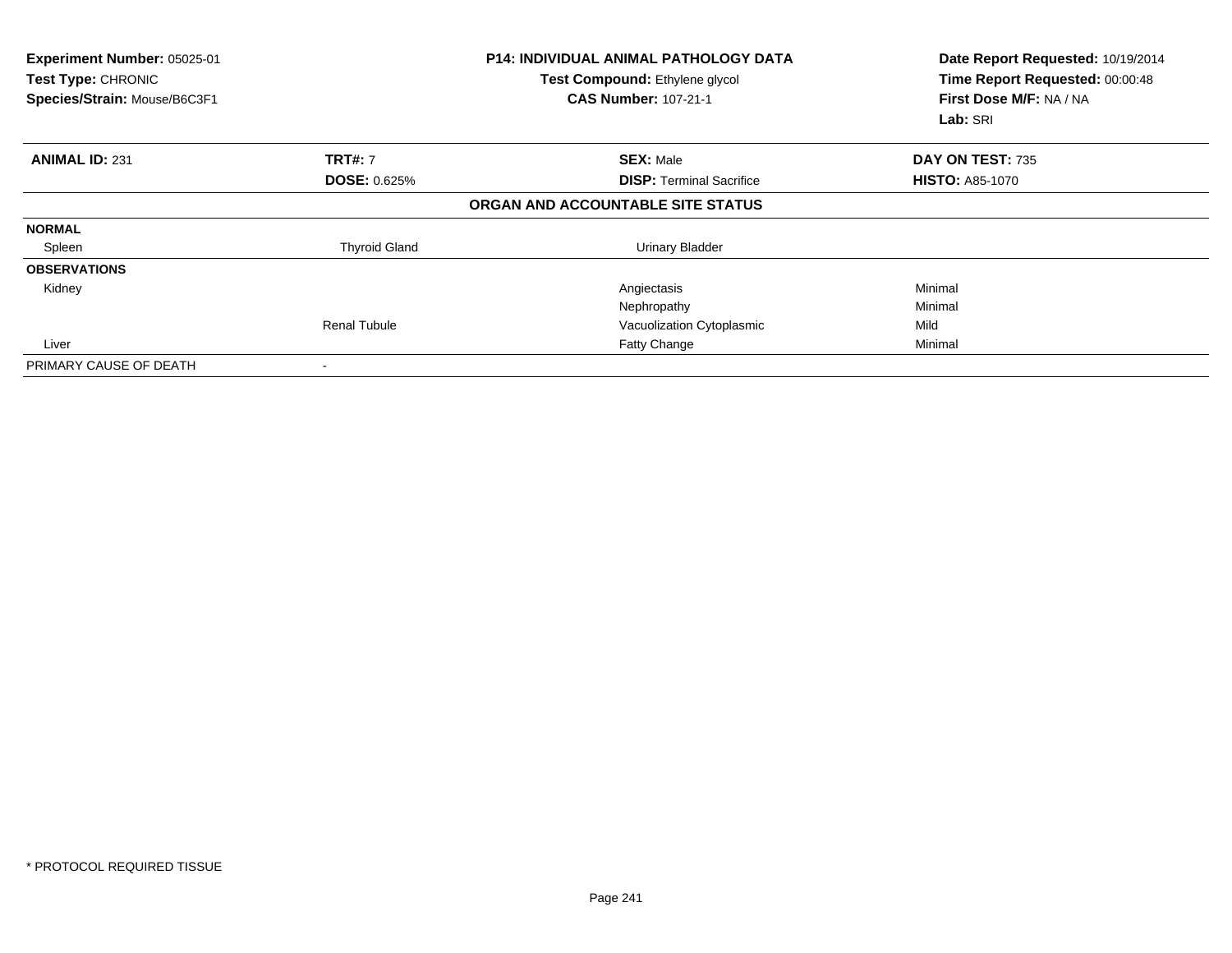| Experiment Number: 05025-01<br>Test Type: CHRONIC<br>Species/Strain: Mouse/B6C3F1 |                      | <b>P14: INDIVIDUAL ANIMAL PATHOLOGY DATA</b><br>Test Compound: Ethylene glycol<br><b>CAS Number: 107-21-1</b> | Date Report Requested: 10/19/2014<br>Time Report Requested: 00:00:48<br>First Dose M/F: NA / NA<br>Lab: SRI |  |
|-----------------------------------------------------------------------------------|----------------------|---------------------------------------------------------------------------------------------------------------|-------------------------------------------------------------------------------------------------------------|--|
| <b>ANIMAL ID: 231</b>                                                             | <b>TRT#: 7</b>       | <b>SEX: Male</b>                                                                                              | DAY ON TEST: 735                                                                                            |  |
|                                                                                   | <b>DOSE: 0.625%</b>  | <b>DISP:</b> Terminal Sacrifice                                                                               | <b>HISTO: A85-1070</b>                                                                                      |  |
|                                                                                   |                      | ORGAN AND ACCOUNTABLE SITE STATUS                                                                             |                                                                                                             |  |
| <b>NORMAL</b>                                                                     |                      |                                                                                                               |                                                                                                             |  |
| Spleen                                                                            | <b>Thyroid Gland</b> | <b>Urinary Bladder</b>                                                                                        |                                                                                                             |  |
| <b>OBSERVATIONS</b>                                                               |                      |                                                                                                               |                                                                                                             |  |
| Kidney                                                                            |                      | Angiectasis                                                                                                   | Minimal                                                                                                     |  |
|                                                                                   |                      | Nephropathy                                                                                                   | Minimal                                                                                                     |  |
|                                                                                   | Renal Tubule         | Vacuolization Cytoplasmic                                                                                     | Mild                                                                                                        |  |
| Liver                                                                             |                      | Fatty Change                                                                                                  | Minimal                                                                                                     |  |
| PRIMARY CAUSE OF DEATH                                                            |                      |                                                                                                               |                                                                                                             |  |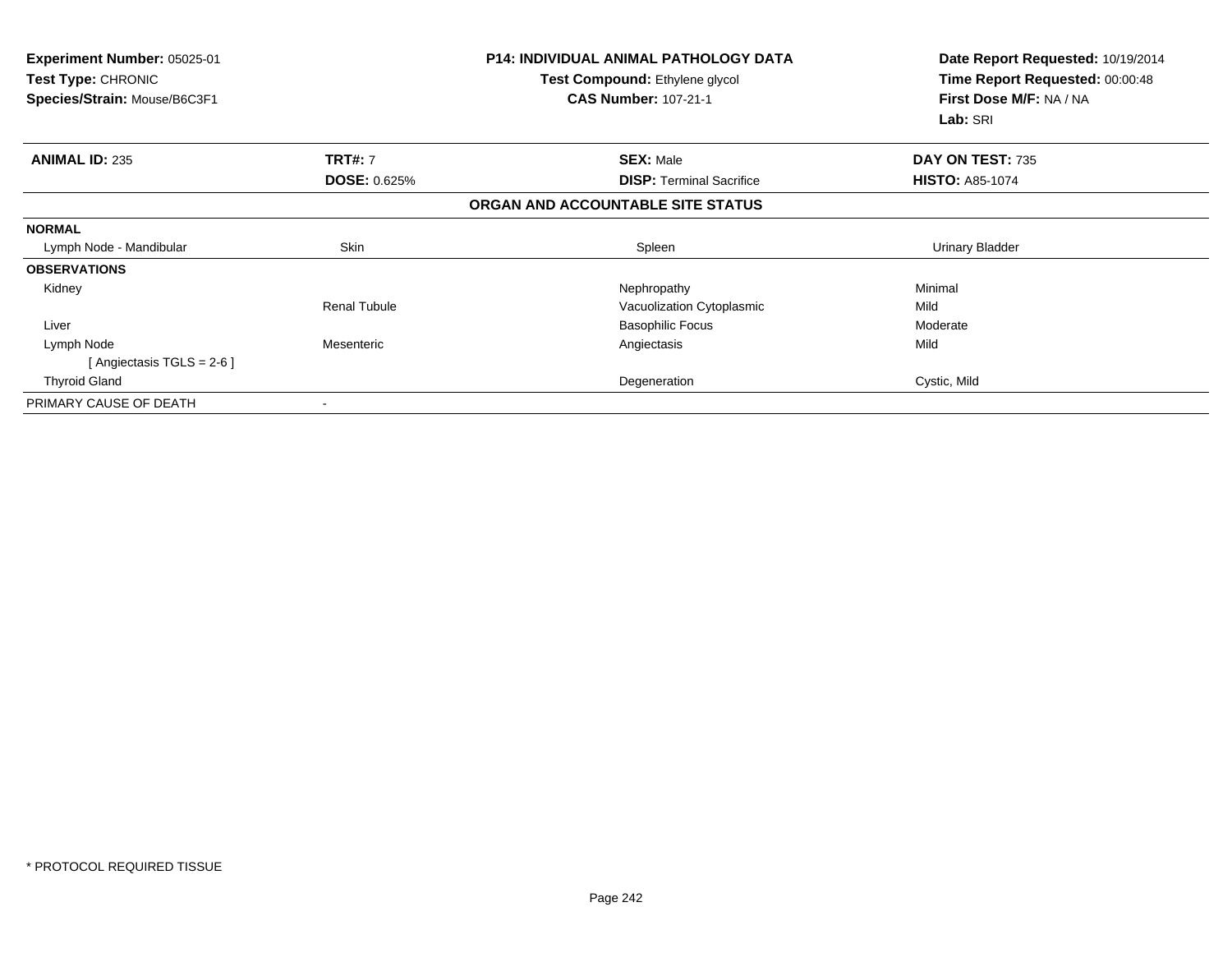| <b>Experiment Number: 05025-01</b><br>Test Type: CHRONIC<br>Species/Strain: Mouse/B6C3F1 |                     | <b>P14: INDIVIDUAL ANIMAL PATHOLOGY DATA</b><br>Test Compound: Ethylene glycol<br><b>CAS Number: 107-21-1</b> | Date Report Requested: 10/19/2014<br>Time Report Requested: 00:00:48<br>First Dose M/F: NA / NA<br>Lab: SRI |
|------------------------------------------------------------------------------------------|---------------------|---------------------------------------------------------------------------------------------------------------|-------------------------------------------------------------------------------------------------------------|
| <b>ANIMAL ID: 235</b>                                                                    | <b>TRT#: 7</b>      | <b>SEX: Male</b>                                                                                              | DAY ON TEST: 735                                                                                            |
|                                                                                          | <b>DOSE: 0.625%</b> | <b>DISP:</b> Terminal Sacrifice                                                                               | <b>HISTO: A85-1074</b>                                                                                      |
|                                                                                          |                     | ORGAN AND ACCOUNTABLE SITE STATUS                                                                             |                                                                                                             |
| <b>NORMAL</b>                                                                            |                     |                                                                                                               |                                                                                                             |
| Lymph Node - Mandibular                                                                  | Skin                | Spleen                                                                                                        | <b>Urinary Bladder</b>                                                                                      |
| <b>OBSERVATIONS</b>                                                                      |                     |                                                                                                               |                                                                                                             |
| Kidney                                                                                   |                     | Nephropathy                                                                                                   | Minimal                                                                                                     |
|                                                                                          | <b>Renal Tubule</b> | Vacuolization Cytoplasmic                                                                                     | Mild                                                                                                        |
| Liver                                                                                    |                     | <b>Basophilic Focus</b>                                                                                       | Moderate                                                                                                    |
| Lymph Node                                                                               | Mesenteric          | Angiectasis                                                                                                   | Mild                                                                                                        |
| [Angiectasis TGLS = 2-6 ]                                                                |                     |                                                                                                               |                                                                                                             |
| <b>Thyroid Gland</b>                                                                     |                     | Degeneration                                                                                                  | Cystic, Mild                                                                                                |
| PRIMARY CAUSE OF DEATH                                                                   |                     |                                                                                                               |                                                                                                             |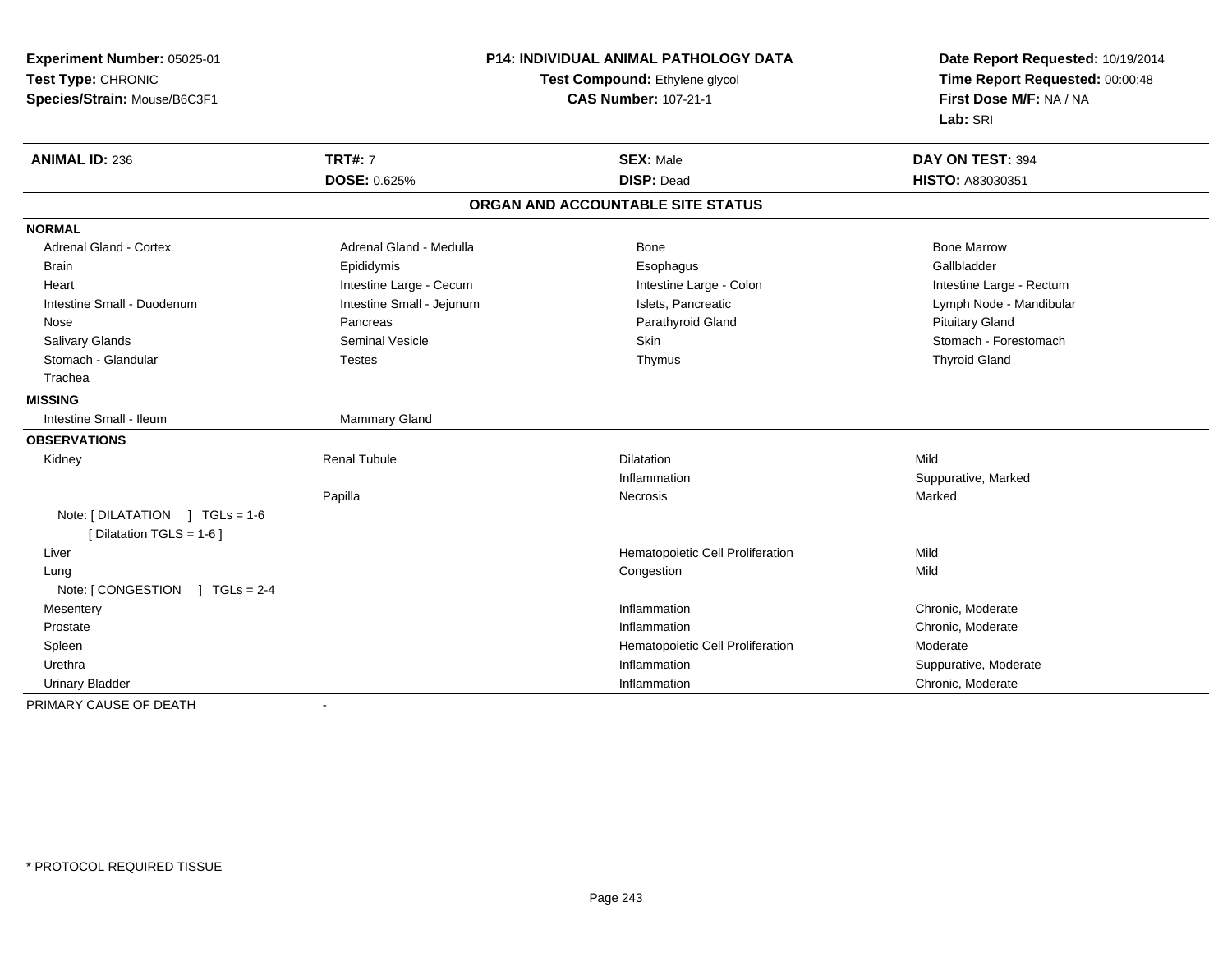| Experiment Number: 05025-01                               | <b>P14: INDIVIDUAL ANIMAL PATHOLOGY DATA</b><br>Test Compound: Ethylene glycol<br><b>CAS Number: 107-21-1</b> |                                   | Date Report Requested: 10/19/2014<br>Time Report Requested: 00:00:48<br>First Dose M/F: NA / NA |  |
|-----------------------------------------------------------|---------------------------------------------------------------------------------------------------------------|-----------------------------------|-------------------------------------------------------------------------------------------------|--|
| Test Type: CHRONIC                                        |                                                                                                               |                                   |                                                                                                 |  |
| Species/Strain: Mouse/B6C3F1                              |                                                                                                               |                                   |                                                                                                 |  |
|                                                           |                                                                                                               |                                   | Lab: SRI                                                                                        |  |
| <b>TRT#: 7</b><br><b>ANIMAL ID: 236</b>                   |                                                                                                               | <b>SEX: Male</b>                  | DAY ON TEST: 394                                                                                |  |
| DOSE: 0.625%                                              |                                                                                                               | <b>DISP: Dead</b>                 | HISTO: A83030351                                                                                |  |
|                                                           |                                                                                                               | ORGAN AND ACCOUNTABLE SITE STATUS |                                                                                                 |  |
| <b>NORMAL</b>                                             |                                                                                                               |                                   |                                                                                                 |  |
| <b>Adrenal Gland - Cortex</b>                             | Adrenal Gland - Medulla                                                                                       | Bone                              | <b>Bone Marrow</b>                                                                              |  |
| Epididymis<br><b>Brain</b>                                |                                                                                                               | Esophagus                         | Gallbladder                                                                                     |  |
| Heart                                                     | Intestine Large - Cecum                                                                                       | Intestine Large - Colon           | Intestine Large - Rectum                                                                        |  |
| Intestine Small - Duodenum                                | Intestine Small - Jejunum                                                                                     | Islets, Pancreatic                | Lymph Node - Mandibular                                                                         |  |
| Nose<br>Pancreas                                          |                                                                                                               | Parathyroid Gland                 | <b>Pituitary Gland</b>                                                                          |  |
| <b>Salivary Glands</b>                                    | <b>Seminal Vesicle</b>                                                                                        | Skin                              | Stomach - Forestomach                                                                           |  |
| Stomach - Glandular<br><b>Testes</b>                      |                                                                                                               | Thymus                            | <b>Thyroid Gland</b>                                                                            |  |
| Trachea                                                   |                                                                                                               |                                   |                                                                                                 |  |
| <b>MISSING</b>                                            |                                                                                                               |                                   |                                                                                                 |  |
| Intestine Small - Ileum                                   | Mammary Gland                                                                                                 |                                   |                                                                                                 |  |
| <b>OBSERVATIONS</b>                                       |                                                                                                               |                                   |                                                                                                 |  |
| <b>Renal Tubule</b><br>Kidney                             |                                                                                                               | <b>Dilatation</b>                 | Mild                                                                                            |  |
|                                                           |                                                                                                               | Inflammation                      | Suppurative, Marked                                                                             |  |
| Papilla                                                   |                                                                                                               | Necrosis                          | Marked                                                                                          |  |
| Note: [DILATATION ] TGLs = 1-6<br>[Dilatation TGLS = 1-6] |                                                                                                               |                                   |                                                                                                 |  |
| Liver                                                     |                                                                                                               | Hematopoietic Cell Proliferation  | Mild                                                                                            |  |
| Lung                                                      |                                                                                                               | Congestion                        | Mild                                                                                            |  |
| Note: [CONGESTION ] TGLs = 2-4                            |                                                                                                               |                                   |                                                                                                 |  |
| Mesentery                                                 |                                                                                                               | Inflammation                      | Chronic, Moderate                                                                               |  |
| Prostate                                                  |                                                                                                               | Inflammation                      | Chronic, Moderate                                                                               |  |
| Spleen                                                    |                                                                                                               | Hematopoietic Cell Proliferation  | Moderate                                                                                        |  |
| Urethra                                                   |                                                                                                               | Inflammation                      | Suppurative, Moderate                                                                           |  |
| <b>Urinary Bladder</b>                                    |                                                                                                               | Inflammation                      | Chronic, Moderate                                                                               |  |
| PRIMARY CAUSE OF DEATH<br>$\blacksquare$                  |                                                                                                               |                                   |                                                                                                 |  |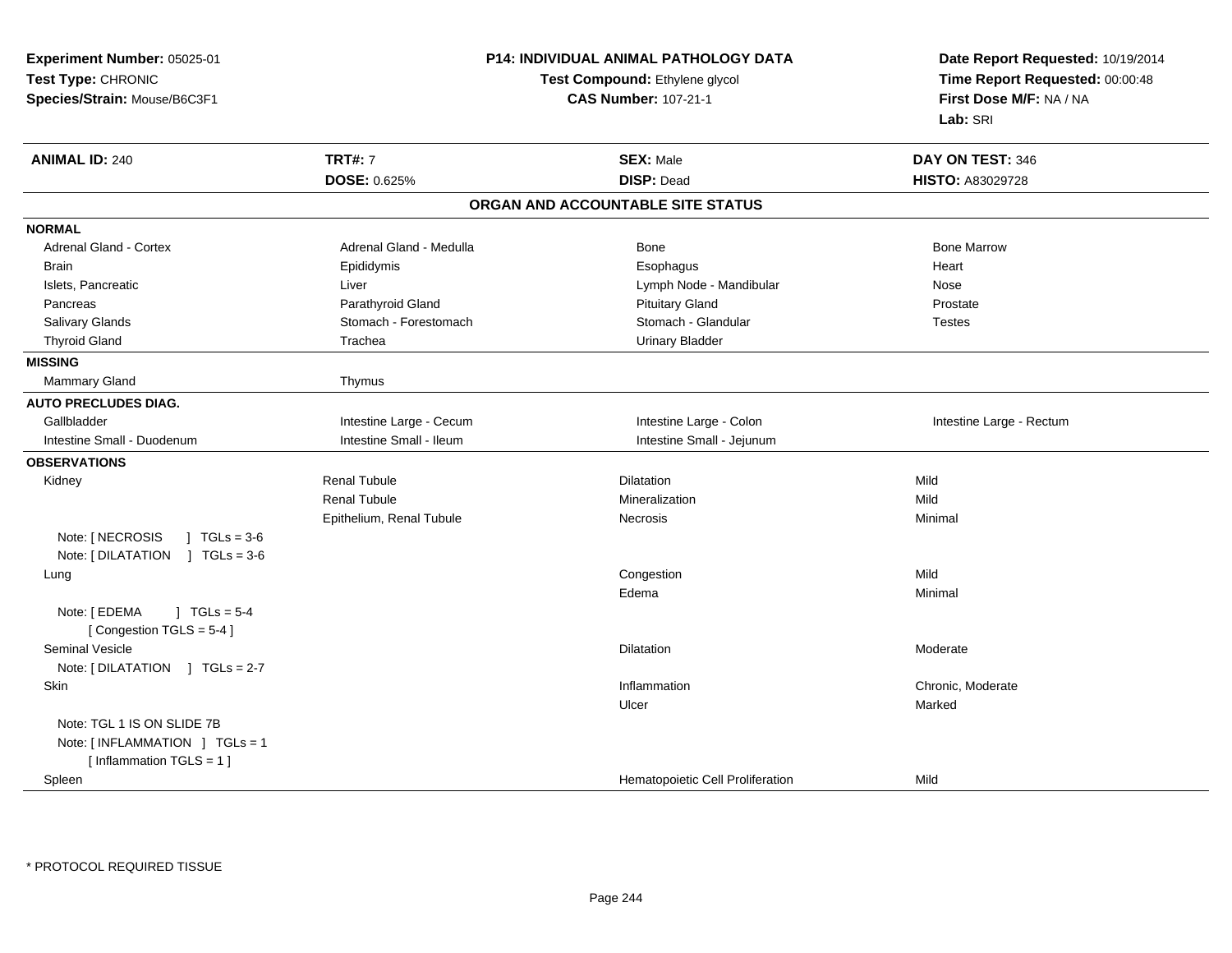| Experiment Number: 05025-01                                                 |                             | P14: INDIVIDUAL ANIMAL PATHOLOGY DATA | Date Report Requested: 10/19/2014<br>Time Report Requested: 00:00:48 |
|-----------------------------------------------------------------------------|-----------------------------|---------------------------------------|----------------------------------------------------------------------|
| Test Type: CHRONIC                                                          |                             | Test Compound: Ethylene glycol        |                                                                      |
| Species/Strain: Mouse/B6C3F1                                                | <b>CAS Number: 107-21-1</b> |                                       | First Dose M/F: NA / NA                                              |
|                                                                             |                             |                                       | Lab: SRI                                                             |
| <b>ANIMAL ID: 240</b>                                                       | <b>TRT#: 7</b>              | <b>SEX: Male</b>                      | DAY ON TEST: 346                                                     |
|                                                                             | DOSE: 0.625%                | <b>DISP: Dead</b>                     | HISTO: A83029728                                                     |
|                                                                             |                             | ORGAN AND ACCOUNTABLE SITE STATUS     |                                                                      |
| <b>NORMAL</b>                                                               |                             |                                       |                                                                      |
| Adrenal Gland - Cortex                                                      | Adrenal Gland - Medulla     | Bone                                  | <b>Bone Marrow</b>                                                   |
| <b>Brain</b>                                                                | Epididymis                  | Esophagus                             | Heart                                                                |
| Islets, Pancreatic                                                          | Liver                       | Lymph Node - Mandibular               | Nose                                                                 |
| Pancreas                                                                    | Parathyroid Gland           | <b>Pituitary Gland</b>                | Prostate                                                             |
| Salivary Glands                                                             | Stomach - Forestomach       | Stomach - Glandular                   | <b>Testes</b>                                                        |
| <b>Thyroid Gland</b>                                                        | Trachea                     | <b>Urinary Bladder</b>                |                                                                      |
| <b>MISSING</b>                                                              |                             |                                       |                                                                      |
| <b>Mammary Gland</b>                                                        | Thymus                      |                                       |                                                                      |
| <b>AUTO PRECLUDES DIAG.</b>                                                 |                             |                                       |                                                                      |
| Gallbladder                                                                 | Intestine Large - Cecum     | Intestine Large - Colon               | Intestine Large - Rectum                                             |
| Intestine Small - Duodenum                                                  | Intestine Small - Ileum     | Intestine Small - Jejunum             |                                                                      |
| <b>OBSERVATIONS</b>                                                         |                             |                                       |                                                                      |
| Kidney                                                                      | <b>Renal Tubule</b>         | <b>Dilatation</b>                     | Mild                                                                 |
|                                                                             | <b>Renal Tubule</b>         | Mineralization                        | Mild                                                                 |
|                                                                             | Epithelium, Renal Tubule    | Necrosis                              | Minimal                                                              |
| Note: [ NECROSIS<br>$\sqrt{1}$ TGLs = 3-6<br>Note: [DILATATION ] TGLs = 3-6 |                             |                                       |                                                                      |
| Lung                                                                        |                             | Congestion                            | Mild                                                                 |
|                                                                             |                             | Edema                                 | Minimal                                                              |
| Note: [ EDEMA<br>$J \cdot TGLS = 5-4$<br>[Congestion TGLS = 5-4]            |                             |                                       |                                                                      |
| Seminal Vesicle                                                             |                             | Dilatation                            | Moderate                                                             |
| Note: [DILATATION ] TGLs = 2-7                                              |                             |                                       |                                                                      |
| Skin                                                                        |                             | Inflammation                          | Chronic, Moderate                                                    |
|                                                                             |                             | Ulcer                                 | Marked                                                               |
| Note: TGL 1 IS ON SLIDE 7B                                                  |                             |                                       |                                                                      |
| Note: [INFLAMMATION ] TGLs = 1                                              |                             |                                       |                                                                      |
| [Inflammation TGLS = 1]                                                     |                             |                                       |                                                                      |
| Spleen                                                                      |                             | Hematopoietic Cell Proliferation      | Mild                                                                 |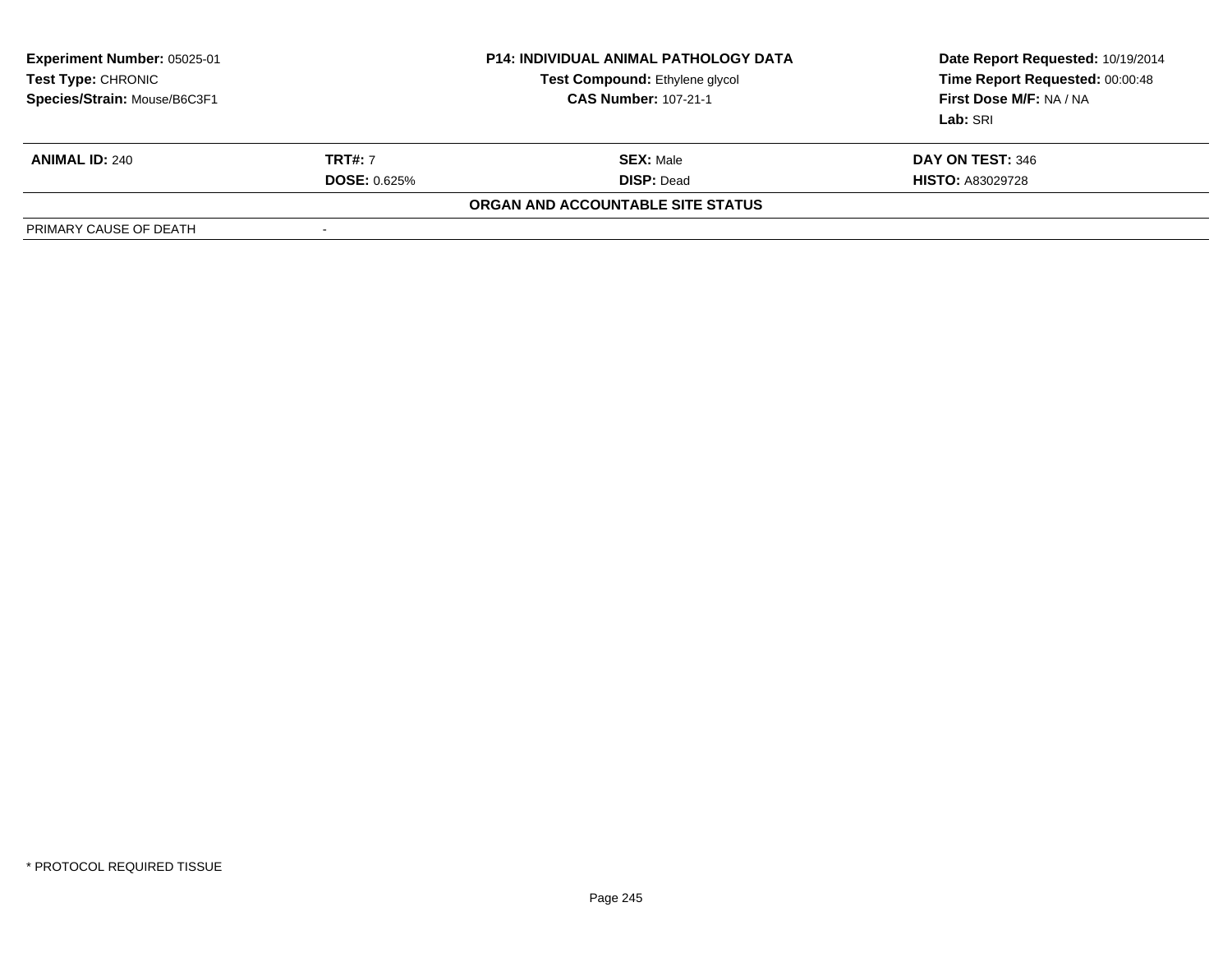| <b>Experiment Number: 05025-01</b><br>Test Type: CHRONIC<br>Species/Strain: Mouse/B6C3F1 |                     | <b>P14: INDIVIDUAL ANIMAL PATHOLOGY DATA</b><br>Test Compound: Ethylene glycol<br><b>CAS Number: 107-21-1</b> | Date Report Requested: 10/19/2014<br>Time Report Requested: 00:00:48<br>First Dose M/F: NA / NA<br>Lab: SRI |
|------------------------------------------------------------------------------------------|---------------------|---------------------------------------------------------------------------------------------------------------|-------------------------------------------------------------------------------------------------------------|
| <b>ANIMAL ID: 240</b>                                                                    | <b>TRT#: 7</b>      | <b>SEX: Male</b>                                                                                              | DAY ON TEST: 346                                                                                            |
|                                                                                          | <b>DOSE: 0.625%</b> | <b>DISP: Dead</b>                                                                                             | <b>HISTO: A83029728</b>                                                                                     |
|                                                                                          |                     | ORGAN AND ACCOUNTABLE SITE STATUS                                                                             |                                                                                                             |
| PRIMARY CAUSE OF DEATH                                                                   | -                   |                                                                                                               |                                                                                                             |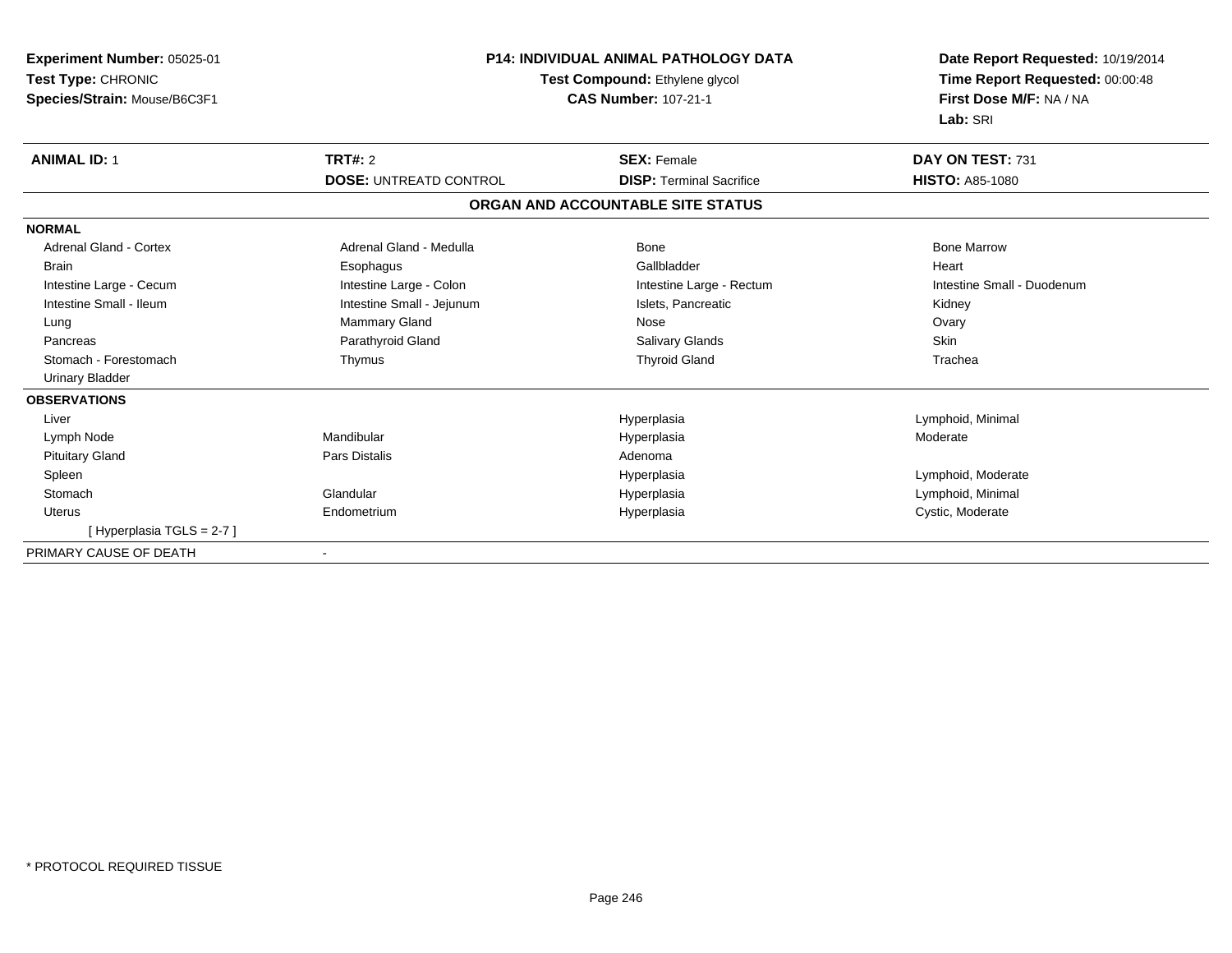| Experiment Number: 05025-01<br>Test Type: CHRONIC<br>Species/Strain: Mouse/B6C3F1 |                               | <b>P14: INDIVIDUAL ANIMAL PATHOLOGY DATA</b><br>Test Compound: Ethylene glycol<br><b>CAS Number: 107-21-1</b> | Date Report Requested: 10/19/2014<br>Time Report Requested: 00:00:48<br>First Dose M/F: NA / NA<br>Lab: SRI |
|-----------------------------------------------------------------------------------|-------------------------------|---------------------------------------------------------------------------------------------------------------|-------------------------------------------------------------------------------------------------------------|
| <b>ANIMAL ID: 1</b>                                                               | <b>TRT#: 2</b>                | <b>SEX: Female</b>                                                                                            | DAY ON TEST: 731                                                                                            |
|                                                                                   | <b>DOSE: UNTREATD CONTROL</b> | <b>DISP: Terminal Sacrifice</b>                                                                               | <b>HISTO: A85-1080</b>                                                                                      |
|                                                                                   |                               | ORGAN AND ACCOUNTABLE SITE STATUS                                                                             |                                                                                                             |
| <b>NORMAL</b>                                                                     |                               |                                                                                                               |                                                                                                             |
| Adrenal Gland - Cortex                                                            | Adrenal Gland - Medulla       | <b>Bone</b>                                                                                                   | <b>Bone Marrow</b>                                                                                          |
| <b>Brain</b>                                                                      | Esophagus                     | Gallbladder                                                                                                   | Heart                                                                                                       |
| Intestine Large - Cecum                                                           | Intestine Large - Colon       | Intestine Large - Rectum                                                                                      | Intestine Small - Duodenum                                                                                  |
| Intestine Small - Ileum                                                           | Intestine Small - Jejunum     | Islets, Pancreatic                                                                                            | Kidney                                                                                                      |
| Lung                                                                              | Mammary Gland                 | Nose                                                                                                          | Ovary                                                                                                       |
| Pancreas                                                                          | Parathyroid Gland             | <b>Salivary Glands</b>                                                                                        | <b>Skin</b>                                                                                                 |
| Stomach - Forestomach                                                             | Thymus                        | <b>Thyroid Gland</b>                                                                                          | Trachea                                                                                                     |
| <b>Urinary Bladder</b>                                                            |                               |                                                                                                               |                                                                                                             |
| <b>OBSERVATIONS</b>                                                               |                               |                                                                                                               |                                                                                                             |
| Liver                                                                             |                               | Hyperplasia                                                                                                   | Lymphoid, Minimal                                                                                           |
| Lymph Node                                                                        | Mandibular                    | Hyperplasia                                                                                                   | Moderate                                                                                                    |
| <b>Pituitary Gland</b>                                                            | Pars Distalis                 | Adenoma                                                                                                       |                                                                                                             |
| Spleen                                                                            |                               | Hyperplasia                                                                                                   | Lymphoid, Moderate                                                                                          |
| Stomach                                                                           | Glandular                     | Hyperplasia                                                                                                   | Lymphoid, Minimal                                                                                           |
| Uterus                                                                            | Endometrium                   | Hyperplasia                                                                                                   | Cystic, Moderate                                                                                            |
| [Hyperplasia TGLS = 2-7]                                                          |                               |                                                                                                               |                                                                                                             |
| PRIMARY CAUSE OF DEATH                                                            |                               |                                                                                                               |                                                                                                             |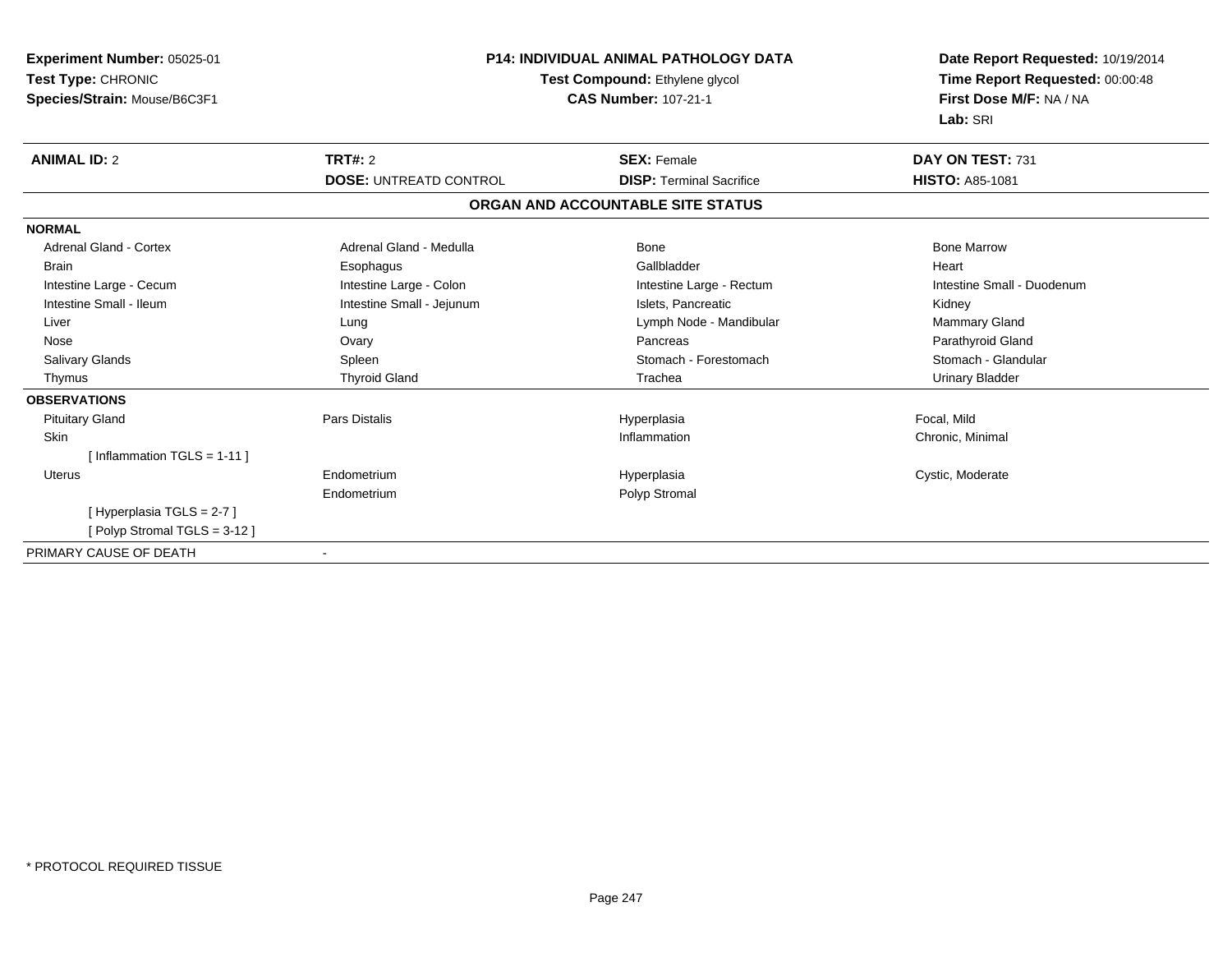| Experiment Number: 05025-01<br>Test Type: CHRONIC<br>Species/Strain: Mouse/B6C3F1 | <b>P14: INDIVIDUAL ANIMAL PATHOLOGY DATA</b><br>Test Compound: Ethylene glycol<br><b>CAS Number: 107-21-1</b> |                                   | Date Report Requested: 10/19/2014<br>Time Report Requested: 00:00:48<br>First Dose M/F: NA / NA<br>Lab: SRI |
|-----------------------------------------------------------------------------------|---------------------------------------------------------------------------------------------------------------|-----------------------------------|-------------------------------------------------------------------------------------------------------------|
| <b>ANIMAL ID: 2</b>                                                               | <b>TRT#: 2</b>                                                                                                | <b>SEX: Female</b>                | DAY ON TEST: 731                                                                                            |
|                                                                                   | <b>DOSE: UNTREATD CONTROL</b>                                                                                 | <b>DISP: Terminal Sacrifice</b>   | <b>HISTO: A85-1081</b>                                                                                      |
|                                                                                   |                                                                                                               | ORGAN AND ACCOUNTABLE SITE STATUS |                                                                                                             |
| <b>NORMAL</b>                                                                     |                                                                                                               |                                   |                                                                                                             |
| <b>Adrenal Gland - Cortex</b>                                                     | Adrenal Gland - Medulla                                                                                       | Bone                              | <b>Bone Marrow</b>                                                                                          |
| <b>Brain</b>                                                                      | Esophagus                                                                                                     | Gallbladder                       | Heart                                                                                                       |
| Intestine Large - Cecum                                                           | Intestine Large - Colon                                                                                       | Intestine Large - Rectum          | Intestine Small - Duodenum                                                                                  |
| Intestine Small - Ileum                                                           | Intestine Small - Jejunum                                                                                     | Islets, Pancreatic                | Kidney                                                                                                      |
| Liver                                                                             | Lung                                                                                                          | Lymph Node - Mandibular           | Mammary Gland                                                                                               |
| Nose                                                                              | Ovary                                                                                                         | Pancreas                          | Parathyroid Gland                                                                                           |
| <b>Salivary Glands</b>                                                            | Spleen                                                                                                        | Stomach - Forestomach             | Stomach - Glandular                                                                                         |
| Thymus                                                                            | <b>Thyroid Gland</b>                                                                                          | Trachea                           | <b>Urinary Bladder</b>                                                                                      |
| <b>OBSERVATIONS</b>                                                               |                                                                                                               |                                   |                                                                                                             |
| <b>Pituitary Gland</b>                                                            | <b>Pars Distalis</b>                                                                                          | Hyperplasia                       | Focal, Mild                                                                                                 |
| Skin                                                                              |                                                                                                               | Inflammation                      | Chronic, Minimal                                                                                            |
| [Inflammation TGLS = $1-11$ ]                                                     |                                                                                                               |                                   |                                                                                                             |
| <b>Uterus</b>                                                                     | Endometrium                                                                                                   | Hyperplasia                       | Cystic, Moderate                                                                                            |
|                                                                                   | Endometrium                                                                                                   | Polyp Stromal                     |                                                                                                             |
| [Hyperplasia TGLS = 2-7]                                                          |                                                                                                               |                                   |                                                                                                             |
| [Polyp Stromal TGLS = 3-12]                                                       |                                                                                                               |                                   |                                                                                                             |
| PRIMARY CAUSE OF DEATH                                                            | $\overline{\phantom{a}}$                                                                                      |                                   |                                                                                                             |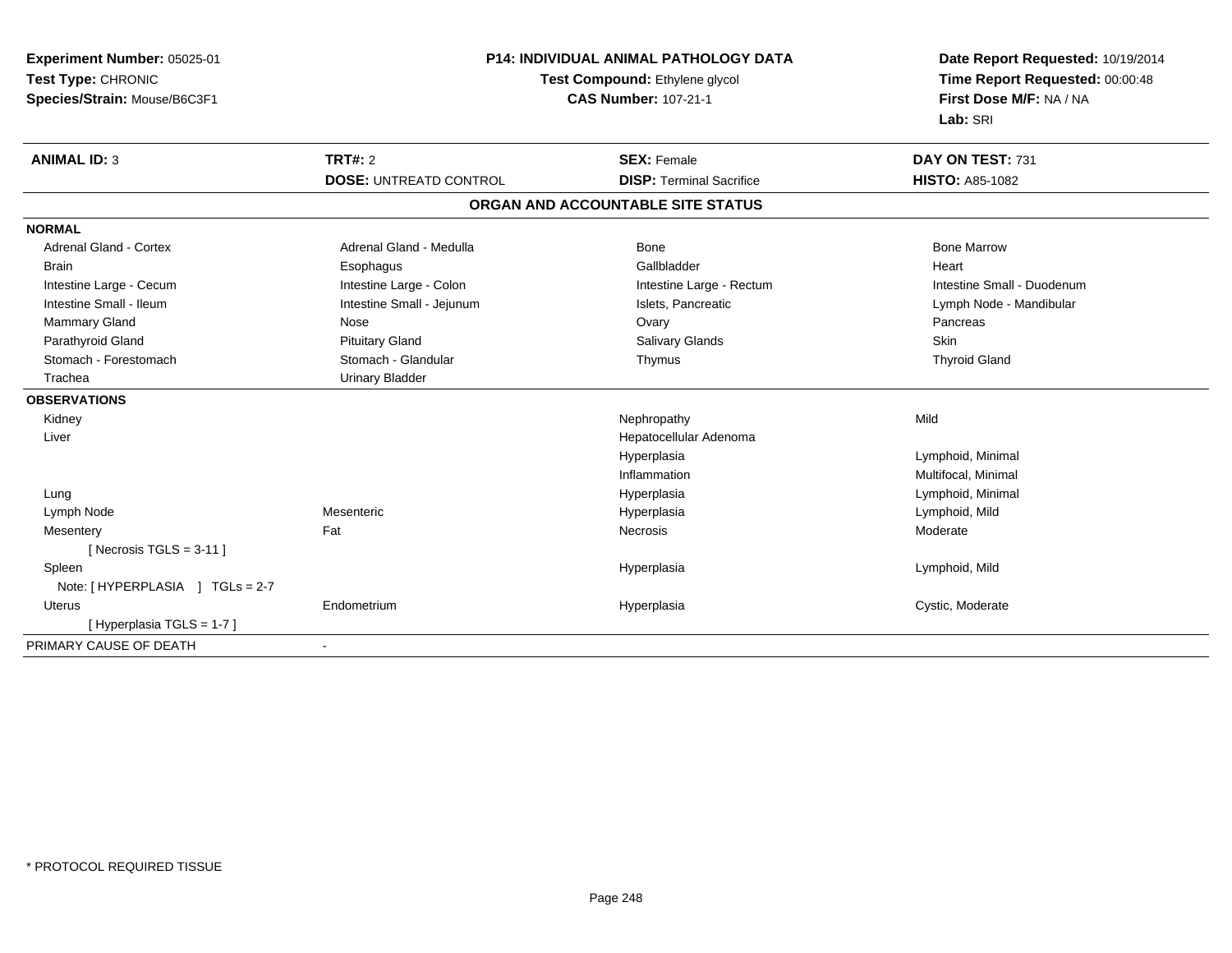| Experiment Number: 05025-01     | <b>P14: INDIVIDUAL ANIMAL PATHOLOGY DATA</b> |                                   | Date Report Requested: 10/19/2014                          |  |
|---------------------------------|----------------------------------------------|-----------------------------------|------------------------------------------------------------|--|
| Test Type: CHRONIC              |                                              | Test Compound: Ethylene glycol    | Time Report Requested: 00:00:48<br>First Dose M/F: NA / NA |  |
| Species/Strain: Mouse/B6C3F1    |                                              | <b>CAS Number: 107-21-1</b>       |                                                            |  |
|                                 |                                              |                                   | Lab: SRI                                                   |  |
| <b>ANIMAL ID: 3</b>             | <b>TRT#: 2</b>                               | <b>SEX: Female</b>                | DAY ON TEST: 731                                           |  |
|                                 | <b>DOSE: UNTREATD CONTROL</b>                | <b>DISP: Terminal Sacrifice</b>   | <b>HISTO: A85-1082</b>                                     |  |
|                                 |                                              | ORGAN AND ACCOUNTABLE SITE STATUS |                                                            |  |
| <b>NORMAL</b>                   |                                              |                                   |                                                            |  |
| Adrenal Gland - Cortex          | Adrenal Gland - Medulla                      | Bone                              | <b>Bone Marrow</b>                                         |  |
| <b>Brain</b>                    | Esophagus                                    | Gallbladder                       | Heart                                                      |  |
| Intestine Large - Cecum         | Intestine Large - Colon                      | Intestine Large - Rectum          | Intestine Small - Duodenum                                 |  |
| Intestine Small - Ileum         | Intestine Small - Jejunum                    | Islets, Pancreatic                | Lymph Node - Mandibular                                    |  |
| Mammary Gland                   | Nose                                         | Ovary                             | Pancreas                                                   |  |
| Parathyroid Gland               | <b>Pituitary Gland</b>                       | Salivary Glands                   | Skin                                                       |  |
| Stomach - Forestomach           | Stomach - Glandular                          | Thymus                            | <b>Thyroid Gland</b>                                       |  |
| Trachea                         | <b>Urinary Bladder</b>                       |                                   |                                                            |  |
| <b>OBSERVATIONS</b>             |                                              |                                   |                                                            |  |
| Kidney                          |                                              | Nephropathy                       | Mild                                                       |  |
| Liver                           |                                              | Hepatocellular Adenoma            |                                                            |  |
|                                 |                                              | Hyperplasia                       | Lymphoid, Minimal                                          |  |
|                                 |                                              | Inflammation                      | Multifocal, Minimal                                        |  |
| Lung                            |                                              | Hyperplasia                       | Lymphoid, Minimal                                          |  |
| Lymph Node                      | Mesenteric                                   | Hyperplasia                       | Lymphoid, Mild                                             |  |
| Mesentery                       | Fat                                          | Necrosis                          | Moderate                                                   |  |
| [ Necrosis TGLS = $3-11$ ]      |                                              |                                   |                                                            |  |
| Spleen                          |                                              | Hyperplasia                       | Lymphoid, Mild                                             |  |
| Note: [HYPERPLASIA ] TGLs = 2-7 |                                              |                                   |                                                            |  |
| Uterus                          | Endometrium                                  | Hyperplasia                       | Cystic, Moderate                                           |  |
| [Hyperplasia TGLS = 1-7]        |                                              |                                   |                                                            |  |
| PRIMARY CAUSE OF DEATH          | $\blacksquare$                               |                                   |                                                            |  |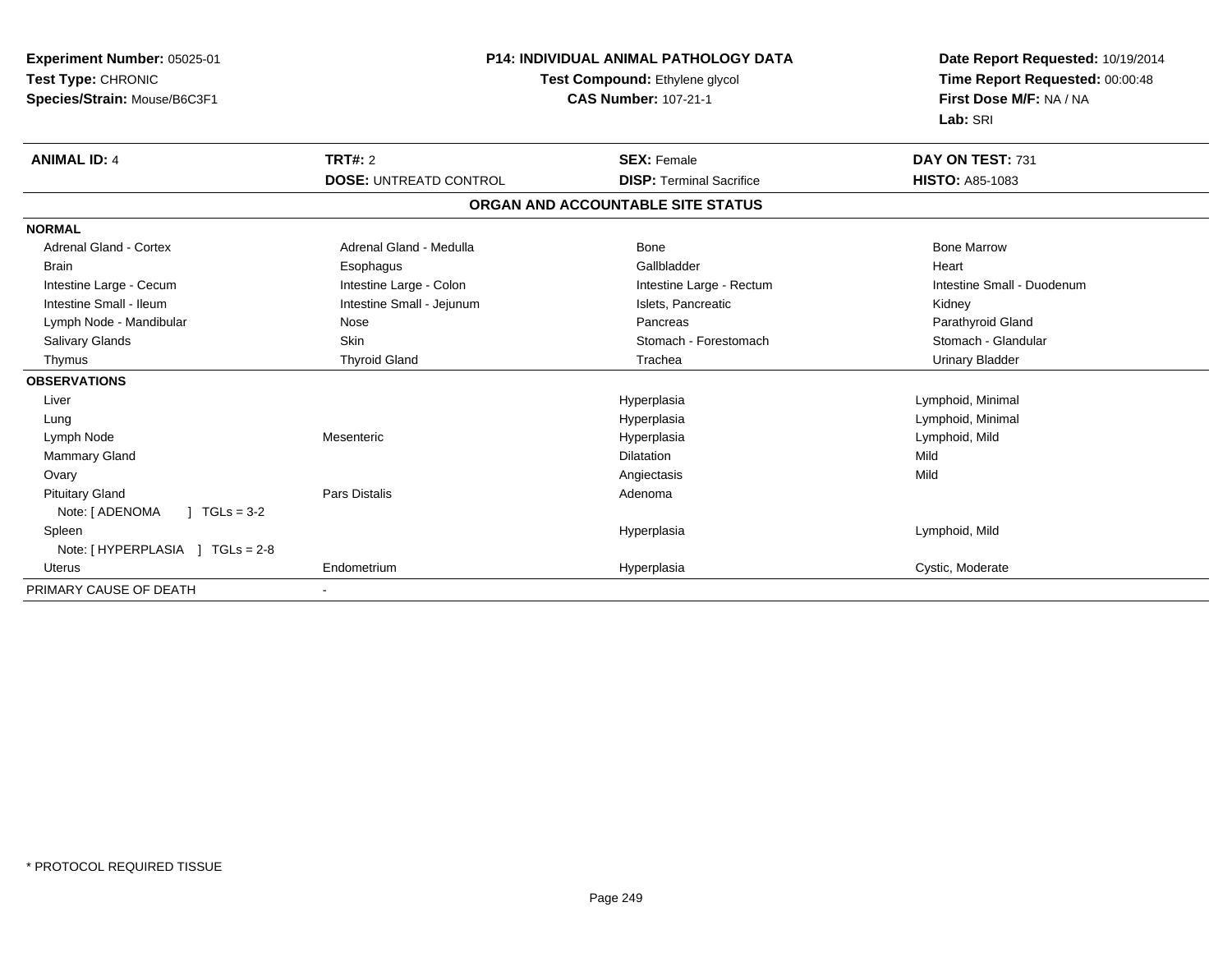| Experiment Number: 05025-01<br>Test Type: CHRONIC<br>Species/Strain: Mouse/B6C3F1 |                               | <b>P14: INDIVIDUAL ANIMAL PATHOLOGY DATA</b><br>Test Compound: Ethylene glycol<br><b>CAS Number: 107-21-1</b> | Date Report Requested: 10/19/2014<br>Time Report Requested: 00:00:48<br>First Dose M/F: NA / NA<br>Lab: SRI |
|-----------------------------------------------------------------------------------|-------------------------------|---------------------------------------------------------------------------------------------------------------|-------------------------------------------------------------------------------------------------------------|
| <b>ANIMAL ID: 4</b>                                                               | <b>TRT#: 2</b>                | <b>SEX: Female</b>                                                                                            | DAY ON TEST: 731                                                                                            |
|                                                                                   | <b>DOSE: UNTREATD CONTROL</b> | <b>DISP: Terminal Sacrifice</b>                                                                               | <b>HISTO: A85-1083</b>                                                                                      |
|                                                                                   |                               | ORGAN AND ACCOUNTABLE SITE STATUS                                                                             |                                                                                                             |
| <b>NORMAL</b>                                                                     |                               |                                                                                                               |                                                                                                             |
| <b>Adrenal Gland - Cortex</b>                                                     | Adrenal Gland - Medulla       | <b>Bone</b>                                                                                                   | <b>Bone Marrow</b>                                                                                          |
| <b>Brain</b>                                                                      | Esophagus                     | Gallbladder                                                                                                   | Heart                                                                                                       |
| Intestine Large - Cecum                                                           | Intestine Large - Colon       | Intestine Large - Rectum                                                                                      | Intestine Small - Duodenum                                                                                  |
| Intestine Small - Ileum                                                           | Intestine Small - Jejunum     | Islets, Pancreatic                                                                                            | Kidney                                                                                                      |
| Lymph Node - Mandibular                                                           | Nose                          | Pancreas                                                                                                      | Parathyroid Gland                                                                                           |
| Salivary Glands                                                                   | <b>Skin</b>                   | Stomach - Forestomach                                                                                         | Stomach - Glandular                                                                                         |
| Thymus                                                                            | <b>Thyroid Gland</b>          | Trachea                                                                                                       | <b>Urinary Bladder</b>                                                                                      |
| <b>OBSERVATIONS</b>                                                               |                               |                                                                                                               |                                                                                                             |
| Liver                                                                             |                               | Hyperplasia                                                                                                   | Lymphoid, Minimal                                                                                           |
| Lung                                                                              |                               | Hyperplasia                                                                                                   | Lymphoid, Minimal                                                                                           |
| Lymph Node                                                                        | Mesenteric                    | Hyperplasia                                                                                                   | Lymphoid, Mild                                                                                              |
| Mammary Gland                                                                     |                               | <b>Dilatation</b>                                                                                             | Mild                                                                                                        |
| Ovary                                                                             |                               | Angiectasis                                                                                                   | Mild                                                                                                        |
| <b>Pituitary Gland</b>                                                            | <b>Pars Distalis</b>          | Adenoma                                                                                                       |                                                                                                             |
| Note: [ ADENOMA<br>$1 TGLs = 3-2$                                                 |                               |                                                                                                               |                                                                                                             |
| Spleen                                                                            |                               | Hyperplasia                                                                                                   | Lymphoid, Mild                                                                                              |
| Note: [HYPERPLASIA ] TGLs = 2-8                                                   |                               |                                                                                                               |                                                                                                             |
| <b>Uterus</b>                                                                     | Endometrium                   | Hyperplasia                                                                                                   | Cystic, Moderate                                                                                            |
| PRIMARY CAUSE OF DEATH                                                            |                               |                                                                                                               |                                                                                                             |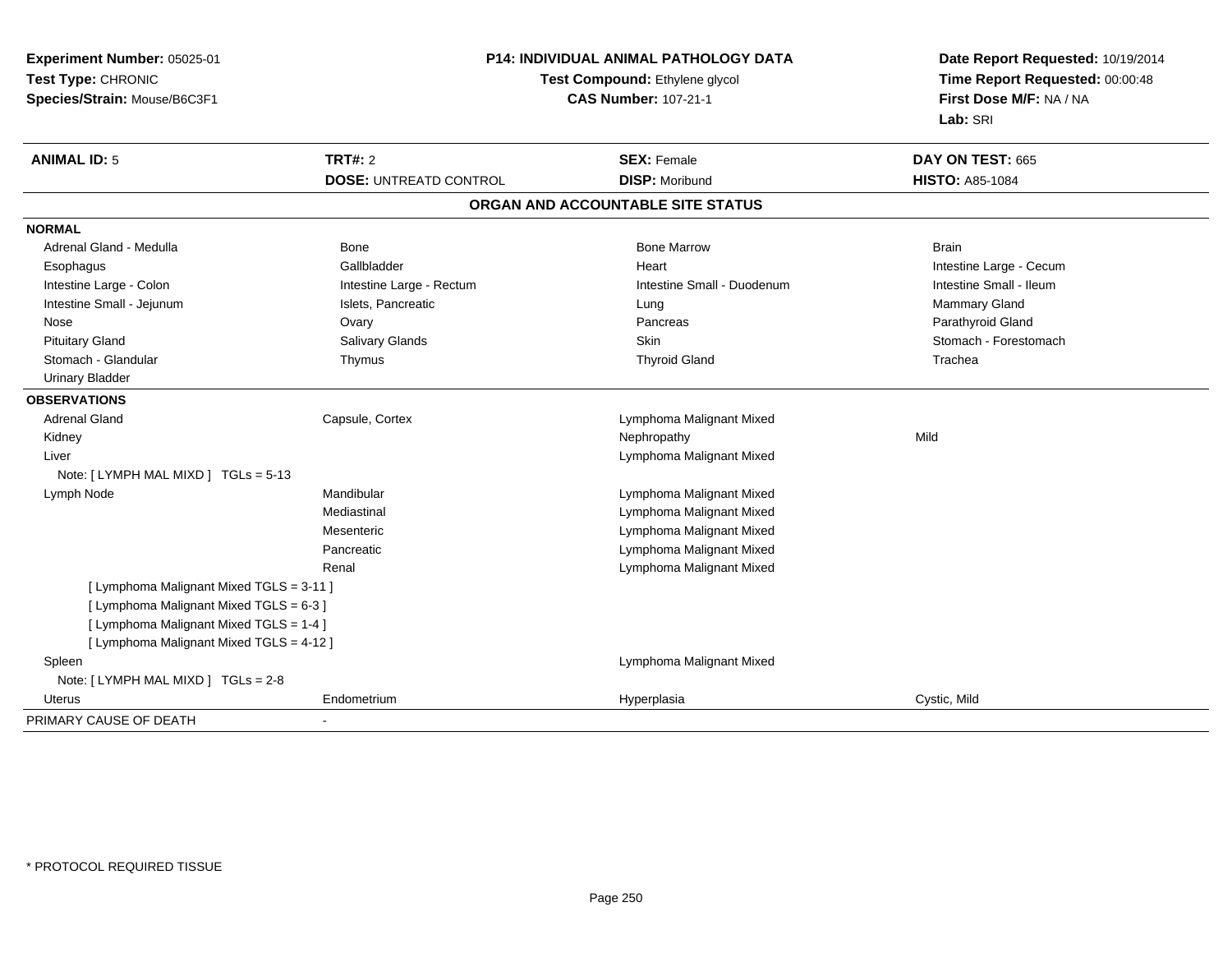| Experiment Number: 05025-01              |                               | P14: INDIVIDUAL ANIMAL PATHOLOGY DATA | Date Report Requested: 10/19/2014<br>Time Report Requested: 00:00:48 |
|------------------------------------------|-------------------------------|---------------------------------------|----------------------------------------------------------------------|
| Test Type: CHRONIC                       |                               | Test Compound: Ethylene glycol        |                                                                      |
| Species/Strain: Mouse/B6C3F1             | <b>CAS Number: 107-21-1</b>   |                                       | First Dose M/F: NA / NA                                              |
|                                          |                               |                                       | Lab: SRI                                                             |
| <b>ANIMAL ID: 5</b>                      | <b>TRT#: 2</b>                | <b>SEX: Female</b>                    | DAY ON TEST: 665                                                     |
|                                          | <b>DOSE: UNTREATD CONTROL</b> | <b>DISP: Moribund</b>                 | <b>HISTO: A85-1084</b>                                               |
|                                          |                               | ORGAN AND ACCOUNTABLE SITE STATUS     |                                                                      |
| <b>NORMAL</b>                            |                               |                                       |                                                                      |
| Adrenal Gland - Medulla                  | Bone                          | <b>Bone Marrow</b>                    | <b>Brain</b>                                                         |
| Esophagus                                | Gallbladder                   | Heart                                 | Intestine Large - Cecum                                              |
| Intestine Large - Colon                  | Intestine Large - Rectum      | Intestine Small - Duodenum            | Intestine Small - Ileum                                              |
| Intestine Small - Jejunum                | Islets, Pancreatic            | Lung                                  | Mammary Gland                                                        |
| Nose                                     | Ovary                         | Pancreas                              | Parathyroid Gland                                                    |
| <b>Pituitary Gland</b>                   | Salivary Glands               | <b>Skin</b>                           | Stomach - Forestomach                                                |
| Stomach - Glandular                      | Thymus                        | <b>Thyroid Gland</b>                  | Trachea                                                              |
| <b>Urinary Bladder</b>                   |                               |                                       |                                                                      |
| <b>OBSERVATIONS</b>                      |                               |                                       |                                                                      |
| <b>Adrenal Gland</b>                     | Capsule, Cortex               | Lymphoma Malignant Mixed              |                                                                      |
| Kidney                                   |                               | Nephropathy                           | Mild                                                                 |
| Liver                                    |                               | Lymphoma Malignant Mixed              |                                                                      |
| Note: [LYMPH MAL MIXD ] TGLs = 5-13      |                               |                                       |                                                                      |
| Lymph Node                               | Mandibular                    | Lymphoma Malignant Mixed              |                                                                      |
|                                          | Mediastinal                   | Lymphoma Malignant Mixed              |                                                                      |
|                                          | Mesenteric                    | Lymphoma Malignant Mixed              |                                                                      |
|                                          | Pancreatic                    | Lymphoma Malignant Mixed              |                                                                      |
|                                          | Renal                         | Lymphoma Malignant Mixed              |                                                                      |
| [ Lymphoma Malignant Mixed TGLS = 3-11 ] |                               |                                       |                                                                      |
| [ Lymphoma Malignant Mixed TGLS = 6-3 ]  |                               |                                       |                                                                      |
| [ Lymphoma Malignant Mixed TGLS = 1-4 ]  |                               |                                       |                                                                      |
| [ Lymphoma Malignant Mixed TGLS = 4-12 ] |                               |                                       |                                                                      |
| Spleen                                   |                               | Lymphoma Malignant Mixed              |                                                                      |
| Note: [ LYMPH MAL MIXD ] TGLs = 2-8      |                               |                                       |                                                                      |
| Uterus                                   | Endometrium                   | Hyperplasia                           | Cystic, Mild                                                         |
| PRIMARY CAUSE OF DEATH                   |                               |                                       |                                                                      |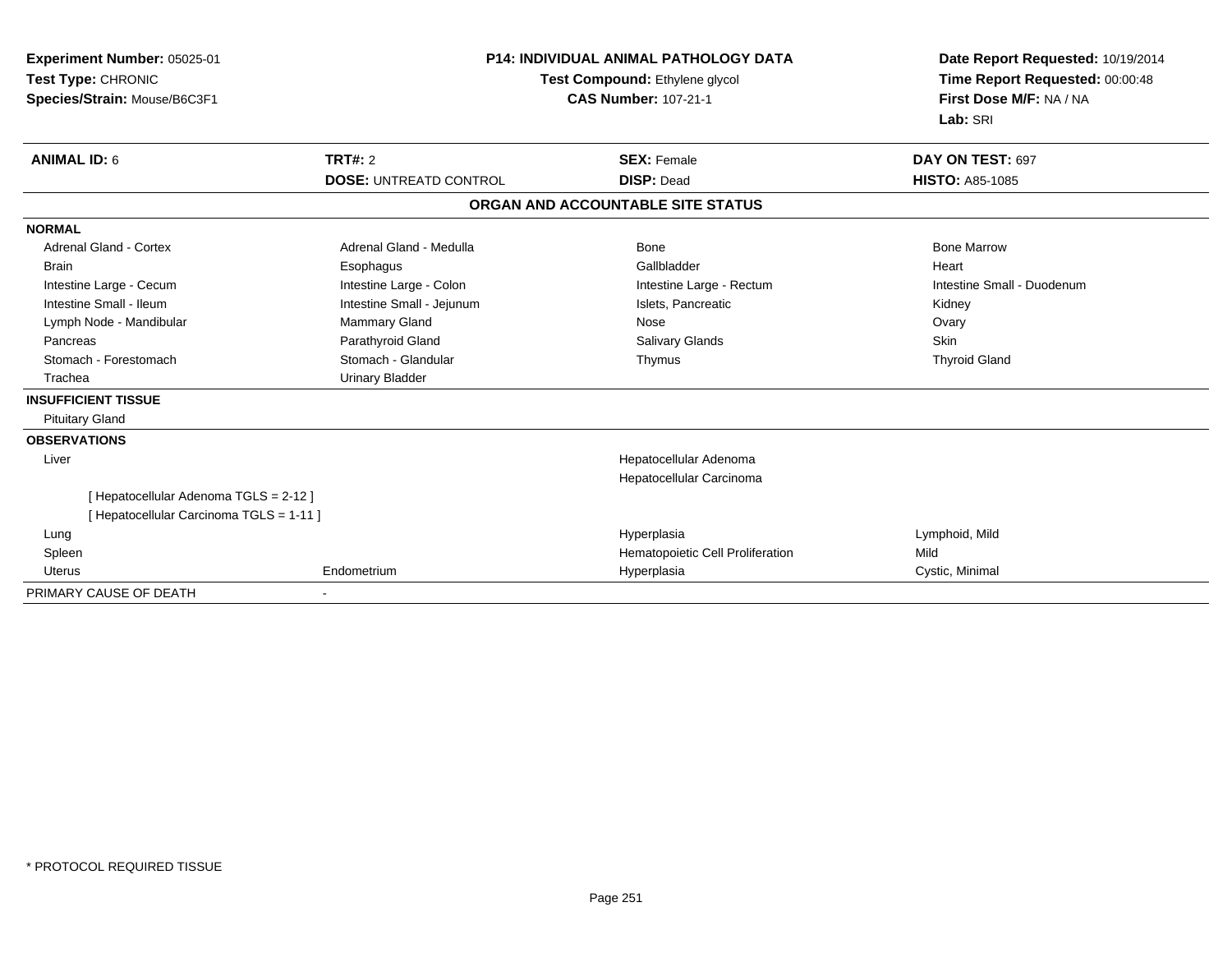| Experiment Number: 05025-01<br>Test Type: CHRONIC<br>Species/Strain: Mouse/B6C3F1 | <b>P14: INDIVIDUAL ANIMAL PATHOLOGY DATA</b><br>Test Compound: Ethylene glycol<br><b>CAS Number: 107-21-1</b> |                                   | Date Report Requested: 10/19/2014<br>Time Report Requested: 00:00:48<br>First Dose M/F: NA / NA<br>Lab: SRI |  |
|-----------------------------------------------------------------------------------|---------------------------------------------------------------------------------------------------------------|-----------------------------------|-------------------------------------------------------------------------------------------------------------|--|
| <b>ANIMAL ID: 6</b>                                                               | <b>TRT#: 2</b>                                                                                                | <b>SEX: Female</b>                | DAY ON TEST: 697                                                                                            |  |
|                                                                                   | <b>DOSE: UNTREATD CONTROL</b>                                                                                 | <b>DISP: Dead</b>                 | <b>HISTO: A85-1085</b>                                                                                      |  |
|                                                                                   |                                                                                                               | ORGAN AND ACCOUNTABLE SITE STATUS |                                                                                                             |  |
| <b>NORMAL</b>                                                                     |                                                                                                               |                                   |                                                                                                             |  |
| <b>Adrenal Gland - Cortex</b>                                                     | Adrenal Gland - Medulla                                                                                       | Bone                              | <b>Bone Marrow</b>                                                                                          |  |
| <b>Brain</b>                                                                      | Esophagus                                                                                                     | Gallbladder                       | Heart                                                                                                       |  |
| Intestine Large - Cecum                                                           | Intestine Large - Colon                                                                                       | Intestine Large - Rectum          | Intestine Small - Duodenum                                                                                  |  |
| Intestine Small - Ileum                                                           | Intestine Small - Jejunum                                                                                     | Islets, Pancreatic                | Kidney                                                                                                      |  |
| Lymph Node - Mandibular                                                           | Mammary Gland                                                                                                 | Nose                              | Ovary                                                                                                       |  |
| Pancreas                                                                          | Parathyroid Gland                                                                                             | Salivary Glands                   | <b>Skin</b>                                                                                                 |  |
| Stomach - Forestomach                                                             | Stomach - Glandular                                                                                           | Thymus                            | <b>Thyroid Gland</b>                                                                                        |  |
| Trachea                                                                           | <b>Urinary Bladder</b>                                                                                        |                                   |                                                                                                             |  |
| <b>INSUFFICIENT TISSUE</b>                                                        |                                                                                                               |                                   |                                                                                                             |  |
| <b>Pituitary Gland</b>                                                            |                                                                                                               |                                   |                                                                                                             |  |
| <b>OBSERVATIONS</b>                                                               |                                                                                                               |                                   |                                                                                                             |  |
| Liver                                                                             |                                                                                                               | Hepatocellular Adenoma            |                                                                                                             |  |
|                                                                                   |                                                                                                               | Hepatocellular Carcinoma          |                                                                                                             |  |
| [ Hepatocellular Adenoma TGLS = 2-12 ]                                            |                                                                                                               |                                   |                                                                                                             |  |
| [ Hepatocellular Carcinoma TGLS = 1-11 ]                                          |                                                                                                               |                                   |                                                                                                             |  |
| Lung                                                                              |                                                                                                               | Hyperplasia                       | Lymphoid, Mild                                                                                              |  |
| Spleen                                                                            |                                                                                                               | Hematopoietic Cell Proliferation  | Mild                                                                                                        |  |
| <b>Uterus</b>                                                                     | Endometrium                                                                                                   | Hyperplasia                       | Cystic, Minimal                                                                                             |  |
| PRIMARY CAUSE OF DEATH                                                            |                                                                                                               |                                   |                                                                                                             |  |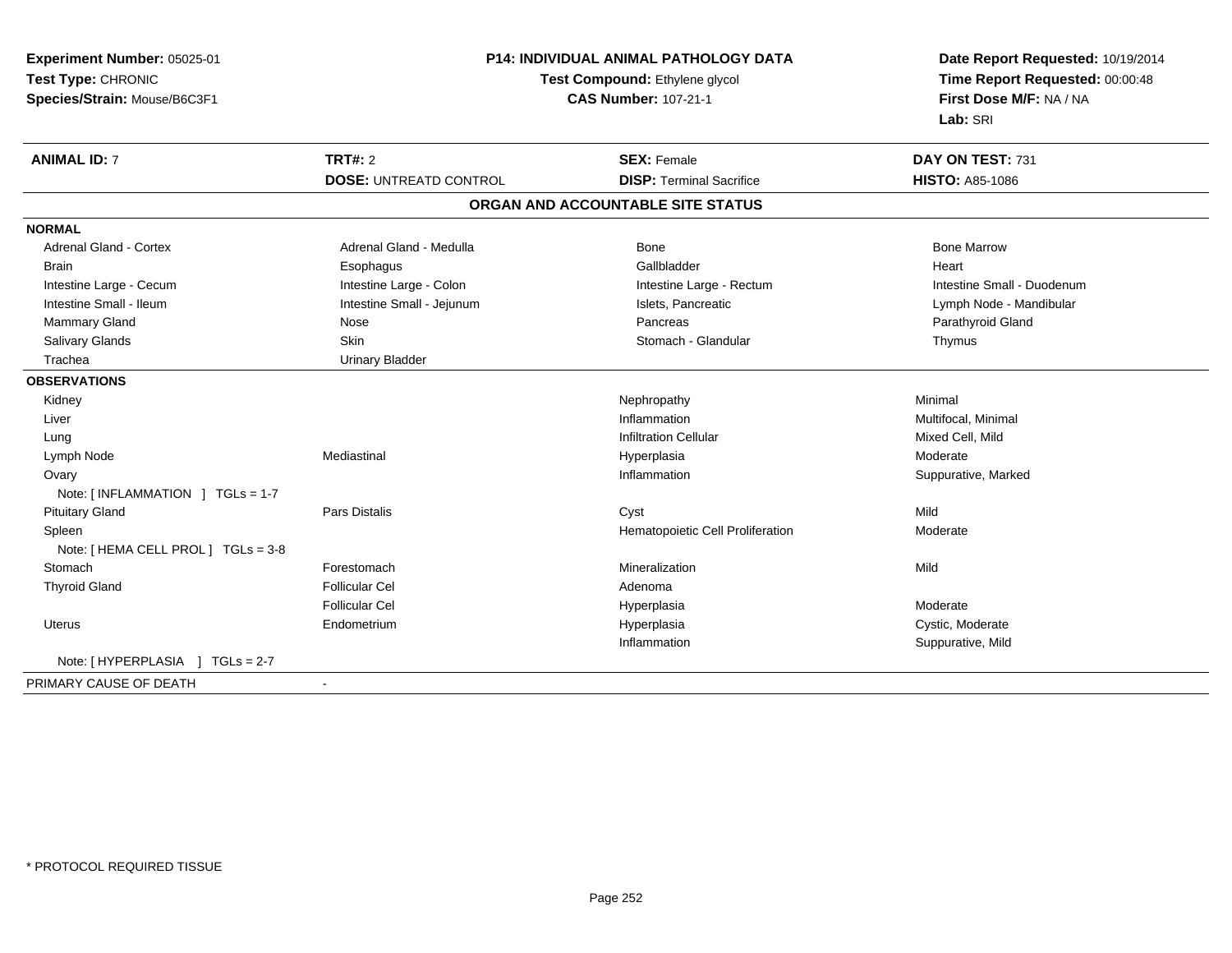| Experiment Number: 05025-01         | <b>P14: INDIVIDUAL ANIMAL PATHOLOGY DATA</b> |                                   | Date Report Requested: 10/19/2014<br>Time Report Requested: 00:00:48 |  |
|-------------------------------------|----------------------------------------------|-----------------------------------|----------------------------------------------------------------------|--|
| Test Type: CHRONIC                  | <b>Test Compound: Ethylene glycol</b>        |                                   |                                                                      |  |
| Species/Strain: Mouse/B6C3F1        |                                              | <b>CAS Number: 107-21-1</b>       | First Dose M/F: NA / NA                                              |  |
|                                     |                                              |                                   | Lab: SRI                                                             |  |
| <b>ANIMAL ID: 7</b>                 | <b>TRT#: 2</b>                               | <b>SEX: Female</b>                | DAY ON TEST: 731                                                     |  |
|                                     | <b>DOSE: UNTREATD CONTROL</b>                | <b>DISP: Terminal Sacrifice</b>   | <b>HISTO: A85-1086</b>                                               |  |
|                                     |                                              | ORGAN AND ACCOUNTABLE SITE STATUS |                                                                      |  |
| <b>NORMAL</b>                       |                                              |                                   |                                                                      |  |
| <b>Adrenal Gland - Cortex</b>       | Adrenal Gland - Medulla                      | Bone                              | <b>Bone Marrow</b>                                                   |  |
| <b>Brain</b>                        | Esophagus                                    | Gallbladder                       | Heart                                                                |  |
| Intestine Large - Cecum             | Intestine Large - Colon                      | Intestine Large - Rectum          | Intestine Small - Duodenum                                           |  |
| Intestine Small - Ileum             | Intestine Small - Jejunum                    | Islets, Pancreatic                | Lymph Node - Mandibular                                              |  |
| Mammary Gland                       | Nose                                         | Pancreas                          | Parathyroid Gland                                                    |  |
| Salivary Glands                     | <b>Skin</b>                                  | Stomach - Glandular               | Thymus                                                               |  |
| Trachea                             | <b>Urinary Bladder</b>                       |                                   |                                                                      |  |
| <b>OBSERVATIONS</b>                 |                                              |                                   |                                                                      |  |
| Kidney                              |                                              | Nephropathy                       | Minimal                                                              |  |
| Liver                               |                                              | Inflammation                      | Multifocal, Minimal                                                  |  |
| Lung                                |                                              | <b>Infiltration Cellular</b>      | Mixed Cell, Mild                                                     |  |
| Lymph Node                          | Mediastinal                                  | Hyperplasia                       | Moderate                                                             |  |
| Ovary                               |                                              | Inflammation                      | Suppurative, Marked                                                  |  |
| Note: [ INFLAMMATION ] TGLs = 1-7   |                                              |                                   |                                                                      |  |
| <b>Pituitary Gland</b>              | <b>Pars Distalis</b>                         | Cyst                              | Mild                                                                 |  |
| Spleen                              |                                              | Hematopoietic Cell Proliferation  | Moderate                                                             |  |
| Note: [ HEMA CELL PROL ] TGLs = 3-8 |                                              |                                   |                                                                      |  |
| Stomach                             | Forestomach                                  | Mineralization                    | Mild                                                                 |  |
| <b>Thyroid Gland</b>                | <b>Follicular Cel</b>                        | Adenoma                           |                                                                      |  |
|                                     | <b>Follicular Cel</b>                        | Hyperplasia                       | Moderate                                                             |  |
| <b>Uterus</b>                       | Endometrium                                  | Hyperplasia                       | Cystic, Moderate                                                     |  |
|                                     |                                              | Inflammation                      | Suppurative, Mild                                                    |  |
| Note: [HYPERPLASIA ] TGLs = 2-7     |                                              |                                   |                                                                      |  |
| PRIMARY CAUSE OF DEATH              | $\sim$                                       |                                   |                                                                      |  |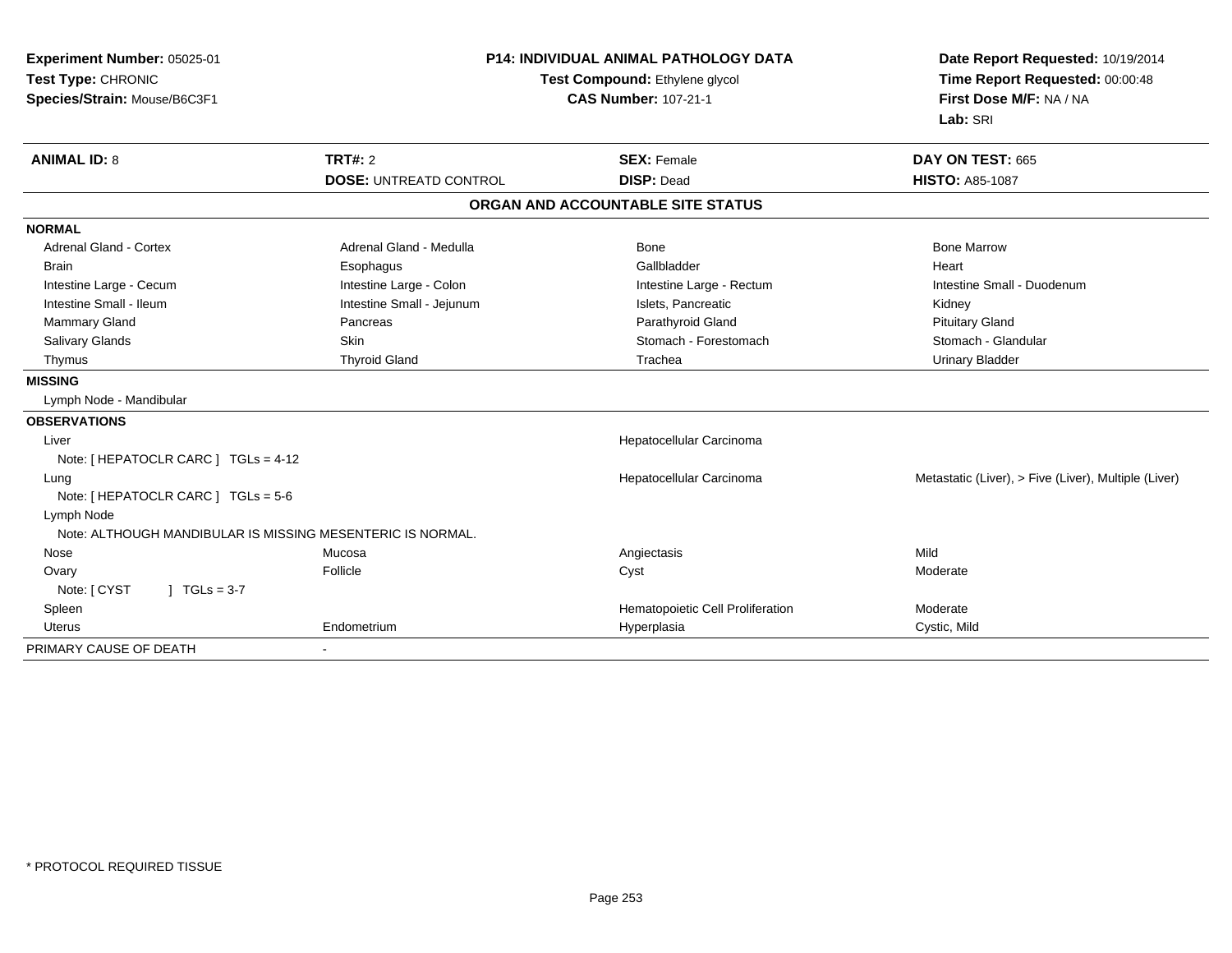| Experiment Number: 05025-01<br>Test Type: CHRONIC<br>Species/Strain: Mouse/B6C3F1 | <b>P14: INDIVIDUAL ANIMAL PATHOLOGY DATA</b><br>Test Compound: Ethylene glycol<br><b>CAS Number: 107-21-1</b> |                                   | Date Report Requested: 10/19/2014<br>Time Report Requested: 00:00:48<br>First Dose M/F: NA / NA<br>Lab: SRI |  |
|-----------------------------------------------------------------------------------|---------------------------------------------------------------------------------------------------------------|-----------------------------------|-------------------------------------------------------------------------------------------------------------|--|
| <b>ANIMAL ID: 8</b>                                                               | <b>TRT#: 2</b>                                                                                                | <b>SEX: Female</b>                | DAY ON TEST: 665                                                                                            |  |
|                                                                                   | <b>DOSE: UNTREATD CONTROL</b>                                                                                 | <b>DISP: Dead</b>                 | <b>HISTO: A85-1087</b>                                                                                      |  |
|                                                                                   |                                                                                                               | ORGAN AND ACCOUNTABLE SITE STATUS |                                                                                                             |  |
| <b>NORMAL</b>                                                                     |                                                                                                               |                                   |                                                                                                             |  |
| <b>Adrenal Gland - Cortex</b>                                                     | Adrenal Gland - Medulla                                                                                       | <b>Bone</b>                       | <b>Bone Marrow</b>                                                                                          |  |
| <b>Brain</b>                                                                      | Esophagus                                                                                                     | Gallbladder                       | Heart                                                                                                       |  |
| Intestine Large - Cecum                                                           | Intestine Large - Colon                                                                                       | Intestine Large - Rectum          | Intestine Small - Duodenum                                                                                  |  |
| Intestine Small - Ileum                                                           | Intestine Small - Jejunum                                                                                     | Islets, Pancreatic                | Kidney                                                                                                      |  |
| Mammary Gland                                                                     | Pancreas                                                                                                      | Parathyroid Gland                 | <b>Pituitary Gland</b>                                                                                      |  |
| Salivary Glands                                                                   | <b>Skin</b>                                                                                                   | Stomach - Forestomach             | Stomach - Glandular                                                                                         |  |
| Thymus                                                                            | <b>Thyroid Gland</b>                                                                                          | Trachea                           | <b>Urinary Bladder</b>                                                                                      |  |
| <b>MISSING</b>                                                                    |                                                                                                               |                                   |                                                                                                             |  |
| Lymph Node - Mandibular                                                           |                                                                                                               |                                   |                                                                                                             |  |
| <b>OBSERVATIONS</b>                                                               |                                                                                                               |                                   |                                                                                                             |  |
| Liver                                                                             |                                                                                                               | Hepatocellular Carcinoma          |                                                                                                             |  |
| Note: [ HEPATOCLR CARC ] TGLs = 4-12                                              |                                                                                                               |                                   |                                                                                                             |  |
| Lung                                                                              |                                                                                                               | Hepatocellular Carcinoma          | Metastatic (Liver), > Five (Liver), Multiple (Liver)                                                        |  |
| Note: [ HEPATOCLR CARC ] TGLs = 5-6                                               |                                                                                                               |                                   |                                                                                                             |  |
| Lymph Node                                                                        |                                                                                                               |                                   |                                                                                                             |  |
| Note: ALTHOUGH MANDIBULAR IS MISSING MESENTERIC IS NORMAL.                        |                                                                                                               |                                   |                                                                                                             |  |
| Nose                                                                              | Mucosa                                                                                                        | Angiectasis                       | Mild                                                                                                        |  |
| Ovary                                                                             | Follicle                                                                                                      | Cyst                              | Moderate                                                                                                    |  |
| $1 TGLs = 3-7$<br>Note: [ CYST                                                    |                                                                                                               |                                   |                                                                                                             |  |
| Spleen                                                                            |                                                                                                               | Hematopoietic Cell Proliferation  | Moderate                                                                                                    |  |
| Uterus                                                                            | Endometrium                                                                                                   | Hyperplasia                       | Cystic, Mild                                                                                                |  |
| PRIMARY CAUSE OF DEATH                                                            |                                                                                                               |                                   |                                                                                                             |  |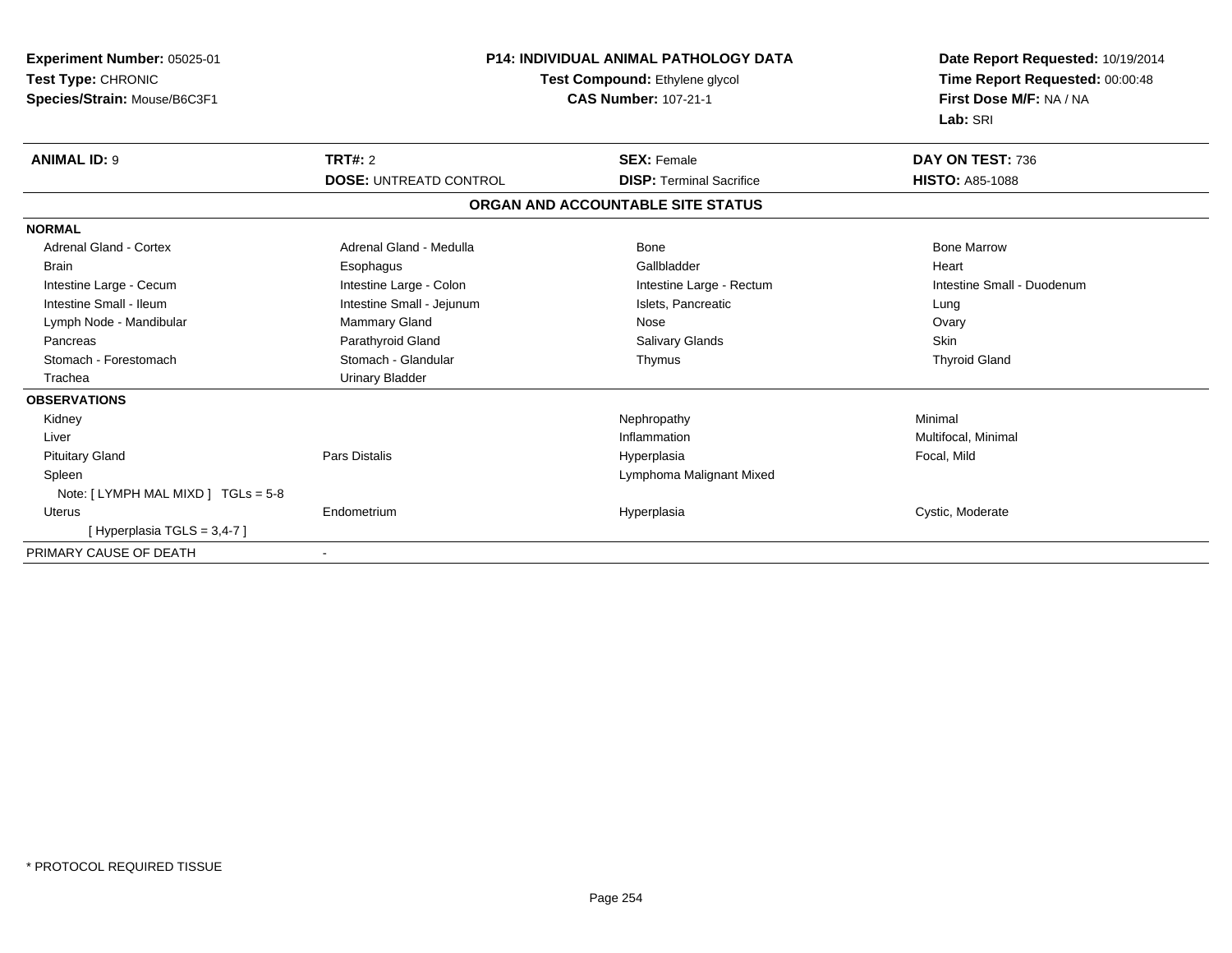| <b>Experiment Number: 05025-01</b><br>Test Type: CHRONIC<br>Species/Strain: Mouse/B6C3F1 | <b>P14: INDIVIDUAL ANIMAL PATHOLOGY DATA</b><br>Test Compound: Ethylene glycol<br><b>CAS Number: 107-21-1</b> |                                   | Date Report Requested: 10/19/2014<br>Time Report Requested: 00:00:48<br>First Dose M/F: NA / NA<br>Lab: SRI |  |
|------------------------------------------------------------------------------------------|---------------------------------------------------------------------------------------------------------------|-----------------------------------|-------------------------------------------------------------------------------------------------------------|--|
| <b>ANIMAL ID: 9</b>                                                                      | <b>TRT#: 2</b>                                                                                                | <b>SEX: Female</b>                | DAY ON TEST: 736                                                                                            |  |
|                                                                                          | <b>DOSE: UNTREATD CONTROL</b>                                                                                 | <b>DISP: Terminal Sacrifice</b>   | <b>HISTO: A85-1088</b>                                                                                      |  |
|                                                                                          |                                                                                                               | ORGAN AND ACCOUNTABLE SITE STATUS |                                                                                                             |  |
| <b>NORMAL</b>                                                                            |                                                                                                               |                                   |                                                                                                             |  |
| <b>Adrenal Gland - Cortex</b>                                                            | Adrenal Gland - Medulla                                                                                       | Bone                              | <b>Bone Marrow</b>                                                                                          |  |
| <b>Brain</b>                                                                             | Esophagus                                                                                                     | Gallbladder                       | Heart                                                                                                       |  |
| Intestine Large - Cecum                                                                  | Intestine Large - Colon                                                                                       | Intestine Large - Rectum          | Intestine Small - Duodenum                                                                                  |  |
| Intestine Small - Ileum                                                                  | Intestine Small - Jejunum                                                                                     | Islets, Pancreatic                | Lung                                                                                                        |  |
| Lymph Node - Mandibular                                                                  | <b>Mammary Gland</b>                                                                                          | Nose                              | Ovary                                                                                                       |  |
| Pancreas                                                                                 | Parathyroid Gland                                                                                             | <b>Salivary Glands</b>            | Skin                                                                                                        |  |
| Stomach - Forestomach                                                                    | Stomach - Glandular                                                                                           | Thymus                            | <b>Thyroid Gland</b>                                                                                        |  |
| Trachea                                                                                  | <b>Urinary Bladder</b>                                                                                        |                                   |                                                                                                             |  |
| <b>OBSERVATIONS</b>                                                                      |                                                                                                               |                                   |                                                                                                             |  |
| Kidney                                                                                   |                                                                                                               | Nephropathy                       | Minimal                                                                                                     |  |
| Liver                                                                                    |                                                                                                               | Inflammation                      | Multifocal, Minimal                                                                                         |  |
| <b>Pituitary Gland</b>                                                                   | <b>Pars Distalis</b>                                                                                          | Hyperplasia                       | Focal, Mild                                                                                                 |  |
| Spleen                                                                                   |                                                                                                               | Lymphoma Malignant Mixed          |                                                                                                             |  |
| Note: [LYMPH MAL MIXD ] TGLs = 5-8                                                       |                                                                                                               |                                   |                                                                                                             |  |
| <b>Uterus</b>                                                                            | Endometrium                                                                                                   | Hyperplasia                       | Cystic, Moderate                                                                                            |  |
| [Hyperplasia TGLS = $3,4-7$ ]                                                            |                                                                                                               |                                   |                                                                                                             |  |
| PRIMARY CAUSE OF DEATH                                                                   | $\overline{\phantom{a}}$                                                                                      |                                   |                                                                                                             |  |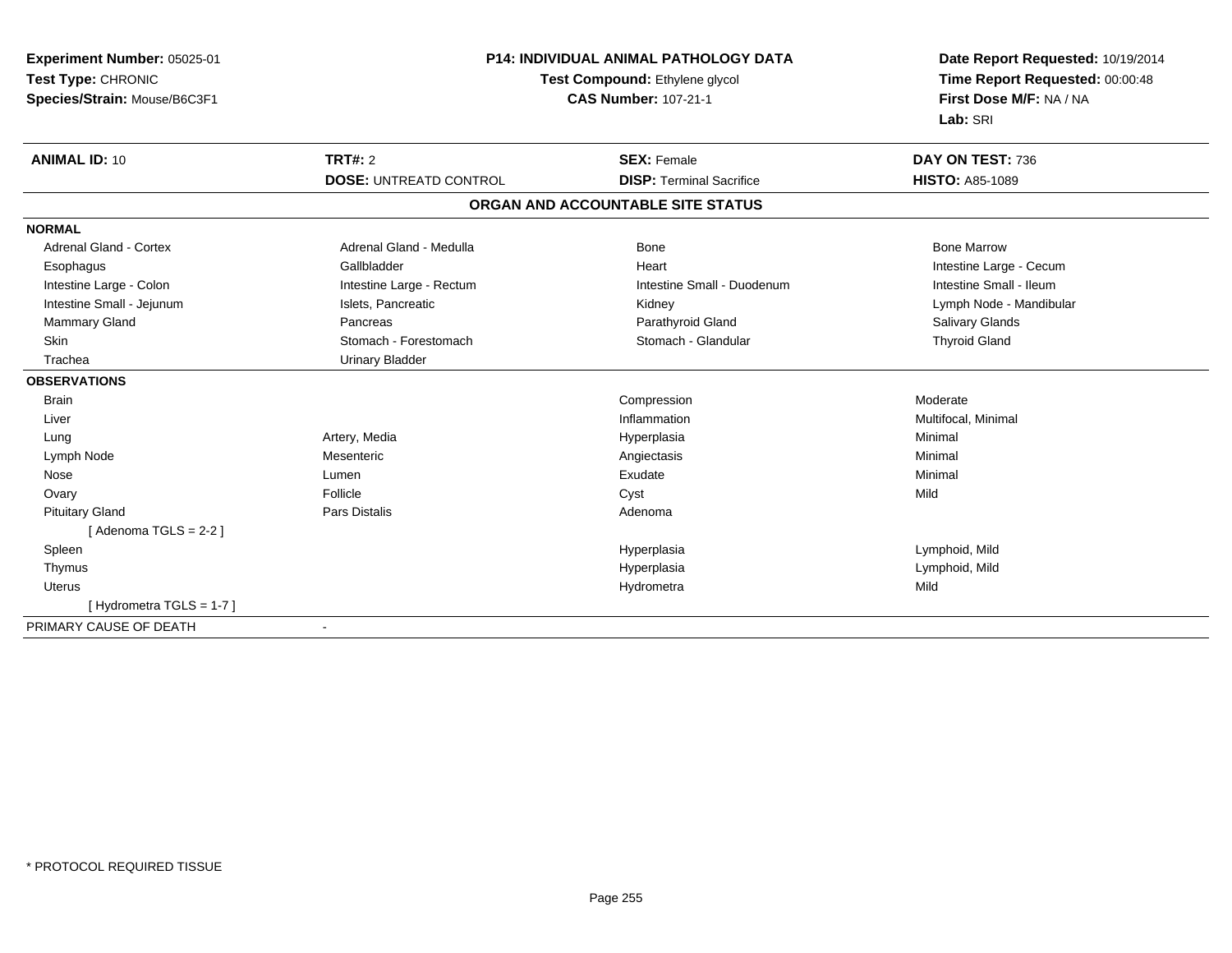| Experiment Number: 05025-01<br>Test Type: CHRONIC<br>Species/Strain: Mouse/B6C3F1 | <b>P14: INDIVIDUAL ANIMAL PATHOLOGY DATA</b><br>Test Compound: Ethylene glycol<br><b>CAS Number: 107-21-1</b> |                                   | Date Report Requested: 10/19/2014<br>Time Report Requested: 00:00:48<br>First Dose M/F: NA / NA<br>Lab: SRI |  |
|-----------------------------------------------------------------------------------|---------------------------------------------------------------------------------------------------------------|-----------------------------------|-------------------------------------------------------------------------------------------------------------|--|
| <b>ANIMAL ID: 10</b>                                                              | TRT#: 2                                                                                                       | <b>SEX: Female</b>                | DAY ON TEST: 736                                                                                            |  |
|                                                                                   | <b>DOSE: UNTREATD CONTROL</b>                                                                                 | <b>DISP: Terminal Sacrifice</b>   | <b>HISTO: A85-1089</b>                                                                                      |  |
|                                                                                   |                                                                                                               | ORGAN AND ACCOUNTABLE SITE STATUS |                                                                                                             |  |
| <b>NORMAL</b>                                                                     |                                                                                                               |                                   |                                                                                                             |  |
| <b>Adrenal Gland - Cortex</b>                                                     | Adrenal Gland - Medulla                                                                                       | <b>Bone</b>                       | <b>Bone Marrow</b>                                                                                          |  |
| Esophagus                                                                         | Gallbladder                                                                                                   | Heart                             | Intestine Large - Cecum                                                                                     |  |
| Intestine Large - Colon                                                           | Intestine Large - Rectum                                                                                      | Intestine Small - Duodenum        | Intestine Small - Ileum                                                                                     |  |
| Intestine Small - Jejunum                                                         | Islets, Pancreatic                                                                                            | Kidney                            | Lymph Node - Mandibular                                                                                     |  |
| Mammary Gland                                                                     | Pancreas                                                                                                      | Parathyroid Gland                 | Salivary Glands                                                                                             |  |
| <b>Skin</b>                                                                       | Stomach - Forestomach                                                                                         | Stomach - Glandular               | <b>Thyroid Gland</b>                                                                                        |  |
| Trachea                                                                           | <b>Urinary Bladder</b>                                                                                        |                                   |                                                                                                             |  |
| <b>OBSERVATIONS</b>                                                               |                                                                                                               |                                   |                                                                                                             |  |
| <b>Brain</b>                                                                      |                                                                                                               | Compression                       | Moderate                                                                                                    |  |
| Liver                                                                             |                                                                                                               | Inflammation                      | Multifocal, Minimal                                                                                         |  |
| Lung                                                                              | Artery, Media                                                                                                 | Hyperplasia                       | Minimal                                                                                                     |  |
| Lymph Node                                                                        | Mesenteric                                                                                                    | Angiectasis                       | Minimal                                                                                                     |  |
| Nose                                                                              | Lumen                                                                                                         | Exudate                           | Minimal                                                                                                     |  |
| Ovary                                                                             | Follicle                                                                                                      | Cyst                              | Mild                                                                                                        |  |
| <b>Pituitary Gland</b>                                                            | <b>Pars Distalis</b>                                                                                          | Adenoma                           |                                                                                                             |  |
| [Adenoma TGLS = $2-2$ ]                                                           |                                                                                                               |                                   |                                                                                                             |  |
| Spleen                                                                            |                                                                                                               | Hyperplasia                       | Lymphoid, Mild                                                                                              |  |
| Thymus                                                                            |                                                                                                               | Hyperplasia                       | Lymphoid, Mild                                                                                              |  |
| <b>Uterus</b>                                                                     |                                                                                                               | Hydrometra                        | Mild                                                                                                        |  |
| [Hydrometra TGLS = 1-7]                                                           |                                                                                                               |                                   |                                                                                                             |  |
| DDIMADV CALICE OF DEATH                                                           |                                                                                                               |                                   |                                                                                                             |  |

PRIMARY CAUSE OF DEATH-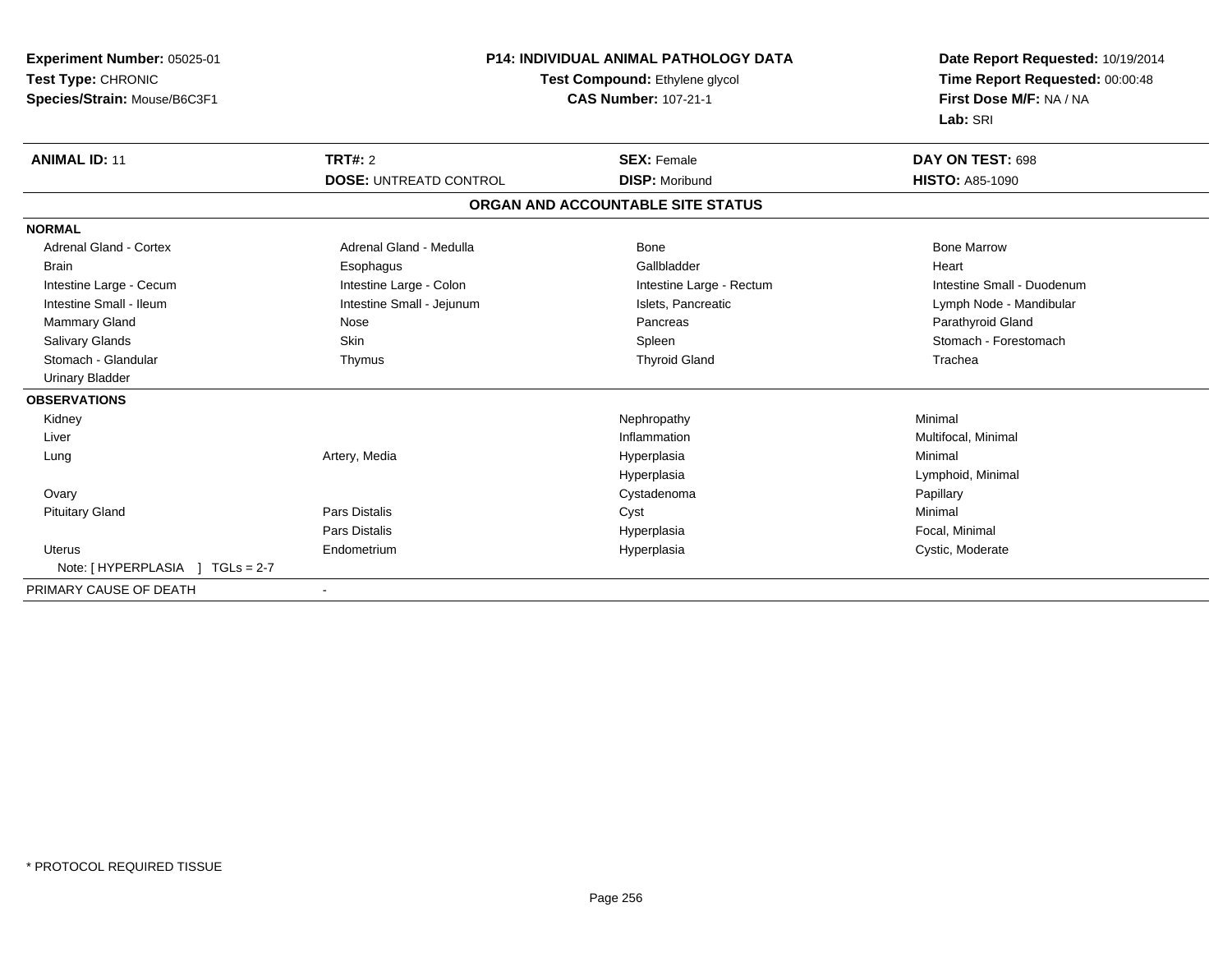| <b>Experiment Number: 05025-01</b> | <b>P14: INDIVIDUAL ANIMAL PATHOLOGY DATA</b><br>Test Compound: Ethylene glycol |                                   | Date Report Requested: 10/19/2014 |
|------------------------------------|--------------------------------------------------------------------------------|-----------------------------------|-----------------------------------|
| Test Type: CHRONIC                 |                                                                                |                                   | Time Report Requested: 00:00:48   |
| Species/Strain: Mouse/B6C3F1       |                                                                                | <b>CAS Number: 107-21-1</b>       | First Dose M/F: NA / NA           |
|                                    |                                                                                |                                   | Lab: SRI                          |
| <b>ANIMAL ID: 11</b>               | TRT#: 2                                                                        | <b>SEX: Female</b>                | DAY ON TEST: 698                  |
|                                    | <b>DOSE: UNTREATD CONTROL</b>                                                  | <b>DISP: Moribund</b>             | <b>HISTO: A85-1090</b>            |
|                                    |                                                                                | ORGAN AND ACCOUNTABLE SITE STATUS |                                   |
| <b>NORMAL</b>                      |                                                                                |                                   |                                   |
| <b>Adrenal Gland - Cortex</b>      | Adrenal Gland - Medulla                                                        | <b>Bone</b>                       | <b>Bone Marrow</b>                |
| <b>Brain</b>                       | Esophagus                                                                      | Gallbladder                       | Heart                             |
| Intestine Large - Cecum            | Intestine Large - Colon                                                        | Intestine Large - Rectum          | Intestine Small - Duodenum        |
| Intestine Small - Ileum            | Intestine Small - Jejunum                                                      | Islets, Pancreatic                | Lymph Node - Mandibular           |
| <b>Mammary Gland</b>               | Nose                                                                           | Pancreas                          | Parathyroid Gland                 |
| Salivary Glands                    | <b>Skin</b>                                                                    | Spleen                            | Stomach - Forestomach             |
| Stomach - Glandular                | Thymus                                                                         | <b>Thyroid Gland</b>              | Trachea                           |
| <b>Urinary Bladder</b>             |                                                                                |                                   |                                   |
| <b>OBSERVATIONS</b>                |                                                                                |                                   |                                   |
| Kidney                             |                                                                                | Nephropathy                       | Minimal                           |
| Liver                              |                                                                                | Inflammation                      | Multifocal, Minimal               |
| Lung                               | Artery, Media                                                                  | Hyperplasia                       | Minimal                           |
|                                    |                                                                                | Hyperplasia                       | Lymphoid, Minimal                 |
| Ovary                              |                                                                                | Cystadenoma                       | Papillary                         |
| <b>Pituitary Gland</b>             | Pars Distalis                                                                  | Cyst                              | Minimal                           |
|                                    | <b>Pars Distalis</b>                                                           | Hyperplasia                       | Focal, Minimal                    |
| <b>Uterus</b>                      | Endometrium                                                                    | Hyperplasia                       | Cystic, Moderate                  |
|                                    |                                                                                |                                   |                                   |
| PRIMARY CAUSE OF DEATH             |                                                                                |                                   |                                   |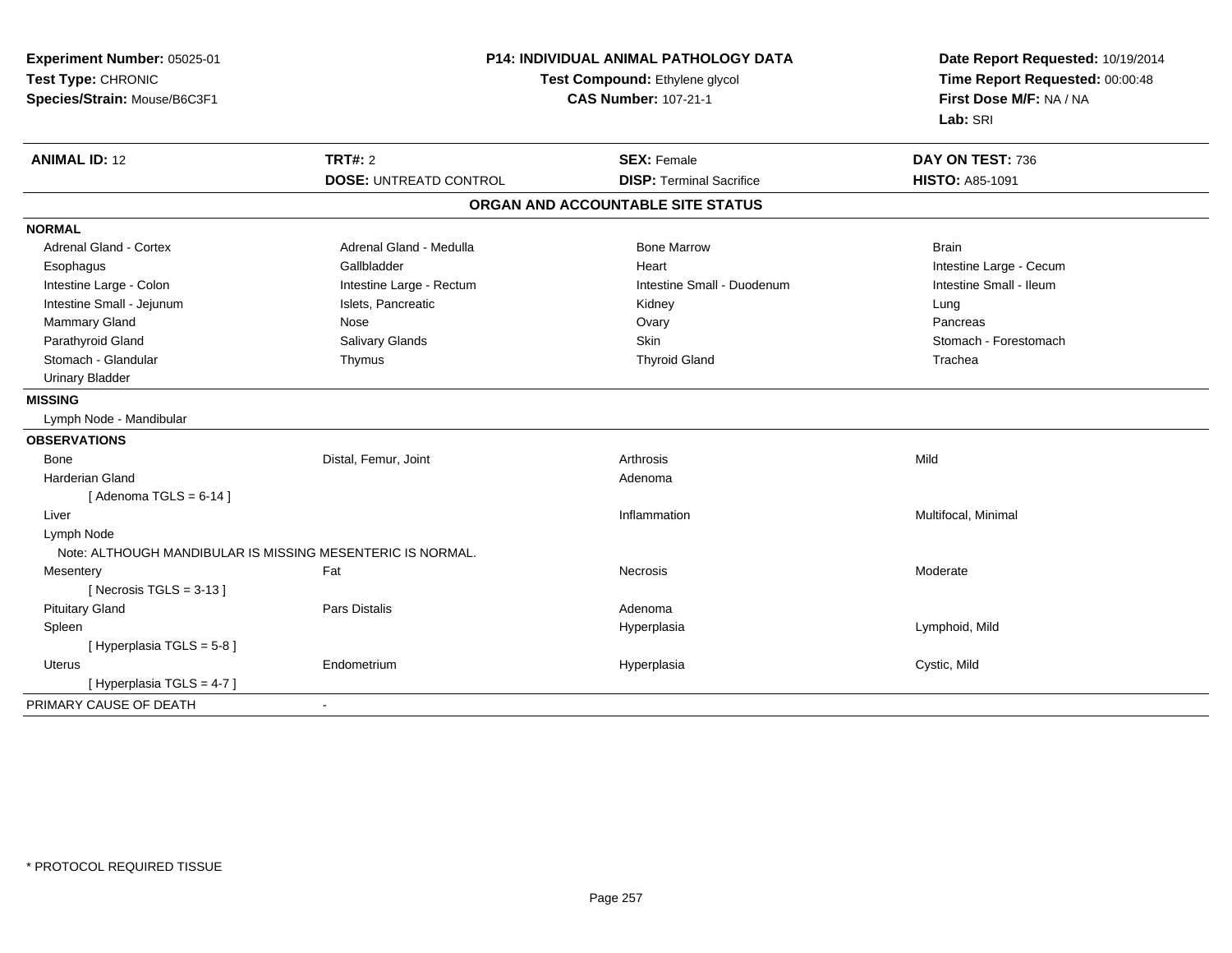| Experiment Number: 05025-01<br>Test Type: CHRONIC<br>Species/Strain: Mouse/B6C3F1 | <b>P14: INDIVIDUAL ANIMAL PATHOLOGY DATA</b><br>Test Compound: Ethylene glycol<br><b>CAS Number: 107-21-1</b> |                                   | Date Report Requested: 10/19/2014<br>Time Report Requested: 00:00:48<br>First Dose M/F: NA / NA<br>Lab: SRI |
|-----------------------------------------------------------------------------------|---------------------------------------------------------------------------------------------------------------|-----------------------------------|-------------------------------------------------------------------------------------------------------------|
| <b>ANIMAL ID: 12</b>                                                              | <b>TRT#: 2</b>                                                                                                | <b>SEX: Female</b>                | DAY ON TEST: 736                                                                                            |
|                                                                                   | <b>DOSE: UNTREATD CONTROL</b>                                                                                 | <b>DISP: Terminal Sacrifice</b>   | <b>HISTO: A85-1091</b>                                                                                      |
|                                                                                   |                                                                                                               | ORGAN AND ACCOUNTABLE SITE STATUS |                                                                                                             |
| <b>NORMAL</b>                                                                     |                                                                                                               |                                   |                                                                                                             |
| <b>Adrenal Gland - Cortex</b>                                                     | Adrenal Gland - Medulla                                                                                       | <b>Bone Marrow</b>                | <b>Brain</b>                                                                                                |
| Esophagus                                                                         | Gallbladder                                                                                                   | Heart                             | Intestine Large - Cecum                                                                                     |
| Intestine Large - Colon                                                           | Intestine Large - Rectum                                                                                      | Intestine Small - Duodenum        | Intestine Small - Ileum                                                                                     |
| Intestine Small - Jejunum                                                         | Islets, Pancreatic                                                                                            | Kidney                            | Lung                                                                                                        |
| Mammary Gland                                                                     | Nose                                                                                                          | Ovary                             | Pancreas                                                                                                    |
| Parathyroid Gland                                                                 | Salivary Glands                                                                                               | Skin                              | Stomach - Forestomach                                                                                       |
| Stomach - Glandular                                                               | Thymus                                                                                                        | <b>Thyroid Gland</b>              | Trachea                                                                                                     |
| <b>Urinary Bladder</b>                                                            |                                                                                                               |                                   |                                                                                                             |
| <b>MISSING</b>                                                                    |                                                                                                               |                                   |                                                                                                             |
| Lymph Node - Mandibular                                                           |                                                                                                               |                                   |                                                                                                             |
| <b>OBSERVATIONS</b>                                                               |                                                                                                               |                                   |                                                                                                             |
| Bone                                                                              | Distal, Femur, Joint                                                                                          | Arthrosis                         | Mild                                                                                                        |
| <b>Harderian Gland</b>                                                            |                                                                                                               | Adenoma                           |                                                                                                             |
| [Adenoma TGLS = $6-14$ ]                                                          |                                                                                                               |                                   |                                                                                                             |
| Liver                                                                             |                                                                                                               | Inflammation                      | Multifocal, Minimal                                                                                         |
| Lymph Node                                                                        |                                                                                                               |                                   |                                                                                                             |
| Note: ALTHOUGH MANDIBULAR IS MISSING MESENTERIC IS NORMAL.                        |                                                                                                               |                                   |                                                                                                             |
| Mesentery                                                                         | Fat                                                                                                           | Necrosis                          | Moderate                                                                                                    |
| [ Necrosis $TGLS = 3-13$ ]                                                        |                                                                                                               |                                   |                                                                                                             |
| <b>Pituitary Gland</b>                                                            | Pars Distalis                                                                                                 | Adenoma                           |                                                                                                             |
| Spleen                                                                            |                                                                                                               | Hyperplasia                       | Lymphoid, Mild                                                                                              |
| [Hyperplasia TGLS = 5-8]                                                          |                                                                                                               |                                   |                                                                                                             |
| <b>Uterus</b>                                                                     | Endometrium                                                                                                   | Hyperplasia                       | Cystic, Mild                                                                                                |
| [Hyperplasia TGLS = $4-7$ ]                                                       |                                                                                                               |                                   |                                                                                                             |
| PRIMARY CAUSE OF DEATH                                                            | $\sim$                                                                                                        |                                   |                                                                                                             |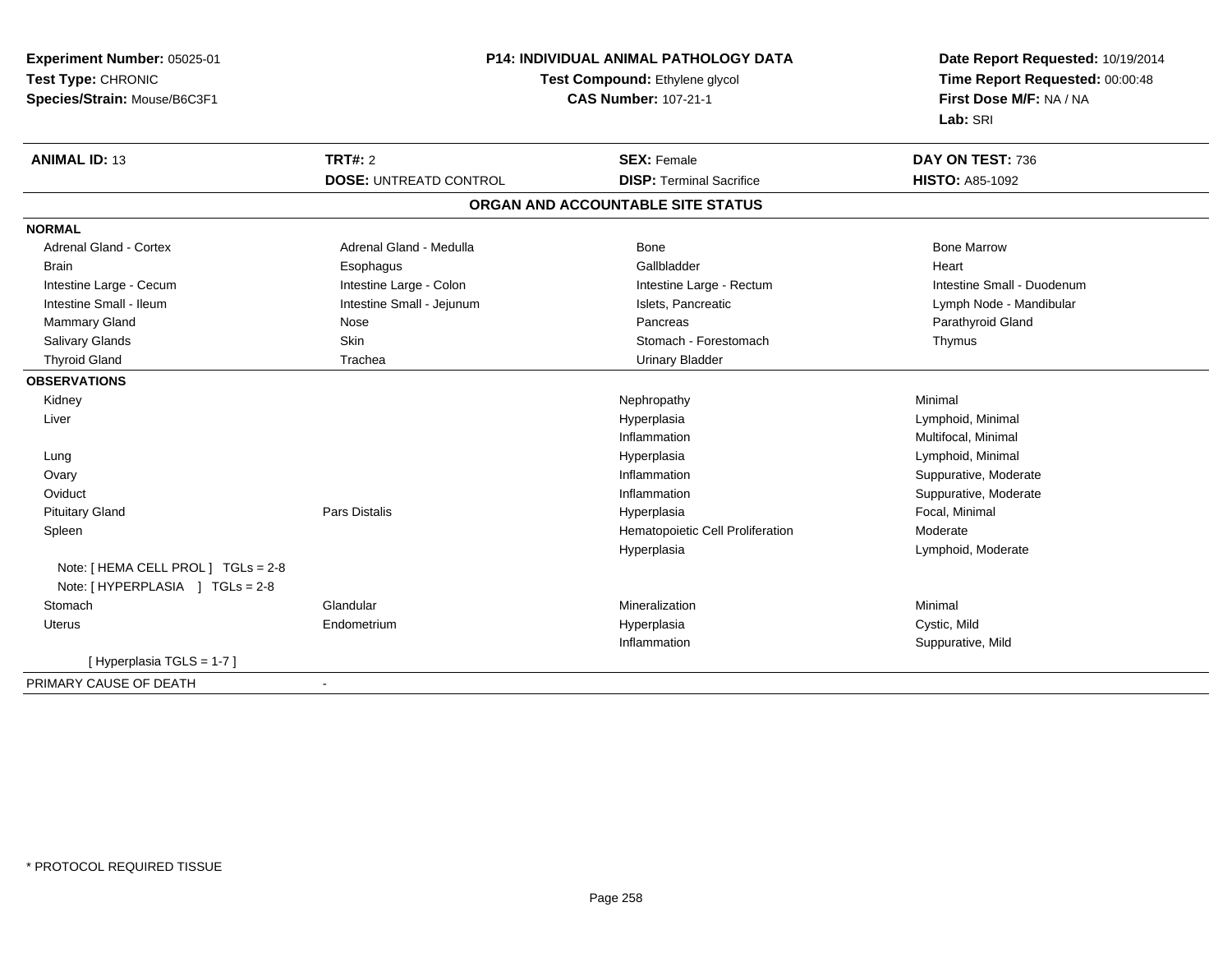| Experiment Number: 05025-01         | <b>P14: INDIVIDUAL ANIMAL PATHOLOGY DATA</b><br>Test Compound: Ethylene glycol |                                   | Date Report Requested: 10/19/2014<br>Time Report Requested: 00:00:48 |
|-------------------------------------|--------------------------------------------------------------------------------|-----------------------------------|----------------------------------------------------------------------|
| Test Type: CHRONIC                  |                                                                                |                                   |                                                                      |
| Species/Strain: Mouse/B6C3F1        |                                                                                | <b>CAS Number: 107-21-1</b>       | First Dose M/F: NA / NA                                              |
|                                     |                                                                                |                                   | Lab: SRI                                                             |
| <b>ANIMAL ID: 13</b>                | <b>TRT#: 2</b><br><b>SEX: Female</b>                                           |                                   | DAY ON TEST: 736                                                     |
|                                     | <b>DOSE: UNTREATD CONTROL</b>                                                  | <b>DISP: Terminal Sacrifice</b>   | <b>HISTO: A85-1092</b>                                               |
|                                     |                                                                                | ORGAN AND ACCOUNTABLE SITE STATUS |                                                                      |
| <b>NORMAL</b>                       |                                                                                |                                   |                                                                      |
| Adrenal Gland - Cortex              | Adrenal Gland - Medulla                                                        | Bone                              | <b>Bone Marrow</b>                                                   |
| <b>Brain</b>                        | Esophagus                                                                      | Gallbladder                       | Heart                                                                |
| Intestine Large - Cecum             | Intestine Large - Colon                                                        | Intestine Large - Rectum          | Intestine Small - Duodenum                                           |
| Intestine Small - Ileum             | Intestine Small - Jejunum                                                      | Islets, Pancreatic                | Lymph Node - Mandibular                                              |
| Mammary Gland                       | Nose                                                                           | Pancreas                          | Parathyroid Gland                                                    |
| Salivary Glands                     | Skin                                                                           | Stomach - Forestomach             | Thymus                                                               |
| <b>Thyroid Gland</b>                | Trachea                                                                        | <b>Urinary Bladder</b>            |                                                                      |
| <b>OBSERVATIONS</b>                 |                                                                                |                                   |                                                                      |
| Kidney                              |                                                                                | Nephropathy                       | Minimal                                                              |
| Liver                               |                                                                                | Hyperplasia                       | Lymphoid, Minimal                                                    |
|                                     |                                                                                | Inflammation                      | Multifocal, Minimal                                                  |
| Lung                                |                                                                                | Hyperplasia                       | Lymphoid, Minimal                                                    |
| Ovary                               |                                                                                | Inflammation                      | Suppurative, Moderate                                                |
| Oviduct                             |                                                                                | Inflammation                      | Suppurative, Moderate                                                |
| <b>Pituitary Gland</b>              | <b>Pars Distalis</b>                                                           | Hyperplasia                       | Focal, Minimal                                                       |
| Spleen                              |                                                                                | Hematopoietic Cell Proliferation  | Moderate                                                             |
|                                     |                                                                                | Hyperplasia                       | Lymphoid, Moderate                                                   |
| Note: [ HEMA CELL PROL ] TGLs = 2-8 |                                                                                |                                   |                                                                      |
| Note: [HYPERPLASIA ] TGLs = 2-8     |                                                                                |                                   |                                                                      |
| Stomach                             | Glandular                                                                      | Mineralization                    | Minimal                                                              |
| <b>Uterus</b>                       | Endometrium                                                                    | Hyperplasia                       | Cystic, Mild                                                         |
|                                     |                                                                                | Inflammation                      | Suppurative, Mild                                                    |
| [Hyperplasia TGLS = 1-7]            |                                                                                |                                   |                                                                      |
| PRIMARY CAUSE OF DEATH              | $\sim$                                                                         |                                   |                                                                      |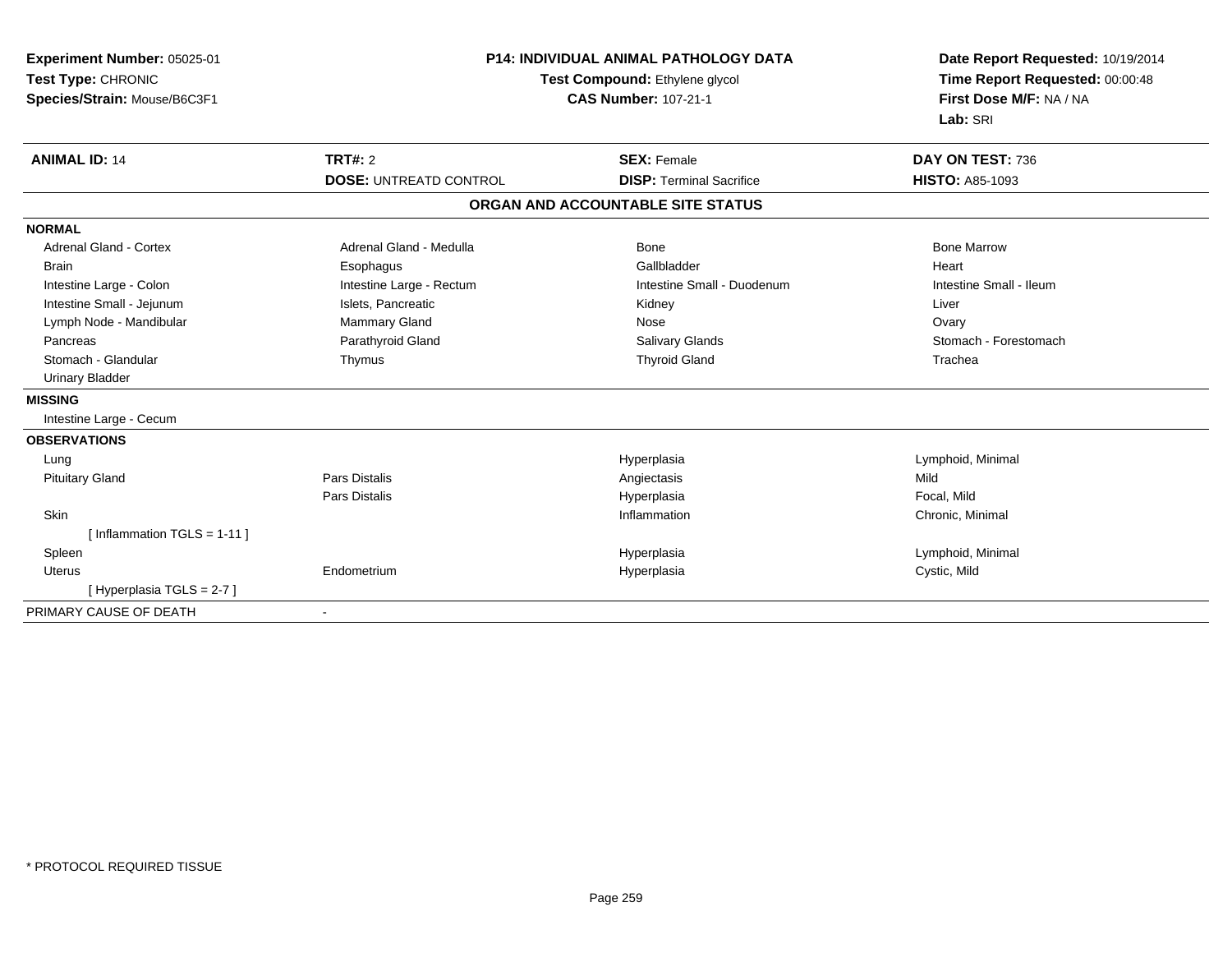| Experiment Number: 05025-01<br>Test Type: CHRONIC<br>Species/Strain: Mouse/B6C3F1 | <b>P14: INDIVIDUAL ANIMAL PATHOLOGY DATA</b><br>Test Compound: Ethylene glycol<br><b>CAS Number: 107-21-1</b> |                                   | Date Report Requested: 10/19/2014<br>Time Report Requested: 00:00:48<br>First Dose M/F: NA / NA<br>Lab: SRI |  |
|-----------------------------------------------------------------------------------|---------------------------------------------------------------------------------------------------------------|-----------------------------------|-------------------------------------------------------------------------------------------------------------|--|
| <b>ANIMAL ID: 14</b>                                                              | <b>TRT#: 2</b>                                                                                                | <b>SEX: Female</b>                | DAY ON TEST: 736                                                                                            |  |
|                                                                                   | <b>DOSE: UNTREATD CONTROL</b>                                                                                 | <b>DISP: Terminal Sacrifice</b>   | <b>HISTO: A85-1093</b>                                                                                      |  |
|                                                                                   |                                                                                                               | ORGAN AND ACCOUNTABLE SITE STATUS |                                                                                                             |  |
| <b>NORMAL</b>                                                                     |                                                                                                               |                                   |                                                                                                             |  |
| <b>Adrenal Gland - Cortex</b>                                                     | Adrenal Gland - Medulla                                                                                       | Bone                              | <b>Bone Marrow</b>                                                                                          |  |
| <b>Brain</b>                                                                      | Esophagus                                                                                                     | Gallbladder                       | Heart                                                                                                       |  |
| Intestine Large - Colon                                                           | Intestine Large - Rectum                                                                                      | Intestine Small - Duodenum        | Intestine Small - Ileum                                                                                     |  |
| Intestine Small - Jejunum                                                         | Islets, Pancreatic                                                                                            | Kidney                            | Liver                                                                                                       |  |
| Lymph Node - Mandibular                                                           | Mammary Gland                                                                                                 | Nose                              | Ovary                                                                                                       |  |
| Pancreas                                                                          | Parathyroid Gland                                                                                             | Salivary Glands                   | Stomach - Forestomach                                                                                       |  |
| Stomach - Glandular                                                               | Thymus                                                                                                        | <b>Thyroid Gland</b>              | Trachea                                                                                                     |  |
| <b>Urinary Bladder</b>                                                            |                                                                                                               |                                   |                                                                                                             |  |
| <b>MISSING</b>                                                                    |                                                                                                               |                                   |                                                                                                             |  |
| Intestine Large - Cecum                                                           |                                                                                                               |                                   |                                                                                                             |  |
| <b>OBSERVATIONS</b>                                                               |                                                                                                               |                                   |                                                                                                             |  |
| Lung                                                                              |                                                                                                               | Hyperplasia                       | Lymphoid, Minimal                                                                                           |  |
| <b>Pituitary Gland</b>                                                            | <b>Pars Distalis</b>                                                                                          | Angiectasis                       | Mild                                                                                                        |  |
|                                                                                   | <b>Pars Distalis</b>                                                                                          | Hyperplasia                       | Focal, Mild                                                                                                 |  |
| Skin                                                                              |                                                                                                               | Inflammation                      | Chronic, Minimal                                                                                            |  |
| [Inflammation TGLS = $1-11$ ]                                                     |                                                                                                               |                                   |                                                                                                             |  |
| Spleen                                                                            |                                                                                                               | Hyperplasia                       | Lymphoid, Minimal                                                                                           |  |
| Uterus                                                                            | Endometrium                                                                                                   | Hyperplasia                       | Cystic, Mild                                                                                                |  |
| [Hyperplasia TGLS = 2-7]                                                          |                                                                                                               |                                   |                                                                                                             |  |
| PRIMARY CAUSE OF DEATH                                                            |                                                                                                               |                                   |                                                                                                             |  |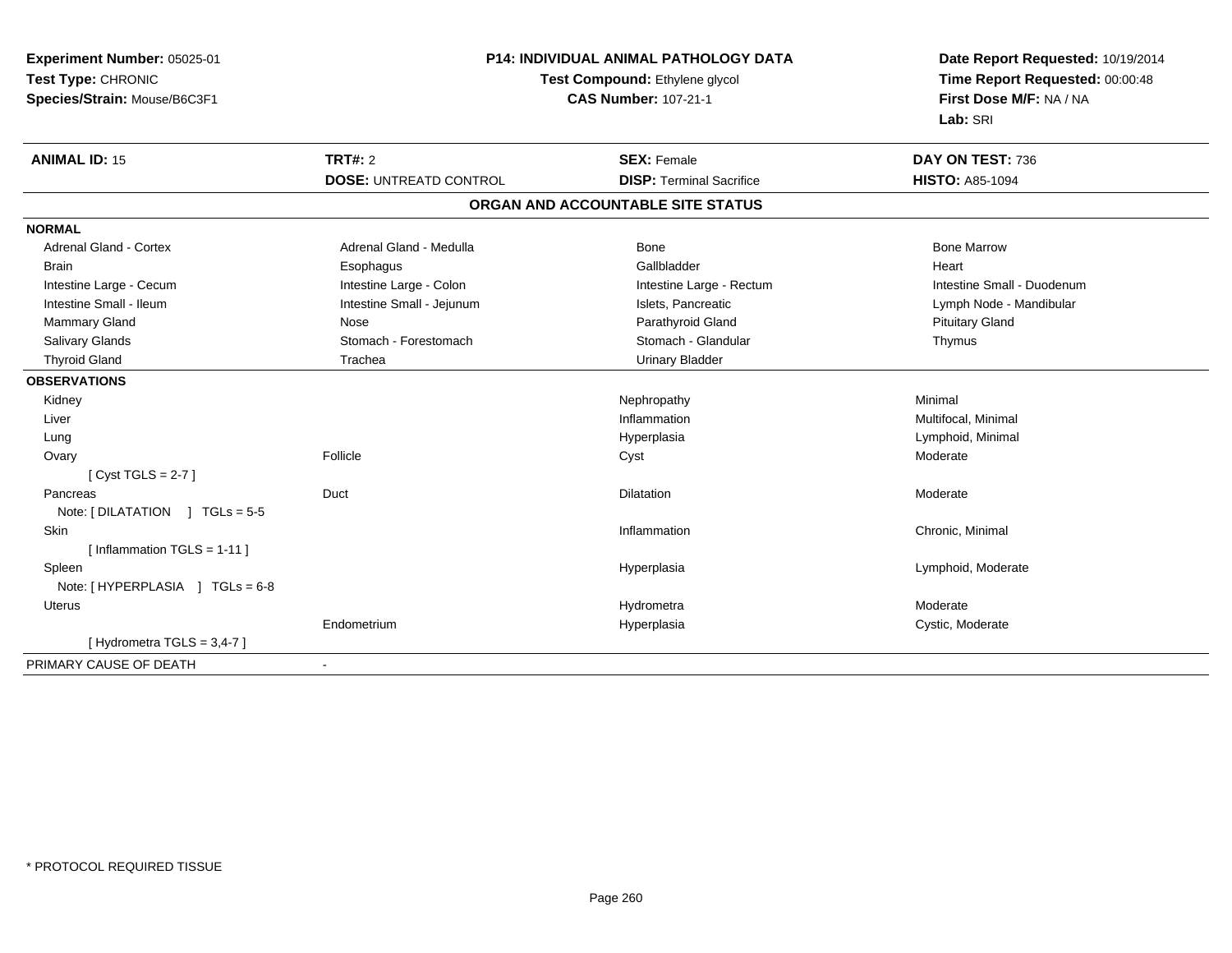| Experiment Number: 05025-01<br>Test Type: CHRONIC<br>Species/Strain: Mouse/B6C3F1 | P14: INDIVIDUAL ANIMAL PATHOLOGY DATA<br>Test Compound: Ethylene glycol<br><b>CAS Number: 107-21-1</b> |                                   | Date Report Requested: 10/19/2014<br>Time Report Requested: 00:00:48<br>First Dose M/F: NA / NA<br>Lab: SRI |
|-----------------------------------------------------------------------------------|--------------------------------------------------------------------------------------------------------|-----------------------------------|-------------------------------------------------------------------------------------------------------------|
| <b>ANIMAL ID: 15</b>                                                              | <b>TRT#: 2</b>                                                                                         | <b>SEX: Female</b>                | DAY ON TEST: 736                                                                                            |
|                                                                                   | <b>DOSE: UNTREATD CONTROL</b>                                                                          | <b>DISP: Terminal Sacrifice</b>   | <b>HISTO: A85-1094</b>                                                                                      |
|                                                                                   |                                                                                                        | ORGAN AND ACCOUNTABLE SITE STATUS |                                                                                                             |
| <b>NORMAL</b>                                                                     |                                                                                                        |                                   |                                                                                                             |
| Adrenal Gland - Cortex                                                            | Adrenal Gland - Medulla                                                                                | <b>Bone</b>                       | <b>Bone Marrow</b>                                                                                          |
| <b>Brain</b>                                                                      | Esophagus                                                                                              | Gallbladder                       | Heart                                                                                                       |
| Intestine Large - Cecum                                                           | Intestine Large - Colon                                                                                | Intestine Large - Rectum          | Intestine Small - Duodenum                                                                                  |
| Intestine Small - Ileum                                                           | Intestine Small - Jejunum                                                                              | Islets, Pancreatic                | Lymph Node - Mandibular                                                                                     |
| Mammary Gland                                                                     | Nose                                                                                                   | Parathyroid Gland                 | <b>Pituitary Gland</b>                                                                                      |
| Salivary Glands                                                                   | Stomach - Forestomach                                                                                  | Stomach - Glandular               | Thymus                                                                                                      |
| <b>Thyroid Gland</b>                                                              | Trachea                                                                                                | <b>Urinary Bladder</b>            |                                                                                                             |
| <b>OBSERVATIONS</b>                                                               |                                                                                                        |                                   |                                                                                                             |
| Kidney                                                                            |                                                                                                        | Nephropathy                       | Minimal                                                                                                     |
| Liver                                                                             |                                                                                                        | Inflammation                      | Multifocal, Minimal                                                                                         |
| Lung                                                                              |                                                                                                        | Hyperplasia                       | Lymphoid, Minimal                                                                                           |
| Ovary                                                                             | Follicle                                                                                               | Cyst                              | Moderate                                                                                                    |
| [Cyst TGLS = $2-7$ ]                                                              |                                                                                                        |                                   |                                                                                                             |
| Pancreas                                                                          | Duct                                                                                                   | <b>Dilatation</b>                 | Moderate                                                                                                    |
| Note: [DILATATION ] TGLs = 5-5                                                    |                                                                                                        |                                   |                                                                                                             |
| <b>Skin</b>                                                                       |                                                                                                        | Inflammation                      | Chronic, Minimal                                                                                            |
| [Inflammation TGLS = $1-11$ ]                                                     |                                                                                                        |                                   |                                                                                                             |
| Spleen                                                                            |                                                                                                        | Hyperplasia                       | Lymphoid, Moderate                                                                                          |
| Note: [HYPERPLASIA ] TGLs = 6-8                                                   |                                                                                                        |                                   |                                                                                                             |
| Uterus                                                                            |                                                                                                        | Hydrometra                        | Moderate                                                                                                    |
|                                                                                   | Endometrium                                                                                            | Hyperplasia                       | Cystic, Moderate                                                                                            |
| [Hydrometra TGLS = $3,4-7$ ]                                                      |                                                                                                        |                                   |                                                                                                             |
| PRIMARY CAUSE OF DEATH                                                            |                                                                                                        |                                   |                                                                                                             |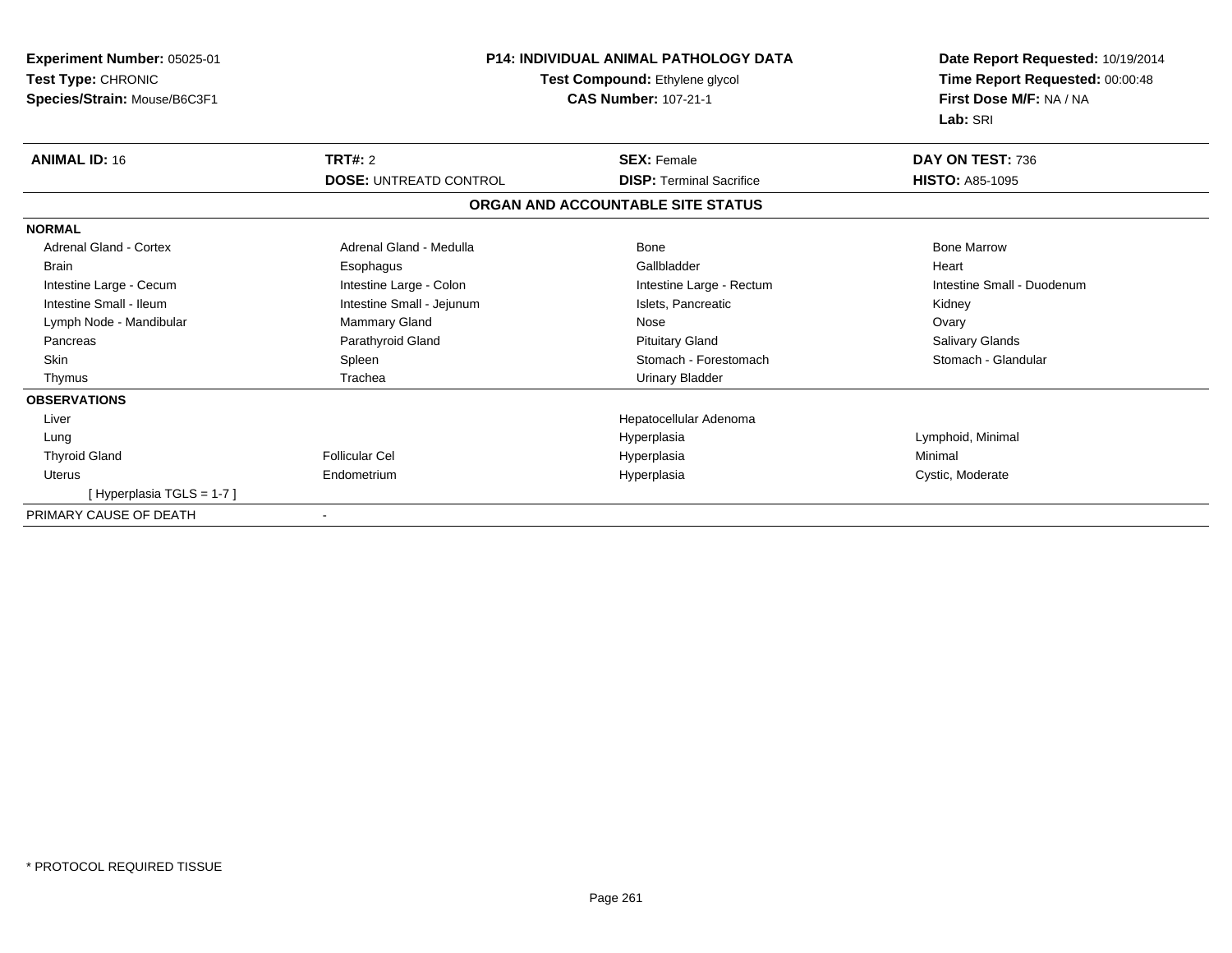| Experiment Number: 05025-01<br>Test Type: CHRONIC<br>Species/Strain: Mouse/B6C3F1 | <b>P14: INDIVIDUAL ANIMAL PATHOLOGY DATA</b><br>Test Compound: Ethylene glycol<br><b>CAS Number: 107-21-1</b> |                                   | Date Report Requested: 10/19/2014<br>Time Report Requested: 00:00:48<br>First Dose M/F: NA / NA<br>Lab: SRI |
|-----------------------------------------------------------------------------------|---------------------------------------------------------------------------------------------------------------|-----------------------------------|-------------------------------------------------------------------------------------------------------------|
| <b>ANIMAL ID: 16</b>                                                              | TRT#: 2                                                                                                       | <b>SEX: Female</b>                | DAY ON TEST: 736                                                                                            |
|                                                                                   | <b>DOSE: UNTREATD CONTROL</b>                                                                                 | <b>DISP: Terminal Sacrifice</b>   | <b>HISTO: A85-1095</b>                                                                                      |
|                                                                                   |                                                                                                               | ORGAN AND ACCOUNTABLE SITE STATUS |                                                                                                             |
| <b>NORMAL</b>                                                                     |                                                                                                               |                                   |                                                                                                             |
| <b>Adrenal Gland - Cortex</b>                                                     | Adrenal Gland - Medulla                                                                                       | Bone                              | <b>Bone Marrow</b>                                                                                          |
| <b>Brain</b>                                                                      | Esophagus                                                                                                     | Gallbladder                       | Heart                                                                                                       |
| Intestine Large - Cecum                                                           | Intestine Large - Colon                                                                                       | Intestine Large - Rectum          | Intestine Small - Duodenum                                                                                  |
| Intestine Small - Ileum                                                           | Intestine Small - Jejunum                                                                                     | Islets. Pancreatic                | Kidney                                                                                                      |
| Lymph Node - Mandibular                                                           | Mammary Gland                                                                                                 | Nose                              | Ovary                                                                                                       |
| Pancreas                                                                          | Parathyroid Gland                                                                                             | <b>Pituitary Gland</b>            | Salivary Glands                                                                                             |
| <b>Skin</b>                                                                       | Spleen                                                                                                        | Stomach - Forestomach             | Stomach - Glandular                                                                                         |
| Thymus                                                                            | Trachea                                                                                                       | <b>Urinary Bladder</b>            |                                                                                                             |
| <b>OBSERVATIONS</b>                                                               |                                                                                                               |                                   |                                                                                                             |
| Liver                                                                             |                                                                                                               | Hepatocellular Adenoma            |                                                                                                             |
| Lung                                                                              |                                                                                                               | Hyperplasia                       | Lymphoid, Minimal                                                                                           |
| <b>Thyroid Gland</b>                                                              | Follicular Cel                                                                                                | Hyperplasia                       | Minimal                                                                                                     |
| <b>Uterus</b>                                                                     | Endometrium                                                                                                   | Hyperplasia                       | Cystic, Moderate                                                                                            |
| [Hyperplasia TGLS = 1-7]                                                          |                                                                                                               |                                   |                                                                                                             |
| PRIMARY CAUSE OF DEATH                                                            | $\blacksquare$                                                                                                |                                   |                                                                                                             |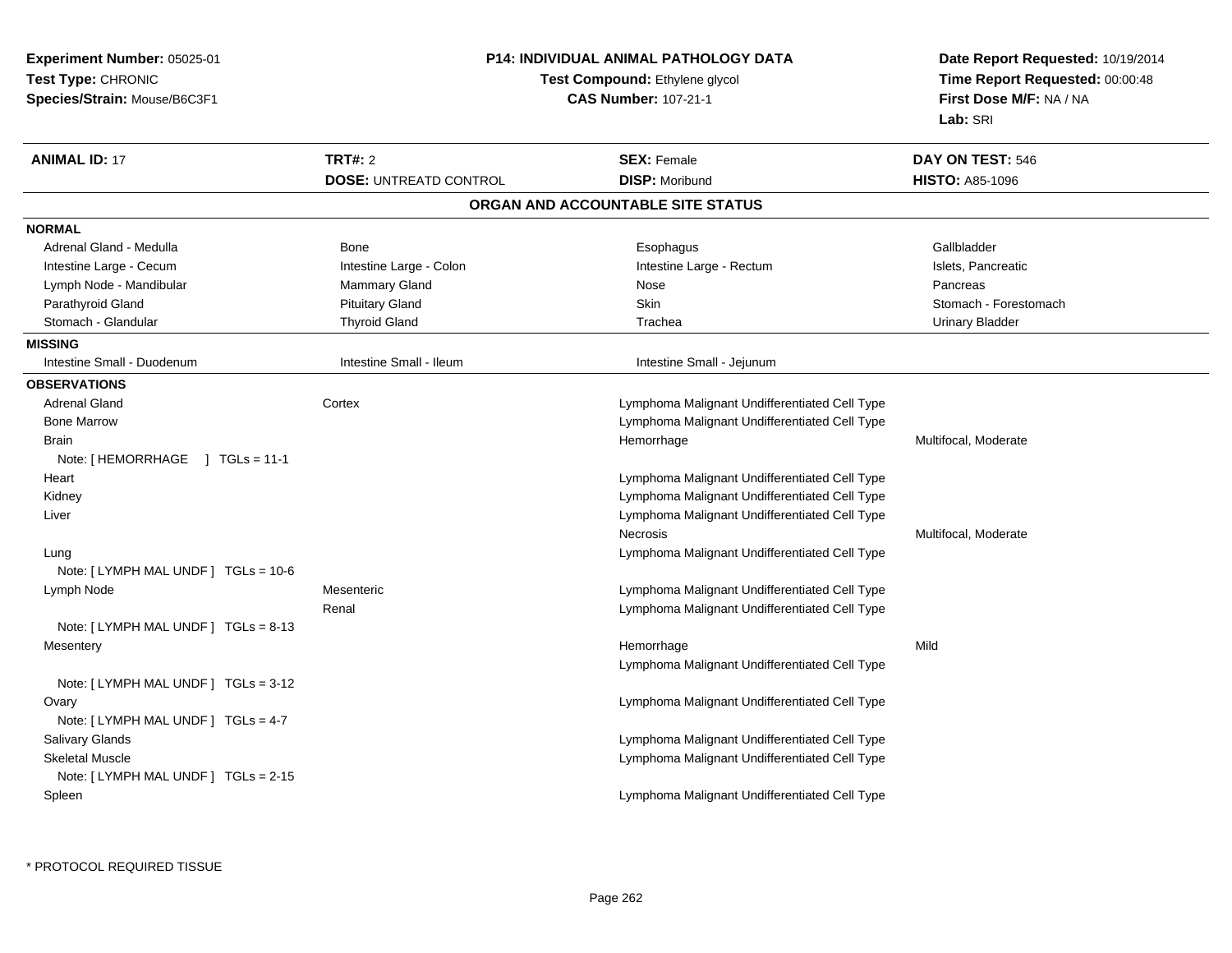| <b>Experiment Number: 05025-01</b><br>Test Type: CHRONIC<br>Species/Strain: Mouse/B6C3F1 | <b>P14: INDIVIDUAL ANIMAL PATHOLOGY DATA</b><br>Test Compound: Ethylene glycol<br><b>CAS Number: 107-21-1</b> |                                               | Date Report Requested: 10/19/2014<br>Time Report Requested: 00:00:48<br>First Dose M/F: NA / NA<br>Lab: SRI |
|------------------------------------------------------------------------------------------|---------------------------------------------------------------------------------------------------------------|-----------------------------------------------|-------------------------------------------------------------------------------------------------------------|
| <b>ANIMAL ID: 17</b>                                                                     | <b>TRT#: 2</b>                                                                                                | <b>SEX: Female</b>                            | DAY ON TEST: 546                                                                                            |
|                                                                                          | <b>DOSE: UNTREATD CONTROL</b>                                                                                 | <b>DISP: Moribund</b>                         | <b>HISTO: A85-1096</b>                                                                                      |
|                                                                                          |                                                                                                               | ORGAN AND ACCOUNTABLE SITE STATUS             |                                                                                                             |
| <b>NORMAL</b>                                                                            |                                                                                                               |                                               |                                                                                                             |
| Adrenal Gland - Medulla                                                                  | Bone                                                                                                          | Esophagus                                     | Gallbladder                                                                                                 |
| Intestine Large - Cecum                                                                  | Intestine Large - Colon                                                                                       | Intestine Large - Rectum                      | Islets, Pancreatic                                                                                          |
| Lymph Node - Mandibular                                                                  | Mammary Gland                                                                                                 | Nose                                          | Pancreas                                                                                                    |
| Parathyroid Gland                                                                        | <b>Pituitary Gland</b>                                                                                        | Skin                                          | Stomach - Forestomach                                                                                       |
| Stomach - Glandular                                                                      | <b>Thyroid Gland</b>                                                                                          | Trachea                                       | <b>Urinary Bladder</b>                                                                                      |
| <b>MISSING</b>                                                                           |                                                                                                               |                                               |                                                                                                             |
| Intestine Small - Duodenum                                                               | Intestine Small - Ileum                                                                                       | Intestine Small - Jejunum                     |                                                                                                             |
| <b>OBSERVATIONS</b>                                                                      |                                                                                                               |                                               |                                                                                                             |
| <b>Adrenal Gland</b>                                                                     | Cortex                                                                                                        | Lymphoma Malignant Undifferentiated Cell Type |                                                                                                             |
| <b>Bone Marrow</b>                                                                       |                                                                                                               | Lymphoma Malignant Undifferentiated Cell Type |                                                                                                             |
| <b>Brain</b>                                                                             |                                                                                                               | Hemorrhage                                    | Multifocal, Moderate                                                                                        |
| Note: [HEMORRHAGE ] TGLs = 11-1                                                          |                                                                                                               |                                               |                                                                                                             |
| Heart                                                                                    |                                                                                                               | Lymphoma Malignant Undifferentiated Cell Type |                                                                                                             |
| Kidney                                                                                   |                                                                                                               | Lymphoma Malignant Undifferentiated Cell Type |                                                                                                             |
| Liver                                                                                    |                                                                                                               | Lymphoma Malignant Undifferentiated Cell Type |                                                                                                             |
|                                                                                          |                                                                                                               | Necrosis                                      | Multifocal, Moderate                                                                                        |
| Lung                                                                                     |                                                                                                               | Lymphoma Malignant Undifferentiated Cell Type |                                                                                                             |
| Note: [ LYMPH MAL UNDF ] TGLs = 10-6                                                     |                                                                                                               |                                               |                                                                                                             |
| Lymph Node                                                                               | Mesenteric                                                                                                    | Lymphoma Malignant Undifferentiated Cell Type |                                                                                                             |
|                                                                                          | Renal                                                                                                         | Lymphoma Malignant Undifferentiated Cell Type |                                                                                                             |
| Note: [LYMPH MAL UNDF] TGLs = 8-13                                                       |                                                                                                               |                                               |                                                                                                             |
| Mesentery                                                                                |                                                                                                               | Hemorrhage                                    | Mild                                                                                                        |
|                                                                                          |                                                                                                               | Lymphoma Malignant Undifferentiated Cell Type |                                                                                                             |
| Note: [ LYMPH MAL UNDF ] TGLs = 3-12                                                     |                                                                                                               |                                               |                                                                                                             |
| Ovary                                                                                    |                                                                                                               | Lymphoma Malignant Undifferentiated Cell Type |                                                                                                             |
| Note: [ LYMPH MAL UNDF ] TGLs = 4-7                                                      |                                                                                                               |                                               |                                                                                                             |
| Salivary Glands                                                                          |                                                                                                               | Lymphoma Malignant Undifferentiated Cell Type |                                                                                                             |
| <b>Skeletal Muscle</b>                                                                   |                                                                                                               | Lymphoma Malignant Undifferentiated Cell Type |                                                                                                             |
| Note: [LYMPH MAL UNDF] TGLs = 2-15                                                       |                                                                                                               |                                               |                                                                                                             |
| Spleen                                                                                   |                                                                                                               | Lymphoma Malignant Undifferentiated Cell Type |                                                                                                             |
|                                                                                          |                                                                                                               |                                               |                                                                                                             |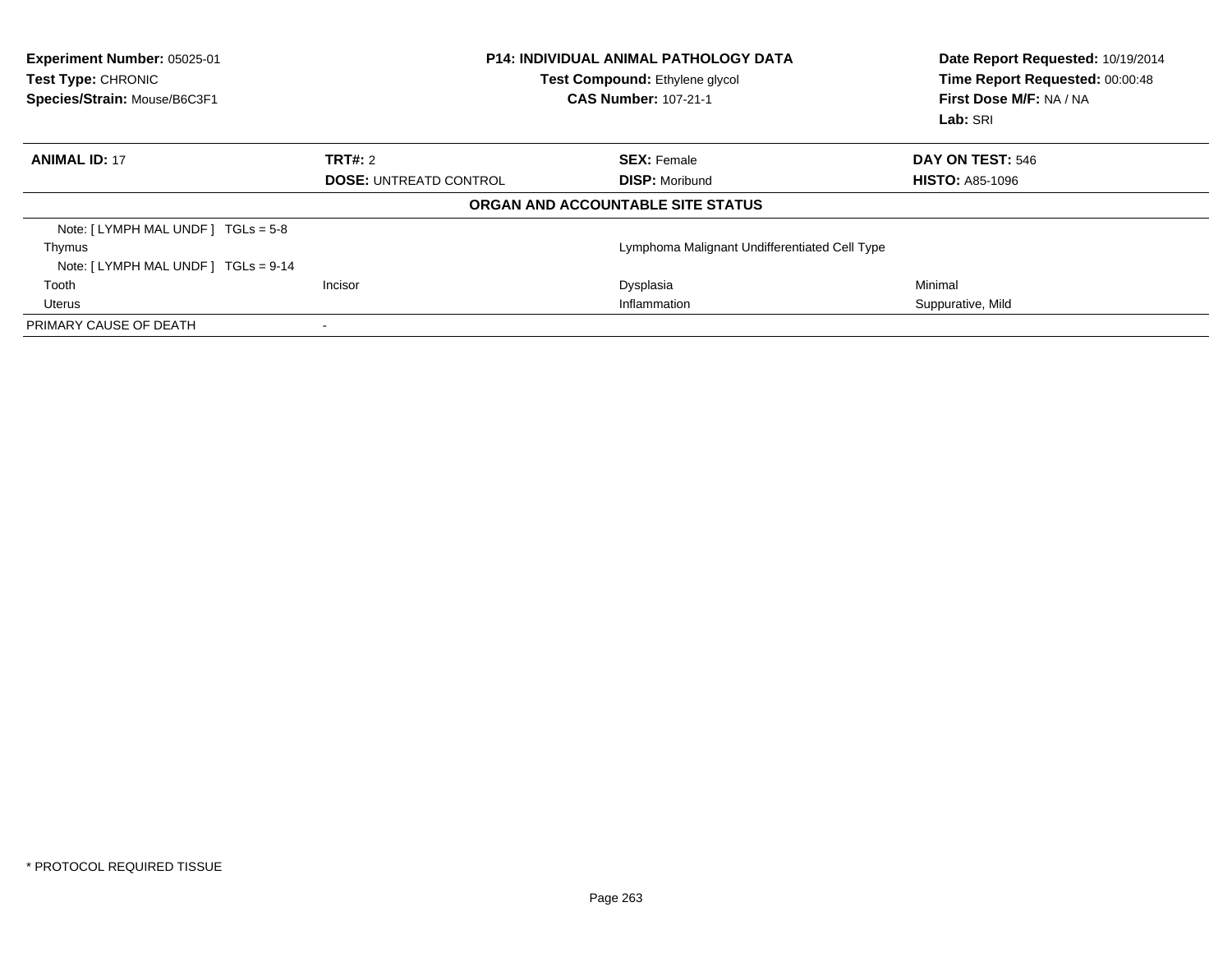| Experiment Number: 05025-01<br>Test Type: CHRONIC<br>Species/Strain: Mouse/B6C3F1 | <b>P14: INDIVIDUAL ANIMAL PATHOLOGY DATA</b><br>Test Compound: Ethylene glycol<br><b>CAS Number: 107-21-1</b> |                                   | Date Report Requested: 10/19/2014<br>Time Report Requested: 00:00:48<br>First Dose M/F: NA / NA<br>Lab: SRI |
|-----------------------------------------------------------------------------------|---------------------------------------------------------------------------------------------------------------|-----------------------------------|-------------------------------------------------------------------------------------------------------------|
| <b>ANIMAL ID: 17</b>                                                              | <b>TRT#: 2</b>                                                                                                | <b>SEX: Female</b>                | DAY ON TEST: 546                                                                                            |
|                                                                                   | <b>DOSE: UNTREATD CONTROL</b>                                                                                 | <b>DISP: Moribund</b>             | <b>HISTO: A85-1096</b>                                                                                      |
|                                                                                   |                                                                                                               | ORGAN AND ACCOUNTABLE SITE STATUS |                                                                                                             |
| Note: $[LYMPH MAL UNDER] TGLs = 5-8$                                              |                                                                                                               |                                   |                                                                                                             |
| Thymus                                                                            | Lymphoma Malignant Undifferentiated Cell Type                                                                 |                                   |                                                                                                             |
| Note: $[LYMPH MAL UNDER] TGLS = 9-14$                                             |                                                                                                               |                                   |                                                                                                             |
| Tooth                                                                             | Incisor                                                                                                       | Dysplasia                         | Minimal                                                                                                     |
| Uterus                                                                            | Inflammation                                                                                                  |                                   | Suppurative, Mild                                                                                           |
| PRIMARY CAUSE OF DEATH                                                            |                                                                                                               |                                   |                                                                                                             |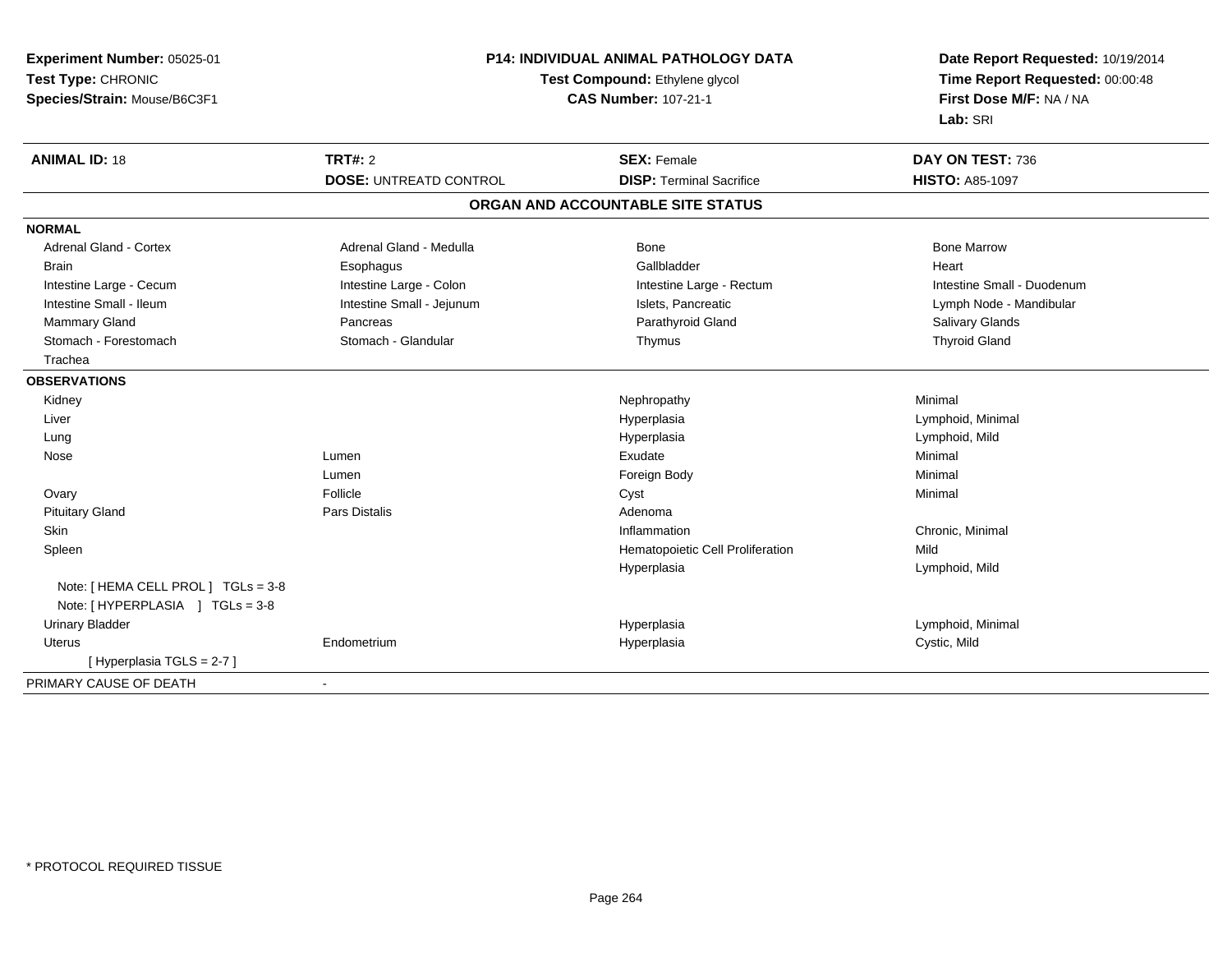| Experiment Number: 05025-01         | <b>P14: INDIVIDUAL ANIMAL PATHOLOGY DATA</b> |                                   | Date Report Requested: 10/19/2014 |
|-------------------------------------|----------------------------------------------|-----------------------------------|-----------------------------------|
| Test Type: CHRONIC                  |                                              | Test Compound: Ethylene glycol    | Time Report Requested: 00:00:48   |
| Species/Strain: Mouse/B6C3F1        |                                              | <b>CAS Number: 107-21-1</b>       | First Dose M/F: NA / NA           |
|                                     |                                              |                                   | Lab: SRI                          |
| <b>ANIMAL ID: 18</b>                | <b>TRT#: 2</b>                               | <b>SEX: Female</b>                | DAY ON TEST: 736                  |
|                                     | <b>DOSE: UNTREATD CONTROL</b>                | <b>DISP: Terminal Sacrifice</b>   | <b>HISTO: A85-1097</b>            |
|                                     |                                              | ORGAN AND ACCOUNTABLE SITE STATUS |                                   |
| <b>NORMAL</b>                       |                                              |                                   |                                   |
| Adrenal Gland - Cortex              | Adrenal Gland - Medulla                      | <b>Bone</b>                       | <b>Bone Marrow</b>                |
| <b>Brain</b>                        | Esophagus                                    | Gallbladder                       | Heart                             |
| Intestine Large - Cecum             | Intestine Large - Colon                      | Intestine Large - Rectum          | Intestine Small - Duodenum        |
| Intestine Small - Ileum             | Intestine Small - Jejunum                    | Islets, Pancreatic                | Lymph Node - Mandibular           |
| Mammary Gland                       | Pancreas                                     | Parathyroid Gland                 | Salivary Glands                   |
| Stomach - Forestomach               | Stomach - Glandular                          | Thymus                            | <b>Thyroid Gland</b>              |
| Trachea                             |                                              |                                   |                                   |
| <b>OBSERVATIONS</b>                 |                                              |                                   |                                   |
| Kidney                              |                                              | Nephropathy                       | Minimal                           |
| Liver                               |                                              | Hyperplasia                       | Lymphoid, Minimal                 |
| Lung                                |                                              | Hyperplasia                       | Lymphoid, Mild                    |
| Nose                                | Lumen                                        | Exudate                           | Minimal                           |
|                                     | Lumen                                        | Foreign Body                      | Minimal                           |
| Ovary                               | Follicle                                     | Cyst                              | Minimal                           |
| <b>Pituitary Gland</b>              | <b>Pars Distalis</b>                         | Adenoma                           |                                   |
| Skin                                |                                              | Inflammation                      | Chronic, Minimal                  |
| Spleen                              |                                              | Hematopoietic Cell Proliferation  | Mild                              |
|                                     |                                              | Hyperplasia                       | Lymphoid, Mild                    |
| Note: [ HEMA CELL PROL ] TGLs = 3-8 |                                              |                                   |                                   |
| Note: [HYPERPLASIA ] TGLs = 3-8     |                                              |                                   |                                   |
| <b>Urinary Bladder</b>              |                                              | Hyperplasia                       | Lymphoid, Minimal                 |
| <b>Uterus</b>                       | Endometrium                                  | Hyperplasia                       | Cystic, Mild                      |
| [Hyperplasia TGLS = 2-7]            |                                              |                                   |                                   |
| PRIMARY CAUSE OF DEATH              |                                              |                                   |                                   |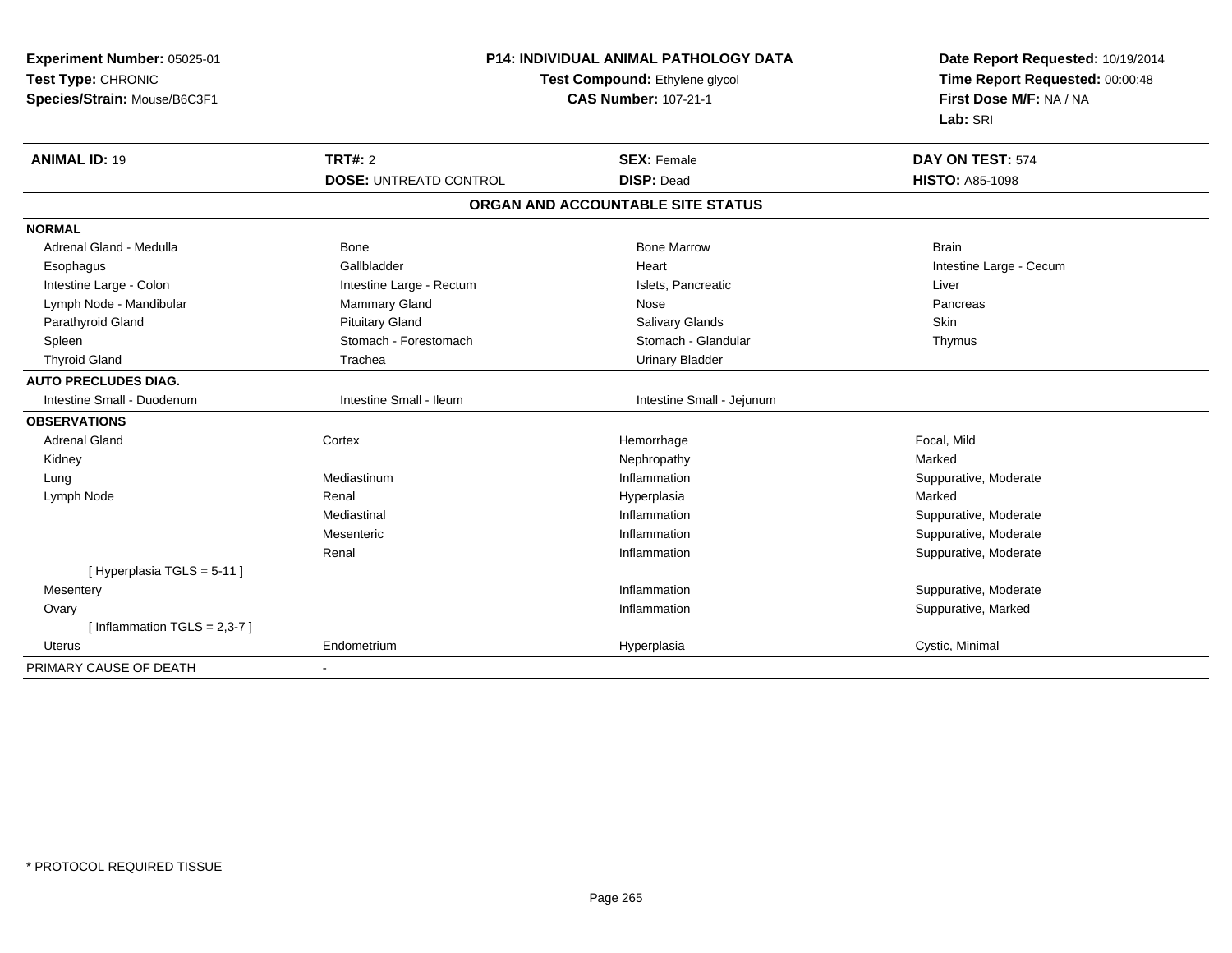| Experiment Number: 05025-01<br>Test Type: CHRONIC<br>Species/Strain: Mouse/B6C3F1 | <b>P14: INDIVIDUAL ANIMAL PATHOLOGY DATA</b><br>Test Compound: Ethylene glycol<br><b>CAS Number: 107-21-1</b> |                                   | Date Report Requested: 10/19/2014<br>Time Report Requested: 00:00:48<br>First Dose M/F: NA / NA<br>Lab: SRI |
|-----------------------------------------------------------------------------------|---------------------------------------------------------------------------------------------------------------|-----------------------------------|-------------------------------------------------------------------------------------------------------------|
| <b>ANIMAL ID: 19</b>                                                              | <b>TRT#: 2</b>                                                                                                | <b>SEX: Female</b>                | DAY ON TEST: 574                                                                                            |
|                                                                                   | <b>DOSE: UNTREATD CONTROL</b>                                                                                 | <b>DISP: Dead</b>                 | <b>HISTO: A85-1098</b>                                                                                      |
|                                                                                   |                                                                                                               | ORGAN AND ACCOUNTABLE SITE STATUS |                                                                                                             |
| <b>NORMAL</b>                                                                     |                                                                                                               |                                   |                                                                                                             |
| Adrenal Gland - Medulla                                                           | <b>Bone</b>                                                                                                   | <b>Bone Marrow</b>                | <b>Brain</b>                                                                                                |
| Esophagus                                                                         | Gallbladder                                                                                                   | Heart                             | Intestine Large - Cecum                                                                                     |
| Intestine Large - Colon                                                           | Intestine Large - Rectum                                                                                      | Islets, Pancreatic                | Liver                                                                                                       |
| Lymph Node - Mandibular                                                           | Mammary Gland                                                                                                 | Nose                              | Pancreas                                                                                                    |
| Parathyroid Gland                                                                 | <b>Pituitary Gland</b>                                                                                        | <b>Salivary Glands</b>            | Skin                                                                                                        |
| Spleen                                                                            | Stomach - Forestomach                                                                                         | Stomach - Glandular               | Thymus                                                                                                      |
| <b>Thyroid Gland</b>                                                              | Trachea                                                                                                       | <b>Urinary Bladder</b>            |                                                                                                             |
| <b>AUTO PRECLUDES DIAG.</b>                                                       |                                                                                                               |                                   |                                                                                                             |
| Intestine Small - Duodenum                                                        | Intestine Small - Ileum                                                                                       | Intestine Small - Jejunum         |                                                                                                             |
| <b>OBSERVATIONS</b>                                                               |                                                                                                               |                                   |                                                                                                             |
| <b>Adrenal Gland</b>                                                              | Cortex                                                                                                        | Hemorrhage                        | Focal, Mild                                                                                                 |
| Kidney                                                                            |                                                                                                               | Nephropathy                       | Marked                                                                                                      |
| Lung                                                                              | Mediastinum                                                                                                   | Inflammation                      | Suppurative, Moderate                                                                                       |
| Lymph Node                                                                        | Renal                                                                                                         | Hyperplasia                       | Marked                                                                                                      |
|                                                                                   | Mediastinal                                                                                                   | Inflammation                      | Suppurative, Moderate                                                                                       |
|                                                                                   | Mesenteric                                                                                                    | Inflammation                      | Suppurative, Moderate                                                                                       |
|                                                                                   | Renal                                                                                                         | Inflammation                      | Suppurative, Moderate                                                                                       |
| [Hyperplasia TGLS = 5-11]                                                         |                                                                                                               |                                   |                                                                                                             |
| Mesentery                                                                         |                                                                                                               | Inflammation                      | Suppurative, Moderate                                                                                       |
| Ovary                                                                             |                                                                                                               | Inflammation                      | Suppurative, Marked                                                                                         |
| [Inflammation $TGLS = 2,3-7$ ]                                                    |                                                                                                               |                                   |                                                                                                             |
| <b>Uterus</b>                                                                     | Endometrium                                                                                                   | Hyperplasia                       | Cystic, Minimal                                                                                             |
| PRIMARY CAUSE OF DEATH                                                            |                                                                                                               |                                   |                                                                                                             |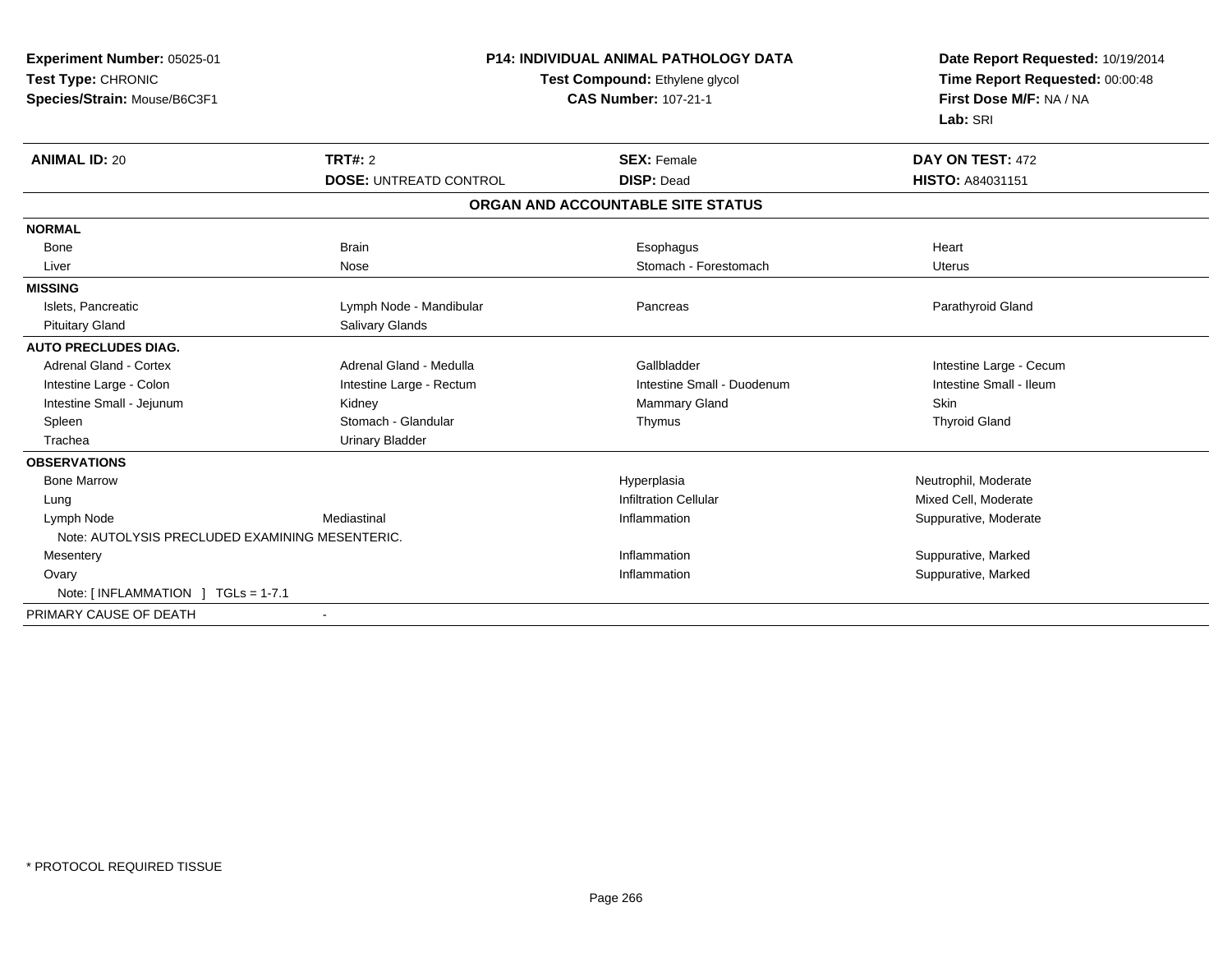**Experiment Number:** 05025-01**Test Type:** CHRONIC**Species/Strain:** Mouse/B6C3F1

## **P14: INDIVIDUAL ANIMAL PATHOLOGY DATA**

## **Test Compound:** Ethylene glycol **CAS Number:** 107-21-1

**Date Report Requested:** 10/19/2014 **Time Report Requested:** 00:00:48**First Dose M/F:** NA / NA**Lab:** SRI

| <b>ANIMAL ID: 20</b>                            | TRT#: 2                       | <b>SEX: Female</b>                | DAY ON TEST: 472        |
|-------------------------------------------------|-------------------------------|-----------------------------------|-------------------------|
|                                                 | <b>DOSE: UNTREATD CONTROL</b> | <b>DISP: Dead</b>                 | HISTO: A84031151        |
|                                                 |                               | ORGAN AND ACCOUNTABLE SITE STATUS |                         |
| <b>NORMAL</b>                                   |                               |                                   |                         |
| <b>Bone</b>                                     | <b>Brain</b>                  | Esophagus                         | Heart                   |
| Liver                                           | Nose                          | Stomach - Forestomach             | <b>Uterus</b>           |
| <b>MISSING</b>                                  |                               |                                   |                         |
| Islets, Pancreatic                              | Lymph Node - Mandibular       | Pancreas                          | Parathyroid Gland       |
| <b>Pituitary Gland</b>                          | Salivary Glands               |                                   |                         |
| <b>AUTO PRECLUDES DIAG.</b>                     |                               |                                   |                         |
| <b>Adrenal Gland - Cortex</b>                   | Adrenal Gland - Medulla       | Gallbladder                       | Intestine Large - Cecum |
| Intestine Large - Colon                         | Intestine Large - Rectum      | Intestine Small - Duodenum        | Intestine Small - Ileum |
| Intestine Small - Jejunum                       | Kidney                        | Mammary Gland                     | <b>Skin</b>             |
| Spleen                                          | Stomach - Glandular           | Thymus                            | <b>Thyroid Gland</b>    |
| Trachea                                         | Urinary Bladder               |                                   |                         |
| <b>OBSERVATIONS</b>                             |                               |                                   |                         |
| <b>Bone Marrow</b>                              |                               | Hyperplasia                       | Neutrophil, Moderate    |
| Lung                                            |                               | <b>Infiltration Cellular</b>      | Mixed Cell, Moderate    |
| Lymph Node                                      | Mediastinal                   | Inflammation                      | Suppurative, Moderate   |
| Note: AUTOLYSIS PRECLUDED EXAMINING MESENTERIC. |                               |                                   |                         |
| Mesentery                                       |                               | Inflammation                      | Suppurative, Marked     |
| Ovary                                           |                               | Inflammation                      | Suppurative, Marked     |
| Note: $[INFLAMMATION] TGLs = 1-7.1$             |                               |                                   |                         |
| PRIMARY CAUSE OF DEATH                          |                               |                                   |                         |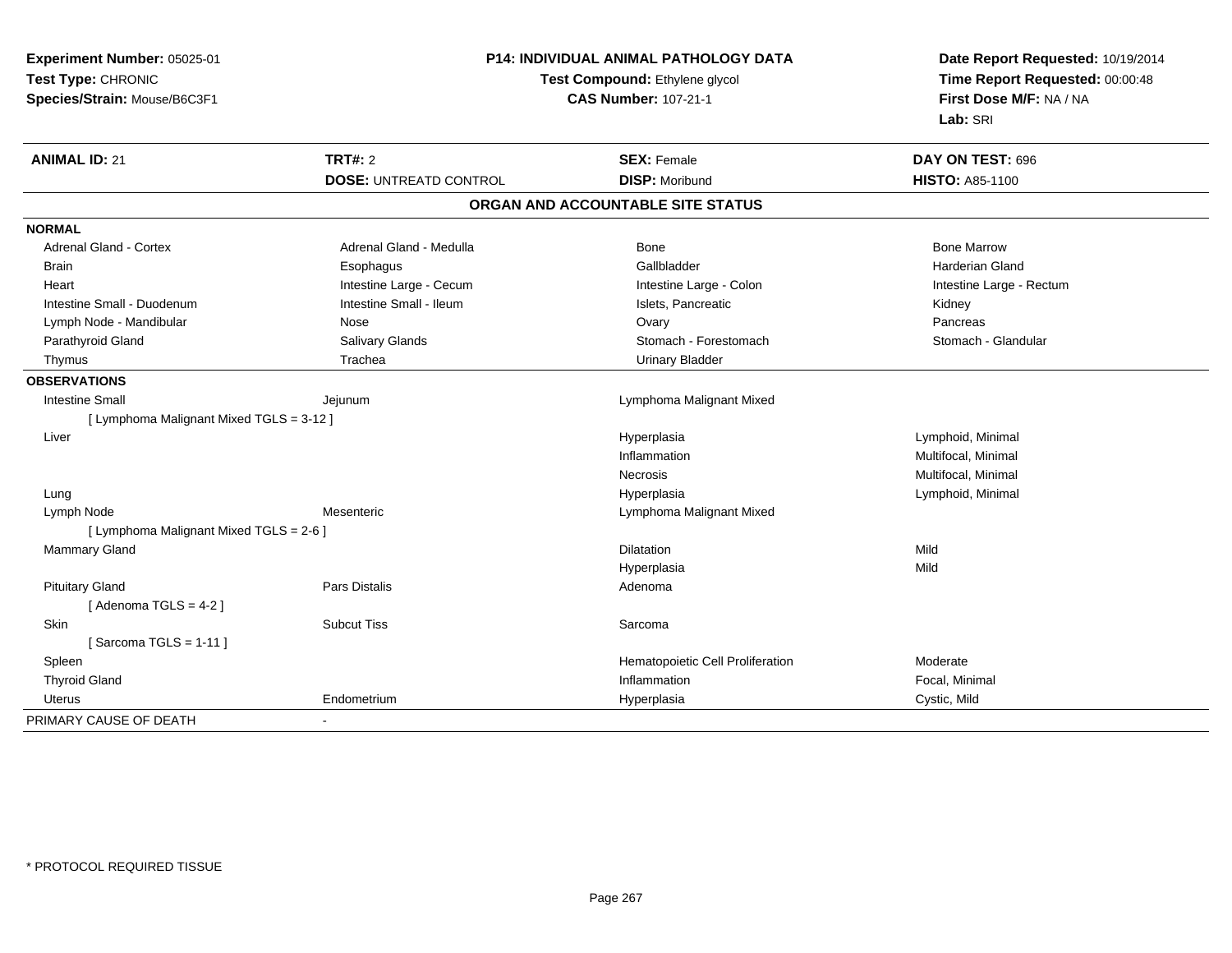| Experiment Number: 05025-01              | P14: INDIVIDUAL ANIMAL PATHOLOGY DATA |                                                                      | Date Report Requested: 10/19/2014 |
|------------------------------------------|---------------------------------------|----------------------------------------------------------------------|-----------------------------------|
| Test Type: CHRONIC                       |                                       | <b>Test Compound: Ethylene glycol</b><br><b>CAS Number: 107-21-1</b> |                                   |
| Species/Strain: Mouse/B6C3F1             |                                       |                                                                      |                                   |
|                                          |                                       |                                                                      | Lab: SRI                          |
| <b>ANIMAL ID: 21</b>                     | <b>TRT#: 2</b>                        | <b>SEX: Female</b>                                                   | DAY ON TEST: 696                  |
|                                          | <b>DOSE: UNTREATD CONTROL</b>         | <b>DISP: Moribund</b>                                                | <b>HISTO: A85-1100</b>            |
|                                          |                                       | ORGAN AND ACCOUNTABLE SITE STATUS                                    |                                   |
| <b>NORMAL</b>                            |                                       |                                                                      |                                   |
| <b>Adrenal Gland - Cortex</b>            | Adrenal Gland - Medulla               | Bone                                                                 | <b>Bone Marrow</b>                |
| Brain                                    | Esophagus                             | Gallbladder                                                          | <b>Harderian Gland</b>            |
| Heart                                    | Intestine Large - Cecum               | Intestine Large - Colon                                              | Intestine Large - Rectum          |
| Intestine Small - Duodenum               | Intestine Small - Ileum               | Islets, Pancreatic                                                   | Kidney                            |
| Lymph Node - Mandibular                  | Nose                                  | Ovary                                                                | Pancreas                          |
| Parathyroid Gland                        | Salivary Glands                       | Stomach - Forestomach                                                | Stomach - Glandular               |
| Thymus                                   | Trachea                               | <b>Urinary Bladder</b>                                               |                                   |
| <b>OBSERVATIONS</b>                      |                                       |                                                                      |                                   |
| <b>Intestine Small</b>                   | Jejunum                               | Lymphoma Malignant Mixed                                             |                                   |
| [ Lymphoma Malignant Mixed TGLS = 3-12 ] |                                       |                                                                      |                                   |
| Liver                                    |                                       | Hyperplasia                                                          | Lymphoid, Minimal                 |
|                                          |                                       | Inflammation                                                         | Multifocal, Minimal               |
|                                          |                                       | Necrosis                                                             | Multifocal, Minimal               |
| Lung                                     |                                       | Hyperplasia                                                          | Lymphoid, Minimal                 |
| Lymph Node                               | Mesenteric                            | Lymphoma Malignant Mixed                                             |                                   |
| [ Lymphoma Malignant Mixed TGLS = 2-6 ]  |                                       |                                                                      |                                   |
| <b>Mammary Gland</b>                     |                                       | Dilatation                                                           | Mild                              |
|                                          |                                       | Hyperplasia                                                          | Mild                              |
| <b>Pituitary Gland</b>                   | <b>Pars Distalis</b>                  | Adenoma                                                              |                                   |
| [Adenoma TGLS = $4-2$ ]                  |                                       |                                                                      |                                   |
| Skin                                     | <b>Subcut Tiss</b>                    | Sarcoma                                                              |                                   |
| [Sarcoma TGLS = $1-11$ ]                 |                                       |                                                                      |                                   |
| Spleen                                   |                                       | Hematopoietic Cell Proliferation                                     | Moderate                          |
| <b>Thyroid Gland</b>                     |                                       | Inflammation                                                         | Focal, Minimal                    |
| <b>Uterus</b>                            | Endometrium                           | Hyperplasia                                                          | Cystic, Mild                      |
| PRIMARY CAUSE OF DEATH                   |                                       |                                                                      |                                   |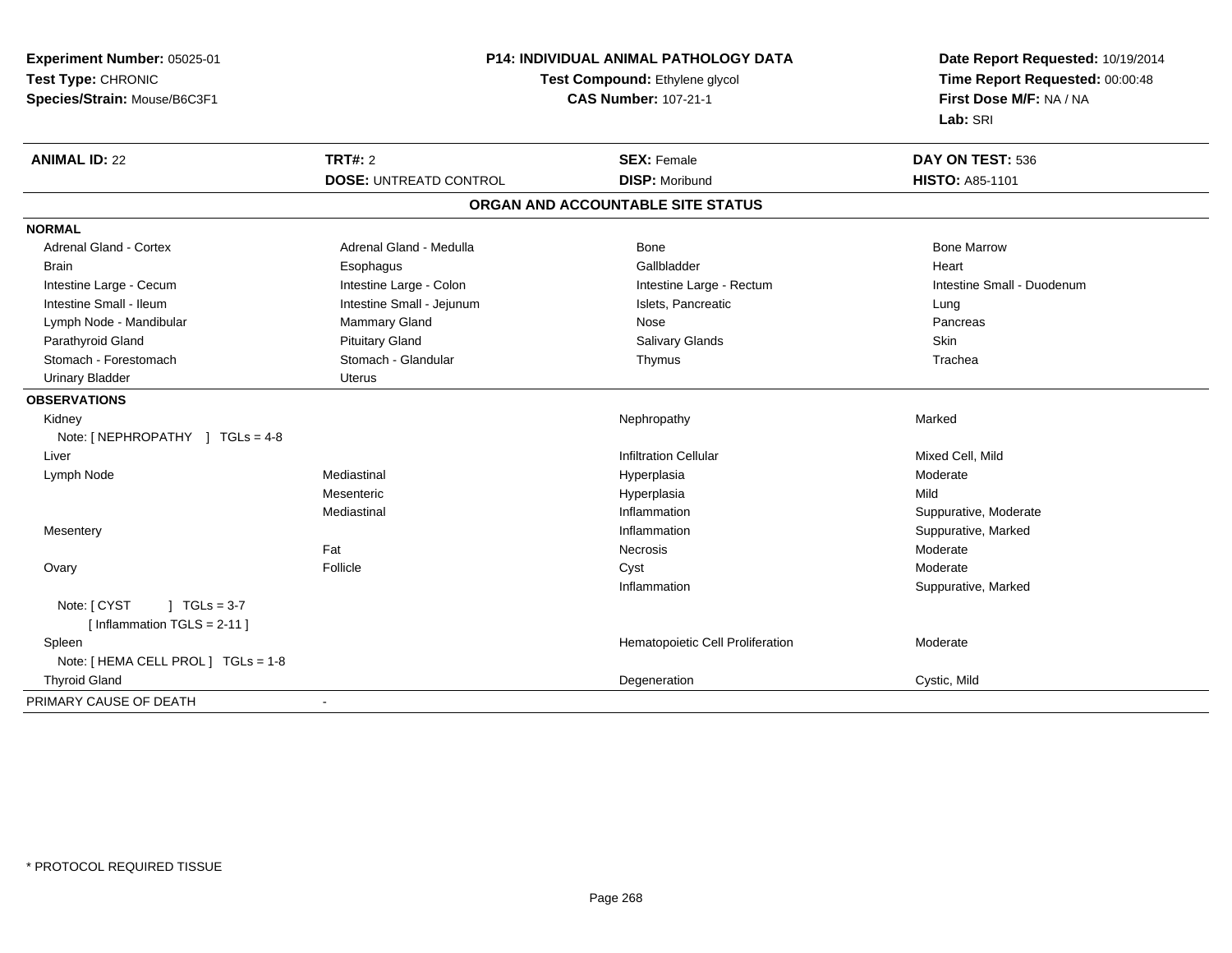| Experiment Number: 05025-01         | P14: INDIVIDUAL ANIMAL PATHOLOGY DATA<br>Test Compound: Ethylene glycol<br><b>CAS Number: 107-21-1</b> |                                   | Date Report Requested: 10/19/2014                          |  |
|-------------------------------------|--------------------------------------------------------------------------------------------------------|-----------------------------------|------------------------------------------------------------|--|
| Test Type: CHRONIC                  |                                                                                                        |                                   | Time Report Requested: 00:00:48<br>First Dose M/F: NA / NA |  |
| Species/Strain: Mouse/B6C3F1        |                                                                                                        |                                   |                                                            |  |
|                                     |                                                                                                        |                                   | Lab: SRI                                                   |  |
| <b>ANIMAL ID: 22</b>                | <b>TRT#: 2</b>                                                                                         | <b>SEX: Female</b>                | DAY ON TEST: 536                                           |  |
|                                     | <b>DOSE: UNTREATD CONTROL</b>                                                                          | <b>DISP: Moribund</b>             | <b>HISTO: A85-1101</b>                                     |  |
|                                     |                                                                                                        | ORGAN AND ACCOUNTABLE SITE STATUS |                                                            |  |
| <b>NORMAL</b>                       |                                                                                                        |                                   |                                                            |  |
| <b>Adrenal Gland - Cortex</b>       | Adrenal Gland - Medulla                                                                                | Bone                              | <b>Bone Marrow</b>                                         |  |
| <b>Brain</b>                        | Esophagus                                                                                              | Gallbladder                       | Heart                                                      |  |
| Intestine Large - Cecum             | Intestine Large - Colon                                                                                | Intestine Large - Rectum          | Intestine Small - Duodenum                                 |  |
| Intestine Small - Ileum             | Intestine Small - Jejunum                                                                              | Islets, Pancreatic                | Lung                                                       |  |
| Lymph Node - Mandibular             | <b>Mammary Gland</b>                                                                                   | Nose                              | Pancreas                                                   |  |
| Parathyroid Gland                   | <b>Pituitary Gland</b>                                                                                 | <b>Salivary Glands</b>            | Skin                                                       |  |
| Stomach - Forestomach               | Stomach - Glandular                                                                                    | Thymus                            | Trachea                                                    |  |
| <b>Urinary Bladder</b>              | <b>Uterus</b>                                                                                          |                                   |                                                            |  |
| <b>OBSERVATIONS</b>                 |                                                                                                        |                                   |                                                            |  |
| Kidney                              |                                                                                                        | Nephropathy                       | Marked                                                     |  |
| Note: [NEPHROPATHY ] TGLs = 4-8     |                                                                                                        |                                   |                                                            |  |
| Liver                               |                                                                                                        | <b>Infiltration Cellular</b>      | Mixed Cell, Mild                                           |  |
| Lymph Node                          | Mediastinal                                                                                            | Hyperplasia                       | Moderate                                                   |  |
|                                     | Mesenteric                                                                                             | Hyperplasia                       | Mild                                                       |  |
|                                     | Mediastinal                                                                                            | Inflammation                      | Suppurative, Moderate                                      |  |
| Mesentery                           |                                                                                                        | Inflammation                      | Suppurative, Marked                                        |  |
|                                     | Fat                                                                                                    | Necrosis                          | Moderate                                                   |  |
| Ovary                               | Follicle                                                                                               | Cyst                              | Moderate                                                   |  |
|                                     |                                                                                                        | Inflammation                      | Suppurative, Marked                                        |  |
| Note: [ CYST<br>$1 TGLs = 3-7$      |                                                                                                        |                                   |                                                            |  |
| [Inflammation TGLS = 2-11]          |                                                                                                        |                                   |                                                            |  |
| Spleen                              |                                                                                                        | Hematopoietic Cell Proliferation  | Moderate                                                   |  |
| Note: [ HEMA CELL PROL ] TGLs = 1-8 |                                                                                                        |                                   |                                                            |  |
| <b>Thyroid Gland</b>                |                                                                                                        | Degeneration                      | Cystic, Mild                                               |  |
| PRIMARY CAUSE OF DEATH              |                                                                                                        |                                   |                                                            |  |
|                                     |                                                                                                        |                                   |                                                            |  |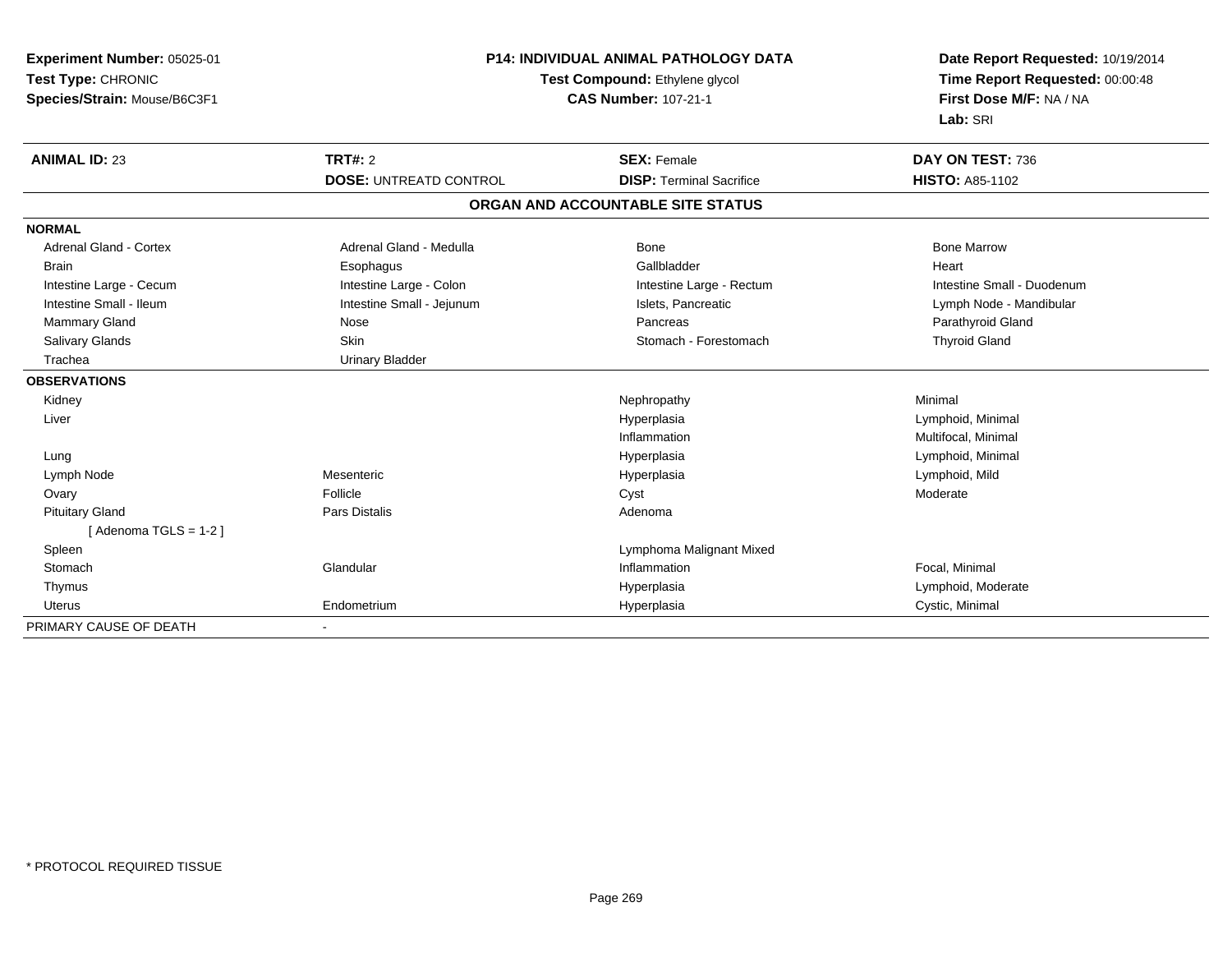| Experiment Number: 05025-01   |                                | <b>P14: INDIVIDUAL ANIMAL PATHOLOGY DATA</b> |                                 |
|-------------------------------|--------------------------------|----------------------------------------------|---------------------------------|
| Test Type: CHRONIC            | Test Compound: Ethylene glycol |                                              | Time Report Requested: 00:00:48 |
| Species/Strain: Mouse/B6C3F1  |                                | <b>CAS Number: 107-21-1</b>                  | First Dose M/F: NA / NA         |
|                               |                                |                                              | Lab: SRI                        |
| <b>ANIMAL ID: 23</b>          | <b>TRT#: 2</b>                 | <b>SEX: Female</b>                           | DAY ON TEST: 736                |
|                               | <b>DOSE: UNTREATD CONTROL</b>  | <b>DISP: Terminal Sacrifice</b>              | <b>HISTO: A85-1102</b>          |
|                               |                                | ORGAN AND ACCOUNTABLE SITE STATUS            |                                 |
| <b>NORMAL</b>                 |                                |                                              |                                 |
| <b>Adrenal Gland - Cortex</b> | Adrenal Gland - Medulla        | Bone                                         | <b>Bone Marrow</b>              |
| <b>Brain</b>                  | Esophagus                      | Gallbladder                                  | Heart                           |
| Intestine Large - Cecum       | Intestine Large - Colon        | Intestine Large - Rectum                     | Intestine Small - Duodenum      |
| Intestine Small - Ileum       | Intestine Small - Jejunum      | Islets, Pancreatic                           | Lymph Node - Mandibular         |
| Mammary Gland                 | Nose                           | Pancreas                                     | Parathyroid Gland               |
| <b>Salivary Glands</b>        | Skin                           | Stomach - Forestomach                        | <b>Thyroid Gland</b>            |
| Trachea                       | <b>Urinary Bladder</b>         |                                              |                                 |
| <b>OBSERVATIONS</b>           |                                |                                              |                                 |
| Kidney                        |                                | Nephropathy                                  | Minimal                         |
| Liver                         |                                | Hyperplasia                                  | Lymphoid, Minimal               |
|                               |                                | Inflammation                                 | Multifocal, Minimal             |
| Lung                          |                                | Hyperplasia                                  | Lymphoid, Minimal               |
| Lymph Node                    | Mesenteric                     | Hyperplasia                                  | Lymphoid, Mild                  |
| Ovary                         | Follicle                       | Cyst                                         | Moderate                        |
| <b>Pituitary Gland</b>        | Pars Distalis                  | Adenoma                                      |                                 |
| [Adenoma TGLS = $1-2$ ]       |                                |                                              |                                 |
| Spleen                        |                                | Lymphoma Malignant Mixed                     |                                 |
| Stomach                       | Glandular                      | Inflammation                                 | Focal, Minimal                  |
| Thymus                        |                                | Hyperplasia                                  | Lymphoid, Moderate              |
| Uterus                        | Endometrium                    | Hyperplasia                                  | Cystic, Minimal                 |
| PRIMARY CAUSE OF DEATH        |                                |                                              |                                 |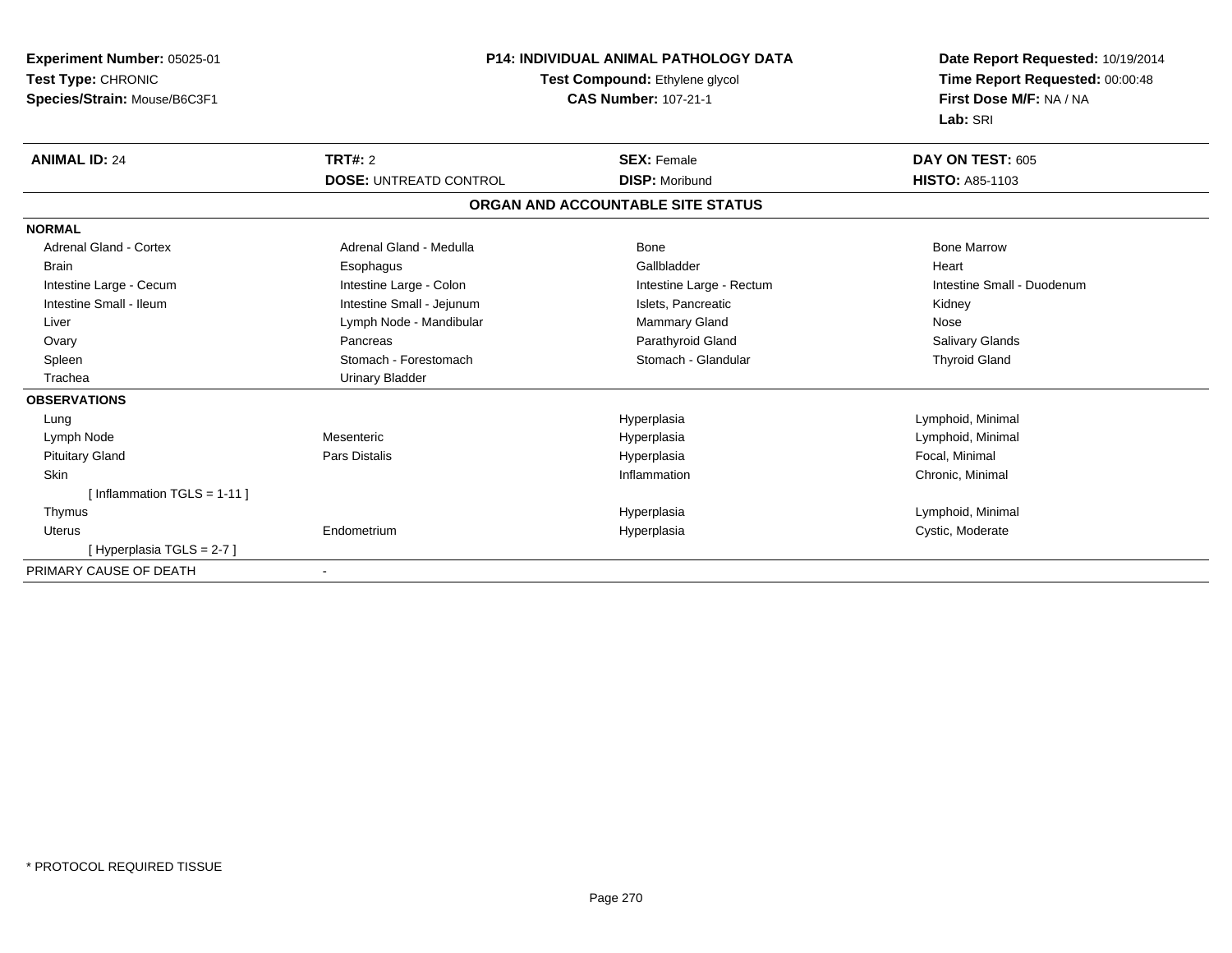| Experiment Number: 05025-01   | <b>P14: INDIVIDUAL ANIMAL PATHOLOGY DATA</b><br>Test Compound: Ethylene glycol |                                   | Date Report Requested: 10/19/2014 |
|-------------------------------|--------------------------------------------------------------------------------|-----------------------------------|-----------------------------------|
| Test Type: CHRONIC            |                                                                                |                                   | Time Report Requested: 00:00:48   |
| Species/Strain: Mouse/B6C3F1  |                                                                                | <b>CAS Number: 107-21-1</b>       | First Dose M/F: NA / NA           |
|                               |                                                                                |                                   | Lab: SRI                          |
| <b>ANIMAL ID: 24</b>          | TRT#: 2                                                                        | <b>SEX: Female</b>                | DAY ON TEST: 605                  |
|                               | <b>DOSE: UNTREATD CONTROL</b>                                                  | <b>DISP: Moribund</b>             | <b>HISTO: A85-1103</b>            |
|                               |                                                                                | ORGAN AND ACCOUNTABLE SITE STATUS |                                   |
| <b>NORMAL</b>                 |                                                                                |                                   |                                   |
| <b>Adrenal Gland - Cortex</b> | Adrenal Gland - Medulla                                                        | <b>Bone</b>                       | <b>Bone Marrow</b>                |
| <b>Brain</b>                  | Esophagus                                                                      | Gallbladder                       | Heart                             |
| Intestine Large - Cecum       | Intestine Large - Colon                                                        | Intestine Large - Rectum          | Intestine Small - Duodenum        |
| Intestine Small - Ileum       | Intestine Small - Jejunum                                                      | Islets, Pancreatic                | Kidney                            |
| Liver                         | Lymph Node - Mandibular                                                        | Mammary Gland                     | Nose                              |
| Ovary                         | Pancreas                                                                       | Parathyroid Gland                 | Salivary Glands                   |
| Spleen                        | Stomach - Forestomach                                                          | Stomach - Glandular               | <b>Thyroid Gland</b>              |
| Trachea                       | <b>Urinary Bladder</b>                                                         |                                   |                                   |
| <b>OBSERVATIONS</b>           |                                                                                |                                   |                                   |
| Lung                          |                                                                                | Hyperplasia                       | Lymphoid, Minimal                 |
| Lymph Node                    | Mesenteric                                                                     | Hyperplasia                       | Lymphoid, Minimal                 |
| <b>Pituitary Gland</b>        | Pars Distalis                                                                  | Hyperplasia                       | Focal, Minimal                    |
| Skin                          |                                                                                | Inflammation                      | Chronic, Minimal                  |
| [Inflammation TGLS = $1-11$ ] |                                                                                |                                   |                                   |
| Thymus                        |                                                                                | Hyperplasia                       | Lymphoid, Minimal                 |
| <b>Uterus</b>                 | Endometrium                                                                    | Hyperplasia                       | Cystic, Moderate                  |
| [Hyperplasia TGLS = $2-7$ ]   |                                                                                |                                   |                                   |
| PRIMARY CAUSE OF DEATH        |                                                                                |                                   |                                   |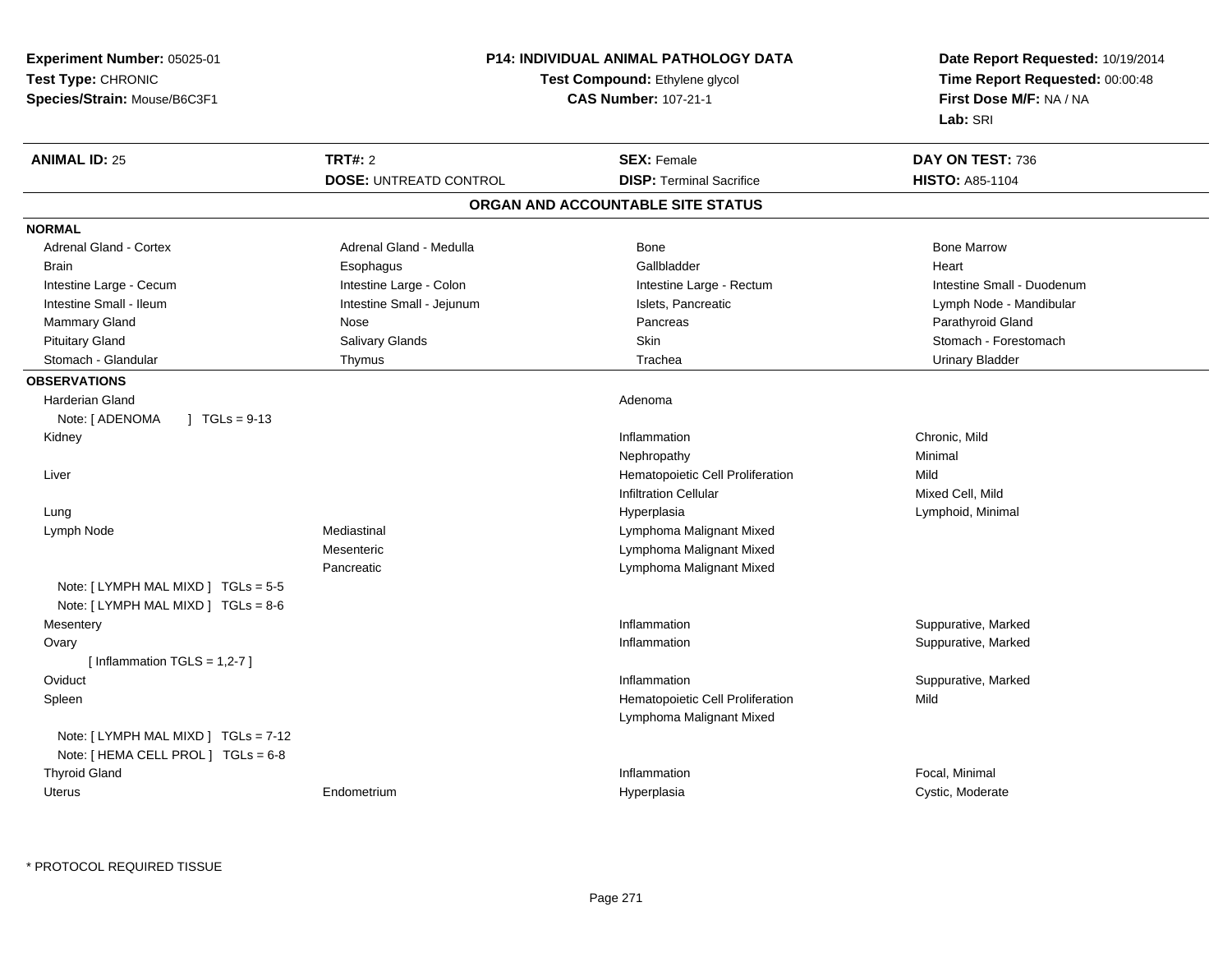| <b>Experiment Number: 05025-01</b><br>Test Type: CHRONIC<br>Species/Strain: Mouse/B6C3F1 | P14: INDIVIDUAL ANIMAL PATHOLOGY DATA<br>Test Compound: Ethylene glycol<br><b>CAS Number: 107-21-1</b> |                                   | Date Report Requested: 10/19/2014<br>Time Report Requested: 00:00:48<br>First Dose M/F: NA / NA<br>Lab: SRI |
|------------------------------------------------------------------------------------------|--------------------------------------------------------------------------------------------------------|-----------------------------------|-------------------------------------------------------------------------------------------------------------|
| <b>TRT#: 2</b><br><b>ANIMAL ID: 25</b>                                                   |                                                                                                        | <b>SEX: Female</b>                | DAY ON TEST: 736                                                                                            |
|                                                                                          | <b>DOSE: UNTREATD CONTROL</b>                                                                          | <b>DISP: Terminal Sacrifice</b>   | <b>HISTO: A85-1104</b>                                                                                      |
|                                                                                          |                                                                                                        | ORGAN AND ACCOUNTABLE SITE STATUS |                                                                                                             |
| <b>NORMAL</b>                                                                            |                                                                                                        |                                   |                                                                                                             |
| Adrenal Gland - Cortex                                                                   | Adrenal Gland - Medulla                                                                                | Bone                              | <b>Bone Marrow</b>                                                                                          |
| <b>Brain</b><br>Esophagus                                                                |                                                                                                        | Gallbladder                       | Heart                                                                                                       |
| Intestine Large - Cecum                                                                  | Intestine Large - Colon                                                                                | Intestine Large - Rectum          | Intestine Small - Duodenum                                                                                  |
| Intestine Small - Ileum                                                                  | Intestine Small - Jejunum                                                                              | Islets, Pancreatic                | Lymph Node - Mandibular                                                                                     |
| Mammary Gland<br>Nose                                                                    |                                                                                                        | Pancreas                          | Parathyroid Gland                                                                                           |
| Salivary Glands<br><b>Pituitary Gland</b>                                                |                                                                                                        | Skin                              | Stomach - Forestomach                                                                                       |
| Stomach - Glandular<br>Thymus                                                            |                                                                                                        | Trachea                           | <b>Urinary Bladder</b>                                                                                      |
| <b>OBSERVATIONS</b>                                                                      |                                                                                                        |                                   |                                                                                                             |
| <b>Harderian Gland</b>                                                                   |                                                                                                        | Adenoma                           |                                                                                                             |
| $1 TGLs = 9-13$<br>Note: [ ADENOMA                                                       |                                                                                                        |                                   |                                                                                                             |
| Kidney                                                                                   |                                                                                                        | Inflammation                      | Chronic, Mild                                                                                               |
|                                                                                          |                                                                                                        | Nephropathy                       | Minimal                                                                                                     |
| Liver                                                                                    |                                                                                                        | Hematopoietic Cell Proliferation  | Mild                                                                                                        |
|                                                                                          |                                                                                                        | <b>Infiltration Cellular</b>      | Mixed Cell, Mild                                                                                            |
| Lung                                                                                     |                                                                                                        | Hyperplasia                       | Lymphoid, Minimal                                                                                           |
| Mediastinal<br>Lymph Node                                                                |                                                                                                        | Lymphoma Malignant Mixed          |                                                                                                             |
| Mesenteric                                                                               |                                                                                                        | Lymphoma Malignant Mixed          |                                                                                                             |
| Pancreatic                                                                               |                                                                                                        | Lymphoma Malignant Mixed          |                                                                                                             |
| Note: [ LYMPH MAL MIXD ] TGLs = 5-5                                                      |                                                                                                        |                                   |                                                                                                             |
| Note: [ LYMPH MAL MIXD ] TGLs = 8-6                                                      |                                                                                                        |                                   |                                                                                                             |
| Mesentery                                                                                |                                                                                                        | Inflammation                      | Suppurative, Marked                                                                                         |
| Ovary                                                                                    |                                                                                                        | Inflammation                      | Suppurative, Marked                                                                                         |
| [Inflammation TGLS = $1,2-7$ ]                                                           |                                                                                                        |                                   |                                                                                                             |
| Oviduct                                                                                  |                                                                                                        | Inflammation                      | Suppurative, Marked                                                                                         |
| Spleen                                                                                   |                                                                                                        | Hematopoietic Cell Proliferation  | Mild                                                                                                        |
|                                                                                          |                                                                                                        | Lymphoma Malignant Mixed          |                                                                                                             |
| Note: [ LYMPH MAL MIXD ] TGLs = 7-12                                                     |                                                                                                        |                                   |                                                                                                             |
| Note: [ HEMA CELL PROL ] TGLs = 6-8                                                      |                                                                                                        |                                   |                                                                                                             |
| <b>Thyroid Gland</b>                                                                     |                                                                                                        | Inflammation                      | Focal, Minimal                                                                                              |
| <b>Uterus</b><br>Endometrium                                                             |                                                                                                        | Hyperplasia                       | Cystic, Moderate                                                                                            |

\* PROTOCOL REQUIRED TISSUE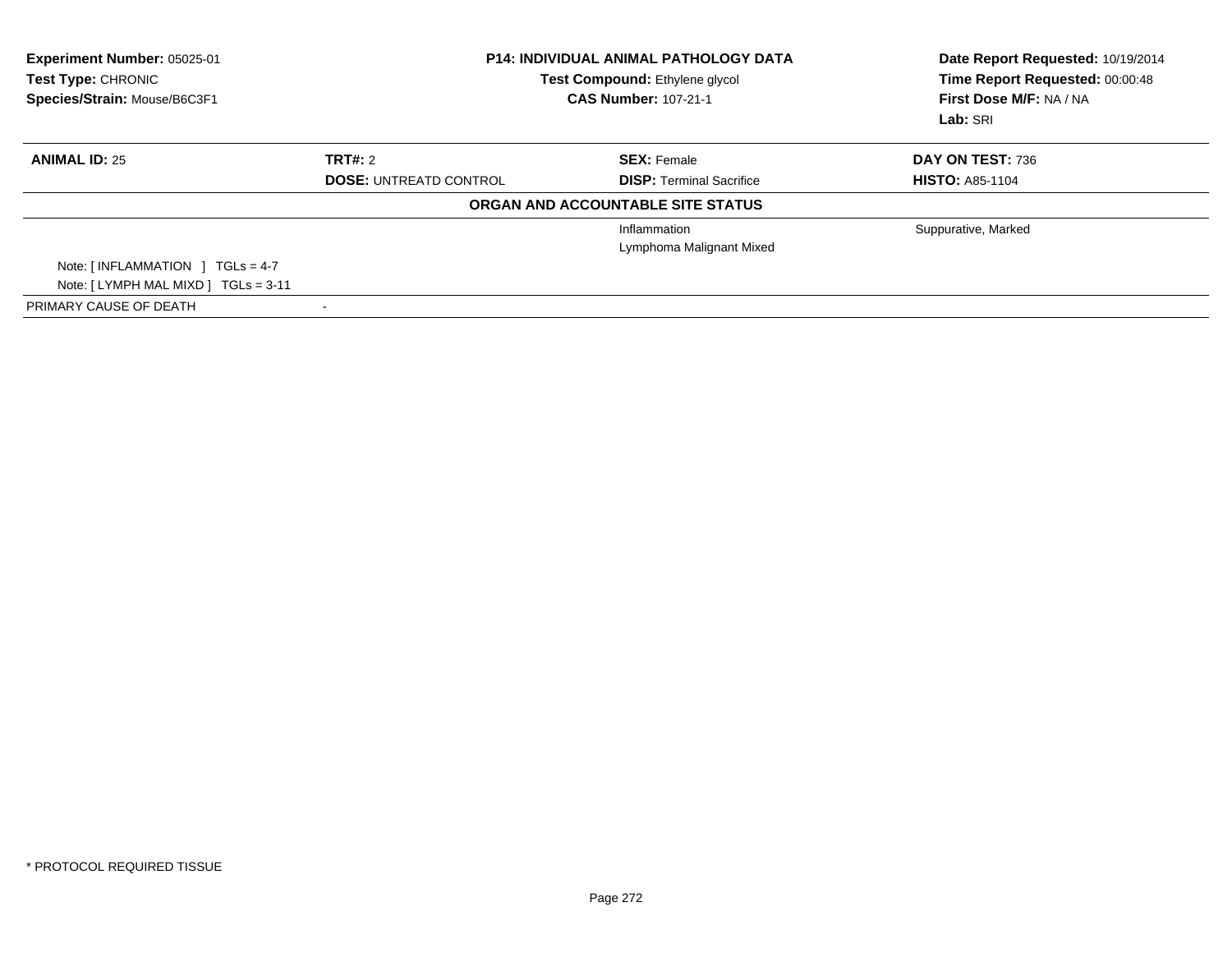| Experiment Number: 05025-01<br><b>Test Type: CHRONIC</b><br>Species/Strain: Mouse/B6C3F1 | <b>P14: INDIVIDUAL ANIMAL PATHOLOGY DATA</b><br>Test Compound: Ethylene glycol<br><b>CAS Number: 107-21-1</b> |                                   | Date Report Requested: 10/19/2014<br>Time Report Requested: 00:00:48<br>First Dose M/F: NA / NA<br>Lab: SRI |
|------------------------------------------------------------------------------------------|---------------------------------------------------------------------------------------------------------------|-----------------------------------|-------------------------------------------------------------------------------------------------------------|
| <b>ANIMAL ID: 25</b>                                                                     | TRT#: 2                                                                                                       | <b>SEX: Female</b>                | DAY ON TEST: 736                                                                                            |
|                                                                                          | <b>DOSE: UNTREATD CONTROL</b>                                                                                 | <b>DISP: Terminal Sacrifice</b>   | <b>HISTO: A85-1104</b>                                                                                      |
|                                                                                          |                                                                                                               | ORGAN AND ACCOUNTABLE SITE STATUS |                                                                                                             |
|                                                                                          |                                                                                                               | Inflammation                      | Suppurative, Marked                                                                                         |
|                                                                                          |                                                                                                               | Lymphoma Malignant Mixed          |                                                                                                             |
| Note: $\lceil$ INFLAMMATION $\lceil$ TGLs = 4-7                                          |                                                                                                               |                                   |                                                                                                             |
| Note: [LYMPH MAL MIXD ] TGLs = 3-11                                                      |                                                                                                               |                                   |                                                                                                             |
| PRIMARY CAUSE OF DEATH                                                                   |                                                                                                               |                                   |                                                                                                             |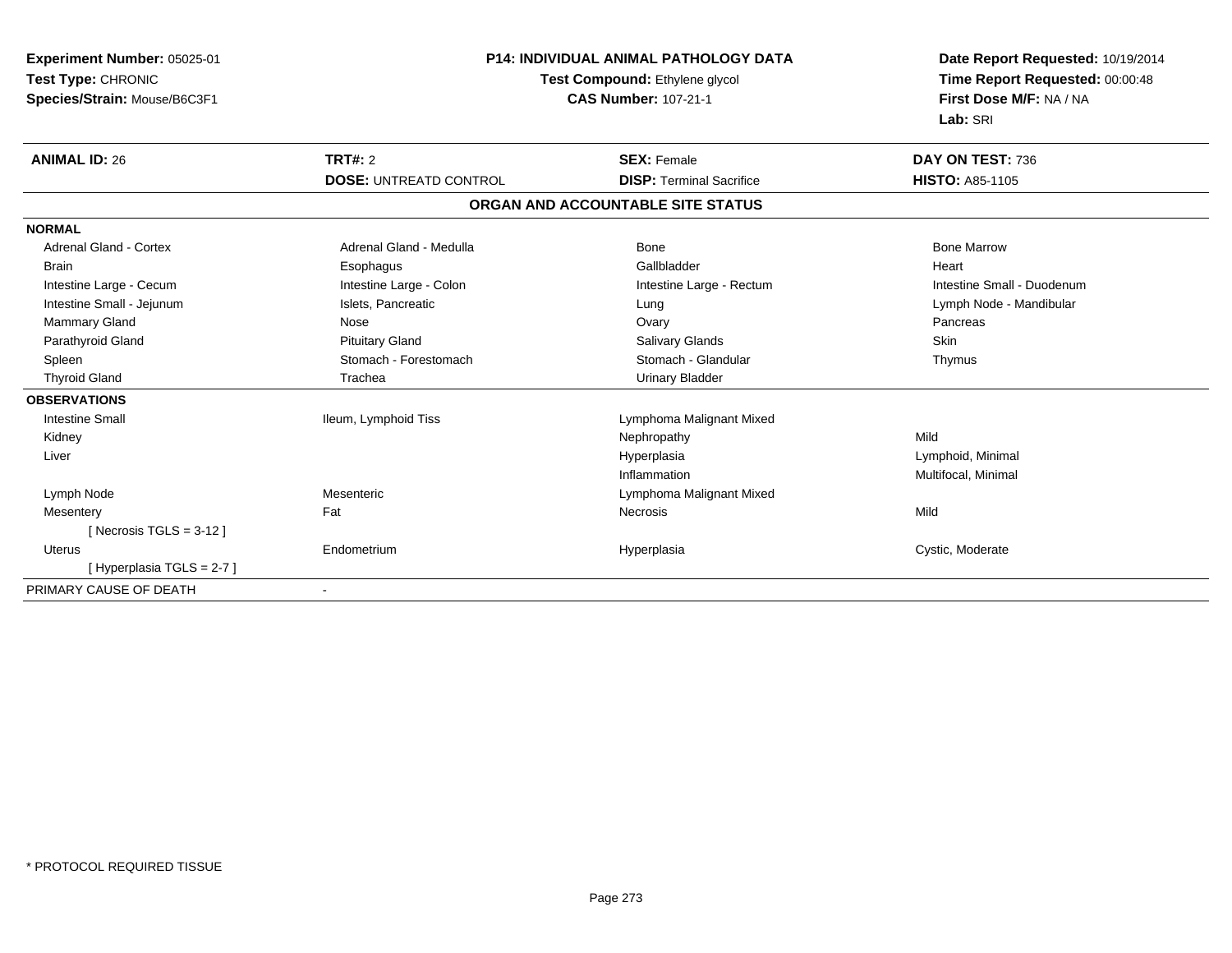| Experiment Number: 05025-01<br>Test Type: CHRONIC<br>Species/Strain: Mouse/B6C3F1 | <b>P14: INDIVIDUAL ANIMAL PATHOLOGY DATA</b><br>Test Compound: Ethylene glycol<br><b>CAS Number: 107-21-1</b> |                                   | Date Report Requested: 10/19/2014<br>Time Report Requested: 00:00:48<br>First Dose M/F: NA / NA<br>Lab: SRI |  |
|-----------------------------------------------------------------------------------|---------------------------------------------------------------------------------------------------------------|-----------------------------------|-------------------------------------------------------------------------------------------------------------|--|
| <b>ANIMAL ID: 26</b>                                                              | <b>TRT#: 2</b>                                                                                                | <b>SEX: Female</b>                | DAY ON TEST: 736                                                                                            |  |
|                                                                                   | <b>DOSE: UNTREATD CONTROL</b>                                                                                 | <b>DISP: Terminal Sacrifice</b>   | <b>HISTO: A85-1105</b>                                                                                      |  |
|                                                                                   |                                                                                                               | ORGAN AND ACCOUNTABLE SITE STATUS |                                                                                                             |  |
| <b>NORMAL</b>                                                                     |                                                                                                               |                                   |                                                                                                             |  |
| <b>Adrenal Gland - Cortex</b>                                                     | Adrenal Gland - Medulla                                                                                       | Bone                              | <b>Bone Marrow</b>                                                                                          |  |
| <b>Brain</b>                                                                      | Esophagus                                                                                                     | Gallbladder                       | Heart                                                                                                       |  |
| Intestine Large - Cecum                                                           | Intestine Large - Colon                                                                                       | Intestine Large - Rectum          | Intestine Small - Duodenum                                                                                  |  |
| Intestine Small - Jejunum                                                         | Islets, Pancreatic                                                                                            | Lung                              | Lymph Node - Mandibular                                                                                     |  |
| Mammary Gland                                                                     | Nose                                                                                                          | Ovary                             | Pancreas                                                                                                    |  |
| Parathyroid Gland                                                                 | <b>Pituitary Gland</b>                                                                                        | <b>Salivary Glands</b>            | Skin                                                                                                        |  |
| Spleen                                                                            | Stomach - Forestomach                                                                                         | Stomach - Glandular               | Thymus                                                                                                      |  |
| <b>Thyroid Gland</b>                                                              | Trachea                                                                                                       | <b>Urinary Bladder</b>            |                                                                                                             |  |
| <b>OBSERVATIONS</b>                                                               |                                                                                                               |                                   |                                                                                                             |  |
| <b>Intestine Small</b>                                                            | Ileum, Lymphoid Tiss                                                                                          | Lymphoma Malignant Mixed          |                                                                                                             |  |
| Kidney                                                                            |                                                                                                               | Nephropathy                       | Mild                                                                                                        |  |
| Liver                                                                             |                                                                                                               | Hyperplasia                       | Lymphoid, Minimal                                                                                           |  |
|                                                                                   |                                                                                                               | Inflammation                      | Multifocal, Minimal                                                                                         |  |
| Lymph Node                                                                        | Mesenteric                                                                                                    | Lymphoma Malignant Mixed          |                                                                                                             |  |
| Mesentery                                                                         | Fat                                                                                                           | <b>Necrosis</b>                   | Mild                                                                                                        |  |
| [Necrosis TGLS = $3-12$ ]                                                         |                                                                                                               |                                   |                                                                                                             |  |
| <b>Uterus</b>                                                                     | Endometrium                                                                                                   | Hyperplasia                       | Cystic, Moderate                                                                                            |  |
| [Hyperplasia TGLS = 2-7]                                                          |                                                                                                               |                                   |                                                                                                             |  |
| PRIMARY CAUSE OF DEATH                                                            |                                                                                                               |                                   |                                                                                                             |  |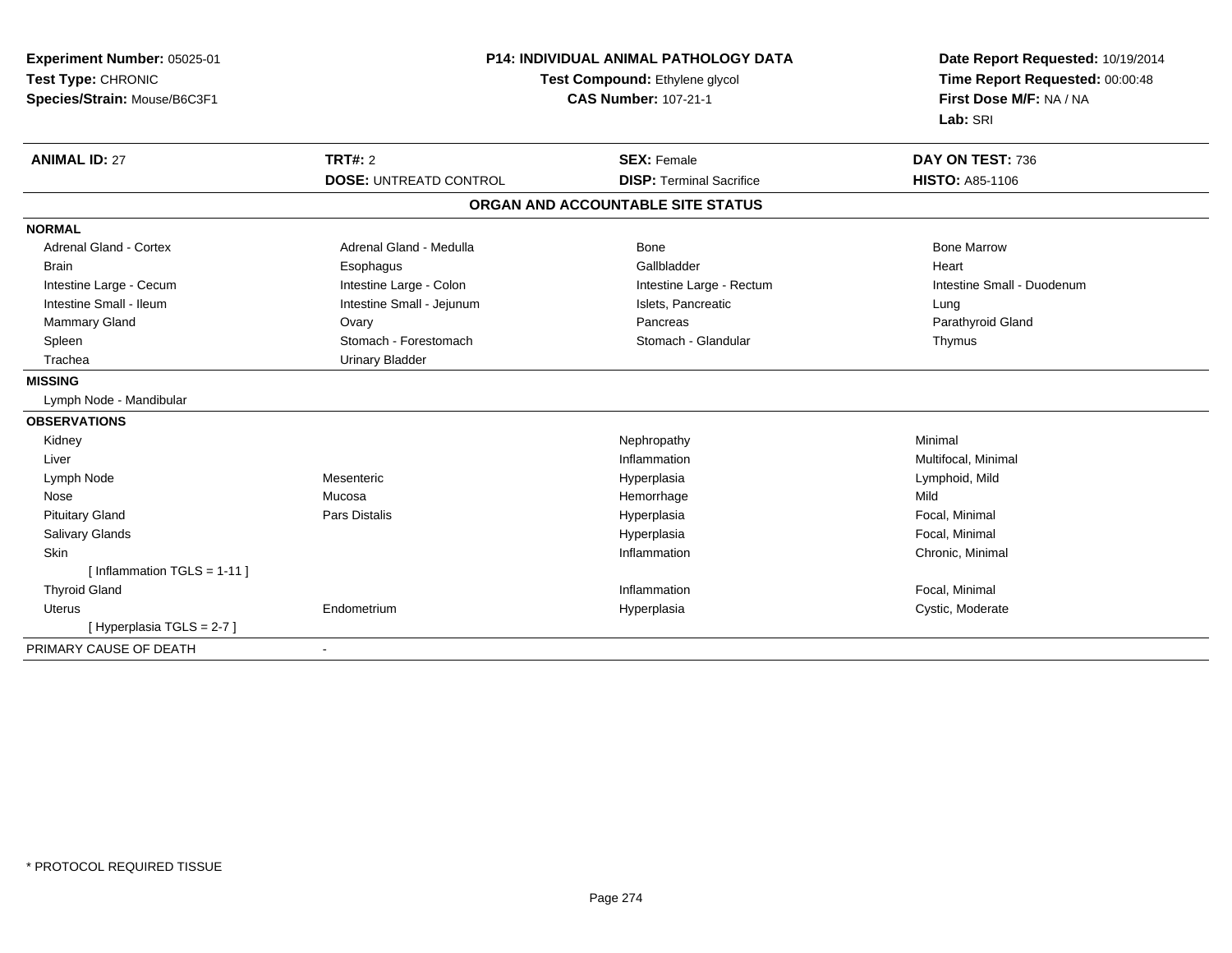| Experiment Number: 05025-01<br>Test Type: CHRONIC<br>Species/Strain: Mouse/B6C3F1 | P14: INDIVIDUAL ANIMAL PATHOLOGY DATA<br>Test Compound: Ethylene glycol<br><b>CAS Number: 107-21-1</b> |                                   | Date Report Requested: 10/19/2014<br>Time Report Requested: 00:00:48<br>First Dose M/F: NA / NA<br>Lab: SRI |  |
|-----------------------------------------------------------------------------------|--------------------------------------------------------------------------------------------------------|-----------------------------------|-------------------------------------------------------------------------------------------------------------|--|
| <b>ANIMAL ID: 27</b>                                                              | <b>TRT#: 2</b>                                                                                         | <b>SEX: Female</b>                | DAY ON TEST: 736                                                                                            |  |
|                                                                                   | <b>DOSE: UNTREATD CONTROL</b>                                                                          | <b>DISP: Terminal Sacrifice</b>   | <b>HISTO: A85-1106</b>                                                                                      |  |
|                                                                                   |                                                                                                        | ORGAN AND ACCOUNTABLE SITE STATUS |                                                                                                             |  |
| <b>NORMAL</b>                                                                     |                                                                                                        |                                   |                                                                                                             |  |
| <b>Adrenal Gland - Cortex</b>                                                     | Adrenal Gland - Medulla                                                                                | Bone                              | <b>Bone Marrow</b>                                                                                          |  |
| <b>Brain</b>                                                                      | Esophagus                                                                                              | Gallbladder                       | Heart                                                                                                       |  |
| Intestine Large - Cecum                                                           | Intestine Large - Colon                                                                                | Intestine Large - Rectum          | Intestine Small - Duodenum                                                                                  |  |
| Intestine Small - Ileum                                                           | Intestine Small - Jejunum                                                                              | Islets, Pancreatic                | Lung                                                                                                        |  |
| <b>Mammary Gland</b>                                                              | Ovary                                                                                                  | Pancreas                          | Parathyroid Gland                                                                                           |  |
| Spleen                                                                            | Stomach - Forestomach                                                                                  | Stomach - Glandular               | Thymus                                                                                                      |  |
| Trachea                                                                           | <b>Urinary Bladder</b>                                                                                 |                                   |                                                                                                             |  |
| <b>MISSING</b>                                                                    |                                                                                                        |                                   |                                                                                                             |  |
| Lymph Node - Mandibular                                                           |                                                                                                        |                                   |                                                                                                             |  |
| <b>OBSERVATIONS</b>                                                               |                                                                                                        |                                   |                                                                                                             |  |
| Kidney                                                                            |                                                                                                        | Nephropathy                       | Minimal                                                                                                     |  |
| Liver                                                                             |                                                                                                        | Inflammation                      | Multifocal, Minimal                                                                                         |  |
| Lymph Node                                                                        | Mesenteric                                                                                             | Hyperplasia                       | Lymphoid, Mild                                                                                              |  |
| Nose                                                                              | Mucosa                                                                                                 | Hemorrhage                        | Mild                                                                                                        |  |
| <b>Pituitary Gland</b>                                                            | <b>Pars Distalis</b>                                                                                   | Hyperplasia                       | Focal, Minimal                                                                                              |  |
| Salivary Glands                                                                   |                                                                                                        | Hyperplasia                       | Focal, Minimal                                                                                              |  |
| Skin                                                                              |                                                                                                        | Inflammation                      | Chronic, Minimal                                                                                            |  |
| [Inflammation TGLS = $1-11$ ]                                                     |                                                                                                        |                                   |                                                                                                             |  |
| <b>Thyroid Gland</b>                                                              |                                                                                                        | Inflammation                      | Focal, Minimal                                                                                              |  |
| Uterus                                                                            | Endometrium                                                                                            | Hyperplasia                       | Cystic, Moderate                                                                                            |  |
| [Hyperplasia TGLS = 2-7]                                                          |                                                                                                        |                                   |                                                                                                             |  |
| PRIMARY CAUSE OF DEATH                                                            | $\overline{\phantom{a}}$                                                                               |                                   |                                                                                                             |  |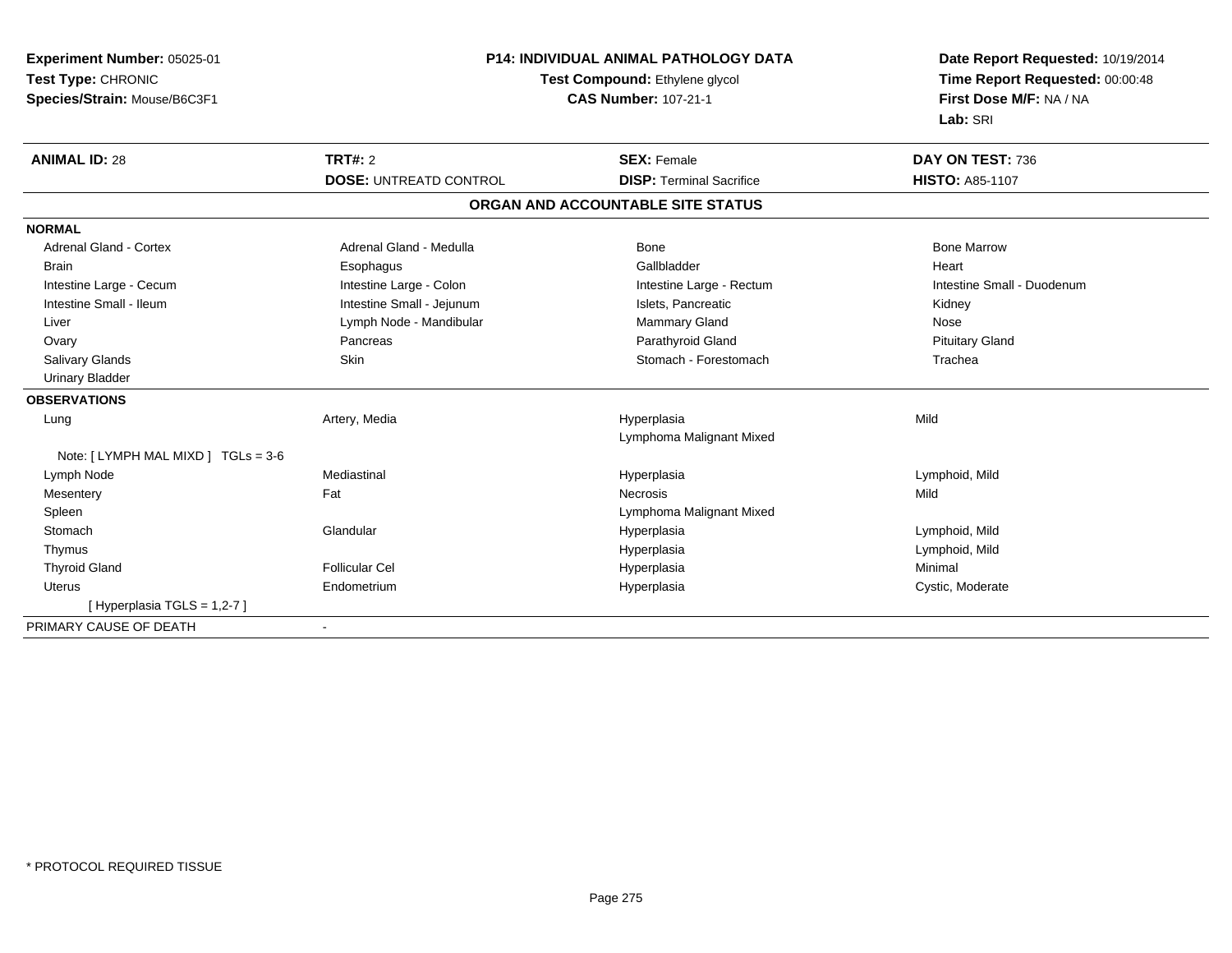| Experiment Number: 05025-01        | <b>P14: INDIVIDUAL ANIMAL PATHOLOGY DATA</b><br>Test Compound: Ethylene glycol |                                   | Date Report Requested: 10/19/2014 |  |
|------------------------------------|--------------------------------------------------------------------------------|-----------------------------------|-----------------------------------|--|
| Test Type: CHRONIC                 |                                                                                |                                   | Time Report Requested: 00:00:48   |  |
| Species/Strain: Mouse/B6C3F1       |                                                                                | <b>CAS Number: 107-21-1</b>       | First Dose M/F: NA / NA           |  |
|                                    |                                                                                |                                   | Lab: SRI                          |  |
| <b>ANIMAL ID: 28</b>               | TRT#: 2                                                                        | <b>SEX: Female</b>                | DAY ON TEST: 736                  |  |
|                                    | <b>DOSE: UNTREATD CONTROL</b>                                                  | <b>DISP: Terminal Sacrifice</b>   | <b>HISTO: A85-1107</b>            |  |
|                                    |                                                                                | ORGAN AND ACCOUNTABLE SITE STATUS |                                   |  |
| <b>NORMAL</b>                      |                                                                                |                                   |                                   |  |
| <b>Adrenal Gland - Cortex</b>      | Adrenal Gland - Medulla                                                        | Bone                              | <b>Bone Marrow</b>                |  |
| <b>Brain</b>                       | Esophagus                                                                      | Gallbladder                       | Heart                             |  |
| Intestine Large - Cecum            | Intestine Large - Colon                                                        | Intestine Large - Rectum          | Intestine Small - Duodenum        |  |
| Intestine Small - Ileum            | Intestine Small - Jejunum                                                      | Islets, Pancreatic                | Kidney                            |  |
| Liver                              | Lymph Node - Mandibular                                                        | Mammary Gland                     | Nose                              |  |
| Ovary                              | Pancreas                                                                       | Parathyroid Gland                 | <b>Pituitary Gland</b>            |  |
| Salivary Glands                    | Skin                                                                           | Stomach - Forestomach             | Trachea                           |  |
| <b>Urinary Bladder</b>             |                                                                                |                                   |                                   |  |
| <b>OBSERVATIONS</b>                |                                                                                |                                   |                                   |  |
| Lung                               | Artery, Media                                                                  | Hyperplasia                       | Mild                              |  |
|                                    |                                                                                | Lymphoma Malignant Mixed          |                                   |  |
| Note: [LYMPH MAL MIXD ] TGLs = 3-6 |                                                                                |                                   |                                   |  |
| Lymph Node                         | Mediastinal                                                                    | Hyperplasia                       | Lymphoid, Mild                    |  |
| Mesentery                          | Fat                                                                            | <b>Necrosis</b>                   | Mild                              |  |
| Spleen                             |                                                                                | Lymphoma Malignant Mixed          |                                   |  |
| Stomach                            | Glandular                                                                      | Hyperplasia                       | Lymphoid, Mild                    |  |
| Thymus                             |                                                                                | Hyperplasia                       | Lymphoid, Mild                    |  |
| <b>Thyroid Gland</b>               | <b>Follicular Cel</b>                                                          | Hyperplasia                       | Minimal                           |  |
| Uterus                             | Endometrium                                                                    | Hyperplasia                       | Cystic, Moderate                  |  |
| [Hyperplasia TGLS = $1,2-7$ ]      |                                                                                |                                   |                                   |  |
| PRIMARY CAUSE OF DEATH             | $\overline{\phantom{a}}$                                                       |                                   |                                   |  |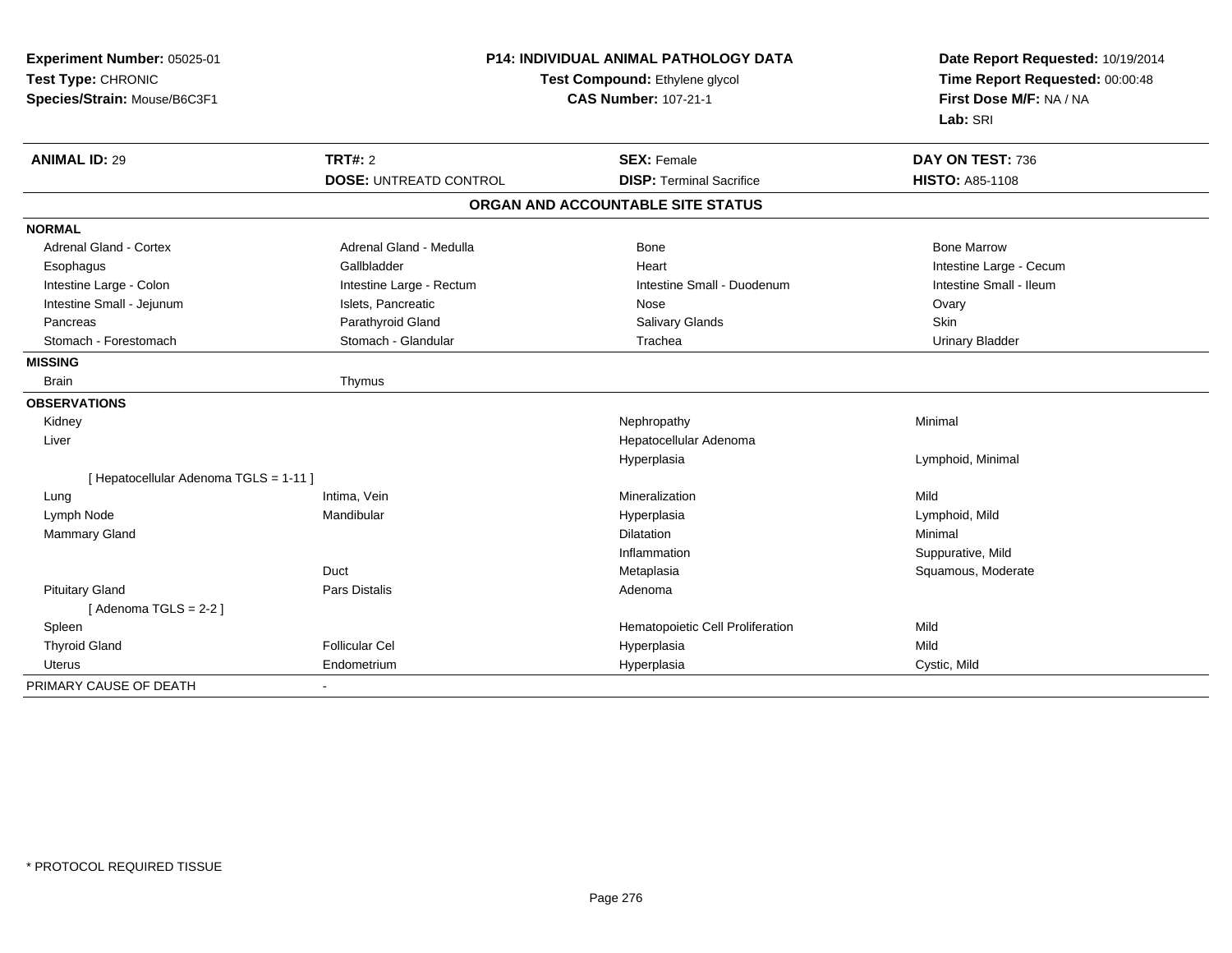| Experiment Number: 05025-01<br>Test Type: CHRONIC<br>Species/Strain: Mouse/B6C3F1 |                                                 | <b>P14: INDIVIDUAL ANIMAL PATHOLOGY DATA</b><br>Test Compound: Ethylene glycol<br><b>CAS Number: 107-21-1</b> | Date Report Requested: 10/19/2014<br>Time Report Requested: 00:00:48<br>First Dose M/F: NA / NA<br>Lab: SRI |
|-----------------------------------------------------------------------------------|-------------------------------------------------|---------------------------------------------------------------------------------------------------------------|-------------------------------------------------------------------------------------------------------------|
| <b>ANIMAL ID: 29</b>                                                              | <b>TRT#: 2</b><br><b>DOSE: UNTREATD CONTROL</b> | <b>SEX: Female</b><br><b>DISP: Terminal Sacrifice</b>                                                         | DAY ON TEST: 736<br><b>HISTO: A85-1108</b>                                                                  |
|                                                                                   |                                                 |                                                                                                               |                                                                                                             |
|                                                                                   |                                                 | ORGAN AND ACCOUNTABLE SITE STATUS                                                                             |                                                                                                             |
| <b>NORMAL</b>                                                                     |                                                 |                                                                                                               |                                                                                                             |
| <b>Adrenal Gland - Cortex</b>                                                     | Adrenal Gland - Medulla                         | Bone                                                                                                          | <b>Bone Marrow</b>                                                                                          |
| Esophagus                                                                         | Gallbladder                                     | Heart                                                                                                         | Intestine Large - Cecum                                                                                     |
| Intestine Large - Colon                                                           | Intestine Large - Rectum                        | Intestine Small - Duodenum                                                                                    | Intestine Small - Ileum                                                                                     |
| Intestine Small - Jejunum                                                         | Islets, Pancreatic                              | Nose                                                                                                          | Ovary                                                                                                       |
| Pancreas                                                                          | Parathyroid Gland                               | Salivary Glands                                                                                               | <b>Skin</b>                                                                                                 |
| Stomach - Forestomach                                                             | Stomach - Glandular                             | Trachea                                                                                                       | <b>Urinary Bladder</b>                                                                                      |
| <b>MISSING</b>                                                                    |                                                 |                                                                                                               |                                                                                                             |
| <b>Brain</b>                                                                      | Thymus                                          |                                                                                                               |                                                                                                             |
| <b>OBSERVATIONS</b>                                                               |                                                 |                                                                                                               |                                                                                                             |
| Kidney                                                                            |                                                 | Nephropathy                                                                                                   | Minimal                                                                                                     |
| Liver                                                                             |                                                 | Hepatocellular Adenoma                                                                                        |                                                                                                             |
|                                                                                   |                                                 | Hyperplasia                                                                                                   | Lymphoid, Minimal                                                                                           |
| [ Hepatocellular Adenoma TGLS = 1-11 ]                                            |                                                 |                                                                                                               |                                                                                                             |
| Lung                                                                              | Intima, Vein                                    | Mineralization                                                                                                | Mild                                                                                                        |
| Lymph Node                                                                        | Mandibular                                      | Hyperplasia                                                                                                   | Lymphoid, Mild                                                                                              |
| Mammary Gland                                                                     |                                                 | <b>Dilatation</b>                                                                                             | Minimal                                                                                                     |
|                                                                                   |                                                 | Inflammation                                                                                                  | Suppurative, Mild                                                                                           |
|                                                                                   | Duct                                            | Metaplasia                                                                                                    | Squamous, Moderate                                                                                          |
| <b>Pituitary Gland</b>                                                            | <b>Pars Distalis</b>                            | Adenoma                                                                                                       |                                                                                                             |
| [Adenoma TGLS = $2-2$ ]                                                           |                                                 |                                                                                                               |                                                                                                             |
| Spleen                                                                            |                                                 | Hematopoietic Cell Proliferation                                                                              | Mild                                                                                                        |
| <b>Thyroid Gland</b>                                                              | <b>Follicular Cel</b>                           | Hyperplasia                                                                                                   | Mild                                                                                                        |
| Uterus                                                                            | Endometrium                                     | Hyperplasia                                                                                                   | Cystic, Mild                                                                                                |
| PRIMARY CAUSE OF DEATH                                                            |                                                 |                                                                                                               |                                                                                                             |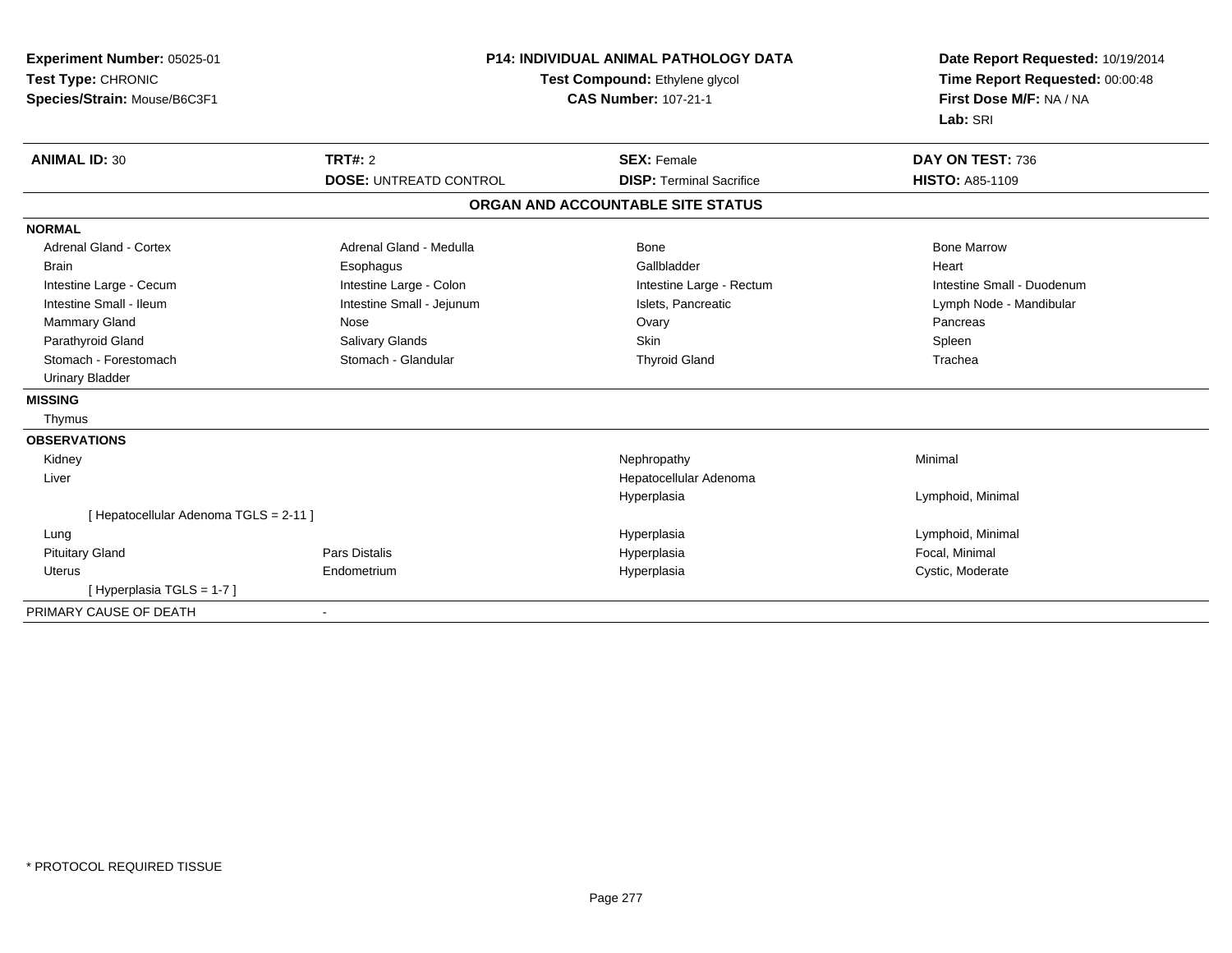| Experiment Number: 05025-01<br>Test Type: CHRONIC<br>Species/Strain: Mouse/B6C3F1 | <b>P14: INDIVIDUAL ANIMAL PATHOLOGY DATA</b><br>Test Compound: Ethylene glycol<br><b>CAS Number: 107-21-1</b> |                                   | Date Report Requested: 10/19/2014<br>Time Report Requested: 00:00:48<br>First Dose M/F: NA / NA<br>Lab: SRI |
|-----------------------------------------------------------------------------------|---------------------------------------------------------------------------------------------------------------|-----------------------------------|-------------------------------------------------------------------------------------------------------------|
| <b>ANIMAL ID: 30</b>                                                              | TRT#: 2                                                                                                       | <b>SEX: Female</b>                | DAY ON TEST: 736                                                                                            |
|                                                                                   | <b>DOSE: UNTREATD CONTROL</b>                                                                                 | <b>DISP: Terminal Sacrifice</b>   | <b>HISTO: A85-1109</b>                                                                                      |
|                                                                                   |                                                                                                               | ORGAN AND ACCOUNTABLE SITE STATUS |                                                                                                             |
| <b>NORMAL</b>                                                                     |                                                                                                               |                                   |                                                                                                             |
| <b>Adrenal Gland - Cortex</b>                                                     | Adrenal Gland - Medulla                                                                                       | Bone                              | <b>Bone Marrow</b>                                                                                          |
| <b>Brain</b>                                                                      | Esophagus                                                                                                     | Gallbladder                       | Heart                                                                                                       |
| Intestine Large - Cecum                                                           | Intestine Large - Colon                                                                                       | Intestine Large - Rectum          | Intestine Small - Duodenum                                                                                  |
| Intestine Small - Ileum                                                           | Intestine Small - Jejunum                                                                                     | Islets, Pancreatic                | Lymph Node - Mandibular                                                                                     |
| <b>Mammary Gland</b>                                                              | Nose                                                                                                          | Ovary                             | Pancreas                                                                                                    |
| Parathyroid Gland                                                                 | Salivary Glands                                                                                               | Skin                              | Spleen                                                                                                      |
| Stomach - Forestomach                                                             | Stomach - Glandular                                                                                           | <b>Thyroid Gland</b>              | Trachea                                                                                                     |
| <b>Urinary Bladder</b>                                                            |                                                                                                               |                                   |                                                                                                             |
| <b>MISSING</b>                                                                    |                                                                                                               |                                   |                                                                                                             |
| Thymus                                                                            |                                                                                                               |                                   |                                                                                                             |
| <b>OBSERVATIONS</b>                                                               |                                                                                                               |                                   |                                                                                                             |
| Kidney                                                                            |                                                                                                               | Nephropathy                       | Minimal                                                                                                     |
| Liver                                                                             |                                                                                                               | Hepatocellular Adenoma            |                                                                                                             |
|                                                                                   |                                                                                                               | Hyperplasia                       | Lymphoid, Minimal                                                                                           |
| [ Hepatocellular Adenoma TGLS = 2-11 ]                                            |                                                                                                               |                                   |                                                                                                             |
| Lung                                                                              |                                                                                                               | Hyperplasia                       | Lymphoid, Minimal                                                                                           |
| <b>Pituitary Gland</b>                                                            | <b>Pars Distalis</b>                                                                                          | Hyperplasia                       | Focal, Minimal                                                                                              |
| Uterus                                                                            | Endometrium                                                                                                   | Hyperplasia                       | Cystic, Moderate                                                                                            |
| [Hyperplasia TGLS = 1-7]                                                          |                                                                                                               |                                   |                                                                                                             |
| PRIMARY CAUSE OF DEATH                                                            |                                                                                                               |                                   |                                                                                                             |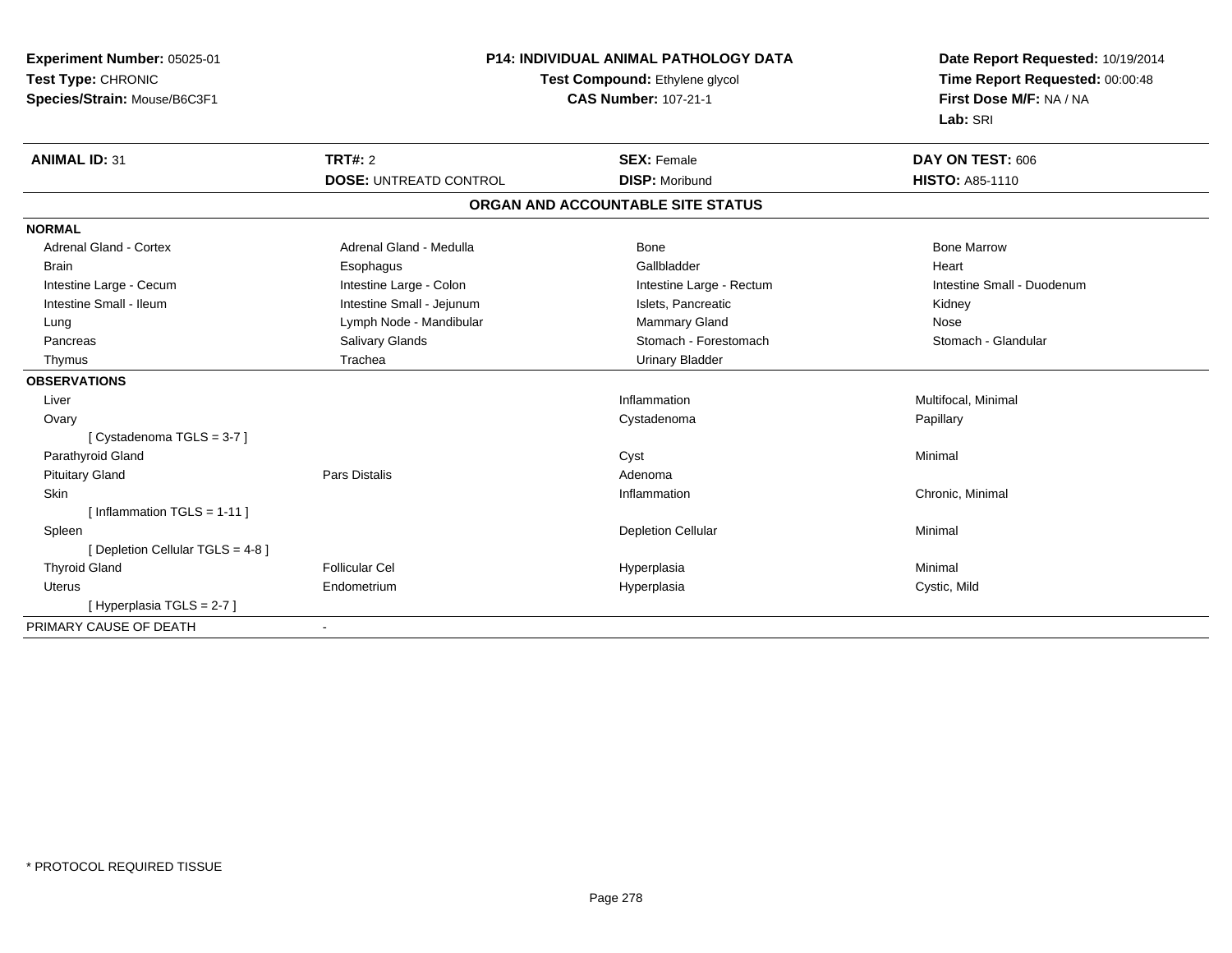| Experiment Number: 05025-01       | <b>P14: INDIVIDUAL ANIMAL PATHOLOGY DATA</b><br>Test Compound: Ethylene glycol |                                   | Date Report Requested: 10/19/2014<br>Time Report Requested: 00:00:48 |
|-----------------------------------|--------------------------------------------------------------------------------|-----------------------------------|----------------------------------------------------------------------|
| Test Type: CHRONIC                |                                                                                |                                   |                                                                      |
| Species/Strain: Mouse/B6C3F1      | <b>CAS Number: 107-21-1</b>                                                    |                                   | First Dose M/F: NA / NA                                              |
|                                   |                                                                                |                                   | Lab: SRI                                                             |
| <b>ANIMAL ID: 31</b>              | <b>TRT#: 2</b>                                                                 | <b>SEX: Female</b>                | DAY ON TEST: 606                                                     |
|                                   | <b>DOSE: UNTREATD CONTROL</b>                                                  | <b>DISP: Moribund</b>             | <b>HISTO: A85-1110</b>                                               |
|                                   |                                                                                | ORGAN AND ACCOUNTABLE SITE STATUS |                                                                      |
| <b>NORMAL</b>                     |                                                                                |                                   |                                                                      |
| <b>Adrenal Gland - Cortex</b>     | Adrenal Gland - Medulla                                                        | Bone                              | <b>Bone Marrow</b>                                                   |
| <b>Brain</b>                      | Esophagus                                                                      | Gallbladder                       | Heart                                                                |
| Intestine Large - Cecum           | Intestine Large - Colon                                                        | Intestine Large - Rectum          | Intestine Small - Duodenum                                           |
| Intestine Small - Ileum           | Intestine Small - Jejunum                                                      | Islets, Pancreatic                | Kidney                                                               |
| Lung                              | Lymph Node - Mandibular                                                        | Mammary Gland                     | Nose                                                                 |
| Pancreas                          | Salivary Glands                                                                | Stomach - Forestomach             | Stomach - Glandular                                                  |
| Thymus                            | Trachea                                                                        | <b>Urinary Bladder</b>            |                                                                      |
| <b>OBSERVATIONS</b>               |                                                                                |                                   |                                                                      |
| Liver                             |                                                                                | Inflammation                      | Multifocal, Minimal                                                  |
| Ovary                             |                                                                                | Cystadenoma                       | Papillary                                                            |
| [Cystadenoma TGLS = 3-7]          |                                                                                |                                   |                                                                      |
| Parathyroid Gland                 |                                                                                | Cyst                              | Minimal                                                              |
| <b>Pituitary Gland</b>            | <b>Pars Distalis</b>                                                           | Adenoma                           |                                                                      |
| Skin                              |                                                                                | Inflammation                      | Chronic, Minimal                                                     |
| [Inflammation TGLS = $1-11$ ]     |                                                                                |                                   |                                                                      |
| Spleen                            |                                                                                | <b>Depletion Cellular</b>         | Minimal                                                              |
| [ Depletion Cellular TGLS = 4-8 ] |                                                                                |                                   |                                                                      |
| <b>Thyroid Gland</b>              | <b>Follicular Cel</b>                                                          | Hyperplasia                       | Minimal                                                              |
| Uterus                            | Endometrium                                                                    | Hyperplasia                       | Cystic, Mild                                                         |
| [Hyperplasia TGLS = 2-7]          |                                                                                |                                   |                                                                      |
| PRIMARY CAUSE OF DEATH            |                                                                                |                                   |                                                                      |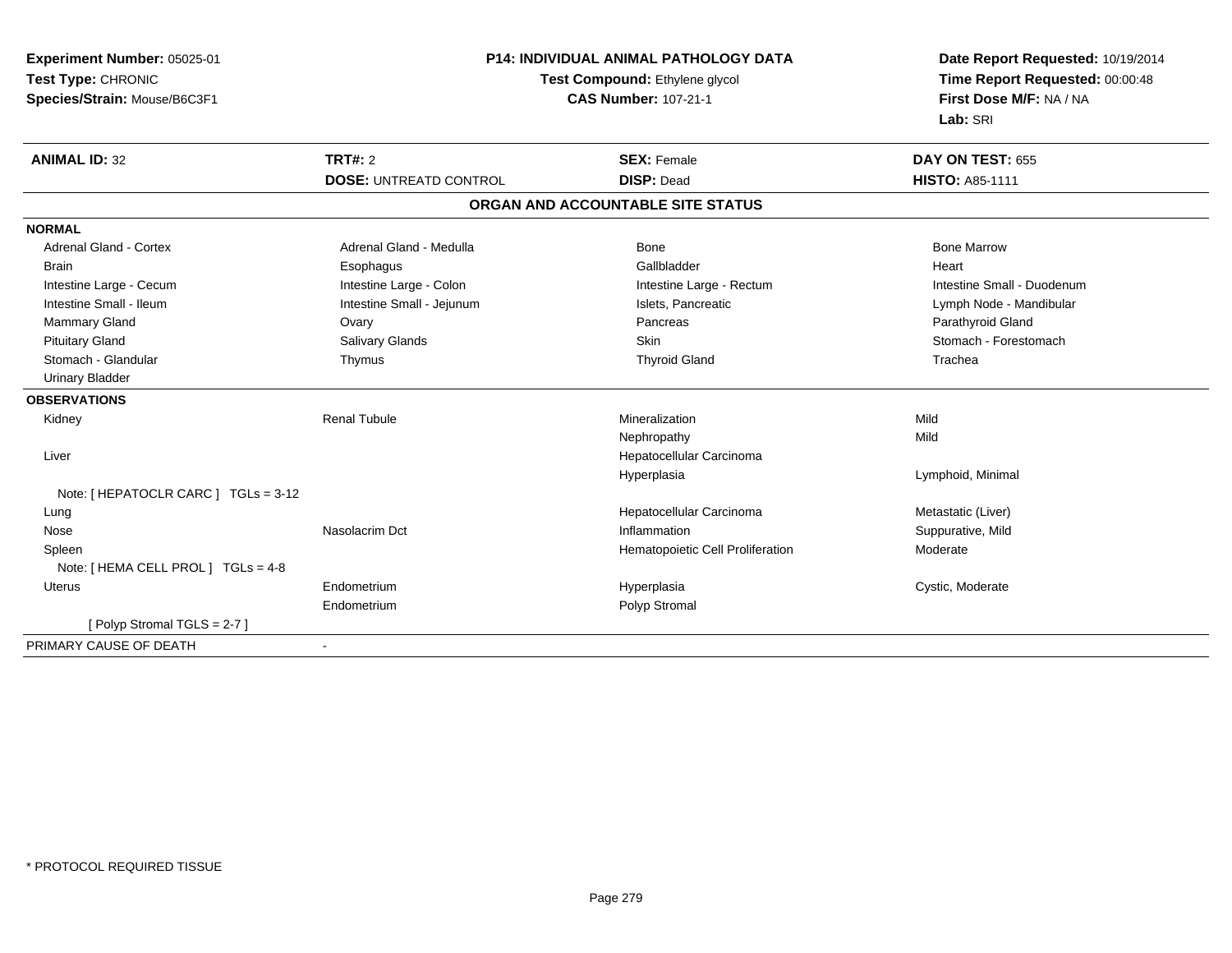| Experiment Number: 05025-01          | P14: INDIVIDUAL ANIMAL PATHOLOGY DATA |                                   | Date Report Requested: 10/19/2014                          |
|--------------------------------------|---------------------------------------|-----------------------------------|------------------------------------------------------------|
| Test Type: CHRONIC                   |                                       | Test Compound: Ethylene glycol    | Time Report Requested: 00:00:48<br>First Dose M/F: NA / NA |
| Species/Strain: Mouse/B6C3F1         |                                       | <b>CAS Number: 107-21-1</b>       |                                                            |
|                                      |                                       |                                   | Lab: SRI                                                   |
| <b>ANIMAL ID: 32</b>                 | TRT#: 2                               | <b>SEX: Female</b>                | DAY ON TEST: 655                                           |
|                                      | <b>DOSE: UNTREATD CONTROL</b>         | <b>DISP: Dead</b>                 | <b>HISTO: A85-1111</b>                                     |
|                                      |                                       | ORGAN AND ACCOUNTABLE SITE STATUS |                                                            |
| <b>NORMAL</b>                        |                                       |                                   |                                                            |
| Adrenal Gland - Cortex               | Adrenal Gland - Medulla               | <b>Bone</b>                       | <b>Bone Marrow</b>                                         |
| <b>Brain</b>                         | Esophagus                             | Gallbladder                       | Heart                                                      |
| Intestine Large - Cecum              | Intestine Large - Colon               | Intestine Large - Rectum          | Intestine Small - Duodenum                                 |
| Intestine Small - Ileum              | Intestine Small - Jejunum             | Islets, Pancreatic                | Lymph Node - Mandibular                                    |
| <b>Mammary Gland</b>                 | Ovary                                 | Pancreas                          | Parathyroid Gland                                          |
| <b>Pituitary Gland</b>               | <b>Salivary Glands</b>                | <b>Skin</b>                       | Stomach - Forestomach                                      |
| Stomach - Glandular                  | Thymus                                | <b>Thyroid Gland</b>              | Trachea                                                    |
| <b>Urinary Bladder</b>               |                                       |                                   |                                                            |
| <b>OBSERVATIONS</b>                  |                                       |                                   |                                                            |
| Kidney                               | <b>Renal Tubule</b>                   | Mineralization                    | Mild                                                       |
|                                      |                                       | Nephropathy                       | Mild                                                       |
| Liver                                |                                       | Hepatocellular Carcinoma          |                                                            |
|                                      |                                       | Hyperplasia                       | Lymphoid, Minimal                                          |
| Note: [ HEPATOCLR CARC ] TGLs = 3-12 |                                       |                                   |                                                            |
| Lung                                 |                                       | Hepatocellular Carcinoma          | Metastatic (Liver)                                         |
| Nose                                 | Nasolacrim Dct                        | Inflammation                      | Suppurative, Mild                                          |
| Spleen                               |                                       | Hematopoietic Cell Proliferation  | Moderate                                                   |
| Note: [ HEMA CELL PROL ] TGLs = 4-8  |                                       |                                   |                                                            |
| Uterus                               | Endometrium                           | Hyperplasia                       | Cystic, Moderate                                           |
|                                      | Endometrium                           | Polyp Stromal                     |                                                            |
| [ Polyp Stromal TGLS = $2-7$ ]       |                                       |                                   |                                                            |
| PRIMARY CAUSE OF DEATH               |                                       |                                   |                                                            |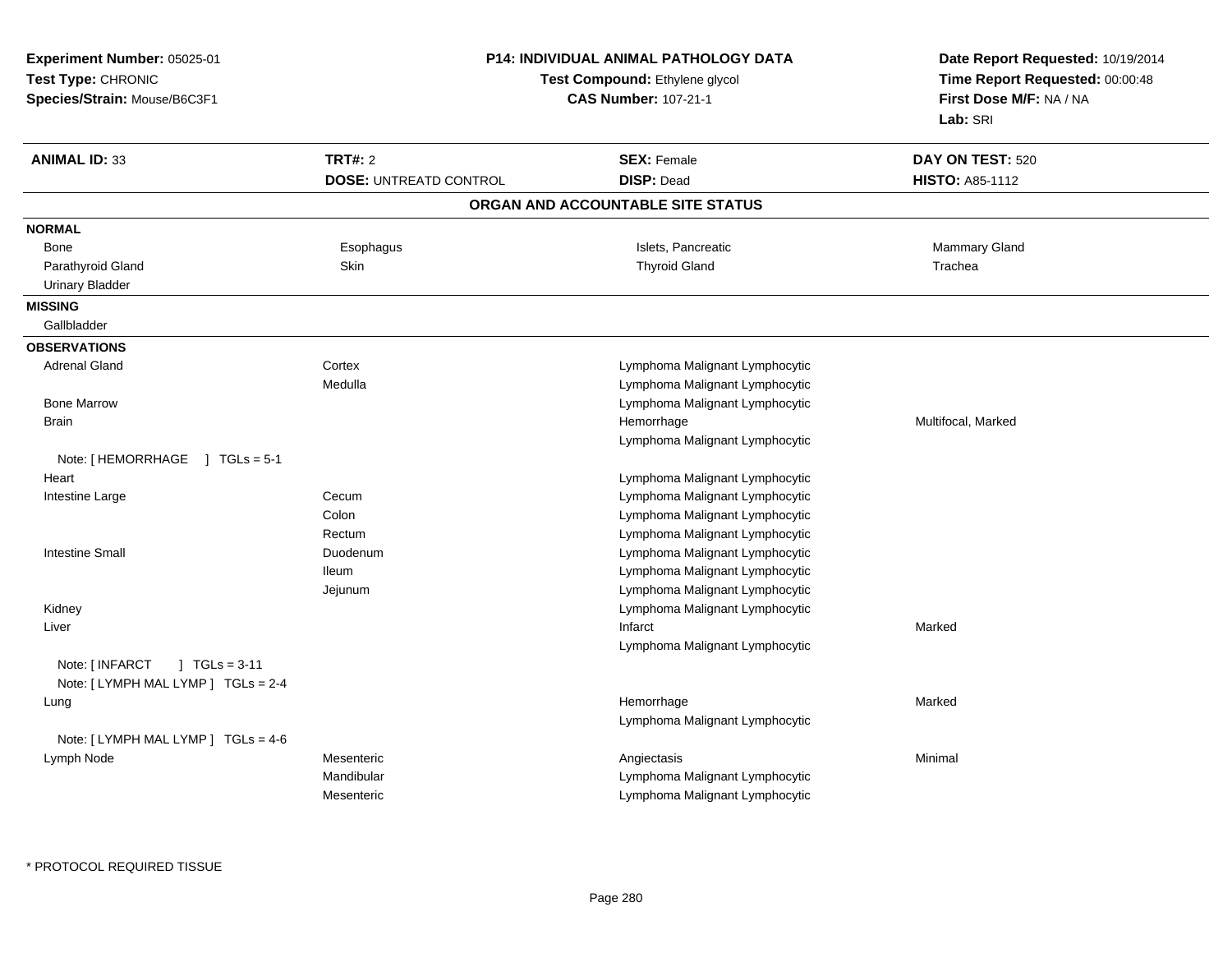| Experiment Number: 05025-01                                                     |                               | P14: INDIVIDUAL ANIMAL PATHOLOGY DATA | Date Report Requested: 10/19/2014                          |  |
|---------------------------------------------------------------------------------|-------------------------------|---------------------------------------|------------------------------------------------------------|--|
| Test Type: CHRONIC                                                              |                               | Test Compound: Ethylene glycol        | Time Report Requested: 00:00:48<br>First Dose M/F: NA / NA |  |
| Species/Strain: Mouse/B6C3F1                                                    |                               | <b>CAS Number: 107-21-1</b>           |                                                            |  |
|                                                                                 |                               |                                       | Lab: SRI                                                   |  |
| <b>ANIMAL ID: 33</b>                                                            | <b>TRT#: 2</b>                | <b>SEX: Female</b>                    | DAY ON TEST: 520                                           |  |
|                                                                                 | <b>DOSE: UNTREATD CONTROL</b> | <b>DISP: Dead</b>                     | <b>HISTO: A85-1112</b>                                     |  |
|                                                                                 |                               | ORGAN AND ACCOUNTABLE SITE STATUS     |                                                            |  |
| <b>NORMAL</b>                                                                   |                               |                                       |                                                            |  |
| Bone                                                                            | Esophagus                     | Islets, Pancreatic                    | <b>Mammary Gland</b>                                       |  |
| Parathyroid Gland                                                               | Skin                          | <b>Thyroid Gland</b>                  | Trachea                                                    |  |
| <b>Urinary Bladder</b>                                                          |                               |                                       |                                                            |  |
| <b>MISSING</b>                                                                  |                               |                                       |                                                            |  |
| Gallbladder                                                                     |                               |                                       |                                                            |  |
| <b>OBSERVATIONS</b>                                                             |                               |                                       |                                                            |  |
| <b>Adrenal Gland</b>                                                            | Cortex                        | Lymphoma Malignant Lymphocytic        |                                                            |  |
|                                                                                 | Medulla                       | Lymphoma Malignant Lymphocytic        |                                                            |  |
| <b>Bone Marrow</b>                                                              |                               | Lymphoma Malignant Lymphocytic        |                                                            |  |
| <b>Brain</b>                                                                    |                               | Hemorrhage                            | Multifocal, Marked                                         |  |
|                                                                                 |                               | Lymphoma Malignant Lymphocytic        |                                                            |  |
| Note: [HEMORRHAGE ] TGLs = 5-1                                                  |                               |                                       |                                                            |  |
| Heart                                                                           |                               | Lymphoma Malignant Lymphocytic        |                                                            |  |
| Intestine Large                                                                 | Cecum                         | Lymphoma Malignant Lymphocytic        |                                                            |  |
|                                                                                 | Colon                         | Lymphoma Malignant Lymphocytic        |                                                            |  |
|                                                                                 | Rectum                        | Lymphoma Malignant Lymphocytic        |                                                            |  |
| <b>Intestine Small</b>                                                          | Duodenum                      | Lymphoma Malignant Lymphocytic        |                                                            |  |
|                                                                                 | <b>Ileum</b>                  | Lymphoma Malignant Lymphocytic        |                                                            |  |
|                                                                                 | Jejunum                       | Lymphoma Malignant Lymphocytic        |                                                            |  |
| Kidney                                                                          |                               | Lymphoma Malignant Lymphocytic        |                                                            |  |
| Liver                                                                           |                               | Infarct                               | Marked                                                     |  |
| Note: [ INFARCT<br>$\sqrt{1}$ TGLs = 3-11<br>Note: [LYMPH MAL LYMP ] TGLs = 2-4 |                               | Lymphoma Malignant Lymphocytic        |                                                            |  |
| Lung                                                                            |                               | Hemorrhage                            | Marked                                                     |  |
|                                                                                 |                               | Lymphoma Malignant Lymphocytic        |                                                            |  |
| Note: [LYMPH MAL LYMP ] TGLs = 4-6                                              |                               |                                       |                                                            |  |
| Lymph Node                                                                      | Mesenteric                    | Angiectasis                           | Minimal                                                    |  |
|                                                                                 | Mandibular                    | Lymphoma Malignant Lymphocytic        |                                                            |  |
|                                                                                 | Mesenteric                    | Lymphoma Malignant Lymphocytic        |                                                            |  |
|                                                                                 |                               |                                       |                                                            |  |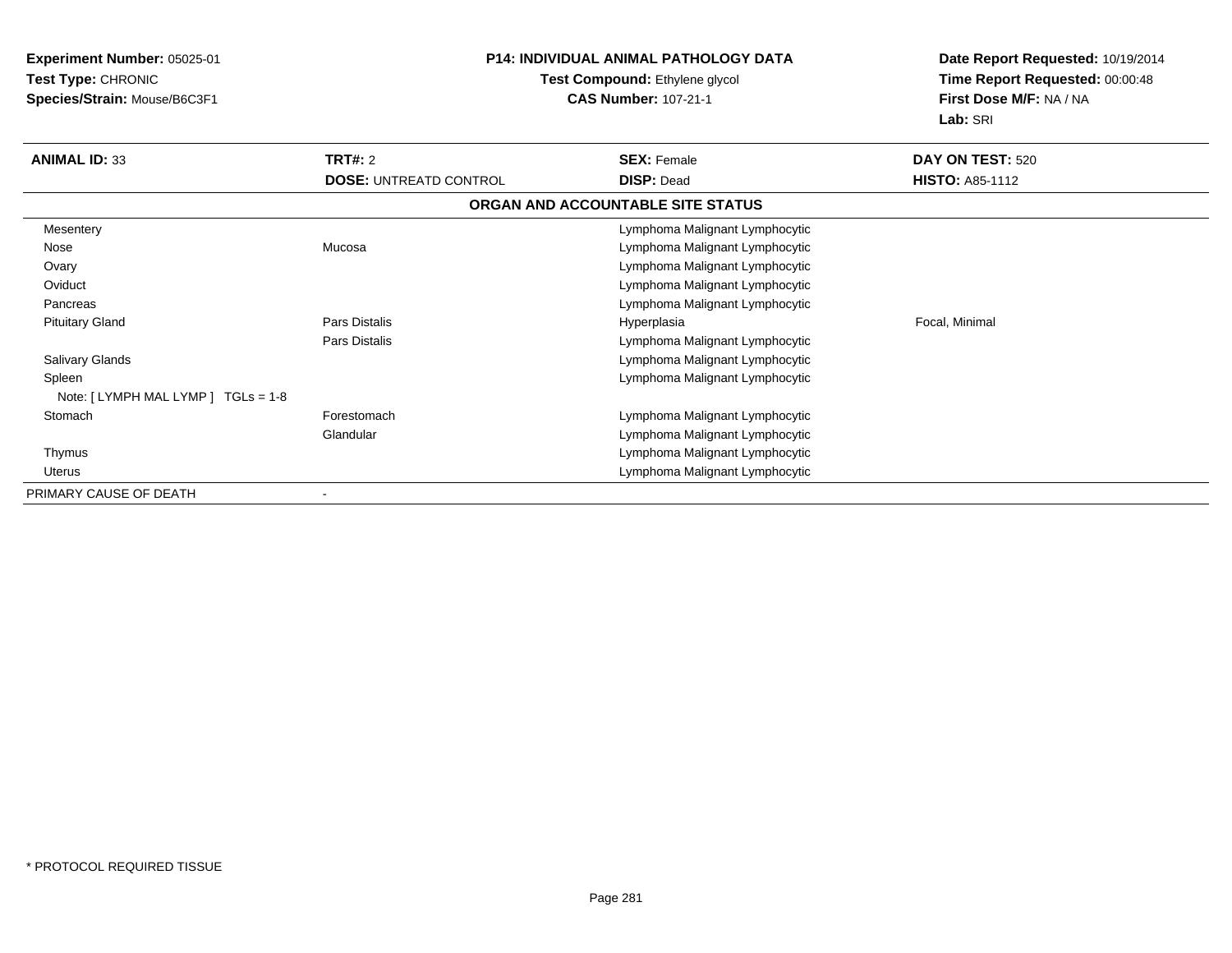**Experiment Number:** 05025-01**Test Type:** CHRONIC **Species/Strain:** Mouse/B6C3F1**P14: INDIVIDUAL ANIMAL PATHOLOGY DATATest Compound:** Ethylene glycol **CAS Number:** 107-21-1**Date Report Requested:** 10/19/2014**Time Report Requested:** 00:00:48**First Dose M/F:** NA / NA**Lab:** SRI**ANIMAL ID:** 33**TRT#:** 2 **SEX:** Female **DAY ON TEST:** 520 **DOSE:** UNTREATD CONTROL**DISP:** Dead **HISTO:** A85-1112 **ORGAN AND ACCOUNTABLE SITE STATUSMesentery**  Lymphoma Malignant Lymphocytic NoseMucosa **Mucosa** Lymphoma Malignant Lymphocytic **Ovary**  Lymphoma Malignant Lymphocytic **Oviduct**  Lymphoma Malignant Lymphocytics and the control of the control of the control of the control of the control of the control of the control of the control of the control of the control of the control of the control of the control of the control of the co **Pancreas**  Pituitary Gland Pars Distalis Hyperplasia Focal, Minimal Pars Distalis Lymphoma Malignant Lymphocytic Salivary Glands Lymphoma Malignant Lymphocytic Spleen Lymphoma Malignant Lymphocytic Note: [ LYMPH MAL LYMP ] TGLs = 1-8**Stomach**  Forestomach Lymphoma Malignant Lymphocytic **Glandular**  Lymphoma Malignant Lymphocytics and the contract of the contract of the contract of the contract of the contract of the contract of the contract of the contract of the contract of the contract of the contract of the contract of the contract of the cont Thymus Uterus Lymphoma Malignant Lymphocytic PRIMARY CAUSE OF DEATH-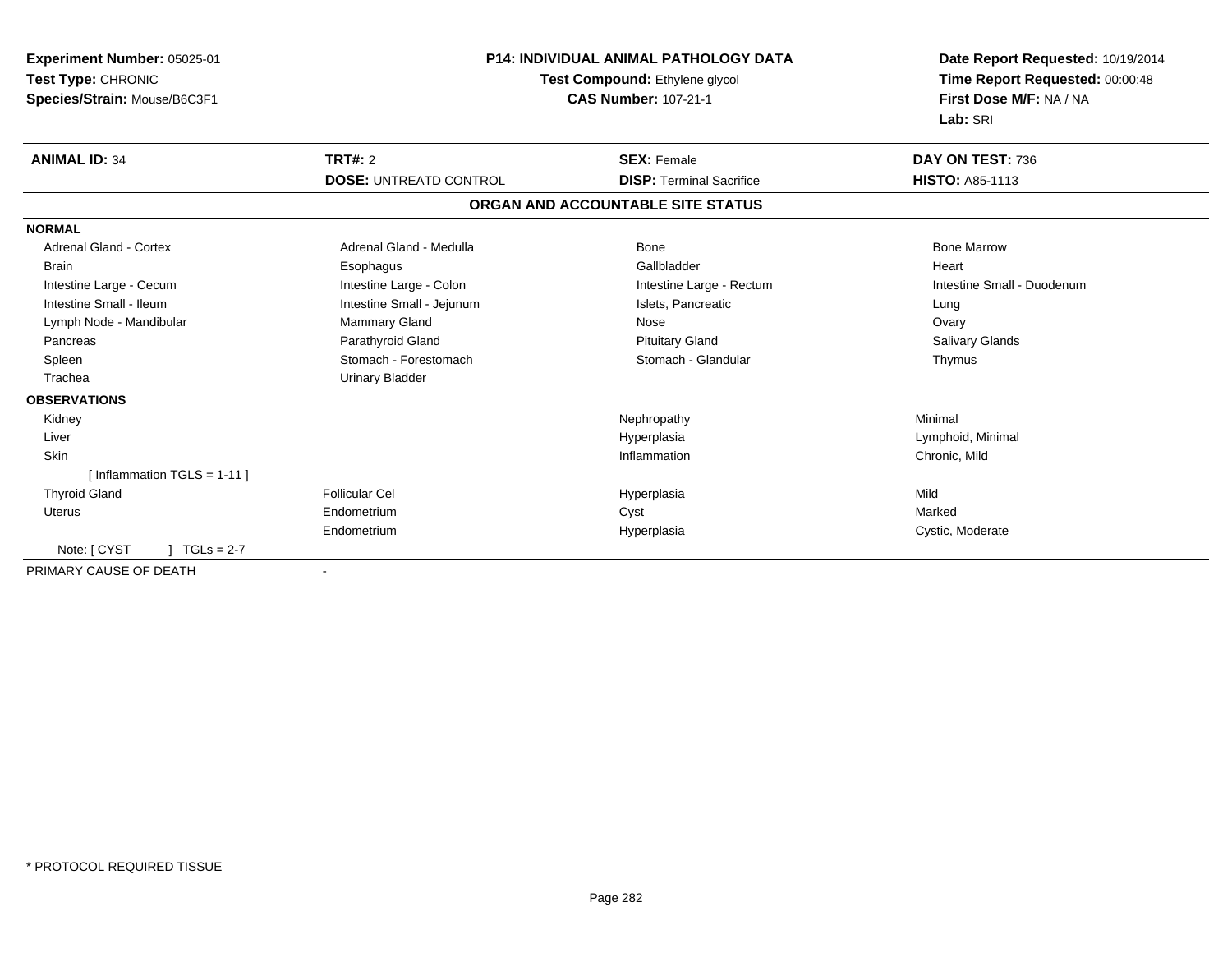| Experiment Number: 05025-01<br>Test Type: CHRONIC<br>Species/Strain: Mouse/B6C3F1 | <b>P14: INDIVIDUAL ANIMAL PATHOLOGY DATA</b><br>Test Compound: Ethylene glycol<br><b>CAS Number: 107-21-1</b> |                                   | Date Report Requested: 10/19/2014<br>Time Report Requested: 00:00:48<br>First Dose M/F: NA / NA<br>Lab: SRI |
|-----------------------------------------------------------------------------------|---------------------------------------------------------------------------------------------------------------|-----------------------------------|-------------------------------------------------------------------------------------------------------------|
| <b>ANIMAL ID: 34</b>                                                              | TRT#: 2                                                                                                       | <b>SEX: Female</b>                | DAY ON TEST: 736                                                                                            |
|                                                                                   | <b>DOSE: UNTREATD CONTROL</b>                                                                                 | <b>DISP: Terminal Sacrifice</b>   | <b>HISTO: A85-1113</b>                                                                                      |
|                                                                                   |                                                                                                               | ORGAN AND ACCOUNTABLE SITE STATUS |                                                                                                             |
| <b>NORMAL</b>                                                                     |                                                                                                               |                                   |                                                                                                             |
| <b>Adrenal Gland - Cortex</b>                                                     | Adrenal Gland - Medulla                                                                                       | Bone                              | <b>Bone Marrow</b>                                                                                          |
| <b>Brain</b>                                                                      | Esophagus                                                                                                     | Gallbladder                       | Heart                                                                                                       |
| Intestine Large - Cecum                                                           | Intestine Large - Colon                                                                                       | Intestine Large - Rectum          | Intestine Small - Duodenum                                                                                  |
| Intestine Small - Ileum                                                           | Intestine Small - Jejunum                                                                                     | Islets, Pancreatic                | Lung                                                                                                        |
| Lymph Node - Mandibular                                                           | Mammary Gland                                                                                                 | Nose                              | Ovary                                                                                                       |
| Pancreas                                                                          | Parathyroid Gland                                                                                             | <b>Pituitary Gland</b>            | Salivary Glands                                                                                             |
| Spleen                                                                            | Stomach - Forestomach                                                                                         | Stomach - Glandular               | Thymus                                                                                                      |
| Trachea                                                                           | <b>Urinary Bladder</b>                                                                                        |                                   |                                                                                                             |
| <b>OBSERVATIONS</b>                                                               |                                                                                                               |                                   |                                                                                                             |
| Kidney                                                                            |                                                                                                               | Nephropathy                       | Minimal                                                                                                     |
| Liver                                                                             |                                                                                                               | Hyperplasia                       | Lymphoid, Minimal                                                                                           |
| Skin                                                                              |                                                                                                               | Inflammation                      | Chronic, Mild                                                                                               |
| [Inflammation TGLS = $1-11$ ]                                                     |                                                                                                               |                                   |                                                                                                             |
| <b>Thyroid Gland</b>                                                              | Follicular Cel                                                                                                | Hyperplasia                       | Mild                                                                                                        |
| Uterus                                                                            | Endometrium                                                                                                   | Cyst                              | Marked                                                                                                      |
|                                                                                   | Endometrium                                                                                                   | Hyperplasia                       | Cystic, Moderate                                                                                            |
| Note: [ CYST<br>$1 TGLs = 2-7$                                                    |                                                                                                               |                                   |                                                                                                             |
| PRIMARY CAUSE OF DEATH                                                            |                                                                                                               |                                   |                                                                                                             |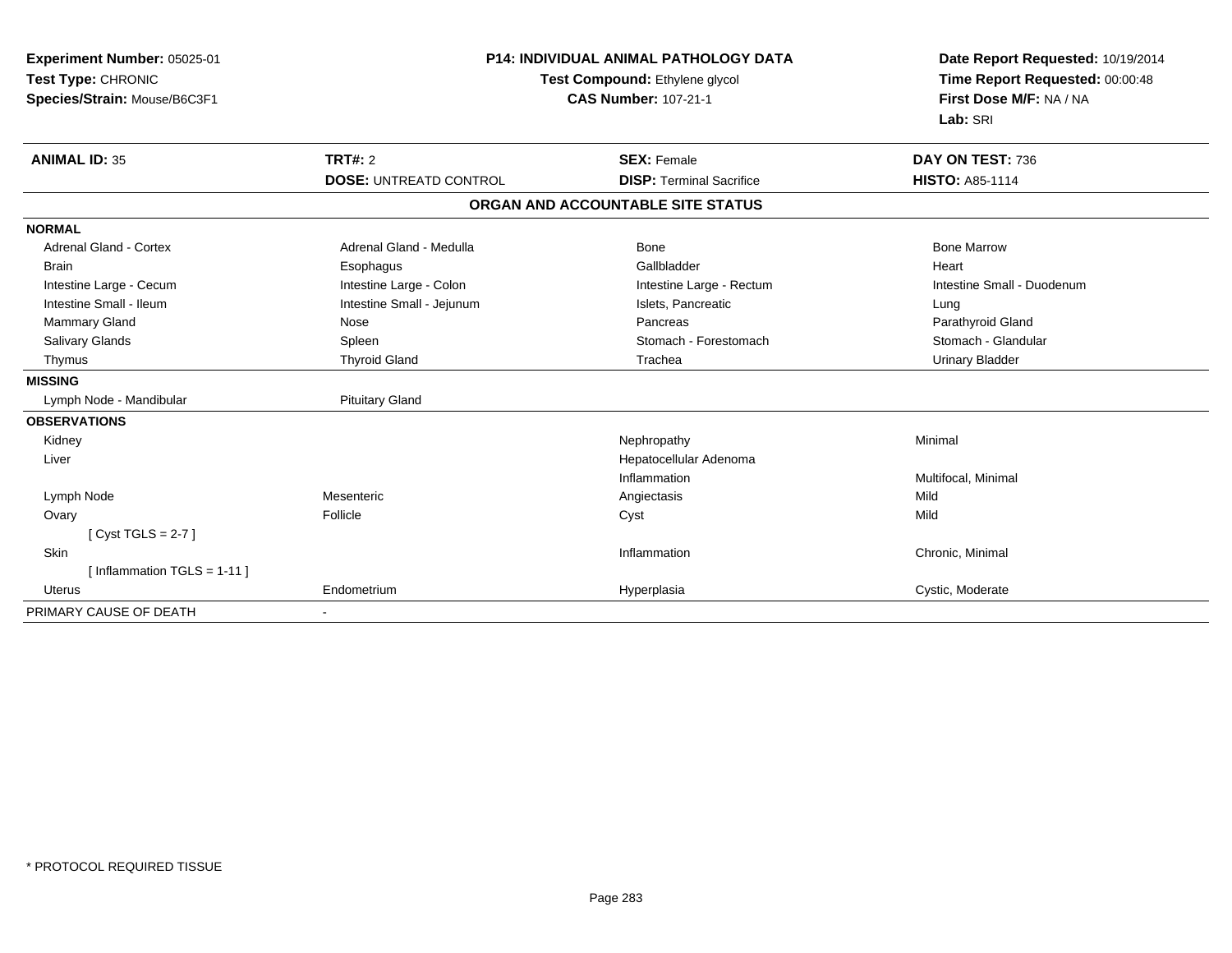| Experiment Number: 05025-01<br>Test Type: CHRONIC<br>Species/Strain: Mouse/B6C3F1 | P14: INDIVIDUAL ANIMAL PATHOLOGY DATA<br>Test Compound: Ethylene glycol<br><b>CAS Number: 107-21-1</b> |                                   | Date Report Requested: 10/19/2014<br>Time Report Requested: 00:00:48<br>First Dose M/F: NA / NA<br>Lab: SRI |
|-----------------------------------------------------------------------------------|--------------------------------------------------------------------------------------------------------|-----------------------------------|-------------------------------------------------------------------------------------------------------------|
| <b>ANIMAL ID: 35</b>                                                              | <b>TRT#: 2</b>                                                                                         | <b>SEX: Female</b>                | DAY ON TEST: 736                                                                                            |
|                                                                                   | <b>DOSE: UNTREATD CONTROL</b>                                                                          | <b>DISP: Terminal Sacrifice</b>   | <b>HISTO: A85-1114</b>                                                                                      |
|                                                                                   |                                                                                                        | ORGAN AND ACCOUNTABLE SITE STATUS |                                                                                                             |
| <b>NORMAL</b>                                                                     |                                                                                                        |                                   |                                                                                                             |
| <b>Adrenal Gland - Cortex</b>                                                     | Adrenal Gland - Medulla                                                                                | Bone                              | <b>Bone Marrow</b>                                                                                          |
| <b>Brain</b>                                                                      | Esophagus                                                                                              | Gallbladder                       | Heart                                                                                                       |
| Intestine Large - Cecum                                                           | Intestine Large - Colon                                                                                | Intestine Large - Rectum          | Intestine Small - Duodenum                                                                                  |
| Intestine Small - Ileum                                                           | Intestine Small - Jejunum                                                                              | Islets, Pancreatic                | Lung                                                                                                        |
| Mammary Gland                                                                     | Nose                                                                                                   | Pancreas                          | Parathyroid Gland                                                                                           |
| Salivary Glands                                                                   | Spleen                                                                                                 | Stomach - Forestomach             | Stomach - Glandular                                                                                         |
| Thymus                                                                            | <b>Thyroid Gland</b>                                                                                   | Trachea                           | <b>Urinary Bladder</b>                                                                                      |
| <b>MISSING</b>                                                                    |                                                                                                        |                                   |                                                                                                             |
| Lymph Node - Mandibular                                                           | <b>Pituitary Gland</b>                                                                                 |                                   |                                                                                                             |
| <b>OBSERVATIONS</b>                                                               |                                                                                                        |                                   |                                                                                                             |
| Kidney                                                                            |                                                                                                        | Nephropathy                       | Minimal                                                                                                     |
| Liver                                                                             |                                                                                                        | Hepatocellular Adenoma            |                                                                                                             |
|                                                                                   |                                                                                                        | Inflammation                      | Multifocal, Minimal                                                                                         |
| Lymph Node                                                                        | Mesenteric                                                                                             | Angiectasis                       | Mild                                                                                                        |
| Ovary                                                                             | Follicle                                                                                               | Cyst                              | Mild                                                                                                        |
| [ $Cyst TGLS = 2-7$ ]                                                             |                                                                                                        |                                   |                                                                                                             |
| Skin                                                                              |                                                                                                        | Inflammation                      | Chronic, Minimal                                                                                            |
| [Inflammation TGLS = 1-11]                                                        |                                                                                                        |                                   |                                                                                                             |
| Uterus                                                                            | Endometrium                                                                                            | Hyperplasia                       | Cystic, Moderate                                                                                            |
| PRIMARY CAUSE OF DEATH                                                            |                                                                                                        |                                   |                                                                                                             |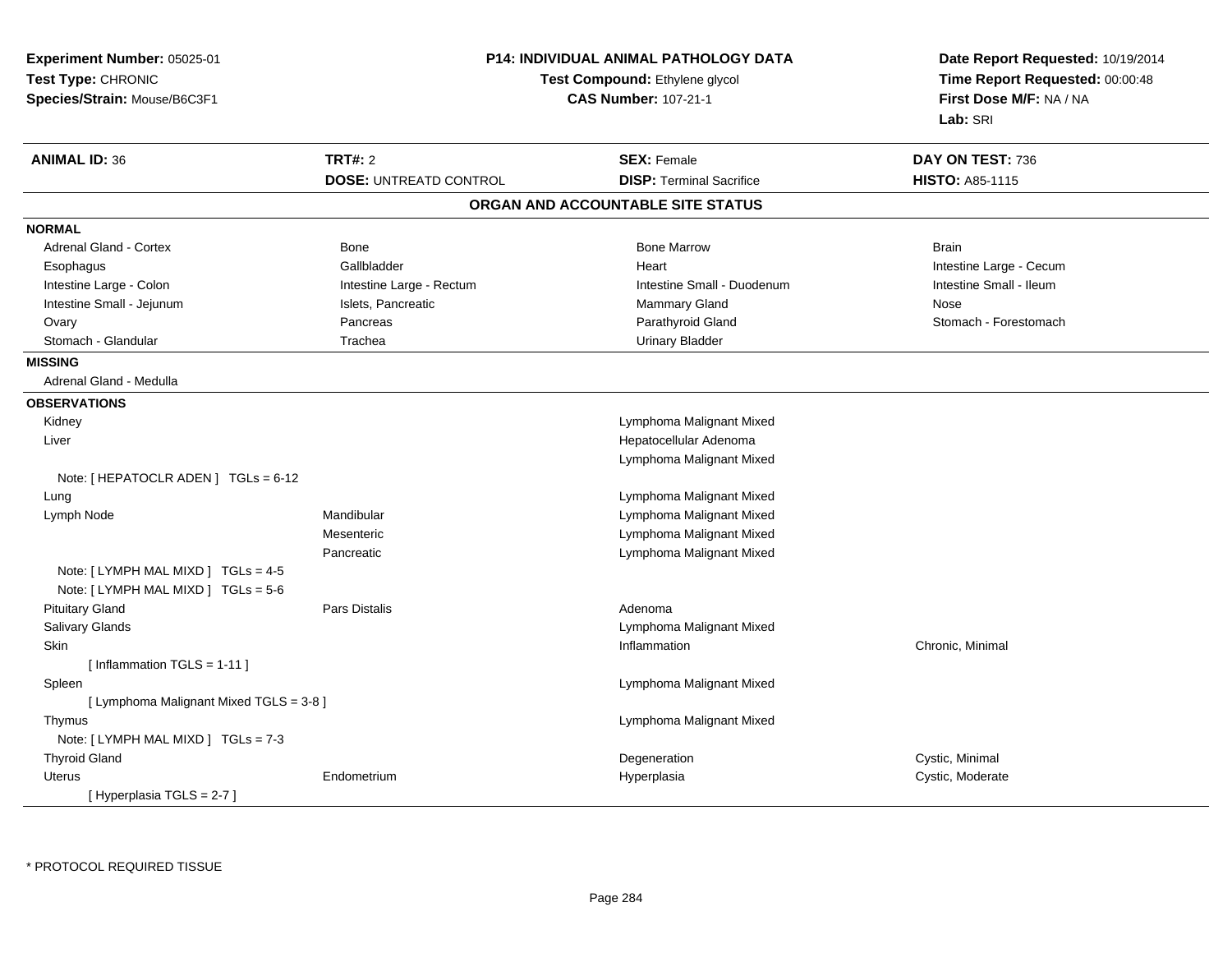| Experiment Number: 05025-01<br>Test Type: CHRONIC<br>Species/Strain: Mouse/B6C3F1 |                               | P14: INDIVIDUAL ANIMAL PATHOLOGY DATA<br>Test Compound: Ethylene glycol<br><b>CAS Number: 107-21-1</b> | Date Report Requested: 10/19/2014<br>Time Report Requested: 00:00:48<br>First Dose M/F: NA / NA<br>Lab: SRI |
|-----------------------------------------------------------------------------------|-------------------------------|--------------------------------------------------------------------------------------------------------|-------------------------------------------------------------------------------------------------------------|
| <b>ANIMAL ID: 36</b>                                                              | <b>TRT#: 2</b>                | <b>SEX: Female</b>                                                                                     | DAY ON TEST: 736                                                                                            |
|                                                                                   | <b>DOSE: UNTREATD CONTROL</b> | <b>DISP: Terminal Sacrifice</b>                                                                        | HISTO: A85-1115                                                                                             |
|                                                                                   |                               | ORGAN AND ACCOUNTABLE SITE STATUS                                                                      |                                                                                                             |
| <b>NORMAL</b>                                                                     |                               |                                                                                                        |                                                                                                             |
| <b>Adrenal Gland - Cortex</b>                                                     | Bone                          | <b>Bone Marrow</b>                                                                                     | <b>Brain</b>                                                                                                |
| Esophagus                                                                         | Gallbladder                   | Heart                                                                                                  | Intestine Large - Cecum                                                                                     |
| Intestine Large - Colon                                                           | Intestine Large - Rectum      | Intestine Small - Duodenum                                                                             | Intestine Small - Ileum                                                                                     |
| Intestine Small - Jejunum                                                         | Islets, Pancreatic            | Mammary Gland                                                                                          | Nose                                                                                                        |
| Ovary                                                                             | Pancreas                      | Parathyroid Gland                                                                                      | Stomach - Forestomach                                                                                       |
| Stomach - Glandular                                                               | Trachea                       | <b>Urinary Bladder</b>                                                                                 |                                                                                                             |
| <b>MISSING</b>                                                                    |                               |                                                                                                        |                                                                                                             |
| Adrenal Gland - Medulla                                                           |                               |                                                                                                        |                                                                                                             |
| <b>OBSERVATIONS</b>                                                               |                               |                                                                                                        |                                                                                                             |
| Kidney                                                                            |                               | Lymphoma Malignant Mixed                                                                               |                                                                                                             |
| Liver                                                                             |                               | Hepatocellular Adenoma                                                                                 |                                                                                                             |
|                                                                                   |                               | Lymphoma Malignant Mixed                                                                               |                                                                                                             |
| Note: [ HEPATOCLR ADEN ] $TGLs = 6-12$                                            |                               |                                                                                                        |                                                                                                             |
| Lung                                                                              |                               | Lymphoma Malignant Mixed                                                                               |                                                                                                             |
| Lymph Node                                                                        | Mandibular                    | Lymphoma Malignant Mixed                                                                               |                                                                                                             |
|                                                                                   | Mesenteric                    | Lymphoma Malignant Mixed                                                                               |                                                                                                             |
|                                                                                   | Pancreatic                    | Lymphoma Malignant Mixed                                                                               |                                                                                                             |
| Note: [LYMPH MAL MIXD ] TGLs = 4-5                                                |                               |                                                                                                        |                                                                                                             |
| Note: [ LYMPH MAL MIXD ] TGLs = 5-6                                               |                               |                                                                                                        |                                                                                                             |
| <b>Pituitary Gland</b>                                                            | Pars Distalis                 | Adenoma                                                                                                |                                                                                                             |
| Salivary Glands                                                                   |                               | Lymphoma Malignant Mixed                                                                               |                                                                                                             |
| <b>Skin</b>                                                                       |                               | Inflammation                                                                                           | Chronic, Minimal                                                                                            |
| [Inflammation TGLS = $1-11$ ]                                                     |                               |                                                                                                        |                                                                                                             |
| Spleen                                                                            |                               | Lymphoma Malignant Mixed                                                                               |                                                                                                             |
| [ Lymphoma Malignant Mixed TGLS = 3-8 ]                                           |                               |                                                                                                        |                                                                                                             |
| Thymus                                                                            |                               | Lymphoma Malignant Mixed                                                                               |                                                                                                             |
| Note: [ LYMPH MAL MIXD ] TGLs = 7-3                                               |                               |                                                                                                        |                                                                                                             |
| <b>Thyroid Gland</b>                                                              |                               | Degeneration                                                                                           | Cystic, Minimal                                                                                             |
| Uterus                                                                            | Endometrium                   | Hyperplasia                                                                                            | Cystic, Moderate                                                                                            |
| [Hyperplasia TGLS = 2-7]                                                          |                               |                                                                                                        |                                                                                                             |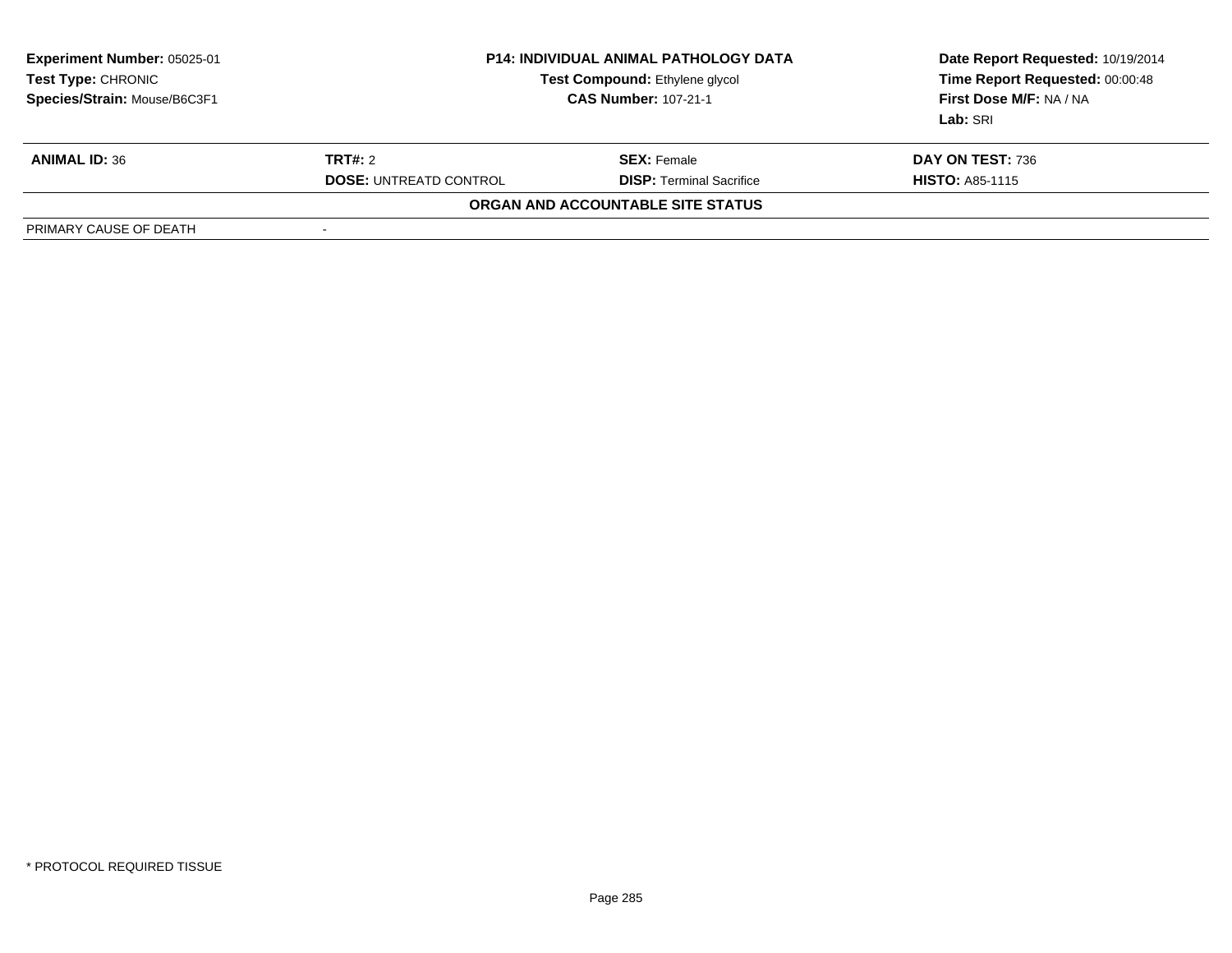| <b>Experiment Number: 05025-01</b><br>Test Type: CHRONIC<br>Species/Strain: Mouse/B6C3F1 | <b>P14: INDIVIDUAL ANIMAL PATHOLOGY DATA</b><br>Test Compound: Ethylene glycol<br><b>CAS Number: 107-21-1</b> |                                   | Date Report Requested: 10/19/2014<br>Time Report Requested: 00:00:48<br>First Dose M/F: NA / NA<br>Lab: SRI |
|------------------------------------------------------------------------------------------|---------------------------------------------------------------------------------------------------------------|-----------------------------------|-------------------------------------------------------------------------------------------------------------|
| <b>ANIMAL ID: 36</b>                                                                     | <b>TRT#:</b> 2                                                                                                | <b>SEX:</b> Female                | DAY ON TEST: 736                                                                                            |
|                                                                                          | <b>DOSE: UNTREATD CONTROL</b>                                                                                 | <b>DISP:</b> Terminal Sacrifice   | <b>HISTO: A85-1115</b>                                                                                      |
|                                                                                          |                                                                                                               | ORGAN AND ACCOUNTABLE SITE STATUS |                                                                                                             |
| PRIMARY CAUSE OF DEATH                                                                   |                                                                                                               |                                   |                                                                                                             |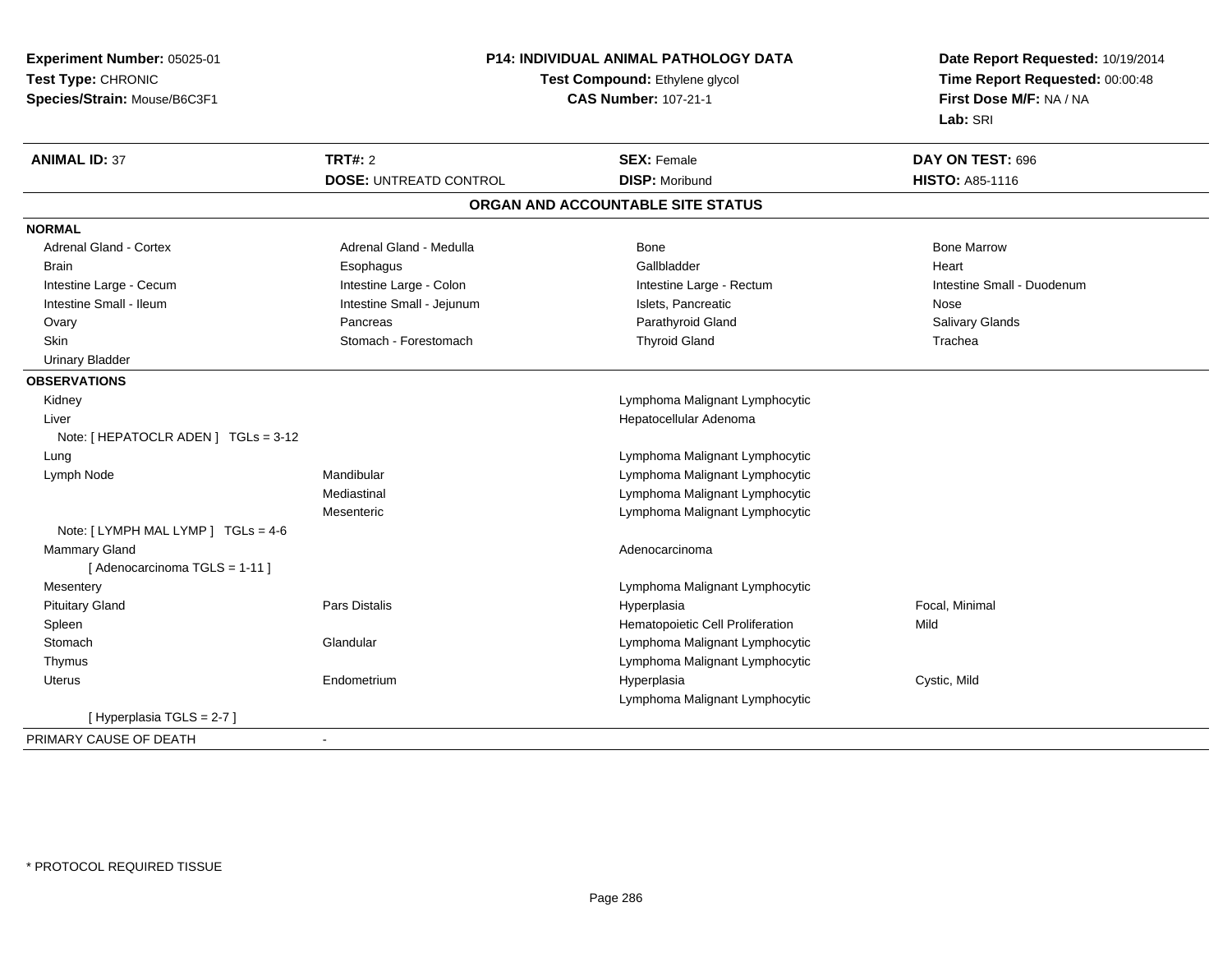| Time Report Requested: 00:00:48<br>Test Compound: Ethylene glycol<br><b>CAS Number: 107-21-1</b><br>First Dose M/F: NA / NA<br>Species/Strain: Mouse/B6C3F1<br>Lab: SRI<br><b>TRT#: 2</b><br>DAY ON TEST: 696<br><b>SEX: Female</b><br><b>DOSE: UNTREATD CONTROL</b><br><b>DISP: Moribund</b><br><b>HISTO: A85-1116</b><br>ORGAN AND ACCOUNTABLE SITE STATUS<br><b>Adrenal Gland - Cortex</b><br>Adrenal Gland - Medulla<br><b>Bone</b><br><b>Bone Marrow</b><br>Gallbladder<br>Heart<br><b>Brain</b><br>Esophagus<br>Intestine Large - Colon<br>Intestine Large - Cecum<br>Intestine Large - Rectum<br>Intestine Small - Duodenum<br>Intestine Small - Ileum<br>Intestine Small - Jejunum<br>Islets, Pancreatic<br>Nose<br>Parathyroid Gland<br>Salivary Glands<br>Pancreas<br>Ovary<br>Skin<br>Stomach - Forestomach<br><b>Thyroid Gland</b><br>Trachea<br><b>Urinary Bladder</b><br>Kidney<br>Lymphoma Malignant Lymphocytic<br>Hepatocellular Adenoma<br>Liver<br>Note: [ HEPATOCLR ADEN ] TGLs = 3-12<br>Lymphoma Malignant Lymphocytic<br>Lung<br>Mandibular<br>Lymphoma Malignant Lymphocytic<br>Lymph Node<br>Mediastinal<br>Lymphoma Malignant Lymphocytic<br>Lymphoma Malignant Lymphocytic<br>Mesenteric<br>Note: [LYMPH MAL LYMP ] TGLs = 4-6<br>Mammary Gland<br>Adenocarcinoma<br>[ Adenocarcinoma TGLS = 1-11 ]<br>Mesentery<br>Lymphoma Malignant Lymphocytic<br><b>Pituitary Gland</b><br>Pars Distalis<br>Focal, Minimal<br>Hyperplasia<br>Mild<br>Hematopoietic Cell Proliferation<br>Spleen<br>Lymphoma Malignant Lymphocytic<br>Stomach<br>Glandular<br>Lymphoma Malignant Lymphocytic<br>Thymus<br>Hyperplasia<br>Cystic, Mild<br><b>Uterus</b><br>Endometrium<br>Lymphoma Malignant Lymphocytic<br>[Hyperplasia TGLS = 2-7]<br>÷ | Experiment Number: 05025-01 | P14: INDIVIDUAL ANIMAL PATHOLOGY DATA |  | Date Report Requested: 10/19/2014 |  |
|---------------------------------------------------------------------------------------------------------------------------------------------------------------------------------------------------------------------------------------------------------------------------------------------------------------------------------------------------------------------------------------------------------------------------------------------------------------------------------------------------------------------------------------------------------------------------------------------------------------------------------------------------------------------------------------------------------------------------------------------------------------------------------------------------------------------------------------------------------------------------------------------------------------------------------------------------------------------------------------------------------------------------------------------------------------------------------------------------------------------------------------------------------------------------------------------------------------------------------------------------------------------------------------------------------------------------------------------------------------------------------------------------------------------------------------------------------------------------------------------------------------------------------------------------------------------------------------------------------------------------------------------------------------------------------------------------------------------------------------------------------|-----------------------------|---------------------------------------|--|-----------------------------------|--|
|                                                                                                                                                                                                                                                                                                                                                                                                                                                                                                                                                                                                                                                                                                                                                                                                                                                                                                                                                                                                                                                                                                                                                                                                                                                                                                                                                                                                                                                                                                                                                                                                                                                                                                                                                         | Test Type: CHRONIC          |                                       |  |                                   |  |
|                                                                                                                                                                                                                                                                                                                                                                                                                                                                                                                                                                                                                                                                                                                                                                                                                                                                                                                                                                                                                                                                                                                                                                                                                                                                                                                                                                                                                                                                                                                                                                                                                                                                                                                                                         |                             |                                       |  |                                   |  |
|                                                                                                                                                                                                                                                                                                                                                                                                                                                                                                                                                                                                                                                                                                                                                                                                                                                                                                                                                                                                                                                                                                                                                                                                                                                                                                                                                                                                                                                                                                                                                                                                                                                                                                                                                         |                             |                                       |  |                                   |  |
|                                                                                                                                                                                                                                                                                                                                                                                                                                                                                                                                                                                                                                                                                                                                                                                                                                                                                                                                                                                                                                                                                                                                                                                                                                                                                                                                                                                                                                                                                                                                                                                                                                                                                                                                                         | <b>ANIMAL ID: 37</b>        |                                       |  |                                   |  |
|                                                                                                                                                                                                                                                                                                                                                                                                                                                                                                                                                                                                                                                                                                                                                                                                                                                                                                                                                                                                                                                                                                                                                                                                                                                                                                                                                                                                                                                                                                                                                                                                                                                                                                                                                         |                             |                                       |  |                                   |  |
|                                                                                                                                                                                                                                                                                                                                                                                                                                                                                                                                                                                                                                                                                                                                                                                                                                                                                                                                                                                                                                                                                                                                                                                                                                                                                                                                                                                                                                                                                                                                                                                                                                                                                                                                                         |                             |                                       |  |                                   |  |
|                                                                                                                                                                                                                                                                                                                                                                                                                                                                                                                                                                                                                                                                                                                                                                                                                                                                                                                                                                                                                                                                                                                                                                                                                                                                                                                                                                                                                                                                                                                                                                                                                                                                                                                                                         | <b>NORMAL</b>               |                                       |  |                                   |  |
|                                                                                                                                                                                                                                                                                                                                                                                                                                                                                                                                                                                                                                                                                                                                                                                                                                                                                                                                                                                                                                                                                                                                                                                                                                                                                                                                                                                                                                                                                                                                                                                                                                                                                                                                                         |                             |                                       |  |                                   |  |
|                                                                                                                                                                                                                                                                                                                                                                                                                                                                                                                                                                                                                                                                                                                                                                                                                                                                                                                                                                                                                                                                                                                                                                                                                                                                                                                                                                                                                                                                                                                                                                                                                                                                                                                                                         |                             |                                       |  |                                   |  |
|                                                                                                                                                                                                                                                                                                                                                                                                                                                                                                                                                                                                                                                                                                                                                                                                                                                                                                                                                                                                                                                                                                                                                                                                                                                                                                                                                                                                                                                                                                                                                                                                                                                                                                                                                         |                             |                                       |  |                                   |  |
|                                                                                                                                                                                                                                                                                                                                                                                                                                                                                                                                                                                                                                                                                                                                                                                                                                                                                                                                                                                                                                                                                                                                                                                                                                                                                                                                                                                                                                                                                                                                                                                                                                                                                                                                                         |                             |                                       |  |                                   |  |
|                                                                                                                                                                                                                                                                                                                                                                                                                                                                                                                                                                                                                                                                                                                                                                                                                                                                                                                                                                                                                                                                                                                                                                                                                                                                                                                                                                                                                                                                                                                                                                                                                                                                                                                                                         |                             |                                       |  |                                   |  |
|                                                                                                                                                                                                                                                                                                                                                                                                                                                                                                                                                                                                                                                                                                                                                                                                                                                                                                                                                                                                                                                                                                                                                                                                                                                                                                                                                                                                                                                                                                                                                                                                                                                                                                                                                         |                             |                                       |  |                                   |  |
|                                                                                                                                                                                                                                                                                                                                                                                                                                                                                                                                                                                                                                                                                                                                                                                                                                                                                                                                                                                                                                                                                                                                                                                                                                                                                                                                                                                                                                                                                                                                                                                                                                                                                                                                                         |                             |                                       |  |                                   |  |
|                                                                                                                                                                                                                                                                                                                                                                                                                                                                                                                                                                                                                                                                                                                                                                                                                                                                                                                                                                                                                                                                                                                                                                                                                                                                                                                                                                                                                                                                                                                                                                                                                                                                                                                                                         | <b>OBSERVATIONS</b>         |                                       |  |                                   |  |
|                                                                                                                                                                                                                                                                                                                                                                                                                                                                                                                                                                                                                                                                                                                                                                                                                                                                                                                                                                                                                                                                                                                                                                                                                                                                                                                                                                                                                                                                                                                                                                                                                                                                                                                                                         |                             |                                       |  |                                   |  |
|                                                                                                                                                                                                                                                                                                                                                                                                                                                                                                                                                                                                                                                                                                                                                                                                                                                                                                                                                                                                                                                                                                                                                                                                                                                                                                                                                                                                                                                                                                                                                                                                                                                                                                                                                         |                             |                                       |  |                                   |  |
|                                                                                                                                                                                                                                                                                                                                                                                                                                                                                                                                                                                                                                                                                                                                                                                                                                                                                                                                                                                                                                                                                                                                                                                                                                                                                                                                                                                                                                                                                                                                                                                                                                                                                                                                                         |                             |                                       |  |                                   |  |
|                                                                                                                                                                                                                                                                                                                                                                                                                                                                                                                                                                                                                                                                                                                                                                                                                                                                                                                                                                                                                                                                                                                                                                                                                                                                                                                                                                                                                                                                                                                                                                                                                                                                                                                                                         |                             |                                       |  |                                   |  |
|                                                                                                                                                                                                                                                                                                                                                                                                                                                                                                                                                                                                                                                                                                                                                                                                                                                                                                                                                                                                                                                                                                                                                                                                                                                                                                                                                                                                                                                                                                                                                                                                                                                                                                                                                         |                             |                                       |  |                                   |  |
|                                                                                                                                                                                                                                                                                                                                                                                                                                                                                                                                                                                                                                                                                                                                                                                                                                                                                                                                                                                                                                                                                                                                                                                                                                                                                                                                                                                                                                                                                                                                                                                                                                                                                                                                                         |                             |                                       |  |                                   |  |
|                                                                                                                                                                                                                                                                                                                                                                                                                                                                                                                                                                                                                                                                                                                                                                                                                                                                                                                                                                                                                                                                                                                                                                                                                                                                                                                                                                                                                                                                                                                                                                                                                                                                                                                                                         |                             |                                       |  |                                   |  |
|                                                                                                                                                                                                                                                                                                                                                                                                                                                                                                                                                                                                                                                                                                                                                                                                                                                                                                                                                                                                                                                                                                                                                                                                                                                                                                                                                                                                                                                                                                                                                                                                                                                                                                                                                         |                             |                                       |  |                                   |  |
|                                                                                                                                                                                                                                                                                                                                                                                                                                                                                                                                                                                                                                                                                                                                                                                                                                                                                                                                                                                                                                                                                                                                                                                                                                                                                                                                                                                                                                                                                                                                                                                                                                                                                                                                                         |                             |                                       |  |                                   |  |
|                                                                                                                                                                                                                                                                                                                                                                                                                                                                                                                                                                                                                                                                                                                                                                                                                                                                                                                                                                                                                                                                                                                                                                                                                                                                                                                                                                                                                                                                                                                                                                                                                                                                                                                                                         |                             |                                       |  |                                   |  |
|                                                                                                                                                                                                                                                                                                                                                                                                                                                                                                                                                                                                                                                                                                                                                                                                                                                                                                                                                                                                                                                                                                                                                                                                                                                                                                                                                                                                                                                                                                                                                                                                                                                                                                                                                         |                             |                                       |  |                                   |  |
|                                                                                                                                                                                                                                                                                                                                                                                                                                                                                                                                                                                                                                                                                                                                                                                                                                                                                                                                                                                                                                                                                                                                                                                                                                                                                                                                                                                                                                                                                                                                                                                                                                                                                                                                                         |                             |                                       |  |                                   |  |
|                                                                                                                                                                                                                                                                                                                                                                                                                                                                                                                                                                                                                                                                                                                                                                                                                                                                                                                                                                                                                                                                                                                                                                                                                                                                                                                                                                                                                                                                                                                                                                                                                                                                                                                                                         |                             |                                       |  |                                   |  |
|                                                                                                                                                                                                                                                                                                                                                                                                                                                                                                                                                                                                                                                                                                                                                                                                                                                                                                                                                                                                                                                                                                                                                                                                                                                                                                                                                                                                                                                                                                                                                                                                                                                                                                                                                         |                             |                                       |  |                                   |  |
|                                                                                                                                                                                                                                                                                                                                                                                                                                                                                                                                                                                                                                                                                                                                                                                                                                                                                                                                                                                                                                                                                                                                                                                                                                                                                                                                                                                                                                                                                                                                                                                                                                                                                                                                                         |                             |                                       |  |                                   |  |
|                                                                                                                                                                                                                                                                                                                                                                                                                                                                                                                                                                                                                                                                                                                                                                                                                                                                                                                                                                                                                                                                                                                                                                                                                                                                                                                                                                                                                                                                                                                                                                                                                                                                                                                                                         |                             |                                       |  |                                   |  |
|                                                                                                                                                                                                                                                                                                                                                                                                                                                                                                                                                                                                                                                                                                                                                                                                                                                                                                                                                                                                                                                                                                                                                                                                                                                                                                                                                                                                                                                                                                                                                                                                                                                                                                                                                         |                             |                                       |  |                                   |  |
|                                                                                                                                                                                                                                                                                                                                                                                                                                                                                                                                                                                                                                                                                                                                                                                                                                                                                                                                                                                                                                                                                                                                                                                                                                                                                                                                                                                                                                                                                                                                                                                                                                                                                                                                                         |                             |                                       |  |                                   |  |
|                                                                                                                                                                                                                                                                                                                                                                                                                                                                                                                                                                                                                                                                                                                                                                                                                                                                                                                                                                                                                                                                                                                                                                                                                                                                                                                                                                                                                                                                                                                                                                                                                                                                                                                                                         | PRIMARY CAUSE OF DEATH      |                                       |  |                                   |  |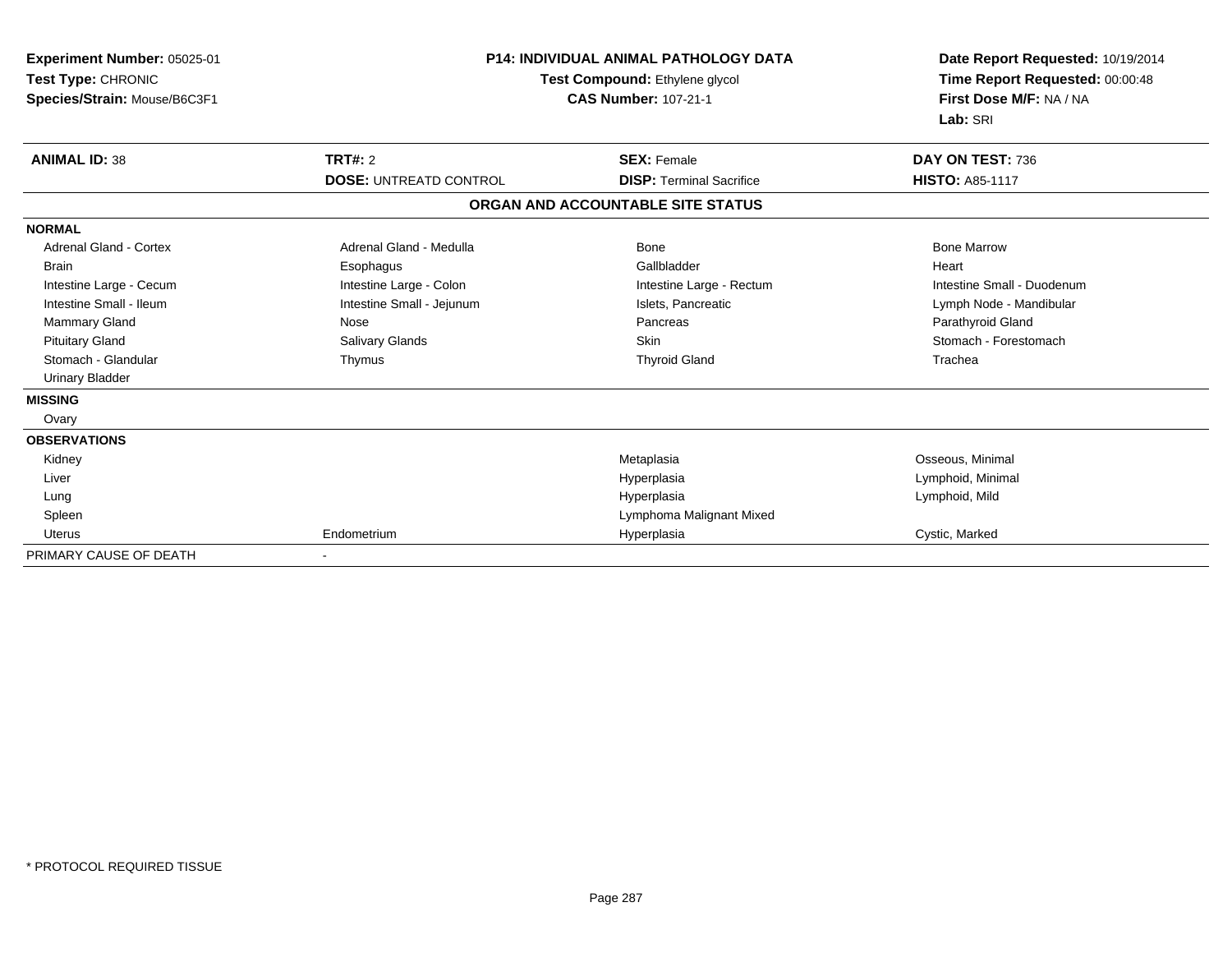| Experiment Number: 05025-01<br>Test Type: CHRONIC<br>Species/Strain: Mouse/B6C3F1 | <b>P14: INDIVIDUAL ANIMAL PATHOLOGY DATA</b><br>Test Compound: Ethylene glycol<br><b>CAS Number: 107-21-1</b> |                                   | Date Report Requested: 10/19/2014<br>Time Report Requested: 00:00:48<br>First Dose M/F: NA / NA<br>Lab: SRI |
|-----------------------------------------------------------------------------------|---------------------------------------------------------------------------------------------------------------|-----------------------------------|-------------------------------------------------------------------------------------------------------------|
| <b>ANIMAL ID: 38</b>                                                              | <b>TRT#: 2</b>                                                                                                | <b>SEX: Female</b>                | DAY ON TEST: 736                                                                                            |
|                                                                                   | <b>DOSE: UNTREATD CONTROL</b>                                                                                 | <b>DISP: Terminal Sacrifice</b>   | <b>HISTO: A85-1117</b>                                                                                      |
|                                                                                   |                                                                                                               | ORGAN AND ACCOUNTABLE SITE STATUS |                                                                                                             |
| <b>NORMAL</b>                                                                     |                                                                                                               |                                   |                                                                                                             |
| <b>Adrenal Gland - Cortex</b>                                                     | Adrenal Gland - Medulla                                                                                       | Bone                              | <b>Bone Marrow</b>                                                                                          |
| Brain                                                                             | Esophagus                                                                                                     | Gallbladder                       | Heart                                                                                                       |
| Intestine Large - Cecum                                                           | Intestine Large - Colon                                                                                       | Intestine Large - Rectum          | Intestine Small - Duodenum                                                                                  |
| Intestine Small - Ileum                                                           | Intestine Small - Jejunum                                                                                     | Islets, Pancreatic                | Lymph Node - Mandibular                                                                                     |
| Mammary Gland                                                                     | Nose                                                                                                          | Pancreas                          | Parathyroid Gland                                                                                           |
| <b>Pituitary Gland</b>                                                            | Salivary Glands                                                                                               | <b>Skin</b>                       | Stomach - Forestomach                                                                                       |
| Stomach - Glandular                                                               | Thymus                                                                                                        | <b>Thyroid Gland</b>              | Trachea                                                                                                     |
| <b>Urinary Bladder</b>                                                            |                                                                                                               |                                   |                                                                                                             |
| <b>MISSING</b>                                                                    |                                                                                                               |                                   |                                                                                                             |
| Ovary                                                                             |                                                                                                               |                                   |                                                                                                             |
| <b>OBSERVATIONS</b>                                                               |                                                                                                               |                                   |                                                                                                             |
| Kidney                                                                            |                                                                                                               | Metaplasia                        | Osseous, Minimal                                                                                            |
| Liver                                                                             |                                                                                                               | Hyperplasia                       | Lymphoid, Minimal                                                                                           |
| Lung                                                                              |                                                                                                               | Hyperplasia                       | Lymphoid, Mild                                                                                              |
| Spleen                                                                            |                                                                                                               | Lymphoma Malignant Mixed          |                                                                                                             |
| Uterus                                                                            | Endometrium                                                                                                   | Hyperplasia                       | Cystic, Marked                                                                                              |
| PRIMARY CAUSE OF DEATH                                                            |                                                                                                               |                                   |                                                                                                             |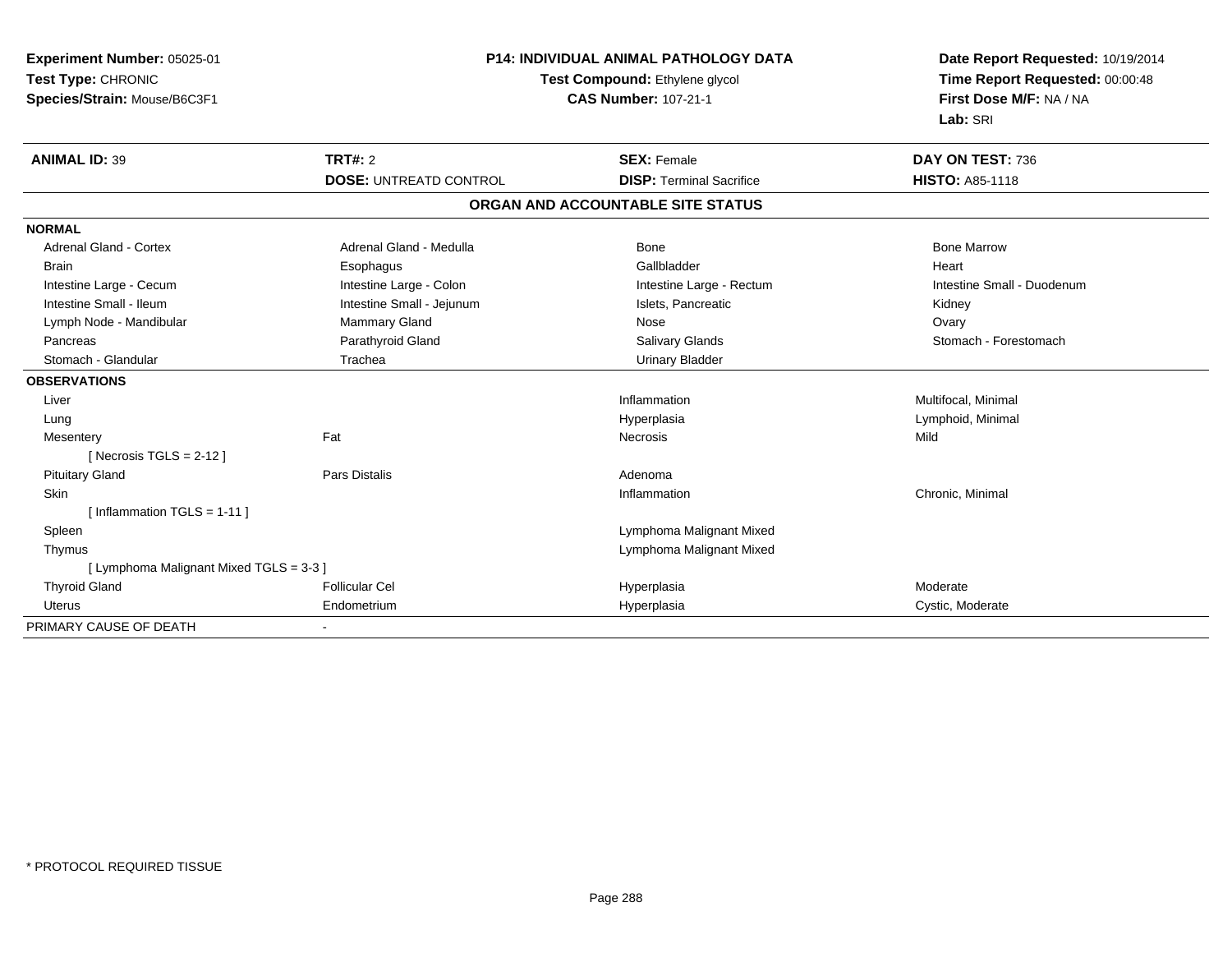| <b>Experiment Number: 05025-01</b><br>Test Type: CHRONIC | <b>P14: INDIVIDUAL ANIMAL PATHOLOGY DATA</b><br>Test Compound: Ethylene glycol |                                   | Date Report Requested: 10/19/2014<br>Time Report Requested: 00:00:48 |
|----------------------------------------------------------|--------------------------------------------------------------------------------|-----------------------------------|----------------------------------------------------------------------|
| Species/Strain: Mouse/B6C3F1                             |                                                                                | <b>CAS Number: 107-21-1</b>       | First Dose M/F: NA / NA<br>Lab: SRI                                  |
| <b>ANIMAL ID: 39</b>                                     | <b>TRT#: 2</b>                                                                 | <b>SEX: Female</b>                | DAY ON TEST: 736                                                     |
|                                                          | <b>DOSE: UNTREATD CONTROL</b>                                                  | <b>DISP: Terminal Sacrifice</b>   | <b>HISTO: A85-1118</b>                                               |
|                                                          |                                                                                | ORGAN AND ACCOUNTABLE SITE STATUS |                                                                      |
| <b>NORMAL</b>                                            |                                                                                |                                   |                                                                      |
| <b>Adrenal Gland - Cortex</b>                            | Adrenal Gland - Medulla                                                        | Bone                              | <b>Bone Marrow</b>                                                   |
| <b>Brain</b>                                             | Esophagus                                                                      | Gallbladder                       | Heart                                                                |
| Intestine Large - Cecum                                  | Intestine Large - Colon                                                        | Intestine Large - Rectum          | Intestine Small - Duodenum                                           |
| Intestine Small - Ileum                                  | Intestine Small - Jejunum                                                      | Islets, Pancreatic                | Kidney                                                               |
| Lymph Node - Mandibular                                  | <b>Mammary Gland</b>                                                           | Nose                              | Ovary                                                                |
| Pancreas                                                 | Parathyroid Gland                                                              | Salivary Glands                   | Stomach - Forestomach                                                |
| Stomach - Glandular                                      | Trachea                                                                        | <b>Urinary Bladder</b>            |                                                                      |
| <b>OBSERVATIONS</b>                                      |                                                                                |                                   |                                                                      |
| Liver                                                    |                                                                                | Inflammation                      | Multifocal, Minimal                                                  |
| Lung                                                     |                                                                                | Hyperplasia                       | Lymphoid, Minimal                                                    |
| Mesentery                                                | Fat                                                                            | <b>Necrosis</b>                   | Mild                                                                 |
| [Necrosis TGLS = $2-12$ ]                                |                                                                                |                                   |                                                                      |
| <b>Pituitary Gland</b>                                   | Pars Distalis                                                                  | Adenoma                           |                                                                      |
| Skin                                                     |                                                                                | Inflammation                      | Chronic, Minimal                                                     |
| [Inflammation TGLS = 1-11]                               |                                                                                |                                   |                                                                      |
| Spleen                                                   |                                                                                | Lymphoma Malignant Mixed          |                                                                      |
| Thymus                                                   |                                                                                | Lymphoma Malignant Mixed          |                                                                      |
| [ Lymphoma Malignant Mixed TGLS = 3-3 ]                  |                                                                                |                                   |                                                                      |
| <b>Thyroid Gland</b>                                     | <b>Follicular Cel</b>                                                          | Hyperplasia                       | Moderate                                                             |
| Uterus                                                   | Endometrium                                                                    | Hyperplasia                       | Cystic, Moderate                                                     |
| PRIMARY CAUSE OF DEATH                                   |                                                                                |                                   |                                                                      |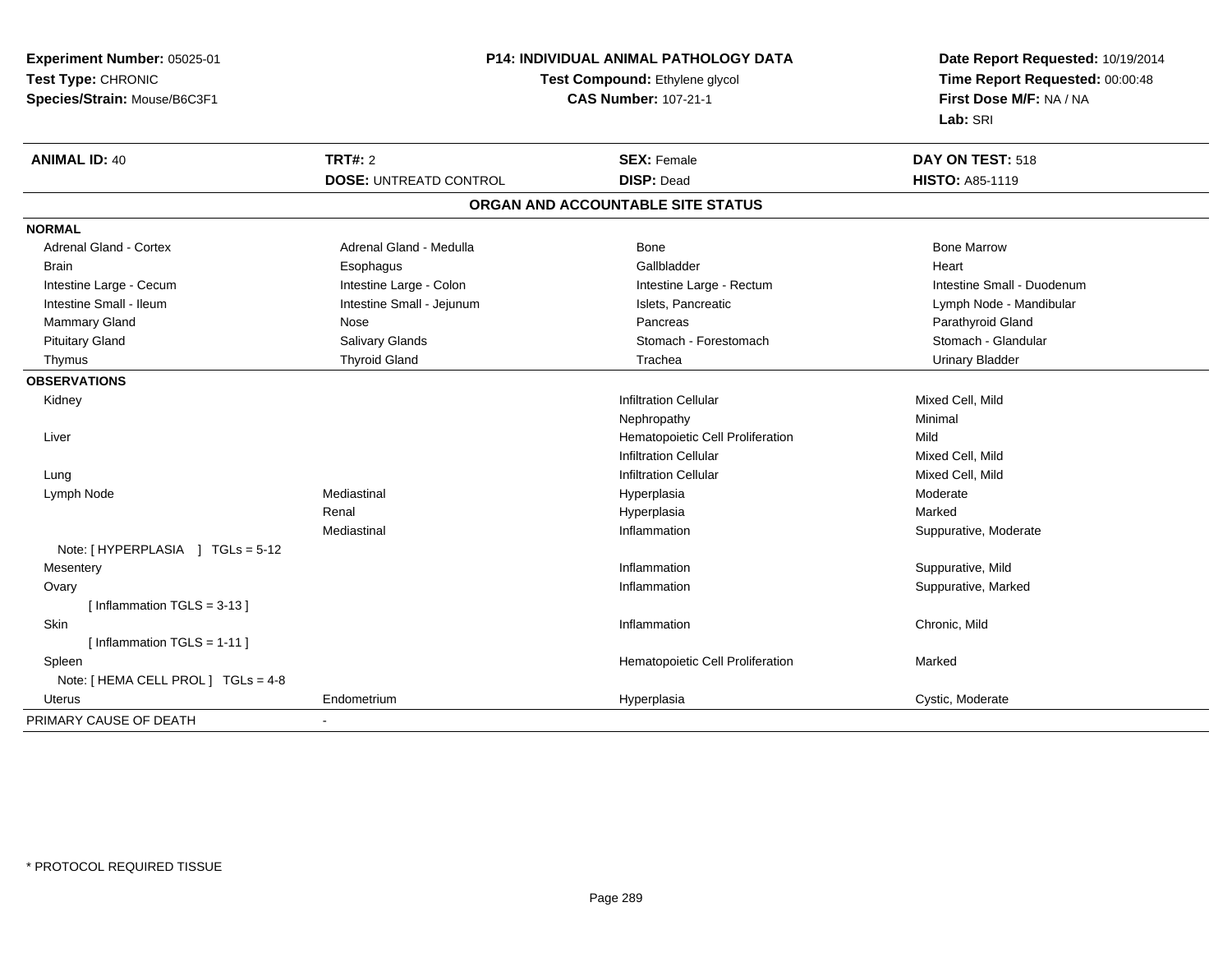| Time Report Requested: 00:00:48<br>Test Compound: Ethylene glycol<br>First Dose M/F: NA / NA<br>Species/Strain: Mouse/B6C3F1<br><b>CAS Number: 107-21-1</b><br>Lab: SRI<br><b>TRT#: 2</b><br><b>SEX: Female</b><br>DAY ON TEST: 518<br><b>DISP: Dead</b><br><b>DOSE: UNTREATD CONTROL</b><br><b>HISTO: A85-1119</b><br>ORGAN AND ACCOUNTABLE SITE STATUS<br>Adrenal Gland - Cortex<br>Adrenal Gland - Medulla<br><b>Bone</b><br><b>Bone Marrow</b><br>Gallbladder<br>Heart<br>Esophagus<br>Brain<br>Intestine Large - Colon<br>Intestine Large - Rectum<br>Intestine Small - Duodenum<br>Intestine Large - Cecum<br>Intestine Small - Jejunum<br>Intestine Small - Ileum<br>Islets, Pancreatic<br>Lymph Node - Mandibular<br>Mammary Gland<br>Pancreas<br>Parathyroid Gland<br>Nose<br>Salivary Glands<br>Stomach - Glandular<br><b>Pituitary Gland</b><br>Stomach - Forestomach<br><b>Thyroid Gland</b><br>Trachea<br><b>Urinary Bladder</b><br>Thymus<br><b>Infiltration Cellular</b><br>Mixed Cell, Mild<br>Kidney<br>Minimal<br>Nephropathy<br>Hematopoietic Cell Proliferation<br>Mild<br>Liver<br><b>Infiltration Cellular</b><br>Mixed Cell, Mild<br><b>Infiltration Cellular</b><br>Mixed Cell, Mild<br>Lung<br>Mediastinal<br>Moderate<br>Lymph Node<br>Hyperplasia<br>Marked<br>Renal<br>Hyperplasia<br>Mediastinal<br>Inflammation<br>Suppurative, Moderate<br>Note: [HYPERPLASIA ] TGLs = 5-12<br>Suppurative, Mild<br>Inflammation<br>Mesentery<br>Suppurative, Marked<br>Ovary<br>Inflammation<br>[Inflammation $TGLS = 3-13$ ]<br>Skin<br>Inflammation<br>Chronic, Mild<br>[Inflammation TGLS = $1-11$ ]<br>Marked<br>Spleen<br>Hematopoietic Cell Proliferation<br>Note: [ HEMA CELL PROL ] TGLs = 4-8<br>Endometrium<br>Cystic, Moderate<br>Uterus | Experiment Number: 05025-01 | P14: INDIVIDUAL ANIMAL PATHOLOGY DATA |             | Date Report Requested: 10/19/2014 |
|---------------------------------------------------------------------------------------------------------------------------------------------------------------------------------------------------------------------------------------------------------------------------------------------------------------------------------------------------------------------------------------------------------------------------------------------------------------------------------------------------------------------------------------------------------------------------------------------------------------------------------------------------------------------------------------------------------------------------------------------------------------------------------------------------------------------------------------------------------------------------------------------------------------------------------------------------------------------------------------------------------------------------------------------------------------------------------------------------------------------------------------------------------------------------------------------------------------------------------------------------------------------------------------------------------------------------------------------------------------------------------------------------------------------------------------------------------------------------------------------------------------------------------------------------------------------------------------------------------------------------------------------------------------------------------------------------------------------------------------------------------------------|-----------------------------|---------------------------------------|-------------|-----------------------------------|
|                                                                                                                                                                                                                                                                                                                                                                                                                                                                                                                                                                                                                                                                                                                                                                                                                                                                                                                                                                                                                                                                                                                                                                                                                                                                                                                                                                                                                                                                                                                                                                                                                                                                                                                                                                     | Test Type: CHRONIC          |                                       |             |                                   |
|                                                                                                                                                                                                                                                                                                                                                                                                                                                                                                                                                                                                                                                                                                                                                                                                                                                                                                                                                                                                                                                                                                                                                                                                                                                                                                                                                                                                                                                                                                                                                                                                                                                                                                                                                                     |                             |                                       |             |                                   |
|                                                                                                                                                                                                                                                                                                                                                                                                                                                                                                                                                                                                                                                                                                                                                                                                                                                                                                                                                                                                                                                                                                                                                                                                                                                                                                                                                                                                                                                                                                                                                                                                                                                                                                                                                                     |                             |                                       |             |                                   |
|                                                                                                                                                                                                                                                                                                                                                                                                                                                                                                                                                                                                                                                                                                                                                                                                                                                                                                                                                                                                                                                                                                                                                                                                                                                                                                                                                                                                                                                                                                                                                                                                                                                                                                                                                                     | <b>ANIMAL ID: 40</b>        |                                       |             |                                   |
|                                                                                                                                                                                                                                                                                                                                                                                                                                                                                                                                                                                                                                                                                                                                                                                                                                                                                                                                                                                                                                                                                                                                                                                                                                                                                                                                                                                                                                                                                                                                                                                                                                                                                                                                                                     |                             |                                       |             |                                   |
|                                                                                                                                                                                                                                                                                                                                                                                                                                                                                                                                                                                                                                                                                                                                                                                                                                                                                                                                                                                                                                                                                                                                                                                                                                                                                                                                                                                                                                                                                                                                                                                                                                                                                                                                                                     |                             |                                       |             |                                   |
|                                                                                                                                                                                                                                                                                                                                                                                                                                                                                                                                                                                                                                                                                                                                                                                                                                                                                                                                                                                                                                                                                                                                                                                                                                                                                                                                                                                                                                                                                                                                                                                                                                                                                                                                                                     | <b>NORMAL</b>               |                                       |             |                                   |
|                                                                                                                                                                                                                                                                                                                                                                                                                                                                                                                                                                                                                                                                                                                                                                                                                                                                                                                                                                                                                                                                                                                                                                                                                                                                                                                                                                                                                                                                                                                                                                                                                                                                                                                                                                     |                             |                                       |             |                                   |
|                                                                                                                                                                                                                                                                                                                                                                                                                                                                                                                                                                                                                                                                                                                                                                                                                                                                                                                                                                                                                                                                                                                                                                                                                                                                                                                                                                                                                                                                                                                                                                                                                                                                                                                                                                     |                             |                                       |             |                                   |
|                                                                                                                                                                                                                                                                                                                                                                                                                                                                                                                                                                                                                                                                                                                                                                                                                                                                                                                                                                                                                                                                                                                                                                                                                                                                                                                                                                                                                                                                                                                                                                                                                                                                                                                                                                     |                             |                                       |             |                                   |
|                                                                                                                                                                                                                                                                                                                                                                                                                                                                                                                                                                                                                                                                                                                                                                                                                                                                                                                                                                                                                                                                                                                                                                                                                                                                                                                                                                                                                                                                                                                                                                                                                                                                                                                                                                     |                             |                                       |             |                                   |
|                                                                                                                                                                                                                                                                                                                                                                                                                                                                                                                                                                                                                                                                                                                                                                                                                                                                                                                                                                                                                                                                                                                                                                                                                                                                                                                                                                                                                                                                                                                                                                                                                                                                                                                                                                     |                             |                                       |             |                                   |
|                                                                                                                                                                                                                                                                                                                                                                                                                                                                                                                                                                                                                                                                                                                                                                                                                                                                                                                                                                                                                                                                                                                                                                                                                                                                                                                                                                                                                                                                                                                                                                                                                                                                                                                                                                     |                             |                                       |             |                                   |
|                                                                                                                                                                                                                                                                                                                                                                                                                                                                                                                                                                                                                                                                                                                                                                                                                                                                                                                                                                                                                                                                                                                                                                                                                                                                                                                                                                                                                                                                                                                                                                                                                                                                                                                                                                     |                             |                                       |             |                                   |
|                                                                                                                                                                                                                                                                                                                                                                                                                                                                                                                                                                                                                                                                                                                                                                                                                                                                                                                                                                                                                                                                                                                                                                                                                                                                                                                                                                                                                                                                                                                                                                                                                                                                                                                                                                     | <b>OBSERVATIONS</b>         |                                       |             |                                   |
|                                                                                                                                                                                                                                                                                                                                                                                                                                                                                                                                                                                                                                                                                                                                                                                                                                                                                                                                                                                                                                                                                                                                                                                                                                                                                                                                                                                                                                                                                                                                                                                                                                                                                                                                                                     |                             |                                       |             |                                   |
|                                                                                                                                                                                                                                                                                                                                                                                                                                                                                                                                                                                                                                                                                                                                                                                                                                                                                                                                                                                                                                                                                                                                                                                                                                                                                                                                                                                                                                                                                                                                                                                                                                                                                                                                                                     |                             |                                       |             |                                   |
|                                                                                                                                                                                                                                                                                                                                                                                                                                                                                                                                                                                                                                                                                                                                                                                                                                                                                                                                                                                                                                                                                                                                                                                                                                                                                                                                                                                                                                                                                                                                                                                                                                                                                                                                                                     |                             |                                       |             |                                   |
|                                                                                                                                                                                                                                                                                                                                                                                                                                                                                                                                                                                                                                                                                                                                                                                                                                                                                                                                                                                                                                                                                                                                                                                                                                                                                                                                                                                                                                                                                                                                                                                                                                                                                                                                                                     |                             |                                       |             |                                   |
|                                                                                                                                                                                                                                                                                                                                                                                                                                                                                                                                                                                                                                                                                                                                                                                                                                                                                                                                                                                                                                                                                                                                                                                                                                                                                                                                                                                                                                                                                                                                                                                                                                                                                                                                                                     |                             |                                       |             |                                   |
|                                                                                                                                                                                                                                                                                                                                                                                                                                                                                                                                                                                                                                                                                                                                                                                                                                                                                                                                                                                                                                                                                                                                                                                                                                                                                                                                                                                                                                                                                                                                                                                                                                                                                                                                                                     |                             |                                       |             |                                   |
|                                                                                                                                                                                                                                                                                                                                                                                                                                                                                                                                                                                                                                                                                                                                                                                                                                                                                                                                                                                                                                                                                                                                                                                                                                                                                                                                                                                                                                                                                                                                                                                                                                                                                                                                                                     |                             |                                       |             |                                   |
|                                                                                                                                                                                                                                                                                                                                                                                                                                                                                                                                                                                                                                                                                                                                                                                                                                                                                                                                                                                                                                                                                                                                                                                                                                                                                                                                                                                                                                                                                                                                                                                                                                                                                                                                                                     |                             |                                       |             |                                   |
|                                                                                                                                                                                                                                                                                                                                                                                                                                                                                                                                                                                                                                                                                                                                                                                                                                                                                                                                                                                                                                                                                                                                                                                                                                                                                                                                                                                                                                                                                                                                                                                                                                                                                                                                                                     |                             |                                       |             |                                   |
|                                                                                                                                                                                                                                                                                                                                                                                                                                                                                                                                                                                                                                                                                                                                                                                                                                                                                                                                                                                                                                                                                                                                                                                                                                                                                                                                                                                                                                                                                                                                                                                                                                                                                                                                                                     |                             |                                       |             |                                   |
|                                                                                                                                                                                                                                                                                                                                                                                                                                                                                                                                                                                                                                                                                                                                                                                                                                                                                                                                                                                                                                                                                                                                                                                                                                                                                                                                                                                                                                                                                                                                                                                                                                                                                                                                                                     |                             |                                       |             |                                   |
|                                                                                                                                                                                                                                                                                                                                                                                                                                                                                                                                                                                                                                                                                                                                                                                                                                                                                                                                                                                                                                                                                                                                                                                                                                                                                                                                                                                                                                                                                                                                                                                                                                                                                                                                                                     |                             |                                       |             |                                   |
|                                                                                                                                                                                                                                                                                                                                                                                                                                                                                                                                                                                                                                                                                                                                                                                                                                                                                                                                                                                                                                                                                                                                                                                                                                                                                                                                                                                                                                                                                                                                                                                                                                                                                                                                                                     |                             |                                       |             |                                   |
|                                                                                                                                                                                                                                                                                                                                                                                                                                                                                                                                                                                                                                                                                                                                                                                                                                                                                                                                                                                                                                                                                                                                                                                                                                                                                                                                                                                                                                                                                                                                                                                                                                                                                                                                                                     |                             |                                       |             |                                   |
|                                                                                                                                                                                                                                                                                                                                                                                                                                                                                                                                                                                                                                                                                                                                                                                                                                                                                                                                                                                                                                                                                                                                                                                                                                                                                                                                                                                                                                                                                                                                                                                                                                                                                                                                                                     |                             |                                       |             |                                   |
|                                                                                                                                                                                                                                                                                                                                                                                                                                                                                                                                                                                                                                                                                                                                                                                                                                                                                                                                                                                                                                                                                                                                                                                                                                                                                                                                                                                                                                                                                                                                                                                                                                                                                                                                                                     |                             |                                       |             |                                   |
|                                                                                                                                                                                                                                                                                                                                                                                                                                                                                                                                                                                                                                                                                                                                                                                                                                                                                                                                                                                                                                                                                                                                                                                                                                                                                                                                                                                                                                                                                                                                                                                                                                                                                                                                                                     |                             |                                       | Hyperplasia |                                   |
| ä,                                                                                                                                                                                                                                                                                                                                                                                                                                                                                                                                                                                                                                                                                                                                                                                                                                                                                                                                                                                                                                                                                                                                                                                                                                                                                                                                                                                                                                                                                                                                                                                                                                                                                                                                                                  | PRIMARY CAUSE OF DEATH      |                                       |             |                                   |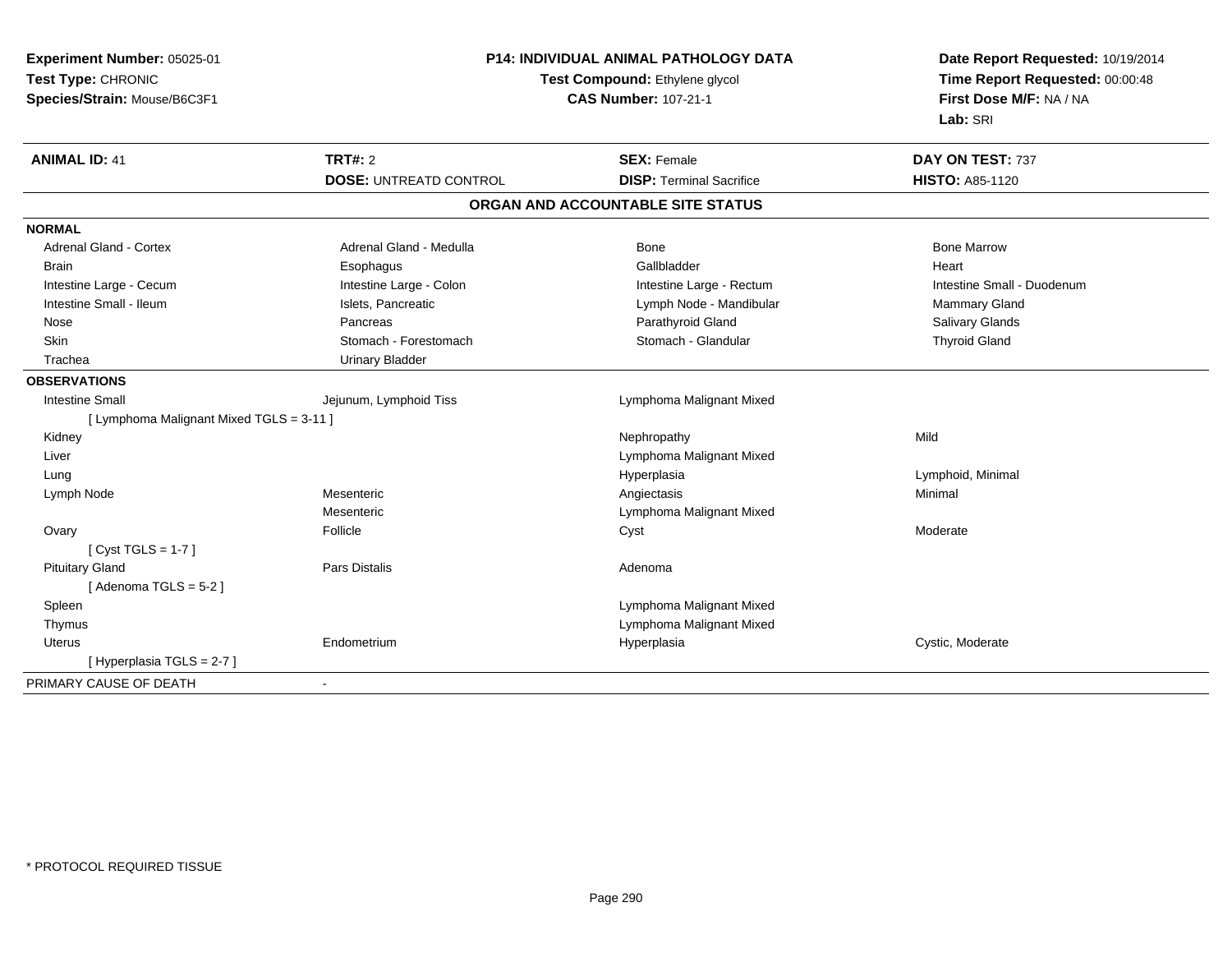| Experiment Number: 05025-01<br>Test Type: CHRONIC<br>Species/Strain: Mouse/B6C3F1 | P14: INDIVIDUAL ANIMAL PATHOLOGY DATA<br>Test Compound: Ethylene glycol<br><b>CAS Number: 107-21-1</b> |                                   | Date Report Requested: 10/19/2014<br>Time Report Requested: 00:00:48<br>First Dose M/F: NA / NA<br>Lab: SRI |
|-----------------------------------------------------------------------------------|--------------------------------------------------------------------------------------------------------|-----------------------------------|-------------------------------------------------------------------------------------------------------------|
| <b>ANIMAL ID: 41</b>                                                              | <b>TRT#: 2</b>                                                                                         | <b>SEX: Female</b>                | DAY ON TEST: 737                                                                                            |
|                                                                                   | <b>DOSE: UNTREATD CONTROL</b>                                                                          | <b>DISP: Terminal Sacrifice</b>   | <b>HISTO: A85-1120</b>                                                                                      |
|                                                                                   |                                                                                                        | ORGAN AND ACCOUNTABLE SITE STATUS |                                                                                                             |
| <b>NORMAL</b>                                                                     |                                                                                                        |                                   |                                                                                                             |
| <b>Adrenal Gland - Cortex</b>                                                     | Adrenal Gland - Medulla                                                                                | Bone                              | <b>Bone Marrow</b>                                                                                          |
| <b>Brain</b>                                                                      | Esophagus                                                                                              | Gallbladder                       | Heart                                                                                                       |
| Intestine Large - Cecum                                                           | Intestine Large - Colon                                                                                | Intestine Large - Rectum          | Intestine Small - Duodenum                                                                                  |
| Intestine Small - Ileum                                                           | Islets, Pancreatic                                                                                     | Lymph Node - Mandibular           | Mammary Gland                                                                                               |
| Nose                                                                              | Pancreas                                                                                               | Parathyroid Gland                 | Salivary Glands                                                                                             |
| Skin                                                                              | Stomach - Forestomach                                                                                  | Stomach - Glandular               | <b>Thyroid Gland</b>                                                                                        |
| Trachea                                                                           | <b>Urinary Bladder</b>                                                                                 |                                   |                                                                                                             |
| <b>OBSERVATIONS</b>                                                               |                                                                                                        |                                   |                                                                                                             |
| <b>Intestine Small</b>                                                            | Jejunum, Lymphoid Tiss                                                                                 | Lymphoma Malignant Mixed          |                                                                                                             |
| [ Lymphoma Malignant Mixed TGLS = 3-11 ]                                          |                                                                                                        |                                   |                                                                                                             |
| Kidney                                                                            |                                                                                                        | Nephropathy                       | Mild                                                                                                        |
| Liver                                                                             |                                                                                                        | Lymphoma Malignant Mixed          |                                                                                                             |
| Lung                                                                              |                                                                                                        | Hyperplasia                       | Lymphoid, Minimal                                                                                           |
| Lymph Node                                                                        | Mesenteric                                                                                             | Angiectasis                       | Minimal                                                                                                     |
|                                                                                   | Mesenteric                                                                                             | Lymphoma Malignant Mixed          |                                                                                                             |
| Ovary                                                                             | Follicle                                                                                               | Cyst                              | Moderate                                                                                                    |
| [Cyst TGLS = $1-7$ ]                                                              |                                                                                                        |                                   |                                                                                                             |
| <b>Pituitary Gland</b>                                                            | <b>Pars Distalis</b>                                                                                   | Adenoma                           |                                                                                                             |
| [Adenoma TGLS = $5-2$ ]                                                           |                                                                                                        |                                   |                                                                                                             |
| Spleen                                                                            |                                                                                                        | Lymphoma Malignant Mixed          |                                                                                                             |
| Thymus                                                                            |                                                                                                        | Lymphoma Malignant Mixed          |                                                                                                             |
| Uterus                                                                            | Endometrium                                                                                            | Hyperplasia                       | Cystic, Moderate                                                                                            |
| [Hyperplasia TGLS = 2-7]                                                          |                                                                                                        |                                   |                                                                                                             |
| PRIMARY CAUSE OF DEATH                                                            |                                                                                                        |                                   |                                                                                                             |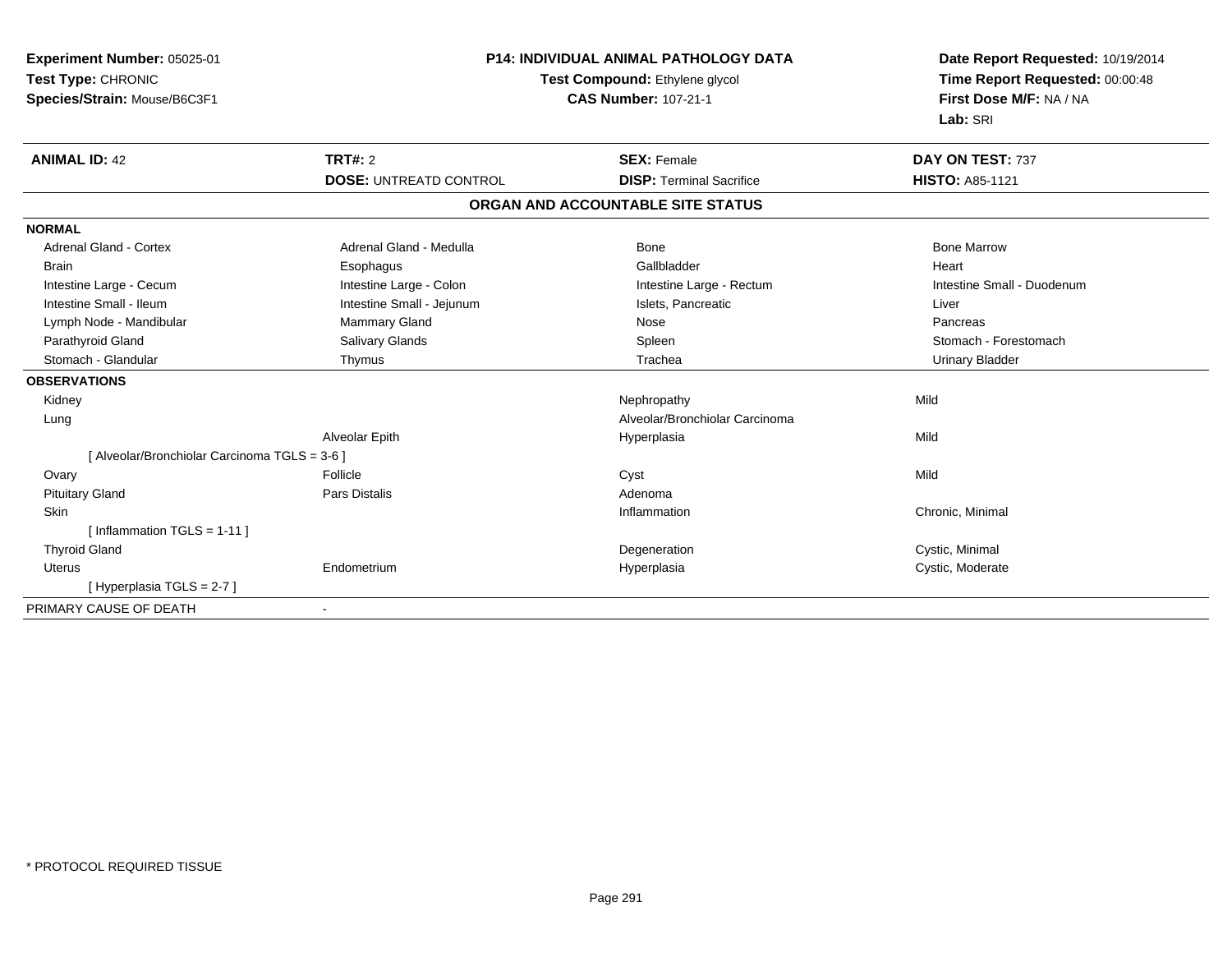| Experiment Number: 05025-01<br>Test Type: CHRONIC<br>Species/Strain: Mouse/B6C3F1 | <b>P14: INDIVIDUAL ANIMAL PATHOLOGY DATA</b><br>Test Compound: Ethylene glycol<br><b>CAS Number: 107-21-1</b> |                                   | Date Report Requested: 10/19/2014<br>Time Report Requested: 00:00:48<br>First Dose M/F: NA / NA<br>Lab: SRI |
|-----------------------------------------------------------------------------------|---------------------------------------------------------------------------------------------------------------|-----------------------------------|-------------------------------------------------------------------------------------------------------------|
| <b>ANIMAL ID: 42</b>                                                              | <b>TRT#: 2</b>                                                                                                | <b>SEX: Female</b>                | DAY ON TEST: 737                                                                                            |
|                                                                                   | <b>DOSE: UNTREATD CONTROL</b>                                                                                 | <b>DISP: Terminal Sacrifice</b>   | <b>HISTO: A85-1121</b>                                                                                      |
|                                                                                   |                                                                                                               | ORGAN AND ACCOUNTABLE SITE STATUS |                                                                                                             |
| <b>NORMAL</b>                                                                     |                                                                                                               |                                   |                                                                                                             |
| <b>Adrenal Gland - Cortex</b>                                                     | Adrenal Gland - Medulla                                                                                       | Bone                              | <b>Bone Marrow</b>                                                                                          |
| <b>Brain</b>                                                                      | Esophagus                                                                                                     | Gallbladder                       | Heart                                                                                                       |
| Intestine Large - Cecum                                                           | Intestine Large - Colon                                                                                       | Intestine Large - Rectum          | Intestine Small - Duodenum                                                                                  |
| Intestine Small - Ileum                                                           | Intestine Small - Jejunum                                                                                     | Islets, Pancreatic                | Liver                                                                                                       |
| Lymph Node - Mandibular                                                           | Mammary Gland                                                                                                 | Nose                              | Pancreas                                                                                                    |
| Parathyroid Gland                                                                 | <b>Salivary Glands</b>                                                                                        | Spleen                            | Stomach - Forestomach                                                                                       |
| Stomach - Glandular                                                               | Thymus                                                                                                        | Trachea                           | <b>Urinary Bladder</b>                                                                                      |
| <b>OBSERVATIONS</b>                                                               |                                                                                                               |                                   |                                                                                                             |
| Kidney                                                                            |                                                                                                               | Nephropathy                       | Mild                                                                                                        |
| Lung                                                                              |                                                                                                               | Alveolar/Bronchiolar Carcinoma    |                                                                                                             |
|                                                                                   | Alveolar Epith                                                                                                | Hyperplasia                       | Mild                                                                                                        |
| [ Alveolar/Bronchiolar Carcinoma TGLS = 3-6 ]                                     |                                                                                                               |                                   |                                                                                                             |
| Ovary                                                                             | Follicle                                                                                                      | Cyst                              | Mild                                                                                                        |
| <b>Pituitary Gland</b>                                                            | <b>Pars Distalis</b>                                                                                          | Adenoma                           |                                                                                                             |
| Skin                                                                              |                                                                                                               | Inflammation                      | Chronic, Minimal                                                                                            |
| [Inflammation TGLS = $1-11$ ]                                                     |                                                                                                               |                                   |                                                                                                             |
| <b>Thyroid Gland</b>                                                              |                                                                                                               | Degeneration                      | Cystic, Minimal                                                                                             |
| Uterus                                                                            | Endometrium                                                                                                   | Hyperplasia                       | Cystic, Moderate                                                                                            |
| [Hyperplasia TGLS = 2-7]                                                          |                                                                                                               |                                   |                                                                                                             |
| PRIMARY CAUSE OF DEATH                                                            | $\overline{\phantom{a}}$                                                                                      |                                   |                                                                                                             |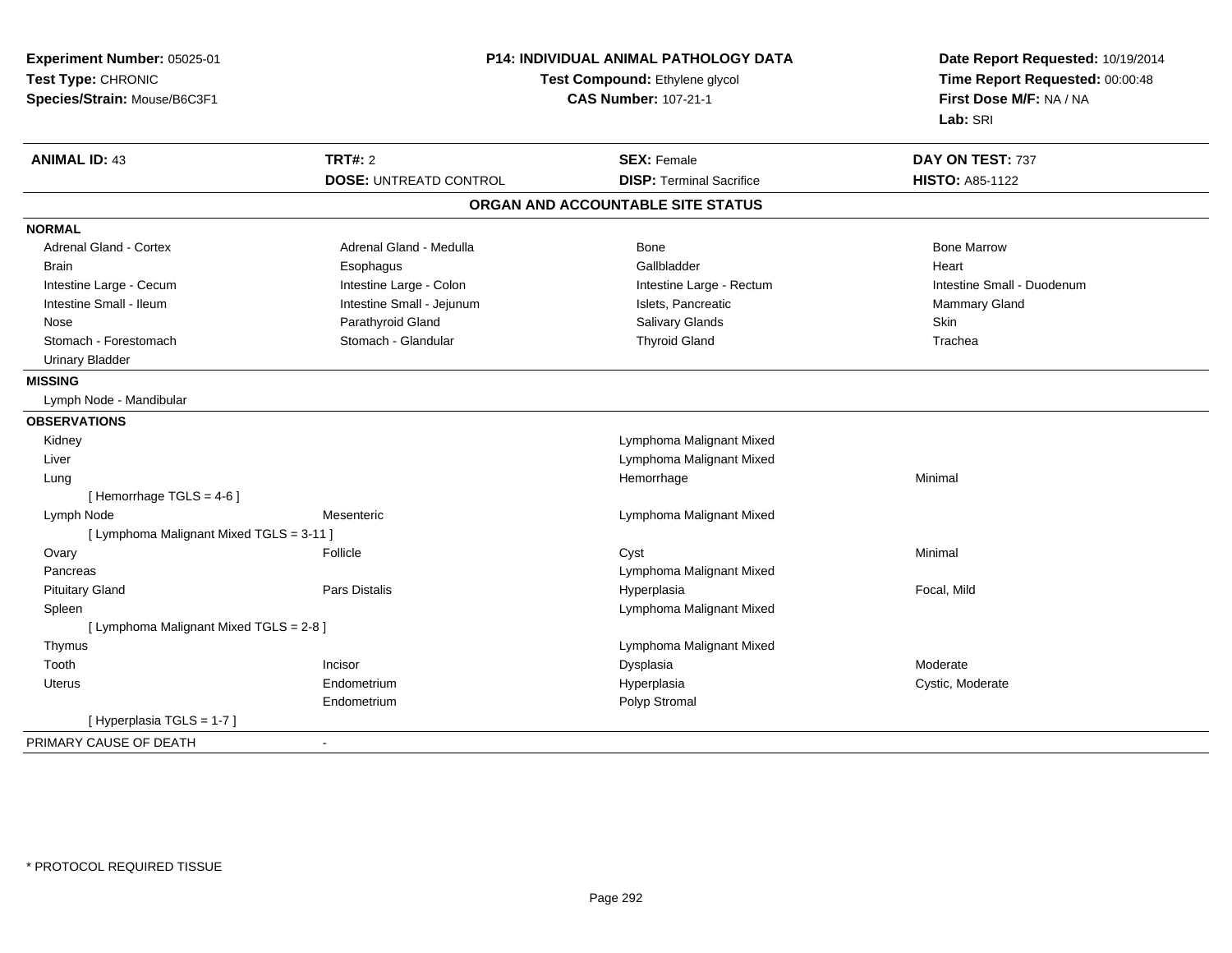| Experiment Number: 05025-01<br>Test Type: CHRONIC<br>Species/Strain: Mouse/B6C3F1 |                               | <b>P14: INDIVIDUAL ANIMAL PATHOLOGY DATA</b><br>Test Compound: Ethylene glycol<br><b>CAS Number: 107-21-1</b> | Date Report Requested: 10/19/2014<br>Time Report Requested: 00:00:48<br>First Dose M/F: NA / NA<br>Lab: SRI |
|-----------------------------------------------------------------------------------|-------------------------------|---------------------------------------------------------------------------------------------------------------|-------------------------------------------------------------------------------------------------------------|
| <b>ANIMAL ID: 43</b>                                                              | <b>TRT#: 2</b>                | <b>SEX: Female</b>                                                                                            | DAY ON TEST: 737                                                                                            |
|                                                                                   | <b>DOSE: UNTREATD CONTROL</b> | <b>DISP: Terminal Sacrifice</b>                                                                               | <b>HISTO: A85-1122</b>                                                                                      |
|                                                                                   |                               | ORGAN AND ACCOUNTABLE SITE STATUS                                                                             |                                                                                                             |
| <b>NORMAL</b>                                                                     |                               |                                                                                                               |                                                                                                             |
| Adrenal Gland - Cortex                                                            | Adrenal Gland - Medulla       | Bone                                                                                                          | <b>Bone Marrow</b>                                                                                          |
| <b>Brain</b>                                                                      | Esophagus                     | Gallbladder                                                                                                   | Heart                                                                                                       |
| Intestine Large - Cecum                                                           | Intestine Large - Colon       | Intestine Large - Rectum                                                                                      | Intestine Small - Duodenum                                                                                  |
| Intestine Small - Ileum                                                           | Intestine Small - Jejunum     | Islets, Pancreatic                                                                                            | Mammary Gland                                                                                               |
| Nose                                                                              | Parathyroid Gland             | Salivary Glands                                                                                               | <b>Skin</b>                                                                                                 |
| Stomach - Forestomach                                                             | Stomach - Glandular           | <b>Thyroid Gland</b>                                                                                          | Trachea                                                                                                     |
| <b>Urinary Bladder</b>                                                            |                               |                                                                                                               |                                                                                                             |
| <b>MISSING</b>                                                                    |                               |                                                                                                               |                                                                                                             |
| Lymph Node - Mandibular                                                           |                               |                                                                                                               |                                                                                                             |
| <b>OBSERVATIONS</b>                                                               |                               |                                                                                                               |                                                                                                             |
| Kidney                                                                            |                               | Lymphoma Malignant Mixed                                                                                      |                                                                                                             |
| Liver                                                                             |                               | Lymphoma Malignant Mixed                                                                                      |                                                                                                             |
| Lung                                                                              |                               | Hemorrhage                                                                                                    | Minimal                                                                                                     |
| [Hemorrhage TGLS = 4-6]                                                           |                               |                                                                                                               |                                                                                                             |
| Lymph Node                                                                        | Mesenteric                    | Lymphoma Malignant Mixed                                                                                      |                                                                                                             |
| [ Lymphoma Malignant Mixed TGLS = 3-11 ]                                          |                               |                                                                                                               |                                                                                                             |
| Ovary                                                                             | Follicle                      | Cyst                                                                                                          | Minimal                                                                                                     |
| Pancreas                                                                          |                               | Lymphoma Malignant Mixed                                                                                      |                                                                                                             |
| <b>Pituitary Gland</b>                                                            | Pars Distalis                 | Hyperplasia                                                                                                   | Focal, Mild                                                                                                 |
| Spleen                                                                            |                               | Lymphoma Malignant Mixed                                                                                      |                                                                                                             |
| [ Lymphoma Malignant Mixed TGLS = 2-8 ]                                           |                               |                                                                                                               |                                                                                                             |
| Thymus                                                                            |                               | Lymphoma Malignant Mixed                                                                                      |                                                                                                             |
| Tooth                                                                             | Incisor                       | Dysplasia                                                                                                     | Moderate                                                                                                    |
| <b>Uterus</b>                                                                     | Endometrium                   | Hyperplasia                                                                                                   | Cystic, Moderate                                                                                            |
|                                                                                   | Endometrium                   | Polyp Stromal                                                                                                 |                                                                                                             |
| [Hyperplasia TGLS = 1-7]                                                          |                               |                                                                                                               |                                                                                                             |
| PRIMARY CAUSE OF DEATH                                                            | $\blacksquare$                |                                                                                                               |                                                                                                             |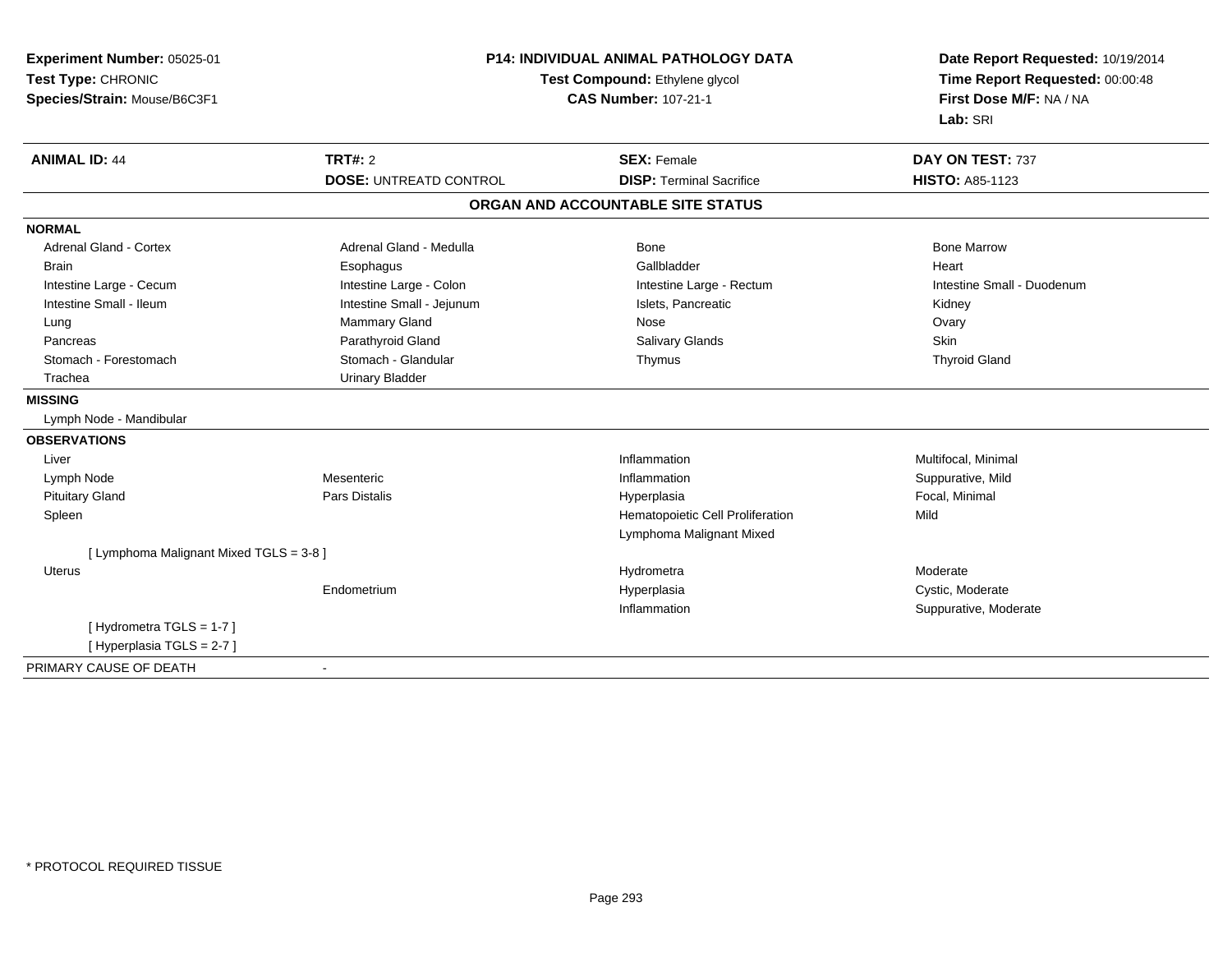| Experiment Number: 05025-01<br>Test Type: CHRONIC<br>Species/Strain: Mouse/B6C3F1 | <b>P14: INDIVIDUAL ANIMAL PATHOLOGY DATA</b><br>Test Compound: Ethylene glycol<br><b>CAS Number: 107-21-1</b> |                                   | Date Report Requested: 10/19/2014<br>Time Report Requested: 00:00:48<br>First Dose M/F: NA / NA<br>Lab: SRI |  |
|-----------------------------------------------------------------------------------|---------------------------------------------------------------------------------------------------------------|-----------------------------------|-------------------------------------------------------------------------------------------------------------|--|
| <b>ANIMAL ID: 44</b>                                                              | TRT#: 2                                                                                                       | <b>SEX: Female</b>                | DAY ON TEST: 737                                                                                            |  |
|                                                                                   | <b>DOSE: UNTREATD CONTROL</b>                                                                                 | <b>DISP: Terminal Sacrifice</b>   | <b>HISTO: A85-1123</b>                                                                                      |  |
|                                                                                   |                                                                                                               | ORGAN AND ACCOUNTABLE SITE STATUS |                                                                                                             |  |
| <b>NORMAL</b>                                                                     |                                                                                                               |                                   |                                                                                                             |  |
| <b>Adrenal Gland - Cortex</b>                                                     | Adrenal Gland - Medulla                                                                                       | <b>Bone</b>                       | <b>Bone Marrow</b>                                                                                          |  |
| <b>Brain</b>                                                                      | Esophagus                                                                                                     | Gallbladder                       | Heart                                                                                                       |  |
| Intestine Large - Cecum                                                           | Intestine Large - Colon                                                                                       | Intestine Large - Rectum          | Intestine Small - Duodenum                                                                                  |  |
| Intestine Small - Ileum                                                           | Intestine Small - Jejunum                                                                                     | Islets, Pancreatic                | Kidney                                                                                                      |  |
| Lung                                                                              | Mammary Gland                                                                                                 | Nose                              | Ovary                                                                                                       |  |
| Pancreas                                                                          | Parathyroid Gland                                                                                             | <b>Salivary Glands</b>            | Skin                                                                                                        |  |
| Stomach - Forestomach                                                             | Stomach - Glandular                                                                                           | Thymus                            | <b>Thyroid Gland</b>                                                                                        |  |
| Trachea                                                                           | <b>Urinary Bladder</b>                                                                                        |                                   |                                                                                                             |  |
| <b>MISSING</b>                                                                    |                                                                                                               |                                   |                                                                                                             |  |
| Lymph Node - Mandibular                                                           |                                                                                                               |                                   |                                                                                                             |  |
| <b>OBSERVATIONS</b>                                                               |                                                                                                               |                                   |                                                                                                             |  |
| Liver                                                                             |                                                                                                               | Inflammation                      | Multifocal, Minimal                                                                                         |  |
| Lymph Node                                                                        | Mesenteric                                                                                                    | Inflammation                      | Suppurative, Mild                                                                                           |  |
| <b>Pituitary Gland</b>                                                            | Pars Distalis                                                                                                 | Hyperplasia                       | Focal, Minimal                                                                                              |  |
| Spleen                                                                            |                                                                                                               | Hematopoietic Cell Proliferation  | Mild                                                                                                        |  |
|                                                                                   |                                                                                                               | Lymphoma Malignant Mixed          |                                                                                                             |  |
| [ Lymphoma Malignant Mixed TGLS = 3-8 ]                                           |                                                                                                               |                                   |                                                                                                             |  |
| <b>Uterus</b>                                                                     |                                                                                                               | Hydrometra                        | Moderate                                                                                                    |  |
|                                                                                   | Endometrium                                                                                                   | Hyperplasia                       | Cystic, Moderate                                                                                            |  |
|                                                                                   |                                                                                                               | Inflammation                      | Suppurative, Moderate                                                                                       |  |
| [Hydrometra TGLS = 1-7]                                                           |                                                                                                               |                                   |                                                                                                             |  |
| [ Hyperplasia TGLS = 2-7 ]                                                        |                                                                                                               |                                   |                                                                                                             |  |
| PRIMARY CAUSE OF DEATH                                                            | $\mathbf{r}$                                                                                                  |                                   |                                                                                                             |  |

-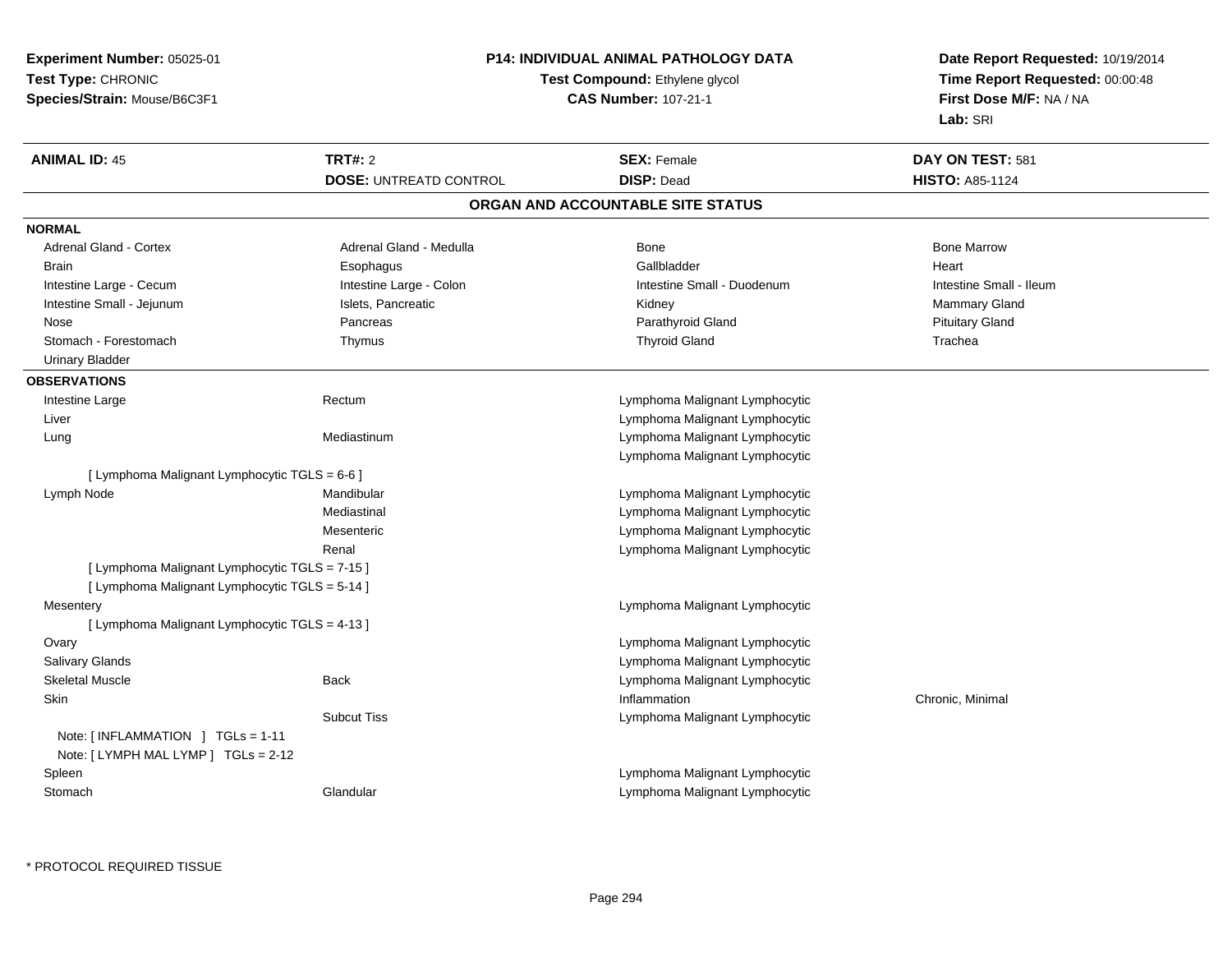| Test Type: CHRONIC<br>Test Compound: Ethylene glycol<br>Time Report Requested: 00:00:48<br><b>CAS Number: 107-21-1</b><br>First Dose M/F: NA / NA<br>Species/Strain: Mouse/B6C3F1<br>Lab: SRI<br><b>TRT#: 2</b><br><b>ANIMAL ID: 45</b><br><b>SEX: Female</b><br>DAY ON TEST: 581<br><b>DISP: Dead</b><br><b>HISTO: A85-1124</b><br><b>DOSE: UNTREATD CONTROL</b><br>ORGAN AND ACCOUNTABLE SITE STATUS<br>Adrenal Gland - Cortex<br>Bone<br><b>Bone Marrow</b><br>Adrenal Gland - Medulla<br>Gallbladder<br>Heart<br><b>Brain</b><br>Esophagus<br>Intestine Large - Cecum<br>Intestine Large - Colon<br>Intestine Small - Duodenum<br>Intestine Small - Ileum<br>Intestine Small - Jejunum<br>Islets, Pancreatic<br>Mammary Gland<br>Kidney<br>Parathyroid Gland<br><b>Pituitary Gland</b><br>Nose<br>Pancreas<br>Stomach - Forestomach<br><b>Thyroid Gland</b><br>Trachea<br>Thymus<br><b>Urinary Bladder</b><br>Intestine Large<br>Rectum<br>Lymphoma Malignant Lymphocytic<br>Lymphoma Malignant Lymphocytic<br>Liver<br>Lymphoma Malignant Lymphocytic<br>Lung<br>Mediastinum<br>Lymphoma Malignant Lymphocytic<br>[ Lymphoma Malignant Lymphocytic TGLS = 6-6 ]<br>Lymphoma Malignant Lymphocytic<br>Lymph Node<br>Mandibular<br>Mediastinal<br>Lymphoma Malignant Lymphocytic<br>Lymphoma Malignant Lymphocytic<br>Mesenteric<br>Renal<br>Lymphoma Malignant Lymphocytic<br>[ Lymphoma Malignant Lymphocytic TGLS = 7-15 ]<br>[ Lymphoma Malignant Lymphocytic TGLS = 5-14 ]<br>Lymphoma Malignant Lymphocytic<br>Mesentery<br>[ Lymphoma Malignant Lymphocytic TGLS = 4-13 ]<br>Lymphoma Malignant Lymphocytic<br>Ovary<br>Salivary Glands<br>Lymphoma Malignant Lymphocytic<br><b>Skeletal Muscle</b><br>Lymphoma Malignant Lymphocytic<br><b>Back</b><br>Skin<br>Inflammation<br>Chronic, Minimal<br><b>Subcut Tiss</b><br>Lymphoma Malignant Lymphocytic<br>Note: $\lceil$ INFLAMMATION $\lceil$ TGLs = 1-11<br>Note: [LYMPH MAL LYMP ] TGLs = 2-12<br>Spleen<br>Lymphoma Malignant Lymphocytic<br>Stomach<br>Glandular<br>Lymphoma Malignant Lymphocytic | Experiment Number: 05025-01 | <b>P14: INDIVIDUAL ANIMAL PATHOLOGY DATA</b> | Date Report Requested: 10/19/2014 |
|---------------------------------------------------------------------------------------------------------------------------------------------------------------------------------------------------------------------------------------------------------------------------------------------------------------------------------------------------------------------------------------------------------------------------------------------------------------------------------------------------------------------------------------------------------------------------------------------------------------------------------------------------------------------------------------------------------------------------------------------------------------------------------------------------------------------------------------------------------------------------------------------------------------------------------------------------------------------------------------------------------------------------------------------------------------------------------------------------------------------------------------------------------------------------------------------------------------------------------------------------------------------------------------------------------------------------------------------------------------------------------------------------------------------------------------------------------------------------------------------------------------------------------------------------------------------------------------------------------------------------------------------------------------------------------------------------------------------------------------------------------------------------------------------------------------------------------------------------------------------------------------------------------------------------------------------------------------------------------------------------------------------------------------------------------------------|-----------------------------|----------------------------------------------|-----------------------------------|
|                                                                                                                                                                                                                                                                                                                                                                                                                                                                                                                                                                                                                                                                                                                                                                                                                                                                                                                                                                                                                                                                                                                                                                                                                                                                                                                                                                                                                                                                                                                                                                                                                                                                                                                                                                                                                                                                                                                                                                                                                                                                     |                             |                                              |                                   |
|                                                                                                                                                                                                                                                                                                                                                                                                                                                                                                                                                                                                                                                                                                                                                                                                                                                                                                                                                                                                                                                                                                                                                                                                                                                                                                                                                                                                                                                                                                                                                                                                                                                                                                                                                                                                                                                                                                                                                                                                                                                                     |                             |                                              |                                   |
|                                                                                                                                                                                                                                                                                                                                                                                                                                                                                                                                                                                                                                                                                                                                                                                                                                                                                                                                                                                                                                                                                                                                                                                                                                                                                                                                                                                                                                                                                                                                                                                                                                                                                                                                                                                                                                                                                                                                                                                                                                                                     |                             |                                              |                                   |
|                                                                                                                                                                                                                                                                                                                                                                                                                                                                                                                                                                                                                                                                                                                                                                                                                                                                                                                                                                                                                                                                                                                                                                                                                                                                                                                                                                                                                                                                                                                                                                                                                                                                                                                                                                                                                                                                                                                                                                                                                                                                     |                             |                                              |                                   |
|                                                                                                                                                                                                                                                                                                                                                                                                                                                                                                                                                                                                                                                                                                                                                                                                                                                                                                                                                                                                                                                                                                                                                                                                                                                                                                                                                                                                                                                                                                                                                                                                                                                                                                                                                                                                                                                                                                                                                                                                                                                                     |                             |                                              |                                   |
|                                                                                                                                                                                                                                                                                                                                                                                                                                                                                                                                                                                                                                                                                                                                                                                                                                                                                                                                                                                                                                                                                                                                                                                                                                                                                                                                                                                                                                                                                                                                                                                                                                                                                                                                                                                                                                                                                                                                                                                                                                                                     |                             |                                              |                                   |
|                                                                                                                                                                                                                                                                                                                                                                                                                                                                                                                                                                                                                                                                                                                                                                                                                                                                                                                                                                                                                                                                                                                                                                                                                                                                                                                                                                                                                                                                                                                                                                                                                                                                                                                                                                                                                                                                                                                                                                                                                                                                     | <b>NORMAL</b>               |                                              |                                   |
|                                                                                                                                                                                                                                                                                                                                                                                                                                                                                                                                                                                                                                                                                                                                                                                                                                                                                                                                                                                                                                                                                                                                                                                                                                                                                                                                                                                                                                                                                                                                                                                                                                                                                                                                                                                                                                                                                                                                                                                                                                                                     |                             |                                              |                                   |
|                                                                                                                                                                                                                                                                                                                                                                                                                                                                                                                                                                                                                                                                                                                                                                                                                                                                                                                                                                                                                                                                                                                                                                                                                                                                                                                                                                                                                                                                                                                                                                                                                                                                                                                                                                                                                                                                                                                                                                                                                                                                     |                             |                                              |                                   |
|                                                                                                                                                                                                                                                                                                                                                                                                                                                                                                                                                                                                                                                                                                                                                                                                                                                                                                                                                                                                                                                                                                                                                                                                                                                                                                                                                                                                                                                                                                                                                                                                                                                                                                                                                                                                                                                                                                                                                                                                                                                                     |                             |                                              |                                   |
|                                                                                                                                                                                                                                                                                                                                                                                                                                                                                                                                                                                                                                                                                                                                                                                                                                                                                                                                                                                                                                                                                                                                                                                                                                                                                                                                                                                                                                                                                                                                                                                                                                                                                                                                                                                                                                                                                                                                                                                                                                                                     |                             |                                              |                                   |
|                                                                                                                                                                                                                                                                                                                                                                                                                                                                                                                                                                                                                                                                                                                                                                                                                                                                                                                                                                                                                                                                                                                                                                                                                                                                                                                                                                                                                                                                                                                                                                                                                                                                                                                                                                                                                                                                                                                                                                                                                                                                     |                             |                                              |                                   |
|                                                                                                                                                                                                                                                                                                                                                                                                                                                                                                                                                                                                                                                                                                                                                                                                                                                                                                                                                                                                                                                                                                                                                                                                                                                                                                                                                                                                                                                                                                                                                                                                                                                                                                                                                                                                                                                                                                                                                                                                                                                                     |                             |                                              |                                   |
|                                                                                                                                                                                                                                                                                                                                                                                                                                                                                                                                                                                                                                                                                                                                                                                                                                                                                                                                                                                                                                                                                                                                                                                                                                                                                                                                                                                                                                                                                                                                                                                                                                                                                                                                                                                                                                                                                                                                                                                                                                                                     |                             |                                              |                                   |
|                                                                                                                                                                                                                                                                                                                                                                                                                                                                                                                                                                                                                                                                                                                                                                                                                                                                                                                                                                                                                                                                                                                                                                                                                                                                                                                                                                                                                                                                                                                                                                                                                                                                                                                                                                                                                                                                                                                                                                                                                                                                     | <b>OBSERVATIONS</b>         |                                              |                                   |
|                                                                                                                                                                                                                                                                                                                                                                                                                                                                                                                                                                                                                                                                                                                                                                                                                                                                                                                                                                                                                                                                                                                                                                                                                                                                                                                                                                                                                                                                                                                                                                                                                                                                                                                                                                                                                                                                                                                                                                                                                                                                     |                             |                                              |                                   |
|                                                                                                                                                                                                                                                                                                                                                                                                                                                                                                                                                                                                                                                                                                                                                                                                                                                                                                                                                                                                                                                                                                                                                                                                                                                                                                                                                                                                                                                                                                                                                                                                                                                                                                                                                                                                                                                                                                                                                                                                                                                                     |                             |                                              |                                   |
|                                                                                                                                                                                                                                                                                                                                                                                                                                                                                                                                                                                                                                                                                                                                                                                                                                                                                                                                                                                                                                                                                                                                                                                                                                                                                                                                                                                                                                                                                                                                                                                                                                                                                                                                                                                                                                                                                                                                                                                                                                                                     |                             |                                              |                                   |
|                                                                                                                                                                                                                                                                                                                                                                                                                                                                                                                                                                                                                                                                                                                                                                                                                                                                                                                                                                                                                                                                                                                                                                                                                                                                                                                                                                                                                                                                                                                                                                                                                                                                                                                                                                                                                                                                                                                                                                                                                                                                     |                             |                                              |                                   |
|                                                                                                                                                                                                                                                                                                                                                                                                                                                                                                                                                                                                                                                                                                                                                                                                                                                                                                                                                                                                                                                                                                                                                                                                                                                                                                                                                                                                                                                                                                                                                                                                                                                                                                                                                                                                                                                                                                                                                                                                                                                                     |                             |                                              |                                   |
|                                                                                                                                                                                                                                                                                                                                                                                                                                                                                                                                                                                                                                                                                                                                                                                                                                                                                                                                                                                                                                                                                                                                                                                                                                                                                                                                                                                                                                                                                                                                                                                                                                                                                                                                                                                                                                                                                                                                                                                                                                                                     |                             |                                              |                                   |
|                                                                                                                                                                                                                                                                                                                                                                                                                                                                                                                                                                                                                                                                                                                                                                                                                                                                                                                                                                                                                                                                                                                                                                                                                                                                                                                                                                                                                                                                                                                                                                                                                                                                                                                                                                                                                                                                                                                                                                                                                                                                     |                             |                                              |                                   |
|                                                                                                                                                                                                                                                                                                                                                                                                                                                                                                                                                                                                                                                                                                                                                                                                                                                                                                                                                                                                                                                                                                                                                                                                                                                                                                                                                                                                                                                                                                                                                                                                                                                                                                                                                                                                                                                                                                                                                                                                                                                                     |                             |                                              |                                   |
|                                                                                                                                                                                                                                                                                                                                                                                                                                                                                                                                                                                                                                                                                                                                                                                                                                                                                                                                                                                                                                                                                                                                                                                                                                                                                                                                                                                                                                                                                                                                                                                                                                                                                                                                                                                                                                                                                                                                                                                                                                                                     |                             |                                              |                                   |
|                                                                                                                                                                                                                                                                                                                                                                                                                                                                                                                                                                                                                                                                                                                                                                                                                                                                                                                                                                                                                                                                                                                                                                                                                                                                                                                                                                                                                                                                                                                                                                                                                                                                                                                                                                                                                                                                                                                                                                                                                                                                     |                             |                                              |                                   |
|                                                                                                                                                                                                                                                                                                                                                                                                                                                                                                                                                                                                                                                                                                                                                                                                                                                                                                                                                                                                                                                                                                                                                                                                                                                                                                                                                                                                                                                                                                                                                                                                                                                                                                                                                                                                                                                                                                                                                                                                                                                                     |                             |                                              |                                   |
|                                                                                                                                                                                                                                                                                                                                                                                                                                                                                                                                                                                                                                                                                                                                                                                                                                                                                                                                                                                                                                                                                                                                                                                                                                                                                                                                                                                                                                                                                                                                                                                                                                                                                                                                                                                                                                                                                                                                                                                                                                                                     |                             |                                              |                                   |
|                                                                                                                                                                                                                                                                                                                                                                                                                                                                                                                                                                                                                                                                                                                                                                                                                                                                                                                                                                                                                                                                                                                                                                                                                                                                                                                                                                                                                                                                                                                                                                                                                                                                                                                                                                                                                                                                                                                                                                                                                                                                     |                             |                                              |                                   |
|                                                                                                                                                                                                                                                                                                                                                                                                                                                                                                                                                                                                                                                                                                                                                                                                                                                                                                                                                                                                                                                                                                                                                                                                                                                                                                                                                                                                                                                                                                                                                                                                                                                                                                                                                                                                                                                                                                                                                                                                                                                                     |                             |                                              |                                   |
|                                                                                                                                                                                                                                                                                                                                                                                                                                                                                                                                                                                                                                                                                                                                                                                                                                                                                                                                                                                                                                                                                                                                                                                                                                                                                                                                                                                                                                                                                                                                                                                                                                                                                                                                                                                                                                                                                                                                                                                                                                                                     |                             |                                              |                                   |
|                                                                                                                                                                                                                                                                                                                                                                                                                                                                                                                                                                                                                                                                                                                                                                                                                                                                                                                                                                                                                                                                                                                                                                                                                                                                                                                                                                                                                                                                                                                                                                                                                                                                                                                                                                                                                                                                                                                                                                                                                                                                     |                             |                                              |                                   |
|                                                                                                                                                                                                                                                                                                                                                                                                                                                                                                                                                                                                                                                                                                                                                                                                                                                                                                                                                                                                                                                                                                                                                                                                                                                                                                                                                                                                                                                                                                                                                                                                                                                                                                                                                                                                                                                                                                                                                                                                                                                                     |                             |                                              |                                   |
|                                                                                                                                                                                                                                                                                                                                                                                                                                                                                                                                                                                                                                                                                                                                                                                                                                                                                                                                                                                                                                                                                                                                                                                                                                                                                                                                                                                                                                                                                                                                                                                                                                                                                                                                                                                                                                                                                                                                                                                                                                                                     |                             |                                              |                                   |
|                                                                                                                                                                                                                                                                                                                                                                                                                                                                                                                                                                                                                                                                                                                                                                                                                                                                                                                                                                                                                                                                                                                                                                                                                                                                                                                                                                                                                                                                                                                                                                                                                                                                                                                                                                                                                                                                                                                                                                                                                                                                     |                             |                                              |                                   |
|                                                                                                                                                                                                                                                                                                                                                                                                                                                                                                                                                                                                                                                                                                                                                                                                                                                                                                                                                                                                                                                                                                                                                                                                                                                                                                                                                                                                                                                                                                                                                                                                                                                                                                                                                                                                                                                                                                                                                                                                                                                                     |                             |                                              |                                   |
|                                                                                                                                                                                                                                                                                                                                                                                                                                                                                                                                                                                                                                                                                                                                                                                                                                                                                                                                                                                                                                                                                                                                                                                                                                                                                                                                                                                                                                                                                                                                                                                                                                                                                                                                                                                                                                                                                                                                                                                                                                                                     |                             |                                              |                                   |
|                                                                                                                                                                                                                                                                                                                                                                                                                                                                                                                                                                                                                                                                                                                                                                                                                                                                                                                                                                                                                                                                                                                                                                                                                                                                                                                                                                                                                                                                                                                                                                                                                                                                                                                                                                                                                                                                                                                                                                                                                                                                     |                             |                                              |                                   |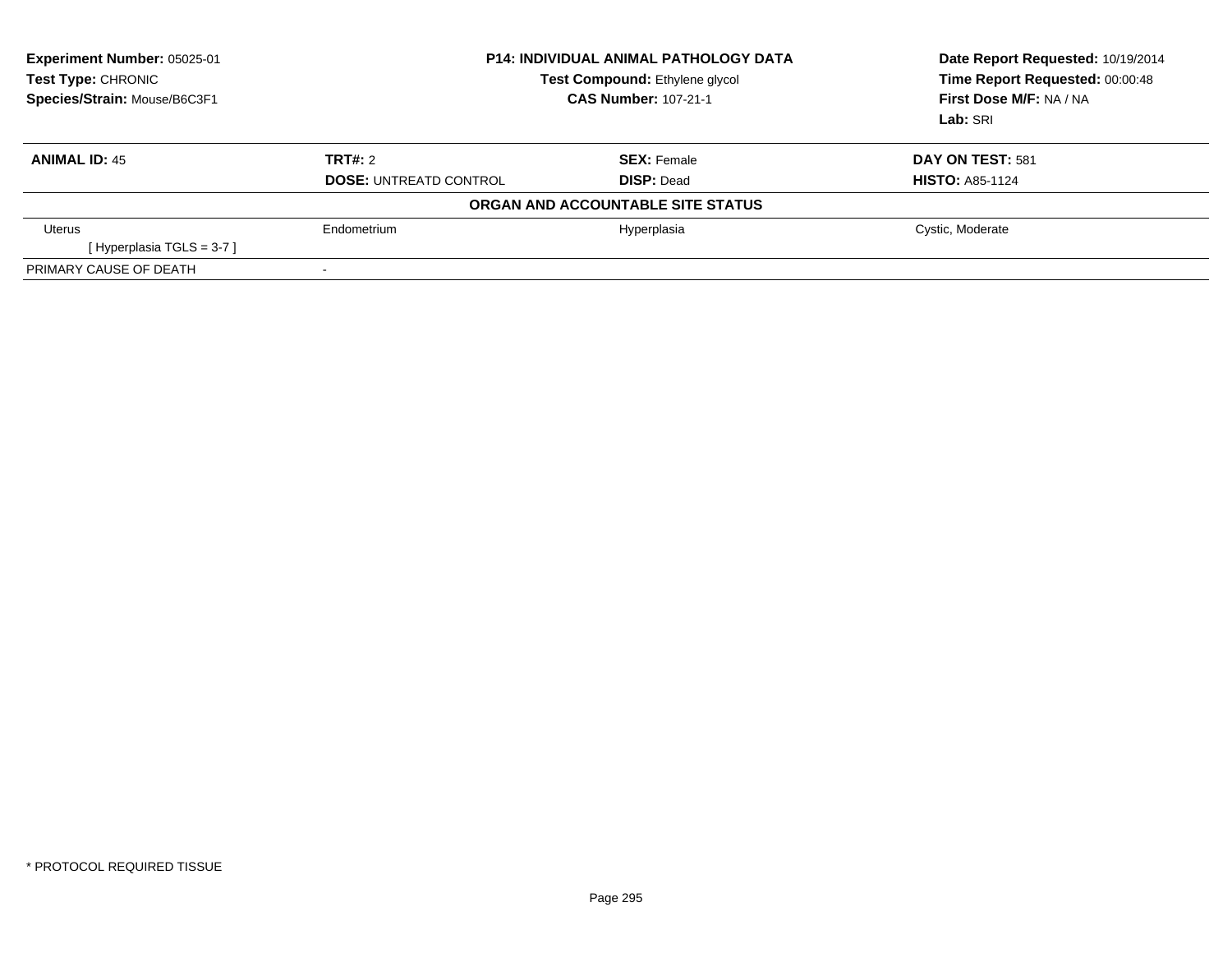| Experiment Number: 05025-01<br>Test Type: CHRONIC<br>Species/Strain: Mouse/B6C3F1 | <b>P14: INDIVIDUAL ANIMAL PATHOLOGY DATA</b><br><b>Test Compound: Ethylene glycol</b><br><b>CAS Number: 107-21-1</b> |                                   | Date Report Requested: 10/19/2014<br>Time Report Requested: 00:00:48<br>First Dose M/F: NA / NA<br>Lab: SRI |
|-----------------------------------------------------------------------------------|----------------------------------------------------------------------------------------------------------------------|-----------------------------------|-------------------------------------------------------------------------------------------------------------|
| <b>ANIMAL ID: 45</b>                                                              | TRT#: 2                                                                                                              | <b>SEX: Female</b>                | DAY ON TEST: 581                                                                                            |
|                                                                                   | <b>DOSE: UNTREATD CONTROL</b>                                                                                        | <b>DISP: Dead</b>                 | <b>HISTO: A85-1124</b>                                                                                      |
|                                                                                   |                                                                                                                      | ORGAN AND ACCOUNTABLE SITE STATUS |                                                                                                             |
| Uterus                                                                            | Endometrium                                                                                                          | Hyperplasia                       | Cystic, Moderate                                                                                            |
| [Hyperplasia TGLS = $3-7$ ]                                                       |                                                                                                                      |                                   |                                                                                                             |
| PRIMARY CAUSE OF DEATH                                                            |                                                                                                                      |                                   |                                                                                                             |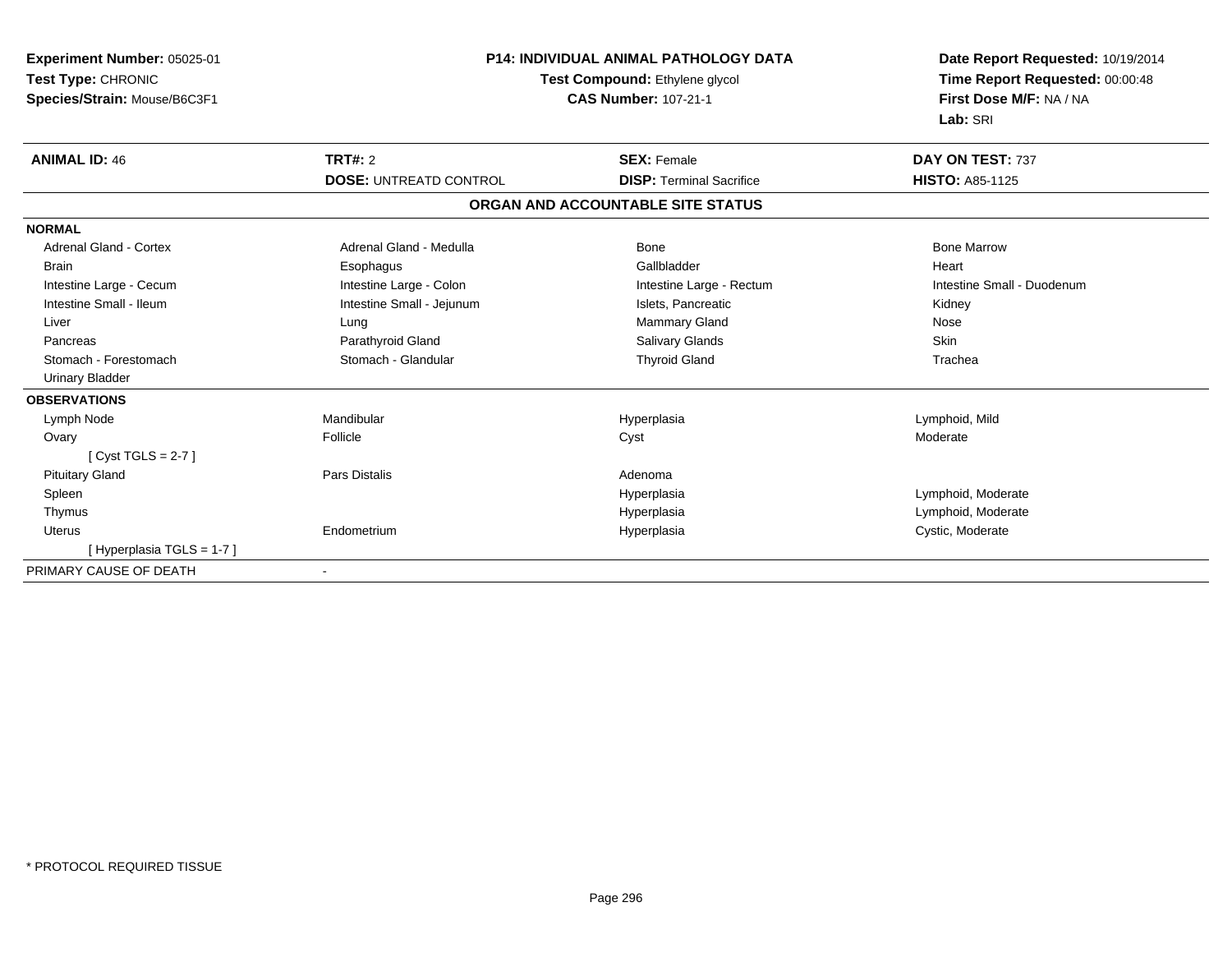| Experiment Number: 05025-01<br>Test Type: CHRONIC<br>Species/Strain: Mouse/B6C3F1 |                               | <b>P14: INDIVIDUAL ANIMAL PATHOLOGY DATA</b><br>Test Compound: Ethylene glycol<br><b>CAS Number: 107-21-1</b> | Date Report Requested: 10/19/2014<br>Time Report Requested: 00:00:48<br>First Dose M/F: NA / NA<br>Lab: SRI |  |
|-----------------------------------------------------------------------------------|-------------------------------|---------------------------------------------------------------------------------------------------------------|-------------------------------------------------------------------------------------------------------------|--|
| <b>ANIMAL ID: 46</b>                                                              | <b>TRT#: 2</b>                | <b>SEX: Female</b>                                                                                            | DAY ON TEST: 737                                                                                            |  |
|                                                                                   | <b>DOSE: UNTREATD CONTROL</b> | <b>DISP: Terminal Sacrifice</b>                                                                               | <b>HISTO: A85-1125</b>                                                                                      |  |
|                                                                                   |                               | ORGAN AND ACCOUNTABLE SITE STATUS                                                                             |                                                                                                             |  |
| <b>NORMAL</b>                                                                     |                               |                                                                                                               |                                                                                                             |  |
| Adrenal Gland - Cortex                                                            | Adrenal Gland - Medulla       | Bone                                                                                                          | <b>Bone Marrow</b>                                                                                          |  |
| <b>Brain</b>                                                                      | Esophagus                     | Gallbladder                                                                                                   | Heart                                                                                                       |  |
| Intestine Large - Cecum                                                           | Intestine Large - Colon       | Intestine Large - Rectum                                                                                      | Intestine Small - Duodenum                                                                                  |  |
| Intestine Small - Ileum                                                           | Intestine Small - Jejunum     | Islets, Pancreatic                                                                                            | Kidney                                                                                                      |  |
| Liver                                                                             | Lung                          | <b>Mammary Gland</b>                                                                                          | Nose                                                                                                        |  |
| Pancreas                                                                          | Parathyroid Gland             | <b>Salivary Glands</b>                                                                                        | <b>Skin</b>                                                                                                 |  |
| Stomach - Forestomach                                                             | Stomach - Glandular           | <b>Thyroid Gland</b>                                                                                          | Trachea                                                                                                     |  |
| <b>Urinary Bladder</b>                                                            |                               |                                                                                                               |                                                                                                             |  |
| <b>OBSERVATIONS</b>                                                               |                               |                                                                                                               |                                                                                                             |  |
| Lymph Node                                                                        | Mandibular                    | Hyperplasia                                                                                                   | Lymphoid, Mild                                                                                              |  |
| Ovary                                                                             | Follicle                      | Cyst                                                                                                          | Moderate                                                                                                    |  |
| [Cyst TGLS = $2-7$ ]                                                              |                               |                                                                                                               |                                                                                                             |  |
| <b>Pituitary Gland</b>                                                            | <b>Pars Distalis</b>          | Adenoma                                                                                                       |                                                                                                             |  |
| Spleen                                                                            |                               | Hyperplasia                                                                                                   | Lymphoid, Moderate                                                                                          |  |
| Thymus                                                                            |                               | Hyperplasia                                                                                                   | Lymphoid, Moderate                                                                                          |  |
| <b>Uterus</b>                                                                     | Endometrium                   | Hyperplasia                                                                                                   | Cystic, Moderate                                                                                            |  |
| [Hyperplasia TGLS = 1-7]                                                          |                               |                                                                                                               |                                                                                                             |  |
| PRIMARY CAUSE OF DEATH                                                            |                               |                                                                                                               |                                                                                                             |  |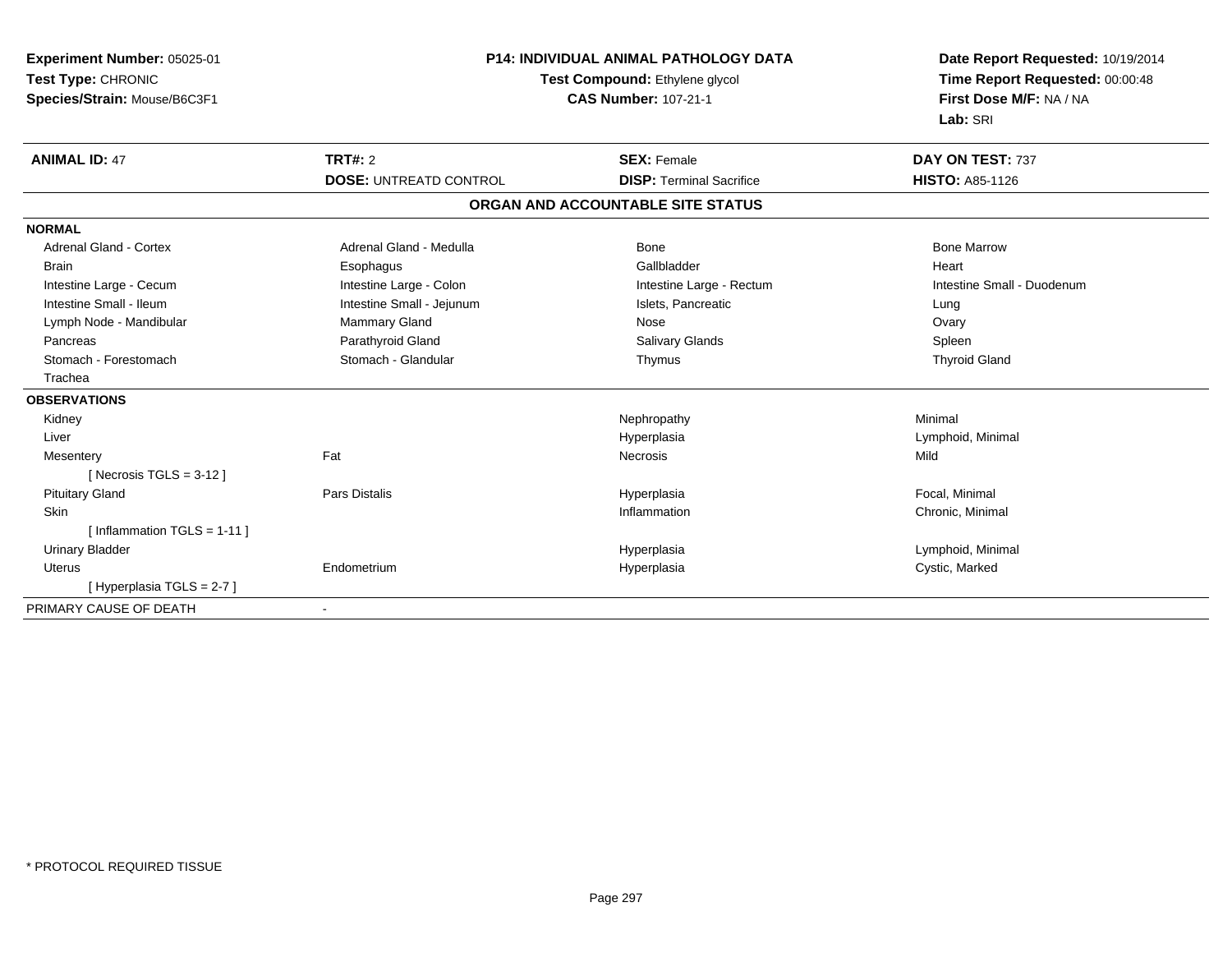| Experiment Number: 05025-01<br>Test Type: CHRONIC<br>Species/Strain: Mouse/B6C3F1 | <b>P14: INDIVIDUAL ANIMAL PATHOLOGY DATA</b><br>Test Compound: Ethylene glycol<br><b>CAS Number: 107-21-1</b> |                                   | Date Report Requested: 10/19/2014<br>Time Report Requested: 00:00:48<br>First Dose M/F: NA / NA<br>Lab: SRI |  |
|-----------------------------------------------------------------------------------|---------------------------------------------------------------------------------------------------------------|-----------------------------------|-------------------------------------------------------------------------------------------------------------|--|
| <b>ANIMAL ID: 47</b>                                                              | <b>TRT#: 2</b>                                                                                                | <b>SEX: Female</b>                | DAY ON TEST: 737                                                                                            |  |
|                                                                                   | <b>DOSE: UNTREATD CONTROL</b>                                                                                 | <b>DISP: Terminal Sacrifice</b>   | <b>HISTO: A85-1126</b>                                                                                      |  |
|                                                                                   |                                                                                                               | ORGAN AND ACCOUNTABLE SITE STATUS |                                                                                                             |  |
| <b>NORMAL</b>                                                                     |                                                                                                               |                                   |                                                                                                             |  |
| <b>Adrenal Gland - Cortex</b>                                                     | Adrenal Gland - Medulla                                                                                       | Bone                              | <b>Bone Marrow</b>                                                                                          |  |
| <b>Brain</b>                                                                      | Esophagus                                                                                                     | Gallbladder                       | Heart                                                                                                       |  |
| Intestine Large - Cecum                                                           | Intestine Large - Colon                                                                                       | Intestine Large - Rectum          | Intestine Small - Duodenum                                                                                  |  |
| Intestine Small - Ileum                                                           | Intestine Small - Jejunum                                                                                     | Islets, Pancreatic                | Lung                                                                                                        |  |
| Lymph Node - Mandibular                                                           | Mammary Gland                                                                                                 | Nose                              | Ovary                                                                                                       |  |
| Pancreas                                                                          | Parathyroid Gland                                                                                             | <b>Salivary Glands</b>            | Spleen                                                                                                      |  |
| Stomach - Forestomach                                                             | Stomach - Glandular                                                                                           | Thymus                            | <b>Thyroid Gland</b>                                                                                        |  |
| Trachea                                                                           |                                                                                                               |                                   |                                                                                                             |  |
| <b>OBSERVATIONS</b>                                                               |                                                                                                               |                                   |                                                                                                             |  |
| Kidney                                                                            |                                                                                                               | Nephropathy                       | Minimal                                                                                                     |  |
| Liver                                                                             |                                                                                                               | Hyperplasia                       | Lymphoid, Minimal                                                                                           |  |
| Mesentery                                                                         | Fat                                                                                                           | <b>Necrosis</b>                   | Mild                                                                                                        |  |
| [Necrosis TGLS = $3-12$ ]                                                         |                                                                                                               |                                   |                                                                                                             |  |
| <b>Pituitary Gland</b>                                                            | <b>Pars Distalis</b>                                                                                          | Hyperplasia                       | Focal, Minimal                                                                                              |  |
| Skin                                                                              |                                                                                                               | Inflammation                      | Chronic, Minimal                                                                                            |  |
| [ Inflammation TGLS = $1-11$ ]                                                    |                                                                                                               |                                   |                                                                                                             |  |
| <b>Urinary Bladder</b>                                                            |                                                                                                               | Hyperplasia                       | Lymphoid, Minimal                                                                                           |  |
| <b>Uterus</b>                                                                     | Endometrium                                                                                                   | Hyperplasia                       | Cystic, Marked                                                                                              |  |
| [Hyperplasia TGLS = 2-7]                                                          |                                                                                                               |                                   |                                                                                                             |  |
| PRIMARY CAUSE OF DEATH                                                            |                                                                                                               |                                   |                                                                                                             |  |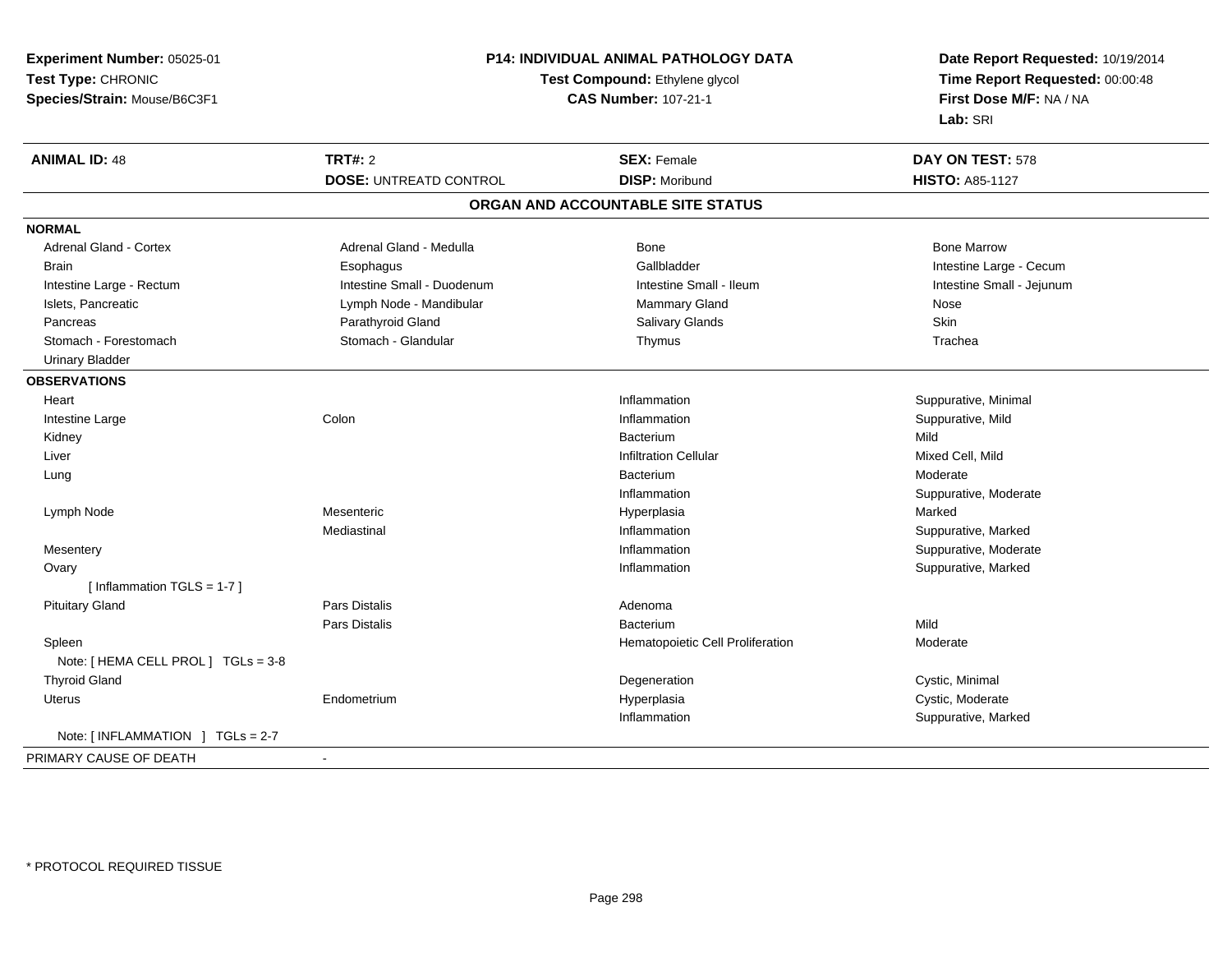| Experiment Number: 05025-01         | P14: INDIVIDUAL ANIMAL PATHOLOGY DATA<br>Test Compound: Ethylene glycol<br><b>CAS Number: 107-21-1</b> |                                   | Date Report Requested: 10/19/2014<br>Time Report Requested: 00:00:48<br>First Dose M/F: NA / NA |  |
|-------------------------------------|--------------------------------------------------------------------------------------------------------|-----------------------------------|-------------------------------------------------------------------------------------------------|--|
| Test Type: CHRONIC                  |                                                                                                        |                                   |                                                                                                 |  |
| Species/Strain: Mouse/B6C3F1        |                                                                                                        |                                   |                                                                                                 |  |
|                                     |                                                                                                        |                                   | Lab: SRI                                                                                        |  |
| <b>ANIMAL ID: 48</b>                | <b>TRT#: 2</b>                                                                                         | <b>SEX: Female</b>                | DAY ON TEST: 578                                                                                |  |
|                                     | <b>DOSE: UNTREATD CONTROL</b>                                                                          | <b>DISP: Moribund</b>             | <b>HISTO: A85-1127</b>                                                                          |  |
|                                     |                                                                                                        | ORGAN AND ACCOUNTABLE SITE STATUS |                                                                                                 |  |
| <b>NORMAL</b>                       |                                                                                                        |                                   |                                                                                                 |  |
| <b>Adrenal Gland - Cortex</b>       | Adrenal Gland - Medulla                                                                                | <b>Bone</b>                       | <b>Bone Marrow</b>                                                                              |  |
| <b>Brain</b>                        | Esophagus                                                                                              | Gallbladder                       | Intestine Large - Cecum                                                                         |  |
| Intestine Large - Rectum            | Intestine Small - Duodenum                                                                             | Intestine Small - Ileum           | Intestine Small - Jejunum                                                                       |  |
| Islets, Pancreatic                  | Lymph Node - Mandibular                                                                                | Mammary Gland                     | Nose                                                                                            |  |
| Pancreas                            | Parathyroid Gland                                                                                      | Salivary Glands                   | Skin                                                                                            |  |
| Stomach - Forestomach               | Stomach - Glandular                                                                                    | Thymus                            | Trachea                                                                                         |  |
| <b>Urinary Bladder</b>              |                                                                                                        |                                   |                                                                                                 |  |
| <b>OBSERVATIONS</b>                 |                                                                                                        |                                   |                                                                                                 |  |
| Heart                               |                                                                                                        | Inflammation                      | Suppurative, Minimal                                                                            |  |
| Intestine Large                     | Colon                                                                                                  | Inflammation                      | Suppurative, Mild                                                                               |  |
| Kidney                              |                                                                                                        | Bacterium                         | Mild                                                                                            |  |
| Liver                               |                                                                                                        | <b>Infiltration Cellular</b>      | Mixed Cell, Mild                                                                                |  |
| Lung                                |                                                                                                        | Bacterium                         | Moderate                                                                                        |  |
|                                     |                                                                                                        | Inflammation                      | Suppurative, Moderate                                                                           |  |
| Lymph Node                          | Mesenteric                                                                                             | Hyperplasia                       | Marked                                                                                          |  |
|                                     | Mediastinal                                                                                            | Inflammation                      | Suppurative, Marked                                                                             |  |
| Mesentery                           |                                                                                                        | Inflammation                      | Suppurative, Moderate                                                                           |  |
| Ovary                               |                                                                                                        | Inflammation                      | Suppurative, Marked                                                                             |  |
| [Inflammation TGLS = $1-7$ ]        |                                                                                                        |                                   |                                                                                                 |  |
| <b>Pituitary Gland</b>              | Pars Distalis                                                                                          | Adenoma                           |                                                                                                 |  |
|                                     | Pars Distalis                                                                                          | Bacterium                         | Mild                                                                                            |  |
| Spleen                              |                                                                                                        | Hematopoietic Cell Proliferation  | Moderate                                                                                        |  |
| Note: [ HEMA CELL PROL ] TGLs = 3-8 |                                                                                                        |                                   |                                                                                                 |  |
| <b>Thyroid Gland</b>                |                                                                                                        | Degeneration                      | Cystic, Minimal                                                                                 |  |
| Uterus                              | Endometrium                                                                                            | Hyperplasia                       | Cystic, Moderate                                                                                |  |
|                                     |                                                                                                        | Inflammation                      | Suppurative, Marked                                                                             |  |
| Note: [INFLAMMATION ] TGLs = 2-7    |                                                                                                        |                                   |                                                                                                 |  |
| PRIMARY CAUSE OF DEATH              | $\blacksquare$                                                                                         |                                   |                                                                                                 |  |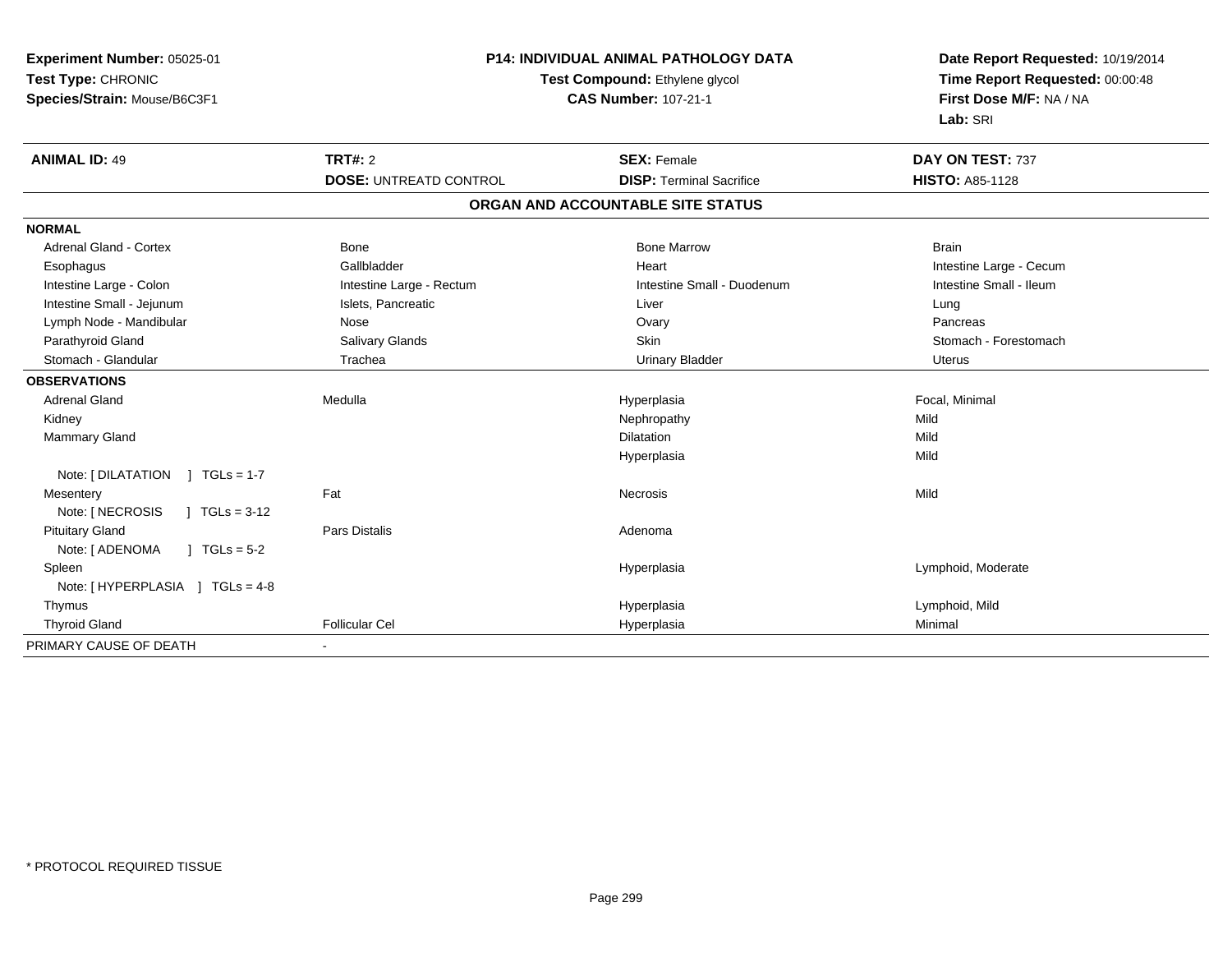| Experiment Number: 05025-01<br>Test Type: CHRONIC<br>Species/Strain: Mouse/B6C3F1 | P14: INDIVIDUAL ANIMAL PATHOLOGY DATA<br>Test Compound: Ethylene glycol<br><b>CAS Number: 107-21-1</b> |                                   | Date Report Requested: 10/19/2014<br>Time Report Requested: 00:00:48<br>First Dose M/F: NA / NA<br>Lab: SRI |  |
|-----------------------------------------------------------------------------------|--------------------------------------------------------------------------------------------------------|-----------------------------------|-------------------------------------------------------------------------------------------------------------|--|
| <b>ANIMAL ID: 49</b>                                                              | <b>TRT#: 2</b>                                                                                         | <b>SEX: Female</b>                | DAY ON TEST: 737                                                                                            |  |
|                                                                                   | <b>DOSE: UNTREATD CONTROL</b>                                                                          | <b>DISP: Terminal Sacrifice</b>   | <b>HISTO: A85-1128</b>                                                                                      |  |
|                                                                                   |                                                                                                        | ORGAN AND ACCOUNTABLE SITE STATUS |                                                                                                             |  |
| <b>NORMAL</b>                                                                     |                                                                                                        |                                   |                                                                                                             |  |
| Adrenal Gland - Cortex                                                            | Bone                                                                                                   | <b>Bone Marrow</b>                | <b>Brain</b>                                                                                                |  |
| Esophagus                                                                         | Gallbladder                                                                                            | Heart                             | Intestine Large - Cecum                                                                                     |  |
| Intestine Large - Colon                                                           | Intestine Large - Rectum                                                                               | Intestine Small - Duodenum        | Intestine Small - Ileum                                                                                     |  |
| Intestine Small - Jejunum                                                         | Islets, Pancreatic                                                                                     | Liver                             | Lung                                                                                                        |  |
| Lymph Node - Mandibular                                                           | Nose                                                                                                   | Ovary                             | Pancreas                                                                                                    |  |
| Parathyroid Gland                                                                 | Salivary Glands                                                                                        | Skin                              | Stomach - Forestomach                                                                                       |  |
| Stomach - Glandular                                                               | Trachea                                                                                                | <b>Urinary Bladder</b>            | Uterus                                                                                                      |  |
| <b>OBSERVATIONS</b>                                                               |                                                                                                        |                                   |                                                                                                             |  |
| <b>Adrenal Gland</b>                                                              | Medulla                                                                                                | Hyperplasia                       | Focal, Minimal                                                                                              |  |
| Kidney                                                                            |                                                                                                        | Nephropathy                       | Mild                                                                                                        |  |
| <b>Mammary Gland</b>                                                              |                                                                                                        | Dilatation                        | Mild                                                                                                        |  |
|                                                                                   |                                                                                                        | Hyperplasia                       | Mild                                                                                                        |  |
| Note: [ DILATATION<br>] $TGLs = 1-7$                                              |                                                                                                        |                                   |                                                                                                             |  |
| Mesentery                                                                         | Fat                                                                                                    | <b>Necrosis</b>                   | Mild                                                                                                        |  |
| Note: [ NECROSIS<br>$\sqrt{1}$ TGLs = 3-12                                        |                                                                                                        |                                   |                                                                                                             |  |
| <b>Pituitary Gland</b>                                                            | <b>Pars Distalis</b>                                                                                   | Adenoma                           |                                                                                                             |  |
| Note: [ ADENOMA<br>$1 TGLs = 5-2$                                                 |                                                                                                        |                                   |                                                                                                             |  |
| Spleen                                                                            |                                                                                                        | Hyperplasia                       | Lymphoid, Moderate                                                                                          |  |
| Note: [HYPERPLASIA ] TGLs = 4-8                                                   |                                                                                                        |                                   |                                                                                                             |  |
| Thymus                                                                            |                                                                                                        | Hyperplasia                       | Lymphoid, Mild                                                                                              |  |
| <b>Thyroid Gland</b>                                                              | <b>Follicular Cel</b>                                                                                  | Hyperplasia                       | Minimal                                                                                                     |  |
| PRIMARY CAUSE OF DEATH                                                            | $\blacksquare$                                                                                         |                                   |                                                                                                             |  |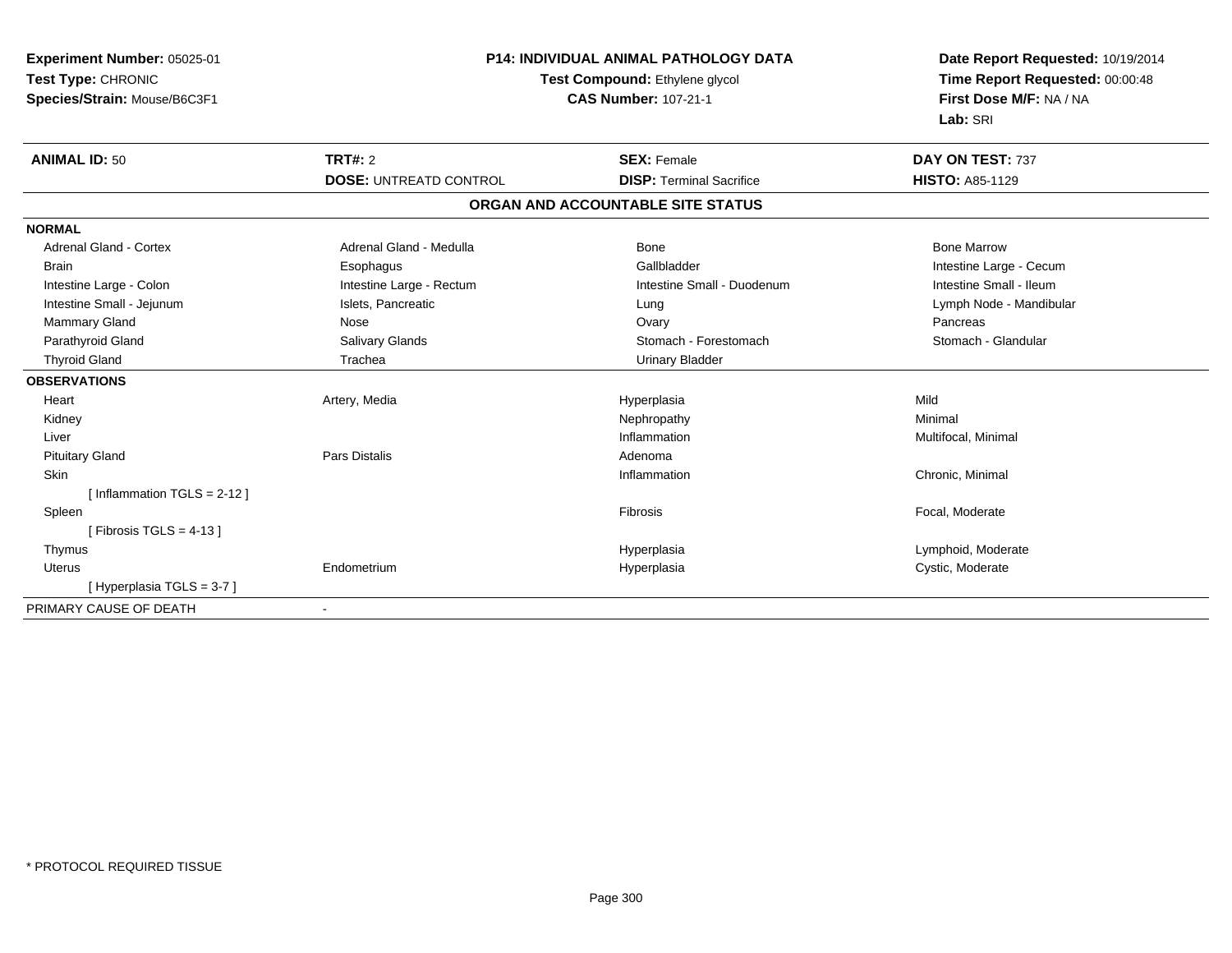| Experiment Number: 05025-01<br>Test Type: CHRONIC<br>Species/Strain: Mouse/B6C3F1                                                                                   | <b>P14: INDIVIDUAL ANIMAL PATHOLOGY DATA</b><br>Test Compound: Ethylene glycol<br><b>CAS Number: 107-21-1</b>                |                                                                                                                       | Date Report Requested: 10/19/2014<br>Time Report Requested: 00:00:48<br>First Dose M/F: NA / NA<br>Lab: SRI                            |  |
|---------------------------------------------------------------------------------------------------------------------------------------------------------------------|------------------------------------------------------------------------------------------------------------------------------|-----------------------------------------------------------------------------------------------------------------------|----------------------------------------------------------------------------------------------------------------------------------------|--|
| <b>ANIMAL ID: 50</b>                                                                                                                                                | <b>TRT#: 2</b><br><b>DOSE: UNTREATD CONTROL</b>                                                                              | <b>SEX: Female</b><br><b>DISP: Terminal Sacrifice</b>                                                                 | DAY ON TEST: 737<br><b>HISTO: A85-1129</b>                                                                                             |  |
|                                                                                                                                                                     |                                                                                                                              | ORGAN AND ACCOUNTABLE SITE STATUS                                                                                     |                                                                                                                                        |  |
| <b>NORMAL</b>                                                                                                                                                       |                                                                                                                              |                                                                                                                       |                                                                                                                                        |  |
| <b>Adrenal Gland - Cortex</b><br><b>Brain</b><br>Intestine Large - Colon<br>Intestine Small - Jejunum<br>Mammary Gland<br>Parathyroid Gland<br><b>Thyroid Gland</b> | Adrenal Gland - Medulla<br>Esophagus<br>Intestine Large - Rectum<br>Islets, Pancreatic<br>Nose<br>Salivary Glands<br>Trachea | Bone<br>Gallbladder<br>Intestine Small - Duodenum<br>Lung<br>Ovary<br>Stomach - Forestomach<br><b>Urinary Bladder</b> | <b>Bone Marrow</b><br>Intestine Large - Cecum<br>Intestine Small - Ileum<br>Lymph Node - Mandibular<br>Pancreas<br>Stomach - Glandular |  |
| <b>OBSERVATIONS</b><br>Heart<br>Kidney<br>Liver<br><b>Pituitary Gland</b>                                                                                           | Artery, Media<br><b>Pars Distalis</b>                                                                                        | Hyperplasia<br>Nephropathy<br>Inflammation<br>Adenoma                                                                 | Mild<br>Minimal<br>Multifocal, Minimal                                                                                                 |  |
| Skin<br>[Inflammation $TGLS = 2-12$ ]<br>Spleen<br>[Fibrosis TGLS = $4-13$ ]                                                                                        |                                                                                                                              | Inflammation<br>Fibrosis                                                                                              | Chronic, Minimal<br>Focal, Moderate                                                                                                    |  |
| Thymus<br><b>Uterus</b><br>[Hyperplasia TGLS = 3-7]                                                                                                                 | Endometrium                                                                                                                  | Hyperplasia<br>Hyperplasia                                                                                            | Lymphoid, Moderate<br>Cystic, Moderate                                                                                                 |  |
| PRIMARY CAUSE OF DEATH                                                                                                                                              | $\overline{\phantom{a}}$                                                                                                     |                                                                                                                       |                                                                                                                                        |  |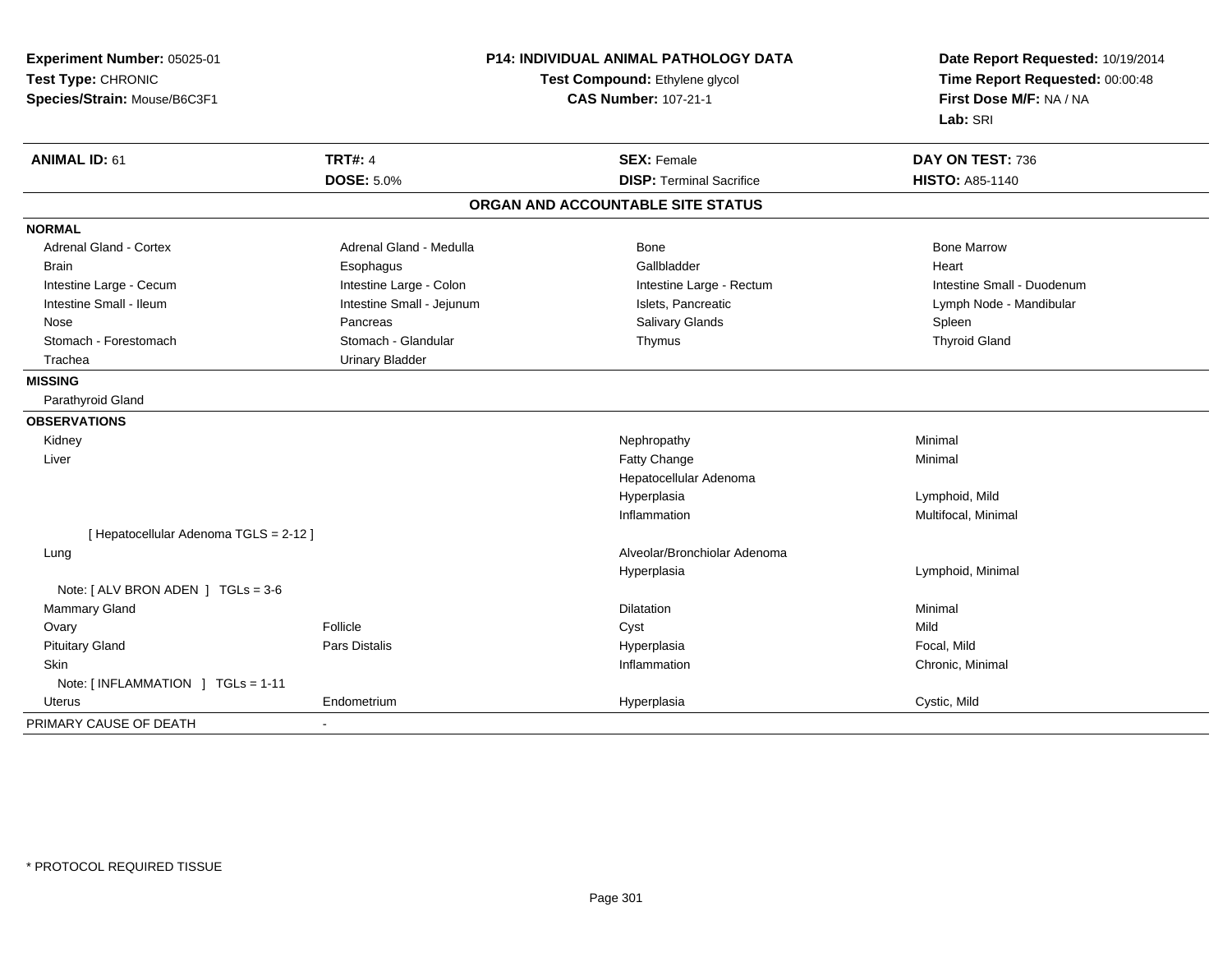| Experiment Number: 05025-01<br>Test Type: CHRONIC<br>Species/Strain: Mouse/B6C3F1 |                           | <b>P14: INDIVIDUAL ANIMAL PATHOLOGY DATA</b><br>Test Compound: Ethylene glycol<br><b>CAS Number: 107-21-1</b> | Date Report Requested: 10/19/2014<br>Time Report Requested: 00:00:48<br>First Dose M/F: NA / NA<br>Lab: SRI |
|-----------------------------------------------------------------------------------|---------------------------|---------------------------------------------------------------------------------------------------------------|-------------------------------------------------------------------------------------------------------------|
| <b>ANIMAL ID: 61</b>                                                              | <b>TRT#: 4</b>            | <b>SEX: Female</b>                                                                                            | DAY ON TEST: 736                                                                                            |
|                                                                                   | <b>DOSE: 5.0%</b>         | <b>DISP: Terminal Sacrifice</b>                                                                               | HISTO: A85-1140                                                                                             |
|                                                                                   |                           | ORGAN AND ACCOUNTABLE SITE STATUS                                                                             |                                                                                                             |
| <b>NORMAL</b>                                                                     |                           |                                                                                                               |                                                                                                             |
| Adrenal Gland - Cortex                                                            | Adrenal Gland - Medulla   | Bone                                                                                                          | <b>Bone Marrow</b>                                                                                          |
| Brain                                                                             | Esophagus                 | Gallbladder                                                                                                   | Heart                                                                                                       |
| Intestine Large - Cecum                                                           | Intestine Large - Colon   | Intestine Large - Rectum                                                                                      | Intestine Small - Duodenum                                                                                  |
| Intestine Small - Ileum                                                           | Intestine Small - Jejunum | Islets, Pancreatic                                                                                            | Lymph Node - Mandibular                                                                                     |
| Nose                                                                              | Pancreas                  | Salivary Glands                                                                                               | Spleen                                                                                                      |
| Stomach - Forestomach                                                             | Stomach - Glandular       | Thymus                                                                                                        | <b>Thyroid Gland</b>                                                                                        |
| Trachea                                                                           | <b>Urinary Bladder</b>    |                                                                                                               |                                                                                                             |
| <b>MISSING</b>                                                                    |                           |                                                                                                               |                                                                                                             |
| Parathyroid Gland                                                                 |                           |                                                                                                               |                                                                                                             |
| <b>OBSERVATIONS</b>                                                               |                           |                                                                                                               |                                                                                                             |
| Kidney                                                                            |                           | Nephropathy                                                                                                   | Minimal                                                                                                     |
| Liver                                                                             |                           | Fatty Change                                                                                                  | Minimal                                                                                                     |
|                                                                                   |                           | Hepatocellular Adenoma                                                                                        |                                                                                                             |
|                                                                                   |                           | Hyperplasia                                                                                                   | Lymphoid, Mild                                                                                              |
|                                                                                   |                           | Inflammation                                                                                                  | Multifocal, Minimal                                                                                         |
| [ Hepatocellular Adenoma TGLS = 2-12 ]                                            |                           |                                                                                                               |                                                                                                             |
| Lung                                                                              |                           | Alveolar/Bronchiolar Adenoma                                                                                  |                                                                                                             |
|                                                                                   |                           | Hyperplasia                                                                                                   | Lymphoid, Minimal                                                                                           |
| Note: [ ALV BRON ADEN ] TGLs = 3-6                                                |                           |                                                                                                               |                                                                                                             |
| Mammary Gland                                                                     |                           | Dilatation                                                                                                    | Minimal                                                                                                     |
| Ovary                                                                             | Follicle                  | Cyst                                                                                                          | Mild                                                                                                        |
| <b>Pituitary Gland</b>                                                            | Pars Distalis             | Hyperplasia                                                                                                   | Focal, Mild                                                                                                 |
| Skin                                                                              |                           | Inflammation                                                                                                  | Chronic, Minimal                                                                                            |
| Note: $\lceil$ INFLAMMATION $\lceil$ TGLs = 1-11                                  |                           |                                                                                                               |                                                                                                             |
| Uterus                                                                            | Endometrium               | Hyperplasia                                                                                                   | Cystic, Mild                                                                                                |
| PRIMARY CAUSE OF DEATH                                                            |                           |                                                                                                               |                                                                                                             |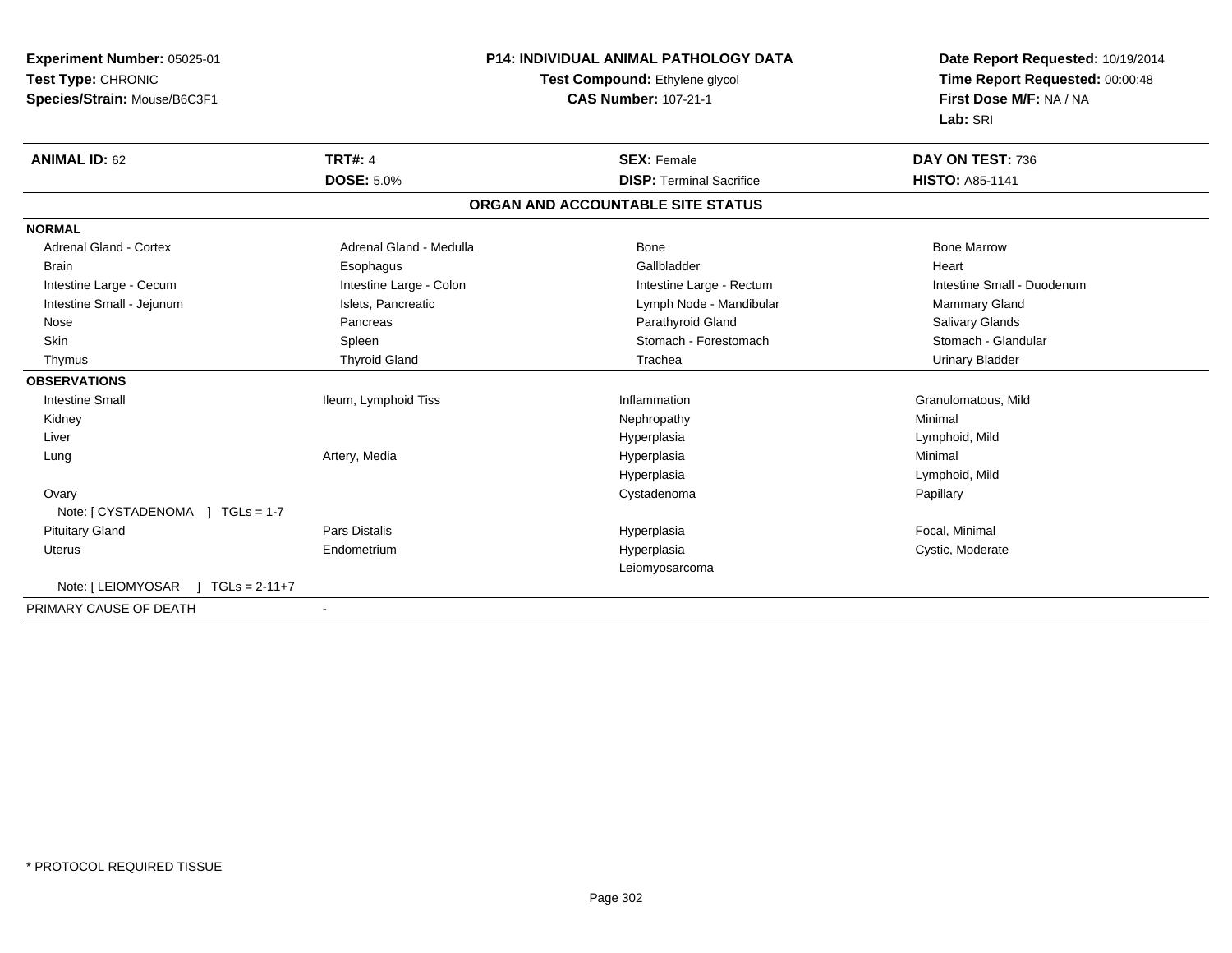| Experiment Number: 05025-01                     | <b>P14: INDIVIDUAL ANIMAL PATHOLOGY DATA</b><br>Test Compound: Ethylene glycol |                                   | Date Report Requested: 10/19/2014 |  |
|-------------------------------------------------|--------------------------------------------------------------------------------|-----------------------------------|-----------------------------------|--|
| Test Type: CHRONIC                              |                                                                                |                                   | Time Report Requested: 00:00:48   |  |
| Species/Strain: Mouse/B6C3F1                    | <b>CAS Number: 107-21-1</b>                                                    |                                   | First Dose M/F: NA / NA           |  |
|                                                 |                                                                                |                                   | Lab: SRI                          |  |
| <b>ANIMAL ID: 62</b>                            | <b>TRT#: 4</b>                                                                 | <b>SEX: Female</b>                | DAY ON TEST: 736                  |  |
|                                                 | <b>DOSE: 5.0%</b>                                                              | <b>DISP: Terminal Sacrifice</b>   | <b>HISTO: A85-1141</b>            |  |
|                                                 |                                                                                | ORGAN AND ACCOUNTABLE SITE STATUS |                                   |  |
| <b>NORMAL</b>                                   |                                                                                |                                   |                                   |  |
| <b>Adrenal Gland - Cortex</b>                   | Adrenal Gland - Medulla                                                        | Bone                              | <b>Bone Marrow</b>                |  |
| <b>Brain</b>                                    | Esophagus                                                                      | Gallbladder                       | Heart                             |  |
| Intestine Large - Cecum                         | Intestine Large - Colon                                                        | Intestine Large - Rectum          | Intestine Small - Duodenum        |  |
| Intestine Small - Jejunum                       | Islets, Pancreatic                                                             | Lymph Node - Mandibular           | <b>Mammary Gland</b>              |  |
| Nose                                            | Pancreas                                                                       | Parathyroid Gland                 | Salivary Glands                   |  |
| Skin                                            | Spleen                                                                         | Stomach - Forestomach             | Stomach - Glandular               |  |
| Thymus                                          | <b>Thyroid Gland</b>                                                           | Trachea                           | <b>Urinary Bladder</b>            |  |
| <b>OBSERVATIONS</b>                             |                                                                                |                                   |                                   |  |
| <b>Intestine Small</b>                          | Ileum, Lymphoid Tiss                                                           | Inflammation                      | Granulomatous, Mild               |  |
| Kidney                                          |                                                                                | Nephropathy                       | Minimal                           |  |
| Liver                                           |                                                                                | Hyperplasia                       | Lymphoid, Mild                    |  |
| Lung                                            | Artery, Media                                                                  | Hyperplasia                       | Minimal                           |  |
|                                                 |                                                                                | Hyperplasia                       | Lymphoid, Mild                    |  |
| Ovary                                           |                                                                                | Cystadenoma                       | Papillary                         |  |
|                                                 |                                                                                |                                   |                                   |  |
| <b>Pituitary Gland</b>                          | <b>Pars Distalis</b>                                                           | Hyperplasia                       | Focal, Minimal                    |  |
| Uterus                                          | Endometrium                                                                    | Hyperplasia                       | Cystic, Moderate                  |  |
|                                                 |                                                                                | Leiomyosarcoma                    |                                   |  |
| Note: [ LEIOMYOSAR<br>$1 \text{ TGLs} = 2-11+7$ |                                                                                |                                   |                                   |  |
| PRIMARY CAUSE OF DEATH                          |                                                                                |                                   |                                   |  |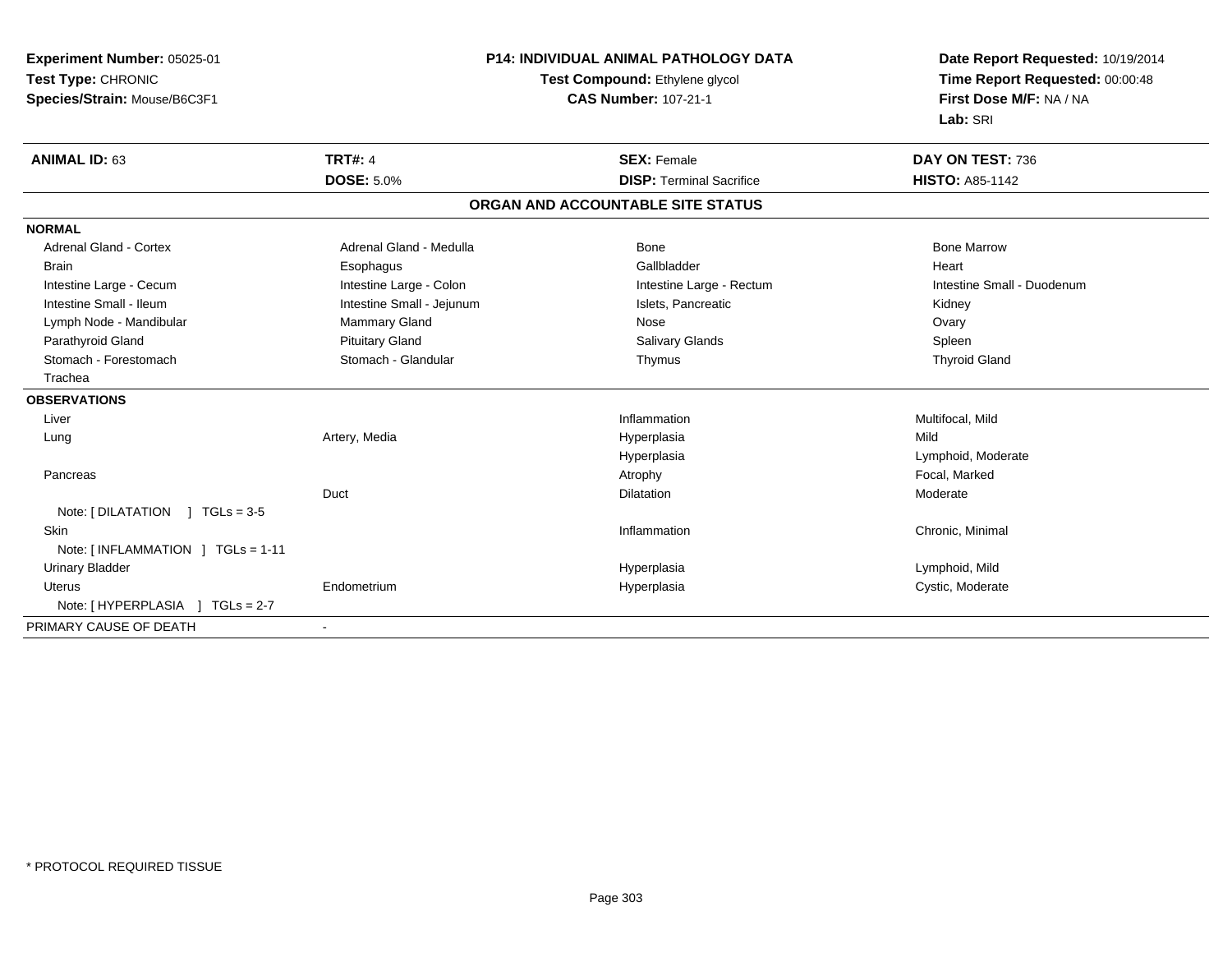| <b>Experiment Number: 05025-01</b> | <b>P14: INDIVIDUAL ANIMAL PATHOLOGY DATA</b> |                                   | Date Report Requested: 10/19/2014 |  |
|------------------------------------|----------------------------------------------|-----------------------------------|-----------------------------------|--|
| Test Type: CHRONIC                 |                                              | Test Compound: Ethylene glycol    | Time Report Requested: 00:00:48   |  |
| Species/Strain: Mouse/B6C3F1       | <b>CAS Number: 107-21-1</b>                  |                                   | First Dose M/F: NA / NA           |  |
|                                    |                                              |                                   | Lab: SRI                          |  |
| <b>ANIMAL ID: 63</b>               | <b>TRT#: 4</b>                               | <b>SEX: Female</b>                | DAY ON TEST: 736                  |  |
|                                    | <b>DOSE: 5.0%</b>                            | <b>DISP: Terminal Sacrifice</b>   | <b>HISTO: A85-1142</b>            |  |
|                                    |                                              | ORGAN AND ACCOUNTABLE SITE STATUS |                                   |  |
| <b>NORMAL</b>                      |                                              |                                   |                                   |  |
| <b>Adrenal Gland - Cortex</b>      | Adrenal Gland - Medulla                      | Bone                              | <b>Bone Marrow</b>                |  |
| <b>Brain</b>                       | Esophagus                                    | Gallbladder                       | Heart                             |  |
| Intestine Large - Cecum            | Intestine Large - Colon                      | Intestine Large - Rectum          | Intestine Small - Duodenum        |  |
| Intestine Small - Ileum            | Intestine Small - Jejunum                    | Islets, Pancreatic                | Kidney                            |  |
| Lymph Node - Mandibular            | Mammary Gland                                | Nose                              | Ovary                             |  |
| Parathyroid Gland                  | <b>Pituitary Gland</b>                       | <b>Salivary Glands</b>            | Spleen                            |  |
| Stomach - Forestomach              | Stomach - Glandular                          | Thymus                            | <b>Thyroid Gland</b>              |  |
| Trachea                            |                                              |                                   |                                   |  |
| <b>OBSERVATIONS</b>                |                                              |                                   |                                   |  |
| Liver                              |                                              | Inflammation                      | Multifocal, Mild                  |  |
| Lung                               | Artery, Media                                | Hyperplasia                       | Mild                              |  |
|                                    |                                              | Hyperplasia                       | Lymphoid, Moderate                |  |
| Pancreas                           |                                              | Atrophy                           | Focal, Marked                     |  |
|                                    | Duct                                         | <b>Dilatation</b>                 | Moderate                          |  |
| Note: $[DILATATION] TGLs = 3-5$    |                                              |                                   |                                   |  |
| Skin                               |                                              | Inflammation                      | Chronic, Minimal                  |  |
| Note: [ INFLAMMATION ] TGLs = 1-11 |                                              |                                   |                                   |  |
| <b>Urinary Bladder</b>             |                                              | Hyperplasia                       | Lymphoid, Mild                    |  |
| <b>Uterus</b>                      | Endometrium                                  | Hyperplasia                       | Cystic, Moderate                  |  |
|                                    |                                              |                                   |                                   |  |
| PRIMARY CAUSE OF DEATH             | $\blacksquare$                               |                                   |                                   |  |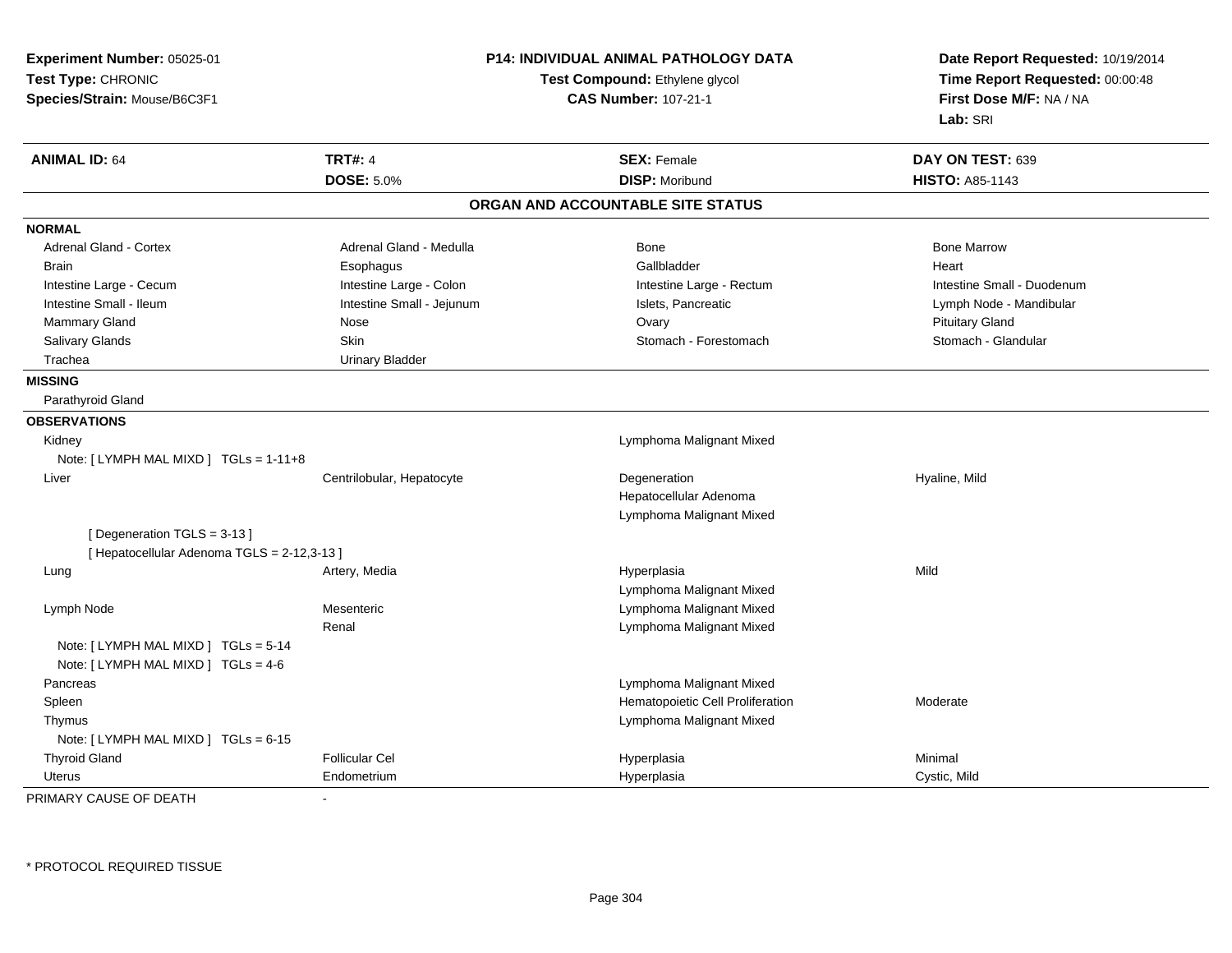| Experiment Number: 05025-01                 | P14: INDIVIDUAL ANIMAL PATHOLOGY DATA<br>Test Compound: Ethylene glycol |                                   | Date Report Requested: 10/19/2014<br>Time Report Requested: 00:00:48 |  |
|---------------------------------------------|-------------------------------------------------------------------------|-----------------------------------|----------------------------------------------------------------------|--|
| Test Type: CHRONIC                          |                                                                         |                                   |                                                                      |  |
| Species/Strain: Mouse/B6C3F1                |                                                                         | <b>CAS Number: 107-21-1</b>       | First Dose M/F: NA / NA                                              |  |
|                                             |                                                                         |                                   | Lab: SRI                                                             |  |
| <b>ANIMAL ID: 64</b>                        | <b>TRT#: 4</b>                                                          | <b>SEX: Female</b>                | DAY ON TEST: 639                                                     |  |
|                                             | <b>DOSE: 5.0%</b>                                                       | <b>DISP: Moribund</b>             | <b>HISTO: A85-1143</b>                                               |  |
|                                             |                                                                         | ORGAN AND ACCOUNTABLE SITE STATUS |                                                                      |  |
| <b>NORMAL</b>                               |                                                                         |                                   |                                                                      |  |
| Adrenal Gland - Cortex                      | Adrenal Gland - Medulla                                                 | Bone                              | <b>Bone Marrow</b>                                                   |  |
| <b>Brain</b>                                | Esophagus                                                               | Gallbladder                       | Heart                                                                |  |
| Intestine Large - Cecum                     | Intestine Large - Colon                                                 | Intestine Large - Rectum          | Intestine Small - Duodenum                                           |  |
| Intestine Small - Ileum                     | Intestine Small - Jejunum                                               | Islets, Pancreatic                | Lymph Node - Mandibular                                              |  |
| Mammary Gland                               | Nose                                                                    | Ovary                             | <b>Pituitary Gland</b>                                               |  |
| Salivary Glands                             | Skin                                                                    | Stomach - Forestomach             | Stomach - Glandular                                                  |  |
| Trachea                                     | <b>Urinary Bladder</b>                                                  |                                   |                                                                      |  |
| <b>MISSING</b>                              |                                                                         |                                   |                                                                      |  |
| Parathyroid Gland                           |                                                                         |                                   |                                                                      |  |
| <b>OBSERVATIONS</b>                         |                                                                         |                                   |                                                                      |  |
| Kidney                                      |                                                                         | Lymphoma Malignant Mixed          |                                                                      |  |
| Note: [ LYMPH MAL MIXD ] TGLs = 1-11+8      |                                                                         |                                   |                                                                      |  |
| Liver                                       | Centrilobular, Hepatocyte                                               | Degeneration                      | Hyaline, Mild                                                        |  |
|                                             |                                                                         | Hepatocellular Adenoma            |                                                                      |  |
|                                             |                                                                         | Lymphoma Malignant Mixed          |                                                                      |  |
| [Degeneration TGLS = 3-13]                  |                                                                         |                                   |                                                                      |  |
| [ Hepatocellular Adenoma TGLS = 2-12,3-13 ] |                                                                         |                                   |                                                                      |  |
| Lung                                        | Artery, Media                                                           | Hyperplasia                       | Mild                                                                 |  |
|                                             |                                                                         | Lymphoma Malignant Mixed          |                                                                      |  |
| Lymph Node                                  | Mesenteric                                                              | Lymphoma Malignant Mixed          |                                                                      |  |
|                                             | Renal                                                                   | Lymphoma Malignant Mixed          |                                                                      |  |
| Note: [ LYMPH MAL MIXD ] TGLs = 5-14        |                                                                         |                                   |                                                                      |  |
| Note: [ LYMPH MAL MIXD ] TGLs = 4-6         |                                                                         |                                   |                                                                      |  |
| Pancreas                                    |                                                                         | Lymphoma Malignant Mixed          |                                                                      |  |
| Spleen                                      |                                                                         | Hematopoietic Cell Proliferation  | Moderate                                                             |  |
| Thymus                                      |                                                                         | Lymphoma Malignant Mixed          |                                                                      |  |
| Note: [LYMPH MAL MIXD ] TGLs = 6-15         |                                                                         |                                   |                                                                      |  |
| <b>Thyroid Gland</b>                        | <b>Follicular Cel</b>                                                   | Hyperplasia                       | Minimal                                                              |  |
| Uterus                                      | Endometrium                                                             | Hyperplasia                       | Cystic, Mild                                                         |  |

PRIMARY CAUSE OF DEATH-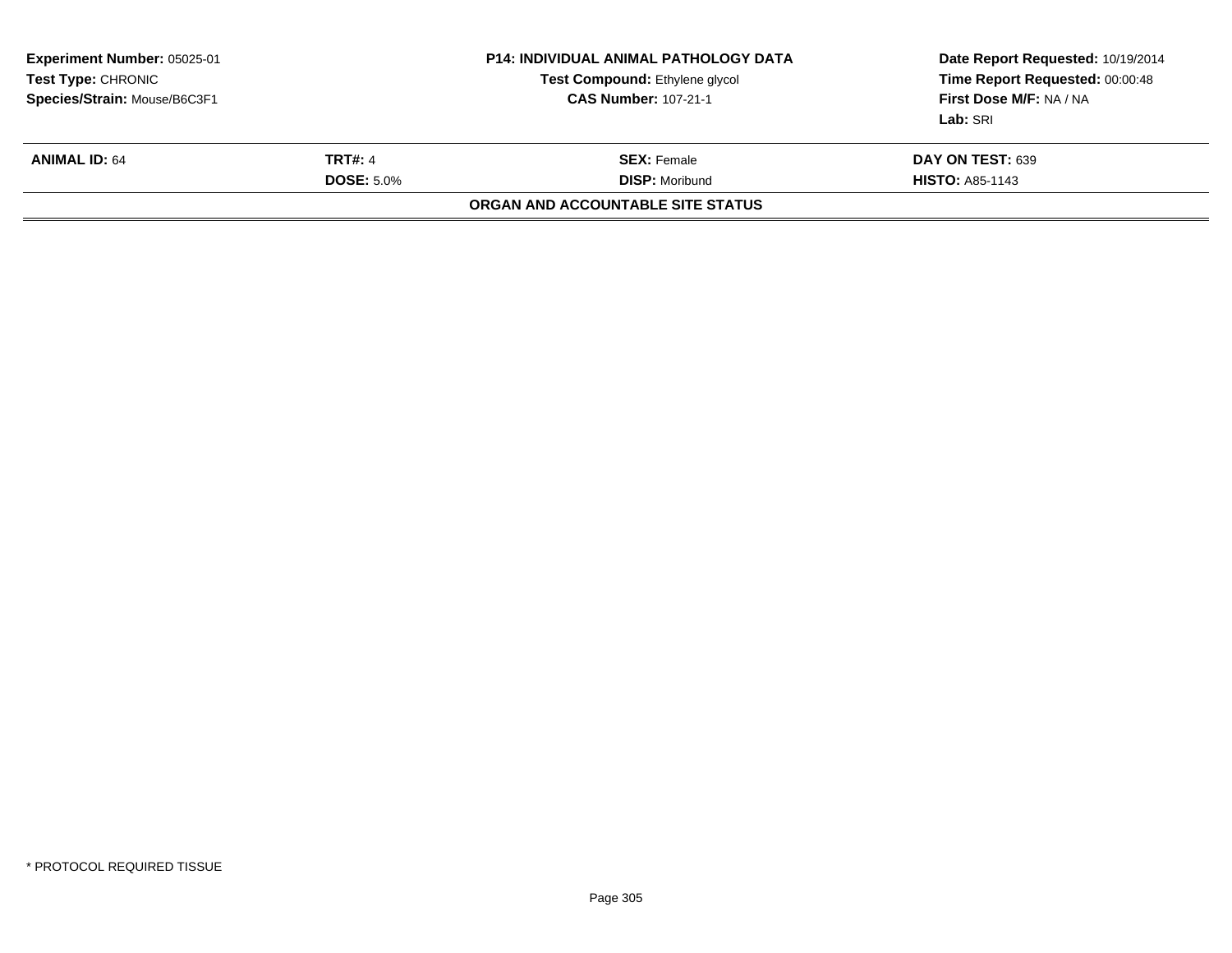| <b>Experiment Number: 05025-01</b><br><b>Test Type: CHRONIC</b><br>Species/Strain: Mouse/B6C3F1 |                                     | <b>P14: INDIVIDUAL ANIMAL PATHOLOGY DATA</b><br><b>Test Compound: Ethylene glycol</b><br><b>CAS Number: 107-21-1</b> | Date Report Requested: 10/19/2014<br>Time Report Requested: 00:00:48<br>First Dose M/F: NA / NA<br>Lab: SRI |
|-------------------------------------------------------------------------------------------------|-------------------------------------|----------------------------------------------------------------------------------------------------------------------|-------------------------------------------------------------------------------------------------------------|
| <b>ANIMAL ID: 64</b>                                                                            | <b>TRT#: 4</b><br><b>DOSE: 5.0%</b> | <b>SEX:</b> Female<br><b>DISP: Moribund</b><br>ORGAN AND ACCOUNTABLE SITE STATUS                                     | DAY ON TEST: 639<br><b>HISTO: A85-1143</b>                                                                  |
|                                                                                                 |                                     |                                                                                                                      |                                                                                                             |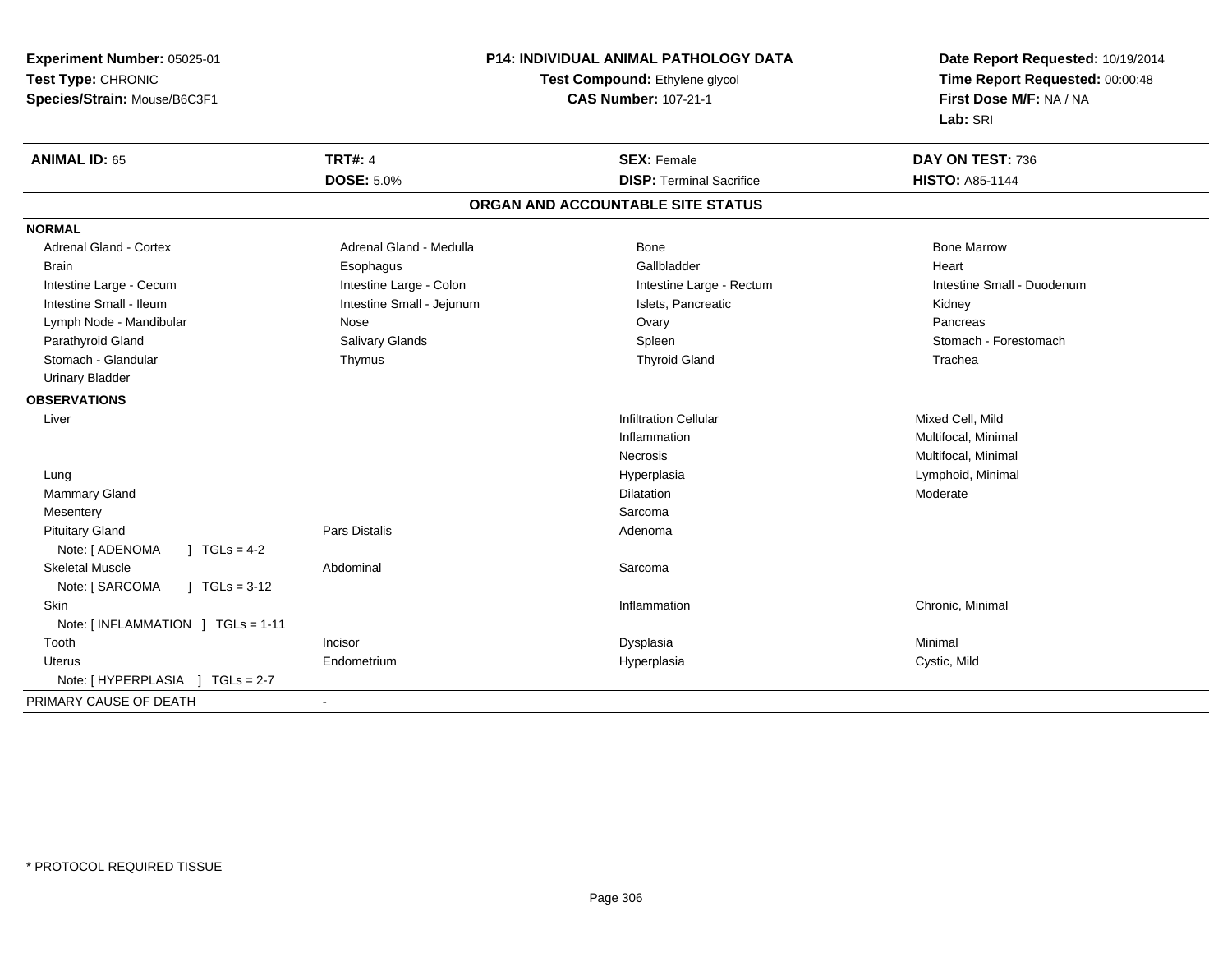| Experiment Number: 05025-01                          | <b>P14: INDIVIDUAL ANIMAL PATHOLOGY DATA</b> | Date Report Requested: 10/19/2014<br>Time Report Requested: 00:00:48<br>First Dose M/F: NA / NA |  |
|------------------------------------------------------|----------------------------------------------|-------------------------------------------------------------------------------------------------|--|
| Test Type: CHRONIC                                   | Test Compound: Ethylene glycol               |                                                                                                 |  |
| Species/Strain: Mouse/B6C3F1                         | <b>CAS Number: 107-21-1</b>                  |                                                                                                 |  |
|                                                      |                                              | Lab: SRI                                                                                        |  |
| <b>TRT#: 4</b><br><b>ANIMAL ID: 65</b>               | <b>SEX: Female</b>                           | DAY ON TEST: 736                                                                                |  |
| <b>DOSE: 5.0%</b>                                    | <b>DISP: Terminal Sacrifice</b>              | <b>HISTO: A85-1144</b>                                                                          |  |
|                                                      | ORGAN AND ACCOUNTABLE SITE STATUS            |                                                                                                 |  |
| <b>NORMAL</b>                                        |                                              |                                                                                                 |  |
| Adrenal Gland - Cortex<br>Adrenal Gland - Medulla    | Bone                                         | <b>Bone Marrow</b>                                                                              |  |
| <b>Brain</b><br>Esophagus                            | Gallbladder                                  | Heart                                                                                           |  |
| Intestine Large - Cecum<br>Intestine Large - Colon   | Intestine Large - Rectum                     | Intestine Small - Duodenum                                                                      |  |
| Intestine Small - Ileum<br>Intestine Small - Jejunum | Islets, Pancreatic                           | Kidney                                                                                          |  |
| Lymph Node - Mandibular<br>Nose                      | Ovary                                        | Pancreas                                                                                        |  |
| Parathyroid Gland<br><b>Salivary Glands</b>          | Spleen                                       | Stomach - Forestomach                                                                           |  |
| Stomach - Glandular<br>Thymus                        | <b>Thyroid Gland</b>                         | Trachea                                                                                         |  |
| <b>Urinary Bladder</b>                               |                                              |                                                                                                 |  |
| <b>OBSERVATIONS</b>                                  |                                              |                                                                                                 |  |
| Liver                                                | <b>Infiltration Cellular</b>                 | Mixed Cell, Mild                                                                                |  |
|                                                      | Inflammation                                 | Multifocal, Minimal                                                                             |  |
|                                                      | Necrosis                                     | Multifocal, Minimal                                                                             |  |
| Lung                                                 | Hyperplasia                                  | Lymphoid, Minimal                                                                               |  |
| Mammary Gland                                        | <b>Dilatation</b>                            | Moderate                                                                                        |  |
| Mesentery                                            | Sarcoma                                      |                                                                                                 |  |
| <b>Pituitary Gland</b><br><b>Pars Distalis</b>       | Adenoma                                      |                                                                                                 |  |
| Note: [ ADENOMA<br>$1 TGLs = 4-2$                    |                                              |                                                                                                 |  |
| <b>Skeletal Muscle</b><br>Abdominal                  | Sarcoma                                      |                                                                                                 |  |
| Note: [ SARCOMA<br>$1 TGLs = 3-12$                   |                                              |                                                                                                 |  |
| <b>Skin</b>                                          | Inflammation                                 | Chronic, Minimal                                                                                |  |
| Note: [INFLAMMATION ] TGLs = 1-11                    |                                              |                                                                                                 |  |
| Tooth<br>Incisor                                     | Dysplasia                                    | Minimal                                                                                         |  |
| Endometrium<br>Uterus                                | Hyperplasia                                  | Cystic, Mild                                                                                    |  |
|                                                      |                                              |                                                                                                 |  |
| PRIMARY CAUSE OF DEATH<br>$\sim$                     |                                              |                                                                                                 |  |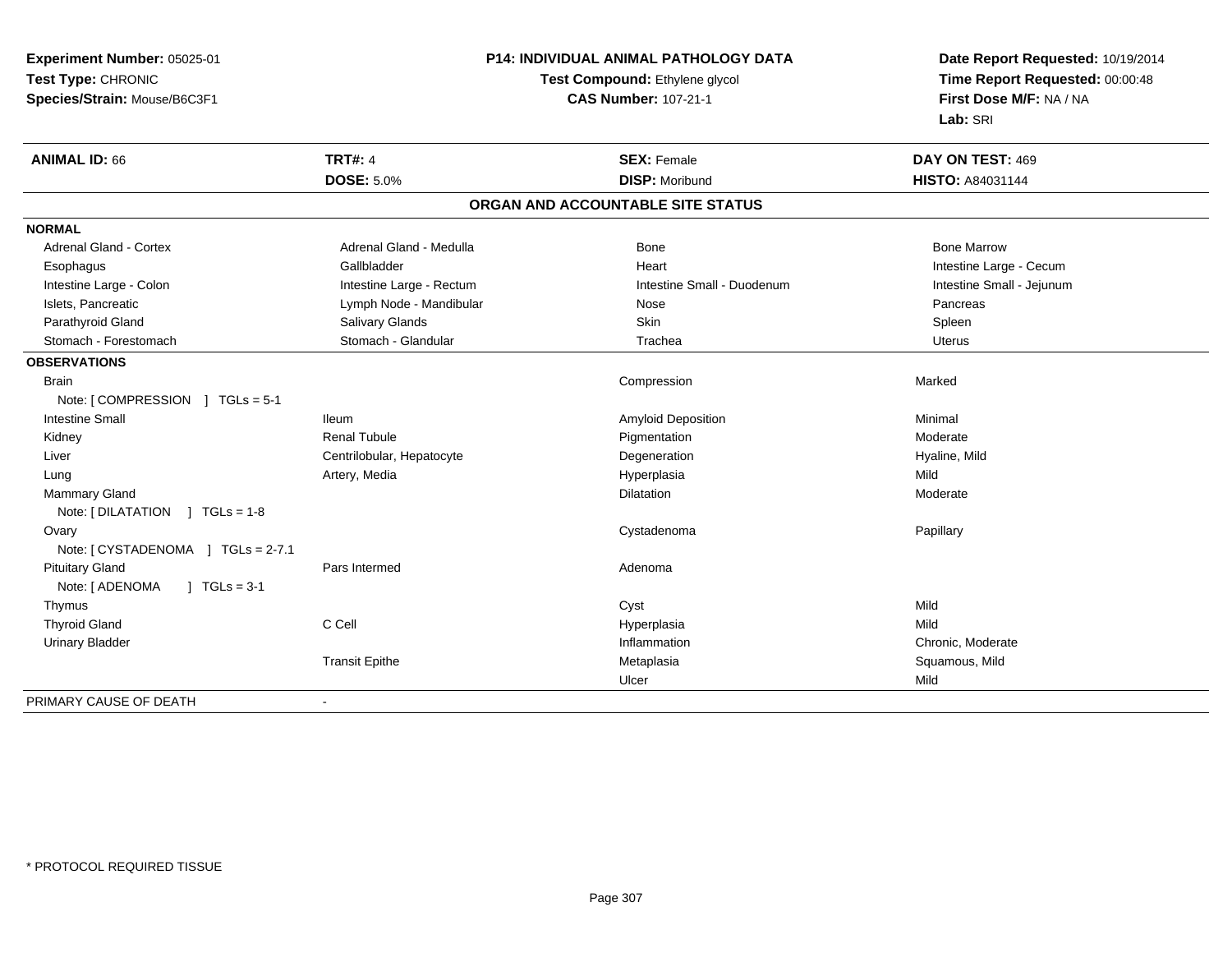**Experiment Number:** 05025-01**Test Type:** CHRONIC **Species/Strain:** Mouse/B6C3F1**P14: INDIVIDUAL ANIMAL PATHOLOGY DATATest Compound:** Ethylene glycol **CAS Number:** 107-21-1**Date Report Requested:** 10/19/2014**Time Report Requested:** 00:00:48**First Dose M/F:** NA / NA**Lab:** SRI**ANIMAL ID:** 66**TRT#:** 4 **SEX:** Female **DAY ON TEST:** 469 **DOSE:** 5.0%**DISP:** Moribund **HISTO:** A84031144 **ORGAN AND ACCOUNTABLE SITE STATUSNORMALAdrenal Gland - Cortex** Adrenal Gland - Medulla **Bone Adrenal Gland - Cortex Adrenal Gland - Cortex Adrenal Gland - Medulla** Bone Marrow Esophagus Gallbladder Gallbladder Annual Heart Heart Intestine Large - Cecum Intestine Small - Jejunum Intestine Large - Colon **Intestine Large - Rectum** Intestine Small - Duodenum Intestine Small - Duodenum Islets, Pancreatic **Notation Community Community** Lymph Node - Mandibular Nose Nose Pancreas Pancreas Parathyroid Gland Spleen (Suit and Salivary Glands School School School Skin Spleen Spleen Spleen Spleen Spleen **Uterus** Stomach - Forestomach **Stomach - Stomach - Glandular** Trachea Uterus - Trachea **OBSERVATIONS** Brainn and the compression of the compression of the compression of the compression of the compression of the compression Note: [ COMPRESSION ] TGLs = 5-1 Intestine Small IleumAmyloid Deposition and the control of the Minimal Minimal Moderate and Minimal Moderate and Minimal Moderate a<br>
Pigmentation Moderate and Minimal Moderate and Moderate and Minimal Moderate and Minimal Minimal Minimal Mini Kidney Renal Tubule Pigmentation Moderate Liver Centrilobular, Hepatocytee and the Degeneration description of the Hyaline, Mild Lung Artery, Media Hyperplasia Mild Mammary Glandd and the control of the control of the control of the Dilatation and the control of the Moderate of the control of the control of the control of the control of the control of the control of the control of the control of t Note: [ DILATATION ] TGLs = 1-8 Ovaryy the control of the control of the control of the control of the control of the control of the control of the control of the control of the control of the control of the control of the control of the control of the contro Cystadenoma **Papillary Papillary** Note: [ CYSTADENOMA ] TGLs = 2-7.1 Pituitary Glandd and a state of Pars Intermed and the extension of Adenoma Note: [ ADENOMA ] TGLs = 3-1 Thymuss the contract of the contract of the contract of the contract of the contract of the contract of the contract of the contract of the contract of the contract of the contract of the contract of the contract of the contract Mild Thyroid Gland C Cell Hyperplasia Mild Urinary Bladder Inflammation Chronic, Moderate Transit Epithe Metaplasia Squamous, Mild Ulcerr Mild PRIMARY CAUSE OF DEATH-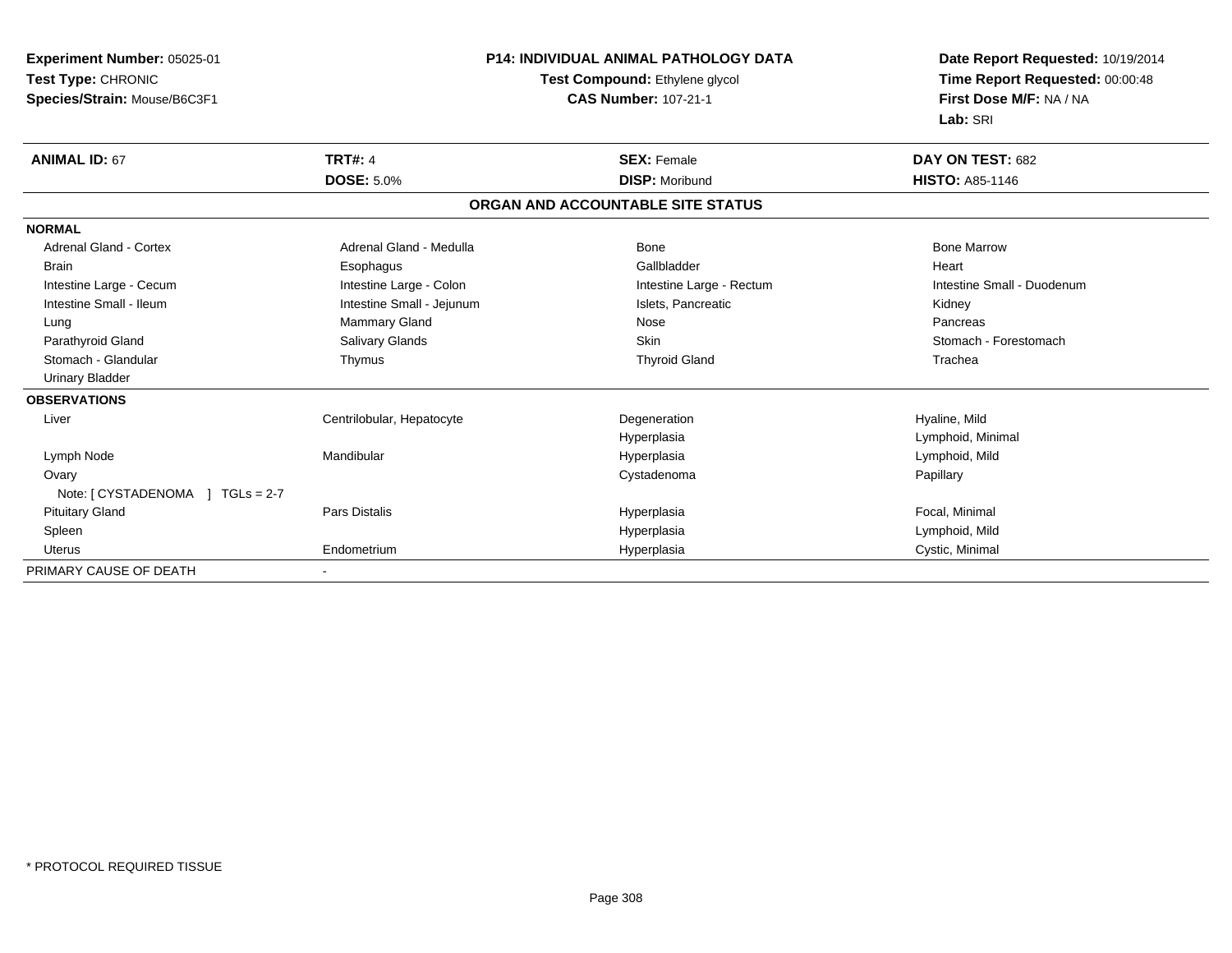| Experiment Number: 05025-01      | <b>P14: INDIVIDUAL ANIMAL PATHOLOGY DATA</b><br>Test Compound: Ethylene glycol |                                   | Date Report Requested: 10/19/2014 |  |
|----------------------------------|--------------------------------------------------------------------------------|-----------------------------------|-----------------------------------|--|
| Test Type: CHRONIC               |                                                                                |                                   | Time Report Requested: 00:00:48   |  |
| Species/Strain: Mouse/B6C3F1     |                                                                                | <b>CAS Number: 107-21-1</b>       | First Dose M/F: NA / NA           |  |
|                                  |                                                                                |                                   | Lab: SRI                          |  |
| <b>ANIMAL ID: 67</b>             | <b>TRT#: 4</b>                                                                 | <b>SEX: Female</b>                | DAY ON TEST: 682                  |  |
|                                  | <b>DOSE: 5.0%</b>                                                              | <b>DISP: Moribund</b>             | <b>HISTO: A85-1146</b>            |  |
|                                  |                                                                                | ORGAN AND ACCOUNTABLE SITE STATUS |                                   |  |
| <b>NORMAL</b>                    |                                                                                |                                   |                                   |  |
| <b>Adrenal Gland - Cortex</b>    | Adrenal Gland - Medulla                                                        | <b>Bone</b>                       | <b>Bone Marrow</b>                |  |
| <b>Brain</b>                     | Esophagus                                                                      | Gallbladder                       | Heart                             |  |
| Intestine Large - Cecum          | Intestine Large - Colon                                                        | Intestine Large - Rectum          | Intestine Small - Duodenum        |  |
| Intestine Small - Ileum          | Intestine Small - Jejunum                                                      | Islets, Pancreatic                | Kidney                            |  |
| Lung                             | <b>Mammary Gland</b>                                                           | Nose                              | Pancreas                          |  |
| Parathyroid Gland                | Salivary Glands                                                                | <b>Skin</b>                       | Stomach - Forestomach             |  |
| Stomach - Glandular              | Thymus                                                                         | <b>Thyroid Gland</b>              | Trachea                           |  |
| <b>Urinary Bladder</b>           |                                                                                |                                   |                                   |  |
| <b>OBSERVATIONS</b>              |                                                                                |                                   |                                   |  |
| Liver                            | Centrilobular, Hepatocyte                                                      | Degeneration                      | Hyaline, Mild                     |  |
|                                  |                                                                                | Hyperplasia                       | Lymphoid, Minimal                 |  |
| Lymph Node                       | Mandibular                                                                     | Hyperplasia                       | Lymphoid, Mild                    |  |
| Ovary                            |                                                                                | Cystadenoma                       | Papillary                         |  |
| Note: $[CYSTADENOMA] TGLs = 2-7$ |                                                                                |                                   |                                   |  |
| <b>Pituitary Gland</b>           | <b>Pars Distalis</b>                                                           | Hyperplasia                       | Focal, Minimal                    |  |
| Spleen                           |                                                                                | Hyperplasia                       | Lymphoid, Mild                    |  |
| <b>Uterus</b>                    | Endometrium                                                                    | Hyperplasia                       | Cystic, Minimal                   |  |
| PRIMARY CAUSE OF DEATH           |                                                                                |                                   |                                   |  |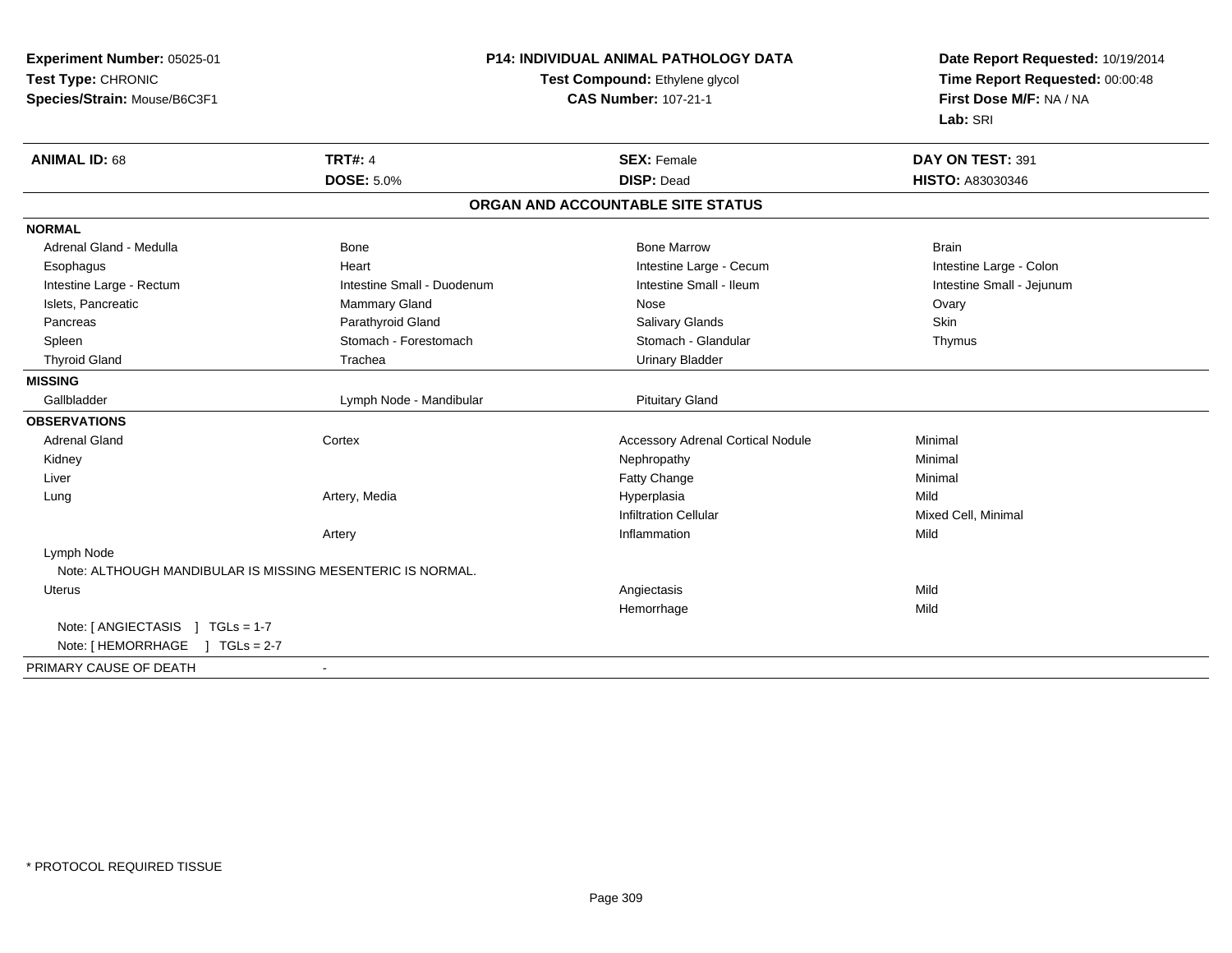| Experiment Number: 05025-01                                | P14: INDIVIDUAL ANIMAL PATHOLOGY DATA<br>Test Compound: Ethylene glycol<br><b>CAS Number: 107-21-1</b> |                                          | Date Report Requested: 10/19/2014<br>Time Report Requested: 00:00:48<br>First Dose M/F: NA / NA |
|------------------------------------------------------------|--------------------------------------------------------------------------------------------------------|------------------------------------------|-------------------------------------------------------------------------------------------------|
| Test Type: CHRONIC                                         |                                                                                                        |                                          |                                                                                                 |
| Species/Strain: Mouse/B6C3F1                               |                                                                                                        |                                          |                                                                                                 |
|                                                            |                                                                                                        |                                          | Lab: SRI                                                                                        |
| <b>TRT#: 4</b><br><b>ANIMAL ID: 68</b>                     |                                                                                                        | <b>SEX: Female</b>                       | DAY ON TEST: 391                                                                                |
| <b>DOSE: 5.0%</b>                                          |                                                                                                        | <b>DISP: Dead</b>                        | HISTO: A83030346                                                                                |
|                                                            |                                                                                                        | ORGAN AND ACCOUNTABLE SITE STATUS        |                                                                                                 |
| <b>NORMAL</b>                                              |                                                                                                        |                                          |                                                                                                 |
| Bone<br>Adrenal Gland - Medulla                            |                                                                                                        | <b>Bone Marrow</b>                       | <b>Brain</b>                                                                                    |
| Heart<br>Esophagus                                         |                                                                                                        | Intestine Large - Cecum                  | Intestine Large - Colon                                                                         |
| Intestine Large - Rectum                                   | Intestine Small - Duodenum                                                                             | Intestine Small - Ileum                  | Intestine Small - Jejunum                                                                       |
| Islets, Pancreatic<br><b>Mammary Gland</b>                 |                                                                                                        | Nose                                     | Ovary                                                                                           |
| Parathyroid Gland<br>Pancreas                              |                                                                                                        | <b>Salivary Glands</b>                   | Skin                                                                                            |
| Spleen                                                     | Stomach - Forestomach                                                                                  | Stomach - Glandular                      | Thymus                                                                                          |
| <b>Thyroid Gland</b><br>Trachea                            |                                                                                                        | <b>Urinary Bladder</b>                   |                                                                                                 |
| <b>MISSING</b>                                             |                                                                                                        |                                          |                                                                                                 |
| Gallbladder                                                | Lymph Node - Mandibular                                                                                | <b>Pituitary Gland</b>                   |                                                                                                 |
| <b>OBSERVATIONS</b>                                        |                                                                                                        |                                          |                                                                                                 |
| <b>Adrenal Gland</b><br>Cortex                             |                                                                                                        | <b>Accessory Adrenal Cortical Nodule</b> | Minimal                                                                                         |
| Kidney                                                     |                                                                                                        | Nephropathy                              | Minimal                                                                                         |
| Liver                                                      |                                                                                                        | Fatty Change                             | Minimal                                                                                         |
| Artery, Media<br>Lung                                      |                                                                                                        | Hyperplasia                              | Mild                                                                                            |
|                                                            |                                                                                                        | <b>Infiltration Cellular</b>             | Mixed Cell, Minimal                                                                             |
| Artery                                                     |                                                                                                        | Inflammation                             | Mild                                                                                            |
| Lymph Node                                                 |                                                                                                        |                                          |                                                                                                 |
| Note: ALTHOUGH MANDIBULAR IS MISSING MESENTERIC IS NORMAL. |                                                                                                        |                                          |                                                                                                 |
| <b>Uterus</b>                                              |                                                                                                        | Angiectasis                              | Mild                                                                                            |
|                                                            |                                                                                                        | Hemorrhage                               | Mild                                                                                            |
| Note: [ ANGIECTASIS ] TGLs = 1-7                           |                                                                                                        |                                          |                                                                                                 |
| Note: [HEMORRHAGE ] TGLs = 2-7                             |                                                                                                        |                                          |                                                                                                 |
| PRIMARY CAUSE OF DEATH                                     |                                                                                                        |                                          |                                                                                                 |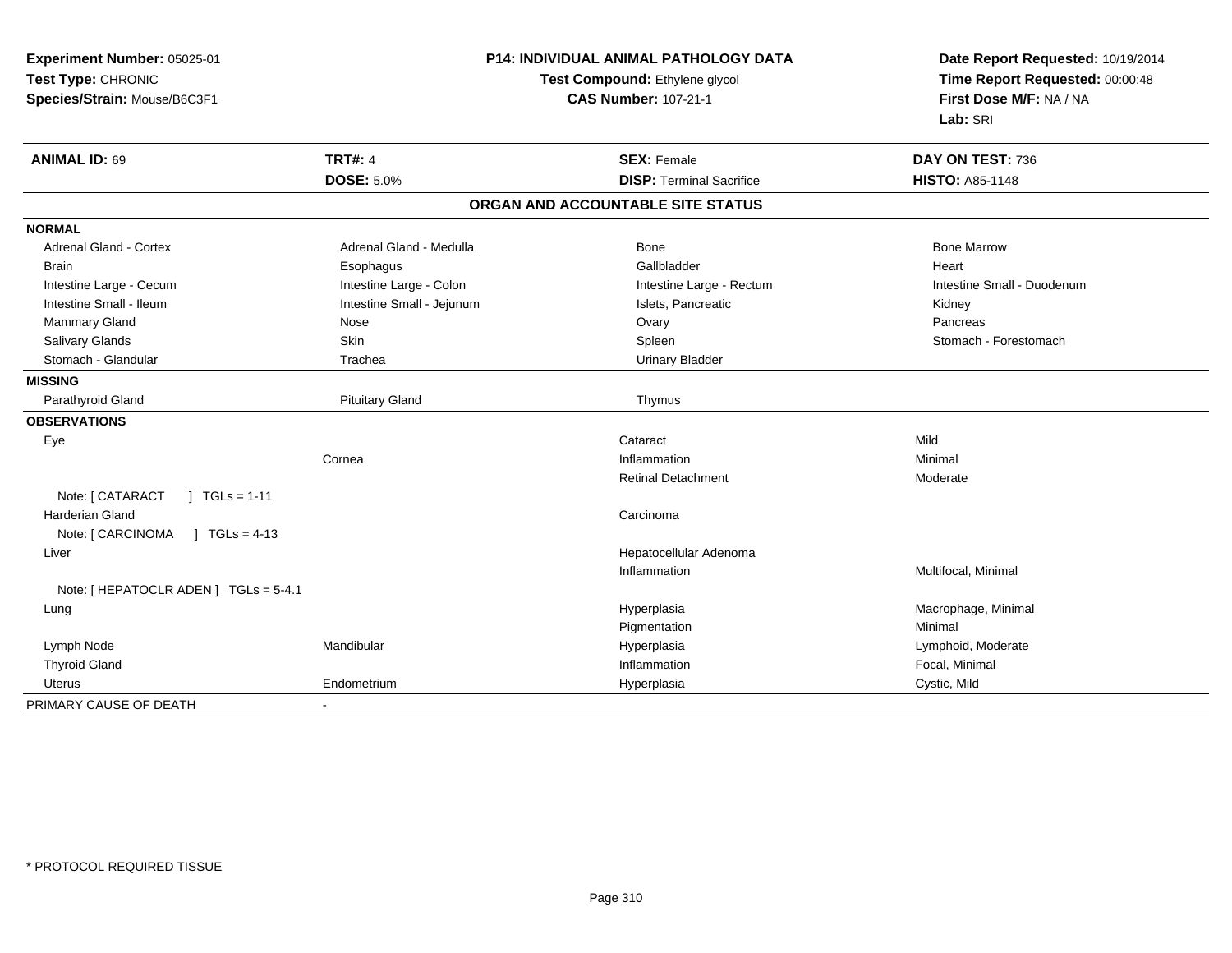| Experiment Number: 05025-01<br>Test Type: CHRONIC<br>Species/Strain: Mouse/B6C3F1 |                           | <b>P14: INDIVIDUAL ANIMAL PATHOLOGY DATA</b><br>Test Compound: Ethylene glycol<br><b>CAS Number: 107-21-1</b> | Date Report Requested: 10/19/2014<br>Time Report Requested: 00:00:48<br>First Dose M/F: NA / NA<br>Lab: SRI |
|-----------------------------------------------------------------------------------|---------------------------|---------------------------------------------------------------------------------------------------------------|-------------------------------------------------------------------------------------------------------------|
| <b>ANIMAL ID: 69</b>                                                              | <b>TRT#: 4</b>            | <b>SEX: Female</b>                                                                                            | DAY ON TEST: 736                                                                                            |
|                                                                                   | <b>DOSE: 5.0%</b>         | <b>DISP: Terminal Sacrifice</b>                                                                               | <b>HISTO: A85-1148</b>                                                                                      |
|                                                                                   |                           | ORGAN AND ACCOUNTABLE SITE STATUS                                                                             |                                                                                                             |
| <b>NORMAL</b>                                                                     |                           |                                                                                                               |                                                                                                             |
| Adrenal Gland - Cortex                                                            | Adrenal Gland - Medulla   | <b>Bone</b>                                                                                                   | <b>Bone Marrow</b>                                                                                          |
| <b>Brain</b>                                                                      | Esophagus                 | Gallbladder                                                                                                   | Heart                                                                                                       |
| Intestine Large - Cecum                                                           | Intestine Large - Colon   | Intestine Large - Rectum                                                                                      | Intestine Small - Duodenum                                                                                  |
| Intestine Small - Ileum                                                           | Intestine Small - Jejunum | Islets, Pancreatic                                                                                            | Kidney                                                                                                      |
| Mammary Gland                                                                     | Nose                      | Ovary                                                                                                         | Pancreas                                                                                                    |
| Salivary Glands                                                                   | Skin                      | Spleen                                                                                                        | Stomach - Forestomach                                                                                       |
| Stomach - Glandular                                                               | Trachea                   | <b>Urinary Bladder</b>                                                                                        |                                                                                                             |
| <b>MISSING</b>                                                                    |                           |                                                                                                               |                                                                                                             |
| Parathyroid Gland                                                                 | <b>Pituitary Gland</b>    | Thymus                                                                                                        |                                                                                                             |
| <b>OBSERVATIONS</b>                                                               |                           |                                                                                                               |                                                                                                             |
| Eye                                                                               |                           | Cataract                                                                                                      | Mild                                                                                                        |
|                                                                                   | Cornea                    | Inflammation                                                                                                  | Minimal                                                                                                     |
|                                                                                   |                           | <b>Retinal Detachment</b>                                                                                     | Moderate                                                                                                    |
| Note: [ CATARACT<br>$1 TGLs = 1-11$                                               |                           |                                                                                                               |                                                                                                             |
| <b>Harderian Gland</b>                                                            |                           | Carcinoma                                                                                                     |                                                                                                             |
| Note: [ CARCINOMA<br>$1 TGLs = 4-13$                                              |                           |                                                                                                               |                                                                                                             |
| Liver                                                                             |                           | Hepatocellular Adenoma                                                                                        |                                                                                                             |
|                                                                                   |                           | Inflammation                                                                                                  | Multifocal, Minimal                                                                                         |
| Note: [ HEPATOCLR ADEN ] TGLs = 5-4.1                                             |                           |                                                                                                               |                                                                                                             |
| Lung                                                                              |                           | Hyperplasia                                                                                                   | Macrophage, Minimal                                                                                         |
|                                                                                   |                           | Pigmentation                                                                                                  | Minimal                                                                                                     |
| Lymph Node                                                                        | Mandibular                | Hyperplasia                                                                                                   | Lymphoid, Moderate                                                                                          |
| <b>Thyroid Gland</b>                                                              |                           | Inflammation                                                                                                  | Focal, Minimal                                                                                              |
| <b>Uterus</b>                                                                     | Endometrium               | Hyperplasia                                                                                                   | Cystic, Mild                                                                                                |
| PRIMARY CAUSE OF DEATH                                                            |                           |                                                                                                               |                                                                                                             |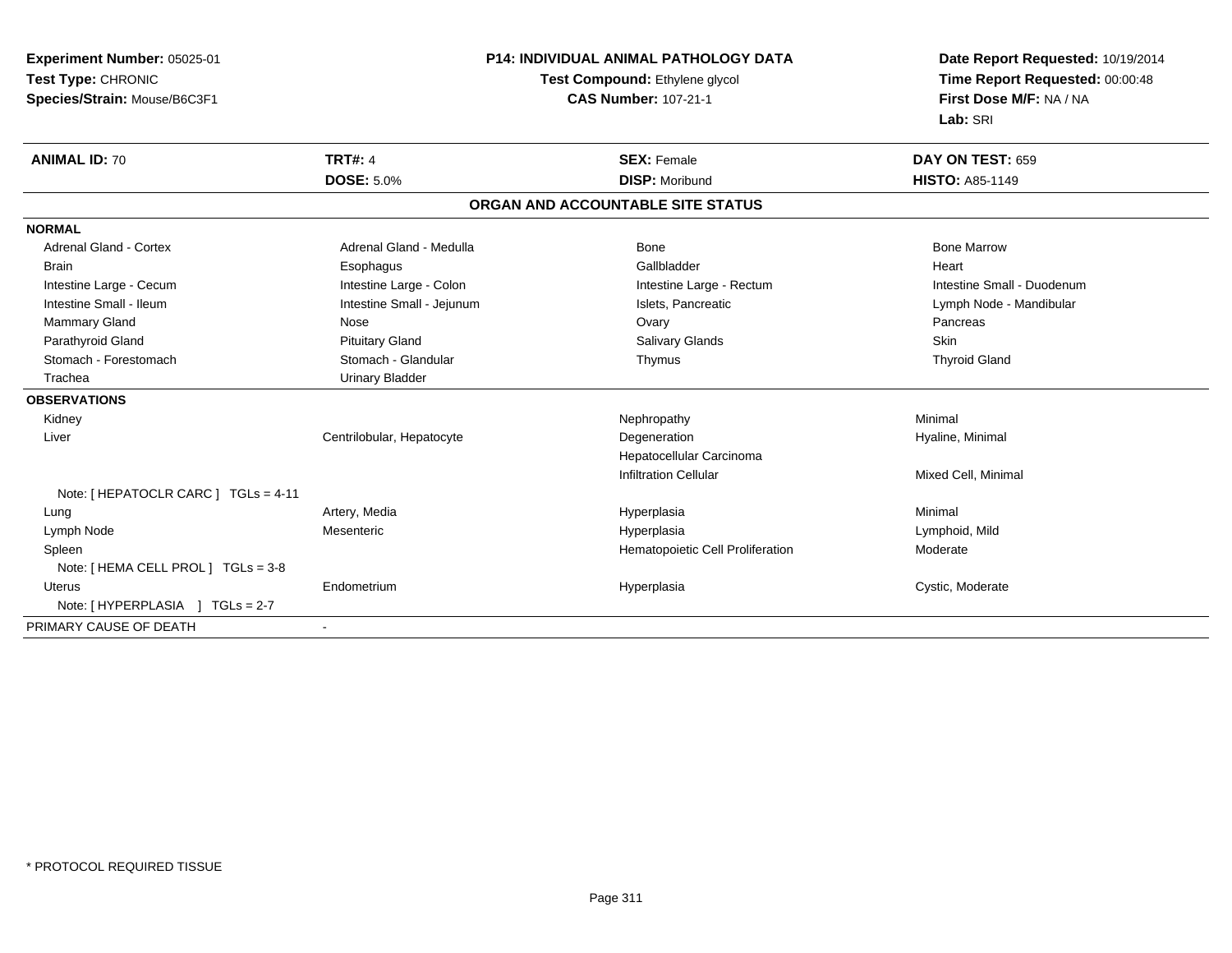**Experiment Number:** 05025-01**Test Type:** CHRONIC **Species/Strain:** Mouse/B6C3F1**P14: INDIVIDUAL ANIMAL PATHOLOGY DATATest Compound:** Ethylene glycol **CAS Number:** 107-21-1**Date Report Requested:** 10/19/2014**Time Report Requested:** 00:00:48**First Dose M/F:** NA / NA**Lab:** SRI**ANIMAL ID:** 70**TRT#:** 4 **SEX:** Female **DAY ON TEST:** 659 **DOSE:** 5.0%**28 Morris 19 Mars 20 Mars 20 Mars 20 Mars 20 Mars 20 Mars 20 Mars 20 Mars 20 Mars 20 Mars 20 Mars 20 Mars 20 Mars 20 Mars 20 Mars 20 Mars 20 Mars 20 Mars 20 Mars 20 Mars 20 Mars 20 Mars 20 Mars 20 Mars 20 Mars 20 Mars 20 ORGAN AND ACCOUNTABLE SITE STATUSNORMALAdrenal Gland - Cortex** Adrenal Gland - Medulla **Adrenal Gland - Medulla** Bone Bone Bone Bone Bone Marrow Brain Esophagus Esophagus Gallbladder Gallbladder Gallbladder Heart Intestine Large - Cecum **Intestine Large - Colon** Intestine Large - Colon Intestine Large - Rectum Intestine Large - Rectum Intestine Small - Duodenum Intestine Small - Ileum **Intestine Small - Jejunum** Intestine Small - Jejunum Islets, Pancreatic Lymph Node - Mandibular Mammary Gland Nose Ovary Pancreas Parathyroid Gland Phillip Communication of Pituitary Gland Pitus School Salivary Glands Skin Skin Skin Skin Skin **Thyroid Gland** Stomach - Forestomach Stomach - Stomach - Glandular Thymus Thymus Thymus Thymus Thymus Thymus Thymus Thymus Thymus Thymus Thymus Thymus Thymus Thymus Thymus Thymus Thymus Thymus Thymus Thymus Thymus Thymus Thymus Thymus Th Trachea Urinary Bladder**OBSERVATIONS** Kidneyy the controller of the controller of the controller of the Nephropathy the controller of the Minimal Minimal  $\lambda$  Liver Centrilobular, HepatocyteDegeneration **Hyaline**, Minimal Hepatocellular CarcinomaInfiltration Cellular Mixed Cell, Minimal Note: [ HEPATOCLR CARC ] TGLs = 4-11 Lung Artery, Media Hyperplasia Minimal Lymph Node Mesenteric Hyperplasia Lymphoid, Mild SpleenHematopoietic Cell Proliferation Moderate Note: [ HEMA CELL PROL ] TGLs = 3-8 Uterus Endometrium Hyperplasia Cystic, Moderate Note: [ HYPERPLASIA ] TGLs = 2-7PRIMARY CAUSE OF DEATH-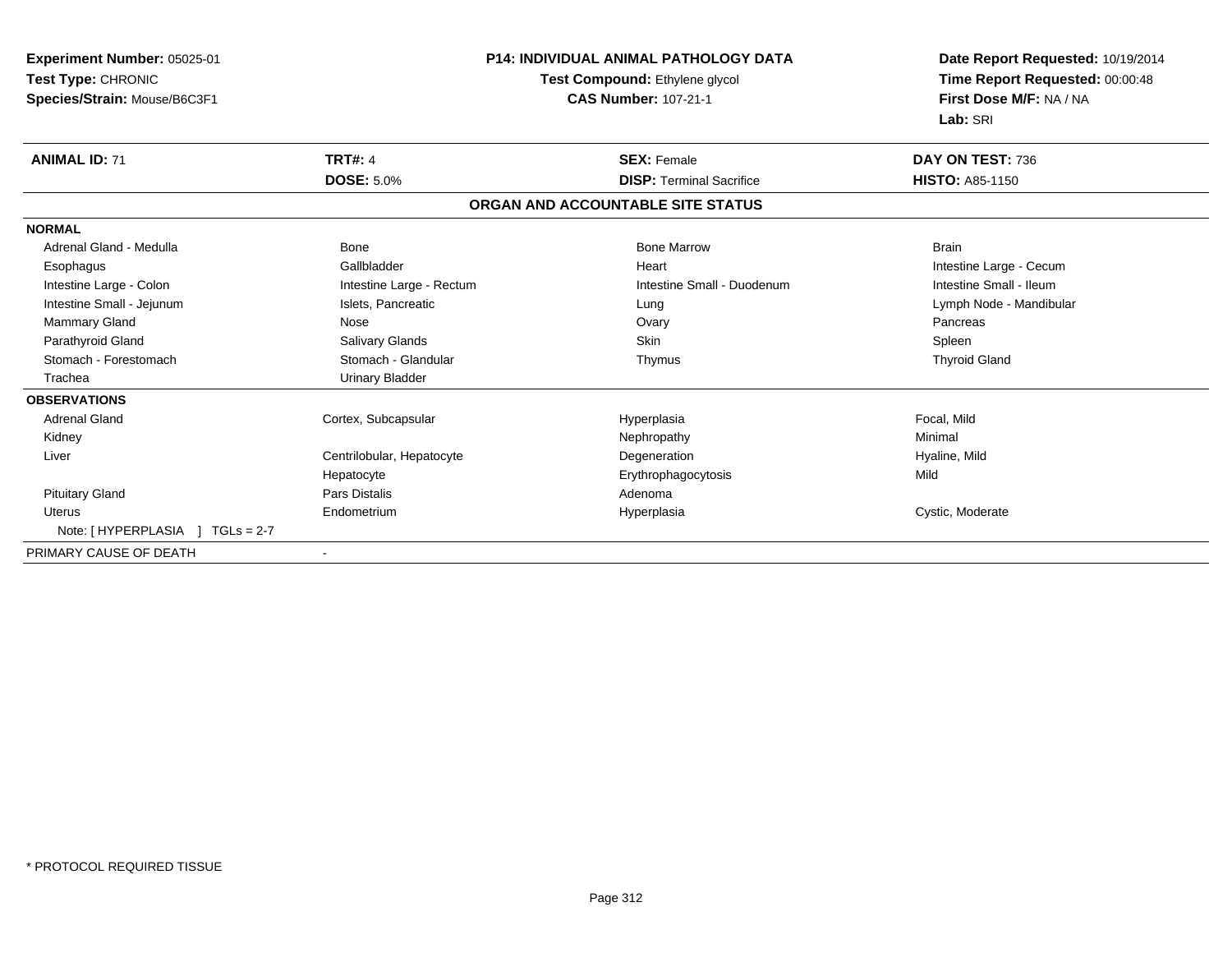| Experiment Number: 05025-01<br>Test Type: CHRONIC<br>Species/Strain: Mouse/B6C3F1 |                           | <b>P14: INDIVIDUAL ANIMAL PATHOLOGY DATA</b><br>Test Compound: Ethylene glycol<br><b>CAS Number: 107-21-1</b> | Date Report Requested: 10/19/2014<br>Time Report Requested: 00:00:48<br>First Dose M/F: NA / NA<br>Lab: SRI |
|-----------------------------------------------------------------------------------|---------------------------|---------------------------------------------------------------------------------------------------------------|-------------------------------------------------------------------------------------------------------------|
| <b>ANIMAL ID: 71</b>                                                              | <b>TRT#: 4</b>            | <b>SEX: Female</b>                                                                                            | DAY ON TEST: 736                                                                                            |
|                                                                                   | <b>DOSE: 5.0%</b>         | <b>DISP: Terminal Sacrifice</b>                                                                               | <b>HISTO: A85-1150</b>                                                                                      |
|                                                                                   |                           | ORGAN AND ACCOUNTABLE SITE STATUS                                                                             |                                                                                                             |
| <b>NORMAL</b>                                                                     |                           |                                                                                                               |                                                                                                             |
| Adrenal Gland - Medulla                                                           | Bone                      | <b>Bone Marrow</b>                                                                                            | <b>Brain</b>                                                                                                |
| Esophagus                                                                         | Gallbladder               | Heart                                                                                                         | Intestine Large - Cecum                                                                                     |
| Intestine Large - Colon                                                           | Intestine Large - Rectum  | Intestine Small - Duodenum                                                                                    | Intestine Small - Ileum                                                                                     |
| Intestine Small - Jejunum                                                         | Islets, Pancreatic        | Lung                                                                                                          | Lymph Node - Mandibular                                                                                     |
| Mammary Gland                                                                     | Nose                      | Ovary                                                                                                         | Pancreas                                                                                                    |
| Parathyroid Gland                                                                 | Salivary Glands           | <b>Skin</b>                                                                                                   | Spleen                                                                                                      |
| Stomach - Forestomach                                                             | Stomach - Glandular       | Thymus                                                                                                        | <b>Thyroid Gland</b>                                                                                        |
| Trachea                                                                           | <b>Urinary Bladder</b>    |                                                                                                               |                                                                                                             |
| <b>OBSERVATIONS</b>                                                               |                           |                                                                                                               |                                                                                                             |
| <b>Adrenal Gland</b>                                                              | Cortex, Subcapsular       | Hyperplasia                                                                                                   | Focal, Mild                                                                                                 |
| Kidney                                                                            |                           | Nephropathy                                                                                                   | Minimal                                                                                                     |
| Liver                                                                             | Centrilobular, Hepatocyte | Degeneration                                                                                                  | Hyaline, Mild                                                                                               |
|                                                                                   | Hepatocyte                | Erythrophagocytosis                                                                                           | Mild                                                                                                        |
| <b>Pituitary Gland</b>                                                            | <b>Pars Distalis</b>      | Adenoma                                                                                                       |                                                                                                             |
| <b>Uterus</b>                                                                     | Endometrium               | Hyperplasia                                                                                                   | Cystic, Moderate                                                                                            |
| Note: [HYPERPLASIA ] TGLs = 2-7                                                   |                           |                                                                                                               |                                                                                                             |
| PRIMARY CAUSE OF DEATH                                                            |                           |                                                                                                               |                                                                                                             |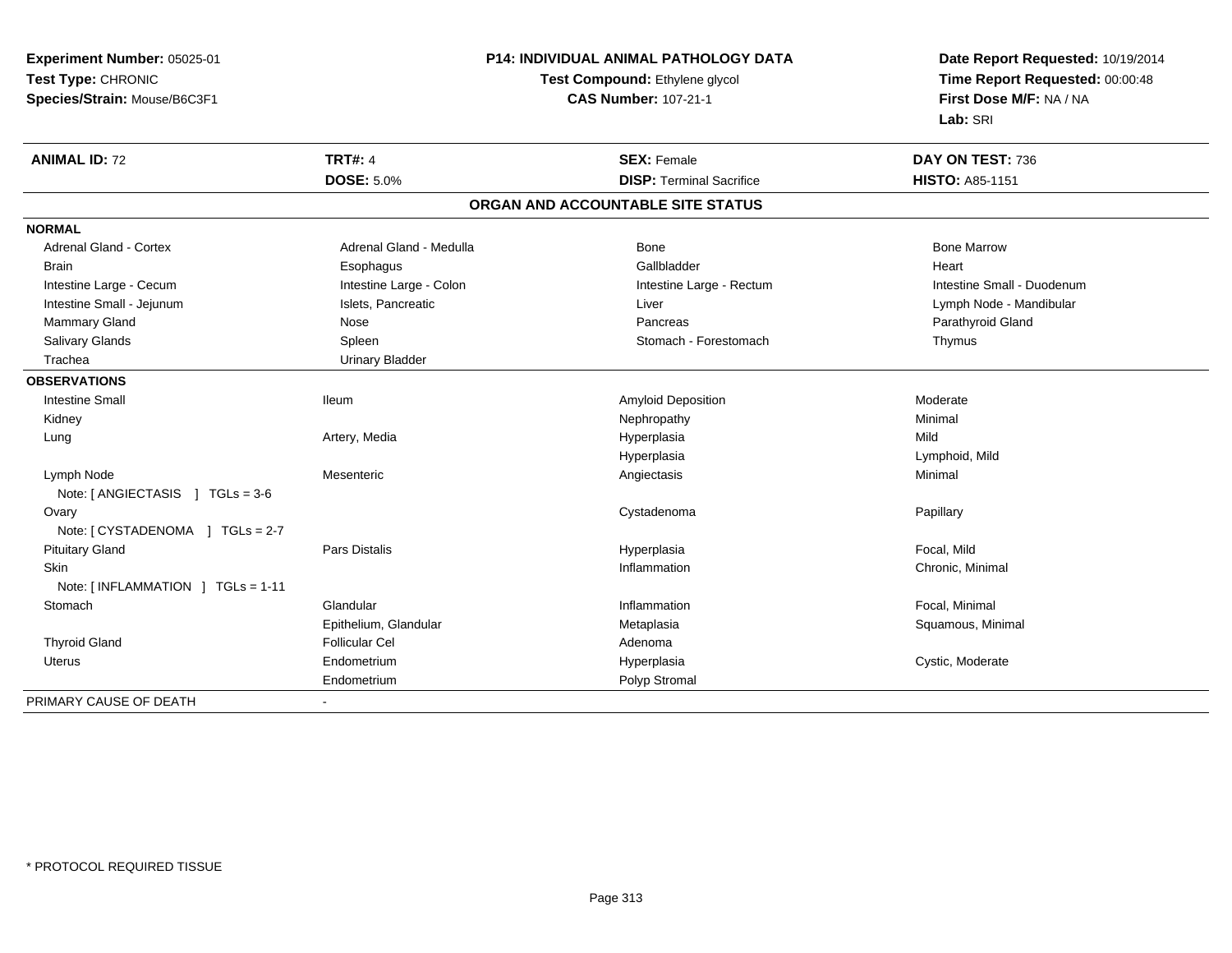| Test Type: CHRONIC<br>Test Compound: Ethylene glycol<br>Time Report Requested: 00:00:48<br>First Dose M/F: NA / NA<br>Species/Strain: Mouse/B6C3F1<br><b>CAS Number: 107-21-1</b><br>Lab: SRI<br><b>TRT#: 4</b><br><b>ANIMAL ID: 72</b><br><b>SEX: Female</b><br>DAY ON TEST: 736<br><b>DOSE: 5.0%</b><br><b>DISP: Terminal Sacrifice</b><br>HISTO: A85-1151<br>ORGAN AND ACCOUNTABLE SITE STATUS<br><b>NORMAL</b><br>Adrenal Gland - Cortex<br>Adrenal Gland - Medulla<br><b>Bone Marrow</b><br>Bone<br>Gallbladder<br><b>Brain</b><br>Esophagus<br>Heart<br>Intestine Large - Cecum<br>Intestine Large - Colon<br>Intestine Large - Rectum<br>Intestine Small - Duodenum<br>Intestine Small - Jejunum<br>Islets, Pancreatic<br>Liver<br>Lymph Node - Mandibular<br>Mammary Gland<br>Pancreas<br>Parathyroid Gland<br>Nose<br>Salivary Glands<br>Spleen<br>Stomach - Forestomach<br>Thymus |
|---------------------------------------------------------------------------------------------------------------------------------------------------------------------------------------------------------------------------------------------------------------------------------------------------------------------------------------------------------------------------------------------------------------------------------------------------------------------------------------------------------------------------------------------------------------------------------------------------------------------------------------------------------------------------------------------------------------------------------------------------------------------------------------------------------------------------------------------------------------------------------------------|
|                                                                                                                                                                                                                                                                                                                                                                                                                                                                                                                                                                                                                                                                                                                                                                                                                                                                                             |
|                                                                                                                                                                                                                                                                                                                                                                                                                                                                                                                                                                                                                                                                                                                                                                                                                                                                                             |
|                                                                                                                                                                                                                                                                                                                                                                                                                                                                                                                                                                                                                                                                                                                                                                                                                                                                                             |
|                                                                                                                                                                                                                                                                                                                                                                                                                                                                                                                                                                                                                                                                                                                                                                                                                                                                                             |
|                                                                                                                                                                                                                                                                                                                                                                                                                                                                                                                                                                                                                                                                                                                                                                                                                                                                                             |
|                                                                                                                                                                                                                                                                                                                                                                                                                                                                                                                                                                                                                                                                                                                                                                                                                                                                                             |
|                                                                                                                                                                                                                                                                                                                                                                                                                                                                                                                                                                                                                                                                                                                                                                                                                                                                                             |
|                                                                                                                                                                                                                                                                                                                                                                                                                                                                                                                                                                                                                                                                                                                                                                                                                                                                                             |
|                                                                                                                                                                                                                                                                                                                                                                                                                                                                                                                                                                                                                                                                                                                                                                                                                                                                                             |
|                                                                                                                                                                                                                                                                                                                                                                                                                                                                                                                                                                                                                                                                                                                                                                                                                                                                                             |
|                                                                                                                                                                                                                                                                                                                                                                                                                                                                                                                                                                                                                                                                                                                                                                                                                                                                                             |
|                                                                                                                                                                                                                                                                                                                                                                                                                                                                                                                                                                                                                                                                                                                                                                                                                                                                                             |
|                                                                                                                                                                                                                                                                                                                                                                                                                                                                                                                                                                                                                                                                                                                                                                                                                                                                                             |
| Trachea<br><b>Urinary Bladder</b>                                                                                                                                                                                                                                                                                                                                                                                                                                                                                                                                                                                                                                                                                                                                                                                                                                                           |
| <b>OBSERVATIONS</b>                                                                                                                                                                                                                                                                                                                                                                                                                                                                                                                                                                                                                                                                                                                                                                                                                                                                         |
| <b>Intestine Small</b><br>Moderate<br>lleum<br>Amyloid Deposition                                                                                                                                                                                                                                                                                                                                                                                                                                                                                                                                                                                                                                                                                                                                                                                                                           |
| Nephropathy<br>Minimal<br>Kidney                                                                                                                                                                                                                                                                                                                                                                                                                                                                                                                                                                                                                                                                                                                                                                                                                                                            |
| Hyperplasia<br>Mild<br>Artery, Media<br>Lung                                                                                                                                                                                                                                                                                                                                                                                                                                                                                                                                                                                                                                                                                                                                                                                                                                                |
| Hyperplasia<br>Lymphoid, Mild                                                                                                                                                                                                                                                                                                                                                                                                                                                                                                                                                                                                                                                                                                                                                                                                                                                               |
| Lymph Node<br>Angiectasis<br>Minimal<br>Mesenteric                                                                                                                                                                                                                                                                                                                                                                                                                                                                                                                                                                                                                                                                                                                                                                                                                                          |
| Note: [ANGIECTASIS ] TGLs = 3-6                                                                                                                                                                                                                                                                                                                                                                                                                                                                                                                                                                                                                                                                                                                                                                                                                                                             |
| Cystadenoma<br>Papillary<br>Ovary                                                                                                                                                                                                                                                                                                                                                                                                                                                                                                                                                                                                                                                                                                                                                                                                                                                           |
| Note: [CYSTADENOMA ] TGLs = 2-7                                                                                                                                                                                                                                                                                                                                                                                                                                                                                                                                                                                                                                                                                                                                                                                                                                                             |
| <b>Pituitary Gland</b><br>Focal, Mild<br>Pars Distalis<br>Hyperplasia                                                                                                                                                                                                                                                                                                                                                                                                                                                                                                                                                                                                                                                                                                                                                                                                                       |
| <b>Skin</b><br>Inflammation<br>Chronic, Minimal                                                                                                                                                                                                                                                                                                                                                                                                                                                                                                                                                                                                                                                                                                                                                                                                                                             |
| Note: [INFLAMMATION ] TGLs = 1-11                                                                                                                                                                                                                                                                                                                                                                                                                                                                                                                                                                                                                                                                                                                                                                                                                                                           |
| Glandular<br>Focal, Minimal<br>Stomach<br>Inflammation                                                                                                                                                                                                                                                                                                                                                                                                                                                                                                                                                                                                                                                                                                                                                                                                                                      |
| Epithelium, Glandular<br>Squamous, Minimal<br>Metaplasia                                                                                                                                                                                                                                                                                                                                                                                                                                                                                                                                                                                                                                                                                                                                                                                                                                    |
| <b>Thyroid Gland</b><br><b>Follicular Cel</b><br>Adenoma                                                                                                                                                                                                                                                                                                                                                                                                                                                                                                                                                                                                                                                                                                                                                                                                                                    |
| Endometrium<br>Hyperplasia<br>Cystic, Moderate<br>Uterus                                                                                                                                                                                                                                                                                                                                                                                                                                                                                                                                                                                                                                                                                                                                                                                                                                    |
| Polyp Stromal<br>Endometrium                                                                                                                                                                                                                                                                                                                                                                                                                                                                                                                                                                                                                                                                                                                                                                                                                                                                |
| PRIMARY CAUSE OF DEATH                                                                                                                                                                                                                                                                                                                                                                                                                                                                                                                                                                                                                                                                                                                                                                                                                                                                      |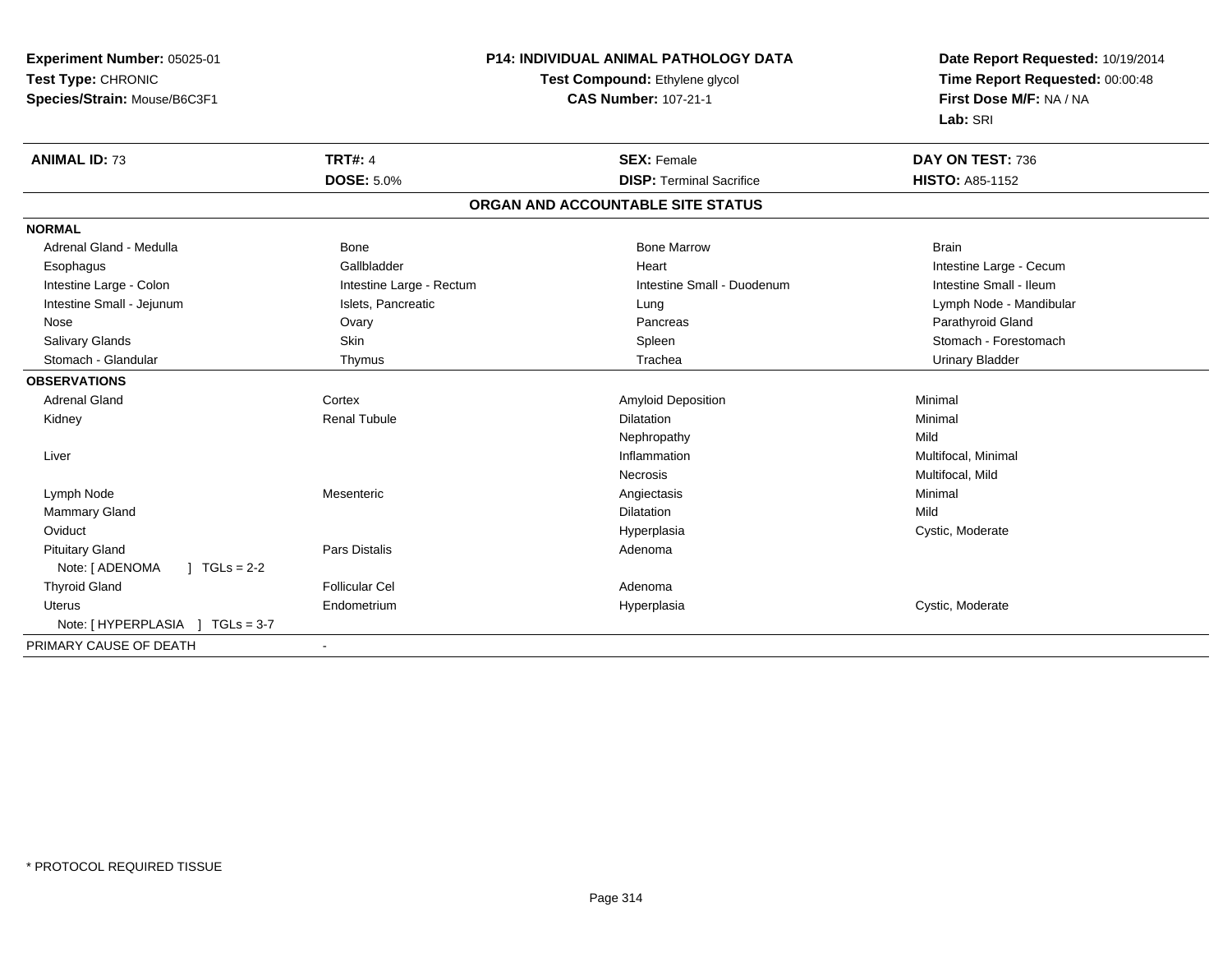| Experiment Number: 05025-01       | <b>P14: INDIVIDUAL ANIMAL PATHOLOGY DATA</b> |                                       | Date Report Requested: 10/19/2014 |
|-----------------------------------|----------------------------------------------|---------------------------------------|-----------------------------------|
| Test Type: CHRONIC                |                                              | <b>Test Compound: Ethylene glycol</b> | Time Report Requested: 00:00:48   |
| Species/Strain: Mouse/B6C3F1      | <b>CAS Number: 107-21-1</b>                  |                                       | First Dose M/F: NA / NA           |
|                                   |                                              |                                       | Lab: SRI                          |
| <b>ANIMAL ID: 73</b>              | <b>TRT#: 4</b>                               | <b>SEX: Female</b>                    | DAY ON TEST: 736                  |
|                                   | <b>DOSE: 5.0%</b>                            | <b>DISP: Terminal Sacrifice</b>       | <b>HISTO: A85-1152</b>            |
|                                   |                                              | ORGAN AND ACCOUNTABLE SITE STATUS     |                                   |
| <b>NORMAL</b>                     |                                              |                                       |                                   |
| Adrenal Gland - Medulla           | Bone                                         | <b>Bone Marrow</b>                    | <b>Brain</b>                      |
| Esophagus                         | Gallbladder                                  | Heart                                 | Intestine Large - Cecum           |
| Intestine Large - Colon           | Intestine Large - Rectum                     | Intestine Small - Duodenum            | Intestine Small - Ileum           |
| Intestine Small - Jejunum         | Islets, Pancreatic                           | Lung                                  | Lymph Node - Mandibular           |
| Nose                              | Ovary                                        | Pancreas                              | Parathyroid Gland                 |
| Salivary Glands                   | Skin                                         | Spleen                                | Stomach - Forestomach             |
| Stomach - Glandular               | Thymus                                       | Trachea                               | <b>Urinary Bladder</b>            |
| <b>OBSERVATIONS</b>               |                                              |                                       |                                   |
| <b>Adrenal Gland</b>              | Cortex                                       | <b>Amyloid Deposition</b>             | Minimal                           |
| Kidney                            | <b>Renal Tubule</b>                          | <b>Dilatation</b>                     | Minimal                           |
|                                   |                                              | Nephropathy                           | Mild                              |
| Liver                             |                                              | Inflammation                          | Multifocal, Minimal               |
|                                   |                                              | Necrosis                              | Multifocal, Mild                  |
| Lymph Node                        | Mesenteric                                   | Angiectasis                           | Minimal                           |
| Mammary Gland                     |                                              | <b>Dilatation</b>                     | Mild                              |
| Oviduct                           |                                              | Hyperplasia                           | Cystic, Moderate                  |
| <b>Pituitary Gland</b>            | Pars Distalis                                | Adenoma                               |                                   |
| Note: [ ADENOMA<br>$1 TGLs = 2-2$ |                                              |                                       |                                   |
| <b>Thyroid Gland</b>              | <b>Follicular Cel</b>                        | Adenoma                               |                                   |
| <b>Uterus</b>                     | Endometrium                                  | Hyperplasia                           | Cystic, Moderate                  |
| Note: [HYPERPLASIA ] TGLs = 3-7   |                                              |                                       |                                   |
| PRIMARY CAUSE OF DEATH            | $\blacksquare$                               |                                       |                                   |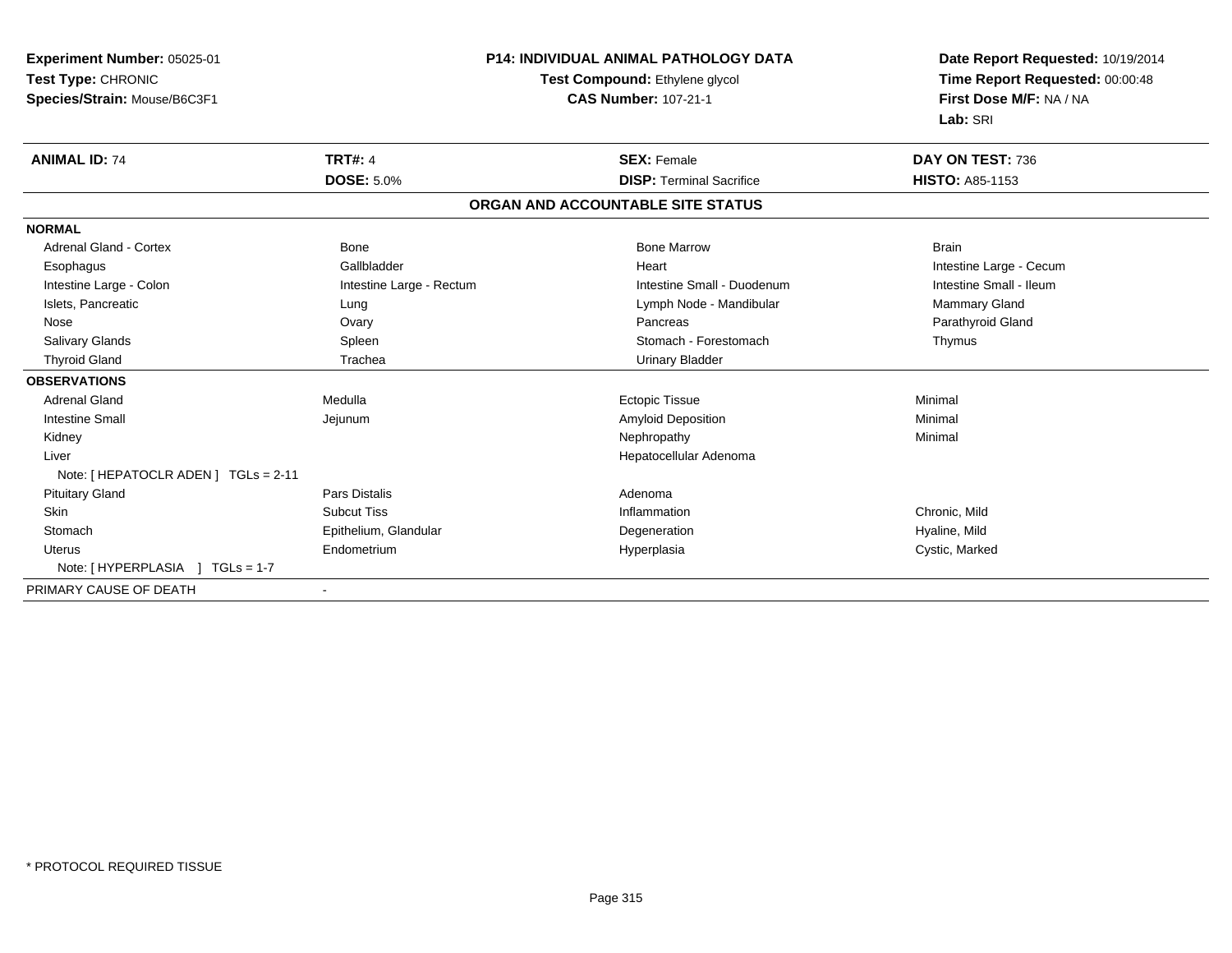| <b>Experiment Number: 05025-01</b>                   |                             | <b>P14: INDIVIDUAL ANIMAL PATHOLOGY DATA</b> | Date Report Requested: 10/19/2014 |  |
|------------------------------------------------------|-----------------------------|----------------------------------------------|-----------------------------------|--|
| Test Type: CHRONIC<br>Test Compound: Ethylene glycol |                             |                                              | Time Report Requested: 00:00:48   |  |
| Species/Strain: Mouse/B6C3F1                         | <b>CAS Number: 107-21-1</b> |                                              | First Dose M/F: NA / NA           |  |
|                                                      |                             |                                              | Lab: SRI                          |  |
| <b>ANIMAL ID: 74</b>                                 | <b>TRT#: 4</b>              | <b>SEX: Female</b>                           | DAY ON TEST: 736                  |  |
|                                                      | <b>DOSE: 5.0%</b>           | <b>DISP: Terminal Sacrifice</b>              | <b>HISTO: A85-1153</b>            |  |
|                                                      |                             | ORGAN AND ACCOUNTABLE SITE STATUS            |                                   |  |
| <b>NORMAL</b>                                        |                             |                                              |                                   |  |
| <b>Adrenal Gland - Cortex</b>                        | <b>Bone</b>                 | <b>Bone Marrow</b>                           | <b>Brain</b>                      |  |
| Esophagus                                            | Gallbladder                 | Heart                                        | Intestine Large - Cecum           |  |
| Intestine Large - Colon                              | Intestine Large - Rectum    | Intestine Small - Duodenum                   | Intestine Small - Ileum           |  |
| Islets, Pancreatic                                   | Lung                        | Lymph Node - Mandibular                      | Mammary Gland                     |  |
| Nose                                                 | Ovary                       | Pancreas                                     | Parathyroid Gland                 |  |
| <b>Salivary Glands</b>                               | Spleen                      | Stomach - Forestomach                        | Thymus                            |  |
| <b>Thyroid Gland</b>                                 | Trachea                     | <b>Urinary Bladder</b>                       |                                   |  |
| <b>OBSERVATIONS</b>                                  |                             |                                              |                                   |  |
| <b>Adrenal Gland</b>                                 | Medulla                     | <b>Ectopic Tissue</b>                        | Minimal                           |  |
| <b>Intestine Small</b>                               | Jejunum                     | <b>Amyloid Deposition</b>                    | Minimal                           |  |
| Kidney                                               |                             | Nephropathy                                  | Minimal                           |  |
| Liver                                                |                             | Hepatocellular Adenoma                       |                                   |  |
| Note: [ HEPATOCLR ADEN ] TGLs = 2-11                 |                             |                                              |                                   |  |
| <b>Pituitary Gland</b>                               | <b>Pars Distalis</b>        | Adenoma                                      |                                   |  |
| Skin                                                 | <b>Subcut Tiss</b>          | Inflammation                                 | Chronic, Mild                     |  |
| Stomach                                              | Epithelium, Glandular       | Degeneration                                 | Hyaline, Mild                     |  |
| <b>Uterus</b>                                        | Endometrium                 | Hyperplasia                                  | Cystic, Marked                    |  |
|                                                      |                             |                                              |                                   |  |
| PRIMARY CAUSE OF DEATH                               |                             |                                              |                                   |  |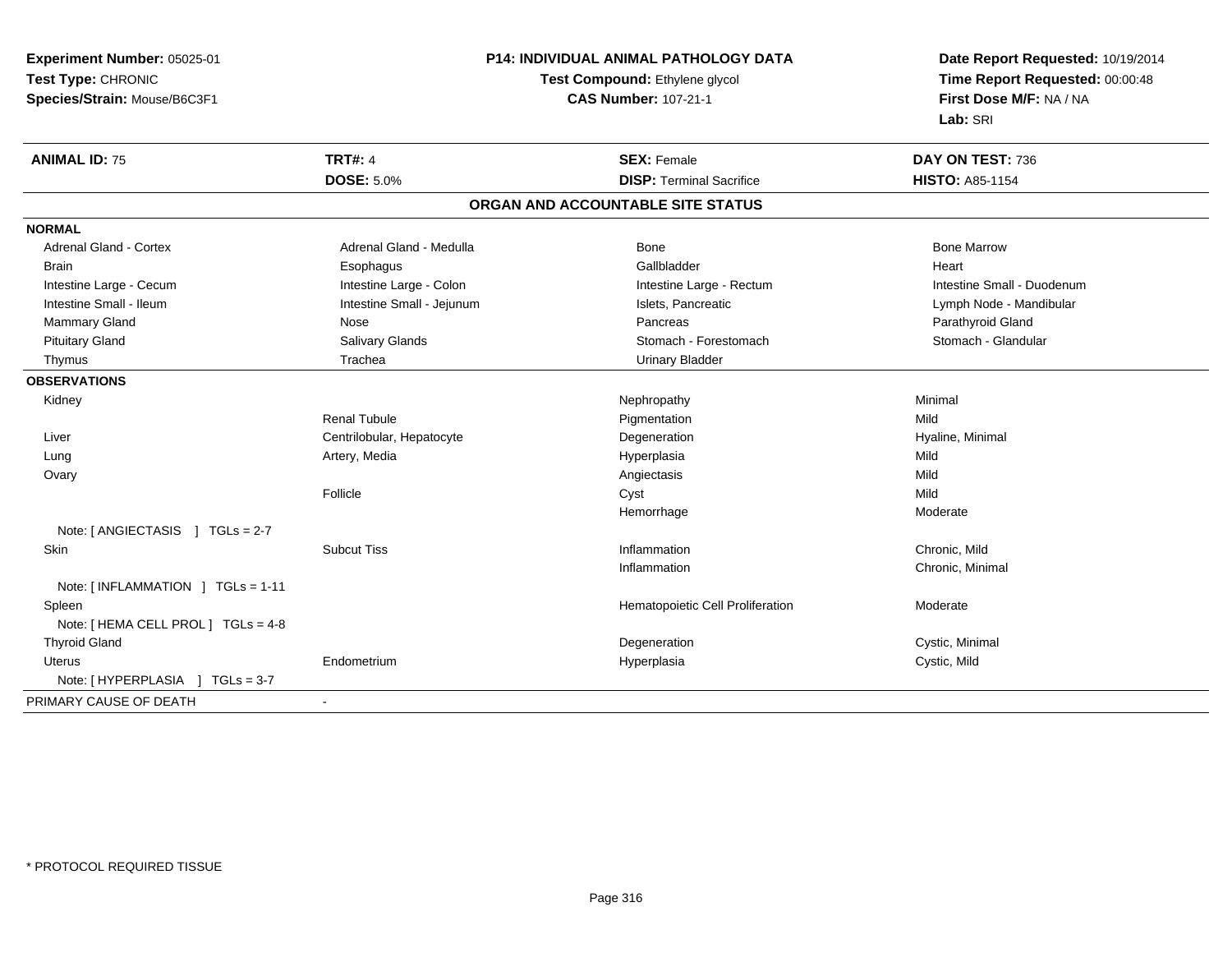| Experiment Number: 05025-01                        | P14: INDIVIDUAL ANIMAL PATHOLOGY DATA<br>Test Compound: Ethylene glycol |                                   | Date Report Requested: 10/19/2014 |  |
|----------------------------------------------------|-------------------------------------------------------------------------|-----------------------------------|-----------------------------------|--|
| Test Type: CHRONIC                                 |                                                                         |                                   | Time Report Requested: 00:00:48   |  |
| Species/Strain: Mouse/B6C3F1                       |                                                                         | <b>CAS Number: 107-21-1</b>       | First Dose M/F: NA / NA           |  |
|                                                    |                                                                         |                                   | Lab: SRI                          |  |
| <b>TRT#: 4</b><br><b>ANIMAL ID: 75</b>             |                                                                         | <b>SEX: Female</b>                | DAY ON TEST: 736                  |  |
| <b>DOSE: 5.0%</b>                                  |                                                                         | <b>DISP: Terminal Sacrifice</b>   | <b>HISTO: A85-1154</b>            |  |
|                                                    |                                                                         | ORGAN AND ACCOUNTABLE SITE STATUS |                                   |  |
| <b>NORMAL</b>                                      |                                                                         |                                   |                                   |  |
| Adrenal Gland - Cortex                             | Adrenal Gland - Medulla                                                 | Bone                              | <b>Bone Marrow</b>                |  |
| <b>Brain</b><br>Esophagus                          |                                                                         | Gallbladder                       | Heart                             |  |
| Intestine Large - Colon<br>Intestine Large - Cecum |                                                                         | Intestine Large - Rectum          | Intestine Small - Duodenum        |  |
| Intestine Small - Ileum                            | Intestine Small - Jejunum                                               | Islets, Pancreatic                | Lymph Node - Mandibular           |  |
| Mammary Gland<br>Nose                              |                                                                         | Pancreas                          | Parathyroid Gland                 |  |
| <b>Pituitary Gland</b><br><b>Salivary Glands</b>   |                                                                         | Stomach - Forestomach             | Stomach - Glandular               |  |
| Trachea<br>Thymus                                  |                                                                         | <b>Urinary Bladder</b>            |                                   |  |
| <b>OBSERVATIONS</b>                                |                                                                         |                                   |                                   |  |
| Kidney                                             |                                                                         | Nephropathy                       | Minimal                           |  |
| <b>Renal Tubule</b>                                |                                                                         | Pigmentation                      | Mild                              |  |
| Centrilobular, Hepatocyte<br>Liver                 |                                                                         | Degeneration                      | Hyaline, Minimal                  |  |
| Artery, Media<br>Lung                              |                                                                         | Hyperplasia                       | Mild                              |  |
| Ovary                                              |                                                                         | Angiectasis                       | Mild                              |  |
| Follicle                                           |                                                                         | Cyst                              | Mild                              |  |
|                                                    |                                                                         | Hemorrhage                        | Moderate                          |  |
| Note: [ ANGIECTASIS ] TGLs = 2-7                   |                                                                         |                                   |                                   |  |
| Skin<br><b>Subcut Tiss</b>                         |                                                                         | Inflammation                      | Chronic, Mild                     |  |
|                                                    |                                                                         | Inflammation                      | Chronic, Minimal                  |  |
| Note: [ INFLAMMATION ] TGLs = 1-11                 |                                                                         |                                   |                                   |  |
| Spleen                                             |                                                                         | Hematopoietic Cell Proliferation  | Moderate                          |  |
| Note: [ HEMA CELL PROL ] TGLs = 4-8                |                                                                         |                                   |                                   |  |
| <b>Thyroid Gland</b>                               |                                                                         | Degeneration                      | Cystic, Minimal                   |  |
| <b>Uterus</b><br>Endometrium                       |                                                                         | Hyperplasia                       | Cystic, Mild                      |  |
| Note: [HYPERPLASIA ] TGLs = 3-7                    |                                                                         |                                   |                                   |  |
| PRIMARY CAUSE OF DEATH<br>$\sim$                   |                                                                         |                                   |                                   |  |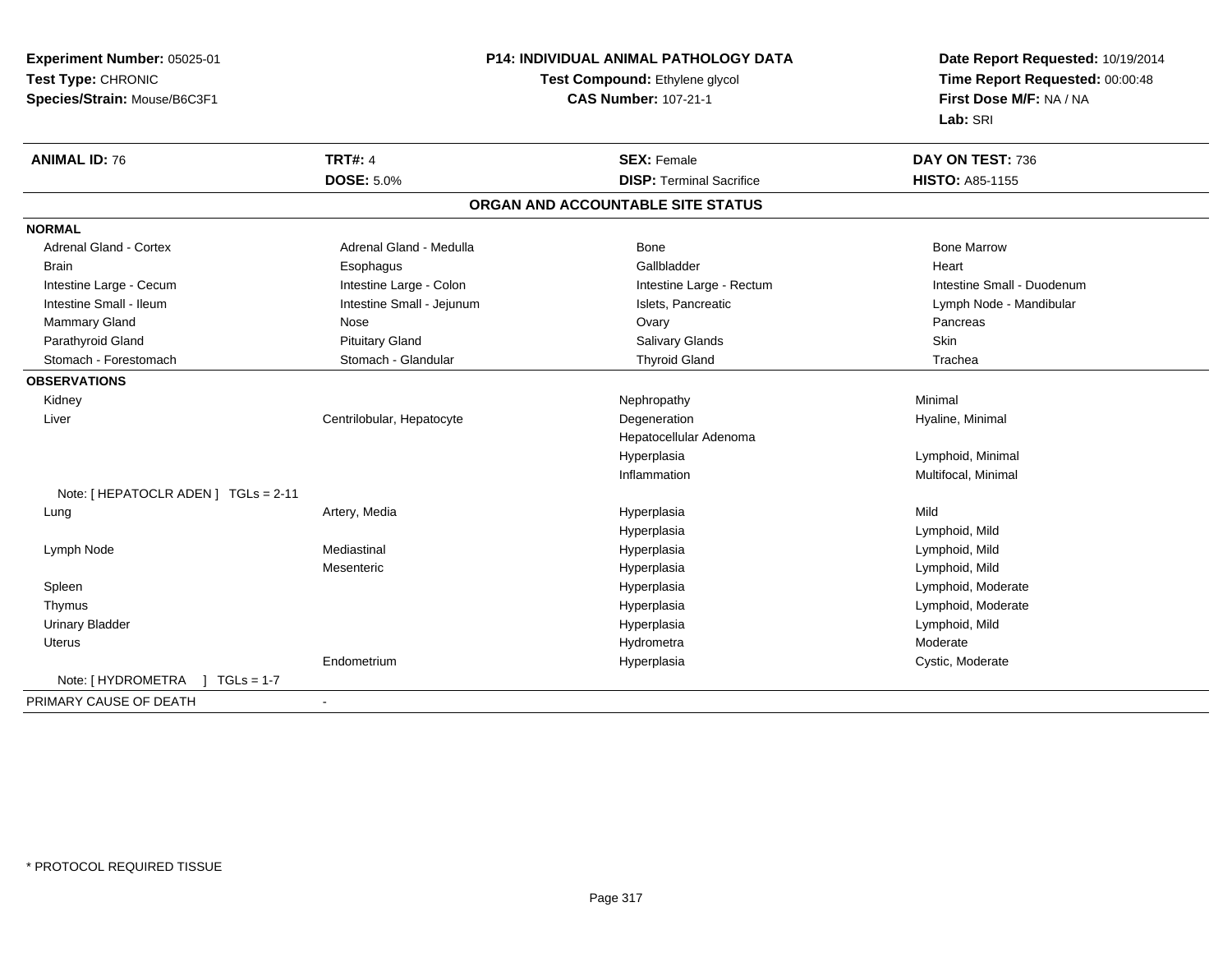|                                                          |                                   | Date Report Requested: 10/19/2014                          |  |
|----------------------------------------------------------|-----------------------------------|------------------------------------------------------------|--|
| Test Type: CHRONIC                                       | Test Compound: Ethylene glycol    | Time Report Requested: 00:00:48<br>First Dose M/F: NA / NA |  |
| Species/Strain: Mouse/B6C3F1                             | <b>CAS Number: 107-21-1</b>       |                                                            |  |
|                                                          |                                   | Lab: SRI                                                   |  |
| <b>TRT#: 4</b><br><b>ANIMAL ID: 76</b>                   | <b>SEX: Female</b>                | DAY ON TEST: 736                                           |  |
| <b>DOSE: 5.0%</b>                                        | <b>DISP: Terminal Sacrifice</b>   | <b>HISTO: A85-1155</b>                                     |  |
|                                                          | ORGAN AND ACCOUNTABLE SITE STATUS |                                                            |  |
| <b>NORMAL</b>                                            |                                   |                                                            |  |
| <b>Adrenal Gland - Cortex</b><br>Adrenal Gland - Medulla | Bone                              | <b>Bone Marrow</b>                                         |  |
| <b>Brain</b><br>Esophagus                                | Gallbladder                       | Heart                                                      |  |
| Intestine Large - Colon<br>Intestine Large - Cecum       | Intestine Large - Rectum          | Intestine Small - Duodenum                                 |  |
| Intestine Small - Ileum<br>Intestine Small - Jejunum     | Islets, Pancreatic                | Lymph Node - Mandibular                                    |  |
| Mammary Gland<br>Nose                                    | Ovary                             | Pancreas                                                   |  |
| Parathyroid Gland<br><b>Pituitary Gland</b>              | Salivary Glands                   | Skin                                                       |  |
| Stomach - Forestomach<br>Stomach - Glandular             | <b>Thyroid Gland</b>              | Trachea                                                    |  |
| <b>OBSERVATIONS</b>                                      |                                   |                                                            |  |
| Kidney                                                   | Nephropathy                       | Minimal                                                    |  |
| Centrilobular, Hepatocyte<br>Liver                       | Degeneration                      | Hyaline, Minimal                                           |  |
|                                                          | Hepatocellular Adenoma            |                                                            |  |
|                                                          | Hyperplasia                       | Lymphoid, Minimal                                          |  |
|                                                          | Inflammation                      | Multifocal, Minimal                                        |  |
| Note: [HEPATOCLR ADEN] TGLs = 2-11                       |                                   |                                                            |  |
| Artery, Media<br>Lung                                    | Hyperplasia                       | Mild                                                       |  |
|                                                          | Hyperplasia                       | Lymphoid, Mild                                             |  |
| Mediastinal<br>Lymph Node                                | Hyperplasia                       | Lymphoid, Mild                                             |  |
| Mesenteric                                               | Hyperplasia                       | Lymphoid, Mild                                             |  |
| Spleen                                                   | Hyperplasia                       | Lymphoid, Moderate                                         |  |
| Thymus                                                   | Hyperplasia                       | Lymphoid, Moderate                                         |  |
| <b>Urinary Bladder</b>                                   | Hyperplasia                       | Lymphoid, Mild                                             |  |
| <b>Uterus</b>                                            | Hydrometra                        | Moderate                                                   |  |
| Endometrium                                              | Hyperplasia                       | Cystic, Moderate                                           |  |
| Note: [HYDROMETRA ] TGLs = 1-7                           |                                   |                                                            |  |
| PRIMARY CAUSE OF DEATH<br>$\overline{\phantom{a}}$       |                                   |                                                            |  |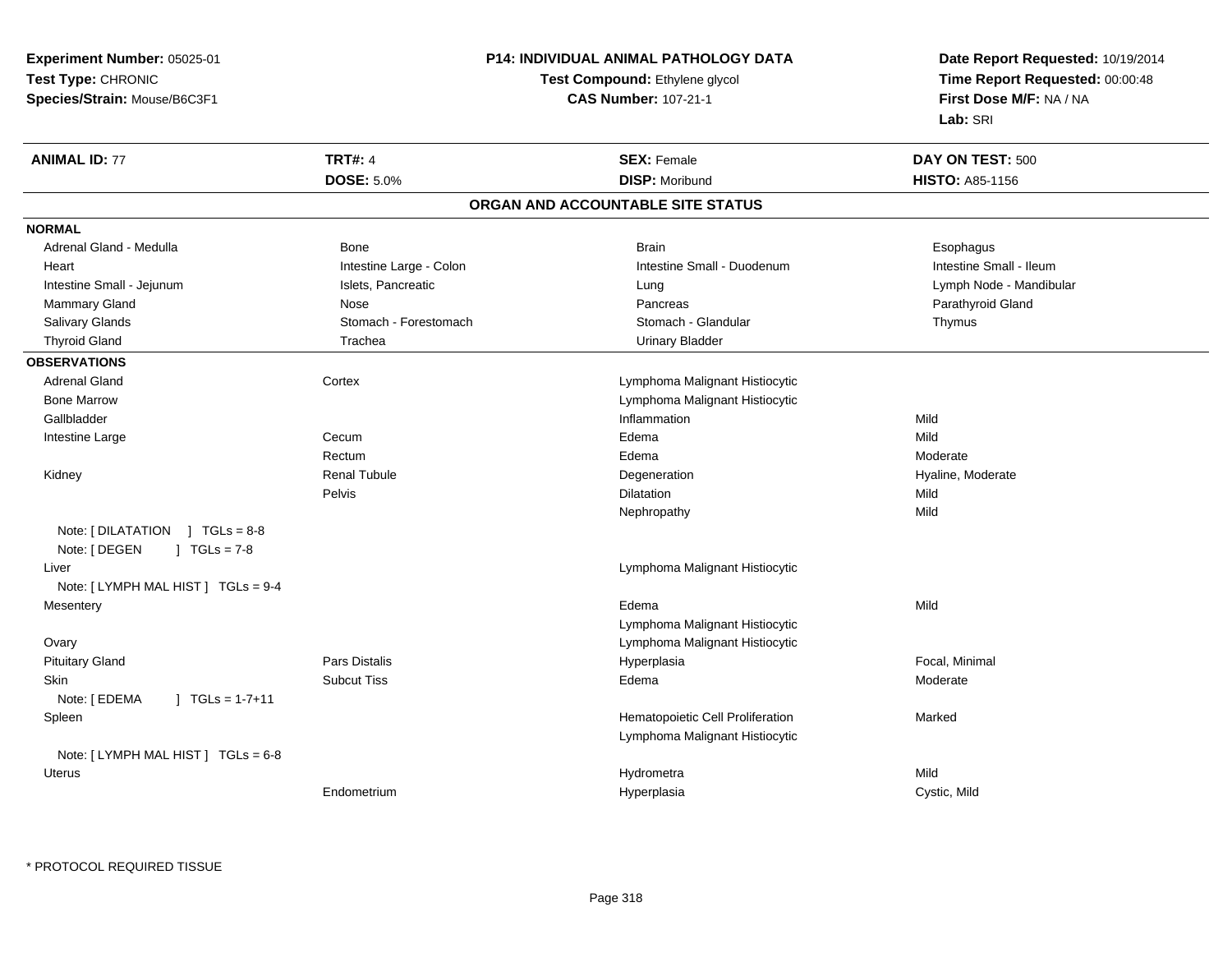**Experiment Number:** 05025-01**Test Type:** CHRONIC **Species/Strain:** Mouse/B6C3F1**P14: INDIVIDUAL ANIMAL PATHOLOGY DATATest Compound:** Ethylene glycol **CAS Number:** 107-21-1**Date Report Requested:** 10/19/2014**Time Report Requested:** 00:00:48**First Dose M/F:** NA / NA**Lab:** SRI**ANIMAL ID:** 77**TRT#:** 4 **SEX:** Female **DAY ON TEST:** 500 **DOSE:** 5.0% **DISP:** Moribund **HISTO:** A85-1156 **ORGAN AND ACCOUNTABLE SITE STATUSNORMAL**Adrenal Gland - Medulla Newslett Communication of Bone Brain Brain Brain Brain Brain Esophagus Brain Esophagus Intestine Small - Ileum Heart **Intestine Large - Colon** Intestine Colon Intestine Small - Duodenum Intestine Small - Duodenum Intestine Small - Jejunum Islets, Pancreatic Lung Lymph Node - Mandibular Mammary Gland Nose Nose Records and December 2012 (Nose Pancreas Parathyroid Gland Parathyroid Gland Parathyroid Gland Parathyroid Gland Parathyroid Gland Parathyroid Gland Parathyroid Gland Parathyroid Gland Parathyroid G Salivary Glands **Stomach - Stomach - Forestomach Stomach Stomach - Stomach - Glandular Stomach - Glandular Thymus** Thyroid Gland **Trachea** Trachea **Trachea** Trachea Urinary Bladder **OBSERVATIONS** Adrenal Gland Cortex Lymphoma Malignant Histiocytic Bone Marrow Lymphoma Malignant Histiocytic Gallbladder**Inflammation Inflammation** n Mild Intestine Large Cecum Edema Mild Rectum Edema Moderate Kidney Renal TubuleDegeneration **Degeneration Hyaline, Moderate** Pelvis Dilatationn Mild Nephropathyy Mild Note: [ DILATATION ] TGLs = 8-8Note: [ DEGEN ] TGLs = 7-8 Liver Lymphoma Malignant HistiocyticNote: [ LYMPH MAL HIST ] TGLs = 9-4**Mesentery** y and the control of the control of the control of the control of the control of the control of the control of the control of the control of the control of the control of the control of the control of the control of the co a and a studies of the state of the Mild Lymphoma Malignant Histiocytic Lymphoma Malignant Histiocytic Ovary Pituitary Gland Pars Distalis Hyperplasia Focal, Minimal Skinn and the Subcut Tiss the Subset of the Subcut Tiss of the Subset of the Subset of the Subset of the Subset of Tis Note: [ EDEMA ] TGLs = 1-7+11 SpleenHematopoietic Cell Proliferation Marked Lymphoma Malignant HistiocyticNote: [ LYMPH MAL HIST ] TGLs = 6-8 Uteruss and the contract of the contract of the contract of the contract of the contract of the contract of the contract of the contract of the contract of the contract of the contract of the contract of the contract of the cont a Mild EndometriumHyperplasia Cystic, Mild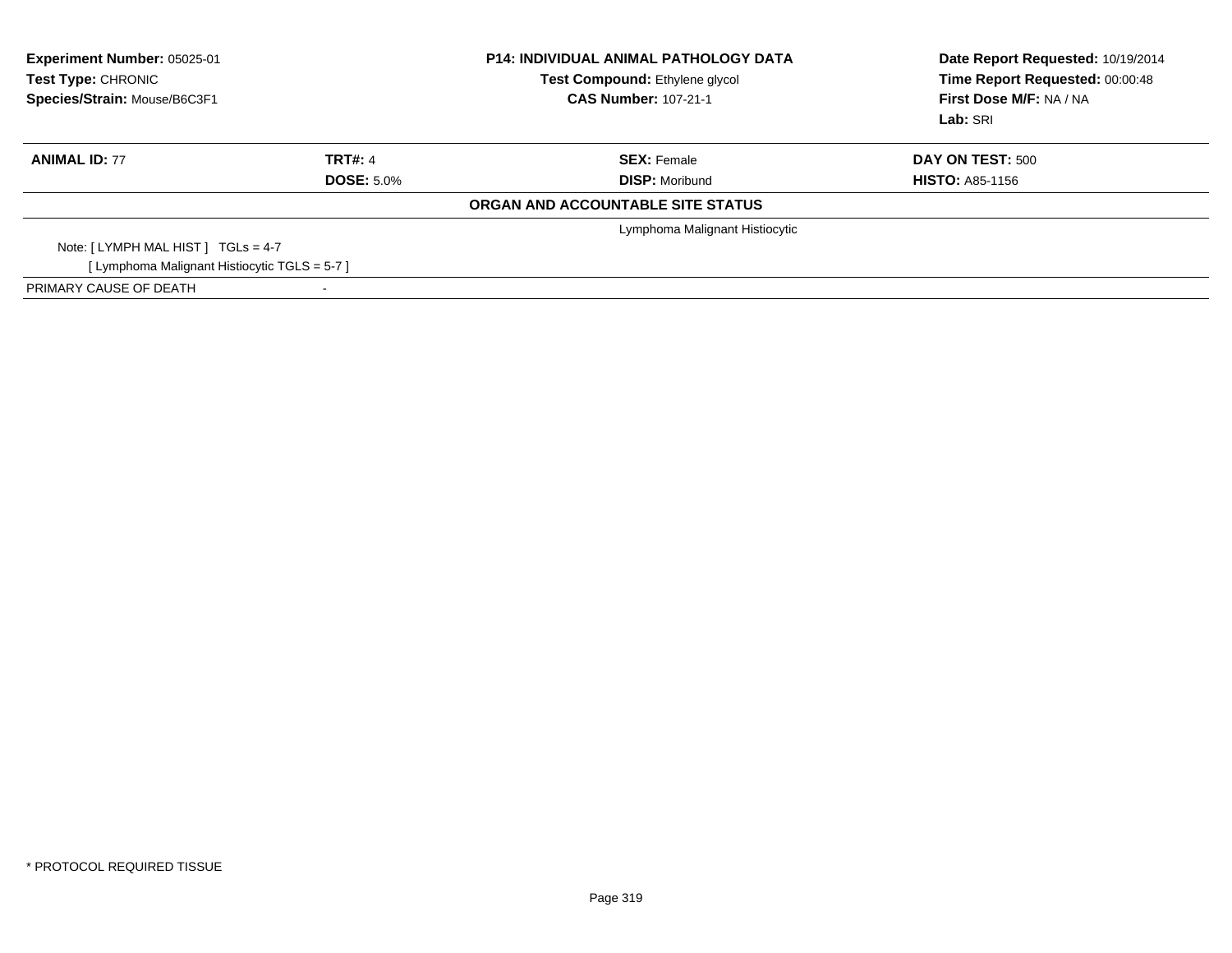| Experiment Number: 05025-01<br>Test Type: CHRONIC<br>Species/Strain: Mouse/B6C3F1 |                          | <b>P14: INDIVIDUAL ANIMAL PATHOLOGY DATA</b><br>Test Compound: Ethylene glycol<br><b>CAS Number: 107-21-1</b> | Date Report Requested: 10/19/2014<br>Time Report Requested: 00:00:48<br>First Dose M/F: NA / NA<br>Lab: SRI |
|-----------------------------------------------------------------------------------|--------------------------|---------------------------------------------------------------------------------------------------------------|-------------------------------------------------------------------------------------------------------------|
| <b>ANIMAL ID: 77</b>                                                              | <b>TRT#: 4</b>           | <b>SEX: Female</b>                                                                                            | <b>DAY ON TEST: 500</b>                                                                                     |
|                                                                                   | <b>DOSE: 5.0%</b>        | <b>DISP: Moribund</b>                                                                                         | <b>HISTO: A85-1156</b>                                                                                      |
|                                                                                   |                          | ORGAN AND ACCOUNTABLE SITE STATUS                                                                             |                                                                                                             |
|                                                                                   |                          | Lymphoma Malignant Histiocytic                                                                                |                                                                                                             |
| Note: $[LYMPH MAL HIST] TGLs = 4-7$                                               |                          |                                                                                                               |                                                                                                             |
| [ Lymphoma Malignant Histiocytic TGLS = 5-7 ]                                     |                          |                                                                                                               |                                                                                                             |
| PRIMARY CAUSE OF DEATH                                                            | $\overline{\phantom{a}}$ |                                                                                                               |                                                                                                             |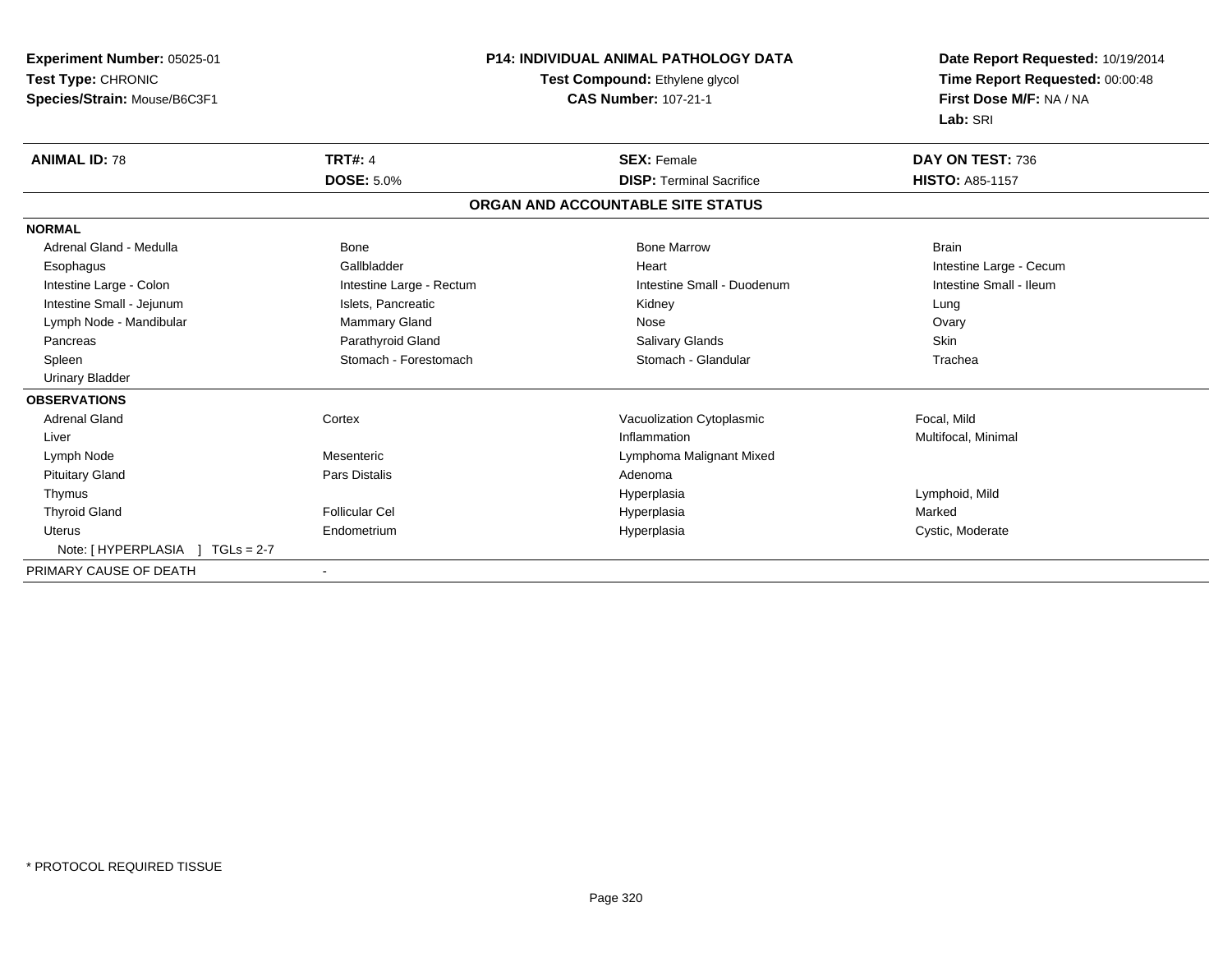| Experiment Number: 05025-01     | <b>P14: INDIVIDUAL ANIMAL PATHOLOGY DATA</b><br>Test Compound: Ethylene glycol |                                   | Date Report Requested: 10/19/2014 |  |
|---------------------------------|--------------------------------------------------------------------------------|-----------------------------------|-----------------------------------|--|
| Test Type: CHRONIC              |                                                                                |                                   | Time Report Requested: 00:00:48   |  |
| Species/Strain: Mouse/B6C3F1    |                                                                                | <b>CAS Number: 107-21-1</b>       | First Dose M/F: NA / NA           |  |
|                                 |                                                                                |                                   | Lab: SRI                          |  |
| <b>ANIMAL ID: 78</b>            | <b>TRT#: 4</b>                                                                 | <b>SEX: Female</b>                | DAY ON TEST: 736                  |  |
|                                 | <b>DOSE: 5.0%</b>                                                              | <b>DISP: Terminal Sacrifice</b>   | <b>HISTO: A85-1157</b>            |  |
|                                 |                                                                                | ORGAN AND ACCOUNTABLE SITE STATUS |                                   |  |
| <b>NORMAL</b>                   |                                                                                |                                   |                                   |  |
| Adrenal Gland - Medulla         | <b>Bone</b>                                                                    | <b>Bone Marrow</b>                | <b>Brain</b>                      |  |
| Esophagus                       | Gallbladder                                                                    | Heart                             | Intestine Large - Cecum           |  |
| Intestine Large - Colon         | Intestine Large - Rectum                                                       | Intestine Small - Duodenum        | Intestine Small - Ileum           |  |
| Intestine Small - Jejunum       | Islets, Pancreatic                                                             | Kidney                            | Lung                              |  |
| Lymph Node - Mandibular         | Mammary Gland                                                                  | Nose                              | Ovary                             |  |
| Pancreas                        | Parathyroid Gland                                                              | Salivary Glands                   | Skin                              |  |
| Spleen                          | Stomach - Forestomach                                                          | Stomach - Glandular               | Trachea                           |  |
| <b>Urinary Bladder</b>          |                                                                                |                                   |                                   |  |
| <b>OBSERVATIONS</b>             |                                                                                |                                   |                                   |  |
| <b>Adrenal Gland</b>            | Cortex                                                                         | Vacuolization Cytoplasmic         | Focal, Mild                       |  |
| Liver                           |                                                                                | Inflammation                      | Multifocal, Minimal               |  |
| Lymph Node                      | Mesenteric                                                                     | Lymphoma Malignant Mixed          |                                   |  |
| <b>Pituitary Gland</b>          | <b>Pars Distalis</b>                                                           | Adenoma                           |                                   |  |
| Thymus                          |                                                                                | Hyperplasia                       | Lymphoid, Mild                    |  |
| <b>Thyroid Gland</b>            | <b>Follicular Cel</b>                                                          | Hyperplasia                       | Marked                            |  |
| Uterus                          | Endometrium                                                                    | Hyperplasia                       | Cystic, Moderate                  |  |
| Note: [HYPERPLASIA ] TGLs = 2-7 |                                                                                |                                   |                                   |  |
| PRIMARY CAUSE OF DEATH          |                                                                                |                                   |                                   |  |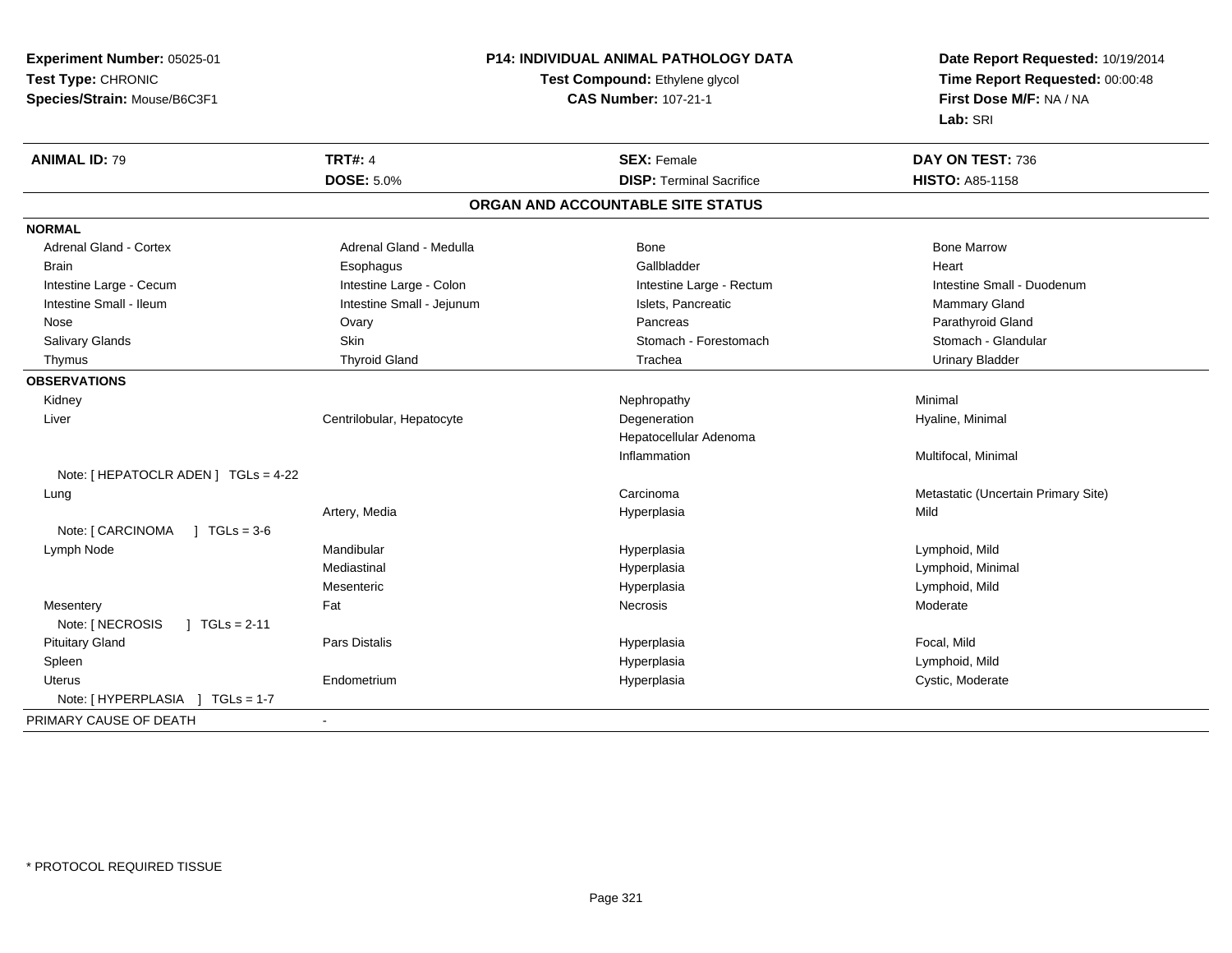| Experiment Number: 05025-01               |                           | P14: INDIVIDUAL ANIMAL PATHOLOGY DATA | Date Report Requested: 10/19/2014                                      |  |
|-------------------------------------------|---------------------------|---------------------------------------|------------------------------------------------------------------------|--|
| Test Type: CHRONIC                        |                           | Test Compound: Ethylene glycol        | Time Report Requested: 00:00:48<br>First Dose M/F: NA / NA<br>Lab: SRI |  |
| Species/Strain: Mouse/B6C3F1              |                           | <b>CAS Number: 107-21-1</b>           |                                                                        |  |
|                                           |                           |                                       |                                                                        |  |
| <b>ANIMAL ID: 79</b>                      | <b>TRT#: 4</b>            | <b>SEX: Female</b>                    | DAY ON TEST: 736                                                       |  |
|                                           | <b>DOSE: 5.0%</b>         | <b>DISP: Terminal Sacrifice</b>       | <b>HISTO: A85-1158</b>                                                 |  |
|                                           |                           | ORGAN AND ACCOUNTABLE SITE STATUS     |                                                                        |  |
| <b>NORMAL</b>                             |                           |                                       |                                                                        |  |
| <b>Adrenal Gland - Cortex</b>             | Adrenal Gland - Medulla   | Bone                                  | <b>Bone Marrow</b>                                                     |  |
| Brain                                     | Esophagus                 | Gallbladder                           | Heart                                                                  |  |
| Intestine Large - Cecum                   | Intestine Large - Colon   | Intestine Large - Rectum              | Intestine Small - Duodenum                                             |  |
| Intestine Small - Ileum                   | Intestine Small - Jejunum | Islets, Pancreatic                    | <b>Mammary Gland</b>                                                   |  |
| Nose                                      | Ovary                     | Pancreas                              | Parathyroid Gland                                                      |  |
| Salivary Glands                           | Skin                      | Stomach - Forestomach                 | Stomach - Glandular                                                    |  |
| Thymus                                    | <b>Thyroid Gland</b>      | Trachea                               | <b>Urinary Bladder</b>                                                 |  |
| <b>OBSERVATIONS</b>                       |                           |                                       |                                                                        |  |
| Kidney                                    |                           | Nephropathy                           | Minimal                                                                |  |
| Liver                                     | Centrilobular, Hepatocyte | Degeneration                          | Hyaline, Minimal                                                       |  |
|                                           |                           | Hepatocellular Adenoma                |                                                                        |  |
|                                           |                           | Inflammation                          | Multifocal, Minimal                                                    |  |
| Note: [ HEPATOCLR ADEN ] TGLs = 4-22      |                           |                                       |                                                                        |  |
| Lung                                      |                           | Carcinoma                             | Metastatic (Uncertain Primary Site)                                    |  |
|                                           | Artery, Media             | Hyperplasia                           | Mild                                                                   |  |
| Note: [ CARCINOMA<br>$J \cdot TGLs = 3-6$ |                           |                                       |                                                                        |  |
| Lymph Node                                | Mandibular                | Hyperplasia                           | Lymphoid, Mild                                                         |  |
|                                           | Mediastinal               | Hyperplasia                           | Lymphoid, Minimal                                                      |  |
|                                           | Mesenteric                | Hyperplasia                           | Lymphoid, Mild                                                         |  |
| Mesentery                                 | Fat                       | Necrosis                              | Moderate                                                               |  |
| Note: [ NECROSIS<br>$] TGLs = 2-11$       |                           |                                       |                                                                        |  |
| <b>Pituitary Gland</b>                    | Pars Distalis             | Hyperplasia                           | Focal, Mild                                                            |  |
| Spleen                                    |                           | Hyperplasia                           | Lymphoid, Mild                                                         |  |
| <b>Uterus</b>                             | Endometrium               | Hyperplasia                           | Cystic, Moderate                                                       |  |
| Note: [HYPERPLASIA ] TGLs = 1-7           |                           |                                       |                                                                        |  |
| PRIMARY CAUSE OF DEATH                    | $\blacksquare$            |                                       |                                                                        |  |
|                                           |                           |                                       |                                                                        |  |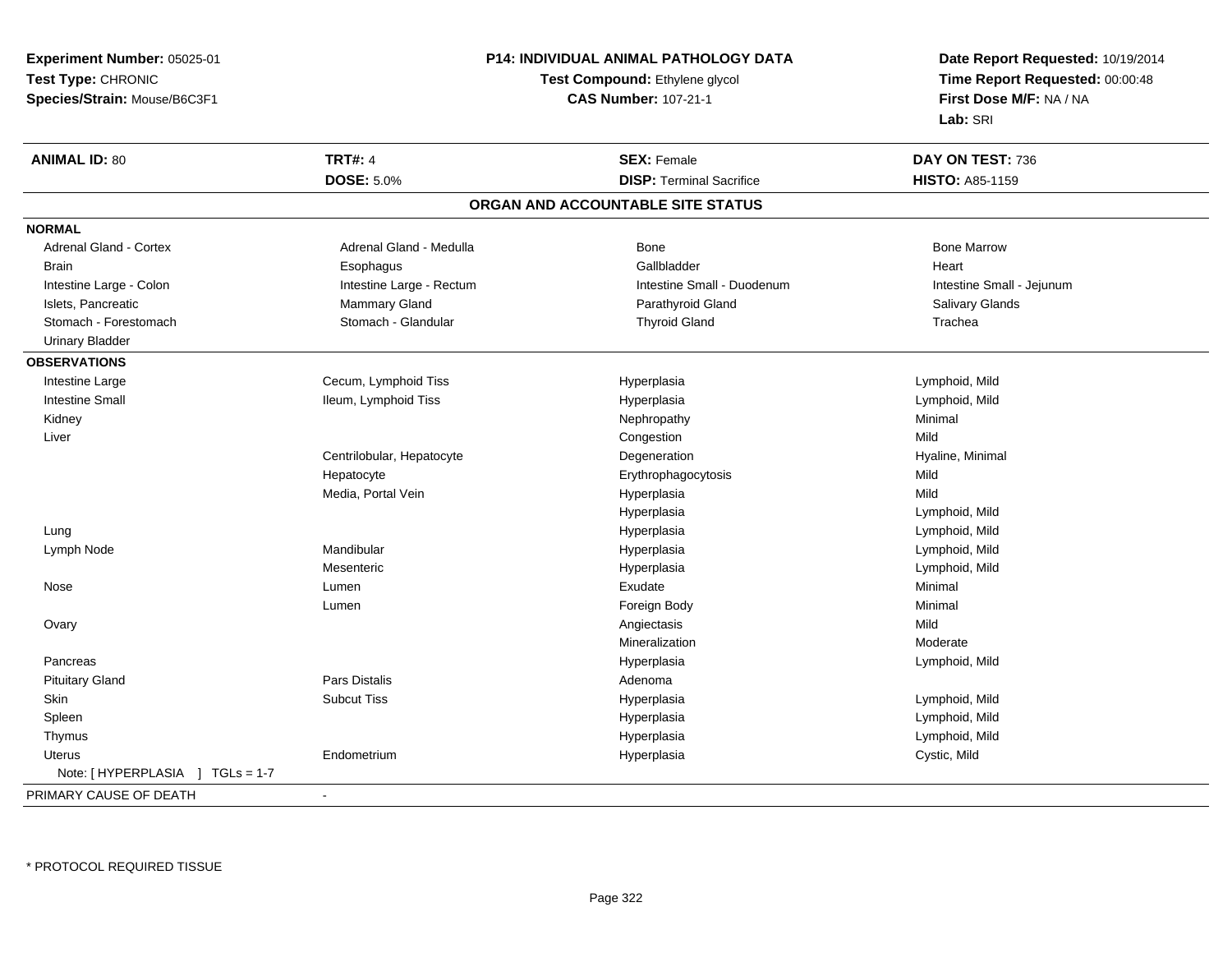**Experiment Number:** 05025-01**Test Type:** CHRONIC **Species/Strain:** Mouse/B6C3F1**P14: INDIVIDUAL ANIMAL PATHOLOGY DATATest Compound:** Ethylene glycol **CAS Number:** 107-21-1**Date Report Requested:** 10/19/2014**Time Report Requested:** 00:00:48**First Dose M/F:** NA / NA**Lab:** SRI**ANIMAL ID:** 80**TRT#:** 4 **SEX:** Female **DAY ON TEST:** 736 **DOSE:** 5.0%**DISP:** Terminal Sacrifice **HISTO:** A85-1159 **ORGAN AND ACCOUNTABLE SITE STATUSNORMALAdrenal Gland - Cortex** Adrenal Gland - Medulla **Bone Adrenal Gland - Cortex Adrenal Gland - Cortex Adrenal Gland - Medulla** Bone Marrow Brain Esophagus Esophagus Gallbladder Gallbladder Gallbladder Heart Intestine Large - Colon **Intestine Large - Rectum** Intestine Small - Duodenum Intestine Small - Intestine Small - Jejunum Islets, Pancreatic **Mannus Mammary Gland Community Community** Parathyroid Gland Parathyroid Gland Salivary Glands Stomach - Forestomach **Stomach - Glandular** Stomach - Glandular Thyroid Gland Theorem Cland Trachea Urinary Bladder**OBSERVATIONS** Intestine Large Cecum, Lymphoid Tiss Hyperplasia Lymphoid, Mild Intestine Small Ileum, Lymphoid Tiss Hyperplasia Lymphoid, Mild Kidneyy the controller of the controller of the controller of the Nephropathy the controller of the Minimal Minimal  $\lambda$  Liverr and the congression of the congression of the congression of the congression of the congression of the congression n Mild Centrilobular, HepatocyteDegeneration Minimal Degeneration Controller and Minimal Hyaline, Minimal Degeneration Controller and Minimal Controller and Minimal Degeneration Controller and Minimal Degeneration Controller and Minimal Degeneration Cont HepatocyteErythrophagocytosis Media, Portal Vein Hyperplasia Mild Hyperplasia Lymphoid, Mild Lungg and the set of the set of the set of the Hyperplasia set of the set of the Lymphoid, Mild and the set of the set of the set of the set of the set of the set of the set of the set of the set of the set of the set of the s Lymph Node Mandibular Hyperplasia Lymphoid, Mild Mesenteric Hyperplasia Lymphoid, Mild Nosee en and the settlement of the settlement of the settlement of the Sudate Minimal Section of the Minimal Section of the Minimal Section of the Sudate of the Sudate of the Sudate of the Sudate of the Sudate of the Sudate of Lumenn and the control of the Foreign Body and the control of the Minimal Minimal of the Foreign Body and the control of  $\Gamma$  Ovaryy and the control of the control of the control of the control of the control of the control of the control of the control of the control of the control of the control of the control of the control of the control of the co n Moderate Mineralization Pancreas Hyperplasia Lymphoid, Mild Pituitary Glandd and the contract of Pars Distalis and the contract of Adenoma and Adenoma and the Adenoma and the Adenoma and  $\lambda$  Skin Subcut Tiss Hyperplasia Lymphoid, Mild Spleenn and the settlement of the settlement of the Hyperplasia controller that the settlement of the Lymphoid, Mild Thymus HyperplasiaHyperplasia **Manufather Community** Lymphoid, Mild Uterus Endometrium Hyperplasia Cystic, Mild Note: [ HYPERPLASIA ] TGLs = 1-7PRIMARY CAUSE OF DEATH-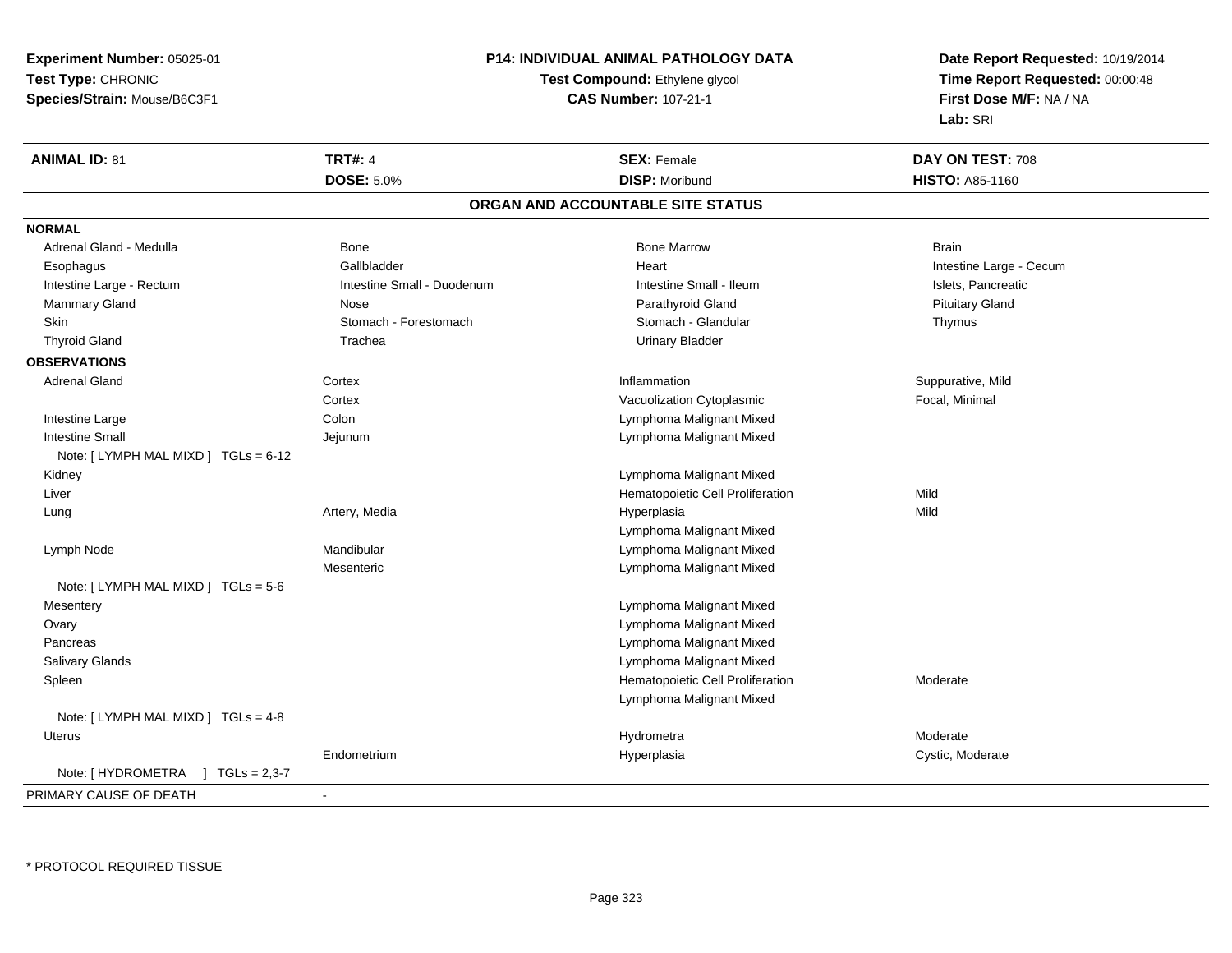**Experiment Number:** 05025-01**Test Type:** CHRONIC**Species/Strain:** Mouse/B6C3F1

## **P14: INDIVIDUAL ANIMAL PATHOLOGY DATA**

## **Test Compound:** Ethylene glycol **CAS Number:** 107-21-1

**Date Report Requested:** 10/19/2014 **Time Report Requested:** 00:00:48**First Dose M/F:** NA / NA**Lab:** SRI

| <b>ANIMAL ID: 81</b>                           | <b>TRT#: 4</b>             | <b>SEX: Female</b>                | DAY ON TEST: 708        |
|------------------------------------------------|----------------------------|-----------------------------------|-------------------------|
|                                                | <b>DOSE: 5.0%</b>          | <b>DISP: Moribund</b>             | <b>HISTO: A85-1160</b>  |
|                                                |                            | ORGAN AND ACCOUNTABLE SITE STATUS |                         |
| <b>NORMAL</b>                                  |                            |                                   |                         |
| Adrenal Gland - Medulla                        | Bone                       | <b>Bone Marrow</b>                | <b>Brain</b>            |
| Esophagus                                      | Gallbladder                | Heart                             | Intestine Large - Cecum |
| Intestine Large - Rectum                       | Intestine Small - Duodenum | Intestine Small - Ileum           | Islets, Pancreatic      |
| Mammary Gland                                  | Nose                       | Parathyroid Gland                 | <b>Pituitary Gland</b>  |
| <b>Skin</b>                                    | Stomach - Forestomach      | Stomach - Glandular               | Thymus                  |
| <b>Thyroid Gland</b>                           | Trachea                    | <b>Urinary Bladder</b>            |                         |
| <b>OBSERVATIONS</b>                            |                            |                                   |                         |
| <b>Adrenal Gland</b>                           | Cortex                     | Inflammation                      | Suppurative, Mild       |
|                                                | Cortex                     | Vacuolization Cytoplasmic         | Focal, Minimal          |
| Intestine Large                                | Colon                      | Lymphoma Malignant Mixed          |                         |
| <b>Intestine Small</b>                         | Jejunum                    | Lymphoma Malignant Mixed          |                         |
| Note: [LYMPH MAL MIXD ] TGLs = 6-12            |                            |                                   |                         |
| Kidney                                         |                            | Lymphoma Malignant Mixed          |                         |
| Liver                                          |                            | Hematopoietic Cell Proliferation  | Mild                    |
| Lung                                           | Artery, Media              | Hyperplasia                       | Mild                    |
|                                                |                            | Lymphoma Malignant Mixed          |                         |
| Lymph Node                                     | Mandibular                 | Lymphoma Malignant Mixed          |                         |
|                                                | Mesenteric                 | Lymphoma Malignant Mixed          |                         |
| Note: [LYMPH MAL MIXD ] TGLs = 5-6             |                            |                                   |                         |
| Mesentery                                      |                            | Lymphoma Malignant Mixed          |                         |
| Ovary                                          |                            | Lymphoma Malignant Mixed          |                         |
| Pancreas                                       |                            | Lymphoma Malignant Mixed          |                         |
| <b>Salivary Glands</b>                         |                            | Lymphoma Malignant Mixed          |                         |
| Spleen                                         |                            | Hematopoietic Cell Proliferation  | Moderate                |
|                                                |                            | Lymphoma Malignant Mixed          |                         |
| Note: [LYMPH MAL MIXD ] TGLs = 4-8             |                            |                                   |                         |
| Uterus                                         |                            | Hydrometra                        | Moderate                |
|                                                | Endometrium                | Hyperplasia                       | Cystic, Moderate        |
| Note: [ HYDROMETRA<br>$1 \text{ TGLs} = 2,3-7$ |                            |                                   |                         |
| PRIMARY CAUSE OF DEATH                         | $\blacksquare$             |                                   |                         |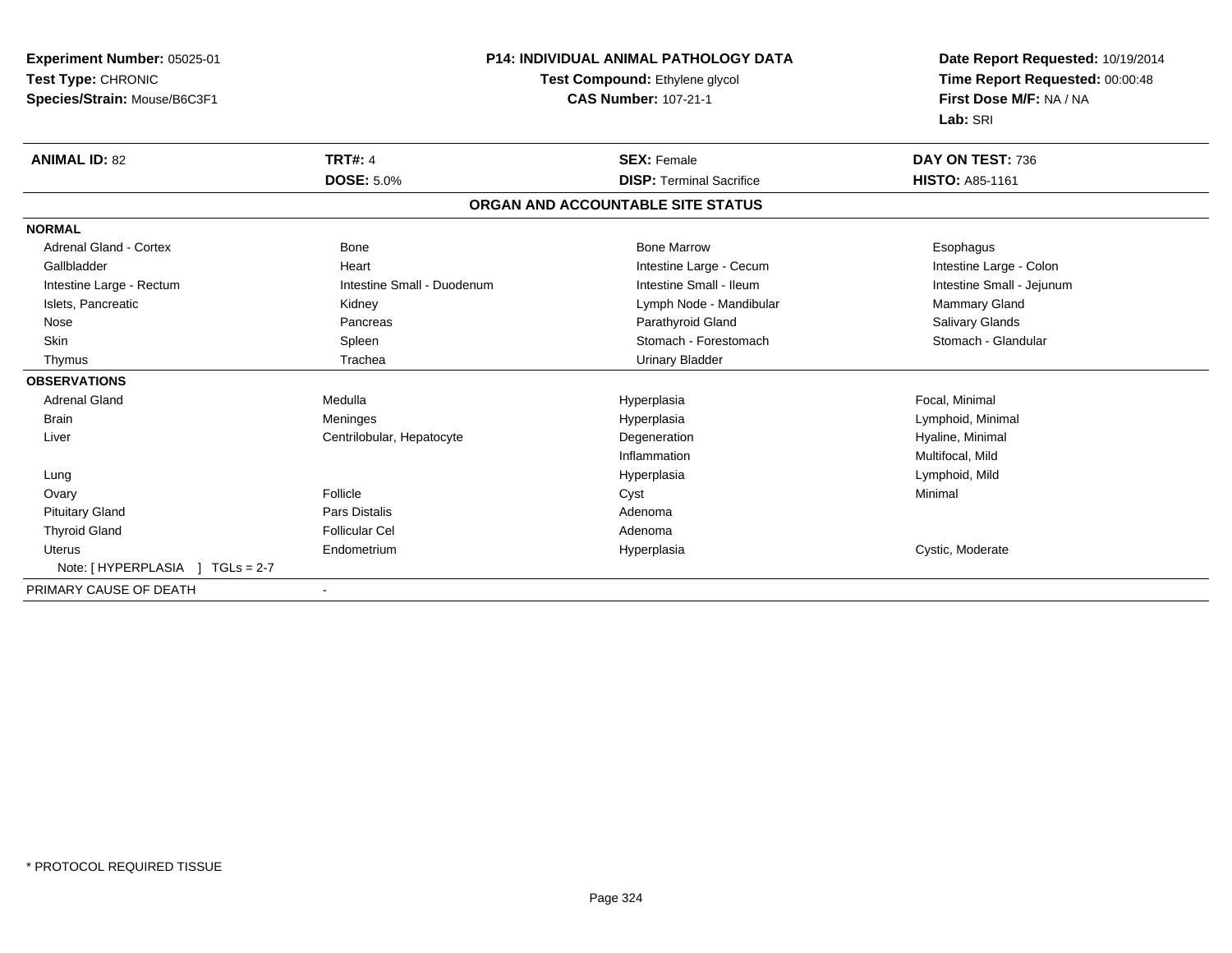**Experiment Number:** 05025-01**Test Type:** CHRONIC **Species/Strain:** Mouse/B6C3F1**P14: INDIVIDUAL ANIMAL PATHOLOGY DATATest Compound:** Ethylene glycol **CAS Number:** 107-21-1**Date Report Requested:** 10/19/2014**Time Report Requested:** 00:00:48**First Dose M/F:** NA / NA**Lab:** SRI**ANIMAL ID:** 82**TRT#:** 4 **SEX:** Female **DAY ON TEST:** 736 **DOSE:** 5.0%**DISP:** Terminal Sacrifice **HISTO:** A85-1161 **ORGAN AND ACCOUNTABLE SITE STATUSNORMAL**Adrenal Gland - Cortex **Administrative Cortex** Bone Bone Marrow Bone Marrow Bone Marrow **Esophagus** Esophagus Intestine Large - Colon Gallbladder **East Community Community** Heart Intestine Large - Cecum Intestine Large - Cecum Intestine Small - Jejunum Intestine Large - Rectum **Intestine Small - Duodenum** Intestine Small - Ileum Intestine Small - Ileum Islets, Pancreatic **Mammary Gland** Kidney **Commary Commary Commary Commary Commary Commary Commary Commary Commary Commary Commary Commary Commary Commary Commary Commary Commary Commary Commary Commary Commary Commary Com** Salivary Glands Nose Pancreas Parathyroid Gland Salivary GlandsStomach - Glandular Skin Stomach - Forestomach Spleen Stomach - Forestomach - Stomach - Forestomach - Stomach - Forestomach - Glandular Thymus Trachea Urinary Bladder**OBSERVATIONS** Adrenal Gland Medulla Hyperplasia Focal, Minimal Brain Meninges Hyperplasia Lymphoid, Minimal Liver Centrilobular, HepatocyteDegeneration **Hyaline**, Minimal Inflammation Multifocal, Mild Lungg and the set of the set of the set of the Hyperplasia set of the set of the Lymphoid, Mild and the set of the set of the set of the set of the set of the set of the set of the set of the set of the set of the set of the s Ovaryy **Follicle** e and the contract of the Cyst and the Cyst of the Cyst and the Minimal Minimal of the Minimal of the Cyst and the Cyst and the Cyst and the Cyst and the Cyst and the Cyst and the Cyst and the Cyst and the Cyst and the Cys Pituitary Glandd and the contract of Pars Distalis and the contract of Adenoma and Adenoma and the Adenoma and the Adenoma and  $\lambda$  Thyroid Glandd and the set of the Follicular Cel the set of the Second Adenomal Adenomal Second Second Second Second Second Second Second Second Second Second Second Second Second Second Second Second Second Second Second Second Second Uterus Endometrium Hyperplasia Cystic, Moderate Note: [ HYPERPLASIA ] TGLs = 2-7PRIMARY CAUSE OF DEATH-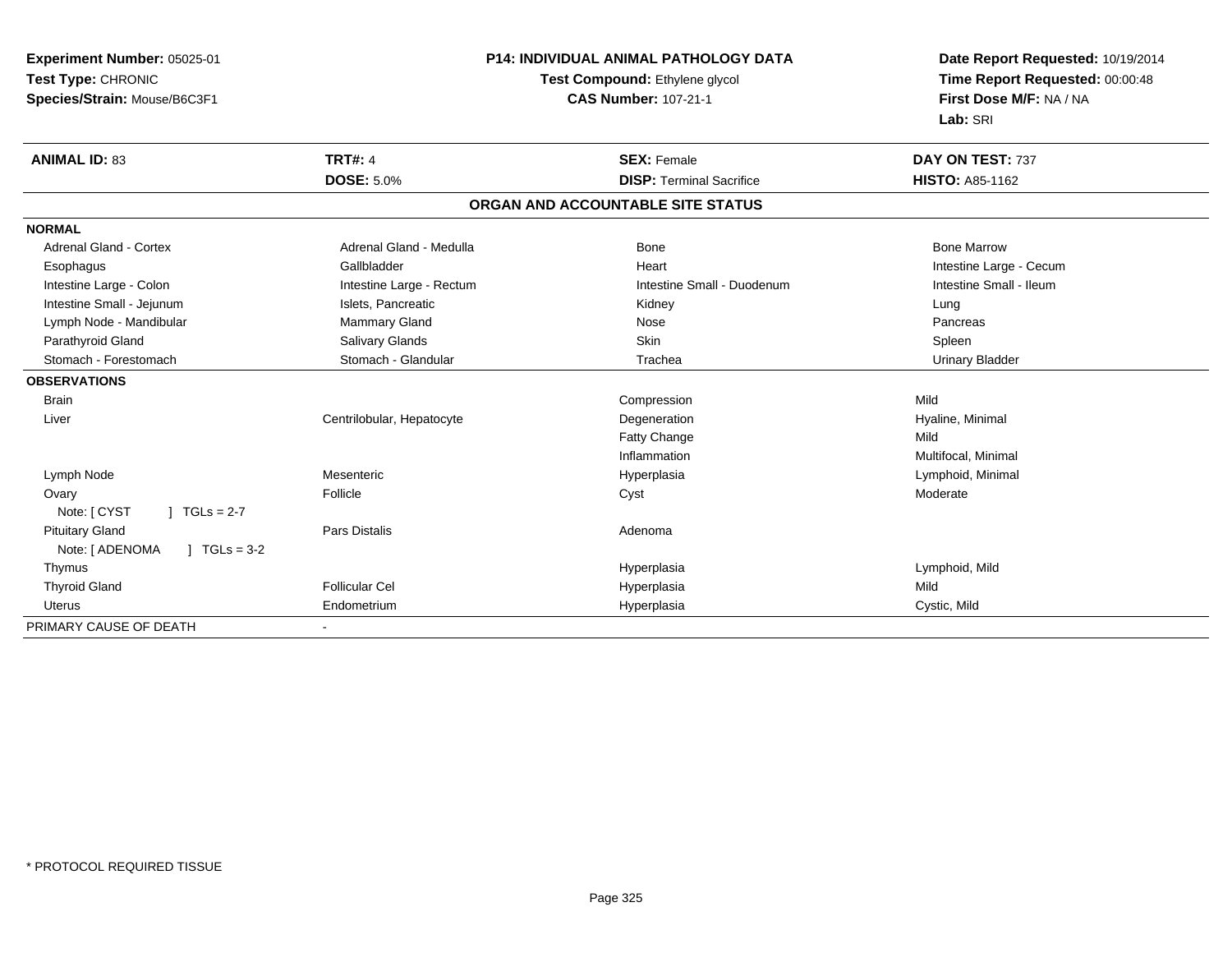| <b>Experiment Number: 05025-01</b>      | <b>P14: INDIVIDUAL ANIMAL PATHOLOGY DATA</b> |                                   | Date Report Requested: 10/19/2014<br>Time Report Requested: 00:00:48 |  |
|-----------------------------------------|----------------------------------------------|-----------------------------------|----------------------------------------------------------------------|--|
| Test Type: CHRONIC                      |                                              | Test Compound: Ethylene glycol    |                                                                      |  |
| Species/Strain: Mouse/B6C3F1            |                                              | <b>CAS Number: 107-21-1</b>       | First Dose M/F: NA / NA                                              |  |
|                                         |                                              |                                   | Lab: SRI                                                             |  |
| <b>ANIMAL ID: 83</b>                    | <b>TRT#: 4</b>                               | <b>SEX: Female</b>                | DAY ON TEST: 737                                                     |  |
|                                         | <b>DOSE: 5.0%</b>                            | <b>DISP: Terminal Sacrifice</b>   | HISTO: A85-1162                                                      |  |
|                                         |                                              | ORGAN AND ACCOUNTABLE SITE STATUS |                                                                      |  |
| <b>NORMAL</b>                           |                                              |                                   |                                                                      |  |
| Adrenal Gland - Cortex                  | Adrenal Gland - Medulla                      | Bone                              | <b>Bone Marrow</b>                                                   |  |
| Esophagus                               | Gallbladder                                  | Heart                             | Intestine Large - Cecum                                              |  |
| Intestine Large - Colon                 | Intestine Large - Rectum                     | Intestine Small - Duodenum        | Intestine Small - Ileum                                              |  |
| Intestine Small - Jejunum               | Islets, Pancreatic                           | Kidney                            | Lung                                                                 |  |
| Lymph Node - Mandibular                 | <b>Mammary Gland</b>                         | Nose                              | Pancreas                                                             |  |
| Parathyroid Gland                       | Salivary Glands                              | Skin                              | Spleen                                                               |  |
| Stomach - Forestomach                   | Stomach - Glandular                          | Trachea                           | <b>Urinary Bladder</b>                                               |  |
| <b>OBSERVATIONS</b>                     |                                              |                                   |                                                                      |  |
| <b>Brain</b>                            |                                              | Compression                       | Mild                                                                 |  |
| Liver                                   | Centrilobular, Hepatocyte                    | Degeneration                      | Hyaline, Minimal                                                     |  |
|                                         |                                              | Fatty Change                      | Mild                                                                 |  |
|                                         |                                              | Inflammation                      | Multifocal, Minimal                                                  |  |
| Lymph Node                              | Mesenteric                                   | Hyperplasia                       | Lymphoid, Minimal                                                    |  |
| Ovary                                   | Follicle                                     | Cyst                              | Moderate                                                             |  |
| Note: [ CYST<br>$1 TGLs = 2-7$          |                                              |                                   |                                                                      |  |
| <b>Pituitary Gland</b>                  | <b>Pars Distalis</b>                         | Adenoma                           |                                                                      |  |
| Note: [ ADENOMA<br>$J \cdot TGLs = 3-2$ |                                              |                                   |                                                                      |  |
| Thymus                                  |                                              | Hyperplasia                       | Lymphoid, Mild                                                       |  |
| <b>Thyroid Gland</b>                    | <b>Follicular Cel</b>                        | Hyperplasia                       | Mild                                                                 |  |
| Uterus                                  | Endometrium                                  | Hyperplasia                       | Cystic, Mild                                                         |  |
| PRIMARY CAUSE OF DEATH                  |                                              |                                   |                                                                      |  |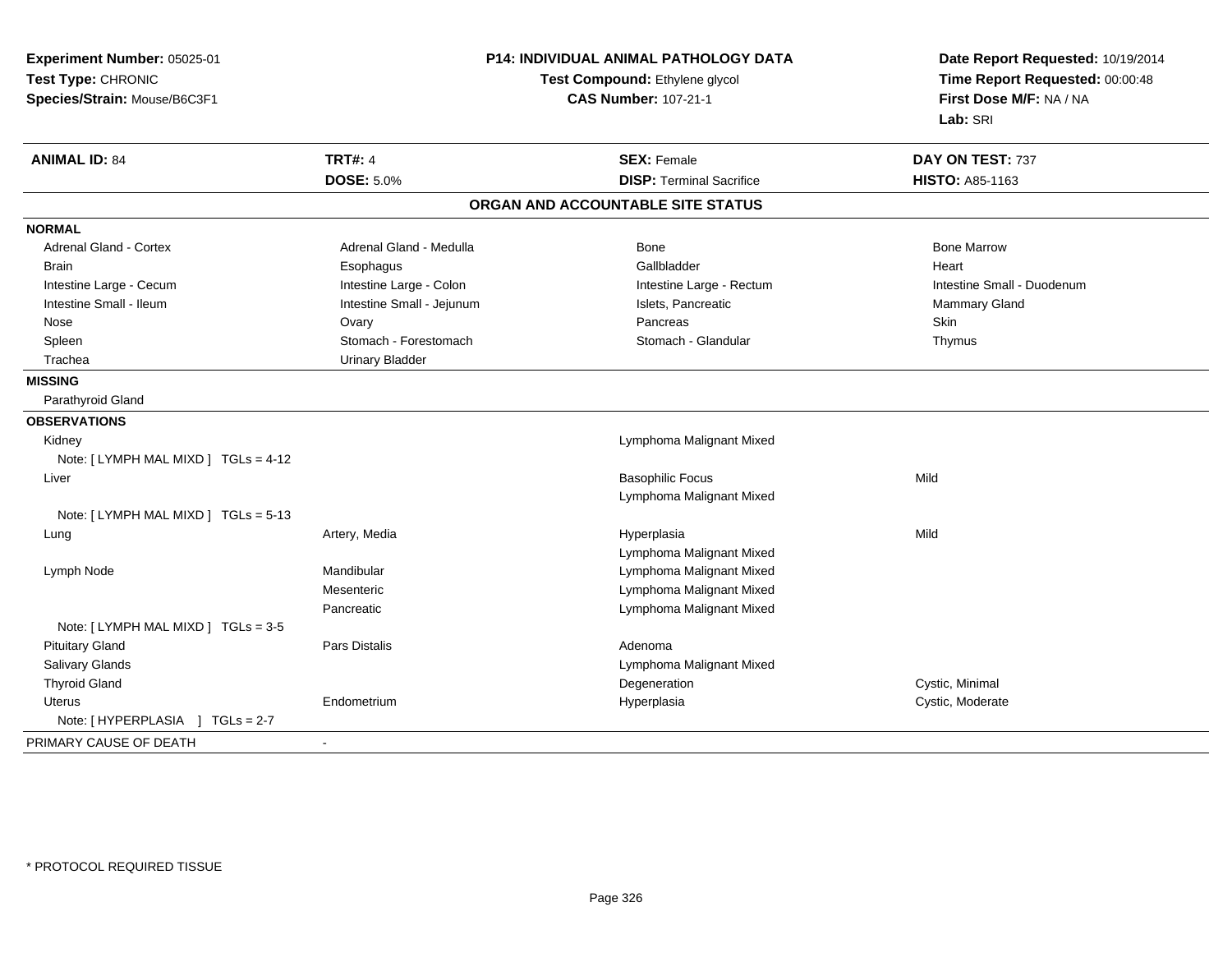| Experiment Number: 05025-01<br>Test Type: CHRONIC<br>Species/Strain: Mouse/B6C3F1 |                           | <b>P14: INDIVIDUAL ANIMAL PATHOLOGY DATA</b><br>Test Compound: Ethylene glycol<br><b>CAS Number: 107-21-1</b> | Date Report Requested: 10/19/2014<br>Time Report Requested: 00:00:48<br>First Dose M/F: NA / NA<br>Lab: SRI |
|-----------------------------------------------------------------------------------|---------------------------|---------------------------------------------------------------------------------------------------------------|-------------------------------------------------------------------------------------------------------------|
| <b>ANIMAL ID: 84</b>                                                              | <b>TRT#: 4</b>            | <b>SEX: Female</b>                                                                                            | DAY ON TEST: 737                                                                                            |
|                                                                                   | <b>DOSE: 5.0%</b>         | <b>DISP: Terminal Sacrifice</b>                                                                               | HISTO: A85-1163                                                                                             |
|                                                                                   |                           | ORGAN AND ACCOUNTABLE SITE STATUS                                                                             |                                                                                                             |
| <b>NORMAL</b>                                                                     |                           |                                                                                                               |                                                                                                             |
| <b>Adrenal Gland - Cortex</b>                                                     | Adrenal Gland - Medulla   | Bone                                                                                                          | <b>Bone Marrow</b>                                                                                          |
| <b>Brain</b>                                                                      | Esophagus                 | Gallbladder                                                                                                   | Heart                                                                                                       |
| Intestine Large - Cecum                                                           | Intestine Large - Colon   | Intestine Large - Rectum                                                                                      | Intestine Small - Duodenum                                                                                  |
| Intestine Small - Ileum                                                           | Intestine Small - Jejunum | Islets, Pancreatic                                                                                            | Mammary Gland                                                                                               |
| Nose                                                                              | Ovary                     | Pancreas                                                                                                      | Skin                                                                                                        |
| Spleen                                                                            | Stomach - Forestomach     | Stomach - Glandular                                                                                           | Thymus                                                                                                      |
| Trachea                                                                           | <b>Urinary Bladder</b>    |                                                                                                               |                                                                                                             |
| <b>MISSING</b>                                                                    |                           |                                                                                                               |                                                                                                             |
| Parathyroid Gland                                                                 |                           |                                                                                                               |                                                                                                             |
| <b>OBSERVATIONS</b>                                                               |                           |                                                                                                               |                                                                                                             |
| Kidney                                                                            |                           | Lymphoma Malignant Mixed                                                                                      |                                                                                                             |
| Note: [LYMPH MAL MIXD ] TGLs = 4-12                                               |                           |                                                                                                               |                                                                                                             |
| Liver                                                                             |                           | <b>Basophilic Focus</b>                                                                                       | Mild                                                                                                        |
|                                                                                   |                           | Lymphoma Malignant Mixed                                                                                      |                                                                                                             |
| Note: [LYMPH MAL MIXD ] TGLs = 5-13                                               |                           |                                                                                                               |                                                                                                             |
| Lung                                                                              | Artery, Media             | Hyperplasia                                                                                                   | Mild                                                                                                        |
|                                                                                   |                           | Lymphoma Malignant Mixed                                                                                      |                                                                                                             |
| Lymph Node                                                                        | Mandibular                | Lymphoma Malignant Mixed                                                                                      |                                                                                                             |
|                                                                                   | Mesenteric                | Lymphoma Malignant Mixed                                                                                      |                                                                                                             |
|                                                                                   | Pancreatic                | Lymphoma Malignant Mixed                                                                                      |                                                                                                             |
| Note: [LYMPH MAL MIXD ] TGLs = 3-5                                                |                           |                                                                                                               |                                                                                                             |
| <b>Pituitary Gland</b>                                                            | Pars Distalis             | Adenoma                                                                                                       |                                                                                                             |
| <b>Salivary Glands</b>                                                            |                           | Lymphoma Malignant Mixed                                                                                      |                                                                                                             |
| <b>Thyroid Gland</b>                                                              |                           | Degeneration                                                                                                  | Cystic, Minimal                                                                                             |
| <b>Uterus</b>                                                                     | Endometrium               | Hyperplasia                                                                                                   | Cystic, Moderate                                                                                            |
| Note: [HYPERPLASIA ] TGLs = 2-7                                                   |                           |                                                                                                               |                                                                                                             |
| PRIMARY CAUSE OF DEATH                                                            |                           |                                                                                                               |                                                                                                             |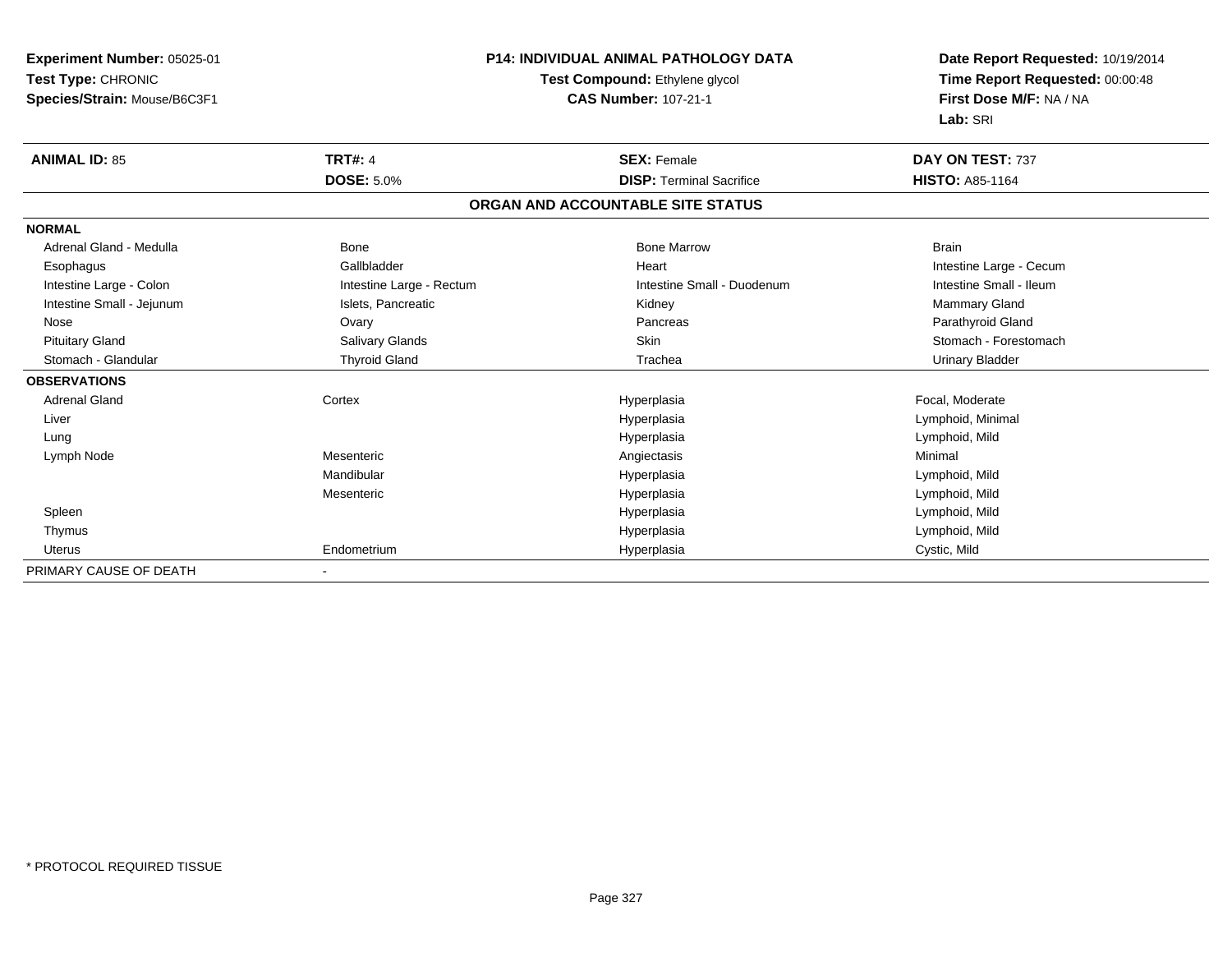| Experiment Number: 05025-01  | <b>P14: INDIVIDUAL ANIMAL PATHOLOGY DATA</b> |                                   | Date Report Requested: 10/19/2014                          |
|------------------------------|----------------------------------------------|-----------------------------------|------------------------------------------------------------|
| Test Type: CHRONIC           |                                              | Test Compound: Ethylene glycol    |                                                            |
| Species/Strain: Mouse/B6C3F1 |                                              | <b>CAS Number: 107-21-1</b>       | Time Report Requested: 00:00:48<br>First Dose M/F: NA / NA |
|                              |                                              |                                   | Lab: SRI                                                   |
| <b>ANIMAL ID: 85</b>         | <b>TRT#: 4</b>                               | <b>SEX: Female</b>                | DAY ON TEST: 737                                           |
|                              | <b>DOSE: 5.0%</b>                            | <b>DISP: Terminal Sacrifice</b>   | <b>HISTO: A85-1164</b>                                     |
|                              |                                              | ORGAN AND ACCOUNTABLE SITE STATUS |                                                            |
| <b>NORMAL</b>                |                                              |                                   |                                                            |
| Adrenal Gland - Medulla      | Bone                                         | <b>Bone Marrow</b>                | <b>Brain</b>                                               |
| Esophagus                    | Gallbladder                                  | Heart                             | Intestine Large - Cecum                                    |
| Intestine Large - Colon      | Intestine Large - Rectum                     | Intestine Small - Duodenum        | Intestine Small - Ileum                                    |
| Intestine Small - Jejunum    | Islets, Pancreatic                           | Kidney                            | Mammary Gland                                              |
| Nose                         | Ovary                                        | Pancreas                          | Parathyroid Gland                                          |
| <b>Pituitary Gland</b>       | Salivary Glands                              | <b>Skin</b>                       | Stomach - Forestomach                                      |
| Stomach - Glandular          | <b>Thyroid Gland</b>                         | Trachea                           | <b>Urinary Bladder</b>                                     |
| <b>OBSERVATIONS</b>          |                                              |                                   |                                                            |
| <b>Adrenal Gland</b>         | Cortex                                       | Hyperplasia                       | Focal, Moderate                                            |
| Liver                        |                                              | Hyperplasia                       | Lymphoid, Minimal                                          |
| Lung                         |                                              | Hyperplasia                       | Lymphoid, Mild                                             |
| Lymph Node                   | Mesenteric                                   | Angiectasis                       | Minimal                                                    |
|                              | Mandibular                                   | Hyperplasia                       | Lymphoid, Mild                                             |
|                              | Mesenteric                                   | Hyperplasia                       | Lymphoid, Mild                                             |
| Spleen                       |                                              | Hyperplasia                       | Lymphoid, Mild                                             |
| Thymus                       |                                              | Hyperplasia                       | Lymphoid, Mild                                             |
| <b>Uterus</b>                | Endometrium                                  | Hyperplasia                       | Cystic, Mild                                               |
| PRIMARY CAUSE OF DEATH       |                                              |                                   |                                                            |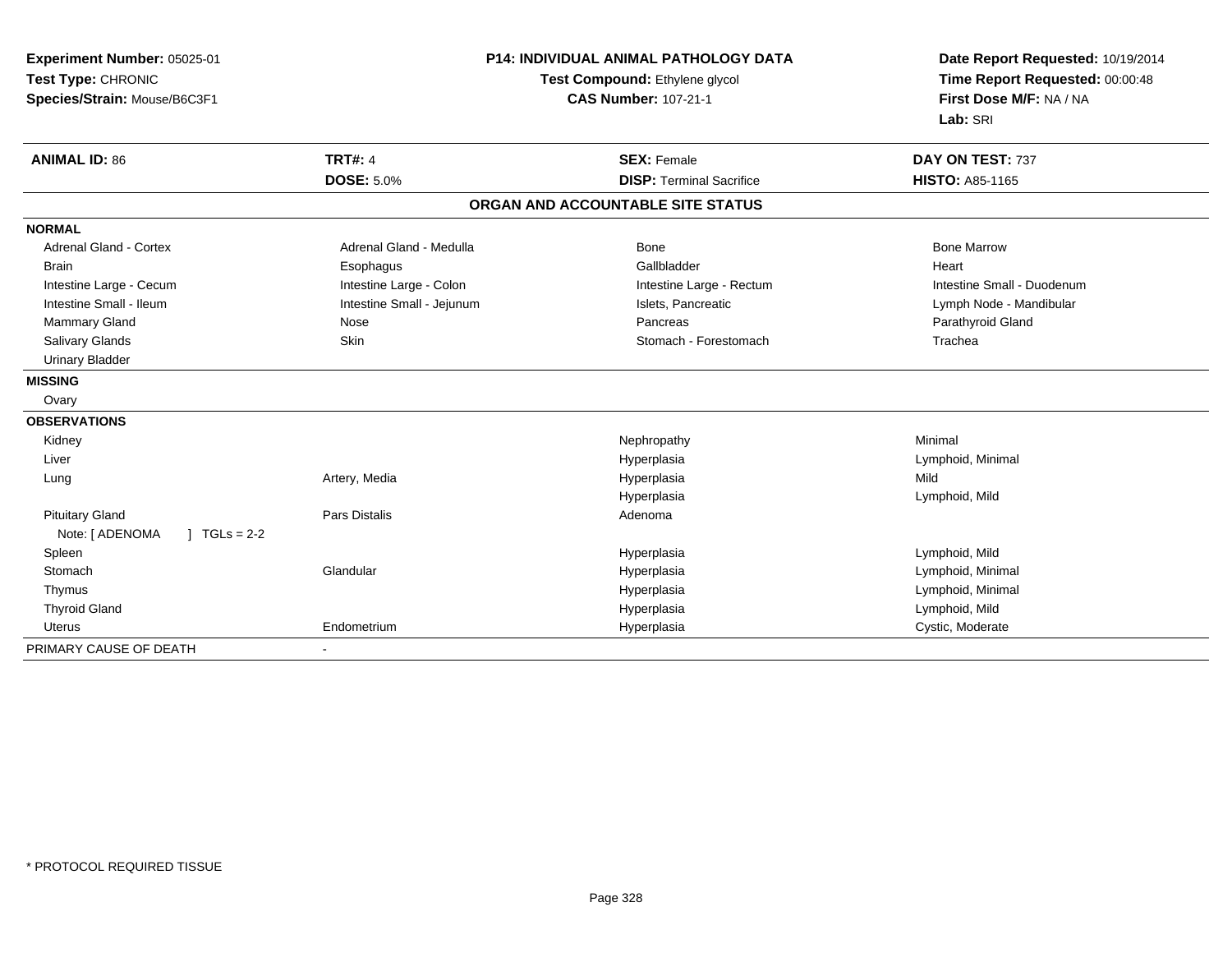| Experiment Number: 05025-01<br>Test Type: CHRONIC<br>Species/Strain: Mouse/B6C3F1 |                              | <b>P14: INDIVIDUAL ANIMAL PATHOLOGY DATA</b><br>Test Compound: Ethylene glycol<br><b>CAS Number: 107-21-1</b> | Date Report Requested: 10/19/2014<br>Time Report Requested: 00:00:48<br>First Dose M/F: NA / NA<br>Lab: SRI |
|-----------------------------------------------------------------------------------|------------------------------|---------------------------------------------------------------------------------------------------------------|-------------------------------------------------------------------------------------------------------------|
| <b>ANIMAL ID: 86</b>                                                              | <b>TRT#: 4</b>               | <b>SEX: Female</b>                                                                                            | DAY ON TEST: 737                                                                                            |
|                                                                                   | <b>DOSE: 5.0%</b>            | <b>DISP: Terminal Sacrifice</b>                                                                               | <b>HISTO: A85-1165</b>                                                                                      |
|                                                                                   |                              | ORGAN AND ACCOUNTABLE SITE STATUS                                                                             |                                                                                                             |
| <b>NORMAL</b>                                                                     |                              |                                                                                                               |                                                                                                             |
| <b>Adrenal Gland - Cortex</b>                                                     | Adrenal Gland - Medulla      | Bone                                                                                                          | <b>Bone Marrow</b>                                                                                          |
| <b>Brain</b>                                                                      | Esophagus                    | Gallbladder                                                                                                   | Heart                                                                                                       |
| Intestine Large - Cecum                                                           | Intestine Large - Colon      | Intestine Large - Rectum                                                                                      | Intestine Small - Duodenum                                                                                  |
| Intestine Small - Ileum                                                           | Intestine Small - Jejunum    | Islets, Pancreatic                                                                                            | Lymph Node - Mandibular                                                                                     |
| Mammary Gland                                                                     | Nose                         | Pancreas                                                                                                      | Parathyroid Gland                                                                                           |
| <b>Salivary Glands</b>                                                            | Skin                         | Stomach - Forestomach                                                                                         | Trachea                                                                                                     |
| <b>Urinary Bladder</b>                                                            |                              |                                                                                                               |                                                                                                             |
| <b>MISSING</b>                                                                    |                              |                                                                                                               |                                                                                                             |
| Ovary                                                                             |                              |                                                                                                               |                                                                                                             |
| <b>OBSERVATIONS</b>                                                               |                              |                                                                                                               |                                                                                                             |
| Kidney                                                                            |                              | Nephropathy                                                                                                   | Minimal                                                                                                     |
| Liver                                                                             |                              | Hyperplasia                                                                                                   | Lymphoid, Minimal                                                                                           |
| Lung                                                                              | Artery, Media                | Hyperplasia                                                                                                   | Mild                                                                                                        |
|                                                                                   |                              | Hyperplasia                                                                                                   | Lymphoid, Mild                                                                                              |
| <b>Pituitary Gland</b>                                                            | Pars Distalis                | Adenoma                                                                                                       |                                                                                                             |
| Note: [ ADENOMA<br>$1 TGLs = 2-2$                                                 |                              |                                                                                                               |                                                                                                             |
| Spleen                                                                            |                              | Hyperplasia                                                                                                   | Lymphoid, Mild                                                                                              |
| Stomach                                                                           | Glandular                    | Hyperplasia                                                                                                   | Lymphoid, Minimal                                                                                           |
| Thymus                                                                            |                              | Hyperplasia                                                                                                   | Lymphoid, Minimal                                                                                           |
| <b>Thyroid Gland</b>                                                              |                              | Hyperplasia                                                                                                   | Lymphoid, Mild                                                                                              |
| <b>Uterus</b>                                                                     | Endometrium                  | Hyperplasia                                                                                                   | Cystic, Moderate                                                                                            |
| PRIMARY CAUSE OF DEATH                                                            | $\qquad \qquad \blacksquare$ |                                                                                                               |                                                                                                             |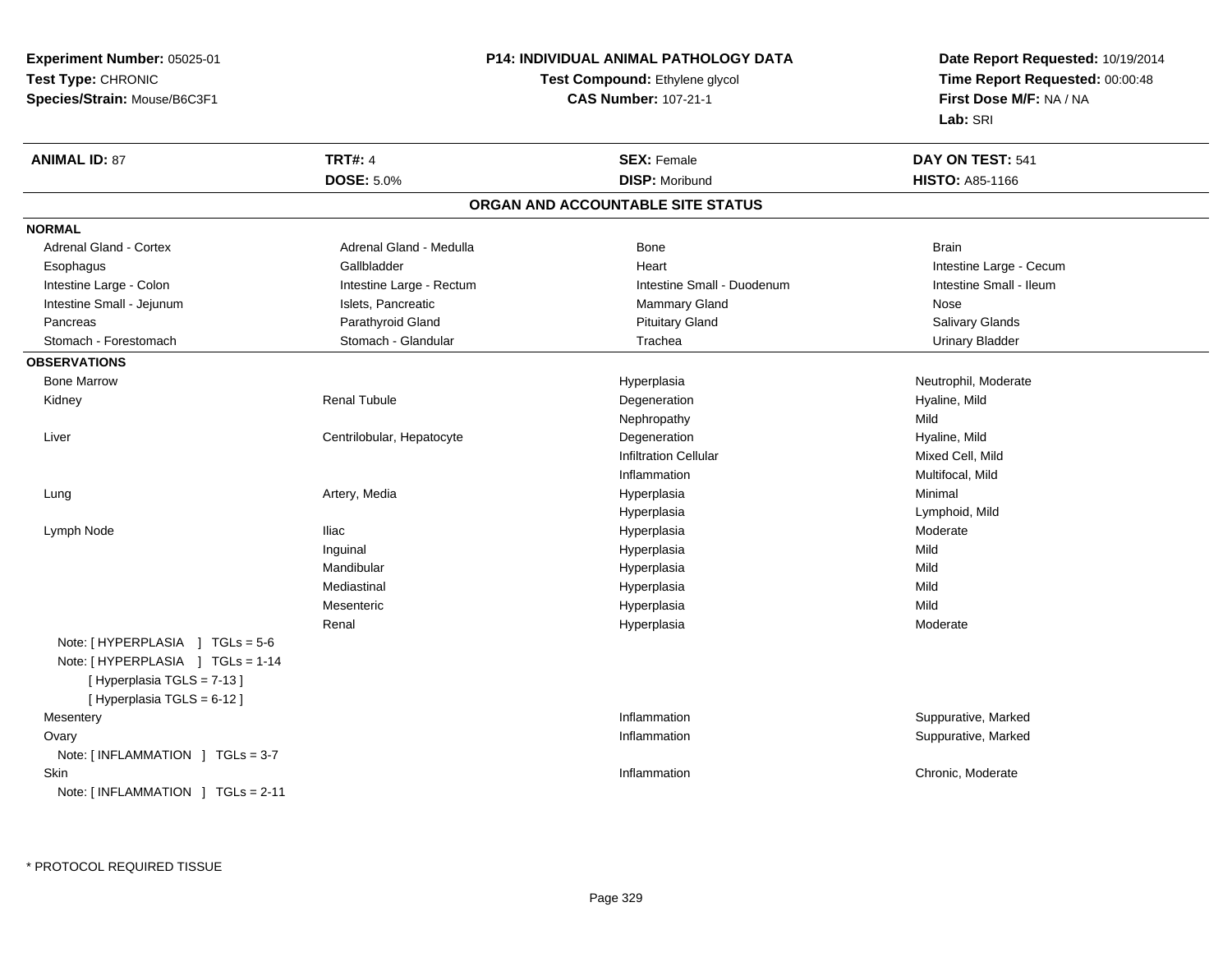**Experiment Number:** 05025-01**Test Type:** CHRONIC**Species/Strain:** Mouse/B6C3F1

## **P14: INDIVIDUAL ANIMAL PATHOLOGY DATA**

## **Test Compound:** Ethylene glycol **CAS Number:** 107-21-1

**Date Report Requested:** 10/19/2014**Time Report Requested:** 00:00:48**First Dose M/F:** NA / NA**Lab:** SRI

| <b>TRT#: 4</b><br><b>ANIMAL ID: 87</b><br><b>SEX: Female</b>                      | DAY ON TEST: 541        |
|-----------------------------------------------------------------------------------|-------------------------|
| <b>DOSE: 5.0%</b><br><b>DISP: Moribund</b>                                        | <b>HISTO: A85-1166</b>  |
| ORGAN AND ACCOUNTABLE SITE STATUS                                                 |                         |
| <b>NORMAL</b>                                                                     |                         |
| Adrenal Gland - Cortex<br>Adrenal Gland - Medulla<br><b>Bone</b>                  | <b>Brain</b>            |
| Gallbladder<br>Heart<br>Esophagus                                                 | Intestine Large - Cecum |
| Intestine Large - Colon<br>Intestine Large - Rectum<br>Intestine Small - Duodenum | Intestine Small - Ileum |
| Intestine Small - Jejunum<br>Islets, Pancreatic<br><b>Mammary Gland</b>           | Nose                    |
| Parathyroid Gland<br><b>Pituitary Gland</b><br>Pancreas                           | Salivary Glands         |
| Stomach - Glandular<br>Trachea<br>Stomach - Forestomach                           | <b>Urinary Bladder</b>  |
| <b>OBSERVATIONS</b>                                                               |                         |
| <b>Bone Marrow</b><br>Hyperplasia                                                 | Neutrophil, Moderate    |
| <b>Renal Tubule</b><br>Degeneration<br>Kidney                                     | Hyaline, Mild           |
| Nephropathy                                                                       | Mild                    |
| Degeneration<br>Liver<br>Centrilobular, Hepatocyte                                | Hyaline, Mild           |
| <b>Infiltration Cellular</b>                                                      | Mixed Cell, Mild        |
| Inflammation                                                                      | Multifocal, Mild        |
| Artery, Media<br>Hyperplasia<br>Lung                                              | Minimal                 |
| Hyperplasia                                                                       | Lymphoid, Mild          |
| <b>Iliac</b><br>Hyperplasia<br>Lymph Node                                         | Moderate                |
| Inguinal<br>Hyperplasia                                                           | Mild                    |
| Mandibular<br>Hyperplasia                                                         | Mild                    |
| Mediastinal<br>Hyperplasia                                                        | Mild                    |
| Mesenteric<br>Hyperplasia                                                         | Mild                    |
| Renal<br>Hyperplasia                                                              | Moderate                |
| Note: [HYPERPLASIA ] TGLs = 5-6                                                   |                         |
| Note: [HYPERPLASIA ] TGLs = 1-14                                                  |                         |
| [Hyperplasia TGLS = 7-13]                                                         |                         |
| [ Hyperplasia TGLS = 6-12 ]                                                       |                         |
| Inflammation<br>Mesentery                                                         | Suppurative, Marked     |
| Ovary<br>Inflammation                                                             | Suppurative, Marked     |
| Note: [INFLAMMATION ] TGLs = 3-7                                                  |                         |
| Skin<br>Inflammation                                                              | Chronic, Moderate       |
| Note: [ INFLAMMATION ] TGLs = 2-11                                                |                         |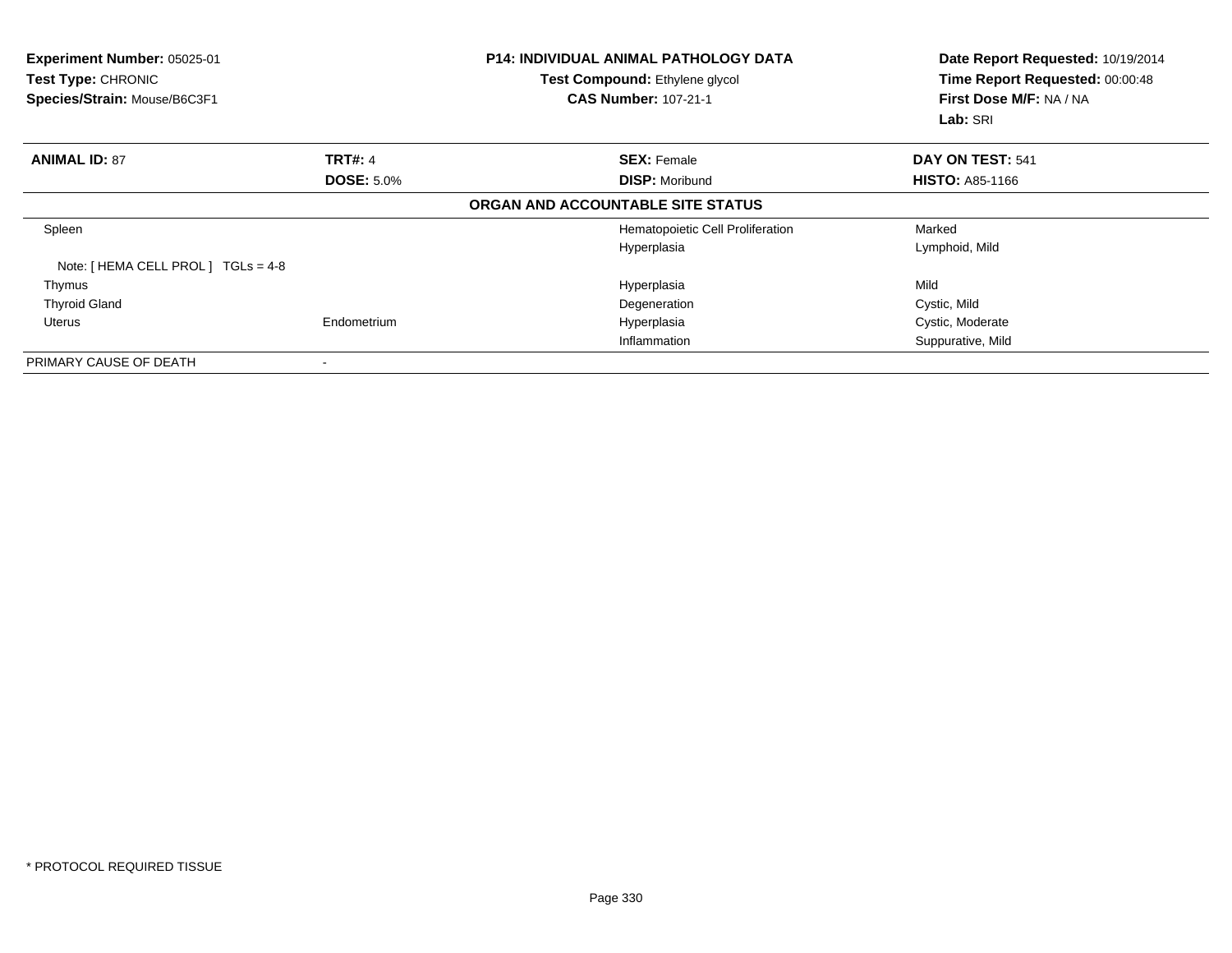| Experiment Number: 05025-01<br>Test Type: CHRONIC<br>Species/Strain: Mouse/B6C3F1 |                   | <b>P14: INDIVIDUAL ANIMAL PATHOLOGY DATA</b><br>Test Compound: Ethylene glycol<br><b>CAS Number: 107-21-1</b> | Date Report Requested: 10/19/2014<br>Time Report Requested: 00:00:48<br>First Dose M/F: NA / NA<br>Lab: SRI |
|-----------------------------------------------------------------------------------|-------------------|---------------------------------------------------------------------------------------------------------------|-------------------------------------------------------------------------------------------------------------|
| <b>ANIMAL ID: 87</b>                                                              | <b>TRT#: 4</b>    | <b>SEX: Female</b>                                                                                            | DAY ON TEST: 541                                                                                            |
|                                                                                   | <b>DOSE: 5.0%</b> | <b>DISP: Moribund</b>                                                                                         | <b>HISTO: A85-1166</b>                                                                                      |
|                                                                                   |                   | ORGAN AND ACCOUNTABLE SITE STATUS                                                                             |                                                                                                             |
| Spleen                                                                            |                   | Hematopoietic Cell Proliferation                                                                              | Marked                                                                                                      |
|                                                                                   |                   | Hyperplasia                                                                                                   | Lymphoid, Mild                                                                                              |
| Note: [ HEMA CELL PROL ] TGLs = 4-8                                               |                   |                                                                                                               |                                                                                                             |
| Thymus                                                                            |                   | Hyperplasia                                                                                                   | Mild                                                                                                        |
| <b>Thyroid Gland</b>                                                              |                   | Degeneration                                                                                                  | Cystic, Mild                                                                                                |
| Uterus                                                                            | Endometrium       | Hyperplasia                                                                                                   | Cystic, Moderate                                                                                            |
|                                                                                   |                   | Inflammation                                                                                                  | Suppurative, Mild                                                                                           |
| PRIMARY CAUSE OF DEATH                                                            |                   |                                                                                                               |                                                                                                             |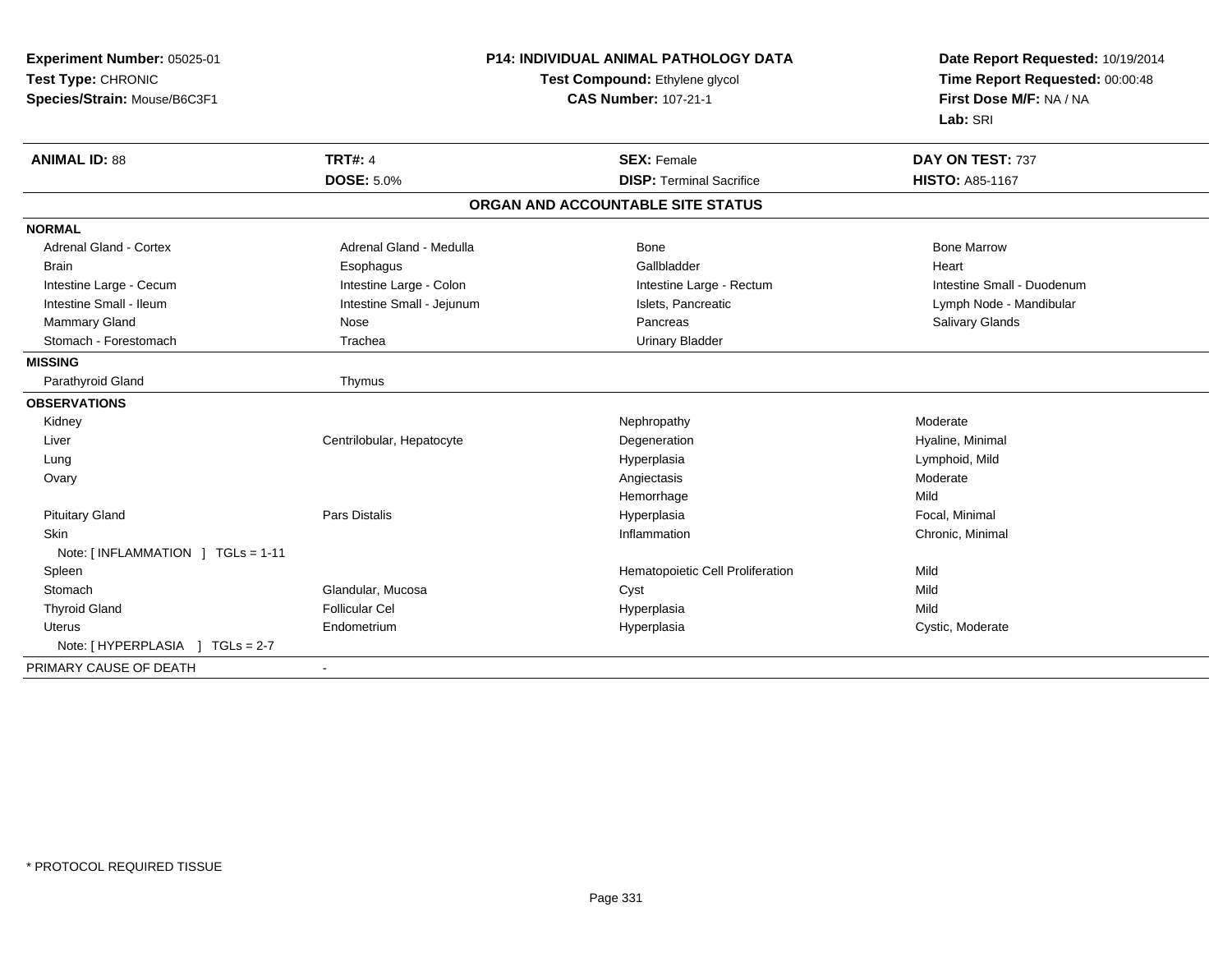| Experiment Number: 05025-01       | <b>P14: INDIVIDUAL ANIMAL PATHOLOGY DATA</b> |                                   | Date Report Requested: 10/19/2014 |
|-----------------------------------|----------------------------------------------|-----------------------------------|-----------------------------------|
| Test Type: CHRONIC                |                                              | Test Compound: Ethylene glycol    | Time Report Requested: 00:00:48   |
| Species/Strain: Mouse/B6C3F1      |                                              | <b>CAS Number: 107-21-1</b>       | First Dose M/F: NA / NA           |
|                                   |                                              |                                   | Lab: SRI                          |
| <b>ANIMAL ID: 88</b>              | <b>TRT#: 4</b>                               | <b>SEX: Female</b>                | DAY ON TEST: 737                  |
|                                   | <b>DOSE: 5.0%</b>                            | <b>DISP: Terminal Sacrifice</b>   | HISTO: A85-1167                   |
|                                   |                                              | ORGAN AND ACCOUNTABLE SITE STATUS |                                   |
| <b>NORMAL</b>                     |                                              |                                   |                                   |
| Adrenal Gland - Cortex            | Adrenal Gland - Medulla                      | Bone                              | <b>Bone Marrow</b>                |
| <b>Brain</b>                      | Esophagus                                    | Gallbladder                       | Heart                             |
| Intestine Large - Cecum           | Intestine Large - Colon                      | Intestine Large - Rectum          | Intestine Small - Duodenum        |
| Intestine Small - Ileum           | Intestine Small - Jejunum                    | Islets, Pancreatic                | Lymph Node - Mandibular           |
| Mammary Gland                     | Nose                                         | Pancreas                          | Salivary Glands                   |
| Stomach - Forestomach             | Trachea                                      | <b>Urinary Bladder</b>            |                                   |
| <b>MISSING</b>                    |                                              |                                   |                                   |
| Parathyroid Gland                 | Thymus                                       |                                   |                                   |
| <b>OBSERVATIONS</b>               |                                              |                                   |                                   |
| Kidney                            |                                              | Nephropathy                       | Moderate                          |
| Liver                             | Centrilobular, Hepatocyte                    | Degeneration                      | Hyaline, Minimal                  |
| Lung                              |                                              | Hyperplasia                       | Lymphoid, Mild                    |
| Ovary                             |                                              | Angiectasis                       | Moderate                          |
|                                   |                                              | Hemorrhage                        | Mild                              |
| <b>Pituitary Gland</b>            | <b>Pars Distalis</b>                         | Hyperplasia                       | Focal, Minimal                    |
| <b>Skin</b>                       |                                              | Inflammation                      | Chronic, Minimal                  |
| Note: [INFLAMMATION ] TGLs = 1-11 |                                              |                                   |                                   |
| Spleen<br>Stomach                 |                                              | Hematopoietic Cell Proliferation  | Mild<br>Mild                      |
|                                   | Glandular, Mucosa                            | Cyst                              |                                   |
| <b>Thyroid Gland</b>              | <b>Follicular Cel</b>                        | Hyperplasia                       | Mild                              |
| <b>Uterus</b>                     | Endometrium                                  | Hyperplasia                       | Cystic, Moderate                  |
|                                   |                                              |                                   |                                   |
| PRIMARY CAUSE OF DEATH            |                                              |                                   |                                   |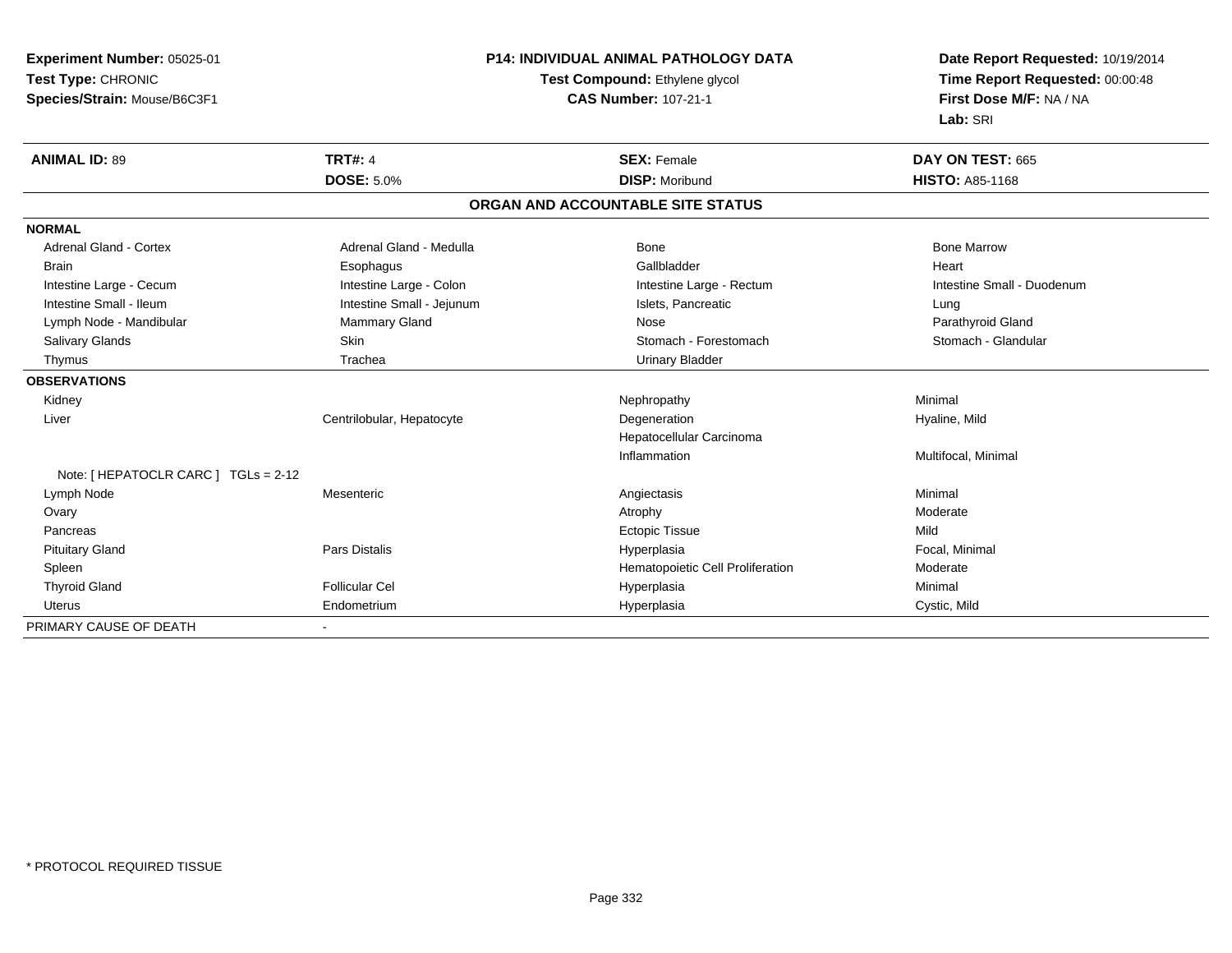**Experiment Number:** 05025-01**Test Type:** CHRONIC **Species/Strain:** Mouse/B6C3F1**P14: INDIVIDUAL ANIMAL PATHOLOGY DATATest Compound:** Ethylene glycol **CAS Number:** 107-21-1**Date Report Requested:** 10/19/2014**Time Report Requested:** 00:00:48**First Dose M/F:** NA / NA**Lab:** SRI**ANIMAL ID:** 89**TRT#:** 4 **SEX:** Female **DAY ON TEST:** 665 **DOSE:** 5.0%**DISP:** Moribund **HISTO:** A85-1168 **ORGAN AND ACCOUNTABLE SITE STATUSNORMALAdrenal Gland - Cortex** Adrenal Gland - Medulla **Adrenal Gland - Medulla** Bone Bone Bone Bone Bone Marrow Brain Esophagus Esophagus Gallbladder Gallbladder Gallbladder Heart Intestine Large - Cecum **Intestine Large - Colon** Intestine Large - Colon Intestine Large - Rectum Intestine Large - Rectum Intestine Small - Duodenum Intestine Small - Ileum **Intestine Small - Intestine Small - Jejunum** Intestine Small - Islets, Pancreatic **Intestine Small** - Lung Parathyroid Gland Lymph Node - Mandibular **Mammary Gland** Mose Parathyroid Mose Parathyroid Gland Nose Stomach - Glandular Salivary Glands **Skin** Skin Skin Stomach - Forestomach - Stomach - Stomach - Stomach - Stomach - Glandular Stomach - Glandular Stomach - Stomach - Stomach - Stomach - Stomach - Stomach - Stomach - Stomach - Stomach - Stoma Thymus Trachea Urinary Bladder**OBSERVATIONS** Kidneyy the controller of the controller of the controller of the Nephropathy the controller of the Minimal Minimal  $\lambda$  Liver Centrilobular, HepatocyteDegeneration **Hyaline**, Mild Hepatocellular CarcinomaInflammation Multifocal, Minimal Note: [ HEPATOCLR CARC ] TGLs = 2-12 Lymph Node Mesenteric Angiectasis Minimal Ovaryy and the control of the control of the control of the control of the control of the control of the control of  $\lambda$  Pancreass and the control of the control of the control of the control of the control of the control of the control of the control of the control of the control of the control of the control of the control of the control of the co e Mild Pituitary Gland Pars Distalis Hyperplasia Focal, Minimal Spleen Hematopoietic Cell Proliferation Moderate Thyroid Gland Follicular Cel Hyperplasia Minimal Uterus Endometrium Hyperplasia Cystic, Mild PRIMARY CAUSE OF DEATH-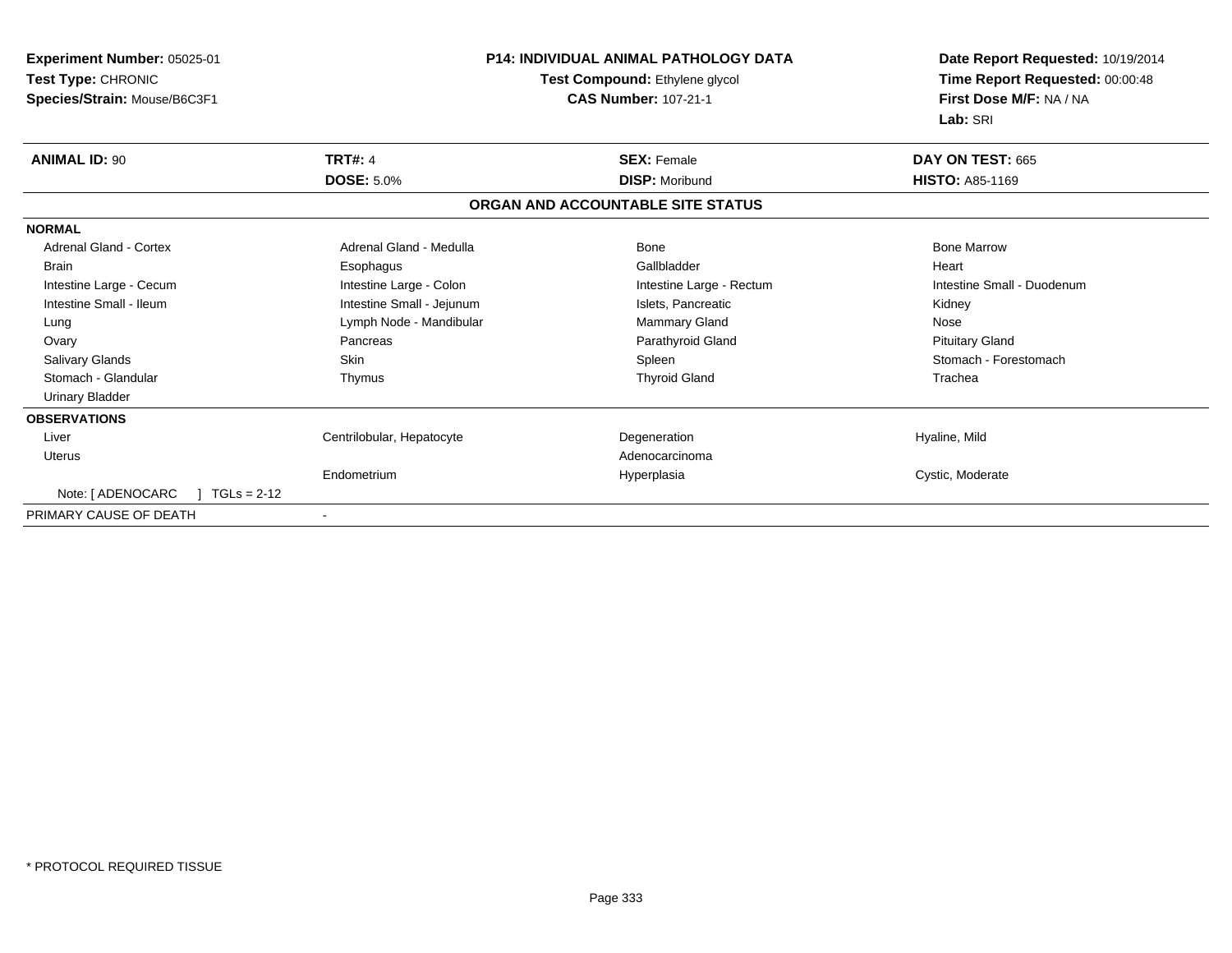| Experiment Number: 05025-01        |                                | <b>P14: INDIVIDUAL ANIMAL PATHOLOGY DATA</b> | Date Report Requested: 10/19/2014 |
|------------------------------------|--------------------------------|----------------------------------------------|-----------------------------------|
| Test Type: CHRONIC                 | Test Compound: Ethylene glycol |                                              | Time Report Requested: 00:00:48   |
| Species/Strain: Mouse/B6C3F1       |                                | <b>CAS Number: 107-21-1</b>                  | First Dose M/F: NA / NA           |
|                                    |                                |                                              | Lab: SRI                          |
| <b>ANIMAL ID: 90</b>               | <b>TRT#: 4</b>                 | <b>SEX: Female</b>                           | DAY ON TEST: 665                  |
|                                    | <b>DOSE: 5.0%</b>              | <b>DISP: Moribund</b>                        | <b>HISTO: A85-1169</b>            |
|                                    |                                | ORGAN AND ACCOUNTABLE SITE STATUS            |                                   |
| <b>NORMAL</b>                      |                                |                                              |                                   |
| Adrenal Gland - Cortex             | Adrenal Gland - Medulla        | Bone                                         | <b>Bone Marrow</b>                |
| <b>Brain</b>                       | Esophagus                      | Gallbladder                                  | Heart                             |
| Intestine Large - Cecum            | Intestine Large - Colon        | Intestine Large - Rectum                     | Intestine Small - Duodenum        |
| Intestine Small - Ileum            | Intestine Small - Jejunum      | Islets, Pancreatic                           | Kidney                            |
| Lung                               | Lymph Node - Mandibular        | Mammary Gland                                | Nose                              |
| Ovary                              | Pancreas                       | Parathyroid Gland                            | <b>Pituitary Gland</b>            |
| Salivary Glands                    | <b>Skin</b>                    | Spleen                                       | Stomach - Forestomach             |
| Stomach - Glandular                | Thymus                         | <b>Thyroid Gland</b>                         | Trachea                           |
| <b>Urinary Bladder</b>             |                                |                                              |                                   |
| <b>OBSERVATIONS</b>                |                                |                                              |                                   |
| Liver                              | Centrilobular, Hepatocyte      | Degeneration                                 | Hyaline, Mild                     |
| Uterus                             |                                | Adenocarcinoma                               |                                   |
|                                    | Endometrium                    | Hyperplasia                                  | Cystic, Moderate                  |
| Note: [ ADENOCARC<br>$TGLs = 2-12$ |                                |                                              |                                   |
| PRIMARY CAUSE OF DEATH             |                                |                                              |                                   |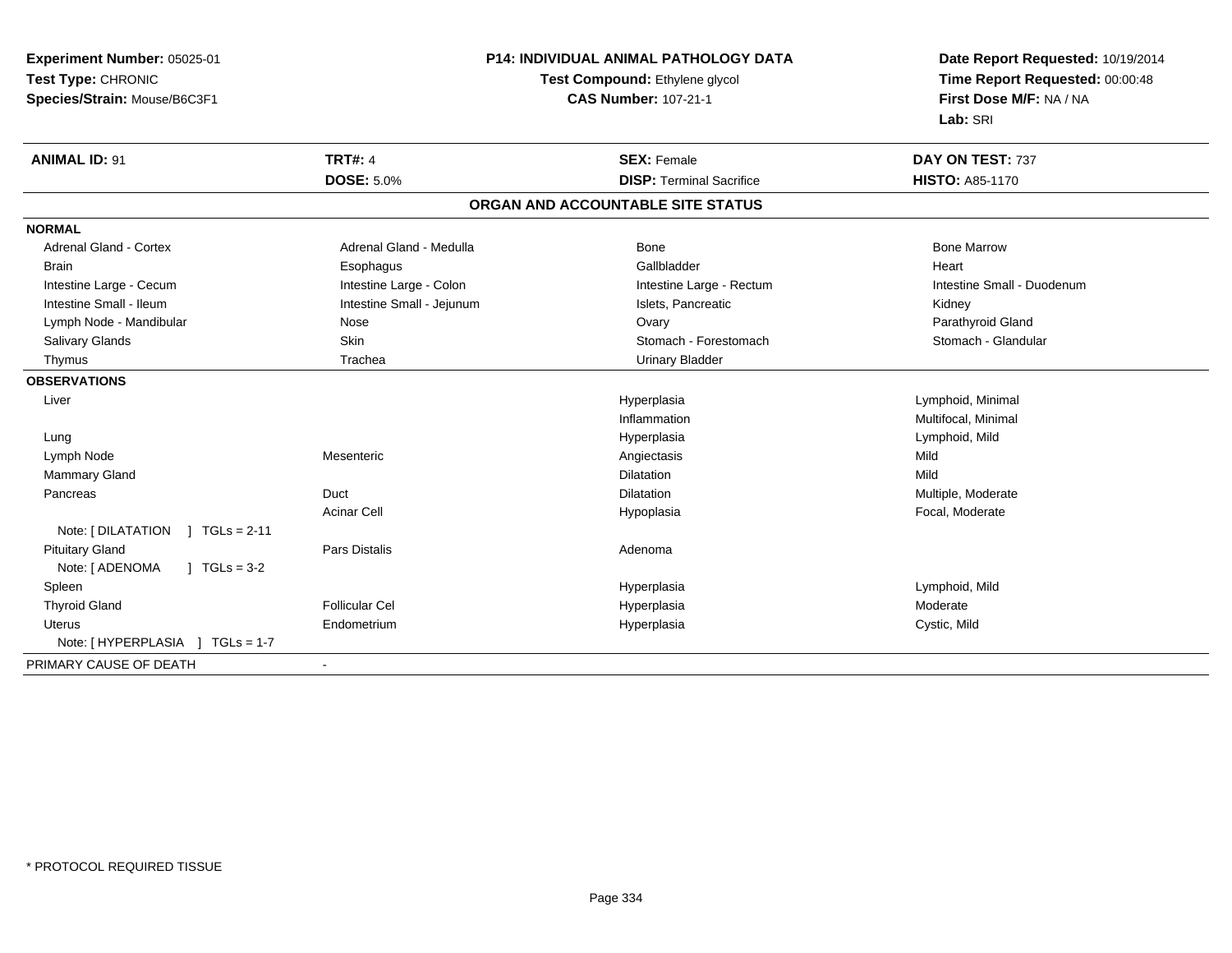| Experiment Number: 05025-01              |                           | <b>P14: INDIVIDUAL ANIMAL PATHOLOGY DATA</b> | Date Report Requested: 10/19/2014 |  |
|------------------------------------------|---------------------------|----------------------------------------------|-----------------------------------|--|
| Test Type: CHRONIC                       |                           | Test Compound: Ethylene glycol               | Time Report Requested: 00:00:48   |  |
| Species/Strain: Mouse/B6C3F1             |                           | <b>CAS Number: 107-21-1</b>                  | First Dose M/F: NA / NA           |  |
|                                          |                           |                                              | Lab: SRI                          |  |
| <b>ANIMAL ID: 91</b>                     | <b>TRT#: 4</b>            | <b>SEX: Female</b>                           | DAY ON TEST: 737                  |  |
|                                          | <b>DOSE: 5.0%</b>         | <b>DISP: Terminal Sacrifice</b>              | <b>HISTO: A85-1170</b>            |  |
|                                          |                           | ORGAN AND ACCOUNTABLE SITE STATUS            |                                   |  |
| <b>NORMAL</b>                            |                           |                                              |                                   |  |
| Adrenal Gland - Cortex                   | Adrenal Gland - Medulla   | <b>Bone</b>                                  | <b>Bone Marrow</b>                |  |
| <b>Brain</b>                             | Esophagus                 | Gallbladder                                  | Heart                             |  |
| Intestine Large - Cecum                  | Intestine Large - Colon   | Intestine Large - Rectum                     | Intestine Small - Duodenum        |  |
| Intestine Small - Ileum                  | Intestine Small - Jejunum | Islets. Pancreatic                           | Kidney                            |  |
| Lymph Node - Mandibular                  | Nose                      | Ovary                                        | Parathyroid Gland                 |  |
| <b>Salivary Glands</b>                   | Skin                      | Stomach - Forestomach                        | Stomach - Glandular               |  |
| Thymus                                   | Trachea                   | <b>Urinary Bladder</b>                       |                                   |  |
| <b>OBSERVATIONS</b>                      |                           |                                              |                                   |  |
| Liver                                    |                           | Hyperplasia                                  | Lymphoid, Minimal                 |  |
|                                          |                           | Inflammation                                 | Multifocal, Minimal               |  |
| Lung                                     |                           | Hyperplasia                                  | Lymphoid, Mild                    |  |
| Lymph Node                               | Mesenteric                | Angiectasis                                  | Mild                              |  |
| <b>Mammary Gland</b>                     |                           | Dilatation                                   | Mild                              |  |
| Pancreas                                 | Duct                      | Dilatation                                   | Multiple, Moderate                |  |
|                                          | <b>Acinar Cell</b>        | Hypoplasia                                   | Focal, Moderate                   |  |
| Note: $[ DILATATION ] TGLs = 2-11$       |                           |                                              |                                   |  |
| <b>Pituitary Gland</b>                   | <b>Pars Distalis</b>      | Adenoma                                      |                                   |  |
| Note: [ ADENOMA<br>$\sqrt{ }$ TGLs = 3-2 |                           |                                              |                                   |  |
| Spleen                                   |                           | Hyperplasia                                  | Lymphoid, Mild                    |  |
| <b>Thyroid Gland</b>                     | <b>Follicular Cel</b>     | Hyperplasia                                  | Moderate                          |  |
| Uterus                                   | Endometrium               | Hyperplasia                                  | Cystic, Mild                      |  |
| Note: [ HYPERPLASIA ] TGLs = 1-7         |                           |                                              |                                   |  |
| PRIMARY CAUSE OF DEATH                   |                           |                                              |                                   |  |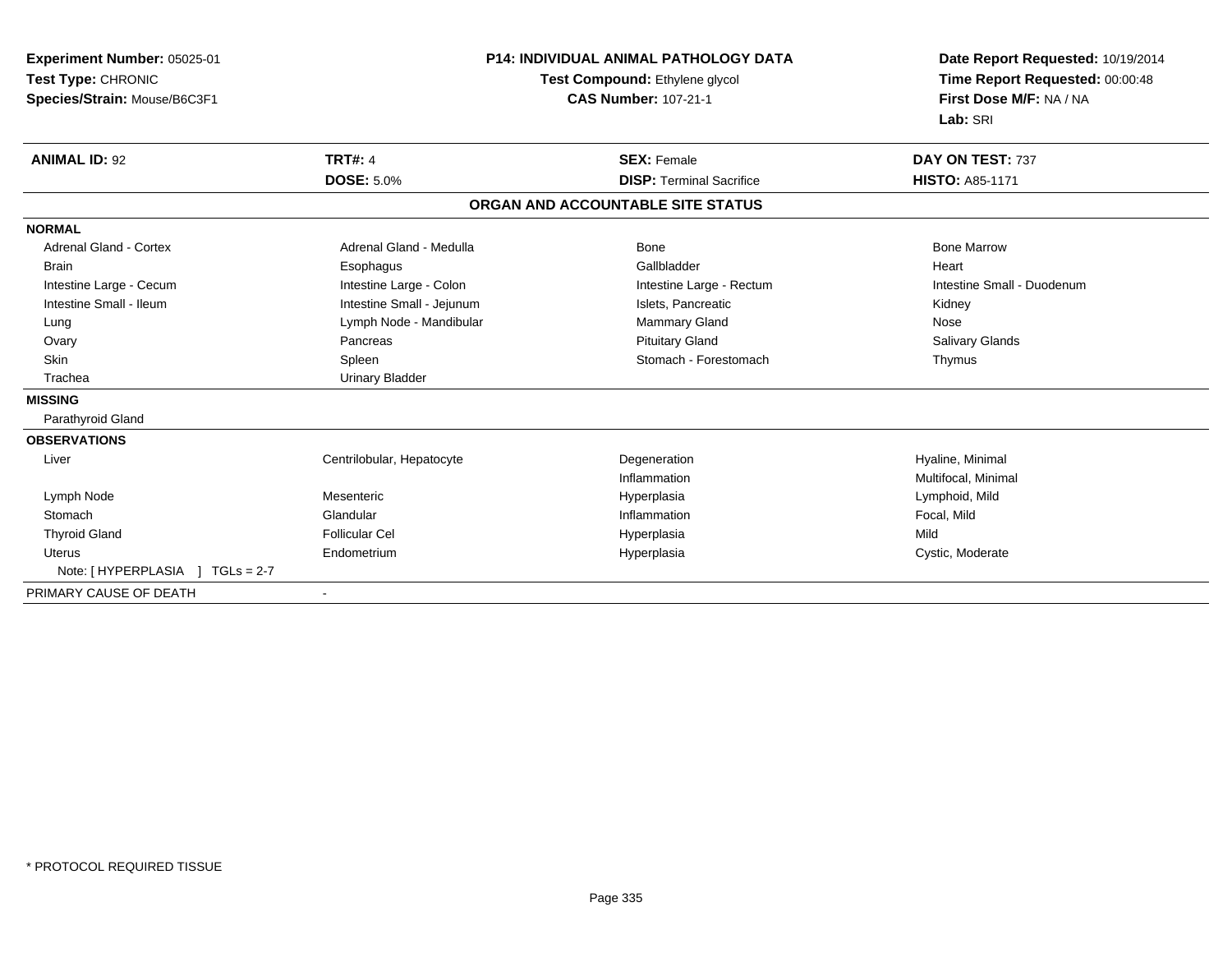| Experiment Number: 05025-01         | <b>P14: INDIVIDUAL ANIMAL PATHOLOGY DATA</b><br>Test Compound: Ethylene glycol |                                   | Date Report Requested: 10/19/2014<br>Time Report Requested: 00:00:48 |  |
|-------------------------------------|--------------------------------------------------------------------------------|-----------------------------------|----------------------------------------------------------------------|--|
| Test Type: CHRONIC                  |                                                                                |                                   |                                                                      |  |
| Species/Strain: Mouse/B6C3F1        |                                                                                | <b>CAS Number: 107-21-1</b>       | First Dose M/F: NA / NA                                              |  |
|                                     |                                                                                |                                   | Lab: SRI                                                             |  |
| <b>ANIMAL ID: 92</b>                | <b>TRT#: 4</b>                                                                 | <b>SEX: Female</b>                | DAY ON TEST: 737                                                     |  |
|                                     | <b>DOSE: 5.0%</b>                                                              | <b>DISP: Terminal Sacrifice</b>   | <b>HISTO: A85-1171</b>                                               |  |
|                                     |                                                                                | ORGAN AND ACCOUNTABLE SITE STATUS |                                                                      |  |
| <b>NORMAL</b>                       |                                                                                |                                   |                                                                      |  |
| Adrenal Gland - Cortex              | Adrenal Gland - Medulla                                                        | Bone                              | <b>Bone Marrow</b>                                                   |  |
| <b>Brain</b>                        | Esophagus                                                                      | Gallbladder                       | Heart                                                                |  |
| Intestine Large - Cecum             | Intestine Large - Colon                                                        | Intestine Large - Rectum          | Intestine Small - Duodenum                                           |  |
| Intestine Small - Ileum             | Intestine Small - Jejunum                                                      | Islets. Pancreatic                | Kidney                                                               |  |
| Lung                                | Lymph Node - Mandibular                                                        | Mammary Gland                     | Nose                                                                 |  |
| Ovary                               | Pancreas                                                                       | <b>Pituitary Gland</b>            | <b>Salivary Glands</b>                                               |  |
| <b>Skin</b>                         | Spleen                                                                         | Stomach - Forestomach             | Thymus                                                               |  |
| Trachea                             | <b>Urinary Bladder</b>                                                         |                                   |                                                                      |  |
| <b>MISSING</b>                      |                                                                                |                                   |                                                                      |  |
| Parathyroid Gland                   |                                                                                |                                   |                                                                      |  |
| <b>OBSERVATIONS</b>                 |                                                                                |                                   |                                                                      |  |
| Liver                               | Centrilobular, Hepatocyte                                                      | Degeneration                      | Hyaline, Minimal                                                     |  |
|                                     |                                                                                | Inflammation                      | Multifocal, Minimal                                                  |  |
| Lymph Node                          | Mesenteric                                                                     | Hyperplasia                       | Lymphoid, Mild                                                       |  |
| Stomach                             | Glandular                                                                      | Inflammation                      | Focal, Mild                                                          |  |
| <b>Thyroid Gland</b>                | <b>Follicular Cel</b>                                                          | Hyperplasia                       | Mild                                                                 |  |
| <b>Uterus</b>                       | Endometrium                                                                    | Hyperplasia                       | Cystic, Moderate                                                     |  |
| Note: [ HYPERPLASIA<br>$TGLs = 2-7$ |                                                                                |                                   |                                                                      |  |
| PRIMARY CAUSE OF DEATH              |                                                                                |                                   |                                                                      |  |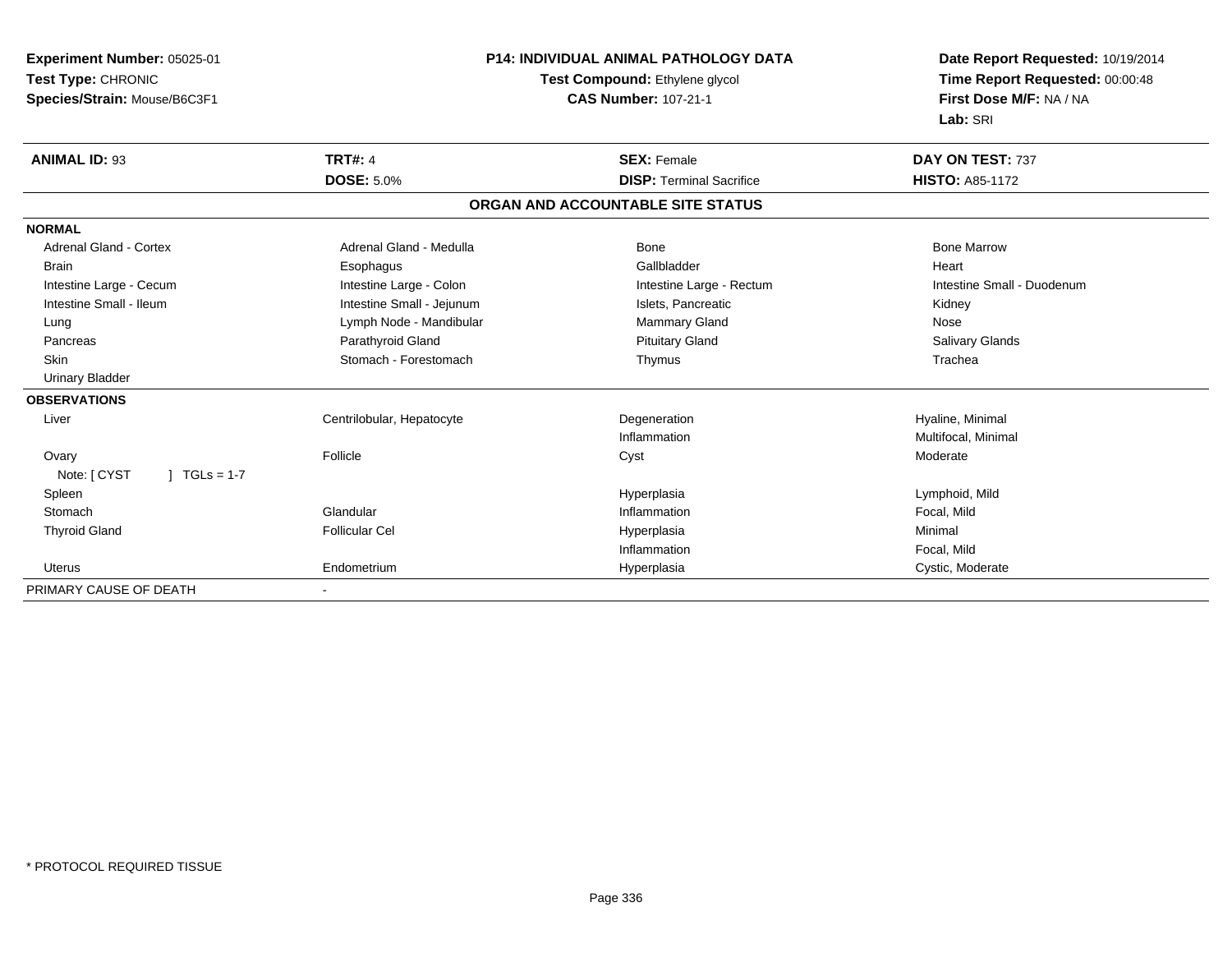| Experiment Number: 05025-01    | <b>P14: INDIVIDUAL ANIMAL PATHOLOGY DATA</b><br>Test Compound: Ethylene glycol |                                   | Date Report Requested: 10/19/2014 |  |
|--------------------------------|--------------------------------------------------------------------------------|-----------------------------------|-----------------------------------|--|
| Test Type: CHRONIC             |                                                                                |                                   | Time Report Requested: 00:00:48   |  |
| Species/Strain: Mouse/B6C3F1   |                                                                                | <b>CAS Number: 107-21-1</b>       | First Dose M/F: NA / NA           |  |
|                                |                                                                                |                                   | Lab: SRI                          |  |
| <b>ANIMAL ID: 93</b>           | <b>TRT#: 4</b>                                                                 | <b>SEX: Female</b>                | DAY ON TEST: 737                  |  |
|                                | <b>DOSE: 5.0%</b>                                                              | <b>DISP: Terminal Sacrifice</b>   | <b>HISTO: A85-1172</b>            |  |
|                                |                                                                                | ORGAN AND ACCOUNTABLE SITE STATUS |                                   |  |
| <b>NORMAL</b>                  |                                                                                |                                   |                                   |  |
| <b>Adrenal Gland - Cortex</b>  | Adrenal Gland - Medulla                                                        | <b>Bone</b>                       | <b>Bone Marrow</b>                |  |
| <b>Brain</b>                   | Esophagus                                                                      | Gallbladder                       | Heart                             |  |
| Intestine Large - Cecum        | Intestine Large - Colon                                                        | Intestine Large - Rectum          | Intestine Small - Duodenum        |  |
| Intestine Small - Ileum        | Intestine Small - Jejunum                                                      | Islets, Pancreatic                | Kidney                            |  |
| Lung                           | Lymph Node - Mandibular                                                        | <b>Mammary Gland</b>              | Nose                              |  |
| Pancreas                       | Parathyroid Gland                                                              | <b>Pituitary Gland</b>            | Salivary Glands                   |  |
| <b>Skin</b>                    | Stomach - Forestomach                                                          | Thymus                            | Trachea                           |  |
| <b>Urinary Bladder</b>         |                                                                                |                                   |                                   |  |
| <b>OBSERVATIONS</b>            |                                                                                |                                   |                                   |  |
| Liver                          | Centrilobular, Hepatocyte                                                      | Degeneration                      | Hyaline, Minimal                  |  |
|                                |                                                                                | Inflammation                      | Multifocal, Minimal               |  |
| Ovary                          | Follicle                                                                       | Cyst                              | Moderate                          |  |
| Note: [ CYST<br>$1 TGLs = 1-7$ |                                                                                |                                   |                                   |  |
| Spleen                         |                                                                                | Hyperplasia                       | Lymphoid, Mild                    |  |
| Stomach                        | Glandular                                                                      | Inflammation                      | Focal, Mild                       |  |
| <b>Thyroid Gland</b>           | <b>Follicular Cel</b>                                                          | Hyperplasia                       | Minimal                           |  |
|                                |                                                                                | Inflammation                      | Focal, Mild                       |  |
| <b>Uterus</b>                  | Endometrium                                                                    | Hyperplasia                       | Cystic, Moderate                  |  |
| PRIMARY CAUSE OF DEATH         |                                                                                |                                   |                                   |  |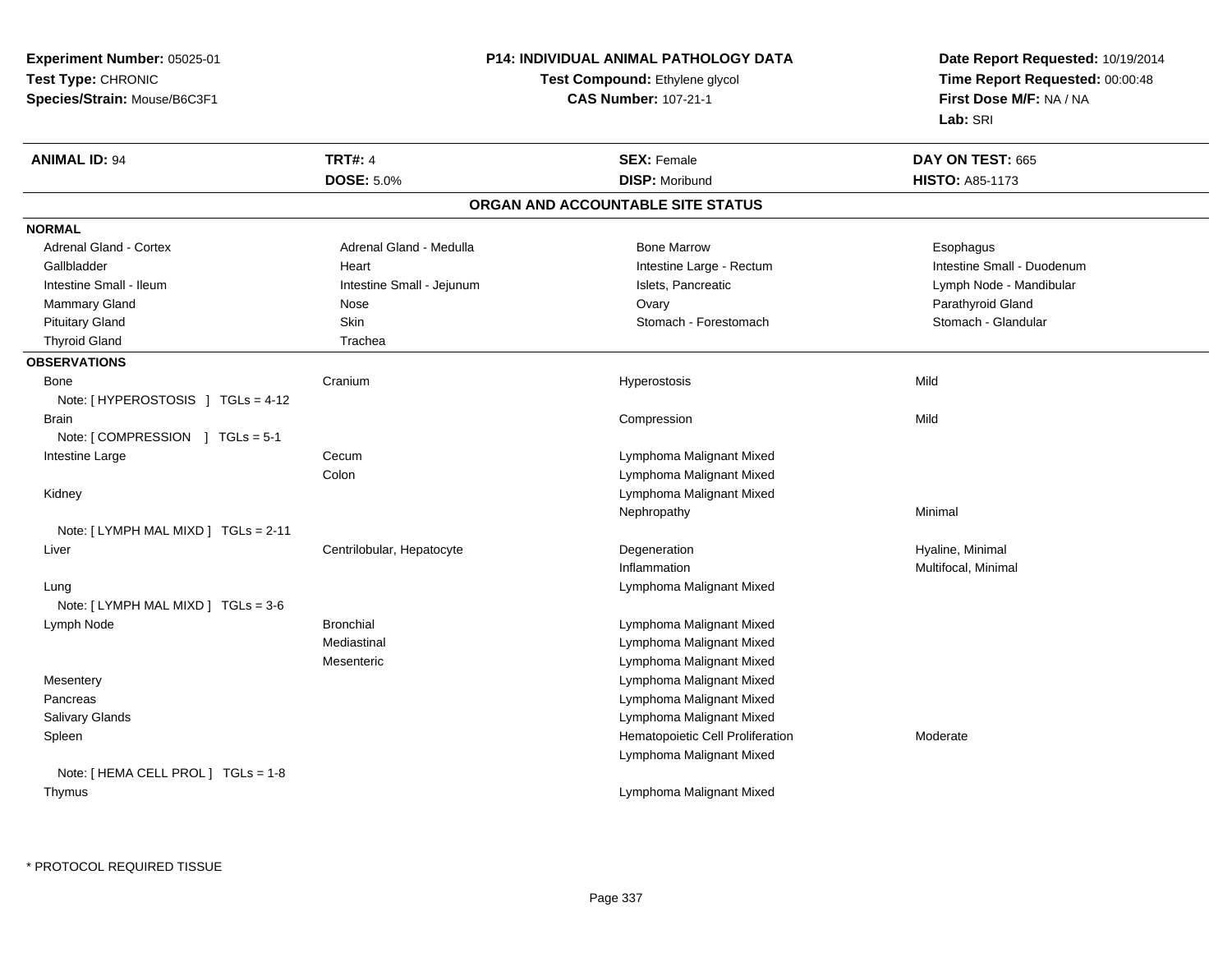**Experiment Number:** 05025-01**Test Type:** CHRONIC **Species/Strain:** Mouse/B6C3F1**P14: INDIVIDUAL ANIMAL PATHOLOGY DATATest Compound:** Ethylene glycol **CAS Number:** 107-21-1**Date Report Requested:** 10/19/2014**Time Report Requested:** 00:00:48**First Dose M/F:** NA / NA**Lab:** SRI**ANIMAL ID:** 94**TRT#:** 4 **SEX:** Female **DAY ON TEST:** 665 **DOSE:** 5.0%**28 Morris 19 Mars 2015 Morris 19 Mars 2015 P. Morris 19 Mars 2016 P. A. 2016 P. A. 2016 P. A. 2016 P. A. 2016 ORGAN AND ACCOUNTABLE SITE STATUSNORMALAdrenal Gland - Cortex** Adrenal Gland - Medulla **Bone Marrow Esophagus** Bone Marrow **Esophagus** Esophagus Gallbladder **Eart** Heart Heart Heart Intestine Large - Rectum Intestine Large - Rectum Intestine Small - Duodenum Lymph Node - Mandibular Intestine Small - Ileum Intestine Small - Jejunum Intestine Small - Jejunum Islets, Pancreatic Mammary Gland Nose Nose Nose and Development of Nose Ovary Nammary Gland Parathyroid Gland Nose and Development of Nose of Nose and Development of Nose of Nose and Development of Nose of Nose and Development of Nose and De Stomach - Glandular Pituitary Gland Skin Stomach - Forestomach - Stomach - Stomach - Stomach - Stomach - Forestomach Thyroid Gland Trachea **OBSERVATIONS** Bonee Cranium Hyperostosis Mild Note: [ HYPEROSTOSIS ] TGLs = 4-12 Brainn and the compression of the compression of the compression of the compression of the compression of the compression Note: [ COMPRESSION ] TGLs = 5-1 Intestine Largee Cecum Lymphoma Malignant Mixed Colon Lymphoma Malignant Mixed Kidney Lymphoma Malignant MixedNephropathyy the contract of the Minimal Minimal Section 1996 and the contract of the Minimal Section 1997 and the contract of the contract of the contract of the contract of the contract of the contract of the contract of the contra Note: [ LYMPH MAL MIXD ] TGLs = 2-11 Liver Centrilobular, HepatocyteDegeneration **Hyaline**, Minimal Inflammation Multifocal, Minimal Lung Lymphoma Malignant Mixed Note: [ LYMPH MAL MIXD ] TGLs = 3-6 Lymph Node Bronchial Lymphoma Malignant Mixed Mediastinal Lymphoma Malignant Mixed Lymphoma Malignant MixedMesenteric Lymphoma Malignant Mixed**Mesentery**  Lymphoma Malignant Mixed Pancreas Lymphoma Malignant Mixed Salivary Glandsn metal distribution and the Hematopoietic Cell Proliferation and Moderate Moderate SpleenLymphoma Malignant MixedNote: [ HEMA CELL PROL ] TGLs = 1-8 ThymusLymphoma Malignant Mixed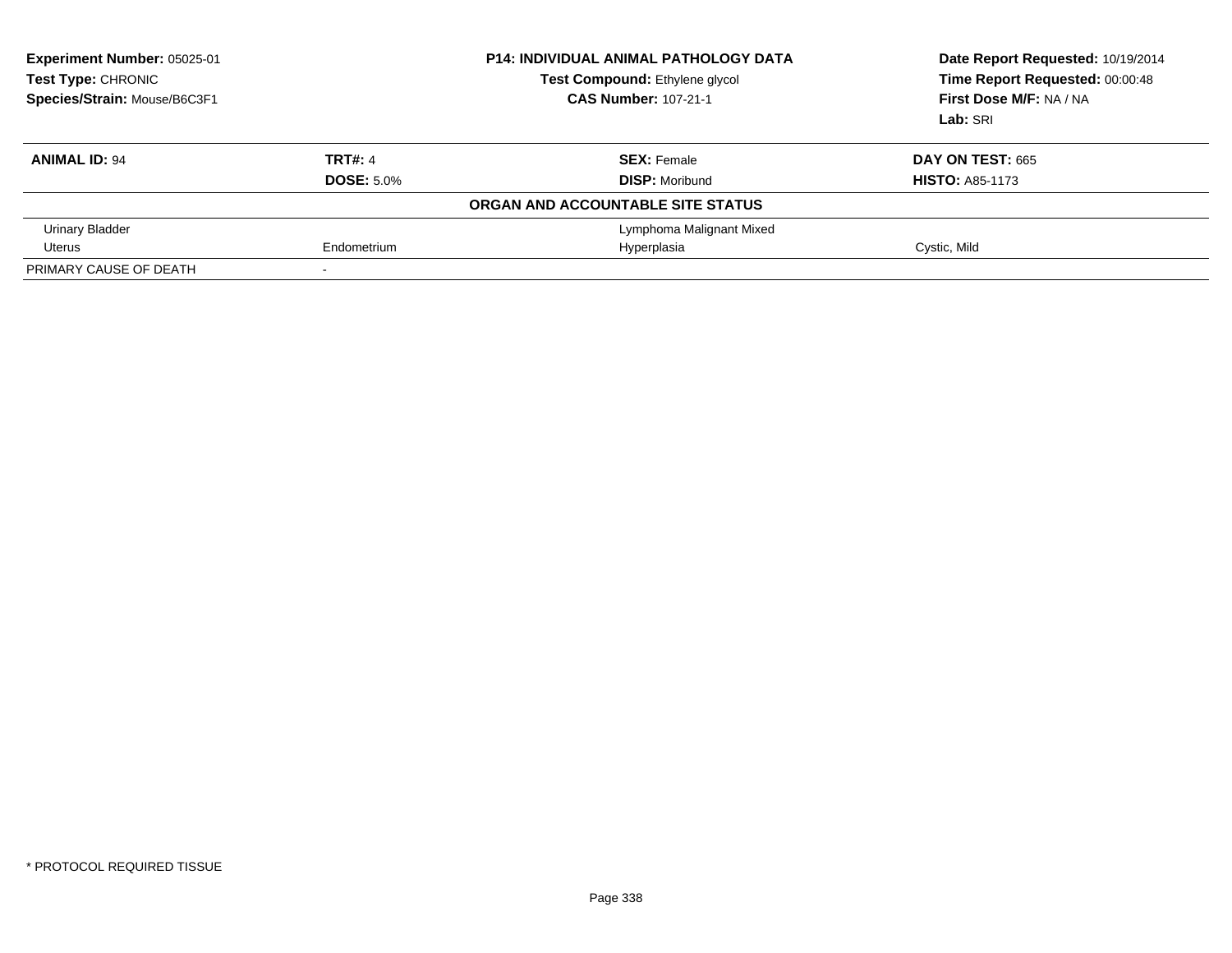| Experiment Number: 05025-01<br>Test Type: CHRONIC<br>Species/Strain: Mouse/B6C3F1 |                          | <b>P14: INDIVIDUAL ANIMAL PATHOLOGY DATA</b><br>Test Compound: Ethylene glycol<br><b>CAS Number: 107-21-1</b> | Date Report Requested: 10/19/2014<br>Time Report Requested: 00:00:48<br>First Dose M/F: NA / NA<br>Lab: SRI |  |
|-----------------------------------------------------------------------------------|--------------------------|---------------------------------------------------------------------------------------------------------------|-------------------------------------------------------------------------------------------------------------|--|
| <b>ANIMAL ID: 94</b>                                                              | <b>TRT#: 4</b>           | <b>SEX: Female</b>                                                                                            | DAY ON TEST: 665                                                                                            |  |
|                                                                                   | <b>DOSE: 5.0%</b>        | <b>DISP:</b> Moribund                                                                                         | <b>HISTO: A85-1173</b>                                                                                      |  |
|                                                                                   |                          | ORGAN AND ACCOUNTABLE SITE STATUS                                                                             |                                                                                                             |  |
| Urinary Bladder                                                                   |                          | Lymphoma Malignant Mixed                                                                                      |                                                                                                             |  |
| Uterus                                                                            | Endometrium              | Hyperplasia                                                                                                   | Cystic, Mild                                                                                                |  |
| PRIMARY CAUSE OF DEATH                                                            | $\overline{\phantom{0}}$ |                                                                                                               |                                                                                                             |  |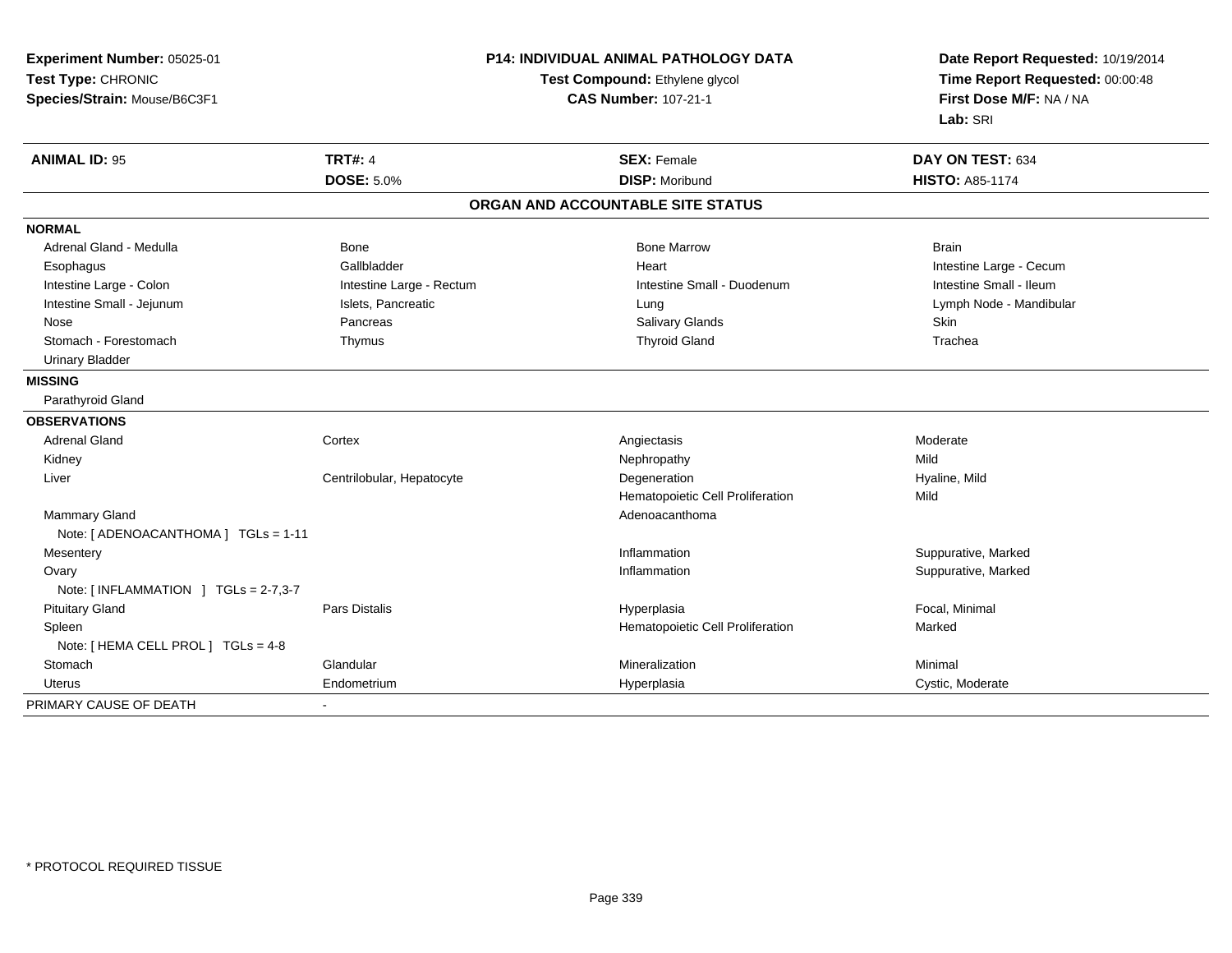| Experiment Number: 05025-01           | <b>P14: INDIVIDUAL ANIMAL PATHOLOGY DATA</b> |                                   | Date Report Requested: 10/19/2014 |  |
|---------------------------------------|----------------------------------------------|-----------------------------------|-----------------------------------|--|
| Test Type: CHRONIC                    |                                              | Test Compound: Ethylene glycol    | Time Report Requested: 00:00:48   |  |
| Species/Strain: Mouse/B6C3F1          |                                              | <b>CAS Number: 107-21-1</b>       | First Dose M/F: NA / NA           |  |
|                                       |                                              |                                   | Lab: SRI                          |  |
| <b>ANIMAL ID: 95</b>                  | <b>TRT#: 4</b>                               | <b>SEX: Female</b>                | DAY ON TEST: 634                  |  |
|                                       | <b>DOSE: 5.0%</b>                            | <b>DISP: Moribund</b>             | <b>HISTO: A85-1174</b>            |  |
|                                       |                                              | ORGAN AND ACCOUNTABLE SITE STATUS |                                   |  |
| <b>NORMAL</b>                         |                                              |                                   |                                   |  |
| Adrenal Gland - Medulla               | <b>Bone</b>                                  | <b>Bone Marrow</b>                | <b>Brain</b>                      |  |
| Esophagus                             | Gallbladder                                  | Heart                             | Intestine Large - Cecum           |  |
| Intestine Large - Colon               | Intestine Large - Rectum                     | Intestine Small - Duodenum        | Intestine Small - Ileum           |  |
| Intestine Small - Jejunum             | Islets, Pancreatic                           | Lung                              | Lymph Node - Mandibular           |  |
| Nose                                  | Pancreas                                     | Salivary Glands                   | Skin                              |  |
| Stomach - Forestomach                 | Thymus                                       | <b>Thyroid Gland</b>              | Trachea                           |  |
| <b>Urinary Bladder</b>                |                                              |                                   |                                   |  |
| <b>MISSING</b>                        |                                              |                                   |                                   |  |
| Parathyroid Gland                     |                                              |                                   |                                   |  |
| <b>OBSERVATIONS</b>                   |                                              |                                   |                                   |  |
| <b>Adrenal Gland</b>                  | Cortex                                       | Angiectasis                       | Moderate                          |  |
| Kidney                                |                                              | Nephropathy                       | Mild                              |  |
| Liver                                 | Centrilobular, Hepatocyte                    | Degeneration                      | Hyaline, Mild                     |  |
|                                       |                                              | Hematopoietic Cell Proliferation  | Mild                              |  |
| Mammary Gland                         |                                              | Adenoacanthoma                    |                                   |  |
| Note: [ ADENOACANTHOMA ] TGLs = 1-11  |                                              |                                   |                                   |  |
| Mesentery                             |                                              | Inflammation                      | Suppurative, Marked               |  |
| Ovary                                 |                                              | Inflammation                      | Suppurative, Marked               |  |
| Note: $[INFLAMMATION] TGLs = 2-7,3-7$ |                                              |                                   |                                   |  |
| <b>Pituitary Gland</b>                | Pars Distalis                                | Hyperplasia                       | Focal, Minimal                    |  |
| Spleen                                |                                              | Hematopoietic Cell Proliferation  | Marked                            |  |
| Note: [ HEMA CELL PROL ] TGLs = 4-8   |                                              |                                   |                                   |  |
| Stomach                               | Glandular                                    | Mineralization                    | Minimal                           |  |
| Uterus                                | Endometrium                                  | Hyperplasia                       | Cystic, Moderate                  |  |
| PRIMARY CAUSE OF DEATH                |                                              |                                   |                                   |  |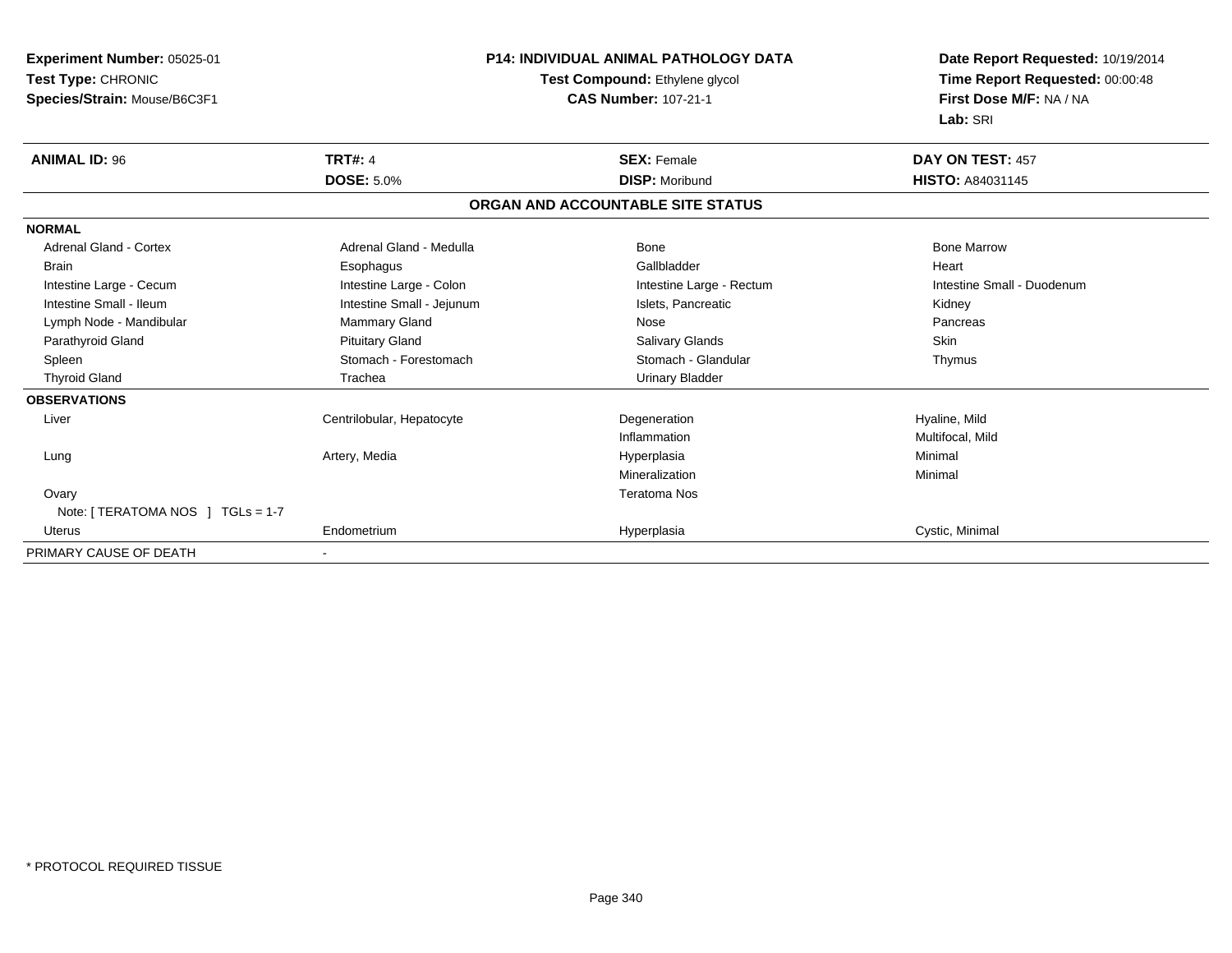| Experiment Number: 05025-01       | <b>P14: INDIVIDUAL ANIMAL PATHOLOGY DATA</b> |                                   | Date Report Requested: 10/19/2014 |  |
|-----------------------------------|----------------------------------------------|-----------------------------------|-----------------------------------|--|
| Test Type: CHRONIC                |                                              | Test Compound: Ethylene glycol    | Time Report Requested: 00:00:48   |  |
| Species/Strain: Mouse/B6C3F1      |                                              | <b>CAS Number: 107-21-1</b>       | First Dose M/F: NA / NA           |  |
|                                   |                                              |                                   | Lab: SRI                          |  |
| <b>ANIMAL ID: 96</b>              | <b>TRT#: 4</b>                               | <b>SEX: Female</b>                | DAY ON TEST: 457                  |  |
|                                   | <b>DOSE: 5.0%</b>                            | <b>DISP: Moribund</b>             | <b>HISTO: A84031145</b>           |  |
|                                   |                                              | ORGAN AND ACCOUNTABLE SITE STATUS |                                   |  |
| <b>NORMAL</b>                     |                                              |                                   |                                   |  |
| <b>Adrenal Gland - Cortex</b>     | Adrenal Gland - Medulla                      | <b>Bone</b>                       | <b>Bone Marrow</b>                |  |
| <b>Brain</b>                      | Esophagus                                    | Gallbladder                       | Heart                             |  |
| Intestine Large - Cecum           | Intestine Large - Colon                      | Intestine Large - Rectum          | Intestine Small - Duodenum        |  |
| Intestine Small - Ileum           | Intestine Small - Jejunum                    | Islets, Pancreatic                | Kidney                            |  |
| Lymph Node - Mandibular           | Mammary Gland                                | Nose                              | Pancreas                          |  |
| Parathyroid Gland                 | <b>Pituitary Gland</b>                       | <b>Salivary Glands</b>            | <b>Skin</b>                       |  |
| Spleen                            | Stomach - Forestomach                        | Stomach - Glandular               | Thymus                            |  |
| <b>Thyroid Gland</b>              | Trachea                                      | <b>Urinary Bladder</b>            |                                   |  |
| <b>OBSERVATIONS</b>               |                                              |                                   |                                   |  |
| Liver                             | Centrilobular, Hepatocyte                    | Degeneration                      | Hyaline, Mild                     |  |
|                                   |                                              | Inflammation                      | Multifocal, Mild                  |  |
| Lung                              | Artery, Media                                | Hyperplasia                       | Minimal                           |  |
|                                   |                                              | Mineralization                    | Minimal                           |  |
| Ovary                             |                                              | <b>Teratoma Nos</b>               |                                   |  |
| Note: [ TERATOMA NOS ] TGLs = 1-7 |                                              |                                   |                                   |  |
| <b>Uterus</b>                     | Endometrium                                  | Hyperplasia                       | Cystic, Minimal                   |  |
| PRIMARY CAUSE OF DEATH            |                                              |                                   |                                   |  |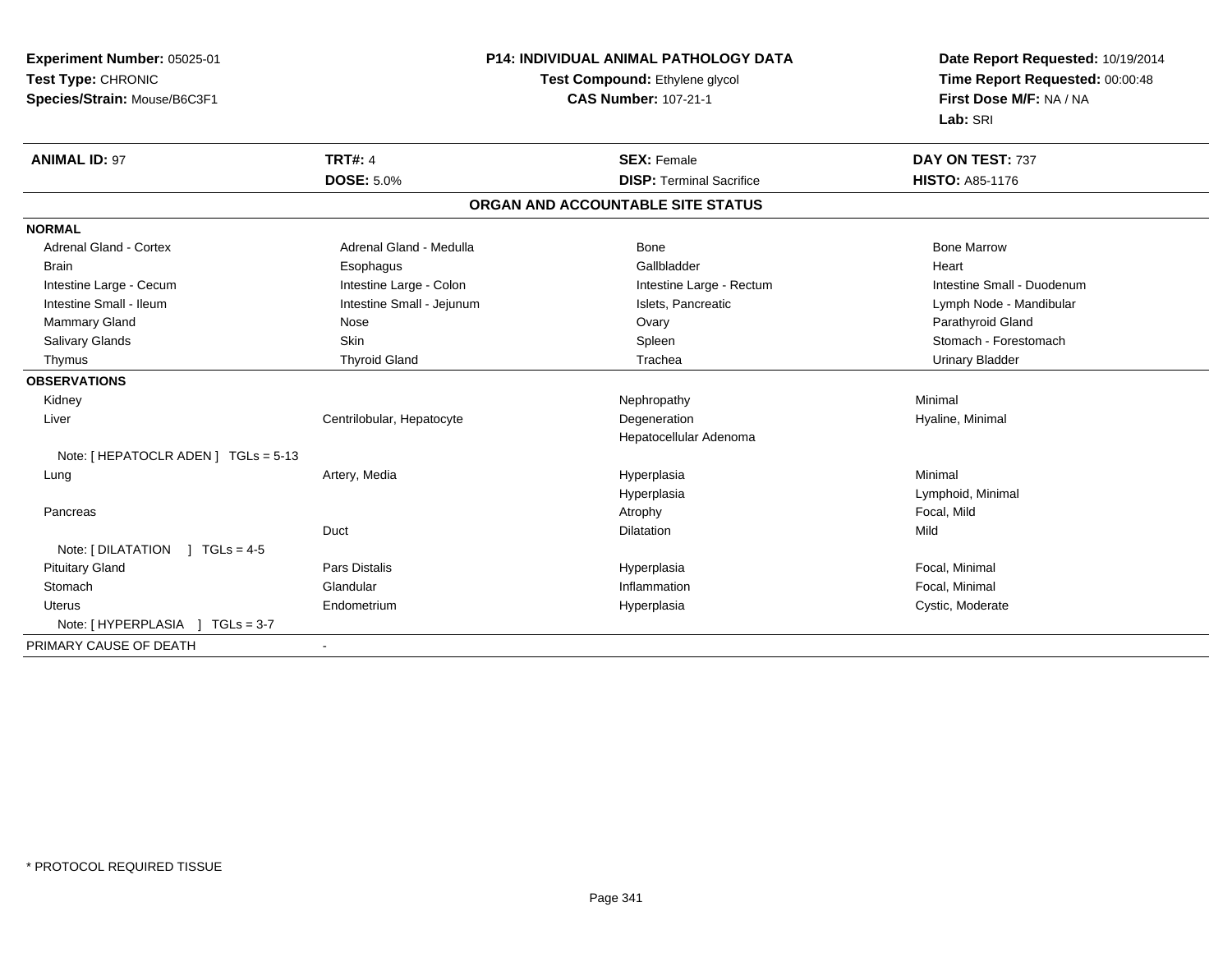| Experiment Number: 05025-01          | <b>P14: INDIVIDUAL ANIMAL PATHOLOGY DATA</b><br>Test Compound: Ethylene glycol |                                   | Date Report Requested: 10/19/2014 |  |
|--------------------------------------|--------------------------------------------------------------------------------|-----------------------------------|-----------------------------------|--|
| Test Type: CHRONIC                   |                                                                                |                                   | Time Report Requested: 00:00:48   |  |
| Species/Strain: Mouse/B6C3F1         |                                                                                | <b>CAS Number: 107-21-1</b>       | First Dose M/F: NA / NA           |  |
|                                      |                                                                                |                                   | Lab: SRI                          |  |
| <b>ANIMAL ID: 97</b>                 | <b>TRT#: 4</b>                                                                 | <b>SEX: Female</b>                | DAY ON TEST: 737                  |  |
|                                      | <b>DOSE: 5.0%</b>                                                              | <b>DISP: Terminal Sacrifice</b>   | <b>HISTO: A85-1176</b>            |  |
|                                      |                                                                                | ORGAN AND ACCOUNTABLE SITE STATUS |                                   |  |
| <b>NORMAL</b>                        |                                                                                |                                   |                                   |  |
| Adrenal Gland - Cortex               | Adrenal Gland - Medulla                                                        | <b>Bone</b>                       | <b>Bone Marrow</b>                |  |
| <b>Brain</b>                         | Esophagus                                                                      | Gallbladder                       | Heart                             |  |
| Intestine Large - Cecum              | Intestine Large - Colon                                                        | Intestine Large - Rectum          | Intestine Small - Duodenum        |  |
| Intestine Small - Ileum              | Intestine Small - Jejunum                                                      | Islets, Pancreatic                | Lymph Node - Mandibular           |  |
| Mammary Gland                        | Nose                                                                           | Ovary                             | Parathyroid Gland                 |  |
| Salivary Glands                      | Skin                                                                           | Spleen                            | Stomach - Forestomach             |  |
| Thymus                               | <b>Thyroid Gland</b>                                                           | Trachea                           | <b>Urinary Bladder</b>            |  |
| <b>OBSERVATIONS</b>                  |                                                                                |                                   |                                   |  |
| Kidney                               |                                                                                | Nephropathy                       | Minimal                           |  |
| Liver                                | Centrilobular, Hepatocyte                                                      | Degeneration                      | Hyaline, Minimal                  |  |
|                                      |                                                                                | Hepatocellular Adenoma            |                                   |  |
| Note: [ HEPATOCLR ADEN ] TGLs = 5-13 |                                                                                |                                   |                                   |  |
| Lung                                 | Artery, Media                                                                  | Hyperplasia                       | Minimal                           |  |
|                                      |                                                                                | Hyperplasia                       | Lymphoid, Minimal                 |  |
| Pancreas                             |                                                                                | Atrophy                           | Focal, Mild                       |  |
|                                      | Duct                                                                           | Dilatation                        | Mild                              |  |
| Note: $[DILATATION] TGLs = 4-5$      |                                                                                |                                   |                                   |  |
| <b>Pituitary Gland</b>               | Pars Distalis                                                                  | Hyperplasia                       | Focal, Minimal                    |  |
| Stomach                              | Glandular                                                                      | Inflammation                      | Focal, Minimal                    |  |
| <b>Uterus</b>                        | Endometrium                                                                    | Hyperplasia                       | Cystic, Moderate                  |  |
| Note: [HYPERPLASIA ] TGLs = 3-7      |                                                                                |                                   |                                   |  |
| PRIMARY CAUSE OF DEATH               |                                                                                |                                   |                                   |  |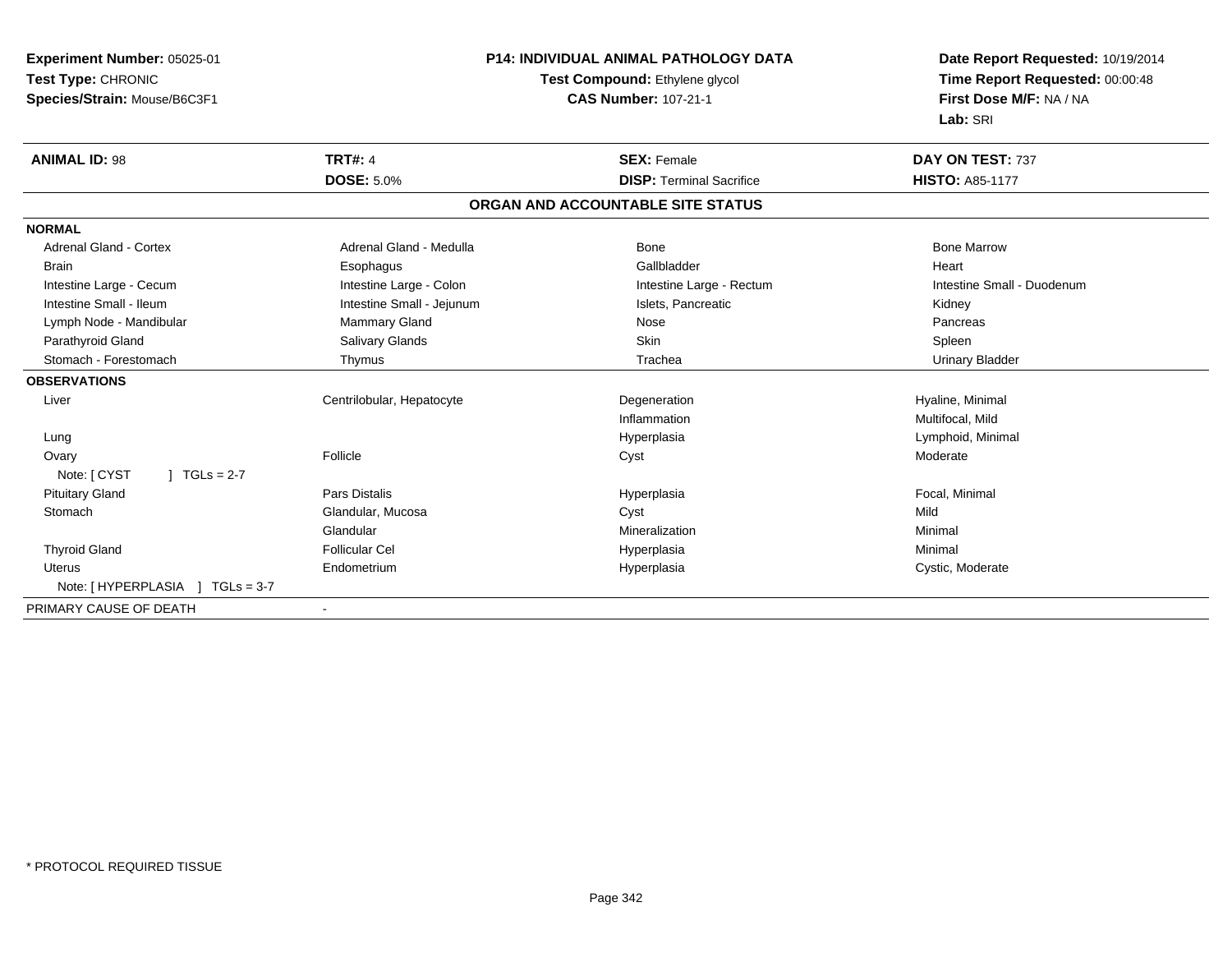| Experiment Number: 05025-01     |                           | <b>P14: INDIVIDUAL ANIMAL PATHOLOGY DATA</b> | Date Report Requested: 10/19/2014 |  |
|---------------------------------|---------------------------|----------------------------------------------|-----------------------------------|--|
| Test Type: CHRONIC              |                           | Test Compound: Ethylene glycol               | Time Report Requested: 00:00:48   |  |
| Species/Strain: Mouse/B6C3F1    |                           | <b>CAS Number: 107-21-1</b>                  | First Dose M/F: NA / NA           |  |
|                                 |                           |                                              | Lab: SRI                          |  |
| <b>ANIMAL ID: 98</b>            | <b>TRT#: 4</b>            | <b>SEX: Female</b>                           | DAY ON TEST: 737                  |  |
|                                 | <b>DOSE: 5.0%</b>         | <b>DISP: Terminal Sacrifice</b>              | <b>HISTO: A85-1177</b>            |  |
|                                 |                           | ORGAN AND ACCOUNTABLE SITE STATUS            |                                   |  |
| <b>NORMAL</b>                   |                           |                                              |                                   |  |
| <b>Adrenal Gland - Cortex</b>   | Adrenal Gland - Medulla   | <b>Bone</b>                                  | <b>Bone Marrow</b>                |  |
| <b>Brain</b>                    | Esophagus                 | Gallbladder                                  | Heart                             |  |
| Intestine Large - Cecum         | Intestine Large - Colon   | Intestine Large - Rectum                     | Intestine Small - Duodenum        |  |
| Intestine Small - Ileum         | Intestine Small - Jejunum | Islets, Pancreatic                           | Kidney                            |  |
| Lymph Node - Mandibular         | <b>Mammary Gland</b>      | Nose                                         | Pancreas                          |  |
| Parathyroid Gland               | Salivary Glands           | <b>Skin</b>                                  | Spleen                            |  |
| Stomach - Forestomach           | Thymus                    | Trachea                                      | <b>Urinary Bladder</b>            |  |
| <b>OBSERVATIONS</b>             |                           |                                              |                                   |  |
| Liver                           | Centrilobular, Hepatocyte | Degeneration                                 | Hyaline, Minimal                  |  |
|                                 |                           | Inflammation                                 | Multifocal, Mild                  |  |
| Lung                            |                           | Hyperplasia                                  | Lymphoid, Minimal                 |  |
| Ovary                           | Follicle                  | Cyst                                         | Moderate                          |  |
| Note: [ CYST<br>$1 TGLs = 2-7$  |                           |                                              |                                   |  |
| <b>Pituitary Gland</b>          | <b>Pars Distalis</b>      | Hyperplasia                                  | Focal, Minimal                    |  |
| Stomach                         | Glandular, Mucosa         | Cyst                                         | Mild                              |  |
|                                 | Glandular                 | Mineralization                               | Minimal                           |  |
| <b>Thyroid Gland</b>            | <b>Follicular Cel</b>     | Hyperplasia                                  | Minimal                           |  |
| <b>Uterus</b>                   | Endometrium               | Hyperplasia                                  | Cystic, Moderate                  |  |
| Note: [HYPERPLASIA ] TGLs = 3-7 |                           |                                              |                                   |  |
| PRIMARY CAUSE OF DEATH          |                           |                                              |                                   |  |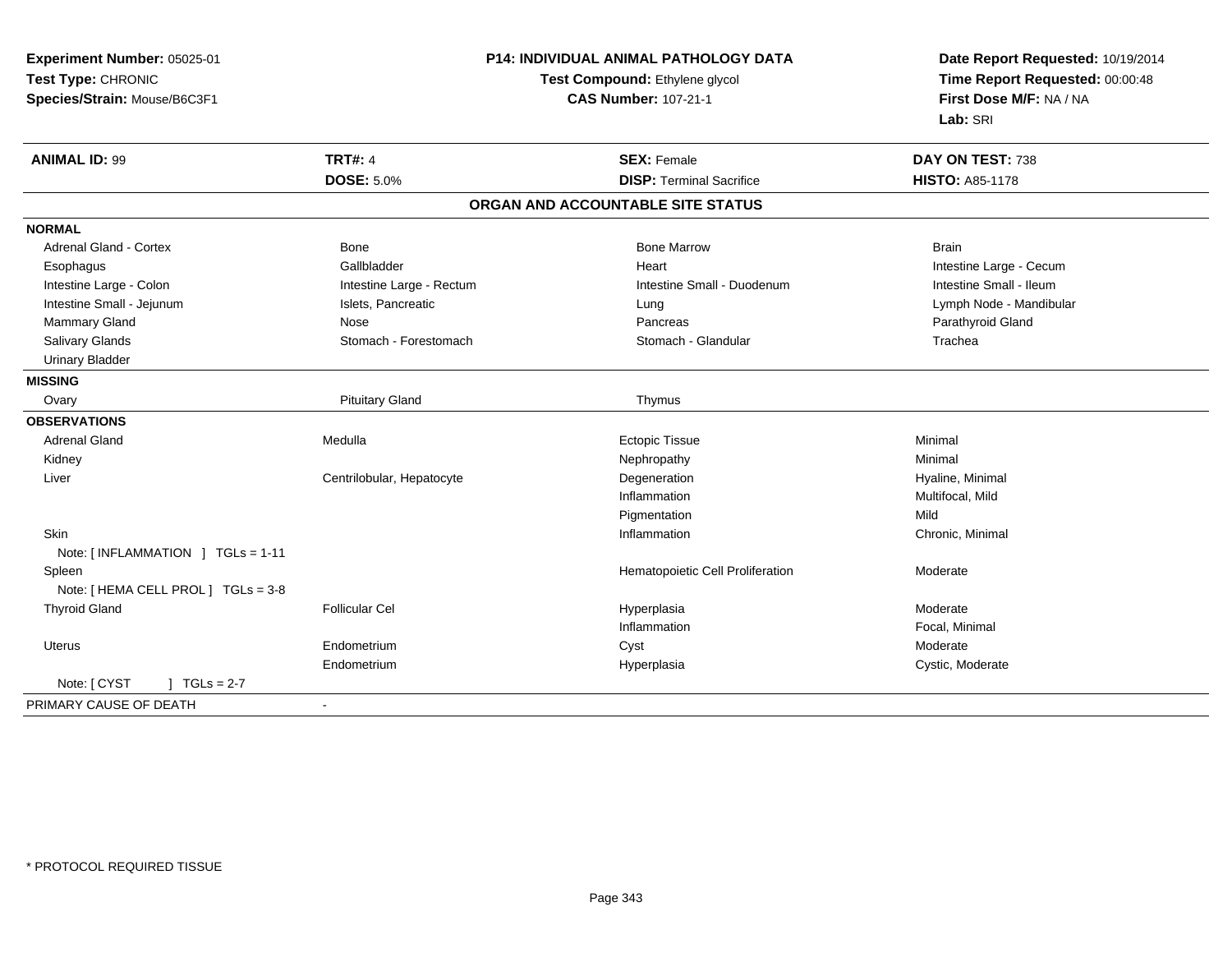| Experiment Number: 05025-01         | <b>P14: INDIVIDUAL ANIMAL PATHOLOGY DATA</b><br>Test Compound: Ethylene glycol |                                   | Date Report Requested: 10/19/2014<br>Time Report Requested: 00:00:48 |
|-------------------------------------|--------------------------------------------------------------------------------|-----------------------------------|----------------------------------------------------------------------|
| Test Type: CHRONIC                  |                                                                                |                                   |                                                                      |
| Species/Strain: Mouse/B6C3F1        |                                                                                | <b>CAS Number: 107-21-1</b>       | First Dose M/F: NA / NA                                              |
|                                     |                                                                                |                                   | Lab: SRI                                                             |
| <b>ANIMAL ID: 99</b>                | <b>TRT#: 4</b>                                                                 | <b>SEX: Female</b>                | DAY ON TEST: 738                                                     |
|                                     | <b>DOSE: 5.0%</b>                                                              | <b>DISP: Terminal Sacrifice</b>   | <b>HISTO: A85-1178</b>                                               |
|                                     |                                                                                | ORGAN AND ACCOUNTABLE SITE STATUS |                                                                      |
| <b>NORMAL</b>                       |                                                                                |                                   |                                                                      |
| <b>Adrenal Gland - Cortex</b>       | Bone                                                                           | <b>Bone Marrow</b>                | <b>Brain</b>                                                         |
| Esophagus                           | Gallbladder                                                                    | Heart                             | Intestine Large - Cecum                                              |
| Intestine Large - Colon             | Intestine Large - Rectum                                                       | Intestine Small - Duodenum        | Intestine Small - Ileum                                              |
| Intestine Small - Jejunum           | Islets, Pancreatic                                                             | Lung                              | Lymph Node - Mandibular                                              |
| Mammary Gland                       | Nose                                                                           | Pancreas                          | Parathyroid Gland                                                    |
| Salivary Glands                     | Stomach - Forestomach                                                          | Stomach - Glandular               | Trachea                                                              |
| <b>Urinary Bladder</b>              |                                                                                |                                   |                                                                      |
| <b>MISSING</b>                      |                                                                                |                                   |                                                                      |
| Ovary                               | <b>Pituitary Gland</b>                                                         | Thymus                            |                                                                      |
| <b>OBSERVATIONS</b>                 |                                                                                |                                   |                                                                      |
| <b>Adrenal Gland</b>                | Medulla                                                                        | <b>Ectopic Tissue</b>             | Minimal                                                              |
| Kidney                              |                                                                                | Nephropathy                       | Minimal                                                              |
| Liver                               | Centrilobular, Hepatocyte                                                      | Degeneration                      | Hyaline, Minimal                                                     |
|                                     |                                                                                | Inflammation                      | Multifocal, Mild                                                     |
|                                     |                                                                                | Pigmentation                      | Mild                                                                 |
| Skin                                |                                                                                | Inflammation                      | Chronic, Minimal                                                     |
| Note: [INFLAMMATION ] TGLs = 1-11   |                                                                                |                                   |                                                                      |
| Spleen                              |                                                                                | Hematopoietic Cell Proliferation  | Moderate                                                             |
| Note: [ HEMA CELL PROL ] TGLs = 3-8 |                                                                                |                                   |                                                                      |
| <b>Thyroid Gland</b>                | <b>Follicular Cel</b>                                                          | Hyperplasia                       | Moderate                                                             |
|                                     |                                                                                | Inflammation                      | Focal, Minimal                                                       |
| <b>Uterus</b>                       | Endometrium                                                                    | Cyst                              | Moderate                                                             |
|                                     | Endometrium                                                                    | Hyperplasia                       | Cystic, Moderate                                                     |
| Note: [ CYST<br>] $TGLs = 2-7$      |                                                                                |                                   |                                                                      |
| PRIMARY CAUSE OF DEATH              | $\sim$                                                                         |                                   |                                                                      |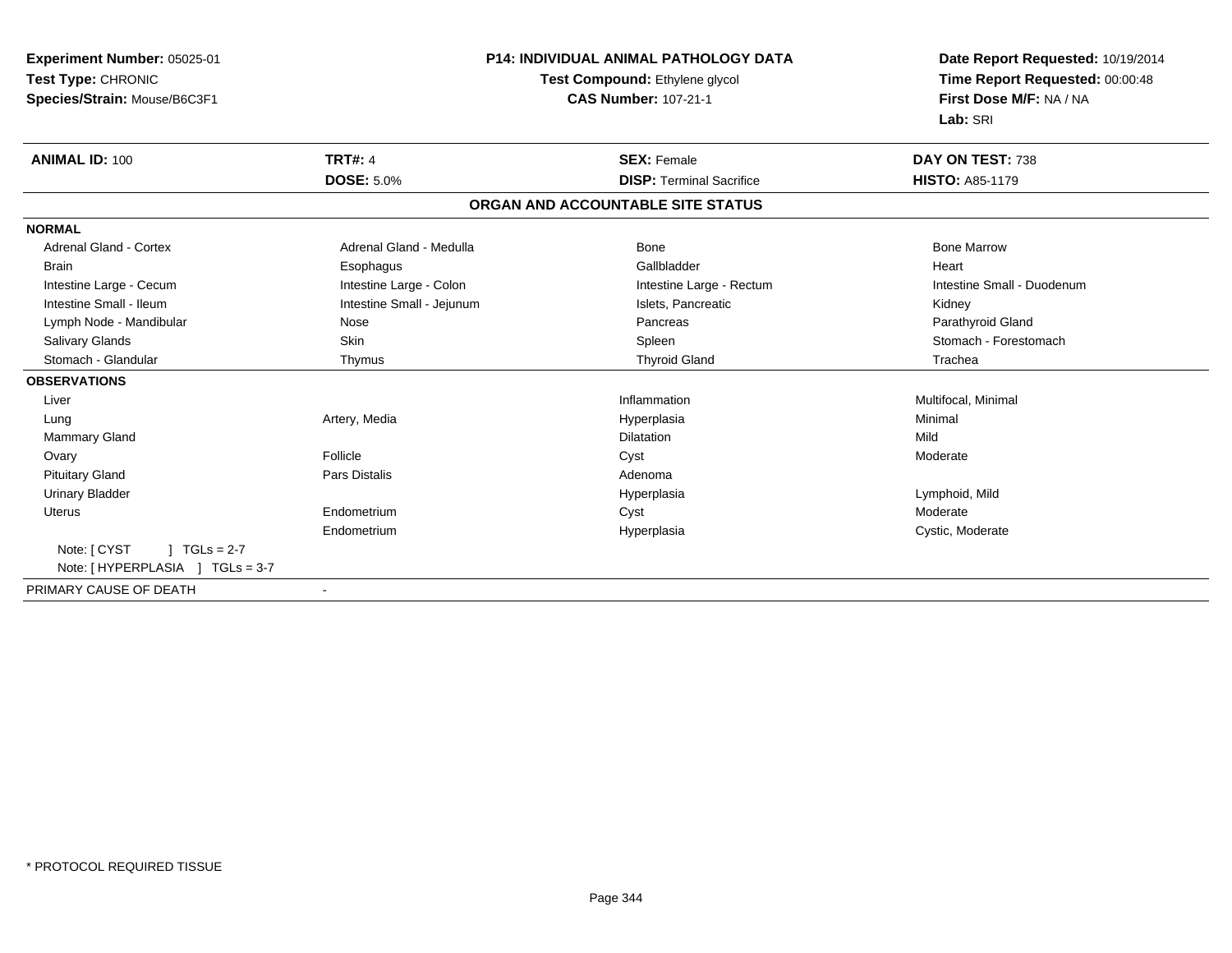| Experiment Number: 05025-01    | <b>P14: INDIVIDUAL ANIMAL PATHOLOGY DATA</b><br>Test Compound: Ethylene glycol |                                   | Date Report Requested: 10/19/2014 |  |
|--------------------------------|--------------------------------------------------------------------------------|-----------------------------------|-----------------------------------|--|
| Test Type: CHRONIC             |                                                                                |                                   | Time Report Requested: 00:00:48   |  |
| Species/Strain: Mouse/B6C3F1   |                                                                                | <b>CAS Number: 107-21-1</b>       | First Dose M/F: NA / NA           |  |
|                                |                                                                                |                                   | Lab: SRI                          |  |
| <b>ANIMAL ID: 100</b>          | <b>TRT#: 4</b>                                                                 | <b>SEX: Female</b>                | DAY ON TEST: 738                  |  |
|                                | <b>DOSE: 5.0%</b>                                                              | <b>DISP: Terminal Sacrifice</b>   | <b>HISTO: A85-1179</b>            |  |
|                                |                                                                                | ORGAN AND ACCOUNTABLE SITE STATUS |                                   |  |
| <b>NORMAL</b>                  |                                                                                |                                   |                                   |  |
| <b>Adrenal Gland - Cortex</b>  | Adrenal Gland - Medulla                                                        | Bone                              | <b>Bone Marrow</b>                |  |
| <b>Brain</b>                   | Esophagus                                                                      | Gallbladder                       | Heart                             |  |
| Intestine Large - Cecum        | Intestine Large - Colon                                                        | Intestine Large - Rectum          | Intestine Small - Duodenum        |  |
| Intestine Small - Ileum        | Intestine Small - Jejunum                                                      | Islets, Pancreatic                | Kidney                            |  |
| Lymph Node - Mandibular        | Nose                                                                           | Pancreas                          | Parathyroid Gland                 |  |
| Salivary Glands                | <b>Skin</b>                                                                    | Spleen                            | Stomach - Forestomach             |  |
| Stomach - Glandular            | Thymus                                                                         | <b>Thyroid Gland</b>              | Trachea                           |  |
| <b>OBSERVATIONS</b>            |                                                                                |                                   |                                   |  |
| Liver                          |                                                                                | Inflammation                      | Multifocal, Minimal               |  |
| Lung                           | Artery, Media                                                                  | Hyperplasia                       | Minimal                           |  |
| <b>Mammary Gland</b>           |                                                                                | <b>Dilatation</b>                 | Mild                              |  |
| Ovary                          | Follicle                                                                       | Cyst                              | Moderate                          |  |
| <b>Pituitary Gland</b>         | <b>Pars Distalis</b>                                                           | Adenoma                           |                                   |  |
| <b>Urinary Bladder</b>         |                                                                                | Hyperplasia                       | Lymphoid, Mild                    |  |
| <b>Uterus</b>                  | Endometrium                                                                    | Cyst                              | Moderate                          |  |
|                                | Endometrium                                                                    | Hyperplasia                       | Cystic, Moderate                  |  |
| Note: [ CYST<br>$1 TGLs = 2-7$ |                                                                                |                                   |                                   |  |
|                                |                                                                                |                                   |                                   |  |
| PRIMARY CAUSE OF DEATH         |                                                                                |                                   |                                   |  |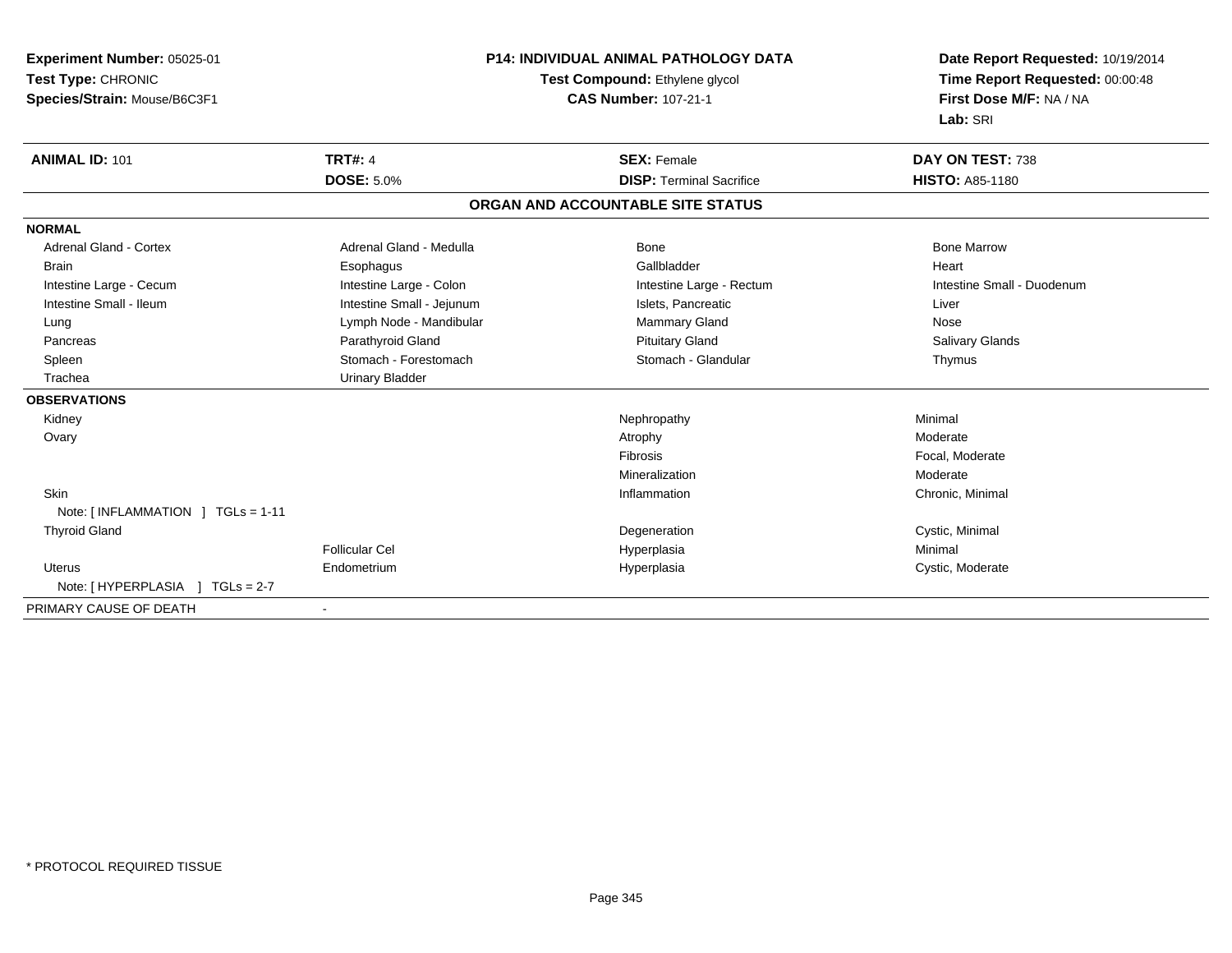| Experiment Number: 05025-01         | <b>P14: INDIVIDUAL ANIMAL PATHOLOGY DATA</b><br>Test Compound: Ethylene glycol |                                   | Date Report Requested: 10/19/2014 |
|-------------------------------------|--------------------------------------------------------------------------------|-----------------------------------|-----------------------------------|
| Test Type: CHRONIC                  |                                                                                |                                   | Time Report Requested: 00:00:48   |
| Species/Strain: Mouse/B6C3F1        |                                                                                | <b>CAS Number: 107-21-1</b>       | First Dose M/F: NA / NA           |
|                                     |                                                                                |                                   | Lab: SRI                          |
| <b>ANIMAL ID: 101</b>               | <b>TRT#: 4</b>                                                                 | <b>SEX: Female</b>                | DAY ON TEST: 738                  |
|                                     | <b>DOSE: 5.0%</b>                                                              | <b>DISP: Terminal Sacrifice</b>   | <b>HISTO: A85-1180</b>            |
|                                     |                                                                                | ORGAN AND ACCOUNTABLE SITE STATUS |                                   |
| <b>NORMAL</b>                       |                                                                                |                                   |                                   |
| <b>Adrenal Gland - Cortex</b>       | Adrenal Gland - Medulla                                                        | Bone                              | <b>Bone Marrow</b>                |
| <b>Brain</b>                        | Esophagus                                                                      | Gallbladder                       | Heart                             |
| Intestine Large - Cecum             | Intestine Large - Colon                                                        | Intestine Large - Rectum          | Intestine Small - Duodenum        |
| Intestine Small - Ileum             | Intestine Small - Jejunum                                                      | Islets, Pancreatic                | Liver                             |
| Lung                                | Lymph Node - Mandibular                                                        | Mammary Gland                     | Nose                              |
| Pancreas                            | Parathyroid Gland                                                              | <b>Pituitary Gland</b>            | Salivary Glands                   |
| Spleen                              | Stomach - Forestomach                                                          | Stomach - Glandular               | Thymus                            |
| Trachea                             | <b>Urinary Bladder</b>                                                         |                                   |                                   |
| <b>OBSERVATIONS</b>                 |                                                                                |                                   |                                   |
| Kidney                              |                                                                                | Nephropathy                       | Minimal                           |
| Ovary                               |                                                                                | Atrophy                           | Moderate                          |
|                                     |                                                                                | Fibrosis                          | Focal, Moderate                   |
|                                     |                                                                                | Mineralization                    | Moderate                          |
| <b>Skin</b>                         |                                                                                | Inflammation                      | Chronic, Minimal                  |
| Note: [INFLAMMATION ] TGLs = 1-11   |                                                                                |                                   |                                   |
| <b>Thyroid Gland</b>                |                                                                                | Degeneration                      | Cystic, Minimal                   |
|                                     | <b>Follicular Cel</b>                                                          | Hyperplasia                       | Minimal                           |
| Uterus                              | Endometrium                                                                    | Hyperplasia                       | Cystic, Moderate                  |
| Note: [ HYPERPLASIA<br>$TGLs = 2-7$ |                                                                                |                                   |                                   |
| PRIMARY CAUSE OF DEATH              |                                                                                |                                   |                                   |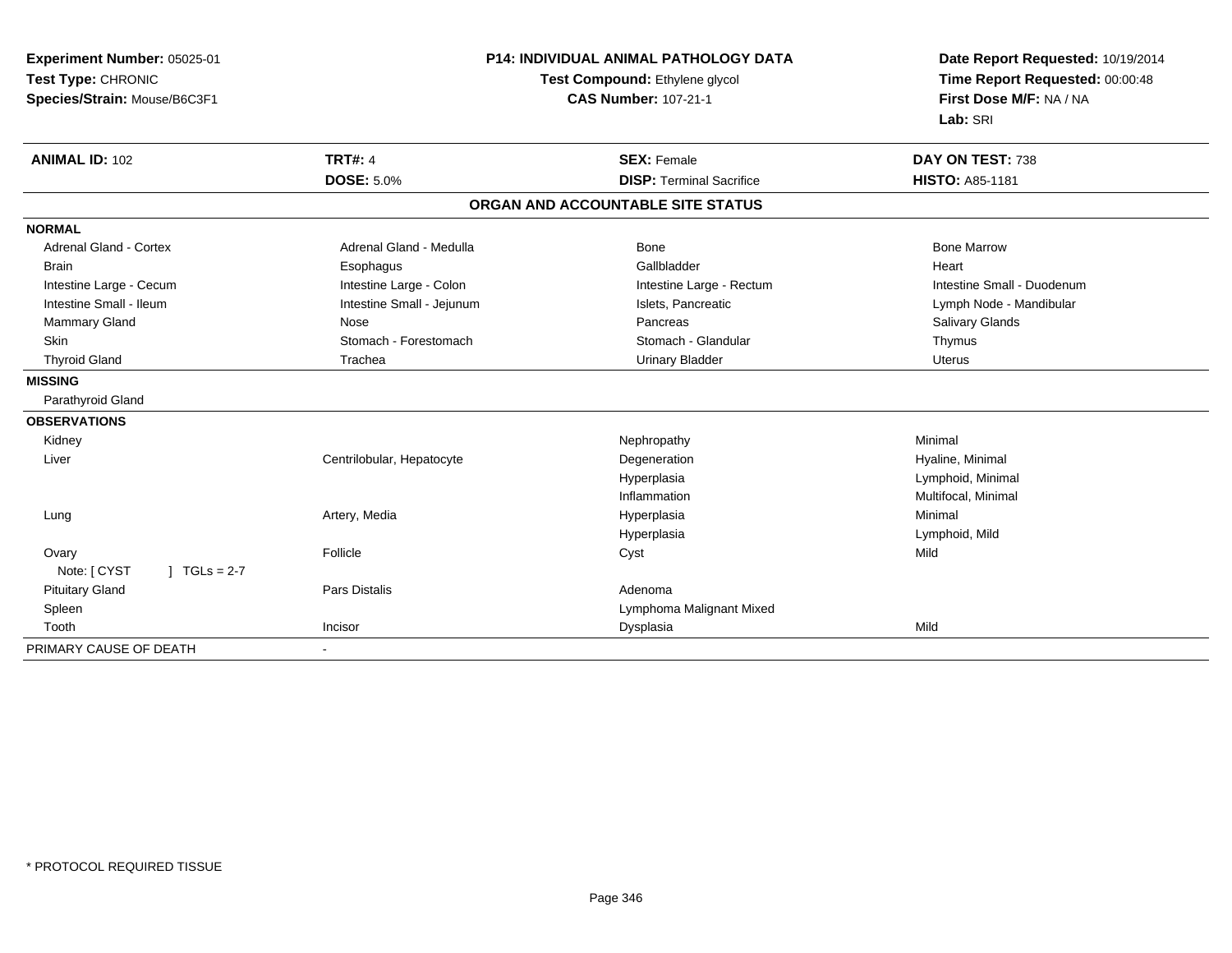| Experiment Number: 05025-01<br>Test Type: CHRONIC<br>Species/Strain: Mouse/B6C3F1 |                           | <b>P14: INDIVIDUAL ANIMAL PATHOLOGY DATA</b><br>Test Compound: Ethylene glycol<br><b>CAS Number: 107-21-1</b> | Date Report Requested: 10/19/2014<br>Time Report Requested: 00:00:48<br>First Dose M/F: NA / NA<br>Lab: SRI |
|-----------------------------------------------------------------------------------|---------------------------|---------------------------------------------------------------------------------------------------------------|-------------------------------------------------------------------------------------------------------------|
| <b>ANIMAL ID: 102</b>                                                             | <b>TRT#: 4</b>            | <b>SEX: Female</b>                                                                                            | DAY ON TEST: 738                                                                                            |
|                                                                                   | <b>DOSE: 5.0%</b>         | <b>DISP: Terminal Sacrifice</b>                                                                               | <b>HISTO: A85-1181</b>                                                                                      |
|                                                                                   |                           | ORGAN AND ACCOUNTABLE SITE STATUS                                                                             |                                                                                                             |
| <b>NORMAL</b>                                                                     |                           |                                                                                                               |                                                                                                             |
| <b>Adrenal Gland - Cortex</b>                                                     | Adrenal Gland - Medulla   | Bone                                                                                                          | <b>Bone Marrow</b>                                                                                          |
| <b>Brain</b>                                                                      | Esophagus                 | Gallbladder                                                                                                   | Heart                                                                                                       |
| Intestine Large - Cecum                                                           | Intestine Large - Colon   | Intestine Large - Rectum                                                                                      | Intestine Small - Duodenum                                                                                  |
| Intestine Small - Ileum                                                           | Intestine Small - Jejunum | Islets, Pancreatic                                                                                            | Lymph Node - Mandibular                                                                                     |
| Mammary Gland                                                                     | Nose                      | Pancreas                                                                                                      | Salivary Glands                                                                                             |
| Skin                                                                              | Stomach - Forestomach     | Stomach - Glandular                                                                                           | Thymus                                                                                                      |
| <b>Thyroid Gland</b>                                                              | Trachea                   | <b>Urinary Bladder</b>                                                                                        | <b>Uterus</b>                                                                                               |
| <b>MISSING</b>                                                                    |                           |                                                                                                               |                                                                                                             |
| Parathyroid Gland                                                                 |                           |                                                                                                               |                                                                                                             |
| <b>OBSERVATIONS</b>                                                               |                           |                                                                                                               |                                                                                                             |
| Kidney                                                                            |                           | Nephropathy                                                                                                   | Minimal                                                                                                     |
| Liver                                                                             | Centrilobular, Hepatocyte | Degeneration                                                                                                  | Hyaline, Minimal                                                                                            |
|                                                                                   |                           | Hyperplasia                                                                                                   | Lymphoid, Minimal                                                                                           |
|                                                                                   |                           | Inflammation                                                                                                  | Multifocal, Minimal                                                                                         |
| Lung                                                                              | Artery, Media             | Hyperplasia                                                                                                   | Minimal                                                                                                     |
|                                                                                   |                           | Hyperplasia                                                                                                   | Lymphoid, Mild                                                                                              |
| Ovary                                                                             | Follicle                  | Cyst                                                                                                          | Mild                                                                                                        |
| Note: [ CYST<br>$1 TGLs = 2-7$                                                    |                           |                                                                                                               |                                                                                                             |
| <b>Pituitary Gland</b>                                                            | Pars Distalis             | Adenoma                                                                                                       |                                                                                                             |
| Spleen                                                                            |                           | Lymphoma Malignant Mixed                                                                                      |                                                                                                             |
| Tooth                                                                             | Incisor                   | Dysplasia                                                                                                     | Mild                                                                                                        |
| PRIMARY CAUSE OF DEATH                                                            | $\blacksquare$            |                                                                                                               |                                                                                                             |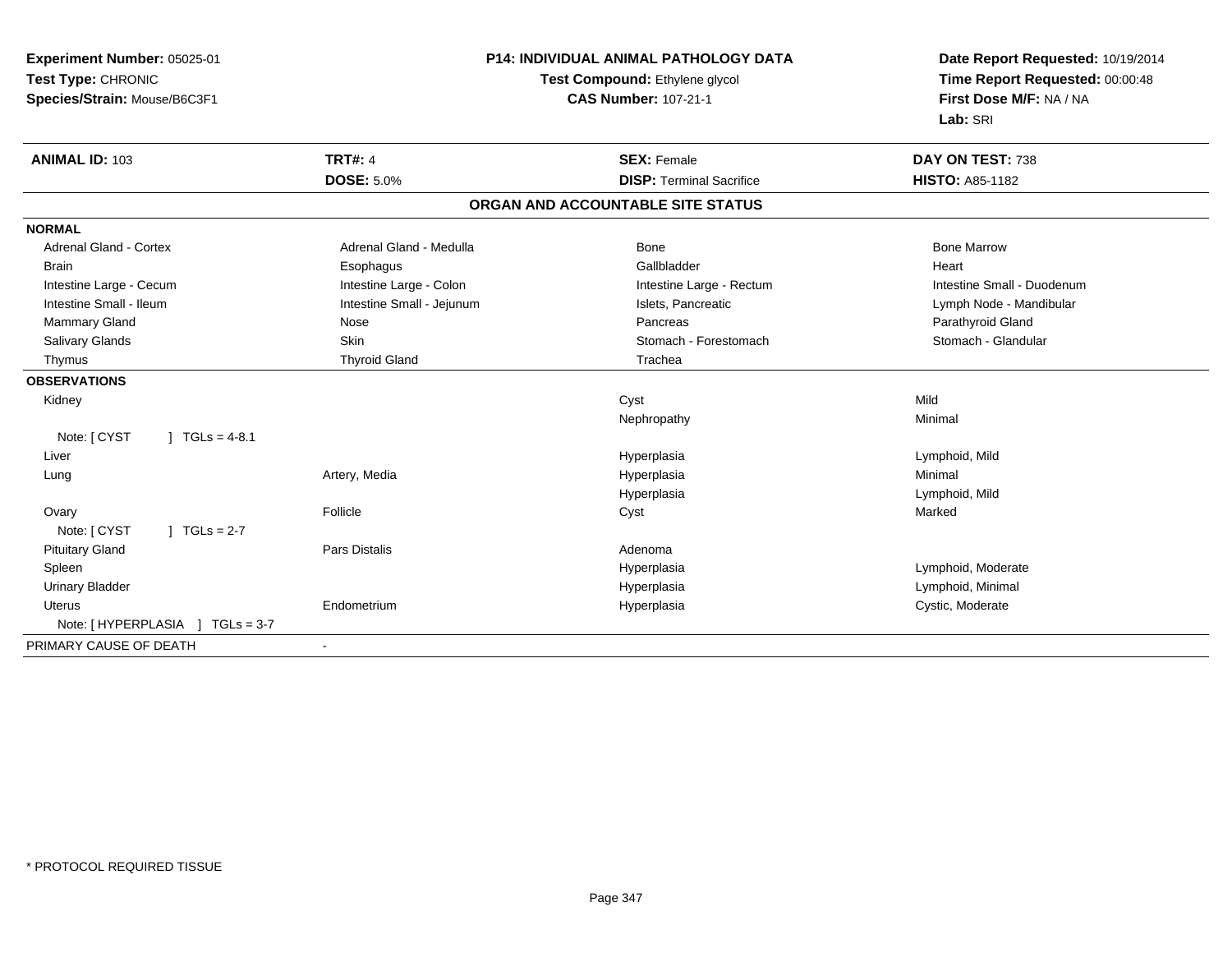| Experiment Number: 05025-01          | P14: INDIVIDUAL ANIMAL PATHOLOGY DATA |                                   | Date Report Requested: 10/19/2014 |
|--------------------------------------|---------------------------------------|-----------------------------------|-----------------------------------|
| Test Type: CHRONIC                   |                                       | Test Compound: Ethylene glycol    | Time Report Requested: 00:00:48   |
| Species/Strain: Mouse/B6C3F1         |                                       | <b>CAS Number: 107-21-1</b>       | First Dose M/F: NA / NA           |
|                                      |                                       |                                   | Lab: SRI                          |
| <b>ANIMAL ID: 103</b>                | <b>TRT#: 4</b>                        | <b>SEX: Female</b>                | DAY ON TEST: 738                  |
|                                      | <b>DOSE: 5.0%</b>                     | <b>DISP: Terminal Sacrifice</b>   | <b>HISTO: A85-1182</b>            |
|                                      |                                       | ORGAN AND ACCOUNTABLE SITE STATUS |                                   |
| <b>NORMAL</b>                        |                                       |                                   |                                   |
| Adrenal Gland - Cortex               | Adrenal Gland - Medulla               | Bone                              | <b>Bone Marrow</b>                |
| <b>Brain</b>                         | Esophagus                             | Gallbladder                       | Heart                             |
| Intestine Large - Cecum              | Intestine Large - Colon               | Intestine Large - Rectum          | Intestine Small - Duodenum        |
| Intestine Small - Ileum              | Intestine Small - Jejunum             | Islets, Pancreatic                | Lymph Node - Mandibular           |
| Mammary Gland                        | Nose                                  | Pancreas                          | Parathyroid Gland                 |
| Salivary Glands                      | Skin                                  | Stomach - Forestomach             | Stomach - Glandular               |
| Thymus                               | <b>Thyroid Gland</b>                  | Trachea                           |                                   |
| <b>OBSERVATIONS</b>                  |                                       |                                   |                                   |
| Kidney                               |                                       | Cyst                              | Mild                              |
|                                      |                                       | Nephropathy                       | Minimal                           |
| Note: [ CYST<br>$1 TGLs = 4-8.1$     |                                       |                                   |                                   |
| Liver                                |                                       | Hyperplasia                       | Lymphoid, Mild                    |
| Lung                                 | Artery, Media                         | Hyperplasia                       | Minimal                           |
|                                      |                                       | Hyperplasia                       | Lymphoid, Mild                    |
| Ovary                                | Follicle                              | Cyst                              | Marked                            |
| Note: [ CYST<br>$J \cdot TGLS = 2-7$ |                                       |                                   |                                   |
| <b>Pituitary Gland</b>               | Pars Distalis                         | Adenoma                           |                                   |
| Spleen                               |                                       | Hyperplasia                       | Lymphoid, Moderate                |
| <b>Urinary Bladder</b>               |                                       | Hyperplasia                       | Lymphoid, Minimal                 |
| <b>Uterus</b>                        | Endometrium                           | Hyperplasia                       | Cystic, Moderate                  |
|                                      |                                       |                                   |                                   |
| PRIMARY CAUSE OF DEATH               |                                       |                                   |                                   |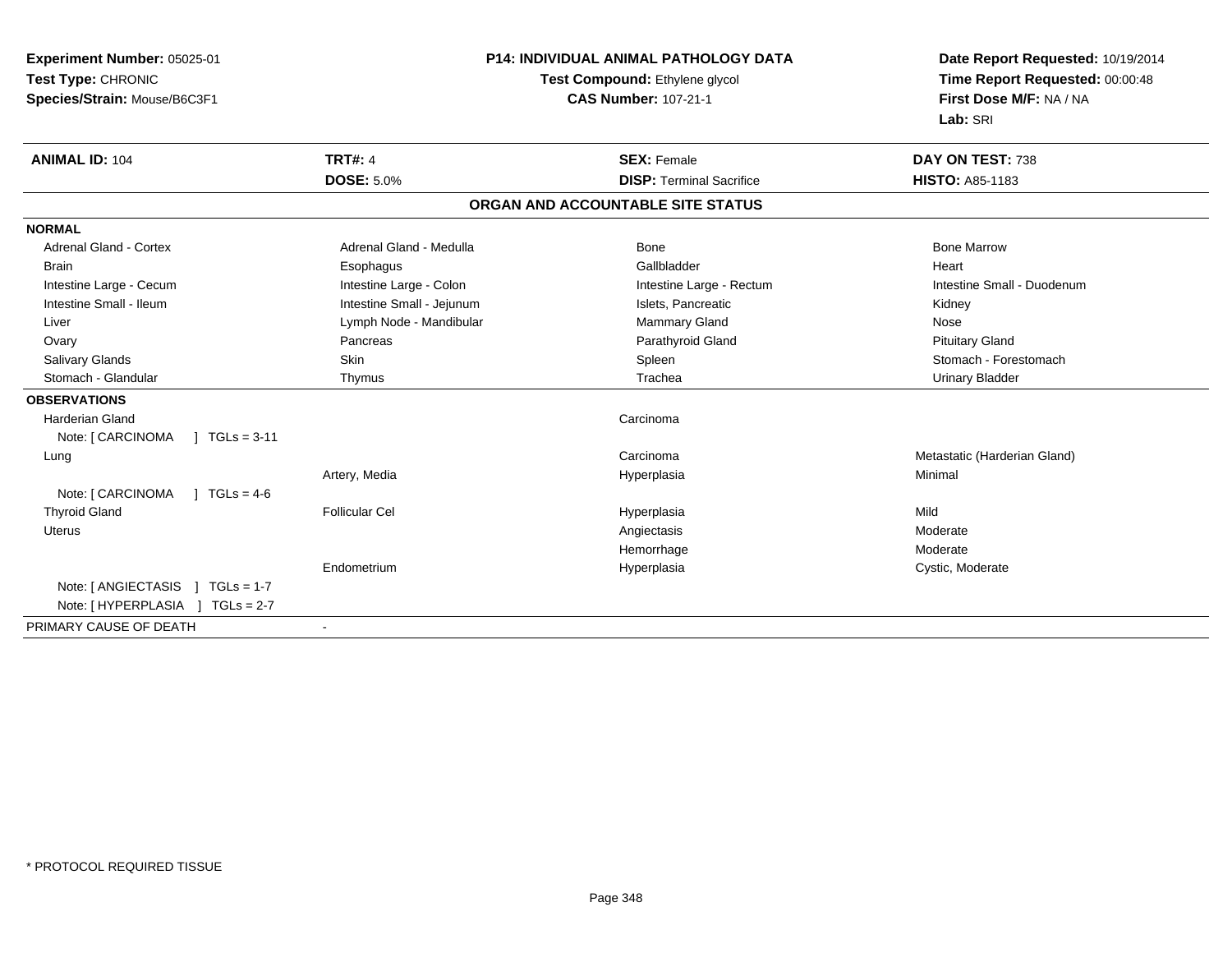| <b>Experiment Number: 05025-01</b>                             | <b>P14: INDIVIDUAL ANIMAL PATHOLOGY DATA</b> |                                   | Date Report Requested: 10/19/2014 |  |
|----------------------------------------------------------------|----------------------------------------------|-----------------------------------|-----------------------------------|--|
| Test Type: CHRONIC                                             |                                              | Test Compound: Ethylene glycol    | Time Report Requested: 00:00:48   |  |
| Species/Strain: Mouse/B6C3F1                                   |                                              | <b>CAS Number: 107-21-1</b>       | First Dose M/F: NA / NA           |  |
|                                                                |                                              |                                   | Lab: SRI                          |  |
| <b>ANIMAL ID: 104</b>                                          | <b>TRT#: 4</b>                               | <b>SEX: Female</b>                | DAY ON TEST: 738                  |  |
|                                                                | <b>DOSE: 5.0%</b>                            | <b>DISP: Terminal Sacrifice</b>   | <b>HISTO: A85-1183</b>            |  |
|                                                                |                                              | ORGAN AND ACCOUNTABLE SITE STATUS |                                   |  |
| <b>NORMAL</b>                                                  |                                              |                                   |                                   |  |
| <b>Adrenal Gland - Cortex</b>                                  | Adrenal Gland - Medulla                      | Bone                              | <b>Bone Marrow</b>                |  |
| <b>Brain</b>                                                   | Esophagus                                    | Gallbladder                       | Heart                             |  |
| Intestine Large - Cecum                                        | Intestine Large - Colon                      | Intestine Large - Rectum          | Intestine Small - Duodenum        |  |
| Intestine Small - Ileum                                        | Intestine Small - Jejunum                    | Islets, Pancreatic                | Kidney                            |  |
| Liver                                                          | Lymph Node - Mandibular                      | Mammary Gland                     | Nose                              |  |
| Ovary                                                          | Pancreas                                     | Parathyroid Gland                 | <b>Pituitary Gland</b>            |  |
| <b>Salivary Glands</b>                                         | Skin                                         | Spleen                            | Stomach - Forestomach             |  |
| Stomach - Glandular                                            | Thymus                                       | Trachea                           | <b>Urinary Bladder</b>            |  |
| <b>OBSERVATIONS</b>                                            |                                              |                                   |                                   |  |
| <b>Harderian Gland</b><br>Note: [ CARCINOMA<br>$] TGLs = 3-11$ |                                              | Carcinoma                         |                                   |  |
| Lung                                                           |                                              | Carcinoma                         | Metastatic (Harderian Gland)      |  |
|                                                                | Artery, Media                                | Hyperplasia                       | Minimal                           |  |
| Note: [ CARCINOMA<br>$1 TGLs = 4-6$                            |                                              |                                   |                                   |  |
| <b>Thyroid Gland</b>                                           | <b>Follicular Cel</b>                        | Hyperplasia                       | Mild                              |  |
| <b>Uterus</b>                                                  |                                              | Angiectasis                       | Moderate                          |  |
|                                                                |                                              | Hemorrhage                        | Moderate                          |  |
|                                                                | Endometrium                                  | Hyperplasia                       | Cystic, Moderate                  |  |
| Note: $[$ ANGIECTASIS $]$ TGLs = 1-7                           |                                              |                                   |                                   |  |
| Note: [HYPERPLASIA ] TGLs = 2-7                                |                                              |                                   |                                   |  |
| PRIMARY CAUSE OF DEATH                                         |                                              |                                   |                                   |  |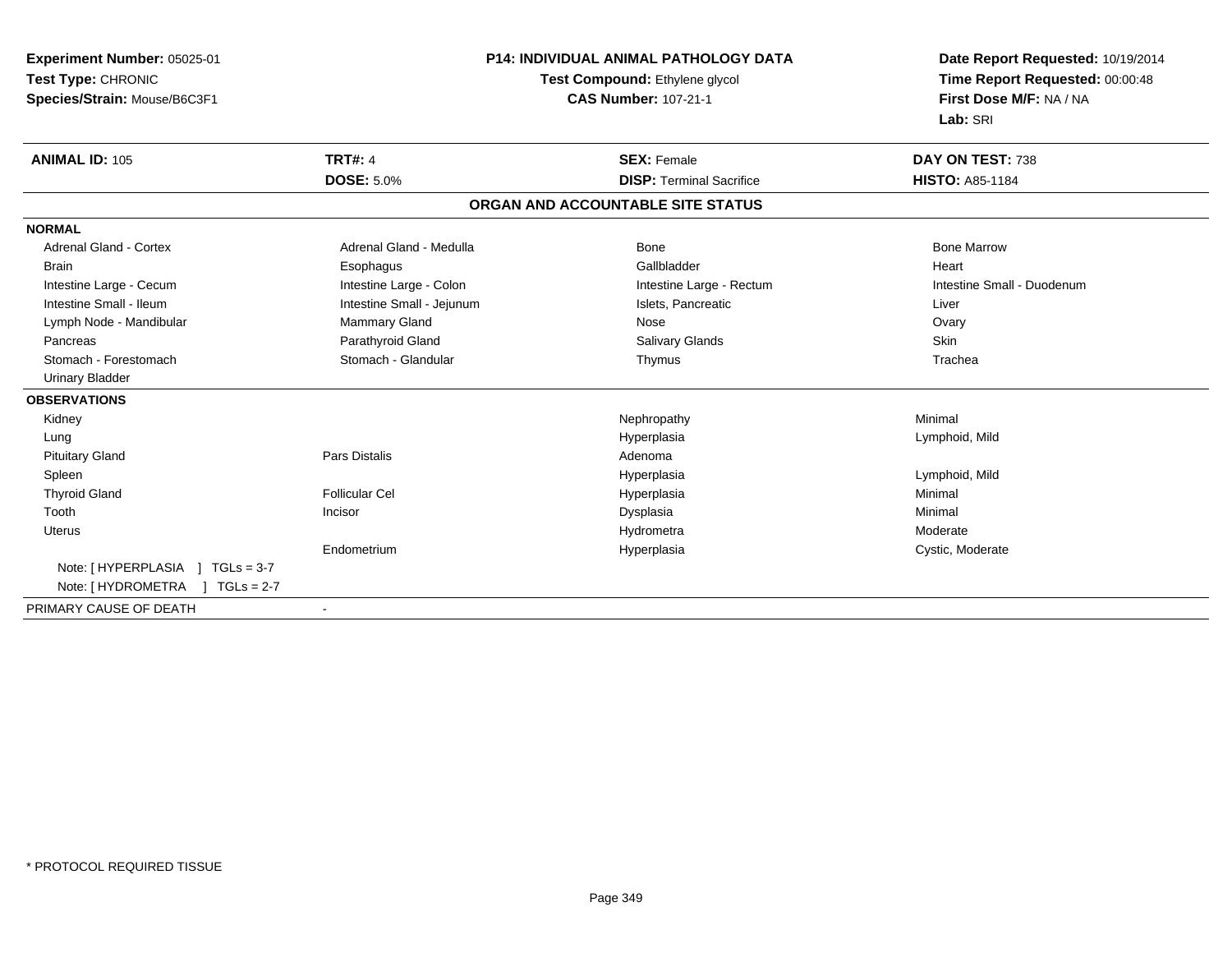| Experiment Number: 05025-01     | <b>P14: INDIVIDUAL ANIMAL PATHOLOGY DATA</b><br>Test Compound: Ethylene glycol |                                   | Date Report Requested: 10/19/2014<br>Time Report Requested: 00:00:48 |
|---------------------------------|--------------------------------------------------------------------------------|-----------------------------------|----------------------------------------------------------------------|
| Test Type: CHRONIC              |                                                                                |                                   |                                                                      |
| Species/Strain: Mouse/B6C3F1    |                                                                                | <b>CAS Number: 107-21-1</b>       | First Dose M/F: NA / NA                                              |
|                                 |                                                                                |                                   | Lab: SRI                                                             |
| <b>ANIMAL ID: 105</b>           | <b>TRT#: 4</b>                                                                 | <b>SEX: Female</b>                | DAY ON TEST: 738                                                     |
|                                 | <b>DOSE: 5.0%</b>                                                              | <b>DISP: Terminal Sacrifice</b>   | <b>HISTO: A85-1184</b>                                               |
|                                 |                                                                                | ORGAN AND ACCOUNTABLE SITE STATUS |                                                                      |
| <b>NORMAL</b>                   |                                                                                |                                   |                                                                      |
| <b>Adrenal Gland - Cortex</b>   | Adrenal Gland - Medulla                                                        | <b>Bone</b>                       | <b>Bone Marrow</b>                                                   |
| <b>Brain</b>                    | Esophagus                                                                      | Gallbladder                       | Heart                                                                |
| Intestine Large - Cecum         | Intestine Large - Colon                                                        | Intestine Large - Rectum          | Intestine Small - Duodenum                                           |
| Intestine Small - Ileum         | Intestine Small - Jejunum                                                      | Islets, Pancreatic                | Liver                                                                |
| Lymph Node - Mandibular         | Mammary Gland                                                                  | Nose                              | Ovary                                                                |
| Pancreas                        | Parathyroid Gland                                                              | <b>Salivary Glands</b>            | Skin                                                                 |
| Stomach - Forestomach           | Stomach - Glandular                                                            | Thymus                            | Trachea                                                              |
| Urinary Bladder                 |                                                                                |                                   |                                                                      |
| <b>OBSERVATIONS</b>             |                                                                                |                                   |                                                                      |
| Kidney                          |                                                                                | Nephropathy                       | Minimal                                                              |
| Lung                            |                                                                                | Hyperplasia                       | Lymphoid, Mild                                                       |
| <b>Pituitary Gland</b>          | <b>Pars Distalis</b>                                                           | Adenoma                           |                                                                      |
| Spleen                          |                                                                                | Hyperplasia                       | Lymphoid, Mild                                                       |
| <b>Thyroid Gland</b>            | <b>Follicular Cel</b>                                                          | Hyperplasia                       | Minimal                                                              |
| Tooth                           | Incisor                                                                        | Dysplasia                         | Minimal                                                              |
| <b>Uterus</b>                   |                                                                                | Hydrometra                        | Moderate                                                             |
|                                 | Endometrium                                                                    | Hyperplasia                       | Cystic, Moderate                                                     |
| Note: [HYPERPLASIA ] TGLs = 3-7 |                                                                                |                                   |                                                                      |
| Note: [HYDROMETRA ] TGLs = 2-7  |                                                                                |                                   |                                                                      |
| PRIMARY CAUSE OF DEATH          |                                                                                |                                   |                                                                      |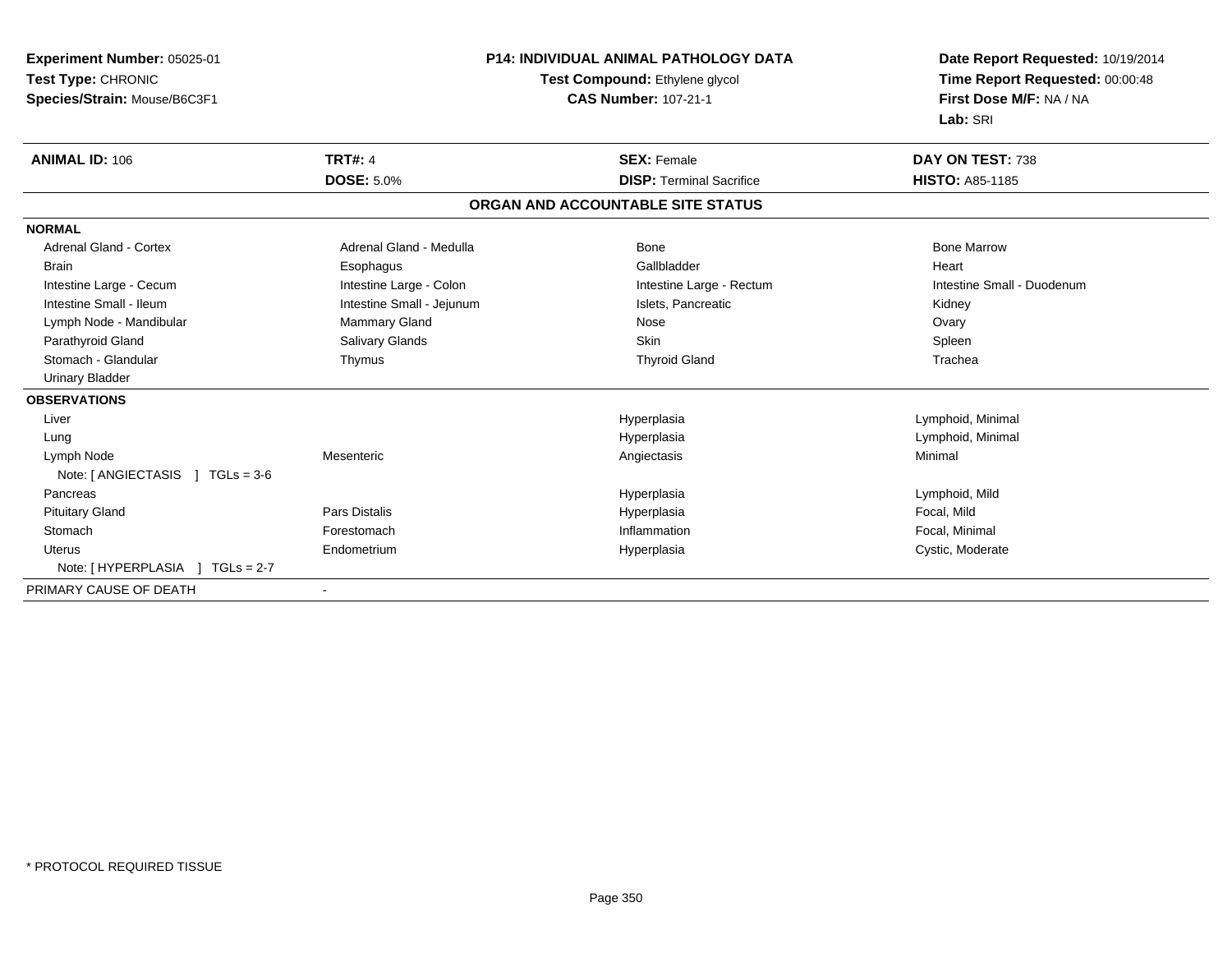| Experiment Number: 05025-01          | <b>P14: INDIVIDUAL ANIMAL PATHOLOGY DATA</b><br>Test Compound: Ethylene glycol |                                   | Date Report Requested: 10/19/2014 |  |
|--------------------------------------|--------------------------------------------------------------------------------|-----------------------------------|-----------------------------------|--|
| Test Type: CHRONIC                   |                                                                                |                                   | Time Report Requested: 00:00:48   |  |
| Species/Strain: Mouse/B6C3F1         |                                                                                | <b>CAS Number: 107-21-1</b>       | First Dose M/F: NA / NA           |  |
|                                      |                                                                                |                                   | Lab: SRI                          |  |
| <b>ANIMAL ID: 106</b>                | <b>TRT#: 4</b>                                                                 | <b>SEX: Female</b>                | DAY ON TEST: 738                  |  |
|                                      | <b>DOSE: 5.0%</b>                                                              | <b>DISP: Terminal Sacrifice</b>   | <b>HISTO: A85-1185</b>            |  |
|                                      |                                                                                | ORGAN AND ACCOUNTABLE SITE STATUS |                                   |  |
| <b>NORMAL</b>                        |                                                                                |                                   |                                   |  |
| <b>Adrenal Gland - Cortex</b>        | Adrenal Gland - Medulla                                                        | Bone                              | <b>Bone Marrow</b>                |  |
| <b>Brain</b>                         | Esophagus                                                                      | Gallbladder                       | Heart                             |  |
| Intestine Large - Cecum              | Intestine Large - Colon                                                        | Intestine Large - Rectum          | Intestine Small - Duodenum        |  |
| Intestine Small - Ileum              | Intestine Small - Jejunum                                                      | Islets, Pancreatic                | Kidney                            |  |
| Lymph Node - Mandibular              | <b>Mammary Gland</b>                                                           | Nose                              | Ovary                             |  |
| Parathyroid Gland                    | Salivary Glands                                                                | <b>Skin</b>                       | Spleen                            |  |
| Stomach - Glandular                  | Thymus                                                                         | <b>Thyroid Gland</b>              | Trachea                           |  |
| <b>Urinary Bladder</b>               |                                                                                |                                   |                                   |  |
| <b>OBSERVATIONS</b>                  |                                                                                |                                   |                                   |  |
| Liver                                |                                                                                | Hyperplasia                       | Lymphoid, Minimal                 |  |
| Lung                                 |                                                                                | Hyperplasia                       | Lymphoid, Minimal                 |  |
| Lymph Node                           | Mesenteric                                                                     | Angiectasis                       | Minimal                           |  |
| Note: $[$ ANGIECTASIS $]$ TGLs = 3-6 |                                                                                |                                   |                                   |  |
| Pancreas                             |                                                                                | Hyperplasia                       | Lymphoid, Mild                    |  |
| <b>Pituitary Gland</b>               | <b>Pars Distalis</b>                                                           | Hyperplasia                       | Focal, Mild                       |  |
| Stomach                              | Forestomach                                                                    | Inflammation                      | Focal, Minimal                    |  |
| <b>Uterus</b>                        | Endometrium                                                                    | Hyperplasia                       | Cystic, Moderate                  |  |
|                                      |                                                                                |                                   |                                   |  |
| PRIMARY CAUSE OF DEATH               |                                                                                |                                   |                                   |  |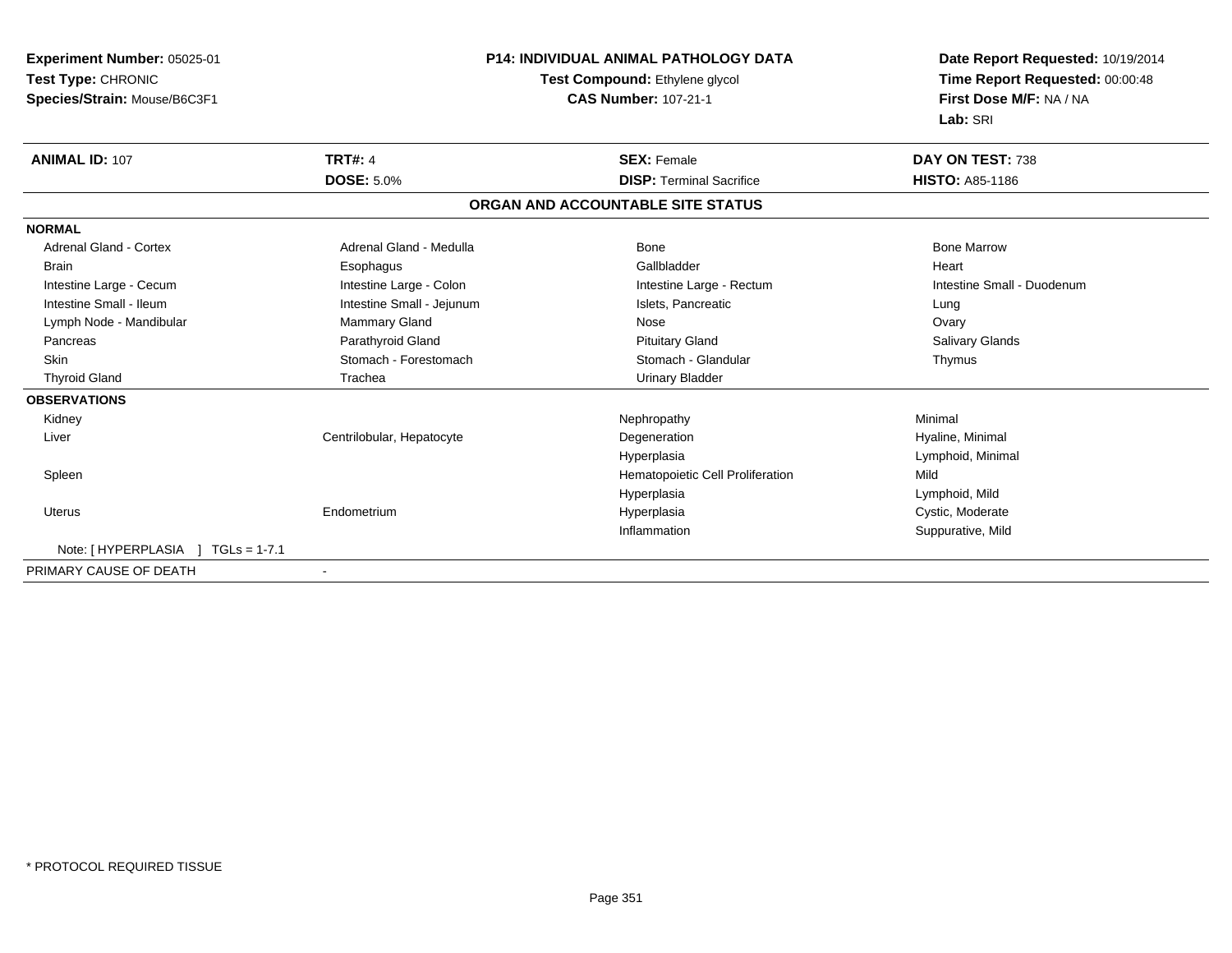| Experiment Number: 05025-01           | <b>P14: INDIVIDUAL ANIMAL PATHOLOGY DATA</b><br>Test Compound: Ethylene glycol |                                   | Date Report Requested: 10/19/2014 |  |
|---------------------------------------|--------------------------------------------------------------------------------|-----------------------------------|-----------------------------------|--|
| Test Type: CHRONIC                    |                                                                                |                                   | Time Report Requested: 00:00:48   |  |
| Species/Strain: Mouse/B6C3F1          |                                                                                | <b>CAS Number: 107-21-1</b>       | First Dose M/F: NA / NA           |  |
|                                       |                                                                                |                                   | Lab: SRI                          |  |
| <b>ANIMAL ID: 107</b>                 | <b>TRT#: 4</b>                                                                 | <b>SEX: Female</b>                | DAY ON TEST: 738                  |  |
|                                       | <b>DOSE: 5.0%</b>                                                              | <b>DISP: Terminal Sacrifice</b>   | <b>HISTO: A85-1186</b>            |  |
|                                       |                                                                                | ORGAN AND ACCOUNTABLE SITE STATUS |                                   |  |
| <b>NORMAL</b>                         |                                                                                |                                   |                                   |  |
| Adrenal Gland - Cortex                | Adrenal Gland - Medulla                                                        | <b>Bone</b>                       | <b>Bone Marrow</b>                |  |
| <b>Brain</b>                          | Esophagus                                                                      | Gallbladder                       | Heart                             |  |
| Intestine Large - Cecum               | Intestine Large - Colon                                                        | Intestine Large - Rectum          | Intestine Small - Duodenum        |  |
| Intestine Small - Ileum               | Intestine Small - Jejunum                                                      | Islets, Pancreatic                | Lung                              |  |
| Lymph Node - Mandibular               | Mammary Gland                                                                  | Nose                              | Ovary                             |  |
| Pancreas                              | Parathyroid Gland                                                              | <b>Pituitary Gland</b>            | <b>Salivary Glands</b>            |  |
| <b>Skin</b>                           | Stomach - Forestomach                                                          | Stomach - Glandular               | Thymus                            |  |
| <b>Thyroid Gland</b>                  | Trachea                                                                        | <b>Urinary Bladder</b>            |                                   |  |
| <b>OBSERVATIONS</b>                   |                                                                                |                                   |                                   |  |
| Kidney                                |                                                                                | Nephropathy                       | Minimal                           |  |
| Liver                                 | Centrilobular, Hepatocyte                                                      | Degeneration                      | Hyaline, Minimal                  |  |
|                                       |                                                                                | Hyperplasia                       | Lymphoid, Minimal                 |  |
| Spleen                                |                                                                                | Hematopoietic Cell Proliferation  | Mild                              |  |
|                                       |                                                                                | Hyperplasia                       | Lymphoid, Mild                    |  |
| <b>Uterus</b>                         | Endometrium                                                                    | Hyperplasia                       | Cystic, Moderate                  |  |
|                                       |                                                                                | Inflammation                      | Suppurative, Mild                 |  |
| Note: [ HYPERPLASIA<br>$TGLs = 1-7.1$ |                                                                                |                                   |                                   |  |
| PRIMARY CAUSE OF DEATH                |                                                                                |                                   |                                   |  |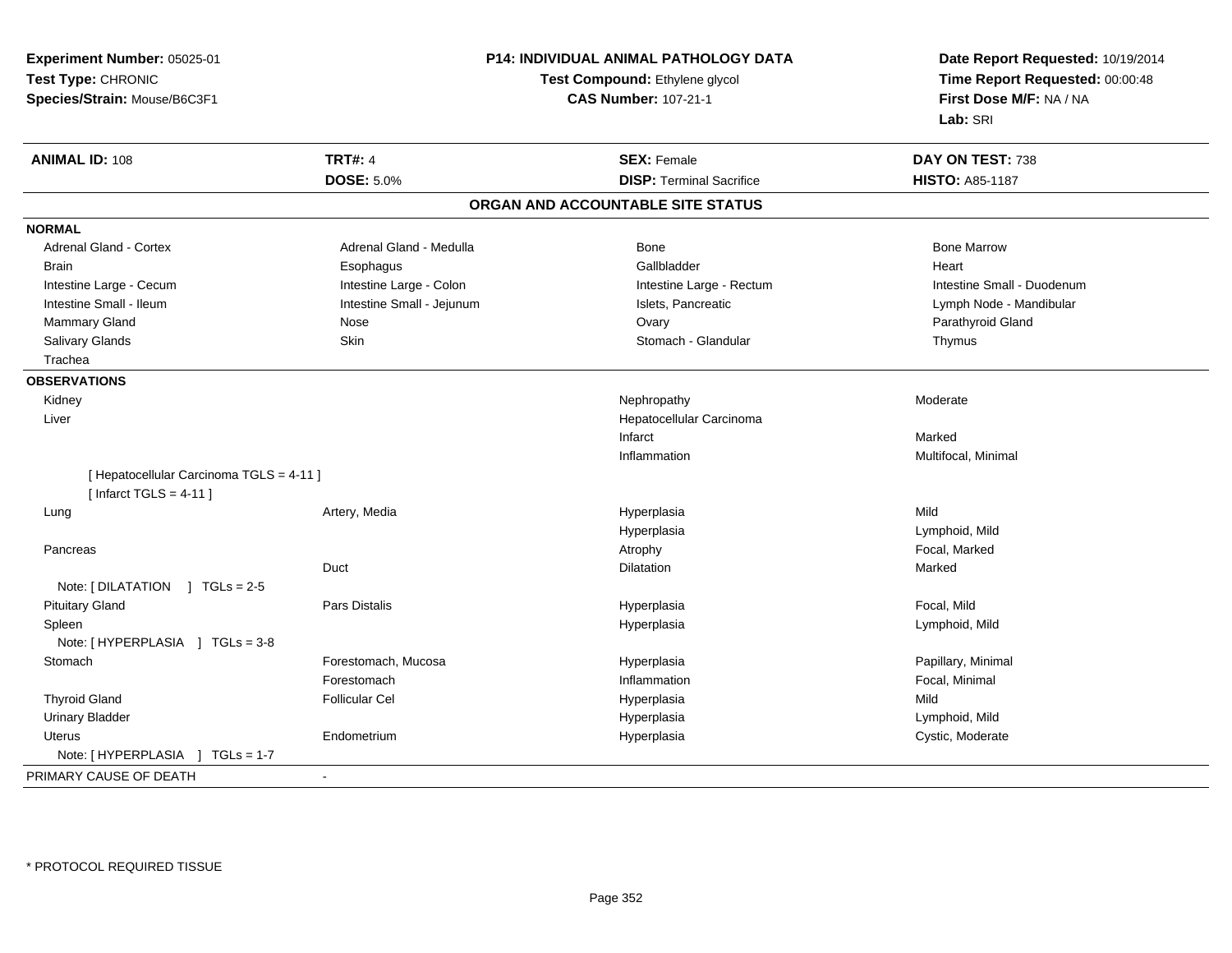| Test Compound: Ethylene glycol<br>Time Report Requested: 00:00:48<br><b>CAS Number: 107-21-1</b><br>First Dose M/F: NA / NA<br>Species/Strain: Mouse/B6C3F1<br>Lab: SRI<br><b>ANIMAL ID: 108</b><br><b>TRT#: 4</b><br><b>SEX: Female</b><br>DAY ON TEST: 738<br><b>DOSE: 5.0%</b><br><b>DISP: Terminal Sacrifice</b><br><b>HISTO: A85-1187</b><br>ORGAN AND ACCOUNTABLE SITE STATUS<br>Adrenal Gland - Cortex<br>Adrenal Gland - Medulla<br><b>Bone Marrow</b><br>Bone<br>Gallbladder<br><b>Brain</b><br>Esophagus<br>Heart<br>Intestine Large - Colon<br>Intestine Small - Duodenum<br>Intestine Large - Cecum<br>Intestine Large - Rectum<br>Intestine Small - Ileum<br>Intestine Small - Jejunum<br>Islets, Pancreatic<br>Lymph Node - Mandibular<br>Ovary<br>Mammary Gland<br>Nose<br>Parathyroid Gland<br>Stomach - Glandular<br>Salivary Glands<br>Skin<br>Thymus<br>Trachea<br>Moderate<br>Kidney<br>Nephropathy<br>Liver<br>Hepatocellular Carcinoma<br>Infarct<br>Marked<br>Multifocal, Minimal<br>Inflammation<br>[ Hepatocellular Carcinoma TGLS = 4-11 ]<br>[ Infarct TGLS = $4-11$ ]<br>Mild<br>Artery, Media<br>Hyperplasia<br>Lung<br>Hyperplasia<br>Lymphoid, Mild<br>Atrophy<br>Focal, Marked<br>Pancreas<br>Duct<br>Dilatation<br>Marked<br>Note: $[DILATATION] TGLs = 2-5$<br>Focal, Mild<br><b>Pituitary Gland</b><br>Pars Distalis<br>Hyperplasia<br>Spleen<br>Hyperplasia<br>Lymphoid, Mild<br>Note: [HYPERPLASIA ] TGLs = 3-8<br>Stomach<br>Forestomach, Mucosa<br>Hyperplasia<br>Papillary, Minimal<br>Inflammation<br>Focal, Minimal<br>Forestomach<br><b>Thyroid Gland</b><br>Mild<br><b>Follicular Cel</b><br>Hyperplasia<br><b>Urinary Bladder</b><br>Hyperplasia<br>Lymphoid, Mild<br>Cystic, Moderate<br><b>Uterus</b><br>Endometrium<br>Hyperplasia<br>Note: [HYPERPLASIA ] TGLs = 1-7<br>$\blacksquare$ | Experiment Number: 05025-01 | P14: INDIVIDUAL ANIMAL PATHOLOGY DATA | Date Report Requested: 10/19/2014 |
|-----------------------------------------------------------------------------------------------------------------------------------------------------------------------------------------------------------------------------------------------------------------------------------------------------------------------------------------------------------------------------------------------------------------------------------------------------------------------------------------------------------------------------------------------------------------------------------------------------------------------------------------------------------------------------------------------------------------------------------------------------------------------------------------------------------------------------------------------------------------------------------------------------------------------------------------------------------------------------------------------------------------------------------------------------------------------------------------------------------------------------------------------------------------------------------------------------------------------------------------------------------------------------------------------------------------------------------------------------------------------------------------------------------------------------------------------------------------------------------------------------------------------------------------------------------------------------------------------------------------------------------------------------------------------------------------------------------------------------------------------------------------------------------------------------------------------------------------|-----------------------------|---------------------------------------|-----------------------------------|
|                                                                                                                                                                                                                                                                                                                                                                                                                                                                                                                                                                                                                                                                                                                                                                                                                                                                                                                                                                                                                                                                                                                                                                                                                                                                                                                                                                                                                                                                                                                                                                                                                                                                                                                                                                                                                                         | Test Type: CHRONIC          |                                       |                                   |
|                                                                                                                                                                                                                                                                                                                                                                                                                                                                                                                                                                                                                                                                                                                                                                                                                                                                                                                                                                                                                                                                                                                                                                                                                                                                                                                                                                                                                                                                                                                                                                                                                                                                                                                                                                                                                                         |                             |                                       |                                   |
|                                                                                                                                                                                                                                                                                                                                                                                                                                                                                                                                                                                                                                                                                                                                                                                                                                                                                                                                                                                                                                                                                                                                                                                                                                                                                                                                                                                                                                                                                                                                                                                                                                                                                                                                                                                                                                         |                             |                                       |                                   |
|                                                                                                                                                                                                                                                                                                                                                                                                                                                                                                                                                                                                                                                                                                                                                                                                                                                                                                                                                                                                                                                                                                                                                                                                                                                                                                                                                                                                                                                                                                                                                                                                                                                                                                                                                                                                                                         |                             |                                       |                                   |
|                                                                                                                                                                                                                                                                                                                                                                                                                                                                                                                                                                                                                                                                                                                                                                                                                                                                                                                                                                                                                                                                                                                                                                                                                                                                                                                                                                                                                                                                                                                                                                                                                                                                                                                                                                                                                                         |                             |                                       |                                   |
|                                                                                                                                                                                                                                                                                                                                                                                                                                                                                                                                                                                                                                                                                                                                                                                                                                                                                                                                                                                                                                                                                                                                                                                                                                                                                                                                                                                                                                                                                                                                                                                                                                                                                                                                                                                                                                         |                             |                                       |                                   |
|                                                                                                                                                                                                                                                                                                                                                                                                                                                                                                                                                                                                                                                                                                                                                                                                                                                                                                                                                                                                                                                                                                                                                                                                                                                                                                                                                                                                                                                                                                                                                                                                                                                                                                                                                                                                                                         | <b>NORMAL</b>               |                                       |                                   |
|                                                                                                                                                                                                                                                                                                                                                                                                                                                                                                                                                                                                                                                                                                                                                                                                                                                                                                                                                                                                                                                                                                                                                                                                                                                                                                                                                                                                                                                                                                                                                                                                                                                                                                                                                                                                                                         |                             |                                       |                                   |
|                                                                                                                                                                                                                                                                                                                                                                                                                                                                                                                                                                                                                                                                                                                                                                                                                                                                                                                                                                                                                                                                                                                                                                                                                                                                                                                                                                                                                                                                                                                                                                                                                                                                                                                                                                                                                                         |                             |                                       |                                   |
|                                                                                                                                                                                                                                                                                                                                                                                                                                                                                                                                                                                                                                                                                                                                                                                                                                                                                                                                                                                                                                                                                                                                                                                                                                                                                                                                                                                                                                                                                                                                                                                                                                                                                                                                                                                                                                         |                             |                                       |                                   |
|                                                                                                                                                                                                                                                                                                                                                                                                                                                                                                                                                                                                                                                                                                                                                                                                                                                                                                                                                                                                                                                                                                                                                                                                                                                                                                                                                                                                                                                                                                                                                                                                                                                                                                                                                                                                                                         |                             |                                       |                                   |
|                                                                                                                                                                                                                                                                                                                                                                                                                                                                                                                                                                                                                                                                                                                                                                                                                                                                                                                                                                                                                                                                                                                                                                                                                                                                                                                                                                                                                                                                                                                                                                                                                                                                                                                                                                                                                                         |                             |                                       |                                   |
|                                                                                                                                                                                                                                                                                                                                                                                                                                                                                                                                                                                                                                                                                                                                                                                                                                                                                                                                                                                                                                                                                                                                                                                                                                                                                                                                                                                                                                                                                                                                                                                                                                                                                                                                                                                                                                         |                             |                                       |                                   |
|                                                                                                                                                                                                                                                                                                                                                                                                                                                                                                                                                                                                                                                                                                                                                                                                                                                                                                                                                                                                                                                                                                                                                                                                                                                                                                                                                                                                                                                                                                                                                                                                                                                                                                                                                                                                                                         |                             |                                       |                                   |
|                                                                                                                                                                                                                                                                                                                                                                                                                                                                                                                                                                                                                                                                                                                                                                                                                                                                                                                                                                                                                                                                                                                                                                                                                                                                                                                                                                                                                                                                                                                                                                                                                                                                                                                                                                                                                                         | <b>OBSERVATIONS</b>         |                                       |                                   |
|                                                                                                                                                                                                                                                                                                                                                                                                                                                                                                                                                                                                                                                                                                                                                                                                                                                                                                                                                                                                                                                                                                                                                                                                                                                                                                                                                                                                                                                                                                                                                                                                                                                                                                                                                                                                                                         |                             |                                       |                                   |
|                                                                                                                                                                                                                                                                                                                                                                                                                                                                                                                                                                                                                                                                                                                                                                                                                                                                                                                                                                                                                                                                                                                                                                                                                                                                                                                                                                                                                                                                                                                                                                                                                                                                                                                                                                                                                                         |                             |                                       |                                   |
|                                                                                                                                                                                                                                                                                                                                                                                                                                                                                                                                                                                                                                                                                                                                                                                                                                                                                                                                                                                                                                                                                                                                                                                                                                                                                                                                                                                                                                                                                                                                                                                                                                                                                                                                                                                                                                         |                             |                                       |                                   |
|                                                                                                                                                                                                                                                                                                                                                                                                                                                                                                                                                                                                                                                                                                                                                                                                                                                                                                                                                                                                                                                                                                                                                                                                                                                                                                                                                                                                                                                                                                                                                                                                                                                                                                                                                                                                                                         |                             |                                       |                                   |
|                                                                                                                                                                                                                                                                                                                                                                                                                                                                                                                                                                                                                                                                                                                                                                                                                                                                                                                                                                                                                                                                                                                                                                                                                                                                                                                                                                                                                                                                                                                                                                                                                                                                                                                                                                                                                                         |                             |                                       |                                   |
|                                                                                                                                                                                                                                                                                                                                                                                                                                                                                                                                                                                                                                                                                                                                                                                                                                                                                                                                                                                                                                                                                                                                                                                                                                                                                                                                                                                                                                                                                                                                                                                                                                                                                                                                                                                                                                         |                             |                                       |                                   |
|                                                                                                                                                                                                                                                                                                                                                                                                                                                                                                                                                                                                                                                                                                                                                                                                                                                                                                                                                                                                                                                                                                                                                                                                                                                                                                                                                                                                                                                                                                                                                                                                                                                                                                                                                                                                                                         |                             |                                       |                                   |
|                                                                                                                                                                                                                                                                                                                                                                                                                                                                                                                                                                                                                                                                                                                                                                                                                                                                                                                                                                                                                                                                                                                                                                                                                                                                                                                                                                                                                                                                                                                                                                                                                                                                                                                                                                                                                                         |                             |                                       |                                   |
|                                                                                                                                                                                                                                                                                                                                                                                                                                                                                                                                                                                                                                                                                                                                                                                                                                                                                                                                                                                                                                                                                                                                                                                                                                                                                                                                                                                                                                                                                                                                                                                                                                                                                                                                                                                                                                         |                             |                                       |                                   |
|                                                                                                                                                                                                                                                                                                                                                                                                                                                                                                                                                                                                                                                                                                                                                                                                                                                                                                                                                                                                                                                                                                                                                                                                                                                                                                                                                                                                                                                                                                                                                                                                                                                                                                                                                                                                                                         |                             |                                       |                                   |
|                                                                                                                                                                                                                                                                                                                                                                                                                                                                                                                                                                                                                                                                                                                                                                                                                                                                                                                                                                                                                                                                                                                                                                                                                                                                                                                                                                                                                                                                                                                                                                                                                                                                                                                                                                                                                                         |                             |                                       |                                   |
|                                                                                                                                                                                                                                                                                                                                                                                                                                                                                                                                                                                                                                                                                                                                                                                                                                                                                                                                                                                                                                                                                                                                                                                                                                                                                                                                                                                                                                                                                                                                                                                                                                                                                                                                                                                                                                         |                             |                                       |                                   |
|                                                                                                                                                                                                                                                                                                                                                                                                                                                                                                                                                                                                                                                                                                                                                                                                                                                                                                                                                                                                                                                                                                                                                                                                                                                                                                                                                                                                                                                                                                                                                                                                                                                                                                                                                                                                                                         |                             |                                       |                                   |
|                                                                                                                                                                                                                                                                                                                                                                                                                                                                                                                                                                                                                                                                                                                                                                                                                                                                                                                                                                                                                                                                                                                                                                                                                                                                                                                                                                                                                                                                                                                                                                                                                                                                                                                                                                                                                                         |                             |                                       |                                   |
|                                                                                                                                                                                                                                                                                                                                                                                                                                                                                                                                                                                                                                                                                                                                                                                                                                                                                                                                                                                                                                                                                                                                                                                                                                                                                                                                                                                                                                                                                                                                                                                                                                                                                                                                                                                                                                         |                             |                                       |                                   |
|                                                                                                                                                                                                                                                                                                                                                                                                                                                                                                                                                                                                                                                                                                                                                                                                                                                                                                                                                                                                                                                                                                                                                                                                                                                                                                                                                                                                                                                                                                                                                                                                                                                                                                                                                                                                                                         |                             |                                       |                                   |
|                                                                                                                                                                                                                                                                                                                                                                                                                                                                                                                                                                                                                                                                                                                                                                                                                                                                                                                                                                                                                                                                                                                                                                                                                                                                                                                                                                                                                                                                                                                                                                                                                                                                                                                                                                                                                                         |                             |                                       |                                   |
|                                                                                                                                                                                                                                                                                                                                                                                                                                                                                                                                                                                                                                                                                                                                                                                                                                                                                                                                                                                                                                                                                                                                                                                                                                                                                                                                                                                                                                                                                                                                                                                                                                                                                                                                                                                                                                         |                             |                                       |                                   |
|                                                                                                                                                                                                                                                                                                                                                                                                                                                                                                                                                                                                                                                                                                                                                                                                                                                                                                                                                                                                                                                                                                                                                                                                                                                                                                                                                                                                                                                                                                                                                                                                                                                                                                                                                                                                                                         |                             |                                       |                                   |
|                                                                                                                                                                                                                                                                                                                                                                                                                                                                                                                                                                                                                                                                                                                                                                                                                                                                                                                                                                                                                                                                                                                                                                                                                                                                                                                                                                                                                                                                                                                                                                                                                                                                                                                                                                                                                                         |                             |                                       |                                   |
|                                                                                                                                                                                                                                                                                                                                                                                                                                                                                                                                                                                                                                                                                                                                                                                                                                                                                                                                                                                                                                                                                                                                                                                                                                                                                                                                                                                                                                                                                                                                                                                                                                                                                                                                                                                                                                         | PRIMARY CAUSE OF DEATH      |                                       |                                   |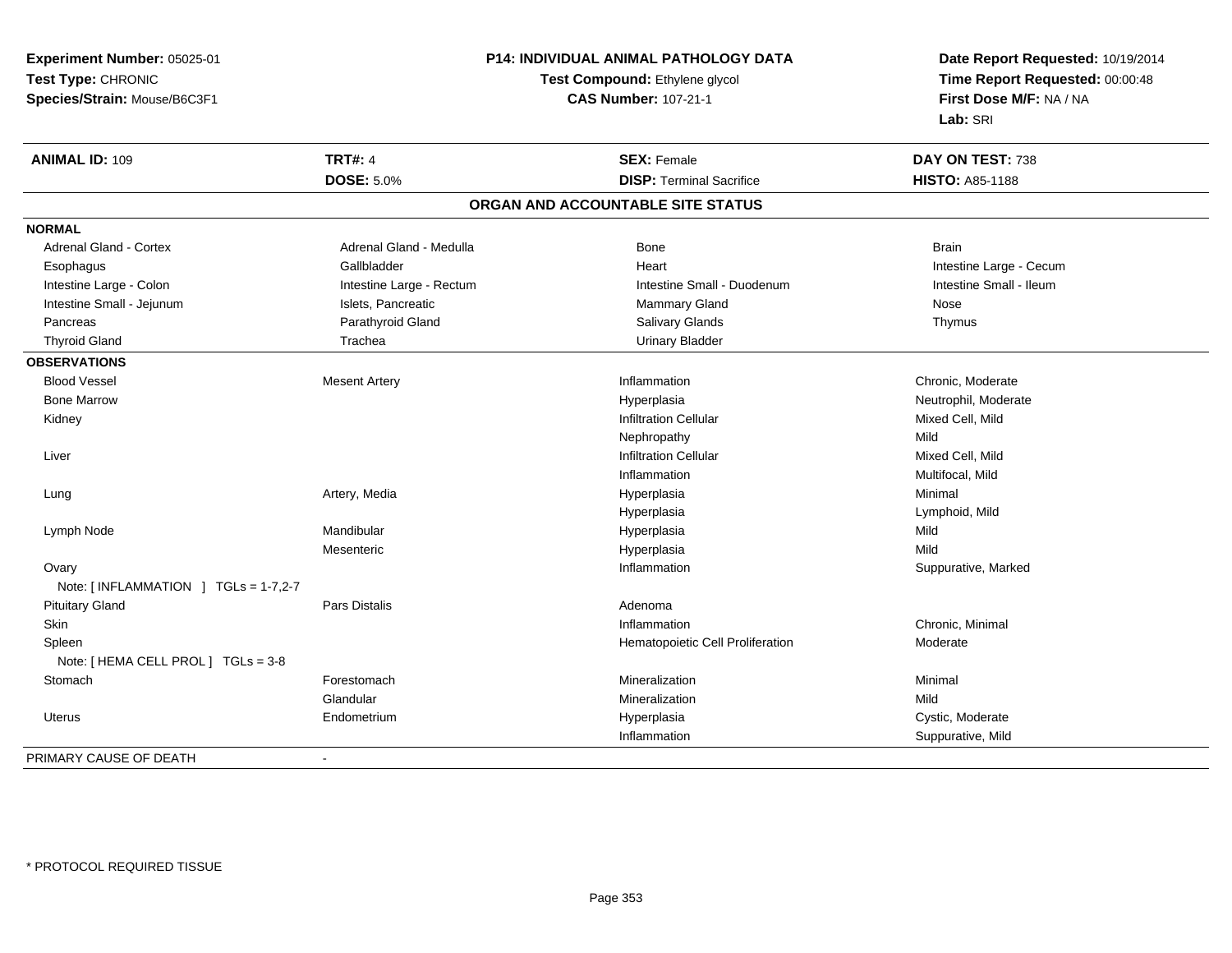| Experiment Number: 05025-01          | P14: INDIVIDUAL ANIMAL PATHOLOGY DATA<br>Test Compound: Ethylene glycol<br><b>CAS Number: 107-21-1</b> |                                   | Date Report Requested: 10/19/2014<br>Time Report Requested: 00:00:48<br>First Dose M/F: NA / NA |
|--------------------------------------|--------------------------------------------------------------------------------------------------------|-----------------------------------|-------------------------------------------------------------------------------------------------|
| Test Type: CHRONIC                   |                                                                                                        |                                   |                                                                                                 |
| Species/Strain: Mouse/B6C3F1         |                                                                                                        |                                   |                                                                                                 |
|                                      |                                                                                                        |                                   | Lab: SRI                                                                                        |
| <b>ANIMAL ID: 109</b>                | <b>TRT#: 4</b>                                                                                         | <b>SEX: Female</b>                | DAY ON TEST: 738                                                                                |
|                                      | <b>DOSE: 5.0%</b>                                                                                      | <b>DISP: Terminal Sacrifice</b>   | <b>HISTO: A85-1188</b>                                                                          |
|                                      |                                                                                                        | ORGAN AND ACCOUNTABLE SITE STATUS |                                                                                                 |
| <b>NORMAL</b>                        |                                                                                                        |                                   |                                                                                                 |
| <b>Adrenal Gland - Cortex</b>        | Adrenal Gland - Medulla                                                                                | Bone                              | <b>Brain</b>                                                                                    |
| Esophagus                            | Gallbladder                                                                                            | Heart                             | Intestine Large - Cecum                                                                         |
| Intestine Large - Colon              | Intestine Large - Rectum                                                                               | Intestine Small - Duodenum        | Intestine Small - Ileum                                                                         |
| Intestine Small - Jejunum            | Islets, Pancreatic                                                                                     | Mammary Gland                     | Nose                                                                                            |
| Pancreas                             | Parathyroid Gland                                                                                      | Salivary Glands                   | Thymus                                                                                          |
| <b>Thyroid Gland</b>                 | Trachea                                                                                                | <b>Urinary Bladder</b>            |                                                                                                 |
| <b>OBSERVATIONS</b>                  |                                                                                                        |                                   |                                                                                                 |
| <b>Blood Vessel</b>                  | <b>Mesent Artery</b>                                                                                   | Inflammation                      | Chronic, Moderate                                                                               |
| <b>Bone Marrow</b>                   |                                                                                                        | Hyperplasia                       | Neutrophil, Moderate                                                                            |
| Kidney                               |                                                                                                        | <b>Infiltration Cellular</b>      | Mixed Cell, Mild                                                                                |
|                                      |                                                                                                        | Nephropathy                       | Mild                                                                                            |
| Liver                                |                                                                                                        | <b>Infiltration Cellular</b>      | Mixed Cell, Mild                                                                                |
|                                      |                                                                                                        | Inflammation                      | Multifocal, Mild                                                                                |
| Lung                                 | Artery, Media                                                                                          | Hyperplasia                       | Minimal                                                                                         |
|                                      |                                                                                                        | Hyperplasia                       | Lymphoid, Mild                                                                                  |
| Lymph Node                           | Mandibular                                                                                             | Hyperplasia                       | Mild                                                                                            |
|                                      | Mesenteric                                                                                             | Hyperplasia                       | Mild                                                                                            |
| Ovary                                |                                                                                                        | Inflammation                      | Suppurative, Marked                                                                             |
| Note: [INFLAMMATION ] TGLs = 1-7,2-7 |                                                                                                        |                                   |                                                                                                 |
| <b>Pituitary Gland</b>               | Pars Distalis                                                                                          | Adenoma                           |                                                                                                 |
| <b>Skin</b>                          |                                                                                                        | Inflammation                      | Chronic, Minimal                                                                                |
| Spleen                               |                                                                                                        | Hematopoietic Cell Proliferation  | Moderate                                                                                        |
| Note: [ HEMA CELL PROL ] TGLs = 3-8  |                                                                                                        |                                   |                                                                                                 |
| Stomach                              | Forestomach                                                                                            | Mineralization                    | Minimal                                                                                         |
|                                      | Glandular                                                                                              | Mineralization                    | Mild                                                                                            |
| Uterus                               | Endometrium                                                                                            | Hyperplasia                       | Cystic, Moderate                                                                                |
|                                      |                                                                                                        | Inflammation                      | Suppurative, Mild                                                                               |
| PRIMARY CAUSE OF DEATH               | $\overline{\phantom{a}}$                                                                               |                                   |                                                                                                 |
|                                      |                                                                                                        |                                   |                                                                                                 |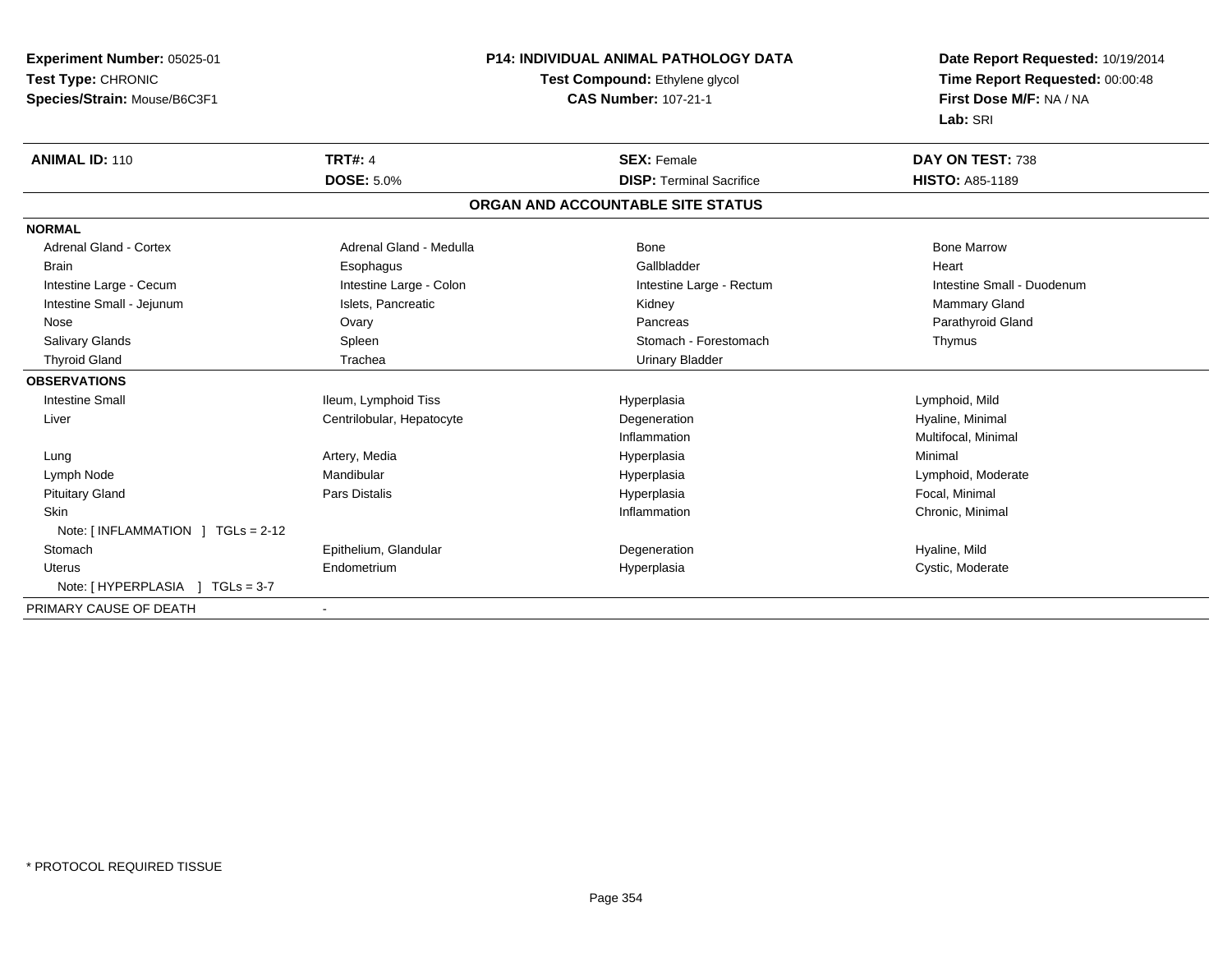| Experiment Number: 05025-01         | <b>P14: INDIVIDUAL ANIMAL PATHOLOGY DATA</b> |                                   | Date Report Requested: 10/19/2014 |
|-------------------------------------|----------------------------------------------|-----------------------------------|-----------------------------------|
| Test Type: CHRONIC                  |                                              | Test Compound: Ethylene glycol    | Time Report Requested: 00:00:48   |
| Species/Strain: Mouse/B6C3F1        |                                              | <b>CAS Number: 107-21-1</b>       | First Dose M/F: NA / NA           |
|                                     |                                              |                                   | Lab: SRI                          |
| <b>ANIMAL ID: 110</b>               | <b>TRT#: 4</b>                               | <b>SEX: Female</b>                | DAY ON TEST: 738                  |
|                                     | <b>DOSE: 5.0%</b>                            | <b>DISP: Terminal Sacrifice</b>   | <b>HISTO: A85-1189</b>            |
|                                     |                                              | ORGAN AND ACCOUNTABLE SITE STATUS |                                   |
| <b>NORMAL</b>                       |                                              |                                   |                                   |
| Adrenal Gland - Cortex              | Adrenal Gland - Medulla                      | Bone                              | <b>Bone Marrow</b>                |
| <b>Brain</b>                        | Esophagus                                    | Gallbladder                       | Heart                             |
| Intestine Large - Cecum             | Intestine Large - Colon                      | Intestine Large - Rectum          | Intestine Small - Duodenum        |
| Intestine Small - Jejunum           | Islets, Pancreatic                           | Kidney                            | Mammary Gland                     |
| Nose                                | Ovary                                        | Pancreas                          | Parathyroid Gland                 |
| Salivary Glands                     | Spleen                                       | Stomach - Forestomach             | Thymus                            |
| <b>Thyroid Gland</b>                | Trachea                                      | <b>Urinary Bladder</b>            |                                   |
| <b>OBSERVATIONS</b>                 |                                              |                                   |                                   |
| <b>Intestine Small</b>              | Ileum, Lymphoid Tiss                         | Hyperplasia                       | Lymphoid, Mild                    |
| Liver                               | Centrilobular, Hepatocyte                    | Degeneration                      | Hyaline, Minimal                  |
|                                     |                                              | Inflammation                      | Multifocal, Minimal               |
| Lung                                | Artery, Media                                | Hyperplasia                       | Minimal                           |
| Lymph Node                          | Mandibular                                   | Hyperplasia                       | Lymphoid, Moderate                |
| <b>Pituitary Gland</b>              | Pars Distalis                                | Hyperplasia                       | Focal, Minimal                    |
| <b>Skin</b>                         |                                              | Inflammation                      | Chronic, Minimal                  |
| Note: [INFLAMMATION ] TGLs = 2-12   |                                              |                                   |                                   |
| Stomach                             | Epithelium, Glandular                        | Degeneration                      | Hyaline, Mild                     |
| Uterus                              | Endometrium                                  | Hyperplasia                       | Cystic, Moderate                  |
| Note: [ HYPERPLASIA<br>$TGLs = 3-7$ |                                              |                                   |                                   |
| PRIMARY CAUSE OF DEATH              |                                              |                                   |                                   |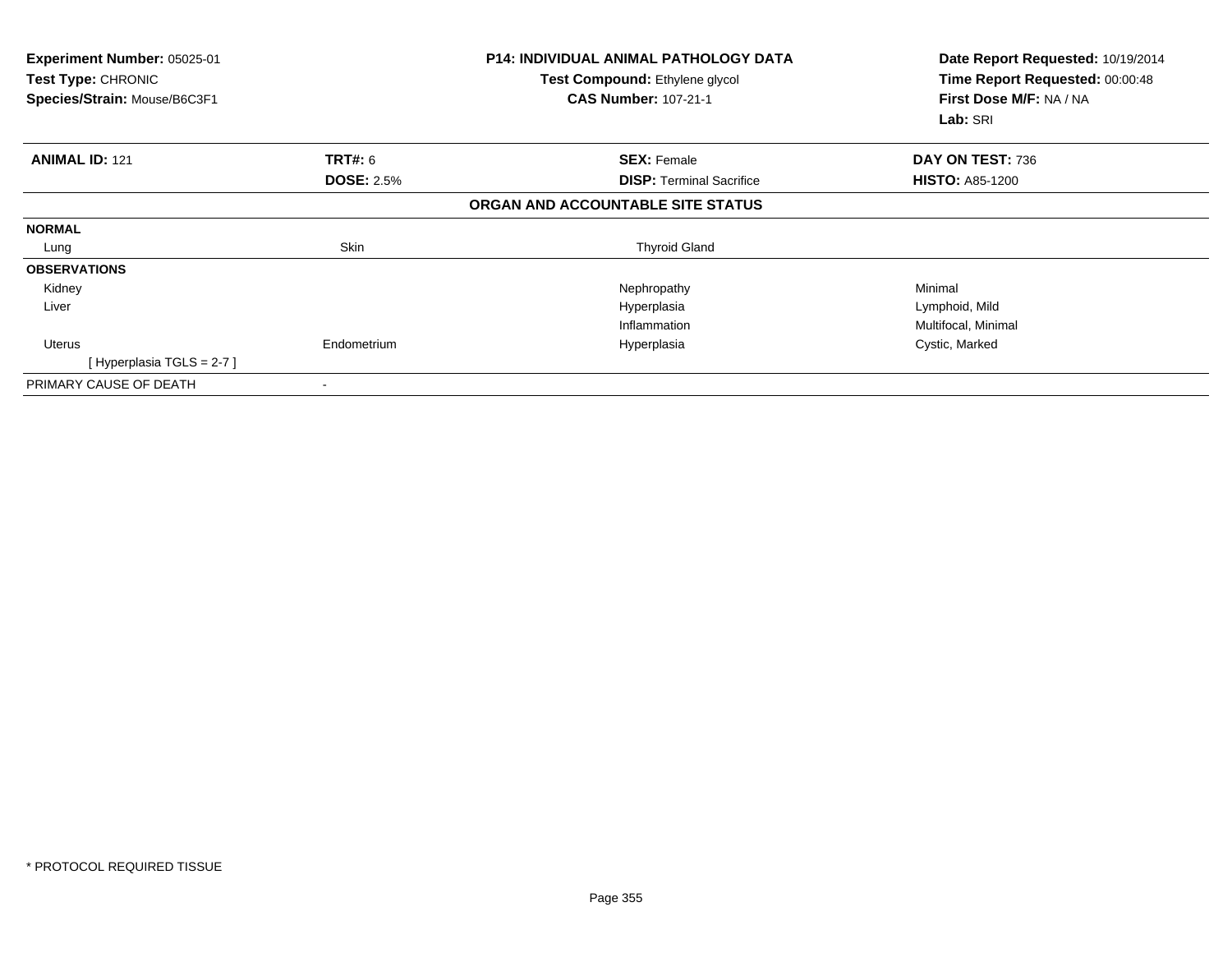| Experiment Number: 05025-01<br>Test Type: CHRONIC<br>Species/Strain: Mouse/B6C3F1 |                   | <b>P14: INDIVIDUAL ANIMAL PATHOLOGY DATA</b><br>Test Compound: Ethylene glycol<br><b>CAS Number: 107-21-1</b> | Date Report Requested: 10/19/2014<br>Time Report Requested: 00:00:48<br>First Dose M/F: NA / NA<br>Lab: SRI |
|-----------------------------------------------------------------------------------|-------------------|---------------------------------------------------------------------------------------------------------------|-------------------------------------------------------------------------------------------------------------|
| <b>ANIMAL ID: 121</b>                                                             | TRT#: 6           | <b>SEX: Female</b>                                                                                            | DAY ON TEST: 736                                                                                            |
|                                                                                   | <b>DOSE: 2.5%</b> | <b>DISP:</b> Terminal Sacrifice                                                                               | <b>HISTO: A85-1200</b>                                                                                      |
|                                                                                   |                   | ORGAN AND ACCOUNTABLE SITE STATUS                                                                             |                                                                                                             |
| <b>NORMAL</b>                                                                     |                   |                                                                                                               |                                                                                                             |
| Lung                                                                              | Skin              | <b>Thyroid Gland</b>                                                                                          |                                                                                                             |
| <b>OBSERVATIONS</b>                                                               |                   |                                                                                                               |                                                                                                             |
| Kidney                                                                            |                   | Nephropathy                                                                                                   | Minimal                                                                                                     |
| Liver                                                                             |                   | Hyperplasia                                                                                                   | Lymphoid, Mild                                                                                              |
|                                                                                   |                   | Inflammation                                                                                                  | Multifocal, Minimal                                                                                         |
| Uterus                                                                            | Endometrium       | Hyperplasia                                                                                                   | Cystic, Marked                                                                                              |
| [Hyperplasia TGLS = $2-7$ ]                                                       |                   |                                                                                                               |                                                                                                             |
| PRIMARY CAUSE OF DEATH                                                            |                   |                                                                                                               |                                                                                                             |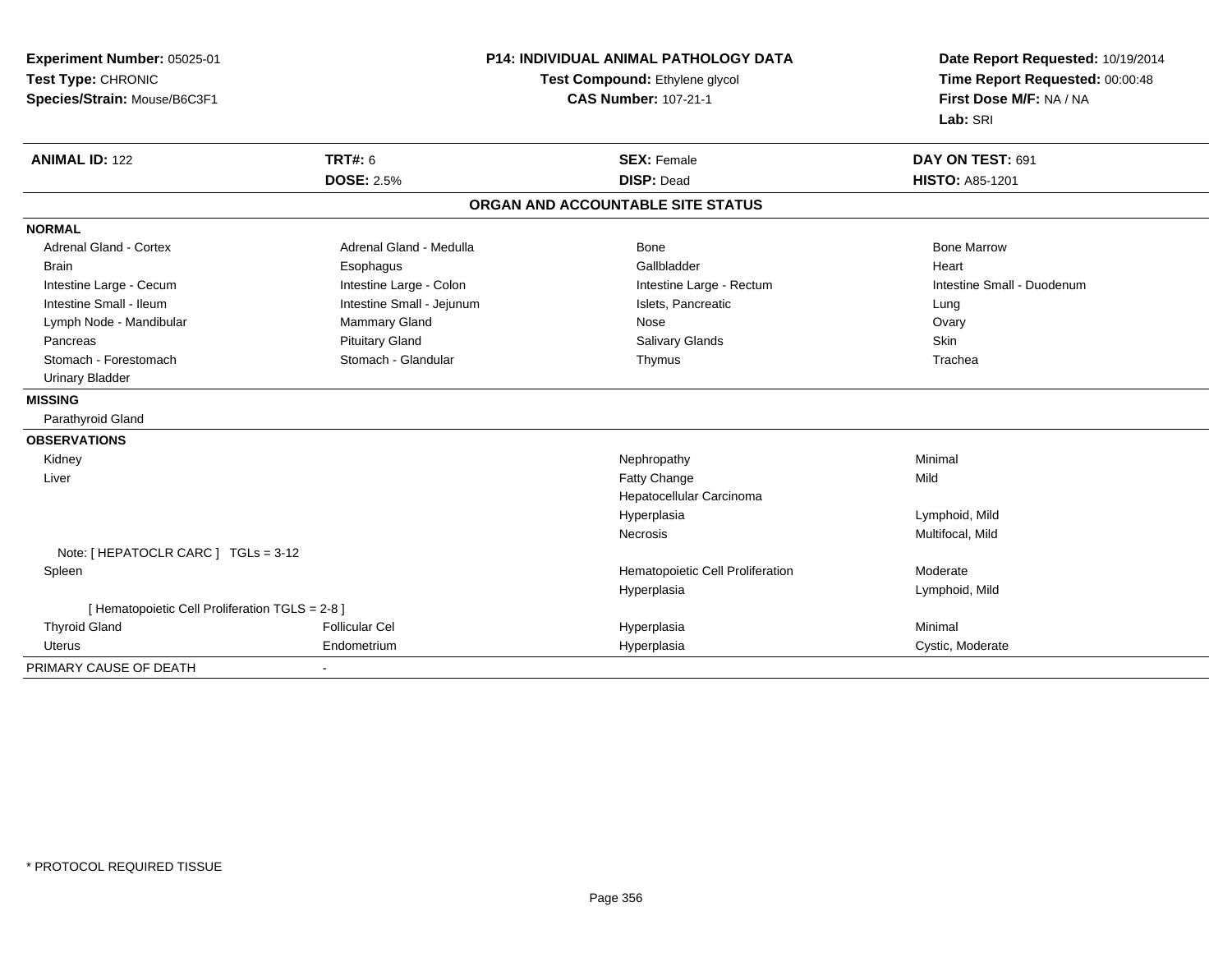| Experiment Number: 05025-01                     |                           | P14: INDIVIDUAL ANIMAL PATHOLOGY DATA | Date Report Requested: 10/19/2014<br>Time Report Requested: 00:00:48 |
|-------------------------------------------------|---------------------------|---------------------------------------|----------------------------------------------------------------------|
| Test Type: CHRONIC                              |                           | Test Compound: Ethylene glycol        |                                                                      |
| Species/Strain: Mouse/B6C3F1                    |                           | <b>CAS Number: 107-21-1</b>           | First Dose M/F: NA / NA                                              |
|                                                 |                           |                                       | Lab: SRI                                                             |
| <b>ANIMAL ID: 122</b>                           | <b>TRT#: 6</b>            | <b>SEX: Female</b>                    | DAY ON TEST: 691                                                     |
|                                                 | <b>DOSE: 2.5%</b>         | <b>DISP: Dead</b>                     | <b>HISTO: A85-1201</b>                                               |
|                                                 |                           | ORGAN AND ACCOUNTABLE SITE STATUS     |                                                                      |
| <b>NORMAL</b>                                   |                           |                                       |                                                                      |
| <b>Adrenal Gland - Cortex</b>                   | Adrenal Gland - Medulla   | Bone                                  | <b>Bone Marrow</b>                                                   |
| <b>Brain</b>                                    | Esophagus                 | Gallbladder                           | Heart                                                                |
| Intestine Large - Cecum                         | Intestine Large - Colon   | Intestine Large - Rectum              | Intestine Small - Duodenum                                           |
| Intestine Small - Ileum                         | Intestine Small - Jejunum | Islets, Pancreatic                    | Lung                                                                 |
| Lymph Node - Mandibular                         | Mammary Gland             | Nose                                  | Ovary                                                                |
| Pancreas                                        | <b>Pituitary Gland</b>    | Salivary Glands                       | Skin                                                                 |
| Stomach - Forestomach                           | Stomach - Glandular       | Thymus                                | Trachea                                                              |
| <b>Urinary Bladder</b>                          |                           |                                       |                                                                      |
| <b>MISSING</b>                                  |                           |                                       |                                                                      |
| Parathyroid Gland                               |                           |                                       |                                                                      |
| <b>OBSERVATIONS</b>                             |                           |                                       |                                                                      |
| Kidney                                          |                           | Nephropathy                           | Minimal                                                              |
| Liver                                           |                           | Fatty Change                          | Mild                                                                 |
|                                                 |                           | Hepatocellular Carcinoma              |                                                                      |
|                                                 |                           | Hyperplasia                           | Lymphoid, Mild                                                       |
|                                                 |                           | Necrosis                              | Multifocal, Mild                                                     |
| Note: [ HEPATOCLR CARC ] TGLs = 3-12            |                           |                                       |                                                                      |
| Spleen                                          |                           | Hematopoietic Cell Proliferation      | Moderate                                                             |
|                                                 |                           | Hyperplasia                           | Lymphoid, Mild                                                       |
| [ Hematopoietic Cell Proliferation TGLS = 2-8 ] |                           |                                       |                                                                      |
| <b>Thyroid Gland</b>                            | <b>Follicular Cel</b>     | Hyperplasia                           | Minimal                                                              |
| Uterus                                          | Endometrium               | Hyperplasia                           | Cystic, Moderate                                                     |
| PRIMARY CAUSE OF DEATH                          | $\blacksquare$            |                                       |                                                                      |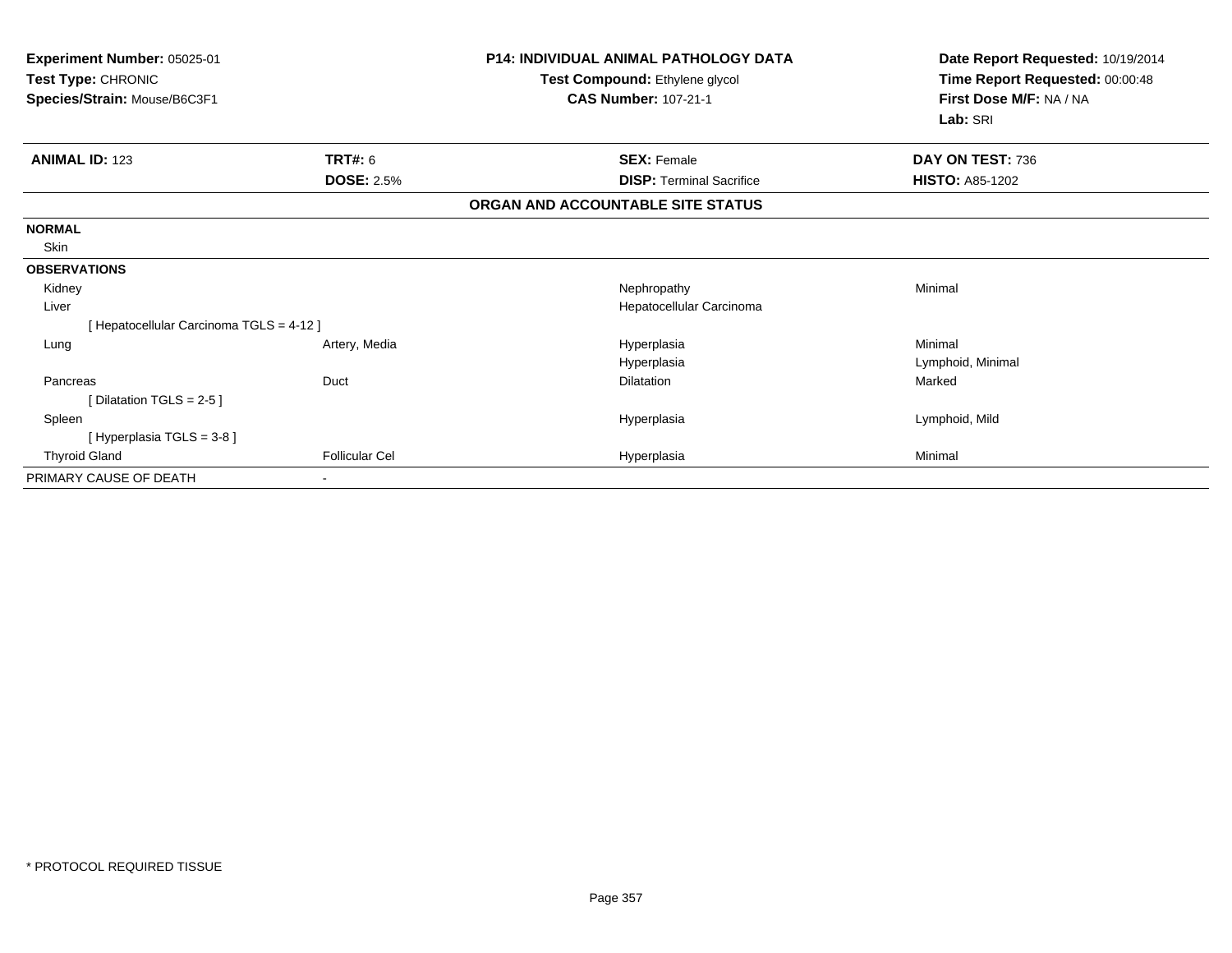| Experiment Number: 05025-01<br>Test Type: CHRONIC<br>Species/Strain: Mouse/B6C3F1 |                       | <b>P14: INDIVIDUAL ANIMAL PATHOLOGY DATA</b><br>Test Compound: Ethylene glycol<br><b>CAS Number: 107-21-1</b> | Date Report Requested: 10/19/2014<br>Time Report Requested: 00:00:48<br>First Dose M/F: NA / NA<br>Lab: SRI |
|-----------------------------------------------------------------------------------|-----------------------|---------------------------------------------------------------------------------------------------------------|-------------------------------------------------------------------------------------------------------------|
| <b>ANIMAL ID: 123</b>                                                             | <b>TRT#: 6</b>        | <b>SEX: Female</b>                                                                                            | DAY ON TEST: 736                                                                                            |
|                                                                                   | <b>DOSE: 2.5%</b>     | <b>DISP: Terminal Sacrifice</b>                                                                               | <b>HISTO: A85-1202</b>                                                                                      |
|                                                                                   |                       | ORGAN AND ACCOUNTABLE SITE STATUS                                                                             |                                                                                                             |
| <b>NORMAL</b>                                                                     |                       |                                                                                                               |                                                                                                             |
| Skin                                                                              |                       |                                                                                                               |                                                                                                             |
| <b>OBSERVATIONS</b>                                                               |                       |                                                                                                               |                                                                                                             |
| Kidney                                                                            |                       | Nephropathy                                                                                                   | Minimal                                                                                                     |
| Liver                                                                             |                       | Hepatocellular Carcinoma                                                                                      |                                                                                                             |
| [ Hepatocellular Carcinoma TGLS = 4-12 ]                                          |                       |                                                                                                               |                                                                                                             |
| Lung                                                                              | Artery, Media         | Hyperplasia                                                                                                   | Minimal                                                                                                     |
|                                                                                   |                       | Hyperplasia                                                                                                   | Lymphoid, Minimal                                                                                           |
| Pancreas                                                                          | Duct                  | <b>Dilatation</b>                                                                                             | Marked                                                                                                      |
| [Dilatation TGLS = $2-5$ ]                                                        |                       |                                                                                                               |                                                                                                             |
| Spleen                                                                            |                       | Hyperplasia                                                                                                   | Lymphoid, Mild                                                                                              |
| [Hyperplasia TGLS = 3-8]                                                          |                       |                                                                                                               |                                                                                                             |
| <b>Thyroid Gland</b>                                                              | <b>Follicular Cel</b> | Hyperplasia                                                                                                   | Minimal                                                                                                     |
| PRIMARY CAUSE OF DEATH                                                            |                       |                                                                                                               |                                                                                                             |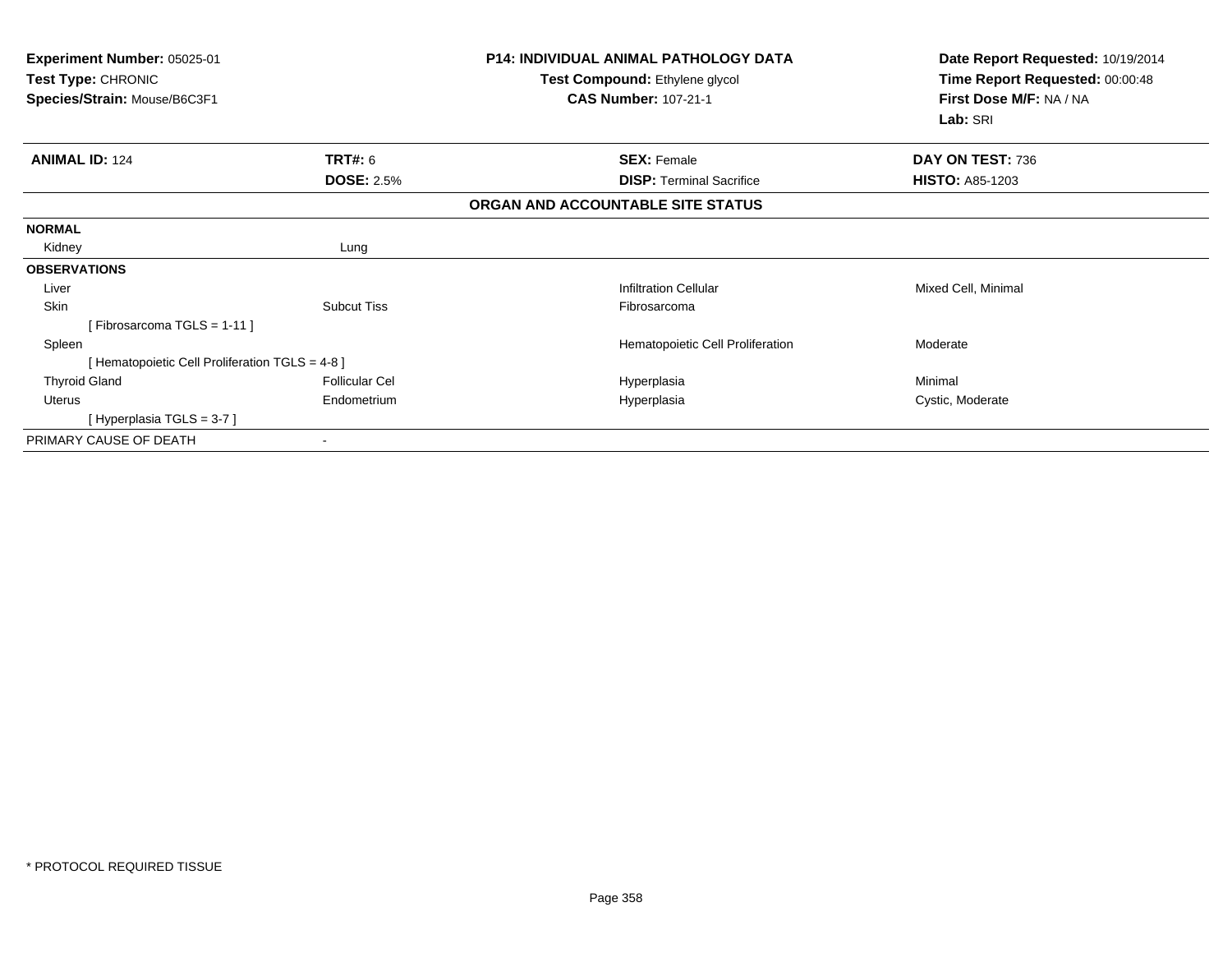| Experiment Number: 05025-01<br>Test Type: CHRONIC<br>Species/Strain: Mouse/B6C3F1 |                       | <b>P14: INDIVIDUAL ANIMAL PATHOLOGY DATA</b><br>Test Compound: Ethylene glycol<br><b>CAS Number: 107-21-1</b> | Date Report Requested: 10/19/2014<br>Time Report Requested: 00:00:48<br>First Dose M/F: NA / NA<br>Lab: SRI |
|-----------------------------------------------------------------------------------|-----------------------|---------------------------------------------------------------------------------------------------------------|-------------------------------------------------------------------------------------------------------------|
| <b>ANIMAL ID: 124</b>                                                             | TRT#: 6               | <b>SEX: Female</b>                                                                                            | DAY ON TEST: 736                                                                                            |
|                                                                                   | <b>DOSE: 2.5%</b>     | <b>DISP:</b> Terminal Sacrifice                                                                               | <b>HISTO: A85-1203</b>                                                                                      |
|                                                                                   |                       | ORGAN AND ACCOUNTABLE SITE STATUS                                                                             |                                                                                                             |
| <b>NORMAL</b>                                                                     |                       |                                                                                                               |                                                                                                             |
| Kidney                                                                            | Lung                  |                                                                                                               |                                                                                                             |
| <b>OBSERVATIONS</b>                                                               |                       |                                                                                                               |                                                                                                             |
| Liver                                                                             |                       | <b>Infiltration Cellular</b>                                                                                  | Mixed Cell, Minimal                                                                                         |
| Skin                                                                              | <b>Subcut Tiss</b>    | Fibrosarcoma                                                                                                  |                                                                                                             |
| [Fibrosarcoma TGLS = 1-11]                                                        |                       |                                                                                                               |                                                                                                             |
| Spleen                                                                            |                       | Hematopoietic Cell Proliferation                                                                              | Moderate                                                                                                    |
| [ Hematopoietic Cell Proliferation TGLS = 4-8 ]                                   |                       |                                                                                                               |                                                                                                             |
| <b>Thyroid Gland</b>                                                              | <b>Follicular Cel</b> | Hyperplasia                                                                                                   | Minimal                                                                                                     |
| Uterus                                                                            | Endometrium           | Hyperplasia                                                                                                   | Cystic, Moderate                                                                                            |
| [Hyperplasia TGLS = $3-7$ ]                                                       |                       |                                                                                                               |                                                                                                             |
| PRIMARY CAUSE OF DEATH                                                            |                       |                                                                                                               |                                                                                                             |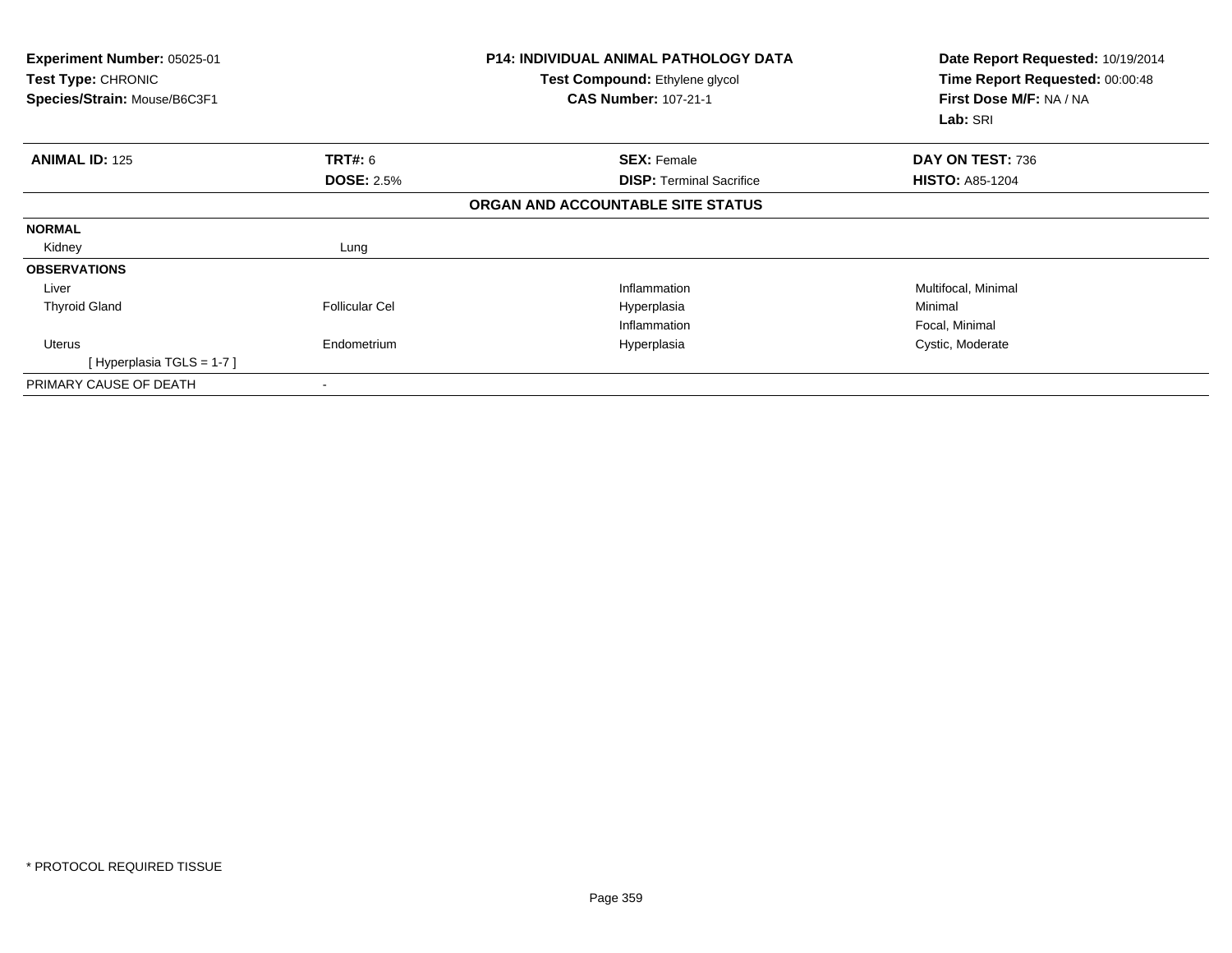| Experiment Number: 05025-01<br>Test Type: CHRONIC<br>Species/Strain: Mouse/B6C3F1 |                       | <b>P14: INDIVIDUAL ANIMAL PATHOLOGY DATA</b><br>Test Compound: Ethylene glycol<br><b>CAS Number: 107-21-1</b> | Date Report Requested: 10/19/2014<br>Time Report Requested: 00:00:48<br>First Dose M/F: NA / NA<br>Lab: SRI |
|-----------------------------------------------------------------------------------|-----------------------|---------------------------------------------------------------------------------------------------------------|-------------------------------------------------------------------------------------------------------------|
| <b>ANIMAL ID: 125</b>                                                             | <b>TRT#: 6</b>        | <b>SEX: Female</b>                                                                                            | DAY ON TEST: 736                                                                                            |
|                                                                                   | <b>DOSE: 2.5%</b>     | <b>DISP:</b> Terminal Sacrifice                                                                               | <b>HISTO: A85-1204</b>                                                                                      |
|                                                                                   |                       | ORGAN AND ACCOUNTABLE SITE STATUS                                                                             |                                                                                                             |
| <b>NORMAL</b>                                                                     |                       |                                                                                                               |                                                                                                             |
| Kidney                                                                            | Lung                  |                                                                                                               |                                                                                                             |
| <b>OBSERVATIONS</b>                                                               |                       |                                                                                                               |                                                                                                             |
| Liver                                                                             |                       | Inflammation                                                                                                  | Multifocal, Minimal                                                                                         |
| <b>Thyroid Gland</b>                                                              | <b>Follicular Cel</b> | Hyperplasia                                                                                                   | Minimal                                                                                                     |
|                                                                                   |                       | Inflammation                                                                                                  | Focal, Minimal                                                                                              |
| Uterus                                                                            | Endometrium           | Hyperplasia                                                                                                   | Cystic, Moderate                                                                                            |
| [Hyperplasia TGLS = $1-7$ ]                                                       |                       |                                                                                                               |                                                                                                             |
| PRIMARY CAUSE OF DEATH                                                            |                       |                                                                                                               |                                                                                                             |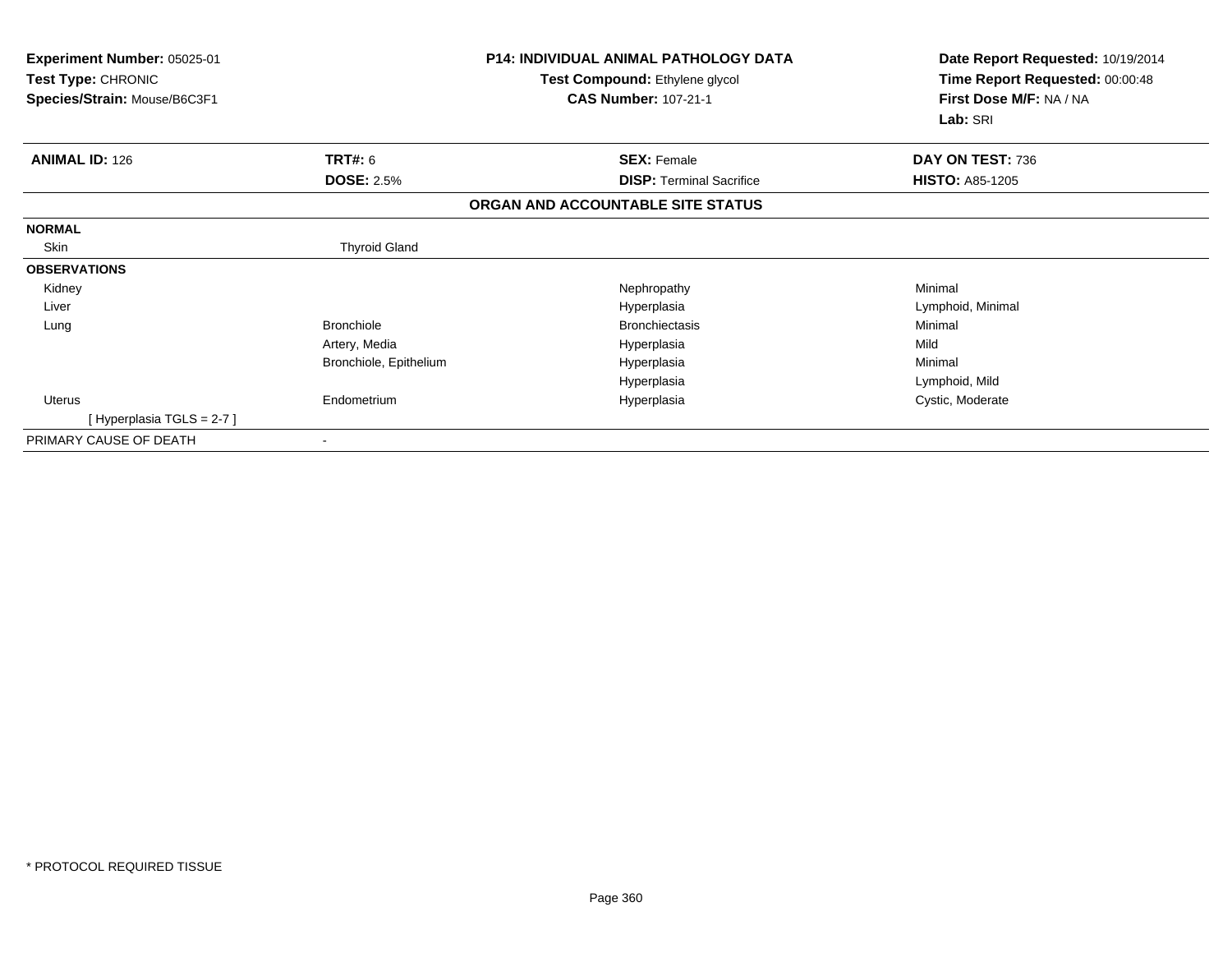| Experiment Number: 05025-01<br>Test Type: CHRONIC<br>Species/Strain: Mouse/B6C3F1 |                        | <b>P14: INDIVIDUAL ANIMAL PATHOLOGY DATA</b><br>Test Compound: Ethylene glycol<br><b>CAS Number: 107-21-1</b> | Date Report Requested: 10/19/2014<br>Time Report Requested: 00:00:48<br>First Dose M/F: NA / NA |
|-----------------------------------------------------------------------------------|------------------------|---------------------------------------------------------------------------------------------------------------|-------------------------------------------------------------------------------------------------|
|                                                                                   |                        |                                                                                                               | Lab: SRI                                                                                        |
| <b>ANIMAL ID: 126</b>                                                             | TRT#: 6                | <b>SEX: Female</b>                                                                                            | DAY ON TEST: 736                                                                                |
|                                                                                   | <b>DOSE: 2.5%</b>      | <b>DISP:</b> Terminal Sacrifice                                                                               | <b>HISTO: A85-1205</b>                                                                          |
|                                                                                   |                        | ORGAN AND ACCOUNTABLE SITE STATUS                                                                             |                                                                                                 |
| <b>NORMAL</b>                                                                     |                        |                                                                                                               |                                                                                                 |
| Skin                                                                              | <b>Thyroid Gland</b>   |                                                                                                               |                                                                                                 |
| <b>OBSERVATIONS</b>                                                               |                        |                                                                                                               |                                                                                                 |
| Kidney                                                                            |                        | Nephropathy                                                                                                   | Minimal                                                                                         |
| Liver                                                                             |                        | Hyperplasia                                                                                                   | Lymphoid, Minimal                                                                               |
| Lung                                                                              | <b>Bronchiole</b>      | <b>Bronchiectasis</b>                                                                                         | Minimal                                                                                         |
|                                                                                   | Artery, Media          | Hyperplasia                                                                                                   | Mild                                                                                            |
|                                                                                   | Bronchiole, Epithelium | Hyperplasia                                                                                                   | Minimal                                                                                         |
|                                                                                   |                        | Hyperplasia                                                                                                   | Lymphoid, Mild                                                                                  |
| <b>Uterus</b>                                                                     | Endometrium            | Hyperplasia                                                                                                   | Cystic, Moderate                                                                                |
| [Hyperplasia TGLS = $2-7$ ]                                                       |                        |                                                                                                               |                                                                                                 |
| PRIMARY CAUSE OF DEATH                                                            | $\blacksquare$         |                                                                                                               |                                                                                                 |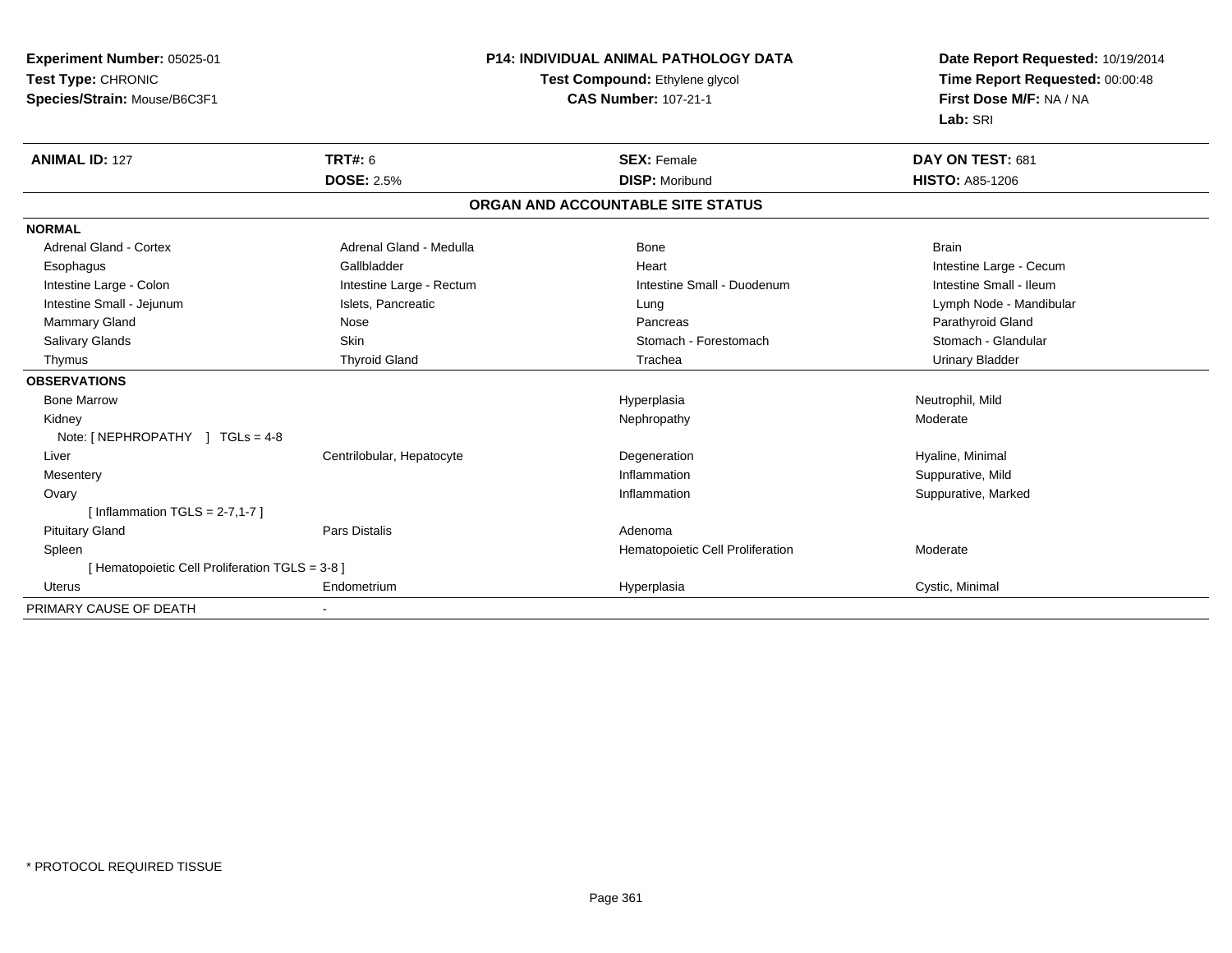| Experiment Number: 05025-01                     | <b>P14: INDIVIDUAL ANIMAL PATHOLOGY DATA</b> |                                   | Date Report Requested: 10/19/2014 |  |
|-------------------------------------------------|----------------------------------------------|-----------------------------------|-----------------------------------|--|
| Test Type: CHRONIC                              |                                              | Test Compound: Ethylene glycol    | Time Report Requested: 00:00:48   |  |
| Species/Strain: Mouse/B6C3F1                    |                                              | <b>CAS Number: 107-21-1</b>       | First Dose M/F: NA / NA           |  |
|                                                 |                                              |                                   | Lab: SRI                          |  |
| <b>ANIMAL ID: 127</b>                           | <b>TRT#: 6</b>                               | <b>SEX: Female</b>                | DAY ON TEST: 681                  |  |
|                                                 | <b>DOSE: 2.5%</b>                            | <b>DISP: Moribund</b>             | <b>HISTO: A85-1206</b>            |  |
|                                                 |                                              | ORGAN AND ACCOUNTABLE SITE STATUS |                                   |  |
| <b>NORMAL</b>                                   |                                              |                                   |                                   |  |
| <b>Adrenal Gland - Cortex</b>                   | Adrenal Gland - Medulla                      | <b>Bone</b>                       | <b>Brain</b>                      |  |
| Esophagus                                       | Gallbladder                                  | Heart                             | Intestine Large - Cecum           |  |
| Intestine Large - Colon                         | Intestine Large - Rectum                     | Intestine Small - Duodenum        | Intestine Small - Ileum           |  |
| Intestine Small - Jejunum                       | Islets, Pancreatic                           | Lung                              | Lymph Node - Mandibular           |  |
| Mammary Gland                                   | Nose                                         | Pancreas                          | Parathyroid Gland                 |  |
| Salivary Glands                                 | Skin                                         | Stomach - Forestomach             | Stomach - Glandular               |  |
| Thymus                                          | <b>Thyroid Gland</b>                         | Trachea                           | <b>Urinary Bladder</b>            |  |
| <b>OBSERVATIONS</b>                             |                                              |                                   |                                   |  |
| <b>Bone Marrow</b>                              |                                              | Hyperplasia                       | Neutrophil, Mild                  |  |
| Kidney                                          |                                              | Nephropathy                       | Moderate                          |  |
| Note: [ NEPHROPATHY ] TGLs = 4-8                |                                              |                                   |                                   |  |
| Liver                                           | Centrilobular, Hepatocyte                    | Degeneration                      | Hyaline, Minimal                  |  |
| Mesentery                                       |                                              | Inflammation                      | Suppurative, Mild                 |  |
| Ovary                                           |                                              | Inflammation                      | Suppurative, Marked               |  |
| [Inflammation $TGLS = 2-7, 1-7$ ]               |                                              |                                   |                                   |  |
| <b>Pituitary Gland</b>                          | <b>Pars Distalis</b>                         | Adenoma                           |                                   |  |
| Spleen                                          |                                              | Hematopoietic Cell Proliferation  | Moderate                          |  |
| [ Hematopoietic Cell Proliferation TGLS = 3-8 ] |                                              |                                   |                                   |  |
| <b>Uterus</b>                                   | Endometrium                                  | Hyperplasia                       | Cystic, Minimal                   |  |
| PRIMARY CAUSE OF DEATH                          |                                              |                                   |                                   |  |

-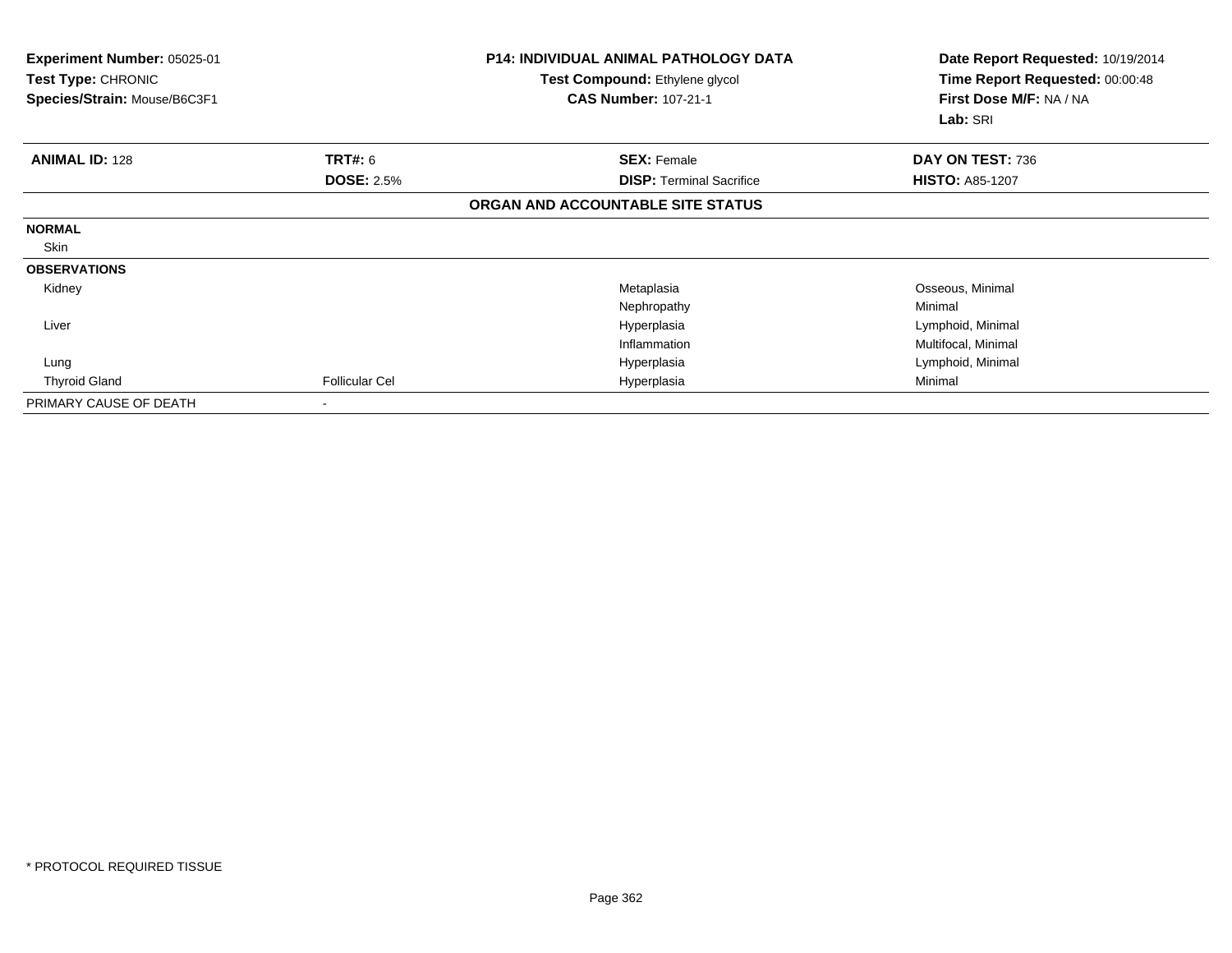| Experiment Number: 05025-01<br><b>Test Type: CHRONIC</b><br>Species/Strain: Mouse/B6C3F1 |                       | <b>P14: INDIVIDUAL ANIMAL PATHOLOGY DATA</b><br>Test Compound: Ethylene glycol<br><b>CAS Number: 107-21-1</b> | Date Report Requested: 10/19/2014<br>Time Report Requested: 00:00:48<br>First Dose M/F: NA / NA<br>Lab: SRI |
|------------------------------------------------------------------------------------------|-----------------------|---------------------------------------------------------------------------------------------------------------|-------------------------------------------------------------------------------------------------------------|
| <b>ANIMAL ID: 128</b>                                                                    | TRT#: 6               | <b>SEX: Female</b>                                                                                            | DAY ON TEST: 736                                                                                            |
|                                                                                          | <b>DOSE: 2.5%</b>     | <b>DISP: Terminal Sacrifice</b>                                                                               | <b>HISTO: A85-1207</b>                                                                                      |
|                                                                                          |                       | ORGAN AND ACCOUNTABLE SITE STATUS                                                                             |                                                                                                             |
| <b>NORMAL</b>                                                                            |                       |                                                                                                               |                                                                                                             |
| Skin                                                                                     |                       |                                                                                                               |                                                                                                             |
| <b>OBSERVATIONS</b>                                                                      |                       |                                                                                                               |                                                                                                             |
| Kidney                                                                                   |                       | Metaplasia                                                                                                    | Osseous, Minimal                                                                                            |
|                                                                                          |                       | Nephropathy                                                                                                   | Minimal                                                                                                     |
| Liver                                                                                    |                       | Hyperplasia                                                                                                   | Lymphoid, Minimal                                                                                           |
|                                                                                          |                       | Inflammation                                                                                                  | Multifocal, Minimal                                                                                         |
| Lung                                                                                     |                       | Hyperplasia                                                                                                   | Lymphoid, Minimal                                                                                           |
| <b>Thyroid Gland</b>                                                                     | <b>Follicular Cel</b> | Hyperplasia                                                                                                   | Minimal                                                                                                     |
| PRIMARY CAUSE OF DEATH                                                                   |                       |                                                                                                               |                                                                                                             |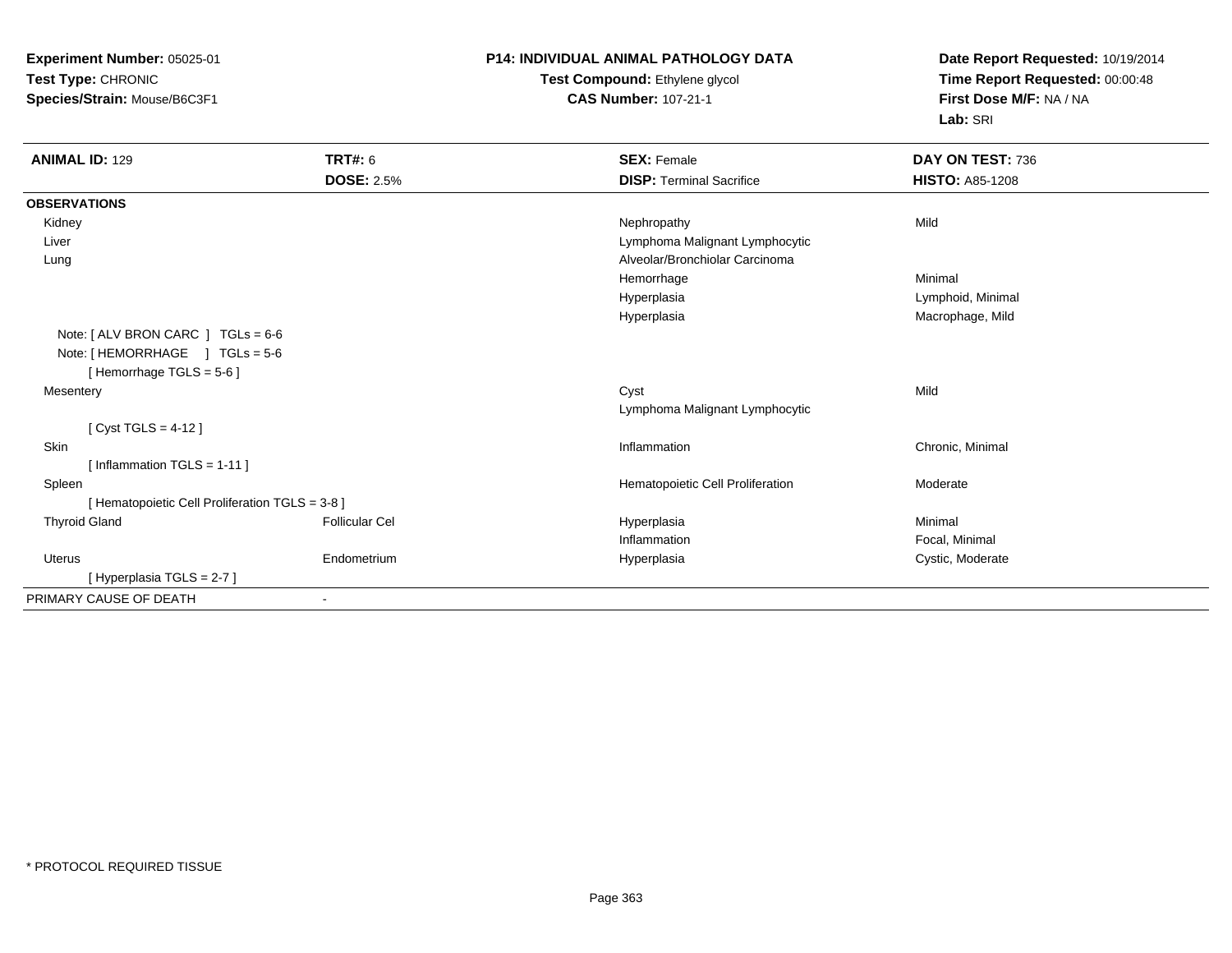**Experiment Number:** 05025-01**Test Type:** CHRONIC**Species/Strain:** Mouse/B6C3F1

# **P14: INDIVIDUAL ANIMAL PATHOLOGY DATA**

### **Test Compound:** Ethylene glycol **CAS Number:** 107-21-1

**Date Report Requested:** 10/19/2014**Time Report Requested:** 00:00:48**First Dose M/F:** NA / NA**Lab:** SRI

| <b>ANIMAL ID: 129</b>                           | <b>TRT#: 6</b>        | <b>SEX: Female</b>               | DAY ON TEST: 736       |  |  |
|-------------------------------------------------|-----------------------|----------------------------------|------------------------|--|--|
|                                                 | <b>DOSE: 2.5%</b>     | <b>DISP: Terminal Sacrifice</b>  | <b>HISTO: A85-1208</b> |  |  |
| <b>OBSERVATIONS</b>                             |                       |                                  |                        |  |  |
| Kidney                                          |                       | Nephropathy                      | Mild                   |  |  |
| Liver                                           |                       | Lymphoma Malignant Lymphocytic   |                        |  |  |
| Lung                                            |                       | Alveolar/Bronchiolar Carcinoma   |                        |  |  |
|                                                 |                       | Hemorrhage                       | Minimal                |  |  |
|                                                 |                       | Hyperplasia                      | Lymphoid, Minimal      |  |  |
|                                                 |                       | Hyperplasia                      | Macrophage, Mild       |  |  |
| Note: $[ALV$ BRON CARC $]$ TGLs = 6-6           |                       |                                  |                        |  |  |
| Note: [HEMORRHAGE ] TGLs = 5-6                  |                       |                                  |                        |  |  |
| [Hemorrhage TGLS = $5-6$ ]                      |                       |                                  |                        |  |  |
| Mesentery                                       |                       | Cyst                             | Mild                   |  |  |
|                                                 |                       | Lymphoma Malignant Lymphocytic   |                        |  |  |
| [ $Cyst TGLS = 4-12$ ]                          |                       |                                  |                        |  |  |
| Skin                                            |                       | Inflammation                     | Chronic, Minimal       |  |  |
| [Inflammation TGLS = $1-11$ ]                   |                       |                                  |                        |  |  |
| Spleen                                          |                       | Hematopoietic Cell Proliferation | Moderate               |  |  |
| [ Hematopoietic Cell Proliferation TGLS = 3-8 ] |                       |                                  |                        |  |  |
| <b>Thyroid Gland</b>                            | <b>Follicular Cel</b> | Hyperplasia                      | Minimal                |  |  |
|                                                 |                       | Inflammation                     | Focal, Minimal         |  |  |
| Uterus                                          | Endometrium           | Hyperplasia                      | Cystic, Moderate       |  |  |
| [Hyperplasia TGLS = 2-7]                        |                       |                                  |                        |  |  |
| PRIMARY CAUSE OF DEATH                          |                       |                                  |                        |  |  |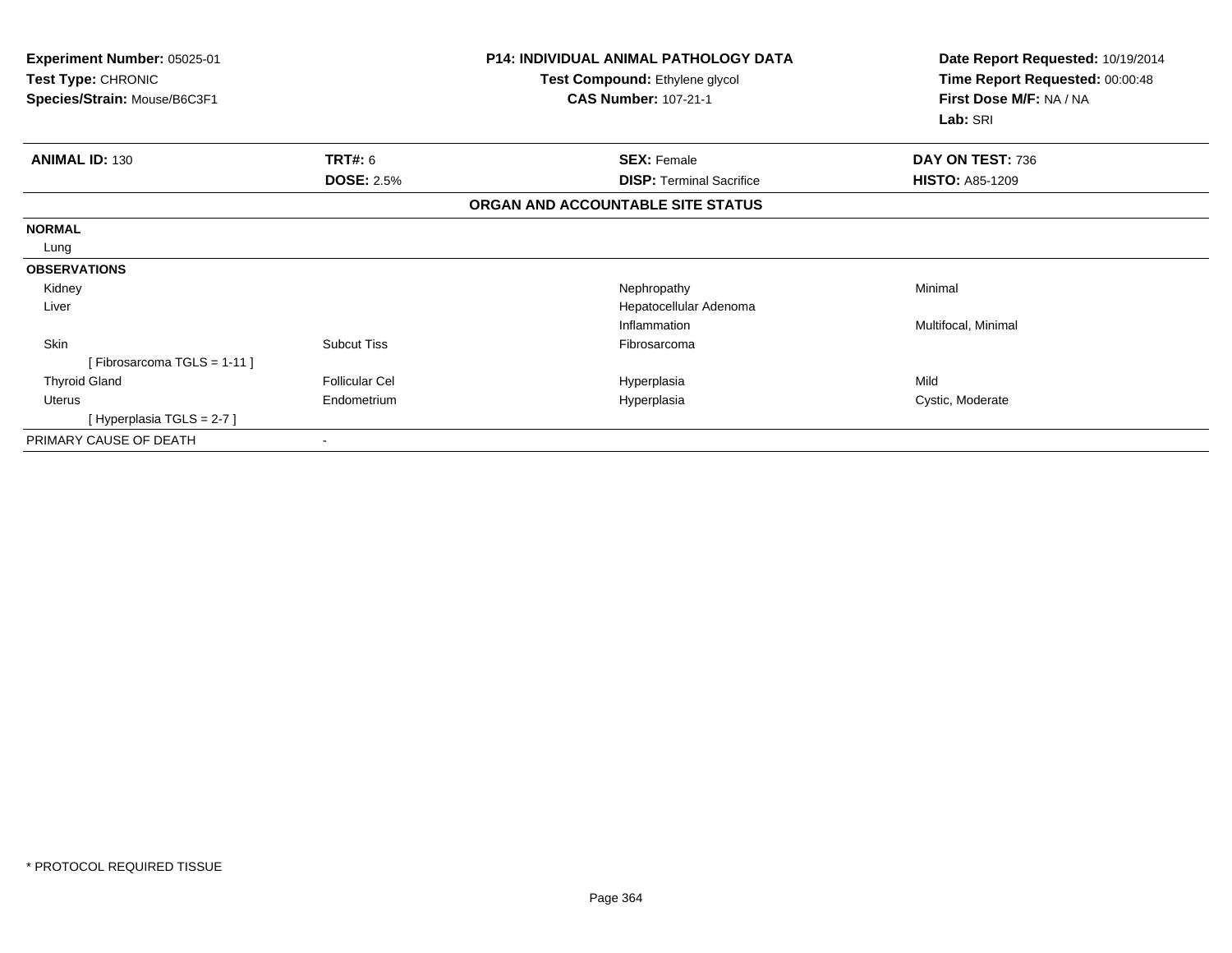| Experiment Number: 05025-01<br>Test Type: CHRONIC<br>Species/Strain: Mouse/B6C3F1 |                       | <b>P14: INDIVIDUAL ANIMAL PATHOLOGY DATA</b><br>Test Compound: Ethylene glycol<br><b>CAS Number: 107-21-1</b> | Date Report Requested: 10/19/2014<br>Time Report Requested: 00:00:48<br>First Dose M/F: NA / NA<br>Lab: SRI |
|-----------------------------------------------------------------------------------|-----------------------|---------------------------------------------------------------------------------------------------------------|-------------------------------------------------------------------------------------------------------------|
| <b>ANIMAL ID: 130</b>                                                             | TRT#: 6               | <b>SEX: Female</b>                                                                                            | DAY ON TEST: 736                                                                                            |
|                                                                                   | <b>DOSE: 2.5%</b>     | <b>DISP: Terminal Sacrifice</b>                                                                               | <b>HISTO: A85-1209</b>                                                                                      |
|                                                                                   |                       | ORGAN AND ACCOUNTABLE SITE STATUS                                                                             |                                                                                                             |
| <b>NORMAL</b>                                                                     |                       |                                                                                                               |                                                                                                             |
| Lung                                                                              |                       |                                                                                                               |                                                                                                             |
| <b>OBSERVATIONS</b>                                                               |                       |                                                                                                               |                                                                                                             |
| Kidney                                                                            |                       | Nephropathy                                                                                                   | Minimal                                                                                                     |
| Liver                                                                             |                       | Hepatocellular Adenoma                                                                                        |                                                                                                             |
|                                                                                   |                       | Inflammation                                                                                                  | Multifocal, Minimal                                                                                         |
| Skin                                                                              | <b>Subcut Tiss</b>    | Fibrosarcoma                                                                                                  |                                                                                                             |
| [Fibrosarcoma TGLS = 1-11]                                                        |                       |                                                                                                               |                                                                                                             |
| <b>Thyroid Gland</b>                                                              | <b>Follicular Cel</b> | Hyperplasia                                                                                                   | Mild                                                                                                        |
| <b>Uterus</b>                                                                     | Endometrium           | Hyperplasia                                                                                                   | Cystic, Moderate                                                                                            |
| [Hyperplasia TGLS = 2-7 ]                                                         |                       |                                                                                                               |                                                                                                             |
| PRIMARY CAUSE OF DEATH                                                            |                       |                                                                                                               |                                                                                                             |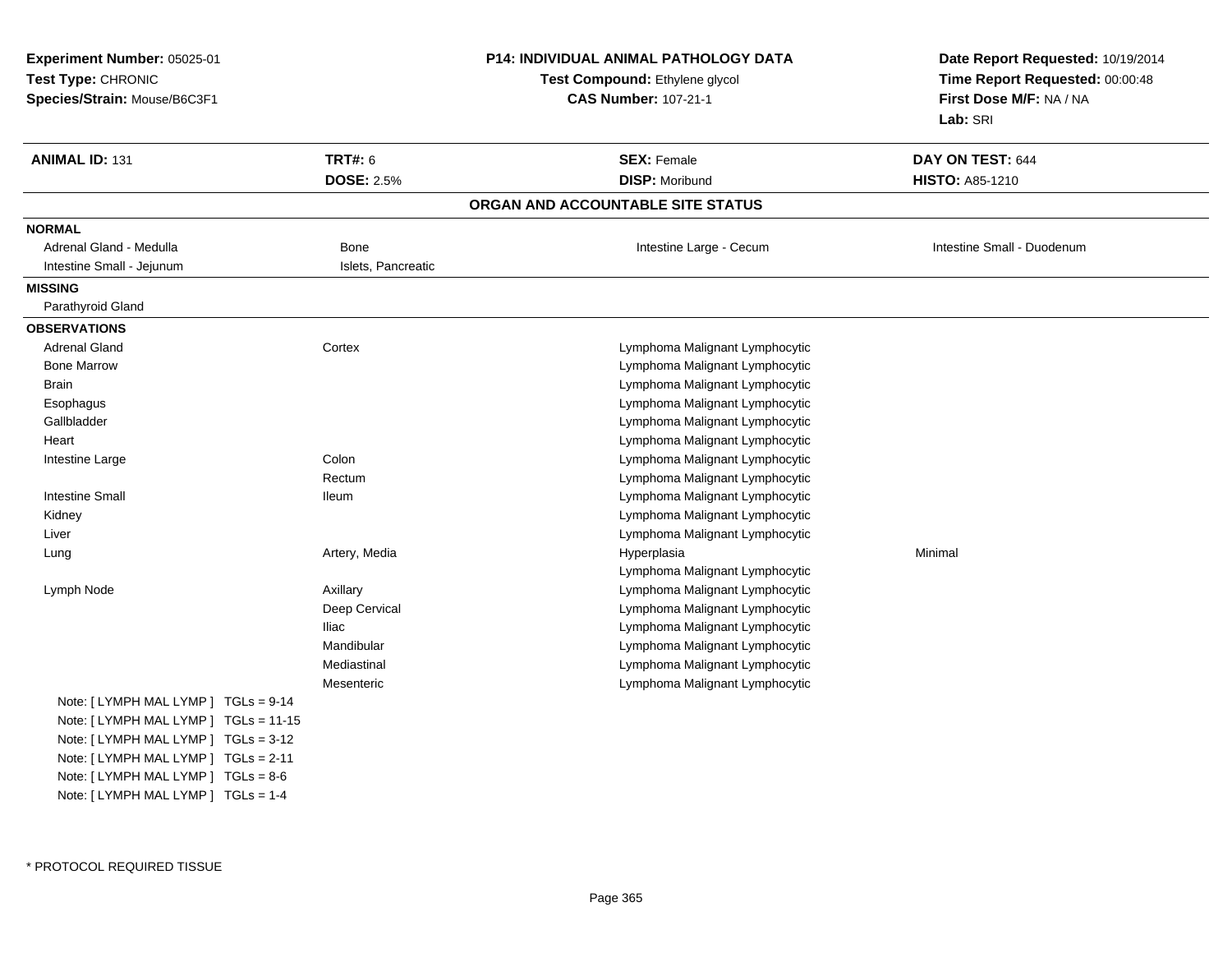| Test Type: CHRONIC<br>First Dose M/F: NA / NA<br>Species/Strain: Mouse/B6C3F1<br><b>CAS Number: 107-21-1</b><br>Lab: SRI<br><b>ANIMAL ID: 131</b><br><b>TRT#: 6</b><br><b>SEX: Female</b><br>DAY ON TEST: 644<br><b>DOSE: 2.5%</b><br><b>DISP: Moribund</b><br><b>HISTO: A85-1210</b><br>ORGAN AND ACCOUNTABLE SITE STATUS<br><b>NORMAL</b><br>Adrenal Gland - Medulla<br>Bone<br>Intestine Large - Cecum<br>Intestine Small - Duodenum<br>Intestine Small - Jejunum<br>Islets, Pancreatic<br><b>MISSING</b><br>Parathyroid Gland<br><b>OBSERVATIONS</b><br><b>Adrenal Gland</b><br>Cortex<br>Lymphoma Malignant Lymphocytic<br><b>Bone Marrow</b><br>Lymphoma Malignant Lymphocytic<br>Lymphoma Malignant Lymphocytic<br>Brain<br>Lymphoma Malignant Lymphocytic<br>Esophagus<br>Gallbladder<br>Lymphoma Malignant Lymphocytic<br>Lymphoma Malignant Lymphocytic<br>Heart<br>Colon<br>Lymphoma Malignant Lymphocytic<br>Intestine Large<br>Lymphoma Malignant Lymphocytic<br>Rectum<br><b>Intestine Small</b><br>Lymphoma Malignant Lymphocytic<br><b>Ileum</b><br>Lymphoma Malignant Lymphocytic<br>Kidney<br>Liver<br>Lymphoma Malignant Lymphocytic<br>Artery, Media<br>Minimal<br>Lung<br>Hyperplasia<br>Lymphoma Malignant Lymphocytic<br>Lymphoma Malignant Lymphocytic<br>Lymph Node<br>Axillary<br>Deep Cervical<br>Lymphoma Malignant Lymphocytic<br><b>Iliac</b><br>Lymphoma Malignant Lymphocytic<br>Mandibular<br>Lymphoma Malignant Lymphocytic<br>Mediastinal<br>Lymphoma Malignant Lymphocytic<br>Mesenteric<br>Lymphoma Malignant Lymphocytic<br>Note: $[LYMPH MALLYMP]$ TGLs = 9-14<br>Note: [ LYMPH MAL LYMP ] TGLs = 11-15<br>Note: [ LYMPH MAL LYMP ] TGLs = 3-12<br>Note: [LYMPH MAL LYMP ] TGLs = 2-11<br>Note: [LYMPH MAL LYMP ] TGLs = 8-6<br>Note: [ LYMPH MAL LYMP ] TGLs = 1-4 | Experiment Number: 05025-01 |  | P14: INDIVIDUAL ANIMAL PATHOLOGY DATA | Date Report Requested: 10/19/2014 |  |
|------------------------------------------------------------------------------------------------------------------------------------------------------------------------------------------------------------------------------------------------------------------------------------------------------------------------------------------------------------------------------------------------------------------------------------------------------------------------------------------------------------------------------------------------------------------------------------------------------------------------------------------------------------------------------------------------------------------------------------------------------------------------------------------------------------------------------------------------------------------------------------------------------------------------------------------------------------------------------------------------------------------------------------------------------------------------------------------------------------------------------------------------------------------------------------------------------------------------------------------------------------------------------------------------------------------------------------------------------------------------------------------------------------------------------------------------------------------------------------------------------------------------------------------------------------------------------------------------------------------------------------------------------------------------------------------------------------------------------------------------------------------------------------------------------------|-----------------------------|--|---------------------------------------|-----------------------------------|--|
|                                                                                                                                                                                                                                                                                                                                                                                                                                                                                                                                                                                                                                                                                                                                                                                                                                                                                                                                                                                                                                                                                                                                                                                                                                                                                                                                                                                                                                                                                                                                                                                                                                                                                                                                                                                                            |                             |  | Test Compound: Ethylene glycol        | Time Report Requested: 00:00:48   |  |
|                                                                                                                                                                                                                                                                                                                                                                                                                                                                                                                                                                                                                                                                                                                                                                                                                                                                                                                                                                                                                                                                                                                                                                                                                                                                                                                                                                                                                                                                                                                                                                                                                                                                                                                                                                                                            |                             |  |                                       |                                   |  |
|                                                                                                                                                                                                                                                                                                                                                                                                                                                                                                                                                                                                                                                                                                                                                                                                                                                                                                                                                                                                                                                                                                                                                                                                                                                                                                                                                                                                                                                                                                                                                                                                                                                                                                                                                                                                            |                             |  |                                       |                                   |  |
|                                                                                                                                                                                                                                                                                                                                                                                                                                                                                                                                                                                                                                                                                                                                                                                                                                                                                                                                                                                                                                                                                                                                                                                                                                                                                                                                                                                                                                                                                                                                                                                                                                                                                                                                                                                                            |                             |  |                                       |                                   |  |
|                                                                                                                                                                                                                                                                                                                                                                                                                                                                                                                                                                                                                                                                                                                                                                                                                                                                                                                                                                                                                                                                                                                                                                                                                                                                                                                                                                                                                                                                                                                                                                                                                                                                                                                                                                                                            |                             |  |                                       |                                   |  |
|                                                                                                                                                                                                                                                                                                                                                                                                                                                                                                                                                                                                                                                                                                                                                                                                                                                                                                                                                                                                                                                                                                                                                                                                                                                                                                                                                                                                                                                                                                                                                                                                                                                                                                                                                                                                            |                             |  |                                       |                                   |  |
|                                                                                                                                                                                                                                                                                                                                                                                                                                                                                                                                                                                                                                                                                                                                                                                                                                                                                                                                                                                                                                                                                                                                                                                                                                                                                                                                                                                                                                                                                                                                                                                                                                                                                                                                                                                                            |                             |  |                                       |                                   |  |
|                                                                                                                                                                                                                                                                                                                                                                                                                                                                                                                                                                                                                                                                                                                                                                                                                                                                                                                                                                                                                                                                                                                                                                                                                                                                                                                                                                                                                                                                                                                                                                                                                                                                                                                                                                                                            |                             |  |                                       |                                   |  |
|                                                                                                                                                                                                                                                                                                                                                                                                                                                                                                                                                                                                                                                                                                                                                                                                                                                                                                                                                                                                                                                                                                                                                                                                                                                                                                                                                                                                                                                                                                                                                                                                                                                                                                                                                                                                            |                             |  |                                       |                                   |  |
|                                                                                                                                                                                                                                                                                                                                                                                                                                                                                                                                                                                                                                                                                                                                                                                                                                                                                                                                                                                                                                                                                                                                                                                                                                                                                                                                                                                                                                                                                                                                                                                                                                                                                                                                                                                                            |                             |  |                                       |                                   |  |
|                                                                                                                                                                                                                                                                                                                                                                                                                                                                                                                                                                                                                                                                                                                                                                                                                                                                                                                                                                                                                                                                                                                                                                                                                                                                                                                                                                                                                                                                                                                                                                                                                                                                                                                                                                                                            |                             |  |                                       |                                   |  |
|                                                                                                                                                                                                                                                                                                                                                                                                                                                                                                                                                                                                                                                                                                                                                                                                                                                                                                                                                                                                                                                                                                                                                                                                                                                                                                                                                                                                                                                                                                                                                                                                                                                                                                                                                                                                            |                             |  |                                       |                                   |  |
|                                                                                                                                                                                                                                                                                                                                                                                                                                                                                                                                                                                                                                                                                                                                                                                                                                                                                                                                                                                                                                                                                                                                                                                                                                                                                                                                                                                                                                                                                                                                                                                                                                                                                                                                                                                                            |                             |  |                                       |                                   |  |
|                                                                                                                                                                                                                                                                                                                                                                                                                                                                                                                                                                                                                                                                                                                                                                                                                                                                                                                                                                                                                                                                                                                                                                                                                                                                                                                                                                                                                                                                                                                                                                                                                                                                                                                                                                                                            |                             |  |                                       |                                   |  |
|                                                                                                                                                                                                                                                                                                                                                                                                                                                                                                                                                                                                                                                                                                                                                                                                                                                                                                                                                                                                                                                                                                                                                                                                                                                                                                                                                                                                                                                                                                                                                                                                                                                                                                                                                                                                            |                             |  |                                       |                                   |  |
|                                                                                                                                                                                                                                                                                                                                                                                                                                                                                                                                                                                                                                                                                                                                                                                                                                                                                                                                                                                                                                                                                                                                                                                                                                                                                                                                                                                                                                                                                                                                                                                                                                                                                                                                                                                                            |                             |  |                                       |                                   |  |
|                                                                                                                                                                                                                                                                                                                                                                                                                                                                                                                                                                                                                                                                                                                                                                                                                                                                                                                                                                                                                                                                                                                                                                                                                                                                                                                                                                                                                                                                                                                                                                                                                                                                                                                                                                                                            |                             |  |                                       |                                   |  |
|                                                                                                                                                                                                                                                                                                                                                                                                                                                                                                                                                                                                                                                                                                                                                                                                                                                                                                                                                                                                                                                                                                                                                                                                                                                                                                                                                                                                                                                                                                                                                                                                                                                                                                                                                                                                            |                             |  |                                       |                                   |  |
|                                                                                                                                                                                                                                                                                                                                                                                                                                                                                                                                                                                                                                                                                                                                                                                                                                                                                                                                                                                                                                                                                                                                                                                                                                                                                                                                                                                                                                                                                                                                                                                                                                                                                                                                                                                                            |                             |  |                                       |                                   |  |
|                                                                                                                                                                                                                                                                                                                                                                                                                                                                                                                                                                                                                                                                                                                                                                                                                                                                                                                                                                                                                                                                                                                                                                                                                                                                                                                                                                                                                                                                                                                                                                                                                                                                                                                                                                                                            |                             |  |                                       |                                   |  |
|                                                                                                                                                                                                                                                                                                                                                                                                                                                                                                                                                                                                                                                                                                                                                                                                                                                                                                                                                                                                                                                                                                                                                                                                                                                                                                                                                                                                                                                                                                                                                                                                                                                                                                                                                                                                            |                             |  |                                       |                                   |  |
|                                                                                                                                                                                                                                                                                                                                                                                                                                                                                                                                                                                                                                                                                                                                                                                                                                                                                                                                                                                                                                                                                                                                                                                                                                                                                                                                                                                                                                                                                                                                                                                                                                                                                                                                                                                                            |                             |  |                                       |                                   |  |
|                                                                                                                                                                                                                                                                                                                                                                                                                                                                                                                                                                                                                                                                                                                                                                                                                                                                                                                                                                                                                                                                                                                                                                                                                                                                                                                                                                                                                                                                                                                                                                                                                                                                                                                                                                                                            |                             |  |                                       |                                   |  |
|                                                                                                                                                                                                                                                                                                                                                                                                                                                                                                                                                                                                                                                                                                                                                                                                                                                                                                                                                                                                                                                                                                                                                                                                                                                                                                                                                                                                                                                                                                                                                                                                                                                                                                                                                                                                            |                             |  |                                       |                                   |  |
|                                                                                                                                                                                                                                                                                                                                                                                                                                                                                                                                                                                                                                                                                                                                                                                                                                                                                                                                                                                                                                                                                                                                                                                                                                                                                                                                                                                                                                                                                                                                                                                                                                                                                                                                                                                                            |                             |  |                                       |                                   |  |
|                                                                                                                                                                                                                                                                                                                                                                                                                                                                                                                                                                                                                                                                                                                                                                                                                                                                                                                                                                                                                                                                                                                                                                                                                                                                                                                                                                                                                                                                                                                                                                                                                                                                                                                                                                                                            |                             |  |                                       |                                   |  |
|                                                                                                                                                                                                                                                                                                                                                                                                                                                                                                                                                                                                                                                                                                                                                                                                                                                                                                                                                                                                                                                                                                                                                                                                                                                                                                                                                                                                                                                                                                                                                                                                                                                                                                                                                                                                            |                             |  |                                       |                                   |  |
|                                                                                                                                                                                                                                                                                                                                                                                                                                                                                                                                                                                                                                                                                                                                                                                                                                                                                                                                                                                                                                                                                                                                                                                                                                                                                                                                                                                                                                                                                                                                                                                                                                                                                                                                                                                                            |                             |  |                                       |                                   |  |
|                                                                                                                                                                                                                                                                                                                                                                                                                                                                                                                                                                                                                                                                                                                                                                                                                                                                                                                                                                                                                                                                                                                                                                                                                                                                                                                                                                                                                                                                                                                                                                                                                                                                                                                                                                                                            |                             |  |                                       |                                   |  |
|                                                                                                                                                                                                                                                                                                                                                                                                                                                                                                                                                                                                                                                                                                                                                                                                                                                                                                                                                                                                                                                                                                                                                                                                                                                                                                                                                                                                                                                                                                                                                                                                                                                                                                                                                                                                            |                             |  |                                       |                                   |  |
|                                                                                                                                                                                                                                                                                                                                                                                                                                                                                                                                                                                                                                                                                                                                                                                                                                                                                                                                                                                                                                                                                                                                                                                                                                                                                                                                                                                                                                                                                                                                                                                                                                                                                                                                                                                                            |                             |  |                                       |                                   |  |
|                                                                                                                                                                                                                                                                                                                                                                                                                                                                                                                                                                                                                                                                                                                                                                                                                                                                                                                                                                                                                                                                                                                                                                                                                                                                                                                                                                                                                                                                                                                                                                                                                                                                                                                                                                                                            |                             |  |                                       |                                   |  |
|                                                                                                                                                                                                                                                                                                                                                                                                                                                                                                                                                                                                                                                                                                                                                                                                                                                                                                                                                                                                                                                                                                                                                                                                                                                                                                                                                                                                                                                                                                                                                                                                                                                                                                                                                                                                            |                             |  |                                       |                                   |  |
|                                                                                                                                                                                                                                                                                                                                                                                                                                                                                                                                                                                                                                                                                                                                                                                                                                                                                                                                                                                                                                                                                                                                                                                                                                                                                                                                                                                                                                                                                                                                                                                                                                                                                                                                                                                                            |                             |  |                                       |                                   |  |
|                                                                                                                                                                                                                                                                                                                                                                                                                                                                                                                                                                                                                                                                                                                                                                                                                                                                                                                                                                                                                                                                                                                                                                                                                                                                                                                                                                                                                                                                                                                                                                                                                                                                                                                                                                                                            |                             |  |                                       |                                   |  |
|                                                                                                                                                                                                                                                                                                                                                                                                                                                                                                                                                                                                                                                                                                                                                                                                                                                                                                                                                                                                                                                                                                                                                                                                                                                                                                                                                                                                                                                                                                                                                                                                                                                                                                                                                                                                            |                             |  |                                       |                                   |  |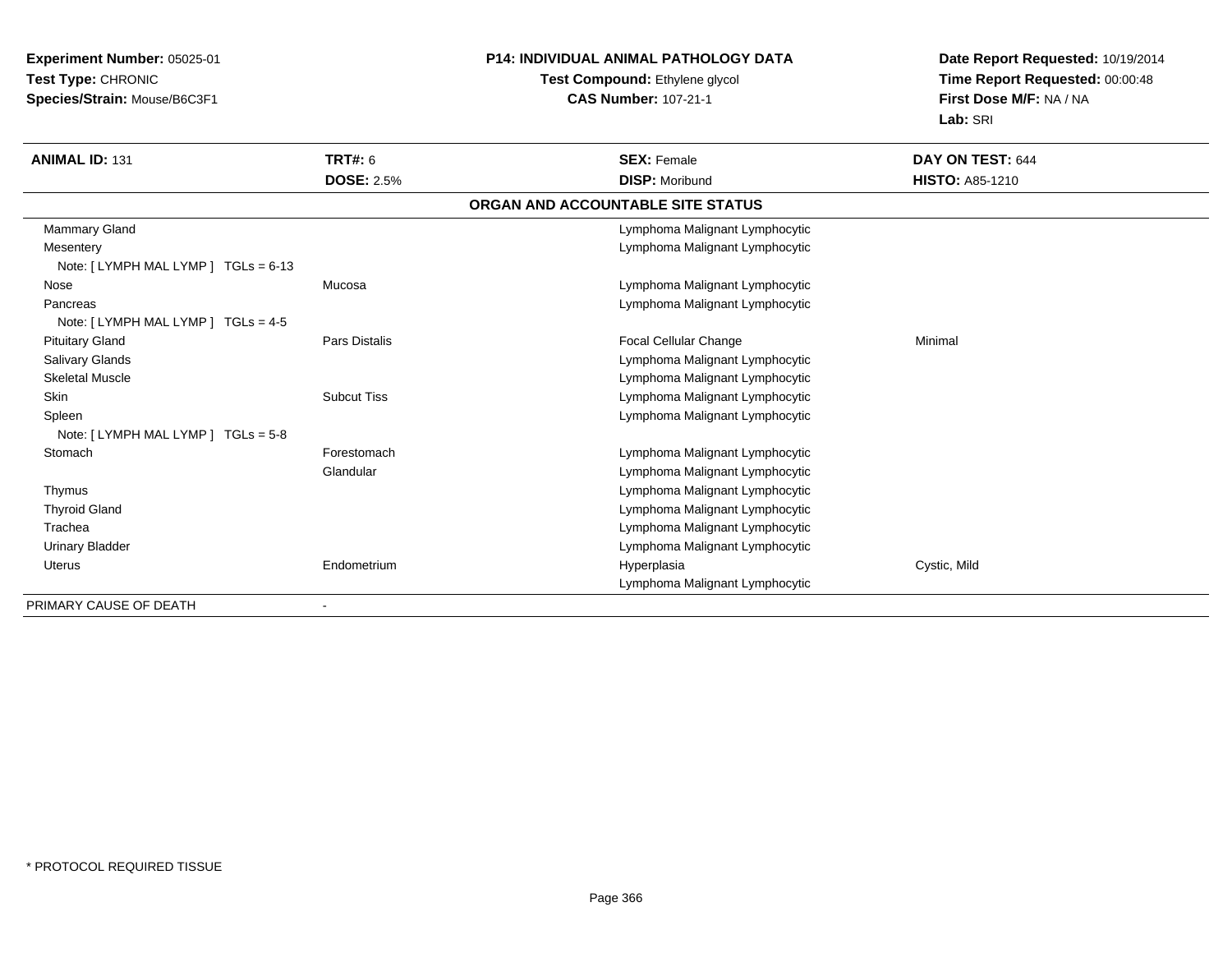**Experiment Number:** 05025-01**Test Type:** CHRONIC**Species/Strain:** Mouse/B6C3F1

#### **P14: INDIVIDUAL ANIMAL PATHOLOGY DATA**

### **Test Compound:** Ethylene glycol **CAS Number:** 107-21-1

**Date Report Requested:** 10/19/2014**Time Report Requested:** 00:00:48**First Dose M/F:** NA / NA**Lab:** SRI

| <b>ANIMAL ID: 131</b>                            | <b>TRT#: 6</b>     | <b>SEX: Female</b>                | DAY ON TEST: 644       |
|--------------------------------------------------|--------------------|-----------------------------------|------------------------|
|                                                  | <b>DOSE: 2.5%</b>  | <b>DISP: Moribund</b>             | <b>HISTO: A85-1210</b> |
|                                                  |                    | ORGAN AND ACCOUNTABLE SITE STATUS |                        |
| Mammary Gland                                    |                    | Lymphoma Malignant Lymphocytic    |                        |
| Mesentery<br>Note: [LYMPH MAL LYMP ] TGLs = 6-13 |                    | Lymphoma Malignant Lymphocytic    |                        |
| Nose                                             | Mucosa             | Lymphoma Malignant Lymphocytic    |                        |
| Pancreas                                         |                    | Lymphoma Malignant Lymphocytic    |                        |
| Note: $[LYMPH MALLYMP]$ TGLs = 4-5               |                    |                                   |                        |
| <b>Pituitary Gland</b>                           | Pars Distalis      | Focal Cellular Change             | Minimal                |
| <b>Salivary Glands</b>                           |                    | Lymphoma Malignant Lymphocytic    |                        |
| <b>Skeletal Muscle</b>                           |                    | Lymphoma Malignant Lymphocytic    |                        |
| <b>Skin</b>                                      | <b>Subcut Tiss</b> | Lymphoma Malignant Lymphocytic    |                        |
| Spleen                                           |                    | Lymphoma Malignant Lymphocytic    |                        |
| Note: $[LYMPH MALLYMP]$ TGLs = 5-8               |                    |                                   |                        |
| Stomach                                          | Forestomach        | Lymphoma Malignant Lymphocytic    |                        |
|                                                  | Glandular          | Lymphoma Malignant Lymphocytic    |                        |
| Thymus                                           |                    | Lymphoma Malignant Lymphocytic    |                        |
| <b>Thyroid Gland</b>                             |                    | Lymphoma Malignant Lymphocytic    |                        |
| Trachea                                          |                    | Lymphoma Malignant Lymphocytic    |                        |
| <b>Urinary Bladder</b>                           |                    | Lymphoma Malignant Lymphocytic    |                        |
| Uterus                                           | Endometrium        | Hyperplasia                       | Cystic, Mild           |
|                                                  |                    | Lymphoma Malignant Lymphocytic    |                        |
| PRIMARY CAUSE OF DEATH                           |                    |                                   |                        |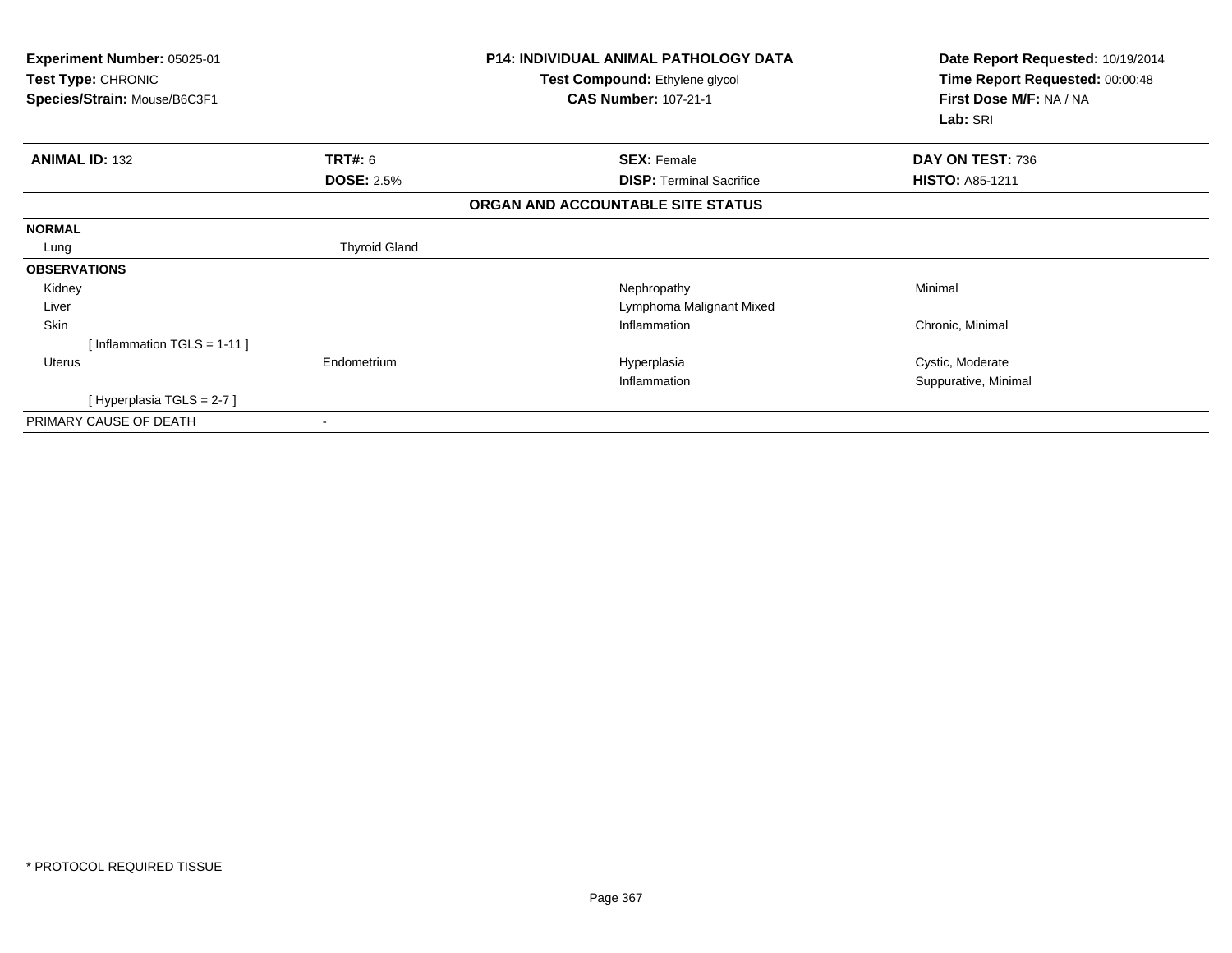| Experiment Number: 05025-01<br>Test Type: CHRONIC<br>Species/Strain: Mouse/B6C3F1 |                          | <b>P14: INDIVIDUAL ANIMAL PATHOLOGY DATA</b><br>Test Compound: Ethylene glycol<br><b>CAS Number: 107-21-1</b> | Date Report Requested: 10/19/2014<br>Time Report Requested: 00:00:48<br>First Dose M/F: NA / NA<br>Lab: SRI |
|-----------------------------------------------------------------------------------|--------------------------|---------------------------------------------------------------------------------------------------------------|-------------------------------------------------------------------------------------------------------------|
| <b>ANIMAL ID: 132</b>                                                             | TRT#: 6                  | <b>SEX: Female</b>                                                                                            | DAY ON TEST: 736                                                                                            |
|                                                                                   | <b>DOSE: 2.5%</b>        | <b>DISP: Terminal Sacrifice</b>                                                                               | <b>HISTO: A85-1211</b>                                                                                      |
|                                                                                   |                          | ORGAN AND ACCOUNTABLE SITE STATUS                                                                             |                                                                                                             |
| <b>NORMAL</b>                                                                     |                          |                                                                                                               |                                                                                                             |
| Lung                                                                              | <b>Thyroid Gland</b>     |                                                                                                               |                                                                                                             |
| <b>OBSERVATIONS</b>                                                               |                          |                                                                                                               |                                                                                                             |
| Kidney                                                                            |                          | Nephropathy                                                                                                   | Minimal                                                                                                     |
| Liver                                                                             |                          | Lymphoma Malignant Mixed                                                                                      |                                                                                                             |
| Skin                                                                              |                          | Inflammation                                                                                                  | Chronic, Minimal                                                                                            |
| [Inflammation TGLS = 1-11]                                                        |                          |                                                                                                               |                                                                                                             |
| <b>Uterus</b>                                                                     | Endometrium              | Hyperplasia                                                                                                   | Cystic, Moderate                                                                                            |
|                                                                                   |                          | Inflammation                                                                                                  | Suppurative, Minimal                                                                                        |
| [Hyperplasia TGLS = 2-7 ]                                                         |                          |                                                                                                               |                                                                                                             |
| PRIMARY CAUSE OF DEATH                                                            | $\overline{\phantom{a}}$ |                                                                                                               |                                                                                                             |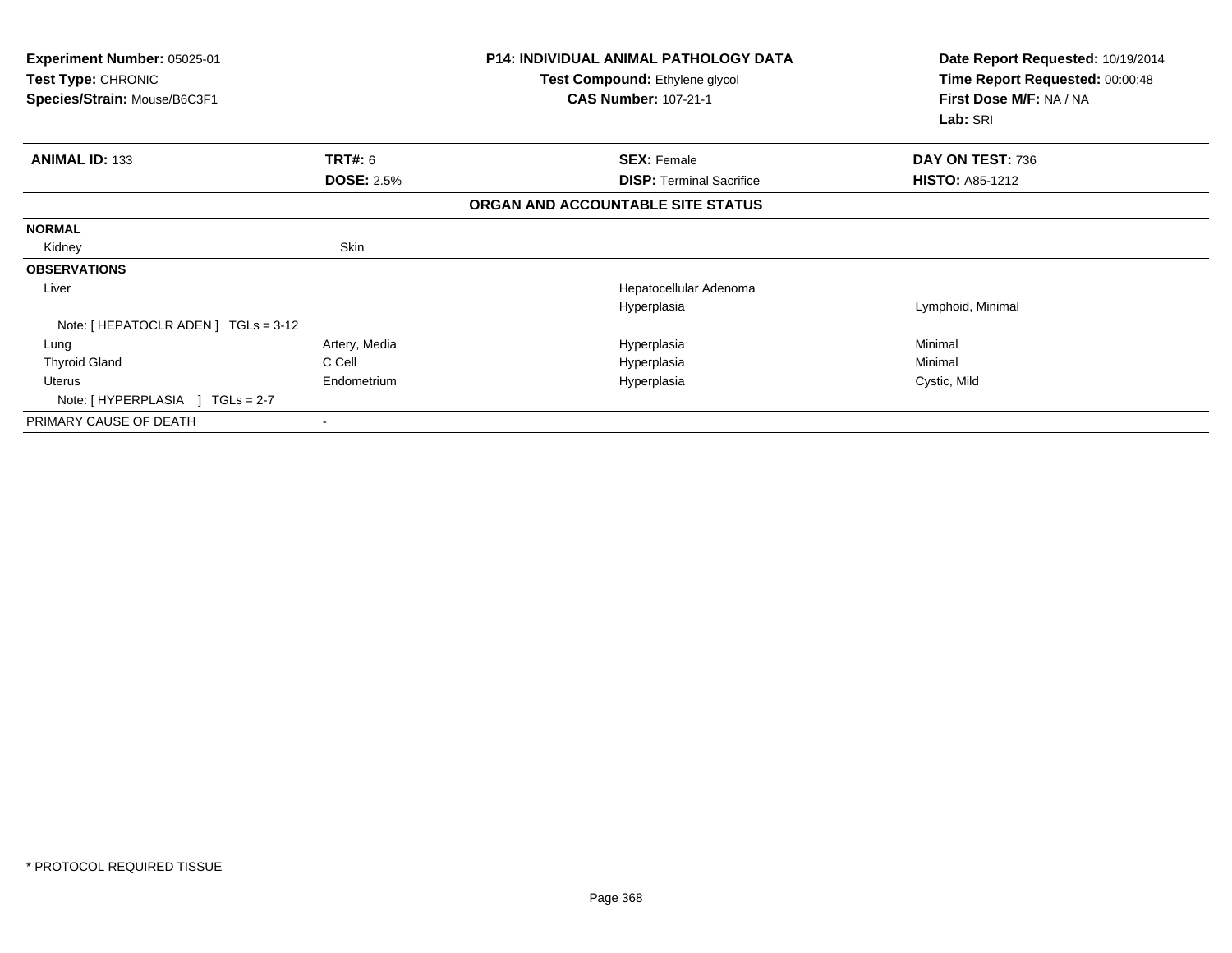| Experiment Number: 05025-01<br><b>Test Type: CHRONIC</b><br>Species/Strain: Mouse/B6C3F1 |                   | <b>P14: INDIVIDUAL ANIMAL PATHOLOGY DATA</b><br><b>Test Compound: Ethylene glycol</b><br><b>CAS Number: 107-21-1</b> | Date Report Requested: 10/19/2014<br>Time Report Requested: 00:00:48<br>First Dose M/F: NA / NA<br>Lab: SRI |
|------------------------------------------------------------------------------------------|-------------------|----------------------------------------------------------------------------------------------------------------------|-------------------------------------------------------------------------------------------------------------|
| <b>ANIMAL ID: 133</b>                                                                    | TRT#: 6           | <b>SEX: Female</b>                                                                                                   | DAY ON TEST: 736                                                                                            |
|                                                                                          | <b>DOSE: 2.5%</b> | <b>DISP: Terminal Sacrifice</b>                                                                                      | <b>HISTO: A85-1212</b>                                                                                      |
|                                                                                          |                   | ORGAN AND ACCOUNTABLE SITE STATUS                                                                                    |                                                                                                             |
| <b>NORMAL</b>                                                                            |                   |                                                                                                                      |                                                                                                             |
| Kidney                                                                                   | Skin              |                                                                                                                      |                                                                                                             |
| <b>OBSERVATIONS</b>                                                                      |                   |                                                                                                                      |                                                                                                             |
| Liver                                                                                    |                   | Hepatocellular Adenoma                                                                                               |                                                                                                             |
|                                                                                          |                   | Hyperplasia                                                                                                          | Lymphoid, Minimal                                                                                           |
| Note: [ HEPATOCLR ADEN ] TGLs = 3-12                                                     |                   |                                                                                                                      |                                                                                                             |
| Lung                                                                                     | Artery, Media     | Hyperplasia                                                                                                          | Minimal                                                                                                     |
| <b>Thyroid Gland</b>                                                                     | C Cell            | Hyperplasia                                                                                                          | Minimal                                                                                                     |
| Uterus                                                                                   | Endometrium       | Hyperplasia                                                                                                          | Cystic, Mild                                                                                                |
| Note: [HYPERPLASIA ] TGLs = 2-7                                                          |                   |                                                                                                                      |                                                                                                             |
| PRIMARY CAUSE OF DEATH                                                                   |                   |                                                                                                                      |                                                                                                             |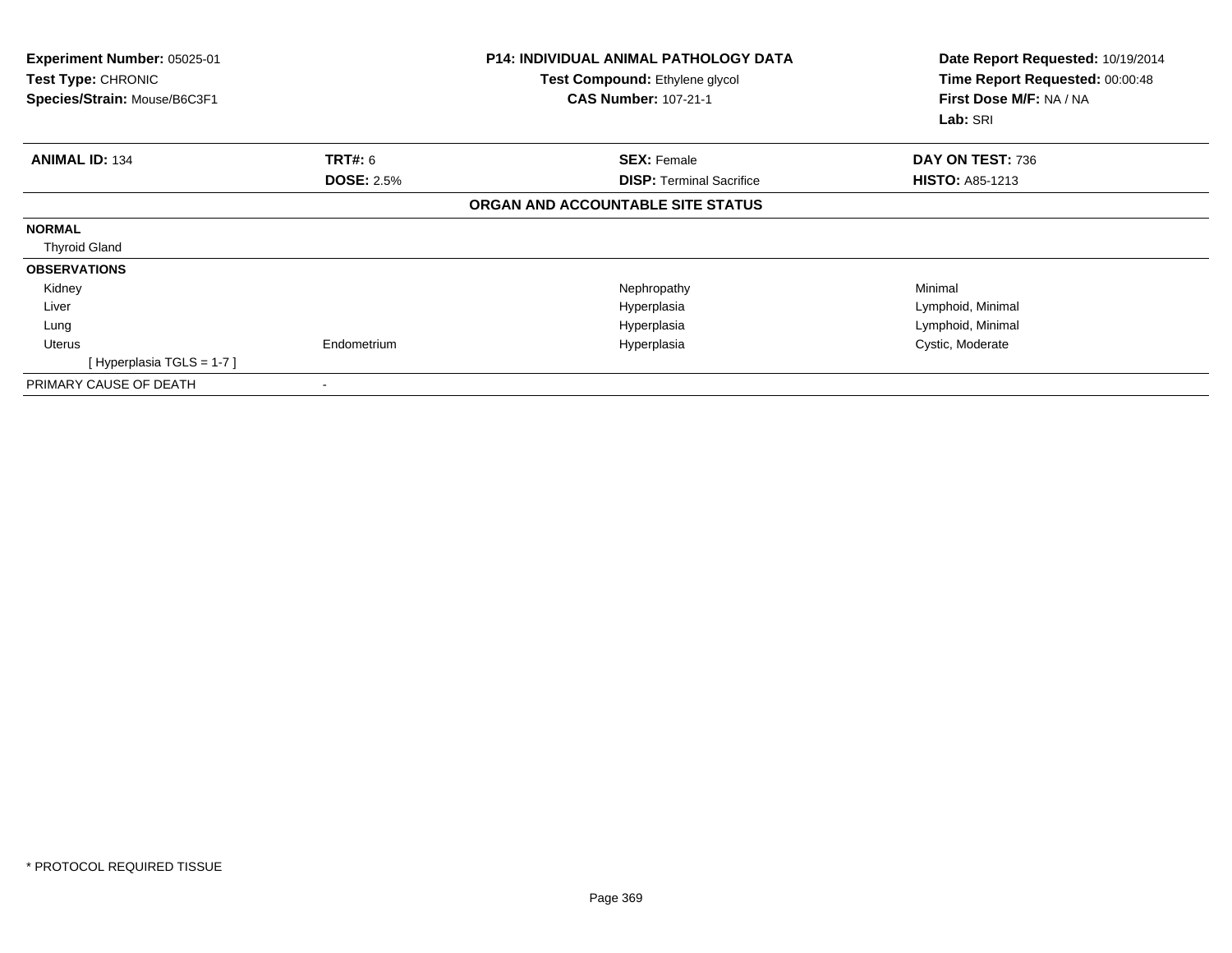| <b>Experiment Number: 05025-01</b><br><b>Test Type: CHRONIC</b><br>Species/Strain: Mouse/B6C3F1 |                   | <b>P14: INDIVIDUAL ANIMAL PATHOLOGY DATA</b><br>Test Compound: Ethylene glycol<br><b>CAS Number: 107-21-1</b> | Date Report Requested: 10/19/2014<br>Time Report Requested: 00:00:48<br>First Dose M/F: NA / NA<br>Lab: SRI |
|-------------------------------------------------------------------------------------------------|-------------------|---------------------------------------------------------------------------------------------------------------|-------------------------------------------------------------------------------------------------------------|
| <b>ANIMAL ID: 134</b>                                                                           | <b>TRT#: 6</b>    | <b>SEX: Female</b>                                                                                            | DAY ON TEST: 736                                                                                            |
|                                                                                                 | <b>DOSE: 2.5%</b> | <b>DISP:</b> Terminal Sacrifice                                                                               | <b>HISTO: A85-1213</b>                                                                                      |
|                                                                                                 |                   | ORGAN AND ACCOUNTABLE SITE STATUS                                                                             |                                                                                                             |
| <b>NORMAL</b>                                                                                   |                   |                                                                                                               |                                                                                                             |
| <b>Thyroid Gland</b>                                                                            |                   |                                                                                                               |                                                                                                             |
| <b>OBSERVATIONS</b>                                                                             |                   |                                                                                                               |                                                                                                             |
| Kidney                                                                                          |                   | Nephropathy                                                                                                   | Minimal                                                                                                     |
| Liver                                                                                           |                   | Hyperplasia                                                                                                   | Lymphoid, Minimal                                                                                           |
| Lung                                                                                            |                   | Hyperplasia                                                                                                   | Lymphoid, Minimal                                                                                           |
| Uterus                                                                                          | Endometrium       | Hyperplasia                                                                                                   | Cystic, Moderate                                                                                            |
| [Hyperplasia TGLS = $1-7$ ]                                                                     |                   |                                                                                                               |                                                                                                             |
| PRIMARY CAUSE OF DEATH                                                                          |                   |                                                                                                               |                                                                                                             |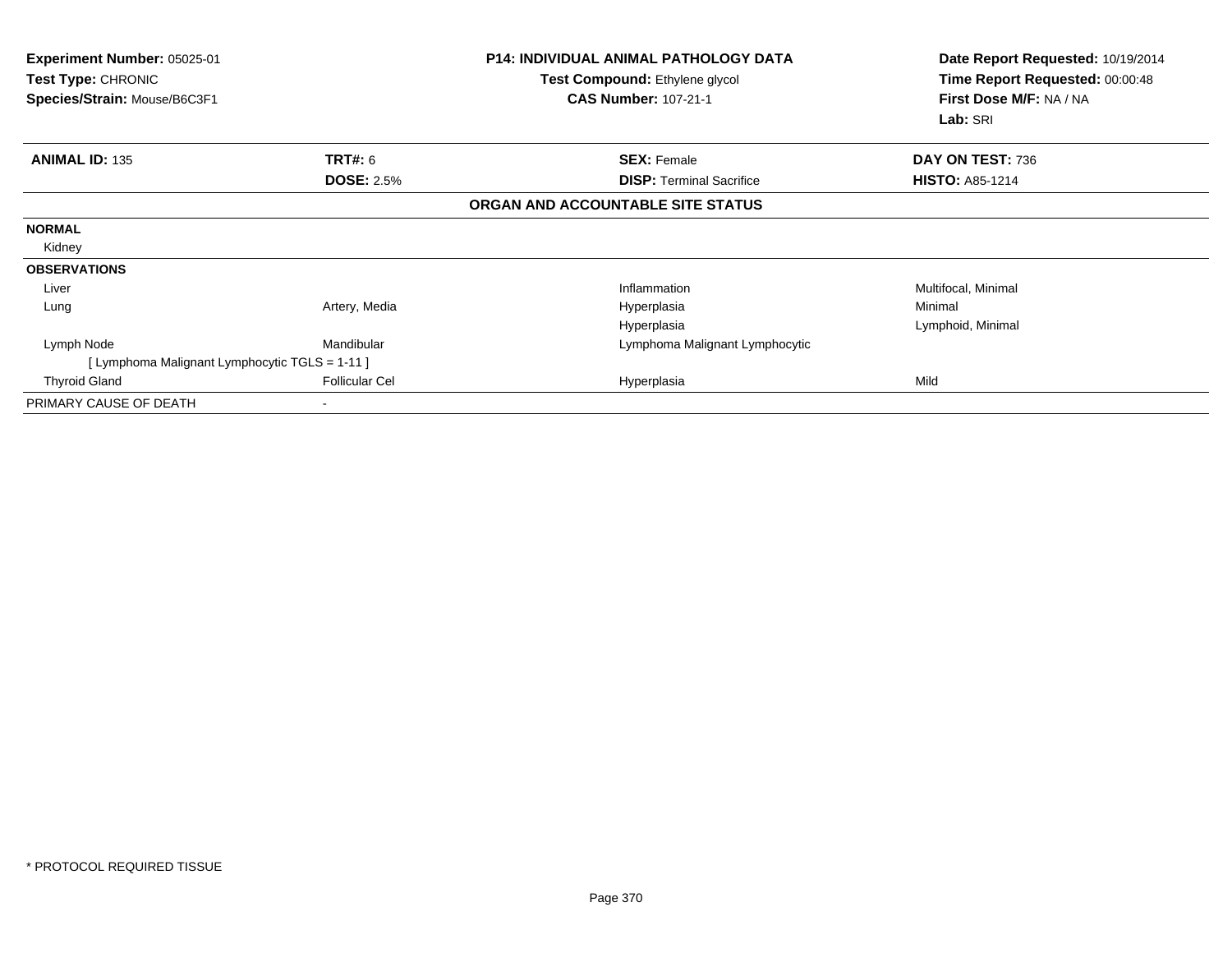| <b>Experiment Number: 05025-01</b><br>Test Type: CHRONIC<br>Species/Strain: Mouse/B6C3F1 |                       | <b>P14: INDIVIDUAL ANIMAL PATHOLOGY DATA</b><br>Test Compound: Ethylene glycol<br><b>CAS Number: 107-21-1</b> | Date Report Requested: 10/19/2014<br>Time Report Requested: 00:00:48<br>First Dose M/F: NA / NA<br>Lab: SRI |  |
|------------------------------------------------------------------------------------------|-----------------------|---------------------------------------------------------------------------------------------------------------|-------------------------------------------------------------------------------------------------------------|--|
| <b>ANIMAL ID: 135</b>                                                                    | <b>TRT#: 6</b>        | <b>SEX: Female</b>                                                                                            | DAY ON TEST: 736                                                                                            |  |
|                                                                                          | <b>DOSE: 2.5%</b>     | <b>DISP:</b> Terminal Sacrifice                                                                               | <b>HISTO: A85-1214</b>                                                                                      |  |
|                                                                                          |                       | ORGAN AND ACCOUNTABLE SITE STATUS                                                                             |                                                                                                             |  |
| <b>NORMAL</b>                                                                            |                       |                                                                                                               |                                                                                                             |  |
| Kidney                                                                                   |                       |                                                                                                               |                                                                                                             |  |
| <b>OBSERVATIONS</b>                                                                      |                       |                                                                                                               |                                                                                                             |  |
| Liver                                                                                    |                       | Inflammation                                                                                                  | Multifocal, Minimal                                                                                         |  |
| Lung                                                                                     | Artery, Media         | Hyperplasia                                                                                                   | Minimal                                                                                                     |  |
|                                                                                          |                       | Hyperplasia                                                                                                   | Lymphoid, Minimal                                                                                           |  |
| Lymph Node                                                                               | Mandibular            | Lymphoma Malignant Lymphocytic                                                                                |                                                                                                             |  |
| [ Lymphoma Malignant Lymphocytic TGLS = 1-11 ]                                           |                       |                                                                                                               |                                                                                                             |  |
| <b>Thyroid Gland</b>                                                                     | <b>Follicular Cel</b> | Hyperplasia                                                                                                   | Mild                                                                                                        |  |
| PRIMARY CAUSE OF DEATH                                                                   |                       |                                                                                                               |                                                                                                             |  |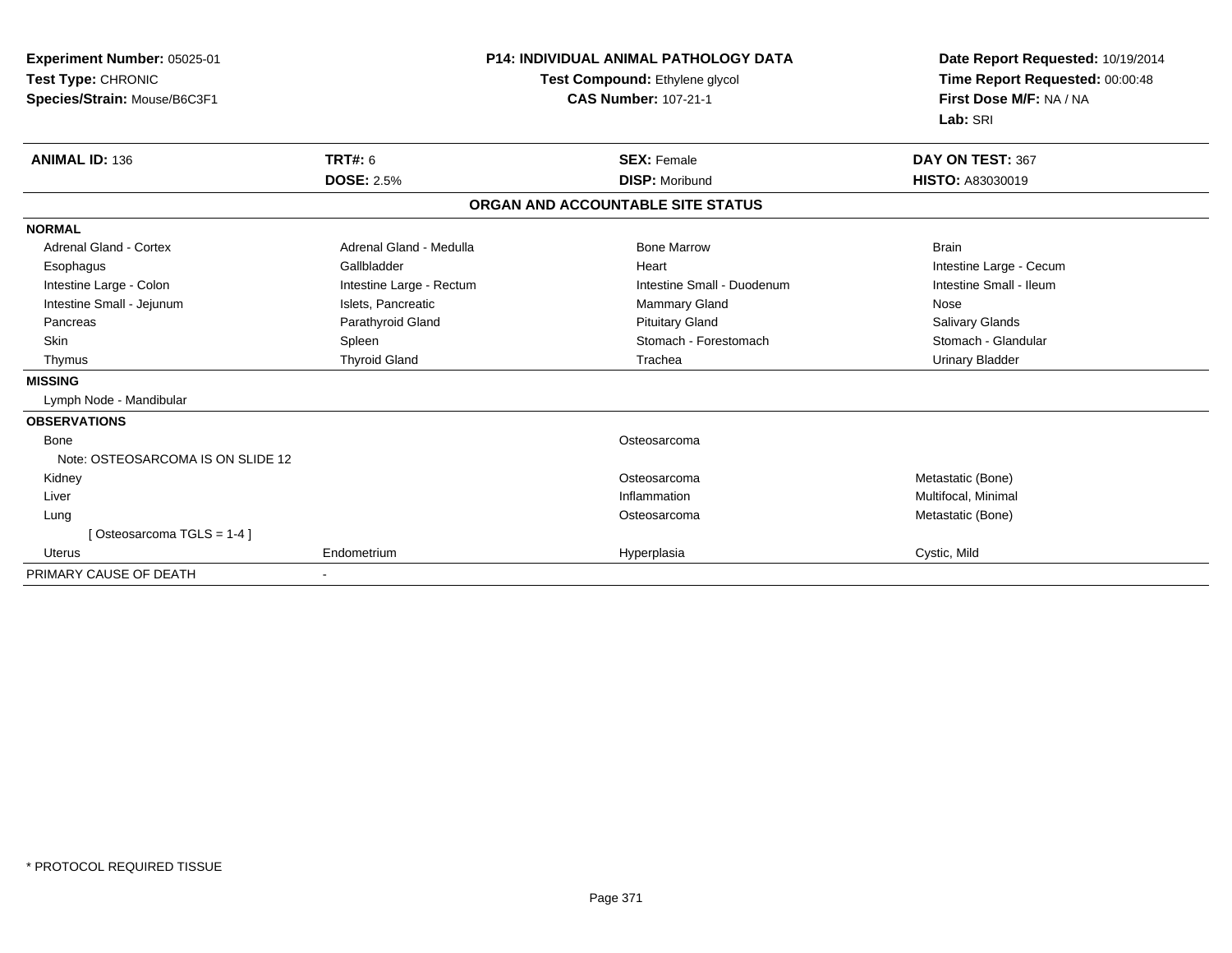| <b>Experiment Number: 05025-01</b><br>Test Type: CHRONIC<br>Species/Strain: Mouse/B6C3F1 | <b>P14: INDIVIDUAL ANIMAL PATHOLOGY DATA</b><br>Test Compound: Ethylene glycol<br><b>CAS Number: 107-21-1</b> |  | Date Report Requested: 10/19/2014<br>Time Report Requested: 00:00:48<br>First Dose M/F: NA / NA<br>Lab: SRI |                         |
|------------------------------------------------------------------------------------------|---------------------------------------------------------------------------------------------------------------|--|-------------------------------------------------------------------------------------------------------------|-------------------------|
| <b>ANIMAL ID: 136</b>                                                                    | <b>TRT#: 6</b>                                                                                                |  | <b>SEX: Female</b>                                                                                          | DAY ON TEST: 367        |
|                                                                                          | <b>DOSE: 2.5%</b>                                                                                             |  | <b>DISP: Moribund</b>                                                                                       | <b>HISTO: A83030019</b> |
|                                                                                          |                                                                                                               |  | ORGAN AND ACCOUNTABLE SITE STATUS                                                                           |                         |
| <b>NORMAL</b>                                                                            |                                                                                                               |  |                                                                                                             |                         |
| <b>Adrenal Gland - Cortex</b>                                                            | Adrenal Gland - Medulla                                                                                       |  | <b>Bone Marrow</b>                                                                                          | <b>Brain</b>            |
| Esophagus                                                                                | Gallbladder                                                                                                   |  | Heart                                                                                                       | Intestine Large - Cecum |
| Intestine Large - Colon                                                                  | Intestine Large - Rectum                                                                                      |  | Intestine Small - Duodenum                                                                                  | Intestine Small - Ileum |
| Intestine Small - Jejunum                                                                | Islets, Pancreatic                                                                                            |  | <b>Mammary Gland</b>                                                                                        | Nose                    |
| Pancreas                                                                                 | Parathyroid Gland                                                                                             |  | <b>Pituitary Gland</b>                                                                                      | Salivary Glands         |
| <b>Skin</b>                                                                              | Spleen                                                                                                        |  | Stomach - Forestomach                                                                                       | Stomach - Glandular     |
| Thymus                                                                                   | <b>Thyroid Gland</b>                                                                                          |  | Trachea                                                                                                     | <b>Urinary Bladder</b>  |
| <b>MISSING</b>                                                                           |                                                                                                               |  |                                                                                                             |                         |
| Lymph Node - Mandibular                                                                  |                                                                                                               |  |                                                                                                             |                         |
| <b>OBSERVATIONS</b>                                                                      |                                                                                                               |  |                                                                                                             |                         |
| <b>Bone</b>                                                                              |                                                                                                               |  | Osteosarcoma                                                                                                |                         |
| Note: OSTEOSARCOMA IS ON SLIDE 12                                                        |                                                                                                               |  |                                                                                                             |                         |
| Kidney                                                                                   |                                                                                                               |  | Osteosarcoma                                                                                                | Metastatic (Bone)       |
| Liver                                                                                    |                                                                                                               |  | Inflammation                                                                                                | Multifocal, Minimal     |
| Lung                                                                                     |                                                                                                               |  | Osteosarcoma                                                                                                | Metastatic (Bone)       |
| [Osteosarcoma TGLS = 1-4]                                                                |                                                                                                               |  |                                                                                                             |                         |
| <b>Uterus</b>                                                                            | Endometrium                                                                                                   |  | Hyperplasia                                                                                                 | Cystic, Mild            |
| PRIMARY CAUSE OF DEATH                                                                   |                                                                                                               |  |                                                                                                             |                         |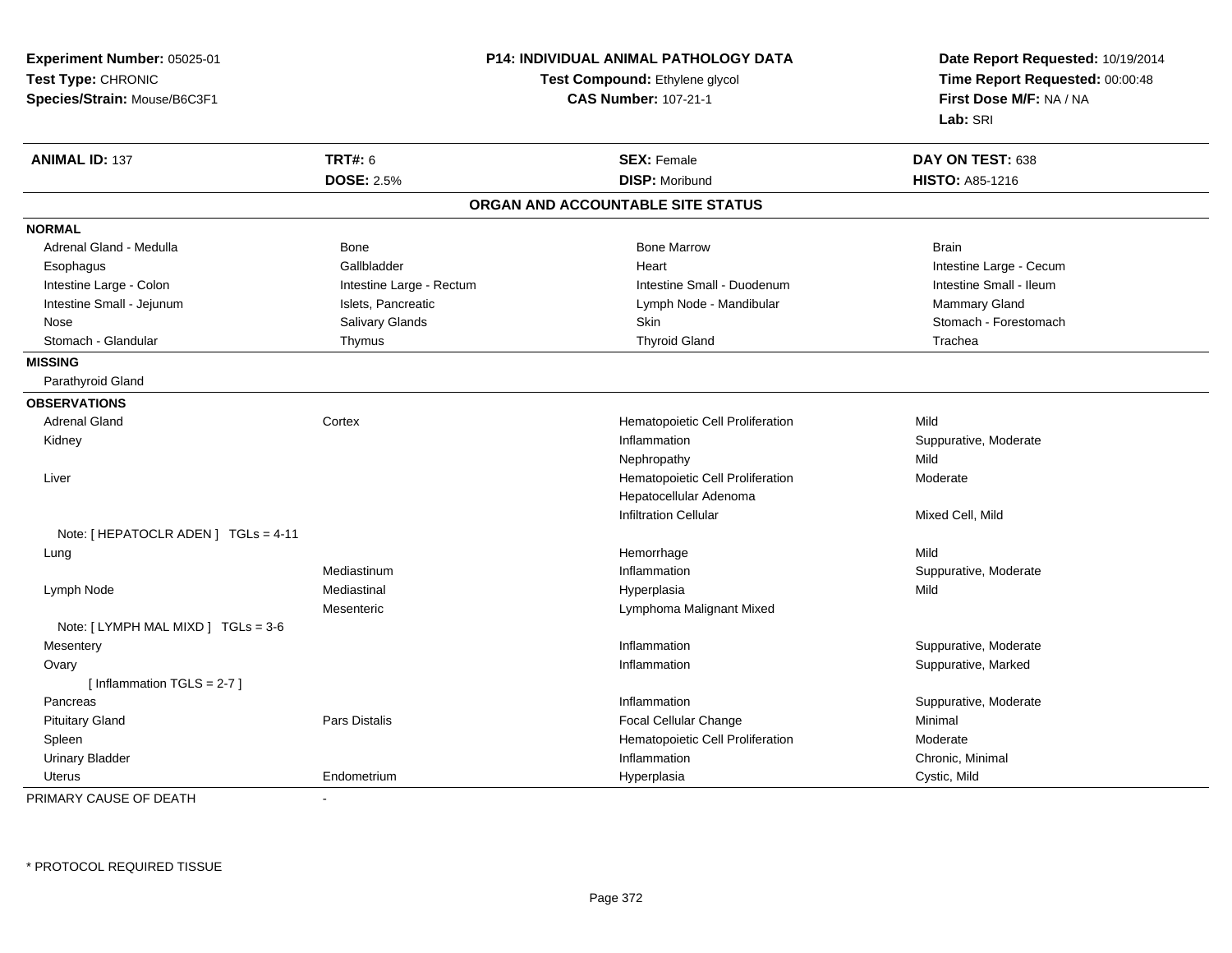| Time Report Requested: 00:00:48<br>Test Type: CHRONIC<br>Test Compound: Ethylene glycol<br>First Dose M/F: NA / NA<br>Species/Strain: Mouse/B6C3F1<br><b>CAS Number: 107-21-1</b><br>Lab: SRI<br><b>TRT#: 6</b><br><b>ANIMAL ID: 137</b><br><b>SEX: Female</b><br>DAY ON TEST: 638<br><b>DISP: Moribund</b><br><b>DOSE: 2.5%</b><br><b>HISTO: A85-1216</b><br>ORGAN AND ACCOUNTABLE SITE STATUS<br><b>NORMAL</b><br>Adrenal Gland - Medulla<br><b>Bone Marrow</b><br>Bone<br><b>Brain</b><br>Gallbladder<br>Intestine Large - Cecum<br>Esophagus<br>Heart<br>Intestine Small - Ileum<br>Intestine Small - Duodenum<br>Intestine Large - Colon<br>Intestine Large - Rectum<br>Intestine Small - Jejunum<br>Islets, Pancreatic<br>Mammary Gland<br>Lymph Node - Mandibular<br>Salivary Glands<br>Skin<br>Stomach - Forestomach<br>Nose<br>Stomach - Glandular<br><b>Thyroid Gland</b><br>Trachea<br>Thymus<br><b>MISSING</b><br>Parathyroid Gland<br><b>OBSERVATIONS</b><br><b>Adrenal Gland</b><br>Cortex<br>Hematopoietic Cell Proliferation<br>Mild | <b>Experiment Number: 05025-01</b> | P14: INDIVIDUAL ANIMAL PATHOLOGY DATA |  | Date Report Requested: 10/19/2014 |  |
|------------------------------------------------------------------------------------------------------------------------------------------------------------------------------------------------------------------------------------------------------------------------------------------------------------------------------------------------------------------------------------------------------------------------------------------------------------------------------------------------------------------------------------------------------------------------------------------------------------------------------------------------------------------------------------------------------------------------------------------------------------------------------------------------------------------------------------------------------------------------------------------------------------------------------------------------------------------------------------------------------------------------------------------------------|------------------------------------|---------------------------------------|--|-----------------------------------|--|
|                                                                                                                                                                                                                                                                                                                                                                                                                                                                                                                                                                                                                                                                                                                                                                                                                                                                                                                                                                                                                                                      |                                    |                                       |  |                                   |  |
|                                                                                                                                                                                                                                                                                                                                                                                                                                                                                                                                                                                                                                                                                                                                                                                                                                                                                                                                                                                                                                                      |                                    |                                       |  |                                   |  |
|                                                                                                                                                                                                                                                                                                                                                                                                                                                                                                                                                                                                                                                                                                                                                                                                                                                                                                                                                                                                                                                      |                                    |                                       |  |                                   |  |
|                                                                                                                                                                                                                                                                                                                                                                                                                                                                                                                                                                                                                                                                                                                                                                                                                                                                                                                                                                                                                                                      |                                    |                                       |  |                                   |  |
|                                                                                                                                                                                                                                                                                                                                                                                                                                                                                                                                                                                                                                                                                                                                                                                                                                                                                                                                                                                                                                                      |                                    |                                       |  |                                   |  |
|                                                                                                                                                                                                                                                                                                                                                                                                                                                                                                                                                                                                                                                                                                                                                                                                                                                                                                                                                                                                                                                      |                                    |                                       |  |                                   |  |
|                                                                                                                                                                                                                                                                                                                                                                                                                                                                                                                                                                                                                                                                                                                                                                                                                                                                                                                                                                                                                                                      |                                    |                                       |  |                                   |  |
|                                                                                                                                                                                                                                                                                                                                                                                                                                                                                                                                                                                                                                                                                                                                                                                                                                                                                                                                                                                                                                                      |                                    |                                       |  |                                   |  |
|                                                                                                                                                                                                                                                                                                                                                                                                                                                                                                                                                                                                                                                                                                                                                                                                                                                                                                                                                                                                                                                      |                                    |                                       |  |                                   |  |
|                                                                                                                                                                                                                                                                                                                                                                                                                                                                                                                                                                                                                                                                                                                                                                                                                                                                                                                                                                                                                                                      |                                    |                                       |  |                                   |  |
|                                                                                                                                                                                                                                                                                                                                                                                                                                                                                                                                                                                                                                                                                                                                                                                                                                                                                                                                                                                                                                                      |                                    |                                       |  |                                   |  |
|                                                                                                                                                                                                                                                                                                                                                                                                                                                                                                                                                                                                                                                                                                                                                                                                                                                                                                                                                                                                                                                      |                                    |                                       |  |                                   |  |
|                                                                                                                                                                                                                                                                                                                                                                                                                                                                                                                                                                                                                                                                                                                                                                                                                                                                                                                                                                                                                                                      |                                    |                                       |  |                                   |  |
|                                                                                                                                                                                                                                                                                                                                                                                                                                                                                                                                                                                                                                                                                                                                                                                                                                                                                                                                                                                                                                                      |                                    |                                       |  |                                   |  |
|                                                                                                                                                                                                                                                                                                                                                                                                                                                                                                                                                                                                                                                                                                                                                                                                                                                                                                                                                                                                                                                      |                                    |                                       |  |                                   |  |
|                                                                                                                                                                                                                                                                                                                                                                                                                                                                                                                                                                                                                                                                                                                                                                                                                                                                                                                                                                                                                                                      |                                    |                                       |  |                                   |  |
|                                                                                                                                                                                                                                                                                                                                                                                                                                                                                                                                                                                                                                                                                                                                                                                                                                                                                                                                                                                                                                                      |                                    |                                       |  |                                   |  |
| Kidney<br>Inflammation<br>Suppurative, Moderate                                                                                                                                                                                                                                                                                                                                                                                                                                                                                                                                                                                                                                                                                                                                                                                                                                                                                                                                                                                                      |                                    |                                       |  |                                   |  |
| Mild<br>Nephropathy                                                                                                                                                                                                                                                                                                                                                                                                                                                                                                                                                                                                                                                                                                                                                                                                                                                                                                                                                                                                                                  |                                    |                                       |  |                                   |  |
| Liver<br>Hematopoietic Cell Proliferation<br>Moderate                                                                                                                                                                                                                                                                                                                                                                                                                                                                                                                                                                                                                                                                                                                                                                                                                                                                                                                                                                                                |                                    |                                       |  |                                   |  |
| Hepatocellular Adenoma                                                                                                                                                                                                                                                                                                                                                                                                                                                                                                                                                                                                                                                                                                                                                                                                                                                                                                                                                                                                                               |                                    |                                       |  |                                   |  |
| <b>Infiltration Cellular</b><br>Mixed Cell, Mild                                                                                                                                                                                                                                                                                                                                                                                                                                                                                                                                                                                                                                                                                                                                                                                                                                                                                                                                                                                                     |                                    |                                       |  |                                   |  |
| Note: [ HEPATOCLR ADEN ] TGLs = 4-11                                                                                                                                                                                                                                                                                                                                                                                                                                                                                                                                                                                                                                                                                                                                                                                                                                                                                                                                                                                                                 |                                    |                                       |  |                                   |  |
| Hemorrhage<br>Mild<br>Lung                                                                                                                                                                                                                                                                                                                                                                                                                                                                                                                                                                                                                                                                                                                                                                                                                                                                                                                                                                                                                           |                                    |                                       |  |                                   |  |
| Inflammation<br>Mediastinum<br>Suppurative, Moderate                                                                                                                                                                                                                                                                                                                                                                                                                                                                                                                                                                                                                                                                                                                                                                                                                                                                                                                                                                                                 |                                    |                                       |  |                                   |  |
| Mediastinal<br>Lymph Node<br>Hyperplasia<br>Mild                                                                                                                                                                                                                                                                                                                                                                                                                                                                                                                                                                                                                                                                                                                                                                                                                                                                                                                                                                                                     |                                    |                                       |  |                                   |  |
| Mesenteric<br>Lymphoma Malignant Mixed                                                                                                                                                                                                                                                                                                                                                                                                                                                                                                                                                                                                                                                                                                                                                                                                                                                                                                                                                                                                               |                                    |                                       |  |                                   |  |
| Note: [LYMPH MAL MIXD ] TGLs = 3-6                                                                                                                                                                                                                                                                                                                                                                                                                                                                                                                                                                                                                                                                                                                                                                                                                                                                                                                                                                                                                   |                                    |                                       |  |                                   |  |
| Suppurative, Moderate<br>Inflammation<br>Mesentery                                                                                                                                                                                                                                                                                                                                                                                                                                                                                                                                                                                                                                                                                                                                                                                                                                                                                                                                                                                                   |                                    |                                       |  |                                   |  |
| Inflammation<br>Suppurative, Marked<br>Ovary                                                                                                                                                                                                                                                                                                                                                                                                                                                                                                                                                                                                                                                                                                                                                                                                                                                                                                                                                                                                         |                                    |                                       |  |                                   |  |
| [Inflammation TGLS = $2-7$ ]                                                                                                                                                                                                                                                                                                                                                                                                                                                                                                                                                                                                                                                                                                                                                                                                                                                                                                                                                                                                                         |                                    |                                       |  |                                   |  |
| Inflammation<br>Suppurative, Moderate<br>Pancreas                                                                                                                                                                                                                                                                                                                                                                                                                                                                                                                                                                                                                                                                                                                                                                                                                                                                                                                                                                                                    |                                    |                                       |  |                                   |  |
| <b>Pituitary Gland</b><br>Pars Distalis<br>Focal Cellular Change<br>Minimal                                                                                                                                                                                                                                                                                                                                                                                                                                                                                                                                                                                                                                                                                                                                                                                                                                                                                                                                                                          |                                    |                                       |  |                                   |  |
| Hematopoietic Cell Proliferation<br>Spleen<br>Moderate                                                                                                                                                                                                                                                                                                                                                                                                                                                                                                                                                                                                                                                                                                                                                                                                                                                                                                                                                                                               |                                    |                                       |  |                                   |  |
| <b>Urinary Bladder</b><br>Inflammation<br>Chronic, Minimal                                                                                                                                                                                                                                                                                                                                                                                                                                                                                                                                                                                                                                                                                                                                                                                                                                                                                                                                                                                           |                                    |                                       |  |                                   |  |
| <b>Uterus</b><br>Endometrium<br>Hyperplasia<br>Cystic, Mild                                                                                                                                                                                                                                                                                                                                                                                                                                                                                                                                                                                                                                                                                                                                                                                                                                                                                                                                                                                          |                                    |                                       |  |                                   |  |

PRIMARY CAUSE OF DEATH-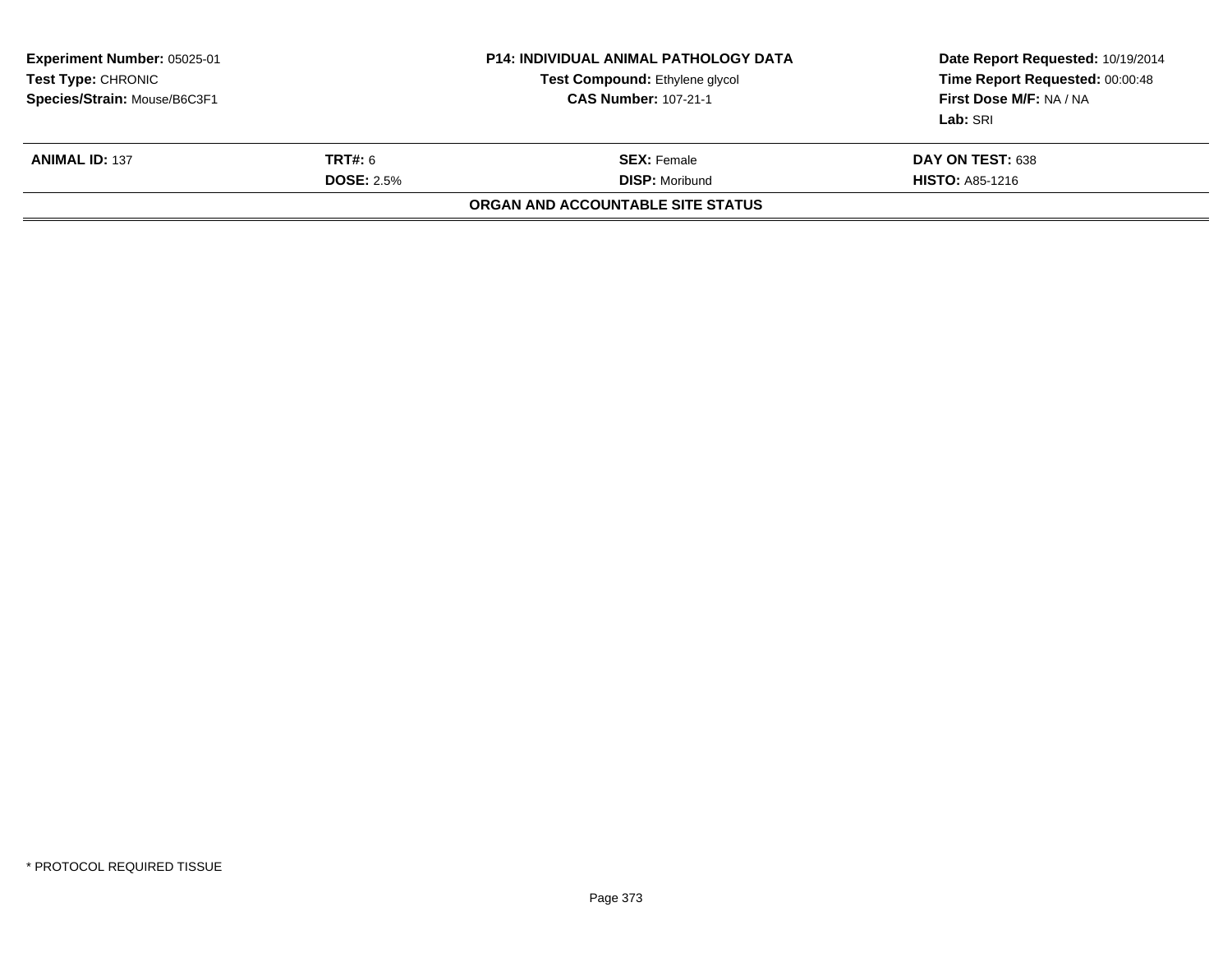| <b>Experiment Number: 05025-01</b><br><b>Test Type: CHRONIC</b><br>Species/Strain: Mouse/B6C3F1 |                              | <b>P14: INDIVIDUAL ANIMAL PATHOLOGY DATA</b><br><b>Test Compound: Ethylene glycol</b><br><b>CAS Number: 107-21-1</b> | Date Report Requested: 10/19/2014<br>Time Report Requested: 00:00:48<br>First Dose M/F: NA / NA<br>Lab: SRI |
|-------------------------------------------------------------------------------------------------|------------------------------|----------------------------------------------------------------------------------------------------------------------|-------------------------------------------------------------------------------------------------------------|
| <b>ANIMAL ID: 137</b>                                                                           | TRT#: 6<br><b>DOSE: 2.5%</b> | <b>SEX:</b> Female<br><b>DISP: Moribund</b>                                                                          | DAY ON TEST: 638<br><b>HISTO: A85-1216</b>                                                                  |
|                                                                                                 |                              | ORGAN AND ACCOUNTABLE SITE STATUS                                                                                    |                                                                                                             |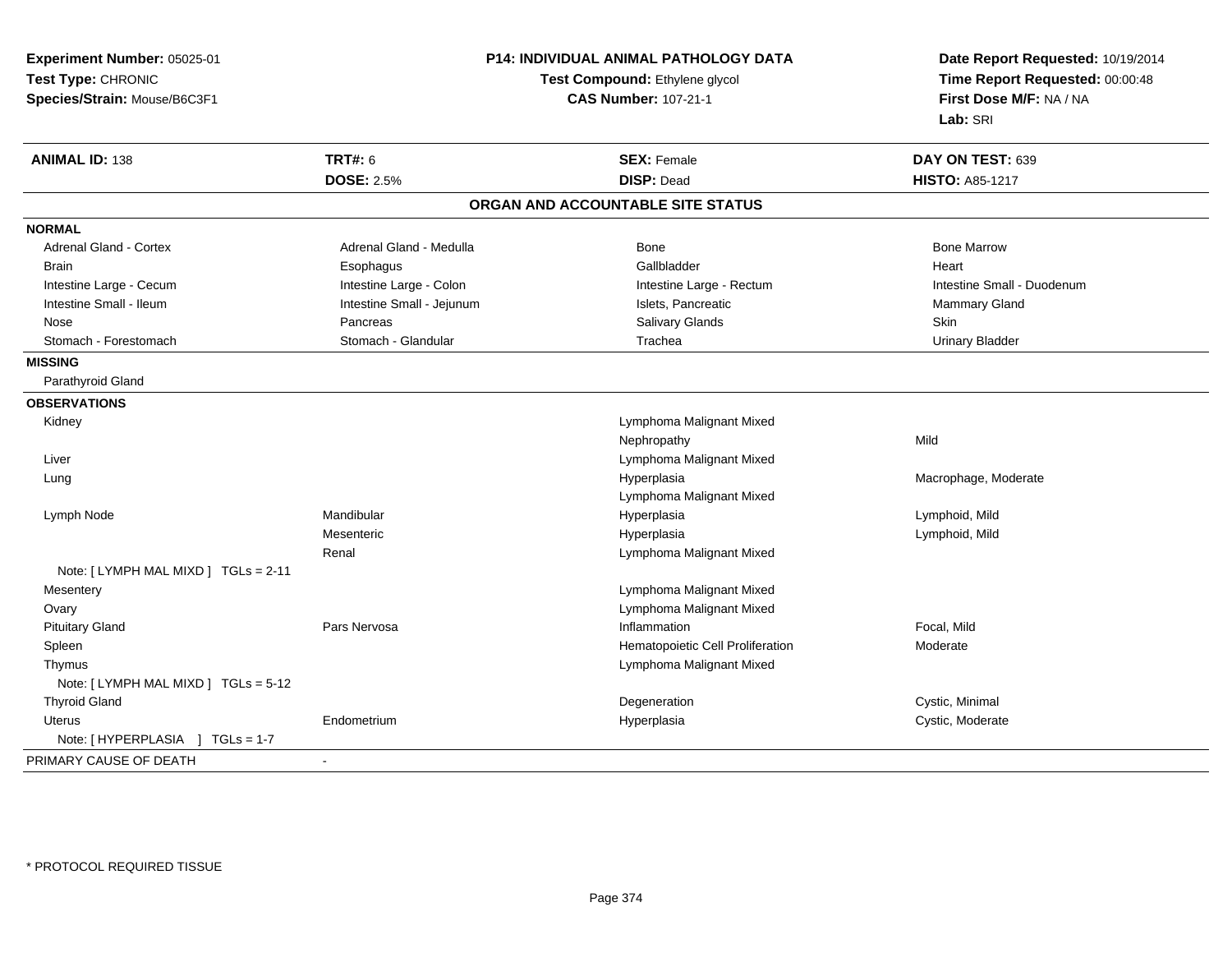| Experiment Number: 05025-01          |                                                               | P14: INDIVIDUAL ANIMAL PATHOLOGY DATA | Date Report Requested: 10/19/2014 |
|--------------------------------------|---------------------------------------------------------------|---------------------------------------|-----------------------------------|
| Test Type: CHRONIC                   | Test Compound: Ethylene glycol<br><b>CAS Number: 107-21-1</b> |                                       | Time Report Requested: 00:00:48   |
| Species/Strain: Mouse/B6C3F1         |                                                               |                                       | First Dose M/F: NA / NA           |
|                                      |                                                               |                                       | Lab: SRI                          |
| <b>ANIMAL ID: 138</b>                | <b>TRT#: 6</b>                                                | <b>SEX: Female</b>                    | DAY ON TEST: 639                  |
|                                      | <b>DOSE: 2.5%</b>                                             | <b>DISP: Dead</b>                     | <b>HISTO: A85-1217</b>            |
|                                      |                                                               | ORGAN AND ACCOUNTABLE SITE STATUS     |                                   |
| <b>NORMAL</b>                        |                                                               |                                       |                                   |
| <b>Adrenal Gland - Cortex</b>        | Adrenal Gland - Medulla                                       | Bone                                  | <b>Bone Marrow</b>                |
| <b>Brain</b>                         | Esophagus                                                     | Gallbladder                           | Heart                             |
| Intestine Large - Cecum              | Intestine Large - Colon                                       | Intestine Large - Rectum              | Intestine Small - Duodenum        |
| Intestine Small - Ileum              | Intestine Small - Jejunum                                     | Islets, Pancreatic                    | Mammary Gland                     |
| Nose                                 | Pancreas                                                      | Salivary Glands                       | Skin                              |
| Stomach - Forestomach                | Stomach - Glandular                                           | Trachea                               | <b>Urinary Bladder</b>            |
| <b>MISSING</b>                       |                                                               |                                       |                                   |
| Parathyroid Gland                    |                                                               |                                       |                                   |
| <b>OBSERVATIONS</b>                  |                                                               |                                       |                                   |
| Kidney                               |                                                               | Lymphoma Malignant Mixed              |                                   |
|                                      |                                                               | Nephropathy                           | Mild                              |
| Liver                                |                                                               | Lymphoma Malignant Mixed              |                                   |
| Lung                                 |                                                               | Hyperplasia                           | Macrophage, Moderate              |
|                                      |                                                               | Lymphoma Malignant Mixed              |                                   |
| Lymph Node                           | Mandibular                                                    | Hyperplasia                           | Lymphoid, Mild                    |
|                                      | Mesenteric                                                    | Hyperplasia                           | Lymphoid, Mild                    |
|                                      | Renal                                                         | Lymphoma Malignant Mixed              |                                   |
| Note: [ LYMPH MAL MIXD ] TGLs = 2-11 |                                                               |                                       |                                   |
| Mesentery                            |                                                               | Lymphoma Malignant Mixed              |                                   |
| Ovary                                |                                                               | Lymphoma Malignant Mixed              |                                   |
| <b>Pituitary Gland</b>               | Pars Nervosa                                                  | Inflammation                          | Focal, Mild                       |
| Spleen                               |                                                               | Hematopoietic Cell Proliferation      | Moderate                          |
| Thymus                               |                                                               | Lymphoma Malignant Mixed              |                                   |
| Note: [LYMPH MAL MIXD ] TGLs = 5-12  |                                                               |                                       |                                   |
| <b>Thyroid Gland</b>                 |                                                               | Degeneration                          | Cystic, Minimal                   |
| Uterus                               | Endometrium                                                   | Hyperplasia                           | Cystic, Moderate                  |
| Note: [HYPERPLASIA ]<br>$TGLs = 1-7$ |                                                               |                                       |                                   |
| PRIMARY CAUSE OF DEATH               |                                                               |                                       |                                   |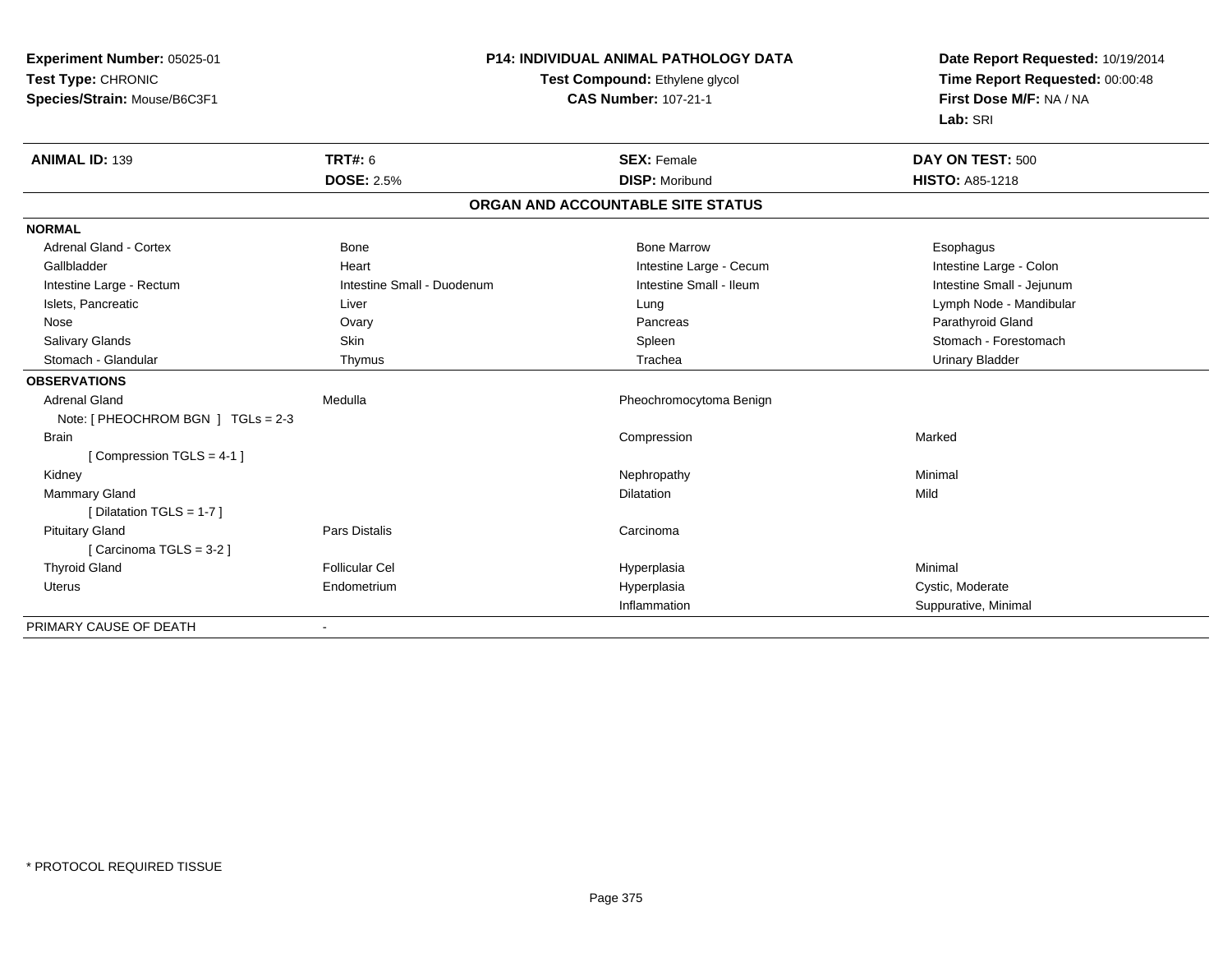| Experiment Number: 05025-01            |                                | <b>P14: INDIVIDUAL ANIMAL PATHOLOGY DATA</b> | Date Report Requested: 10/19/2014 |
|----------------------------------------|--------------------------------|----------------------------------------------|-----------------------------------|
| Test Type: CHRONIC                     | Test Compound: Ethylene glycol |                                              | Time Report Requested: 00:00:48   |
| Species/Strain: Mouse/B6C3F1           |                                | <b>CAS Number: 107-21-1</b>                  | First Dose M/F: NA / NA           |
|                                        |                                |                                              | Lab: SRI                          |
| <b>ANIMAL ID: 139</b>                  | <b>TRT#: 6</b>                 | <b>SEX: Female</b>                           | DAY ON TEST: 500                  |
|                                        | <b>DOSE: 2.5%</b>              | <b>DISP: Moribund</b>                        | HISTO: A85-1218                   |
|                                        |                                | ORGAN AND ACCOUNTABLE SITE STATUS            |                                   |
| <b>NORMAL</b>                          |                                |                                              |                                   |
| Adrenal Gland - Cortex                 | Bone                           | <b>Bone Marrow</b>                           | Esophagus                         |
| Gallbladder                            | Heart                          | Intestine Large - Cecum                      | Intestine Large - Colon           |
| Intestine Large - Rectum               | Intestine Small - Duodenum     | Intestine Small - Ileum                      | Intestine Small - Jejunum         |
| Islets, Pancreatic                     | Liver                          | Lung                                         | Lymph Node - Mandibular           |
| Nose                                   | Ovary                          | Pancreas                                     | Parathyroid Gland                 |
| Salivary Glands                        | <b>Skin</b>                    | Spleen                                       | Stomach - Forestomach             |
| Stomach - Glandular                    | Thymus                         | Trachea                                      | <b>Urinary Bladder</b>            |
| <b>OBSERVATIONS</b>                    |                                |                                              |                                   |
| <b>Adrenal Gland</b>                   | Medulla                        | Pheochromocytoma Benign                      |                                   |
| Note: $[$ PHEOCHROM BGN $]$ TGLs = 2-3 |                                |                                              |                                   |
| <b>Brain</b>                           |                                | Compression                                  | Marked                            |
| [Compression TGLS = 4-1]               |                                |                                              |                                   |
| Kidney                                 |                                | Nephropathy                                  | Minimal                           |
| <b>Mammary Gland</b>                   |                                | Dilatation                                   | Mild                              |
| [ Dilatation TGLS = $1-7$ ]            |                                |                                              |                                   |
| <b>Pituitary Gland</b>                 | <b>Pars Distalis</b>           | Carcinoma                                    |                                   |
| [Carcinoma TGLS = 3-2]                 |                                |                                              |                                   |
| <b>Thyroid Gland</b>                   | <b>Follicular Cel</b>          | Hyperplasia                                  | Minimal                           |
| <b>Uterus</b>                          | Endometrium                    | Hyperplasia                                  | Cystic, Moderate                  |
|                                        |                                | Inflammation                                 | Suppurative, Minimal              |
| PRIMARY CAUSE OF DEATH                 |                                |                                              |                                   |

-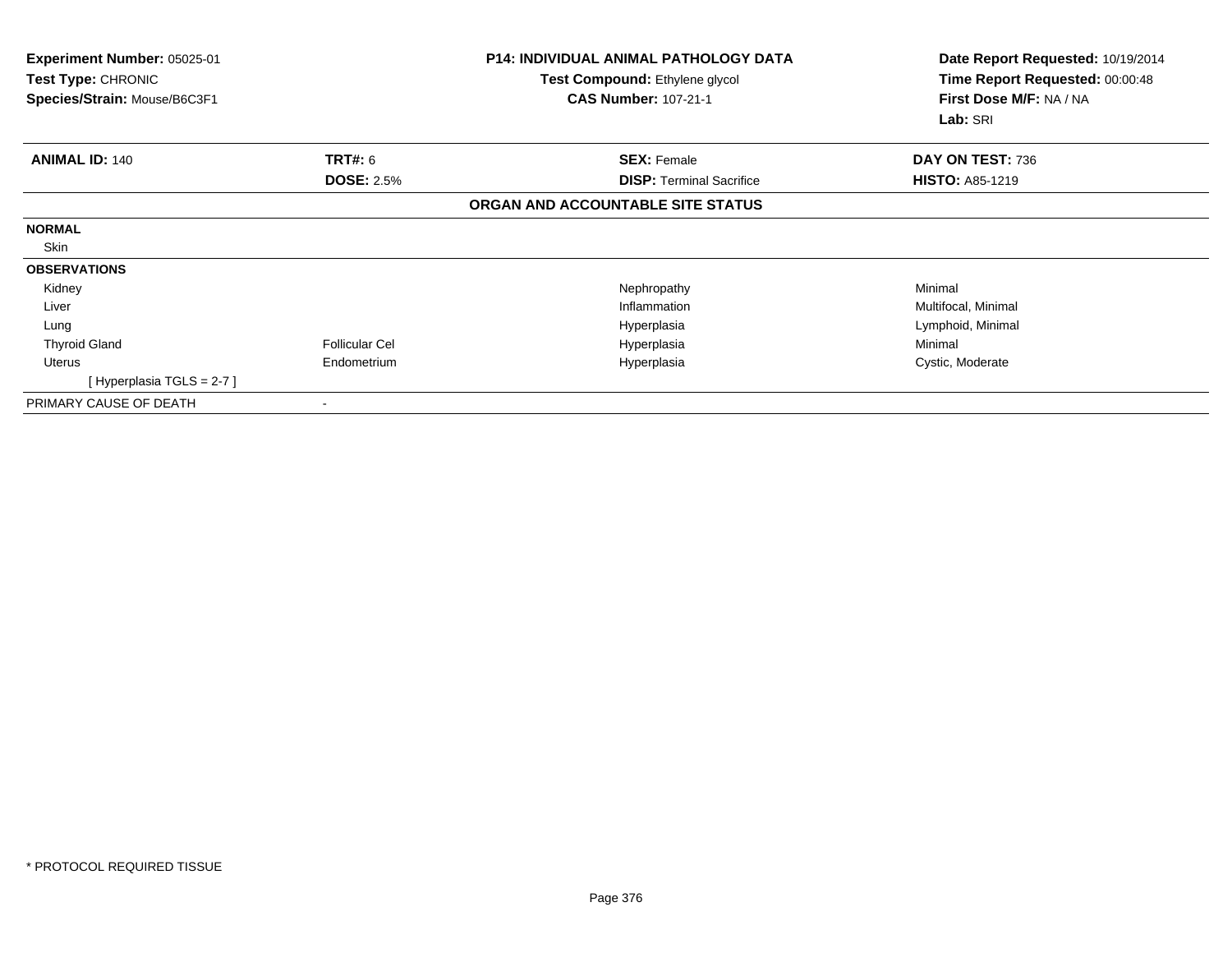| Experiment Number: 05025-01<br>Test Type: CHRONIC<br>Species/Strain: Mouse/B6C3F1 |                       | <b>P14: INDIVIDUAL ANIMAL PATHOLOGY DATA</b><br>Test Compound: Ethylene glycol<br><b>CAS Number: 107-21-1</b> | Date Report Requested: 10/19/2014<br>Time Report Requested: 00:00:48<br>First Dose M/F: NA / NA<br>Lab: SRI |
|-----------------------------------------------------------------------------------|-----------------------|---------------------------------------------------------------------------------------------------------------|-------------------------------------------------------------------------------------------------------------|
| <b>ANIMAL ID: 140</b>                                                             | <b>TRT#: 6</b>        | <b>SEX: Female</b>                                                                                            | DAY ON TEST: 736                                                                                            |
|                                                                                   | <b>DOSE: 2.5%</b>     | <b>DISP:</b> Terminal Sacrifice                                                                               | <b>HISTO: A85-1219</b>                                                                                      |
|                                                                                   |                       | ORGAN AND ACCOUNTABLE SITE STATUS                                                                             |                                                                                                             |
| <b>NORMAL</b>                                                                     |                       |                                                                                                               |                                                                                                             |
| Skin                                                                              |                       |                                                                                                               |                                                                                                             |
| <b>OBSERVATIONS</b>                                                               |                       |                                                                                                               |                                                                                                             |
| Kidney                                                                            |                       | Nephropathy                                                                                                   | Minimal                                                                                                     |
| Liver                                                                             |                       | Inflammation                                                                                                  | Multifocal, Minimal                                                                                         |
| Lung                                                                              |                       | Hyperplasia                                                                                                   | Lymphoid, Minimal                                                                                           |
| <b>Thyroid Gland</b>                                                              | <b>Follicular Cel</b> | Hyperplasia                                                                                                   | Minimal                                                                                                     |
| Uterus                                                                            | Endometrium           | Hyperplasia                                                                                                   | Cystic, Moderate                                                                                            |
| [Hyperplasia TGLS = $2-7$ ]                                                       |                       |                                                                                                               |                                                                                                             |
| PRIMARY CAUSE OF DEATH                                                            |                       |                                                                                                               |                                                                                                             |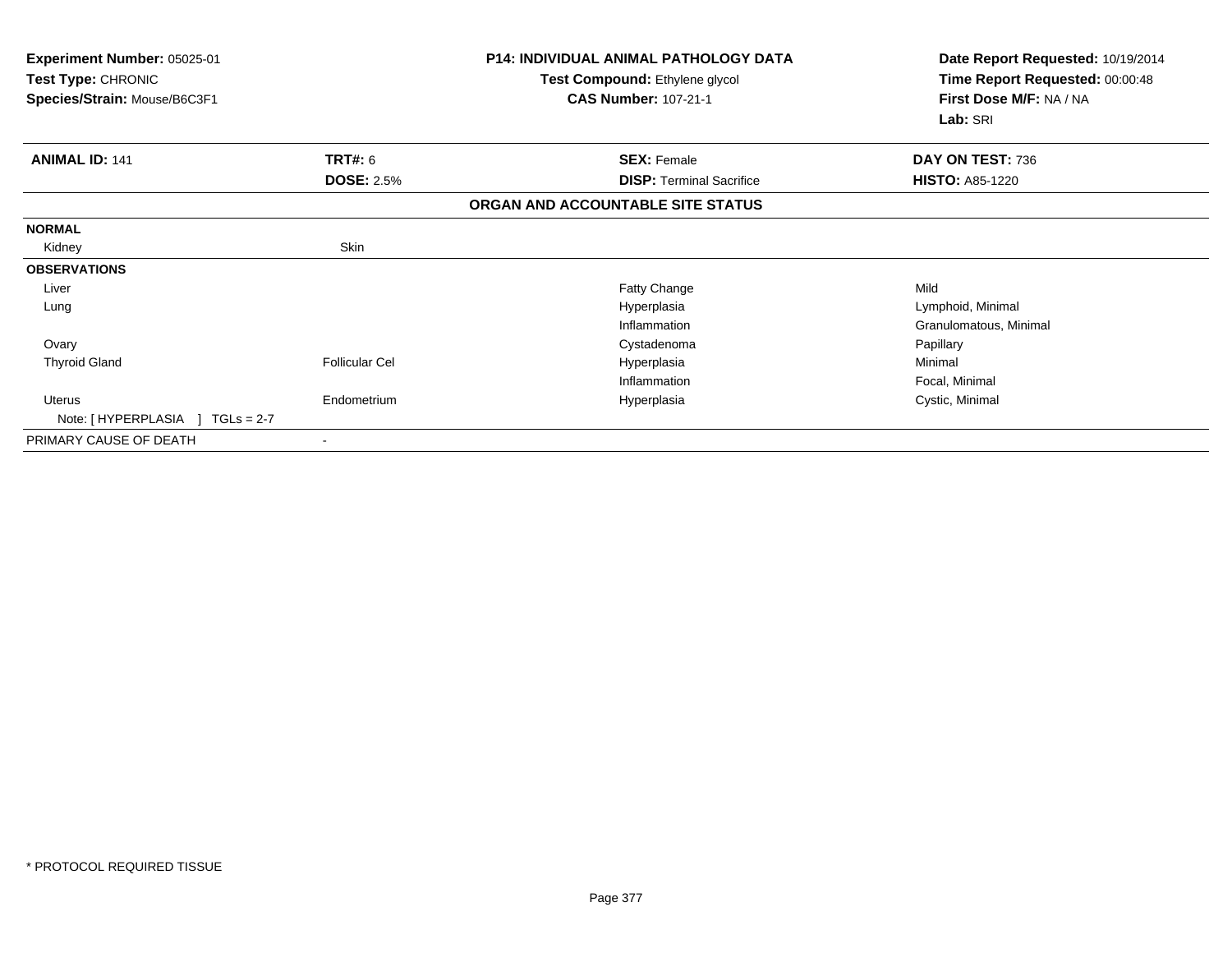| Experiment Number: 05025-01<br>Test Type: CHRONIC<br>Species/Strain: Mouse/B6C3F1 |                       | <b>P14: INDIVIDUAL ANIMAL PATHOLOGY DATA</b><br>Test Compound: Ethylene glycol<br><b>CAS Number: 107-21-1</b> | Date Report Requested: 10/19/2014<br>Time Report Requested: 00:00:48<br>First Dose M/F: NA / NA |
|-----------------------------------------------------------------------------------|-----------------------|---------------------------------------------------------------------------------------------------------------|-------------------------------------------------------------------------------------------------|
|                                                                                   |                       |                                                                                                               | Lab: SRI                                                                                        |
| <b>ANIMAL ID: 141</b>                                                             | <b>TRT#: 6</b>        | <b>SEX: Female</b>                                                                                            | DAY ON TEST: 736                                                                                |
|                                                                                   | <b>DOSE: 2.5%</b>     | <b>DISP:</b> Terminal Sacrifice                                                                               | <b>HISTO: A85-1220</b>                                                                          |
|                                                                                   |                       | ORGAN AND ACCOUNTABLE SITE STATUS                                                                             |                                                                                                 |
| <b>NORMAL</b>                                                                     |                       |                                                                                                               |                                                                                                 |
| Kidney                                                                            | Skin                  |                                                                                                               |                                                                                                 |
| <b>OBSERVATIONS</b>                                                               |                       |                                                                                                               |                                                                                                 |
| Liver                                                                             |                       | Fatty Change                                                                                                  | Mild                                                                                            |
| Lung                                                                              |                       | Hyperplasia                                                                                                   | Lymphoid, Minimal                                                                               |
|                                                                                   |                       | Inflammation                                                                                                  | Granulomatous, Minimal                                                                          |
| Ovary                                                                             |                       | Cystadenoma                                                                                                   | Papillary                                                                                       |
| <b>Thyroid Gland</b>                                                              | <b>Follicular Cel</b> | Hyperplasia                                                                                                   | Minimal                                                                                         |
|                                                                                   |                       | Inflammation                                                                                                  | Focal, Minimal                                                                                  |
| Uterus<br>Note: $[HYPERPLASIA] TGLs = 2-7$                                        | Endometrium           | Hyperplasia                                                                                                   | Cystic, Minimal                                                                                 |
| PRIMARY CAUSE OF DEATH                                                            |                       |                                                                                                               |                                                                                                 |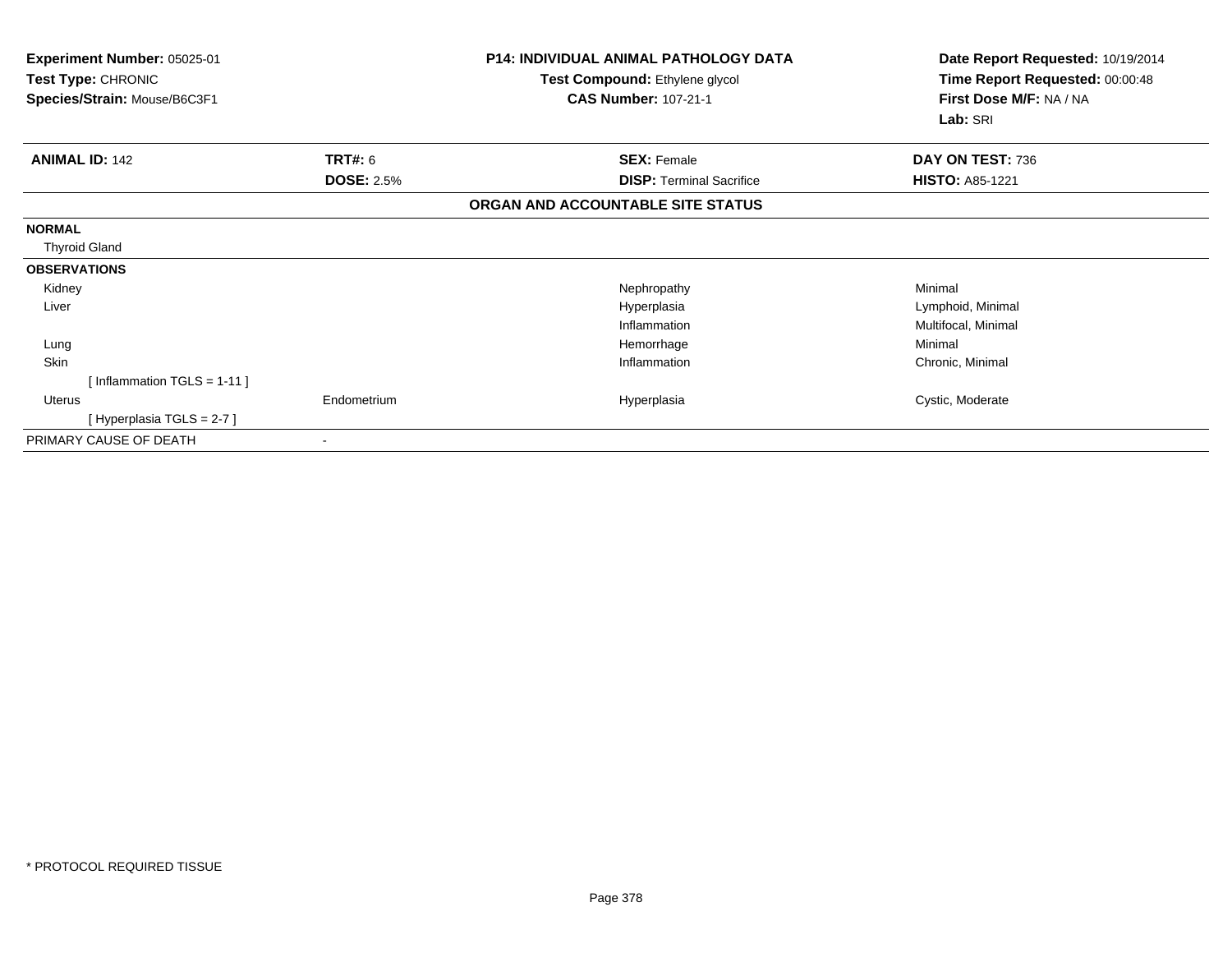| Experiment Number: 05025-01<br>Test Type: CHRONIC<br>Species/Strain: Mouse/B6C3F1 |                   | <b>P14: INDIVIDUAL ANIMAL PATHOLOGY DATA</b><br>Test Compound: Ethylene glycol<br><b>CAS Number: 107-21-1</b> | Date Report Requested: 10/19/2014<br>Time Report Requested: 00:00:48<br>First Dose M/F: NA / NA<br>Lab: SRI |
|-----------------------------------------------------------------------------------|-------------------|---------------------------------------------------------------------------------------------------------------|-------------------------------------------------------------------------------------------------------------|
| <b>ANIMAL ID: 142</b>                                                             | TRT#: 6           | <b>SEX: Female</b>                                                                                            | DAY ON TEST: 736                                                                                            |
|                                                                                   | <b>DOSE: 2.5%</b> | <b>DISP: Terminal Sacrifice</b>                                                                               | <b>HISTO: A85-1221</b>                                                                                      |
|                                                                                   |                   | ORGAN AND ACCOUNTABLE SITE STATUS                                                                             |                                                                                                             |
| <b>NORMAL</b>                                                                     |                   |                                                                                                               |                                                                                                             |
| <b>Thyroid Gland</b>                                                              |                   |                                                                                                               |                                                                                                             |
| <b>OBSERVATIONS</b>                                                               |                   |                                                                                                               |                                                                                                             |
| Kidney                                                                            |                   | Nephropathy                                                                                                   | Minimal                                                                                                     |
| Liver                                                                             |                   | Hyperplasia                                                                                                   | Lymphoid, Minimal                                                                                           |
|                                                                                   |                   | Inflammation                                                                                                  | Multifocal, Minimal                                                                                         |
| Lung                                                                              |                   | Hemorrhage                                                                                                    | Minimal                                                                                                     |
| Skin                                                                              |                   | Inflammation                                                                                                  | Chronic, Minimal                                                                                            |
| [Inflammation TGLS = 1-11]                                                        |                   |                                                                                                               |                                                                                                             |
| <b>Uterus</b>                                                                     | Endometrium       | Hyperplasia                                                                                                   | Cystic, Moderate                                                                                            |
| [Hyperplasia TGLS = 2-7 ]                                                         |                   |                                                                                                               |                                                                                                             |
| PRIMARY CAUSE OF DEATH                                                            |                   |                                                                                                               |                                                                                                             |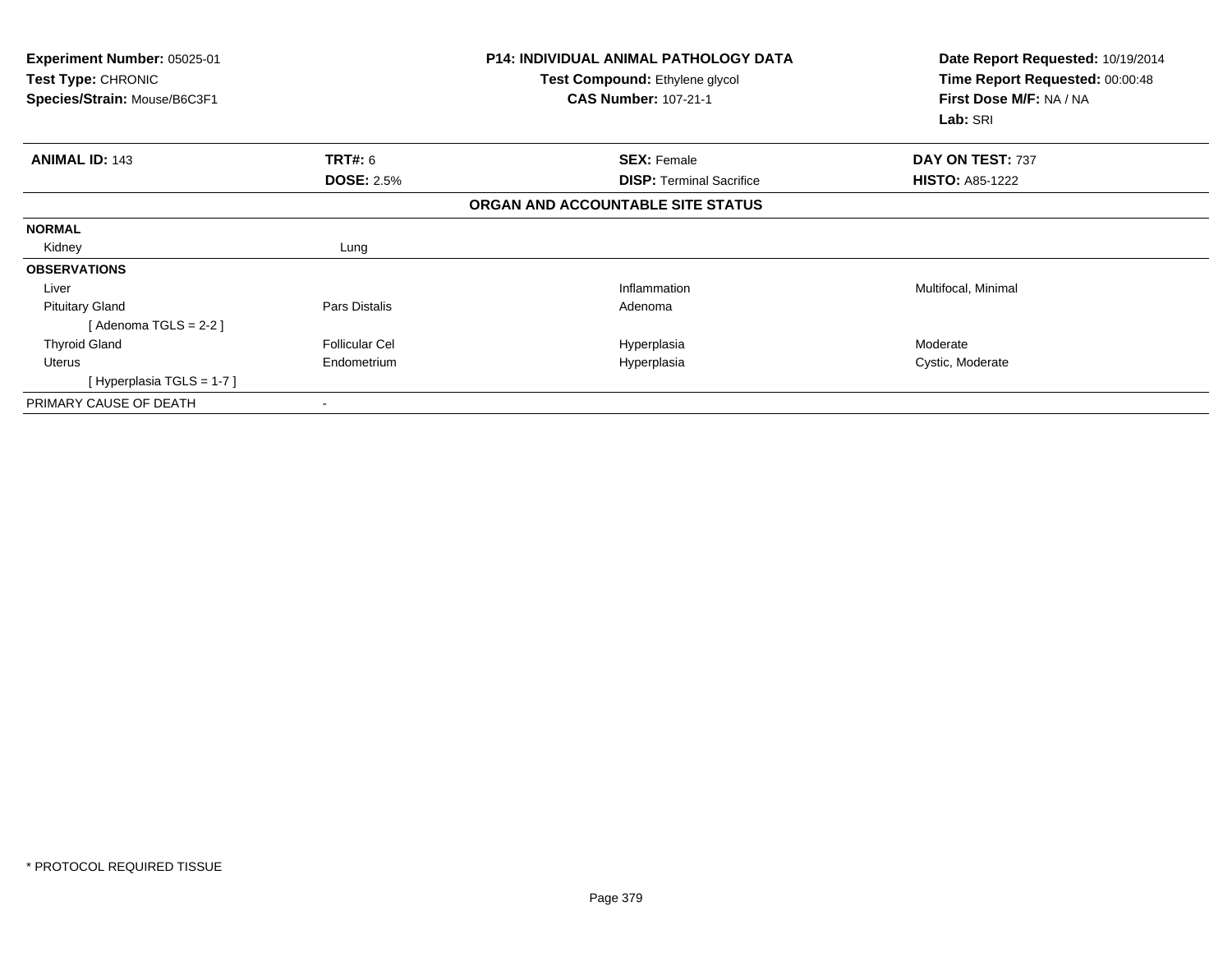| <b>Experiment Number: 05025-01</b><br>Test Type: CHRONIC<br>Species/Strain: Mouse/B6C3F1 |                       | <b>P14: INDIVIDUAL ANIMAL PATHOLOGY DATA</b><br>Test Compound: Ethylene glycol<br><b>CAS Number: 107-21-1</b> | Date Report Requested: 10/19/2014<br>Time Report Requested: 00:00:48<br>First Dose M/F: NA / NA<br>Lab: SRI |
|------------------------------------------------------------------------------------------|-----------------------|---------------------------------------------------------------------------------------------------------------|-------------------------------------------------------------------------------------------------------------|
|                                                                                          |                       |                                                                                                               |                                                                                                             |
| <b>ANIMAL ID: 143</b>                                                                    | <b>TRT#: 6</b>        | <b>SEX: Female</b>                                                                                            | DAY ON TEST: 737                                                                                            |
|                                                                                          | <b>DOSE: 2.5%</b>     | <b>DISP:</b> Terminal Sacrifice                                                                               | <b>HISTO: A85-1222</b>                                                                                      |
|                                                                                          |                       | ORGAN AND ACCOUNTABLE SITE STATUS                                                                             |                                                                                                             |
| <b>NORMAL</b>                                                                            |                       |                                                                                                               |                                                                                                             |
| Kidney                                                                                   | Lung                  |                                                                                                               |                                                                                                             |
| <b>OBSERVATIONS</b>                                                                      |                       |                                                                                                               |                                                                                                             |
| Liver                                                                                    |                       | Inflammation                                                                                                  | Multifocal, Minimal                                                                                         |
| <b>Pituitary Gland</b>                                                                   | Pars Distalis         | Adenoma                                                                                                       |                                                                                                             |
| [Adenoma TGLS = $2-2$ ]                                                                  |                       |                                                                                                               |                                                                                                             |
| <b>Thyroid Gland</b>                                                                     | <b>Follicular Cel</b> | Hyperplasia                                                                                                   | Moderate                                                                                                    |
| Uterus                                                                                   | Endometrium           | Hyperplasia                                                                                                   | Cystic, Moderate                                                                                            |
| [Hyperplasia TGLS = $1-7$ ]                                                              |                       |                                                                                                               |                                                                                                             |
| PRIMARY CAUSE OF DEATH                                                                   |                       |                                                                                                               |                                                                                                             |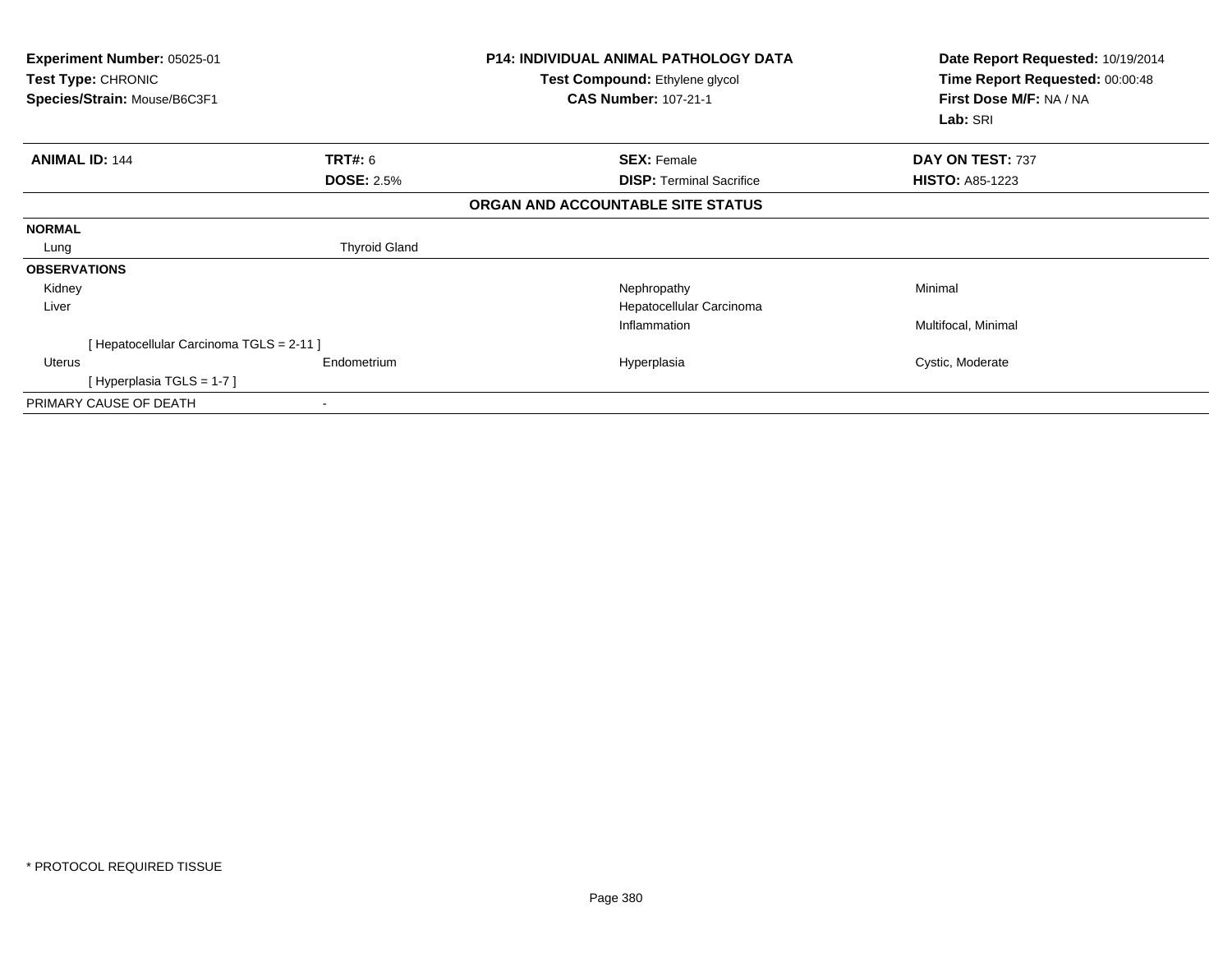| <b>Experiment Number: 05025-01</b><br>Test Type: CHRONIC<br>Species/Strain: Mouse/B6C3F1 |                      | <b>P14: INDIVIDUAL ANIMAL PATHOLOGY DATA</b><br>Test Compound: Ethylene glycol<br><b>CAS Number: 107-21-1</b> | Date Report Requested: 10/19/2014<br>Time Report Requested: 00:00:48<br>First Dose M/F: NA / NA<br>Lab: SRI |
|------------------------------------------------------------------------------------------|----------------------|---------------------------------------------------------------------------------------------------------------|-------------------------------------------------------------------------------------------------------------|
| <b>ANIMAL ID: 144</b>                                                                    | <b>TRT#: 6</b>       | <b>SEX: Female</b>                                                                                            | DAY ON TEST: 737                                                                                            |
|                                                                                          | <b>DOSE: 2.5%</b>    | <b>DISP:</b> Terminal Sacrifice                                                                               | <b>HISTO: A85-1223</b>                                                                                      |
|                                                                                          |                      | ORGAN AND ACCOUNTABLE SITE STATUS                                                                             |                                                                                                             |
| <b>NORMAL</b>                                                                            |                      |                                                                                                               |                                                                                                             |
| Lung                                                                                     | <b>Thyroid Gland</b> |                                                                                                               |                                                                                                             |
| <b>OBSERVATIONS</b>                                                                      |                      |                                                                                                               |                                                                                                             |
| Kidney                                                                                   |                      | Nephropathy                                                                                                   | Minimal                                                                                                     |
| Liver                                                                                    |                      | Hepatocellular Carcinoma                                                                                      |                                                                                                             |
|                                                                                          |                      | Inflammation                                                                                                  | Multifocal, Minimal                                                                                         |
| [ Hepatocellular Carcinoma TGLS = 2-11 ]                                                 |                      |                                                                                                               |                                                                                                             |
| Uterus                                                                                   | Endometrium          | Hyperplasia                                                                                                   | Cystic, Moderate                                                                                            |
| [Hyperplasia TGLS = 1-7]                                                                 |                      |                                                                                                               |                                                                                                             |
| PRIMARY CAUSE OF DEATH                                                                   |                      |                                                                                                               |                                                                                                             |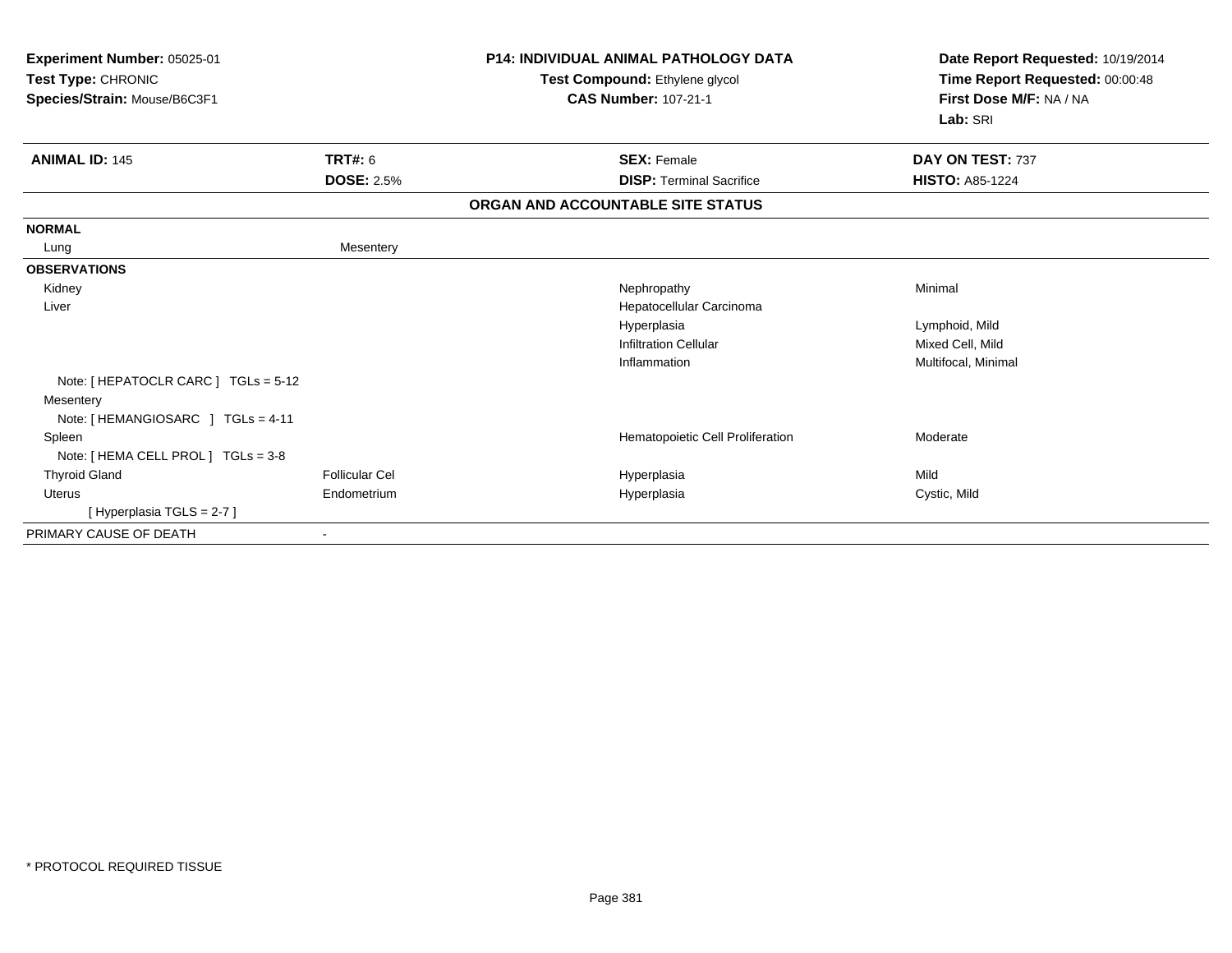| Experiment Number: 05025-01<br>Test Type: CHRONIC<br>Species/Strain: Mouse/B6C3F1 |                   | <b>P14: INDIVIDUAL ANIMAL PATHOLOGY DATA</b><br>Test Compound: Ethylene glycol<br><b>CAS Number: 107-21-1</b> | Date Report Requested: 10/19/2014<br>Time Report Requested: 00:00:48<br>First Dose M/F: NA / NA<br>Lab: SRI |
|-----------------------------------------------------------------------------------|-------------------|---------------------------------------------------------------------------------------------------------------|-------------------------------------------------------------------------------------------------------------|
| <b>ANIMAL ID: 145</b>                                                             | <b>TRT#: 6</b>    | <b>SEX: Female</b>                                                                                            | DAY ON TEST: 737                                                                                            |
|                                                                                   | <b>DOSE: 2.5%</b> | <b>DISP: Terminal Sacrifice</b>                                                                               | <b>HISTO: A85-1224</b>                                                                                      |
|                                                                                   |                   | ORGAN AND ACCOUNTABLE SITE STATUS                                                                             |                                                                                                             |
| <b>NORMAL</b>                                                                     |                   |                                                                                                               |                                                                                                             |
| Lung                                                                              | Mesentery         |                                                                                                               |                                                                                                             |
| <b>OBSERVATIONS</b>                                                               |                   |                                                                                                               |                                                                                                             |
| Kidney                                                                            |                   | Nephropathy                                                                                                   | Minimal                                                                                                     |
| Liver                                                                             |                   | Hepatocellular Carcinoma                                                                                      |                                                                                                             |
|                                                                                   |                   | Hyperplasia                                                                                                   | Lymphoid, Mild                                                                                              |
|                                                                                   |                   | <b>Infiltration Cellular</b>                                                                                  | Mixed Cell, Mild                                                                                            |
|                                                                                   |                   | Inflammation                                                                                                  | Multifocal, Minimal                                                                                         |
| Note: [ HEPATOCLR CARC ] TGLs = 5-12                                              |                   |                                                                                                               |                                                                                                             |
| Mesentery                                                                         |                   |                                                                                                               |                                                                                                             |
| Note: [HEMANGIOSARC ] TGLs = 4-11                                                 |                   |                                                                                                               |                                                                                                             |
| Spleen                                                                            |                   | Hematopoietic Cell Proliferation                                                                              | Moderate                                                                                                    |
| Note: [ HEMA CELL PROL ] TGLs = 3-8                                               |                   |                                                                                                               |                                                                                                             |
| <b>Thyroid Gland</b>                                                              | Follicular Cel    | Hyperplasia                                                                                                   | Mild                                                                                                        |
| <b>Uterus</b>                                                                     | Endometrium       | Hyperplasia                                                                                                   | Cystic, Mild                                                                                                |
| [Hyperplasia TGLS = 2-7]                                                          |                   |                                                                                                               |                                                                                                             |
| PRIMARY CAUSE OF DEATH                                                            | ٠                 |                                                                                                               |                                                                                                             |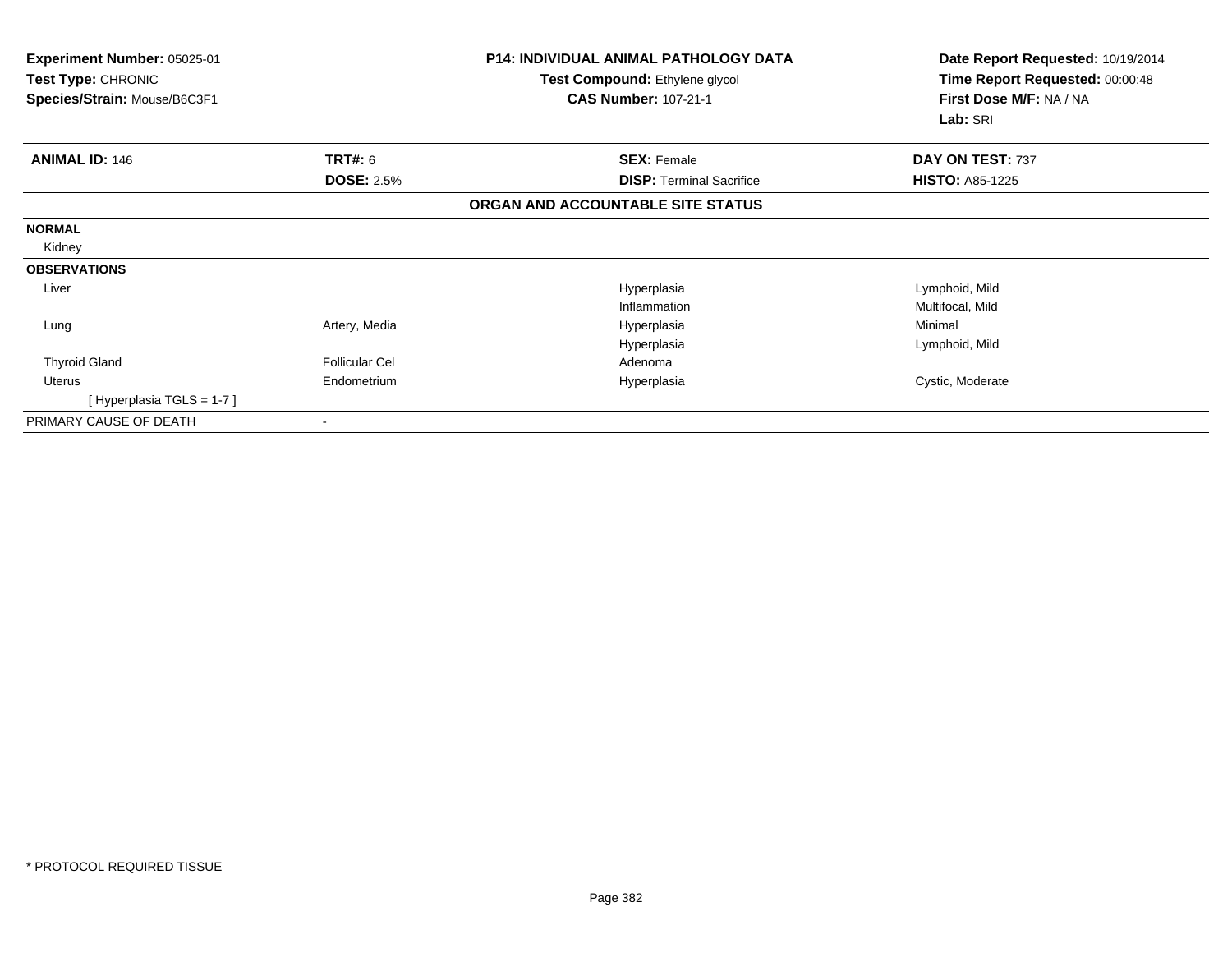| Experiment Number: 05025-01<br>Test Type: CHRONIC<br>Species/Strain: Mouse/B6C3F1 |                       | <b>P14: INDIVIDUAL ANIMAL PATHOLOGY DATA</b><br>Test Compound: Ethylene glycol<br><b>CAS Number: 107-21-1</b> | Date Report Requested: 10/19/2014<br>Time Report Requested: 00:00:48<br>First Dose M/F: NA / NA<br>Lab: SRI |
|-----------------------------------------------------------------------------------|-----------------------|---------------------------------------------------------------------------------------------------------------|-------------------------------------------------------------------------------------------------------------|
| <b>ANIMAL ID: 146</b>                                                             | <b>TRT#: 6</b>        | <b>SEX: Female</b>                                                                                            | DAY ON TEST: 737                                                                                            |
|                                                                                   | <b>DOSE: 2.5%</b>     | <b>DISP: Terminal Sacrifice</b>                                                                               | <b>HISTO: A85-1225</b>                                                                                      |
|                                                                                   |                       | ORGAN AND ACCOUNTABLE SITE STATUS                                                                             |                                                                                                             |
| <b>NORMAL</b>                                                                     |                       |                                                                                                               |                                                                                                             |
| Kidney                                                                            |                       |                                                                                                               |                                                                                                             |
| <b>OBSERVATIONS</b>                                                               |                       |                                                                                                               |                                                                                                             |
| Liver                                                                             |                       | Hyperplasia                                                                                                   | Lymphoid, Mild                                                                                              |
|                                                                                   |                       | Inflammation                                                                                                  | Multifocal, Mild                                                                                            |
| Lung                                                                              | Artery, Media         | Hyperplasia                                                                                                   | Minimal                                                                                                     |
|                                                                                   |                       | Hyperplasia                                                                                                   | Lymphoid, Mild                                                                                              |
| <b>Thyroid Gland</b>                                                              | <b>Follicular Cel</b> | Adenoma                                                                                                       |                                                                                                             |
| Uterus                                                                            | Endometrium           | Hyperplasia                                                                                                   | Cystic, Moderate                                                                                            |
| [Hyperplasia TGLS = $1-7$ ]                                                       |                       |                                                                                                               |                                                                                                             |
| PRIMARY CAUSE OF DEATH                                                            |                       |                                                                                                               |                                                                                                             |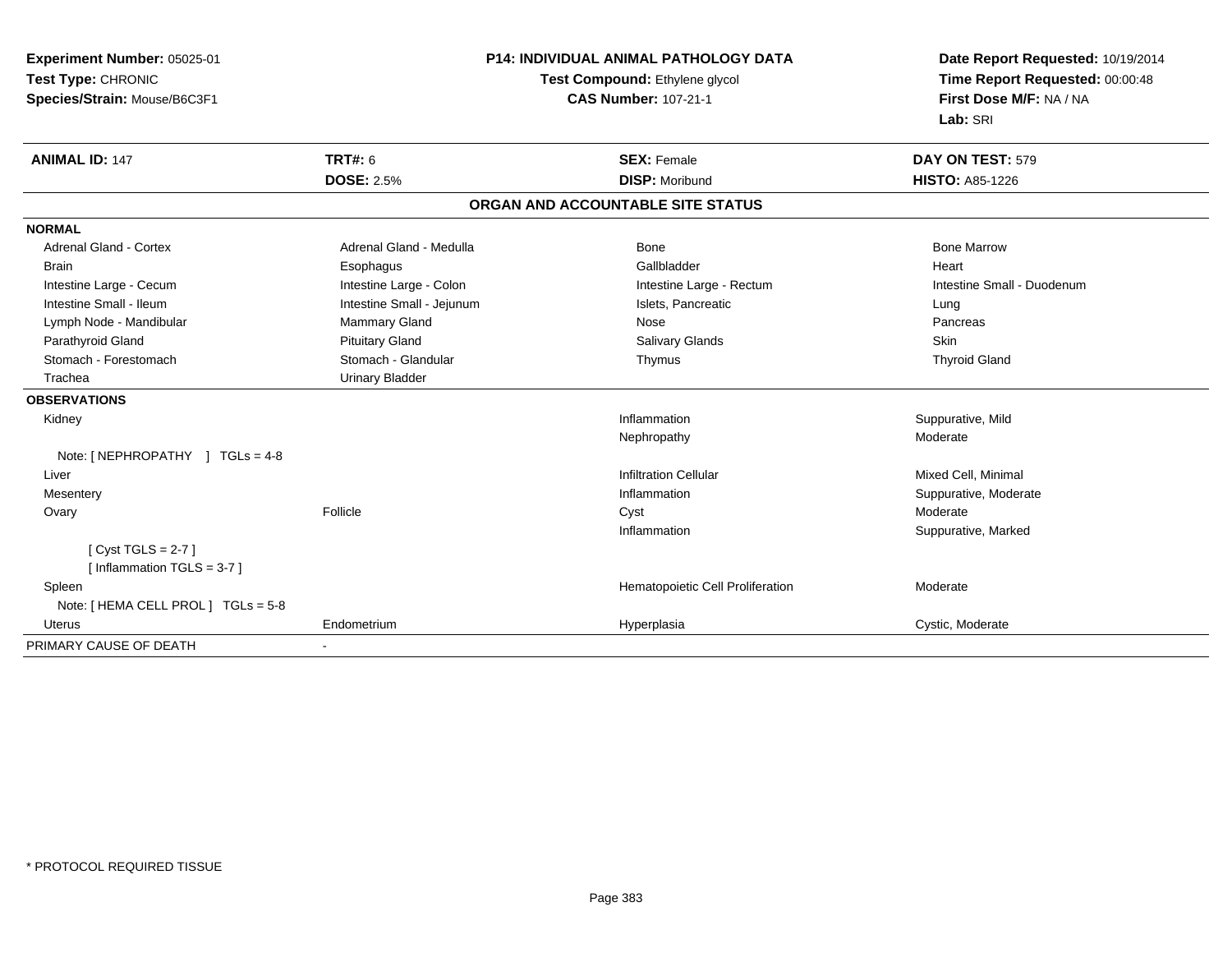| Experiment Number: 05025-01                       |                                | <b>P14: INDIVIDUAL ANIMAL PATHOLOGY DATA</b> | Date Report Requested: 10/19/2014 |
|---------------------------------------------------|--------------------------------|----------------------------------------------|-----------------------------------|
| Test Type: CHRONIC                                | Test Compound: Ethylene glycol |                                              | Time Report Requested: 00:00:48   |
| Species/Strain: Mouse/B6C3F1                      |                                | <b>CAS Number: 107-21-1</b>                  | First Dose M/F: NA / NA           |
|                                                   |                                |                                              | Lab: SRI                          |
| <b>ANIMAL ID: 147</b>                             | TRT#: 6                        | <b>SEX: Female</b>                           | DAY ON TEST: 579                  |
|                                                   | <b>DOSE: 2.5%</b>              | <b>DISP: Moribund</b>                        | <b>HISTO: A85-1226</b>            |
|                                                   |                                | ORGAN AND ACCOUNTABLE SITE STATUS            |                                   |
| <b>NORMAL</b>                                     |                                |                                              |                                   |
| <b>Adrenal Gland - Cortex</b>                     | Adrenal Gland - Medulla        | Bone                                         | <b>Bone Marrow</b>                |
| <b>Brain</b>                                      | Esophagus                      | Gallbladder                                  | Heart                             |
| Intestine Large - Cecum                           | Intestine Large - Colon        | Intestine Large - Rectum                     | Intestine Small - Duodenum        |
| Intestine Small - Ileum                           | Intestine Small - Jejunum      | Islets, Pancreatic                           | Lung                              |
| Lymph Node - Mandibular                           | Mammary Gland                  | Nose                                         | Pancreas                          |
| Parathyroid Gland                                 | <b>Pituitary Gland</b>         | <b>Salivary Glands</b>                       | Skin                              |
| Stomach - Forestomach                             | Stomach - Glandular            | Thymus                                       | <b>Thyroid Gland</b>              |
| Trachea                                           | <b>Urinary Bladder</b>         |                                              |                                   |
| <b>OBSERVATIONS</b>                               |                                |                                              |                                   |
| Kidney                                            |                                | Inflammation                                 | Suppurative, Mild                 |
|                                                   |                                | Nephropathy                                  | Moderate                          |
| Note: $[NEPHROPATHY]$ TGLs = 4-8                  |                                |                                              |                                   |
| Liver                                             |                                | <b>Infiltration Cellular</b>                 | Mixed Cell, Minimal               |
| Mesentery                                         |                                | Inflammation                                 | Suppurative, Moderate             |
| Ovary                                             | Follicle                       | Cyst                                         | Moderate                          |
|                                                   |                                | Inflammation                                 | Suppurative, Marked               |
| [Cyst TGLS = $2-7$ ]<br>[Inflammation TGLS = 3-7] |                                |                                              |                                   |
| Spleen                                            |                                | Hematopoietic Cell Proliferation             | Moderate                          |
| Note: [ HEMA CELL PROL ] TGLs = 5-8               |                                |                                              |                                   |
| <b>Uterus</b>                                     | Endometrium                    | Hyperplasia                                  | Cystic, Moderate                  |
| PRIMARY CAUSE OF DEATH                            |                                |                                              |                                   |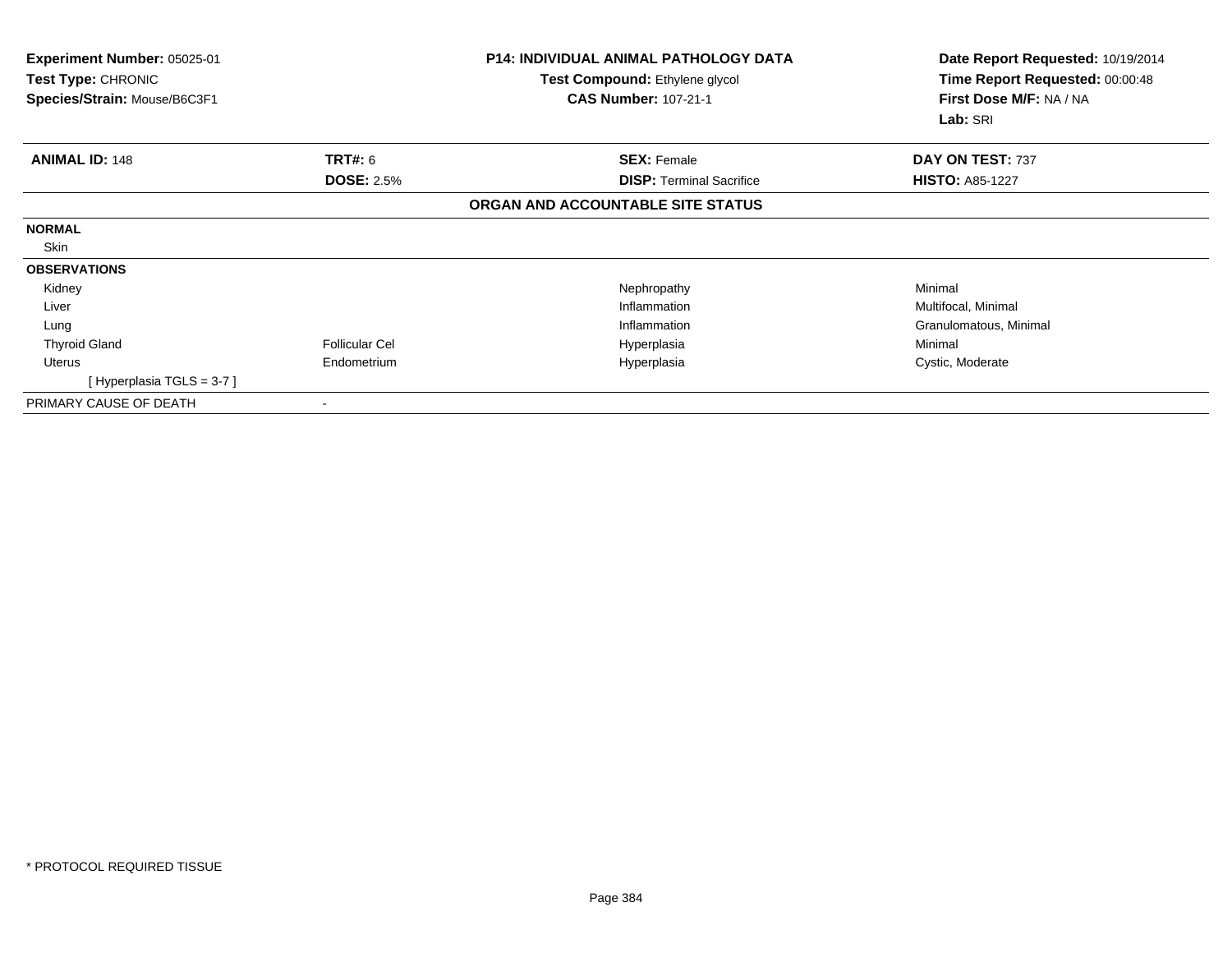| Experiment Number: 05025-01<br><b>Test Type: CHRONIC</b><br>Species/Strain: Mouse/B6C3F1 |                       | <b>P14: INDIVIDUAL ANIMAL PATHOLOGY DATA</b><br><b>Test Compound: Ethylene glycol</b><br><b>CAS Number: 107-21-1</b> | Date Report Requested: 10/19/2014<br>Time Report Requested: 00:00:48<br>First Dose M/F: NA / NA<br>Lab: SRI |
|------------------------------------------------------------------------------------------|-----------------------|----------------------------------------------------------------------------------------------------------------------|-------------------------------------------------------------------------------------------------------------|
| <b>ANIMAL ID: 148</b>                                                                    | <b>TRT#: 6</b>        | <b>SEX: Female</b>                                                                                                   | DAY ON TEST: 737                                                                                            |
|                                                                                          | <b>DOSE: 2.5%</b>     | <b>DISP: Terminal Sacrifice</b>                                                                                      | <b>HISTO: A85-1227</b>                                                                                      |
|                                                                                          |                       | ORGAN AND ACCOUNTABLE SITE STATUS                                                                                    |                                                                                                             |
| <b>NORMAL</b>                                                                            |                       |                                                                                                                      |                                                                                                             |
| Skin                                                                                     |                       |                                                                                                                      |                                                                                                             |
| <b>OBSERVATIONS</b>                                                                      |                       |                                                                                                                      |                                                                                                             |
| Kidney                                                                                   |                       | Nephropathy                                                                                                          | Minimal                                                                                                     |
| Liver                                                                                    |                       | Inflammation                                                                                                         | Multifocal, Minimal                                                                                         |
| Lung                                                                                     |                       | Inflammation                                                                                                         | Granulomatous, Minimal                                                                                      |
| <b>Thyroid Gland</b>                                                                     | <b>Follicular Cel</b> | Hyperplasia                                                                                                          | Minimal                                                                                                     |
| Uterus                                                                                   | Endometrium           | Hyperplasia                                                                                                          | Cystic, Moderate                                                                                            |
| [Hyperplasia TGLS = 3-7 ]                                                                |                       |                                                                                                                      |                                                                                                             |
| PRIMARY CAUSE OF DEATH                                                                   |                       |                                                                                                                      |                                                                                                             |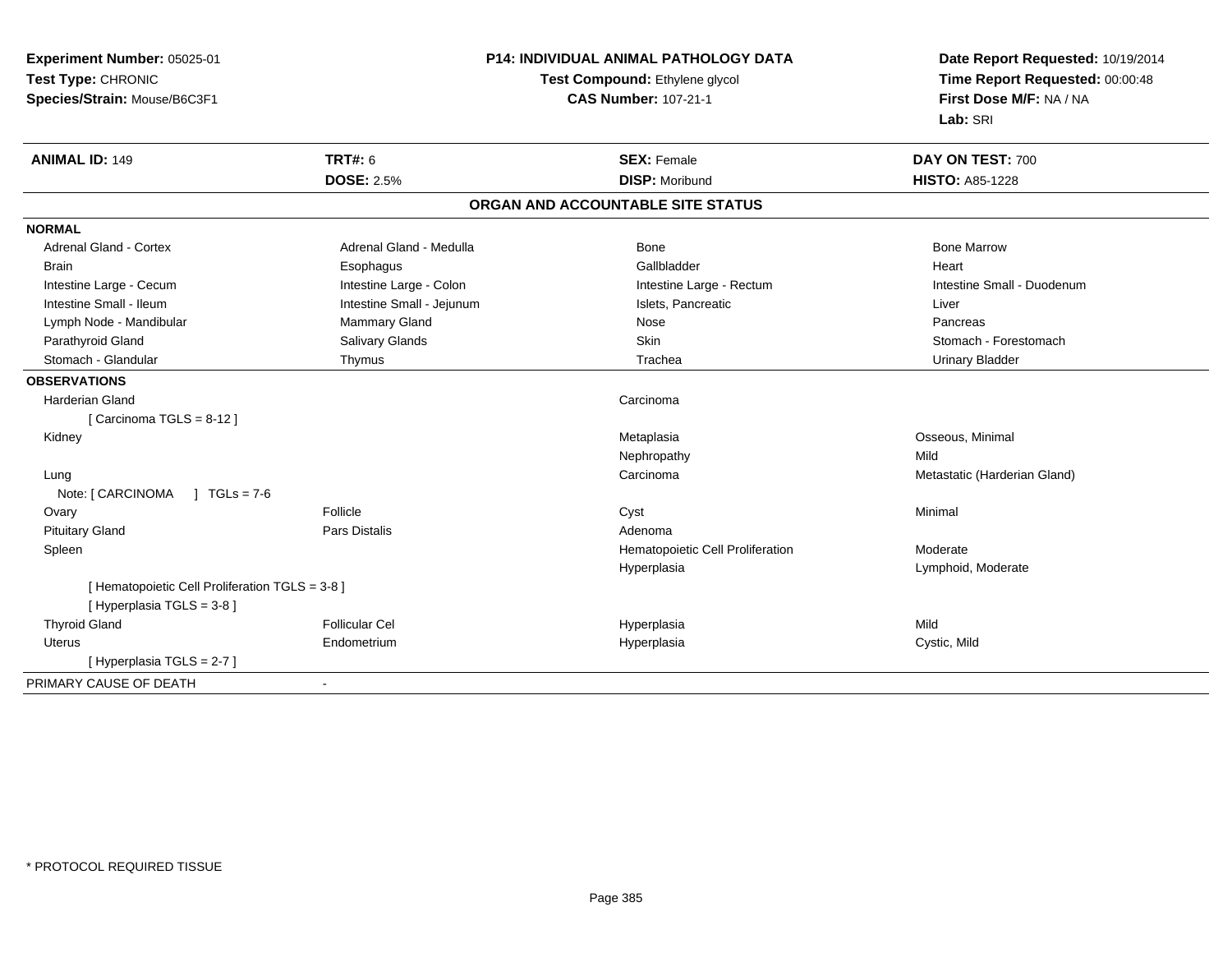| Experiment Number: 05025-01                              | P14: INDIVIDUAL ANIMAL PATHOLOGY DATA |                                 |
|----------------------------------------------------------|---------------------------------------|---------------------------------|
| Test Type: CHRONIC                                       | Test Compound: Ethylene glycol        | Time Report Requested: 00:00:48 |
| Species/Strain: Mouse/B6C3F1                             | <b>CAS Number: 107-21-1</b>           | First Dose M/F: NA / NA         |
|                                                          |                                       | Lab: SRI                        |
| <b>ANIMAL ID: 149</b><br><b>TRT#: 6</b>                  | <b>SEX: Female</b>                    | DAY ON TEST: 700                |
| <b>DOSE: 2.5%</b>                                        | <b>DISP: Moribund</b>                 | <b>HISTO: A85-1228</b>          |
|                                                          | ORGAN AND ACCOUNTABLE SITE STATUS     |                                 |
| <b>NORMAL</b>                                            |                                       |                                 |
| <b>Adrenal Gland - Cortex</b><br>Adrenal Gland - Medulla | Bone                                  | <b>Bone Marrow</b>              |
| <b>Brain</b><br>Esophagus                                | Gallbladder                           | Heart                           |
| Intestine Large - Colon<br>Intestine Large - Cecum       | Intestine Large - Rectum              | Intestine Small - Duodenum      |
| Intestine Small - Ileum<br>Intestine Small - Jejunum     | Islets, Pancreatic                    | Liver                           |
| Mammary Gland<br>Lymph Node - Mandibular                 | Nose                                  | Pancreas                        |
| Parathyroid Gland<br>Salivary Glands                     | Skin                                  | Stomach - Forestomach           |
| Stomach - Glandular<br>Thymus                            | Trachea                               | <b>Urinary Bladder</b>          |
| <b>OBSERVATIONS</b>                                      |                                       |                                 |
| <b>Harderian Gland</b>                                   | Carcinoma                             |                                 |
| [Carcinoma TGLS = $8-12$ ]                               |                                       |                                 |
| Kidney                                                   | Metaplasia                            | Osseous, Minimal                |
|                                                          | Nephropathy                           | Mild                            |
| Lung                                                     | Carcinoma                             | Metastatic (Harderian Gland)    |
| Note: [ CARCINOMA<br>$1 TGLs = 7-6$                      |                                       |                                 |
| Follicle<br>Ovary                                        | Cyst                                  | Minimal                         |
| <b>Pars Distalis</b><br><b>Pituitary Gland</b>           | Adenoma                               |                                 |
| Spleen                                                   | Hematopoietic Cell Proliferation      | Moderate                        |
|                                                          | Hyperplasia                           | Lymphoid, Moderate              |
| [ Hematopoietic Cell Proliferation TGLS = 3-8 ]          |                                       |                                 |
| [Hyperplasia TGLS = 3-8]                                 |                                       |                                 |
| <b>Thyroid Gland</b><br><b>Follicular Cel</b>            | Hyperplasia                           | Mild                            |
| Endometrium<br>Uterus                                    | Hyperplasia                           | Cystic, Mild                    |
| [Hyperplasia TGLS = 2-7]                                 |                                       |                                 |
| PRIMARY CAUSE OF DEATH<br>$\blacksquare$                 |                                       |                                 |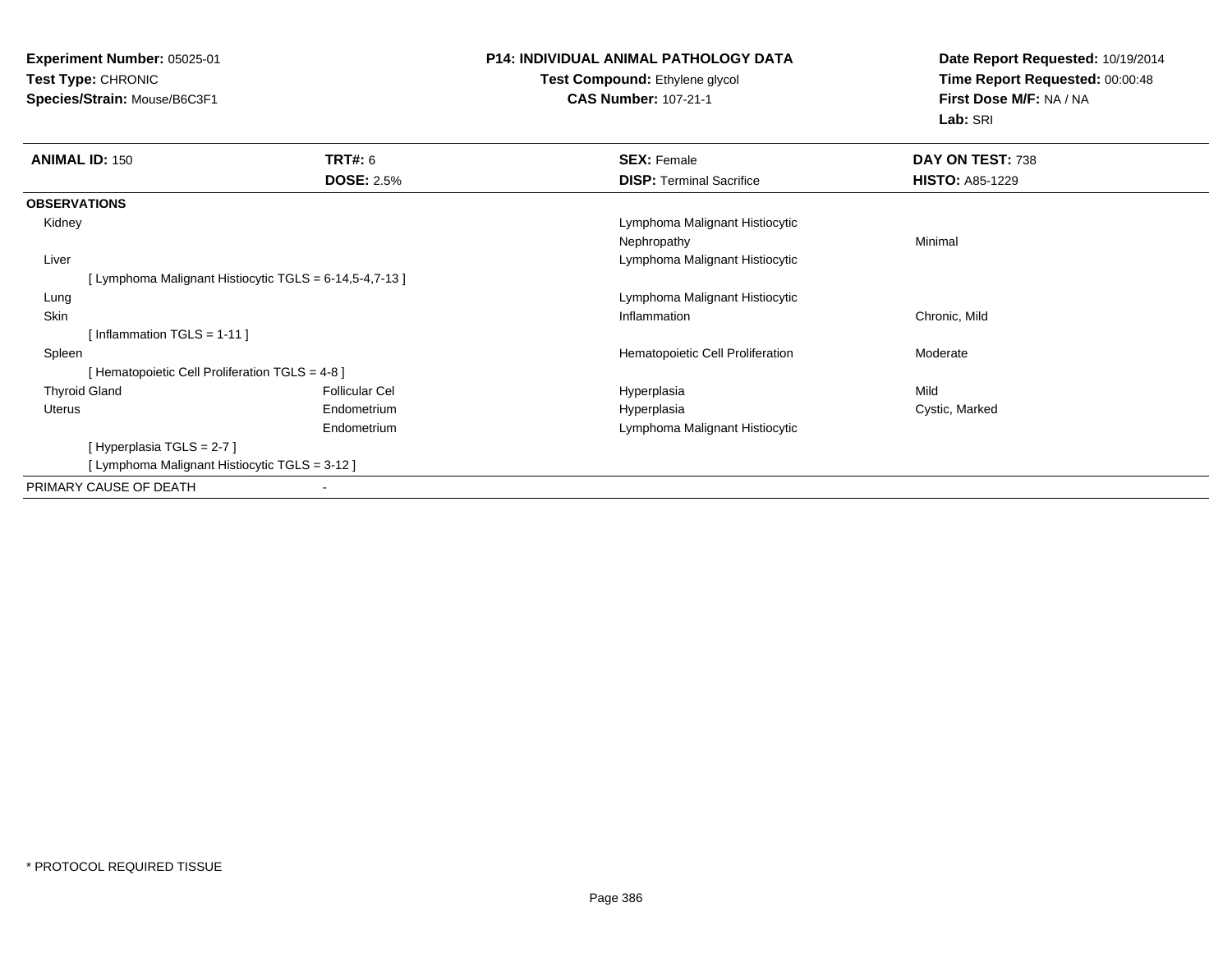**Experiment Number:** 05025-01**Test Type:** CHRONIC**Species/Strain:** Mouse/B6C3F1

# **P14: INDIVIDUAL ANIMAL PATHOLOGY DATA**

**Test Compound:** Ethylene glycol **CAS Number:** 107-21-1

**Date Report Requested:** 10/19/2014**Time Report Requested:** 00:00:48**First Dose M/F:** NA / NA**Lab:** SRI

| <b>ANIMAL ID: 150</b> |                                                       | TRT#: 6               | <b>SEX: Female</b>               | DAY ON TEST: 738       |
|-----------------------|-------------------------------------------------------|-----------------------|----------------------------------|------------------------|
|                       |                                                       | <b>DOSE: 2.5%</b>     | <b>DISP:</b> Terminal Sacrifice  | <b>HISTO: A85-1229</b> |
| <b>OBSERVATIONS</b>   |                                                       |                       |                                  |                        |
| Kidney                |                                                       |                       | Lymphoma Malignant Histiocytic   |                        |
|                       |                                                       |                       | Nephropathy                      | Minimal                |
| Liver                 |                                                       |                       | Lymphoma Malignant Histiocytic   |                        |
|                       | [Lymphoma Malignant Histiocytic TGLS = 6-14,5-4,7-13] |                       |                                  |                        |
| Lung                  |                                                       |                       | Lymphoma Malignant Histiocytic   |                        |
| Skin                  |                                                       |                       | Inflammation                     | Chronic, Mild          |
|                       | [Inflammation TGLS = $1-11$ ]                         |                       |                                  |                        |
| Spleen                |                                                       |                       | Hematopoietic Cell Proliferation | Moderate               |
|                       | [ Hematopoietic Cell Proliferation TGLS = 4-8 ]       |                       |                                  |                        |
| <b>Thyroid Gland</b>  |                                                       | <b>Follicular Cel</b> | Hyperplasia                      | Mild                   |
| Uterus                |                                                       | Endometrium           | Hyperplasia                      | Cystic, Marked         |
|                       |                                                       | Endometrium           | Lymphoma Malignant Histiocytic   |                        |
|                       | [Hyperplasia TGLS = 2-7]                              |                       |                                  |                        |
|                       | [ Lymphoma Malignant Histiocytic TGLS = 3-12 ]        |                       |                                  |                        |
|                       | PRIMARY CAUSE OF DEATH                                |                       |                                  |                        |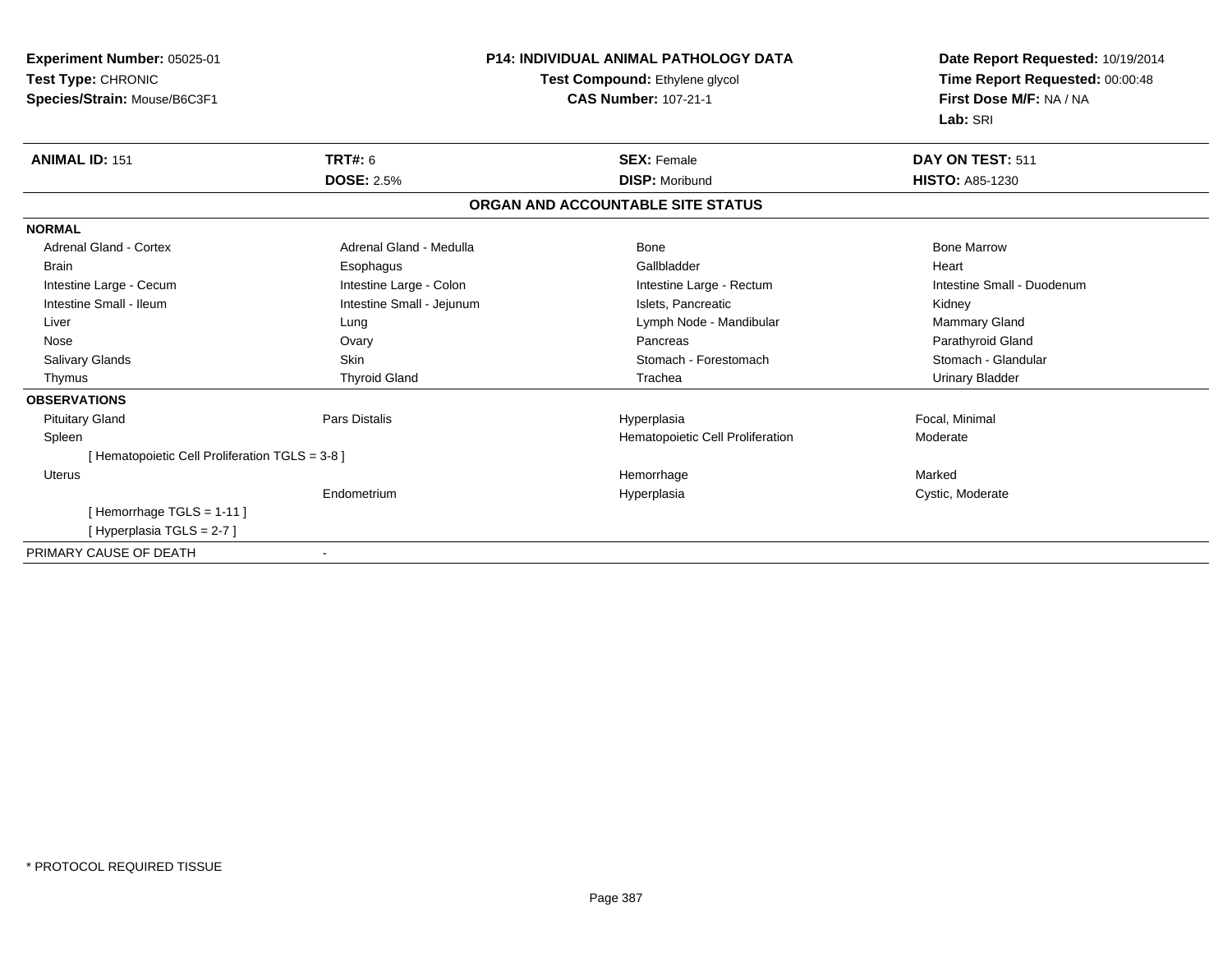| Experiment Number: 05025-01                     | <b>P14: INDIVIDUAL ANIMAL PATHOLOGY DATA</b><br>Test Compound: Ethylene glycol |                                   | Date Report Requested: 10/19/2014 |  |
|-------------------------------------------------|--------------------------------------------------------------------------------|-----------------------------------|-----------------------------------|--|
| Test Type: CHRONIC                              |                                                                                |                                   | Time Report Requested: 00:00:48   |  |
| Species/Strain: Mouse/B6C3F1                    |                                                                                | <b>CAS Number: 107-21-1</b>       | First Dose M/F: NA / NA           |  |
|                                                 |                                                                                |                                   | Lab: SRI                          |  |
| <b>ANIMAL ID: 151</b>                           | <b>TRT#: 6</b>                                                                 | <b>SEX: Female</b>                | DAY ON TEST: 511                  |  |
|                                                 | <b>DOSE: 2.5%</b>                                                              | <b>DISP: Moribund</b>             | <b>HISTO: A85-1230</b>            |  |
|                                                 |                                                                                | ORGAN AND ACCOUNTABLE SITE STATUS |                                   |  |
| <b>NORMAL</b>                                   |                                                                                |                                   |                                   |  |
| <b>Adrenal Gland - Cortex</b>                   | Adrenal Gland - Medulla                                                        | <b>Bone</b>                       | <b>Bone Marrow</b>                |  |
| <b>Brain</b>                                    | Esophagus                                                                      | Gallbladder                       | Heart                             |  |
| Intestine Large - Cecum                         | Intestine Large - Colon                                                        | Intestine Large - Rectum          | Intestine Small - Duodenum        |  |
| Intestine Small - Ileum                         | Intestine Small - Jejunum                                                      | Islets, Pancreatic                | Kidney                            |  |
| Liver                                           | Lung                                                                           | Lymph Node - Mandibular           | Mammary Gland                     |  |
| Nose                                            | Ovary                                                                          | Pancreas                          | Parathyroid Gland                 |  |
| <b>Salivary Glands</b>                          | <b>Skin</b>                                                                    | Stomach - Forestomach             | Stomach - Glandular               |  |
| Thymus                                          | <b>Thyroid Gland</b>                                                           | Trachea                           | <b>Urinary Bladder</b>            |  |
| <b>OBSERVATIONS</b>                             |                                                                                |                                   |                                   |  |
| <b>Pituitary Gland</b>                          | Pars Distalis                                                                  | Hyperplasia                       | Focal, Minimal                    |  |
| Spleen                                          |                                                                                | Hematopoietic Cell Proliferation  | Moderate                          |  |
| [ Hematopoietic Cell Proliferation TGLS = 3-8 ] |                                                                                |                                   |                                   |  |
| Uterus                                          |                                                                                | Hemorrhage                        | Marked                            |  |
|                                                 | Endometrium                                                                    | Hyperplasia                       | Cystic, Moderate                  |  |
| [Hemorrhage TGLS = $1-11$ ]                     |                                                                                |                                   |                                   |  |
| [Hyperplasia TGLS = 2-7]                        |                                                                                |                                   |                                   |  |
| PRIMARY CAUSE OF DEATH                          |                                                                                |                                   |                                   |  |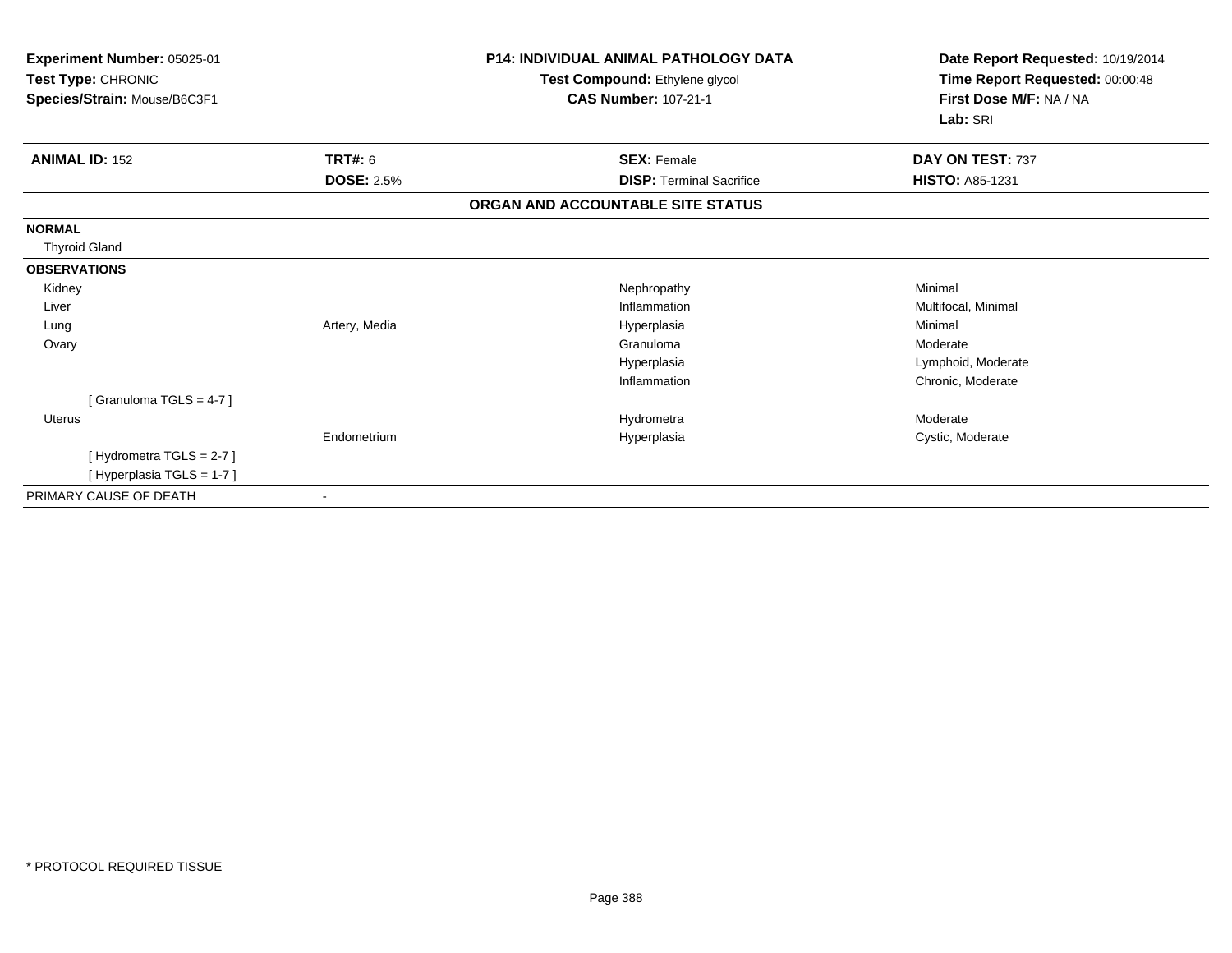| Experiment Number: 05025-01<br>Test Type: CHRONIC<br>Species/Strain: Mouse/B6C3F1 |                   | <b>P14: INDIVIDUAL ANIMAL PATHOLOGY DATA</b><br>Test Compound: Ethylene glycol<br><b>CAS Number: 107-21-1</b> | Date Report Requested: 10/19/2014<br>Time Report Requested: 00:00:48<br>First Dose M/F: NA / NA<br>Lab: SRI |  |
|-----------------------------------------------------------------------------------|-------------------|---------------------------------------------------------------------------------------------------------------|-------------------------------------------------------------------------------------------------------------|--|
| <b>ANIMAL ID: 152</b>                                                             | TRT#: 6           | <b>SEX: Female</b>                                                                                            | DAY ON TEST: 737                                                                                            |  |
|                                                                                   | <b>DOSE: 2.5%</b> | <b>DISP: Terminal Sacrifice</b>                                                                               | <b>HISTO: A85-1231</b>                                                                                      |  |
|                                                                                   |                   | ORGAN AND ACCOUNTABLE SITE STATUS                                                                             |                                                                                                             |  |
| <b>NORMAL</b>                                                                     |                   |                                                                                                               |                                                                                                             |  |
| <b>Thyroid Gland</b>                                                              |                   |                                                                                                               |                                                                                                             |  |
| <b>OBSERVATIONS</b>                                                               |                   |                                                                                                               |                                                                                                             |  |
| Kidney                                                                            |                   | Nephropathy                                                                                                   | Minimal                                                                                                     |  |
| Liver                                                                             |                   | Inflammation                                                                                                  | Multifocal, Minimal                                                                                         |  |
| Lung                                                                              | Artery, Media     | Hyperplasia                                                                                                   | Minimal                                                                                                     |  |
| Ovary                                                                             |                   | Granuloma                                                                                                     | Moderate                                                                                                    |  |
|                                                                                   |                   | Hyperplasia                                                                                                   | Lymphoid, Moderate                                                                                          |  |
|                                                                                   |                   | Inflammation                                                                                                  | Chronic, Moderate                                                                                           |  |
| [Granuloma TGLS = $4-7$ ]                                                         |                   |                                                                                                               |                                                                                                             |  |
| Uterus                                                                            |                   | Hydrometra                                                                                                    | Moderate                                                                                                    |  |
|                                                                                   | Endometrium       | Hyperplasia                                                                                                   | Cystic, Moderate                                                                                            |  |
| [Hydrometra TGLS = 2-7]                                                           |                   |                                                                                                               |                                                                                                             |  |
| [Hyperplasia TGLS = 1-7]                                                          |                   |                                                                                                               |                                                                                                             |  |
| PRIMARY CAUSE OF DEATH                                                            |                   |                                                                                                               |                                                                                                             |  |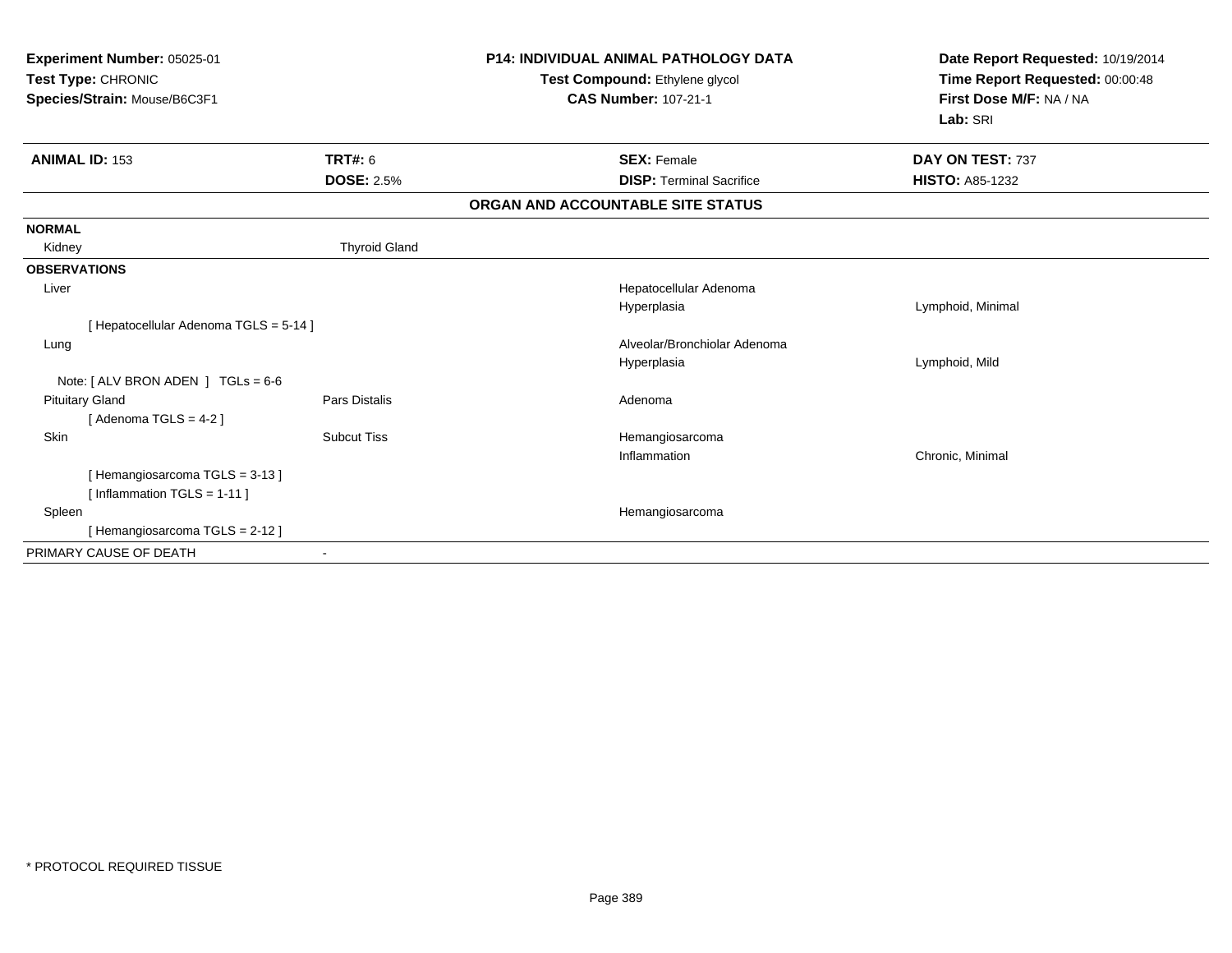| Experiment Number: 05025-01<br>Test Type: CHRONIC<br>Species/Strain: Mouse/B6C3F1 |                      | <b>P14: INDIVIDUAL ANIMAL PATHOLOGY DATA</b><br>Test Compound: Ethylene glycol<br><b>CAS Number: 107-21-1</b> | Date Report Requested: 10/19/2014<br>Time Report Requested: 00:00:48<br>First Dose M/F: NA / NA<br>Lab: SRI |  |
|-----------------------------------------------------------------------------------|----------------------|---------------------------------------------------------------------------------------------------------------|-------------------------------------------------------------------------------------------------------------|--|
| <b>ANIMAL ID: 153</b>                                                             | TRT#: 6              | <b>SEX: Female</b>                                                                                            | DAY ON TEST: 737                                                                                            |  |
|                                                                                   | <b>DOSE: 2.5%</b>    | <b>DISP: Terminal Sacrifice</b>                                                                               | <b>HISTO: A85-1232</b>                                                                                      |  |
|                                                                                   |                      | ORGAN AND ACCOUNTABLE SITE STATUS                                                                             |                                                                                                             |  |
| <b>NORMAL</b>                                                                     |                      |                                                                                                               |                                                                                                             |  |
| Kidney                                                                            | <b>Thyroid Gland</b> |                                                                                                               |                                                                                                             |  |
| <b>OBSERVATIONS</b>                                                               |                      |                                                                                                               |                                                                                                             |  |
| Liver                                                                             |                      | Hepatocellular Adenoma                                                                                        |                                                                                                             |  |
|                                                                                   |                      | Hyperplasia                                                                                                   | Lymphoid, Minimal                                                                                           |  |
| [ Hepatocellular Adenoma TGLS = 5-14 ]                                            |                      |                                                                                                               |                                                                                                             |  |
| Lung                                                                              |                      | Alveolar/Bronchiolar Adenoma                                                                                  |                                                                                                             |  |
|                                                                                   |                      | Hyperplasia                                                                                                   | Lymphoid, Mild                                                                                              |  |
| Note: $[ALV$ BRON ADEN $]$ TGLs = 6-6                                             |                      |                                                                                                               |                                                                                                             |  |
| <b>Pituitary Gland</b>                                                            | <b>Pars Distalis</b> | Adenoma                                                                                                       |                                                                                                             |  |
| [Adenoma TGLS = $4-2$ ]                                                           |                      |                                                                                                               |                                                                                                             |  |
| Skin                                                                              | <b>Subcut Tiss</b>   | Hemangiosarcoma                                                                                               |                                                                                                             |  |
|                                                                                   |                      | Inflammation                                                                                                  | Chronic, Minimal                                                                                            |  |
| [Hemangiosarcoma TGLS = 3-13]                                                     |                      |                                                                                                               |                                                                                                             |  |
| [Inflammation TGLS = $1-11$ ]                                                     |                      |                                                                                                               |                                                                                                             |  |
| Spleen                                                                            |                      | Hemangiosarcoma                                                                                               |                                                                                                             |  |
| [Hemangiosarcoma TGLS = 2-12]                                                     |                      |                                                                                                               |                                                                                                             |  |
| PRIMARY CAUSE OF DEATH                                                            |                      |                                                                                                               |                                                                                                             |  |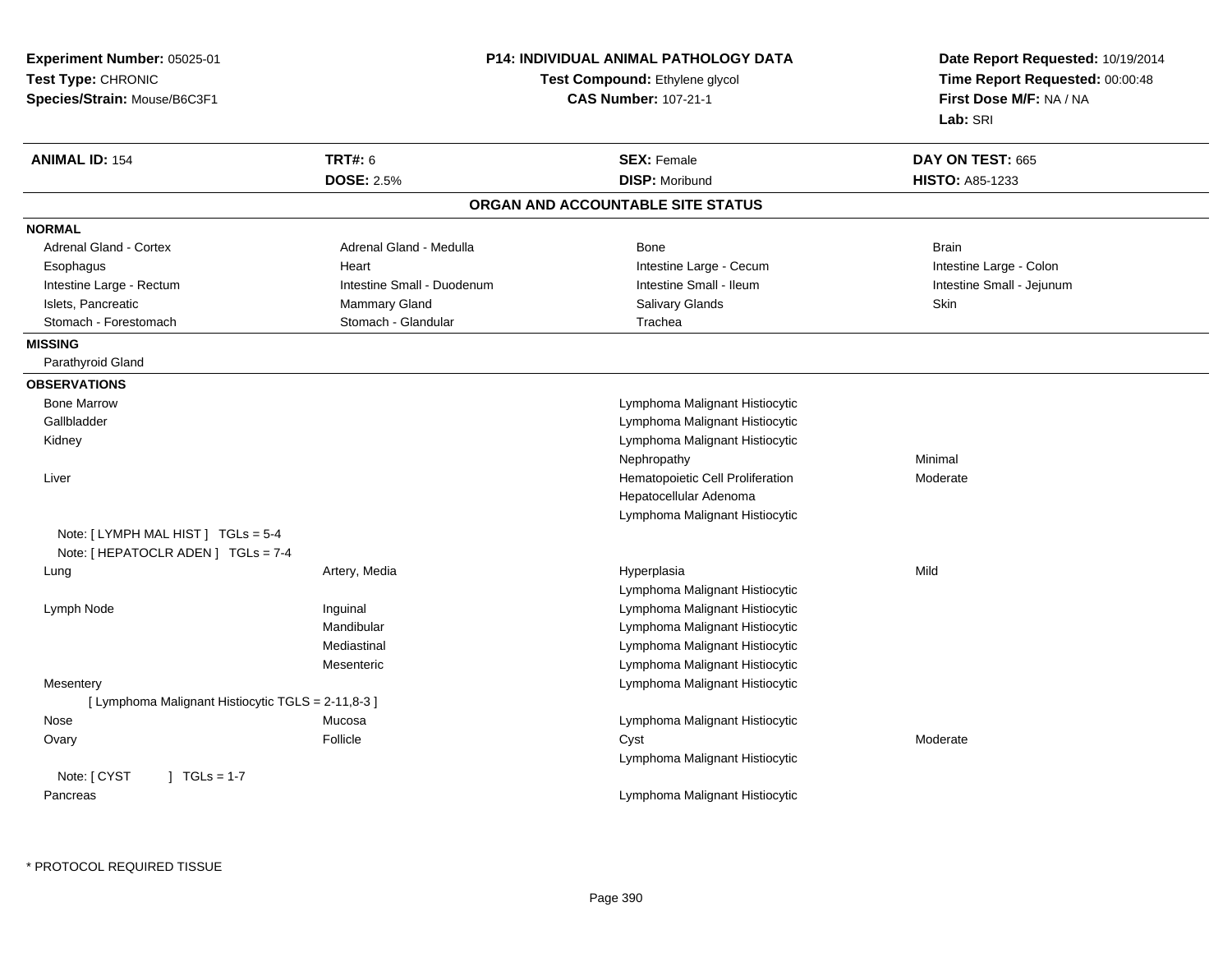| Experiment Number: 05025-01                        |                            | <b>P14: INDIVIDUAL ANIMAL PATHOLOGY DATA</b> | Date Report Requested: 10/19/2014<br>Time Report Requested: 00:00:48 |
|----------------------------------------------------|----------------------------|----------------------------------------------|----------------------------------------------------------------------|
| Test Type: CHRONIC                                 |                            | Test Compound: Ethylene glycol               |                                                                      |
| Species/Strain: Mouse/B6C3F1                       |                            | <b>CAS Number: 107-21-1</b>                  | First Dose M/F: NA / NA                                              |
|                                                    |                            |                                              | Lab: SRI                                                             |
| <b>ANIMAL ID: 154</b>                              | <b>TRT#: 6</b>             | <b>SEX: Female</b>                           | DAY ON TEST: 665                                                     |
|                                                    | <b>DOSE: 2.5%</b>          | <b>DISP: Moribund</b>                        | <b>HISTO: A85-1233</b>                                               |
|                                                    |                            | ORGAN AND ACCOUNTABLE SITE STATUS            |                                                                      |
| <b>NORMAL</b>                                      |                            |                                              |                                                                      |
| Adrenal Gland - Cortex                             | Adrenal Gland - Medulla    | Bone                                         | <b>Brain</b>                                                         |
| Esophagus                                          | Heart                      | Intestine Large - Cecum                      | Intestine Large - Colon                                              |
| Intestine Large - Rectum                           | Intestine Small - Duodenum | Intestine Small - Ileum                      | Intestine Small - Jejunum                                            |
| Islets, Pancreatic                                 | Mammary Gland              | Salivary Glands                              | Skin                                                                 |
| Stomach - Forestomach                              | Stomach - Glandular        | Trachea                                      |                                                                      |
| <b>MISSING</b>                                     |                            |                                              |                                                                      |
| Parathyroid Gland                                  |                            |                                              |                                                                      |
| <b>OBSERVATIONS</b>                                |                            |                                              |                                                                      |
| <b>Bone Marrow</b>                                 |                            | Lymphoma Malignant Histiocytic               |                                                                      |
| Gallbladder                                        |                            | Lymphoma Malignant Histiocytic               |                                                                      |
| Kidney                                             |                            | Lymphoma Malignant Histiocytic               |                                                                      |
|                                                    |                            | Nephropathy                                  | Minimal                                                              |
| Liver                                              |                            | Hematopoietic Cell Proliferation             | Moderate                                                             |
|                                                    |                            | Hepatocellular Adenoma                       |                                                                      |
|                                                    |                            | Lymphoma Malignant Histiocytic               |                                                                      |
| Note: [ LYMPH MAL HIST ] TGLs = 5-4                |                            |                                              |                                                                      |
| Note: [ HEPATOCLR ADEN ] TGLs = 7-4                |                            |                                              |                                                                      |
| Lung                                               | Artery, Media              | Hyperplasia                                  | Mild                                                                 |
|                                                    |                            | Lymphoma Malignant Histiocytic               |                                                                      |
| Lymph Node                                         | Inguinal                   | Lymphoma Malignant Histiocytic               |                                                                      |
|                                                    | Mandibular                 | Lymphoma Malignant Histiocytic               |                                                                      |
|                                                    | Mediastinal                | Lymphoma Malignant Histiocytic               |                                                                      |
|                                                    | Mesenteric                 | Lymphoma Malignant Histiocytic               |                                                                      |
| Mesentery                                          |                            | Lymphoma Malignant Histiocytic               |                                                                      |
| [ Lymphoma Malignant Histiocytic TGLS = 2-11,8-3 ] |                            |                                              |                                                                      |
| Nose                                               | Mucosa                     | Lymphoma Malignant Histiocytic               |                                                                      |
| Ovary                                              | Follicle                   | Cyst                                         | Moderate                                                             |
|                                                    |                            | Lymphoma Malignant Histiocytic               |                                                                      |
| Note: [ CYST<br>$\sqrt{1}$ TGLs = 1-7              |                            |                                              |                                                                      |
| Pancreas                                           |                            | Lymphoma Malignant Histiocytic               |                                                                      |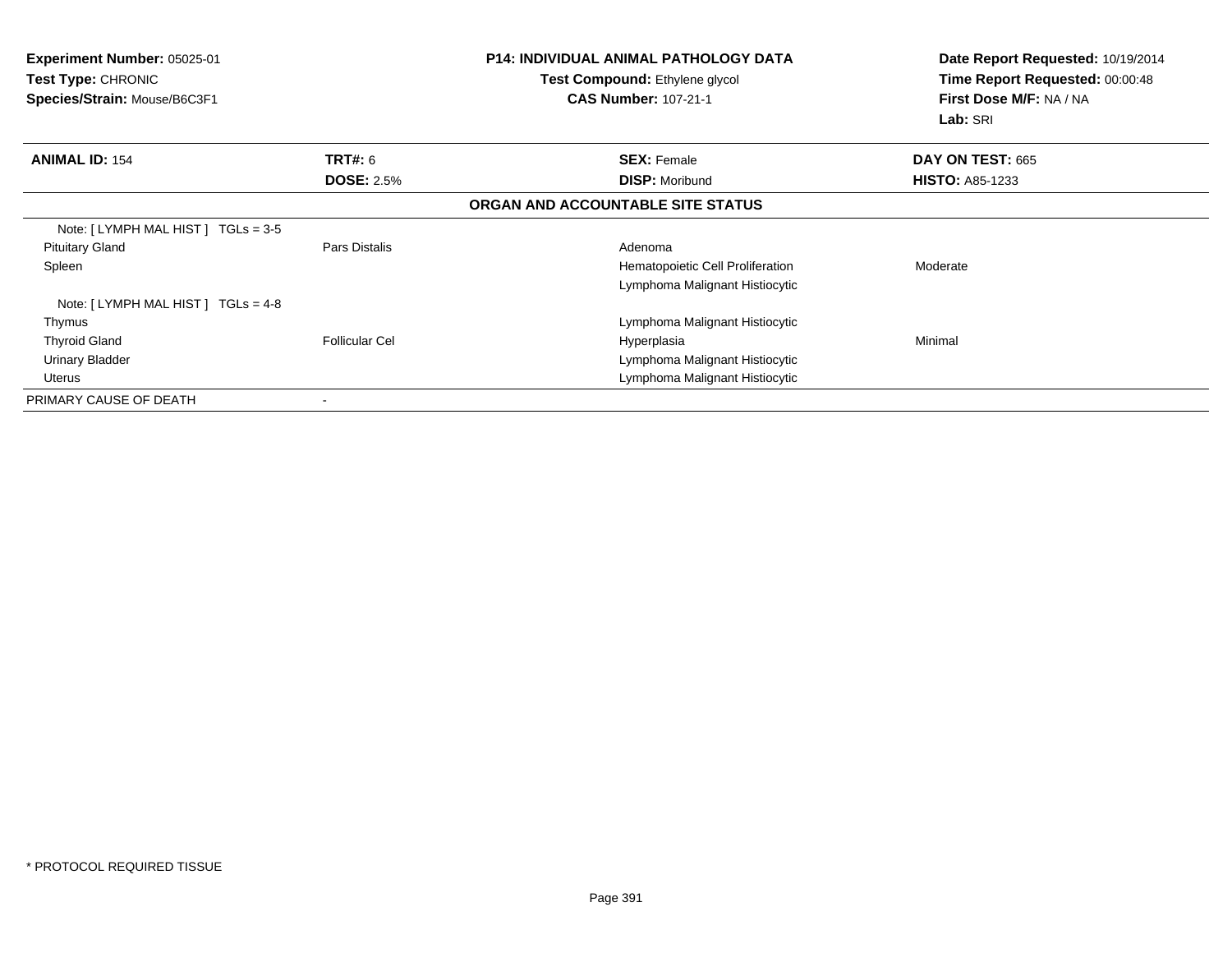| <b>Experiment Number: 05025-01</b><br><b>Test Type: CHRONIC</b><br>Species/Strain: Mouse/B6C3F1 |                       | <b>P14: INDIVIDUAL ANIMAL PATHOLOGY DATA</b><br>Test Compound: Ethylene glycol<br><b>CAS Number: 107-21-1</b> | Date Report Requested: 10/19/2014<br>Time Report Requested: 00:00:48<br>First Dose M/F: NA / NA<br>Lab: SRI |
|-------------------------------------------------------------------------------------------------|-----------------------|---------------------------------------------------------------------------------------------------------------|-------------------------------------------------------------------------------------------------------------|
| <b>ANIMAL ID: 154</b>                                                                           | <b>TRT#: 6</b>        | <b>SEX: Female</b>                                                                                            | DAY ON TEST: 665                                                                                            |
|                                                                                                 | <b>DOSE: 2.5%</b>     | <b>DISP: Moribund</b>                                                                                         | <b>HISTO: A85-1233</b>                                                                                      |
|                                                                                                 |                       | ORGAN AND ACCOUNTABLE SITE STATUS                                                                             |                                                                                                             |
| Note: [ LYMPH MAL HIST ] TGLs = 3-5                                                             |                       |                                                                                                               |                                                                                                             |
| <b>Pituitary Gland</b>                                                                          | Pars Distalis         | Adenoma                                                                                                       |                                                                                                             |
| Spleen                                                                                          |                       | Hematopoietic Cell Proliferation                                                                              | Moderate                                                                                                    |
|                                                                                                 |                       | Lymphoma Malignant Histiocytic                                                                                |                                                                                                             |
| Note: [LYMPH MAL HIST] TGLs = 4-8                                                               |                       |                                                                                                               |                                                                                                             |
| Thymus                                                                                          |                       | Lymphoma Malignant Histiocytic                                                                                |                                                                                                             |
| <b>Thyroid Gland</b>                                                                            | <b>Follicular Cel</b> | Hyperplasia                                                                                                   | Minimal                                                                                                     |
| Urinary Bladder                                                                                 |                       | Lymphoma Malignant Histiocytic                                                                                |                                                                                                             |
| Uterus                                                                                          |                       | Lymphoma Malignant Histiocytic                                                                                |                                                                                                             |
| PRIMARY CAUSE OF DEATH                                                                          |                       |                                                                                                               |                                                                                                             |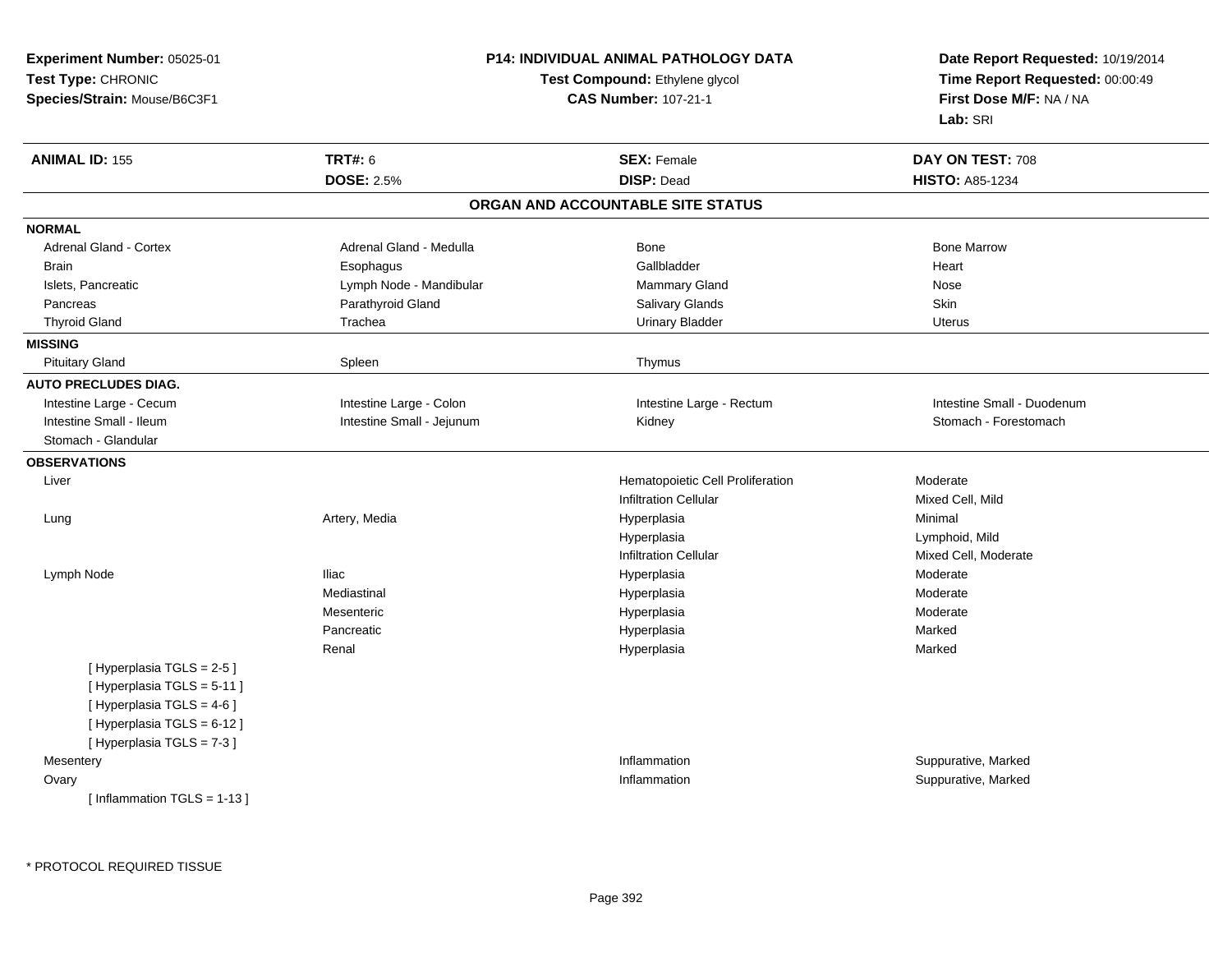| <b>Experiment Number: 05025-01</b> | <b>P14: INDIVIDUAL ANIMAL PATHOLOGY DATA</b> | Date Report Requested: 10/19/2014 |                                 |
|------------------------------------|----------------------------------------------|-----------------------------------|---------------------------------|
| Test Type: CHRONIC                 |                                              | Test Compound: Ethylene glycol    | Time Report Requested: 00:00:49 |
| Species/Strain: Mouse/B6C3F1       | <b>CAS Number: 107-21-1</b>                  |                                   | First Dose M/F: NA / NA         |
|                                    |                                              |                                   | Lab: SRI                        |
| <b>ANIMAL ID: 155</b>              | <b>TRT#: 6</b>                               | <b>SEX: Female</b>                | DAY ON TEST: 708                |
|                                    | <b>DOSE: 2.5%</b>                            | <b>DISP: Dead</b>                 | <b>HISTO: A85-1234</b>          |
|                                    |                                              | ORGAN AND ACCOUNTABLE SITE STATUS |                                 |
| <b>NORMAL</b>                      |                                              |                                   |                                 |
| Adrenal Gland - Cortex             | Adrenal Gland - Medulla                      | Bone                              | <b>Bone Marrow</b>              |
| <b>Brain</b>                       | Esophagus                                    | Gallbladder                       | Heart                           |
| Islets, Pancreatic                 | Lymph Node - Mandibular                      | Mammary Gland                     | Nose                            |
| Pancreas                           | Parathyroid Gland                            | Salivary Glands                   | Skin                            |
| <b>Thyroid Gland</b>               | Trachea                                      | <b>Urinary Bladder</b>            | <b>Uterus</b>                   |
| <b>MISSING</b>                     |                                              |                                   |                                 |
| <b>Pituitary Gland</b>             | Spleen                                       | Thymus                            |                                 |
| <b>AUTO PRECLUDES DIAG.</b>        |                                              |                                   |                                 |
| Intestine Large - Cecum            | Intestine Large - Colon                      | Intestine Large - Rectum          | Intestine Small - Duodenum      |
| Intestine Small - Ileum            | Intestine Small - Jejunum                    | Kidney                            | Stomach - Forestomach           |
| Stomach - Glandular                |                                              |                                   |                                 |
| <b>OBSERVATIONS</b>                |                                              |                                   |                                 |
| Liver                              |                                              | Hematopoietic Cell Proliferation  | Moderate                        |
|                                    |                                              | <b>Infiltration Cellular</b>      | Mixed Cell, Mild                |
| Lung                               | Artery, Media                                | Hyperplasia                       | Minimal                         |
|                                    |                                              | Hyperplasia                       | Lymphoid, Mild                  |
|                                    |                                              | <b>Infiltration Cellular</b>      | Mixed Cell, Moderate            |
| Lymph Node                         | <b>Iliac</b>                                 | Hyperplasia                       | Moderate                        |
|                                    | Mediastinal                                  | Hyperplasia                       | Moderate                        |
|                                    | Mesenteric                                   | Hyperplasia                       | Moderate                        |
|                                    | Pancreatic                                   | Hyperplasia                       | Marked                          |
|                                    | Renal                                        | Hyperplasia                       | Marked                          |
| [Hyperplasia TGLS = 2-5]           |                                              |                                   |                                 |
| [ Hyperplasia TGLS = 5-11 ]        |                                              |                                   |                                 |
| [ Hyperplasia TGLS = 4-6 ]         |                                              |                                   |                                 |
| [ Hyperplasia TGLS = 6-12 ]        |                                              |                                   |                                 |
| [Hyperplasia TGLS = 7-3]           |                                              |                                   |                                 |
| Mesentery                          |                                              | Inflammation                      | Suppurative, Marked             |
| Ovary                              |                                              | Inflammation                      | Suppurative, Marked             |
| [Inflammation TGLS = $1-13$ ]      |                                              |                                   |                                 |
|                                    |                                              |                                   |                                 |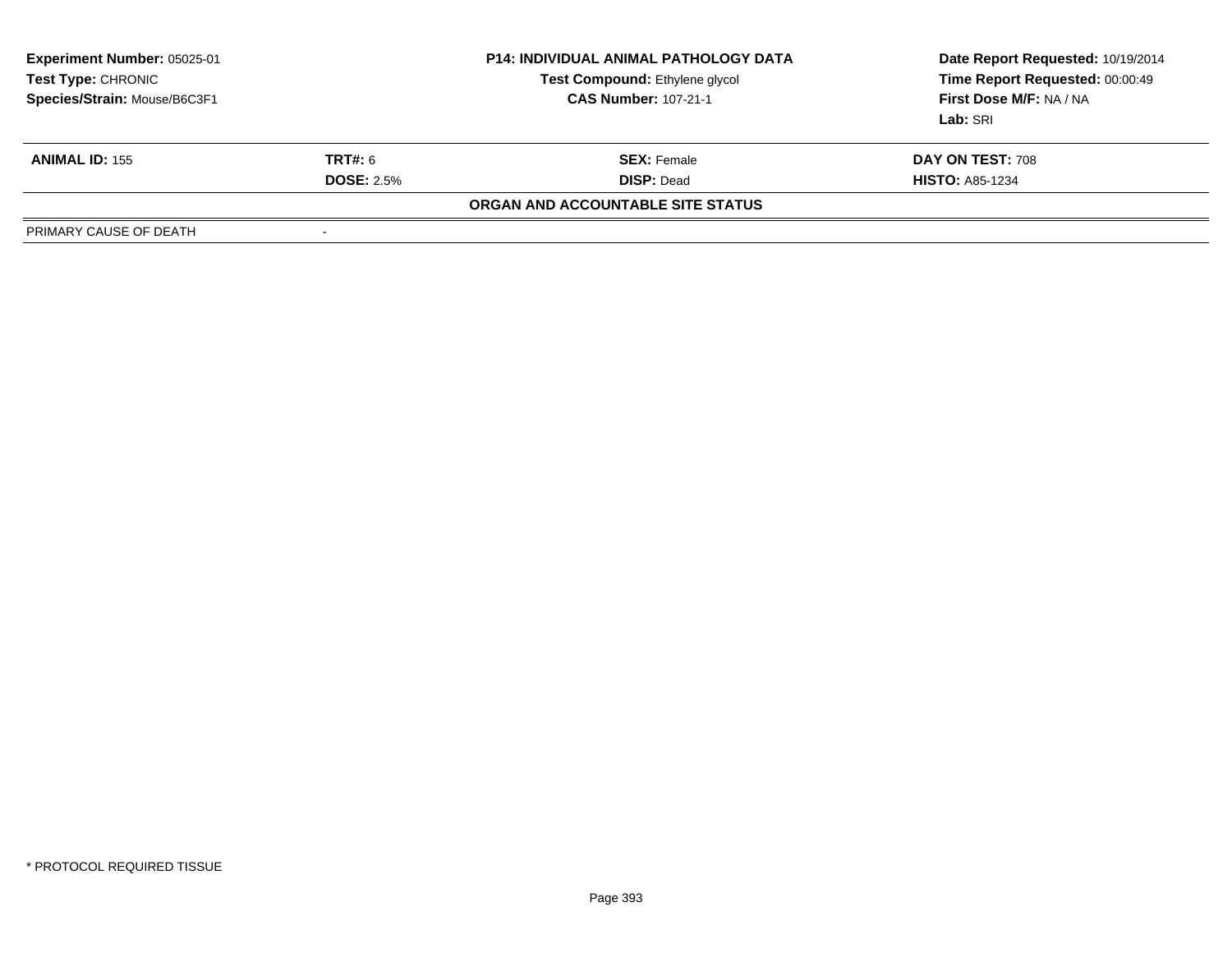| <b>Experiment Number: 05025-01</b><br>Test Type: CHRONIC<br>Species/Strain: Mouse/B6C3F1 |                   | <b>P14: INDIVIDUAL ANIMAL PATHOLOGY DATA</b><br>Test Compound: Ethylene glycol<br><b>CAS Number: 107-21-1</b> | Date Report Requested: 10/19/2014<br>Time Report Requested: 00:00:49<br>First Dose M/F: NA / NA<br>Lab: SRI |
|------------------------------------------------------------------------------------------|-------------------|---------------------------------------------------------------------------------------------------------------|-------------------------------------------------------------------------------------------------------------|
| <b>ANIMAL ID: 155</b>                                                                    | TRT#: 6           | <b>SEX: Female</b>                                                                                            | DAY ON TEST: 708                                                                                            |
|                                                                                          | <b>DOSE: 2.5%</b> | <b>DISP: Dead</b>                                                                                             | <b>HISTO: A85-1234</b>                                                                                      |
|                                                                                          |                   | ORGAN AND ACCOUNTABLE SITE STATUS                                                                             |                                                                                                             |
| PRIMARY CAUSE OF DEATH                                                                   | -                 |                                                                                                               |                                                                                                             |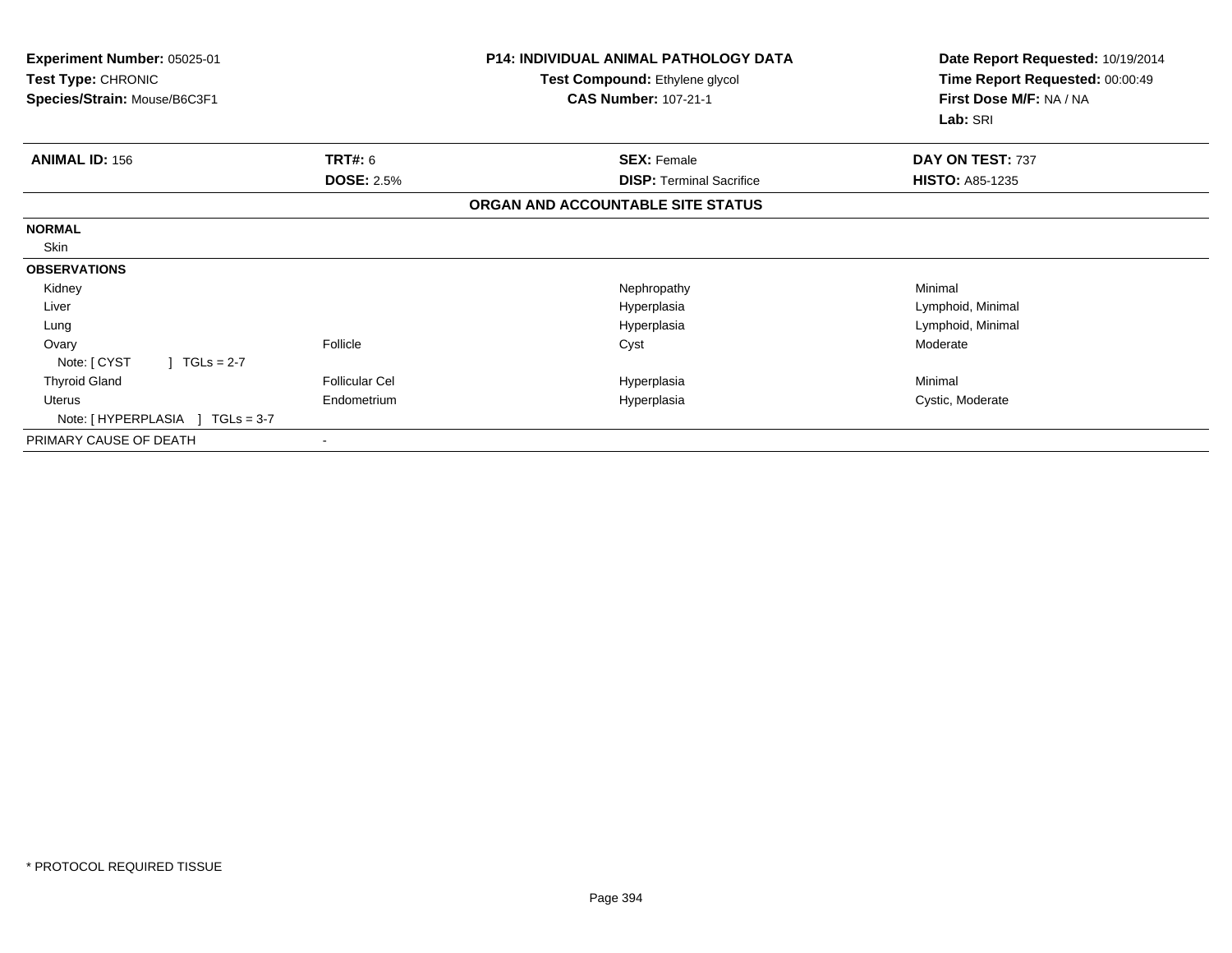| Experiment Number: 05025-01<br>Test Type: CHRONIC<br>Species/Strain: Mouse/B6C3F1 |                                     | P14: INDIVIDUAL ANIMAL PATHOLOGY DATA<br>Test Compound: Ethylene glycol<br><b>CAS Number: 107-21-1</b> | Date Report Requested: 10/19/2014<br>Time Report Requested: 00:00:49<br>First Dose M/F: NA / NA<br>Lab: SRI |  |
|-----------------------------------------------------------------------------------|-------------------------------------|--------------------------------------------------------------------------------------------------------|-------------------------------------------------------------------------------------------------------------|--|
|                                                                                   |                                     |                                                                                                        |                                                                                                             |  |
| <b>ANIMAL ID: 156</b>                                                             | <b>TRT#: 6</b><br><b>DOSE: 2.5%</b> | <b>SEX: Female</b><br><b>DISP:</b> Terminal Sacrifice                                                  | DAY ON TEST: 737<br><b>HISTO: A85-1235</b>                                                                  |  |
|                                                                                   |                                     | ORGAN AND ACCOUNTABLE SITE STATUS                                                                      |                                                                                                             |  |
| <b>NORMAL</b>                                                                     |                                     |                                                                                                        |                                                                                                             |  |
| Skin                                                                              |                                     |                                                                                                        |                                                                                                             |  |
| <b>OBSERVATIONS</b>                                                               |                                     |                                                                                                        |                                                                                                             |  |
| Kidney                                                                            |                                     | Nephropathy                                                                                            | Minimal                                                                                                     |  |
| Liver                                                                             |                                     | Hyperplasia                                                                                            | Lymphoid, Minimal                                                                                           |  |
| Lung                                                                              |                                     | Hyperplasia                                                                                            | Lymphoid, Minimal                                                                                           |  |
| Ovary                                                                             | Follicle                            | Cyst                                                                                                   | Moderate                                                                                                    |  |
| $1 TGLs = 2-7$<br>Note: [ CYST                                                    |                                     |                                                                                                        |                                                                                                             |  |
| <b>Thyroid Gland</b>                                                              | <b>Follicular Cel</b>               | Hyperplasia                                                                                            | Minimal                                                                                                     |  |
| Uterus<br>Note: [HYPERPLASIA ] TGLs = 3-7                                         | Endometrium                         | Hyperplasia                                                                                            | Cystic, Moderate                                                                                            |  |
| PRIMARY CAUSE OF DEATH                                                            |                                     |                                                                                                        |                                                                                                             |  |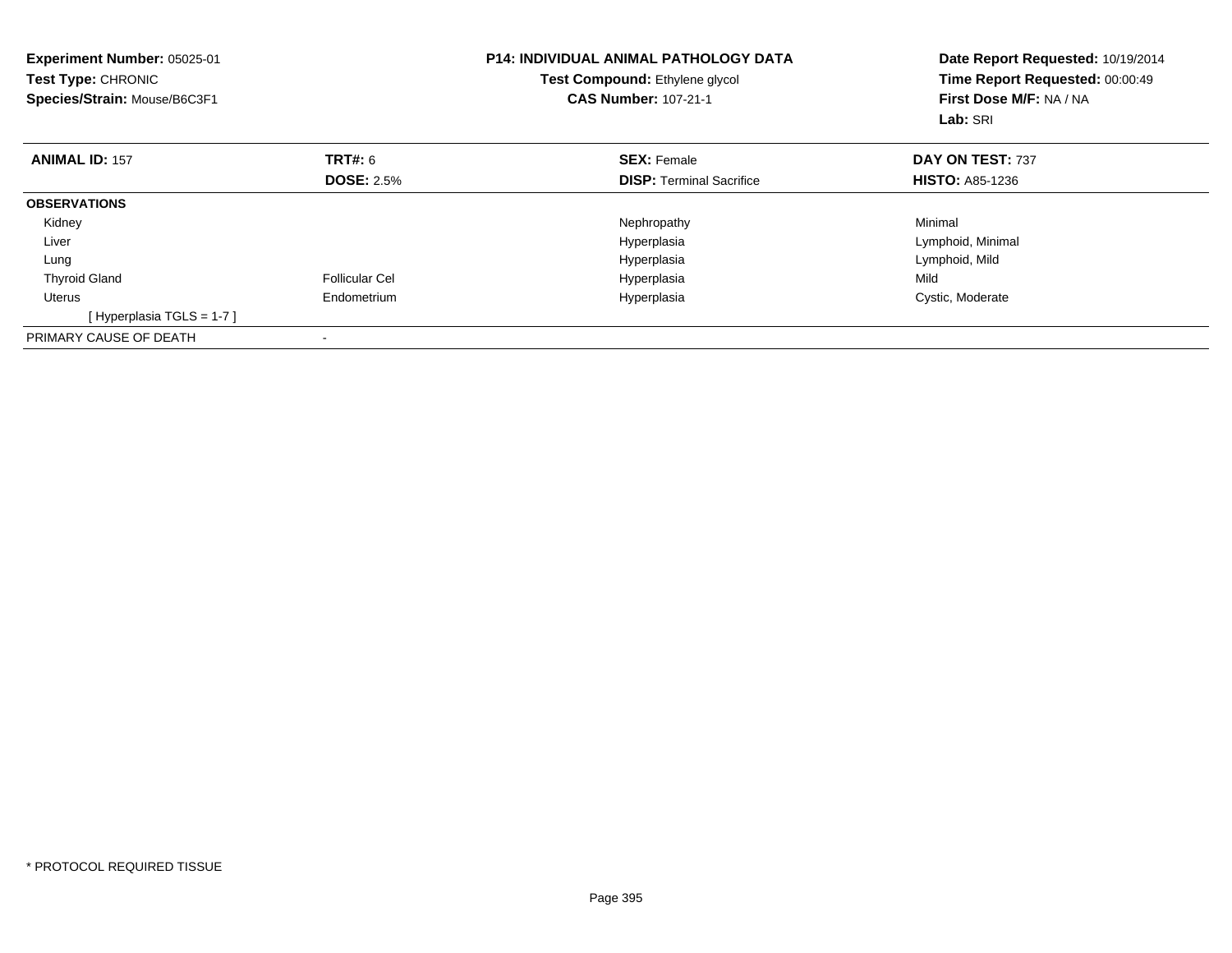| <b>Experiment Number: 05025-01</b><br>Test Type: CHRONIC<br>Species/Strain: Mouse/B6C3F1 |                       | <b>P14: INDIVIDUAL ANIMAL PATHOLOGY DATA</b><br>Test Compound: Ethylene glycol<br><b>CAS Number: 107-21-1</b> | Date Report Requested: 10/19/2014<br>Time Report Requested: 00:00:49<br>First Dose M/F: NA / NA<br>Lab: SRI |  |
|------------------------------------------------------------------------------------------|-----------------------|---------------------------------------------------------------------------------------------------------------|-------------------------------------------------------------------------------------------------------------|--|
| <b>ANIMAL ID: 157</b>                                                                    | <b>TRT#: 6</b>        | <b>SEX: Female</b>                                                                                            | DAY ON TEST: 737                                                                                            |  |
|                                                                                          | <b>DOSE: 2.5%</b>     | <b>DISP:</b> Terminal Sacrifice                                                                               | <b>HISTO: A85-1236</b>                                                                                      |  |
| <b>OBSERVATIONS</b>                                                                      |                       |                                                                                                               |                                                                                                             |  |
| Kidney                                                                                   |                       | Nephropathy                                                                                                   | Minimal                                                                                                     |  |
| Liver                                                                                    |                       | Hyperplasia                                                                                                   | Lymphoid, Minimal                                                                                           |  |
| Lung                                                                                     |                       | Hyperplasia                                                                                                   | Lymphoid, Mild                                                                                              |  |
| <b>Thyroid Gland</b>                                                                     | <b>Follicular Cel</b> | Hyperplasia                                                                                                   | Mild                                                                                                        |  |
| Uterus                                                                                   | Endometrium           | Hyperplasia                                                                                                   | Cystic, Moderate                                                                                            |  |
| [Hyperplasia TGLS = 1-7]                                                                 |                       |                                                                                                               |                                                                                                             |  |
| PRIMARY CAUSE OF DEATH                                                                   |                       |                                                                                                               |                                                                                                             |  |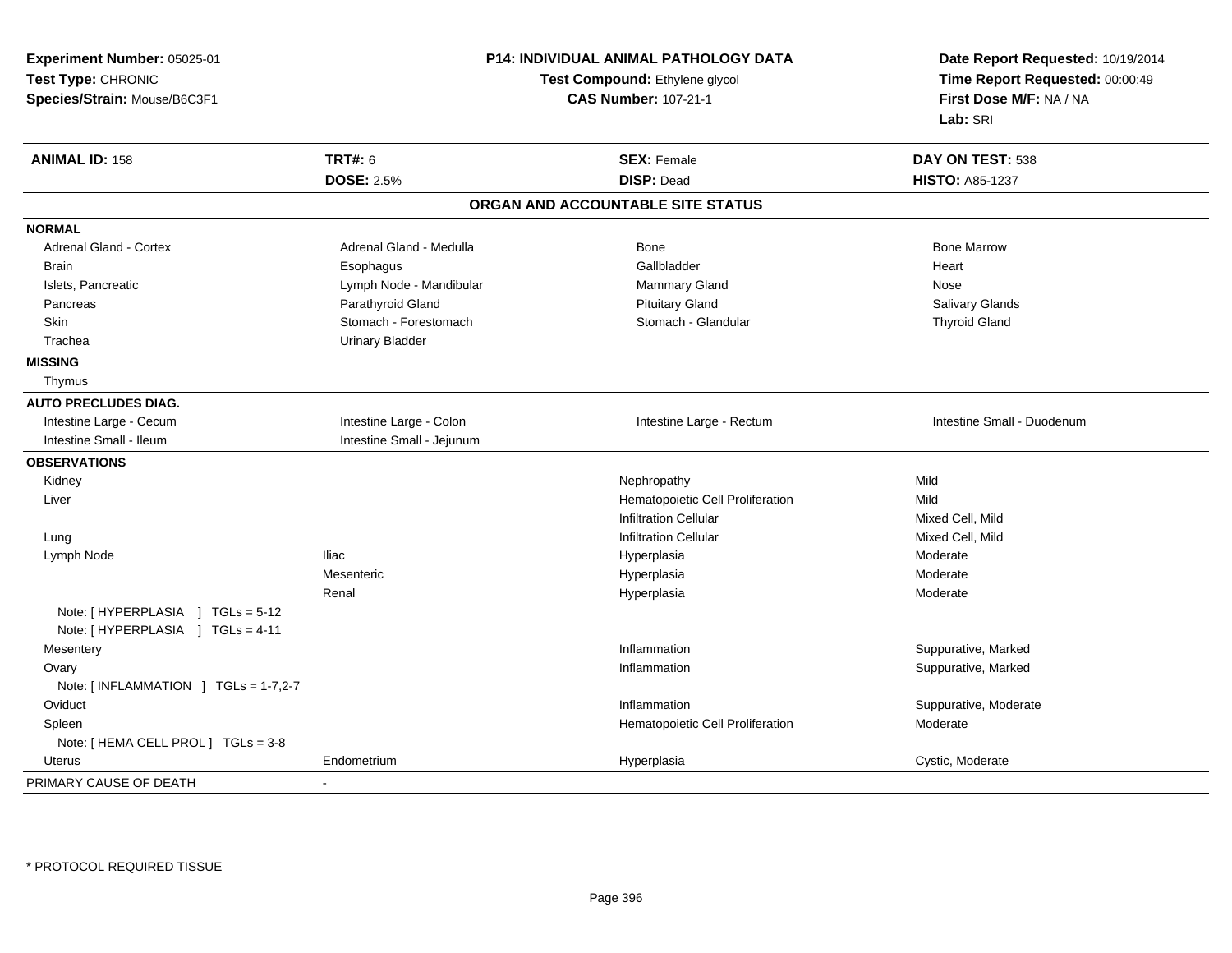| Experiment Number: 05025-01                         | <b>P14: INDIVIDUAL ANIMAL PATHOLOGY DATA</b><br>Test Compound: Ethylene glycol<br><b>CAS Number: 107-21-1</b> |                                   | Date Report Requested: 10/19/2014<br>Time Report Requested: 00:00:49 |
|-----------------------------------------------------|---------------------------------------------------------------------------------------------------------------|-----------------------------------|----------------------------------------------------------------------|
| Test Type: CHRONIC                                  |                                                                                                               |                                   |                                                                      |
| Species/Strain: Mouse/B6C3F1                        |                                                                                                               |                                   | First Dose M/F: NA / NA                                              |
|                                                     |                                                                                                               |                                   | Lab: SRI                                                             |
| <b>ANIMAL ID: 158</b>                               | <b>TRT#: 6</b>                                                                                                | <b>SEX: Female</b>                | DAY ON TEST: 538                                                     |
|                                                     | <b>DOSE: 2.5%</b>                                                                                             | <b>DISP: Dead</b>                 | <b>HISTO: A85-1237</b>                                               |
|                                                     |                                                                                                               | ORGAN AND ACCOUNTABLE SITE STATUS |                                                                      |
| <b>NORMAL</b>                                       |                                                                                                               |                                   |                                                                      |
| <b>Adrenal Gland - Cortex</b>                       | Adrenal Gland - Medulla                                                                                       | <b>Bone</b>                       | <b>Bone Marrow</b>                                                   |
| <b>Brain</b>                                        | Esophagus                                                                                                     | Gallbladder                       | Heart                                                                |
| Islets, Pancreatic                                  | Lymph Node - Mandibular                                                                                       | Mammary Gland                     | Nose                                                                 |
| Pancreas                                            | Parathyroid Gland                                                                                             | <b>Pituitary Gland</b>            | Salivary Glands                                                      |
| Skin                                                | Stomach - Forestomach                                                                                         | Stomach - Glandular               | <b>Thyroid Gland</b>                                                 |
| Trachea                                             | <b>Urinary Bladder</b>                                                                                        |                                   |                                                                      |
| <b>MISSING</b>                                      |                                                                                                               |                                   |                                                                      |
| Thymus                                              |                                                                                                               |                                   |                                                                      |
| <b>AUTO PRECLUDES DIAG.</b>                         |                                                                                                               |                                   |                                                                      |
| Intestine Large - Cecum                             | Intestine Large - Colon                                                                                       | Intestine Large - Rectum          | Intestine Small - Duodenum                                           |
| Intestine Small - Ileum                             | Intestine Small - Jejunum                                                                                     |                                   |                                                                      |
| <b>OBSERVATIONS</b>                                 |                                                                                                               |                                   |                                                                      |
| Kidney                                              |                                                                                                               | Nephropathy                       | Mild                                                                 |
| Liver                                               |                                                                                                               | Hematopoietic Cell Proliferation  | Mild                                                                 |
|                                                     |                                                                                                               | <b>Infiltration Cellular</b>      | Mixed Cell, Mild                                                     |
| Lung                                                |                                                                                                               | <b>Infiltration Cellular</b>      | Mixed Cell, Mild                                                     |
| Lymph Node                                          | <b>Iliac</b>                                                                                                  | Hyperplasia                       | Moderate                                                             |
|                                                     | Mesenteric                                                                                                    | Hyperplasia                       | Moderate                                                             |
|                                                     | Renal                                                                                                         | Hyperplasia                       | Moderate                                                             |
| Note: [HYPERPLASIA ] TGLs = 5-12                    |                                                                                                               |                                   |                                                                      |
| Note: [HYPERPLASIA ] TGLs = 4-11                    |                                                                                                               |                                   |                                                                      |
| Mesentery                                           |                                                                                                               | Inflammation                      | Suppurative, Marked                                                  |
| Ovary                                               |                                                                                                               | Inflammation                      | Suppurative, Marked                                                  |
| Note: $\lceil$ INFLAMMATION $\lceil$ TGLs = 1-7,2-7 |                                                                                                               |                                   |                                                                      |
| Oviduct                                             |                                                                                                               | Inflammation                      | Suppurative, Moderate                                                |
| Spleen                                              |                                                                                                               | Hematopoietic Cell Proliferation  | Moderate                                                             |
| Note: [ HEMA CELL PROL ] TGLs = 3-8                 |                                                                                                               |                                   |                                                                      |
| Uterus                                              | Endometrium                                                                                                   | Hyperplasia                       | Cystic, Moderate                                                     |
| PRIMARY CAUSE OF DEATH                              |                                                                                                               |                                   |                                                                      |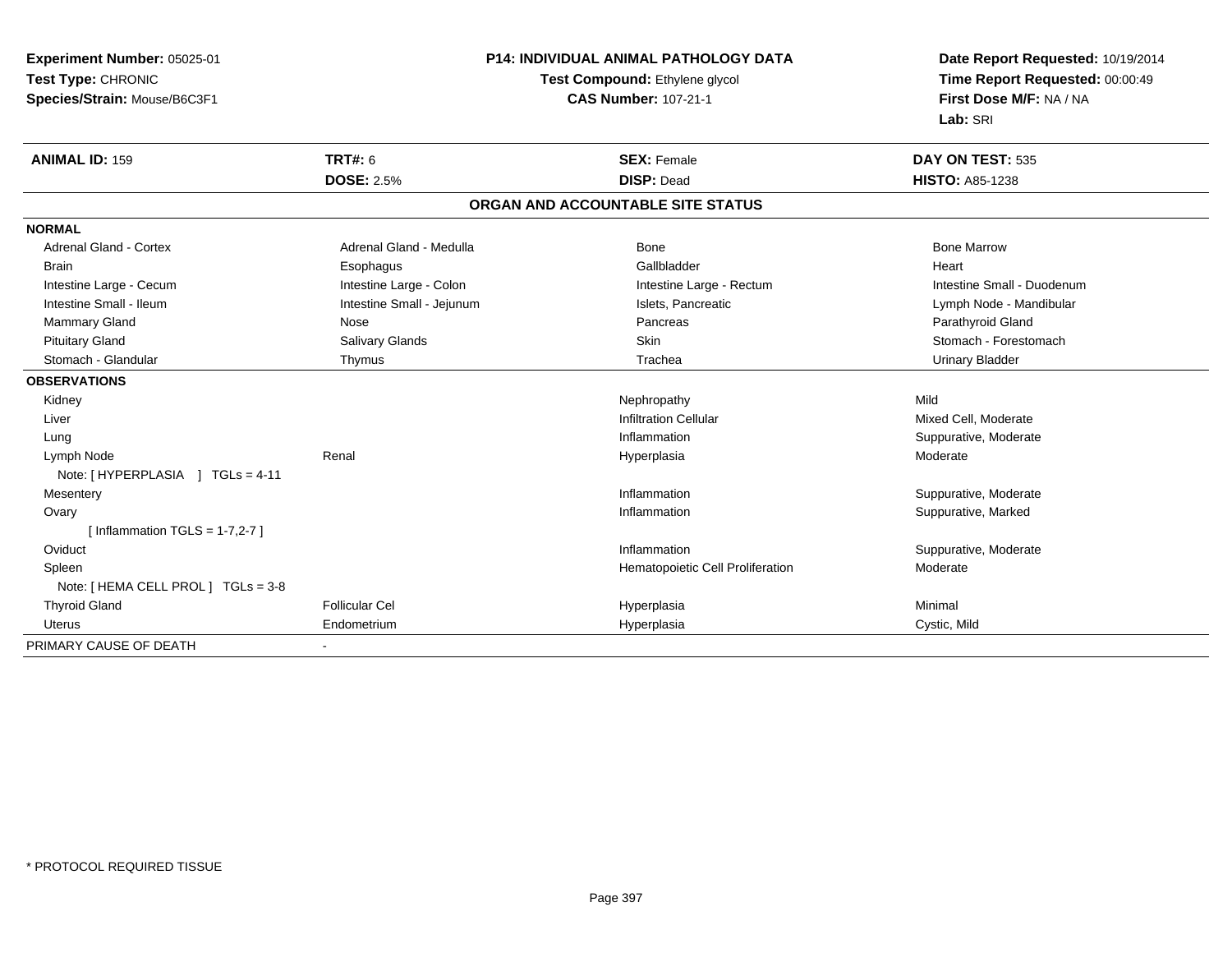**Experiment Number:** 05025-01**Test Type:** CHRONIC **Species/Strain:** Mouse/B6C3F1**P14: INDIVIDUAL ANIMAL PATHOLOGY DATATest Compound:** Ethylene glycol **CAS Number:** 107-21-1**Date Report Requested:** 10/19/2014**Time Report Requested:** 00:00:49**First Dose M/F:** NA / NA**Lab:** SRI**ANIMAL ID:** 159**TRT#:** 6 **SEX:** Female **SEX: Female DAY ON TEST:** 535 **DOSE:** 2.5% **DISP:** Dead **HISTO:** A85-1238 **ORGAN AND ACCOUNTABLE SITE STATUSNORMALAdrenal Gland - Cortex** Adrenal Gland - Medulla **Adrenal Gland - Medulla** Bone Bone Bone Bone Bone Marrow Brain Esophagus Esophagus Gallbladder Gallbladder Gallbladder Heart Intestine Large - Cecum **Intestine Large - Colon** Intestine Large - Colon Intestine Large - Rectum Intestine Large - Rectum Intestine Small - Duodenum Lymph Node - Mandibular Intestine Small - Ileum **Intestine Small - Intestine Small - Jejunum** Islets, Pancreatic Lymph Node - Mandibular Mammary Gland Nose Nose Records and December 2012 (Nose Pancreas Parathyroid Gland Parathyroid Gland Parathyroid Gland Parathyroid Gland Parathyroid Gland Parathyroid Gland Parathyroid Gland Parathyroid Gland Parathyroid G Pituitary Gland Sulvary Glands Salivary Glands Stomach - Forestomach Skin Stomach - Forestomach - Stomach - Forestomach Stomach - Glandular Thymus Trachea Urinary Bladder**OBSERVATIONS** Kidneyy the controller of the controller of the controller of the controller of the controller of the controller of the controller of the controller of the controller of the controller of the controller of the controller of the Mixed Cell, Moderate LiverInfiltration Cellular Mixed Cell, Moderate (1996), and the control of the control of the control of the control of the control of the control of the control of the control of the control of the control of the control of th Suppurative, Moderate Lungg is a state of the set of the set of the set of the set of the set of the set of the set of the set of the set of the set of the set of the set of the set of the set of the set of the set of the set of the set of the set Lymph Node Renal Hyperplasia Moderate Note: [ HYPERPLASIA ] TGLs = 4-11 Mesenteryy the control of the control of the control of the control of the control of the control of the control of the control of the control of the control of the control of the control of the control of the control of the contro Inflammation **Example 2018** Suppurative, Moderate<br>
Inflammation **Suppurative** Suppurative Marked Ovaryy the control of the control of the control of the control of the control of the control of the control of the control of the control of the control of the control of the control of the control of the control of the contro Suppurative, Marked  $[$  Inflammation TGLS = 1-7,2-7  $]$ **Oviduct** t the contract of the contract of the contract of the contract of the contract of the contract of the contract of the contract of the contract of the contract of the contract of the contract of the contract of the contract Inflammation **Suppurative, Moderate**  SpleenHematopoietic Cell Proliferation Moderate Note: [ HEMA CELL PROL ] TGLs = 3-8 Thyroid Gland Follicular Cel Hyperplasia Minimal Uterus Endometrium Hyperplasia Cystic, Mild PRIMARY CAUSE OF DEATH-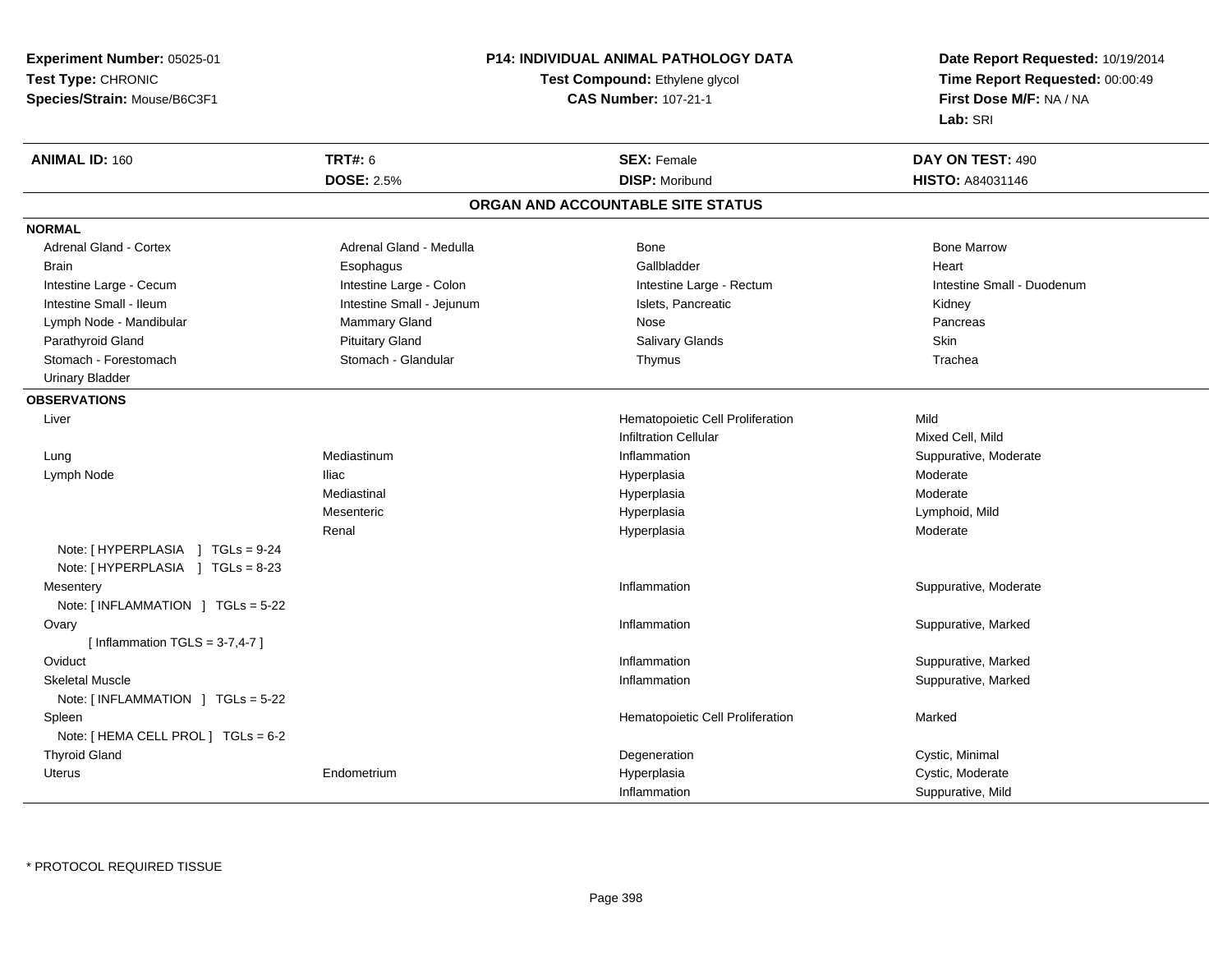**Experiment Number:** 05025-01**Test Type:** CHRONIC**Species/Strain:** Mouse/B6C3F1

## **P14: INDIVIDUAL ANIMAL PATHOLOGY DATA**

### **Test Compound:** Ethylene glycol **CAS Number:** 107-21-1

**Date Report Requested:** 10/19/2014**Time Report Requested:** 00:00:49**First Dose M/F:** NA / NA**Lab:** SRI

| <b>ANIMAL ID: 160</b>               | <b>TRT#: 6</b>            | <b>SEX: Female</b>                | DAY ON TEST: 490           |
|-------------------------------------|---------------------------|-----------------------------------|----------------------------|
|                                     | <b>DOSE: 2.5%</b>         | <b>DISP: Moribund</b>             | HISTO: A84031146           |
|                                     |                           | ORGAN AND ACCOUNTABLE SITE STATUS |                            |
| <b>NORMAL</b>                       |                           |                                   |                            |
| Adrenal Gland - Cortex              | Adrenal Gland - Medulla   | <b>Bone</b>                       | <b>Bone Marrow</b>         |
| <b>Brain</b>                        | Esophagus                 | Gallbladder                       | Heart                      |
| Intestine Large - Cecum             | Intestine Large - Colon   | Intestine Large - Rectum          | Intestine Small - Duodenum |
| Intestine Small - Ileum             | Intestine Small - Jejunum | Islets, Pancreatic                | Kidney                     |
| Lymph Node - Mandibular             | Mammary Gland             | Nose                              | Pancreas                   |
| Parathyroid Gland                   | <b>Pituitary Gland</b>    | Salivary Glands                   | Skin                       |
| Stomach - Forestomach               | Stomach - Glandular       | Thymus                            | Trachea                    |
| <b>Urinary Bladder</b>              |                           |                                   |                            |
| <b>OBSERVATIONS</b>                 |                           |                                   |                            |
| Liver                               |                           | Hematopoietic Cell Proliferation  | Mild                       |
|                                     |                           | <b>Infiltration Cellular</b>      | Mixed Cell, Mild           |
| Lung                                | Mediastinum               | Inflammation                      | Suppurative, Moderate      |
| Lymph Node                          | <b>Iliac</b>              | Hyperplasia                       | Moderate                   |
|                                     | Mediastinal               | Hyperplasia                       | Moderate                   |
|                                     | Mesenteric                | Hyperplasia                       | Lymphoid, Mild             |
|                                     | Renal                     | Hyperplasia                       | Moderate                   |
| Note: [HYPERPLASIA ] TGLs = 9-24    |                           |                                   |                            |
| Note: [HYPERPLASIA ] TGLs = 8-23    |                           |                                   |                            |
| Mesentery                           |                           | Inflammation                      | Suppurative, Moderate      |
| Note: [ INFLAMMATION ] TGLs = 5-22  |                           |                                   |                            |
| Ovary                               |                           | Inflammation                      | Suppurative, Marked        |
| [Inflammation TGLS = $3-7,4-7$ ]    |                           |                                   |                            |
| Oviduct                             |                           | Inflammation                      | Suppurative, Marked        |
| <b>Skeletal Muscle</b>              |                           | Inflammation                      | Suppurative, Marked        |
| Note: [INFLAMMATION ] TGLs = 5-22   |                           |                                   |                            |
| Spleen                              |                           | Hematopoietic Cell Proliferation  | Marked                     |
| Note: [ HEMA CELL PROL ] TGLs = 6-2 |                           |                                   |                            |
| <b>Thyroid Gland</b>                |                           | Degeneration                      | Cystic, Minimal            |
| Uterus                              | Endometrium               | Hyperplasia                       | Cystic, Moderate           |
|                                     |                           | Inflammation                      | Suppurative, Mild          |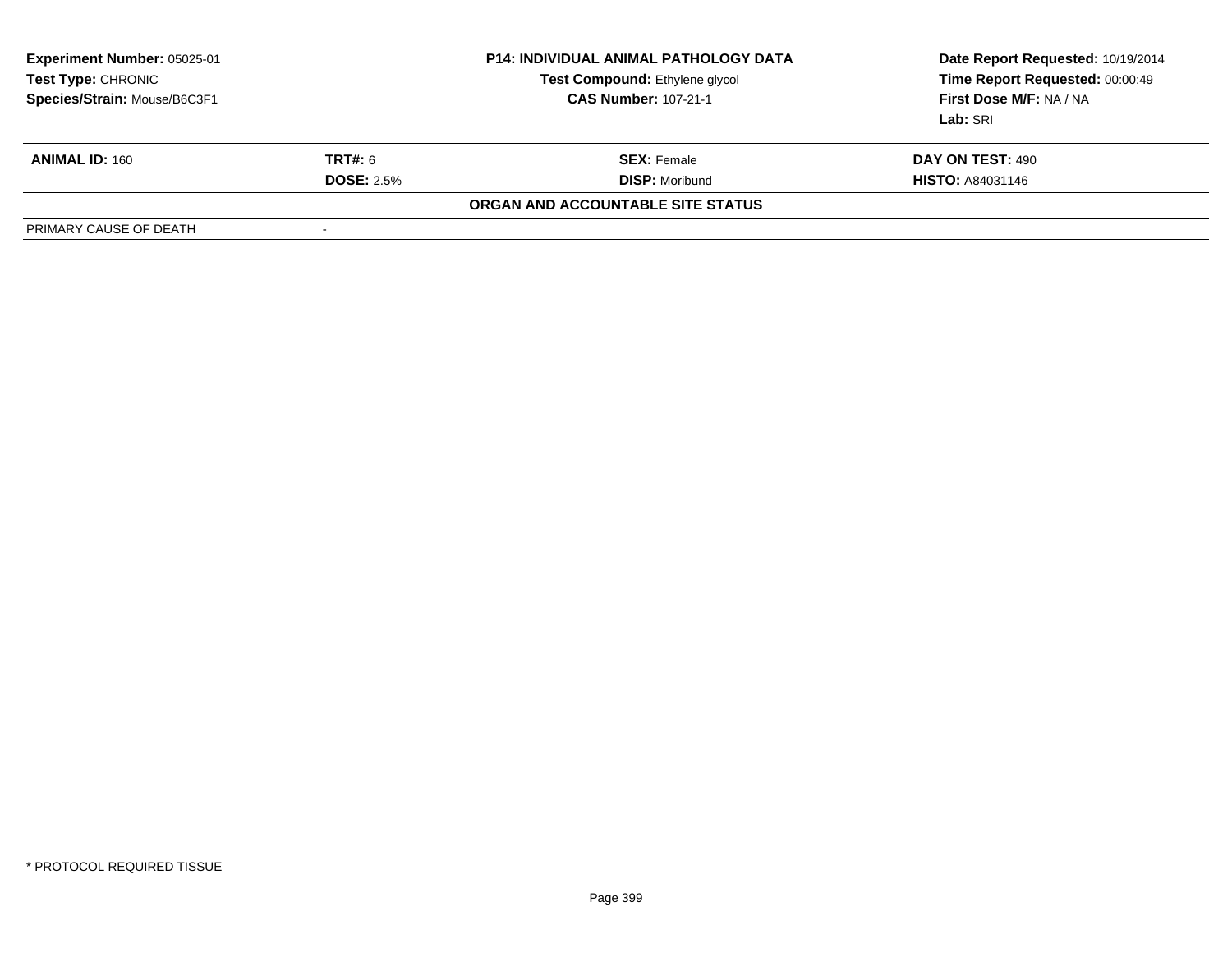| <b>Experiment Number: 05025-01</b><br><b>Test Type: CHRONIC</b><br>Species/Strain: Mouse/B6C3F1 |                   | <b>P14: INDIVIDUAL ANIMAL PATHOLOGY DATA</b><br>Test Compound: Ethylene glycol<br><b>CAS Number: 107-21-1</b> | Date Report Requested: 10/19/2014<br>Time Report Requested: 00:00:49<br><b>First Dose M/F: NA / NA</b><br>Lab: SRI |
|-------------------------------------------------------------------------------------------------|-------------------|---------------------------------------------------------------------------------------------------------------|--------------------------------------------------------------------------------------------------------------------|
| <b>ANIMAL ID: 160</b>                                                                           | <b>TRT#:</b> 6    | <b>SEX: Female</b>                                                                                            | DAY ON TEST: 490                                                                                                   |
|                                                                                                 | <b>DOSE: 2.5%</b> | <b>DISP:</b> Moribund                                                                                         | <b>HISTO: A84031146</b>                                                                                            |
|                                                                                                 |                   | ORGAN AND ACCOUNTABLE SITE STATUS                                                                             |                                                                                                                    |
| PRIMARY CAUSE OF DEATH                                                                          |                   |                                                                                                               |                                                                                                                    |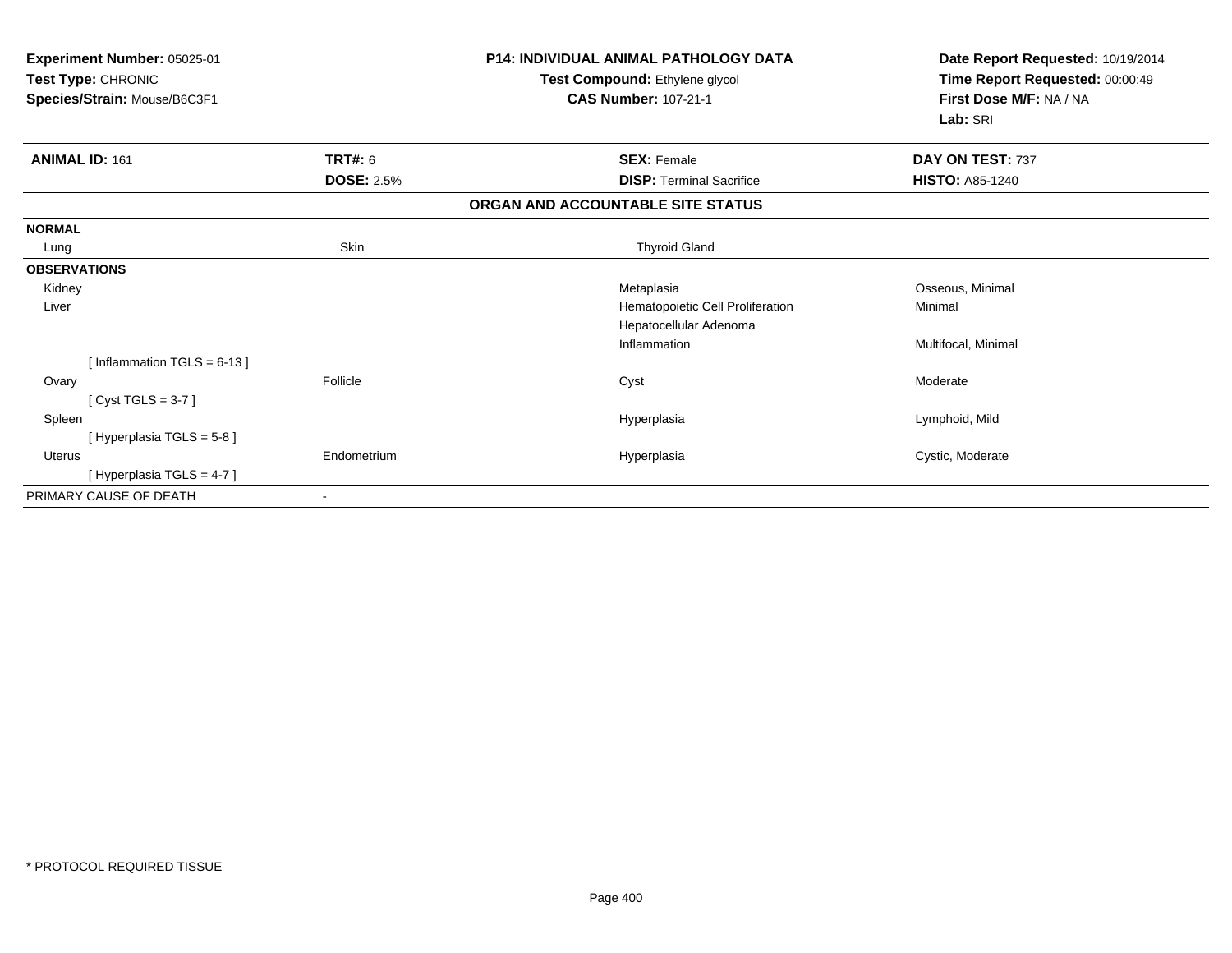| Experiment Number: 05025-01<br>Test Type: CHRONIC<br>Species/Strain: Mouse/B6C3F1 |                   | <b>P14: INDIVIDUAL ANIMAL PATHOLOGY DATA</b><br>Test Compound: Ethylene glycol<br><b>CAS Number: 107-21-1</b> | Date Report Requested: 10/19/2014<br>Time Report Requested: 00:00:49<br>First Dose M/F: NA / NA<br>Lab: SRI |
|-----------------------------------------------------------------------------------|-------------------|---------------------------------------------------------------------------------------------------------------|-------------------------------------------------------------------------------------------------------------|
| <b>ANIMAL ID: 161</b>                                                             | TRT#: 6           | <b>SEX: Female</b>                                                                                            | DAY ON TEST: 737                                                                                            |
|                                                                                   | <b>DOSE: 2.5%</b> | <b>DISP: Terminal Sacrifice</b>                                                                               | <b>HISTO: A85-1240</b>                                                                                      |
|                                                                                   |                   | ORGAN AND ACCOUNTABLE SITE STATUS                                                                             |                                                                                                             |
| <b>NORMAL</b>                                                                     |                   |                                                                                                               |                                                                                                             |
| Lung                                                                              | Skin              | <b>Thyroid Gland</b>                                                                                          |                                                                                                             |
| <b>OBSERVATIONS</b>                                                               |                   |                                                                                                               |                                                                                                             |
| Kidney                                                                            |                   | Metaplasia                                                                                                    | Osseous, Minimal                                                                                            |
| Liver                                                                             |                   | Hematopoietic Cell Proliferation                                                                              | Minimal                                                                                                     |
|                                                                                   |                   | Hepatocellular Adenoma                                                                                        |                                                                                                             |
|                                                                                   |                   | Inflammation                                                                                                  | Multifocal, Minimal                                                                                         |
| [Inflammation TGLS = $6-13$ ]                                                     |                   |                                                                                                               |                                                                                                             |
| Ovary                                                                             | Follicle          | Cyst                                                                                                          | Moderate                                                                                                    |
| [Cyst TGLS = $3-7$ ]                                                              |                   |                                                                                                               |                                                                                                             |
| Spleen                                                                            |                   | Hyperplasia                                                                                                   | Lymphoid, Mild                                                                                              |
| [Hyperplasia TGLS = 5-8]                                                          |                   |                                                                                                               |                                                                                                             |
| <b>Uterus</b>                                                                     | Endometrium       | Hyperplasia                                                                                                   | Cystic, Moderate                                                                                            |
| [Hyperplasia TGLS = 4-7]                                                          |                   |                                                                                                               |                                                                                                             |
| PRIMARY CAUSE OF DEATH                                                            |                   |                                                                                                               |                                                                                                             |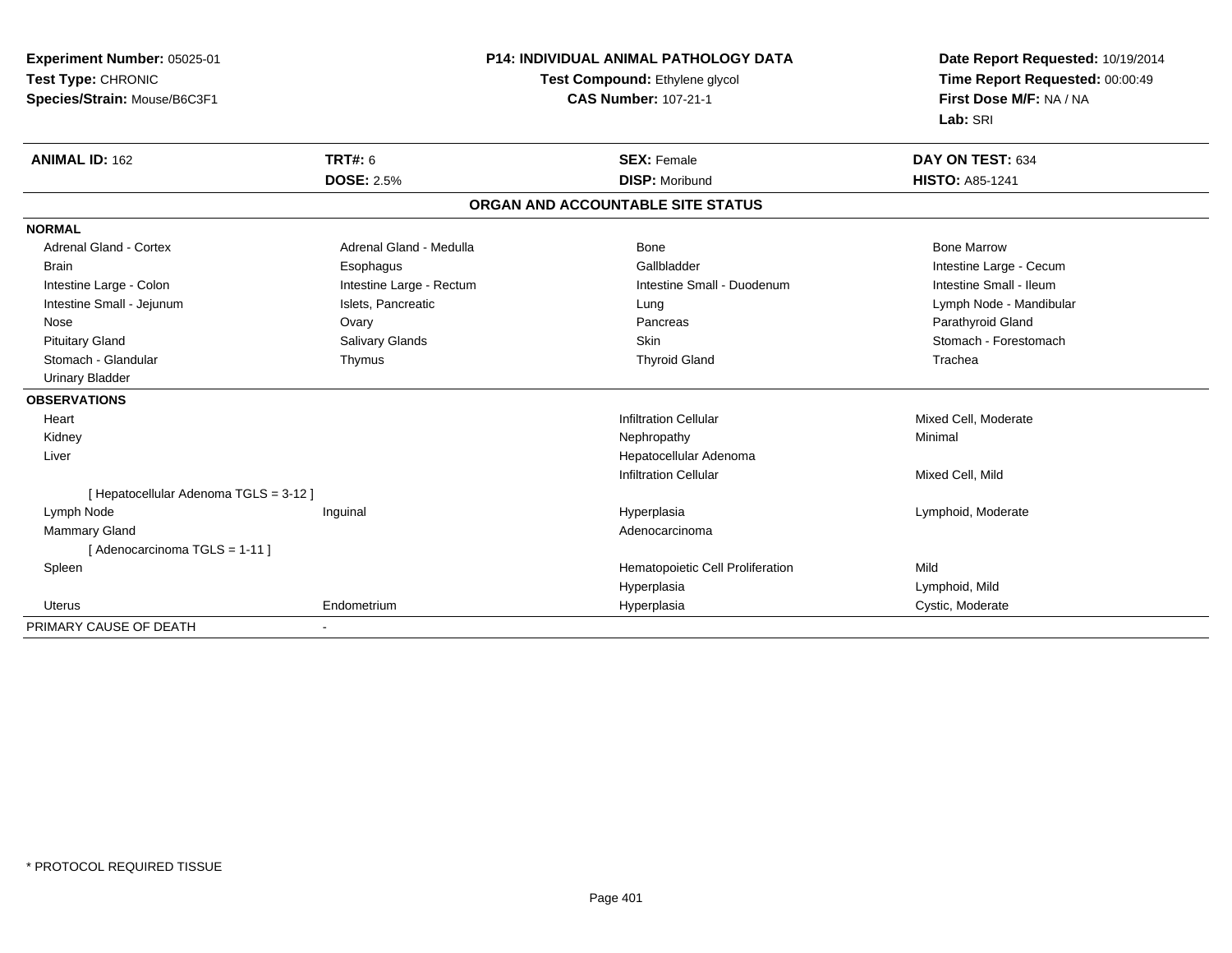| Experiment Number: 05025-01            |                          | <b>P14: INDIVIDUAL ANIMAL PATHOLOGY DATA</b> | Date Report Requested: 10/19/2014 |
|----------------------------------------|--------------------------|----------------------------------------------|-----------------------------------|
| Test Type: CHRONIC                     |                          | Test Compound: Ethylene glycol               | Time Report Requested: 00:00:49   |
| Species/Strain: Mouse/B6C3F1           |                          | <b>CAS Number: 107-21-1</b>                  | First Dose M/F: NA / NA           |
|                                        |                          |                                              | Lab: SRI                          |
| <b>ANIMAL ID: 162</b>                  | <b>TRT#: 6</b>           | <b>SEX: Female</b>                           | DAY ON TEST: 634                  |
|                                        | <b>DOSE: 2.5%</b>        | <b>DISP: Moribund</b>                        | <b>HISTO: A85-1241</b>            |
|                                        |                          | ORGAN AND ACCOUNTABLE SITE STATUS            |                                   |
| <b>NORMAL</b>                          |                          |                                              |                                   |
| <b>Adrenal Gland - Cortex</b>          | Adrenal Gland - Medulla  | Bone                                         | <b>Bone Marrow</b>                |
| <b>Brain</b>                           | Esophagus                | Gallbladder                                  | Intestine Large - Cecum           |
| Intestine Large - Colon                | Intestine Large - Rectum | Intestine Small - Duodenum                   | Intestine Small - Ileum           |
| Intestine Small - Jejunum              | Islets, Pancreatic       | Lung                                         | Lymph Node - Mandibular           |
| Nose                                   | Ovary                    | Pancreas                                     | Parathyroid Gland                 |
| <b>Pituitary Gland</b>                 | <b>Salivary Glands</b>   | <b>Skin</b>                                  | Stomach - Forestomach             |
| Stomach - Glandular                    | Thymus                   | <b>Thyroid Gland</b>                         | Trachea                           |
| <b>Urinary Bladder</b>                 |                          |                                              |                                   |
| <b>OBSERVATIONS</b>                    |                          |                                              |                                   |
| Heart                                  |                          | <b>Infiltration Cellular</b>                 | Mixed Cell, Moderate              |
| Kidney                                 |                          | Nephropathy                                  | Minimal                           |
| Liver                                  |                          | Hepatocellular Adenoma                       |                                   |
|                                        |                          | <b>Infiltration Cellular</b>                 | Mixed Cell, Mild                  |
| [ Hepatocellular Adenoma TGLS = 3-12 ] |                          |                                              |                                   |
| Lymph Node                             | Inguinal                 | Hyperplasia                                  | Lymphoid, Moderate                |
| Mammary Gland                          |                          | Adenocarcinoma                               |                                   |
| [ Adenocarcinoma TGLS = 1-11 ]         |                          |                                              |                                   |
| Spleen                                 |                          | Hematopoietic Cell Proliferation             | Mild                              |
|                                        |                          | Hyperplasia                                  | Lymphoid, Mild                    |
| Uterus                                 | Endometrium              | Hyperplasia                                  | Cystic, Moderate                  |
| PRIMARY CAUSE OF DEATH                 | $\blacksquare$           |                                              |                                   |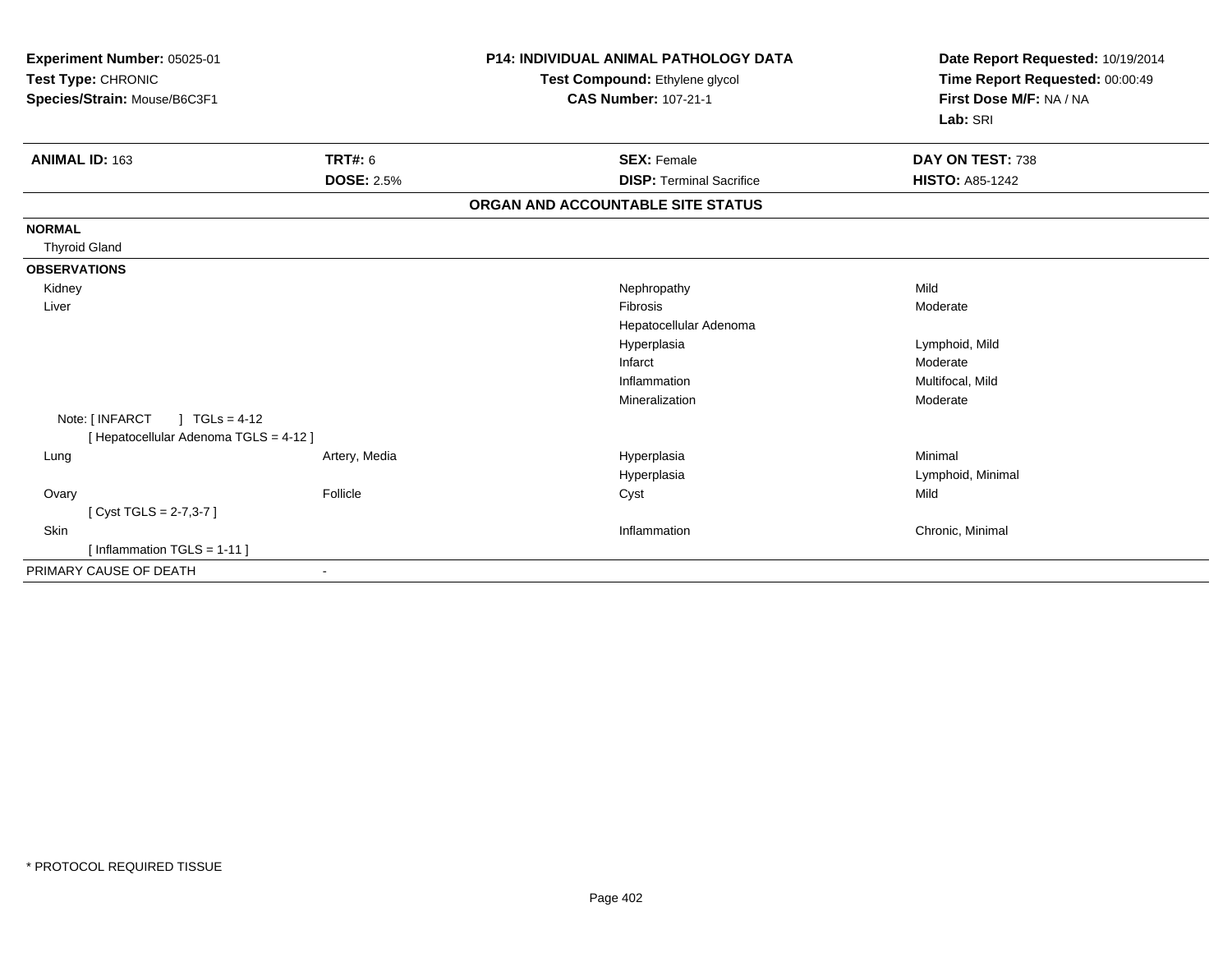| Experiment Number: 05025-01<br>Test Type: CHRONIC<br>Species/Strain: Mouse/B6C3F1 |                   | <b>P14: INDIVIDUAL ANIMAL PATHOLOGY DATA</b><br>Test Compound: Ethylene glycol<br><b>CAS Number: 107-21-1</b> | Date Report Requested: 10/19/2014<br>Time Report Requested: 00:00:49<br>First Dose M/F: NA / NA<br>Lab: SRI |
|-----------------------------------------------------------------------------------|-------------------|---------------------------------------------------------------------------------------------------------------|-------------------------------------------------------------------------------------------------------------|
| <b>ANIMAL ID: 163</b>                                                             | <b>TRT#: 6</b>    | <b>SEX: Female</b>                                                                                            | DAY ON TEST: 738                                                                                            |
|                                                                                   | <b>DOSE: 2.5%</b> | <b>DISP: Terminal Sacrifice</b>                                                                               | <b>HISTO: A85-1242</b>                                                                                      |
|                                                                                   |                   | ORGAN AND ACCOUNTABLE SITE STATUS                                                                             |                                                                                                             |
| <b>NORMAL</b>                                                                     |                   |                                                                                                               |                                                                                                             |
| <b>Thyroid Gland</b>                                                              |                   |                                                                                                               |                                                                                                             |
| <b>OBSERVATIONS</b>                                                               |                   |                                                                                                               |                                                                                                             |
| Kidney                                                                            |                   | Nephropathy                                                                                                   | Mild                                                                                                        |
| Liver                                                                             |                   | <b>Fibrosis</b>                                                                                               | Moderate                                                                                                    |
|                                                                                   |                   | Hepatocellular Adenoma                                                                                        |                                                                                                             |
|                                                                                   |                   | Hyperplasia                                                                                                   | Lymphoid, Mild                                                                                              |
|                                                                                   |                   | Infarct                                                                                                       | Moderate                                                                                                    |
|                                                                                   |                   | Inflammation                                                                                                  | Multifocal, Mild                                                                                            |
|                                                                                   |                   | Mineralization                                                                                                | Moderate                                                                                                    |
| Note: [ INFARCT<br>$1 TGLs = 4-12$                                                |                   |                                                                                                               |                                                                                                             |
| [ Hepatocellular Adenoma TGLS = 4-12 ]                                            |                   |                                                                                                               |                                                                                                             |
| Lung                                                                              | Artery, Media     | Hyperplasia                                                                                                   | Minimal                                                                                                     |
|                                                                                   |                   | Hyperplasia                                                                                                   | Lymphoid, Minimal                                                                                           |
| Ovary                                                                             | Follicle          | Cyst                                                                                                          | Mild                                                                                                        |
| [Cyst TGLS = $2-7,3-7$ ]                                                          |                   |                                                                                                               |                                                                                                             |
| Skin                                                                              |                   | Inflammation                                                                                                  | Chronic, Minimal                                                                                            |
| [ Inflammation $TGLS = 1-11$ ]                                                    |                   |                                                                                                               |                                                                                                             |
| PRIMARY CAUSE OF DEATH                                                            |                   |                                                                                                               |                                                                                                             |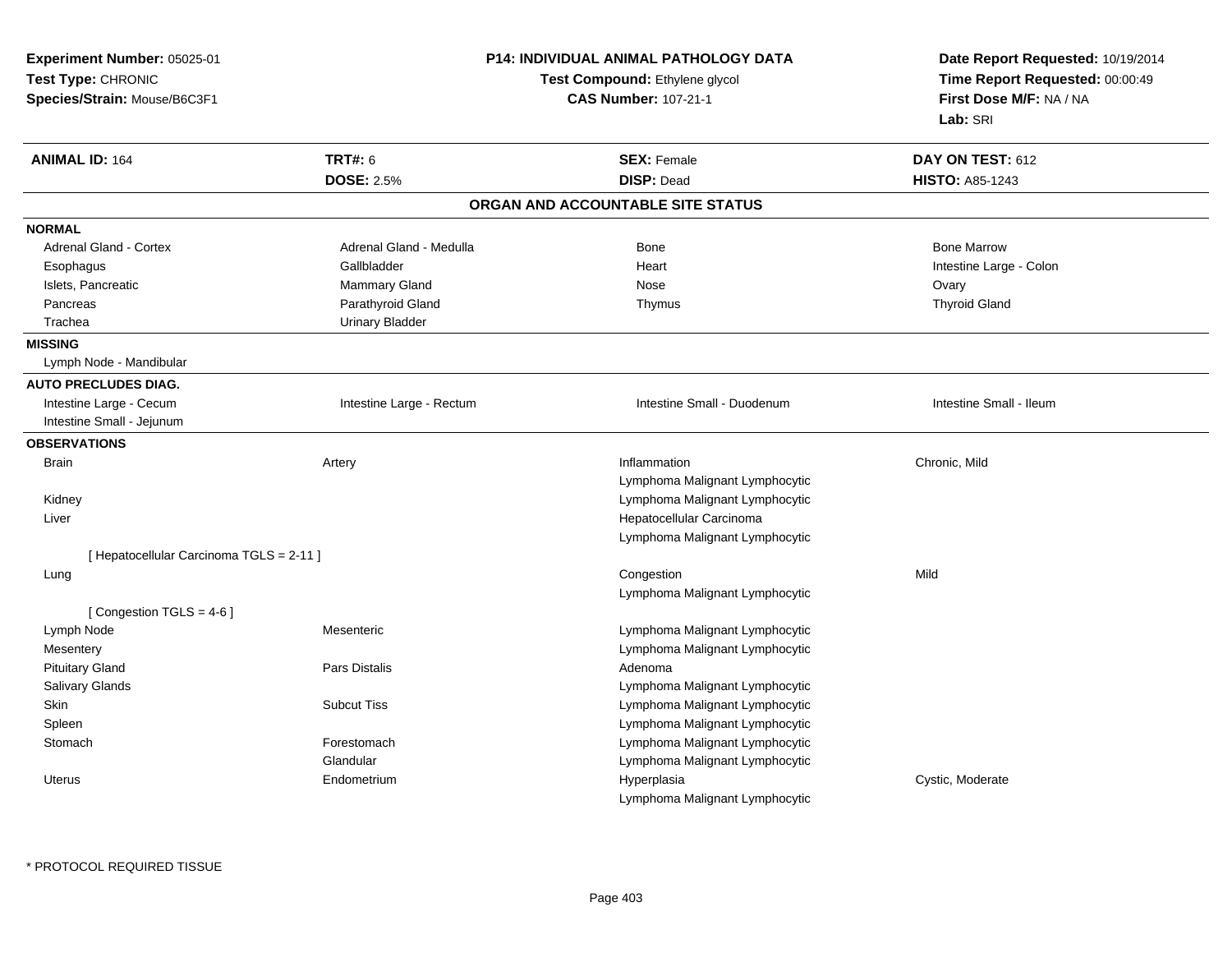| Experiment Number: 05025-01<br>Test Type: CHRONIC<br>Species/Strain: Mouse/B6C3F1 |                          | P14: INDIVIDUAL ANIMAL PATHOLOGY DATA<br>Test Compound: Ethylene glycol<br><b>CAS Number: 107-21-1</b> | Date Report Requested: 10/19/2014<br>Time Report Requested: 00:00:49<br>First Dose M/F: NA / NA<br>Lab: SRI |
|-----------------------------------------------------------------------------------|--------------------------|--------------------------------------------------------------------------------------------------------|-------------------------------------------------------------------------------------------------------------|
| <b>ANIMAL ID: 164</b>                                                             | <b>TRT#: 6</b>           | <b>SEX: Female</b>                                                                                     | DAY ON TEST: 612                                                                                            |
|                                                                                   | <b>DOSE: 2.5%</b>        | <b>DISP: Dead</b>                                                                                      | <b>HISTO: A85-1243</b>                                                                                      |
|                                                                                   |                          | ORGAN AND ACCOUNTABLE SITE STATUS                                                                      |                                                                                                             |
| <b>NORMAL</b>                                                                     |                          |                                                                                                        |                                                                                                             |
| Adrenal Gland - Cortex                                                            | Adrenal Gland - Medulla  | <b>Bone</b>                                                                                            | <b>Bone Marrow</b>                                                                                          |
| Esophagus                                                                         | Gallbladder              | Heart                                                                                                  | Intestine Large - Colon                                                                                     |
| Islets, Pancreatic                                                                | Mammary Gland            | Nose                                                                                                   | Ovary                                                                                                       |
| Pancreas                                                                          | Parathyroid Gland        | Thymus                                                                                                 | <b>Thyroid Gland</b>                                                                                        |
| Trachea                                                                           | <b>Urinary Bladder</b>   |                                                                                                        |                                                                                                             |
| <b>MISSING</b>                                                                    |                          |                                                                                                        |                                                                                                             |
| Lymph Node - Mandibular                                                           |                          |                                                                                                        |                                                                                                             |
| <b>AUTO PRECLUDES DIAG.</b>                                                       |                          |                                                                                                        |                                                                                                             |
| Intestine Large - Cecum                                                           | Intestine Large - Rectum | Intestine Small - Duodenum                                                                             | Intestine Small - Ileum                                                                                     |
| Intestine Small - Jejunum                                                         |                          |                                                                                                        |                                                                                                             |
| <b>OBSERVATIONS</b>                                                               |                          |                                                                                                        |                                                                                                             |
| <b>Brain</b>                                                                      | Artery                   | Inflammation                                                                                           | Chronic, Mild                                                                                               |
|                                                                                   |                          | Lymphoma Malignant Lymphocytic                                                                         |                                                                                                             |
| Kidney                                                                            |                          | Lymphoma Malignant Lymphocytic                                                                         |                                                                                                             |
| Liver                                                                             |                          | Hepatocellular Carcinoma                                                                               |                                                                                                             |
|                                                                                   |                          | Lymphoma Malignant Lymphocytic                                                                         |                                                                                                             |
| [ Hepatocellular Carcinoma TGLS = 2-11 ]                                          |                          |                                                                                                        |                                                                                                             |
| Lung                                                                              |                          | Congestion                                                                                             | Mild                                                                                                        |
|                                                                                   |                          | Lymphoma Malignant Lymphocytic                                                                         |                                                                                                             |
| [Congestion TGLS = $4-6$ ]                                                        |                          |                                                                                                        |                                                                                                             |
| Lymph Node                                                                        | Mesenteric               | Lymphoma Malignant Lymphocytic                                                                         |                                                                                                             |
| Mesentery                                                                         |                          | Lymphoma Malignant Lymphocytic                                                                         |                                                                                                             |
| <b>Pituitary Gland</b>                                                            | Pars Distalis            | Adenoma                                                                                                |                                                                                                             |
| Salivary Glands                                                                   |                          | Lymphoma Malignant Lymphocytic                                                                         |                                                                                                             |
| Skin                                                                              | <b>Subcut Tiss</b>       | Lymphoma Malignant Lymphocytic                                                                         |                                                                                                             |
| Spleen                                                                            |                          | Lymphoma Malignant Lymphocytic                                                                         |                                                                                                             |
| Stomach                                                                           | Forestomach              | Lymphoma Malignant Lymphocytic                                                                         |                                                                                                             |
|                                                                                   | Glandular                | Lymphoma Malignant Lymphocytic                                                                         |                                                                                                             |
| <b>Uterus</b>                                                                     | Endometrium              | Hyperplasia                                                                                            | Cystic, Moderate                                                                                            |
|                                                                                   |                          | Lymphoma Malignant Lymphocytic                                                                         |                                                                                                             |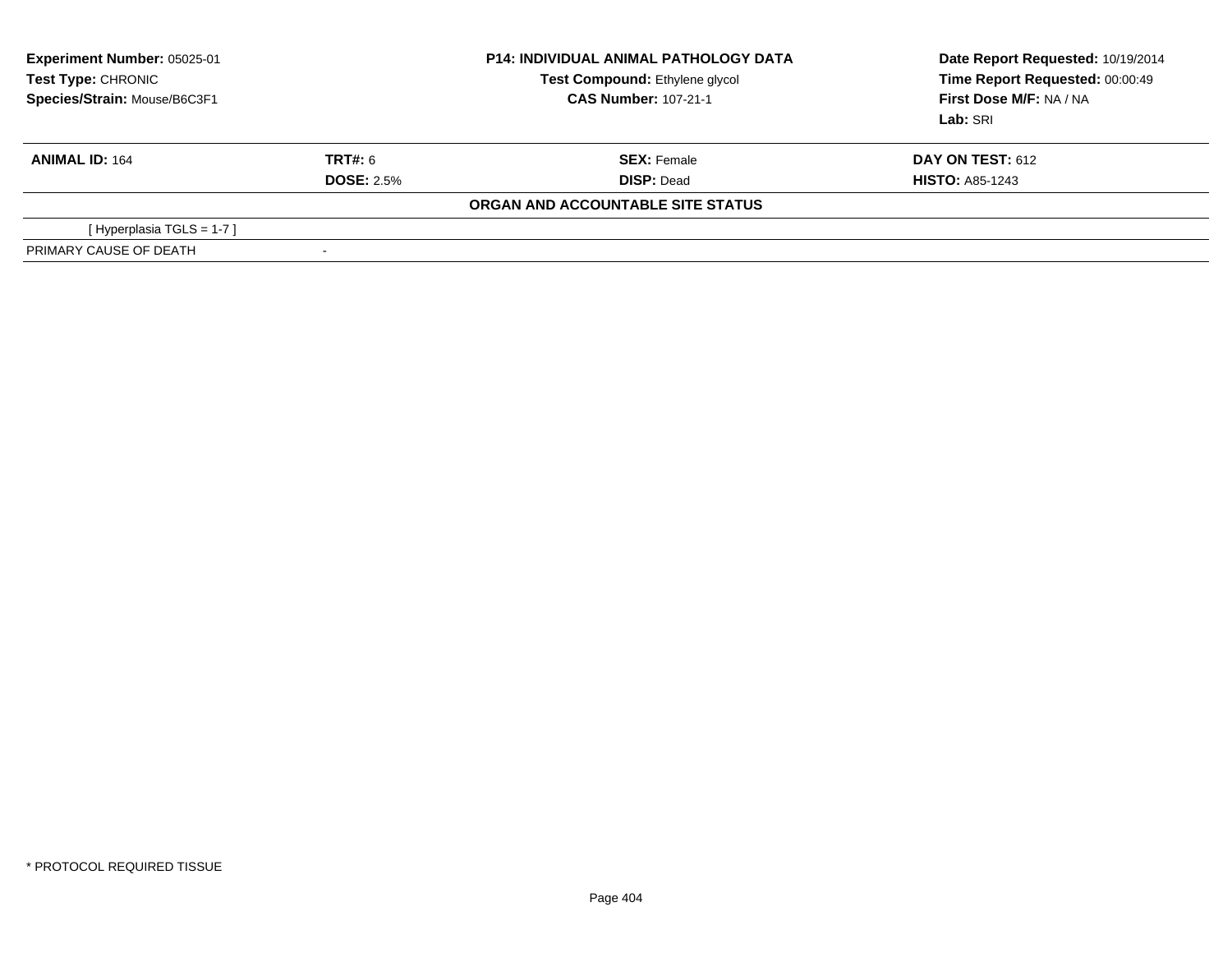| <b>Experiment Number: 05025-01</b><br>Test Type: CHRONIC<br>Species/Strain: Mouse/B6C3F1 |                          | <b>P14: INDIVIDUAL ANIMAL PATHOLOGY DATA</b><br><b>Test Compound: Ethylene glycol</b><br><b>CAS Number: 107-21-1</b> | Date Report Requested: 10/19/2014<br>Time Report Requested: 00:00:49<br>First Dose M/F: NA / NA<br>Lab: SRI |
|------------------------------------------------------------------------------------------|--------------------------|----------------------------------------------------------------------------------------------------------------------|-------------------------------------------------------------------------------------------------------------|
| <b>ANIMAL ID: 164</b>                                                                    | <b>TRT#: 6</b>           | <b>SEX: Female</b>                                                                                                   | <b>DAY ON TEST: 612</b>                                                                                     |
|                                                                                          | <b>DOSE: 2.5%</b>        | <b>DISP: Dead</b>                                                                                                    | <b>HISTO: A85-1243</b>                                                                                      |
|                                                                                          |                          | ORGAN AND ACCOUNTABLE SITE STATUS                                                                                    |                                                                                                             |
| [Hyperplasia TGLS = $1-7$ ]                                                              |                          |                                                                                                                      |                                                                                                             |
| PRIMARY CAUSE OF DEATH                                                                   | $\overline{\phantom{a}}$ |                                                                                                                      |                                                                                                             |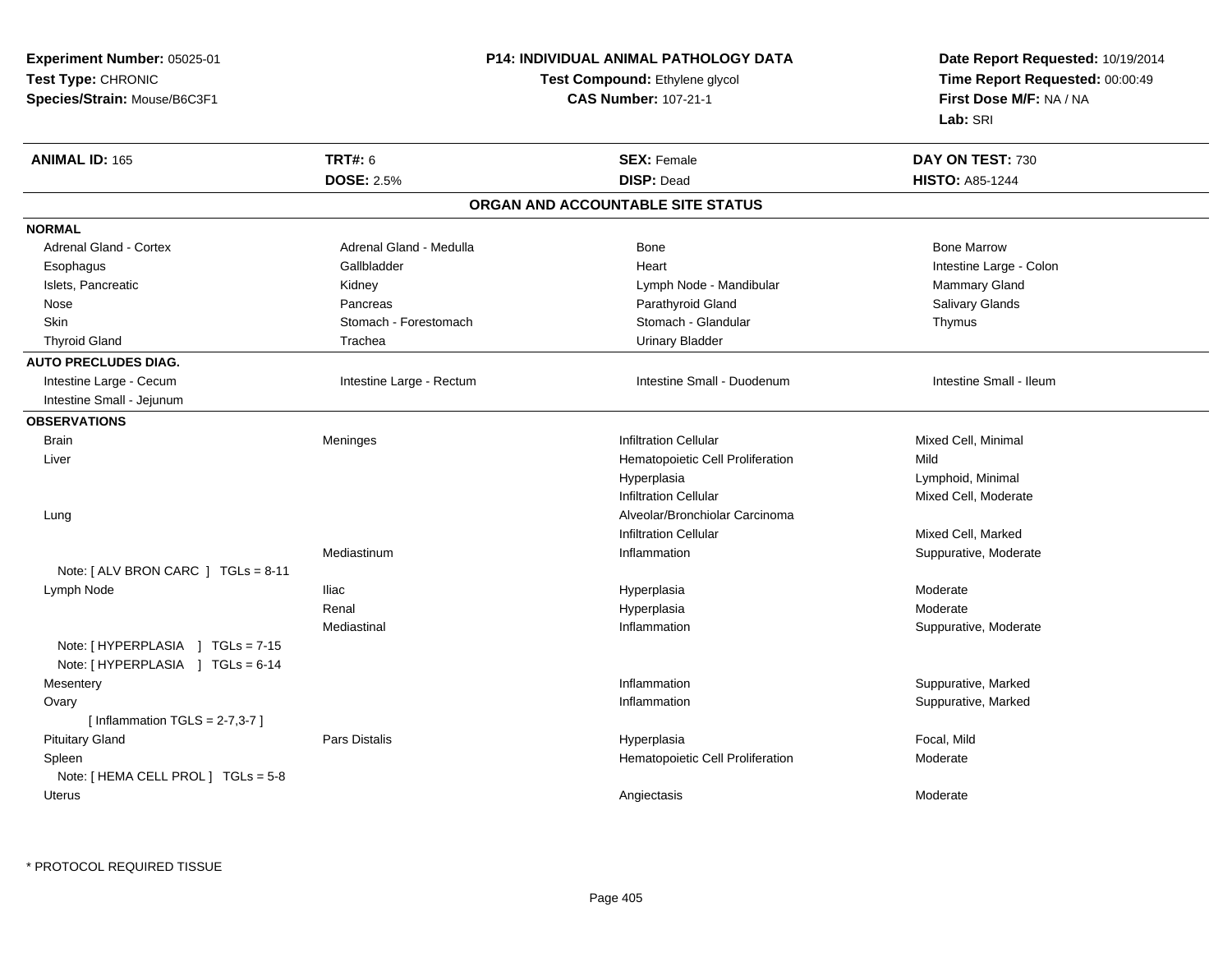| Experiment Number: 05025-01                                          |                             | P14: INDIVIDUAL ANIMAL PATHOLOGY DATA | Date Report Requested: 10/19/2014<br>Time Report Requested: 00:00:49 |
|----------------------------------------------------------------------|-----------------------------|---------------------------------------|----------------------------------------------------------------------|
| Test Type: CHRONIC                                                   |                             | Test Compound: Ethylene glycol        |                                                                      |
| Species/Strain: Mouse/B6C3F1                                         | <b>CAS Number: 107-21-1</b> |                                       | First Dose M/F: NA / NA                                              |
|                                                                      |                             |                                       | Lab: SRI                                                             |
| <b>ANIMAL ID: 165</b>                                                | <b>TRT#: 6</b>              | <b>SEX: Female</b>                    | DAY ON TEST: 730                                                     |
|                                                                      | <b>DOSE: 2.5%</b>           | <b>DISP: Dead</b>                     | <b>HISTO: A85-1244</b>                                               |
|                                                                      |                             | ORGAN AND ACCOUNTABLE SITE STATUS     |                                                                      |
| <b>NORMAL</b>                                                        |                             |                                       |                                                                      |
| <b>Adrenal Gland - Cortex</b>                                        | Adrenal Gland - Medulla     | Bone                                  | <b>Bone Marrow</b>                                                   |
| Esophagus                                                            | Gallbladder                 | Heart                                 | Intestine Large - Colon                                              |
| Islets, Pancreatic                                                   | Kidney                      | Lymph Node - Mandibular               | Mammary Gland                                                        |
| Nose                                                                 | Pancreas                    | Parathyroid Gland                     | Salivary Glands                                                      |
| Skin                                                                 | Stomach - Forestomach       | Stomach - Glandular                   | Thymus                                                               |
| <b>Thyroid Gland</b>                                                 | Trachea                     | <b>Urinary Bladder</b>                |                                                                      |
| <b>AUTO PRECLUDES DIAG.</b>                                          |                             |                                       |                                                                      |
| Intestine Large - Cecum                                              | Intestine Large - Rectum    | Intestine Small - Duodenum            | Intestine Small - Ileum                                              |
| Intestine Small - Jejunum                                            |                             |                                       |                                                                      |
| <b>OBSERVATIONS</b>                                                  |                             |                                       |                                                                      |
| <b>Brain</b>                                                         | Meninges                    | <b>Infiltration Cellular</b>          | Mixed Cell, Minimal                                                  |
| Liver                                                                |                             | Hematopoietic Cell Proliferation      | Mild                                                                 |
|                                                                      |                             | Hyperplasia                           | Lymphoid, Minimal                                                    |
|                                                                      |                             | <b>Infiltration Cellular</b>          | Mixed Cell, Moderate                                                 |
| Lung                                                                 |                             | Alveolar/Bronchiolar Carcinoma        |                                                                      |
|                                                                      |                             | <b>Infiltration Cellular</b>          | Mixed Cell, Marked                                                   |
|                                                                      | Mediastinum                 | Inflammation                          | Suppurative, Moderate                                                |
| Note: [ ALV BRON CARC ] TGLs = 8-11                                  |                             |                                       |                                                                      |
| Lymph Node                                                           | <b>Iliac</b>                | Hyperplasia                           | Moderate                                                             |
|                                                                      | Renal                       | Hyperplasia                           | Moderate                                                             |
|                                                                      | Mediastinal                 | Inflammation                          | Suppurative, Moderate                                                |
| Note: [HYPERPLASIA ] TGLs = 7-15<br>Note: [HYPERPLASIA ] TGLs = 6-14 |                             |                                       |                                                                      |
| Mesentery                                                            |                             | Inflammation                          | Suppurative, Marked                                                  |
| Ovary                                                                |                             | Inflammation                          | Suppurative, Marked                                                  |
| [Inflammation TGLS = $2-7,3-7$ ]                                     |                             |                                       |                                                                      |
| <b>Pituitary Gland</b>                                               | Pars Distalis               | Hyperplasia                           | Focal, Mild                                                          |
| Spleen                                                               |                             | Hematopoietic Cell Proliferation      | Moderate                                                             |
| Note: [ HEMA CELL PROL ] TGLs = 5-8                                  |                             |                                       |                                                                      |
| Uterus                                                               |                             | Angiectasis                           | Moderate                                                             |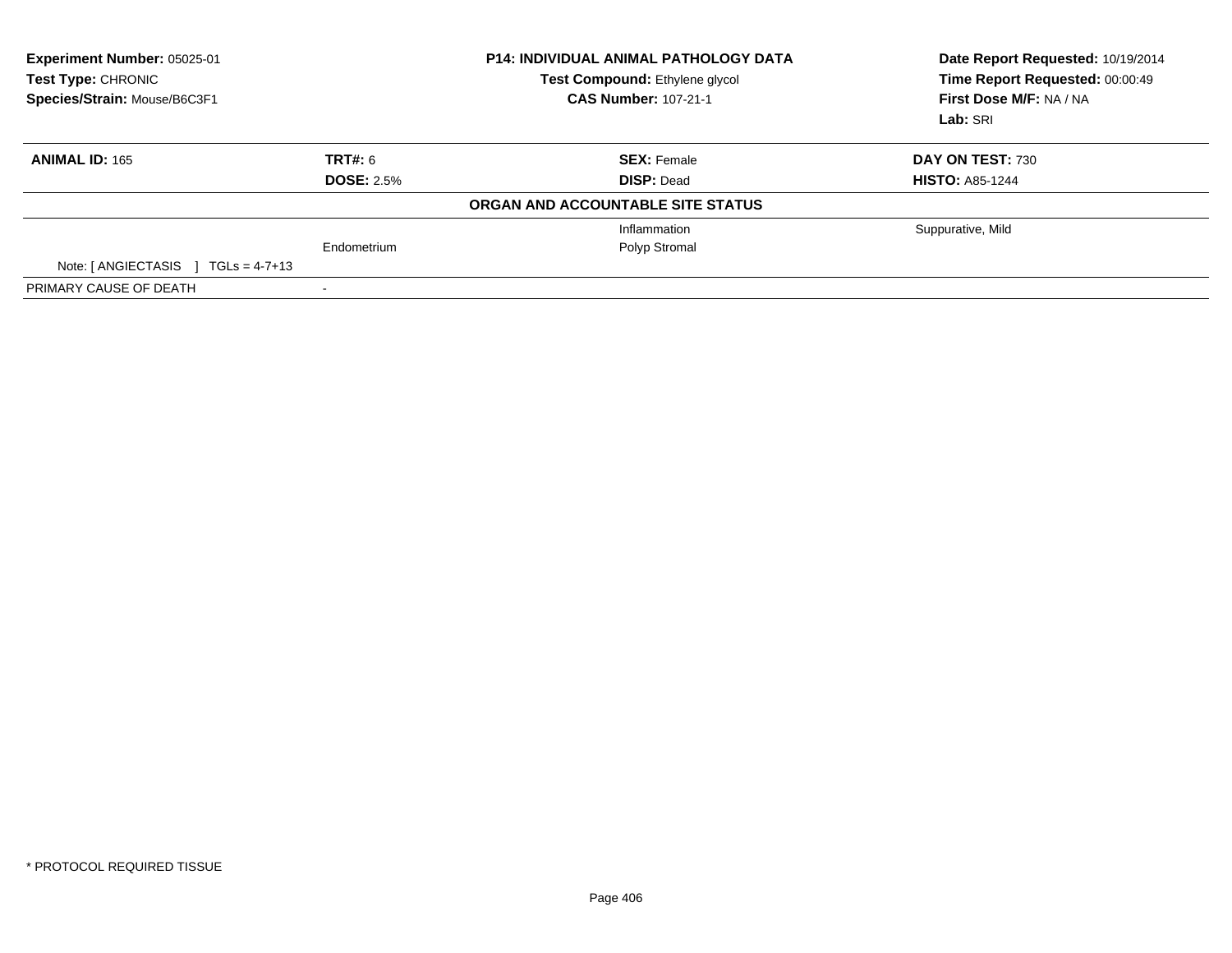| Experiment Number: 05025-01<br>Test Type: CHRONIC<br>Species/Strain: Mouse/B6C3F1 |                   | <b>P14: INDIVIDUAL ANIMAL PATHOLOGY DATA</b><br><b>Test Compound: Ethylene glycol</b><br><b>CAS Number: 107-21-1</b> | Date Report Requested: 10/19/2014<br>Time Report Requested: 00:00:49<br>First Dose M/F: NA / NA<br>Lab: SRI |  |
|-----------------------------------------------------------------------------------|-------------------|----------------------------------------------------------------------------------------------------------------------|-------------------------------------------------------------------------------------------------------------|--|
| <b>ANIMAL ID: 165</b>                                                             | TRT#: 6           | <b>SEX: Female</b>                                                                                                   | DAY ON TEST: 730                                                                                            |  |
|                                                                                   | <b>DOSE: 2.5%</b> | <b>DISP: Dead</b>                                                                                                    | <b>HISTO: A85-1244</b>                                                                                      |  |
|                                                                                   |                   | ORGAN AND ACCOUNTABLE SITE STATUS                                                                                    |                                                                                                             |  |
|                                                                                   |                   | Inflammation                                                                                                         | Suppurative, Mild                                                                                           |  |
|                                                                                   | Endometrium       | Polyp Stromal                                                                                                        |                                                                                                             |  |
| Note: $[ANGIECTASIS]$ TGLs = 4-7+13                                               |                   |                                                                                                                      |                                                                                                             |  |
| PRIMARY CAUSE OF DEATH                                                            |                   |                                                                                                                      |                                                                                                             |  |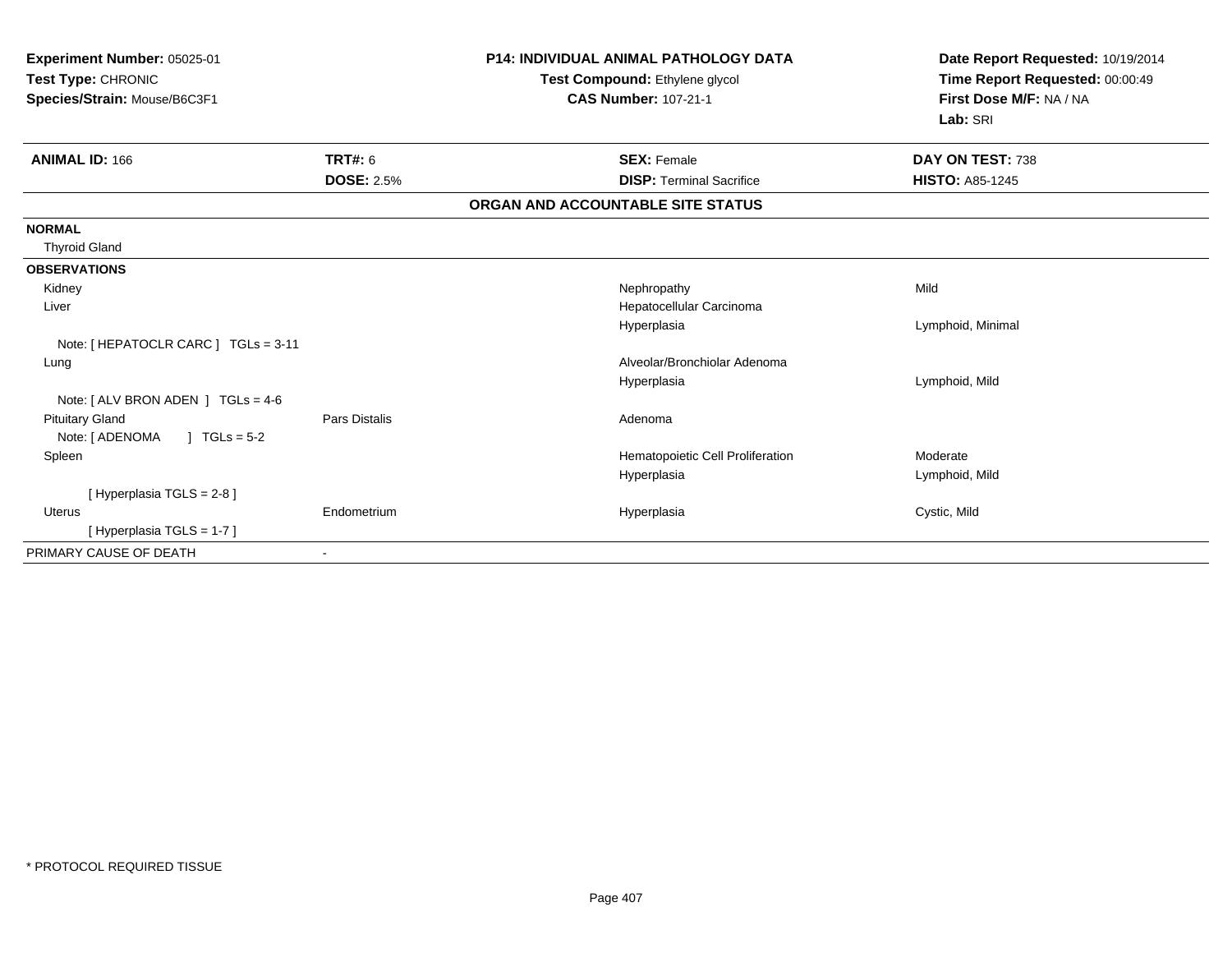| Experiment Number: 05025-01<br>Test Type: CHRONIC<br>Species/Strain: Mouse/B6C3F1 |                   | <b>P14: INDIVIDUAL ANIMAL PATHOLOGY DATA</b><br>Test Compound: Ethylene glycol<br><b>CAS Number: 107-21-1</b> | Date Report Requested: 10/19/2014<br>Time Report Requested: 00:00:49<br>First Dose M/F: NA / NA<br>Lab: SRI |
|-----------------------------------------------------------------------------------|-------------------|---------------------------------------------------------------------------------------------------------------|-------------------------------------------------------------------------------------------------------------|
| <b>ANIMAL ID: 166</b>                                                             | <b>TRT#: 6</b>    | <b>SEX: Female</b>                                                                                            | DAY ON TEST: 738                                                                                            |
|                                                                                   | <b>DOSE: 2.5%</b> | <b>DISP: Terminal Sacrifice</b>                                                                               | <b>HISTO: A85-1245</b>                                                                                      |
|                                                                                   |                   | ORGAN AND ACCOUNTABLE SITE STATUS                                                                             |                                                                                                             |
| <b>NORMAL</b>                                                                     |                   |                                                                                                               |                                                                                                             |
| <b>Thyroid Gland</b>                                                              |                   |                                                                                                               |                                                                                                             |
| <b>OBSERVATIONS</b>                                                               |                   |                                                                                                               |                                                                                                             |
| Kidney                                                                            |                   | Nephropathy                                                                                                   | Mild                                                                                                        |
| Liver                                                                             |                   | Hepatocellular Carcinoma                                                                                      |                                                                                                             |
|                                                                                   |                   | Hyperplasia                                                                                                   | Lymphoid, Minimal                                                                                           |
| Note: [HEPATOCLR CARC ] TGLs = 3-11                                               |                   |                                                                                                               |                                                                                                             |
| Lung                                                                              |                   | Alveolar/Bronchiolar Adenoma                                                                                  |                                                                                                             |
|                                                                                   |                   | Hyperplasia                                                                                                   | Lymphoid, Mild                                                                                              |
| Note: $[ALV$ BRON ADEN $]$ TGLs = 4-6                                             |                   |                                                                                                               |                                                                                                             |
| <b>Pituitary Gland</b>                                                            | Pars Distalis     | Adenoma                                                                                                       |                                                                                                             |
| Note: [ ADENOMA<br>$1 TGLs = 5-2$                                                 |                   |                                                                                                               |                                                                                                             |
| Spleen                                                                            |                   | Hematopoietic Cell Proliferation                                                                              | Moderate                                                                                                    |
|                                                                                   |                   | Hyperplasia                                                                                                   | Lymphoid, Mild                                                                                              |
| [ Hyperplasia TGLS = 2-8 ]                                                        |                   |                                                                                                               |                                                                                                             |
| Uterus                                                                            | Endometrium       | Hyperplasia                                                                                                   | Cystic, Mild                                                                                                |
| [Hyperplasia TGLS = 1-7]                                                          |                   |                                                                                                               |                                                                                                             |
| PRIMARY CAUSE OF DEATH                                                            |                   |                                                                                                               |                                                                                                             |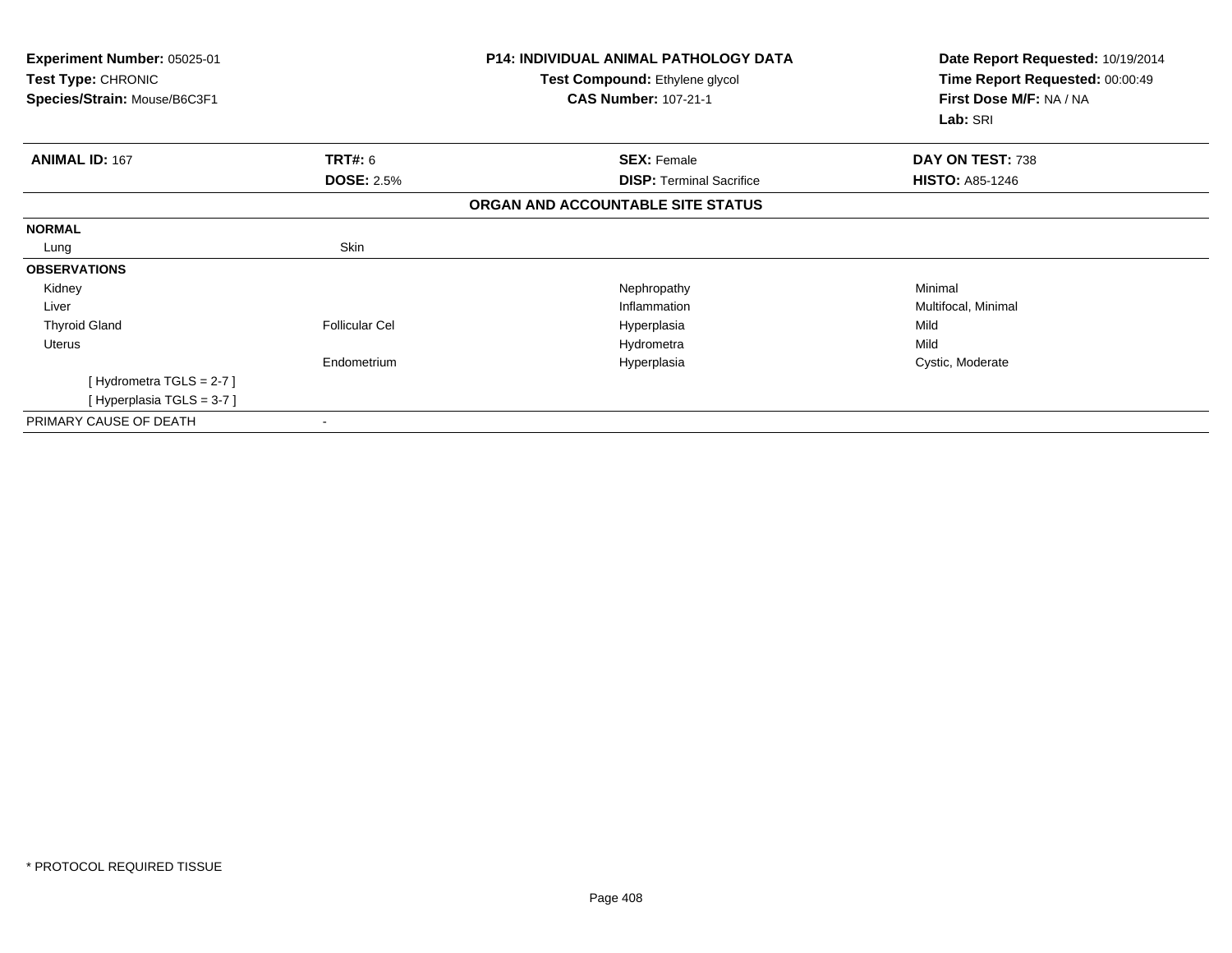| Experiment Number: 05025-01<br><b>Test Type: CHRONIC</b><br>Species/Strain: Mouse/B6C3F1 |                       | <b>P14: INDIVIDUAL ANIMAL PATHOLOGY DATA</b><br>Test Compound: Ethylene glycol<br><b>CAS Number: 107-21-1</b> | Date Report Requested: 10/19/2014<br>Time Report Requested: 00:00:49<br>First Dose M/F: NA / NA |
|------------------------------------------------------------------------------------------|-----------------------|---------------------------------------------------------------------------------------------------------------|-------------------------------------------------------------------------------------------------|
|                                                                                          |                       |                                                                                                               | Lab: SRI                                                                                        |
| <b>ANIMAL ID: 167</b>                                                                    | TRT#: 6               | <b>SEX: Female</b>                                                                                            | DAY ON TEST: 738                                                                                |
|                                                                                          | <b>DOSE: 2.5%</b>     | <b>DISP: Terminal Sacrifice</b>                                                                               | <b>HISTO: A85-1246</b>                                                                          |
|                                                                                          |                       | ORGAN AND ACCOUNTABLE SITE STATUS                                                                             |                                                                                                 |
| <b>NORMAL</b>                                                                            |                       |                                                                                                               |                                                                                                 |
| Lung                                                                                     | Skin                  |                                                                                                               |                                                                                                 |
| <b>OBSERVATIONS</b>                                                                      |                       |                                                                                                               |                                                                                                 |
| Kidney                                                                                   |                       | Nephropathy                                                                                                   | Minimal                                                                                         |
| Liver                                                                                    |                       | Inflammation                                                                                                  | Multifocal, Minimal                                                                             |
| <b>Thyroid Gland</b>                                                                     | <b>Follicular Cel</b> | Hyperplasia                                                                                                   | Mild                                                                                            |
| Uterus                                                                                   |                       | Hydrometra                                                                                                    | Mild                                                                                            |
|                                                                                          | Endometrium           | Hyperplasia                                                                                                   | Cystic, Moderate                                                                                |
| [Hydrometra TGLS = $2-7$ ]                                                               |                       |                                                                                                               |                                                                                                 |
| [Hyperplasia TGLS = 3-7]                                                                 |                       |                                                                                                               |                                                                                                 |
| PRIMARY CAUSE OF DEATH                                                                   |                       |                                                                                                               |                                                                                                 |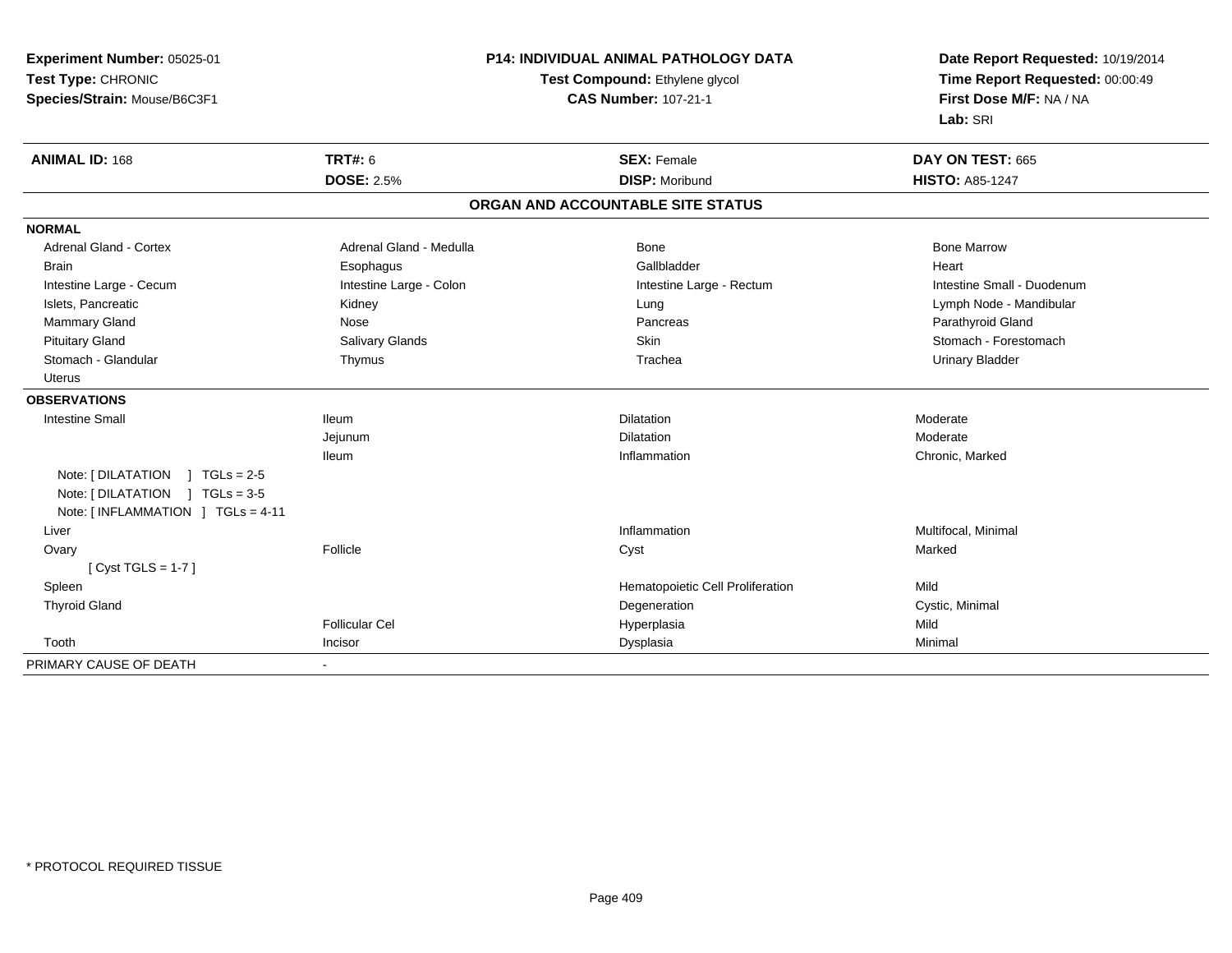| Experiment Number: 05025-01          |                                | <b>P14: INDIVIDUAL ANIMAL PATHOLOGY DATA</b> | Date Report Requested: 10/19/2014 |
|--------------------------------------|--------------------------------|----------------------------------------------|-----------------------------------|
| Test Type: CHRONIC                   | Test Compound: Ethylene glycol |                                              | Time Report Requested: 00:00:49   |
| Species/Strain: Mouse/B6C3F1         |                                | <b>CAS Number: 107-21-1</b>                  | First Dose M/F: NA / NA           |
|                                      |                                |                                              | Lab: SRI                          |
| <b>ANIMAL ID: 168</b>                | <b>TRT#: 6</b>                 | <b>SEX: Female</b>                           | DAY ON TEST: 665                  |
|                                      | <b>DOSE: 2.5%</b>              | <b>DISP: Moribund</b>                        | <b>HISTO: A85-1247</b>            |
|                                      |                                | ORGAN AND ACCOUNTABLE SITE STATUS            |                                   |
| <b>NORMAL</b>                        |                                |                                              |                                   |
| <b>Adrenal Gland - Cortex</b>        | Adrenal Gland - Medulla        | Bone                                         | <b>Bone Marrow</b>                |
| <b>Brain</b>                         | Esophagus                      | Gallbladder                                  | Heart                             |
| Intestine Large - Cecum              | Intestine Large - Colon        | Intestine Large - Rectum                     | Intestine Small - Duodenum        |
| Islets, Pancreatic                   | Kidney                         | Lung                                         | Lymph Node - Mandibular           |
| Mammary Gland                        | Nose                           | Pancreas                                     | Parathyroid Gland                 |
| <b>Pituitary Gland</b>               | <b>Salivary Glands</b>         | Skin                                         | Stomach - Forestomach             |
| Stomach - Glandular                  | Thymus                         | Trachea                                      | <b>Urinary Bladder</b>            |
| <b>Uterus</b>                        |                                |                                              |                                   |
| <b>OBSERVATIONS</b>                  |                                |                                              |                                   |
| <b>Intestine Small</b>               | <b>Ileum</b>                   | <b>Dilatation</b>                            | Moderate                          |
|                                      | Jejunum                        | Dilatation                                   | Moderate                          |
|                                      | <b>Ileum</b>                   | Inflammation                                 | Chronic, Marked                   |
| Note: [ DILATATION<br>$1 TGLs = 2-5$ |                                |                                              |                                   |
| Note: $[DILATATION] TGLs = 3-5$      |                                |                                              |                                   |
| Note: [INFLAMMATION ] TGLs = 4-11    |                                |                                              |                                   |
| Liver                                |                                | Inflammation                                 | Multifocal, Minimal               |
| Ovary                                | Follicle                       | Cyst                                         | Marked                            |
| [Cyst TGLS = $1-7$ ]                 |                                |                                              |                                   |
| Spleen                               |                                | Hematopoietic Cell Proliferation             | Mild                              |
| <b>Thyroid Gland</b>                 |                                | Degeneration                                 | Cystic, Minimal                   |
|                                      | <b>Follicular Cel</b>          | Hyperplasia                                  | Mild                              |
| Tooth                                | Incisor                        | Dysplasia                                    | Minimal                           |
| PRIMARY CAUSE OF DEATH               | $\blacksquare$                 |                                              |                                   |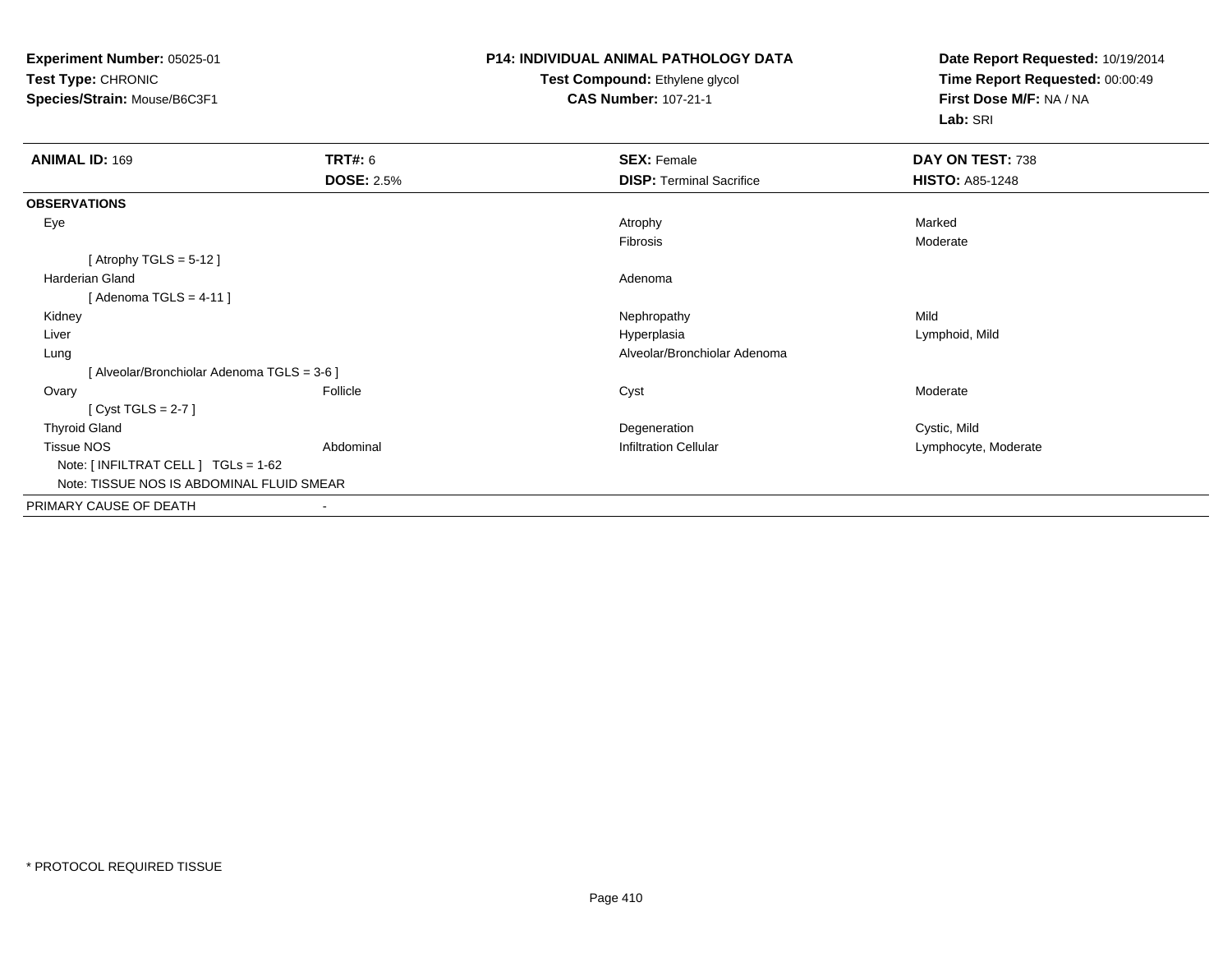**Experiment Number:** 05025-01**Test Type:** CHRONIC**Species/Strain:** Mouse/B6C3F1

## **P14: INDIVIDUAL ANIMAL PATHOLOGY DATATest Compound:** Ethylene glycol **CAS Number:** 107-21-1

**Date Report Requested:** 10/19/2014**Time Report Requested:** 00:00:49**First Dose M/F:** NA / NA**Lab:** SRI

| <b>ANIMAL ID: 169</b>                      | <b>TRT#: 6</b>    | <b>SEX: Female</b>              | DAY ON TEST: 738       |
|--------------------------------------------|-------------------|---------------------------------|------------------------|
|                                            | <b>DOSE: 2.5%</b> | <b>DISP: Terminal Sacrifice</b> | <b>HISTO: A85-1248</b> |
| <b>OBSERVATIONS</b>                        |                   |                                 |                        |
| Eye                                        |                   | Atrophy                         | Marked                 |
|                                            |                   | Fibrosis                        | Moderate               |
| [Atrophy TGLS = $5-12$ ]                   |                   |                                 |                        |
| <b>Harderian Gland</b>                     |                   | Adenoma                         |                        |
| [Adenoma TGLS = $4-11$ ]                   |                   |                                 |                        |
| Kidney                                     |                   | Nephropathy                     | Mild                   |
| Liver                                      |                   | Hyperplasia                     | Lymphoid, Mild         |
| Lung                                       |                   | Alveolar/Bronchiolar Adenoma    |                        |
| [Alveolar/Bronchiolar Adenoma TGLS = 3-6 ] |                   |                                 |                        |
| Ovary                                      | Follicle          | Cyst                            | Moderate               |
| [Cyst TGLS = $2-7$ ]                       |                   |                                 |                        |
| <b>Thyroid Gland</b>                       |                   | Degeneration                    | Cystic, Mild           |
| <b>Tissue NOS</b>                          | Abdominal         | <b>Infiltration Cellular</b>    | Lymphocyte, Moderate   |
| Note: [ INFILTRAT CELL ] TGLs = 1-62       |                   |                                 |                        |
| Note: TISSUE NOS IS ABDOMINAL FLUID SMEAR  |                   |                                 |                        |
| PRIMARY CAUSE OF DEATH                     |                   |                                 |                        |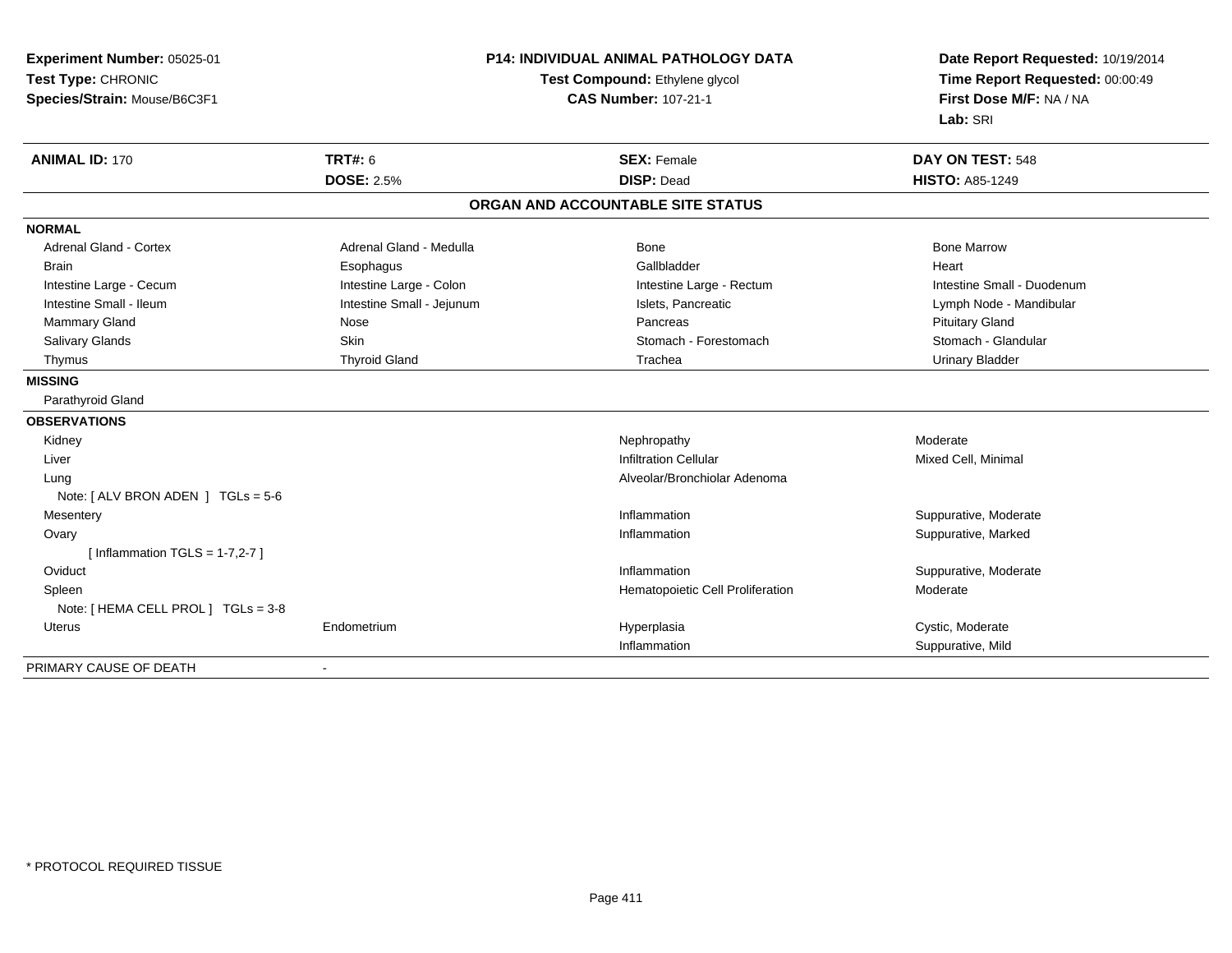| Experiment Number: 05025-01<br>Test Type: CHRONIC |                           | P14: INDIVIDUAL ANIMAL PATHOLOGY DATA<br>Test Compound: Ethylene glycol | Date Report Requested: 10/19/2014<br>Time Report Requested: 00:00:49 |
|---------------------------------------------------|---------------------------|-------------------------------------------------------------------------|----------------------------------------------------------------------|
| Species/Strain: Mouse/B6C3F1                      |                           | <b>CAS Number: 107-21-1</b>                                             | First Dose M/F: NA / NA<br>Lab: SRI                                  |
| <b>ANIMAL ID: 170</b>                             | <b>TRT#: 6</b>            | <b>SEX: Female</b>                                                      | DAY ON TEST: 548                                                     |
|                                                   | <b>DOSE: 2.5%</b>         | <b>DISP: Dead</b>                                                       | <b>HISTO: A85-1249</b>                                               |
|                                                   |                           | ORGAN AND ACCOUNTABLE SITE STATUS                                       |                                                                      |
| <b>NORMAL</b>                                     |                           |                                                                         |                                                                      |
| <b>Adrenal Gland - Cortex</b>                     | Adrenal Gland - Medulla   | <b>Bone</b>                                                             | <b>Bone Marrow</b>                                                   |
| <b>Brain</b>                                      | Esophagus                 | Gallbladder                                                             | Heart                                                                |
| Intestine Large - Cecum                           | Intestine Large - Colon   | Intestine Large - Rectum                                                | Intestine Small - Duodenum                                           |
| Intestine Small - Ileum                           | Intestine Small - Jejunum | Islets, Pancreatic                                                      | Lymph Node - Mandibular                                              |
| <b>Mammary Gland</b>                              | Nose                      | Pancreas                                                                | <b>Pituitary Gland</b>                                               |
| Salivary Glands                                   | <b>Skin</b>               | Stomach - Forestomach                                                   | Stomach - Glandular                                                  |
| Thymus                                            | <b>Thyroid Gland</b>      | Trachea                                                                 | <b>Urinary Bladder</b>                                               |
| <b>MISSING</b>                                    |                           |                                                                         |                                                                      |
| Parathyroid Gland                                 |                           |                                                                         |                                                                      |
| <b>OBSERVATIONS</b>                               |                           |                                                                         |                                                                      |
| Kidney                                            |                           | Nephropathy                                                             | Moderate                                                             |
| Liver                                             |                           | <b>Infiltration Cellular</b>                                            | Mixed Cell, Minimal                                                  |
| Lung                                              |                           | Alveolar/Bronchiolar Adenoma                                            |                                                                      |
| Note: [ ALV BRON ADEN ] TGLs = 5-6                |                           |                                                                         |                                                                      |
| Mesentery                                         |                           | Inflammation                                                            | Suppurative, Moderate                                                |
| Ovary                                             |                           | Inflammation                                                            | Suppurative, Marked                                                  |
| [Inflammation TGLS = $1-7,2-7$ ]                  |                           |                                                                         |                                                                      |
| Oviduct                                           |                           | Inflammation                                                            | Suppurative, Moderate                                                |
| Spleen                                            |                           | Hematopoietic Cell Proliferation                                        | Moderate                                                             |
| Note: [ HEMA CELL PROL ] TGLs = 3-8               |                           |                                                                         |                                                                      |
| Uterus                                            | Endometrium               | Hyperplasia                                                             | Cystic, Moderate                                                     |
|                                                   |                           | Inflammation                                                            | Suppurative, Mild                                                    |
| PRIMARY CAUSE OF DEATH                            |                           |                                                                         |                                                                      |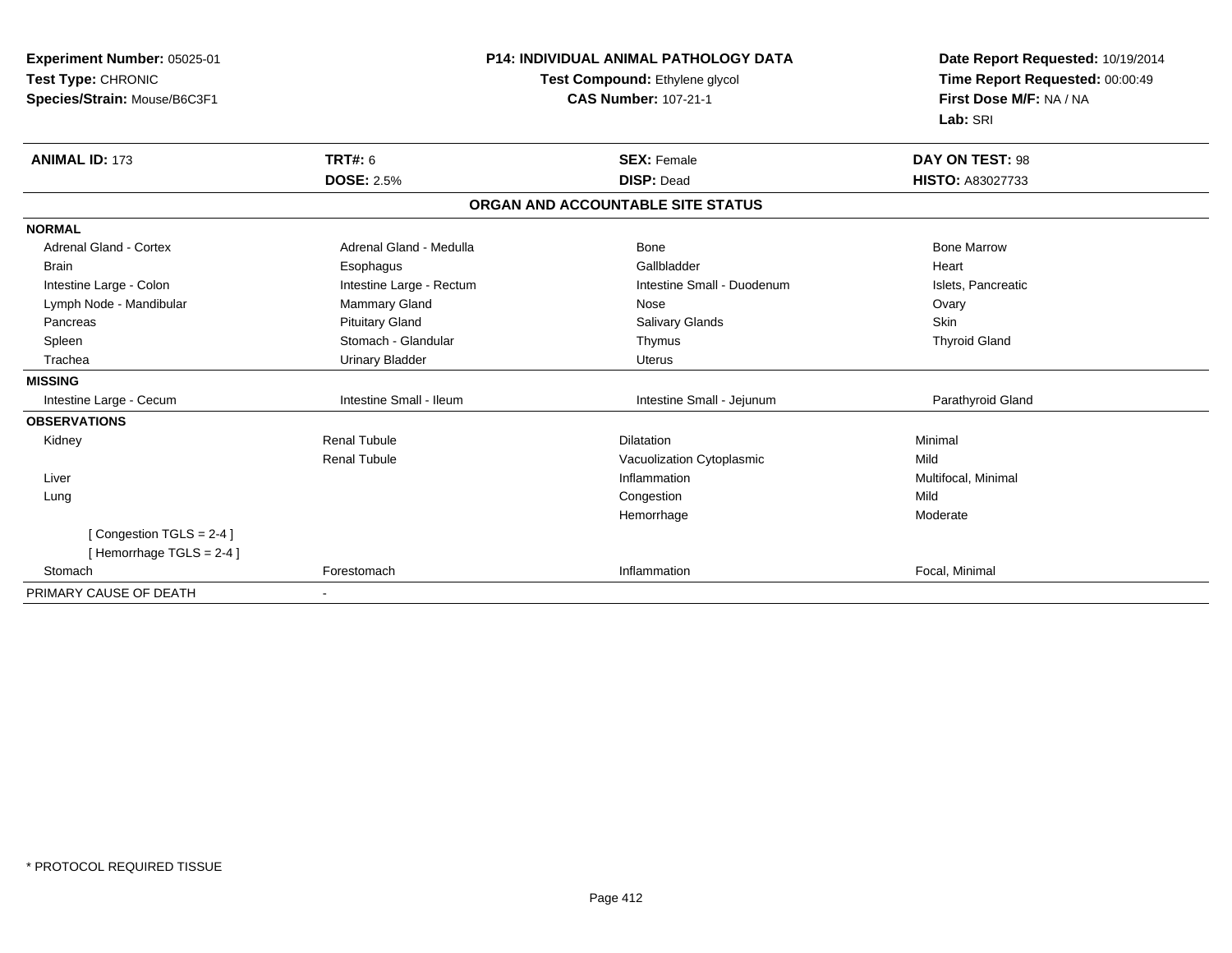| Experiment Number: 05025-01   | <b>P14: INDIVIDUAL ANIMAL PATHOLOGY DATA</b> |                                   | Date Report Requested: 10/19/2014 |
|-------------------------------|----------------------------------------------|-----------------------------------|-----------------------------------|
| Test Type: CHRONIC            |                                              | Test Compound: Ethylene glycol    | Time Report Requested: 00:00:49   |
| Species/Strain: Mouse/B6C3F1  |                                              | <b>CAS Number: 107-21-1</b>       | First Dose M/F: NA / NA           |
|                               |                                              |                                   | Lab: SRI                          |
| <b>ANIMAL ID: 173</b>         | <b>TRT#: 6</b>                               | <b>SEX: Female</b>                | <b>DAY ON TEST: 98</b>            |
|                               | <b>DOSE: 2.5%</b>                            | <b>DISP: Dead</b>                 | <b>HISTO: A83027733</b>           |
|                               |                                              | ORGAN AND ACCOUNTABLE SITE STATUS |                                   |
| <b>NORMAL</b>                 |                                              |                                   |                                   |
| <b>Adrenal Gland - Cortex</b> | Adrenal Gland - Medulla                      | <b>Bone</b>                       | <b>Bone Marrow</b>                |
| <b>Brain</b>                  | Esophagus                                    | Gallbladder                       | Heart                             |
| Intestine Large - Colon       | Intestine Large - Rectum                     | Intestine Small - Duodenum        | Islets, Pancreatic                |
| Lymph Node - Mandibular       | Mammary Gland                                | Nose                              | Ovary                             |
| Pancreas                      | <b>Pituitary Gland</b>                       | Salivary Glands                   | <b>Skin</b>                       |
| Spleen                        | Stomach - Glandular                          | Thymus                            | <b>Thyroid Gland</b>              |
| Trachea                       | <b>Urinary Bladder</b>                       | <b>Uterus</b>                     |                                   |
| <b>MISSING</b>                |                                              |                                   |                                   |
| Intestine Large - Cecum       | Intestine Small - Ileum                      | Intestine Small - Jejunum         | Parathyroid Gland                 |
| <b>OBSERVATIONS</b>           |                                              |                                   |                                   |
| Kidney                        | <b>Renal Tubule</b>                          | <b>Dilatation</b>                 | Minimal                           |
|                               | <b>Renal Tubule</b>                          | Vacuolization Cytoplasmic         | Mild                              |
| Liver                         |                                              | Inflammation                      | Multifocal, Minimal               |
| Lung                          |                                              | Congestion                        | Mild                              |
|                               |                                              | Hemorrhage                        | Moderate                          |
| [Congestion TGLS = 2-4]       |                                              |                                   |                                   |
| [Hemorrhage TGLS = 2-4]       |                                              |                                   |                                   |
| Stomach                       | Forestomach                                  | Inflammation                      | Focal, Minimal                    |
| PRIMARY CAUSE OF DEATH        |                                              |                                   |                                   |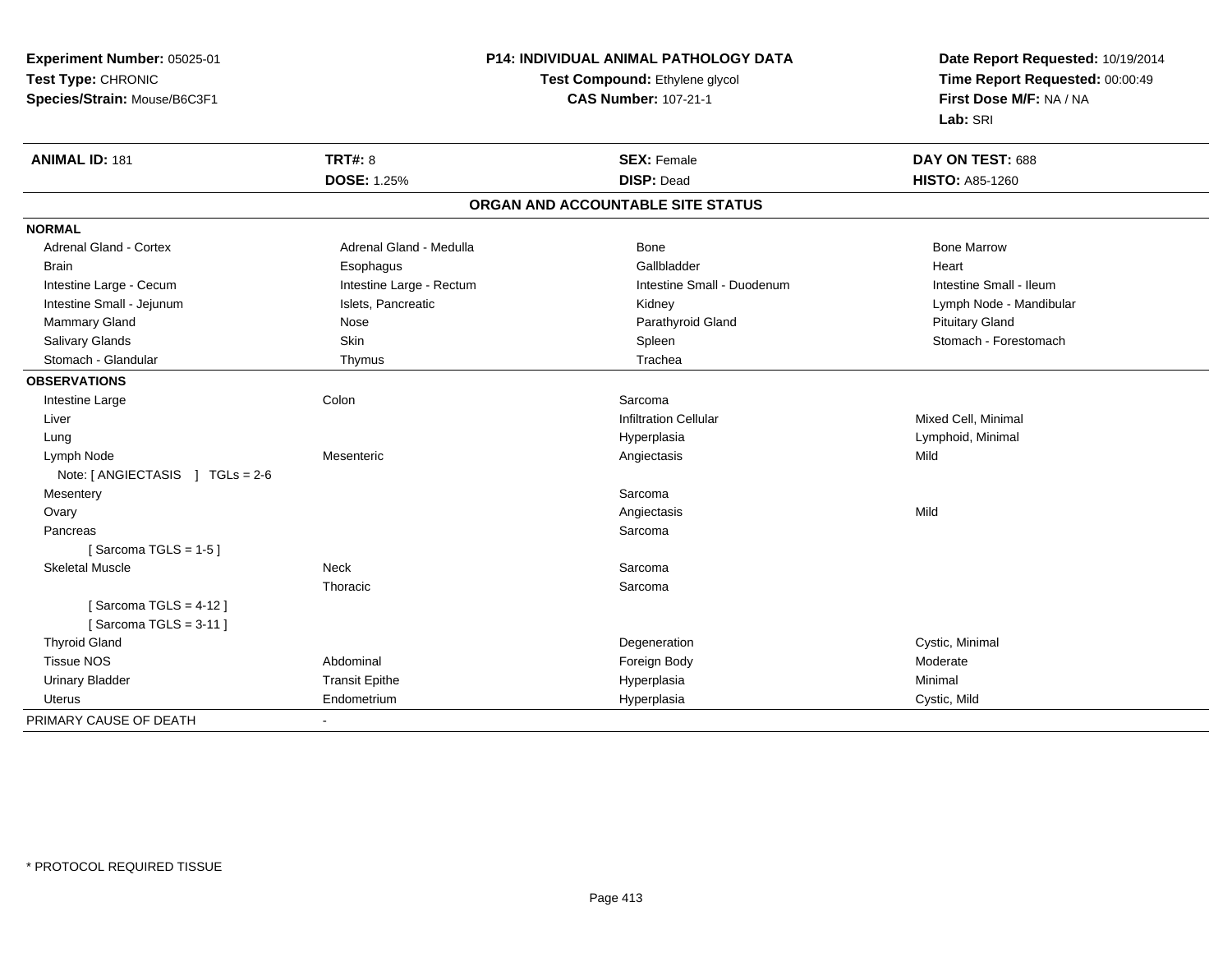**Experiment Number:** 05025-01**Test Type:** CHRONIC **Species/Strain:** Mouse/B6C3F1**P14: INDIVIDUAL ANIMAL PATHOLOGY DATATest Compound:** Ethylene glycol **CAS Number:** 107-21-1**Date Report Requested:** 10/19/2014**Time Report Requested:** 00:00:49**First Dose M/F:** NA / NA**Lab:** SRI**ANIMAL ID:** 181**TRT#:** 8 **SEX:** Female **DAY ON TEST:** 688 **DOSE:** 1.25% **DISP:** Dead **HISTO:** A85-1260 **ORGAN AND ACCOUNTABLE SITE STATUSNORMALAdrenal Gland - Cortex** Adrenal Gland - Medulla **Adrenal Gland - Medulla** Bone Bone Bone Bone Bone Marrow Brain Esophagus Esophagus Gallbladder Gallbladder Gallbladder Heart Intestine Large - Cecum **Intestine Large - Rectum** Intestine Small - Duodenum Intestine Small - Ileum Intestine Small - Ileum Intestine Small - Jejunum Islets, Pancreatic Kidney Lymph Node - Mandibular Mammary Gland Nose Nose Research Communication of the Parathyroid Gland Pituitary Gland Pituitary Gland Pituitary Gland Salivary Glands Salivary School School School School Spleen School Spleen Stomach - Forestomach - Stomach - Forestomach Stomach - Glandular Thymus Thymus The Theorem The Trachea **OBSERVATIONS** Intestine Large Colon Sarcoma Liver Infiltration Cellular Mixed Cell, Minimal Lungg and the settlement of the settlement of the Hyperplasia and the Hyperplasia controller than  $\mathsf{Lym}$  phoid, Minimal  $\mathsf{Lym}$  phoid, Minimal  $\mathsf{dy}$  Lymph Node Mesenteric Angiectasis Mild Note: [ ANGIECTASIS ] TGLs = 2-6**Mesentery** y and the same of the same of the same of the same of the same of the same of the Sarcoma  $\sim$  Sarcoma of the same of the same of the same of the same of the same of the same of the same of the same of the same of the same Angiectasis Ovaryy and the control of the control of the control of the control of the control of the control of the control of the control of the control of the control of the control of the control of the control of the control of the co Pancreass and the contract of the contract of the contract of the contract of the contract of the contract of the contract of the contract of the contract of the contract of the contract of the contract of the contract of the cont  $[$  Sarcoma TGLS = 1-5  $]$  Skeletal Musclee Sarcoma Neck Neck Sarcoma Sarcoma Sarcoma Sarcoma Sarcoma Sarcoma Sarcoma Sarcoma Sarcoma Sarcoma Sarcoma Sarcoma Sarcoma Sarcoma Sarcoma Sarcoma Sarcoma Sarcoma Sarcoma Sarcoma Sarcoma Sarcoma Sarcoma Sarcoma Sarcoma Sa Thoracic Sarcoma $[$  Sarcoma TGLS = 4-12  $]$ [ Sarcoma TGLS = 3-11 ] Thyroid Glandd and the contract of the contract of the contract of the contract of the contract of the contract of the contract of  $\sim$  Cystic, Minimal d Tissue NOSS Show the Superintendial Contract Contract Contract Contract Contract Contract Contract Contract Contract Contract Contract Contract Contract Contract Contract Contract Contract Contract Contract Contract Contract Contrac Urinary Bladder Transit Epithe Hyperplasia Minimal Uterus Endometrium Hyperplasia Cystic, Mild PRIMARY CAUSE OF DEATH-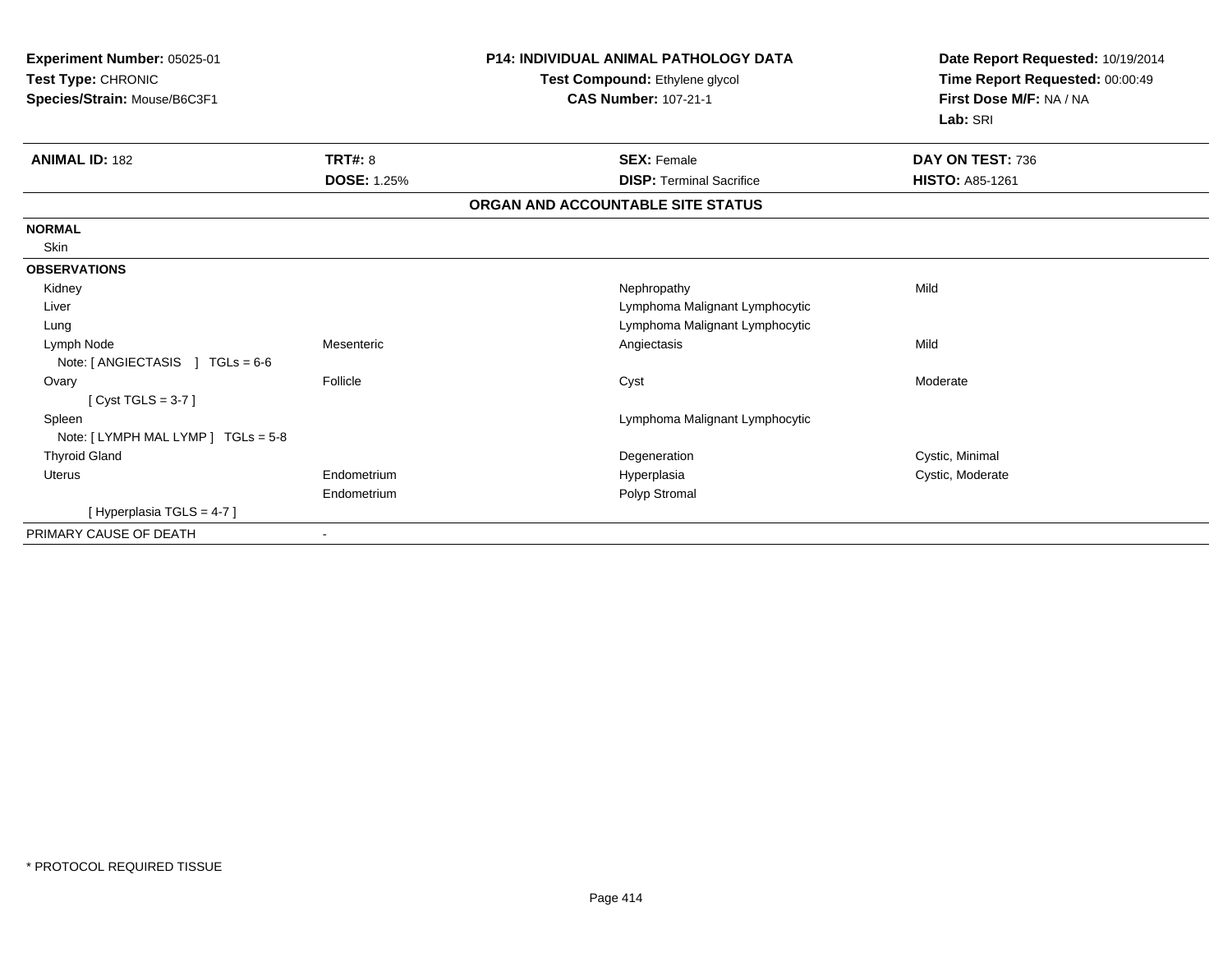| Experiment Number: 05025-01<br>Test Type: CHRONIC<br>Species/Strain: Mouse/B6C3F1 |                    | <b>P14: INDIVIDUAL ANIMAL PATHOLOGY DATA</b><br>Test Compound: Ethylene glycol<br><b>CAS Number: 107-21-1</b> | Date Report Requested: 10/19/2014<br>Time Report Requested: 00:00:49<br>First Dose M/F: NA / NA<br>Lab: SRI |
|-----------------------------------------------------------------------------------|--------------------|---------------------------------------------------------------------------------------------------------------|-------------------------------------------------------------------------------------------------------------|
| <b>ANIMAL ID: 182</b>                                                             | <b>TRT#: 8</b>     | <b>SEX: Female</b>                                                                                            | DAY ON TEST: 736                                                                                            |
|                                                                                   | <b>DOSE: 1.25%</b> | <b>DISP: Terminal Sacrifice</b>                                                                               | <b>HISTO: A85-1261</b>                                                                                      |
|                                                                                   |                    | ORGAN AND ACCOUNTABLE SITE STATUS                                                                             |                                                                                                             |
| <b>NORMAL</b>                                                                     |                    |                                                                                                               |                                                                                                             |
| Skin                                                                              |                    |                                                                                                               |                                                                                                             |
| <b>OBSERVATIONS</b>                                                               |                    |                                                                                                               |                                                                                                             |
| Kidney                                                                            |                    | Nephropathy                                                                                                   | Mild                                                                                                        |
| Liver                                                                             |                    | Lymphoma Malignant Lymphocytic                                                                                |                                                                                                             |
| Lung                                                                              |                    | Lymphoma Malignant Lymphocytic                                                                                |                                                                                                             |
| Lymph Node                                                                        | Mesenteric         | Angiectasis                                                                                                   | Mild                                                                                                        |
| Note: $[$ ANGIECTASIS $]$ TGLs = 6-6                                              |                    |                                                                                                               |                                                                                                             |
| Ovary                                                                             | Follicle           | Cyst                                                                                                          | Moderate                                                                                                    |
| [Cyst TGLS = $3-7$ ]                                                              |                    |                                                                                                               |                                                                                                             |
| Spleen                                                                            |                    | Lymphoma Malignant Lymphocytic                                                                                |                                                                                                             |
| Note: [ LYMPH MAL LYMP ] TGLs = 5-8                                               |                    |                                                                                                               |                                                                                                             |
| <b>Thyroid Gland</b>                                                              |                    | Degeneration                                                                                                  | Cystic, Minimal                                                                                             |
| Uterus                                                                            | Endometrium        | Hyperplasia                                                                                                   | Cystic, Moderate                                                                                            |
|                                                                                   | Endometrium        | Polyp Stromal                                                                                                 |                                                                                                             |
| [Hyperplasia TGLS = 4-7]                                                          |                    |                                                                                                               |                                                                                                             |
| PRIMARY CAUSE OF DEATH                                                            |                    |                                                                                                               |                                                                                                             |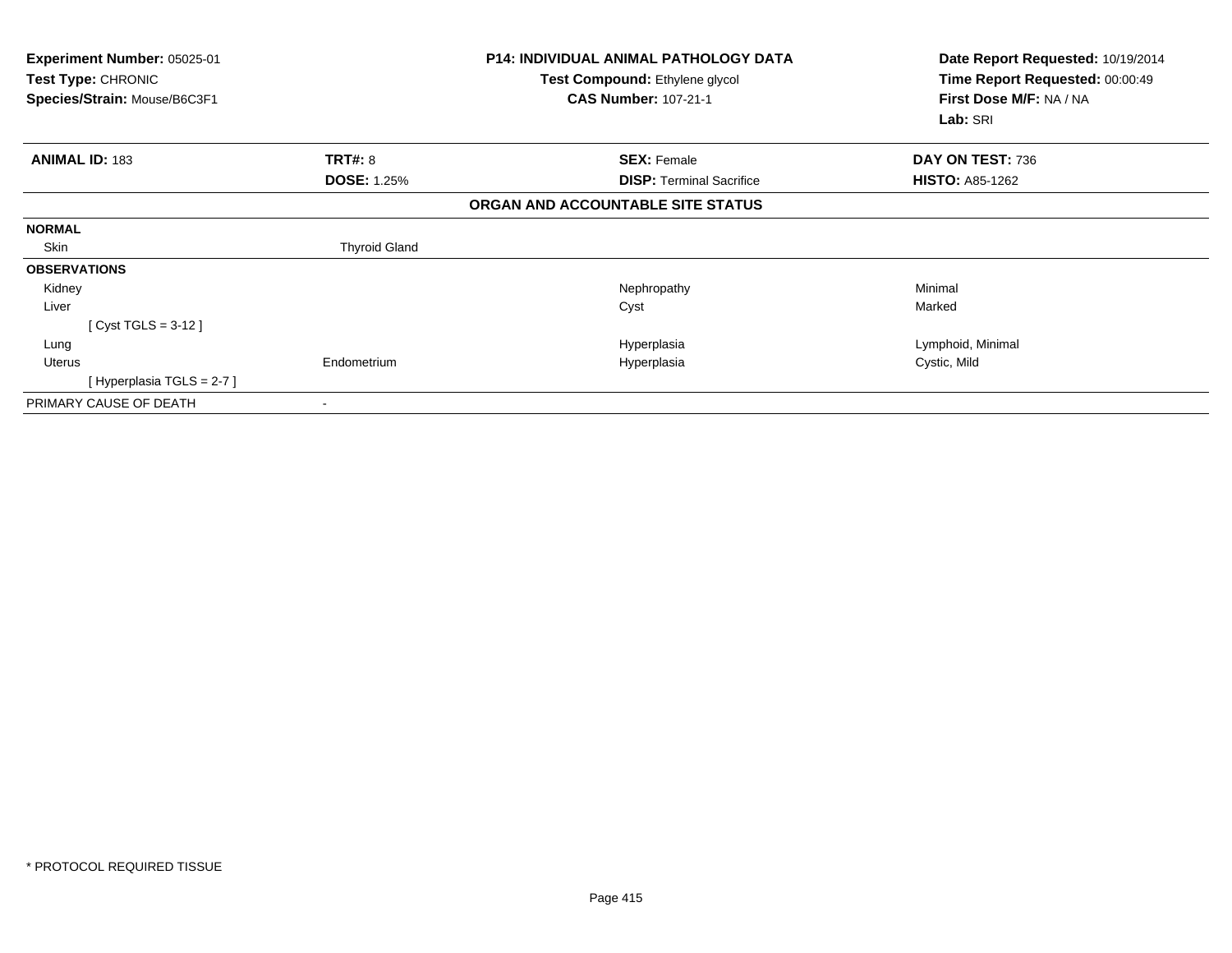| <b>Experiment Number: 05025-01</b><br>Test Type: CHRONIC<br>Species/Strain: Mouse/B6C3F1 |                      | <b>P14: INDIVIDUAL ANIMAL PATHOLOGY DATA</b><br>Test Compound: Ethylene glycol<br><b>CAS Number: 107-21-1</b> | Date Report Requested: 10/19/2014<br>Time Report Requested: 00:00:49<br>First Dose M/F: NA / NA<br>Lab: SRI |
|------------------------------------------------------------------------------------------|----------------------|---------------------------------------------------------------------------------------------------------------|-------------------------------------------------------------------------------------------------------------|
| <b>ANIMAL ID: 183</b>                                                                    | <b>TRT#: 8</b>       | <b>SEX: Female</b>                                                                                            | DAY ON TEST: 736                                                                                            |
|                                                                                          | <b>DOSE: 1.25%</b>   | <b>DISP:</b> Terminal Sacrifice                                                                               | <b>HISTO: A85-1262</b>                                                                                      |
|                                                                                          |                      | ORGAN AND ACCOUNTABLE SITE STATUS                                                                             |                                                                                                             |
| <b>NORMAL</b>                                                                            |                      |                                                                                                               |                                                                                                             |
| Skin                                                                                     | <b>Thyroid Gland</b> |                                                                                                               |                                                                                                             |
| <b>OBSERVATIONS</b>                                                                      |                      |                                                                                                               |                                                                                                             |
| Kidney                                                                                   |                      | Nephropathy                                                                                                   | Minimal                                                                                                     |
| Liver                                                                                    |                      | Cyst                                                                                                          | Marked                                                                                                      |
| [ Cyst TGLS = $3-12$ ]                                                                   |                      |                                                                                                               |                                                                                                             |
| Lung                                                                                     |                      | Hyperplasia                                                                                                   | Lymphoid, Minimal                                                                                           |
| Uterus                                                                                   | Endometrium          | Hyperplasia                                                                                                   | Cystic, Mild                                                                                                |
| [Hyperplasia TGLS = $2-7$ ]                                                              |                      |                                                                                                               |                                                                                                             |
| PRIMARY CAUSE OF DEATH                                                                   |                      |                                                                                                               |                                                                                                             |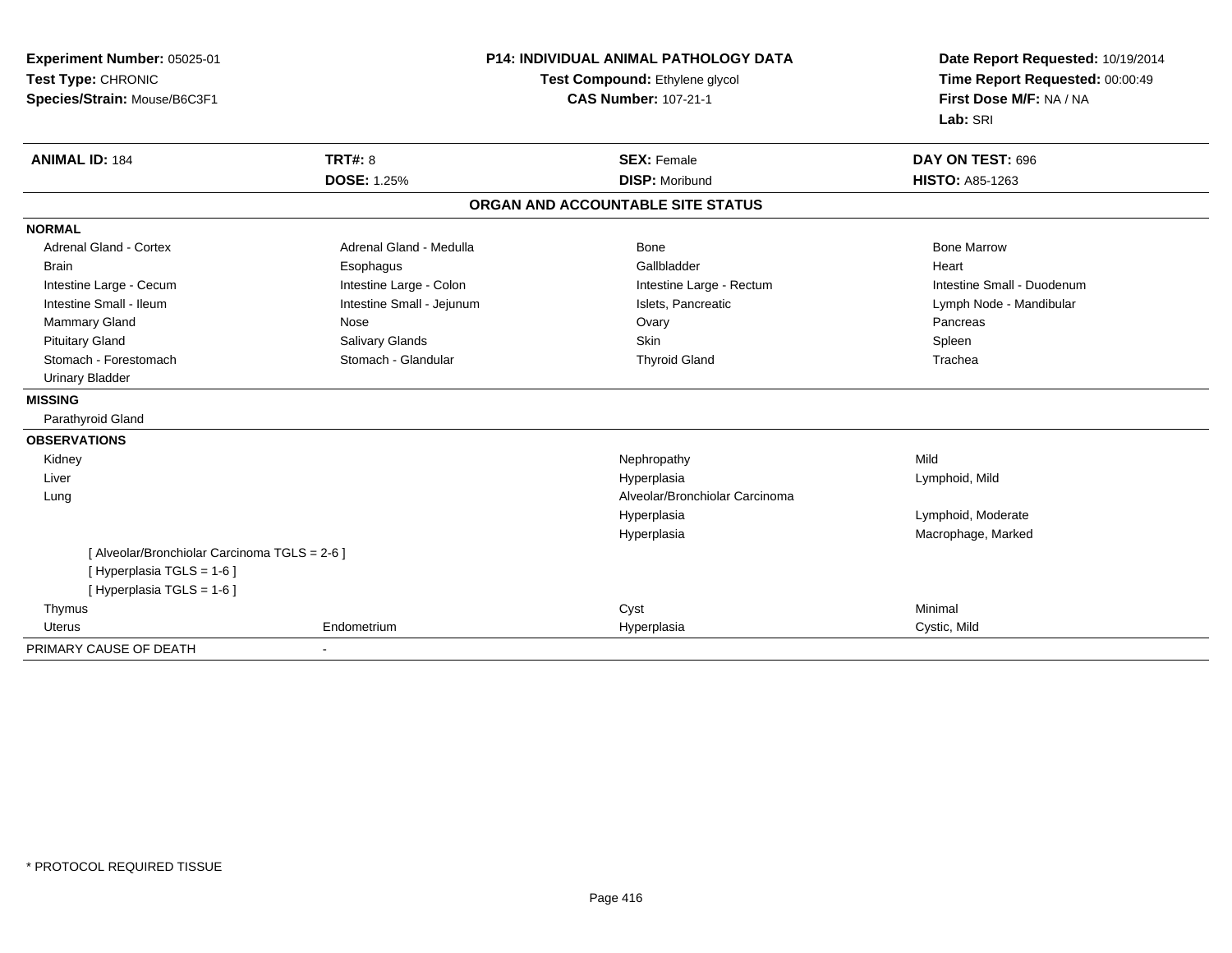| Experiment Number: 05025-01                   |                                | <b>P14: INDIVIDUAL ANIMAL PATHOLOGY DATA</b> | Date Report Requested: 10/19/2014 |
|-----------------------------------------------|--------------------------------|----------------------------------------------|-----------------------------------|
| Test Type: CHRONIC                            | Test Compound: Ethylene glycol |                                              | Time Report Requested: 00:00:49   |
| Species/Strain: Mouse/B6C3F1                  |                                | <b>CAS Number: 107-21-1</b>                  | First Dose M/F: NA / NA           |
|                                               |                                |                                              | Lab: SRI                          |
| <b>ANIMAL ID: 184</b>                         | <b>TRT#: 8</b>                 | <b>SEX: Female</b>                           | DAY ON TEST: 696                  |
|                                               | <b>DOSE: 1.25%</b>             | <b>DISP: Moribund</b>                        | <b>HISTO: A85-1263</b>            |
|                                               |                                | ORGAN AND ACCOUNTABLE SITE STATUS            |                                   |
| <b>NORMAL</b>                                 |                                |                                              |                                   |
| <b>Adrenal Gland - Cortex</b>                 | Adrenal Gland - Medulla        | Bone                                         | <b>Bone Marrow</b>                |
| <b>Brain</b>                                  | Esophagus                      | Gallbladder                                  | Heart                             |
| Intestine Large - Cecum                       | Intestine Large - Colon        | Intestine Large - Rectum                     | Intestine Small - Duodenum        |
| Intestine Small - Ileum                       | Intestine Small - Jejunum      | Islets, Pancreatic                           | Lymph Node - Mandibular           |
| <b>Mammary Gland</b>                          | Nose                           | Ovary                                        | Pancreas                          |
| <b>Pituitary Gland</b>                        | Salivary Glands                | Skin                                         | Spleen                            |
| Stomach - Forestomach                         | Stomach - Glandular            | <b>Thyroid Gland</b>                         | Trachea                           |
| <b>Urinary Bladder</b>                        |                                |                                              |                                   |
| <b>MISSING</b>                                |                                |                                              |                                   |
| Parathyroid Gland                             |                                |                                              |                                   |
| <b>OBSERVATIONS</b>                           |                                |                                              |                                   |
| Kidney                                        |                                | Nephropathy                                  | Mild                              |
| Liver                                         |                                | Hyperplasia                                  | Lymphoid, Mild                    |
| Lung                                          |                                | Alveolar/Bronchiolar Carcinoma               |                                   |
|                                               |                                | Hyperplasia                                  | Lymphoid, Moderate                |
|                                               |                                | Hyperplasia                                  | Macrophage, Marked                |
| [ Alveolar/Bronchiolar Carcinoma TGLS = 2-6 ] |                                |                                              |                                   |
| [ Hyperplasia TGLS = 1-6 ]                    |                                |                                              |                                   |
| [ Hyperplasia TGLS = 1-6 ]                    |                                |                                              |                                   |
| Thymus                                        |                                | Cyst                                         | Minimal                           |
| <b>Uterus</b>                                 | Endometrium                    | Hyperplasia                                  | Cystic, Mild                      |

-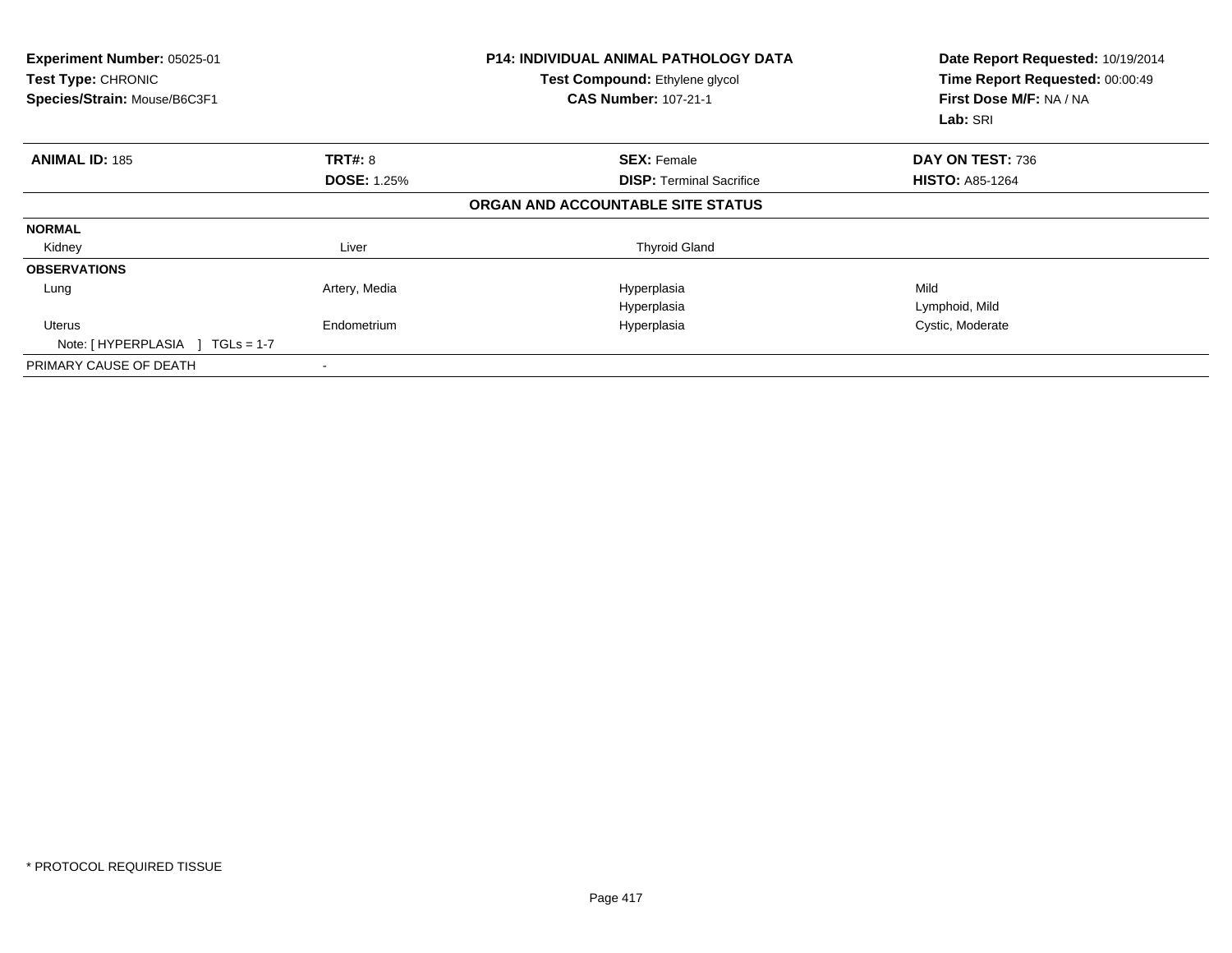| Experiment Number: 05025-01<br>Test Type: CHRONIC<br>Species/Strain: Mouse/B6C3F1 |                    | <b>P14: INDIVIDUAL ANIMAL PATHOLOGY DATA</b><br>Test Compound: Ethylene glycol<br><b>CAS Number: 107-21-1</b> | Date Report Requested: 10/19/2014<br>Time Report Requested: 00:00:49<br>First Dose M/F: NA / NA<br>Lab: SRI |
|-----------------------------------------------------------------------------------|--------------------|---------------------------------------------------------------------------------------------------------------|-------------------------------------------------------------------------------------------------------------|
| <b>ANIMAL ID: 185</b>                                                             | <b>TRT#: 8</b>     | <b>SEX: Female</b>                                                                                            | DAY ON TEST: 736                                                                                            |
|                                                                                   | <b>DOSE: 1.25%</b> | <b>DISP:</b> Terminal Sacrifice                                                                               | <b>HISTO: A85-1264</b>                                                                                      |
|                                                                                   |                    | ORGAN AND ACCOUNTABLE SITE STATUS                                                                             |                                                                                                             |
| <b>NORMAL</b>                                                                     |                    |                                                                                                               |                                                                                                             |
| Kidney                                                                            | Liver              | <b>Thyroid Gland</b>                                                                                          |                                                                                                             |
| <b>OBSERVATIONS</b>                                                               |                    |                                                                                                               |                                                                                                             |
| Lung                                                                              | Artery, Media      | Hyperplasia                                                                                                   | Mild                                                                                                        |
|                                                                                   |                    | Hyperplasia                                                                                                   | Lymphoid, Mild                                                                                              |
| <b>Uterus</b><br>Note: [HYPERPLASIA ]<br>$TGLs = 1-7$                             | Endometrium        | Hyperplasia                                                                                                   | Cystic, Moderate                                                                                            |
| PRIMARY CAUSE OF DEATH                                                            |                    |                                                                                                               |                                                                                                             |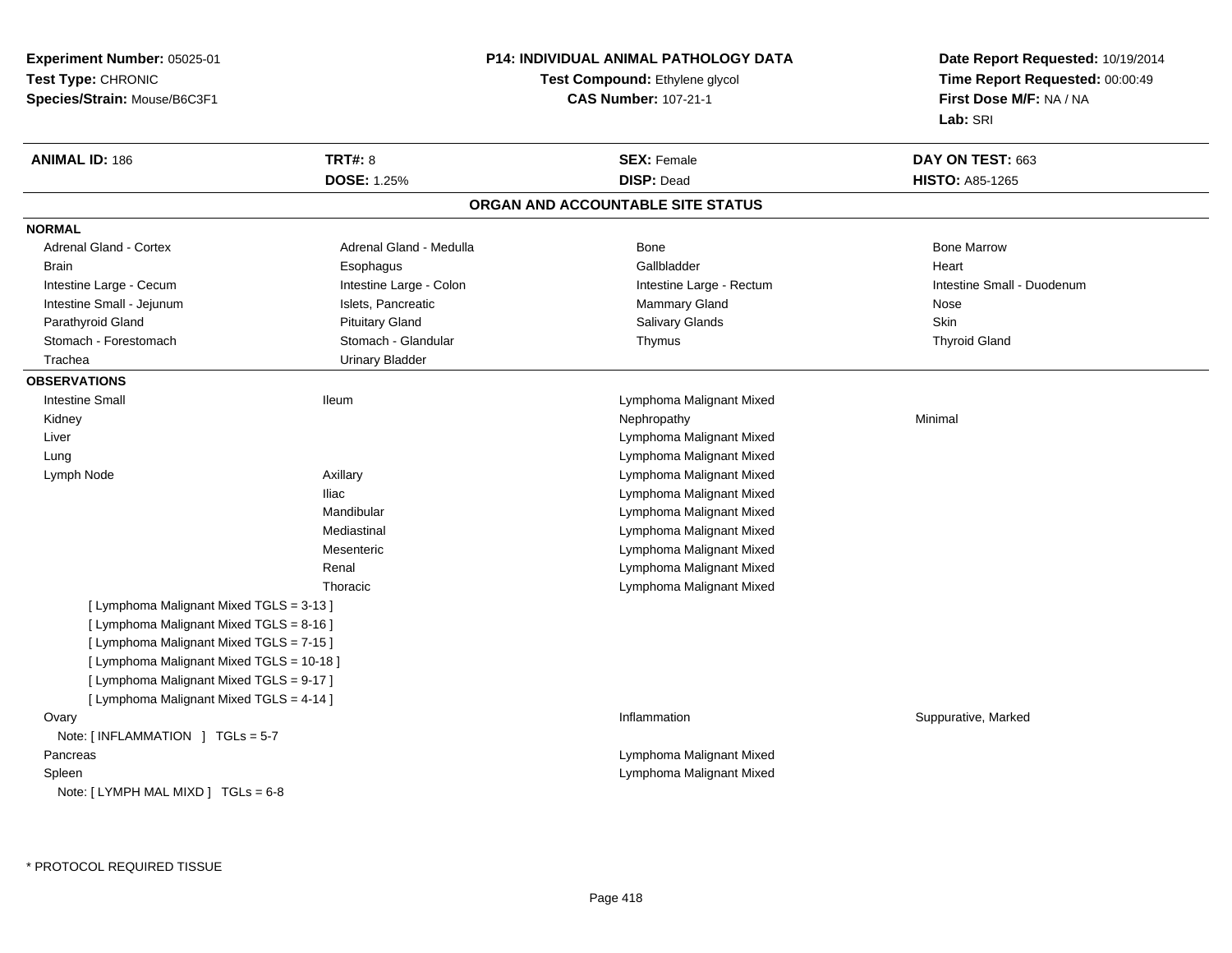**Experiment Number:** 05025-01**Test Type:** CHRONIC **Species/Strain:** Mouse/B6C3F1**P14: INDIVIDUAL ANIMAL PATHOLOGY DATATest Compound:** Ethylene glycol **CAS Number:** 107-21-1**Date Report Requested:** 10/19/2014**Time Report Requested:** 00:00:49**First Dose M/F:** NA / NA**Lab:** SRI**ANIMAL ID:** 186**6 DAY ON TEST:** 663 **DOSE:** 1.25% **DISP:** Dead **HISTO:** A85-1265 **ORGAN AND ACCOUNTABLE SITE STATUSNORMALAdrenal Gland - Cortex** Adrenal Gland - Medulla **Bone Adrenal Gland - Cortex Adrenal Gland - Cortex Adrenal Gland - Medulla** Bone Marrow Brain Esophagus Esophagus Gallbladder Gallbladder Gallbladder Heart Intestine Large - Cecum **Intestine Large - Colon** Intestine Large - Colon Intestine Large - Rectum Intestine Large - Rectum Intestine Small - Duodenum Intestine Small - Jejunum **Intestine Small - Jejunum** Islets, Pancreatic **Nose** Mammary Gland Nose **Skin** Parathyroid Gland Phillip Communication of Pituitary Gland Pitus School Salivary Glands Skin Skin Skin Skin Skin **Thyroid Gland** Stomach - Forestomach **Stomach - Stomach - Glandular** Thymus Thymus Thymus Thymus Thymus Thymus Thymus Thymus The Glandular Thymus Thymus Thymus Thymus Thymus Thymus The Glandular The Glandular Thymus Thymus Thymus Thymus Trachea Urinary Bladder**OBSERVATIONS** Intestine Small Ileum Lymphoma Malignant Mixed Kidneyy the controller of the controller of the controller of the Nephropathy the controller of the Minimal Minimal  $\lambda$  Liver Lymphoma Malignant Mixed Lymphoma Malignant Mixed Lung Lymph Node Axillary Lymphoma Malignant Mixed Iliac Lymphoma Malignant Mixed Lymphoma Malignant MixedMandibular Lymphoma Malignant MixedMediastinal Lymphoma Malignant MixedMesenteric Lymphoma Malignant MixedRenal Lymphoma Malignant MixedThoracic[ Lymphoma Malignant Mixed TGLS = 3-13 ][ Lymphoma Malignant Mixed TGLS = 8-16 ][ Lymphoma Malignant Mixed TGLS = 7-15 ][ Lymphoma Malignant Mixed TGLS = 10-18 ][ Lymphoma Malignant Mixed TGLS = 9-17 ][ Lymphoma Malignant Mixed TGLS = 4-14 ]**Ovary** y the control of the control of the control of the control of the control of the control of the control of the control of the control of the control of the control of the control of the control of the control of the contro Inflammation **Suppurative, Marked** Note: [ INFLAMMATION ] TGLs = 5-7 Pancreas Lymphoma Malignant Mixed Lymphoma Malignant Mixed SpleenNote: [ LYMPH MAL MIXD ] TGLs = 6-8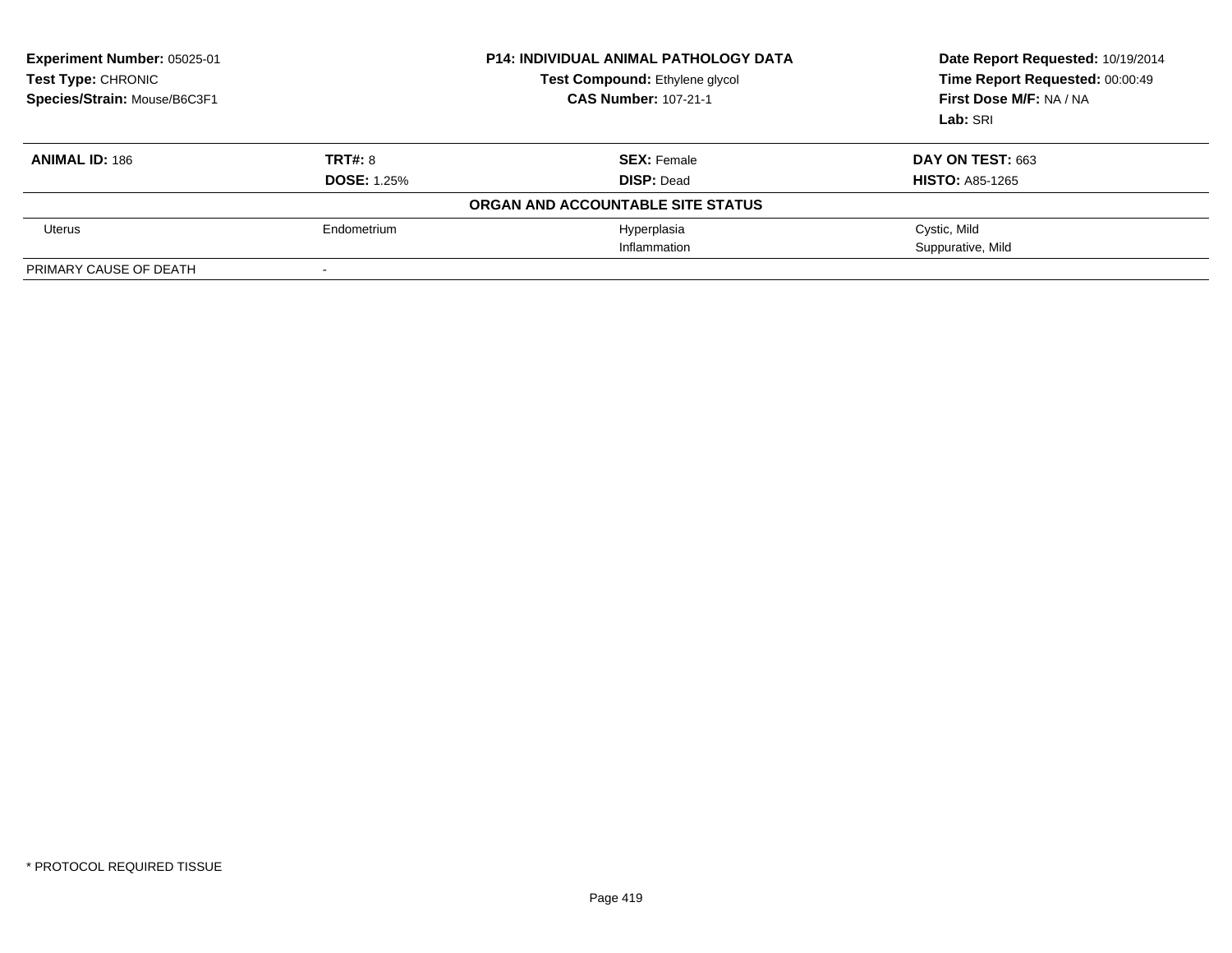| Experiment Number: 05025-01<br><b>Test Type: CHRONIC</b><br>Species/Strain: Mouse/B6C3F1 |                    | <b>P14: INDIVIDUAL ANIMAL PATHOLOGY DATA</b><br>Test Compound: Ethylene glycol<br><b>CAS Number: 107-21-1</b> | Date Report Requested: 10/19/2014<br>Time Report Requested: 00:00:49<br>First Dose M/F: NA / NA<br>Lab: SRI |
|------------------------------------------------------------------------------------------|--------------------|---------------------------------------------------------------------------------------------------------------|-------------------------------------------------------------------------------------------------------------|
| <b>ANIMAL ID: 186</b>                                                                    | TRT#: 8            | <b>SEX: Female</b>                                                                                            | DAY ON TEST: 663                                                                                            |
|                                                                                          | <b>DOSE: 1.25%</b> | <b>DISP: Dead</b>                                                                                             | <b>HISTO: A85-1265</b>                                                                                      |
|                                                                                          |                    | ORGAN AND ACCOUNTABLE SITE STATUS                                                                             |                                                                                                             |
| Uterus                                                                                   | Endometrium        | Hyperplasia                                                                                                   | Cystic, Mild                                                                                                |
|                                                                                          |                    | Inflammation                                                                                                  | Suppurative, Mild                                                                                           |
| PRIMARY CAUSE OF DEATH                                                                   |                    |                                                                                                               |                                                                                                             |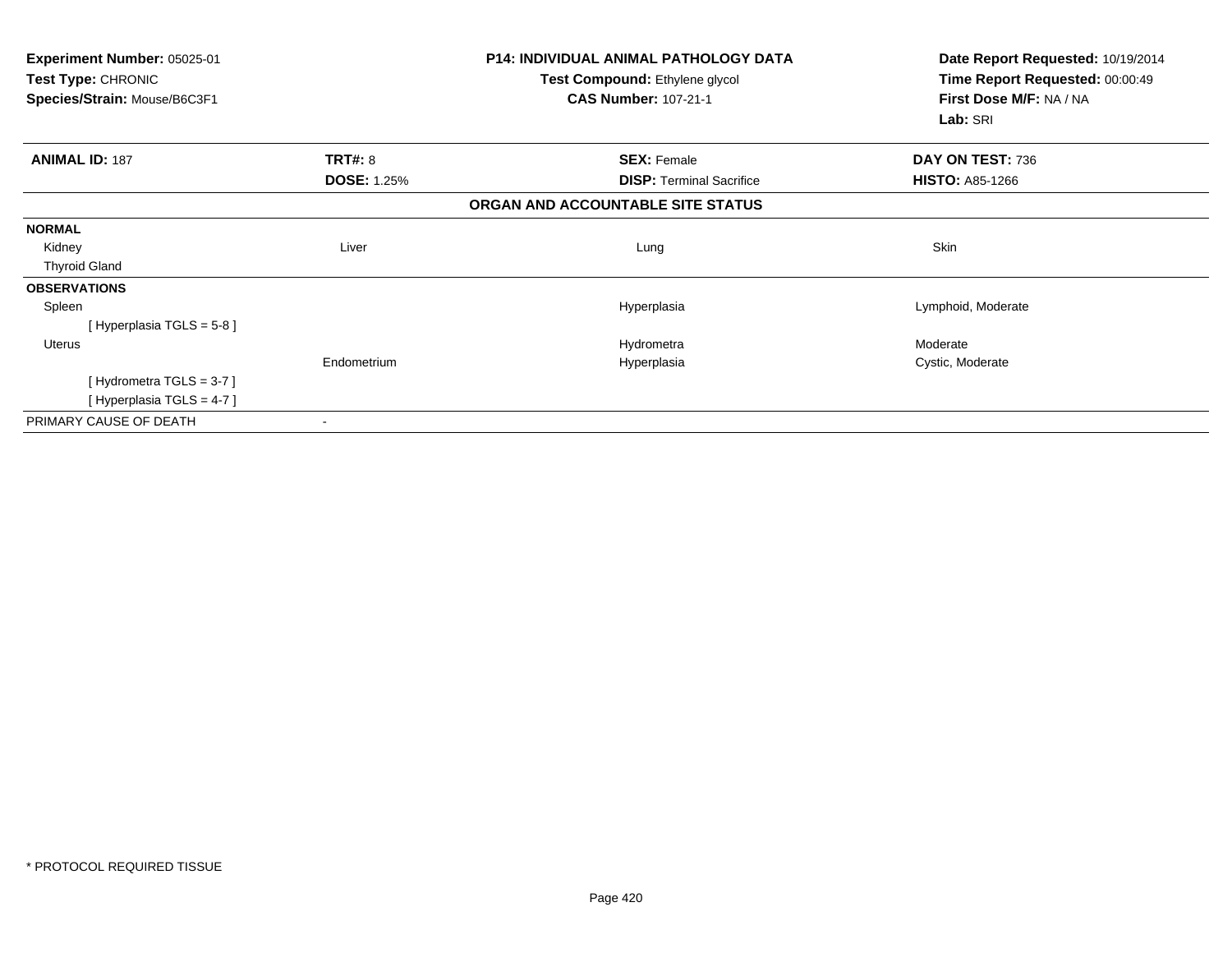| Experiment Number: 05025-01<br>Test Type: CHRONIC<br>Species/Strain: Mouse/B6C3F1 |                    | <b>P14: INDIVIDUAL ANIMAL PATHOLOGY DATA</b><br>Test Compound: Ethylene glycol<br><b>CAS Number: 107-21-1</b> | Date Report Requested: 10/19/2014<br>Time Report Requested: 00:00:49<br>First Dose M/F: NA / NA<br>Lab: SRI |
|-----------------------------------------------------------------------------------|--------------------|---------------------------------------------------------------------------------------------------------------|-------------------------------------------------------------------------------------------------------------|
| <b>ANIMAL ID: 187</b>                                                             | TRT#: 8            | <b>SEX: Female</b>                                                                                            | DAY ON TEST: 736                                                                                            |
|                                                                                   | <b>DOSE: 1.25%</b> | <b>DISP: Terminal Sacrifice</b>                                                                               | <b>HISTO: A85-1266</b>                                                                                      |
|                                                                                   |                    | ORGAN AND ACCOUNTABLE SITE STATUS                                                                             |                                                                                                             |
| <b>NORMAL</b>                                                                     |                    |                                                                                                               |                                                                                                             |
| Kidney                                                                            | Liver              | Lung                                                                                                          | Skin                                                                                                        |
| <b>Thyroid Gland</b>                                                              |                    |                                                                                                               |                                                                                                             |
| <b>OBSERVATIONS</b>                                                               |                    |                                                                                                               |                                                                                                             |
| Spleen                                                                            |                    | Hyperplasia                                                                                                   | Lymphoid, Moderate                                                                                          |
| [Hyperplasia TGLS = $5-8$ ]                                                       |                    |                                                                                                               |                                                                                                             |
| Uterus                                                                            |                    | Hydrometra                                                                                                    | Moderate                                                                                                    |
|                                                                                   | Endometrium        | Hyperplasia                                                                                                   | Cystic, Moderate                                                                                            |
| [Hydrometra TGLS = $3-7$ ]                                                        |                    |                                                                                                               |                                                                                                             |
| [Hyperplasia TGLS = 4-7]                                                          |                    |                                                                                                               |                                                                                                             |
| PRIMARY CAUSE OF DEATH                                                            |                    |                                                                                                               |                                                                                                             |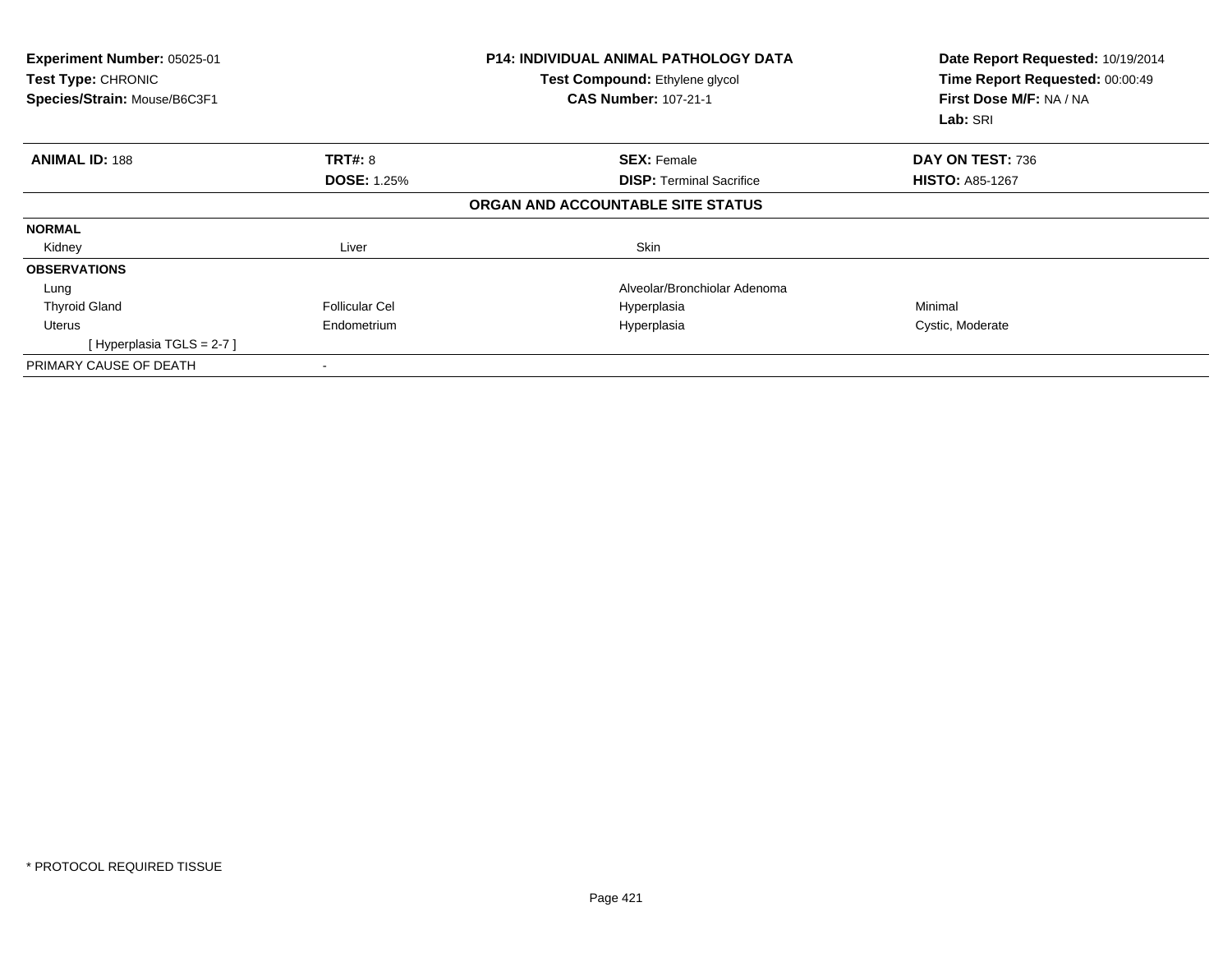| Experiment Number: 05025-01<br>Test Type: CHRONIC<br>Species/Strain: Mouse/B6C3F1 |                    | <b>P14: INDIVIDUAL ANIMAL PATHOLOGY DATA</b><br>Test Compound: Ethylene glycol<br><b>CAS Number: 107-21-1</b> | Date Report Requested: 10/19/2014<br>Time Report Requested: 00:00:49<br>First Dose M/F: NA / NA<br>Lab: SRI |
|-----------------------------------------------------------------------------------|--------------------|---------------------------------------------------------------------------------------------------------------|-------------------------------------------------------------------------------------------------------------|
| <b>ANIMAL ID: 188</b>                                                             | <b>TRT#: 8</b>     | <b>SEX: Female</b>                                                                                            | DAY ON TEST: 736                                                                                            |
|                                                                                   | <b>DOSE: 1.25%</b> | <b>DISP:</b> Terminal Sacrifice                                                                               | <b>HISTO: A85-1267</b>                                                                                      |
|                                                                                   |                    | ORGAN AND ACCOUNTABLE SITE STATUS                                                                             |                                                                                                             |
| <b>NORMAL</b>                                                                     |                    |                                                                                                               |                                                                                                             |
| Kidney                                                                            | Liver              | Skin                                                                                                          |                                                                                                             |
| <b>OBSERVATIONS</b>                                                               |                    |                                                                                                               |                                                                                                             |
| Lung                                                                              |                    | Alveolar/Bronchiolar Adenoma                                                                                  |                                                                                                             |
| <b>Thyroid Gland</b>                                                              | Follicular Cel     | Hyperplasia                                                                                                   | Minimal                                                                                                     |
| Uterus                                                                            | Endometrium        | Hyperplasia                                                                                                   | Cystic, Moderate                                                                                            |
| [Hyperplasia TGLS = $2-7$ ]                                                       |                    |                                                                                                               |                                                                                                             |
| PRIMARY CAUSE OF DEATH                                                            |                    |                                                                                                               |                                                                                                             |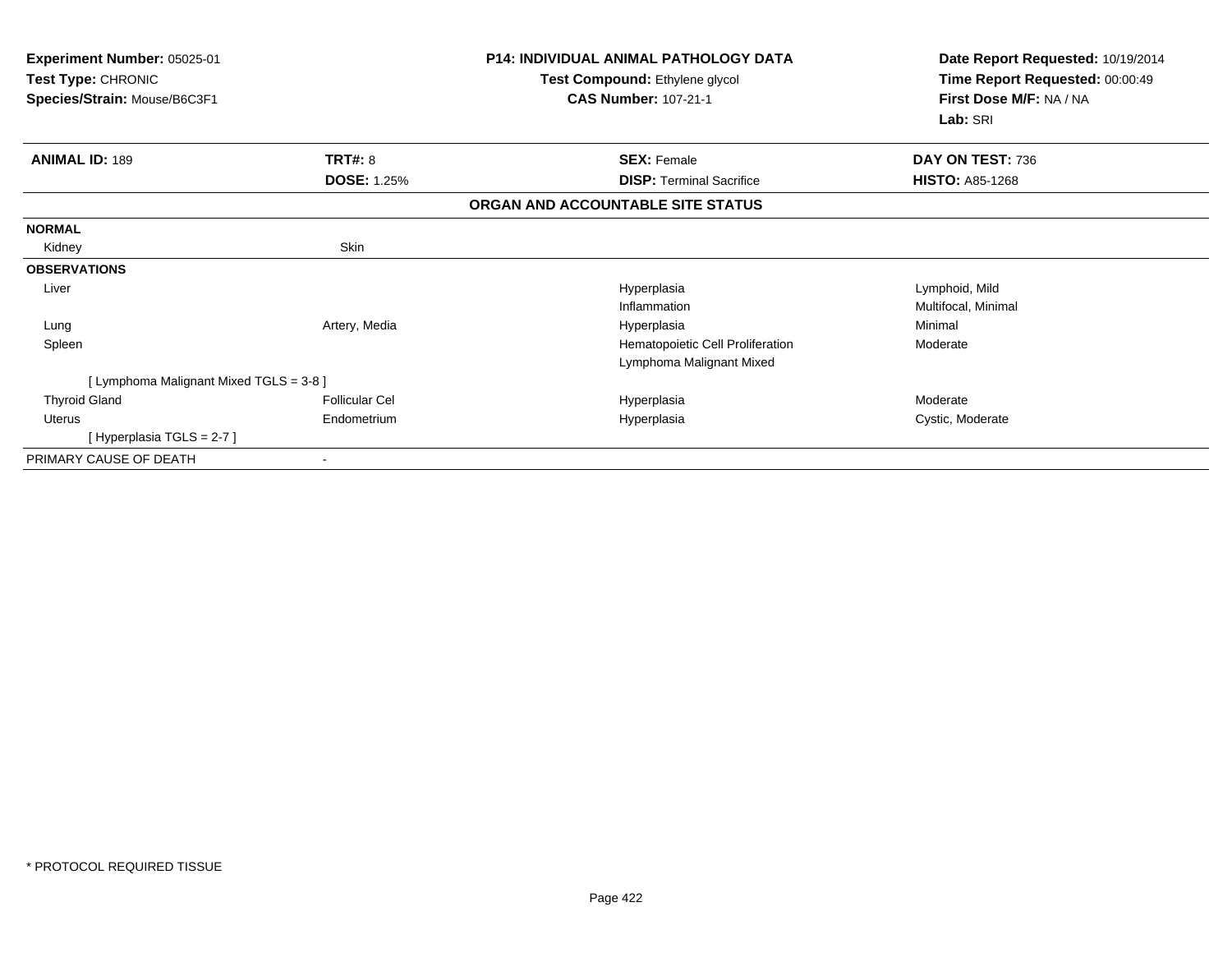| <b>Experiment Number: 05025-01</b><br>Test Type: CHRONIC<br>Species/Strain: Mouse/B6C3F1 |                                      | <b>P14: INDIVIDUAL ANIMAL PATHOLOGY DATA</b><br>Test Compound: Ethylene glycol<br><b>CAS Number: 107-21-1</b> | Date Report Requested: 10/19/2014<br>Time Report Requested: 00:00:49<br>First Dose M/F: NA / NA<br>Lab: SRI |
|------------------------------------------------------------------------------------------|--------------------------------------|---------------------------------------------------------------------------------------------------------------|-------------------------------------------------------------------------------------------------------------|
| <b>ANIMAL ID: 189</b>                                                                    | <b>TRT#: 8</b><br><b>DOSE: 1.25%</b> | <b>SEX: Female</b><br><b>DISP:</b> Terminal Sacrifice                                                         | DAY ON TEST: 736<br><b>HISTO: A85-1268</b>                                                                  |
|                                                                                          |                                      |                                                                                                               |                                                                                                             |
|                                                                                          |                                      | ORGAN AND ACCOUNTABLE SITE STATUS                                                                             |                                                                                                             |
| <b>NORMAL</b>                                                                            |                                      |                                                                                                               |                                                                                                             |
| Kidney                                                                                   | Skin                                 |                                                                                                               |                                                                                                             |
| <b>OBSERVATIONS</b>                                                                      |                                      |                                                                                                               |                                                                                                             |
| Liver                                                                                    |                                      | Hyperplasia                                                                                                   | Lymphoid, Mild                                                                                              |
|                                                                                          |                                      | Inflammation                                                                                                  | Multifocal, Minimal                                                                                         |
| Lung                                                                                     | Artery, Media                        | Hyperplasia                                                                                                   | Minimal                                                                                                     |
| Spleen                                                                                   |                                      | Hematopoietic Cell Proliferation                                                                              | Moderate                                                                                                    |
|                                                                                          |                                      | Lymphoma Malignant Mixed                                                                                      |                                                                                                             |
| [ Lymphoma Malignant Mixed TGLS = 3-8 ]                                                  |                                      |                                                                                                               |                                                                                                             |
| <b>Thyroid Gland</b>                                                                     | Follicular Cel                       | Hyperplasia                                                                                                   | Moderate                                                                                                    |
| Uterus                                                                                   | Endometrium                          | Hyperplasia                                                                                                   | Cystic, Moderate                                                                                            |
| [Hyperplasia TGLS = 2-7]                                                                 |                                      |                                                                                                               |                                                                                                             |
| PRIMARY CAUSE OF DEATH                                                                   |                                      |                                                                                                               |                                                                                                             |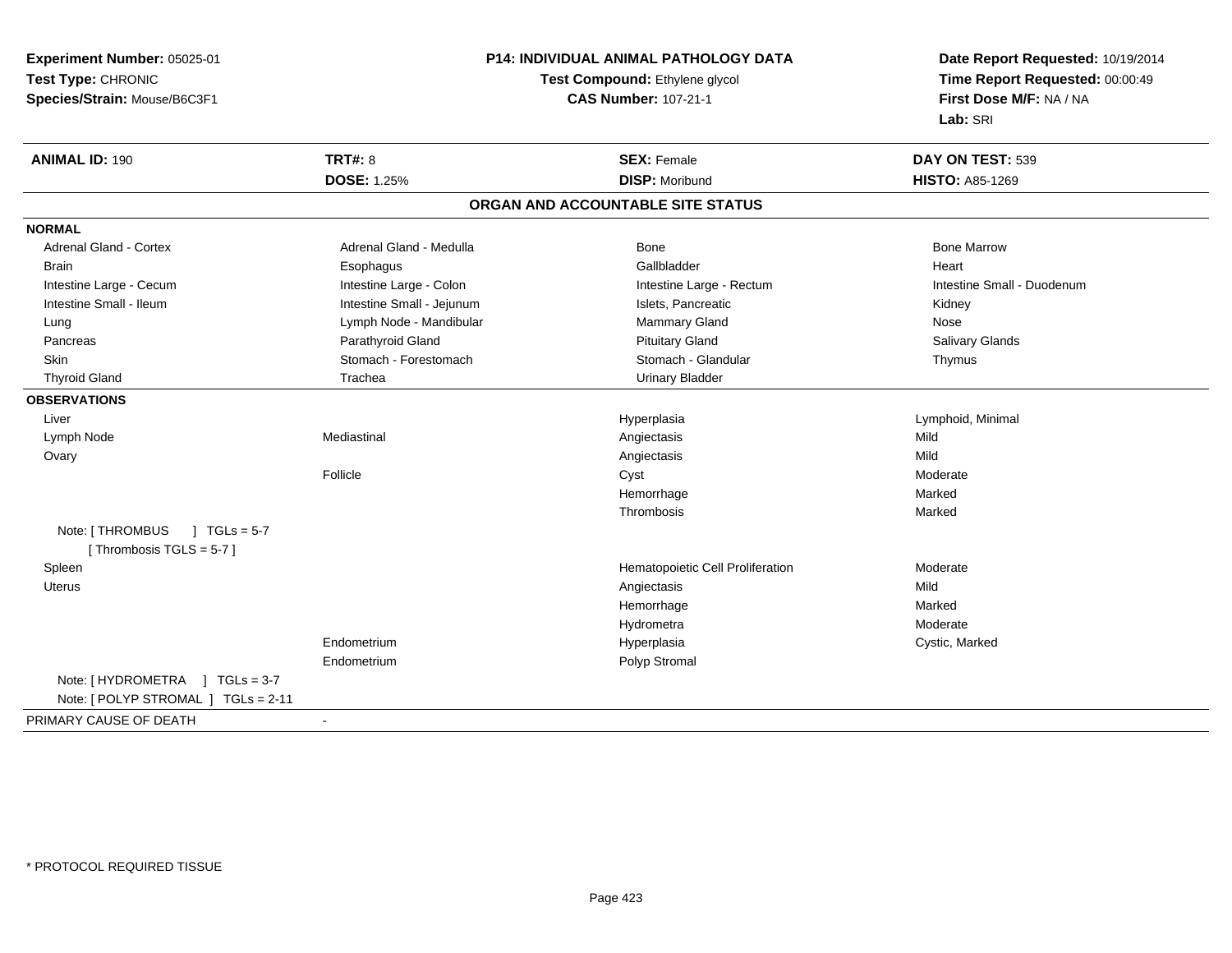**Experiment Number:** 05025-01**Test Type:** CHRONIC **Species/Strain:** Mouse/B6C3F1**P14: INDIVIDUAL ANIMAL PATHOLOGY DATATest Compound:** Ethylene glycol **CAS Number:** 107-21-1**Date Report Requested:** 10/19/2014**Time Report Requested:** 00:00:49**First Dose M/F:** NA / NA**Lab:** SRI**ANIMAL ID:** 190**C TRT#:** 8 **SEX:** Female **DAY ON TEST:** 539 **DOSE:** 1.25% **DISP:** Moribund **HISTO:** A85-1269 **ORGAN AND ACCOUNTABLE SITE STATUSNORMALAdrenal Gland - Cortex** Adrenal Gland - Medulla **Adrenal Gland - Medulla** Bone Bone Bone Bone Bone Marrow Brain Esophagus Esophagus Gallbladder Gallbladder Gallbladder Heart Intestine Large - Cecum **Intestine Large - Colon** Intestine Large - Colon Intestine Large - Rectum Intestine Large - Rectum Intestine Small - Duodenum Intestine Small - Ileum **Intestine Small - Intestine Small - Jejunum** Intestine Small - Jejunum Islets, Pancreatic Kidney Kidney Lung **Lymph Node - Mandibular Mammary Gland Mammary Gland Nose Salivary Glands**  Pancreas Parathyroid Gland Pituitary Gland Salivary GlandsSkin Stomach - Forestomach Stomach Stomach Stomach Stomach Stomach Stomach - Glandular Thymus Thyroid Gland Trachea Urinary Bladder**OBSERVATIONS** Liverr and the control of the control of the control of the control of the control of the control of the control of Lymphoid, Minimal Lymph Node Mediastinal Angiectasis Mild **Ovary** y and the control of the control of the control of the control of the control of the control of the control of the control of the control of the control of the control of the control of the control of the control of the co Moderate Folliclee which is not constant to the Cyst constant of the constant of the Moderate of the Moderate of the Cyst constant of the Cyst constant of the Cyst constant of the Cyst constant of the Cyst constant of the Cyst constant of Hemorrhagee Marked Thrombosis MarkedNote: [THROMBUS ] TGLs = 5-7 [ Thrombosis  $TGLS = 5-7$  ] SpleenHematopoietic Cell Proliferation **Moderate**<br>
Angiectasis Mild Uteruss and the control of the control of the control of the control of the control of the control of the control of the control of the control of the control of the control of the control of the control of the control of the co Marked Hemorrhagee Marked Hydrometra Moderate Endometrium Hyperplasia Cystic, Marked Endometrium Polyp Stromal Note: [ HYDROMETRA ] TGLs = 3-7 Note: [ POLYP STROMAL ] TGLs = 2-11PRIMARY CAUSE OF DEATH-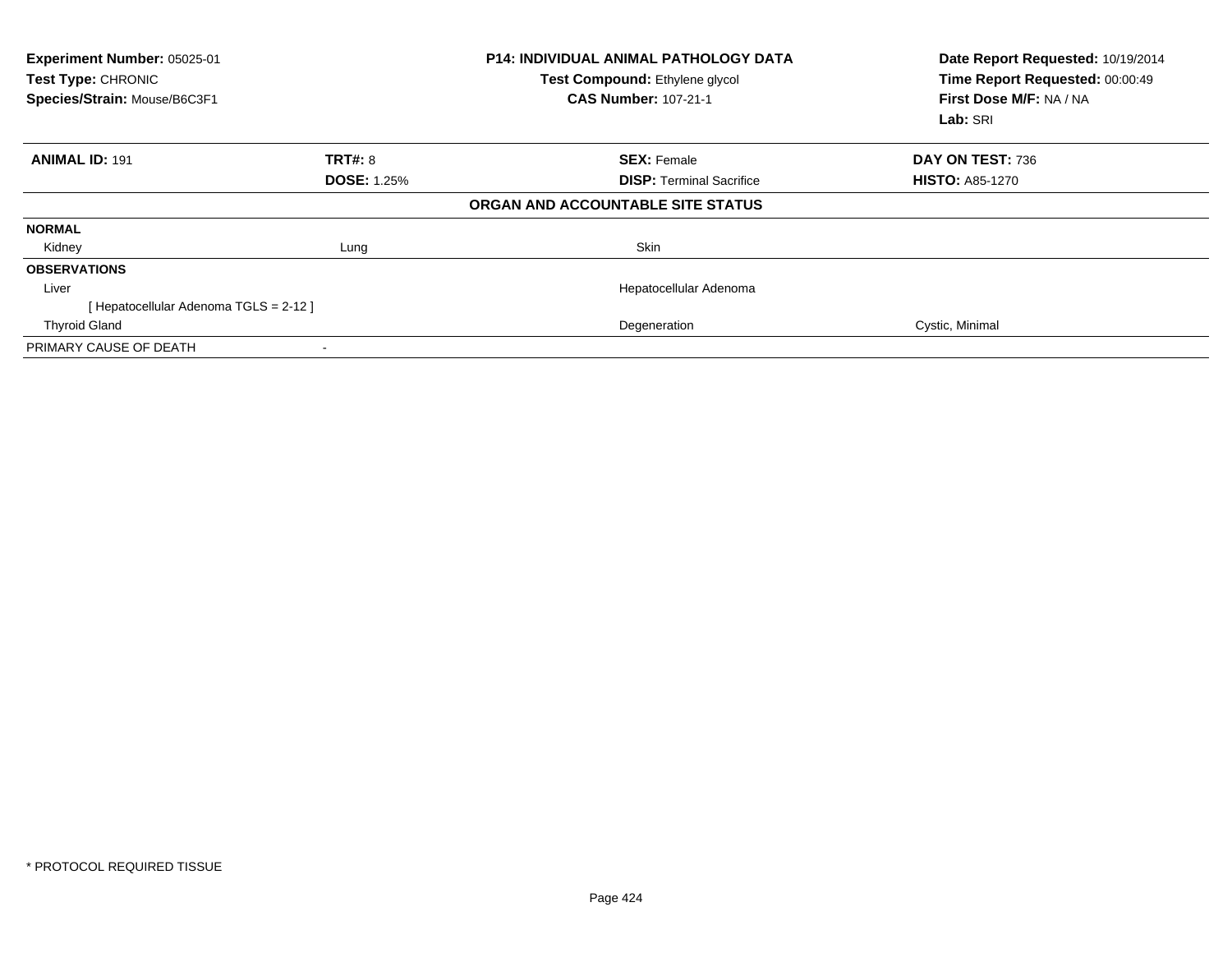| Experiment Number: 05025-01<br>Test Type: CHRONIC<br>Species/Strain: Mouse/B6C3F1 |                    | <b>P14: INDIVIDUAL ANIMAL PATHOLOGY DATA</b><br>Test Compound: Ethylene glycol<br><b>CAS Number: 107-21-1</b> | Date Report Requested: 10/19/2014<br>Time Report Requested: 00:00:49<br>First Dose M/F: NA / NA<br>Lab: SRI |
|-----------------------------------------------------------------------------------|--------------------|---------------------------------------------------------------------------------------------------------------|-------------------------------------------------------------------------------------------------------------|
| <b>ANIMAL ID: 191</b>                                                             | <b>TRT#: 8</b>     | <b>SEX: Female</b>                                                                                            | DAY ON TEST: 736                                                                                            |
|                                                                                   | <b>DOSE: 1.25%</b> | <b>DISP:</b> Terminal Sacrifice                                                                               | <b>HISTO: A85-1270</b>                                                                                      |
|                                                                                   |                    | ORGAN AND ACCOUNTABLE SITE STATUS                                                                             |                                                                                                             |
| <b>NORMAL</b>                                                                     |                    |                                                                                                               |                                                                                                             |
| Kidney                                                                            | Lung               | Skin                                                                                                          |                                                                                                             |
| <b>OBSERVATIONS</b>                                                               |                    |                                                                                                               |                                                                                                             |
| Liver                                                                             |                    | Hepatocellular Adenoma                                                                                        |                                                                                                             |
| [ Hepatocellular Adenoma TGLS = 2-12 ]                                            |                    |                                                                                                               |                                                                                                             |
| <b>Thyroid Gland</b>                                                              |                    | Degeneration                                                                                                  | Cystic, Minimal                                                                                             |
| PRIMARY CAUSE OF DEATH                                                            |                    |                                                                                                               |                                                                                                             |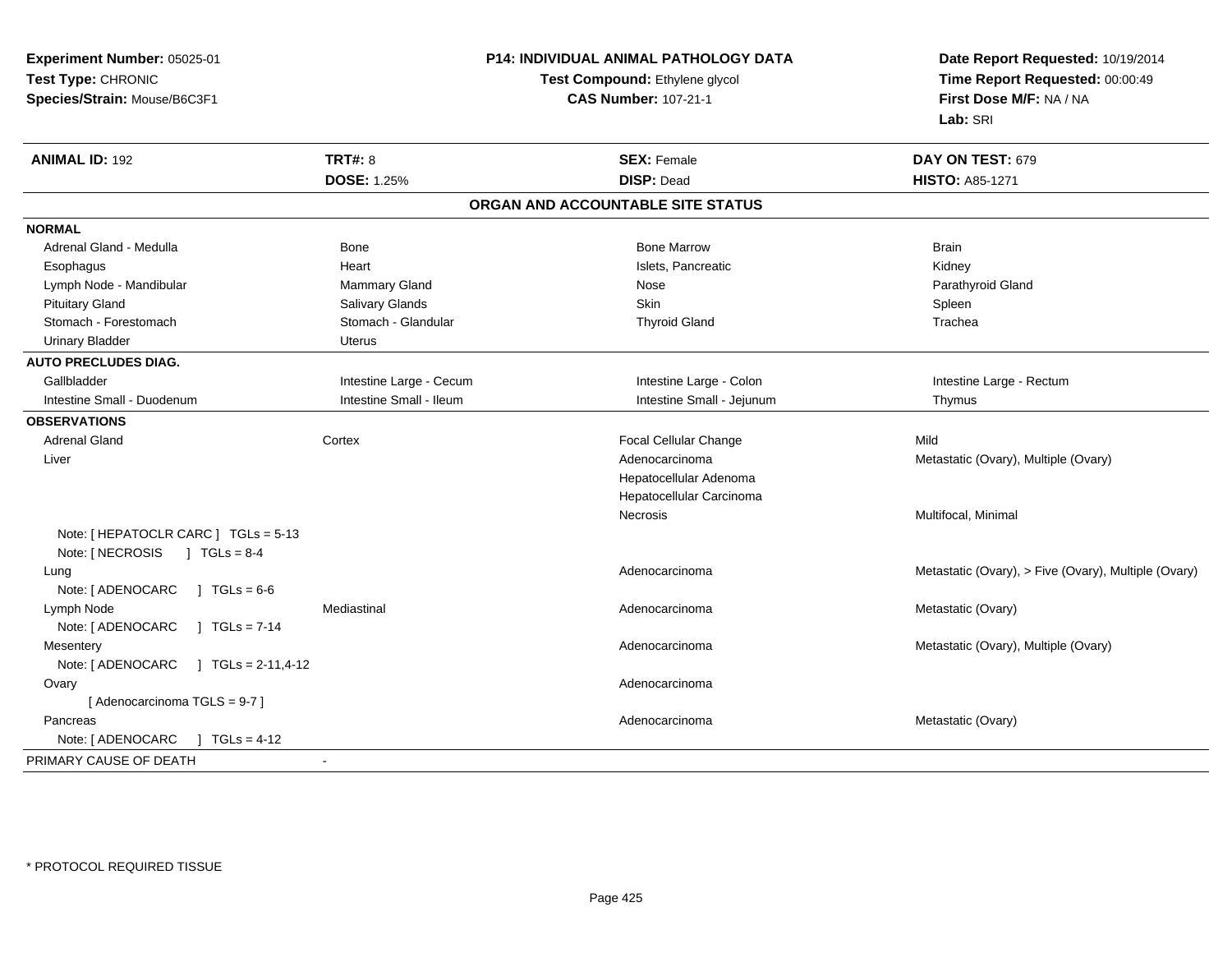| Experiment Number: 05025-01                  | P14: INDIVIDUAL ANIMAL PATHOLOGY DATA<br>Test Compound: Ethylene glycol |                                   | Date Report Requested: 10/19/2014<br>Time Report Requested: 00:00:49 |  |
|----------------------------------------------|-------------------------------------------------------------------------|-----------------------------------|----------------------------------------------------------------------|--|
| Test Type: CHRONIC                           |                                                                         |                                   |                                                                      |  |
| Species/Strain: Mouse/B6C3F1                 |                                                                         | <b>CAS Number: 107-21-1</b>       | First Dose M/F: NA / NA                                              |  |
|                                              |                                                                         |                                   | Lab: SRI                                                             |  |
| <b>ANIMAL ID: 192</b>                        | <b>TRT#: 8</b>                                                          | <b>SEX: Female</b>                | DAY ON TEST: 679                                                     |  |
|                                              | <b>DOSE: 1.25%</b>                                                      | <b>DISP: Dead</b>                 | <b>HISTO: A85-1271</b>                                               |  |
|                                              |                                                                         | ORGAN AND ACCOUNTABLE SITE STATUS |                                                                      |  |
| <b>NORMAL</b>                                |                                                                         |                                   |                                                                      |  |
| Adrenal Gland - Medulla                      | Bone                                                                    | <b>Bone Marrow</b>                | <b>Brain</b>                                                         |  |
| Esophagus                                    | Heart                                                                   | Islets, Pancreatic                | Kidney                                                               |  |
| Lymph Node - Mandibular                      | Mammary Gland                                                           | Nose                              | Parathyroid Gland                                                    |  |
| <b>Pituitary Gland</b>                       | Salivary Glands                                                         | Skin                              | Spleen                                                               |  |
| Stomach - Forestomach                        | Stomach - Glandular                                                     | <b>Thyroid Gland</b>              | Trachea                                                              |  |
| <b>Urinary Bladder</b>                       | <b>Uterus</b>                                                           |                                   |                                                                      |  |
| <b>AUTO PRECLUDES DIAG.</b>                  |                                                                         |                                   |                                                                      |  |
| Gallbladder                                  | Intestine Large - Cecum                                                 | Intestine Large - Colon           | Intestine Large - Rectum                                             |  |
| Intestine Small - Duodenum                   | Intestine Small - Ileum                                                 | Intestine Small - Jejunum         | Thymus                                                               |  |
| <b>OBSERVATIONS</b>                          |                                                                         |                                   |                                                                      |  |
| <b>Adrenal Gland</b>                         | Cortex                                                                  | Focal Cellular Change             | Mild                                                                 |  |
| Liver                                        |                                                                         | Adenocarcinoma                    | Metastatic (Ovary), Multiple (Ovary)                                 |  |
|                                              |                                                                         | Hepatocellular Adenoma            |                                                                      |  |
|                                              |                                                                         | Hepatocellular Carcinoma          |                                                                      |  |
|                                              |                                                                         | Necrosis                          | Multifocal, Minimal                                                  |  |
| Note: [ HEPATOCLR CARC ] TGLs = 5-13         |                                                                         |                                   |                                                                      |  |
| Note: [ NECROSIS<br>$J \text{ TGLs} = 8-4$   |                                                                         |                                   |                                                                      |  |
| Lung                                         |                                                                         | Adenocarcinoma                    | Metastatic (Ovary), > Five (Ovary), Multiple (Ovary)                 |  |
| Note: [ ADENOCARC<br>] $TGLs = 6-6$          |                                                                         |                                   |                                                                      |  |
| Lymph Node                                   | Mediastinal                                                             | Adenocarcinoma                    | Metastatic (Ovary)                                                   |  |
| Note: [ ADENOCARC<br>$J \text{ TGLs} = 7-14$ |                                                                         |                                   |                                                                      |  |
| Mesentery                                    |                                                                         | Adenocarcinoma                    | Metastatic (Ovary), Multiple (Ovary)                                 |  |
| Note: [ ADENOCARC<br>J TGLs = $2-11,4-12$    |                                                                         |                                   |                                                                      |  |
| Ovary                                        |                                                                         | Adenocarcinoma                    |                                                                      |  |
| [Adenocarcinoma TGLS = 9-7]                  |                                                                         |                                   |                                                                      |  |
| Pancreas                                     |                                                                         | Adenocarcinoma                    | Metastatic (Ovary)                                                   |  |
| Note: [ ADENOCARC<br>$\int$ TGLs = 4-12      |                                                                         |                                   |                                                                      |  |
| PRIMARY CAUSE OF DEATH                       | $\blacksquare$                                                          |                                   |                                                                      |  |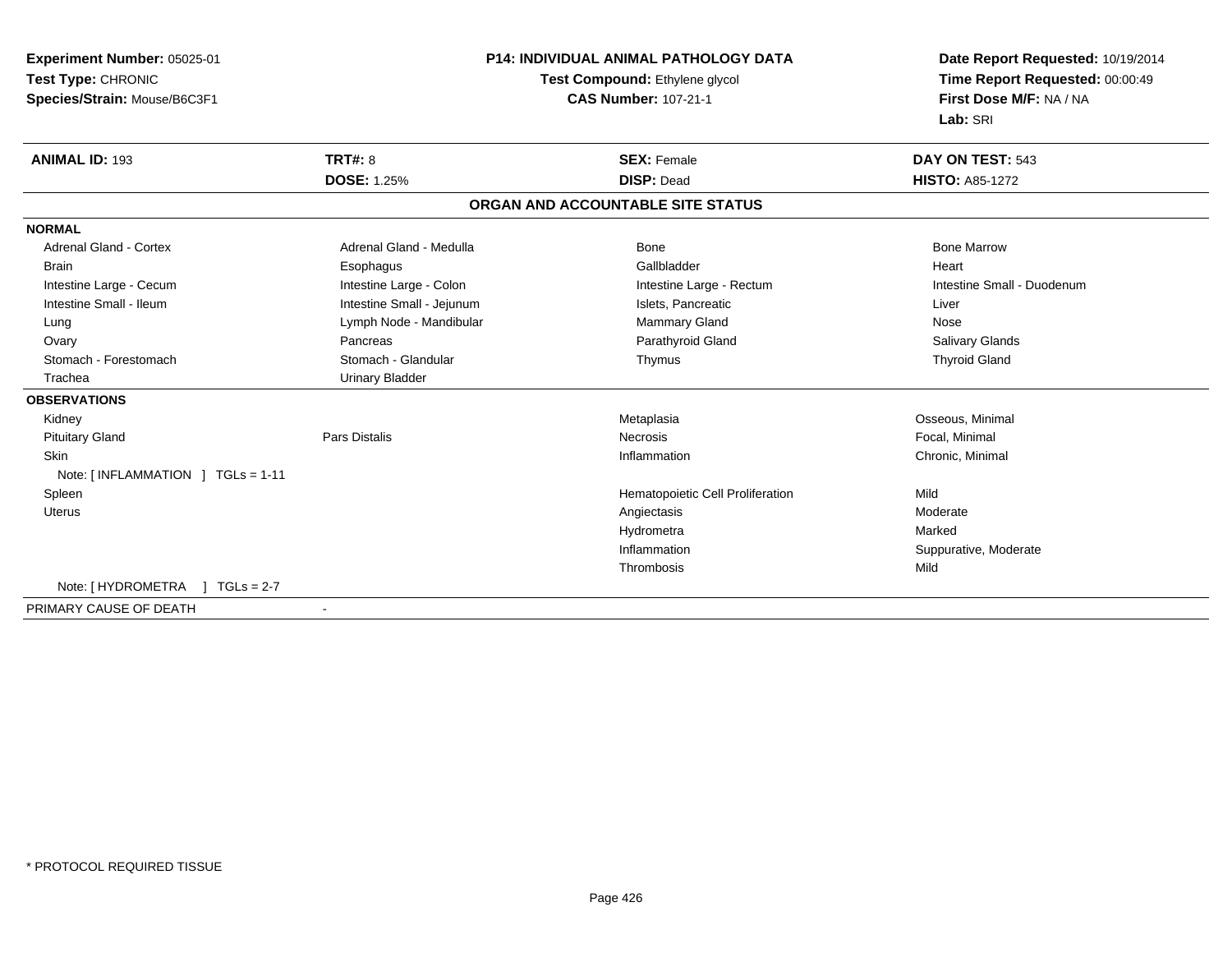| Experiment Number: 05025-01          | <b>P14: INDIVIDUAL ANIMAL PATHOLOGY DATA</b> |                                   | Date Report Requested: 10/19/2014                          |
|--------------------------------------|----------------------------------------------|-----------------------------------|------------------------------------------------------------|
| Test Type: CHRONIC                   |                                              | Test Compound: Ethylene glycol    | Time Report Requested: 00:00:49<br>First Dose M/F: NA / NA |
| Species/Strain: Mouse/B6C3F1         |                                              | <b>CAS Number: 107-21-1</b>       |                                                            |
|                                      |                                              |                                   | Lab: SRI                                                   |
| <b>ANIMAL ID: 193</b>                | TRT#: 8                                      | <b>SEX: Female</b>                | DAY ON TEST: 543                                           |
|                                      | <b>DOSE: 1.25%</b>                           | <b>DISP: Dead</b>                 | <b>HISTO: A85-1272</b>                                     |
|                                      |                                              | ORGAN AND ACCOUNTABLE SITE STATUS |                                                            |
| <b>NORMAL</b>                        |                                              |                                   |                                                            |
| <b>Adrenal Gland - Cortex</b>        | Adrenal Gland - Medulla                      | <b>Bone</b>                       | <b>Bone Marrow</b>                                         |
| <b>Brain</b>                         | Esophagus                                    | Gallbladder                       | Heart                                                      |
| Intestine Large - Cecum              | Intestine Large - Colon                      | Intestine Large - Rectum          | Intestine Small - Duodenum                                 |
| Intestine Small - Ileum              | Intestine Small - Jejunum                    | Islets, Pancreatic                | Liver                                                      |
| Lung                                 | Lymph Node - Mandibular                      | <b>Mammary Gland</b>              | Nose                                                       |
| Ovary                                | Pancreas                                     | Parathyroid Gland                 | <b>Salivary Glands</b>                                     |
| Stomach - Forestomach                | Stomach - Glandular                          | Thymus                            | <b>Thyroid Gland</b>                                       |
| Trachea                              | <b>Urinary Bladder</b>                       |                                   |                                                            |
| <b>OBSERVATIONS</b>                  |                                              |                                   |                                                            |
| Kidney                               |                                              | Metaplasia                        | Osseous, Minimal                                           |
| <b>Pituitary Gland</b>               | Pars Distalis                                | <b>Necrosis</b>                   | Focal, Minimal                                             |
| <b>Skin</b>                          |                                              | Inflammation                      | Chronic, Minimal                                           |
| Note: [INFLAMMATION ] TGLs = 1-11    |                                              |                                   |                                                            |
| Spleen                               |                                              | Hematopoietic Cell Proliferation  | Mild                                                       |
| Uterus                               |                                              | Angiectasis                       | Moderate                                                   |
|                                      |                                              | Hydrometra                        | Marked                                                     |
|                                      |                                              | Inflammation                      | Suppurative, Moderate                                      |
|                                      |                                              | Thrombosis                        | Mild                                                       |
| Note: [ HYDROMETRA<br>$1 TGLs = 2-7$ |                                              |                                   |                                                            |
| PRIMARY CAUSE OF DEATH               |                                              |                                   |                                                            |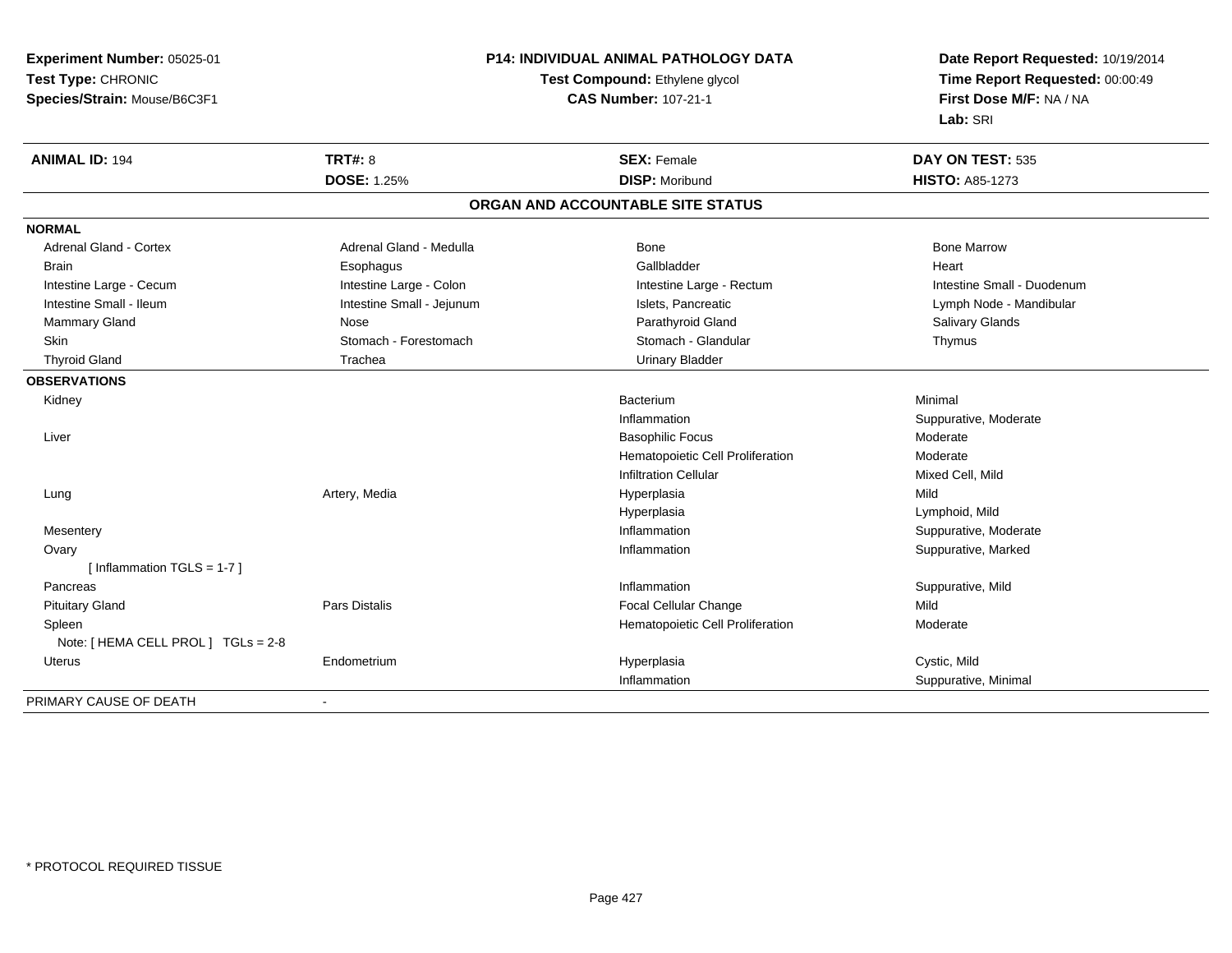**Experiment Number:** 05025-01**Test Type:** CHRONIC **Species/Strain:** Mouse/B6C3F1**P14: INDIVIDUAL ANIMAL PATHOLOGY DATATest Compound:** Ethylene glycol **CAS Number:** 107-21-1**Date Report Requested:** 10/19/2014**Time Report Requested:** 00:00:49**First Dose M/F:** NA / NA**Lab:** SRI**ANIMAL ID:** 194**TRT#:** 8 **SEX:** Female **DAY ON TEST:** 535 **DOSE:** 1.25% **DISP:** Moribund **HISTO:** A85-1273 **ORGAN AND ACCOUNTABLE SITE STATUSNORMALAdrenal Gland - Cortex** Adrenal Gland - Medulla **Bone Adrenal Gland - Cortex Adrenal Gland - Cortex Adrenal Gland - Medulla** Bone Marrow Brain Esophagus Esophagus Gallbladder Gallbladder Gallbladder Heart Intestine Large - Cecum **Intestine Large - Colon** Intestine Large - Colon Intestine Large - Rectum Intestine Large - Rectum Intestine Small - Duodenum Intestine Small - Ileum **Intestine Small - Jejunum** Intestine Small - Jejunum Islets, Pancreatic Lymph Node - Mandibular Mammary Gland Nose Nose Nose Research Communication of Parathyroid Gland Salivary Glands Salivary Glands Nose Skin Stomach - Forestomach Stomach Stomach Stomach Stomach Stomach Stomach - Glandular Thymus Thyroid Gland Trachea Urinary Bladder**OBSERVATIONS** Kidneyy and the state of the state of the state of the state of the state of the state of the state of the state of the state of the state of the state of the state of the state of the state of the state of the state of the stat m Minimal Inflammation Suppurative, Moderate Liver Basophilic Focus Moderaten Moderate Hematopoietic Cell ProliferationInfiltration Cellular Mixed Cell, Mild Lung Artery, Media Hyperplasia Mild Hyperplasia Lymphoid, Mild Mesenteryy the control of the control of the control of the control of the control of the control of the control of the control of the control of the control of the control of the control of the control of the control of the contro Inflammation **Suppurative, Moderate**  Ovaryy the control of the control of the control of the control of the control of the control of the control of the control of the control of the control of the control of the control of the control of the control of the contro Inflammation **Suppurative, Marked** [ Inflammation TGLS = 1-7 ] Pancreass the control of the control of the control of the control of the control of the control of the control of the control of the control of the control of the control of the control of the control of the control of the contro Inflammation **Suppurative, Mild**<br>
Focal Cellular Change **Suppurative**, Mild Pituitary GlandPars Distalis **Focal Cellular Change** Focal Cellular Change SpleenHematopoietic Cell Proliferation Moderate Note: [ HEMA CELL PROL ] TGLs = 2-8 Uterus Endometrium Hyperplasia Cystic, Mild Inflammation Suppurative, Minimal PRIMARY CAUSE OF DEATH-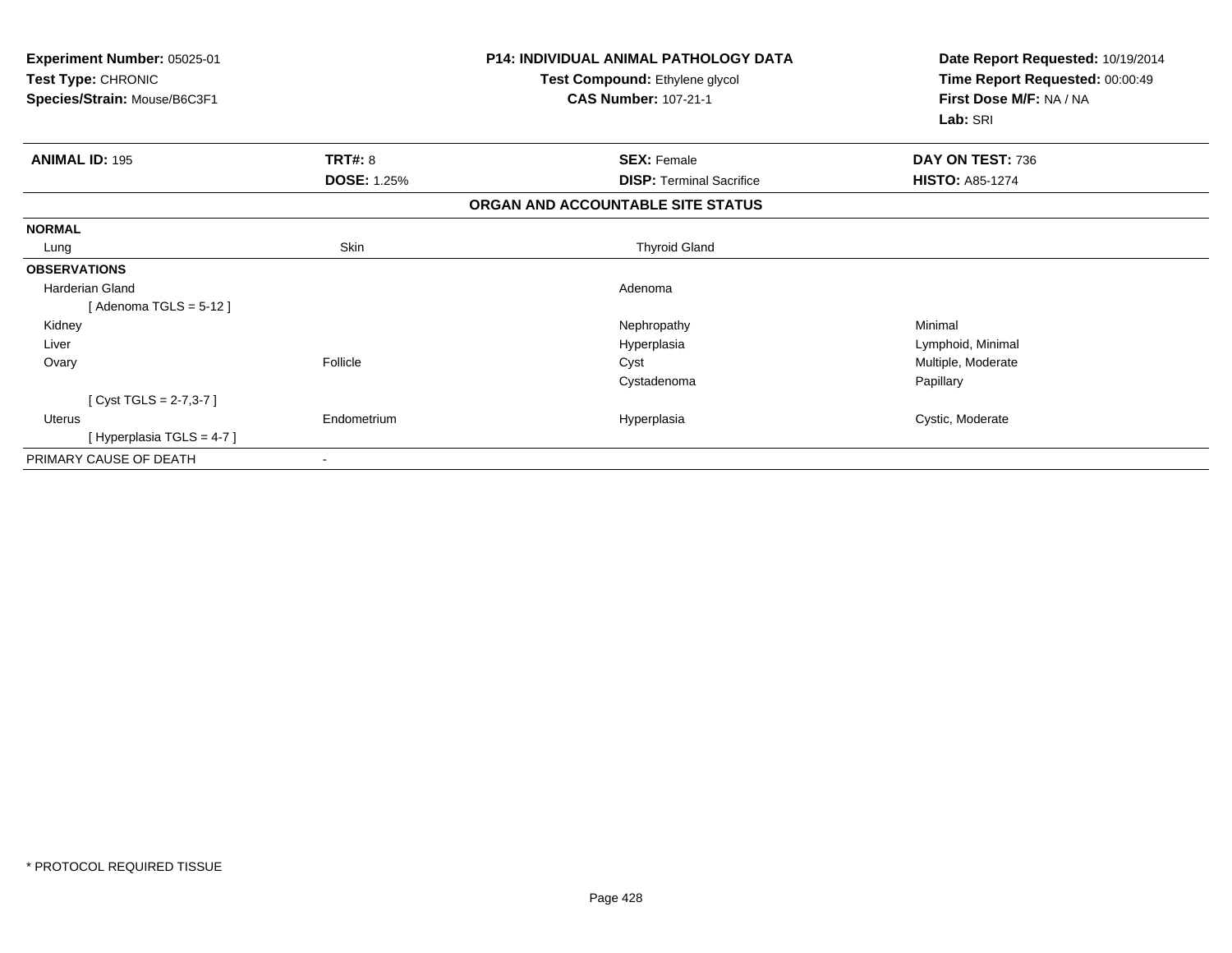| <b>Experiment Number: 05025-01</b><br>Test Type: CHRONIC<br>Species/Strain: Mouse/B6C3F1 |                    | <b>P14: INDIVIDUAL ANIMAL PATHOLOGY DATA</b><br>Test Compound: Ethylene glycol<br><b>CAS Number: 107-21-1</b> | Date Report Requested: 10/19/2014<br>Time Report Requested: 00:00:49<br>First Dose M/F: NA / NA<br>Lab: SRI |
|------------------------------------------------------------------------------------------|--------------------|---------------------------------------------------------------------------------------------------------------|-------------------------------------------------------------------------------------------------------------|
|                                                                                          |                    |                                                                                                               |                                                                                                             |
| <b>ANIMAL ID: 195</b>                                                                    | TRT#: 8            | <b>SEX: Female</b>                                                                                            | DAY ON TEST: 736                                                                                            |
|                                                                                          | <b>DOSE: 1.25%</b> | <b>DISP: Terminal Sacrifice</b>                                                                               | <b>HISTO: A85-1274</b>                                                                                      |
|                                                                                          |                    | ORGAN AND ACCOUNTABLE SITE STATUS                                                                             |                                                                                                             |
| <b>NORMAL</b>                                                                            |                    |                                                                                                               |                                                                                                             |
| Lung                                                                                     | Skin               | <b>Thyroid Gland</b>                                                                                          |                                                                                                             |
| <b>OBSERVATIONS</b>                                                                      |                    |                                                                                                               |                                                                                                             |
| Harderian Gland                                                                          |                    | Adenoma                                                                                                       |                                                                                                             |
| [Adenoma TGLS = $5-12$ ]                                                                 |                    |                                                                                                               |                                                                                                             |
| Kidney                                                                                   |                    | Nephropathy                                                                                                   | Minimal                                                                                                     |
| Liver                                                                                    |                    | Hyperplasia                                                                                                   | Lymphoid, Minimal                                                                                           |
| Ovary                                                                                    | Follicle           | Cyst                                                                                                          | Multiple, Moderate                                                                                          |
|                                                                                          |                    | Cystadenoma                                                                                                   | Papillary                                                                                                   |
| [ Cyst TGLS = $2-7,3-7$ ]                                                                |                    |                                                                                                               |                                                                                                             |
| Uterus                                                                                   | Endometrium        | Hyperplasia                                                                                                   | Cystic, Moderate                                                                                            |
| [Hyperplasia TGLS = 4-7]                                                                 |                    |                                                                                                               |                                                                                                             |
| PRIMARY CAUSE OF DEATH                                                                   |                    |                                                                                                               |                                                                                                             |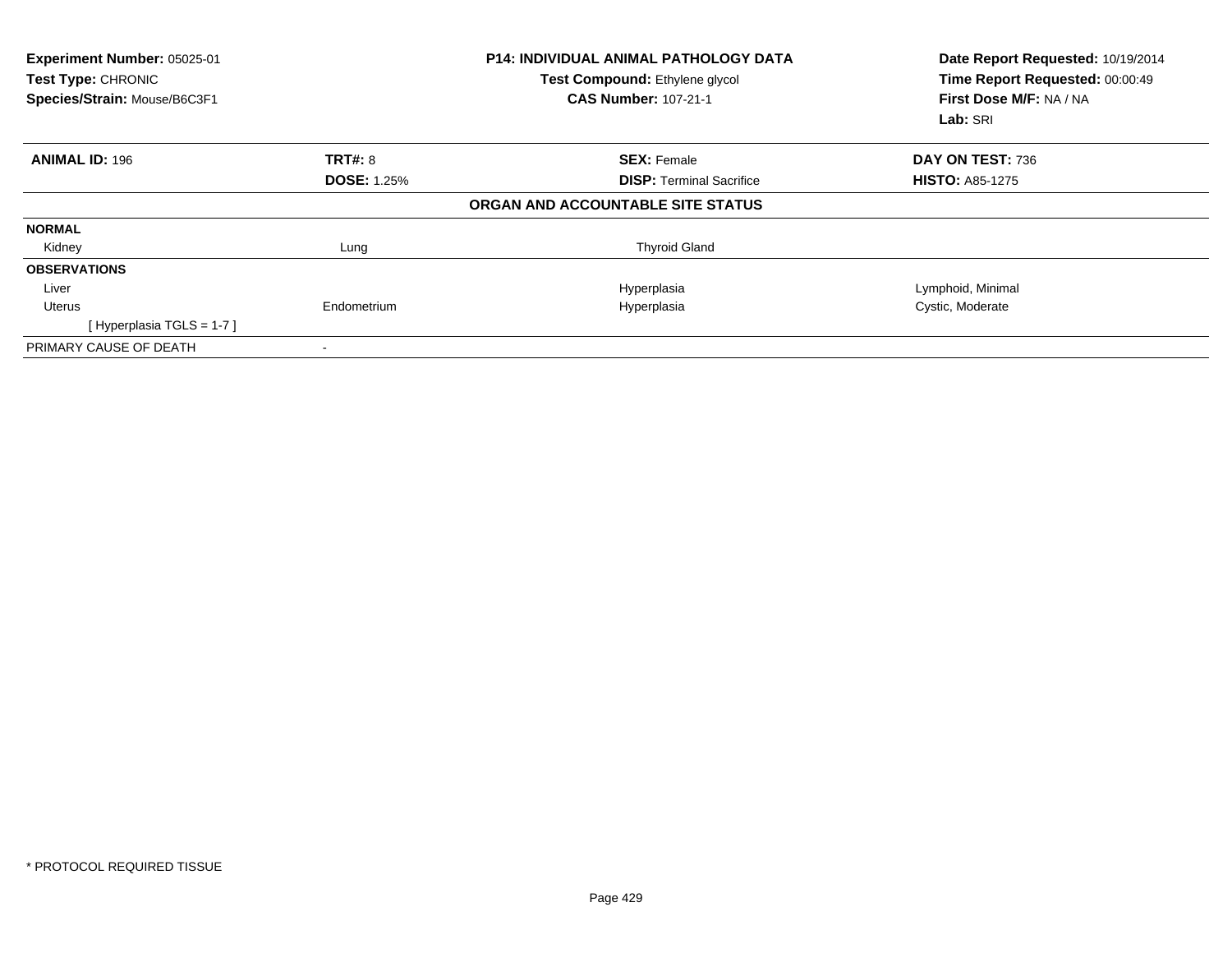| Experiment Number: 05025-01<br>Test Type: CHRONIC<br>Species/Strain: Mouse/B6C3F1 |                    | <b>P14: INDIVIDUAL ANIMAL PATHOLOGY DATA</b><br>Test Compound: Ethylene glycol<br><b>CAS Number: 107-21-1</b> | Date Report Requested: 10/19/2014<br>Time Report Requested: 00:00:49<br>First Dose M/F: NA / NA<br>Lab: SRI |
|-----------------------------------------------------------------------------------|--------------------|---------------------------------------------------------------------------------------------------------------|-------------------------------------------------------------------------------------------------------------|
| <b>ANIMAL ID: 196</b>                                                             | TRT#: 8            | <b>SEX: Female</b>                                                                                            | DAY ON TEST: 736                                                                                            |
|                                                                                   | <b>DOSE: 1.25%</b> | <b>DISP:</b> Terminal Sacrifice                                                                               | <b>HISTO: A85-1275</b>                                                                                      |
|                                                                                   |                    | ORGAN AND ACCOUNTABLE SITE STATUS                                                                             |                                                                                                             |
| <b>NORMAL</b>                                                                     |                    |                                                                                                               |                                                                                                             |
| Kidney                                                                            | Lung               | <b>Thyroid Gland</b>                                                                                          |                                                                                                             |
| <b>OBSERVATIONS</b>                                                               |                    |                                                                                                               |                                                                                                             |
| Liver                                                                             |                    | Hyperplasia                                                                                                   | Lymphoid, Minimal                                                                                           |
| Uterus                                                                            | Endometrium        | Hyperplasia                                                                                                   | Cystic, Moderate                                                                                            |
| [Hyperplasia TGLS = $1-7$ ]                                                       |                    |                                                                                                               |                                                                                                             |
| PRIMARY CAUSE OF DEATH                                                            |                    |                                                                                                               |                                                                                                             |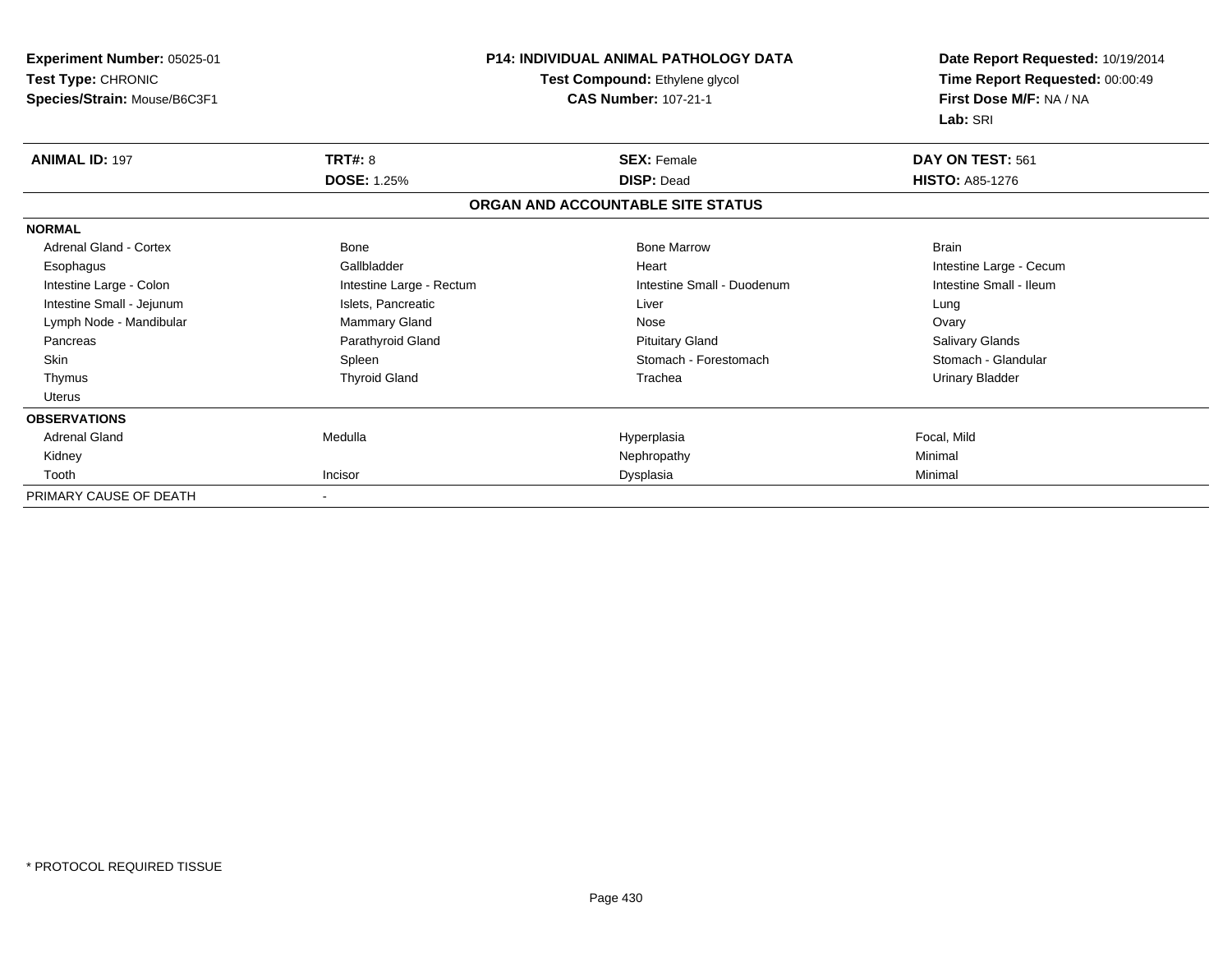| Experiment Number: 05025-01<br>Test Type: CHRONIC<br>Species/Strain: Mouse/B6C3F1 | P14: INDIVIDUAL ANIMAL PATHOLOGY DATA<br>Test Compound: Ethylene glycol<br><b>CAS Number: 107-21-1</b> |                                   | Date Report Requested: 10/19/2014<br>Time Report Requested: 00:00:49<br>First Dose M/F: NA / NA<br>Lab: SRI |
|-----------------------------------------------------------------------------------|--------------------------------------------------------------------------------------------------------|-----------------------------------|-------------------------------------------------------------------------------------------------------------|
| <b>ANIMAL ID: 197</b>                                                             | TRT#: 8                                                                                                | <b>SEX: Female</b>                | DAY ON TEST: 561                                                                                            |
|                                                                                   | <b>DOSE: 1.25%</b>                                                                                     | <b>DISP: Dead</b>                 | <b>HISTO: A85-1276</b>                                                                                      |
|                                                                                   |                                                                                                        | ORGAN AND ACCOUNTABLE SITE STATUS |                                                                                                             |
| <b>NORMAL</b>                                                                     |                                                                                                        |                                   |                                                                                                             |
| Adrenal Gland - Cortex                                                            | Bone                                                                                                   | <b>Bone Marrow</b>                | <b>Brain</b>                                                                                                |
| Esophagus                                                                         | Gallbladder                                                                                            | Heart                             | Intestine Large - Cecum                                                                                     |
| Intestine Large - Colon                                                           | Intestine Large - Rectum                                                                               | Intestine Small - Duodenum        | Intestine Small - Ileum                                                                                     |
| Intestine Small - Jejunum                                                         | Islets, Pancreatic                                                                                     | Liver                             | Lung                                                                                                        |
| Lymph Node - Mandibular                                                           | Mammary Gland                                                                                          | Nose                              | Ovary                                                                                                       |
| Pancreas                                                                          | Parathyroid Gland                                                                                      | <b>Pituitary Gland</b>            | Salivary Glands                                                                                             |
| <b>Skin</b>                                                                       | Spleen                                                                                                 | Stomach - Forestomach             | Stomach - Glandular                                                                                         |
| Thymus                                                                            | <b>Thyroid Gland</b>                                                                                   | Trachea                           | <b>Urinary Bladder</b>                                                                                      |
| <b>Uterus</b>                                                                     |                                                                                                        |                                   |                                                                                                             |
| <b>OBSERVATIONS</b>                                                               |                                                                                                        |                                   |                                                                                                             |
| <b>Adrenal Gland</b>                                                              | Medulla                                                                                                | Hyperplasia                       | Focal, Mild                                                                                                 |
| Kidney                                                                            |                                                                                                        | Nephropathy                       | Minimal                                                                                                     |
| Tooth                                                                             | Incisor                                                                                                | Dysplasia                         | Minimal                                                                                                     |
| PRIMARY CAUSE OF DEATH                                                            |                                                                                                        |                                   |                                                                                                             |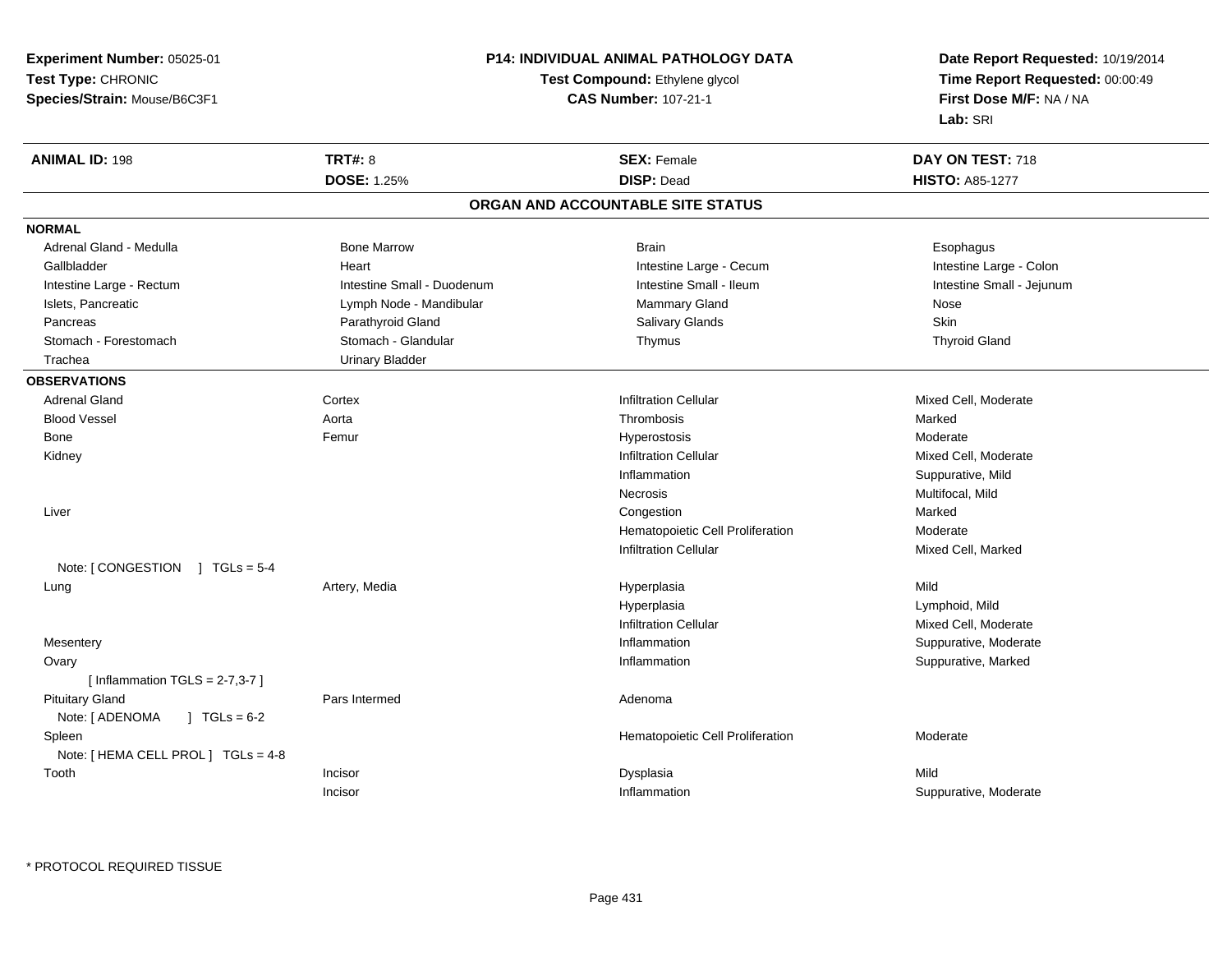**Experiment Number:** 05025-01**Test Type:** CHRONIC**Species/Strain:** Mouse/B6C3F1

# **P14: INDIVIDUAL ANIMAL PATHOLOGY DATA**

### **Test Compound:** Ethylene glycol **CAS Number:** 107-21-1

**Date Report Requested:** 10/19/2014**Time Report Requested:** 00:00:49**First Dose M/F:** NA / NA**Lab:** SRI

| <b>ANIMAL ID: 198</b>                        | <b>TRT#: 8</b>             | <b>SEX: Female</b>                | DAY ON TEST: 718          |  |
|----------------------------------------------|----------------------------|-----------------------------------|---------------------------|--|
|                                              | <b>DOSE: 1.25%</b>         | <b>DISP: Dead</b>                 | <b>HISTO: A85-1277</b>    |  |
|                                              |                            | ORGAN AND ACCOUNTABLE SITE STATUS |                           |  |
| <b>NORMAL</b>                                |                            |                                   |                           |  |
| Adrenal Gland - Medulla                      | <b>Bone Marrow</b>         | <b>Brain</b>                      | Esophagus                 |  |
| Gallbladder                                  | Heart                      | Intestine Large - Cecum           | Intestine Large - Colon   |  |
| Intestine Large - Rectum                     | Intestine Small - Duodenum | Intestine Small - Ileum           | Intestine Small - Jejunum |  |
| Islets, Pancreatic                           | Lymph Node - Mandibular    | Mammary Gland                     | Nose                      |  |
| Pancreas                                     | Parathyroid Gland          | Salivary Glands                   | Skin                      |  |
| Stomach - Forestomach                        | Stomach - Glandular        | Thymus                            | <b>Thyroid Gland</b>      |  |
| Trachea                                      | <b>Urinary Bladder</b>     |                                   |                           |  |
| <b>OBSERVATIONS</b>                          |                            |                                   |                           |  |
| <b>Adrenal Gland</b>                         | Cortex                     | <b>Infiltration Cellular</b>      | Mixed Cell, Moderate      |  |
| <b>Blood Vessel</b>                          | Aorta                      | Thrombosis                        | Marked                    |  |
| Bone                                         | Femur                      | Hyperostosis                      | Moderate                  |  |
| Kidney                                       |                            | <b>Infiltration Cellular</b>      | Mixed Cell, Moderate      |  |
|                                              |                            | Inflammation                      | Suppurative, Mild         |  |
|                                              |                            | <b>Necrosis</b>                   | Multifocal, Mild          |  |
| Liver                                        |                            | Congestion                        | Marked                    |  |
|                                              |                            | Hematopoietic Cell Proliferation  | Moderate                  |  |
|                                              |                            | <b>Infiltration Cellular</b>      | Mixed Cell, Marked        |  |
| Note: [CONGESTION ] TGLs = 5-4               |                            |                                   |                           |  |
| Lung                                         | Artery, Media              | Hyperplasia                       | Mild                      |  |
|                                              |                            | Hyperplasia                       | Lymphoid, Mild            |  |
|                                              |                            | <b>Infiltration Cellular</b>      | Mixed Cell, Moderate      |  |
| Mesentery                                    |                            | Inflammation                      | Suppurative, Moderate     |  |
| Ovary                                        |                            | Inflammation                      | Suppurative, Marked       |  |
| [Inflammation $TGLS = 2-7,3-7$ ]             |                            |                                   |                           |  |
| <b>Pituitary Gland</b>                       | Pars Intermed              | Adenoma                           |                           |  |
| $\sqrt{1 + 1}$ TGLs = 6-2<br>Note: [ ADENOMA |                            |                                   |                           |  |
| Spleen                                       |                            | Hematopoietic Cell Proliferation  | Moderate                  |  |
| Note: [ HEMA CELL PROL ] TGLs = 4-8          |                            |                                   |                           |  |
| Tooth                                        | Incisor                    | Dysplasia                         | Mild                      |  |
|                                              | Incisor                    | Inflammation                      | Suppurative, Moderate     |  |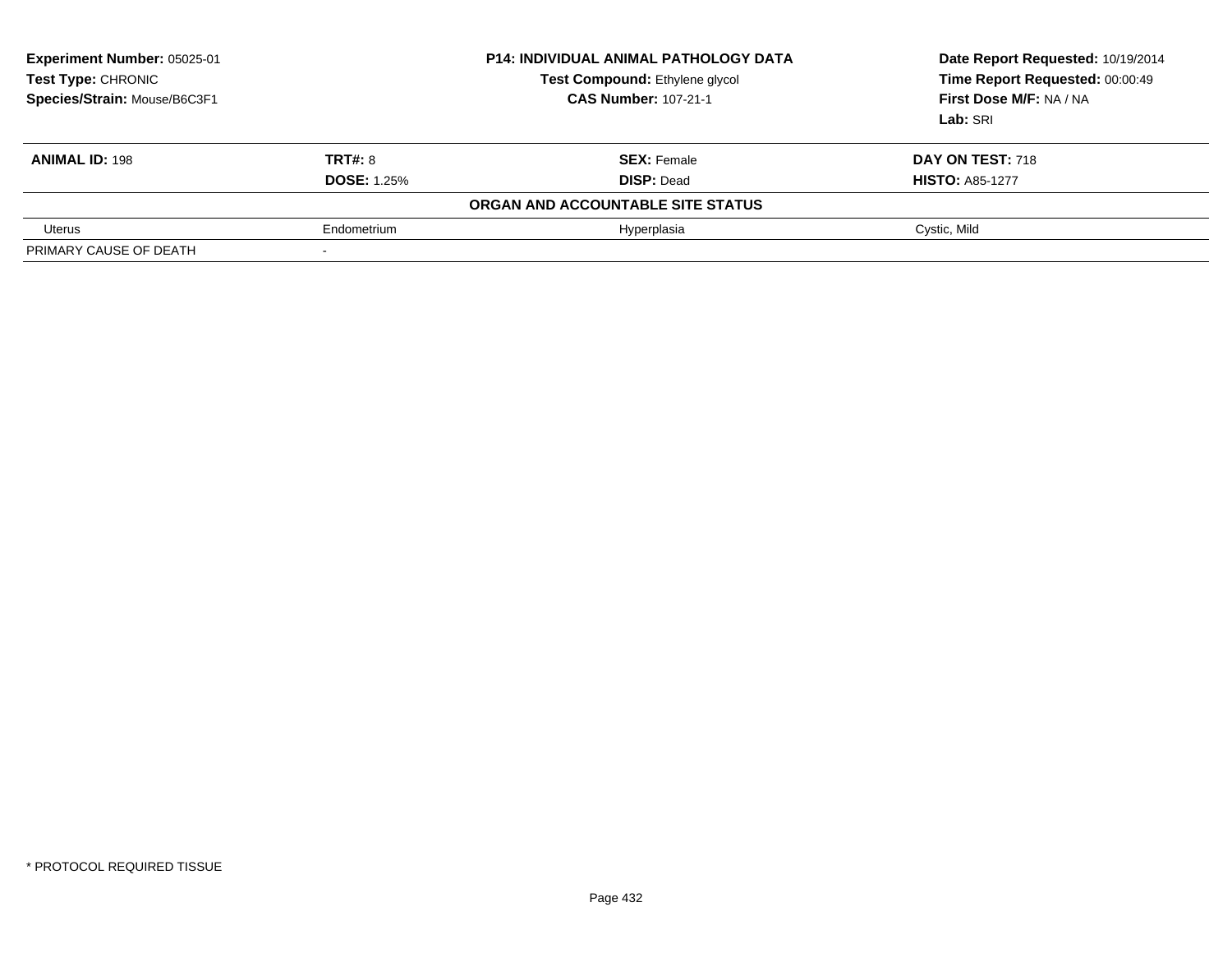| Experiment Number: 05025-01<br><b>Test Type: CHRONIC</b><br>Species/Strain: Mouse/B6C3F1 |                    | <b>P14: INDIVIDUAL ANIMAL PATHOLOGY DATA</b><br><b>Test Compound: Ethylene glycol</b><br><b>CAS Number: 107-21-1</b> | Date Report Requested: 10/19/2014<br>Time Report Requested: 00:00:49<br>First Dose M/F: NA / NA<br>Lab: SRI |
|------------------------------------------------------------------------------------------|--------------------|----------------------------------------------------------------------------------------------------------------------|-------------------------------------------------------------------------------------------------------------|
| <b>ANIMAL ID: 198</b>                                                                    | <b>TRT#: 8</b>     | <b>SEX: Female</b>                                                                                                   | <b>DAY ON TEST: 718</b>                                                                                     |
|                                                                                          | <b>DOSE: 1.25%</b> | <b>DISP: Dead</b>                                                                                                    | <b>HISTO: A85-1277</b>                                                                                      |
|                                                                                          |                    | ORGAN AND ACCOUNTABLE SITE STATUS                                                                                    |                                                                                                             |
| Uterus                                                                                   | Endometrium        | Hyperplasia                                                                                                          | Cystic, Mild                                                                                                |
| PRIMARY CAUSE OF DEATH                                                                   |                    |                                                                                                                      |                                                                                                             |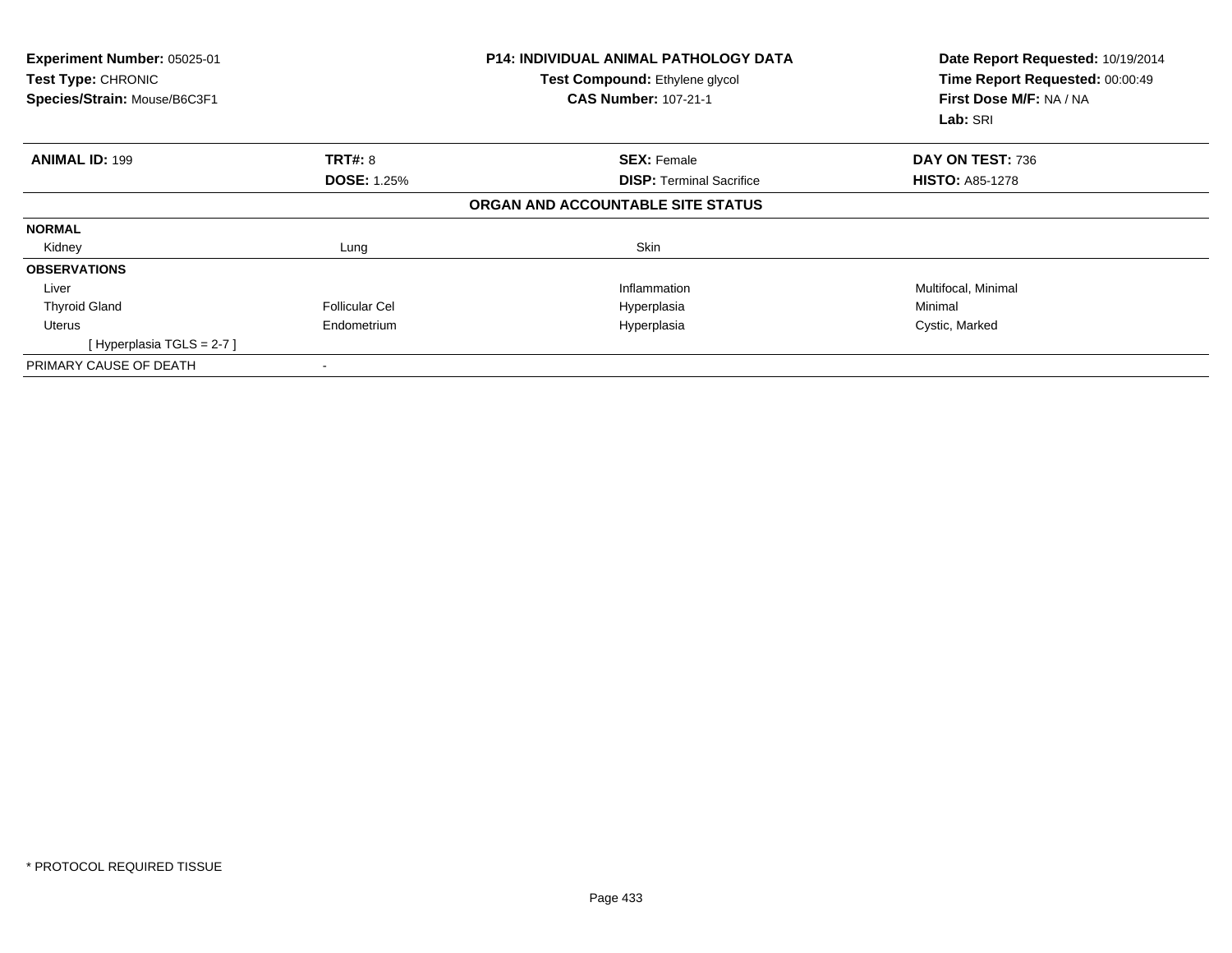| Experiment Number: 05025-01<br>Test Type: CHRONIC<br>Species/Strain: Mouse/B6C3F1 |                       | <b>P14: INDIVIDUAL ANIMAL PATHOLOGY DATA</b><br>Test Compound: Ethylene glycol<br><b>CAS Number: 107-21-1</b> | Date Report Requested: 10/19/2014<br>Time Report Requested: 00:00:49<br>First Dose M/F: NA / NA<br>Lab: SRI |
|-----------------------------------------------------------------------------------|-----------------------|---------------------------------------------------------------------------------------------------------------|-------------------------------------------------------------------------------------------------------------|
| <b>ANIMAL ID: 199</b>                                                             | <b>TRT#: 8</b>        | <b>SEX: Female</b>                                                                                            | DAY ON TEST: 736                                                                                            |
|                                                                                   | <b>DOSE: 1.25%</b>    | <b>DISP:</b> Terminal Sacrifice                                                                               | <b>HISTO: A85-1278</b>                                                                                      |
|                                                                                   |                       | ORGAN AND ACCOUNTABLE SITE STATUS                                                                             |                                                                                                             |
| <b>NORMAL</b>                                                                     |                       |                                                                                                               |                                                                                                             |
| Kidney                                                                            | Lung                  | Skin                                                                                                          |                                                                                                             |
| <b>OBSERVATIONS</b>                                                               |                       |                                                                                                               |                                                                                                             |
| Liver                                                                             |                       | Inflammation                                                                                                  | Multifocal, Minimal                                                                                         |
| <b>Thyroid Gland</b>                                                              | <b>Follicular Cel</b> | Hyperplasia                                                                                                   | Minimal                                                                                                     |
| <b>Uterus</b>                                                                     | Endometrium           | Hyperplasia                                                                                                   | Cystic, Marked                                                                                              |
| [Hyperplasia TGLS = 2-7]                                                          |                       |                                                                                                               |                                                                                                             |
| PRIMARY CAUSE OF DEATH                                                            |                       |                                                                                                               |                                                                                                             |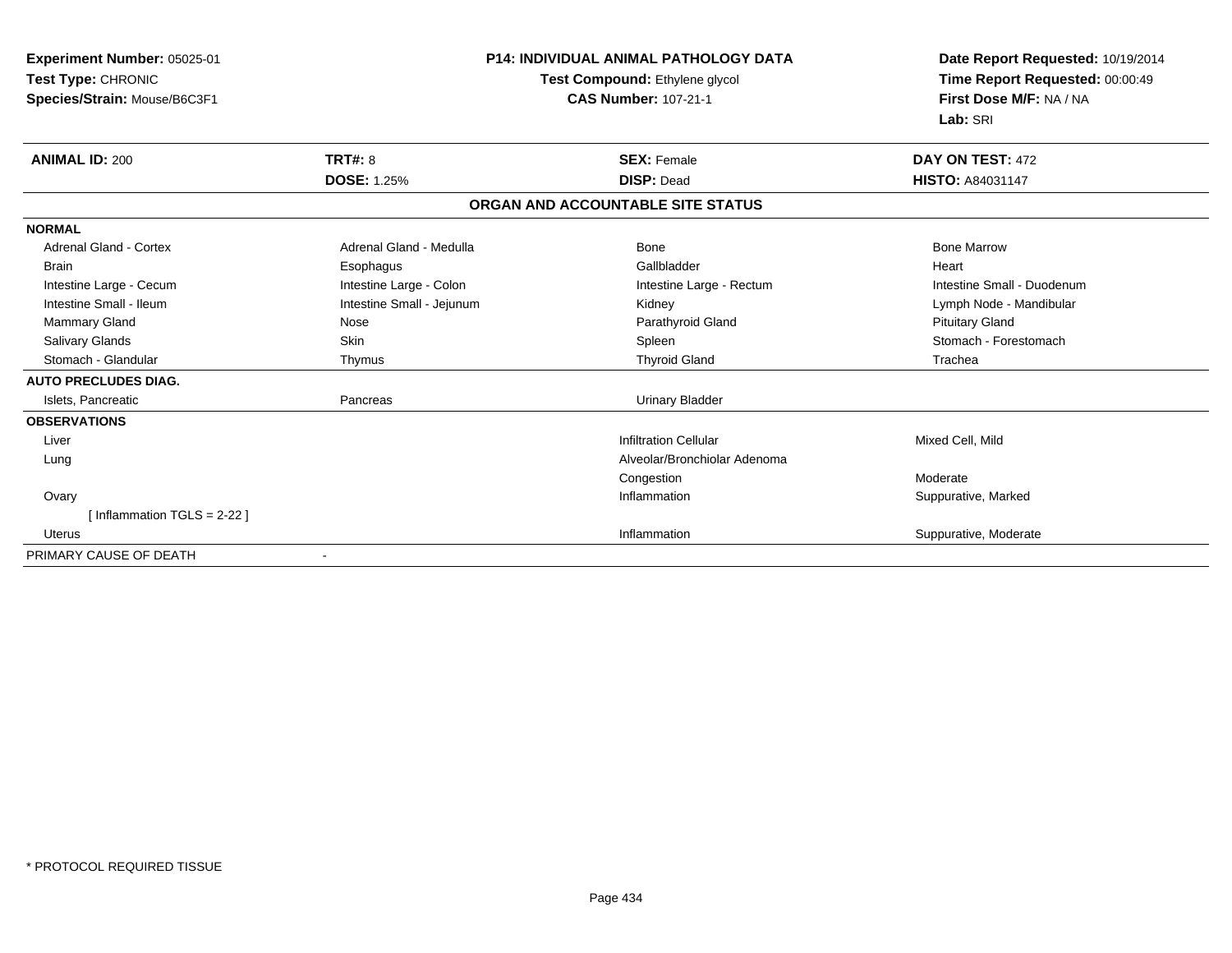| Experiment Number: 05025-01   |                           | <b>P14: INDIVIDUAL ANIMAL PATHOLOGY DATA</b> | Date Report Requested: 10/19/2014 |  |
|-------------------------------|---------------------------|----------------------------------------------|-----------------------------------|--|
| Test Type: CHRONIC            |                           | Test Compound: Ethylene glycol               | Time Report Requested: 00:00:49   |  |
| Species/Strain: Mouse/B6C3F1  |                           | <b>CAS Number: 107-21-1</b>                  | First Dose M/F: NA / NA           |  |
|                               |                           |                                              | Lab: SRI                          |  |
| <b>ANIMAL ID: 200</b>         | <b>TRT#: 8</b>            | <b>SEX: Female</b>                           | DAY ON TEST: 472                  |  |
|                               | <b>DOSE: 1.25%</b>        | <b>DISP: Dead</b>                            | <b>HISTO: A84031147</b>           |  |
|                               |                           | ORGAN AND ACCOUNTABLE SITE STATUS            |                                   |  |
| <b>NORMAL</b>                 |                           |                                              |                                   |  |
| Adrenal Gland - Cortex        | Adrenal Gland - Medulla   | Bone                                         | <b>Bone Marrow</b>                |  |
| <b>Brain</b>                  | Esophagus                 | Gallbladder                                  | Heart                             |  |
| Intestine Large - Cecum       | Intestine Large - Colon   | Intestine Large - Rectum                     | Intestine Small - Duodenum        |  |
| Intestine Small - Ileum       | Intestine Small - Jejunum | Kidney                                       | Lymph Node - Mandibular           |  |
| Mammary Gland                 | Nose                      | Parathyroid Gland                            | <b>Pituitary Gland</b>            |  |
| <b>Salivary Glands</b>        | Skin                      | Spleen                                       | Stomach - Forestomach             |  |
| Stomach - Glandular           | Thymus                    | <b>Thyroid Gland</b>                         | Trachea                           |  |
| <b>AUTO PRECLUDES DIAG.</b>   |                           |                                              |                                   |  |
| Islets, Pancreatic            | Pancreas                  | <b>Urinary Bladder</b>                       |                                   |  |
| <b>OBSERVATIONS</b>           |                           |                                              |                                   |  |
| Liver                         |                           | <b>Infiltration Cellular</b>                 | Mixed Cell, Mild                  |  |
| Lung                          |                           | Alveolar/Bronchiolar Adenoma                 |                                   |  |
|                               |                           | Congestion                                   | Moderate                          |  |
| Ovary                         |                           | Inflammation                                 | Suppurative, Marked               |  |
| [Inflammation TGLS = $2-22$ ] |                           |                                              |                                   |  |
| <b>Uterus</b>                 |                           | Inflammation                                 | Suppurative, Moderate             |  |
| PRIMARY CAUSE OF DEATH        |                           |                                              |                                   |  |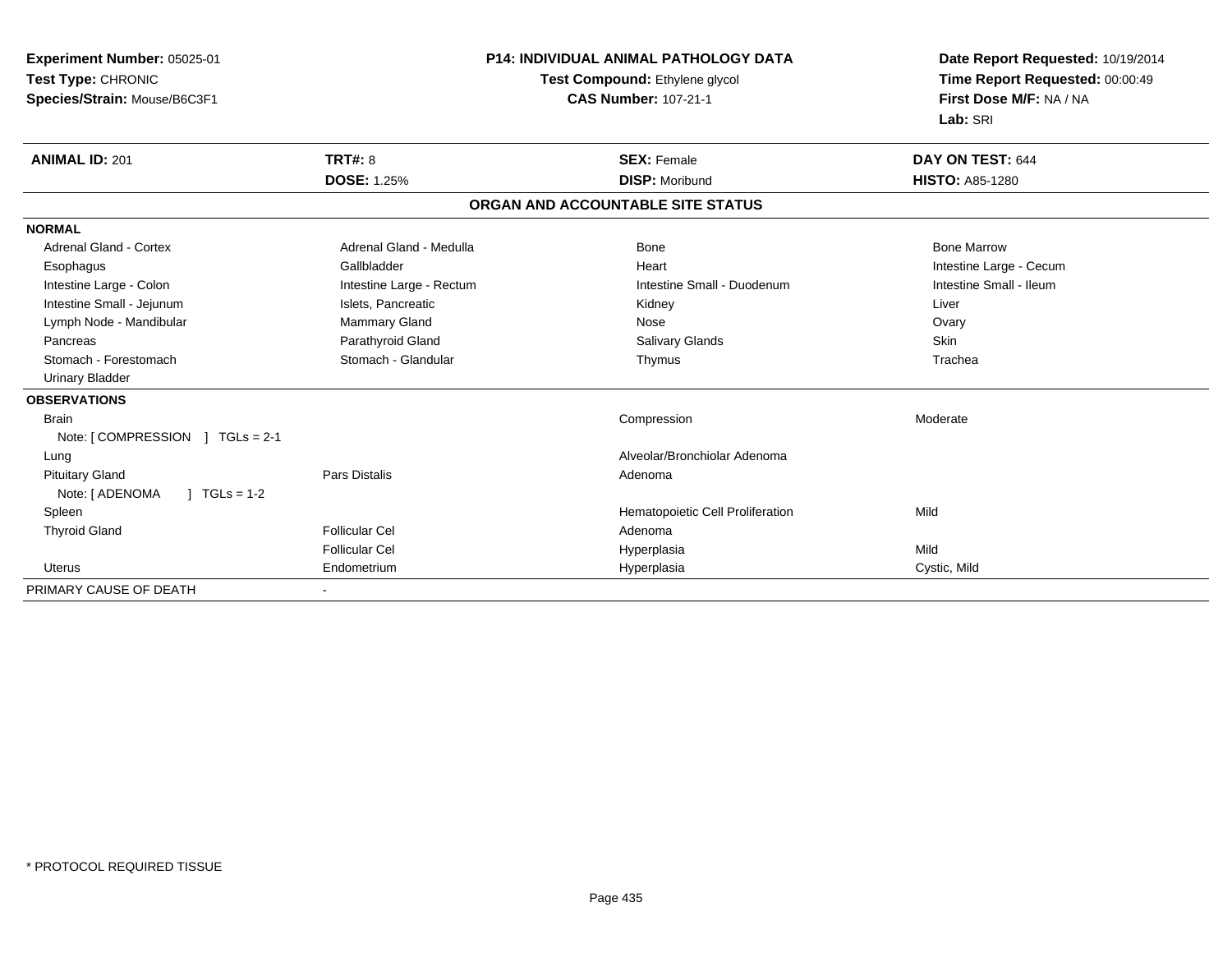| <b>Experiment Number: 05025-01</b>             |                                | P14: INDIVIDUAL ANIMAL PATHOLOGY DATA | Date Report Requested: 10/19/2014 |  |
|------------------------------------------------|--------------------------------|---------------------------------------|-----------------------------------|--|
| Test Type: CHRONIC                             | Test Compound: Ethylene glycol |                                       | Time Report Requested: 00:00:49   |  |
| Species/Strain: Mouse/B6C3F1                   |                                | <b>CAS Number: 107-21-1</b>           | First Dose M/F: NA / NA           |  |
|                                                |                                |                                       | Lab: SRI                          |  |
| <b>ANIMAL ID: 201</b>                          | <b>TRT#: 8</b>                 | <b>SEX: Female</b>                    | DAY ON TEST: 644                  |  |
|                                                | <b>DOSE: 1.25%</b>             | <b>DISP: Moribund</b>                 | <b>HISTO: A85-1280</b>            |  |
|                                                |                                | ORGAN AND ACCOUNTABLE SITE STATUS     |                                   |  |
| <b>NORMAL</b>                                  |                                |                                       |                                   |  |
| <b>Adrenal Gland - Cortex</b>                  | Adrenal Gland - Medulla        | Bone                                  | <b>Bone Marrow</b>                |  |
| Esophagus                                      | Gallbladder                    | Heart                                 | Intestine Large - Cecum           |  |
| Intestine Large - Colon                        | Intestine Large - Rectum       | Intestine Small - Duodenum            | Intestine Small - Ileum           |  |
| Intestine Small - Jejunum                      | Islets, Pancreatic             | Kidney                                | Liver                             |  |
| Lymph Node - Mandibular                        | Mammary Gland                  | Nose                                  | Ovary                             |  |
| Pancreas                                       | Parathyroid Gland              | <b>Salivary Glands</b>                | <b>Skin</b>                       |  |
| Stomach - Forestomach                          | Stomach - Glandular            | Thymus                                | Trachea                           |  |
| <b>Urinary Bladder</b>                         |                                |                                       |                                   |  |
| <b>OBSERVATIONS</b>                            |                                |                                       |                                   |  |
| <b>Brain</b>                                   |                                | Compression                           | Moderate                          |  |
| Note: $\lceil$ COMPRESSION $\lceil$ TGLs = 2-1 |                                |                                       |                                   |  |
| Lung                                           |                                | Alveolar/Bronchiolar Adenoma          |                                   |  |
| <b>Pituitary Gland</b>                         | <b>Pars Distalis</b>           | Adenoma                               |                                   |  |
| $1 TGLs = 1-2$<br>Note: [ ADENOMA              |                                |                                       |                                   |  |
| Spleen                                         |                                | Hematopoietic Cell Proliferation      | Mild                              |  |
| <b>Thyroid Gland</b>                           | <b>Follicular Cel</b>          | Adenoma                               |                                   |  |
|                                                | <b>Follicular Cel</b>          | Hyperplasia                           | Mild                              |  |
| Uterus                                         | Endometrium                    | Hyperplasia                           | Cystic, Mild                      |  |
| PRIMARY CAUSE OF DEATH                         |                                |                                       |                                   |  |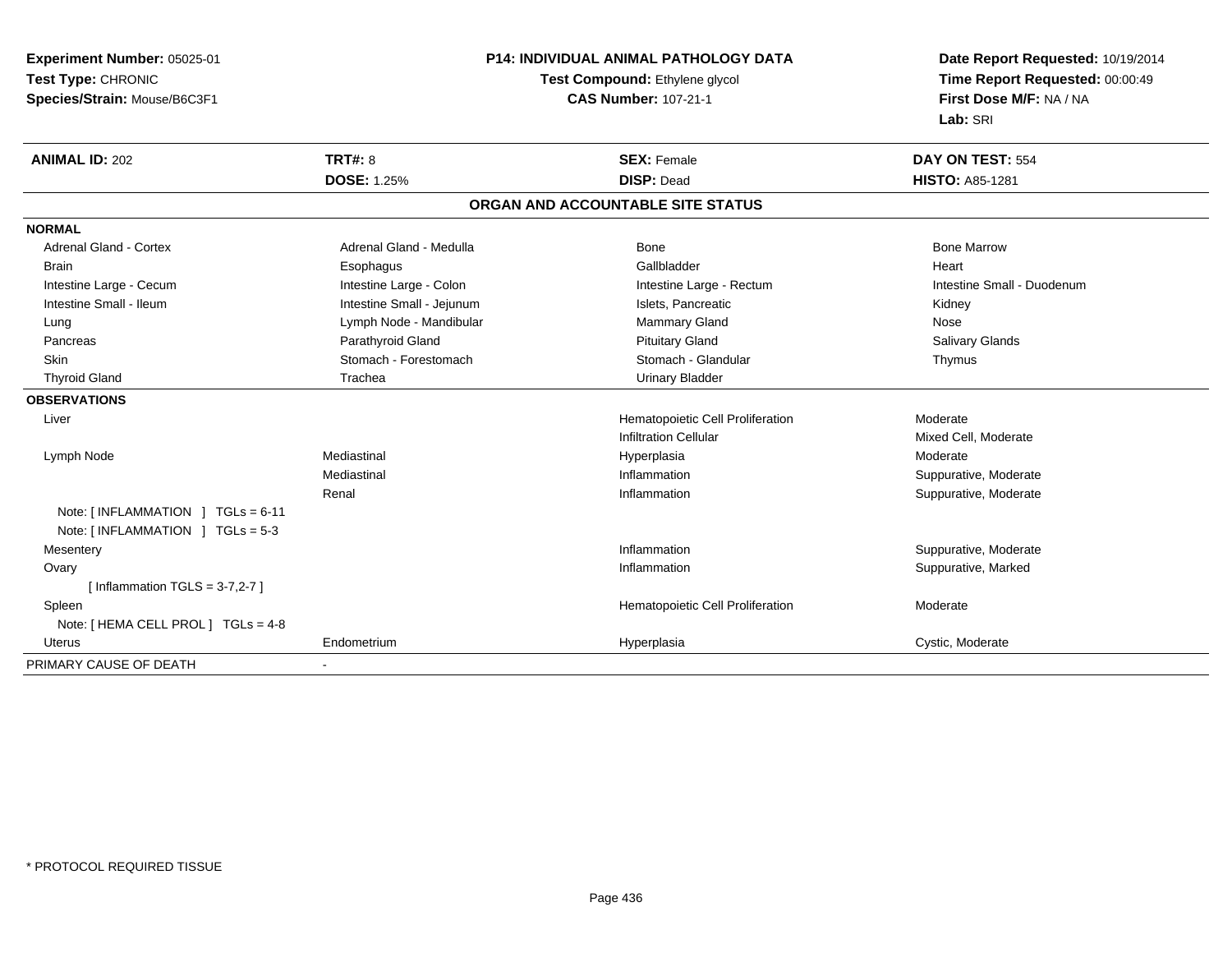**Experiment Number:** 05025-01**Test Type:** CHRONIC **Species/Strain:** Mouse/B6C3F1**P14: INDIVIDUAL ANIMAL PATHOLOGY DATATest Compound:** Ethylene glycol **CAS Number:** 107-21-1**Date Report Requested:** 10/19/2014**Time Report Requested:** 00:00:49**First Dose M/F:** NA / NA**Lab:** SRI**ANIMAL ID:** 202**TRT#:** 8 **SEX:** Female **DAY ON TEST:** 554 **DOSE:** 1.25% **DISP:** Dead **HISTO:** A85-1281 **ORGAN AND ACCOUNTABLE SITE STATUSNORMALAdrenal Gland - Cortex** Adrenal Gland - Medulla **Bone Adrenal Gland - Cortex Adrenal Gland - Cortex Adrenal Gland - Medulla** Bone Marrow Brain Esophagus Esophagus Gallbladder Gallbladder Gallbladder Heart Intestine Large - Cecum **Intestine Large - Colon** Intestine Large - Colon Intestine Large - Rectum Intestine Large - Rectum Intestine Small - Duodenum Intestine Small - Ileum **Intestine Small - Intestine Small - Jejunum** Intestine Small - Islets, Pancreatic **Intestine Small - Islets**, Pancreatic Kidney Lung **Lymph Node - Mandibular Mammary Gland Mammary Gland Nose Salivary Glands**  Pancreas Parathyroid Gland Pituitary Gland Salivary GlandsSkin Stomach - Forestomach Stomach Stomach Stomach Stomach Stomach Stomach - Glandular Thymus Thyroid Gland **Trachea** Trachea **Trachea** Trachea Urinary Bladder **OBSERVATIONS** Liver Hematopoietic Cell Proliferation Moderate Infiltration Cellular Mixed Cell, Moderate Lymph Node Mediastinal Hyperplasia Moderate Mediastinal Inflammation Suppurative, Moderate Renal Inflammation Suppurative, Moderate Note: [ INFLAMMATION ] TGLs = 6-11 Note: [ INFLAMMATION ] TGLs = 5-3**Mesentery** y the control of the control of the control of the control of the control of the control of the control of the control of the control of the control of the control of the control of the control of the control of the contro Inflammation **Suppurative, Moderate**  Ovaryy the control of the control of the control of the control of the control of the control of the control of the control of the control of the control of the control of the control of the control of the control of the contro Inflammation **Suppurative, Marked**  $[$  Inflammation TGLS = 3-7,2-7  $]$  SpleenHematopoietic Cell Proliferation Moderate Note: [ HEMA CELL PROL ] TGLs = 4-8 Uterus Endometriumm and the Hyperplasia Cystic, Moderate Cystic, Moderate PRIMARY CAUSE OF DEATH-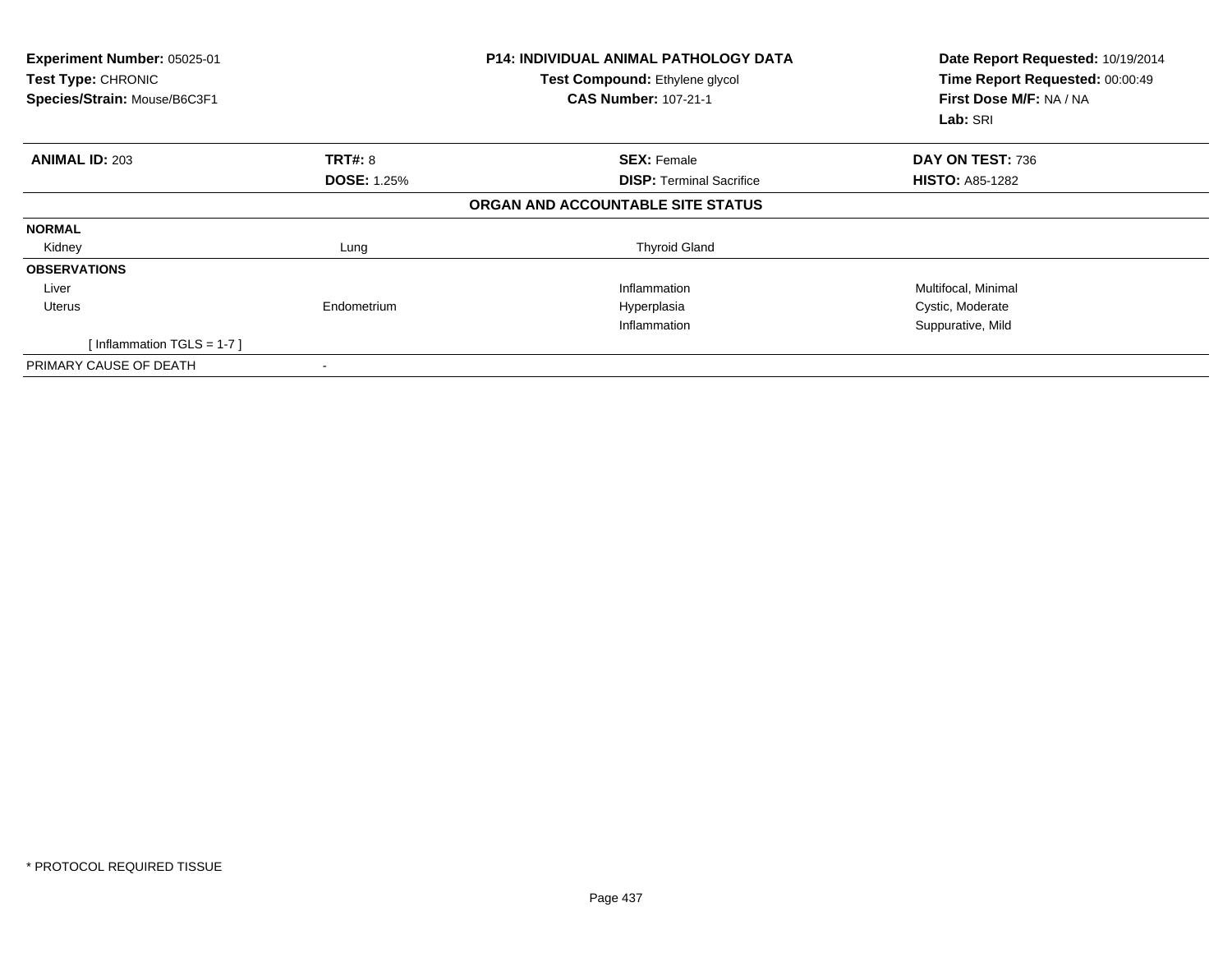| Experiment Number: 05025-01<br>Test Type: CHRONIC<br>Species/Strain: Mouse/B6C3F1 |                    | <b>P14: INDIVIDUAL ANIMAL PATHOLOGY DATA</b><br>Test Compound: Ethylene glycol<br><b>CAS Number: 107-21-1</b> | Date Report Requested: 10/19/2014<br>Time Report Requested: 00:00:49<br>First Dose M/F: NA / NA<br>Lab: SRI |
|-----------------------------------------------------------------------------------|--------------------|---------------------------------------------------------------------------------------------------------------|-------------------------------------------------------------------------------------------------------------|
| <b>ANIMAL ID: 203</b>                                                             | TRT#: 8            | <b>SEX: Female</b>                                                                                            | DAY ON TEST: 736                                                                                            |
|                                                                                   | <b>DOSE: 1.25%</b> | <b>DISP: Terminal Sacrifice</b>                                                                               | <b>HISTO: A85-1282</b>                                                                                      |
|                                                                                   |                    | ORGAN AND ACCOUNTABLE SITE STATUS                                                                             |                                                                                                             |
| <b>NORMAL</b>                                                                     |                    |                                                                                                               |                                                                                                             |
| Kidney                                                                            | Lung               | <b>Thyroid Gland</b>                                                                                          |                                                                                                             |
| <b>OBSERVATIONS</b>                                                               |                    |                                                                                                               |                                                                                                             |
| Liver                                                                             |                    | Inflammation                                                                                                  | Multifocal, Minimal                                                                                         |
| Uterus                                                                            | Endometrium        | Hyperplasia                                                                                                   | Cystic, Moderate                                                                                            |
|                                                                                   |                    | Inflammation                                                                                                  | Suppurative, Mild                                                                                           |
| [Inflammation TGLS = $1-7$ ]                                                      |                    |                                                                                                               |                                                                                                             |
| PRIMARY CAUSE OF DEATH                                                            |                    |                                                                                                               |                                                                                                             |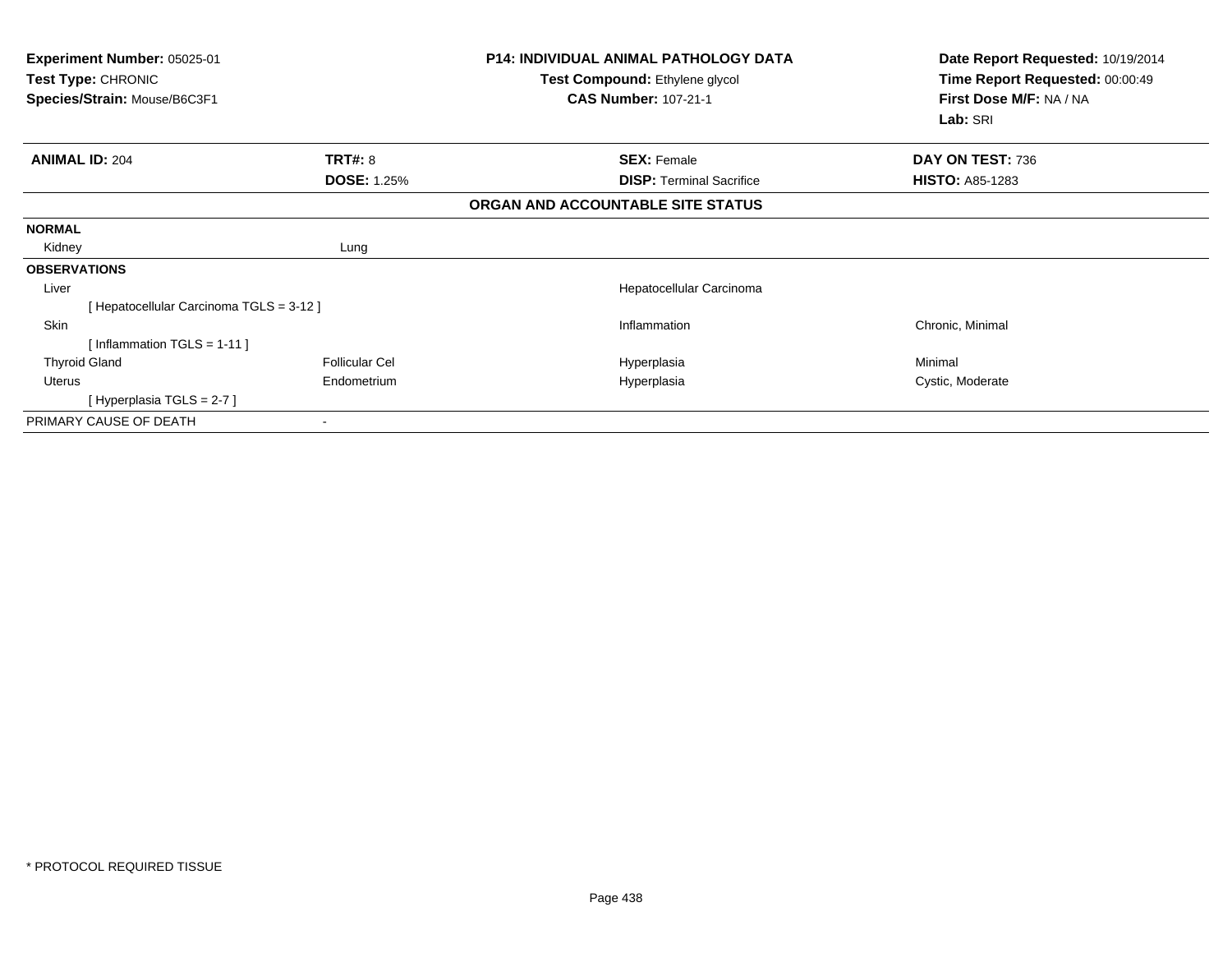| Experiment Number: 05025-01<br><b>Test Type: CHRONIC</b><br>Species/Strain: Mouse/B6C3F1 |                       | P14: INDIVIDUAL ANIMAL PATHOLOGY DATA<br>Test Compound: Ethylene glycol<br><b>CAS Number: 107-21-1</b> | Date Report Requested: 10/19/2014<br>Time Report Requested: 00:00:49<br>First Dose M/F: NA / NA<br>Lab: SRI |
|------------------------------------------------------------------------------------------|-----------------------|--------------------------------------------------------------------------------------------------------|-------------------------------------------------------------------------------------------------------------|
| <b>ANIMAL ID: 204</b>                                                                    | <b>TRT#: 8</b>        | <b>SEX: Female</b>                                                                                     | DAY ON TEST: 736                                                                                            |
|                                                                                          | <b>DOSE: 1.25%</b>    | <b>DISP: Terminal Sacrifice</b>                                                                        | <b>HISTO: A85-1283</b>                                                                                      |
|                                                                                          |                       | ORGAN AND ACCOUNTABLE SITE STATUS                                                                      |                                                                                                             |
| <b>NORMAL</b>                                                                            |                       |                                                                                                        |                                                                                                             |
| Kidney                                                                                   | Lung                  |                                                                                                        |                                                                                                             |
| <b>OBSERVATIONS</b>                                                                      |                       |                                                                                                        |                                                                                                             |
| Liver                                                                                    |                       | Hepatocellular Carcinoma                                                                               |                                                                                                             |
| [ Hepatocellular Carcinoma TGLS = 3-12 ]                                                 |                       |                                                                                                        |                                                                                                             |
| Skin                                                                                     |                       | Inflammation                                                                                           | Chronic, Minimal                                                                                            |
| [Inflammation TGLS = $1-11$ ]                                                            |                       |                                                                                                        |                                                                                                             |
| <b>Thyroid Gland</b>                                                                     | <b>Follicular Cel</b> | Hyperplasia                                                                                            | Minimal                                                                                                     |
| Uterus                                                                                   | Endometrium           | Hyperplasia                                                                                            | Cystic, Moderate                                                                                            |
| [Hyperplasia TGLS = $2-7$ ]                                                              |                       |                                                                                                        |                                                                                                             |
| PRIMARY CAUSE OF DEATH                                                                   |                       |                                                                                                        |                                                                                                             |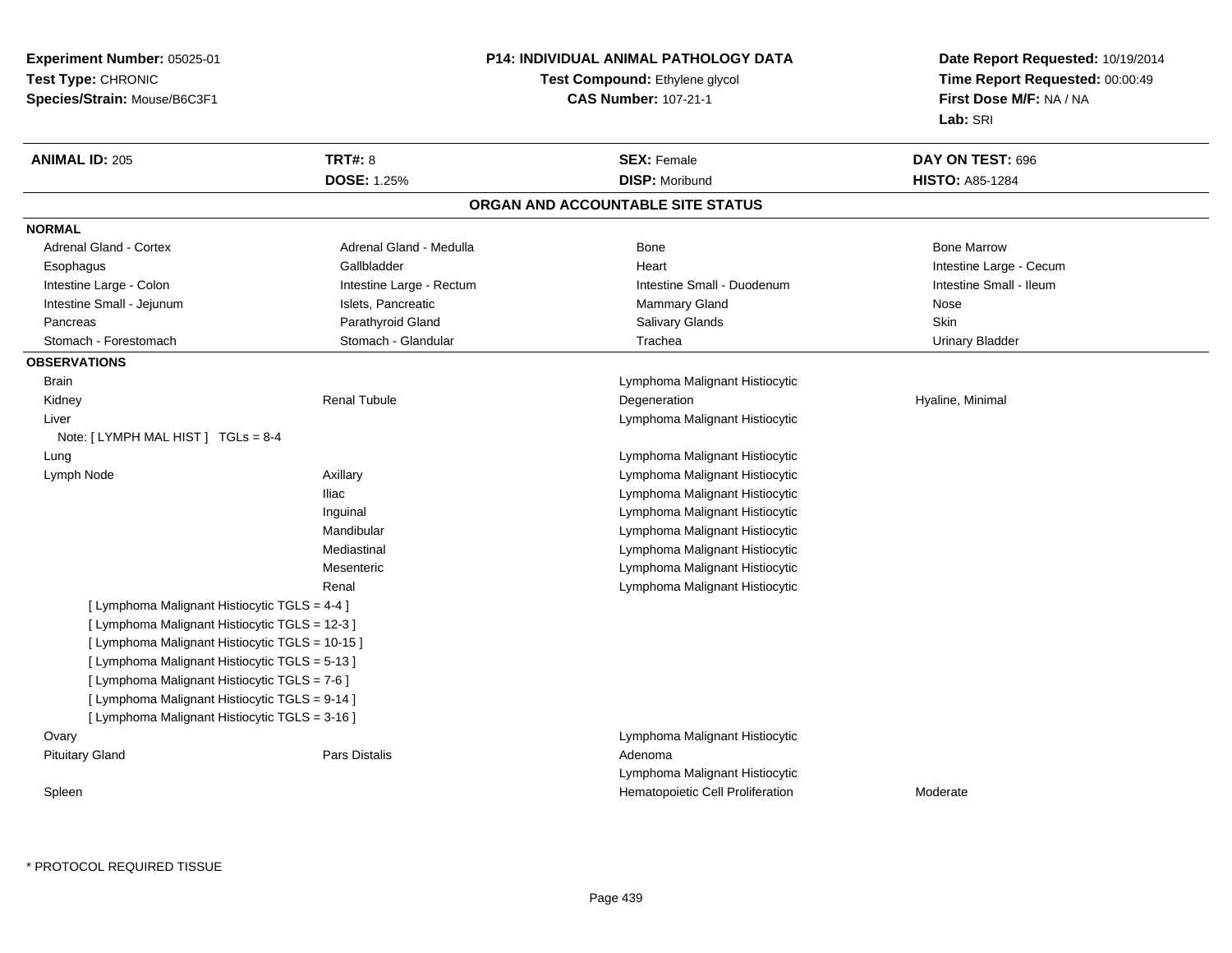**Experiment Number:** 05025-01**Test Type:** CHRONIC **Species/Strain:** Mouse/B6C3F1**P14: INDIVIDUAL ANIMAL PATHOLOGY DATATest Compound:** Ethylene glycol **CAS Number:** 107-21-1**Date Report Requested:** 10/19/2014**Time Report Requested:** 00:00:49**First Dose M/F:** NA / NA**Lab:** SRI**ANIMAL ID:** 205**TRT#:** 8 **SEX:** Female **SEX: Female DAY ON TEST:** 696 **DOSE:** 1.25%**DISP:** Moribund **HISTO:** A85-1284 **ORGAN AND ACCOUNTABLE SITE STATUSNORMALAdrenal Gland - Cortex** Adrenal Gland - Medulla **Bone Adrenal Gland - Cortex Adrenal Gland - Cortex Adrenal Gland - Medulla** Bone Marrow Esophagus Gallbladder Gallbladder Annual Heart Heart Intestine Large - Cecum Intestine Small - Ileum Intestine Large - Colon **Intestine Large - Rectum** Intestine Small - Duodenum Intestine Small - Duodenum Intestine Small - Jejunum **Intestine Small - Jejunum** Islets, Pancreatic **Nose** Mammary Gland Nose **Skin**  Pancreas Parathyroid Gland Salivary Glands Skin**Urinary Bladder** Stomach - Forestomach **Stomach - Stomach - Glandular** Trachea Urinary Bladder Trachea **OBSERVATIONS** Brain Lymphoma Malignant Histiocytic Kidney Renal Tubule Degeneration Hyaline, Minimal Liver Lymphoma Malignant HistiocyticNote: [ LYMPH MAL HIST ] TGLs = 8-4 Lung Lymphoma Malignant Histiocytic Lymph Node Axillary Lymphoma Malignant Histiocytic Iliac Lymphoma Malignant Histiocytic Inguinal Lymphoma Malignant Histiocytic**Lymphoma Malignant Histiocytic CO** Mandibular Lymphoma Malignant HistiocyticMediastinal Lymphoma Malignant Histiocytic MesentericRenal Lymphoma Malignant Histiocytic[ Lymphoma Malignant Histiocytic TGLS = 4-4 ][ Lymphoma Malignant Histiocytic TGLS = 12-3 ][ Lymphoma Malignant Histiocytic TGLS = 10-15 ][ Lymphoma Malignant Histiocytic TGLS = 5-13 ][ Lymphoma Malignant Histiocytic TGLS = 7-6 ][ Lymphoma Malignant Histiocytic TGLS = 9-14 ][ Lymphoma Malignant Histiocytic TGLS = 3-16 ]**Ovary**  Lymphoma Malignant Histiocytic Pituitary Glandd and the contract of Pars Distalis and the contract of Adenoma and Adenoma and the Adenoma and the Adenoma and  $\lambda$ Lymphoma Malignant Histiocyticn Moderate Cell Proliferation and Moderate Cell Proliferation and Moderate Cell Proliferation and Moderate Cell Proliferation and Moderate Cell Proliferation and Moderate Cell Proliferation and Moderate Cell Proliferation Spleen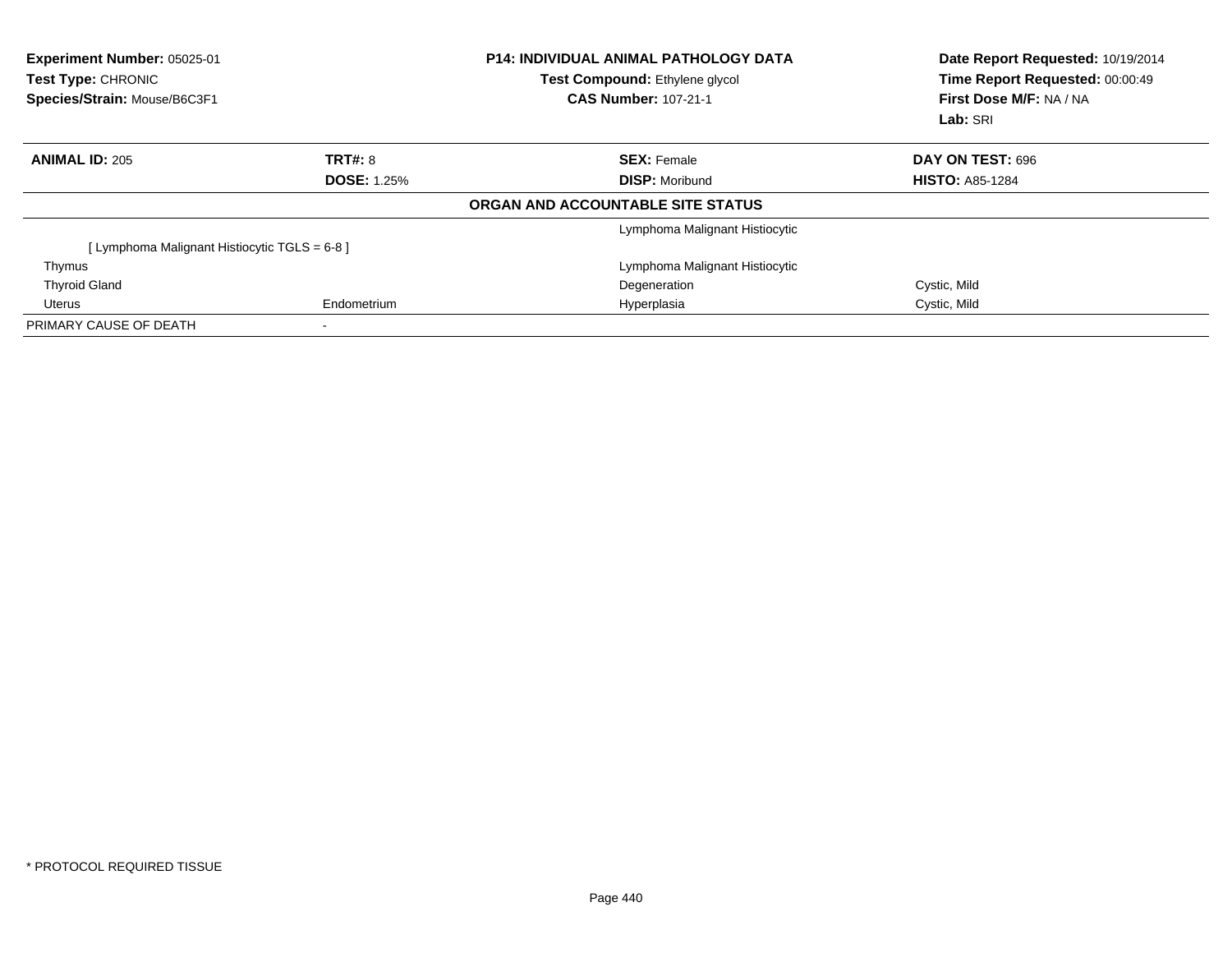| Experiment Number: 05025-01<br><b>Test Type: CHRONIC</b><br>Species/Strain: Mouse/B6C3F1 |                    | <b>P14: INDIVIDUAL ANIMAL PATHOLOGY DATA</b><br><b>Test Compound:</b> Ethylene glycol<br><b>CAS Number: 107-21-1</b> | Date Report Requested: 10/19/2014<br>Time Report Requested: 00:00:49<br><b>First Dose M/F: NA / NA</b><br>Lab: SRI |
|------------------------------------------------------------------------------------------|--------------------|----------------------------------------------------------------------------------------------------------------------|--------------------------------------------------------------------------------------------------------------------|
| <b>ANIMAL ID: 205</b>                                                                    | TRT#: 8            | <b>SEX: Female</b>                                                                                                   | DAY ON TEST: 696                                                                                                   |
|                                                                                          | <b>DOSE: 1.25%</b> | <b>DISP: Moribund</b>                                                                                                | <b>HISTO: A85-1284</b>                                                                                             |
|                                                                                          |                    | ORGAN AND ACCOUNTABLE SITE STATUS                                                                                    |                                                                                                                    |
|                                                                                          |                    | Lymphoma Malignant Histiocytic                                                                                       |                                                                                                                    |
| [ Lymphoma Malignant Histiocytic TGLS = 6-8 ]                                            |                    |                                                                                                                      |                                                                                                                    |
| Thymus                                                                                   |                    | Lymphoma Malignant Histiocytic                                                                                       |                                                                                                                    |
| <b>Thyroid Gland</b>                                                                     |                    | Degeneration                                                                                                         | Cystic, Mild                                                                                                       |
| Uterus                                                                                   | Endometrium        | Hyperplasia                                                                                                          | Cystic, Mild                                                                                                       |
| PRIMARY CAUSE OF DEATH                                                                   |                    |                                                                                                                      |                                                                                                                    |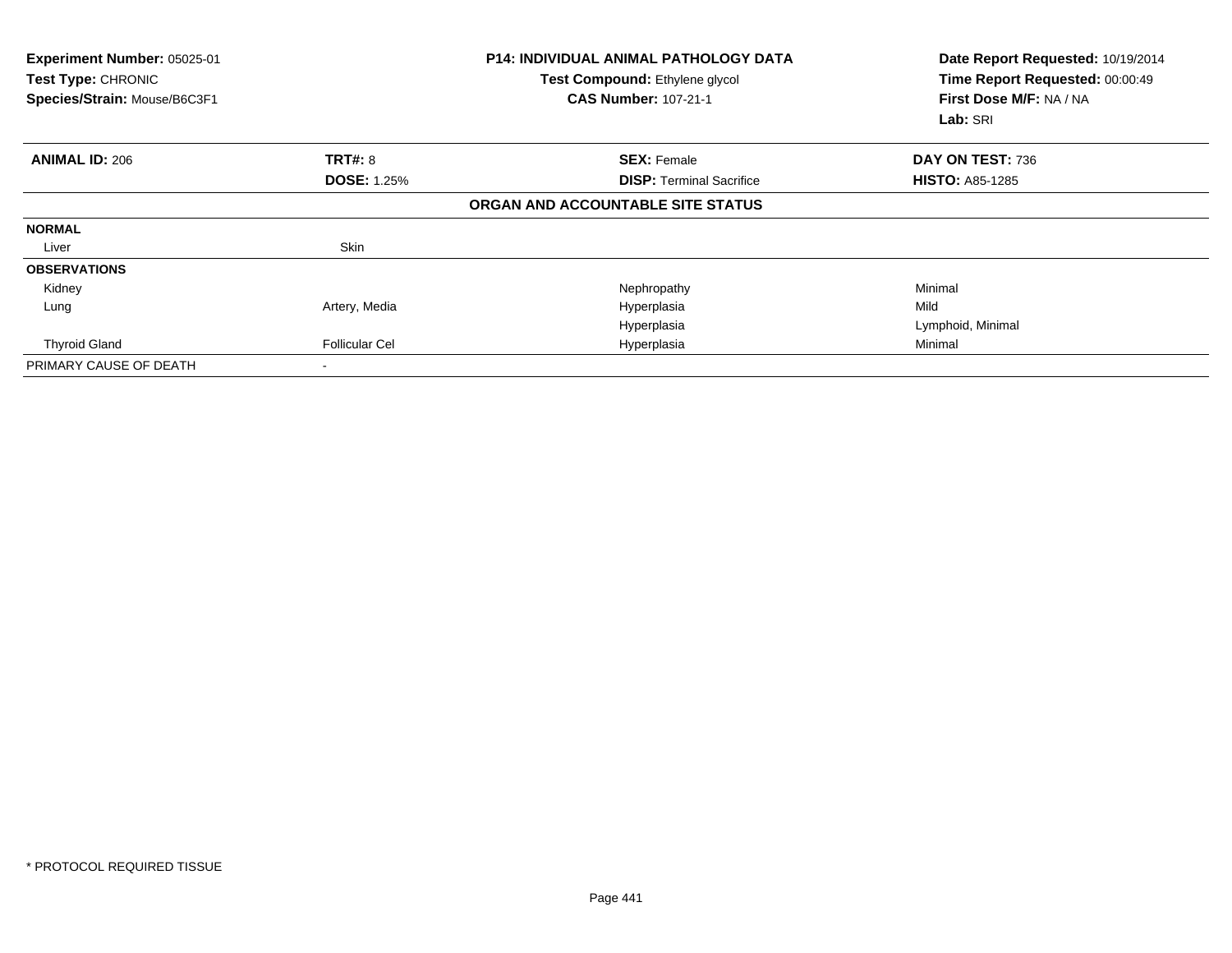| Experiment Number: 05025-01<br>Test Type: CHRONIC<br>Species/Strain: Mouse/B6C3F1 |                       | <b>P14: INDIVIDUAL ANIMAL PATHOLOGY DATA</b><br>Test Compound: Ethylene glycol<br><b>CAS Number: 107-21-1</b> | Date Report Requested: 10/19/2014<br>Time Report Requested: 00:00:49<br>First Dose M/F: NA / NA<br>Lab: SRI |
|-----------------------------------------------------------------------------------|-----------------------|---------------------------------------------------------------------------------------------------------------|-------------------------------------------------------------------------------------------------------------|
| <b>ANIMAL ID: 206</b>                                                             | TRT#: 8               | <b>SEX: Female</b>                                                                                            | DAY ON TEST: 736                                                                                            |
|                                                                                   | <b>DOSE: 1.25%</b>    | <b>DISP: Terminal Sacrifice</b>                                                                               | <b>HISTO: A85-1285</b>                                                                                      |
|                                                                                   |                       | ORGAN AND ACCOUNTABLE SITE STATUS                                                                             |                                                                                                             |
| <b>NORMAL</b>                                                                     |                       |                                                                                                               |                                                                                                             |
| Liver                                                                             | Skin                  |                                                                                                               |                                                                                                             |
| <b>OBSERVATIONS</b>                                                               |                       |                                                                                                               |                                                                                                             |
| Kidney                                                                            |                       | Nephropathy                                                                                                   | Minimal                                                                                                     |
| Lung                                                                              | Artery, Media         | Hyperplasia                                                                                                   | Mild                                                                                                        |
|                                                                                   |                       | Hyperplasia                                                                                                   | Lymphoid, Minimal                                                                                           |
| <b>Thyroid Gland</b>                                                              | <b>Follicular Cel</b> | Hyperplasia                                                                                                   | Minimal                                                                                                     |
| PRIMARY CAUSE OF DEATH                                                            |                       |                                                                                                               |                                                                                                             |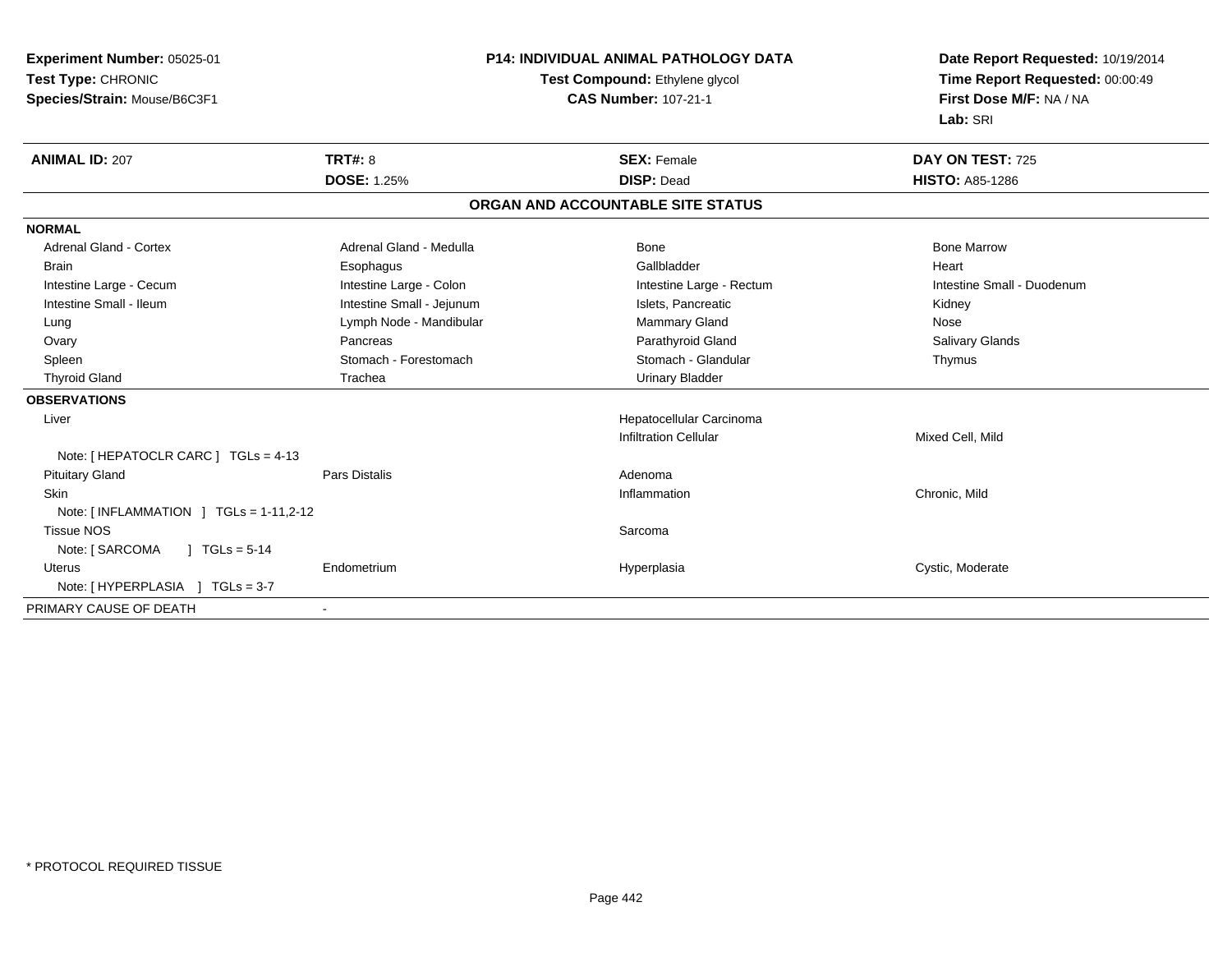| Experiment Number: 05025-01                           |                           | <b>P14: INDIVIDUAL ANIMAL PATHOLOGY DATA</b> | Date Report Requested: 10/19/2014<br>Time Report Requested: 00:00:49 |
|-------------------------------------------------------|---------------------------|----------------------------------------------|----------------------------------------------------------------------|
| Test Type: CHRONIC                                    |                           | Test Compound: Ethylene glycol               |                                                                      |
| Species/Strain: Mouse/B6C3F1                          |                           | <b>CAS Number: 107-21-1</b>                  | First Dose M/F: NA / NA                                              |
|                                                       |                           |                                              | Lab: SRI                                                             |
| <b>ANIMAL ID: 207</b>                                 | <b>TRT#: 8</b>            | <b>SEX: Female</b>                           | DAY ON TEST: 725                                                     |
|                                                       | <b>DOSE: 1.25%</b>        | <b>DISP: Dead</b>                            | <b>HISTO: A85-1286</b>                                               |
|                                                       |                           | ORGAN AND ACCOUNTABLE SITE STATUS            |                                                                      |
| <b>NORMAL</b>                                         |                           |                                              |                                                                      |
| <b>Adrenal Gland - Cortex</b>                         | Adrenal Gland - Medulla   | Bone                                         | <b>Bone Marrow</b>                                                   |
| <b>Brain</b>                                          | Esophagus                 | Gallbladder                                  | Heart                                                                |
| Intestine Large - Cecum                               | Intestine Large - Colon   | Intestine Large - Rectum                     | Intestine Small - Duodenum                                           |
| Intestine Small - Ileum                               | Intestine Small - Jejunum | Islets, Pancreatic                           | Kidney                                                               |
| Lung                                                  | Lymph Node - Mandibular   | Mammary Gland                                | Nose                                                                 |
| Ovary                                                 | Pancreas                  | Parathyroid Gland                            | <b>Salivary Glands</b>                                               |
| Spleen                                                | Stomach - Forestomach     | Stomach - Glandular                          | Thymus                                                               |
| <b>Thyroid Gland</b>                                  | Trachea                   | <b>Urinary Bladder</b>                       |                                                                      |
| <b>OBSERVATIONS</b>                                   |                           |                                              |                                                                      |
| Liver                                                 |                           | Hepatocellular Carcinoma                     |                                                                      |
|                                                       |                           | <b>Infiltration Cellular</b>                 | Mixed Cell, Mild                                                     |
| Note: [ HEPATOCLR CARC ] TGLs = 4-13                  |                           |                                              |                                                                      |
| <b>Pituitary Gland</b>                                | <b>Pars Distalis</b>      | Adenoma                                      |                                                                      |
| <b>Skin</b>                                           |                           | Inflammation                                 | Chronic, Mild                                                        |
| Note: $\lceil$ INFLAMMATION $\lceil$ TGLs = 1-11,2-12 |                           |                                              |                                                                      |
| <b>Tissue NOS</b>                                     |                           | Sarcoma                                      |                                                                      |
| Note: [ SARCOMA<br>$\sqrt{1}$ TGLs = 5-14             |                           |                                              |                                                                      |
| <b>Uterus</b>                                         | Endometrium               | Hyperplasia                                  | Cystic, Moderate                                                     |
| Note: [ HYPERPLASIA ] TGLs = 3-7                      |                           |                                              |                                                                      |
| PRIMARY CAUSE OF DEATH                                | $\blacksquare$            |                                              |                                                                      |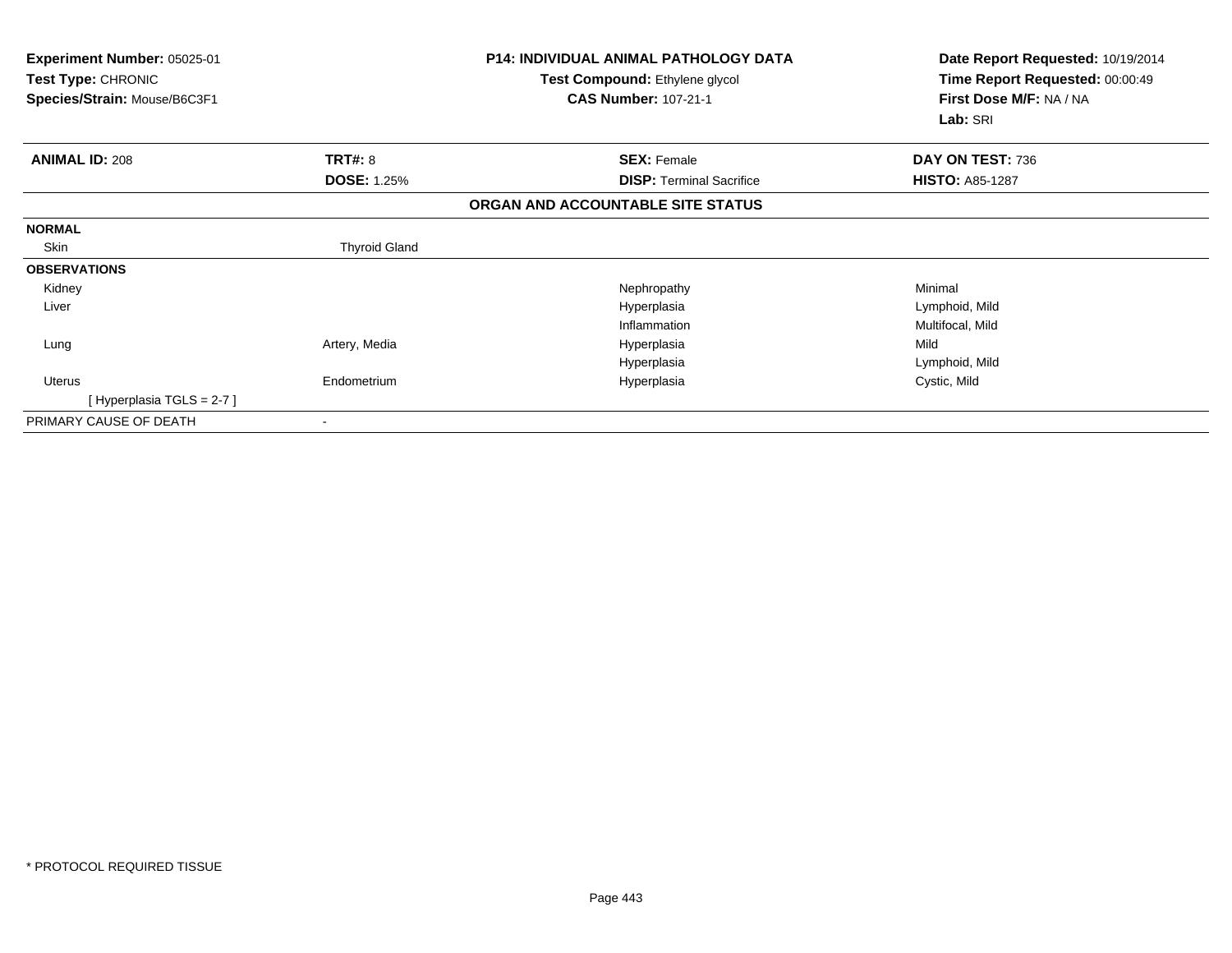| Experiment Number: 05025-01<br><b>Test Type: CHRONIC</b><br>Species/Strain: Mouse/B6C3F1 |                      | <b>P14: INDIVIDUAL ANIMAL PATHOLOGY DATA</b><br>Test Compound: Ethylene glycol<br><b>CAS Number: 107-21-1</b> | Date Report Requested: 10/19/2014<br>Time Report Requested: 00:00:49<br>First Dose M/F: NA / NA<br>Lab: SRI |
|------------------------------------------------------------------------------------------|----------------------|---------------------------------------------------------------------------------------------------------------|-------------------------------------------------------------------------------------------------------------|
| <b>ANIMAL ID: 208</b>                                                                    | <b>TRT#: 8</b>       | <b>SEX: Female</b>                                                                                            | DAY ON TEST: 736                                                                                            |
|                                                                                          | <b>DOSE: 1.25%</b>   | <b>DISP: Terminal Sacrifice</b>                                                                               | <b>HISTO: A85-1287</b>                                                                                      |
|                                                                                          |                      | ORGAN AND ACCOUNTABLE SITE STATUS                                                                             |                                                                                                             |
| <b>NORMAL</b>                                                                            |                      |                                                                                                               |                                                                                                             |
| Skin                                                                                     | <b>Thyroid Gland</b> |                                                                                                               |                                                                                                             |
| <b>OBSERVATIONS</b>                                                                      |                      |                                                                                                               |                                                                                                             |
| Kidney                                                                                   |                      | Nephropathy                                                                                                   | Minimal                                                                                                     |
| Liver                                                                                    |                      | Hyperplasia                                                                                                   | Lymphoid, Mild                                                                                              |
|                                                                                          |                      | Inflammation                                                                                                  | Multifocal, Mild                                                                                            |
| Lung                                                                                     | Artery, Media        | Hyperplasia                                                                                                   | Mild                                                                                                        |
|                                                                                          |                      | Hyperplasia                                                                                                   | Lymphoid, Mild                                                                                              |
| <b>Uterus</b>                                                                            | Endometrium          | Hyperplasia                                                                                                   | Cystic, Mild                                                                                                |
| [Hyperplasia TGLS = 2-7]                                                                 |                      |                                                                                                               |                                                                                                             |
| PRIMARY CAUSE OF DEATH                                                                   |                      |                                                                                                               |                                                                                                             |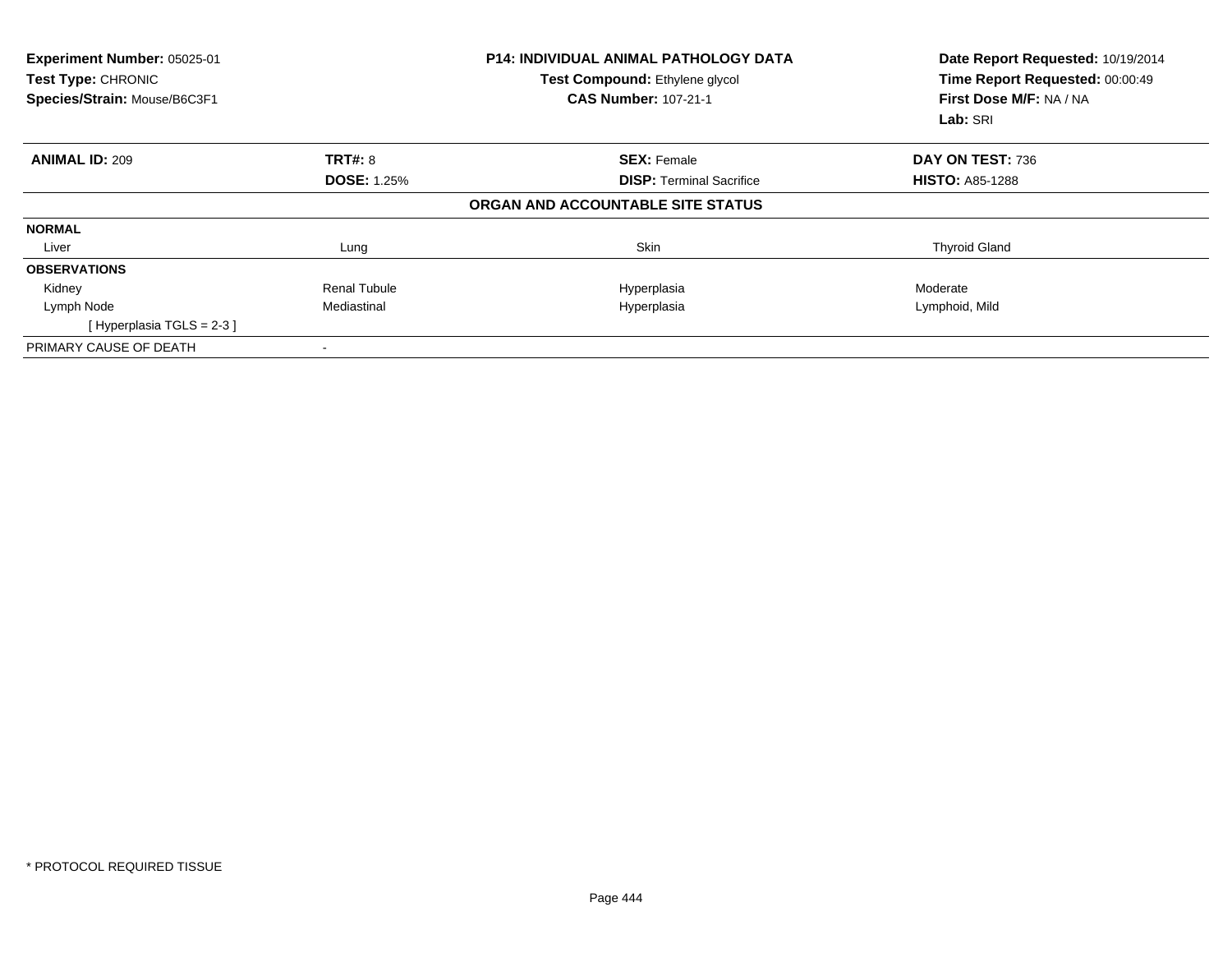| Experiment Number: 05025-01<br>Test Type: CHRONIC<br>Species/Strain: Mouse/B6C3F1 |                     | <b>P14: INDIVIDUAL ANIMAL PATHOLOGY DATA</b><br>Test Compound: Ethylene glycol<br><b>CAS Number: 107-21-1</b> | Date Report Requested: 10/19/2014<br>Time Report Requested: 00:00:49<br>First Dose M/F: NA / NA<br>Lab: SRI |
|-----------------------------------------------------------------------------------|---------------------|---------------------------------------------------------------------------------------------------------------|-------------------------------------------------------------------------------------------------------------|
| <b>ANIMAL ID: 209</b>                                                             | <b>TRT#: 8</b>      | <b>SEX: Female</b>                                                                                            | DAY ON TEST: 736                                                                                            |
|                                                                                   | <b>DOSE: 1.25%</b>  | <b>DISP:</b> Terminal Sacrifice                                                                               | <b>HISTO: A85-1288</b>                                                                                      |
|                                                                                   |                     | ORGAN AND ACCOUNTABLE SITE STATUS                                                                             |                                                                                                             |
| <b>NORMAL</b>                                                                     |                     |                                                                                                               |                                                                                                             |
| Liver                                                                             | Lung                | Skin                                                                                                          | <b>Thyroid Gland</b>                                                                                        |
| <b>OBSERVATIONS</b>                                                               |                     |                                                                                                               |                                                                                                             |
| Kidney                                                                            | <b>Renal Tubule</b> | Hyperplasia                                                                                                   | Moderate                                                                                                    |
| Lymph Node                                                                        | Mediastinal         | Hyperplasia                                                                                                   | Lymphoid, Mild                                                                                              |
| [Hyperplasia TGLS = $2-3$ ]                                                       |                     |                                                                                                               |                                                                                                             |
| PRIMARY CAUSE OF DEATH                                                            |                     |                                                                                                               |                                                                                                             |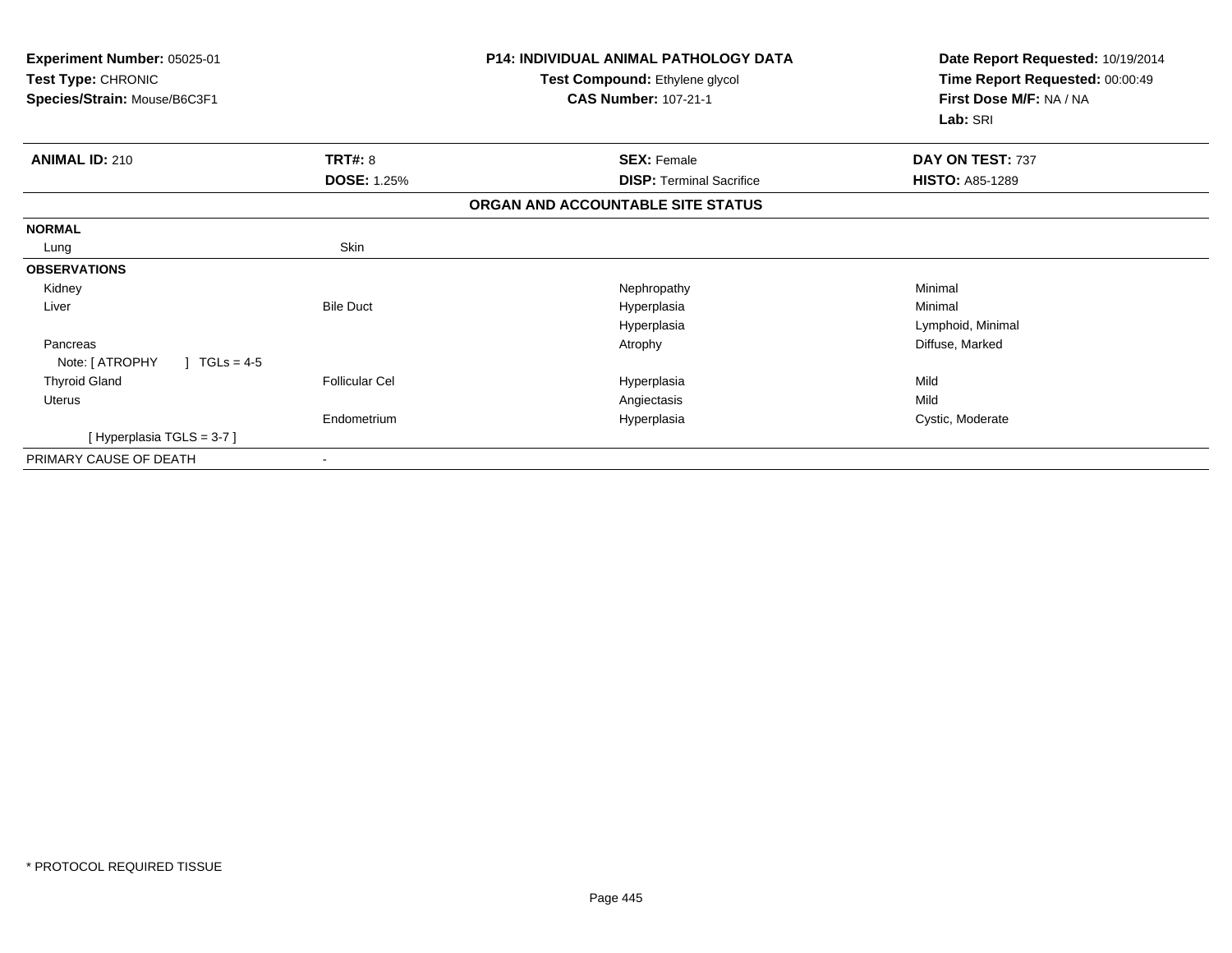| <b>Experiment Number: 05025-01</b><br>Test Type: CHRONIC<br>Species/Strain: Mouse/B6C3F1 |                       | <b>P14: INDIVIDUAL ANIMAL PATHOLOGY DATA</b><br>Test Compound: Ethylene glycol<br><b>CAS Number: 107-21-1</b> | Date Report Requested: 10/19/2014<br>Time Report Requested: 00:00:49<br>First Dose M/F: NA / NA<br>Lab: SRI |
|------------------------------------------------------------------------------------------|-----------------------|---------------------------------------------------------------------------------------------------------------|-------------------------------------------------------------------------------------------------------------|
| <b>ANIMAL ID: 210</b>                                                                    | TRT#: 8               | <b>SEX: Female</b>                                                                                            | DAY ON TEST: 737                                                                                            |
|                                                                                          | <b>DOSE: 1.25%</b>    | <b>DISP: Terminal Sacrifice</b>                                                                               | <b>HISTO: A85-1289</b>                                                                                      |
|                                                                                          |                       | ORGAN AND ACCOUNTABLE SITE STATUS                                                                             |                                                                                                             |
| <b>NORMAL</b>                                                                            |                       |                                                                                                               |                                                                                                             |
| Lung                                                                                     | Skin                  |                                                                                                               |                                                                                                             |
| <b>OBSERVATIONS</b>                                                                      |                       |                                                                                                               |                                                                                                             |
| Kidney                                                                                   |                       | Nephropathy                                                                                                   | Minimal                                                                                                     |
| Liver                                                                                    | <b>Bile Duct</b>      | Hyperplasia                                                                                                   | Minimal                                                                                                     |
|                                                                                          |                       | Hyperplasia                                                                                                   | Lymphoid, Minimal                                                                                           |
| Pancreas<br>Note: [ ATROPHY<br>$TGLs = 4-5$                                              |                       | Atrophy                                                                                                       | Diffuse, Marked                                                                                             |
| <b>Thyroid Gland</b>                                                                     | <b>Follicular Cel</b> | Hyperplasia                                                                                                   | Mild                                                                                                        |
| Uterus                                                                                   |                       | Angiectasis                                                                                                   | Mild                                                                                                        |
|                                                                                          | Endometrium           | Hyperplasia                                                                                                   | Cystic, Moderate                                                                                            |
| [Hyperplasia TGLS = 3-7]                                                                 |                       |                                                                                                               |                                                                                                             |
| PRIMARY CAUSE OF DEATH                                                                   |                       |                                                                                                               |                                                                                                             |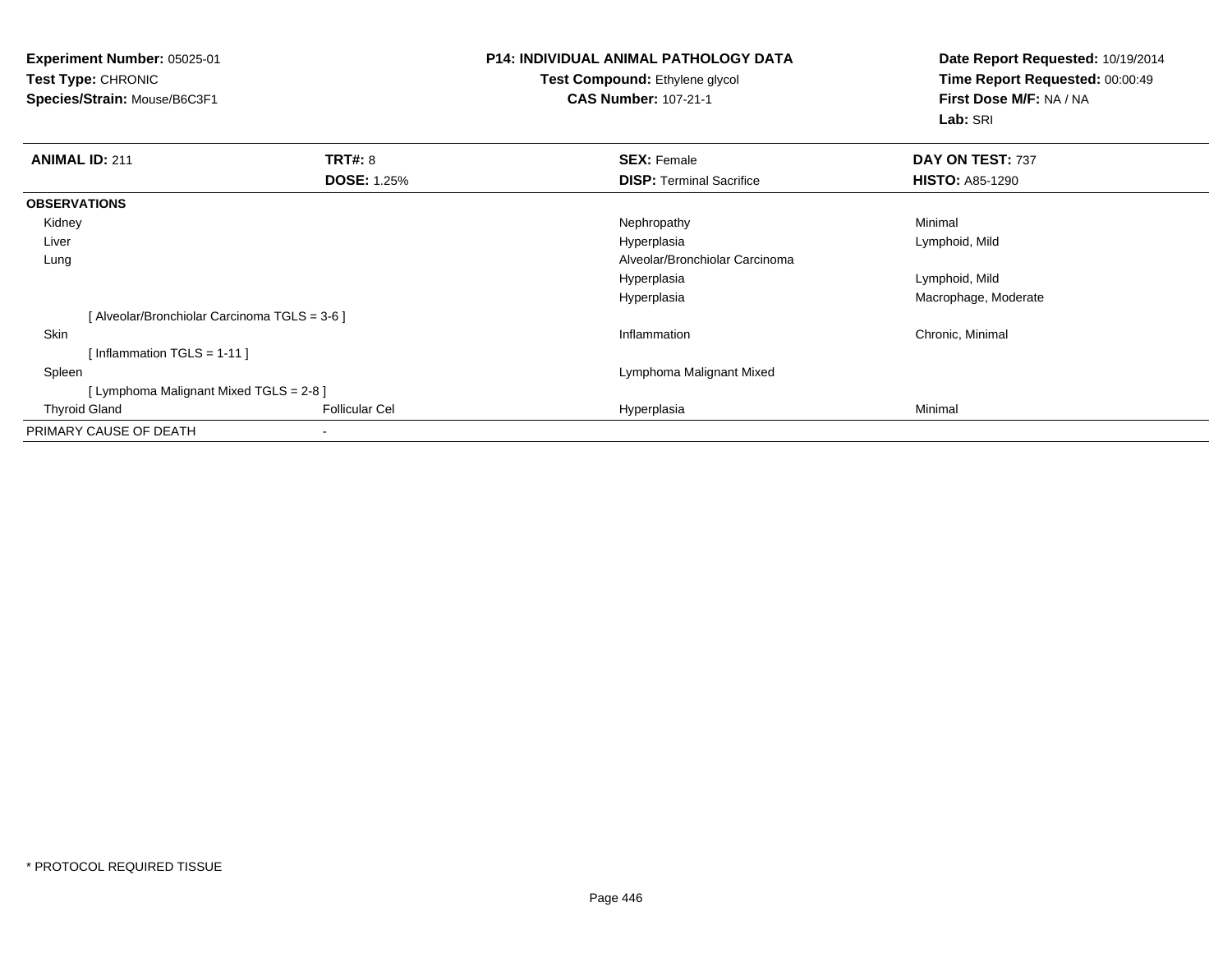**Experiment Number:** 05025-01**Test Type:** CHRONIC **Species/Strain:** Mouse/B6C3F1**P14: INDIVIDUAL ANIMAL PATHOLOGY DATATest Compound:** Ethylene glycol **CAS Number:** 107-21-1**Date Report Requested:** 10/19/2014**Time Report Requested:** 00:00:49**First Dose M/F:** NA / NA**Lab:** SRI**ANIMAL ID:** 211**TRT#:** 8 **SEX:** Female **DAY ON TEST:** 737 **DOSE:** 1.25%**DISP:** Terminal Sacrifice **HISTO:** A85-1290 **OBSERVATIONS** Kidneyy the controller of the controller of the controller of the Nephropathy the controller of the Minimal Minimal  $\lambda$  Liverr and the control of the control of the control of the control of the control of the control of the control of Lymphoid, Mild Lung Alveolar/Bronchiolar Carcinoma Hyperplasia Lymphoid, Mild Hyperplasia Macrophage, Moderate [ Alveolar/Bronchiolar Carcinoma TGLS = 3-6 ] Skinn and the control of the control of the control of the control of the control of the control of the control of the control of the control of the control of the control of the control of the control of the control of the co [ Inflammation TGLS = 1-11 ] Spleen Lymphoma Malignant Mixed [ Lymphoma Malignant Mixed TGLS = 2-8 ] Thyroid Gland Follicular Cel Hyperplasia Minimal PRIMARY CAUSE OF DEATH-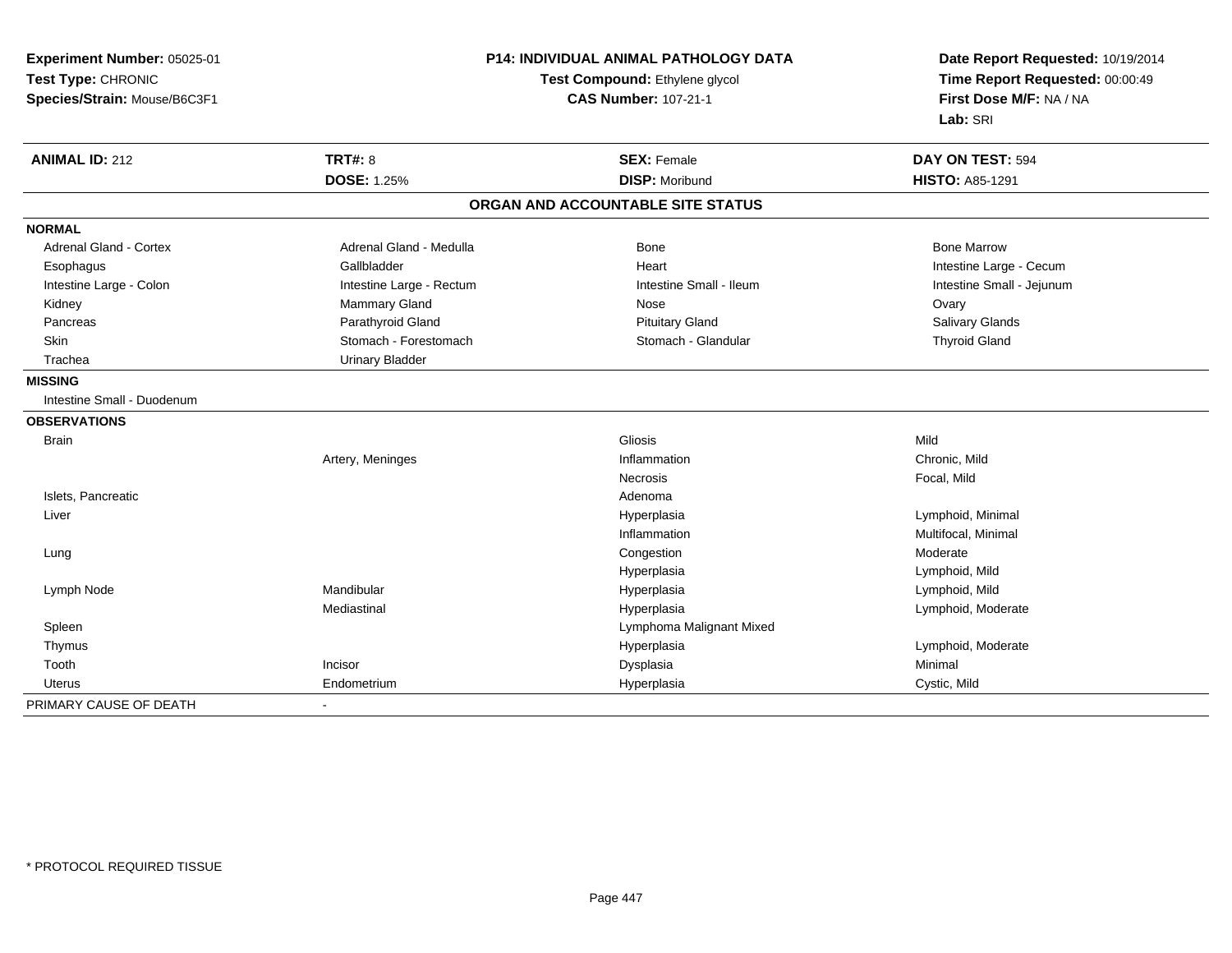| Experiment Number: 05025-01   | P14: INDIVIDUAL ANIMAL PATHOLOGY DATA |                                   | Date Report Requested: 10/19/2014                          |
|-------------------------------|---------------------------------------|-----------------------------------|------------------------------------------------------------|
| Test Type: CHRONIC            |                                       | Test Compound: Ethylene glycol    | Time Report Requested: 00:00:49<br>First Dose M/F: NA / NA |
| Species/Strain: Mouse/B6C3F1  |                                       | <b>CAS Number: 107-21-1</b>       |                                                            |
|                               |                                       |                                   | Lab: SRI                                                   |
| <b>ANIMAL ID: 212</b>         | <b>TRT#: 8</b>                        | <b>SEX: Female</b>                | DAY ON TEST: 594                                           |
|                               | <b>DOSE: 1.25%</b>                    | <b>DISP: Moribund</b>             | <b>HISTO: A85-1291</b>                                     |
|                               |                                       | ORGAN AND ACCOUNTABLE SITE STATUS |                                                            |
| <b>NORMAL</b>                 |                                       |                                   |                                                            |
| <b>Adrenal Gland - Cortex</b> | Adrenal Gland - Medulla               | Bone                              | <b>Bone Marrow</b>                                         |
| Esophagus                     | Gallbladder                           | Heart                             | Intestine Large - Cecum                                    |
| Intestine Large - Colon       | Intestine Large - Rectum              | Intestine Small - Ileum           | Intestine Small - Jejunum                                  |
| Kidney                        | Mammary Gland                         | Nose                              | Ovary                                                      |
| Pancreas                      | Parathyroid Gland                     | <b>Pituitary Gland</b>            | Salivary Glands                                            |
| Skin                          | Stomach - Forestomach                 | Stomach - Glandular               | <b>Thyroid Gland</b>                                       |
| Trachea                       | <b>Urinary Bladder</b>                |                                   |                                                            |
| <b>MISSING</b>                |                                       |                                   |                                                            |
| Intestine Small - Duodenum    |                                       |                                   |                                                            |
| <b>OBSERVATIONS</b>           |                                       |                                   |                                                            |
| <b>Brain</b>                  |                                       | <b>Gliosis</b>                    | Mild                                                       |
|                               | Artery, Meninges                      | Inflammation                      | Chronic, Mild                                              |
|                               |                                       | <b>Necrosis</b>                   | Focal, Mild                                                |
| Islets, Pancreatic            |                                       | Adenoma                           |                                                            |
| Liver                         |                                       | Hyperplasia                       | Lymphoid, Minimal                                          |
|                               |                                       | Inflammation                      | Multifocal, Minimal                                        |
| Lung                          |                                       | Congestion                        | Moderate                                                   |
|                               |                                       | Hyperplasia                       | Lymphoid, Mild                                             |
| Lymph Node                    | Mandibular                            | Hyperplasia                       | Lymphoid, Mild                                             |
|                               | Mediastinal                           | Hyperplasia                       | Lymphoid, Moderate                                         |
| Spleen                        |                                       | Lymphoma Malignant Mixed          |                                                            |
| Thymus                        |                                       | Hyperplasia                       | Lymphoid, Moderate                                         |
| Tooth                         | Incisor                               | Dysplasia                         | Minimal                                                    |
| <b>Uterus</b>                 | Endometrium                           | Hyperplasia                       | Cystic, Mild                                               |
| PRIMARY CAUSE OF DEATH        |                                       |                                   |                                                            |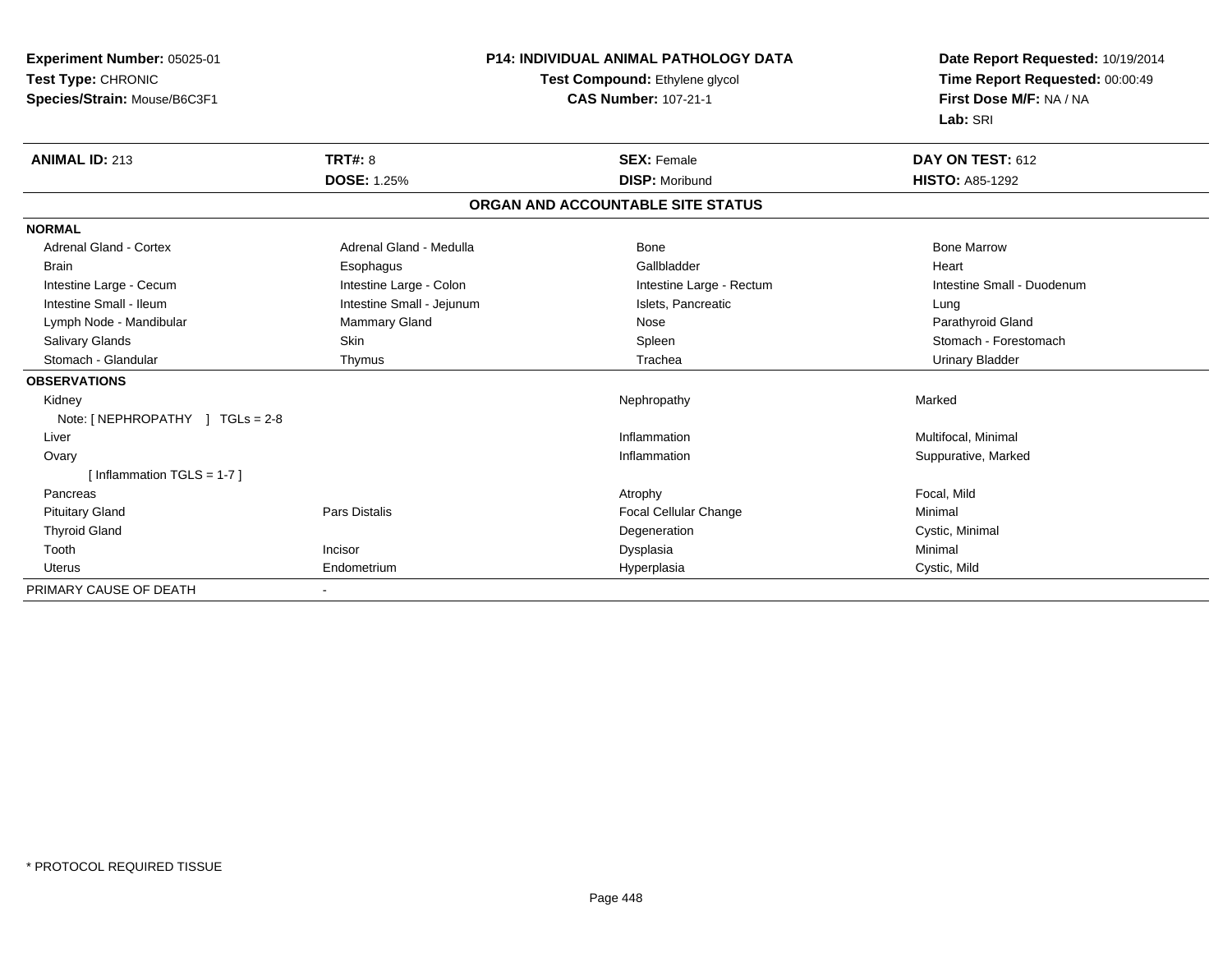| Experiment Number: 05025-01<br>Test Type: CHRONIC |                           | <b>P14: INDIVIDUAL ANIMAL PATHOLOGY DATA</b> | Date Report Requested: 10/19/2014<br>Time Report Requested: 00:00:49 |
|---------------------------------------------------|---------------------------|----------------------------------------------|----------------------------------------------------------------------|
|                                                   |                           | Test Compound: Ethylene glycol               |                                                                      |
| Species/Strain: Mouse/B6C3F1                      |                           | <b>CAS Number: 107-21-1</b>                  | First Dose M/F: NA / NA                                              |
|                                                   |                           |                                              | Lab: SRI                                                             |
| <b>ANIMAL ID: 213</b>                             | <b>TRT#: 8</b>            | <b>SEX: Female</b>                           | DAY ON TEST: 612                                                     |
|                                                   | <b>DOSE: 1.25%</b>        | <b>DISP: Moribund</b>                        | <b>HISTO: A85-1292</b>                                               |
|                                                   |                           | ORGAN AND ACCOUNTABLE SITE STATUS            |                                                                      |
| <b>NORMAL</b>                                     |                           |                                              |                                                                      |
| <b>Adrenal Gland - Cortex</b>                     | Adrenal Gland - Medulla   | <b>Bone</b>                                  | <b>Bone Marrow</b>                                                   |
| <b>Brain</b>                                      | Esophagus                 | Gallbladder                                  | Heart                                                                |
| Intestine Large - Cecum                           | Intestine Large - Colon   | Intestine Large - Rectum                     | Intestine Small - Duodenum                                           |
| Intestine Small - Ileum                           | Intestine Small - Jejunum | Islets, Pancreatic                           | Lung                                                                 |
| Lymph Node - Mandibular                           | Mammary Gland             | Nose                                         | Parathyroid Gland                                                    |
| <b>Salivary Glands</b>                            | Skin                      | Spleen                                       | Stomach - Forestomach                                                |
| Stomach - Glandular                               | Thymus                    | Trachea                                      | <b>Urinary Bladder</b>                                               |
| <b>OBSERVATIONS</b>                               |                           |                                              |                                                                      |
| Kidney                                            |                           | Nephropathy                                  | Marked                                                               |
| Note: $[NEPHROPATHY]$ TGLs = 2-8                  |                           |                                              |                                                                      |
| Liver                                             |                           | Inflammation                                 | Multifocal, Minimal                                                  |
| Ovary                                             |                           | Inflammation                                 | Suppurative, Marked                                                  |
| [Inflammation TGLS = $1-7$ ]                      |                           |                                              |                                                                      |
| Pancreas                                          |                           | Atrophy                                      | Focal, Mild                                                          |
| <b>Pituitary Gland</b>                            | Pars Distalis             | <b>Focal Cellular Change</b>                 | Minimal                                                              |
| <b>Thyroid Gland</b>                              |                           | Degeneration                                 | Cystic, Minimal                                                      |
| Tooth                                             | Incisor                   | Dysplasia                                    | Minimal                                                              |
| <b>Uterus</b>                                     | Endometrium               | Hyperplasia                                  | Cystic, Mild                                                         |
| PRIMARY CAUSE OF DEATH                            |                           |                                              |                                                                      |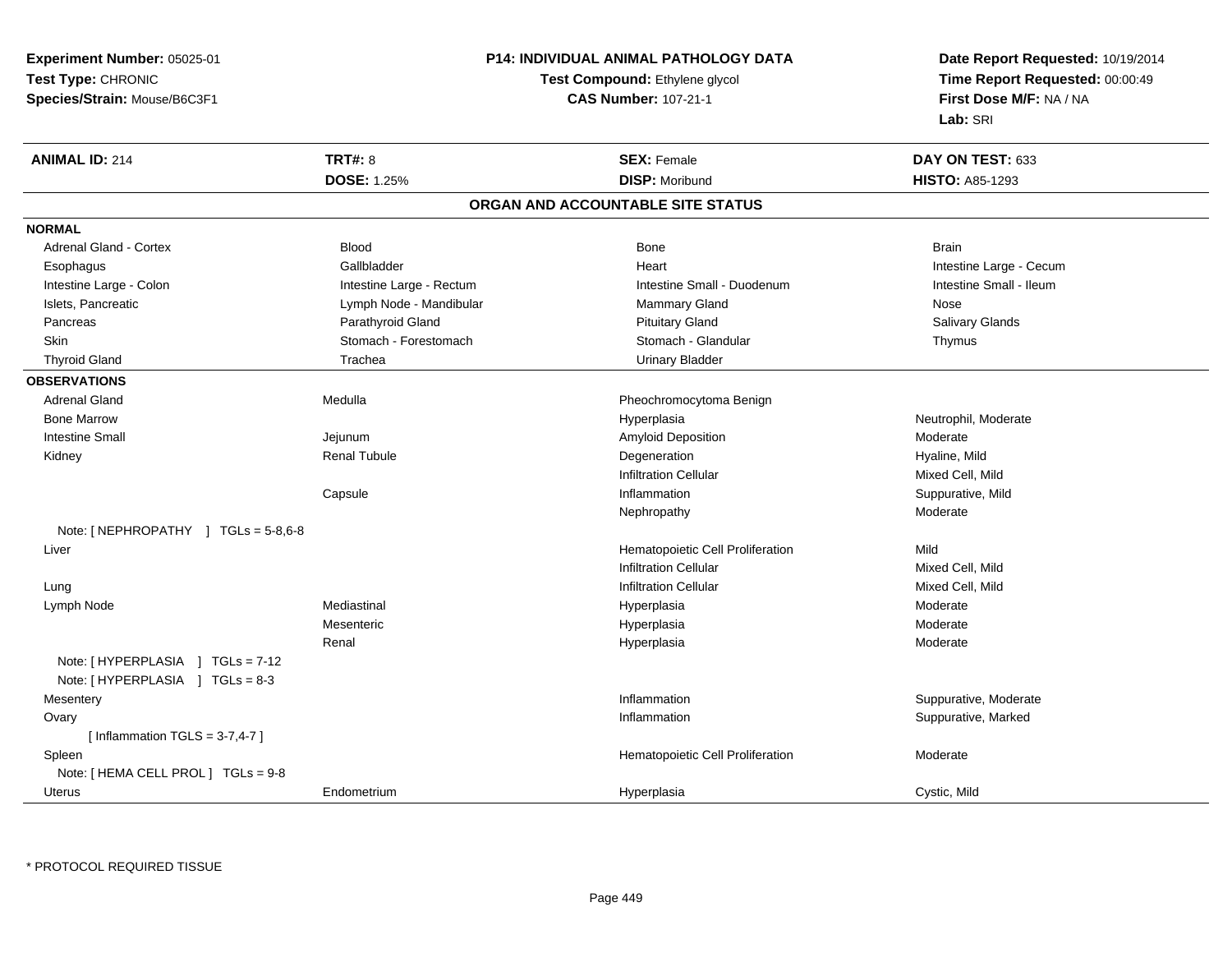**Experiment Number:** 05025-01**Test Type:** CHRONIC**Species/Strain:** Mouse/B6C3F1

#### **P14: INDIVIDUAL ANIMAL PATHOLOGY DATA**

#### **Test Compound:** Ethylene glycol **CAS Number:** 107-21-1

**Date Report Requested:** 10/19/2014**Time Report Requested:** 00:00:49**First Dose M/F:** NA / NA**Lab:** SRI

| <b>ANIMAL ID: 214</b>               | <b>TRT#: 8</b>           | <b>SEX: Female</b>                | DAY ON TEST: 633        |
|-------------------------------------|--------------------------|-----------------------------------|-------------------------|
|                                     | <b>DOSE: 1.25%</b>       | <b>DISP: Moribund</b>             | <b>HISTO: A85-1293</b>  |
|                                     |                          | ORGAN AND ACCOUNTABLE SITE STATUS |                         |
| <b>NORMAL</b>                       |                          |                                   |                         |
| <b>Adrenal Gland - Cortex</b>       | <b>Blood</b>             | <b>Bone</b>                       | <b>Brain</b>            |
| Esophagus                           | Gallbladder              | Heart                             | Intestine Large - Cecum |
| Intestine Large - Colon             | Intestine Large - Rectum | Intestine Small - Duodenum        | Intestine Small - Ileum |
| Islets, Pancreatic                  | Lymph Node - Mandibular  | <b>Mammary Gland</b>              | Nose                    |
| Pancreas                            | Parathyroid Gland        | <b>Pituitary Gland</b>            | <b>Salivary Glands</b>  |
| <b>Skin</b>                         | Stomach - Forestomach    | Stomach - Glandular               | Thymus                  |
| <b>Thyroid Gland</b>                | Trachea                  | <b>Urinary Bladder</b>            |                         |
| <b>OBSERVATIONS</b>                 |                          |                                   |                         |
| <b>Adrenal Gland</b>                | Medulla                  | Pheochromocytoma Benign           |                         |
| <b>Bone Marrow</b>                  |                          | Hyperplasia                       | Neutrophil, Moderate    |
| <b>Intestine Small</b>              | Jejunum                  | Amyloid Deposition                | Moderate                |
| Kidney                              | Renal Tubule             | Degeneration                      | Hyaline, Mild           |
|                                     |                          | <b>Infiltration Cellular</b>      | Mixed Cell, Mild        |
|                                     | Capsule                  | Inflammation                      | Suppurative, Mild       |
|                                     |                          | Nephropathy                       | Moderate                |
| Note: [NEPHROPATHY ] TGLs = 5-8,6-8 |                          |                                   |                         |
| Liver                               |                          | Hematopoietic Cell Proliferation  | Mild                    |
|                                     |                          | <b>Infiltration Cellular</b>      | Mixed Cell, Mild        |
| Lung                                |                          | <b>Infiltration Cellular</b>      | Mixed Cell, Mild        |
| Lymph Node                          | Mediastinal              | Hyperplasia                       | Moderate                |
|                                     | Mesenteric               | Hyperplasia                       | Moderate                |
|                                     | Renal                    | Hyperplasia                       | Moderate                |
| Note: [HYPERPLASIA ] TGLs = 7-12    |                          |                                   |                         |
| Note: [HYPERPLASIA ] TGLs = 8-3     |                          |                                   |                         |
| Mesentery                           |                          | Inflammation                      | Suppurative, Moderate   |
| Ovary                               |                          | Inflammation                      | Suppurative, Marked     |
| [Inflammation TGLS = $3-7,4-7$ ]    |                          |                                   |                         |
| Spleen                              |                          | Hematopoietic Cell Proliferation  | Moderate                |
| Note: [ HEMA CELL PROL ] TGLs = 9-8 |                          |                                   |                         |
| Uterus                              | Endometrium              | Hyperplasia                       | Cystic, Mild            |

\* PROTOCOL REQUIRED TISSUE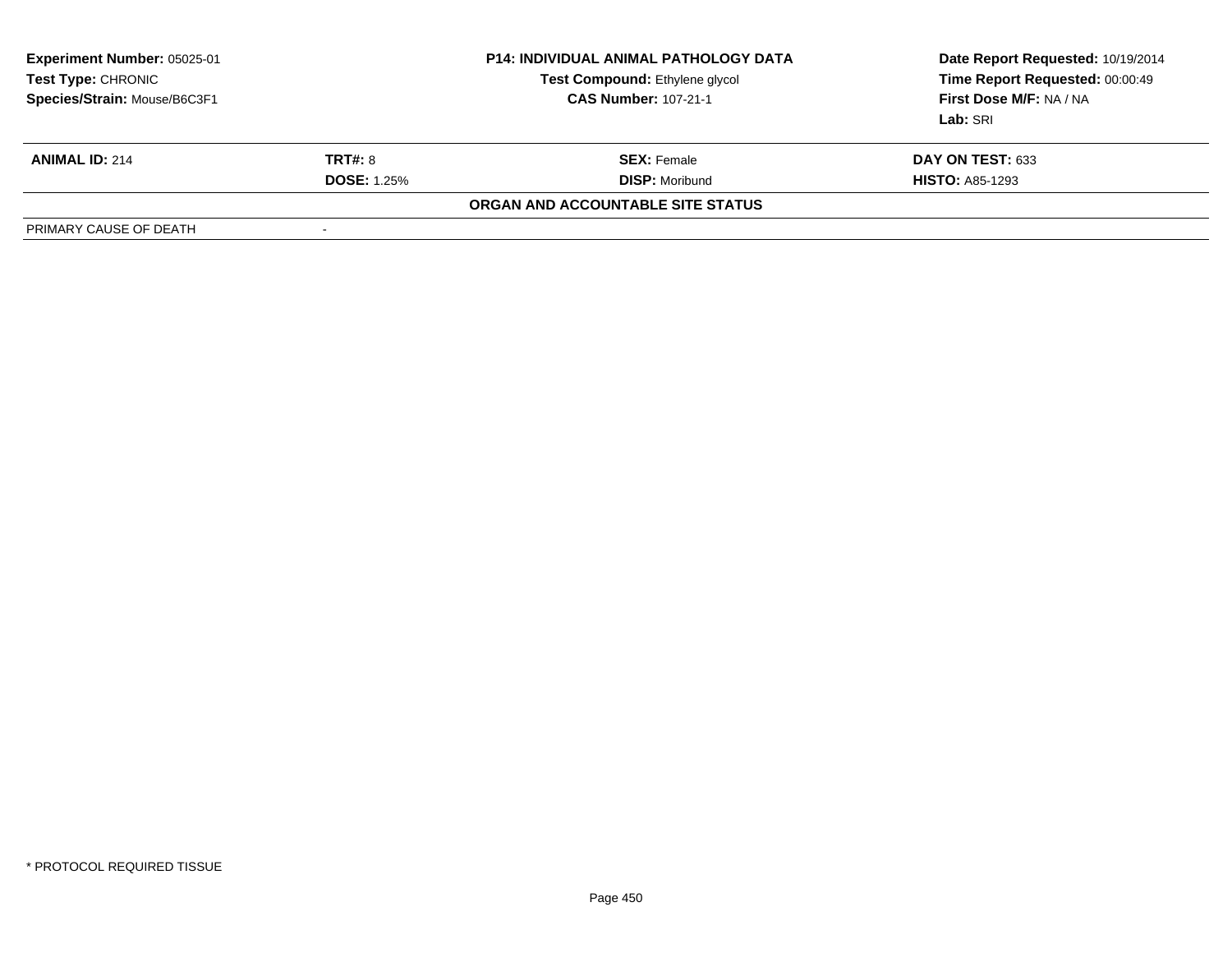| <b>Experiment Number: 05025-01</b><br>Test Type: CHRONIC<br>Species/Strain: Mouse/B6C3F1 |                          | <b>P14: INDIVIDUAL ANIMAL PATHOLOGY DATA</b><br>Test Compound: Ethylene glycol<br><b>CAS Number: 107-21-1</b> | Date Report Requested: 10/19/2014<br>Time Report Requested: 00:00:49<br>First Dose M/F: NA / NA<br>Lab: SRI |
|------------------------------------------------------------------------------------------|--------------------------|---------------------------------------------------------------------------------------------------------------|-------------------------------------------------------------------------------------------------------------|
| <b>ANIMAL ID: 214</b>                                                                    | TRT#: 8                  | <b>SEX:</b> Female                                                                                            | DAY ON TEST: 633                                                                                            |
|                                                                                          | <b>DOSE: 1.25%</b>       | <b>DISP: Moribund</b>                                                                                         | <b>HISTO: A85-1293</b>                                                                                      |
|                                                                                          |                          | ORGAN AND ACCOUNTABLE SITE STATUS                                                                             |                                                                                                             |
| PRIMARY CAUSE OF DEATH                                                                   | $\overline{\phantom{a}}$ |                                                                                                               |                                                                                                             |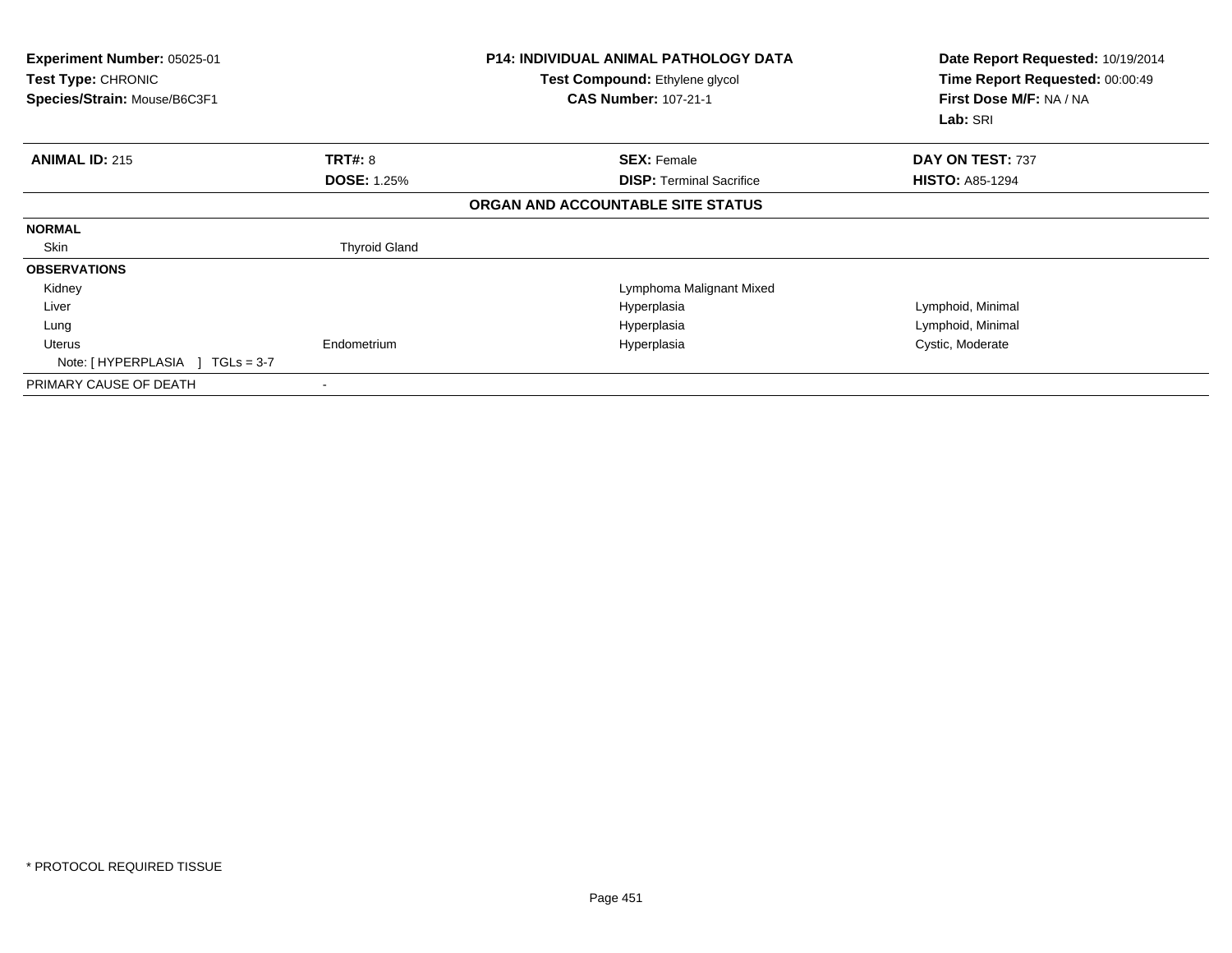| <b>Experiment Number: 05025-01</b><br>Test Type: CHRONIC<br>Species/Strain: Mouse/B6C3F1 |                      | <b>P14: INDIVIDUAL ANIMAL PATHOLOGY DATA</b><br>Test Compound: Ethylene glycol<br><b>CAS Number: 107-21-1</b> | Date Report Requested: 10/19/2014<br>Time Report Requested: 00:00:49<br>First Dose M/F: NA / NA<br>Lab: SRI |
|------------------------------------------------------------------------------------------|----------------------|---------------------------------------------------------------------------------------------------------------|-------------------------------------------------------------------------------------------------------------|
| <b>ANIMAL ID: 215</b>                                                                    | TRT#: 8              | <b>SEX: Female</b>                                                                                            | DAY ON TEST: 737                                                                                            |
|                                                                                          | <b>DOSE: 1.25%</b>   | <b>DISP:</b> Terminal Sacrifice                                                                               | <b>HISTO: A85-1294</b>                                                                                      |
|                                                                                          |                      | ORGAN AND ACCOUNTABLE SITE STATUS                                                                             |                                                                                                             |
| <b>NORMAL</b>                                                                            |                      |                                                                                                               |                                                                                                             |
| Skin                                                                                     | <b>Thyroid Gland</b> |                                                                                                               |                                                                                                             |
| <b>OBSERVATIONS</b>                                                                      |                      |                                                                                                               |                                                                                                             |
| Kidney                                                                                   |                      | Lymphoma Malignant Mixed                                                                                      |                                                                                                             |
| Liver                                                                                    |                      | Hyperplasia                                                                                                   | Lymphoid, Minimal                                                                                           |
| Lung                                                                                     |                      | Hyperplasia                                                                                                   | Lymphoid, Minimal                                                                                           |
| Uterus                                                                                   | Endometrium          | Hyperplasia                                                                                                   | Cystic, Moderate                                                                                            |
| Note: [HYPERPLASIA ]<br>$TGLs = 3-7$                                                     |                      |                                                                                                               |                                                                                                             |
| PRIMARY CAUSE OF DEATH                                                                   |                      |                                                                                                               |                                                                                                             |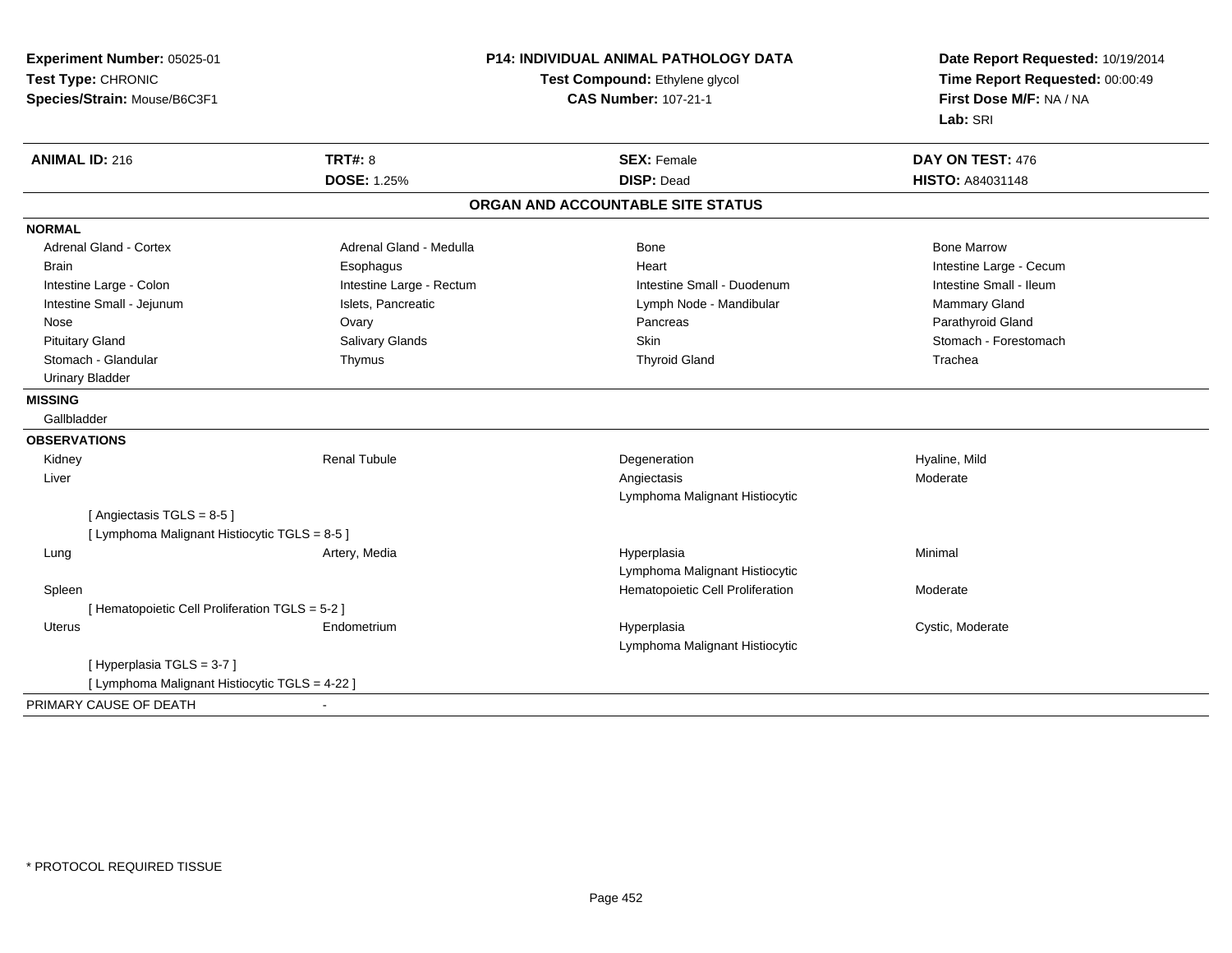| Experiment Number: 05025-01                     | <b>P14: INDIVIDUAL ANIMAL PATHOLOGY DATA</b> |                                   | Date Report Requested: 10/19/2014 |
|-------------------------------------------------|----------------------------------------------|-----------------------------------|-----------------------------------|
| Test Type: CHRONIC                              |                                              | Test Compound: Ethylene glycol    | Time Report Requested: 00:00:49   |
| Species/Strain: Mouse/B6C3F1                    |                                              | <b>CAS Number: 107-21-1</b>       | First Dose M/F: NA / NA           |
|                                                 |                                              |                                   | Lab: SRI                          |
| <b>ANIMAL ID: 216</b>                           | <b>TRT#: 8</b>                               | <b>SEX: Female</b>                | DAY ON TEST: 476                  |
|                                                 | <b>DOSE: 1.25%</b>                           | <b>DISP: Dead</b>                 | HISTO: A84031148                  |
|                                                 |                                              | ORGAN AND ACCOUNTABLE SITE STATUS |                                   |
| <b>NORMAL</b>                                   |                                              |                                   |                                   |
| <b>Adrenal Gland - Cortex</b>                   | Adrenal Gland - Medulla                      | <b>Bone</b>                       | <b>Bone Marrow</b>                |
| Brain                                           | Esophagus                                    | Heart                             | Intestine Large - Cecum           |
| Intestine Large - Colon                         | Intestine Large - Rectum                     | Intestine Small - Duodenum        | Intestine Small - Ileum           |
| Intestine Small - Jejunum                       | Islets, Pancreatic                           | Lymph Node - Mandibular           | Mammary Gland                     |
| Nose                                            | Ovary                                        | Pancreas                          | Parathyroid Gland                 |
| <b>Pituitary Gland</b>                          | Salivary Glands                              | <b>Skin</b>                       | Stomach - Forestomach             |
| Stomach - Glandular                             | Thymus                                       | <b>Thyroid Gland</b>              | Trachea                           |
| <b>Urinary Bladder</b>                          |                                              |                                   |                                   |
| <b>MISSING</b>                                  |                                              |                                   |                                   |
| Gallbladder                                     |                                              |                                   |                                   |
| <b>OBSERVATIONS</b>                             |                                              |                                   |                                   |
| Kidney                                          | <b>Renal Tubule</b>                          | Degeneration                      | Hyaline, Mild                     |
| Liver                                           |                                              | Angiectasis                       | Moderate                          |
|                                                 |                                              | Lymphoma Malignant Histiocytic    |                                   |
| [Angiectasis TGLS = 8-5]                        |                                              |                                   |                                   |
| [ Lymphoma Malignant Histiocytic TGLS = 8-5 ]   |                                              |                                   |                                   |
| Lung                                            | Artery, Media                                | Hyperplasia                       | Minimal                           |
|                                                 |                                              | Lymphoma Malignant Histiocytic    |                                   |
| Spleen                                          |                                              | Hematopoietic Cell Proliferation  | Moderate                          |
| [ Hematopoietic Cell Proliferation TGLS = 5-2 ] |                                              |                                   |                                   |
| <b>Uterus</b>                                   | Endometrium                                  | Hyperplasia                       | Cystic, Moderate                  |
|                                                 |                                              | Lymphoma Malignant Histiocytic    |                                   |
| [Hyperplasia TGLS = 3-7]                        |                                              |                                   |                                   |
| [ Lymphoma Malignant Histiocytic TGLS = 4-22 ]  |                                              |                                   |                                   |
| PRIMARY CAUSE OF DEATH                          | $\overline{\phantom{a}}$                     |                                   |                                   |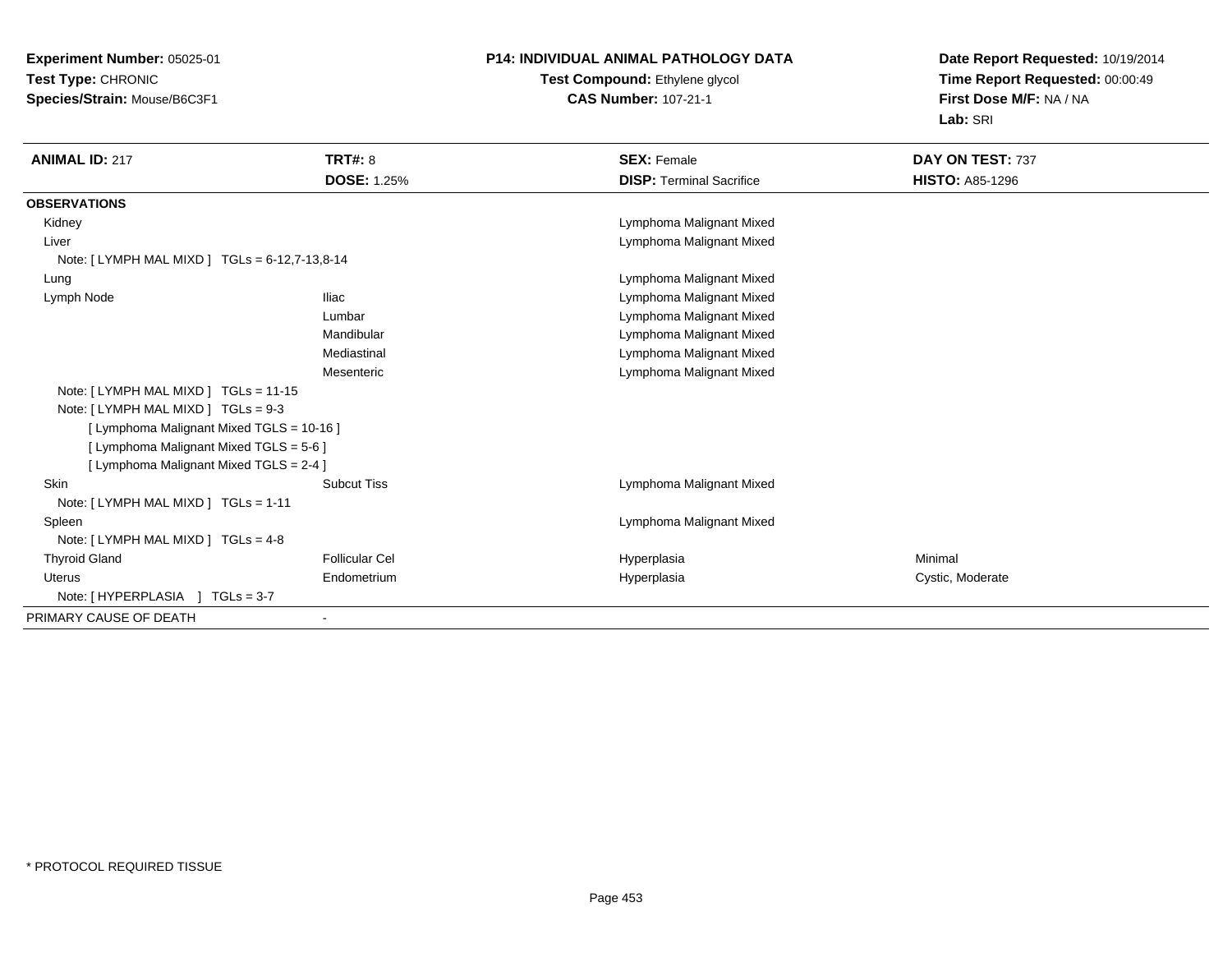**Experiment Number:** 05025-01**Test Type:** CHRONIC**Species/Strain:** Mouse/B6C3F1

## **P14: INDIVIDUAL ANIMAL PATHOLOGY DATA**

### **Test Compound:** Ethylene glycol **CAS Number:** 107-21-1

**Date Report Requested:** 10/19/2014**Time Report Requested:** 00:00:49**First Dose M/F:** NA / NA**Lab:** SRI

| <b>ANIMAL ID: 217</b>                          | TRT#: 8               | <b>SEX: Female</b>              | DAY ON TEST: 737       |
|------------------------------------------------|-----------------------|---------------------------------|------------------------|
|                                                | <b>DOSE: 1.25%</b>    | <b>DISP: Terminal Sacrifice</b> | <b>HISTO: A85-1296</b> |
| <b>OBSERVATIONS</b>                            |                       |                                 |                        |
| Kidney                                         |                       | Lymphoma Malignant Mixed        |                        |
| Liver                                          |                       | Lymphoma Malignant Mixed        |                        |
| Note: [ LYMPH MAL MIXD ] TGLs = 6-12,7-13,8-14 |                       |                                 |                        |
| Lung                                           |                       | Lymphoma Malignant Mixed        |                        |
| Lymph Node                                     | <b>Iliac</b>          | Lymphoma Malignant Mixed        |                        |
|                                                | Lumbar                | Lymphoma Malignant Mixed        |                        |
|                                                | Mandibular            | Lymphoma Malignant Mixed        |                        |
|                                                | Mediastinal           | Lymphoma Malignant Mixed        |                        |
|                                                | Mesenteric            | Lymphoma Malignant Mixed        |                        |
| Note: [ LYMPH MAL MIXD ] TGLs = 11-15          |                       |                                 |                        |
| Note: [LYMPH MAL MIXD ] TGLs = 9-3             |                       |                                 |                        |
| [ Lymphoma Malignant Mixed TGLS = 10-16 ]      |                       |                                 |                        |
| [ Lymphoma Malignant Mixed TGLS = 5-6 ]        |                       |                                 |                        |
| [ Lymphoma Malignant Mixed TGLS = 2-4 ]        |                       |                                 |                        |
| Skin                                           | <b>Subcut Tiss</b>    | Lymphoma Malignant Mixed        |                        |
| Note: [LYMPH MAL MIXD ] TGLs = 1-11            |                       |                                 |                        |
| Spleen                                         |                       | Lymphoma Malignant Mixed        |                        |
| Note: [LYMPH MAL MIXD ] TGLs = 4-8             |                       |                                 |                        |
| <b>Thyroid Gland</b>                           | <b>Follicular Cel</b> | Hyperplasia                     | Minimal                |
| Uterus                                         | Endometrium           | Hyperplasia                     | Cystic, Moderate       |
| Note: [HYPERPLASIA ] TGLs = 3-7                |                       |                                 |                        |
| PRIMARY CAUSE OF DEATH                         |                       |                                 |                        |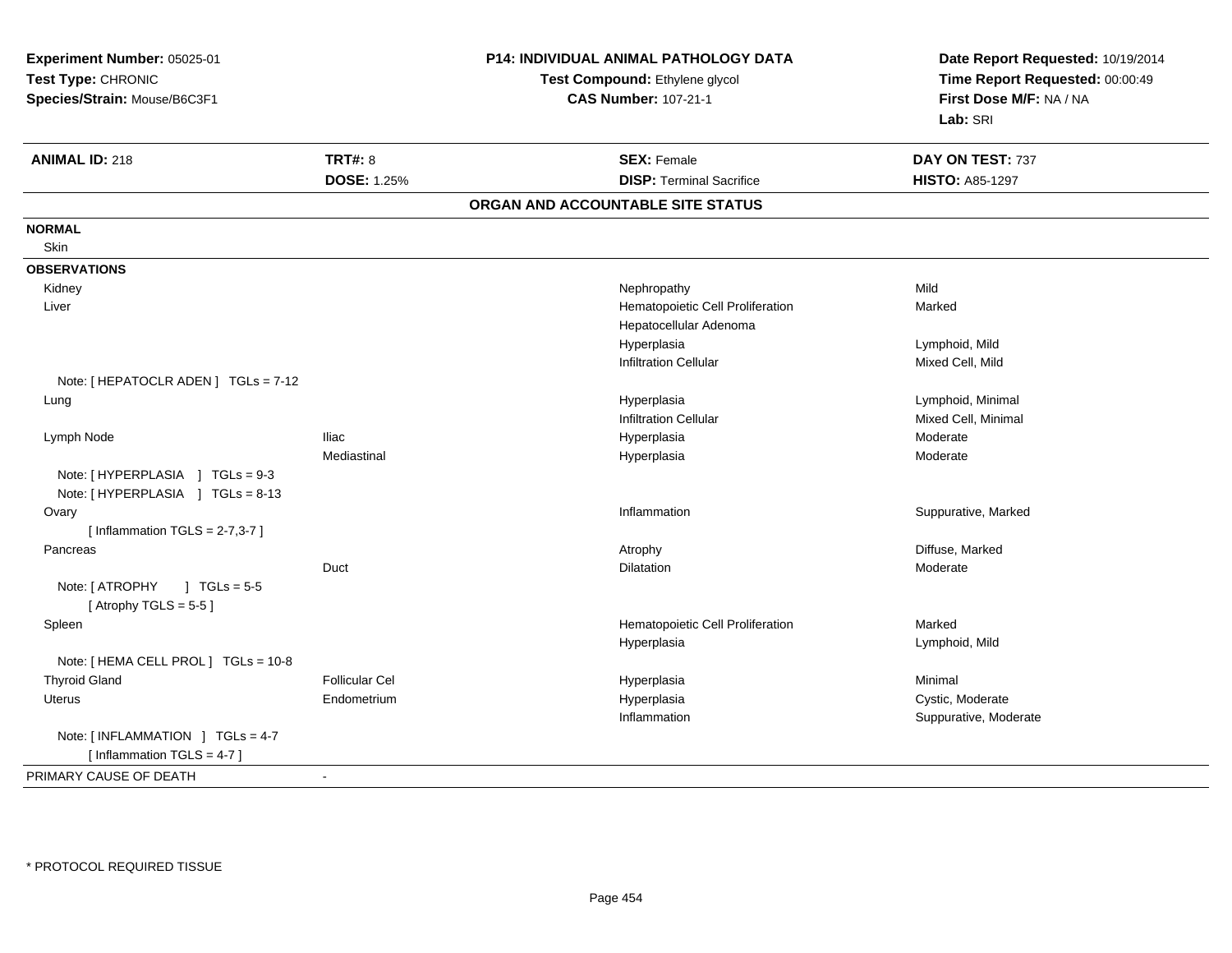| Experiment Number: 05025-01<br>Test Type: CHRONIC<br>Species/Strain: Mouse/B6C3F1 |                       | P14: INDIVIDUAL ANIMAL PATHOLOGY DATA<br>Test Compound: Ethylene glycol<br><b>CAS Number: 107-21-1</b> | Date Report Requested: 10/19/2014<br>Time Report Requested: 00:00:49<br>First Dose M/F: NA / NA<br>Lab: SRI |
|-----------------------------------------------------------------------------------|-----------------------|--------------------------------------------------------------------------------------------------------|-------------------------------------------------------------------------------------------------------------|
| <b>ANIMAL ID: 218</b>                                                             | <b>TRT#: 8</b>        | <b>SEX: Female</b>                                                                                     | DAY ON TEST: 737                                                                                            |
|                                                                                   | DOSE: 1.25%           | <b>DISP: Terminal Sacrifice</b>                                                                        | <b>HISTO: A85-1297</b>                                                                                      |
|                                                                                   |                       | ORGAN AND ACCOUNTABLE SITE STATUS                                                                      |                                                                                                             |
| <b>NORMAL</b>                                                                     |                       |                                                                                                        |                                                                                                             |
| Skin                                                                              |                       |                                                                                                        |                                                                                                             |
| <b>OBSERVATIONS</b>                                                               |                       |                                                                                                        |                                                                                                             |
| Kidney                                                                            |                       | Nephropathy                                                                                            | Mild                                                                                                        |
| Liver                                                                             |                       | Hematopoietic Cell Proliferation                                                                       | Marked                                                                                                      |
|                                                                                   |                       | Hepatocellular Adenoma                                                                                 |                                                                                                             |
|                                                                                   |                       | Hyperplasia                                                                                            | Lymphoid, Mild                                                                                              |
|                                                                                   |                       | <b>Infiltration Cellular</b>                                                                           | Mixed Cell, Mild                                                                                            |
| Note: [ HEPATOCLR ADEN ] TGLs = 7-12                                              |                       |                                                                                                        |                                                                                                             |
| Lung                                                                              |                       | Hyperplasia                                                                                            | Lymphoid, Minimal                                                                                           |
|                                                                                   |                       | <b>Infiltration Cellular</b>                                                                           | Mixed Cell, Minimal                                                                                         |
| Lymph Node                                                                        | <b>Iliac</b>          | Hyperplasia                                                                                            | Moderate                                                                                                    |
| Note: [HYPERPLASIA ] TGLs = 9-3<br>Note: [HYPERPLASIA ] TGLs = 8-13               | Mediastinal           | Hyperplasia                                                                                            | Moderate                                                                                                    |
| Ovary<br>[Inflammation TGLS = $2-7,3-7$ ]                                         |                       | Inflammation                                                                                           | Suppurative, Marked                                                                                         |
| Pancreas                                                                          |                       | Atrophy                                                                                                | Diffuse, Marked                                                                                             |
|                                                                                   | Duct                  | Dilatation                                                                                             | Moderate                                                                                                    |
| Note: [ ATROPHY<br>$1 TGLs = 5-5$<br>[Atrophy TGLS = $5-5$ ]                      |                       |                                                                                                        |                                                                                                             |
| Spleen                                                                            |                       | Hematopoietic Cell Proliferation                                                                       | Marked                                                                                                      |
|                                                                                   |                       | Hyperplasia                                                                                            | Lymphoid, Mild                                                                                              |
| Note: [ HEMA CELL PROL ] TGLs = 10-8                                              |                       |                                                                                                        |                                                                                                             |
| <b>Thyroid Gland</b>                                                              | <b>Follicular Cel</b> | Hyperplasia                                                                                            | Minimal                                                                                                     |
| <b>Uterus</b>                                                                     | Endometrium           | Hyperplasia                                                                                            | Cystic, Moderate                                                                                            |
|                                                                                   |                       | Inflammation                                                                                           | Suppurative, Moderate                                                                                       |
| Note: [INFLAMMATION ] TGLs = 4-7<br>[Inflammation TGLS = $4-7$ ]                  |                       |                                                                                                        |                                                                                                             |
| PRIMARY CAUSE OF DEATH                                                            |                       |                                                                                                        |                                                                                                             |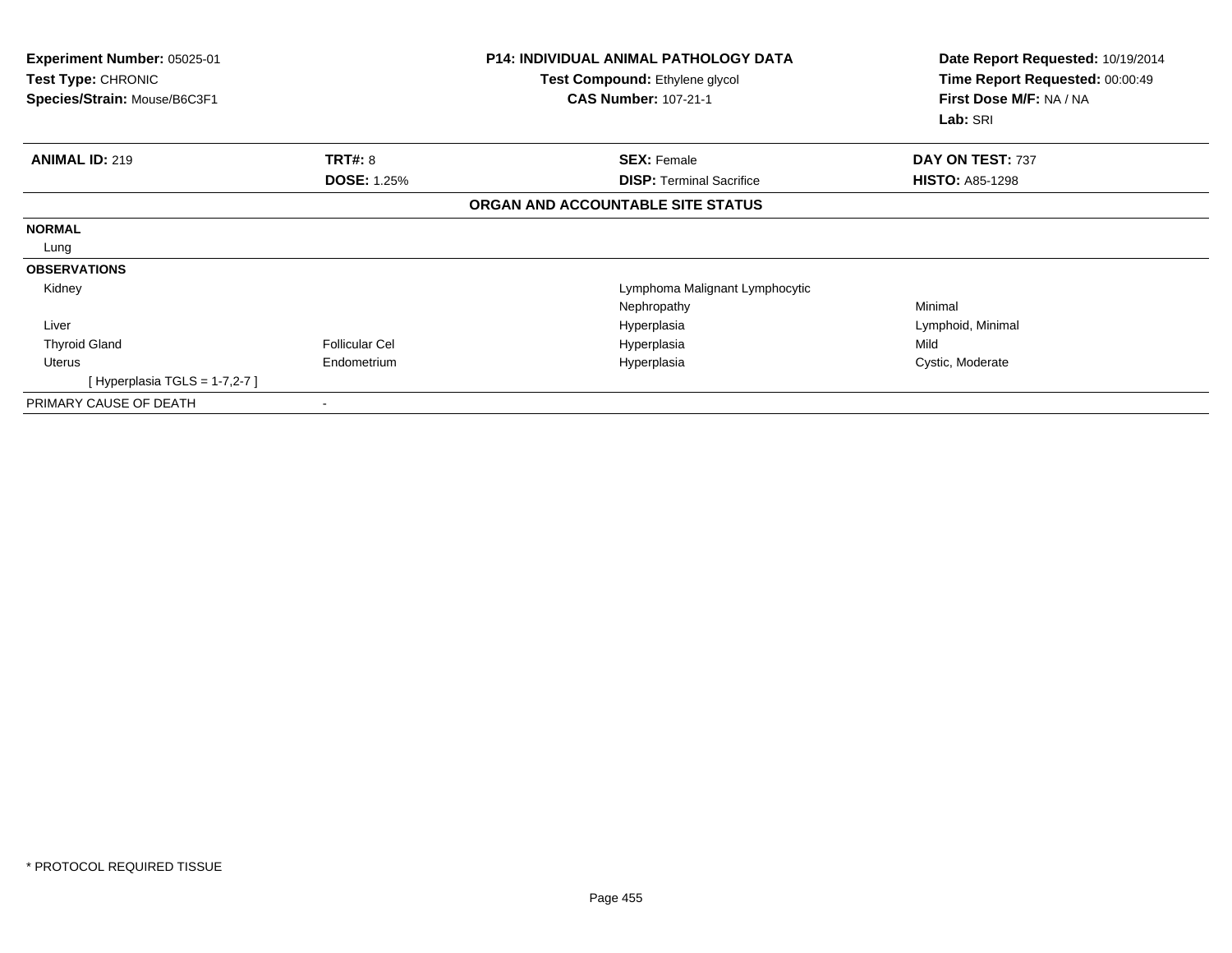| Experiment Number: 05025-01<br>Test Type: CHRONIC<br>Species/Strain: Mouse/B6C3F1 |                       | <b>P14: INDIVIDUAL ANIMAL PATHOLOGY DATA</b><br>Test Compound: Ethylene glycol<br><b>CAS Number: 107-21-1</b> | Date Report Requested: 10/19/2014<br>Time Report Requested: 00:00:49<br>First Dose M/F: NA / NA<br>Lab: SRI |
|-----------------------------------------------------------------------------------|-----------------------|---------------------------------------------------------------------------------------------------------------|-------------------------------------------------------------------------------------------------------------|
| <b>ANIMAL ID: 219</b>                                                             | <b>TRT#: 8</b>        | <b>SEX: Female</b>                                                                                            | DAY ON TEST: 737                                                                                            |
|                                                                                   | <b>DOSE: 1.25%</b>    | <b>DISP:</b> Terminal Sacrifice                                                                               | <b>HISTO: A85-1298</b>                                                                                      |
|                                                                                   |                       | ORGAN AND ACCOUNTABLE SITE STATUS                                                                             |                                                                                                             |
| <b>NORMAL</b>                                                                     |                       |                                                                                                               |                                                                                                             |
| Lung                                                                              |                       |                                                                                                               |                                                                                                             |
| <b>OBSERVATIONS</b>                                                               |                       |                                                                                                               |                                                                                                             |
| Kidney                                                                            |                       | Lymphoma Malignant Lymphocytic                                                                                |                                                                                                             |
|                                                                                   |                       | Nephropathy                                                                                                   | Minimal                                                                                                     |
| Liver                                                                             |                       | Hyperplasia                                                                                                   | Lymphoid, Minimal                                                                                           |
| <b>Thyroid Gland</b>                                                              | <b>Follicular Cel</b> | Hyperplasia                                                                                                   | Mild                                                                                                        |
| Uterus                                                                            | Endometrium           | Hyperplasia                                                                                                   | Cystic, Moderate                                                                                            |
| [Hyperplasia TGLS = $1-7,2-7$ ]                                                   |                       |                                                                                                               |                                                                                                             |
| PRIMARY CAUSE OF DEATH                                                            |                       |                                                                                                               |                                                                                                             |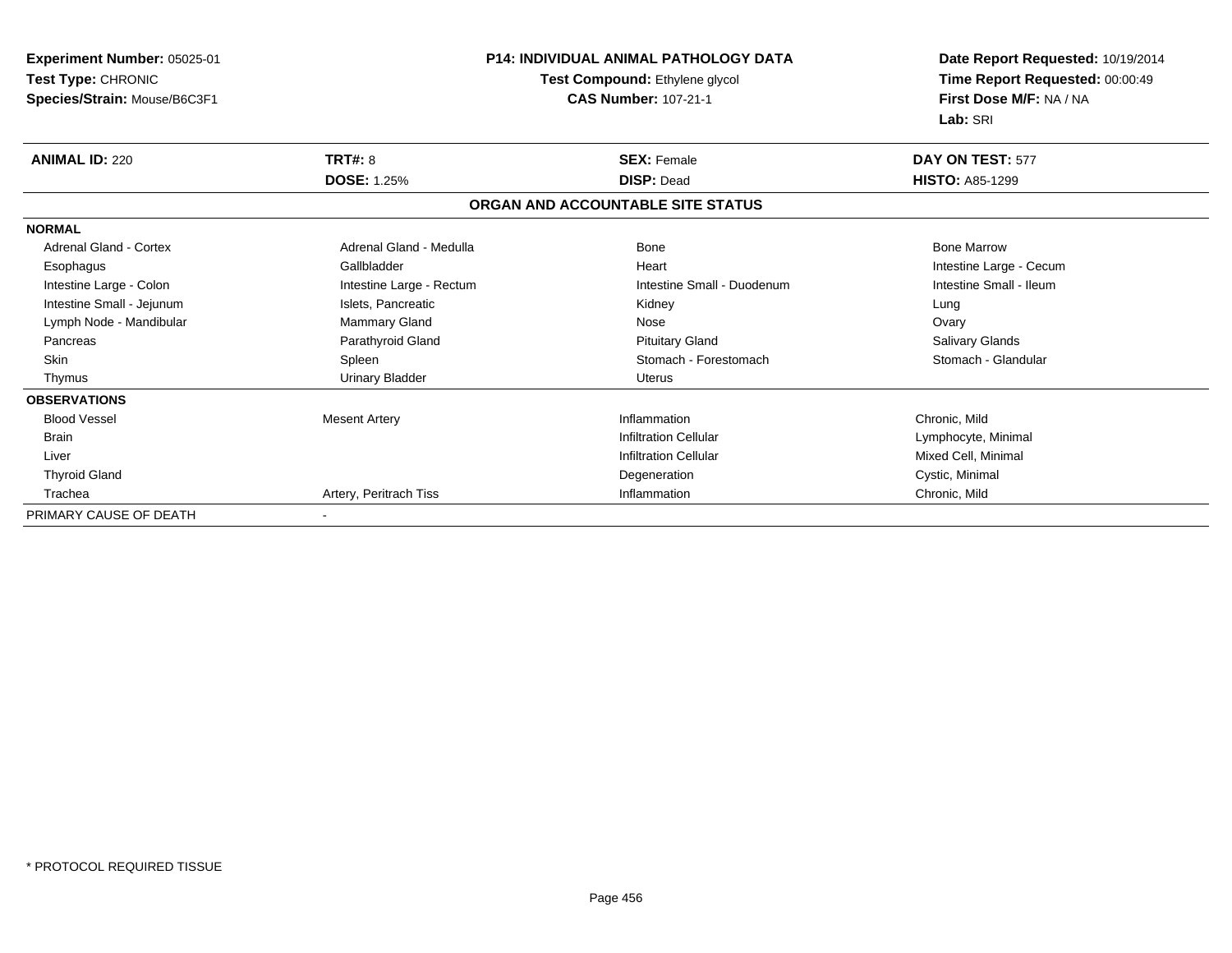| Experiment Number: 05025-01   |                          | <b>P14: INDIVIDUAL ANIMAL PATHOLOGY DATA</b> | Date Report Requested: 10/19/2014 |
|-------------------------------|--------------------------|----------------------------------------------|-----------------------------------|
| Test Type: CHRONIC            |                          | Test Compound: Ethylene glycol               | Time Report Requested: 00:00:49   |
| Species/Strain: Mouse/B6C3F1  |                          | <b>CAS Number: 107-21-1</b>                  | First Dose M/F: NA / NA           |
|                               |                          |                                              | Lab: SRI                          |
| <b>ANIMAL ID: 220</b>         | TRT#: 8                  | <b>SEX: Female</b>                           | DAY ON TEST: 577                  |
|                               | <b>DOSE: 1.25%</b>       | <b>DISP: Dead</b>                            | <b>HISTO: A85-1299</b>            |
|                               |                          | ORGAN AND ACCOUNTABLE SITE STATUS            |                                   |
| <b>NORMAL</b>                 |                          |                                              |                                   |
| <b>Adrenal Gland - Cortex</b> | Adrenal Gland - Medulla  | Bone                                         | <b>Bone Marrow</b>                |
| Esophagus                     | Gallbladder              | Heart                                        | Intestine Large - Cecum           |
| Intestine Large - Colon       | Intestine Large - Rectum | Intestine Small - Duodenum                   | Intestine Small - Ileum           |
| Intestine Small - Jejunum     | Islets, Pancreatic       | Kidney                                       | Lung                              |
| Lymph Node - Mandibular       | Mammary Gland            | Nose                                         | Ovary                             |
| Pancreas                      | Parathyroid Gland        | <b>Pituitary Gland</b>                       | Salivary Glands                   |
| <b>Skin</b>                   | Spleen                   | Stomach - Forestomach                        | Stomach - Glandular               |
| Thymus                        | <b>Urinary Bladder</b>   | Uterus                                       |                                   |
| <b>OBSERVATIONS</b>           |                          |                                              |                                   |
| <b>Blood Vessel</b>           | <b>Mesent Artery</b>     | Inflammation                                 | Chronic, Mild                     |
| <b>Brain</b>                  |                          | <b>Infiltration Cellular</b>                 | Lymphocyte, Minimal               |
| Liver                         |                          | <b>Infiltration Cellular</b>                 | Mixed Cell, Minimal               |
| <b>Thyroid Gland</b>          |                          | Degeneration                                 | Cystic, Minimal                   |
| Trachea                       | Artery, Peritrach Tiss   | Inflammation                                 | Chronic, Mild                     |
| PRIMARY CAUSE OF DEATH        |                          |                                              |                                   |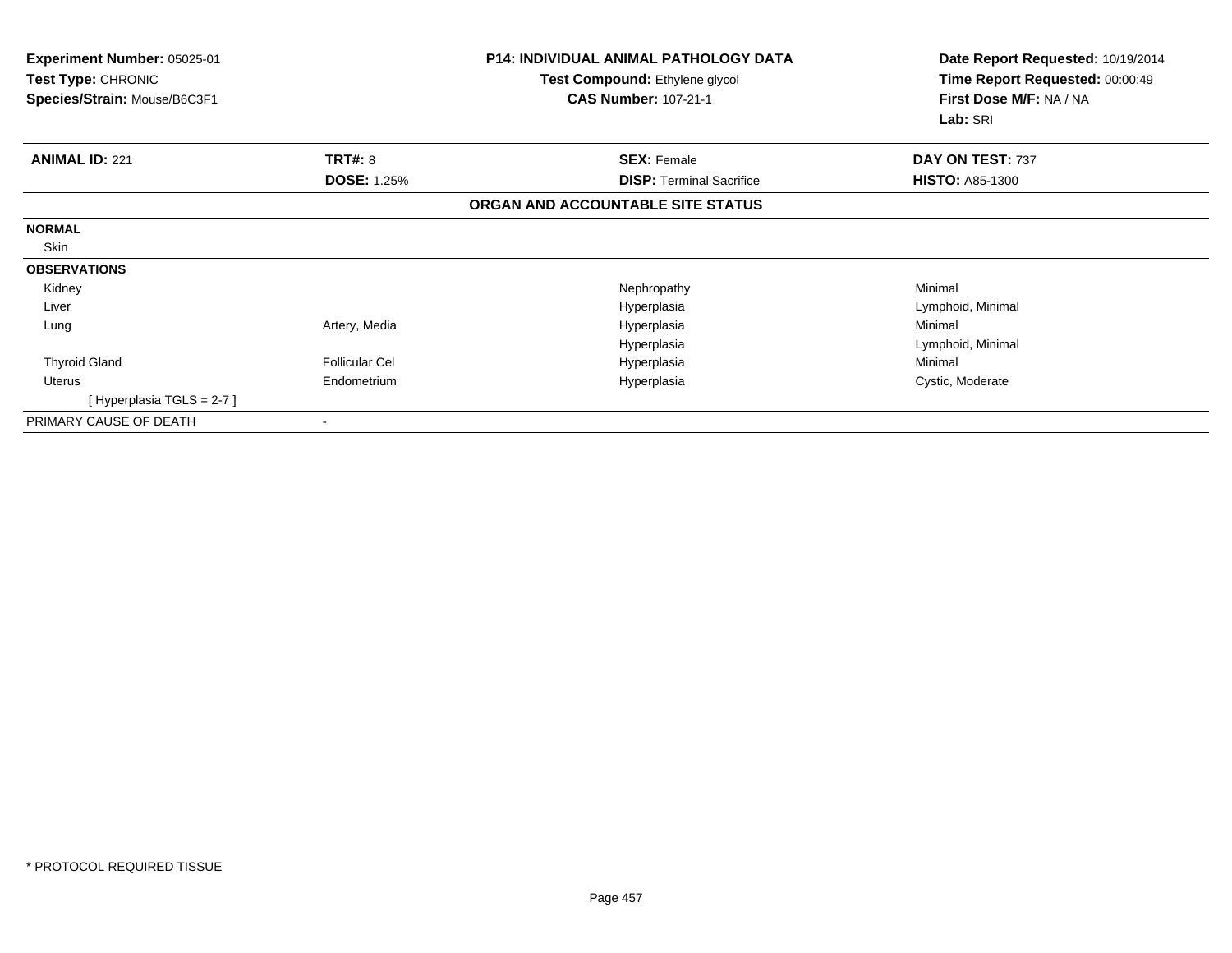| Experiment Number: 05025-01<br><b>Test Type: CHRONIC</b><br>Species/Strain: Mouse/B6C3F1 |                       | <b>P14: INDIVIDUAL ANIMAL PATHOLOGY DATA</b><br>Test Compound: Ethylene glycol<br><b>CAS Number: 107-21-1</b> | Date Report Requested: 10/19/2014<br>Time Report Requested: 00:00:49<br>First Dose M/F: NA / NA<br>Lab: SRI |  |
|------------------------------------------------------------------------------------------|-----------------------|---------------------------------------------------------------------------------------------------------------|-------------------------------------------------------------------------------------------------------------|--|
| <b>ANIMAL ID: 221</b>                                                                    | TRT#: 8               | <b>SEX: Female</b>                                                                                            | DAY ON TEST: 737                                                                                            |  |
|                                                                                          | <b>DOSE: 1.25%</b>    | <b>DISP: Terminal Sacrifice</b>                                                                               | <b>HISTO: A85-1300</b>                                                                                      |  |
|                                                                                          |                       | ORGAN AND ACCOUNTABLE SITE STATUS                                                                             |                                                                                                             |  |
| <b>NORMAL</b>                                                                            |                       |                                                                                                               |                                                                                                             |  |
| Skin                                                                                     |                       |                                                                                                               |                                                                                                             |  |
| <b>OBSERVATIONS</b>                                                                      |                       |                                                                                                               |                                                                                                             |  |
| Kidney                                                                                   |                       | Nephropathy                                                                                                   | Minimal                                                                                                     |  |
| Liver                                                                                    |                       | Hyperplasia                                                                                                   | Lymphoid, Minimal                                                                                           |  |
| Lung                                                                                     | Artery, Media         | Hyperplasia                                                                                                   | Minimal                                                                                                     |  |
|                                                                                          |                       | Hyperplasia                                                                                                   | Lymphoid, Minimal                                                                                           |  |
| <b>Thyroid Gland</b>                                                                     | <b>Follicular Cel</b> | Hyperplasia                                                                                                   | Minimal                                                                                                     |  |
| <b>Uterus</b>                                                                            | Endometrium           | Hyperplasia                                                                                                   | Cystic, Moderate                                                                                            |  |
| [Hyperplasia TGLS = 2-7]                                                                 |                       |                                                                                                               |                                                                                                             |  |
| PRIMARY CAUSE OF DEATH                                                                   |                       |                                                                                                               |                                                                                                             |  |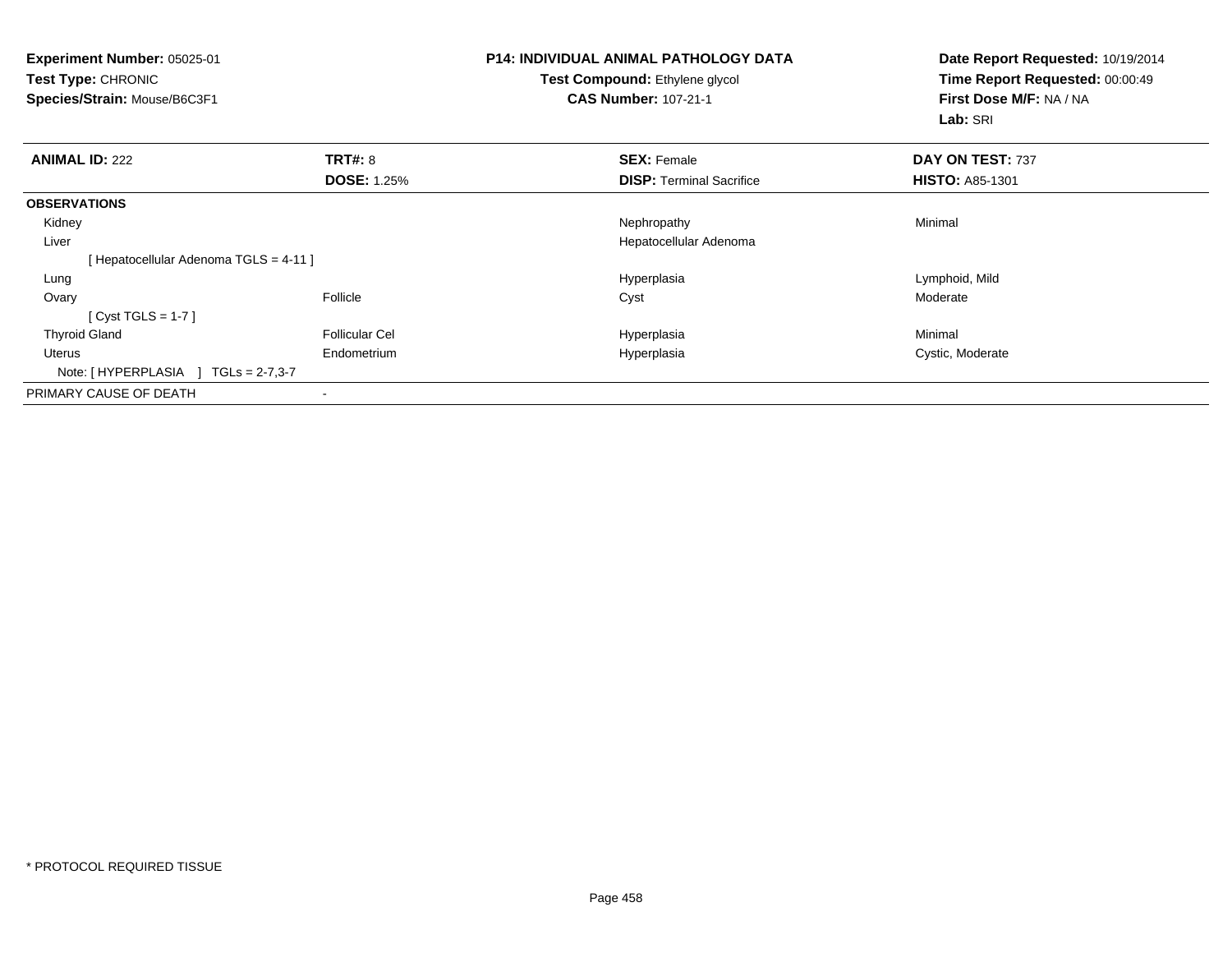| <b>Experiment Number: 05025-01</b><br><b>Test Type: CHRONIC</b><br>Species/Strain: Mouse/B6C3F1 |                       | P14: INDIVIDUAL ANIMAL PATHOLOGY DATA<br><b>Test Compound: Ethylene glycol</b><br><b>CAS Number: 107-21-1</b> | Date Report Requested: 10/19/2014<br>Time Report Requested: 00:00:49<br>First Dose M/F: NA / NA<br>Lab: SRI |
|-------------------------------------------------------------------------------------------------|-----------------------|---------------------------------------------------------------------------------------------------------------|-------------------------------------------------------------------------------------------------------------|
| <b>ANIMAL ID: 222</b>                                                                           | <b>TRT#: 8</b>        | <b>SEX: Female</b>                                                                                            | DAY ON TEST: 737                                                                                            |
|                                                                                                 | <b>DOSE: 1.25%</b>    | <b>DISP: Terminal Sacrifice</b>                                                                               | <b>HISTO: A85-1301</b>                                                                                      |
| <b>OBSERVATIONS</b>                                                                             |                       |                                                                                                               |                                                                                                             |
| Kidney                                                                                          |                       | Nephropathy                                                                                                   | Minimal                                                                                                     |
| Liver                                                                                           |                       | Hepatocellular Adenoma                                                                                        |                                                                                                             |
| [Hepatocellular Adenoma TGLS = 4-11]                                                            |                       |                                                                                                               |                                                                                                             |
| Lung                                                                                            |                       | Hyperplasia                                                                                                   | Lymphoid, Mild                                                                                              |
| Ovary                                                                                           | Follicle              | Cyst                                                                                                          | Moderate                                                                                                    |
| [Cyst TGLS = 1-7]                                                                               |                       |                                                                                                               |                                                                                                             |
| <b>Thyroid Gland</b>                                                                            | <b>Follicular Cel</b> | Hyperplasia                                                                                                   | Minimal                                                                                                     |
| Uterus                                                                                          | Endometrium           | Hyperplasia                                                                                                   | Cystic, Moderate                                                                                            |
| Note: [HYPERPLASIA ]<br>$TGLs = 2-7,3-7$                                                        |                       |                                                                                                               |                                                                                                             |
| PRIMARY CAUSE OF DEATH                                                                          |                       |                                                                                                               |                                                                                                             |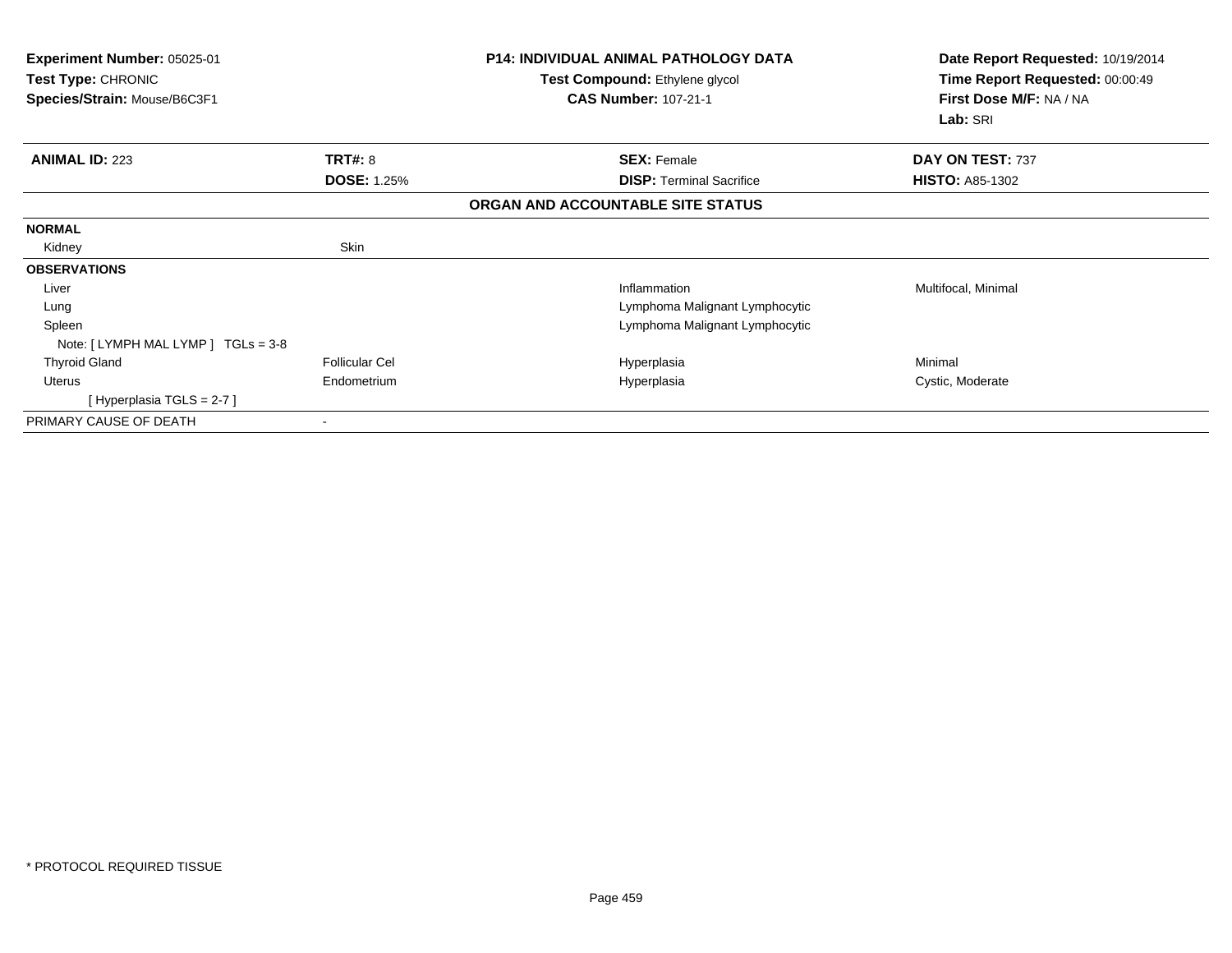| Experiment Number: 05025-01<br><b>Test Type: CHRONIC</b><br>Species/Strain: Mouse/B6C3F1 |                       | <b>P14: INDIVIDUAL ANIMAL PATHOLOGY DATA</b><br>Test Compound: Ethylene glycol<br><b>CAS Number: 107-21-1</b> | Date Report Requested: 10/19/2014<br>Time Report Requested: 00:00:49<br>First Dose M/F: NA / NA<br>Lab: SRI |
|------------------------------------------------------------------------------------------|-----------------------|---------------------------------------------------------------------------------------------------------------|-------------------------------------------------------------------------------------------------------------|
| <b>ANIMAL ID: 223</b>                                                                    | TRT#: 8               | <b>SEX: Female</b>                                                                                            | DAY ON TEST: 737                                                                                            |
|                                                                                          | <b>DOSE: 1.25%</b>    | <b>DISP: Terminal Sacrifice</b>                                                                               | <b>HISTO: A85-1302</b>                                                                                      |
|                                                                                          |                       | ORGAN AND ACCOUNTABLE SITE STATUS                                                                             |                                                                                                             |
| <b>NORMAL</b>                                                                            |                       |                                                                                                               |                                                                                                             |
| Kidney                                                                                   | Skin                  |                                                                                                               |                                                                                                             |
| <b>OBSERVATIONS</b>                                                                      |                       |                                                                                                               |                                                                                                             |
| Liver                                                                                    |                       | Inflammation                                                                                                  | Multifocal, Minimal                                                                                         |
| Lung                                                                                     |                       | Lymphoma Malignant Lymphocytic                                                                                |                                                                                                             |
| Spleen                                                                                   |                       | Lymphoma Malignant Lymphocytic                                                                                |                                                                                                             |
| Note: [LYMPH MAL LYMP ] TGLs = 3-8                                                       |                       |                                                                                                               |                                                                                                             |
| <b>Thyroid Gland</b>                                                                     | <b>Follicular Cel</b> | Hyperplasia                                                                                                   | Minimal                                                                                                     |
| Uterus                                                                                   | Endometrium           | Hyperplasia                                                                                                   | Cystic, Moderate                                                                                            |
| [Hyperplasia TGLS = 2-7]                                                                 |                       |                                                                                                               |                                                                                                             |
| PRIMARY CAUSE OF DEATH                                                                   |                       |                                                                                                               |                                                                                                             |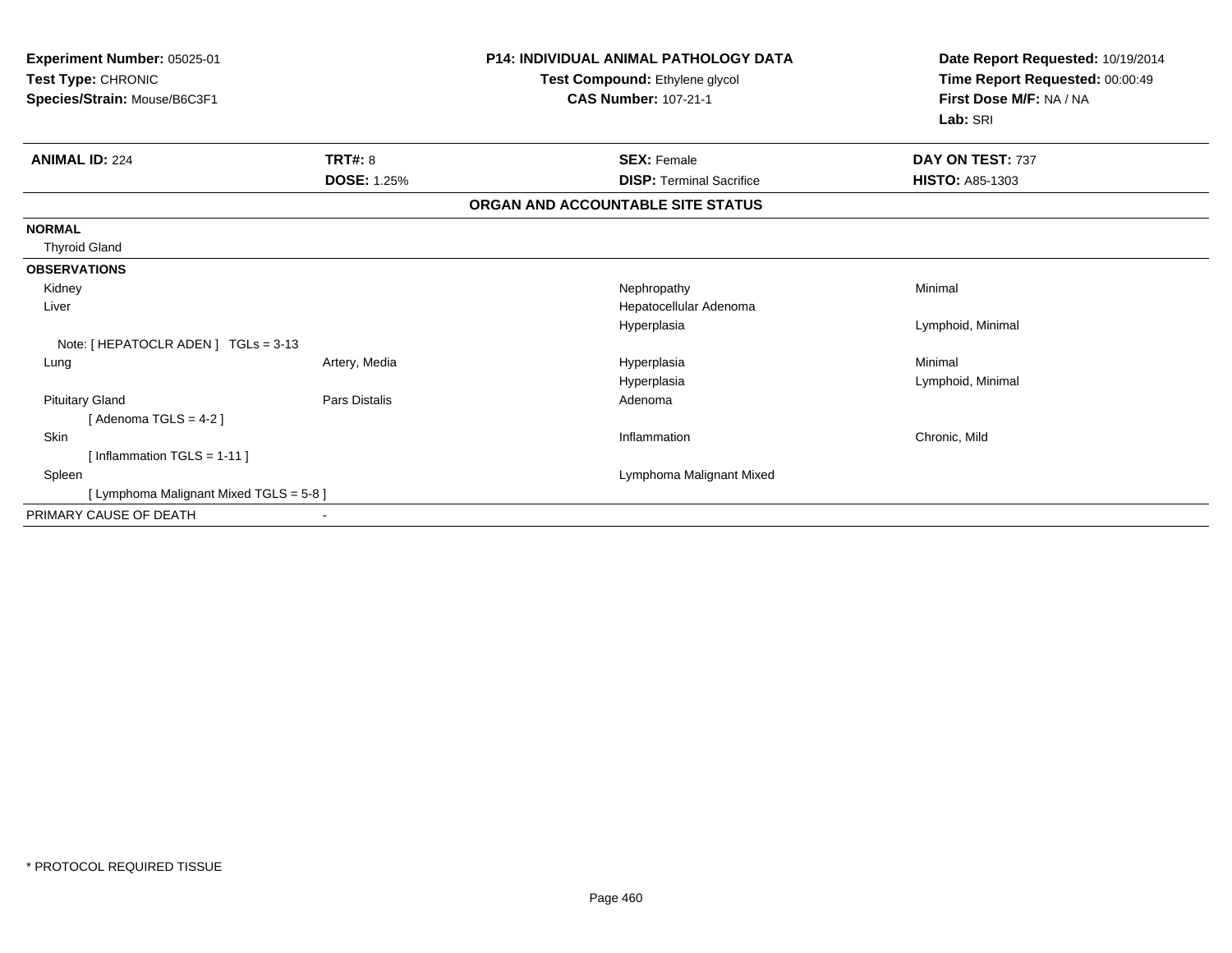| Experiment Number: 05025-01<br>Test Type: CHRONIC<br>Species/Strain: Mouse/B6C3F1 |                      | <b>P14: INDIVIDUAL ANIMAL PATHOLOGY DATA</b><br>Test Compound: Ethylene glycol<br><b>CAS Number: 107-21-1</b> | Date Report Requested: 10/19/2014<br>Time Report Requested: 00:00:49<br>First Dose M/F: NA / NA<br>Lab: SRI |
|-----------------------------------------------------------------------------------|----------------------|---------------------------------------------------------------------------------------------------------------|-------------------------------------------------------------------------------------------------------------|
| <b>ANIMAL ID: 224</b>                                                             | TRT#: 8              | <b>SEX: Female</b>                                                                                            | DAY ON TEST: 737                                                                                            |
|                                                                                   | <b>DOSE: 1.25%</b>   | <b>DISP:</b> Terminal Sacrifice                                                                               | <b>HISTO: A85-1303</b>                                                                                      |
|                                                                                   |                      | ORGAN AND ACCOUNTABLE SITE STATUS                                                                             |                                                                                                             |
| <b>NORMAL</b><br><b>Thyroid Gland</b>                                             |                      |                                                                                                               |                                                                                                             |
| <b>OBSERVATIONS</b>                                                               |                      |                                                                                                               |                                                                                                             |
| Kidney                                                                            |                      | Nephropathy                                                                                                   | Minimal                                                                                                     |
| Liver                                                                             |                      | Hepatocellular Adenoma                                                                                        |                                                                                                             |
|                                                                                   |                      | Hyperplasia                                                                                                   | Lymphoid, Minimal                                                                                           |
| Note: [ HEPATOCLR ADEN ] TGLs = 3-13                                              |                      |                                                                                                               |                                                                                                             |
| Lung                                                                              | Artery, Media        | Hyperplasia                                                                                                   | Minimal                                                                                                     |
|                                                                                   |                      | Hyperplasia                                                                                                   | Lymphoid, Minimal                                                                                           |
| <b>Pituitary Gland</b>                                                            | <b>Pars Distalis</b> | Adenoma                                                                                                       |                                                                                                             |
| [Adenoma TGLS = $4-2$ ]                                                           |                      |                                                                                                               |                                                                                                             |
| <b>Skin</b>                                                                       |                      | Inflammation                                                                                                  | Chronic, Mild                                                                                               |
| [Inflammation TGLS = $1-11$ ]                                                     |                      |                                                                                                               |                                                                                                             |
| Spleen                                                                            |                      | Lymphoma Malignant Mixed                                                                                      |                                                                                                             |
| [ Lymphoma Malignant Mixed TGLS = 5-8 ]                                           |                      |                                                                                                               |                                                                                                             |
| PRIMARY CAUSE OF DEATH                                                            |                      |                                                                                                               |                                                                                                             |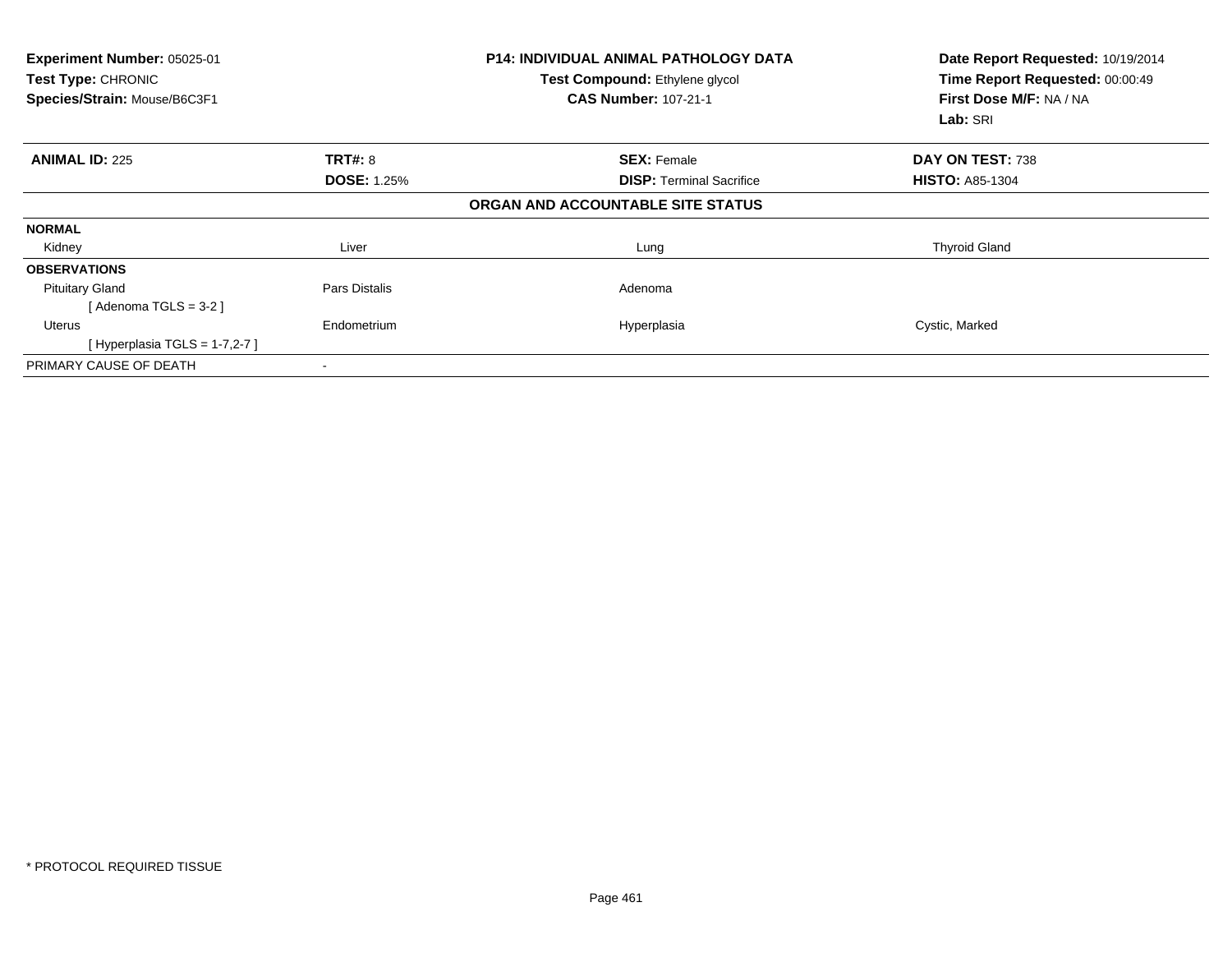| Experiment Number: 05025-01<br>Test Type: CHRONIC<br>Species/Strain: Mouse/B6C3F1 |                    | <b>P14: INDIVIDUAL ANIMAL PATHOLOGY DATA</b><br>Test Compound: Ethylene glycol<br><b>CAS Number: 107-21-1</b> | Date Report Requested: 10/19/2014<br>Time Report Requested: 00:00:49<br>First Dose M/F: NA / NA<br>Lab: SRI |
|-----------------------------------------------------------------------------------|--------------------|---------------------------------------------------------------------------------------------------------------|-------------------------------------------------------------------------------------------------------------|
| <b>ANIMAL ID: 225</b>                                                             | <b>TRT#: 8</b>     | <b>SEX: Female</b>                                                                                            | DAY ON TEST: 738                                                                                            |
|                                                                                   | <b>DOSE: 1.25%</b> | <b>DISP:</b> Terminal Sacrifice                                                                               | <b>HISTO: A85-1304</b>                                                                                      |
|                                                                                   |                    | ORGAN AND ACCOUNTABLE SITE STATUS                                                                             |                                                                                                             |
| <b>NORMAL</b>                                                                     |                    |                                                                                                               |                                                                                                             |
| Kidney                                                                            | Liver              | Lung                                                                                                          | <b>Thyroid Gland</b>                                                                                        |
| <b>OBSERVATIONS</b>                                                               |                    |                                                                                                               |                                                                                                             |
| <b>Pituitary Gland</b>                                                            | Pars Distalis      | Adenoma                                                                                                       |                                                                                                             |
| [Adenoma TGLS = $3-2$ ]                                                           |                    |                                                                                                               |                                                                                                             |
| Uterus                                                                            | Endometrium        | Hyperplasia                                                                                                   | Cystic, Marked                                                                                              |
| [Hyperplasia TGLS = $1-7,2-7$ ]                                                   |                    |                                                                                                               |                                                                                                             |
| PRIMARY CAUSE OF DEATH                                                            |                    |                                                                                                               |                                                                                                             |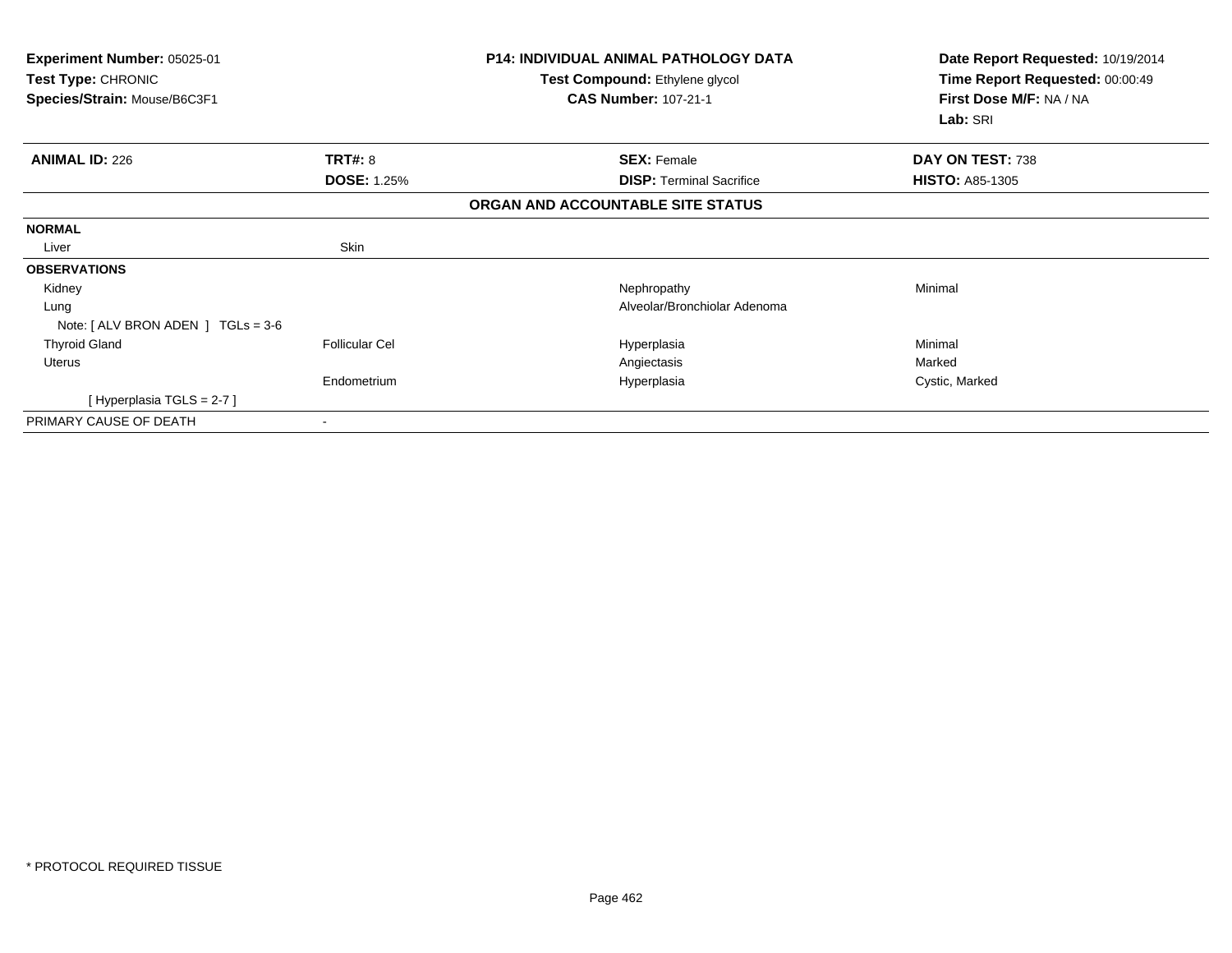| Experiment Number: 05025-01<br>Test Type: CHRONIC<br>Species/Strain: Mouse/B6C3F1 |                       | <b>P14: INDIVIDUAL ANIMAL PATHOLOGY DATA</b><br>Test Compound: Ethylene glycol<br><b>CAS Number: 107-21-1</b> | Date Report Requested: 10/19/2014<br>Time Report Requested: 00:00:49<br>First Dose M/F: NA / NA<br>Lab: SRI |
|-----------------------------------------------------------------------------------|-----------------------|---------------------------------------------------------------------------------------------------------------|-------------------------------------------------------------------------------------------------------------|
| <b>ANIMAL ID: 226</b>                                                             | <b>TRT#: 8</b>        | <b>SEX: Female</b>                                                                                            | DAY ON TEST: 738                                                                                            |
|                                                                                   | <b>DOSE: 1.25%</b>    | <b>DISP: Terminal Sacrifice</b>                                                                               | <b>HISTO: A85-1305</b>                                                                                      |
|                                                                                   |                       | ORGAN AND ACCOUNTABLE SITE STATUS                                                                             |                                                                                                             |
| <b>NORMAL</b>                                                                     |                       |                                                                                                               |                                                                                                             |
| Liver                                                                             | Skin                  |                                                                                                               |                                                                                                             |
| <b>OBSERVATIONS</b>                                                               |                       |                                                                                                               |                                                                                                             |
| Kidney                                                                            |                       | Nephropathy                                                                                                   | Minimal                                                                                                     |
| Lung                                                                              |                       | Alveolar/Bronchiolar Adenoma                                                                                  |                                                                                                             |
| Note: $\lceil$ ALV BRON ADEN $\lceil$ TGLs = 3-6                                  |                       |                                                                                                               |                                                                                                             |
| <b>Thyroid Gland</b>                                                              | <b>Follicular Cel</b> | Hyperplasia                                                                                                   | Minimal                                                                                                     |
| Uterus                                                                            |                       | Angiectasis                                                                                                   | Marked                                                                                                      |
|                                                                                   | Endometrium           | Hyperplasia                                                                                                   | Cystic, Marked                                                                                              |
| [Hyperplasia TGLS = $2-7$ ]                                                       |                       |                                                                                                               |                                                                                                             |
| PRIMARY CAUSE OF DEATH                                                            |                       |                                                                                                               |                                                                                                             |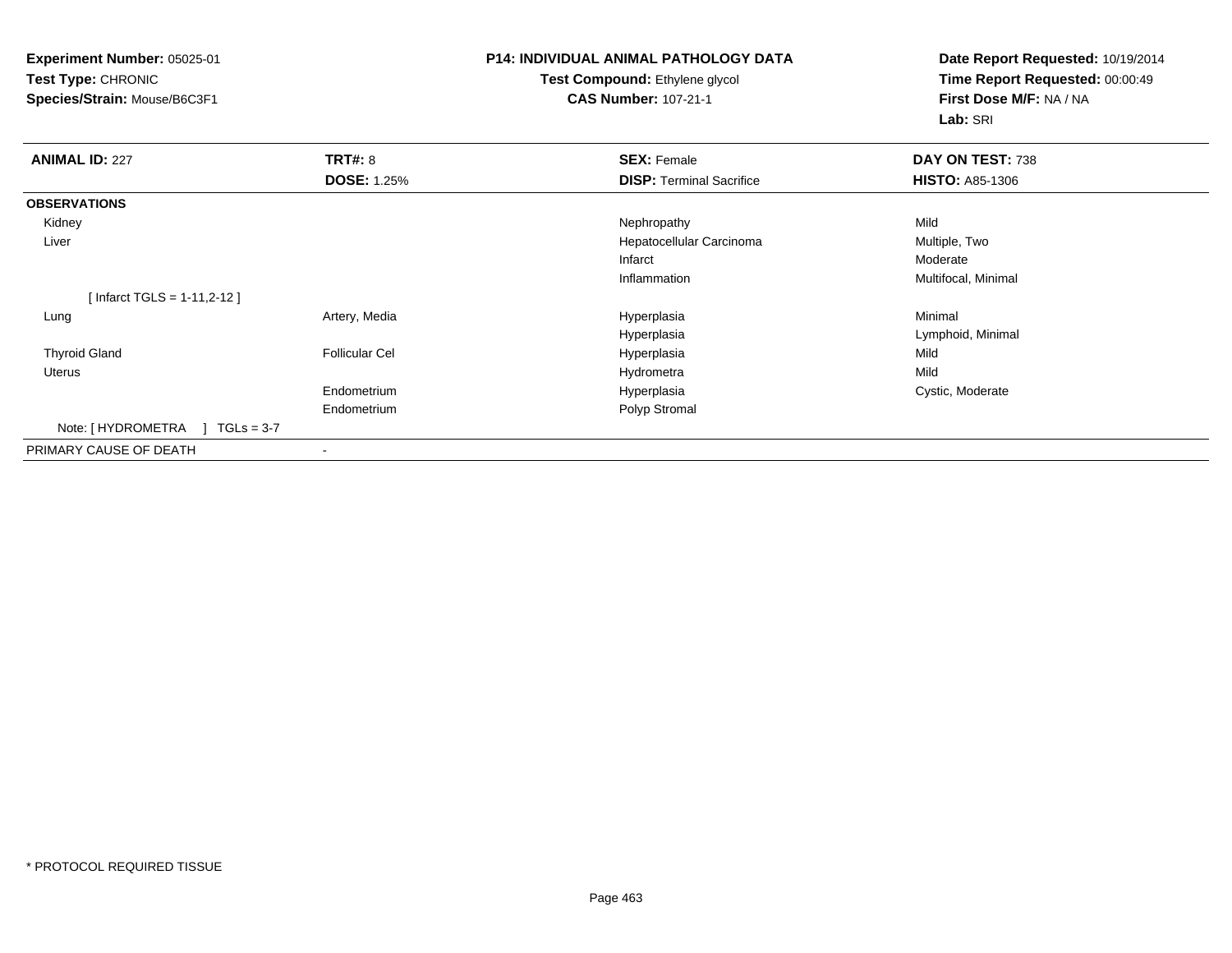**Experiment Number:** 05025-01**Test Type:** CHRONIC**Species/Strain:** Mouse/B6C3F1

# **P14: INDIVIDUAL ANIMAL PATHOLOGY DATA**

### **Test Compound:** Ethylene glycol **CAS Number:** 107-21-1

**Date Report Requested:** 10/19/2014**Time Report Requested:** 00:00:49**First Dose M/F:** NA / NA**Lab:** SRI

| <b>ANIMAL ID: 227</b>          | TRT#: 8               | <b>SEX: Female</b>              | DAY ON TEST: 738       |  |
|--------------------------------|-----------------------|---------------------------------|------------------------|--|
|                                | <b>DOSE: 1.25%</b>    | <b>DISP: Terminal Sacrifice</b> | <b>HISTO: A85-1306</b> |  |
| <b>OBSERVATIONS</b>            |                       |                                 |                        |  |
| Kidney                         |                       | Nephropathy                     | Mild                   |  |
| Liver                          |                       | Hepatocellular Carcinoma        | Multiple, Two          |  |
|                                |                       | Infarct                         | Moderate               |  |
|                                |                       | Inflammation                    | Multifocal, Minimal    |  |
| [ Infarct TGLS = $1-11,2-12$ ] |                       |                                 |                        |  |
| Lung                           | Artery, Media         | Hyperplasia                     | Minimal                |  |
|                                |                       | Hyperplasia                     | Lymphoid, Minimal      |  |
| <b>Thyroid Gland</b>           | <b>Follicular Cel</b> | Hyperplasia                     | Mild                   |  |
| Uterus                         |                       | Hydrometra                      | Mild                   |  |
|                                | Endometrium           | Hyperplasia                     | Cystic, Moderate       |  |
|                                | Endometrium           | Polyp Stromal                   |                        |  |
| Note: [HYDROMETRA ] TGLs = 3-7 |                       |                                 |                        |  |
| PRIMARY CAUSE OF DEATH         |                       |                                 |                        |  |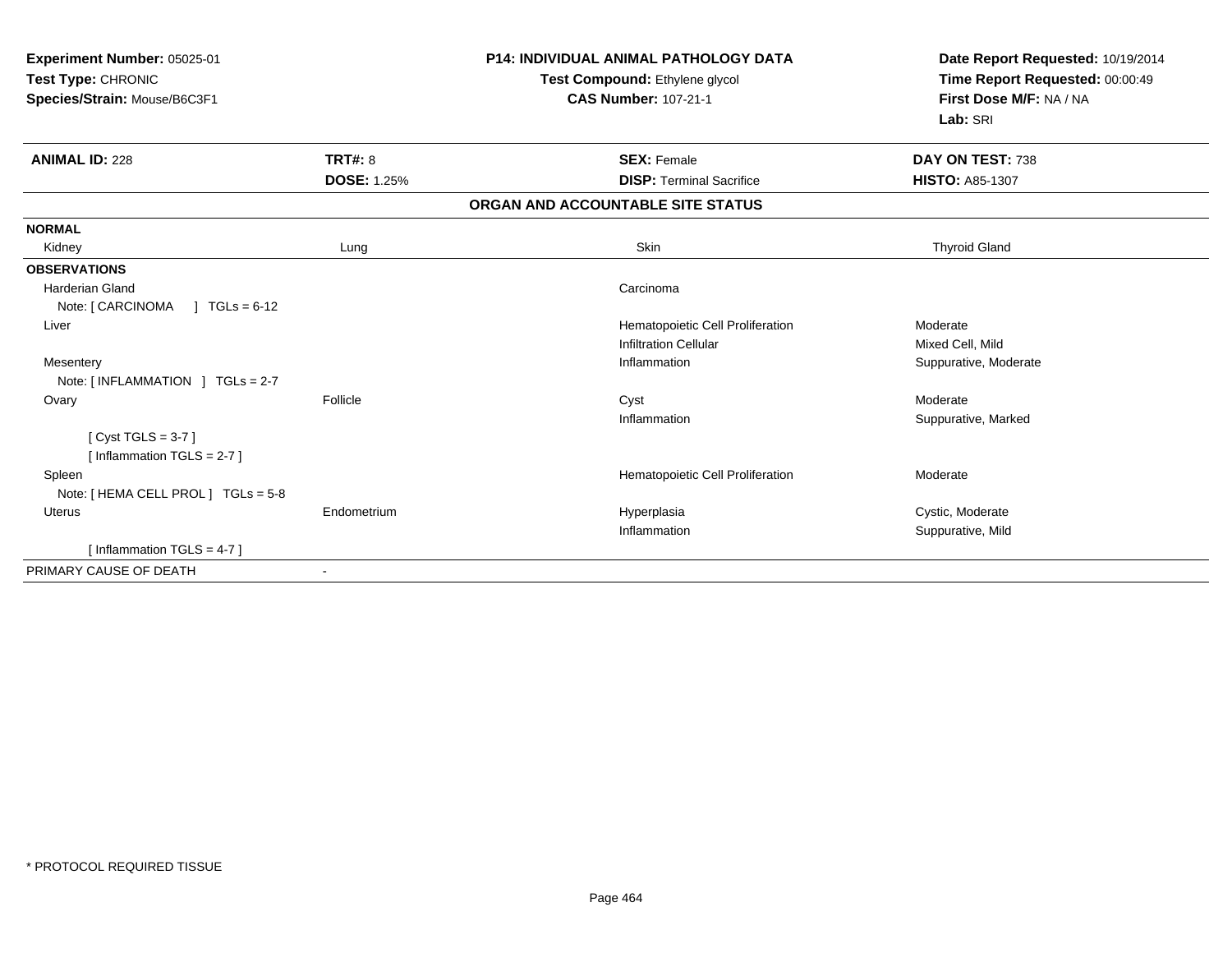|                    | <b>P14: INDIVIDUAL ANIMAL PATHOLOGY DATA</b><br>Test Compound: Ethylene glycol<br><b>CAS Number: 107-21-1</b> | Date Report Requested: 10/19/2014<br>Time Report Requested: 00:00:49<br>First Dose M/F: NA / NA<br>Lab: SRI |
|--------------------|---------------------------------------------------------------------------------------------------------------|-------------------------------------------------------------------------------------------------------------|
| TRT#: 8            | <b>SEX: Female</b>                                                                                            | DAY ON TEST: 738                                                                                            |
| <b>DOSE: 1.25%</b> | <b>DISP: Terminal Sacrifice</b>                                                                               | <b>HISTO: A85-1307</b>                                                                                      |
|                    | ORGAN AND ACCOUNTABLE SITE STATUS                                                                             |                                                                                                             |
|                    |                                                                                                               |                                                                                                             |
| Lung               | <b>Skin</b>                                                                                                   | <b>Thyroid Gland</b>                                                                                        |
|                    |                                                                                                               |                                                                                                             |
|                    | Carcinoma                                                                                                     |                                                                                                             |
|                    |                                                                                                               |                                                                                                             |
|                    | Hematopoietic Cell Proliferation                                                                              | Moderate                                                                                                    |
|                    | <b>Infiltration Cellular</b>                                                                                  | Mixed Cell, Mild                                                                                            |
|                    | Inflammation                                                                                                  | Suppurative, Moderate                                                                                       |
|                    |                                                                                                               |                                                                                                             |
|                    |                                                                                                               | Moderate                                                                                                    |
|                    |                                                                                                               | Suppurative, Marked                                                                                         |
|                    |                                                                                                               |                                                                                                             |
|                    |                                                                                                               |                                                                                                             |
|                    |                                                                                                               | Moderate                                                                                                    |
|                    |                                                                                                               |                                                                                                             |
|                    |                                                                                                               | Cystic, Moderate<br>Suppurative, Mild                                                                       |
|                    |                                                                                                               |                                                                                                             |
|                    |                                                                                                               |                                                                                                             |
|                    | Follicle<br>Endometrium                                                                                       | Cyst<br>Inflammation<br>Hematopoietic Cell Proliferation<br>Hyperplasia<br>Inflammation                     |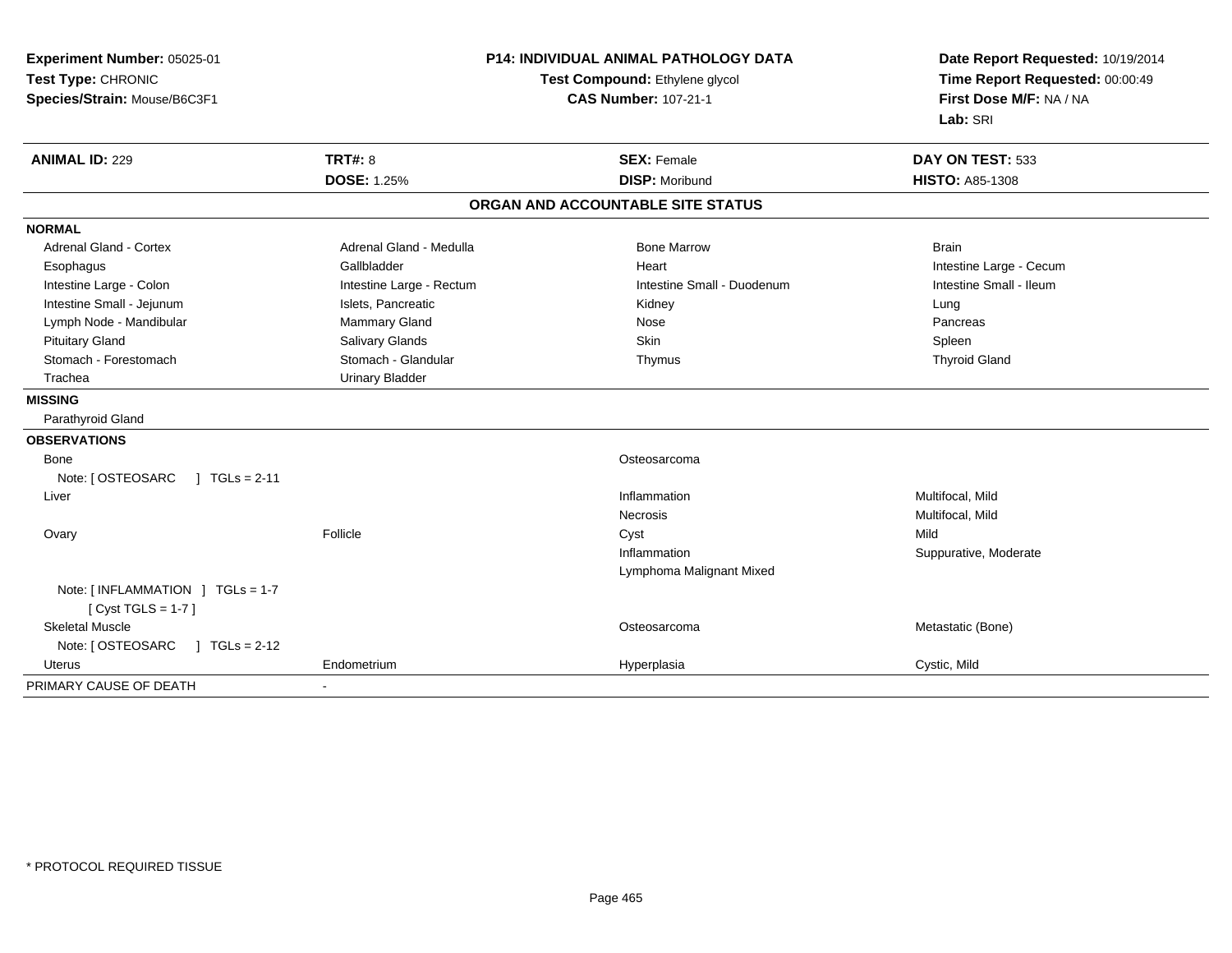| Experiment Number: 05025-01<br>Test Type: CHRONIC<br>Species/Strain: Mouse/B6C3F1 | <b>P14: INDIVIDUAL ANIMAL PATHOLOGY DATA</b><br>Test Compound: Ethylene glycol<br><b>CAS Number: 107-21-1</b> |                                   | Date Report Requested: 10/19/2014<br>Time Report Requested: 00:00:49<br>First Dose M/F: NA / NA<br>Lab: SRI |
|-----------------------------------------------------------------------------------|---------------------------------------------------------------------------------------------------------------|-----------------------------------|-------------------------------------------------------------------------------------------------------------|
| <b>ANIMAL ID: 229</b>                                                             | <b>TRT#: 8</b>                                                                                                | <b>SEX: Female</b>                | DAY ON TEST: 533                                                                                            |
|                                                                                   | <b>DOSE: 1.25%</b>                                                                                            | <b>DISP: Moribund</b>             | <b>HISTO: A85-1308</b>                                                                                      |
|                                                                                   |                                                                                                               | ORGAN AND ACCOUNTABLE SITE STATUS |                                                                                                             |
| <b>NORMAL</b>                                                                     |                                                                                                               |                                   |                                                                                                             |
| <b>Adrenal Gland - Cortex</b>                                                     | Adrenal Gland - Medulla                                                                                       | <b>Bone Marrow</b>                | <b>Brain</b>                                                                                                |
| Esophagus                                                                         | Gallbladder                                                                                                   | Heart                             | Intestine Large - Cecum                                                                                     |
| Intestine Large - Colon                                                           | Intestine Large - Rectum                                                                                      | Intestine Small - Duodenum        | Intestine Small - Ileum                                                                                     |
| Intestine Small - Jejunum                                                         | Islets, Pancreatic                                                                                            | Kidney                            | Lung                                                                                                        |
| Lymph Node - Mandibular                                                           | Mammary Gland                                                                                                 | Nose                              | Pancreas                                                                                                    |
| <b>Pituitary Gland</b>                                                            | Salivary Glands                                                                                               | Skin                              | Spleen                                                                                                      |
| Stomach - Forestomach                                                             | Stomach - Glandular                                                                                           | Thymus                            | <b>Thyroid Gland</b>                                                                                        |
| Trachea                                                                           | <b>Urinary Bladder</b>                                                                                        |                                   |                                                                                                             |
| <b>MISSING</b>                                                                    |                                                                                                               |                                   |                                                                                                             |
| Parathyroid Gland                                                                 |                                                                                                               |                                   |                                                                                                             |
| <b>OBSERVATIONS</b>                                                               |                                                                                                               |                                   |                                                                                                             |
| Bone                                                                              |                                                                                                               | Osteosarcoma                      |                                                                                                             |
| Note: [ OSTEOSARC<br>$1 TGLs = 2-11$                                              |                                                                                                               |                                   |                                                                                                             |
| Liver                                                                             |                                                                                                               | Inflammation                      | Multifocal, Mild                                                                                            |
|                                                                                   |                                                                                                               | <b>Necrosis</b>                   | Multifocal, Mild                                                                                            |
| Ovary                                                                             | Follicle                                                                                                      | Cyst                              | Mild                                                                                                        |
|                                                                                   |                                                                                                               | Inflammation                      | Suppurative, Moderate                                                                                       |
|                                                                                   |                                                                                                               | Lymphoma Malignant Mixed          |                                                                                                             |
| Note: [INFLAMMATION ] TGLs = 1-7<br>[ $Cyst TGLS = 1-7$ ]                         |                                                                                                               |                                   |                                                                                                             |
| <b>Skeletal Muscle</b>                                                            |                                                                                                               | Osteosarcoma                      | Metastatic (Bone)                                                                                           |
| Note: [ OSTEOSARC<br>$1 TGLs = 2-12$                                              |                                                                                                               |                                   |                                                                                                             |
| Uterus                                                                            | Endometrium                                                                                                   | Hyperplasia                       | Cystic, Mild                                                                                                |
| PRIMARY CAUSE OF DEATH                                                            | $\blacksquare$                                                                                                |                                   |                                                                                                             |